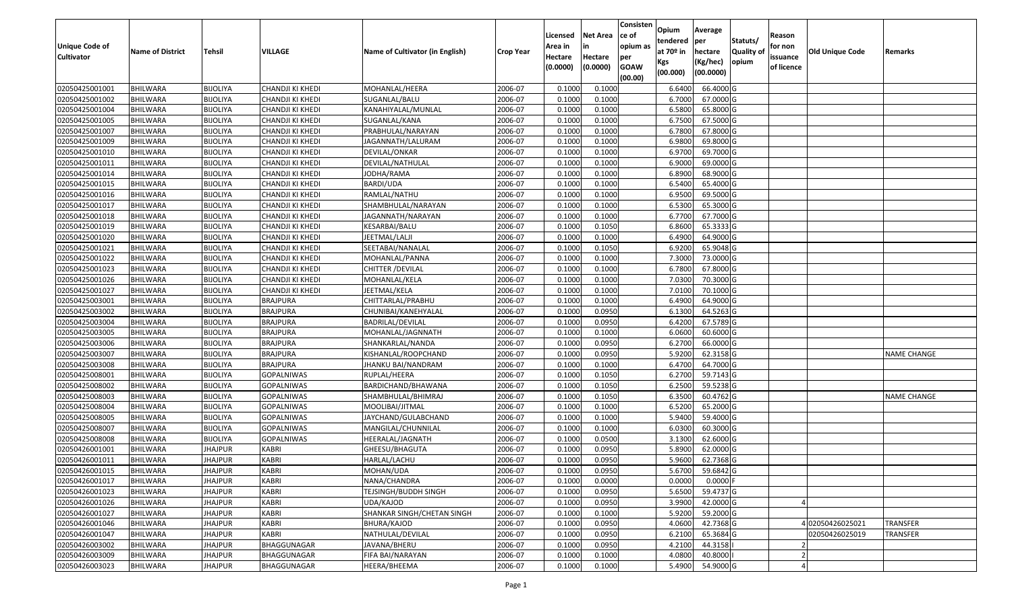| Unique Code of    |                         |                 |                   |                                 |                  | Licensed<br>Area in | <b>Net Area</b><br>in | Consisten<br>ce of<br>opium as | Opium<br>tendered              | Average<br>per                   | Statuts/                  | Reason<br>for non      |                 |                    |
|-------------------|-------------------------|-----------------|-------------------|---------------------------------|------------------|---------------------|-----------------------|--------------------------------|--------------------------------|----------------------------------|---------------------------|------------------------|-----------------|--------------------|
| <b>Cultivator</b> | <b>Name of District</b> | <b>Tehsil</b>   | VILLAGE           | Name of Cultivator (in English) | <b>Crop Year</b> | Hectare<br>(0.0000) | Hectare<br>(0.0000)   | per<br><b>GOAW</b><br>(00.00)  | at $70°$ in<br>Kgs<br>(00.000) | hectare<br>(Kg/hec)<br>(00.0000) | <b>Quality o</b><br>opium | issuance<br>of licence | Old Unique Code | Remarks            |
| 02050425001001    | <b>BHILWARA</b>         | <b>BIJOLIYA</b> | CHANDJI KI KHEDI  | MOHANLAL/HEERA                  | 2006-07          | 0.1000              | 0.1000                |                                | 6.6400                         | 66.4000 G                        |                           |                        |                 |                    |
| 02050425001002    | BHILWARA                | <b>BIJOLIYA</b> | CHANDJI KI KHEDI  | SUGANLAL/BALU                   | 2006-07          | 0.1000              | 0.1000                |                                | 6.7000                         | 67.0000 G                        |                           |                        |                 |                    |
| 02050425001004    | BHILWARA                | <b>BIJOLIYA</b> | CHANDJI KI KHEDI  | KANAHIYALAL/MUNLAL              | 2006-07          | 0.1000              | 0.1000                |                                | 6.5800                         | 65.8000 G                        |                           |                        |                 |                    |
| 02050425001005    | <b>BHILWARA</b>         | <b>BIJOLIYA</b> | CHANDJI KI KHEDI  | SUGANLAL/KANA                   | 2006-07          | 0.1000              | 0.1000                |                                | 6.7500                         | 67.5000G                         |                           |                        |                 |                    |
| 02050425001007    | BHILWARA                | <b>BIJOLIYA</b> | CHANDJI KI KHEDI  | PRABHULAL/NARAYAN               | 2006-07          | 0.1000              | 0.1000                |                                | 6.7800                         | 67.8000 G                        |                           |                        |                 |                    |
| 02050425001009    | <b>BHILWARA</b>         | <b>BIJOLIYA</b> | CHANDJI KI KHEDI  | JAGANNATH/LALURAM               | 2006-07          | 0.1000              | 0.1000                |                                | 6.9800                         | 69.8000 G                        |                           |                        |                 |                    |
| 02050425001010    | BHILWARA                | <b>BIJOLIYA</b> | CHANDJI KI KHEDI  | DEVILAL/ONKAR                   | 2006-07          | 0.1000              | 0.1000                |                                | 6.9700                         | 69.7000 G                        |                           |                        |                 |                    |
| 02050425001011    | <b>BHILWARA</b>         | <b>BIJOLIYA</b> | CHANDJI KI KHEDI  | DEVILAL/NATHULAL                | 2006-07          | 0.1000              | 0.1000                |                                | 6.9000                         | 69.0000G                         |                           |                        |                 |                    |
| 02050425001014    | BHILWARA                | <b>BIJOLIYA</b> | CHANDJI KI KHEDI  | JODHA/RAMA                      | 2006-07          | 0.1000              | 0.1000                |                                | 6.8900                         | 68.9000 G                        |                           |                        |                 |                    |
| 02050425001015    | BHILWARA                | <b>BIJOLIYA</b> | CHANDJI KI KHEDI  | <b>BARDI/UDA</b>                | 2006-07          | 0.1000              | 0.1000                |                                | 6.5400                         | 65.4000 G                        |                           |                        |                 |                    |
| 02050425001016    | BHILWARA                | <b>BIJOLIYA</b> | CHANDJI KI KHEDI  | RAMLAL/NATHU                    | 2006-07          | 0.1000              | 0.1000                |                                | 6.9500                         | 69.5000G                         |                           |                        |                 |                    |
| 02050425001017    | <b>BHILWARA</b>         | <b>BIJOLIYA</b> | CHANDJI KI KHEDI  | SHAMBHULAL/NARAYAN              | 2006-07          | 0.1000              | 0.1000                |                                | 6.5300                         | 65.3000 G                        |                           |                        |                 |                    |
| 02050425001018    | <b>BHILWARA</b>         | <b>BIJOLIYA</b> | CHANDJI KI KHEDI  | JAGANNATH/NARAYAN               | 2006-07          | 0.1000              | 0.1000                |                                | 6.7700                         | 67.7000 G                        |                           |                        |                 |                    |
| 02050425001019    | <b>BHILWARA</b>         | <b>BIJOLIYA</b> | CHANDJI KI KHEDI  | KESARBAI/BALU                   | 2006-07          | 0.100               | 0.1050                |                                | 6.8600                         | 65.3333 G                        |                           |                        |                 |                    |
| 02050425001020    | BHILWARA                | <b>BIJOLIYA</b> | CHANDJI KI KHEDI  | JEETMAL/LALJI                   | 2006-07          | 0.1000              | 0.1000                |                                | 6.4900                         | 64.9000 G                        |                           |                        |                 |                    |
| 02050425001021    | <b>BHILWARA</b>         | <b>BIJOLIYA</b> | CHANDJI KI KHEDI  | SEETABAI/NANALAL                | 2006-07          | 0.1000              | 0.1050                |                                | 6.9200                         | 65.9048 G                        |                           |                        |                 |                    |
| 02050425001022    | <b>BHILWARA</b>         | <b>BIJOLIYA</b> | CHANDJI KI KHEDI  | MOHANLAL/PANNA                  | 2006-07          | 0.1000              | 0.1000                |                                | 7.3000                         | 73.0000G                         |                           |                        |                 |                    |
| 02050425001023    | <b>BHILWARA</b>         | <b>BIJOLIYA</b> | CHANDJI KI KHEDI  | CHITTER / DEVILAL               | 2006-07          | 0.100               | 0.1000                |                                | 6.7800                         | 67.8000G                         |                           |                        |                 |                    |
| 02050425001026    | BHILWARA                | <b>BIJOLIYA</b> | CHANDJI KI KHEDI  | MOHANLAL/KELA                   | 2006-07          | 0.100               | 0.1000                |                                | 7.0300                         | 70.3000G                         |                           |                        |                 |                    |
| 02050425001027    | BHILWARA                | <b>BIJOLIYA</b> | CHANDJI KI KHEDI  | JEETMAL/KELA                    | 2006-07          | 0.1000              | 0.1000                |                                | 7.0100                         | 70.1000G                         |                           |                        |                 |                    |
| 02050425003001    | <b>BHILWARA</b>         | <b>BIJOLIYA</b> | <b>BRAJPURA</b>   | CHITTARLAL/PRABHU               | 2006-07          | 0.1000              | 0.1000                |                                | 6.4900                         | 64.9000 G                        |                           |                        |                 |                    |
| 02050425003002    | BHILWARA                | <b>BIJOLIYA</b> | <b>BRAJPURA</b>   | CHUNIBAI/KANEHYALAL             | 2006-07          | 0.1000              | 0.0950                |                                | 6.1300                         | 64.5263 G                        |                           |                        |                 |                    |
| 02050425003004    | BHILWARA                | <b>BIJOLIYA</b> | <b>BRAJPURA</b>   | <b>BADRILAL/DEVILAL</b>         | 2006-07          | 0.1000              | 0.0950                |                                | 6.4200                         | 67.5789 G                        |                           |                        |                 |                    |
| 02050425003005    | BHILWARA                | <b>BIJOLIYA</b> | <b>BRAJPURA</b>   | MOHANLAL/JAGNNATH               | 2006-07          | 0.1000              | 0.1000                |                                | 6.0600                         | 60.6000 G                        |                           |                        |                 |                    |
| 02050425003006    | <b>BHILWARA</b>         | <b>BIJOLIYA</b> | <b>BRAJPURA</b>   | SHANKARLAL/NANDA                | 2006-07          | 0.1000              | 0.0950                |                                | 6.2700                         | 66.0000G                         |                           |                        |                 |                    |
| 02050425003007    | BHILWARA                | <b>BIJOLIYA</b> | <b>BRAJPURA</b>   | KISHANLAL/ROOPCHAND             | 2006-07          | 0.1000              | 0.0950                |                                | 5.9200                         | 62.3158 G                        |                           |                        |                 | <b>NAME CHANGE</b> |
| 02050425003008    | <b>BHILWARA</b>         | <b>BIJOLIYA</b> | <b>BRAJPURA</b>   | JHANKU BAI/NANDRAM              | 2006-07          | 0.1000              | 0.1000                |                                | 6.4700                         | 64.7000 G                        |                           |                        |                 |                    |
| 02050425008001    | BHILWARA                | <b>BIJOLIYA</b> | <b>GOPALNIWAS</b> | RUPLAL/HEERA                    | 2006-07          | 0.1000              | 0.1050                |                                | 6.2700                         | 59.7143 G                        |                           |                        |                 |                    |
| 02050425008002    | <b>BHILWARA</b>         | <b>BIJOLIYA</b> | <b>GOPALNIWAS</b> | BARDICHAND/BHAWANA              | 2006-07          | 0.1000              | 0.1050                |                                | 6.2500                         | 59.5238 G                        |                           |                        |                 |                    |
| 02050425008003    | <b>BHILWARA</b>         | <b>BIJOLIYA</b> | <b>GOPALNIWAS</b> | SHAMBHULAL/BHIMRAJ              | 2006-07          | 0.1000              | 0.1050                |                                | 6.3500                         | 60.4762 G                        |                           |                        |                 | <b>NAME CHANGE</b> |
| 02050425008004    | BHILWARA                | <b>BIJOLIYA</b> | <b>GOPALNIWAS</b> | MOOLIBAI/JITMAL                 | 2006-07          | 0.1000              | 0.1000                |                                | 6.5200                         | 65.2000 G                        |                           |                        |                 |                    |
| 02050425008005    | BHILWARA                | <b>BIJOLIYA</b> | <b>GOPALNIWAS</b> | JAYCHAND/GULABCHAND             | 2006-07          | 0.1000              | 0.1000                |                                | 5.9400                         | 59.4000 G                        |                           |                        |                 |                    |
| 02050425008007    | <b>BHILWARA</b>         | <b>BIJOLIYA</b> | <b>GOPALNIWAS</b> | MANGILAL/CHUNNILAL              | 2006-07          | 0.1000              | 0.1000                |                                | 6.0300                         | 60.3000 G                        |                           |                        |                 |                    |
| 02050425008008    | BHILWARA                | <b>BIJOLIYA</b> | <b>GOPALNIWAS</b> | HEERALAL/JAGNATH                | 2006-07          | 0.1000              | 0.0500                |                                | 3.1300                         | 62.6000G                         |                           |                        |                 |                    |
| 02050426001001    | <b>BHILWARA</b>         | <b>JHAJPUR</b>  | <b>KABRI</b>      | GHEESU/BHAGUTA                  | 2006-07          | 0.1000              | 0.0950                |                                | 5.8900                         | 62.0000 G                        |                           |                        |                 |                    |
| 02050426001011    | BHILWARA                | <b>JHAJPUR</b>  | <b>KABRI</b>      | HARLAL/LACHU                    | 2006-07          | 0.1000              | 0.0950                |                                | 5.9600                         | 62.7368 G                        |                           |                        |                 |                    |
| 02050426001015    | <b>BHILWARA</b>         | <b>JHAJPUR</b>  | <b>KABRI</b>      | MOHAN/UDA                       | 2006-07          | 0.1000              | 0.0950                |                                | 5.6700                         | 59.6842 G                        |                           |                        |                 |                    |
| 02050426001017    | <b>BHILWARA</b>         | <b>JHAJPUR</b>  | <b>KABRI</b>      | NANA/CHANDRA                    | 2006-07          | 0.1000              | 0.0000                |                                | 0.0000                         | $0.0000$ F                       |                           |                        |                 |                    |
| 02050426001023    | <b>BHILWARA</b>         | <b>JHAJPUR</b>  | <b>KABRI</b>      | TEJSINGH/BUDDH SINGH            | 2006-07          | 0.1000              | 0.0950                |                                | 5.6500                         | 59.4737 G                        |                           |                        |                 |                    |
| 02050426001026    | <b>BHILWARA</b>         | <b>JHAJPUR</b>  | <b>KABRI</b>      | UDA/KAJOD                       | 2006-07          | 0.1000              | 0.0950                |                                | 3.9900                         | 42.0000 G                        |                           |                        |                 |                    |
| 02050426001027    | <b>BHILWARA</b>         | <b>JHAJPUR</b>  | <b>KABRI</b>      | SHANKAR SINGH/CHETAN SINGH      | 2006-07          | 0.1000              | 0.1000                |                                | 5.9200                         | 59.2000 G                        |                           |                        |                 |                    |
| 02050426001046    | <b>BHILWARA</b>         | <b>JHAJPUR</b>  | <b>KABRI</b>      | BHURA/KAJOD                     | 2006-07          | 0.1000              | 0.0950                |                                | 4.0600                         | 42.7368 G                        |                           |                        | 402050426025021 | <b>TRANSFER</b>    |
| 02050426001047    | <b>BHILWARA</b>         | <b>JHAJPUR</b>  | KABRI             | NATHULAL/DEVILAL                | 2006-07          | 0.1000              | 0.0950                |                                | 6.2100                         | 65.3684 G                        |                           |                        | 02050426025019  | <b>TRANSFER</b>    |
| 02050426003002    | <b>BHILWARA</b>         | <b>JHAJPUR</b>  | BHAGGUNAGAR       | JAVANA/BHERU                    | 2006-07          | 0.1000              | 0.0950                |                                | 4.2100                         | 44.3158                          |                           |                        |                 |                    |
| 02050426003009    | <b>BHILWARA</b>         | <b>JHAJPUR</b>  | BHAGGUNAGAR       | FIFA BAI/NARAYAN                | 2006-07          | 0.1000              | 0.1000                |                                | 4.0800                         | 40.8000                          |                           |                        |                 |                    |
| 02050426003023    | <b>BHILWARA</b>         | <b>JHAJPUR</b>  | BHAGGUNAGAR       | HEERA/BHEEMA                    | 2006-07          | 0.1000              | 0.1000                |                                | 5.4900                         | 54.9000 G                        |                           |                        |                 |                    |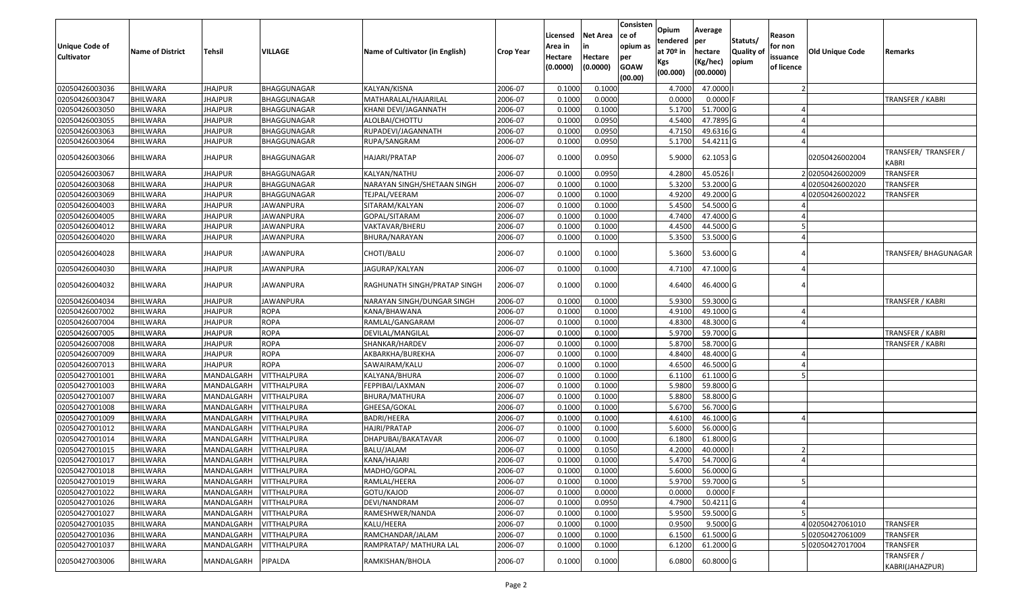| <b>Unique Code of</b><br><b>Cultivator</b> | <b>Name of District</b> | Tehsil         | VILLAGE            | Name of Cultivator (in English) | <b>Crop Year</b> | Licensed<br>Area in<br>Hectare<br>(0.0000) | Net Area<br>in<br>Hectare<br>(0.0000) | Consisten<br>ce of<br>opium as<br>per<br><b>GOAW</b><br>(00.00) | Opium<br>tendered<br>at 70º in<br>Kgs<br>(00.000) | Average<br>per<br>hectare<br>(Kg/hec)<br>(00.0000) | Statuts/<br><b>Quality of</b><br>opium | Reason<br>for non<br>issuance<br>of licence | <b>Old Unique Code</b> | Remarks                       |
|--------------------------------------------|-------------------------|----------------|--------------------|---------------------------------|------------------|--------------------------------------------|---------------------------------------|-----------------------------------------------------------------|---------------------------------------------------|----------------------------------------------------|----------------------------------------|---------------------------------------------|------------------------|-------------------------------|
| 02050426003036                             | <b>BHILWARA</b>         | <b>JHAJPUR</b> | BHAGGUNAGAR        | KALYAN/KISNA                    | 2006-07          | 0.1000                                     | 0.1000                                |                                                                 | 4.7000                                            | 47.0000                                            |                                        |                                             |                        |                               |
| 02050426003047                             | <b>BHILWARA</b>         | <b>JHAJPUR</b> | BHAGGUNAGAR        | MATHARALAL/HAJARILAL            | 2006-07          | 0.1000                                     | 0.0000                                |                                                                 | 0.0000                                            | $0.0000$ F                                         |                                        |                                             |                        | TRANSFER / KABRI              |
| 02050426003050                             | <b>BHILWARA</b>         | <b>JHAJPUR</b> | BHAGGUNAGAR        | KHANI DEVI/JAGANNATH            | 2006-07          | 0.1000                                     | 0.1000                                |                                                                 | 5.1700                                            | 51.7000 G                                          |                                        |                                             |                        |                               |
| 02050426003055                             | <b>BHILWARA</b>         | <b>JHAJPUR</b> | BHAGGUNAGAR        | ALOLBAI/CHOTTU                  | 2006-07          | 0.1000                                     | 0.0950                                |                                                                 | 4.5400                                            | 47.7895 G                                          |                                        |                                             |                        |                               |
| 02050426003063                             | BHILWARA                | <b>JHAJPUR</b> | BHAGGUNAGAR        | RUPADEVI/JAGANNATH              | 2006-07          | 0.1000                                     | 0.0950                                |                                                                 | 4.7150                                            | 49.6316 G                                          |                                        |                                             |                        |                               |
| 02050426003064                             | <b>BHILWARA</b>         | <b>JHAJPUR</b> | BHAGGUNAGAR        | RUPA/SANGRAM                    | 2006-07          | 0.1000                                     | 0.0950                                |                                                                 | 5.1700                                            | 54.4211 G                                          |                                        |                                             |                        |                               |
| 02050426003066                             | BHILWARA                | <b>JHAJPUR</b> | BHAGGUNAGAR        | HAJARI/PRATAP                   | 2006-07          | 0.1000                                     | 0.0950                                |                                                                 | 5.9000                                            | 62.1053 G                                          |                                        |                                             | 02050426002004         | TRANSFER/ TRANSFER /<br>KABRI |
| 02050426003067                             | <b>BHILWARA</b>         | <b>JHAJPUR</b> | BHAGGUNAGAR        | KALYAN/NATHU                    | 2006-07          | 0.1000                                     | 0.0950                                |                                                                 | 4.2800                                            | 45.0526                                            |                                        |                                             | 202050426002009        | <b>TRANSFER</b>               |
| 02050426003068                             | <b>BHILWARA</b>         | <b>JHAJPUR</b> | BHAGGUNAGAR        | NARAYAN SINGH/SHETAAN SINGH     | 2006-07          | 0.1000                                     | 0.1000                                |                                                                 | 5.3200                                            | 53.2000 G                                          |                                        |                                             | 402050426002020        | <b>TRANSFER</b>               |
| 02050426003069                             | <b>BHILWARA</b>         | <b>JHAJPUR</b> | BHAGGUNAGAR        | TEJPAL/VEERAM                   | 2006-07          | 0.1000                                     | 0.1000                                |                                                                 | 4.9200                                            | 49.2000 G                                          |                                        |                                             | 102050426002022        | TRANSFER                      |
| 02050426004003                             | <b>BHILWARA</b>         | <b>JHAJPUR</b> | JAWANPURA          | SITARAM/KALYAN                  | 2006-07          | 0.1000                                     | 0.1000                                |                                                                 | 5.4500                                            | 54.5000 G                                          |                                        |                                             |                        |                               |
| 02050426004005                             | <b>BHILWARA</b>         | <b>JHAJPUR</b> | <b>JAWANPURA</b>   | GOPAL/SITARAM                   | 2006-07          | 0.1000                                     | 0.1000                                |                                                                 | 4.7400                                            | 47.4000 G                                          |                                        |                                             |                        |                               |
| 02050426004012                             | <b>BHILWARA</b>         | <b>JHAJPUR</b> | <b>JAWANPURA</b>   | VAKTAVAR/BHERU                  | 2006-07          | 0.1000                                     | 0.1000                                |                                                                 | 4.4500                                            | 44.5000 G                                          |                                        |                                             |                        |                               |
| 02050426004020                             | BHILWARA                | JHAJPUR        | JAWANPURA          | BHURA/NARAYAN                   | 2006-07          | 0.1000                                     | 0.1000                                |                                                                 | 5.3500                                            | 53.5000 G                                          |                                        |                                             |                        |                               |
| 02050426004028                             | BHILWARA                | <b>JHAJPUR</b> | JAWANPURA          | CHOTI/BALU                      | 2006-07          | 0.1000                                     | 0.1000                                |                                                                 | 5.3600                                            | 53.6000 G                                          |                                        |                                             |                        | TRANSFER/ BHAGUNAGAR          |
| 02050426004030                             | BHILWARA                | <b>JHAJPUR</b> | JAWANPURA          | JAGURAP/KALYAN                  | 2006-07          | 0.1000                                     | 0.1000                                |                                                                 | 4.7100                                            | 47.1000 G                                          |                                        |                                             |                        |                               |
| 02050426004032                             | <b>BHILWARA</b>         | <b>JHAJPUR</b> | JAWANPURA          | RAGHUNATH SINGH/PRATAP SINGH    | 2006-07          | 0.1000                                     | 0.1000                                |                                                                 | 4.6400                                            | 46.4000 G                                          |                                        |                                             |                        |                               |
| 02050426004034                             | <b>BHILWARA</b>         | <b>JHAJPUR</b> | <b>JAWANPURA</b>   | NARAYAN SINGH/DUNGAR SINGH      | 2006-07          | 0.1000                                     | 0.1000                                |                                                                 | 5.9300                                            | 59.3000 G                                          |                                        |                                             |                        | <b>TRANSFER / KABRI</b>       |
| 02050426007002                             | BHILWARA                | <b>JHAJPUR</b> | <b>ROPA</b>        | KANA/BHAWANA                    | 2006-07          | 0.1000                                     | 0.1000                                |                                                                 | 4.9100                                            | 49.1000 G                                          |                                        |                                             |                        |                               |
| 02050426007004                             | <b>BHILWARA</b>         | <b>JHAJPUR</b> | <b>ROPA</b>        | RAMLAL/GANGARAM                 | 2006-07          | 0.1000                                     | 0.1000                                |                                                                 | 4.8300                                            | 48.3000 G                                          |                                        |                                             |                        |                               |
| 02050426007005                             | BHILWARA                | <b>JHAJPUR</b> | <b>ROPA</b>        | DEVILAL/MANGILAL                | 2006-07          | 0.1000                                     | 0.1000                                |                                                                 | 5.9700                                            | 59.7000 G                                          |                                        |                                             |                        | <b>TRANSFER / KABRI</b>       |
| 02050426007008                             | <b>BHILWARA</b>         | <b>JHAJPUR</b> | <b>ROPA</b>        | SHANKAR/HARDEV                  | 2006-07          | 0.1000                                     | 0.1000                                |                                                                 | 5.8700                                            | 58.7000 G                                          |                                        |                                             |                        | TRANSFER / KABRI              |
| 02050426007009                             | <b>BHILWARA</b>         | <b>JHAJPUR</b> | <b>ROPA</b>        | AKBARKHA/BUREKHA                | 2006-07          | 0.1000                                     | 0.1000                                |                                                                 | 4.8400                                            | 48.4000 G                                          |                                        |                                             |                        |                               |
| 02050426007013                             | <b>BHILWARA</b>         | <b>JHAJPUR</b> | <b>ROPA</b>        | SAWAIRAM/KALU                   | 2006-07          | 0.1000                                     | 0.1000                                |                                                                 | 4.6500                                            | 46.5000 G                                          |                                        |                                             |                        |                               |
| 02050427001001                             | BHILWARA                | MANDALGARH     | VITTHALPURA        | KALYANA/BHURA                   | 2006-07          | 0.1000                                     | 0.1000                                |                                                                 | 6.1100                                            | 61.1000 G                                          |                                        |                                             |                        |                               |
| 02050427001003                             | <b>BHILWARA</b>         | MANDALGARH     | <b>VITTHALPURA</b> | FEPPIBAI/LAXMAN                 | 2006-07          | 0.1000                                     | 0.1000                                |                                                                 | 5.9800                                            | 59.8000 G                                          |                                        |                                             |                        |                               |
| 02050427001007                             | <b>BHILWARA</b>         | MANDALGARH     | <b>VITTHALPURA</b> | BHURA/MATHURA                   | 2006-07          | 0.1000                                     | 0.1000                                |                                                                 | 5.8800                                            | 58.8000 G                                          |                                        |                                             |                        |                               |
| 02050427001008                             | <b>BHILWARA</b>         | MANDALGARH     | <b>VITTHALPURA</b> | GHEESA/GOKAL                    | 2006-07          | 0.1000                                     | 0.1000                                |                                                                 | 5.6700                                            | 56.7000 G                                          |                                        |                                             |                        |                               |
| 02050427001009                             | <b>BHILWARA</b>         | MANDALGARH     | VITTHALPURA        | BADRI/HEERA                     | 2006-07          | 0.1000                                     | 0.1000                                |                                                                 | 4.6100                                            | 46.1000 G                                          |                                        |                                             |                        |                               |
| 02050427001012                             | <b>BHILWARA</b>         | MANDALGARH     | <b>VITTHALPURA</b> | HAJRI/PRATAP                    | 2006-07          | 0.1000                                     | 0.1000                                |                                                                 | 5.6000                                            | 56.0000 G                                          |                                        |                                             |                        |                               |
| 02050427001014                             | <b>BHILWARA</b>         | MANDALGARH     | VITTHALPURA        | DHAPUBAI/BAKATAVAR              | 2006-07          | 0.1000                                     | 0.1000                                |                                                                 | 6.1800                                            | 61.8000 G                                          |                                        |                                             |                        |                               |
| 02050427001015                             | BHILWARA                | MANDALGARH     | VITTHALPURA        | BALU/JALAM                      | 2006-07          | 0.1000                                     | 0.1050                                |                                                                 | 4.2000                                            | 40.0000                                            |                                        |                                             |                        |                               |
| 02050427001017                             | <b>BHILWARA</b>         | MANDALGARH     | <b>VITTHALPURA</b> | KANA/HAJARI                     | 2006-07          | 0.1000                                     | 0.1000                                |                                                                 | 5.4700                                            | 54.7000 G                                          |                                        |                                             |                        |                               |
| 02050427001018                             | <b>BHILWARA</b>         | MANDALGARH     | VITTHALPURA        | MADHO/GOPAL                     | 2006-07          | 0.1000                                     | 0.1000                                |                                                                 | 5.6000                                            | 56.0000G                                           |                                        |                                             |                        |                               |
| 02050427001019                             | <b>BHILWARA</b>         | MANDALGARH     | <b>VITTHALPURA</b> | RAMLAL/HEERA                    | 2006-07          | 0.1000                                     | 0.1000                                |                                                                 | 5.9700                                            | 59.7000 G                                          |                                        |                                             |                        |                               |
| 02050427001022                             | <b>BHILWARA</b>         | MANDALGARH     | <b>VITTHALPURA</b> | GOTU/KAJOD                      | 2006-07          | 0.1000                                     | 0.0000                                |                                                                 | 0.0000                                            | $0.0000$ F                                         |                                        |                                             |                        |                               |
| 02050427001026                             | <b>BHILWARA</b>         | MANDALGARH     | VITTHALPURA        | DEVI/NANDRAM                    | 2006-07          | 0.1000                                     | 0.0950                                |                                                                 | 4.7900                                            | 50.4211 G                                          |                                        |                                             |                        |                               |
| 02050427001027                             | <b>BHILWARA</b>         | MANDALGARH     | VITTHALPURA        | RAMESHWER/NANDA                 | 2006-07          | 0.1000                                     | 0.1000                                |                                                                 | 5.9500                                            | 59.5000 G                                          |                                        |                                             |                        |                               |
| 02050427001035                             | <b>BHILWARA</b>         | MANDALGARH     | <b>VITTHALPURA</b> | KALU/HEERA                      | 2006-07          | 0.1000                                     | 0.1000                                |                                                                 | 0.9500                                            | $9.5000$ G                                         |                                        |                                             | 402050427061010        | <b>TRANSFER</b>               |
| 02050427001036                             | <b>BHILWARA</b>         | MANDALGARH     | <b>VITTHALPURA</b> | RAMCHANDAR/JALAM                | 2006-07          | 0.1000                                     | 0.1000                                |                                                                 | 6.1500                                            | 61.5000 G                                          |                                        |                                             | 5 02050427061009       | <b>TRANSFER</b>               |
| 02050427001037                             | <b>BHILWARA</b>         | MANDALGARH     | <b>VITTHALPURA</b> | RAMPRATAP/ MATHURA LAL          | 2006-07          | 0.1000                                     | 0.1000                                |                                                                 | 6.1200                                            | 61.2000 G                                          |                                        |                                             | 502050427017004        | <b>TRANSFER</b>               |
| 02050427003006                             | <b>BHILWARA</b>         | MANDALGARH     | PIPALDA            | RAMKISHAN/BHOLA                 | 2006-07          | 0.1000                                     | 0.1000                                |                                                                 | 6.0800                                            | 60.8000 G                                          |                                        |                                             |                        | TRANSFER /<br>KABRI(JAHAZPUR) |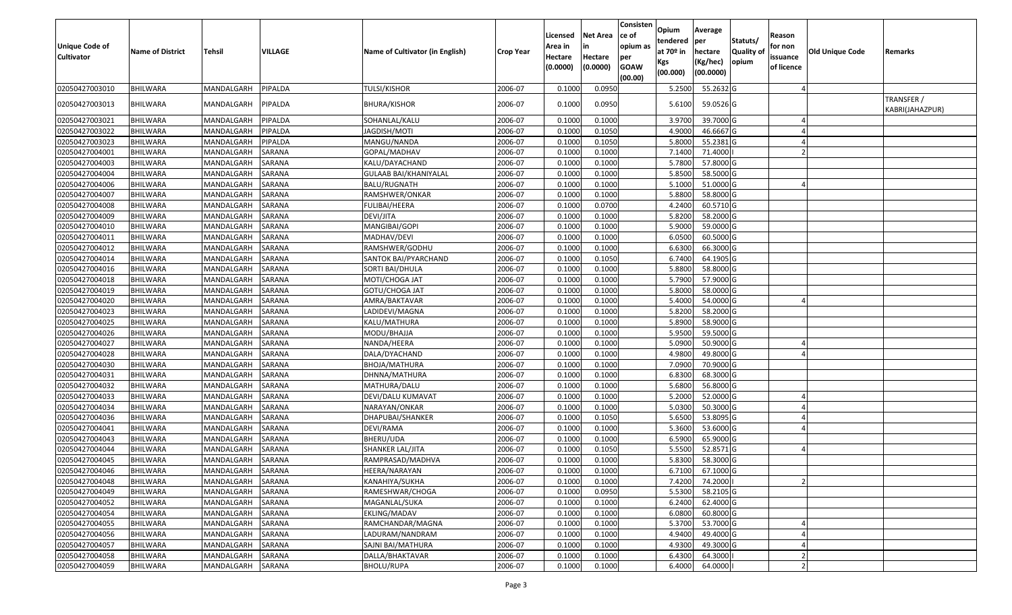| <b>Unique Code of</b><br><b>Cultivator</b> | <b>Name of District</b> | <b>Tehsil</b>     | <b>VILLAGE</b> | Name of Cultivator (in English) | <b>Crop Year</b> | Licensed<br>Area in<br>Hectare<br>(0.0000) | <b>Net Area</b><br>in<br>Hectare<br>(0.0000) | Consisten<br>ce of<br>opium as<br>per<br><b>GOAW</b><br>(00.00) | Opium<br>tendered<br>at $70°$ in<br>Kgs<br>(00.000) | Average<br>per<br>hectare<br>(Kg/hec)<br>(00.0000) | Statuts/<br><b>Quality o</b><br>opium | Reason<br>for non<br>issuance<br>of licence | <b>Old Unique Code</b> | Remarks                       |
|--------------------------------------------|-------------------------|-------------------|----------------|---------------------------------|------------------|--------------------------------------------|----------------------------------------------|-----------------------------------------------------------------|-----------------------------------------------------|----------------------------------------------------|---------------------------------------|---------------------------------------------|------------------------|-------------------------------|
| 02050427003010                             | <b>BHILWARA</b>         | MANDALGARH        | PIPALDA        | <b>TULSI/KISHOR</b>             | 2006-07          | 0.1000                                     | 0.0950                                       |                                                                 | 5.2500                                              | 55.2632 G                                          |                                       |                                             |                        |                               |
| 02050427003013                             | BHILWARA                | MANDALGARH        | PIPALDA        | BHURA/KISHOR                    | 2006-07          | 0.1000                                     | 0.0950                                       |                                                                 | 5.6100                                              | 59.0526 G                                          |                                       |                                             |                        | TRANSFER /<br>KABRI(JAHAZPUR) |
| 02050427003021                             | <b>BHILWARA</b>         | MANDALGARH        | PIPALDA        | SOHANLAL/KALU                   | 2006-07          | 0.1000                                     | 0.1000                                       |                                                                 | 3.9700                                              | 39.7000 G                                          |                                       |                                             |                        |                               |
| 02050427003022                             | <b>BHILWARA</b>         | MANDALGARH        | PIPALDA        | JAGDISH/MOTI                    | 2006-07          | 0.1000                                     | 0.1050                                       |                                                                 | 4.900                                               | 46.6667 G                                          |                                       |                                             |                        |                               |
| 02050427003023                             | BHILWARA                | MANDALGARH        | PIPALDA        | MANGU/NANDA                     | 2006-07          | 0.1000                                     | 0.1050                                       |                                                                 | 5.8000                                              | 55.2381G                                           |                                       |                                             |                        |                               |
| 02050427004001                             | BHILWARA                | MANDALGARH        | SARANA         | GOPAL/MADHAV                    | 2006-07          | 0.1000                                     | 0.1000                                       |                                                                 | 7.1400                                              | 71.4000                                            |                                       |                                             |                        |                               |
| 02050427004003                             | <b>BHILWARA</b>         | MANDALGARH        | SARANA         | KALU/DAYACHAND                  | 2006-07          | 0.1000                                     | 0.1000                                       |                                                                 | 5.7800                                              | 57.8000 G                                          |                                       |                                             |                        |                               |
| 02050427004004                             | BHILWARA                | MANDALGARH        | <b>SARANA</b>  | GULAAB BAI/KHANIYALAL           | 2006-07          | 0.1000                                     | 0.1000                                       |                                                                 | 5.8500                                              | 58.5000G                                           |                                       |                                             |                        |                               |
| 02050427004006                             | <b>BHILWARA</b>         | MANDALGARH        | SARANA         | <b>BALU/RUGNATH</b>             | 2006-07          | 0.1000                                     | 0.1000                                       |                                                                 | 5.1000                                              | 51.0000 G                                          |                                       |                                             |                        |                               |
| 02050427004007                             | BHILWARA                | MANDALGARH        | <b>SARANA</b>  | RAMSHWER/ONKAR                  | 2006-07          | 0.1000                                     | 0.1000                                       |                                                                 | 5.8800                                              | 58.8000 G                                          |                                       |                                             |                        |                               |
| 02050427004008                             | <b>BHILWARA</b>         | MANDALGARH        | SARANA         | FULIBAI/HEERA                   | 2006-07          | 0.1000                                     | 0.0700                                       |                                                                 | 4.2400                                              | 60.5710 G                                          |                                       |                                             |                        |                               |
| 02050427004009                             | <b>BHILWARA</b>         | MANDALGARH        | <b>SARANA</b>  | DEVI/JITA                       | 2006-07          | 0.1000                                     | 0.1000                                       |                                                                 | 5.8200                                              | 58.2000 G                                          |                                       |                                             |                        |                               |
| 02050427004010                             | BHILWARA                | MANDALGARH        | SARANA         | MANGIBAI/GOPI                   | 2006-07          | 0.1000                                     | 0.1000                                       |                                                                 | 5.9000                                              | 59.0000G                                           |                                       |                                             |                        |                               |
| 02050427004011                             | BHILWARA                | MANDALGARH        | SARANA         | MADHAV/DEVI                     | 2006-07          | 0.1000                                     | 0.1000                                       |                                                                 | 6.0500                                              | 60.5000G                                           |                                       |                                             |                        |                               |
| 02050427004012                             | BHILWARA                | MANDALGARH        | SARANA         | RAMSHWER/GODHU                  | 2006-07          | 0.1000                                     | 0.1000                                       |                                                                 | 6.6300                                              | 66.3000 G                                          |                                       |                                             |                        |                               |
| 02050427004014                             | <b>BHILWARA</b>         | MANDALGARH        | <b>SARANA</b>  | SANTOK BAI/PYARCHAND            | 2006-07          | 0.1000                                     | 0.1050                                       |                                                                 | 6.7400                                              | 64.1905 G                                          |                                       |                                             |                        |                               |
| 02050427004016                             | BHILWARA                | MANDALGARH        | <b>SARANA</b>  | SORTI BAI/DHULA                 | 2006-07          | 0.1000                                     | 0.1000                                       |                                                                 | 5.8800                                              | 58.8000 G                                          |                                       |                                             |                        |                               |
| 02050427004018                             | <b>BHILWARA</b>         | MANDALGARH        | SARANA         | MOTI/CHOGA JAT                  | 2006-07          | 0.1000                                     | 0.1000                                       |                                                                 | 5.7900                                              | 57.9000 G                                          |                                       |                                             |                        |                               |
| 02050427004019                             | BHILWARA                | MANDALGARH        | SARANA         | GOTU/CHOGA JAT                  | 2006-07          | 0.1000                                     | 0.1000                                       |                                                                 | 5.8000                                              | 58,0000 G                                          |                                       |                                             |                        |                               |
| 02050427004020                             | <b>BHILWARA</b>         | MANDALGARH        | <b>SARANA</b>  | AMRA/BAKTAVAR                   | 2006-07          | 0.1000                                     | 0.1000                                       |                                                                 | 5.4000                                              | 54.0000 G                                          |                                       |                                             |                        |                               |
| 02050427004023                             | BHILWARA                | MANDALGARH        | <b>SARANA</b>  | LADIDEVI/MAGNA                  | 2006-07          | 0.1000                                     | 0.1000                                       |                                                                 | 5.8200                                              | 58.2000 G                                          |                                       |                                             |                        |                               |
| 02050427004025                             | <b>BHILWARA</b>         | MANDALGARH        | SARANA         | KALU/MATHURA                    | 2006-07          | 0.1000                                     | 0.1000                                       |                                                                 | 5.8900                                              | 58.9000 G                                          |                                       |                                             |                        |                               |
| 02050427004026                             | BHILWARA                | MANDALGARH        | SARANA         | MODU/BHAJJA                     | 2006-07          | 0.1000                                     | 0.1000                                       |                                                                 | 5.9500                                              | 59.5000 G                                          |                                       |                                             |                        |                               |
| 02050427004027                             | <b>BHILWARA</b>         | MANDALGARH        | SARANA         | NANDA/HEERA                     | 2006-07          | 0.1000                                     | 0.1000                                       |                                                                 | 5.0900                                              | 50.9000G                                           |                                       |                                             |                        |                               |
| 02050427004028                             | BHILWARA                | MANDALGARH        | SARANA         | DALA/DYACHAND                   | 2006-07          | 0.1000                                     | 0.1000                                       |                                                                 | 4.9800                                              | 49.8000 G                                          |                                       |                                             |                        |                               |
| 02050427004030                             | <b>BHILWARA</b>         | MANDALGARH        | SARANA         | BHOJA/MATHURA                   | 2006-07          | 0.1000                                     | 0.1000                                       |                                                                 | 7.0900                                              | 70.9000 G                                          |                                       |                                             |                        |                               |
| 02050427004031                             | BHILWARA                | MANDALGARH        | SARANA         | DHNNA/MATHURA                   | 2006-07          | 0.1000                                     | 0.1000                                       |                                                                 | 6.8300                                              | 68.3000 G                                          |                                       |                                             |                        |                               |
| 02050427004032                             | <b>BHILWARA</b>         | MANDALGARH        | SARANA         | MATHURA/DALU                    | 2006-07          | 0.1000                                     | 0.1000                                       |                                                                 | 5.6800                                              | 56.8000 G                                          |                                       |                                             |                        |                               |
| 02050427004033                             | BHILWARA                | MANDALGARH        | SARANA         | DEVI/DALU KUMAVAT               | 2006-07          | 0.1000                                     | 0.1000                                       |                                                                 | 5.2000                                              | 52.0000G                                           |                                       |                                             |                        |                               |
| 02050427004034                             | BHILWARA                | MANDALGARH        | SARANA         | NARAYAN/ONKAR                   | 2006-07          | 0.1000                                     | 0.1000                                       |                                                                 | 5.0300                                              | 50.3000 G                                          |                                       |                                             |                        |                               |
| 02050427004036                             | BHILWARA                | MANDALGARH        | SARANA         | DHAPUBAI/SHANKER                | 2006-07          | 0.1000                                     | 0.1050                                       |                                                                 | 5.6500                                              | 53.8095 G                                          |                                       |                                             |                        |                               |
| 02050427004041                             | <b>BHILWARA</b>         | MANDALGARH        | SARANA         | DEVI/RAMA                       | 2006-07          | 0.1000                                     | 0.1000                                       |                                                                 | 5.3600                                              | 53.6000 G                                          |                                       |                                             |                        |                               |
| 02050427004043                             | BHILWARA                | MANDALGARH        | <b>SARANA</b>  | BHERU/UDA                       | 2006-07          | 0.1000                                     | 0.1000                                       |                                                                 | 6.5900                                              | 65.9000 G                                          |                                       |                                             |                        |                               |
| 02050427004044                             | BHILWARA                | MANDALGARH        | <b>SARANA</b>  | SHANKER LAL/JITA                | 2006-07          | 0.1000                                     | 0.1050                                       |                                                                 | 5.5500                                              | 52.8571 G                                          |                                       |                                             |                        |                               |
| 02050427004045                             | BHILWARA                | MANDALGARH        | <b>SARANA</b>  | RAMPRASAD/MADHVA                | 2006-07          | 0.1000                                     | 0.1000                                       |                                                                 | 5.8300                                              | 58.3000 G                                          |                                       |                                             |                        |                               |
| 02050427004046                             | <b>BHILWARA</b>         | MANDALGARH SARANA |                | HEERA/NARAYAN                   | 2006-07          | 0.1000                                     | 0.1000                                       |                                                                 | 6.7100                                              | 67.1000 G                                          |                                       |                                             |                        |                               |
| 02050427004048                             | <b>BHILWARA</b>         | MANDALGARH        | <b>SARANA</b>  | KANAHIYA/SUKHA                  | 2006-07          | 0.1000                                     | 0.1000                                       |                                                                 | 7.4200                                              | 74.2000                                            |                                       |                                             |                        |                               |
| 02050427004049                             | <b>BHILWARA</b>         | MANDALGARH        | <b>SARANA</b>  | RAMESHWAR/CHOGA                 | 2006-07          | 0.1000                                     | 0.0950                                       |                                                                 | 5.5300                                              | 58.2105 G                                          |                                       |                                             |                        |                               |
| 02050427004052                             | <b>BHILWARA</b>         | MANDALGARH        | <b>SARANA</b>  | MAGANLAL/SUKA                   | 2006-07          | 0.1000                                     | 0.1000                                       |                                                                 | 6.2400                                              | 62.4000 G                                          |                                       |                                             |                        |                               |
| 02050427004054                             | <b>BHILWARA</b>         | MANDALGARH        | SARANA         | EKLING/MADAV                    | 2006-07          | 0.1000                                     | 0.1000                                       |                                                                 | 6.0800                                              | 60.8000 G                                          |                                       |                                             |                        |                               |
| 02050427004055                             | <b>BHILWARA</b>         | MANDALGARH        | SARANA         | RAMCHANDAR/MAGNA                | 2006-07          | 0.1000                                     | 0.1000                                       |                                                                 | 5.3700                                              | 53.7000 G                                          |                                       |                                             |                        |                               |
| 02050427004056                             | <b>BHILWARA</b>         | MANDALGARH        | SARANA         | LADURAM/NANDRAM                 | 2006-07          | 0.1000                                     | 0.1000                                       |                                                                 | 4.9400                                              | 49.4000 G                                          |                                       |                                             |                        |                               |
| 02050427004057                             | <b>BHILWARA</b>         | MANDALGARH        | SARANA         | SAJNI BAI/MATHURA               | 2006-07          | 0.1000                                     | 0.1000                                       |                                                                 | 4.9300                                              | 49.3000 G                                          |                                       |                                             |                        |                               |
| 02050427004058                             | <b>BHILWARA</b>         | MANDALGARH        | SARANA         | DALLA/BHAKTAVAR                 | 2006-07          | 0.1000                                     | 0.1000                                       |                                                                 | 6.4300                                              | 64.3000                                            |                                       |                                             |                        |                               |
| 02050427004059                             | <b>BHILWARA</b>         | MANDALGARH        | <b>SARANA</b>  | BHOLU/RUPA                      | 2006-07          | 0.1000                                     | 0.1000                                       |                                                                 | 6.4000                                              | 64.0000                                            |                                       |                                             |                        |                               |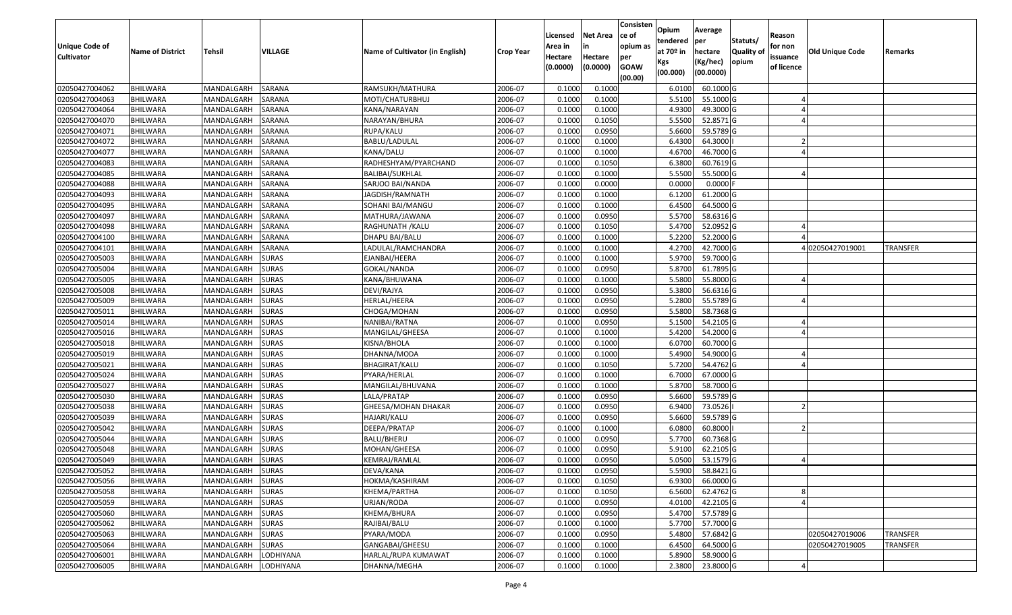| Unique Code of<br><b>Cultivator</b> | <b>Name of District</b> | <b>Tehsil</b>    | VILLAGE       | Name of Cultivator (in English) | <b>Crop Year</b> | Licensed<br>Area in<br>Hectare<br>(0.0000) | <b>Net Area</b><br>in<br>Hectare<br>(0.0000) | Consisten<br>ce of<br>opium as<br>per<br><b>GOAW</b><br>(00.00) | Opium<br>tendered<br>at $70°$ in<br>Kgs<br>(00.000) | Average<br>per<br>hectare<br>(Kg/hec)<br>(00.0000) | Statuts/<br><b>Quality o</b><br>opium | Reason<br>for non<br>issuance<br>of licence | <b>Old Unique Code</b> | Remarks         |
|-------------------------------------|-------------------------|------------------|---------------|---------------------------------|------------------|--------------------------------------------|----------------------------------------------|-----------------------------------------------------------------|-----------------------------------------------------|----------------------------------------------------|---------------------------------------|---------------------------------------------|------------------------|-----------------|
| 02050427004062                      | <b>BHILWARA</b>         | MANDALGARH       | <b>SARANA</b> | RAMSUKH/MATHURA                 | 2006-07          | 0.1000                                     | 0.1000                                       |                                                                 | 6.0100                                              | 60.1000 G                                          |                                       |                                             |                        |                 |
| 02050427004063                      | <b>BHILWARA</b>         | MANDALGARH       | SARANA        | MOTI/CHATURBHUJ                 | 2006-07          | 0.1000                                     | 0.1000                                       |                                                                 | 5.5100                                              | 55.1000 G                                          |                                       |                                             |                        |                 |
| 02050427004064                      | BHILWARA                | MANDALGARH       | SARANA        | KANA/NARAYAN                    | 2006-07          | 0.1000                                     | 0.1000                                       |                                                                 | 4.9300                                              | 49.3000 G                                          |                                       |                                             |                        |                 |
| 02050427004070                      | <b>BHILWARA</b>         | MANDALGARH       | <b>SARANA</b> | NARAYAN/BHURA                   | 2006-07          | 0.1000                                     | 0.1050                                       |                                                                 | 5.5500                                              | 52.8571 G                                          |                                       |                                             |                        |                 |
| 02050427004071                      | BHILWARA                | MANDALGARH       | SARANA        | RUPA/KALU                       | 2006-07          | 0.1000                                     | 0.0950                                       |                                                                 | 5.6600                                              | 59.5789 G                                          |                                       |                                             |                        |                 |
| 02050427004072                      | <b>BHILWARA</b>         | MANDALGARH       | SARANA        | BABLU/LADULAL                   | 2006-07          | 0.1000                                     | 0.1000                                       |                                                                 | 6.4300                                              | 64.3000                                            |                                       |                                             |                        |                 |
| 02050427004077                      | BHILWARA                | MANDALGARH       | SARANA        | KANA/DALU                       | 2006-07          | 0.1000                                     | 0.1000                                       |                                                                 | 4.6700                                              | 46.7000G                                           |                                       |                                             |                        |                 |
| 02050427004083                      | <b>BHILWARA</b>         | MANDALGARH       | SARANA        | RADHESHYAM/PYARCHAND            | 2006-07          | 0.1000                                     | 0.1050                                       |                                                                 | 6.3800                                              | 60.7619G                                           |                                       |                                             |                        |                 |
| 02050427004085                      | <b>BHILWARA</b>         | MANDALGARH       | SARANA        | <b>BALIBAI/SUKHLAL</b>          | 2006-07          | 0.1000                                     | 0.1000                                       |                                                                 | 5.5500                                              | 55.5000G                                           |                                       |                                             |                        |                 |
| 02050427004088                      | <b>BHILWARA</b>         | MANDALGARH       | SARANA        | SARJOO BAI/NANDA                | 2006-07          | 0.1000                                     | 0.0000                                       |                                                                 | 0.0000                                              | $0.0000$ F                                         |                                       |                                             |                        |                 |
| 02050427004093                      | BHILWARA                | MANDALGARH       | SARANA        | JAGDISH/RAMNATH                 | 2006-07          | 0.1000                                     | 0.1000                                       |                                                                 | 6.1200                                              | 61.2000 G                                          |                                       |                                             |                        |                 |
| 02050427004095                      | <b>BHILWARA</b>         | MANDALGARH       | SARANA        | SOHANI BAI/MANGU                | 2006-07          | 0.1000                                     | 0.1000                                       |                                                                 | 6.4500                                              | 64.5000 G                                          |                                       |                                             |                        |                 |
| 02050427004097                      | <b>BHILWARA</b>         | MANDALGARH       | <b>SARANA</b> | MATHURA/JAWANA                  | 2006-07          | 0.1000                                     | 0.0950                                       |                                                                 | 5.5700                                              | 58.6316 G                                          |                                       |                                             |                        |                 |
| 02050427004098                      | <b>BHILWARA</b>         | MANDALGARH       | SARANA        | RAGHUNATH /KALU                 | 2006-07          | 0.1000                                     | 0.1050                                       |                                                                 | 5.4700                                              | 52.0952 G                                          |                                       |                                             |                        |                 |
| 02050427004100                      | BHILWARA                | MANDALGARH       | SARANA        | DHAPU BAI/BALU                  | 2006-07          | 0.1000                                     | 0.1000                                       |                                                                 | 5.2200                                              | 52.2000 G                                          |                                       |                                             |                        |                 |
| 02050427004101                      | <b>BHILWARA</b>         | MANDALGARH       | SARANA        | LADULAL/RAMCHANDRA              | 2006-07          | 0.1000                                     | 0.1000                                       |                                                                 | 4.2700                                              | 42.7000 G                                          |                                       |                                             | 402050427019001        | <b>TRANSFER</b> |
| 02050427005003                      | <b>BHILWARA</b>         | MANDALGARH       | <b>SURAS</b>  | EJANBAI/HEERA                   | 2006-07          | 0.1000                                     | 0.1000                                       |                                                                 | 5.9700                                              | 59.7000 G                                          |                                       |                                             |                        |                 |
| 02050427005004                      | BHILWARA                | MANDALGARH       | <b>SURAS</b>  | GOKAL/NANDA                     | 2006-07          | 0.1000                                     | 0.0950                                       |                                                                 | 5.8700                                              | 61.7895 G                                          |                                       |                                             |                        |                 |
| 02050427005005                      | <b>BHILWARA</b>         | MANDALGARH       | <b>SURAS</b>  | KANA/BHUWANA                    | 2006-07          | 0.1000                                     | 0.1000                                       |                                                                 | 5.5800                                              | 55.8000 G                                          |                                       |                                             |                        |                 |
| 02050427005008                      | BHILWARA                | MANDALGARH       | <b>SURAS</b>  | DEVI/RAJYA                      | 2006-07          | 0.1000                                     | 0.0950                                       |                                                                 | 5.3800                                              | 56.6316 G                                          |                                       |                                             |                        |                 |
| 02050427005009                      | <b>BHILWARA</b>         | MANDALGARH       | <b>SURAS</b>  | HERLAL/HEERA                    | 2006-07          | 0.1000                                     | 0.0950                                       |                                                                 | 5.2800                                              | 55.5789 G                                          |                                       |                                             |                        |                 |
| 02050427005011                      | BHILWARA                | MANDALGARH       | <b>SURAS</b>  | CHOGA/MOHAN                     | 2006-07          | 0.1000                                     | 0.0950                                       |                                                                 | 5.5800                                              | 58.7368 G                                          |                                       |                                             |                        |                 |
| 02050427005014                      | BHILWARA                | MANDALGARH       | <b>SURAS</b>  | NANIBAI/RATNA                   | 2006-07          | 0.1000                                     | 0.0950                                       |                                                                 | 5.1500                                              | 54.2105 G                                          |                                       |                                             |                        |                 |
| 02050427005016                      | BHILWARA                | MANDALGARH       | <b>SURAS</b>  | MANGILAL/GHEESA                 | 2006-07          | 0.1000                                     | 0.1000                                       |                                                                 | 5.4200                                              | 54.2000 G                                          |                                       |                                             |                        |                 |
| 02050427005018                      | <b>BHILWARA</b>         | MANDALGARH       | <b>SURAS</b>  | KISNA/BHOLA                     | 2006-07          | 0.1000                                     | 0.1000                                       |                                                                 | 6.0700                                              | 60.7000 G                                          |                                       |                                             |                        |                 |
| 02050427005019                      | BHILWARA                | MANDALGARH       | <b>SURAS</b>  | DHANNA/MODA                     | 2006-07          | 0.1000                                     | 0.1000                                       |                                                                 | 5.4900                                              | 54.9000G                                           |                                       |                                             |                        |                 |
| 02050427005021                      | <b>BHILWARA</b>         | MANDALGARH       | <b>SURAS</b>  | BHAGIRAT/KALU                   | 2006-07          | 0.1000                                     | 0.1050                                       |                                                                 | 5.7200                                              | 54.4762 G                                          |                                       |                                             |                        |                 |
| 02050427005024                      | BHILWARA                | MANDALGARH       | <b>SURAS</b>  | PYARA/HERLAL                    | 2006-07          | 0.1000                                     | 0.1000                                       |                                                                 | 6.7000                                              | 67.0000 G                                          |                                       |                                             |                        |                 |
| 02050427005027                      | <b>BHILWARA</b>         | MANDALGARH       | <b>SURAS</b>  | MANGILAL/BHUVANA                | 2006-07          | 0.1000                                     | 0.1000                                       |                                                                 | 5.8700                                              | 58.7000 G                                          |                                       |                                             |                        |                 |
| 02050427005030                      | BHILWARA                | MANDALGARH       | <b>SURAS</b>  | LALA/PRATAP                     | 2006-07          | 0.1000                                     | 0.0950                                       |                                                                 | 5.6600                                              | 59.5789 G                                          |                                       |                                             |                        |                 |
| 02050427005038                      | <b>BHILWARA</b>         | MANDALGARH       | <b>SURAS</b>  | GHEESA/MOHAN DHAKAR             | 2006-07          | 0.1000                                     | 0.0950                                       |                                                                 | 6.9400                                              | 73.0526                                            |                                       |                                             |                        |                 |
| 02050427005039                      | BHILWARA                | MANDALGARH       | <b>SURAS</b>  | HAJARI/KALU                     | 2006-07          | 0.1000                                     | 0.0950                                       |                                                                 | 5.6600                                              | 59.5789 G                                          |                                       |                                             |                        |                 |
| 02050427005042                      | <b>BHILWARA</b>         | MANDALGARH       | <b>SURAS</b>  | DEEPA/PRATAP                    | 2006-07          | 0.1000                                     | 0.1000                                       |                                                                 | 6.0800                                              | 60.8000                                            |                                       |                                             |                        |                 |
| 02050427005044                      | BHILWARA                | MANDALGARH       | <b>SURAS</b>  | BALU/BHERU                      | 2006-07          | 0.1000                                     | 0.0950                                       |                                                                 | 5.7700                                              | 60.7368 G                                          |                                       |                                             |                        |                 |
| 02050427005048                      | <b>BHILWARA</b>         | MANDALGARH       | <b>SURAS</b>  | MOHAN/GHEESA                    | 2006-07          | 0.1000                                     | 0.0950                                       |                                                                 | 5.9100                                              | 62.2105 G                                          |                                       |                                             |                        |                 |
| 02050427005049                      | <b>BHILWARA</b>         | MANDALGARH       | <b>SURAS</b>  | KEMRAJ/RAMLAL                   | 2006-07          | 0.1000                                     | 0.0950                                       |                                                                 | 5.0500                                              | 53.1579 G                                          |                                       |                                             |                        |                 |
| 02050427005052                      | <b>BHILWARA</b>         | MANDALGARH SURAS |               | DEVA/KANA                       | 2006-07          | 0.1000                                     | 0.0950                                       |                                                                 | 5.5900                                              | 58.8421G                                           |                                       |                                             |                        |                 |
| 02050427005056                      | <b>BHILWARA</b>         | MANDALGARH       | <b>SURAS</b>  | HOKMA/KASHIRAM                  | 2006-07          | 0.1000                                     | 0.1050                                       |                                                                 | 6.9300                                              | 66.0000 G                                          |                                       |                                             |                        |                 |
| 02050427005058                      | <b>BHILWARA</b>         | MANDALGARH       | <b>SURAS</b>  | KHEMA/PARTHA                    | 2006-07          | 0.1000                                     | 0.1050                                       |                                                                 | 6.5600                                              | 62.4762 G                                          |                                       |                                             |                        |                 |
| 02050427005059                      | <b>BHILWARA</b>         | MANDALGARH       | <b>SURAS</b>  | URJAN/RODA                      | 2006-07          | 0.1000                                     | 0.0950                                       |                                                                 | 4.0100                                              | 42.2105 G                                          |                                       |                                             |                        |                 |
| 02050427005060                      | <b>BHILWARA</b>         | MANDALGARH       | <b>SURAS</b>  | KHEMA/BHURA                     | 2006-07          | 0.1000                                     | 0.0950                                       |                                                                 | 5.4700                                              | 57.5789 G                                          |                                       |                                             |                        |                 |
| 02050427005062                      | <b>BHILWARA</b>         | MANDALGARH       | <b>SURAS</b>  | RAJIBAI/BALU                    | 2006-07          | 0.1000                                     | 0.1000                                       |                                                                 | 5.7700                                              | 57.7000 G                                          |                                       |                                             |                        |                 |
| 02050427005063                      | <b>BHILWARA</b>         | MANDALGARH       | <b>SURAS</b>  | PYARA/MODA                      | 2006-07          | 0.1000                                     | 0.0950                                       |                                                                 | 5.4800                                              | 57.6842 G                                          |                                       |                                             | 02050427019006         | <b>TRANSFER</b> |
| 02050427005064                      | <b>BHILWARA</b>         | MANDALGARH       | <b>SURAS</b>  | GANGABAI/GHEESU                 | 2006-07          | 0.1000                                     | 0.1000                                       |                                                                 | 6.4500                                              | 64.5000G                                           |                                       |                                             | 02050427019005         | <b>TRANSFER</b> |
| 02050427006001                      | <b>BHILWARA</b>         | MANDALGARH       | LODHIYANA     | HARLAL/RUPA KUMAWAT             | 2006-07          | 0.1000                                     | 0.1000                                       |                                                                 | 5.8900                                              | 58.9000 G                                          |                                       |                                             |                        |                 |
| 02050427006005                      | <b>BHILWARA</b>         | MANDALGARH       | LODHIYANA     | DHANNA/MEGHA                    | 2006-07          | 0.1000                                     | 0.1000                                       |                                                                 | 2.3800                                              | 23.8000 G                                          |                                       |                                             |                        |                 |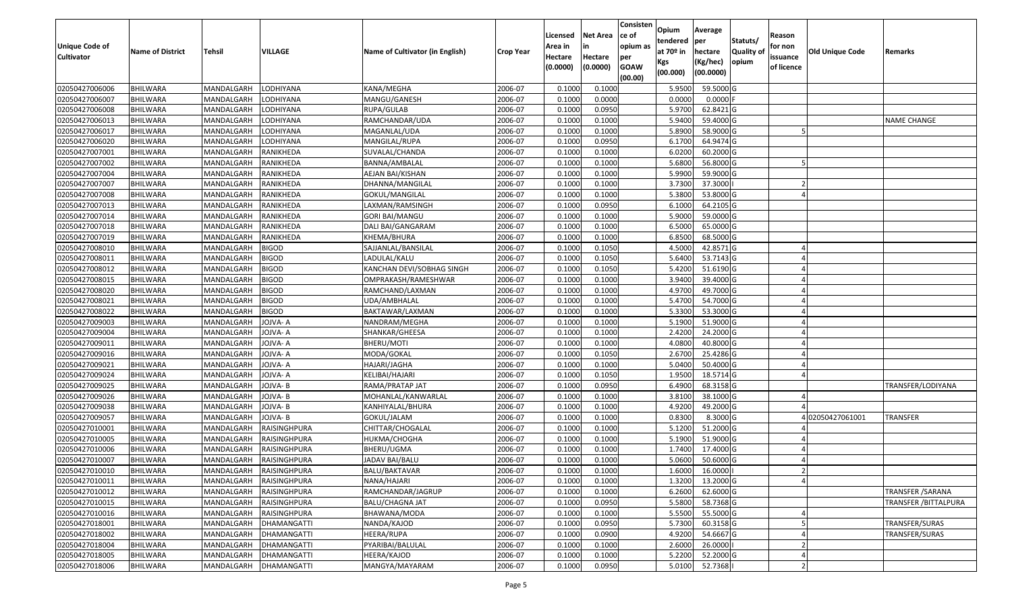| <b>Unique Code of</b><br><b>Cultivator</b> | <b>Name of District</b> | <b>Tehsil</b> | VILLAGE            | Name of Cultivator (in English) | Crop Year | Licensed<br>Area in<br>Hectare<br>(0.0000) | <b>Net Area</b><br>in<br>Hectare<br>(0.0000) | Consisten<br>ce of<br>opium as<br>per<br><b>GOAW</b><br>(00.00) | <b>Opium</b><br>tendered<br>at 70º in<br>Kgs<br>(00.000) | Average<br><b>per</b><br>hectare<br>(Kg/hec)<br>(00.0000) | Statuts/<br><b>Quality of</b><br>opium | Reason<br>for non<br>issuance<br>of licence | <b>Old Unique Code</b> | Remarks                      |
|--------------------------------------------|-------------------------|---------------|--------------------|---------------------------------|-----------|--------------------------------------------|----------------------------------------------|-----------------------------------------------------------------|----------------------------------------------------------|-----------------------------------------------------------|----------------------------------------|---------------------------------------------|------------------------|------------------------------|
| 02050427006006                             | <b>BHILWARA</b>         | MANDALGARH    | LODHIYANA          | KANA/MEGHA                      | 2006-07   | 0.1000                                     | 0.1000                                       |                                                                 | 5.9500                                                   | 59.5000 G                                                 |                                        |                                             |                        |                              |
| 02050427006007                             | <b>BHILWARA</b>         | MANDALGARH    | LODHIYANA          | MANGU/GANESH                    | 2006-07   | 0.1000                                     | 0.0000                                       |                                                                 | 0.0000                                                   | $0.0000$ F                                                |                                        |                                             |                        |                              |
| 02050427006008                             | <b>BHILWARA</b>         | MANDALGARH    | LODHIYANA          | RUPA/GULAB                      | 2006-07   | 0.1000                                     | 0.0950                                       |                                                                 | 5.9700                                                   | 62.8421 G                                                 |                                        |                                             |                        |                              |
| 02050427006013                             | <b>BHILWARA</b>         | MANDALGARH    | LODHIYANA          | RAMCHANDAR/UDA                  | 2006-07   | 0.1000                                     | 0.1000                                       |                                                                 | 5.9400                                                   | 59.4000 G                                                 |                                        |                                             |                        | <b>NAME CHANGE</b>           |
| 02050427006017                             | <b>BHILWARA</b>         | MANDALGARH    | LODHIYANA          | MAGANLAL/UDA                    | 2006-07   | 0.1000                                     | 0.1000                                       |                                                                 | 5.8900                                                   | 58.9000 G                                                 |                                        |                                             |                        |                              |
| 02050427006020                             | <b>BHILWARA</b>         | MANDALGARH    | LODHIYANA          | MANGILAL/RUPA                   | 2006-07   | 0.1000                                     | 0.0950                                       |                                                                 | 6.1700                                                   | 64.9474 G                                                 |                                        |                                             |                        |                              |
| 02050427007001                             | <b>BHILWARA</b>         | MANDALGARH    | RANIKHEDA          | SUVALAL/CHANDA                  | 2006-07   | 0.1000                                     | 0.1000                                       |                                                                 | 6.0200                                                   | 60.2000 G                                                 |                                        |                                             |                        |                              |
| 02050427007002                             | <b>BHILWARA</b>         | MANDALGARH    | RANIKHEDA          | BANNA/AMBALAL                   | 2006-07   | 0.1000                                     | 0.1000                                       |                                                                 | 5.6800                                                   | 56.8000 G                                                 |                                        |                                             |                        |                              |
| 02050427007004                             | <b>BHILWARA</b>         | MANDALGARH    | RANIKHEDA          | AEJAN BAI/KISHAN                | 2006-07   | 0.1000                                     | 0.1000                                       |                                                                 | 5.9900                                                   | 59.9000 G                                                 |                                        |                                             |                        |                              |
| 02050427007007                             | <b>BHILWARA</b>         | MANDALGARH    | RANIKHEDA          | DHANNA/MANGILAL                 | 2006-07   | 0.1000                                     | 0.1000                                       |                                                                 | 3.7300                                                   | 37.3000                                                   |                                        |                                             |                        |                              |
| 02050427007008                             | <b>BHILWARA</b>         | MANDALGARH    | RANIKHEDA          | GOKUL/MANGILAL                  | 2006-07   | 0.1000                                     | 0.1000                                       |                                                                 | 5.3800                                                   | 53.8000 G                                                 |                                        |                                             |                        |                              |
| 02050427007013                             | <b>BHILWARA</b>         | MANDALGARH    | RANIKHEDA          | LAXMAN/RAMSINGH                 | 2006-07   | 0.1000                                     | 0.0950                                       |                                                                 | 6.1000                                                   | 64.2105 G                                                 |                                        |                                             |                        |                              |
| 02050427007014                             | <b>BHILWARA</b>         | MANDALGARH    | RANIKHEDA          | <b>GORI BAI/MANGU</b>           | 2006-07   | 0.1000                                     | 0.1000                                       |                                                                 | 5.9000                                                   | 59.0000 G                                                 |                                        |                                             |                        |                              |
| 02050427007018                             | <b>BHILWARA</b>         | MANDALGARH    | RANIKHEDA          | DALI BAI/GANGARAM               | 2006-07   | 0.1000                                     | 0.1000                                       |                                                                 | 6.5000                                                   | 65.0000 G                                                 |                                        |                                             |                        |                              |
| 02050427007019                             | <b>BHILWARA</b>         | MANDALGARH    | RANIKHEDA          | KHEMA/BHURA                     | 2006-07   | 0.1000                                     | 0.1000                                       |                                                                 | 6.8500                                                   | 68.5000 G                                                 |                                        |                                             |                        |                              |
| 02050427008010                             | <b>BHILWARA</b>         | MANDALGARH    | <b>BIGOD</b>       | SAJJANLAL/BANSILAL              | 2006-07   | 0.1000                                     | 0.1050                                       |                                                                 | 4.5000                                                   | 42.8571 G                                                 |                                        |                                             |                        |                              |
| 02050427008011                             | <b>BHILWARA</b>         | MANDALGARH    | <b>BIGOD</b>       | LADULAL/KALU                    | 2006-07   | 0.1000                                     | 0.1050                                       |                                                                 | 5.6400                                                   | 53.7143 G                                                 |                                        |                                             |                        |                              |
| 02050427008012                             | <b>BHILWARA</b>         | MANDALGARH    | <b>BIGOD</b>       | KANCHAN DEVI/SOBHAG SINGH       | 2006-07   | 0.1000                                     | 0.1050                                       |                                                                 | 5.4200                                                   | 51.6190 G                                                 |                                        |                                             |                        |                              |
| 02050427008015                             | <b>BHILWARA</b>         | MANDALGARH    | <b>BIGOD</b>       | OMPRAKASH/RAMESHWAR             | 2006-07   | 0.1000                                     | 0.1000                                       |                                                                 | 3.9400                                                   | 39.4000 G                                                 |                                        |                                             |                        |                              |
| 02050427008020                             | <b>BHILWARA</b>         | MANDALGARH    | <b>BIGOD</b>       | RAMCHAND/LAXMAN                 | 2006-07   | 0.1000                                     | 0.1000                                       |                                                                 | 4.9700                                                   | 49.7000 G                                                 |                                        |                                             |                        |                              |
| 02050427008021                             | <b>BHILWARA</b>         | MANDALGARH    | <b>BIGOD</b>       | UDA/AMBHALAI                    | 2006-07   | 0.1000                                     | 0.1000                                       |                                                                 | 5.4700                                                   | 54.7000 G                                                 |                                        |                                             |                        |                              |
| 02050427008022                             | <b>BHILWARA</b>         | MANDALGARH    | <b>BIGOD</b>       | BAKTAWAR/LAXMAN                 | 2006-07   | 0.1000                                     | 0.1000                                       |                                                                 | 5.3300                                                   | 53.3000 G                                                 |                                        |                                             |                        |                              |
| 02050427009003                             | <b>BHILWARA</b>         | MANDALGARH    | JOJVA- A           | NANDRAM/MEGHA                   | 2006-07   | 0.1000                                     | 0.1000                                       |                                                                 | 5.1900                                                   | 51.9000 G                                                 |                                        |                                             |                        |                              |
| 02050427009004                             | <b>BHILWARA</b>         | MANDALGARH    | JOJVA- A           | SHANKAR/GHEESA                  | 2006-07   | 0.1000                                     | 0.1000                                       |                                                                 | 2.4200                                                   | 24.2000 G                                                 |                                        |                                             |                        |                              |
| 02050427009011                             | <b>BHILWARA</b>         | MANDALGARH    | JOJVA-A            | BHERU/MOTI                      | 2006-07   | 0.1000                                     | 0.1000                                       |                                                                 | 4.0800                                                   | 40.8000 G                                                 |                                        |                                             |                        |                              |
| 02050427009016                             | <b>BHILWARA</b>         | MANDALGARH    | JOJVA- A           | MODA/GOKAL                      | 2006-07   | 0.1000                                     | 0.1050                                       |                                                                 | 2.6700                                                   | 25.4286 G                                                 |                                        |                                             |                        |                              |
| 02050427009021                             | <b>BHILWARA</b>         | MANDALGARH    | JOJVA- A           | HAJARI/JAGHA                    | 2006-07   | 0.1000                                     | 0.1000                                       |                                                                 | 5.0400                                                   | 50.4000 G                                                 |                                        |                                             |                        |                              |
| 02050427009024                             | <b>BHILWARA</b>         | MANDALGARH    | JOJVA- A           | KELIBAI/HAJARI                  | 2006-07   | 0.1000                                     | 0.1050                                       |                                                                 | 1.9500                                                   | 18.5714 G                                                 |                                        |                                             |                        |                              |
| 02050427009025                             | <b>BHILWARA</b>         | MANDALGARH    | JOJVA- B           | RAMA/PRATAP JAT                 | 2006-07   | 0.1000                                     | 0.0950                                       |                                                                 | 6.4900                                                   | 68.3158 G                                                 |                                        |                                             |                        | TRANSFER/LODIYANA            |
| 02050427009026                             | <b>BHILWARA</b>         | MANDALGARH    | JOJVA- B           | MOHANLAL/KANWARLAL              | 2006-07   | 0.1000                                     | 0.1000                                       |                                                                 | 3.8100                                                   | 38.1000 G                                                 |                                        |                                             |                        |                              |
| 02050427009038                             | <b>BHILWARA</b>         | MANDALGARH    | JOJVA- B           | KANHIYALAL/BHURA                | 2006-07   | 0.1000                                     | 0.1000                                       |                                                                 | 4.9200                                                   | 49.2000 G                                                 |                                        |                                             |                        |                              |
| 02050427009057                             | BHILWARA                | MANDALGARH    | JOJVA- B           | GOKUL/JALAM                     | 2006-07   | 0.1000                                     | 0.1000                                       |                                                                 | 0.8300                                                   | 8.3000 G                                                  |                                        |                                             | 02050427061001         | TRANSFER                     |
| 02050427010001                             | <b>BHILWARA</b>         | MANDALGARH    | RAISINGHPURA       | CHITTAR/CHOGALAL                | 2006-07   | 0.1000                                     | 0.1000                                       |                                                                 | 5.1200                                                   | 51.2000 G                                                 |                                        |                                             |                        |                              |
| 02050427010005                             | <b>BHILWARA</b>         | MANDALGARH    | RAISINGHPURA       | HUKMA/CHOGHA                    | 2006-07   | 0.1000                                     | 0.1000                                       |                                                                 | 5.1900                                                   | 51.9000 G                                                 |                                        |                                             |                        |                              |
| 02050427010006                             | <b>BHILWARA</b>         | MANDALGARH    | RAISINGHPURA       | BHERU/UGMA                      | 2006-07   | 0.1000                                     | 0.1000                                       |                                                                 | 1.7400                                                   | 17.4000 G                                                 |                                        |                                             |                        |                              |
| 02050427010007                             | <b>BHILWARA</b>         | MANDALGARH    | RAISINGHPURA       | JADAV BAI/BALU                  | 2006-07   | 0.1000                                     | 0.1000                                       |                                                                 | 5.0600                                                   | 50.6000 G                                                 |                                        |                                             |                        |                              |
| 02050427010010                             | <b>BHILWARA</b>         | MANDALGARH    | RAISINGHPURA       | BALU/BAKTAVAR                   | 2006-07   | 0.1000                                     | 0.1000                                       |                                                                 | 1.6000                                                   | 16.0000 l                                                 |                                        |                                             |                        |                              |
| 02050427010011                             | BHILWARA                | MANDALGARH    | RAISINGHPURA       | NANA/HAJARI                     | 2006-07   | 0.1000                                     | 0.1000                                       |                                                                 | 1.3200                                                   | 13.2000 G                                                 |                                        |                                             |                        |                              |
| 02050427010012                             | <b>BHILWARA</b>         | MANDALGARH    | RAISINGHPURA       | RAMCHANDAR/JAGRUP               | 2006-07   | 0.1000                                     | 0.1000                                       |                                                                 | 6.2600                                                   | 62.6000 G                                                 |                                        |                                             |                        | <b>TRANSFER / SARANA</b>     |
| 02050427010015                             | <b>BHILWARA</b>         | MANDALGARH    | RAISINGHPURA       | <b>BALU/CHAGNA JAT</b>          | 2006-07   | 0.1000                                     | 0.0950                                       |                                                                 | 5.5800                                                   | 58.7368 G                                                 |                                        |                                             |                        | <b>TRANSFER / BITTALPURA</b> |
| 02050427010016                             | <b>BHILWARA</b>         | MANDALGARH    | RAISINGHPURA       | BHAWANA/MODA                    | 2006-07   | 0.1000                                     | 0.1000                                       |                                                                 | 5.5500                                                   | 55.5000 G                                                 |                                        |                                             |                        |                              |
| 02050427018001                             | <b>BHILWARA</b>         | MANDALGARH    | DHAMANGATTI        | NANDA/KAJOD                     | 2006-07   | 0.1000                                     | 0.0950                                       |                                                                 | 5.7300                                                   | 60.3158 G                                                 |                                        |                                             |                        | TRANSFER/SURAS               |
| 02050427018002                             | <b>BHILWARA</b>         | MANDALGARH    | DHAMANGATTI        | HEERA/RUPA                      | 2006-07   | 0.1000                                     | 0.0900                                       |                                                                 | 4.9200                                                   | 54.6667 G                                                 |                                        |                                             |                        | TRANSFER/SURAS               |
| 02050427018004                             | <b>BHILWARA</b>         | MANDALGARH    | DHAMANGATTI        | PYARIBAI/BALULAL                | 2006-07   | 0.1000                                     | 0.1000                                       |                                                                 | 2.6000                                                   | 26.0000                                                   |                                        |                                             |                        |                              |
| 02050427018005                             | <b>BHILWARA</b>         | MANDALGARH    | <b>DHAMANGATTI</b> | HEERA/KAJOD                     | 2006-07   | 0.1000                                     | 0.1000                                       |                                                                 | 5.2200                                                   | 52.2000 G                                                 |                                        |                                             |                        |                              |
| 02050427018006                             | <b>BHILWARA</b>         | MANDALGARH    | DHAMANGATTI        | MANGYA/MAYARAM                  | 2006-07   | 0.1000                                     | 0.0950                                       |                                                                 | 5.0100                                                   | 52.7368                                                   |                                        |                                             |                        |                              |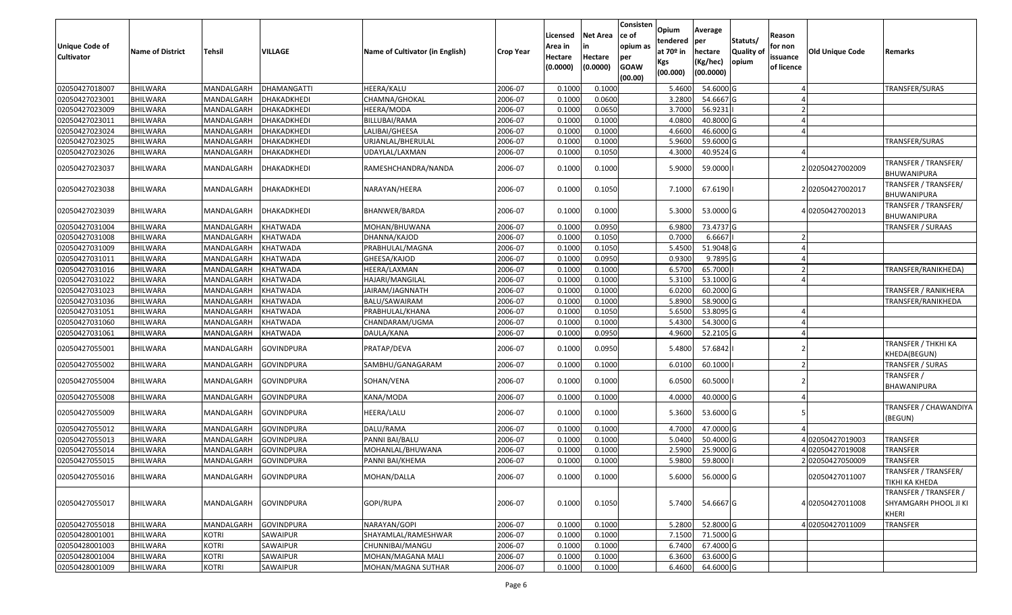| Unique Code of<br>Cultivator | <b>Name of District</b> | <b>Tehsil</b>     | VILLAGE           | Name of Cultivator (in English) | <b>Crop Year</b> | Licensed<br>Area in<br>Hectare<br>(0.0000) | Net Area<br>Hectare<br>(0.0000) | Consisten<br>ce of<br>opium as<br>per<br><b>GOAW</b><br>(00.00) | Opium<br>tendered<br>at 70º in<br>Kgs<br>(00.000) | Average<br>per<br>hectare<br>(Kg/hec)<br>(00.0000) | Statuts/<br>Quality of<br>opium | Reason<br>for non<br>issuance<br>of licence | Old Unique Code  | Remarks                                                 |
|------------------------------|-------------------------|-------------------|-------------------|---------------------------------|------------------|--------------------------------------------|---------------------------------|-----------------------------------------------------------------|---------------------------------------------------|----------------------------------------------------|---------------------------------|---------------------------------------------|------------------|---------------------------------------------------------|
| 02050427018007               | <b>BHILWARA</b>         | MANDALGARH        | DHAMANGATTI       | HEERA/KALU                      | 2006-07          | 0.1000                                     | 0.1000                          |                                                                 | 5.4600                                            | 54.6000 G                                          |                                 |                                             |                  | <b>TRANSFER/SURAS</b>                                   |
| 02050427023001               | <b>BHILWARA</b>         | MANDALGARH        | DHAKADKHEDI       | CHAMNA/GHOKAL                   | 2006-07          | 0.1000                                     | 0.0600                          |                                                                 | 3.2800                                            | 54.6667 G                                          |                                 |                                             |                  |                                                         |
| 02050427023009               | <b>BHILWARA</b>         | MANDALGARH        | DHAKADKHEDI       | HEERA/MODA                      | 2006-07          | 0.1000                                     | 0.0650                          |                                                                 | 3.7000                                            | 56.9231                                            |                                 |                                             |                  |                                                         |
| 02050427023011               | <b>BHILWARA</b>         | MANDALGARH        | DHAKADKHEDI       | BILLUBAI/RAMA                   | 2006-07          | 0.1000                                     | 0.1000                          |                                                                 | 4.0800                                            | 40.8000 G                                          |                                 |                                             |                  |                                                         |
| 02050427023024               | <b>BHILWARA</b>         | MANDALGARH        | DHAKADKHEDI       | LALIBAI/GHEESA                  | 2006-07          | 0.1000                                     | 0.1000                          |                                                                 | 4.6600                                            | 46.6000 G                                          |                                 |                                             |                  |                                                         |
| 02050427023025               | <b>BHILWARA</b>         | MANDALGARH        | DHAKADKHEDI       | URJANLAL/BHERULAL               | 2006-07          | 0.1000                                     | 0.1000                          |                                                                 | 5.9600                                            | 59.6000 G                                          |                                 |                                             |                  | TRANSFER/SURAS                                          |
| 02050427023026               | BHILWARA                | MANDALGARH        | DHAKADKHEDI       | JDAYLAL/LAXMAN                  | 2006-07          | 0.1000                                     | 0.1050                          |                                                                 | 4.3000                                            | 40.9524 G                                          |                                 |                                             |                  |                                                         |
| 02050427023037               | <b>BHILWARA</b>         | MANDALGARH        | DHAKADKHEDI       | RAMESHCHANDRA/NANDA             | 2006-07          | 0.1000                                     | 0.1000                          |                                                                 | 5.9000                                            | 59.0000                                            |                                 |                                             | 202050427002009  | TRANSFER / TRANSFER/<br>BHUWANIPURA                     |
| 02050427023038               | <b>BHILWARA</b>         | MANDALGARH        | DHAKADKHEDI       | NARAYAN/HEERA                   | 2006-07          | 0.1000                                     | 0.1050                          |                                                                 | 7.1000                                            | 67.6190                                            |                                 |                                             | 202050427002017  | TRANSFER / TRANSFER/<br>BHUWANIPURA                     |
| 02050427023039               | <b>BHILWARA</b>         | MANDALGARH        | DHAKADKHEDI       | BHANWER/BARDA                   | 2006-07          | 0.1000                                     | 0.1000                          |                                                                 | 5.3000                                            | 53.0000 G                                          |                                 |                                             | 402050427002013  | TRANSFER / TRANSFER/<br>BHUWANIPURA                     |
| 02050427031004               | <b>BHILWARA</b>         | MANDALGARH        | <b>KHATWADA</b>   | MOHAN/BHUWANA                   | 2006-07          | 0.1000                                     | 0.0950                          |                                                                 | 6.980                                             | 73.4737 G                                          |                                 |                                             |                  | <b>TRANSFER / SURAAS</b>                                |
| 02050427031008               | <b>BHILWARA</b>         | MANDALGARH        | KHATWADA          | DHANNA/KAJOD                    | 2006-07          | 0.1000                                     | 0.1050                          |                                                                 | 0.7000                                            | 6.6667                                             |                                 |                                             |                  |                                                         |
| 02050427031009               | <b>BHILWARA</b>         | MANDALGARH        | KHATWADA          | PRABHULAL/MAGNA                 | 2006-07          | 0.1000                                     | 0.1050                          |                                                                 | 5.4500                                            | 51.9048 G                                          |                                 |                                             |                  |                                                         |
| 02050427031011               | <b>BHILWARA</b>         | MANDALGARH        | KHATWADA          | GHEESA/KAJOD                    | 2006-07          | 0.1000                                     | 0.0950                          |                                                                 | 0.9300                                            | 9.7895 G                                           |                                 |                                             |                  |                                                         |
| 02050427031016               | <b>BHILWARA</b>         | MANDALGARH        | KHATWADA          | HEERA/LAXMAN                    | 2006-07          | 0.1000                                     | 0.1000                          |                                                                 | 6.5700                                            | 65.7000                                            |                                 |                                             |                  | TRANSFER/RANIKHEDA)                                     |
| 02050427031022               | <b>BHILWARA</b>         | MANDALGARH        | KHATWADA          | HAJARI/MANGILAL                 | 2006-07          | 0.1000                                     | 0.1000                          |                                                                 | 5.3100                                            | 53.1000 G                                          |                                 |                                             |                  |                                                         |
| 02050427031023               | <b>BHILWARA</b>         | MANDALGARH        | KHATWADA          | JAIRAM/JAGNNATH                 | 2006-07          | 0.1000                                     | 0.1000                          |                                                                 | 6.0200                                            | 60.2000 G                                          |                                 |                                             |                  | TRANSFER / RANIKHERA                                    |
| 02050427031036               | <b>BHILWARA</b>         | MANDALGARH        | <b>KHATWADA</b>   | BALU/SAWAIRAM                   | 2006-07          | 0.1000                                     | 0.1000                          |                                                                 | 5.8900                                            | 58.9000 G                                          |                                 |                                             |                  | TRANSFER/RANIKHEDA                                      |
| 02050427031051               | <b>BHILWARA</b>         | MANDALGARH        | KHATWADA          | PRABHULAL/KHANA                 | 2006-07          | 0.1000                                     | 0.1050                          |                                                                 | 5.6500                                            | 53.8095 G                                          |                                 |                                             |                  |                                                         |
| 02050427031060               | <b>BHILWARA</b>         | MANDALGARH        | KHATWADA          | CHANDARAM/UGMA                  | 2006-07          | 0.1000                                     | 0.1000                          |                                                                 | 5.4300                                            | 54.3000 G                                          |                                 |                                             |                  |                                                         |
| 02050427031061               | BHILWARA                | MANDALGARH        | KHATWADA          | DAULA/KANA                      | 2006-07          | 0.1000                                     | 0.0950                          |                                                                 | 4.9600                                            | 52.2105 G                                          |                                 |                                             |                  |                                                         |
| 02050427055001               | <b>BHILWARA</b>         | MANDALGARH        | <b>GOVINDPURA</b> | PRATAP/DEVA                     | 2006-07          | 0.1000                                     | 0.0950                          |                                                                 | 5.4800                                            | 57.6842                                            |                                 |                                             |                  | TRANSFER / THKHI KA<br>KHEDA(BEGUN)                     |
| 02050427055002               | <b>BHILWARA</b>         | MANDALGARH        | <b>GOVINDPURA</b> | SAMBHU/GANAGARAM                | 2006-07          | 0.1000                                     | 0.1000                          |                                                                 | 6.010                                             | 60.1000                                            |                                 | $\overline{2}$                              |                  | TRANSFER / SURAS                                        |
| 02050427055004               | <b>BHILWARA</b>         | MANDALGARH        | <b>GOVINDPURA</b> | SOHAN/VENA                      | 2006-07          | 0.1000                                     | 0.1000                          |                                                                 | 6.0500                                            | 60.5000                                            |                                 |                                             |                  | TRANSFER /<br>BHAWANIPURA                               |
| 02050427055008               | <b>BHILWARA</b>         | MANDALGARH        | <b>GOVINDPURA</b> | KANA/MODA                       | 2006-07          | 0.1000                                     | 0.1000                          |                                                                 | 4.0000                                            | 40.0000 G                                          |                                 |                                             |                  |                                                         |
| 02050427055009               | <b>BHILWARA</b>         | MANDALGARH        | <b>GOVINDPURA</b> | HEERA/LALU                      | 2006-07          | 0.1000                                     | 0.1000                          |                                                                 | 5.3600                                            | 53.6000 G                                          |                                 |                                             |                  | TRANSFER / CHAWANDIYA<br>(BEGUN)                        |
| 02050427055012               | <b>BHILWARA</b>         | MANDALGARH        | <b>GOVINDPURA</b> | DALU/RAMA                       | 2006-07          | 0.1000                                     | 0.1000                          |                                                                 | 4.7000                                            | 47.0000 G                                          |                                 |                                             |                  |                                                         |
| 02050427055013               | <b>BHILWARA</b>         | MANDALGARH        | <b>GOVINDPURA</b> | PANNI BAI/BALU                  | 2006-07          | 0.1000                                     | 0.1000                          |                                                                 | 5.0400                                            | 50.4000 G                                          |                                 |                                             | 402050427019003  | <b>TRANSFER</b>                                         |
| 02050427055014               | <b>BHILWARA</b>         | MANDALGARH        | <b>GOVINDPURA</b> | MOHANLAL/BHUWANA                | 2006-07          | 0.1000                                     | 0.1000                          |                                                                 | 2.590                                             | 25.9000 G                                          |                                 |                                             | 402050427019008  | <b>TRANSFER</b>                                         |
| 02050427055015               | BHILWARA                | MANDALGARH        | <b>GOVINDPURA</b> | PANNI BAI/KHEMA                 | 2006-07          | 0.1000                                     | 0.1000                          |                                                                 | 5.9800                                            | 59.8000                                            |                                 |                                             | 202050427050009  | <b>TRANSFER</b>                                         |
| 02050427055016               | <b>BHILWARA</b>         | MANDALGARH        | <b>GOVINDPURA</b> | MOHAN/DALLA                     | 2006-07          | 0.1000                                     | 0.1000                          |                                                                 | 5.6000                                            | 56.0000 G                                          |                                 |                                             | 02050427011007   | TRANSFER / TRANSFER/<br><b>TIKHI KA KHEDA</b>           |
| 02050427055017               | <b>BHILWARA</b>         | <b>MANDALGARH</b> | <b>GOVINDPURA</b> | GOPI/RUPA                       | 2006-07          | 0.1000                                     | 0.1050                          |                                                                 | 5.7400                                            | 54.6667 G                                          |                                 |                                             | 4 02050427011008 | TRANSFER / TRANSFER /<br>SHYAMGARH PHOOL JI KI<br>KHERI |
| 02050427055018               | <b>BHILWARA</b>         | MANDALGARH        | <b>GOVINDPURA</b> | NARAYAN/GOPI                    | 2006-07          | 0.1000                                     | 0.1000                          |                                                                 | 5.2800                                            | 52.8000 G                                          |                                 |                                             | 4 02050427011009 | <b>TRANSFER</b>                                         |
| 02050428001001               | BHILWARA                | <b>KOTRI</b>      | SAWAIPUR          | SHAYAMLAL/RAMESHWAR             | 2006-07          | 0.1000                                     | 0.1000                          |                                                                 | 7.1500                                            | 71.5000 G                                          |                                 |                                             |                  |                                                         |
| 02050428001003               | <b>BHILWARA</b>         | <b>KOTRI</b>      | SAWAIPUR          | CHUNNIBAI/MANGU                 | 2006-07          | 0.1000                                     | 0.1000                          |                                                                 | 6.7400                                            | 67.4000 G                                          |                                 |                                             |                  |                                                         |
| 02050428001004               | <b>BHILWARA</b>         | <b>KOTRI</b>      | SAWAIPUR          | MOHAN/MAGANA MALI               | 2006-07          | 0.1000                                     | 0.1000                          |                                                                 | 6.3600                                            | 63.6000 G                                          |                                 |                                             |                  |                                                         |
| 02050428001009               | BHILWARA                | <b>KOTRI</b>      | SAWAIPUR          | MOHAN/MAGNA SUTHAR              | 2006-07          | 0.1000                                     | 0.1000                          |                                                                 | 6.4600                                            | 64.6000 G                                          |                                 |                                             |                  |                                                         |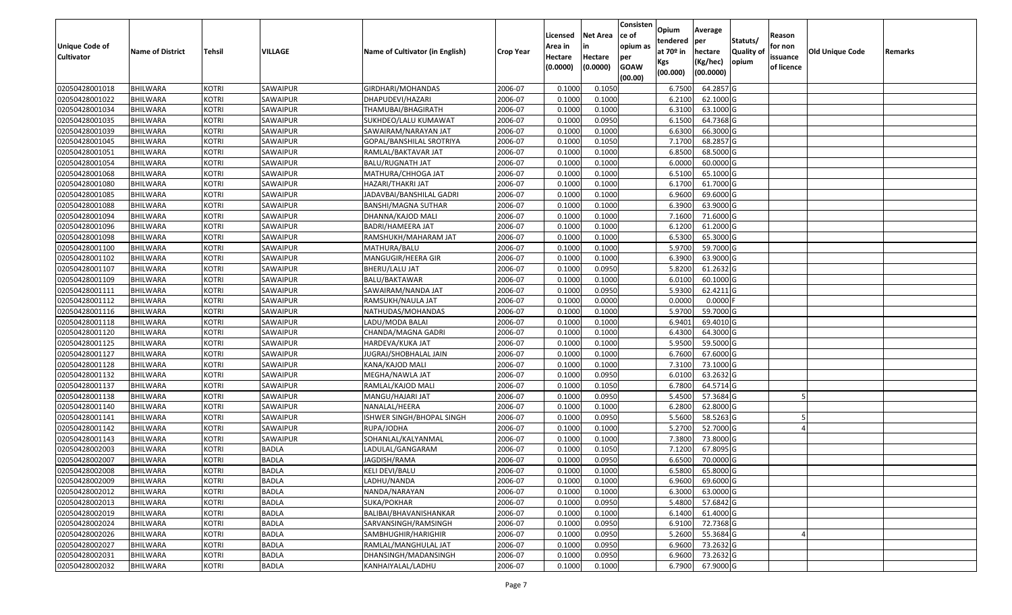| <b>Unique Code of</b><br><b>Cultivator</b> | <b>Name of District</b> | Tehsil       | VILLAGE      | Name of Cultivator (in English) | <b>Crop Year</b> | Licensed<br>Area in<br>Hectare | <b>Net Area</b><br>in<br>Hectare | Consisten<br>ce of<br>opium as<br>per | Opium<br>tendered<br>at $70°$ in | Average<br>per<br>hectare | Statuts/<br><b>Quality o</b> | Reason<br>for non<br>issuance | Old Unique Code | Remarks |
|--------------------------------------------|-------------------------|--------------|--------------|---------------------------------|------------------|--------------------------------|----------------------------------|---------------------------------------|----------------------------------|---------------------------|------------------------------|-------------------------------|-----------------|---------|
|                                            |                         |              |              |                                 |                  | (0.0000)                       | (0.0000)                         | <b>GOAW</b><br>(00.00)                | Kgs<br>(00.000)                  | (Kg/hec)<br>(00.0000)     | opium                        | of licence                    |                 |         |
| 02050428001018                             | <b>BHILWARA</b>         | <b>KOTRI</b> | SAWAIPUR     | GIRDHARI/MOHANDAS               | 2006-07          | 0.1000                         | 0.1050                           |                                       | 6.7500                           | 64.2857 G                 |                              |                               |                 |         |
| 02050428001022                             | <b>BHILWARA</b>         | <b>KOTRI</b> | SAWAIPUR     | DHAPUDEVI/HAZARI                | 2006-07          | 0.1000                         | 0.1000                           |                                       | 6.2100                           | 62.1000G                  |                              |                               |                 |         |
| 02050428001034                             | BHILWARA                | <b>KOTRI</b> | SAWAIPUR     | THAMUBAI/BHAGIRATH              | 2006-07          | 0.1000                         | 0.1000                           |                                       | 6.3100                           | 63.1000G                  |                              |                               |                 |         |
| 02050428001035                             | <b>BHILWARA</b>         | <b>KOTRI</b> | SAWAIPUR     | SUKHDEO/LALU KUMAWAT            | 2006-07          | 0.1000                         | 0.0950                           |                                       | 6.1500                           | 64.7368 G                 |                              |                               |                 |         |
| 02050428001039                             | BHILWARA                | <b>KOTRI</b> | SAWAIPUR     | SAWAIRAM/NARAYAN JAT            | 2006-07          | 0.1000                         | 0.1000                           |                                       | 6.6300                           | 66.3000 G                 |                              |                               |                 |         |
| 02050428001045                             | <b>BHILWARA</b>         | <b>KOTRI</b> | SAWAIPUR     | GOPAL/BANSHILAL SROTRIYA        | 2006-07          | 0.1000                         | 0.1050                           |                                       | 7.1700                           | 68.2857 G                 |                              |                               |                 |         |
| 02050428001051                             | BHILWARA                | <b>KOTRI</b> | SAWAIPUR     | RAMLAL/BAKTAVAR JAT             | 2006-07          | 0.1000                         | 0.1000                           |                                       | 6.8500                           | 68.5000 G                 |                              |                               |                 |         |
| 02050428001054                             | <b>BHILWARA</b>         | <b>KOTRI</b> | SAWAIPUR     | <b>BALU/RUGNATH JAT</b>         | 2006-07          | 0.1000                         | 0.1000                           |                                       | 6.0000                           | 60.0000G                  |                              |                               |                 |         |
| 02050428001068                             | BHILWARA                | <b>KOTRI</b> | SAWAIPUR     | MATHURA/CHHOGA JAT              | 2006-07          | 0.1000                         | 0.1000                           |                                       | 6.5100                           | 65.1000G                  |                              |                               |                 |         |
| 02050428001080                             | BHILWARA                | <b>KOTRI</b> | SAWAIPUR     | HAZARI/THAKRI JAT               | 2006-07          | 0.1000                         | 0.1000                           |                                       | 6.1700                           | 61.7000G                  |                              |                               |                 |         |
| 02050428001085                             | BHILWARA                | <b>KOTRI</b> | SAWAIPUR     | JADAVBAI/BANSHILAL GADRI        | 2006-07          | 0.1000                         | 0.1000                           |                                       | 6.9600                           | 69.6000 G                 |                              |                               |                 |         |
| 02050428001088                             | <b>BHILWARA</b>         | <b>KOTRI</b> | SAWAIPUR     | BANSHI/MAGNA SUTHAR             | 2006-07          | 0.1000                         | 0.1000                           |                                       | 6.3900                           | 63.9000 G                 |                              |                               |                 |         |
| 02050428001094                             | <b>BHILWARA</b>         | <b>KOTRI</b> | SAWAIPUR     | DHANNA/KAJOD MALI               | 2006-07          | 0.1000                         | 0.1000                           |                                       | 7.1600                           | 71.6000 G                 |                              |                               |                 |         |
| 02050428001096                             | <b>BHILWARA</b>         | <b>KOTRI</b> | SAWAIPUR     | BADRI/HAMEERA JAT               | 2006-07          | 0.100                          | 0.1000                           |                                       | 6.1200                           | 61.2000 G                 |                              |                               |                 |         |
| 02050428001098                             | BHILWARA                | <b>KOTRI</b> | SAWAIPUR     | RAMSHUKH/MAHARAM JAT            | 2006-07          | 0.1000                         | 0.1000                           |                                       | 6.5300                           | 65.3000G                  |                              |                               |                 |         |
| 02050428001100                             | <b>BHILWARA</b>         | <b>KOTRI</b> | SAWAIPUR     | MATHURA/BALU                    | 2006-07          | 0.1000                         | 0.1000                           |                                       | 5.9700                           | 59.7000G                  |                              |                               |                 |         |
| 02050428001102                             | <b>BHILWARA</b>         | <b>KOTRI</b> | SAWAIPUR     | MANGUGIR/HEERA GIR              | 2006-07          | 0.100                          | 0.1000                           |                                       | 6.3900                           | 63.9000G                  |                              |                               |                 |         |
| 02050428001107                             | <b>BHILWARA</b>         | <b>KOTRI</b> | SAWAIPUR     | BHERU/LALU JAT                  | 2006-07          | 0.1000                         | 0.0950                           |                                       | 5.8200                           | 61.2632 G                 |                              |                               |                 |         |
| 02050428001109                             | BHILWARA                | <b>KOTRI</b> | SAWAIPUR     | BALU/BAKTAWAR                   | 2006-07          | 0.1000                         | 0.1000                           |                                       | 6.0100                           | 60.1000 G                 |                              |                               |                 |         |
| 02050428001111                             | BHILWARA                | <b>KOTRI</b> | SAWAIPUR     | SAWAIRAM/NANDA JAT              | 2006-07          | 0.1000                         | 0.0950                           |                                       | 5.9300                           | $62.4211$ G               |                              |                               |                 |         |
| 02050428001112                             | <b>BHILWARA</b>         | <b>KOTRI</b> | SAWAIPUR     | RAMSUKH/NAULA JAT               | 2006-07          | 0.100                          | 0.0000                           |                                       | 0.0000                           | $0.0000$ F                |                              |                               |                 |         |
| 02050428001116                             | BHILWARA                | <b>KOTRI</b> | SAWAIPUR     | NATHUDAS/MOHANDAS               | 2006-07          | 0.100                          | 0.1000                           |                                       | 5.9700                           | 59.7000 G                 |                              |                               |                 |         |
| 02050428001118                             | <b>BHILWARA</b>         | <b>KOTRI</b> | SAWAIPUR     | LADU/MODA BALAI                 | 2006-07          | 0.1000                         | 0.1000                           |                                       | 6.9401                           | 69.4010 G                 |                              |                               |                 |         |
| 02050428001120                             | BHILWARA                | <b>KOTRI</b> | SAWAIPUR     | CHANDA/MAGNA GADRI              | 2006-07          | 0.1000                         | 0.1000                           |                                       | 6.4300                           | 64.3000 G                 |                              |                               |                 |         |
| 02050428001125                             | <b>BHILWARA</b>         | <b>KOTRI</b> | SAWAIPUR     | HARDEVA/KUKA JAT                | 2006-07          | 0.1000                         | 0.1000                           |                                       | 5.9500                           | 59.5000G                  |                              |                               |                 |         |
| 02050428001127                             | BHILWARA                | <b>KOTRI</b> | SAWAIPUR     | JUGRAJ/SHOBHALAL JAIN           | 2006-07          | 0.1000                         | 0.1000                           |                                       | 6.7600                           | 67.6000 G                 |                              |                               |                 |         |
| 02050428001128                             | <b>BHILWARA</b>         | <b>KOTRI</b> | SAWAIPUR     | KANA/KAJOD MALI                 | 2006-07          | 0.1000                         | 0.1000                           |                                       | 7.3100                           | 73.1000 G                 |                              |                               |                 |         |
| 02050428001132                             | BHILWARA                | <b>KOTRI</b> | SAWAIPUR     | MEGHA/NAWLA JAT                 | 2006-07          | 0.1000                         | 0.0950                           |                                       | 6.0100                           | 63.2632 G                 |                              |                               |                 |         |
| 02050428001137                             | <b>BHILWARA</b>         | <b>KOTRI</b> | SAWAIPUR     | RAMLAL/KAJOD MALI               | 2006-07          | 0.1000                         | 0.1050                           |                                       | 6.7800                           | 64.5714 G                 |                              |                               |                 |         |
| 02050428001138                             | <b>BHILWARA</b>         | <b>KOTRI</b> | SAWAIPUR     | MANGU/HAJARI JAT                | 2006-07          | 0.1000                         | 0.0950                           |                                       | 5.4500                           | 57.3684 G                 |                              |                               |                 |         |
| 02050428001140                             | BHILWARA                | <b>KOTRI</b> | SAWAIPUR     | NANALAL/HEERA                   | 2006-07          | 0.1000                         | 0.1000                           |                                       | 6.2800                           | 62.8000 G                 |                              |                               |                 |         |
| 02050428001141                             | BHILWARA                | <b>KOTRI</b> | SAWAIPUR     | ISHWER SINGH/BHOPAL SINGH       | 2006-07          | 0.1000                         | 0.0950                           |                                       | 5.5600                           | 58.5263 G                 |                              |                               |                 |         |
| 02050428001142                             | <b>BHILWARA</b>         | <b>KOTRI</b> | SAWAIPUR     | RUPA/JODHA                      | 2006-07          | 0.1000                         | 0.1000                           |                                       | 5.2700                           | 52.7000 G                 |                              |                               |                 |         |
| 02050428001143                             | BHILWARA                | <b>KOTRI</b> | SAWAIPUR     | SOHANLAL/KALYANMAL              | 2006-07          | 0.1000                         | 0.1000                           |                                       | 7.3800                           | 73.8000G                  |                              |                               |                 |         |
| 02050428002003                             | BHILWARA                | <b>KOTRI</b> | <b>BADLA</b> | LADULAL/GANGARAM                | 2006-07          | 0.1000                         | 0.1050                           |                                       | 7.1200                           | 67.8095 G                 |                              |                               |                 |         |
| 02050428002007                             | BHILWARA                | <b>KOTRI</b> | <b>BADLA</b> | JAGDISH/RAMA                    | 2006-07          | 0.1000                         | 0.0950                           |                                       | 6.6500                           | 70.0000G                  |                              |                               |                 |         |
| 02050428002008                             | <b>BHILWARA</b>         | <b>KOTRI</b> | <b>BADLA</b> | <b>KELI DEVI/BALU</b>           | 2006-07          | 0.1000                         | 0.1000                           |                                       | 6.5800                           | 65.8000 G                 |                              |                               |                 |         |
| 02050428002009                             | <b>BHILWARA</b>         | <b>KOTRI</b> | <b>BADLA</b> | LADHU/NANDA                     | 2006-07          | 0.1000                         | 0.1000                           |                                       | 6.9600                           | 69.6000 G                 |                              |                               |                 |         |
| 02050428002012                             | <b>BHILWARA</b>         | <b>KOTRI</b> | <b>BADLA</b> | NANDA/NARAYAN                   | 2006-07          | 0.1000                         | 0.1000                           |                                       | 6.3000                           | 63.0000 G                 |                              |                               |                 |         |
| 02050428002013                             | <b>BHILWARA</b>         | <b>KOTRI</b> | <b>BADLA</b> | SUKA/POKHAR                     | 2006-07          | 0.1000                         | 0.0950                           |                                       | 5.4800                           | 57.6842 G                 |                              |                               |                 |         |
| 02050428002019                             | <b>BHILWARA</b>         | <b>KOTRI</b> | <b>BADLA</b> | BALIBAI/BHAVANISHANKAR          | 2006-07          | 0.1000                         | 0.1000                           |                                       | 6.1400                           | 61.4000 G                 |                              |                               |                 |         |
| 02050428002024                             | <b>BHILWARA</b>         | <b>KOTRI</b> | <b>BADLA</b> | SARVANSINGH/RAMSINGH            | 2006-07          | 0.1000                         | 0.0950                           |                                       | 6.9100                           | 72.7368 G                 |                              |                               |                 |         |
| 02050428002026                             | <b>BHILWARA</b>         | <b>KOTRI</b> | <b>BADLA</b> | SAMBHUGHIR/HARIGHIR             | 2006-07          | 0.1000                         | 0.0950                           |                                       | 5.2600                           | 55.3684 G                 |                              |                               |                 |         |
| 02050428002027                             | <b>BHILWARA</b>         | <b>KOTRI</b> | <b>BADLA</b> | RAMLAL/MANGHULAL JAT            | 2006-07          | 0.1000                         | 0.0950                           |                                       | 6.9600                           | 73.2632 G                 |                              |                               |                 |         |
| 02050428002031                             | <b>BHILWARA</b>         | <b>KOTRI</b> | <b>BADLA</b> | DHANSINGH/MADANSINGH            | 2006-07          | 0.1000                         | 0.0950                           |                                       | 6.9600                           | 73.2632 G                 |                              |                               |                 |         |
| 02050428002032                             | <b>BHILWARA</b>         | <b>KOTRI</b> | <b>BADLA</b> | KANHAIYALAL/LADHU               | 2006-07          | 0.1000                         | 0.1000                           |                                       | 6.7900                           | 67.9000 G                 |                              |                               |                 |         |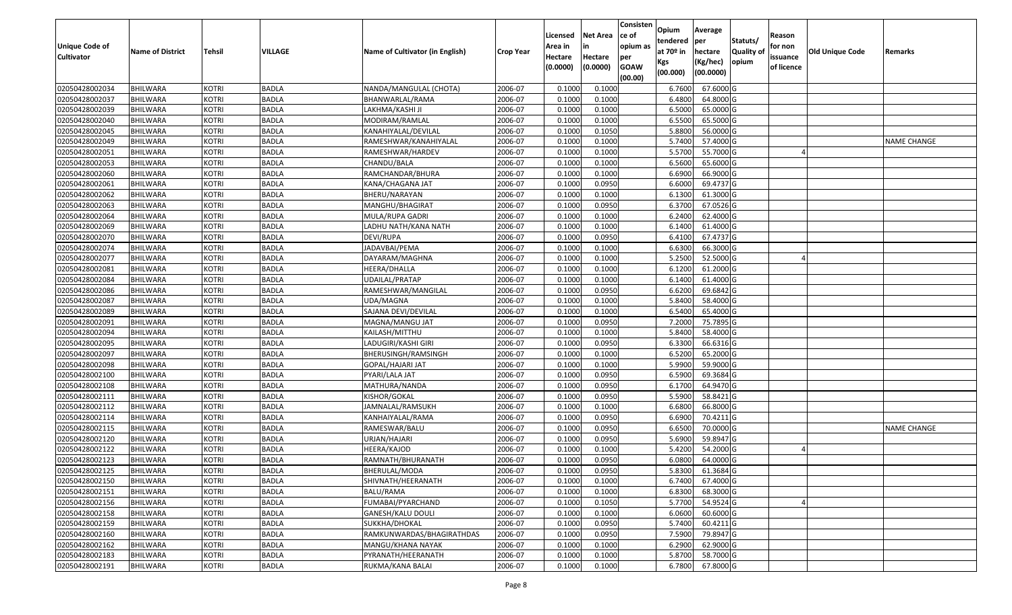| <b>Unique Code of</b><br><b>Cultivator</b> | <b>Name of District</b> | <b>Tehsil</b> | <b>VILLAGE</b> | Name of Cultivator (in English) | <b>Crop Year</b> | Licensed<br>Area in<br>Hectare<br>(0.0000) | <b>Net Area</b><br>in<br>Hectare<br>(0.0000) | Consisten<br>ce of<br>opium as<br>per<br><b>GOAW</b><br>(00.00) | Opium<br>tendered<br>at $70°$ in<br>Kgs<br>(00.000) | Average<br>per<br>hectare<br>(Kg/hec)<br>(00.0000) | Statuts/<br>Quality of<br>opium | Reason<br>for non<br>issuance<br>of licence | <b>Old Unique Code</b> | Remarks            |
|--------------------------------------------|-------------------------|---------------|----------------|---------------------------------|------------------|--------------------------------------------|----------------------------------------------|-----------------------------------------------------------------|-----------------------------------------------------|----------------------------------------------------|---------------------------------|---------------------------------------------|------------------------|--------------------|
| 02050428002034                             | <b>BHILWARA</b>         | <b>KOTRI</b>  | <b>BADLA</b>   | NANDA/MANGULAL (CHOTA)          | 2006-07          | 0.1000                                     | 0.1000                                       |                                                                 | 6.7600                                              | 67.6000 G                                          |                                 |                                             |                        |                    |
| 02050428002037                             | <b>BHILWARA</b>         | <b>KOTRI</b>  | <b>BADLA</b>   | BHANWARLAL/RAMA                 | 2006-07          | 0.1000                                     | 0.1000                                       |                                                                 | 6.4800                                              | 64.8000 G                                          |                                 |                                             |                        |                    |
| 02050428002039                             | BHILWARA                | <b>KOTRI</b>  | <b>BADLA</b>   | LAKHMA/KASHI JI                 | 2006-07          | 0.1000                                     | 0.1000                                       |                                                                 | 6.5000                                              | 65.0000G                                           |                                 |                                             |                        |                    |
| 02050428002040                             | <b>BHILWARA</b>         | <b>KOTRI</b>  | <b>BADLA</b>   | MODIRAM/RAMLAL                  | 2006-07          | 0.1000                                     | 0.1000                                       |                                                                 | 6.5500                                              | 65.5000G                                           |                                 |                                             |                        |                    |
| 02050428002045                             | <b>BHILWARA</b>         | <b>KOTRI</b>  | <b>BADLA</b>   | KANAHIYALAL/DEVILAL             | 2006-07          | 0.1000                                     | 0.1050                                       |                                                                 | 5.8800                                              | 56.0000 G                                          |                                 |                                             |                        |                    |
| 02050428002049                             | BHILWARA                | <b>KOTRI</b>  | <b>BADLA</b>   | RAMESHWAR/KANAHIYALAL           | 2006-07          | 0.1000                                     | 0.1000                                       |                                                                 | 5.7400                                              | 57.4000 G                                          |                                 |                                             |                        | <b>NAME CHANGE</b> |
| 02050428002051                             | <b>BHILWARA</b>         | <b>KOTRI</b>  | <b>BADLA</b>   | RAMESHWAR/HARDEV                | 2006-07          | 0.1000                                     | 0.1000                                       |                                                                 | 5.5700                                              | 55.7000 G                                          |                                 |                                             |                        |                    |
| 02050428002053                             | <b>BHILWARA</b>         | <b>KOTRI</b>  | <b>BADLA</b>   | CHANDU/BALA                     | 2006-07          | 0.1000                                     | 0.1000                                       |                                                                 | 6.5600                                              | 65.6000 G                                          |                                 |                                             |                        |                    |
| 02050428002060                             | <b>BHILWARA</b>         | <b>KOTRI</b>  | <b>BADLA</b>   | RAMCHANDAR/BHURA                | 2006-07          | 0.1000                                     | 0.1000                                       |                                                                 | 6.6900                                              | 66.9000 G                                          |                                 |                                             |                        |                    |
| 02050428002061                             | <b>BHILWARA</b>         | <b>KOTRI</b>  | <b>BADLA</b>   | KANA/CHAGANA JAT                | 2006-07          | 0.1000                                     | 0.0950                                       |                                                                 | 6.6000                                              | 69.4737 G                                          |                                 |                                             |                        |                    |
| 02050428002062                             | BHILWARA                | <b>KOTRI</b>  | <b>BADLA</b>   | BHERU/NARAYAN                   | 2006-07          | 0.1000                                     | 0.1000                                       |                                                                 | 6.1300                                              | 61.3000 G                                          |                                 |                                             |                        |                    |
| 02050428002063                             | <b>BHILWARA</b>         | <b>KOTRI</b>  | <b>BADLA</b>   | MANGHU/BHAGIRAT                 | 2006-07          | 0.1000                                     | 0.0950                                       |                                                                 | 6.3700                                              | 67.0526 G                                          |                                 |                                             |                        |                    |
| 02050428002064                             | BHILWARA                | <b>KOTRI</b>  | <b>BADLA</b>   | MULA/RUPA GADRI                 | 2006-07          | 0.1000                                     | 0.1000                                       |                                                                 | 6.2400                                              | 62.4000 G                                          |                                 |                                             |                        |                    |
| 02050428002069                             | <b>BHILWARA</b>         | <b>KOTRI</b>  | <b>BADLA</b>   | LADHU NATH/KANA NATH            | 2006-07          | 0.1000                                     | 0.1000                                       |                                                                 | 6.1400                                              | 61.4000 G                                          |                                 |                                             |                        |                    |
| 02050428002070                             | BHILWARA                | <b>KOTRI</b>  | <b>BADLA</b>   | DEVI/RUPA                       | 2006-07          | 0.1000                                     | 0.0950                                       |                                                                 | 6.4100                                              | 67.4737 G                                          |                                 |                                             |                        |                    |
| 02050428002074                             | <b>BHILWARA</b>         | <b>KOTRI</b>  | <b>BADLA</b>   | JADAVBAI/PEMA                   | 2006-07          | 0.1000                                     | 0.1000                                       |                                                                 | 6.6300                                              | 66.3000 G                                          |                                 |                                             |                        |                    |
| 02050428002077                             | <b>BHILWARA</b>         | <b>KOTRI</b>  | <b>BADLA</b>   | DAYARAM/MAGHNA                  | 2006-07          | 0.1000                                     | 0.1000                                       |                                                                 | 5.2500                                              | 52.5000G                                           |                                 |                                             |                        |                    |
| 02050428002081                             | <b>BHILWARA</b>         | <b>KOTRI</b>  | <b>BADLA</b>   | HEERA/DHALLA                    | 2006-07          | 0.1000                                     | 0.1000                                       |                                                                 | 6.1200                                              | 61.2000 G                                          |                                 |                                             |                        |                    |
| 02050428002084                             | BHILWARA                | <b>KOTRI</b>  | <b>BADLA</b>   | UDAILAL/PRATAP                  | 2006-07          | 0.1000                                     | 0.1000                                       |                                                                 | 6.1400                                              | 61.4000 G                                          |                                 |                                             |                        |                    |
| 02050428002086                             | <b>BHILWARA</b>         | <b>KOTRI</b>  | <b>BADLA</b>   | RAMESHWAR/MANGILAL              | 2006-07          | 0.1000                                     | 0.0950                                       |                                                                 | 6.6200                                              | 69.6842 G                                          |                                 |                                             |                        |                    |
| 02050428002087                             | <b>BHILWARA</b>         | <b>KOTRI</b>  | <b>BADLA</b>   | UDA/MAGNA                       | 2006-07          | 0.1000                                     | 0.1000                                       |                                                                 | 5.8400                                              | 58.4000 G                                          |                                 |                                             |                        |                    |
| 02050428002089                             | <b>BHILWARA</b>         | <b>KOTRI</b>  | <b>BADLA</b>   | SAJANA DEVI/DEVILAL             | 2006-07          | 0.1000                                     | 0.1000                                       |                                                                 | 6.5400                                              | 65.4000 G                                          |                                 |                                             |                        |                    |
| 02050428002091                             | BHILWARA                | <b>KOTRI</b>  | <b>BADLA</b>   | MAGNA/MANGU JAT                 | 2006-07          | 0.1000                                     | 0.0950                                       |                                                                 | 7.2000                                              | 75.7895 G                                          |                                 |                                             |                        |                    |
| 02050428002094                             | BHILWARA                | <b>KOTRI</b>  | <b>BADLA</b>   | KAILASH/MITTHU                  | 2006-07          | 0.1000                                     | 0.1000                                       |                                                                 | 5.8400                                              | 58.4000 G                                          |                                 |                                             |                        |                    |
| 02050428002095                             | <b>BHILWARA</b>         | <b>KOTRI</b>  | <b>BADLA</b>   | LADUGIRI/KASHI GIRI             | 2006-07          | 0.1000                                     | 0.0950                                       |                                                                 | 6.3300                                              | 66.6316 G                                          |                                 |                                             |                        |                    |
| 02050428002097                             | <b>BHILWARA</b>         | <b>KOTRI</b>  | <b>BADLA</b>   | BHERUSINGH/RAMSINGH             | 2006-07          | 0.1000                                     | 0.1000                                       |                                                                 | 6.5200                                              | 65.2000G                                           |                                 |                                             |                        |                    |
| 02050428002098                             | BHILWARA                | <b>KOTRI</b>  | <b>BADLA</b>   | GOPAL/HAJARI JAT                | 2006-07          | 0.100                                      | 0.1000                                       |                                                                 | 5.9900                                              | 59.9000G                                           |                                 |                                             |                        |                    |
| 02050428002100                             | BHILWARA                | <b>KOTRI</b>  | <b>BADLA</b>   | PYARI/LALA JAT                  | 2006-07          | 0.1000                                     | 0.0950                                       |                                                                 | 6.5900                                              | 69.3684 G                                          |                                 |                                             |                        |                    |
| 02050428002108                             | <b>BHILWARA</b>         | <b>KOTRI</b>  | <b>BADLA</b>   | MATHURA/NANDA                   | 2006-07          | 0.1000                                     | 0.0950                                       |                                                                 | 6.1700                                              | 64.9470 G                                          |                                 |                                             |                        |                    |
| 02050428002111                             | <b>BHILWARA</b>         | <b>KOTRI</b>  | <b>BADLA</b>   | KISHOR/GOKAL                    | 2006-07          | 0.1000                                     | 0.0950                                       |                                                                 | 5.5900                                              | 58.8421 G                                          |                                 |                                             |                        |                    |
| 02050428002112                             | <b>BHILWARA</b>         | <b>KOTRI</b>  | <b>BADLA</b>   | JAMNALAL/RAMSUKH                | 2006-07          | 0.1000                                     | 0.1000                                       |                                                                 | 6.6800                                              | 66.8000 G                                          |                                 |                                             |                        |                    |
| 02050428002114                             | BHILWARA                | <b>KOTRI</b>  | <b>BADLA</b>   | KANHAIYALAL/RAMA                | 2006-07          | 0.1000                                     | 0.0950                                       |                                                                 | 6.6900                                              | 70.4211G                                           |                                 |                                             |                        |                    |
| 02050428002115                             | <b>BHILWARA</b>         | <b>KOTRI</b>  | <b>BADLA</b>   | RAMESWAR/BALU                   | 2006-07          | 0.1000                                     | 0.0950                                       |                                                                 | 6.6500                                              | 70.0000G                                           |                                 |                                             |                        | <b>NAME CHANGE</b> |
| 02050428002120                             | BHILWARA                | <b>KOTRI</b>  | <b>BADLA</b>   | URJAN/HAJARI                    | 2006-07          | 0.1000                                     | 0.0950                                       |                                                                 | 5.6900                                              | 59.8947 G                                          |                                 |                                             |                        |                    |
| 02050428002122                             | <b>BHILWARA</b>         | <b>KOTRI</b>  | <b>BADLA</b>   | HEERA/KAJOD                     | 2006-07          | 0.1000                                     | 0.1000                                       |                                                                 | 5.4200                                              | 54.2000 G                                          |                                 |                                             |                        |                    |
| 02050428002123                             | <b>BHILWARA</b>         | <b>KOTRI</b>  | <b>BADLA</b>   | RAMNATH/BHURANATH               | 2006-07          | 0.1000                                     | 0.0950                                       |                                                                 | 6.0800                                              | 64.0000 G                                          |                                 |                                             |                        |                    |
| 02050428002125                             | <b>BHILWARA</b>         | <b>KOTRI</b>  | <b>BADLA</b>   | BHERULAL/MODA                   | 2006-07          | 0.1000                                     | 0.0950                                       |                                                                 | 5.8300                                              | $61.3684$ G                                        |                                 |                                             |                        |                    |
| 02050428002150                             | <b>BHILWARA</b>         | <b>KOTRI</b>  | <b>BADLA</b>   | SHIVNATH/HEERANATH              | 2006-07          | 0.1000                                     | 0.1000                                       |                                                                 | 6.7400                                              | 67.4000 G                                          |                                 |                                             |                        |                    |
| 02050428002151                             | <b>BHILWARA</b>         | <b>KOTRI</b>  | <b>BADLA</b>   | BALU/RAMA                       | 2006-07          | 0.1000                                     | 0.1000                                       |                                                                 | 6.8300                                              | 68.3000 G                                          |                                 |                                             |                        |                    |
| 02050428002156                             | BHILWARA                | <b>KOTRI</b>  | <b>BADLA</b>   | FUMABAI/PYARCHAND               | 2006-07          | 0.1000                                     | 0.1050                                       |                                                                 | 5.7700                                              | 54.9524 G                                          |                                 |                                             |                        |                    |
| 02050428002158                             | <b>BHILWARA</b>         | <b>KOTRI</b>  | <b>BADLA</b>   | <b>GANESH/KALU DOULI</b>        | 2006-07          | 0.1000                                     | 0.1000                                       |                                                                 | 6.0600                                              | 60.6000 G                                          |                                 |                                             |                        |                    |
| 02050428002159                             | <b>BHILWARA</b>         | <b>KOTRI</b>  | <b>BADLA</b>   | SUKKHA/DHOKAL                   | 2006-07          | 0.1000                                     | 0.0950                                       |                                                                 | 5.7400                                              | 60.4211 G                                          |                                 |                                             |                        |                    |
| 02050428002160                             | <b>BHILWARA</b>         | <b>KOTRI</b>  | <b>BADLA</b>   | RAMKUNWARDAS/BHAGIRATHDAS       | 2006-07          | 0.1000                                     | 0.0950                                       |                                                                 | 7.5900                                              | 79.8947 G                                          |                                 |                                             |                        |                    |
| 02050428002162                             | <b>BHILWARA</b>         | <b>KOTRI</b>  | <b>BADLA</b>   | MANGU/KHANA NAYAK               | 2006-07          | 0.1000                                     | 0.1000                                       |                                                                 | 6.2900                                              | 62.9000 G                                          |                                 |                                             |                        |                    |
| 02050428002183                             | <b>BHILWARA</b>         | <b>KOTRI</b>  | <b>BADLA</b>   | PYRANATH/HEERANATH              | 2006-07          | 0.1000                                     | 0.1000                                       |                                                                 | 5.8700                                              | 58.7000 G                                          |                                 |                                             |                        |                    |
| 02050428002191                             | <b>BHILWARA</b>         | <b>KOTRI</b>  | <b>BADLA</b>   | RUKMA/KANA BALAI                | 2006-07          | 0.1000                                     | 0.1000                                       |                                                                 | 6.7800                                              | 67.8000 G                                          |                                 |                                             |                        |                    |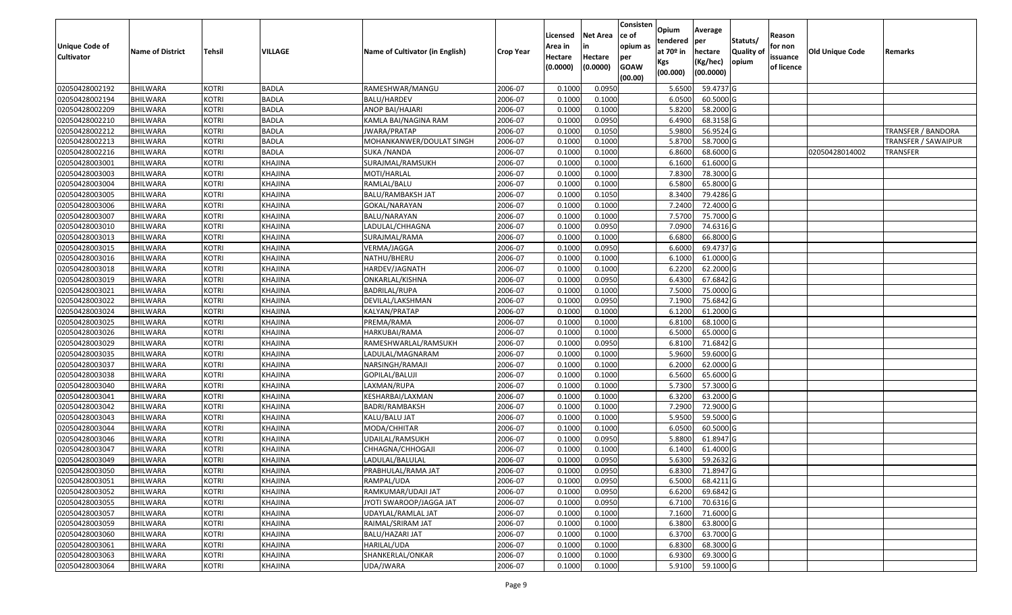| Unique Code of<br><b>Cultivator</b> | <b>Name of District</b> | <b>Tehsil</b> | VILLAGE        | Name of Cultivator (in English) | <b>Crop Year</b> | Licensed<br>Area in<br>Hectare<br>(0.0000) | Net Area<br>in<br>Hectare<br>(0.0000) | Consisten<br>ce of<br>opium as<br>per<br><b>GOAW</b><br>(00.00) | Opium<br>tendered<br>at 70º in<br>Kgs<br>(00.000) | Average<br><b>lper</b><br>hectare<br>(Kg/hec)<br>(00.0000) | Statuts/<br><b>Quality of</b><br>opium | Reason<br>for non<br>issuance<br>of licence | <b>Old Unique Code</b> | Remarks                   |
|-------------------------------------|-------------------------|---------------|----------------|---------------------------------|------------------|--------------------------------------------|---------------------------------------|-----------------------------------------------------------------|---------------------------------------------------|------------------------------------------------------------|----------------------------------------|---------------------------------------------|------------------------|---------------------------|
| 02050428002192                      | BHILWARA                | <b>KOTRI</b>  | <b>BADLA</b>   | RAMESHWAR/MANGU                 | 2006-07          | 0.1000                                     | 0.095                                 |                                                                 | 5.6500                                            | 59.4737 G                                                  |                                        |                                             |                        |                           |
| 02050428002194                      | <b>BHILWARA</b>         | <b>KOTRI</b>  | <b>BADLA</b>   | <b>BALU/HARDEV</b>              | 2006-07          | 0.1000                                     | 0.1000                                |                                                                 | 6.0500                                            | 60.5000 G                                                  |                                        |                                             |                        |                           |
| 02050428002209                      | <b>BHILWARA</b>         | <b>KOTRI</b>  | <b>BADLA</b>   | ANOP BAI/HAJARI                 | 2006-07          | 0.1000                                     | 0.1000                                |                                                                 | 5.8200                                            | 58.2000 G                                                  |                                        |                                             |                        |                           |
| 02050428002210                      | <b>BHILWARA</b>         | <b>KOTRI</b>  | <b>BADLA</b>   | KAMLA BAI/NAGINA RAM            | 2006-07          | 0.1000                                     | 0.0950                                |                                                                 | 6.4900                                            | 68.3158 G                                                  |                                        |                                             |                        |                           |
| 02050428002212                      | <b>BHILWARA</b>         | <b>KOTRI</b>  | <b>BADLA</b>   | JWARA/PRATAP                    | 2006-07          | 0.1000                                     | 0.1050                                |                                                                 | 5.9800                                            | 56.9524 G                                                  |                                        |                                             |                        | <b>TRANSFER / BANDORA</b> |
| 02050428002213                      | <b>BHILWARA</b>         | <b>KOTRI</b>  | <b>BADLA</b>   | MOHANKANWER/DOULAT SINGH        | 2006-07          | 0.1000                                     | 0.1000                                |                                                                 | 5.8700                                            | 58.7000 G                                                  |                                        |                                             |                        | TRANSFER / SAWAIPUR       |
| 02050428002216                      | <b>BHILWARA</b>         | <b>KOTRI</b>  | <b>BADLA</b>   | SUKA /NANDA                     | 2006-07          | 0.1000                                     | 0.1000                                |                                                                 | 6.8600                                            | 68.6000 G                                                  |                                        |                                             | 02050428014002         | TRANSFER                  |
| 02050428003001                      | <b>BHILWARA</b>         | <b>KOTRI</b>  | KHAJINA        | SURAJMAL/RAMSUKH                | 2006-07          | 0.1000                                     | 0.1000                                |                                                                 | 6.1600                                            | 61.6000 G                                                  |                                        |                                             |                        |                           |
| 02050428003003                      | <b>BHILWARA</b>         | <b>KOTRI</b>  | KHAJINA        | MOTI/HARLAL                     | 2006-07          | 0.1000                                     | 0.1000                                |                                                                 | 7.8300                                            | 78.3000 G                                                  |                                        |                                             |                        |                           |
| 02050428003004                      | <b>BHILWARA</b>         | KOTRI         | KHAJINA        | RAMLAL/BALU                     | 2006-07          | 0.1000                                     | 0.1000                                |                                                                 | 6.5800                                            | 65.8000 G                                                  |                                        |                                             |                        |                           |
| 02050428003005                      | BHILWARA                | <b>KOTRI</b>  | KHAJINA        | BALU/RAMBAKSH JAT               | 2006-07          | 0.1000                                     | 0.1050                                |                                                                 | 8.3400                                            | 79.4286 G                                                  |                                        |                                             |                        |                           |
| 02050428003006                      | <b>BHILWARA</b>         | <b>KOTRI</b>  | KHAJINA        | GOKAL/NARAYAN                   | 2006-07          | 0.1000                                     | 0.1000                                |                                                                 | 7.2400                                            | 72.4000 G                                                  |                                        |                                             |                        |                           |
| 02050428003007                      | <b>BHILWARA</b>         | <b>KOTRI</b>  | KHAJINA        | BALU/NARAYAN                    | 2006-07          | 0.1000                                     | 0.1000                                |                                                                 | 7.5700                                            | 75.7000 G                                                  |                                        |                                             |                        |                           |
| 02050428003010                      | <b>BHILWARA</b>         | <b>KOTRI</b>  | KHAJINA        | LADULAL/CHHAGNA                 | 2006-07          | 0.1000                                     | 0.0950                                |                                                                 | 7.0900                                            | 74.6316 G                                                  |                                        |                                             |                        |                           |
| 02050428003013                      | BHILWARA                | <b>KOTRI</b>  | KHAJINA        | SURAJMAL/RAMA                   | 2006-07          | 0.1000                                     | 0.1000                                |                                                                 | 6.6800                                            | 66.8000 G                                                  |                                        |                                             |                        |                           |
| 02050428003015                      | <b>BHILWARA</b>         | <b>KOTRI</b>  | KHAJINA        | VERMA/JAGGA                     | 2006-07          | 0.1000                                     | 0.0950                                |                                                                 | 6.6000                                            | 69.4737 G                                                  |                                        |                                             |                        |                           |
| 02050428003016                      | <b>BHILWARA</b>         | <b>KOTRI</b>  | KHAJINA        | NATHU/BHERU                     | 2006-07          | 0.1000                                     | 0.1000                                |                                                                 | 6.1000                                            | 61.0000 G                                                  |                                        |                                             |                        |                           |
| 02050428003018                      | <b>BHILWARA</b>         | <b>KOTRI</b>  | KHAJINA        | HARDEV/JAGNATH                  | 2006-07          | 0.1000                                     | 0.1000                                |                                                                 | 6.2200                                            | 62.2000 G                                                  |                                        |                                             |                        |                           |
| 02050428003019                      | <b>BHILWARA</b>         | <b>KOTRI</b>  | KHAJINA        | ONKARLAL/KISHNA                 | 2006-07          | 0.1000                                     | 0.0950                                |                                                                 | 6.4300                                            | 67.6842 G                                                  |                                        |                                             |                        |                           |
| 02050428003021                      | <b>BHILWARA</b>         | <b>KOTRI</b>  | KHAJINA        | <b>BADRILAL/RUPA</b>            | 2006-07          | 0.1000                                     | 0.1000                                |                                                                 | 7.5000                                            | 75.0000 G                                                  |                                        |                                             |                        |                           |
| 02050428003022                      | <b>BHILWARA</b>         | <b>KOTRI</b>  | KHAJINA        | DEVILAL/LAKSHMAN                | 2006-07          | 0.1000                                     | 0.0950                                |                                                                 | 7.1900                                            | 75.6842 G                                                  |                                        |                                             |                        |                           |
| 02050428003024                      | <b>BHILWARA</b>         | <b>KOTRI</b>  | KHAJINA        | KALYAN/PRATAP                   | 2006-07          | 0.1000                                     | 0.1000                                |                                                                 | 6.1200                                            | 61.2000 G                                                  |                                        |                                             |                        |                           |
| 02050428003025                      | BHILWARA                | <b>KOTRI</b>  | KHAJINA        | PREMA/RAMA                      | 2006-07          | 0.1000                                     | 0.1000                                |                                                                 | 6.8100                                            | 68.1000 G                                                  |                                        |                                             |                        |                           |
| 02050428003026                      | <b>BHILWARA</b>         | <b>KOTRI</b>  | KHAJINA        | HARKUBAI/RAMA                   | 2006-07          | 0.1000                                     | 0.1000                                |                                                                 | 6.5000                                            | 65.0000 G                                                  |                                        |                                             |                        |                           |
| 02050428003029                      | <b>BHILWARA</b>         | <b>KOTRI</b>  | KHAJINA        | RAMESHWARLAL/RAMSUKH            | 2006-07          | 0.1000                                     | 0.0950                                |                                                                 | 6.8100                                            | 71.6842 G                                                  |                                        |                                             |                        |                           |
| 02050428003035                      | <b>BHILWARA</b>         | <b>KOTRI</b>  | KHAJINA        | LADULAL/MAGNARAM                | 2006-07          | 0.1000                                     | 0.1000                                |                                                                 | 5.9600                                            | 59.6000 G                                                  |                                        |                                             |                        |                           |
| 02050428003037                      | <b>BHILWARA</b>         | <b>KOTRI</b>  | KHAJINA        | NARSINGH/RAMAJI                 | 2006-07          | 0.1000                                     | 0.1000                                |                                                                 | 6.2000                                            | 62.0000 G                                                  |                                        |                                             |                        |                           |
| 02050428003038                      | BHILWARA                | <b>KOTRI</b>  | KHAJINA        | GOPILAL/BALUJI                  | 2006-07          | 0.1000                                     | 0.1000                                |                                                                 | 6.5600                                            | 65.6000 G                                                  |                                        |                                             |                        |                           |
| 02050428003040                      | <b>BHILWARA</b>         | <b>KOTRI</b>  | KHAJINA        | LAXMAN/RUPA                     | 2006-07          | 0.1000                                     | 0.1000                                |                                                                 | 5.7300                                            | 57.3000 G                                                  |                                        |                                             |                        |                           |
| 02050428003041                      | <b>BHILWARA</b>         | <b>KOTRI</b>  | KHAJINA        | KESHARBAI/LAXMAN                | 2006-07          | 0.1000                                     | 0.1000                                |                                                                 | 6.3200                                            | 63.2000 G                                                  |                                        |                                             |                        |                           |
| 02050428003042                      | <b>BHILWARA</b>         | <b>KOTRI</b>  | KHAJINA        | BADRI/RAMBAKSH                  | 2006-07          | 0.1000                                     | 0.1000                                |                                                                 | 7.2900                                            | 72.9000 G                                                  |                                        |                                             |                        |                           |
| 02050428003043                      | BHILWARA                | <b>KOTRI</b>  | KHAJINA        | KALU/BALU JAT                   | 2006-07          | 0.1000                                     | 0.1000                                |                                                                 | 5.9500                                            | 59.5000 G                                                  |                                        |                                             |                        |                           |
| 02050428003044                      | <b>BHILWARA</b>         | <b>KOTRI</b>  | KHAJINA        | MODA/CHHITAR                    | 2006-07          | 0.1000                                     | 0.1000                                |                                                                 | 6.0500                                            | 60.5000 G                                                  |                                        |                                             |                        |                           |
| 02050428003046                      | <b>BHILWARA</b>         | <b>KOTRI</b>  | KHAJINA        | UDAILAL/RAMSUKH                 | 2006-07          | 0.1000                                     | 0.0950                                |                                                                 | 5.8800                                            | 61.8947 G                                                  |                                        |                                             |                        |                           |
| 02050428003047                      | <b>BHILWARA</b>         | KOTRI         | KHAJINA        | CHHAGNA/CHHOGAJI                | 2006-07          | 0.1000                                     | 0.1000                                |                                                                 | 6.1400                                            | 61.4000 G                                                  |                                        |                                             |                        |                           |
| 02050428003049                      | <b>BHILWARA</b>         | KOTRI         | KHAJINA        | LADULAL/BALULAL                 | 2006-07          | 0.1000                                     | 0.0950                                |                                                                 | 5.6300                                            | 59.2632 G                                                  |                                        |                                             |                        |                           |
| 02050428003050                      | <b>BHILWARA</b>         | KOTRI         | <b>KHAJINA</b> | PRABHULAL/RAMA JAT              | 2006-07          | 0.1000                                     | 0.0950                                |                                                                 |                                                   | 6.8300 71.8947 G                                           |                                        |                                             |                        |                           |
| 02050428003051                      | <b>BHILWARA</b>         | <b>KOTRI</b>  | KHAJINA        | RAMPAL/UDA                      | 2006-07          | 0.1000                                     | 0.0950                                |                                                                 | 6.5000                                            | 68.4211 G                                                  |                                        |                                             |                        |                           |
| 02050428003052                      | <b>BHILWARA</b>         | <b>KOTRI</b>  | KHAJINA        | RAMKUMAR/UDAJI JAT              | 2006-07          | 0.1000                                     | 0.0950                                |                                                                 | 6.6200                                            | 69.6842 G                                                  |                                        |                                             |                        |                           |
| 02050428003055                      | <b>BHILWARA</b>         | <b>KOTRI</b>  | KHAJINA        | JYOTI SWAROOP/JAGGA JAT         | 2006-07          | 0.1000                                     | 0.0950                                |                                                                 | 6.7100                                            | 70.6316 G                                                  |                                        |                                             |                        |                           |
| 02050428003057                      | <b>BHILWARA</b>         | <b>KOTRI</b>  | KHAJINA        | UDAYLAL/RAMLAL JAT              | 2006-07          | 0.1000                                     | 0.1000                                |                                                                 | 7.1600                                            | 71.6000 G                                                  |                                        |                                             |                        |                           |
| 02050428003059                      | <b>BHILWARA</b>         | <b>KOTRI</b>  | KHAJINA        | RAIMAL/SRIRAM JAT               | 2006-07          | 0.1000                                     | 0.1000                                |                                                                 | 6.3800                                            | 63.8000 G                                                  |                                        |                                             |                        |                           |
| 02050428003060                      | <b>BHILWARA</b>         | <b>KOTRI</b>  | KHAJINA        | BALU/HAZARI JAT                 | 2006-07          | 0.1000                                     | 0.1000                                |                                                                 | 6.3700                                            | 63.7000 G                                                  |                                        |                                             |                        |                           |
| 02050428003061                      | <b>BHILWARA</b>         | <b>KOTRI</b>  | KHAJINA        | HARILAL/UDA                     | 2006-07          | 0.1000                                     | 0.1000                                |                                                                 | 6.8300                                            | 68.3000 G                                                  |                                        |                                             |                        |                           |
| 02050428003063                      | <b>BHILWARA</b>         | <b>KOTRI</b>  | KHAJINA        | SHANKERLAL/ONKAR                | 2006-07          | 0.1000                                     | 0.1000                                |                                                                 | 6.9300                                            | 69.3000 G                                                  |                                        |                                             |                        |                           |
| 02050428003064                      | <b>BHILWARA</b>         | <b>KOTRI</b>  | KHAJINA        | UDA/JWARA                       | 2006-07          | 0.1000                                     | 0.1000                                |                                                                 | 5.9100                                            | 59.1000G                                                   |                                        |                                             |                        |                           |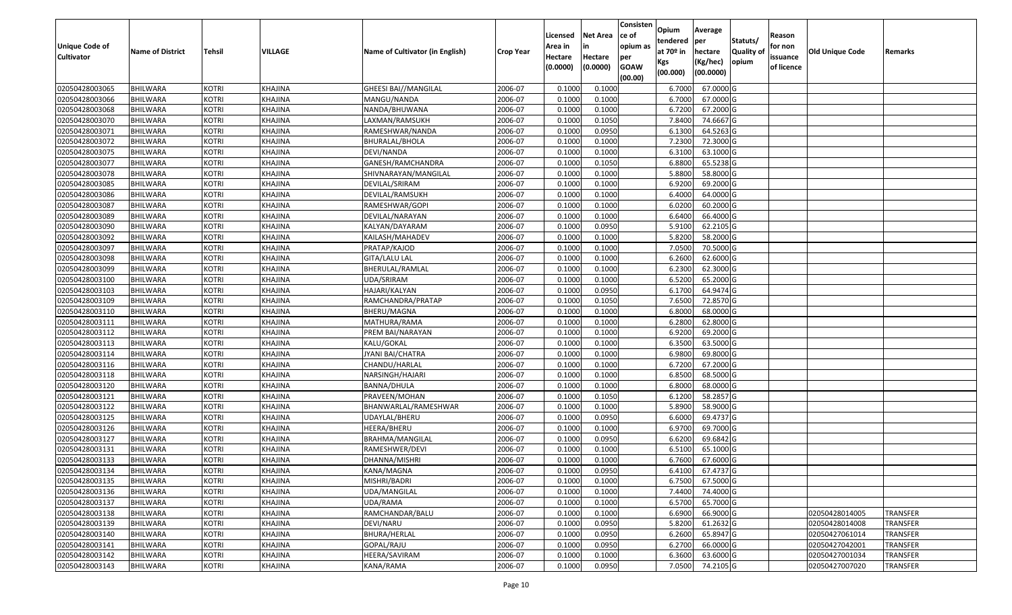| Unique Code of<br><b>Cultivator</b> | <b>Name of District</b> | Tehsil       | VILLAGE        | Name of Cultivator (in English) | <b>Crop Year</b> | Licensed<br>Area in<br>Hectare<br>(0.0000) | Net Area<br>in<br>Hectare<br>(0.0000) | Consisten<br>ce of<br>opium as<br>per<br><b>GOAW</b><br>(00.00) | Opium<br>tendered<br>at 70º in<br>Kgs<br>(00.000) | Average<br>per<br>hectare<br>(Kg/hec)<br>(00.0000) | Statuts/<br><b>Quality of</b><br>opium | Reason<br>for non<br>issuance<br>of licence | <b>Old Unique Code</b> | Remarks         |
|-------------------------------------|-------------------------|--------------|----------------|---------------------------------|------------------|--------------------------------------------|---------------------------------------|-----------------------------------------------------------------|---------------------------------------------------|----------------------------------------------------|----------------------------------------|---------------------------------------------|------------------------|-----------------|
| 02050428003065                      | <b>BHILWARA</b>         | <b>KOTRI</b> | KHAJINA        | <b>GHEESI BAI//MANGILAL</b>     | 2006-07          | 0.1000                                     | 0.1000                                |                                                                 | 6.7000                                            | 67.0000 G                                          |                                        |                                             |                        |                 |
| 02050428003066                      | <b>BHILWARA</b>         | <b>KOTRI</b> | KHAJINA        | MANGU/NANDA                     | 2006-07          | 0.1000                                     | 0.1000                                |                                                                 | 6.7000                                            | 67.0000 G                                          |                                        |                                             |                        |                 |
| 02050428003068                      | <b>BHILWARA</b>         | <b>KOTRI</b> | KHAJINA        | NANDA/BHUWANA                   | 2006-07          | 0.1000                                     | 0.1000                                |                                                                 | 6.7200                                            | 67.2000 G                                          |                                        |                                             |                        |                 |
| 02050428003070                      | <b>BHILWARA</b>         | <b>KOTRI</b> | KHAJINA        | LAXMAN/RAMSUKH                  | 2006-07          | 0.1000                                     | 0.1050                                |                                                                 | 7.8400                                            | 74.6667 G                                          |                                        |                                             |                        |                 |
| 02050428003071                      | BHILWARA                | <b>KOTRI</b> | KHAJINA        | RAMESHWAR/NANDA                 | 2006-07          | 0.1000                                     | 0.0950                                |                                                                 | 6.1300                                            | 64.5263 G                                          |                                        |                                             |                        |                 |
| 02050428003072                      | <b>BHILWARA</b>         | <b>KOTRI</b> | KHAJINA        | BHURALAL/BHOLA                  | 2006-07          | 0.1000                                     | 0.1000                                |                                                                 | 7.2300                                            | 72.3000 G                                          |                                        |                                             |                        |                 |
| 02050428003075                      | <b>BHILWARA</b>         | <b>KOTRI</b> | KHAJINA        | DEVI/NANDA                      | 2006-07          | 0.1000                                     | 0.1000                                |                                                                 | 6.3100                                            | 63.1000 G                                          |                                        |                                             |                        |                 |
| 02050428003077                      | <b>BHILWARA</b>         | <b>KOTRI</b> | KHAJINA        | GANESH/RAMCHANDRA               | 2006-07          | 0.1000                                     | 0.1050                                |                                                                 | 6.8800                                            | 65.5238 G                                          |                                        |                                             |                        |                 |
| 02050428003078                      | <b>BHILWARA</b>         | <b>KOTRI</b> | KHAJINA        | SHIVNARAYAN/MANGILAL            | 2006-07          | 0.1000                                     | 0.1000                                |                                                                 | 5.8800                                            | 58.8000 G                                          |                                        |                                             |                        |                 |
| 02050428003085                      | <b>BHILWARA</b>         | <b>KOTRI</b> | KHAJINA        | DEVILAL/SRIRAM                  | 2006-07          | 0.1000                                     | 0.1000                                |                                                                 | 6.9200                                            | 69.2000 G                                          |                                        |                                             |                        |                 |
| 02050428003086                      | BHILWARA                | <b>KOTRI</b> | KHAJINA        | DEVILAL/RAMSUKH                 | 2006-07          | 0.1000                                     | 0.1000                                |                                                                 | 6.4000                                            | 64.0000 G                                          |                                        |                                             |                        |                 |
| 02050428003087                      | <b>BHILWARA</b>         | <b>KOTRI</b> | KHAJINA        | RAMESHWAR/GOPI                  | 2006-07          | 0.1000                                     | 0.1000                                |                                                                 | 6.0200                                            | 60.2000 G                                          |                                        |                                             |                        |                 |
| 02050428003089                      | <b>BHILWARA</b>         | <b>KOTRI</b> | KHAJINA        | DEVILAL/NARAYAN                 | 2006-07          | 0.1000                                     | 0.1000                                |                                                                 | 6.6400                                            | 66.4000 G                                          |                                        |                                             |                        |                 |
| 02050428003090                      | <b>BHILWARA</b>         | <b>KOTRI</b> | KHAJINA        | KALYAN/DAYARAM                  | 2006-07          | 0.1000                                     | 0.0950                                |                                                                 | 5.9100                                            | 62.2105 G                                          |                                        |                                             |                        |                 |
| 02050428003092                      | BHILWARA                | <b>KOTRI</b> | KHAJINA        | KAILASH/MAHADEV                 | 2006-07          | 0.1000                                     | 0.1000                                |                                                                 | 5.8200                                            | 58.2000 G                                          |                                        |                                             |                        |                 |
| 02050428003097                      | <b>BHILWARA</b>         | <b>KOTRI</b> | KHAJINA        | PRATAP/KAJOD                    | 2006-07          | 0.1000                                     | 0.1000                                |                                                                 | 7.0500                                            | 70.5000 G                                          |                                        |                                             |                        |                 |
| 02050428003098                      | <b>BHILWARA</b>         | <b>KOTRI</b> | KHAJINA        | GITA/LALU LAL                   | 2006-07          | 0.1000                                     | 0.1000                                |                                                                 | 6.2600                                            | 62.6000 G                                          |                                        |                                             |                        |                 |
| 02050428003099                      | <b>BHILWARA</b>         | <b>KOTRI</b> | KHAJINA        | BHERULAL/RAMLAL                 | 2006-07          | 0.1000                                     | 0.1000                                |                                                                 | 6.2300                                            | 62.3000 G                                          |                                        |                                             |                        |                 |
| 02050428003100                      | <b>BHILWARA</b>         | <b>KOTRI</b> | KHAJINA        | UDA/SRIRAM                      | 2006-07          | 0.1000                                     | 0.1000                                |                                                                 | 6.5200                                            | 65.2000 G                                          |                                        |                                             |                        |                 |
| 02050428003103                      | <b>BHILWARA</b>         | <b>KOTRI</b> | KHAJINA        | HAJARI/KALYAN                   | 2006-07          | 0.1000                                     | 0.0950                                |                                                                 | 6.1700                                            | 64.9474 G                                          |                                        |                                             |                        |                 |
| 02050428003109                      | <b>BHILWARA</b>         | <b>KOTRI</b> | <b>KHAJINA</b> | RAMCHANDRA/PRATAP               | 2006-07          | 0.1000                                     | 0.1050                                |                                                                 | 7.6500                                            | 72.8570 G                                          |                                        |                                             |                        |                 |
| 02050428003110                      | <b>BHILWARA</b>         | <b>KOTRI</b> | KHAJINA        | BHERU/MAGNA                     | 2006-07          | 0.1000                                     | 0.1000                                |                                                                 | 6.8000                                            | 68.0000 G                                          |                                        |                                             |                        |                 |
| 02050428003111                      | <b>BHILWARA</b>         | <b>KOTRI</b> | KHAJINA        | MATHURA/RAMA                    | 2006-07          | 0.1000                                     | 0.1000                                |                                                                 | 6.2800                                            | 62.8000 G                                          |                                        |                                             |                        |                 |
| 02050428003112                      | <b>BHILWARA</b>         | <b>KOTRI</b> | KHAJINA        | PREM BAI/NARAYAN                | 2006-07          | 0.1000                                     | 0.1000                                |                                                                 | 6.9200                                            | 69.2000 G                                          |                                        |                                             |                        |                 |
| 02050428003113                      | <b>BHILWARA</b>         | <b>KOTRI</b> | KHAJINA        | KALU/GOKAL                      | 2006-07          | 0.1000                                     | 0.1000                                |                                                                 | 6.3500                                            | 63.5000 G                                          |                                        |                                             |                        |                 |
| 02050428003114                      | <b>BHILWARA</b>         | <b>KOTRI</b> | KHAJINA        | JYANI BAI/CHATRA                | 2006-07          | 0.1000                                     | 0.1000                                |                                                                 | 6.9800                                            | 69.8000 G                                          |                                        |                                             |                        |                 |
| 02050428003116                      | <b>BHILWARA</b>         | <b>KOTRI</b> | KHAJINA        | CHANDU/HARLAL                   | 2006-07          | 0.1000                                     | 0.1000                                |                                                                 | 6.7200                                            | 67.2000 G                                          |                                        |                                             |                        |                 |
| 02050428003118                      | BHILWARA                | <b>KOTRI</b> | KHAJINA        | NARSINGH/HAJARI                 | 2006-07          | 0.1000                                     | 0.1000                                |                                                                 | 6.8500                                            | 68.5000 G                                          |                                        |                                             |                        |                 |
| 02050428003120                      | <b>BHILWARA</b>         | <b>KOTRI</b> | KHAJINA        | BANNA/DHULA                     | 2006-07          | 0.1000                                     | 0.1000                                |                                                                 | 6.8000                                            | 68.0000 G                                          |                                        |                                             |                        |                 |
| 02050428003121                      | <b>BHILWARA</b>         | <b>KOTRI</b> | KHAJINA        | PRAVEEN/MOHAN                   | 2006-07          | 0.1000                                     | 0.1050                                |                                                                 | 6.1200                                            | 58.2857 G                                          |                                        |                                             |                        |                 |
| 02050428003122                      | <b>BHILWARA</b>         | <b>KOTRI</b> | KHAJINA        | BHANWARLAL/RAMESHWAR            | 2006-07          | 0.1000                                     | 0.1000                                |                                                                 | 5.8900                                            | 58.9000 G                                          |                                        |                                             |                        |                 |
| 02050428003125                      | <b>BHILWARA</b>         | <b>KOTRI</b> | KHAJINA        | UDAYLAL/BHERU                   | 2006-07          | 0.1000                                     | 0.0950                                |                                                                 | 6.6000                                            | 69.4737 G                                          |                                        |                                             |                        |                 |
| 02050428003126                      | <b>BHILWARA</b>         | <b>KOTRI</b> | KHAJINA        | HEERA/BHERU                     | 2006-07          | 0.1000                                     | 0.1000                                |                                                                 | 6.9700                                            | 69.7000 G                                          |                                        |                                             |                        |                 |
| 02050428003127                      | BHILWARA                | <b>KOTRI</b> | KHAJINA        | BRAHMA/MANGILAL                 | 2006-07          | 0.1000                                     | 0.0950                                |                                                                 | 6.6200                                            | 69.6842 G                                          |                                        |                                             |                        |                 |
| 02050428003131                      | <b>BHILWARA</b>         | <b>KOTRI</b> | KHAJINA        | RAMESHWER/DEVI                  | 2006-07          | 0.1000                                     | 0.1000                                |                                                                 | 6.5100                                            | 65.1000 G                                          |                                        |                                             |                        |                 |
| 02050428003133                      | <b>BHILWARA</b>         | KOTRI        | KHAJINA        | DHANNA/MISHRI                   | 2006-07          | 0.1000                                     | 0.1000                                |                                                                 | 6.7600                                            | 67.6000 G                                          |                                        |                                             |                        |                 |
| 02050428003134                      | <b>BHILWARA</b>         | <b>KOTRI</b> | KHAJINA        | KANA/MAGNA                      | 2006-07          | 0.1000                                     | 0.0950                                |                                                                 |                                                   | 6.4100 67.4737 G                                   |                                        |                                             |                        |                 |
| 02050428003135                      | <b>BHILWARA</b>         | <b>KOTRI</b> | KHAJINA        | MISHRI/BADRI                    | 2006-07          | 0.1000                                     | 0.1000                                |                                                                 | 6.7500                                            | 67.5000 G                                          |                                        |                                             |                        |                 |
| 02050428003136                      | <b>BHILWARA</b>         | <b>KOTRI</b> | KHAJINA        | UDA/MANGILAL                    | 2006-07          | 0.1000                                     | 0.1000                                |                                                                 | 7.4400                                            | 74.4000 G                                          |                                        |                                             |                        |                 |
| 02050428003137                      | <b>BHILWARA</b>         | <b>KOTRI</b> | <b>KHAJINA</b> | UDA/RAMA                        | 2006-07          | 0.1000                                     | 0.1000                                |                                                                 | 6.5700                                            | 65.7000 G                                          |                                        |                                             |                        |                 |
| 02050428003138                      | <b>BHILWARA</b>         | <b>KOTRI</b> | KHAJINA        | RAMCHANDAR/BALU                 | 2006-07          | 0.1000                                     | 0.1000                                |                                                                 | 6.6900                                            | 66.9000 G                                          |                                        |                                             | 02050428014005         | TRANSFER        |
| 02050428003139                      | <b>BHILWARA</b>         | <b>KOTRI</b> | KHAJINA        | DEVI/NARU                       | 2006-07          | 0.1000                                     | 0.0950                                |                                                                 | 5.8200                                            | $61.2632$ G                                        |                                        |                                             | 02050428014008         | <b>TRANSFER</b> |
| 02050428003140                      | <b>BHILWARA</b>         | <b>KOTRI</b> | KHAJINA        | BHURA/HERLAL                    | 2006-07          | 0.1000                                     | 0.0950                                |                                                                 | 6.2600                                            | 65.8947 G                                          |                                        |                                             | 02050427061014         | <b>TRANSFER</b> |
| 02050428003141                      | <b>BHILWARA</b>         | <b>KOTRI</b> | KHAJINA        | GOPAL/RAJU                      | 2006-07          | 0.1000                                     | 0.0950                                |                                                                 | 6.2700                                            | 66.0000 G                                          |                                        |                                             | 02050427042001         | <b>TRANSFER</b> |
| 02050428003142                      | <b>BHILWARA</b>         | <b>KOTRI</b> | KHAJINA        | HEERA/SAVIRAM                   | 2006-07          | 0.1000                                     | 0.1000                                |                                                                 | 6.3600                                            | 63.6000 G                                          |                                        |                                             | 02050427001034         | <b>TRANSFER</b> |
| 02050428003143                      | <b>BHILWARA</b>         | <b>KOTRI</b> | KHAJINA        | KANA/RAMA                       | 2006-07          | 0.1000                                     | 0.0950                                |                                                                 | 7.0500                                            | 74.2105 G                                          |                                        |                                             | 02050427007020         | <b>TRANSFER</b> |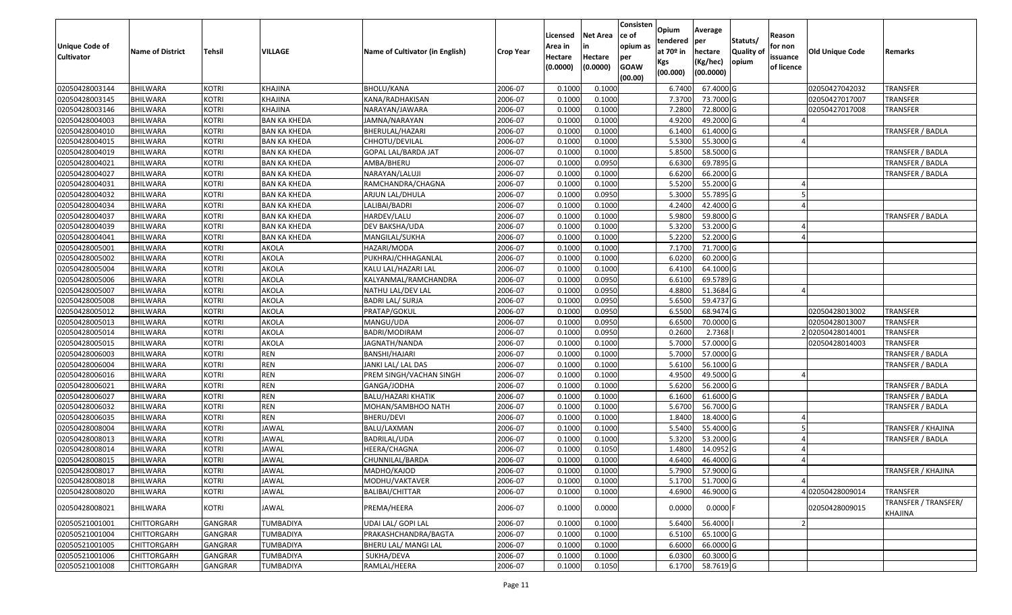| Unique Code of<br><b>Cultivator</b> | <b>Name of District</b> | Tehsil         | VILLAGE             | Name of Cultivator (in English) | Crop Year | Licensed<br>Area in<br>Hectare<br>(0.0000) | <b>Net Area</b><br>in<br>Hectare<br>(0.0000) | Consisten<br>ce of<br>opium as<br>per<br><b>GOAW</b><br>(00.00) | Opium<br>tendered<br>at $70°$ in<br>Kgs<br>(00.000) | Average<br>per<br>hectare<br>(Kg/hec)<br>(00.0000) | Statuts/<br>Quality of<br>opium | Reason<br>for non<br>issuance<br>of licence | <b>Old Unique Code</b> | Remarks                         |
|-------------------------------------|-------------------------|----------------|---------------------|---------------------------------|-----------|--------------------------------------------|----------------------------------------------|-----------------------------------------------------------------|-----------------------------------------------------|----------------------------------------------------|---------------------------------|---------------------------------------------|------------------------|---------------------------------|
| 02050428003144                      | <b>BHILWARA</b>         | <b>KOTRI</b>   | KHAJINA             | <b>BHOLU/KANA</b>               | 2006-07   | 0.1000                                     | 0.1000                                       |                                                                 | 6.7400                                              | 67.4000 G                                          |                                 |                                             | 02050427042032         | TRANSFER                        |
| 02050428003145                      | <b>BHILWARA</b>         | KOTRI          | KHAJINA             | KANA/RADHAKISAN                 | 2006-07   | 0.1000                                     | 0.1000                                       |                                                                 | 7.3700                                              | 73.7000 G                                          |                                 |                                             | 02050427017007         | TRANSFER                        |
| 02050428003146                      | <b>BHILWARA</b>         | <b>KOTRI</b>   | KHAJINA             | NARAYAN/JAWARA                  | 2006-07   | 0.1000                                     | 0.1000                                       |                                                                 | 7.2800                                              | 72.8000 G                                          |                                 |                                             | 02050427017008         | TRANSFER                        |
| 02050428004003                      | <b>BHILWARA</b>         | KOTRI          | <b>BAN KA KHEDA</b> | JAMNA/NARAYAN                   | 2006-07   | 0.1000                                     | 0.1000                                       |                                                                 | 4.9200                                              | 49.2000 G                                          |                                 |                                             |                        |                                 |
| 02050428004010                      | <b>BHILWARA</b>         | <b>KOTRI</b>   | <b>BAN KA KHEDA</b> | BHERULAL/HAZARI                 | 2006-07   | 0.1000                                     | 0.1000                                       |                                                                 | 6.1400                                              | 61.4000 G                                          |                                 |                                             |                        | TRANSFER / BADLA                |
| 02050428004015                      | <b>BHILWARA</b>         | KOTRI          | <b>BAN KA KHEDA</b> | CHHOTU/DEVILAL                  | 2006-07   | 0.1000                                     | 0.1000                                       |                                                                 | 5.5300                                              | 55.3000 G                                          |                                 |                                             |                        |                                 |
| 02050428004019                      | <b>BHILWARA</b>         | KOTRI          | BAN KA KHEDA        | GOPAL LAL/BARDA JAT             | 2006-07   | 0.1000                                     | 0.1000                                       |                                                                 | 5.8500                                              | 58.5000 G                                          |                                 |                                             |                        | TRANSFER / BADLA                |
| 02050428004021                      | <b>BHILWARA</b>         | <b>KOTRI</b>   | <b>BAN KA KHEDA</b> | AMBA/BHERU                      | 2006-07   | 0.1000                                     | 0.0950                                       |                                                                 | 6.6300                                              | 69.7895 G                                          |                                 |                                             |                        | TRANSFER / BADLA                |
| 02050428004027                      | <b>BHILWARA</b>         | <b>KOTRI</b>   | BAN KA KHEDA        | NARAYAN/LALUJI                  | 2006-07   | 0.1000                                     | 0.1000                                       |                                                                 | 6.6200                                              | 66.2000 G                                          |                                 |                                             |                        | TRANSFER / BADLA                |
| 02050428004031                      | <b>BHILWARA</b>         | <b>KOTRI</b>   | <b>BAN KA KHEDA</b> | RAMCHANDRA/CHAGNA               | 2006-07   | 0.1000                                     | 0.1000                                       |                                                                 | 5.5200                                              | 55.2000 G                                          |                                 |                                             |                        |                                 |
| 02050428004032                      | <b>BHILWARA</b>         | <b>KOTRI</b>   | <b>BAN KA KHEDA</b> | ARJUN LAL/DHULA                 | 2006-07   | 0.1000                                     | 0.0950                                       |                                                                 | 5.3000                                              | 55.7895 G                                          |                                 |                                             |                        |                                 |
| 02050428004034                      | <b>BHILWARA</b>         | <b>KOTRI</b>   | <b>BAN KA KHEDA</b> | LALIBAI/BADRI                   | 2006-07   | 0.1000                                     | 0.1000                                       |                                                                 | 4.2400                                              | 42.4000 G                                          |                                 |                                             |                        |                                 |
| 02050428004037                      | <b>BHILWARA</b>         | <b>KOTRI</b>   | <b>BAN KA KHEDA</b> | HARDEV/LALU                     | 2006-07   | 0.1000                                     | 0.1000                                       |                                                                 | 5.9800                                              | 59.8000 G                                          |                                 |                                             |                        | TRANSFER / BADLA                |
| 02050428004039                      | <b>BHILWARA</b>         | <b>KOTRI</b>   | BAN KA KHEDA        | DEV BAKSHA/UDA                  | 2006-07   | 0.1000                                     | 0.1000                                       |                                                                 | 5.3200                                              | 53.2000 G                                          |                                 |                                             |                        |                                 |
| 02050428004041                      | <b>BHILWARA</b>         | <b>KOTRI</b>   | <b>BAN KA KHEDA</b> | MANGILAL/SUKHA                  | 2006-07   | 0.1000                                     | 0.1000                                       |                                                                 | 5.2200                                              | 52.2000 G                                          |                                 |                                             |                        |                                 |
| 02050428005001                      | <b>BHILWARA</b>         | <b>KOTRI</b>   | AKOLA               | HAZARI/MODA                     | 2006-07   | 0.1000                                     | 0.1000                                       |                                                                 | 7.1700                                              | 71.7000 G                                          |                                 |                                             |                        |                                 |
| 02050428005002                      | <b>BHILWARA</b>         | <b>KOTRI</b>   | AKOLA               | PUKHRAJ/CHHAGANLAL              | 2006-07   | 0.1000                                     | 0.1000                                       |                                                                 | 6.0200                                              | 60.2000 G                                          |                                 |                                             |                        |                                 |
| 02050428005004                      | <b>BHILWARA</b>         | <b>KOTRI</b>   | AKOLA               | KALU LAL/HAZARI LAL             | 2006-07   | 0.1000                                     | 0.1000                                       |                                                                 | 6.4100                                              | 64.1000 G                                          |                                 |                                             |                        |                                 |
| 02050428005006                      | <b>BHILWARA</b>         | <b>KOTRI</b>   | AKOLA               | KALYANMAL/RAMCHANDRA            | 2006-07   | 0.1000                                     | 0.0950                                       |                                                                 | 6.6100                                              | 69.5789 G                                          |                                 |                                             |                        |                                 |
| 02050428005007                      | <b>BHILWARA</b>         | <b>KOTRI</b>   | AKOLA               | NATHU LAL/DEV LAL               | 2006-07   | 0.1000                                     | 0.0950                                       |                                                                 | 4.8800                                              | 51.3684 G                                          |                                 |                                             |                        |                                 |
| 02050428005008                      | <b>BHILWARA</b>         | <b>KOTRI</b>   | AKOLA               | <b>BADRI LAL/ SURJA</b>         | 2006-07   | 0.1000                                     | 0.0950                                       |                                                                 | 5.6500                                              | 59.4737 G                                          |                                 |                                             |                        |                                 |
| 02050428005012                      | <b>BHILWARA</b>         | <b>KOTRI</b>   | AKOLA               | PRATAP/GOKUL                    | 2006-07   | 0.1000                                     | 0.0950                                       |                                                                 | 6.5500                                              | 68.9474 G                                          |                                 |                                             | 02050428013002         | TRANSFER                        |
| 02050428005013                      | <b>BHILWARA</b>         | <b>KOTRI</b>   | AKOLA               | MANGU/UDA                       | 2006-07   | 0.1000                                     | 0.0950                                       |                                                                 | 6.6500                                              | 70.0000 G                                          |                                 |                                             | 02050428013007         | TRANSFER                        |
| 02050428005014                      | <b>BHILWARA</b>         | <b>KOTRI</b>   | AKOLA               | BADRI/MODIRAM                   | 2006-07   | 0.1000                                     | 0.0950                                       |                                                                 | 0.2600                                              | 2.7368                                             |                                 |                                             | 02050428014001         | TRANSFER                        |
| 02050428005015                      | <b>BHILWARA</b>         | <b>KOTRI</b>   | AKOLA               | JAGNATH/NANDA                   | 2006-07   | 0.1000                                     | 0.1000                                       |                                                                 | 5.7000                                              | 57.0000 G                                          |                                 |                                             | 02050428014003         | TRANSFER                        |
| 02050428006003                      | <b>BHILWARA</b>         | <b>KOTRI</b>   | <b>REN</b>          | BANSHI/HAJARI                   | 2006-07   | 0.1000                                     | 0.1000                                       |                                                                 | 5.7000                                              | 57.0000 G                                          |                                 |                                             |                        | TRANSFER / BADLA                |
| 02050428006004                      | <b>BHILWARA</b>         | <b>KOTRI</b>   | <b>REN</b>          | JANKI LAL/ LAL DAS              | 2006-07   | 0.1000                                     | 0.1000                                       |                                                                 | 5.6100                                              | 56.1000 G                                          |                                 |                                             |                        | TRANSFER / BADLA                |
| 02050428006016                      | <b>BHILWARA</b>         | KOTRI          | <b>REN</b>          | PREM SINGH/VACHAN SINGH         | 2006-07   | 0.1000                                     | 0.1000                                       |                                                                 | 4.9500                                              | 49.5000 G                                          |                                 |                                             |                        |                                 |
| 02050428006021                      | <b>BHILWARA</b>         | KOTRI          | <b>REN</b>          | GANGA/JODHA                     | 2006-07   | 0.1000                                     | 0.1000                                       |                                                                 | 5.6200                                              | 56.2000 G                                          |                                 |                                             |                        | TRANSFER / BADLA                |
| 02050428006027                      | <b>BHILWARA</b>         | <b>KOTRI</b>   | <b>REN</b>          | <b>BALU/HAZARI KHATIK</b>       | 2006-07   | 0.1000                                     | 0.1000                                       |                                                                 | 6.1600                                              | 61.6000 G                                          |                                 |                                             |                        | TRANSFER / BADLA                |
| 02050428006032                      | <b>BHILWARA</b>         | <b>KOTRI</b>   | <b>REN</b>          | MOHAN/SAMBHOO NATH              | 2006-07   | 0.1000                                     | 0.1000                                       |                                                                 | 5.6700                                              | 56.7000 G                                          |                                 |                                             |                        | TRANSFER / BADLA                |
| 02050428006035                      | <b>BHILWARA</b>         | KOTRI          | <b>REN</b>          | BHERU/DEVI                      | 2006-07   | 0.1000                                     | 0.1000                                       |                                                                 | 1.8400                                              | 18.4000 G                                          |                                 |                                             |                        |                                 |
| 02050428008004                      | <b>BHILWARA</b>         | <b>KOTRI</b>   | <b>JAWAL</b>        | BALU/LAXMAN                     | 2006-07   | 0.1000                                     | 0.1000                                       |                                                                 | 5.5400                                              | 55.4000 G                                          |                                 |                                             |                        | TRANSFER / KHAJINA              |
| 02050428008013                      | BHILWARA                | <b>KOTRI</b>   | JAWAL               | BADRILAL/UDA                    | 2006-07   | 0.1000                                     | 0.1000                                       |                                                                 | 5.3200                                              | 53.2000 G                                          |                                 |                                             |                        | TRANSFER / BADLA                |
| 02050428008014                      | <b>BHILWARA</b>         | <b>KOTRI</b>   | JAWAL               | HEERA/CHAGNA                    | 2006-07   | 0.100                                      | 0.1050                                       |                                                                 | 1.4800                                              | 14.0952 G                                          |                                 |                                             |                        |                                 |
| 02050428008015                      | <b>BHILWARA</b>         | KOTRI          | JAWAL               | CHUNNILAL/BARDA                 | 2006-07   | 0.1000                                     | 0.1000                                       |                                                                 | 4.6400                                              | 46.4000 G                                          |                                 |                                             |                        |                                 |
| 02050428008017                      | <b>BHILWARA</b>         | <b>KOTRI</b>   | <b>JAWAL</b>        | MADHO/KAJOD                     | 2006-07   | 0.1000                                     | 0.1000                                       |                                                                 | 5.7900                                              | 57.9000 G                                          |                                 |                                             |                        | TRANSFER / KHAJINA              |
| 02050428008018                      | <b>BHILWARA</b>         | <b>KOTRI</b>   | <b>JAWAL</b>        | MODHU/VAKTAVER                  | 2006-07   | 0.1000                                     | 0.1000                                       |                                                                 | 5.1700                                              | 51.7000 G                                          |                                 |                                             |                        |                                 |
| 02050428008020                      | <b>BHILWARA</b>         | <b>KOTRI</b>   | <b>JAWAL</b>        | BALIBAI/CHITTAR                 | 2006-07   | 0.1000                                     | 0.1000                                       |                                                                 | 4.6900                                              | 46.9000 G                                          |                                 |                                             | 402050428009014        | <b>TRANSFER</b>                 |
| 02050428008021                      | <b>BHILWARA</b>         | <b>KOTRI</b>   | JAWAL               | PREMA/HEERA                     | 2006-07   | 0.1000                                     | 0.0000                                       |                                                                 | 0.0000                                              | $0.0000$ F                                         |                                 |                                             | 02050428009015         | TRANSFER / TRANSFER/<br>KHAJINA |
| 02050521001001                      | <b>CHITTORGARH</b>      | <b>GANGRAR</b> | <b>TUMBADIYA</b>    | UDAI LAL/ GOPI LAL              | 2006-07   | 0.1000                                     | 0.1000                                       |                                                                 | 5.6400                                              | 56.4000                                            |                                 |                                             |                        |                                 |
| 02050521001004                      | <b>CHITTORGARH</b>      | GANGRAR        | <b>TUMBADIYA</b>    | PRAKASHCHANDRA/BAGTA            | 2006-07   | 0.1000                                     | 0.1000                                       |                                                                 | 6.5100                                              | 65.1000 G                                          |                                 |                                             |                        |                                 |
| 02050521001005                      | <b>CHITTORGARH</b>      | GANGRAR        | <b>TUMBADIYA</b>    | BHERU LAL/ MANGI LAL            | 2006-07   | 0.1000                                     | 0.1000                                       |                                                                 | 6.6000                                              | 66.0000 G                                          |                                 |                                             |                        |                                 |
| 02050521001006                      | <b>CHITTORGARH</b>      | GANGRAR        | <b>TUMBADIYA</b>    | SUKHA/DEVA                      | 2006-07   | 0.1000                                     | 0.1000                                       |                                                                 | 6.0300                                              | 60.3000 G                                          |                                 |                                             |                        |                                 |
| 02050521001008                      | <b>CHITTORGARH</b>      | GANGRAR        | <b>TUMBADIYA</b>    | RAMLAL/HEERA                    | 2006-07   | 0.1000                                     | 0.1050                                       |                                                                 | 6.1700                                              | 58.7619 G                                          |                                 |                                             |                        |                                 |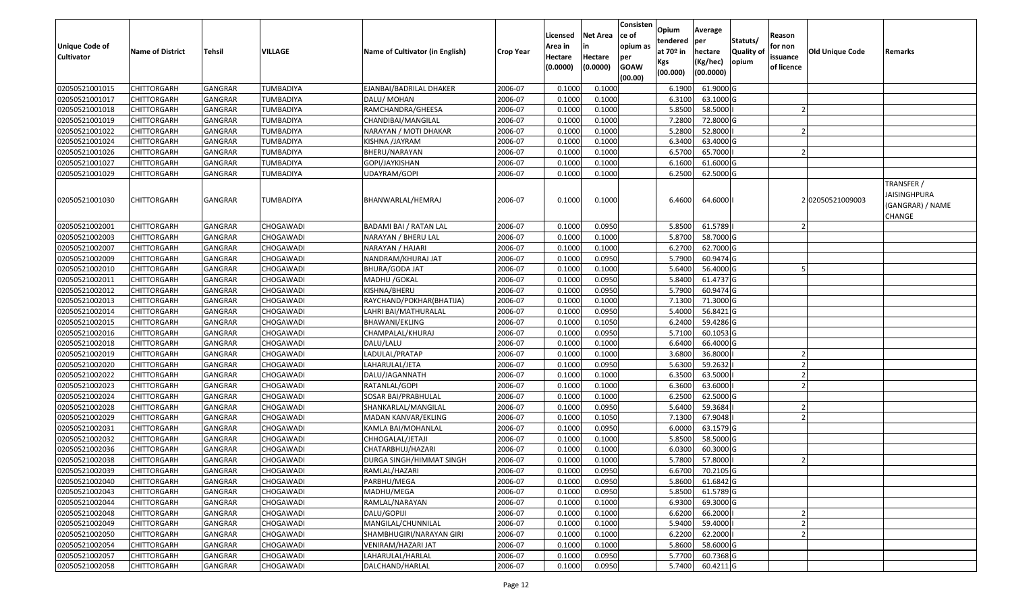| <b>Unique Code of</b><br><b>Cultivator</b> | <b>Name of District</b> | Tehsil         | VILLAGE          | Name of Cultivator (in English) | <b>Crop Year</b> | Licensed<br>Area in<br>Hectare | <b>Net Area</b><br>in<br>Hectare | Consisten<br>ce of<br>opium as<br>per | Opium<br>tendered<br>at $70°$ in | Average<br>per<br>hectare | Statuts/<br>Quality o | Reason<br>for non<br>issuance | <b>Old Unique Code</b> | Remarks                                                  |
|--------------------------------------------|-------------------------|----------------|------------------|---------------------------------|------------------|--------------------------------|----------------------------------|---------------------------------------|----------------------------------|---------------------------|-----------------------|-------------------------------|------------------------|----------------------------------------------------------|
|                                            |                         |                |                  |                                 |                  | (0.0000)                       | (0.0000)                         | <b>GOAW</b><br>(00.00)                | Kgs<br>(00.000)                  | (Kg/hec)<br>(00.0000)     | opium                 | of licence                    |                        |                                                          |
| 02050521001015                             | <b>CHITTORGARH</b>      | GANGRAR        | TUMBADIYA        | EJANBAI/BADRILAL DHAKER         | 2006-07          | 0.1000                         | 0.1000                           |                                       | 6.1900                           | 61.9000G                  |                       |                               |                        |                                                          |
| 02050521001017                             | CHITTORGARH             | GANGRAR        | TUMBADIYA        | DALU/ MOHAN                     | 2006-07          | 0.1000                         | 0.1000                           |                                       | 6.3100                           | 63.1000 G                 |                       |                               |                        |                                                          |
| 02050521001018                             | CHITTORGARH             | GANGRAR        | TUMBADIYA        | RAMCHANDRA/GHEESA               | 2006-07          | 0.1000                         | 0.1000                           |                                       | 5.8500                           | 58.5000                   |                       |                               |                        |                                                          |
| 02050521001019                             | <b>CHITTORGARH</b>      | <b>GANGRAR</b> | <b>TUMBADIYA</b> | CHANDIBAI/MANGILAL              | 2006-07          | 0.1000                         | 0.1000                           |                                       | 7.2800                           | 72.8000G                  |                       |                               |                        |                                                          |
| 02050521001022                             | CHITTORGARH             | GANGRAR        | TUMBADIYA        | NARAYAN / MOTI DHAKAR           | 2006-07          | 0.1000                         | 0.1000                           |                                       | 5.2800                           | 52.8000                   |                       |                               |                        |                                                          |
| 02050521001024                             | CHITTORGARH             | <b>GANGRAR</b> | TUMBADIYA        | KISHNA / JAYRAM                 | 2006-07          | 0.1000                         | 0.1000                           |                                       | 6.3400                           | 63.4000 G                 |                       |                               |                        |                                                          |
| 02050521001026                             | CHITTORGARH             | GANGRAR        | TUMBADIYA        | BHERU/NARAYAN                   | 2006-07          | 0.1000                         | 0.1000                           |                                       | 6.5700                           | 65.7000                   |                       |                               |                        |                                                          |
| 02050521001027                             | CHITTORGARH             | <b>GANGRAR</b> | TUMBADIYA        | GOPI/JAYKISHAN                  | 2006-07          | 0.1000                         | 0.1000                           |                                       | 6.1600                           | 61.6000G                  |                       |                               |                        |                                                          |
| 02050521001029                             | CHITTORGARH             | GANGRAR        | TUMBADIYA        | UDAYRAM/GOPI                    | 2006-07          | 0.1000                         | 0.1000                           |                                       | 6.2500                           | 62.5000G                  |                       |                               |                        |                                                          |
| 02050521001030                             | CHITTORGARH             | <b>GANGRAR</b> | TUMBADIYA        | BHANWARLAL/HEMRAJ               | 2006-07          | 0.1000                         | 0.1000                           |                                       | 6.4600                           | 64.6000                   |                       |                               | 202050521009003        | TRANSFER /<br>JAISINGHPURA<br>(GANGRAR) / NAME<br>CHANGE |
| 02050521002001                             | <b>CHITTORGARH</b>      | GANGRAR        | CHOGAWADI        | BADAMI BAI / RATAN LAL          | 2006-07          | 0.1000                         | 0.0950                           |                                       | 5.8500                           | 61.5789                   |                       |                               |                        |                                                          |
| 02050521002003                             | CHITTORGARH             | GANGRAR        | CHOGAWADI        | NARAYAN / BHERU LAL             | 2006-07          | 0.1000                         | 0.1000                           |                                       | 5.8700                           | 58.7000 G                 |                       |                               |                        |                                                          |
| 02050521002007                             | CHITTORGARH             | <b>GANGRAR</b> | CHOGAWADI        | NARAYAN / HAJARI                | 2006-07          | 0.1000                         | 0.1000                           |                                       | 6.2700                           | 62.7000 G                 |                       |                               |                        |                                                          |
| 02050521002009                             | CHITTORGARH             | <b>GANGRAR</b> | CHOGAWADI        | NANDRAM/KHURAJ JAT              | 2006-07          | 0.1000                         | 0.0950                           |                                       | 5.7900                           | 60.9474 G                 |                       |                               |                        |                                                          |
| 02050521002010                             | CHITTORGARH             | GANGRAR        | CHOGAWADI        | <b>BHURA/GODA JAT</b>           | 2006-07          | 0.1000                         | 0.1000                           |                                       | 5.6400                           | 56.4000 G                 |                       |                               |                        |                                                          |
| 02050521002011                             | CHITTORGARH             | <b>GANGRAR</b> | CHOGAWADI        | MADHU / GOKAL                   | 2006-07          | 0.1000                         | 0.0950                           |                                       | 5.8400                           | 61.4737 G                 |                       |                               |                        |                                                          |
| 02050521002012                             | CHITTORGARH             | GANGRAR        | CHOGAWADI        | KISHNA/BHERU                    | 2006-07          | 0.1000                         | 0.0950                           |                                       | 5.7900                           | 60.9474 G                 |                       |                               |                        |                                                          |
| 02050521002013                             | <b>CHITTORGARH</b>      | <b>GANGRAR</b> | CHOGAWADI        | RAYCHAND/POKHAR(BHATIJA)        | 2006-07          | 0.1000                         | 0.1000                           |                                       | 7.1300                           | 71.3000 G                 |                       |                               |                        |                                                          |
| 02050521002014                             | CHITTORGARH             | <b>GANGRAR</b> | CHOGAWADI        | LAHRI BAI/MATHURALAL            | 2006-07          | 0.1000                         | 0.0950                           |                                       | 5.4000                           | 56.8421 G                 |                       |                               |                        |                                                          |
| 02050521002015                             | CHITTORGARH             | GANGRAR        | CHOGAWADI        | BHAWANI/EKLING                  | 2006-07          | 0.1000                         | 0.1050                           |                                       | 6.2400                           | 59.4286 G                 |                       |                               |                        |                                                          |
| 02050521002016                             | CHITTORGARH             | GANGRAR        | CHOGAWADI        | CHAMPALAL/KHURAJ                | 2006-07          | 0.1000                         | 0.0950                           |                                       | 5.7100                           | 60.1053 G                 |                       |                               |                        |                                                          |
| 02050521002018                             | CHITTORGARH             | <b>GANGRAR</b> | CHOGAWADI        | DALU/LALU                       | 2006-07          | 0.1000                         | 0.1000                           |                                       | 6.6400                           | 66.4000 G                 |                       |                               |                        |                                                          |
| 02050521002019                             | CHITTORGARH             | GANGRAR        | CHOGAWADI        | LADULAL/PRATAP                  | 2006-07          | 0.1000                         | 0.1000                           |                                       | 3.6800                           | 36.8000                   |                       |                               |                        |                                                          |
| 02050521002020                             | CHITTORGARH             | <b>GANGRAR</b> | CHOGAWADI        | LAHARULAL/JETA                  | 2006-07          | 0.1000                         | 0.0950                           |                                       | 5.6300                           | 59.2632                   |                       |                               |                        |                                                          |
| 02050521002022                             | CHITTORGARH             | GANGRAR        | CHOGAWADI        | DALU/JAGANNATH                  | 2006-07          | 0.1000                         | 0.1000                           |                                       | 6.3500                           | 63.5000                   |                       |                               |                        |                                                          |
| 02050521002023                             | <b>CHITTORGARH</b>      | <b>GANGRAR</b> | CHOGAWADI        | RATANLAL/GOPI                   | 2006-07          | 0.1000                         | 0.1000                           |                                       | 6.3600                           | 63.6000                   |                       |                               |                        |                                                          |
| 02050521002024                             | CHITTORGARH             | <b>GANGRAR</b> | CHOGAWADI        | SOSAR BAI/PRABHULAL             | 2006-07          | 0.1000                         | 0.1000                           |                                       | 6.2500                           | 62.5000G                  |                       |                               |                        |                                                          |
| 02050521002028                             | CHITTORGARH             | GANGRAR        | CHOGAWADI        | SHANKARLAL/MANGILAL             | 2006-07          | 0.1000                         | 0.0950                           |                                       | 5.6400                           | 59.3684                   |                       |                               |                        |                                                          |
| 02050521002029                             | CHITTORGARH             | GANGRAR        | CHOGAWADI        | MADAN KANVAR/EKLING             | 2006-07          | 0.1000                         | 0.1050                           |                                       | 7.1300                           | 67.9048                   |                       |                               |                        |                                                          |
| 02050521002031                             | <b>CHITTORGARH</b>      | <b>GANGRAR</b> | CHOGAWADI        | KAMLA BAI/MOHANLAL              | 2006-07          | 0.1000                         | 0.0950                           |                                       | 6.0000                           | 63.1579 G                 |                       |                               |                        |                                                          |
| 02050521002032                             | <b>CHITTORGARH</b>      | <b>GANGRAR</b> | CHOGAWADI        | CHHOGALAL/JETAJI                | 2006-07          | 0.1000                         | 0.1000                           |                                       | 5.8500                           | 58.5000 G                 |                       |                               |                        |                                                          |
| 02050521002036                             | CHITTORGARH             | GANGRAR        | CHOGAWADI        | CHATARBHUJ/HAZARI               | 2006-07          | 0.100                          | 0.1000                           |                                       | 6.0300                           | 60.3000 G                 |                       |                               |                        |                                                          |
| 02050521002038                             | CHITTORGARH             | GANGRAR        | CHOGAWADI        | DURGA SINGH/HIMMAT SINGH        | 2006-07          | 0.1000                         | 0.1000                           |                                       | 5.7800                           | 57.8000                   |                       |                               |                        |                                                          |
| 02050521002039                             | <b>CHITTORGARH</b>      | GANGRAR        | CHOGAWADI        | RAMLAL/HAZARI                   | 2006-07          | 0.1000                         | 0.0950                           |                                       |                                  | 6.6700 70.2105 G          |                       |                               |                        |                                                          |
| 02050521002040                             | <b>CHITTORGARH</b>      | <b>GANGRAR</b> | CHOGAWADI        | PARBHU/MEGA                     | 2006-07          | 0.1000                         | 0.0950                           |                                       | 5.8600                           | 61.6842 G                 |                       |                               |                        |                                                          |
| 02050521002043                             | <b>CHITTORGARH</b>      | <b>GANGRAR</b> | CHOGAWADI        | MADHU/MEGA                      | 2006-07          | 0.1000                         | 0.0950                           |                                       | 5.8500                           | 61.5789 G                 |                       |                               |                        |                                                          |
| 02050521002044                             | <b>CHITTORGARH</b>      | <b>GANGRAR</b> | CHOGAWADI        | RAMLAL/NARAYAN                  | 2006-07          | 0.1000                         | 0.1000                           |                                       | 6.9300                           | 69.3000 G                 |                       |                               |                        |                                                          |
| 02050521002048                             | CHITTORGARH             | <b>GANGRAR</b> | CHOGAWADI        | DALU/GOPIJI                     | 2006-07          | 0.1000                         | 0.1000                           |                                       | 6.6200                           | 66.2000                   |                       |                               |                        |                                                          |
| 02050521002049                             | <b>CHITTORGARH</b>      | <b>GANGRAR</b> | CHOGAWADI        | MANGILAL/CHUNNILAL              | 2006-07          | 0.1000                         | 0.1000                           |                                       | 5.9400                           | 59.4000                   |                       |                               |                        |                                                          |
| 02050521002050                             | <b>CHITTORGARH</b>      | <b>GANGRAR</b> | CHOGAWADI        | SHAMBHUGIRI/NARAYAN GIRI        | 2006-07          | 0.1000                         | 0.1000                           |                                       | 6.2200                           | 62.2000                   |                       |                               |                        |                                                          |
| 02050521002054                             | CHITTORGARH             | <b>GANGRAR</b> | CHOGAWADI        | VENIRAM/HAZARI JAT              | 2006-07          | 0.1000                         | 0.1000                           |                                       | 5.8600                           | 58.6000 G                 |                       |                               |                        |                                                          |
| 02050521002057                             | CHITTORGARH             | <b>GANGRAR</b> | CHOGAWADI        | LAHARULAL/HARLAL                | 2006-07          | 0.1000                         | 0.0950                           |                                       | 5.7700                           | 60.7368 G                 |                       |                               |                        |                                                          |
| 02050521002058                             | <b>CHITTORGARH</b>      | <b>GANGRAR</b> | CHOGAWADI        | DALCHAND/HARLAL                 | 2006-07          | 0.1000                         | 0.0950                           |                                       | 5.7400                           | $60.4211$ G               |                       |                               |                        |                                                          |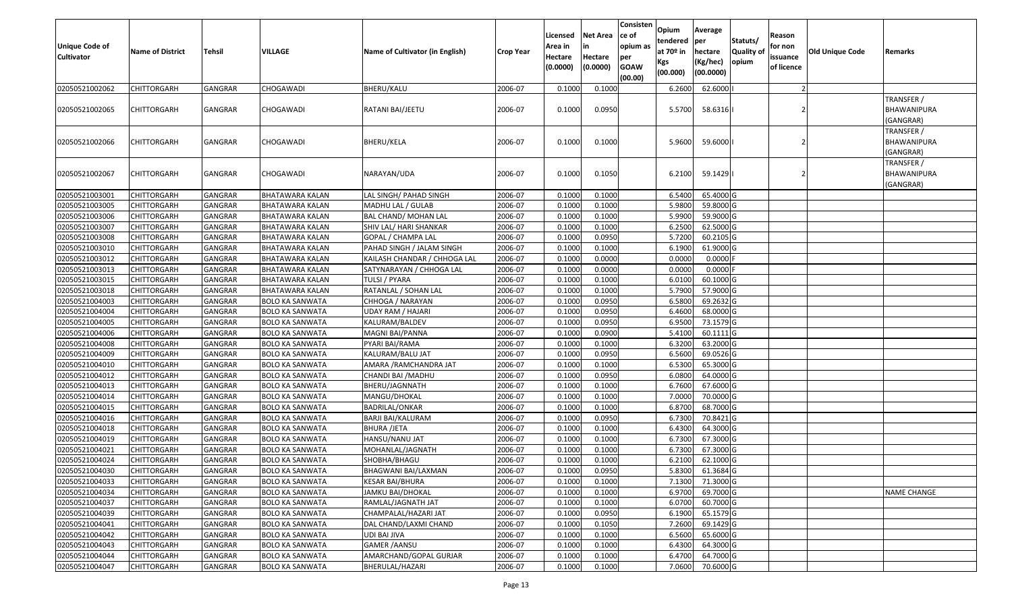| <b>Unique Code of</b><br><b>Cultivator</b> | <b>Name of District</b> | <b>Tehsil</b>  | <b>VILLAGE</b>         | Name of Cultivator (in English) | <b>Crop Year</b> | Licensed<br>Area in<br>Hectare<br>(0.0000) | <b>Net Area</b><br>in<br>Hectare<br>(0.0000) | Consisten<br>ce of<br>opium as<br>per<br><b>GOAW</b><br>(00.00) | Opium<br>tendered<br>at $70°$ in<br>Kgs<br>(00.000) | Average<br>per<br>hectare<br>(Kg/hec)<br>(00.0000) | Statuts/<br><b>Quality of</b><br>opium | Reason<br>for non<br>issuance<br>of licence | <b>Old Unique Code</b> | Remarks                                       |
|--------------------------------------------|-------------------------|----------------|------------------------|---------------------------------|------------------|--------------------------------------------|----------------------------------------------|-----------------------------------------------------------------|-----------------------------------------------------|----------------------------------------------------|----------------------------------------|---------------------------------------------|------------------------|-----------------------------------------------|
| 02050521002062                             | <b>CHITTORGARH</b>      | GANGRAR        | CHOGAWADI              | <b>BHERU/KALU</b>               | 2006-07          | 0.1000                                     | 0.1000                                       |                                                                 | 6.2600                                              | 62.6000                                            |                                        | $\overline{2}$                              |                        |                                               |
| 02050521002065                             | <b>CHITTORGARH</b>      | GANGRAR        | CHOGAWADI              | RATANI BAI/JEETU                | 2006-07          | 0.1000                                     | 0.0950                                       |                                                                 | 5.5700                                              | 58.6316                                            |                                        |                                             |                        | TRANSFER /<br>BHAWANIPURA<br>(GANGRAR)        |
| 02050521002066                             | CHITTORGARH             | GANGRAR        | <b>CHOGAWADI</b>       | <b>BHERU/KELA</b>               | 2006-07          | 0.1000                                     | 0.1000                                       |                                                                 | 5.9600                                              | 59.6000                                            |                                        |                                             |                        | TRANSFER /<br><b>BHAWANIPURA</b><br>(GANGRAR) |
| 02050521002067                             | <b>CHITTORGARH</b>      | GANGRAR        | <b>CHOGAWADI</b>       | NARAYAN/UDA                     | 2006-07          | 0.1000                                     | 0.1050                                       |                                                                 | 6.2100                                              | 59.1429                                            |                                        |                                             |                        | TRANSFER /<br>BHAWANIPURA<br>(GANGRAR)        |
| 02050521003001                             | <b>CHITTORGARH</b>      | GANGRAR        | <b>BHATAWARA KALAN</b> | LAL SINGH/ PAHAD SINGH          | 2006-07          | 0.1000                                     | 0.1000                                       |                                                                 | 6.5400                                              | 65.4000 G                                          |                                        |                                             |                        |                                               |
| 02050521003005                             | <b>CHITTORGARH</b>      | <b>GANGRAR</b> | <b>BHATAWARA KALAN</b> | MADHU LAL / GULAB               | 2006-07          | 0.1000                                     | 0.1000                                       |                                                                 | 5.9800                                              | 59.8000 G                                          |                                        |                                             |                        |                                               |
| 02050521003006                             | <b>CHITTORGARH</b>      | GANGRAR        | <b>BHATAWARA KALAN</b> | <b>BAL CHAND/ MOHAN LAL</b>     | 2006-07          | 0.1000                                     | 0.1000                                       |                                                                 | 5.9900                                              | 59.9000 G                                          |                                        |                                             |                        |                                               |
| 02050521003007                             | <b>CHITTORGARH</b>      | GANGRAR        | <b>BHATAWARA KALAN</b> | SHIV LAL/ HARI SHANKAR          | 2006-07          | 0.1000                                     | 0.1000                                       |                                                                 | 6.2500                                              | 62.5000 G                                          |                                        |                                             |                        |                                               |
| 02050521003008                             | <b>CHITTORGARH</b>      | GANGRAR        | <b>BHATAWARA KALAN</b> | GOPAL / CHAMPA LAL              | 2006-07          | 0.1000                                     | 0.0950                                       |                                                                 | 5.7200                                              | 60.2105 G                                          |                                        |                                             |                        |                                               |
| 02050521003010                             | <b>CHITTORGARH</b>      | GANGRAR        | <b>BHATAWARA KALAN</b> | PAHAD SINGH / JALAM SINGH       | 2006-07          | 0.1000                                     | 0.1000                                       |                                                                 | 6.1900                                              | 61.9000 G                                          |                                        |                                             |                        |                                               |
| 02050521003012                             | <b>CHITTORGARH</b>      | <b>GANGRAR</b> | <b>BHATAWARA KALAN</b> | KAILASH CHANDAR / CHHOGA LAL    | 2006-07          | 0.1000                                     | 0.0000                                       |                                                                 | 0.0000                                              | 0.0000                                             |                                        |                                             |                        |                                               |
| 02050521003013                             | <b>CHITTORGARH</b>      | GANGRAR        | <b>BHATAWARA KALAN</b> | SATYNARAYAN / CHHOGA LAL        | 2006-07          | 0.1000                                     | 0.0000                                       |                                                                 | 0.0000                                              | 0.0000                                             |                                        |                                             |                        |                                               |
| 02050521003015                             | <b>CHITTORGARH</b>      | GANGRAR        | <b>BHATAWARA KALAN</b> | <b>TULSI / PYARA</b>            | 2006-07          | 0.1000                                     | 0.1000                                       |                                                                 | 6.0100                                              | 60.1000 G                                          |                                        |                                             |                        |                                               |
| 02050521003018                             | <b>CHITTORGARH</b>      | GANGRAR        | <b>BHATAWARA KALAN</b> | RATANLAL / SOHAN LAL            | 2006-07          | 0.1000                                     | 0.1000                                       |                                                                 | 5.7900                                              | 57.9000 G                                          |                                        |                                             |                        |                                               |
| 02050521004003                             | <b>CHITTORGARH</b>      | GANGRAR        | <b>BOLO KA SANWATA</b> | CHHOGA / NARAYAN                | 2006-07          | 0.1000                                     | 0.0950                                       |                                                                 | 6.5800                                              | 69.2632 G                                          |                                        |                                             |                        |                                               |
| 02050521004004                             | <b>CHITTORGARH</b>      | GANGRAR        | <b>BOLO KA SANWATA</b> | <b>UDAY RAM / HAJARI</b>        | 2006-07          | 0.1000                                     | 0.0950                                       |                                                                 | 6.4600                                              | 68.0000 G                                          |                                        |                                             |                        |                                               |
| 02050521004005                             | <b>CHITTORGARH</b>      | GANGRAR        | <b>BOLO KA SANWATA</b> | KALURAM/BALDEV                  | 2006-07          | 0.1000                                     | 0.0950                                       |                                                                 | 6.9500                                              | 73.1579 G                                          |                                        |                                             |                        |                                               |
| 02050521004006                             | <b>CHITTORGARH</b>      | GANGRAR        | <b>BOLO KA SANWATA</b> | MAGNI BAI/PANNA                 | 2006-07          | 0.1000                                     | 0.0900                                       |                                                                 | 5.4100                                              | 60.1111 G                                          |                                        |                                             |                        |                                               |
| 02050521004008                             | <b>CHITTORGARH</b>      | GANGRAR        | <b>BOLO KA SANWATA</b> | PYARI BAI/RAMA                  | 2006-07          | 0.1000                                     | 0.1000                                       |                                                                 | 6.3200                                              | 63.2000 G                                          |                                        |                                             |                        |                                               |
| 02050521004009                             | <b>CHITTORGARH</b>      | GANGRAR        | <b>BOLO KA SANWATA</b> | KALURAM/BALU JAT                | 2006-07          | 0.1000                                     | 0.0950                                       |                                                                 | 6.5600                                              | 69.0526 G                                          |                                        |                                             |                        |                                               |
| 02050521004010                             | <b>CHITTORGARH</b>      | GANGRAR        | <b>BOLO KA SANWATA</b> | AMARA / RAMCHANDRA JAT          | 2006-07          | 0.1000                                     | 0.1000                                       |                                                                 | 6.5300                                              | 65.3000 G                                          |                                        |                                             |                        |                                               |
| 02050521004012                             | <b>CHITTORGARH</b>      | GANGRAR        | <b>BOLO KA SANWATA</b> | CHANDI BAI / MADHU              | 2006-07          | 0.1000                                     | 0.0950                                       |                                                                 | 6.0800                                              | 64.0000 G                                          |                                        |                                             |                        |                                               |
| 02050521004013                             | <b>CHITTORGARH</b>      | GANGRAR        | <b>BOLO KA SANWATA</b> | <b>BHERU/JAGNNATH</b>           | 2006-07          | 0.1000                                     | 0.1000                                       |                                                                 | 6.7600                                              | 67.6000 G                                          |                                        |                                             |                        |                                               |
| 02050521004014                             | <b>CHITTORGARH</b>      | GANGRAR        | <b>BOLO KA SANWATA</b> | MANGU/DHOKAL                    | 2006-07          | 0.1000                                     | 0.1000                                       |                                                                 | 7.0000                                              | 70.0000 G                                          |                                        |                                             |                        |                                               |
| 02050521004015                             | <b>CHITTORGARH</b>      | GANGRAR        | <b>BOLO KA SANWATA</b> | <b>BADRILAL/ONKAR</b>           | 2006-07          | 0.1000                                     | 0.1000                                       |                                                                 | 6.8700                                              | 68.7000 G                                          |                                        |                                             |                        |                                               |
| 02050521004016                             | <b>CHITTORGARH</b>      | GANGRAR        | <b>BOLO KA SANWATA</b> | BARJI BAI/KALURAM               | 2006-07          | 0.1000                                     | 0.0950                                       |                                                                 | 6.7300                                              | 70.8421 G                                          |                                        |                                             |                        |                                               |
| 02050521004018                             | <b>CHITTORGARH</b>      | <b>GANGRAR</b> | <b>BOLO KA SANWATA</b> | <b>BHURA /JETA</b>              | 2006-07          | 0.1000                                     | 0.1000                                       |                                                                 | 6.4300                                              | 64.3000 G                                          |                                        |                                             |                        |                                               |
| 02050521004019                             | <b>CHITTORGARH</b>      | GANGRAR        | <b>BOLO KA SANWATA</b> | HANSU/NANU JAT                  | 2006-07          | 0.1000                                     | 0.1000                                       |                                                                 | 6.7300                                              | 67.3000 G                                          |                                        |                                             |                        |                                               |
| 02050521004021                             | <b>CHITTORGARH</b>      | GANGRAR        | <b>BOLO KA SANWATA</b> | MOHANLAL/JAGNATH                | 2006-07          | 0.1000                                     | 0.1000                                       |                                                                 | 6.7300                                              | 67.3000 G                                          |                                        |                                             |                        |                                               |
| 02050521004024                             | <b>CHITTORGARH</b>      | GANGRAR        | <b>BOLO KA SANWATA</b> | SHOBHA/BHAGU                    | 2006-07          | 0.1000                                     | 0.1000                                       |                                                                 | 6.2100                                              | 62.1000 G                                          |                                        |                                             |                        |                                               |
| 02050521004030                             | CHITTORGARH             | GANGRAR        | <b>BOLO KA SANWATA</b> | BHAGWANI BAI/LAXMAN             | 2006-07          | 0.1000                                     | 0.0950                                       |                                                                 | 5.8300                                              | 61.3684 G                                          |                                        |                                             |                        |                                               |
| 02050521004033                             | CHITTORGARH             | GANGRAR        | <b>BOLO KA SANWATA</b> | <b>KESAR BAI/BHURA</b>          | 2006-07          | 0.1000                                     | 0.1000                                       |                                                                 | 7.1300                                              | 71.3000 G                                          |                                        |                                             |                        |                                               |
| 02050521004034                             | <b>CHITTORGARH</b>      | GANGRAR        | <b>BOLO KA SANWATA</b> | JAMKU BAI/DHOKAL                | 2006-07          | 0.1000                                     | 0.1000                                       |                                                                 | 6.9700                                              | 69.7000 G                                          |                                        |                                             |                        | <b>NAME CHANGE</b>                            |
| 02050521004037                             | CHITTORGARH             | GANGRAR        | <b>BOLO KA SANWATA</b> | RAMLAL/JAGNATH JAT              | 2006-07          | 0.1000                                     | 0.1000                                       |                                                                 | 6.0700                                              | 60.7000 G                                          |                                        |                                             |                        |                                               |
| 02050521004039                             | <b>CHITTORGARH</b>      | <b>GANGRAR</b> | <b>BOLO KA SANWATA</b> | CHAMPALAL/HAZARI JAT            | 2006-07          | 0.1000                                     | 0.0950                                       |                                                                 | 6.1900                                              | 65.1579 G                                          |                                        |                                             |                        |                                               |
| 02050521004041                             | <b>CHITTORGARH</b>      | GANGRAR        | <b>BOLO KA SANWATA</b> | DAL CHAND/LAXMI CHAND           | 2006-07          | 0.1000                                     | 0.1050                                       |                                                                 | 7.2600                                              | 69.1429 G                                          |                                        |                                             |                        |                                               |
| 02050521004042                             | CHITTORGARH             | GANGRAR        | <b>BOLO KA SANWATA</b> | UDI BAI JIVA                    | 2006-07          | 0.1000                                     | 0.1000                                       |                                                                 | 6.5600                                              | 65.6000 G                                          |                                        |                                             |                        |                                               |
| 02050521004043                             | CHITTORGARH             | GANGRAR        | <b>BOLO KA SANWATA</b> | <b>GAMER / AANSU</b>            | 2006-07          | 0.1000                                     | 0.1000                                       |                                                                 | 6.4300                                              | 64.3000 G                                          |                                        |                                             |                        |                                               |
| 02050521004044                             | CHITTORGARH             | GANGRAR        | <b>BOLO KA SANWATA</b> | AMARCHAND/GOPAL GURJAR          | 2006-07          | 0.1000                                     | 0.1000                                       |                                                                 | 6.4700                                              | 64.7000 G                                          |                                        |                                             |                        |                                               |
| 02050521004047                             | CHITTORGARH             | <b>GANGRAR</b> | <b>BOLO KA SANWATA</b> | BHERULAL/HAZARI                 | 2006-07          | 0.1000                                     | 0.1000                                       |                                                                 | 7.0600                                              | 70.6000G                                           |                                        |                                             |                        |                                               |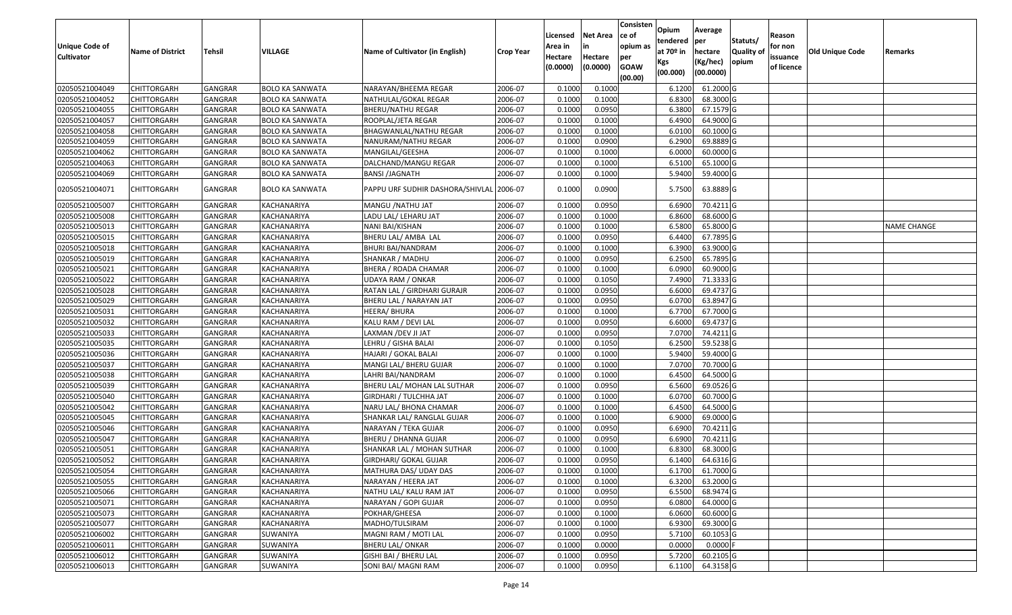| <b>Unique Code of</b><br><b>Cultivator</b> | <b>Name of District</b> | Tehsil         | VILLAGE                | Name of Cultivator (in English)          | <b>Crop Year</b> | Licensed<br>Area in<br>Hectare | <b>Net Area</b><br>in<br>Hectare | Consisten<br>ce of<br>opium as<br>per | Opium<br>tendered<br>at 70º in<br>Kgs | Average<br>per<br>hectare<br>(Kg/hec) | Statuts/<br>Quality of<br>opium | Reason<br>for non<br>issuance | Old Unique Code | Remarks            |
|--------------------------------------------|-------------------------|----------------|------------------------|------------------------------------------|------------------|--------------------------------|----------------------------------|---------------------------------------|---------------------------------------|---------------------------------------|---------------------------------|-------------------------------|-----------------|--------------------|
|                                            |                         |                |                        |                                          |                  | (0.0000)                       | (0.0000)                         | <b>GOAW</b><br>(00.00)                | (00.000)                              | (00.0000)                             |                                 | of licence                    |                 |                    |
| 02050521004049                             | <b>CHITTORGARH</b>      | <b>GANGRAR</b> | <b>BOLO KA SANWATA</b> | NARAYAN/BHEEMA REGAR                     | 2006-07          | 0.1000                         | 0.1000                           |                                       | 6.1200                                | 61.2000 G                             |                                 |                               |                 |                    |
| 02050521004052                             | <b>CHITTORGARH</b>      | GANGRAR        | <b>BOLO KA SANWATA</b> | NATHULAL/GOKAL REGAR                     | 2006-07          | 0.1000                         | 0.1000                           |                                       | 6.8300                                | 68.3000 G                             |                                 |                               |                 |                    |
| 02050521004055                             | <b>CHITTORGARH</b>      | GANGRAR        | <b>BOLO KA SANWATA</b> | BHERU/NATHU REGAR                        | 2006-07          | 0.1000                         | 0.0950                           |                                       | 6.3800                                | 67.1579 G                             |                                 |                               |                 |                    |
| 02050521004057                             | <b>CHITTORGARH</b>      | <b>GANGRAR</b> | <b>BOLO KA SANWATA</b> | ROOPLAL/JETA REGAR                       | 2006-07          | 0.1000                         | 0.1000                           |                                       | 6.4900                                | 64.9000 G                             |                                 |                               |                 |                    |
| 02050521004058                             | <b>CHITTORGARH</b>      | GANGRAR        | <b>BOLO KA SANWATA</b> | BHAGWANLAL/NATHU REGAR                   | 2006-07          | 0.1000                         | 0.1000                           |                                       | 6.0100                                | 60.1000 G                             |                                 |                               |                 |                    |
| 02050521004059                             | <b>CHITTORGARH</b>      | <b>GANGRAR</b> | <b>BOLO KA SANWATA</b> | NANURAM/NATHU REGAR                      | 2006-07          | 0.1000                         | 0.0900                           |                                       | 6.2900                                | 69.8889 G                             |                                 |                               |                 |                    |
| 02050521004062                             | CHITTORGARH             | GANGRAR        | BOLO KA SANWATA        | MANGILAL/GEESHA                          | 2006-07          | 0.1000                         | 0.1000                           |                                       | 6.0000                                | 60.0000 G                             |                                 |                               |                 |                    |
| 02050521004063                             | <b>CHITTORGARH</b>      | GANGRAR        | <b>BOLO KA SANWATA</b> | DALCHAND/MANGU REGAR                     | 2006-07          | 0.1000                         | 0.1000                           |                                       | 6.5100                                | 65.1000 G                             |                                 |                               |                 |                    |
| 02050521004069                             | <b>CHITTORGARH</b>      | GANGRAR        | <b>BOLO KA SANWATA</b> | BANSI /JAGNATH                           | 2006-07          | 0.1000                         | 0.1000                           |                                       | 5.9400                                | 59.4000 G                             |                                 |                               |                 |                    |
| 02050521004071                             | CHITTORGARH             | GANGRAR        | BOLO KA SANWATA        | PAPPU URF SUDHIR DASHORA/SHIVLAL 2006-07 |                  | 0.1000                         | 0.0900                           |                                       | 5.7500                                | 63.8889 G                             |                                 |                               |                 |                    |
| 02050521005007                             | <b>CHITTORGARH</b>      | GANGRAR        | KACHANARIYA            | MANGU /NATHU JAT                         | 2006-07          | 0.1000                         | 0.0950                           |                                       | 6.6900                                | 70.4211 G                             |                                 |                               |                 |                    |
| 02050521005008                             | <b>CHITTORGARH</b>      | GANGRAR        | KACHANARIYA            | LADU LAL/ LEHARU JAT                     | 2006-07          | 0.1000                         | 0.1000                           |                                       | 6.8600                                | 68.6000 G                             |                                 |                               |                 |                    |
| 02050521005013                             | <b>CHITTORGARH</b>      | GANGRAR        | KACHANARIYA            | NANI BAI/KISHAN                          | 2006-07          | 0.1000                         | 0.1000                           |                                       | 6.5800                                | 65.8000 G                             |                                 |                               |                 | <b>NAME CHANGE</b> |
| 02050521005015                             | <b>CHITTORGARH</b>      | GANGRAR        | KACHANARIYA            | BHERU LAL/ AMBA LAL                      | 2006-07          | 0.1000                         | 0.0950                           |                                       | 6.4400                                | 67.7895 G                             |                                 |                               |                 |                    |
| 02050521005018                             | <b>CHITTORGARH</b>      | GANGRAR        | KACHANARIYA            | BHURI BAI/NANDRAM                        | 2006-07          | 0.1000                         | 0.1000                           |                                       | 6.3900                                | 63.9000 G                             |                                 |                               |                 |                    |
| 02050521005019                             | <b>CHITTORGARH</b>      | GANGRAR        | KACHANARIYA            | SHANKAR / MADHU                          | 2006-07          | 0.1000                         | 0.0950                           |                                       | 6.2500                                | 65.7895 G                             |                                 |                               |                 |                    |
| 02050521005021                             | <b>CHITTORGARH</b>      | GANGRAR        | KACHANARIYA            | BHERA / ROADA CHAMAR                     | 2006-07          | 0.1000                         | 0.1000                           |                                       | 6.0900                                | 60.9000 G                             |                                 |                               |                 |                    |
| 02050521005022                             | <b>CHITTORGARH</b>      | GANGRAR        | KACHANARIYA            | <b>UDAYA RAM / ONKAR</b>                 | 2006-07          | 0.1000                         | 0.1050                           |                                       | 7.4900                                | 71.3333 G                             |                                 |                               |                 |                    |
| 02050521005028                             | <b>CHITTORGARH</b>      | <b>GANGRAR</b> | KACHANARIYA            | RATAN LAL / GIRDHARI GURAJR              | 2006-07          | 0.1000                         | 0.0950                           |                                       | 6.6000                                | 69.4737 G                             |                                 |                               |                 |                    |
| 02050521005029                             | <b>CHITTORGARH</b>      | GANGRAR        | KACHANARIYA            | BHERU LAL / NARAYAN JAT                  | 2006-07          | 0.1000                         | 0.0950                           |                                       | 6.0700                                | 63.8947 G                             |                                 |                               |                 |                    |
| 02050521005031                             | <b>CHITTORGARH</b>      | GANGRAR        | KACHANARIYA            | HEERA/ BHURA                             | 2006-07          | 0.1000                         | 0.1000                           |                                       | 6.7700                                | 67.7000 G                             |                                 |                               |                 |                    |
| 02050521005032                             | <b>CHITTORGARH</b>      | GANGRAR        | KACHANARIYA            | KALU RAM / DEVI LAL                      | 2006-07          | 0.1000                         | 0.0950                           |                                       | 6.6000                                | 69.4737 G                             |                                 |                               |                 |                    |
| 02050521005033                             | <b>CHITTORGARH</b>      | GANGRAR        | KACHANARIYA            | LAXMAN /DEV JI JAT                       | 2006-07          | 0.1000                         | 0.0950                           |                                       | 7.0700                                | 74.4211 G                             |                                 |                               |                 |                    |
| 02050521005035                             | <b>CHITTORGARH</b>      | GANGRAR        | KACHANARIYA            | LEHRU / GISHA BALAI                      | 2006-07          | 0.1000                         | 0.1050                           |                                       | 6.2500                                | 59.5238 G                             |                                 |                               |                 |                    |
| 02050521005036                             | <b>CHITTORGARH</b>      | GANGRAR        | KACHANARIYA            | HAJARI / GOKAL BALAI                     | 2006-07          | 0.1000                         | 0.1000                           |                                       | 5.9400                                | 59.4000 G                             |                                 |                               |                 |                    |
| 02050521005037                             | <b>CHITTORGARH</b>      | GANGRAR        | KACHANARIYA            | MANGI LAL/ BHERU GUJAR                   | 2006-07          | 0.1000                         | 0.1000                           |                                       | 7.0700                                | 70.7000 G                             |                                 |                               |                 |                    |
| 02050521005038                             | <b>CHITTORGARH</b>      | GANGRAR        | KACHANARIYA            | LAHRI BAI/NANDRAM                        | 2006-07          | 0.1000                         | 0.1000                           |                                       | 6.4500                                | 64.5000 G                             |                                 |                               |                 |                    |
| 02050521005039                             | <b>CHITTORGARH</b>      | GANGRAR        | KACHANARIYA            | BHERU LAL/ MOHAN LAL SUTHAR              | 2006-07          | 0.1000                         | 0.0950                           |                                       | 6.5600                                | 69.0526 G                             |                                 |                               |                 |                    |
| 02050521005040                             | <b>CHITTORGARH</b>      | GANGRAR        | KACHANARIYA            | GIRDHARI / TULCHHA JAT                   | 2006-07          | 0.1000                         | 0.1000                           |                                       | 6.0700                                | 60.7000 G                             |                                 |                               |                 |                    |
| 02050521005042                             | <b>CHITTORGARH</b>      | GANGRAR        | KACHANARIYA            | NARU LAL/ BHONA CHAMAR                   | 2006-07          | 0.1000                         | 0.1000                           |                                       | 6.4500                                | 64.5000 G                             |                                 |                               |                 |                    |
| 02050521005045                             | <b>CHITTORGARH</b>      | GANGRAR        | KACHANARIYA            | SHANKAR LAL/ RANGLAL GUJAR               | 2006-07          | 0.1000                         | 0.1000                           |                                       | 6.9000                                | 69.0000 G                             |                                 |                               |                 |                    |
| 02050521005046                             | <b>CHITTORGARH</b>      | GANGRAR        | KACHANARIYA            | NARAYAN / TEKA GUJAR                     | 2006-07          | 0.1000                         | 0.0950                           |                                       | 6.6900                                | 70.4211 G                             |                                 |                               |                 |                    |
| 02050521005047                             | <b>CHITTORGARH</b>      | GANGRAR        | KACHANARIYA            | BHERU / DHANNA GUJAR                     | 2006-07          | 0.1000                         | 0.0950                           |                                       | 6.6900                                | 70.4211 G                             |                                 |                               |                 |                    |
| 02050521005051                             | <b>CHITTORGARH</b>      | GANGRAR        | KACHANARIYA            | SHANKAR LAL / MOHAN SUTHAR               | 2006-07          | 0.100                          | 0.1000                           |                                       | 6.8300                                | 68.3000 G                             |                                 |                               |                 |                    |
| 02050521005052                             | <b>CHITTORGARH</b>      | GANGRAR        | KACHANARIYA            | GIRDHARI/ GOKAL GUJAR                    | 2006-07          | 0.1000                         | 0.0950                           |                                       | 6.1400                                | 64.6316 G                             |                                 |                               |                 |                    |
| 02050521005054                             | <b>CHITTORGARH</b>      | GANGRAR        | KACHANARIYA            | MATHURA DAS/ UDAY DAS                    | 2006-07          | 0.1000                         | 0.1000                           |                                       | 6.1700                                | 61.7000 G                             |                                 |                               |                 |                    |
| 02050521005055                             | <b>CHITTORGARH</b>      | <b>GANGRAR</b> | KACHANARIYA            | NARAYAN / HEERA JAT                      | 2006-07          | 0.1000                         | 0.1000                           |                                       | 6.3200                                | 63.2000 G                             |                                 |                               |                 |                    |
| 02050521005066                             | <b>CHITTORGARH</b>      | GANGRAR        | KACHANARIYA            | NATHU LAL/ KALU RAM JAT                  | 2006-07          | 0.1000                         | 0.0950                           |                                       | 6.5500                                | 68.9474 G                             |                                 |                               |                 |                    |
| 02050521005071                             | <b>CHITTORGARH</b>      | <b>GANGRAR</b> | KACHANARIYA            | NARAYAN / GOPI GUJAR                     | 2006-07          | 0.1000                         | 0.0950                           |                                       | 6.0800                                | 64.0000 G                             |                                 |                               |                 |                    |
| 02050521005073                             | <b>CHITTORGARH</b>      | GANGRAR        | KACHANARIYA            | POKHAR/GHEESA                            | 2006-07          | 0.1000                         | 0.1000                           |                                       | 6.0600                                | 60.6000 G                             |                                 |                               |                 |                    |
| 02050521005077                             | <b>CHITTORGARH</b>      | <b>GANGRAR</b> | KACHANARIYA            | MADHO/TULSIRAM                           | 2006-07          | 0.1000                         | 0.1000                           |                                       | 6.9300                                | 69.3000 G                             |                                 |                               |                 |                    |
| 02050521006002                             | <b>CHITTORGARH</b>      | GANGRAR        | SUWANIYA               | MAGNI RAM / MOTI LAL                     | 2006-07          | 0.1000                         | 0.0950                           |                                       | 5.7100                                | 60.1053 G                             |                                 |                               |                 |                    |
| 02050521006011                             | <b>CHITTORGARH</b>      | GANGRAR        | SUWANIYA               | <b>BHERU LAL/ ONKAR</b>                  | 2006-07          | 0.1000                         | 0.0000                           |                                       | 0.0000                                | 0.0000                                |                                 |                               |                 |                    |
| 02050521006012                             | <b>CHITTORGARH</b>      | GANGRAR        | SUWANIYA               | GISHI BAI / BHERU LAL                    | 2006-07          | 0.1000                         | 0.0950                           |                                       | 5.7200                                | 60.2105 G                             |                                 |                               |                 |                    |
| 02050521006013                             | <b>CHITTORGARH</b>      | <b>GANGRAR</b> | SUWANIYA               | SONI BAI/ MAGNI RAM                      | 2006-07          | 0.1000                         | 0.0950                           |                                       | 6.1100                                | 64.3158 G                             |                                 |                               |                 |                    |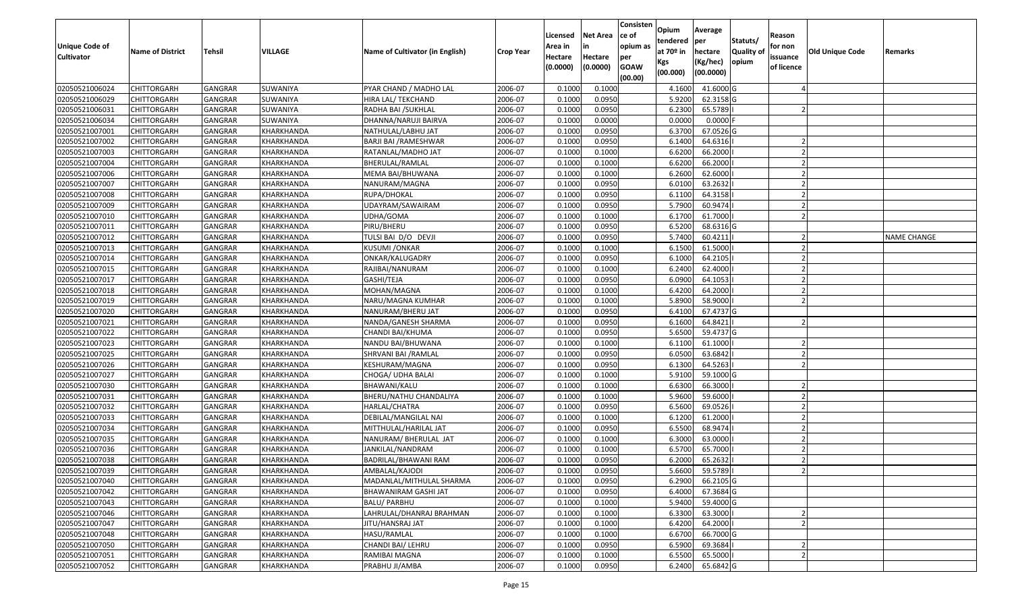| <b>Unique Code of</b> |                         |                | <b>VILLAGE</b>    | Name of Cultivator (in English) |                  | Licensed<br>Area in | <b>Net Area</b><br>in | Consisten<br>ce of<br>opium as | Opium<br>tendered<br>at $70°$ in | Average<br>per                   | Statuts/                  | Reason<br>for non      |                 |                    |
|-----------------------|-------------------------|----------------|-------------------|---------------------------------|------------------|---------------------|-----------------------|--------------------------------|----------------------------------|----------------------------------|---------------------------|------------------------|-----------------|--------------------|
| <b>Cultivator</b>     | <b>Name of District</b> | Tehsil         |                   |                                 | <b>Crop Year</b> | Hectare<br>(0.0000) | Hectare<br>(0.0000)   | per<br><b>GOAW</b><br>(00.00)  | Kgs<br>(00.000)                  | hectare<br>(Kg/hec)<br>(00.0000) | <b>Quality o</b><br>opium | issuance<br>of licence | Old Unique Code | Remarks            |
| 02050521006024        | CHITTORGARH             | GANGRAR        | SUWANIYA          | PYAR CHAND / MADHO LAL          | 2006-07          | 0.1000              | 0.1000                |                                | 4.1600                           | 41.6000G                         |                           |                        |                 |                    |
| 02050521006029        | CHITTORGARH             | GANGRAR        | SUWANIYA          | HIRA LAL/ TEKCHAND              | 2006-07          | 0.1000              | 0.0950                |                                | 5.9200                           | 62.3158 G                        |                           |                        |                 |                    |
| 02050521006031        | CHITTORGARH             | GANGRAR        | SUWANIYA          | RADHA BAI /SUKHLAL              | 2006-07          | 0.1000              | 0.0950                |                                | 6.2300                           | 65.5789                          |                           |                        |                 |                    |
| 02050521006034        | <b>CHITTORGARH</b>      | <b>GANGRAR</b> | SUWANIYA          | DHANNA/NARUJI BAIRVA            | 2006-07          | 0.1000              | 0.0000                |                                | 0.0000                           | $0.0000$ F                       |                           |                        |                 |                    |
| 02050521007001        | CHITTORGARH             | GANGRAR        | KHARKHANDA        | NATHULAL/LABHU JAT              | 2006-07          | 0.1000              | 0.0950                |                                | 6.3700                           | 67.0526 G                        |                           |                        |                 |                    |
| 02050521007002        | CHITTORGARH             | <b>GANGRAR</b> | KHARKHANDA        | BARJI BAI / RAMESHWAR           | 2006-07          | 0.1000              | 0.0950                |                                | 6.1400                           | 64.6316                          |                           |                        |                 |                    |
| 02050521007003        | CHITTORGARH             | GANGRAR        | KHARKHANDA        | RATANLAL/MADHO JAT              | 2006-07          | 0.1000              | 0.1000                |                                | 6.6200                           | 66.2000                          |                           |                        |                 |                    |
| 02050521007004        | CHITTORGARH             | <b>GANGRAR</b> | KHARKHANDA        | BHERULAL/RAMLAL                 | 2006-07          | 0.1000              | 0.1000                |                                | 6.6200                           | 66.2000                          |                           |                        |                 |                    |
| 02050521007006        | CHITTORGARH             | GANGRAR        | KHARKHANDA        | MEMA BAI/BHUWANA                | 2006-07          | 0.1000              | 0.1000                |                                | 6.2600                           | 62.6000                          |                           |                        |                 |                    |
| 02050521007007        | CHITTORGARH             | <b>GANGRAR</b> | KHARKHANDA        | NANURAM/MAGNA                   | 2006-07          | 0.1000              | 0.0950                |                                | 6.0100                           | 63.2632                          |                           |                        |                 |                    |
| 02050521007008        | CHITTORGARH             | <b>GANGRAR</b> | KHARKHANDA        | RUPA/DHOKAL                     | 2006-07          | 0.1000              | 0.0950                |                                | 6.1100                           | 64.3158                          |                           |                        |                 |                    |
| 02050521007009        | <b>CHITTORGARH</b>      | <b>GANGRAR</b> | KHARKHANDA        | UDAYRAM/SAWAIRAM                | 2006-07          | 0.1000              | 0.0950                |                                | 5.7900                           | 60.9474                          |                           |                        |                 |                    |
| 02050521007010        | <b>CHITTORGARH</b>      | <b>GANGRAR</b> | KHARKHANDA        | UDHA/GOMA                       | 2006-07          | 0.1000              | 0.1000                |                                | 6.1700                           | 61.7000                          |                           |                        |                 |                    |
| 02050521007011        | <b>CHITTORGARH</b>      | GANGRAR        | KHARKHANDA        | PIRU/BHERU                      | 2006-07          | 0.1000              | 0.0950                |                                | 6.5200                           | 68.6316 G                        |                           |                        |                 |                    |
| 02050521007012        | CHITTORGARH             | <b>GANGRAR</b> | KHARKHANDA        | TULSI BAI D/O DEVJI             | 2006-07          | 0.1000              | 0.0950                |                                | 5.7400                           | 60.4211                          |                           |                        |                 | <b>NAME CHANGE</b> |
| 02050521007013        | <b>CHITTORGARH</b>      | <b>GANGRAR</b> | KHARKHANDA        | <b>KUSUMI / ONKAR</b>           | 2006-07          | 0.1000              | 0.1000                |                                | 6.1500                           | 61.5000                          |                           |                        |                 |                    |
| 02050521007014        | CHITTORGARH             | <b>GANGRAR</b> | KHARKHANDA        | ONKAR/KALUGADRY                 | 2006-07          | 0.1000              | 0.0950                |                                | 6.1000                           | 64.2105                          |                           |                        |                 |                    |
| 02050521007015        | CHITTORGARH             | <b>GANGRAR</b> | KHARKHANDA        | RAJIBAI/NANURAM                 | 2006-07          | 0.1000              | 0.1000                |                                | 6.2400                           | 62.4000                          |                           |                        |                 |                    |
| 02050521007017        | CHITTORGARH             | <b>GANGRAR</b> | KHARKHANDA        | GASHI/TEJA                      | 2006-07          | 0.1000              | 0.0950                |                                | 6.0900                           | 64.1053                          |                           |                        |                 |                    |
| 02050521007018        | CHITTORGARH             | GANGRAR        | KHARKHANDA        | MOHAN/MAGNA                     | 2006-07          | 0.1000              | 0.1000                |                                | 6.4200                           | 64.2000                          |                           |                        |                 |                    |
| 02050521007019        | CHITTORGARH             | <b>GANGRAR</b> | KHARKHANDA        | NARU/MAGNA KUMHAR               | 2006-07          | 0.1000              | 0.1000                |                                | 5.8900                           | 58.9000                          |                           |                        |                 |                    |
| 02050521007020        | CHITTORGARH             | GANGRAR        | KHARKHANDA        | NANURAM/BHERU JAT               | 2006-07          | 0.1000              | 0.0950                |                                | 6.4100                           | 67.4737 G                        |                           |                        |                 |                    |
| 02050521007021        | CHITTORGARH             | GANGRAR        | KHARKHANDA        | NANDA/GANESH SHARMA             | 2006-07          | 0.1000              | 0.0950                |                                | 6.1600                           | 64.8421                          |                           |                        |                 |                    |
| 02050521007022        | CHITTORGARH             | <b>GANGRAR</b> | KHARKHANDA        | CHANDI BAI/KHUMA                | 2006-07          | 0.1000              | 0.0950                |                                | 5.6500                           | 59.4737 G                        |                           |                        |                 |                    |
| 02050521007023        | <b>CHITTORGARH</b>      | <b>GANGRAR</b> | KHARKHANDA        | NANDU BAI/BHUWANA               | 2006-07          | 0.1000              | 0.1000                |                                | 6.1100                           | 61.1000                          |                           |                        |                 |                    |
| 02050521007025        | CHITTORGARH             | GANGRAR        | KHARKHANDA        | SHRVANI BAI / RAMLAL            | 2006-07          | 0.1000              | 0.0950                |                                | 6.0500                           | 63.6842                          |                           |                        |                 |                    |
| 02050521007026        | CHITTORGARH             | GANGRAR        | KHARKHANDA        | KESHURAM/MAGNA                  | 2006-07          | 0.1000              | 0.0950                |                                | 6.1300                           | 64.5263                          |                           |                        |                 |                    |
| 02050521007027        | CHITTORGARH             | GANGRAR        | KHARKHANDA        | CHOGA/ UDHA BALAI               | 2006-07          | 0.1000              | 0.1000                |                                | 5.9100                           | 59.1000G                         |                           |                        |                 |                    |
| 02050521007030        | CHITTORGARH             | <b>GANGRAR</b> | KHARKHANDA        | BHAWANI/KALU                    | 2006-07          | 0.1000              | 0.1000                |                                | 6.6300                           | 66.3000                          |                           |                        |                 |                    |
| 02050521007031        | CHITTORGARH             | <b>GANGRAR</b> | KHARKHANDA        | BHERU/NATHU CHANDALIYA          | 2006-07          | 0.1000              | 0.1000                |                                | 5.9600                           | 59.6000                          |                           |                        |                 |                    |
| 02050521007032        | CHITTORGARH             | <b>GANGRAR</b> | KHARKHANDA        | HARLAL/CHATRA                   | 2006-07          | 0.1000              | 0.0950                |                                | 6.5600                           | 69.0526                          |                           |                        |                 |                    |
| 02050521007033        | CHITTORGARH             | GANGRAR        | KHARKHANDA        | DEBILAL/MANGILAL NAI            | 2006-07          | 0.1000              | 0.1000                |                                | 6.1200                           | 61.2000                          |                           |                        |                 |                    |
| 02050521007034        | CHITTORGARH             | <b>GANGRAR</b> | KHARKHANDA        | MITTHULAL/HARILAL JAT           | 2006-07          | 0.1000              | 0.0950                |                                | 6.5500                           | 68.9474                          |                           |                        |                 |                    |
| 02050521007035        | CHITTORGARH             | GANGRAR        | KHARKHANDA        | NANURAM/ BHERULAL JAT           | 2006-07          | 0.1000              | 0.1000                |                                | 6.3000                           | 63.0000                          |                           |                        |                 |                    |
| 02050521007036        | CHITTORGARH             | <b>GANGRAR</b> | KHARKHANDA        | JANKILAL/NANDRAM                | 2006-07          | 0.1000              | 0.1000                |                                | 6.5700                           | 65.7000                          |                           |                        |                 |                    |
| 02050521007038        | CHITTORGARH             | GANGRAR        | KHARKHANDA        | BADRILAL/BHAWANI RAM            | 2006-07          | 0.1000              | 0.0950                |                                | 6.2000                           | 65.2632                          |                           |                        |                 |                    |
| 02050521007039        | <b>CHITTORGARH</b>      | GANGRAR        | KHARKHANDA        | AMBALAL/KAJODI                  | 2006-07          | 0.1000              | 0.0950                |                                |                                  | 5.6600 59.5789                   |                           |                        |                 |                    |
| 02050521007040        | <b>CHITTORGARH</b>      | <b>GANGRAR</b> | KHARKHANDA        | MADANLAL/MITHULAL SHARMA        | 2006-07          | 0.1000              | 0.0950                |                                | 6.2900                           | 66.2105 G                        |                           |                        |                 |                    |
| 02050521007042        | <b>CHITTORGARH</b>      | <b>GANGRAR</b> | KHARKHANDA        | BHAWANIRAM GASHI JAT            | 2006-07          | 0.1000              | 0.0950                |                                | 6.4000                           | 67.3684 G                        |                           |                        |                 |                    |
| 02050521007043        | <b>CHITTORGARH</b>      | <b>GANGRAR</b> | KHARKHANDA        | <b>BALU/ PARBHU</b>             | 2006-07          | 0.1000              | 0.1000                |                                | 5.9400                           | 59.4000 G                        |                           |                        |                 |                    |
| 02050521007046        | CHITTORGARH             | <b>GANGRAR</b> | KHARKHANDA        | LAHRULAL/DHANRAJ BRAHMAN        | 2006-07          | 0.1000              | 0.1000                |                                | 6.3300                           | 63.3000                          |                           |                        |                 |                    |
| 02050521007047        | <b>CHITTORGARH</b>      | <b>GANGRAR</b> | <b>KHARKHANDA</b> | JITU/HANSRAJ JAT                | 2006-07          | 0.1000              | 0.1000                |                                | 6.4200                           | 64.2000                          |                           |                        |                 |                    |
| 02050521007048        | <b>CHITTORGARH</b>      | <b>GANGRAR</b> | KHARKHANDA        | HASU/RAMLAL                     | 2006-07          | 0.1000              | 0.1000                |                                | 6.6700                           | 66.7000 G                        |                           |                        |                 |                    |
| 02050521007050        | <b>CHITTORGARH</b>      | <b>GANGRAR</b> | KHARKHANDA        | CHANDI BAI/ LEHRU               | 2006-07          | 0.1000              | 0.0950                |                                | 6.5900                           | 69.3684                          |                           |                        |                 |                    |
| 02050521007051        | CHITTORGARH             | <b>GANGRAR</b> | KHARKHANDA        | RAMIBAI MAGNA                   | 2006-07          | 0.1000              | 0.1000                |                                | 6.5500                           | 65.5000                          |                           |                        |                 |                    |
| 02050521007052        | <b>CHITTORGARH</b>      | <b>GANGRAR</b> | KHARKHANDA        | PRABHU JI/AMBA                  | 2006-07          | 0.1000              | 0.0950                |                                | 6.2400                           | 65.6842 G                        |                           |                        |                 |                    |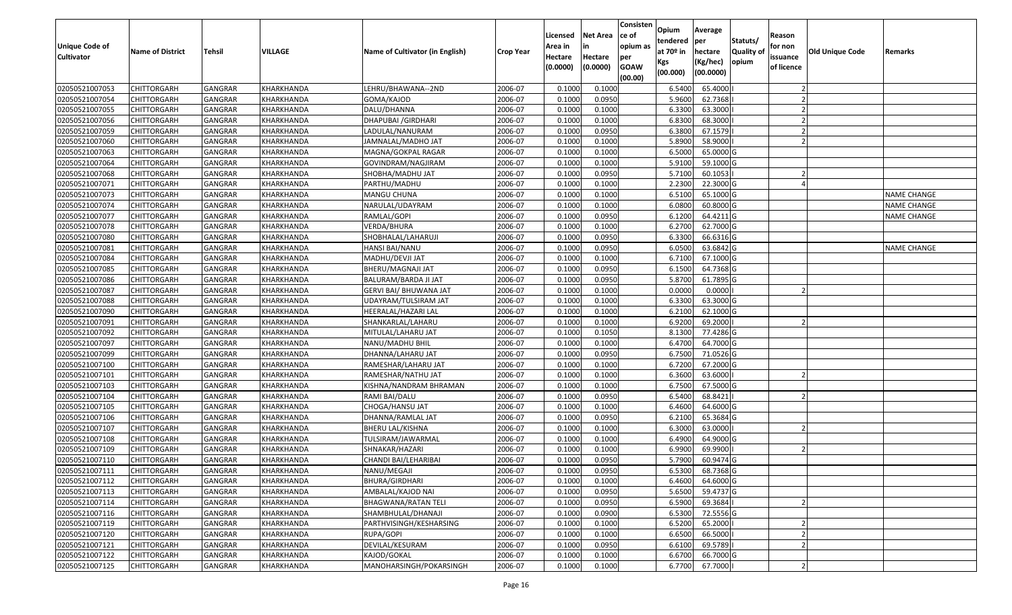| <b>Unique Code of</b><br><b>Cultivator</b> | <b>Name of District</b> | <b>Tehsil</b>  | VILLAGE    | <b>Name of Cultivator (in English)</b> | <b>Crop Year</b> | Licensed<br>Area in<br>Hectare<br>(0.0000) | <b>Net Area</b><br>in<br>Hectare<br>(0.0000) | Consisten<br>lce of<br>opium as<br>per<br><b>GOAW</b><br>(00.00) | Opium<br>tendered<br>at $70°$ in<br>Kgs<br>(00.000) | Average<br>per<br>hectare<br>(Kg/hec)<br>(00.0000) | Statuts/<br>Quality of<br>opium | Reason<br>for non<br>issuance<br>of licence | <b>Old Unique Code</b> | Remarks            |
|--------------------------------------------|-------------------------|----------------|------------|----------------------------------------|------------------|--------------------------------------------|----------------------------------------------|------------------------------------------------------------------|-----------------------------------------------------|----------------------------------------------------|---------------------------------|---------------------------------------------|------------------------|--------------------|
| 02050521007053                             | <b>CHITTORGARH</b>      | GANGRAR        | KHARKHANDA | LEHRU/BHAWANA--2ND                     | 2006-07          | 0.1000                                     | 0.1000                                       |                                                                  | 6.5400                                              | 65.4000                                            |                                 |                                             |                        |                    |
| 02050521007054                             | CHITTORGARH             | GANGRAR        | KHARKHANDA | GOMA/KAJOD                             | 2006-07          | 0.1000                                     | 0.0950                                       |                                                                  | 5.9600                                              | 62.7368                                            |                                 |                                             |                        |                    |
| 02050521007055                             | <b>CHITTORGARH</b>      | GANGRAR        | KHARKHANDA | DALU/DHANNA                            | 2006-07          | 0.1000                                     | 0.1000                                       |                                                                  | 6.3300                                              | 63.3000                                            |                                 |                                             |                        |                    |
| 02050521007056                             | <b>CHITTORGARH</b>      | <b>GANGRAR</b> | KHARKHANDA | DHAPUBAI / GIRDHARI                    | 2006-07          | 0.1000                                     | 0.1000                                       |                                                                  | 6.8300                                              | 68.3000                                            |                                 |                                             |                        |                    |
| 02050521007059                             | <b>CHITTORGARH</b>      | <b>GANGRAR</b> | KHARKHANDA | LADULAL/NANURAM                        | 2006-07          | 0.1000                                     | 0.0950                                       |                                                                  | 6.3800                                              | 67.1579                                            |                                 |                                             |                        |                    |
| 02050521007060                             | CHITTORGARH             | <b>GANGRAR</b> | KHARKHANDA | IAMNALAL/MADHO JAT                     | 2006-07          | 0.1000                                     | 0.1000                                       |                                                                  | 5.8900                                              | 58.9000                                            |                                 |                                             |                        |                    |
| 02050521007063                             | CHITTORGARH             | GANGRAR        | KHARKHANDA | MAGNA/GOKPAL RAGAR                     | 2006-07          | 0.1000                                     | 0.1000                                       |                                                                  | 6.5000                                              | 65.0000 G                                          |                                 |                                             |                        |                    |
| 02050521007064                             | <b>CHITTORGARH</b>      | <b>GANGRAR</b> | KHARKHANDA | GOVINDRAM/NAGJIRAM                     | 2006-07          | 0.1000                                     | 0.1000                                       |                                                                  | 5.9100                                              | 59.1000 G                                          |                                 |                                             |                        |                    |
| 02050521007068                             | <b>CHITTORGARH</b>      | <b>GANGRAR</b> | KHARKHANDA | SHOBHA/MADHU JAT                       | 2006-07          | 0.1000                                     | 0.0950                                       |                                                                  | 5.7100                                              | 60.1053                                            |                                 |                                             |                        |                    |
| 02050521007071                             | CHITTORGARH             | <b>GANGRAR</b> | KHARKHANDA | PARTHU/MADHU                           | 2006-07          | 0.1000                                     | 0.1000                                       |                                                                  | 2.2300                                              | 22.3000 G                                          |                                 |                                             |                        |                    |
| 02050521007073                             | <b>CHITTORGARH</b>      | GANGRAR        | KHARKHANDA | MANGU CHUNA                            | 2006-07          | 0.1000                                     | 0.1000                                       |                                                                  | 6.5100                                              | 65.1000 G                                          |                                 |                                             |                        | NAME CHANGE        |
| 02050521007074                             | <b>CHITTORGARH</b>      | <b>GANGRAR</b> | KHARKHANDA | NARULAL/UDAYRAM                        | 2006-07          | 0.1000                                     | 0.1000                                       |                                                                  | 6.0800                                              | 60.8000 G                                          |                                 |                                             |                        | <b>NAME CHANGE</b> |
| 02050521007077                             | <b>CHITTORGARH</b>      | <b>GANGRAR</b> | KHARKHANDA | RAMLAL/GOPI                            | 2006-07          | 0.1000                                     | 0.0950                                       |                                                                  | 6.1200                                              | 64.4211 G                                          |                                 |                                             |                        | <b>NAME CHANGE</b> |
| 02050521007078                             | <b>CHITTORGARH</b>      | GANGRAR        | KHARKHANDA | VERDA/BHURA                            | 2006-07          | 0.1000                                     | 0.1000                                       |                                                                  | 6.2700                                              | 62.7000 G                                          |                                 |                                             |                        |                    |
| 02050521007080                             | <b>CHITTORGARH</b>      | GANGRAR        | KHARKHANDA | SHOBHALAL/LAHARUJI                     | 2006-07          | 0.1000                                     | 0.0950                                       |                                                                  | 6.3300                                              | 66.6316 G                                          |                                 |                                             |                        |                    |
| 02050521007081                             | <b>CHITTORGARH</b>      | <b>GANGRAR</b> | KHARKHANDA | HANSI BAI/NANU                         | 2006-07          | 0.1000                                     | 0.0950                                       |                                                                  | 6.0500                                              | 63.6842 G                                          |                                 |                                             |                        | NAME CHANGE        |
| 02050521007084                             | <b>CHITTORGARH</b>      | GANGRAR        | KHARKHANDA | MADHU/DEVJI JAT                        | 2006-07          | 0.1000                                     | 0.1000                                       |                                                                  | 6.7100                                              | 67.1000 G                                          |                                 |                                             |                        |                    |
| 02050521007085                             | <b>CHITTORGARH</b>      | <b>GANGRAR</b> | KHARKHANDA | BHERU/MAGNAJI JAT                      | 2006-07          | 0.1000                                     | 0.0950                                       |                                                                  | 6.1500                                              | 64.7368 G                                          |                                 |                                             |                        |                    |
| 02050521007086                             | <b>CHITTORGARH</b>      | GANGRAR        | KHARKHANDA | BALURAM/BARDA JI JAT                   | 2006-07          | 0.1000                                     | 0.0950                                       |                                                                  | 5.8700                                              | 61.7895 G                                          |                                 |                                             |                        |                    |
| 02050521007087                             | <b>CHITTORGARH</b>      | GANGRAR        | KHARKHANDA | GERVI BAI/ BHUWANA JAT                 | 2006-07          | 0.1000                                     | 0.1000                                       |                                                                  | 0.0000                                              | 0.0000                                             |                                 |                                             |                        |                    |
| 02050521007088                             | <b>CHITTORGARH</b>      | GANGRAR        | KHARKHANDA | UDAYRAM/TULSIRAM JAT                   | 2006-07          | 0.1000                                     | 0.1000                                       |                                                                  | 6.3300                                              | 63.3000 G                                          |                                 |                                             |                        |                    |
| 02050521007090                             | CHITTORGARH             | GANGRAR        | KHARKHANDA | HEERALAL/HAZARI LAL                    | 2006-07          | 0.1000                                     | 0.1000                                       |                                                                  | 6.2100                                              | 62.1000 G                                          |                                 |                                             |                        |                    |
| 02050521007091                             | CHITTORGARH             | GANGRAR        | KHARKHANDA | SHANKARLAL/LAHARU                      | 2006-07          | 0.1000                                     | 0.1000                                       |                                                                  | 6.9200                                              | 69.2000                                            |                                 |                                             |                        |                    |
| 02050521007092                             | <b>CHITTORGARH</b>      | GANGRAR        | KHARKHANDA | MITULAL/LAHARU JAT                     | 2006-07          | 0.1000                                     | 0.1050                                       |                                                                  | 8.1300                                              | 77.4286 G                                          |                                 |                                             |                        |                    |
| 02050521007097                             | <b>CHITTORGARH</b>      | <b>GANGRAR</b> | KHARKHANDA | NANU/MADHU BHIL                        | 2006-07          | 0.1000                                     | 0.1000                                       |                                                                  | 6.4700                                              | 64.7000 G                                          |                                 |                                             |                        |                    |
| 02050521007099                             | <b>CHITTORGARH</b>      | GANGRAR        | KHARKHANDA | DHANNA/LAHARU JAT                      | 2006-07          | 0.1000                                     | 0.0950                                       |                                                                  | 6.7500                                              | 71.0526 G                                          |                                 |                                             |                        |                    |
| 02050521007100                             | <b>CHITTORGARH</b>      | <b>GANGRAR</b> | KHARKHANDA | RAMESHAR/LAHARU JAT                    | 2006-07          | 0.1000                                     | 0.1000                                       |                                                                  | 6.7200                                              | 67.2000 G                                          |                                 |                                             |                        |                    |
| 02050521007101                             | <b>CHITTORGARH</b>      | GANGRAR        | KHARKHANDA | RAMESHAR/NATHU JAT                     | 2006-07          | 0.1000                                     | 0.1000                                       |                                                                  | 6.3600                                              | 63.6000                                            |                                 |                                             |                        |                    |
| 02050521007103                             | <b>CHITTORGARH</b>      | <b>GANGRAR</b> | KHARKHANDA | KISHNA/NANDRAM BHRAMAN                 | 2006-07          | 0.1000                                     | 0.1000                                       |                                                                  | 6.7500                                              | 67.5000 G                                          |                                 |                                             |                        |                    |
| 02050521007104                             | <b>CHITTORGARH</b>      | <b>GANGRAR</b> | KHARKHANDA | RAMI BAI/DALU                          | 2006-07          | 0.1000                                     | 0.0950                                       |                                                                  | 6.5400                                              | 68.8421                                            |                                 |                                             |                        |                    |
| 02050521007105                             | CHITTORGARH             | GANGRAR        | KHARKHANDA | CHOGA/HANSU JAT                        | 2006-07          | 0.1000                                     | 0.1000                                       |                                                                  | 6.4600                                              | 64.6000 G                                          |                                 |                                             |                        |                    |
| 02050521007106                             | CHITTORGARH             | GANGRAR        | KHARKHANDA | DHANNA/RAMLAL JAT                      | 2006-07          | 0.1000                                     | 0.0950                                       |                                                                  | 6.2100                                              | 65.3684 G                                          |                                 |                                             |                        |                    |
| 02050521007107                             | <b>CHITTORGARH</b>      | <b>GANGRAR</b> | KHARKHANDA | BHERU LAL/KISHNA                       | 2006-07          | 0.1000                                     | 0.1000                                       |                                                                  | 6.3000                                              | 63.0000                                            |                                 |                                             |                        |                    |
| 02050521007108                             | <b>CHITTORGARH</b>      | GANGRAR        | KHARKHANDA | TULSIRAM/JAWARMAL                      | 2006-07          | 0.1000                                     | 0.1000                                       |                                                                  | 6.4900                                              | 64.9000 G                                          |                                 |                                             |                        |                    |
| 02050521007109                             | <b>CHITTORGARH</b>      | GANGRAR        | KHARKHANDA | SHNAKAR/HAZARI                         | 2006-07          | 0.1000                                     | 0.1000                                       |                                                                  | 6.9900                                              | 69.9900                                            |                                 |                                             |                        |                    |
| 02050521007110                             | <b>CHITTORGARH</b>      | GANGRAR        | KHARKHANDA | CHANDI BAI/LEHARIBAI                   | 2006-07          | 0.1000                                     | 0.0950                                       |                                                                  | 5.7900                                              | 60.9474 G                                          |                                 |                                             |                        |                    |
| 02050521007111                             | <b>CHITTORGARH</b>      | GANGRAR        | KHARKHANDA | NANU/MEGAJI                            | 2006-07          | 0.1000                                     | 0.0950                                       |                                                                  | 6.5300                                              | 68.7368 G                                          |                                 |                                             |                        |                    |
| 02050521007112                             | <b>CHITTORGARH</b>      | <b>GANGRAR</b> | KHARKHANDA | BHURA/GIRDHARI                         | 2006-07          | 0.1000                                     | 0.1000                                       |                                                                  | 6.4600                                              | 64.6000 G                                          |                                 |                                             |                        |                    |
| 02050521007113                             | <b>CHITTORGARH</b>      | GANGRAR        | KHARKHANDA | AMBALAL/KAJOD NAI                      | 2006-07          | 0.1000                                     | 0.0950                                       |                                                                  | 5.6500                                              | 59.4737 G                                          |                                 |                                             |                        |                    |
| 02050521007114                             | <b>CHITTORGARH</b>      | <b>GANGRAR</b> | KHARKHANDA | BHAGWANA/RATAN TELI                    | 2006-07          | 0.1000                                     | 0.0950                                       |                                                                  | 6.5900                                              | 69.3684                                            |                                 |                                             |                        |                    |
| 02050521007116                             | CHITTORGARH             | GANGRAR        | KHARKHANDA | SHAMBHULAL/DHANAJI                     | 2006-07          | 0.1000                                     | 0.0900                                       |                                                                  | 6.5300                                              | 72.5556 G                                          |                                 |                                             |                        |                    |
| 02050521007119                             | <b>CHITTORGARH</b>      | <b>GANGRAR</b> | KHARKHANDA | PARTHVISINGH/KESHARSING                | 2006-07          | 0.1000                                     | 0.1000                                       |                                                                  | 6.5200                                              | 65.2000                                            |                                 |                                             |                        |                    |
| 02050521007120                             | <b>CHITTORGARH</b>      | GANGRAR        | KHARKHANDA | RUPA/GOPI                              | 2006-07          | 0.1000                                     | 0.1000                                       |                                                                  | 6.6500                                              | 66.5000                                            |                                 |                                             |                        |                    |
| 02050521007121                             | <b>CHITTORGARH</b>      | GANGRAR        | KHARKHANDA | DEVILAL/KESURAM                        | 2006-07          | 0.1000                                     | 0.0950                                       |                                                                  | 6.6100                                              | 69.5789                                            |                                 |                                             |                        |                    |
| 02050521007122                             | <b>CHITTORGARH</b>      | GANGRAR        | KHARKHANDA | KAJOD/GOKAL                            | 2006-07          | 0.1000                                     | 0.1000                                       |                                                                  | 6.6700                                              | 66.7000 G                                          |                                 |                                             |                        |                    |
| 02050521007125                             | <b>CHITTORGARH</b>      | GANGRAR        | KHARKHANDA | MANOHARSINGH/POKARSINGH                | 2006-07          | 0.1000                                     | 0.1000                                       |                                                                  | 6.7700                                              | 67.7000                                            |                                 |                                             |                        |                    |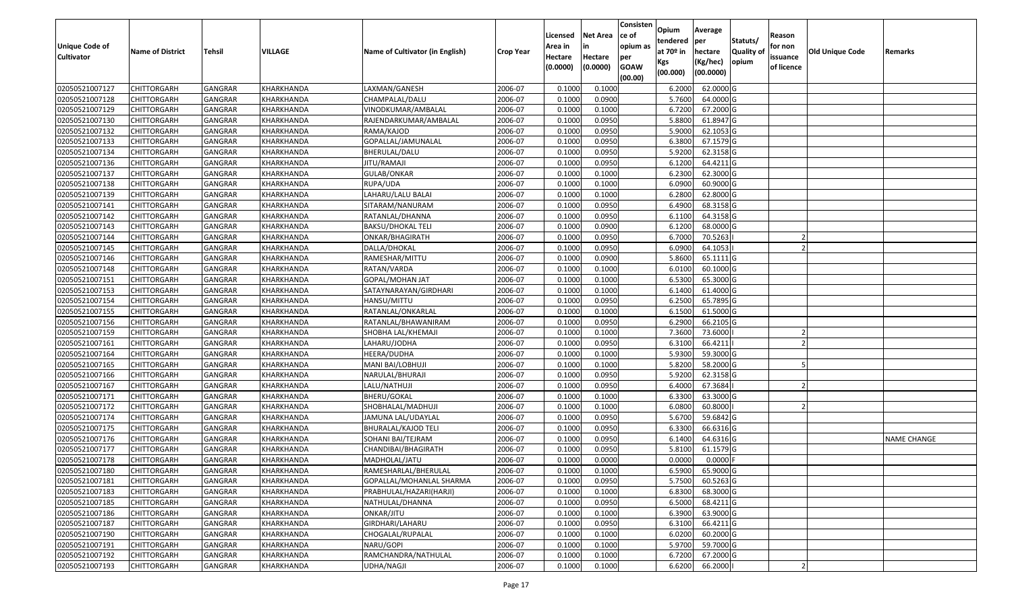| <b>Unique Code of</b><br><b>Cultivator</b> | <b>Name of District</b> | <b>Tehsil</b>  | VILLAGE    | Name of Cultivator (in English) | <b>Crop Year</b> | Licensed<br>Area in<br>Hectare<br>(0.0000) | <b>Net Area</b><br>in<br>Hectare<br>(0.0000) | Consisten<br>ce of<br>opium as<br>per<br><b>GOAW</b><br>(00.00) | Opium<br>tendered<br>at 70º in<br>Kgs<br>(00.000) | Average<br>per<br>hectare<br>(Kg/hec)<br>(00.0000) | Statuts/<br><b>Quality o</b><br>opium | Reason<br>for non<br>issuance<br>of licence | Old Unique Code | Remarks            |
|--------------------------------------------|-------------------------|----------------|------------|---------------------------------|------------------|--------------------------------------------|----------------------------------------------|-----------------------------------------------------------------|---------------------------------------------------|----------------------------------------------------|---------------------------------------|---------------------------------------------|-----------------|--------------------|
| 02050521007127                             | <b>CHITTORGARH</b>      | GANGRAR        | KHARKHANDA | LAXMAN/GANESH                   | 2006-07          | 0.1000                                     | 0.1000                                       |                                                                 | 6.2000                                            | 62.0000 G                                          |                                       |                                             |                 |                    |
| 02050521007128                             | <b>CHITTORGARH</b>      | GANGRAR        | KHARKHANDA | CHAMPALAL/DALU                  | 2006-07          | 0.1000                                     | 0.0900                                       |                                                                 | 5.7600                                            | 64.0000 G                                          |                                       |                                             |                 |                    |
| 02050521007129                             | <b>CHITTORGARH</b>      | GANGRAR        | KHARKHANDA | VINODKUMAR/AMBALAL              | 2006-07          | 0.1000                                     | 0.1000                                       |                                                                 | 6.7200                                            | 67.2000 G                                          |                                       |                                             |                 |                    |
| 02050521007130                             | <b>CHITTORGARH</b>      | <b>GANGRAR</b> | KHARKHANDA | RAJENDARKUMAR/AMBALAL           | 2006-07          | 0.1000                                     | 0.0950                                       |                                                                 | 5.8800                                            | 61.8947 G                                          |                                       |                                             |                 |                    |
| 02050521007132                             | <b>CHITTORGARH</b>      | GANGRAR        | KHARKHANDA | RAMA/KAJOD                      | 2006-07          | 0.1000                                     | 0.0950                                       |                                                                 | 5.9000                                            | 62.1053 G                                          |                                       |                                             |                 |                    |
| 02050521007133                             | <b>CHITTORGARH</b>      | <b>GANGRAR</b> | KHARKHANDA | GOPALLAL/JAMUNALAL              | 2006-07          | 0.1000                                     | 0.0950                                       |                                                                 | 6.3800                                            | 67.1579 G                                          |                                       |                                             |                 |                    |
| 02050521007134                             | CHITTORGARH             | GANGRAR        | KHARKHANDA | BHERULAL/DALU                   | 2006-07          | 0.1000                                     | 0.0950                                       |                                                                 | 5.9200                                            | 62.3158 G                                          |                                       |                                             |                 |                    |
| 02050521007136                             | <b>CHITTORGARH</b>      | GANGRAR        | KHARKHANDA | JITU/RAMAJI                     | 2006-07          | 0.1000                                     | 0.0950                                       |                                                                 | 6.1200                                            | 64.4211 G                                          |                                       |                                             |                 |                    |
| 02050521007137                             | <b>CHITTORGARH</b>      | GANGRAR        | KHARKHANDA | <b>GULAB/ONKAR</b>              | 2006-07          | 0.1000                                     | 0.1000                                       |                                                                 | 6.2300                                            | 62.3000 G                                          |                                       |                                             |                 |                    |
| 02050521007138                             | <b>CHITTORGARH</b>      | GANGRAR        | KHARKHANDA | RUPA/UDA                        | 2006-07          | 0.1000                                     | 0.1000                                       |                                                                 | 6.0900                                            | 60.9000 G                                          |                                       |                                             |                 |                    |
| 02050521007139                             | <b>CHITTORGARH</b>      | GANGRAR        | KHARKHANDA | LAHARU/LALU BALAI               | 2006-07          | 0.1000                                     | 0.1000                                       |                                                                 | 6.2800                                            | 62.8000 G                                          |                                       |                                             |                 |                    |
| 02050521007141                             | <b>CHITTORGARH</b>      | GANGRAR        | KHARKHANDA | SITARAM/NANURAM                 | 2006-07          | 0.1000                                     | 0.0950                                       |                                                                 | 6.4900                                            | 68.3158 G                                          |                                       |                                             |                 |                    |
| 02050521007142                             | <b>CHITTORGARH</b>      | GANGRAR        | KHARKHANDA | RATANLAL/DHANNA                 | 2006-07          | 0.1000                                     | 0.0950                                       |                                                                 | 6.1100                                            | 64.3158 G                                          |                                       |                                             |                 |                    |
| 02050521007143                             | <b>CHITTORGARH</b>      | GANGRAR        | KHARKHANDA | <b>BAKSU/DHOKAL TELI</b>        | 2006-07          | 0.1000                                     | 0.0900                                       |                                                                 | 6.1200                                            | 68.0000 G                                          |                                       |                                             |                 |                    |
| 02050521007144                             | <b>CHITTORGARH</b>      | GANGRAR        | KHARKHANDA | ONKAR/BHAGIRATH                 | 2006-07          | 0.1000                                     | 0.0950                                       |                                                                 | 6.7000                                            | 70.5263                                            |                                       |                                             |                 |                    |
| 02050521007145                             | <b>CHITTORGARH</b>      | GANGRAR        | KHARKHANDA | DALLA/DHOKAL                    | 2006-07          | 0.1000                                     | 0.0950                                       |                                                                 | 6.0900                                            | 64.1053                                            |                                       |                                             |                 |                    |
| 02050521007146                             | <b>CHITTORGARH</b>      | GANGRAR        | KHARKHANDA | RAMESHAR/MITTU                  | 2006-07          | 0.1000                                     | 0.0900                                       |                                                                 | 5.8600                                            | 65.1111G                                           |                                       |                                             |                 |                    |
| 02050521007148                             | <b>CHITTORGARH</b>      | GANGRAR        | KHARKHANDA | RATAN/VARDA                     | 2006-07          | 0.1000                                     | 0.1000                                       |                                                                 | 6.0100                                            | 60.1000 G                                          |                                       |                                             |                 |                    |
| 02050521007151                             | <b>CHITTORGARH</b>      | GANGRAR        | KHARKHANDA | GOPAL/MOHAN JAT                 | 2006-07          | 0.1000                                     | 0.1000                                       |                                                                 | 6.5300                                            | 65.3000 G                                          |                                       |                                             |                 |                    |
| 02050521007153                             | <b>CHITTORGARH</b>      | GANGRAR        | KHARKHANDA | SATAYNARAYAN/GIRDHARI           | 2006-07          | 0.1000                                     | 0.1000                                       |                                                                 | 6.1400                                            | 61.4000 G                                          |                                       |                                             |                 |                    |
| 02050521007154                             | <b>CHITTORGARH</b>      | GANGRAR        | KHARKHANDA | HANSU/MITTU                     | 2006-07          | 0.1000                                     | 0.0950                                       |                                                                 | 6.2500                                            | 65.7895 G                                          |                                       |                                             |                 |                    |
| 02050521007155                             | <b>CHITTORGARH</b>      | GANGRAR        | KHARKHANDA | RATANLAL/ONKARLAL               | 2006-07          | 0.1000                                     | 0.1000                                       |                                                                 | 6.1500                                            | 61.5000 G                                          |                                       |                                             |                 |                    |
| 02050521007156                             | <b>CHITTORGARH</b>      | GANGRAR        | KHARKHANDA | RATANLAL/BHAWANIRAM             | 2006-07          | 0.1000                                     | 0.0950                                       |                                                                 | 6.2900                                            | 66.2105 G                                          |                                       |                                             |                 |                    |
| 02050521007159                             | <b>CHITTORGARH</b>      | GANGRAR        | KHARKHANDA | SHOBHA LAL/KHEMAJI              | 2006-07          | 0.1000                                     | 0.1000                                       |                                                                 | 7.3600                                            | 73.6000                                            |                                       |                                             |                 |                    |
| 02050521007161                             | <b>CHITTORGARH</b>      | <b>GANGRAR</b> | KHARKHANDA | LAHARU/JODHA                    | 2006-07          | 0.1000                                     | 0.0950                                       |                                                                 | 6.3100                                            | 66.4211                                            |                                       |                                             |                 |                    |
| 02050521007164                             | <b>CHITTORGARH</b>      | GANGRAR        | KHARKHANDA | HEERA/DUDHA                     | 2006-07          | 0.1000                                     | 0.1000                                       |                                                                 | 5.9300                                            | 59.3000 G                                          |                                       |                                             |                 |                    |
| 02050521007165                             | <b>CHITTORGARH</b>      | <b>GANGRAR</b> | KHARKHANDA | MANI BAI/LOBHUJI                | 2006-07          | 0.1000                                     | 0.1000                                       |                                                                 | 5.8200                                            | 58.2000 G                                          |                                       |                                             |                 |                    |
| 02050521007166                             | <b>CHITTORGARH</b>      | GANGRAR        | KHARKHANDA | NARULAL/BHURAJI                 | 2006-07          | 0.1000                                     | 0.0950                                       |                                                                 | 5.9200                                            | 62.3158 G                                          |                                       |                                             |                 |                    |
| 02050521007167                             | <b>CHITTORGARH</b>      | <b>GANGRAR</b> | KHARKHANDA | LALU/NATHUJI                    | 2006-07          | 0.1000                                     | 0.0950                                       |                                                                 | 6.4000                                            | 67.3684                                            |                                       |                                             |                 |                    |
| 02050521007171                             | <b>CHITTORGARH</b>      | <b>GANGRAR</b> | KHARKHANDA | <b>BHERU/GOKAL</b>              | 2006-07          | 0.1000                                     | 0.1000                                       |                                                                 | 6.3300                                            | 63.3000 G                                          |                                       |                                             |                 |                    |
| 02050521007172                             | <b>CHITTORGARH</b>      | GANGRAR        | KHARKHANDA | SHOBHALAL/MADHUJI               | 2006-07          | 0.1000                                     | 0.1000                                       |                                                                 | 6.0800                                            | 60.8000                                            |                                       |                                             |                 |                    |
| 02050521007174                             | <b>CHITTORGARH</b>      | GANGRAR        | KHARKHANDA | JAMUNA LAL/UDAYLAL              | 2006-07          | 0.1000                                     | 0.0950                                       |                                                                 | 5.6700                                            | 59.6842 G                                          |                                       |                                             |                 |                    |
| 02050521007175                             | <b>CHITTORGARH</b>      | GANGRAR        | KHARKHANDA | <b>BHURALAL/KAJOD TELI</b>      | 2006-07          | 0.1000                                     | 0.0950                                       |                                                                 | 6.3300                                            | 66.6316 G                                          |                                       |                                             |                 |                    |
| 02050521007176                             | <b>CHITTORGARH</b>      | <b>GANGRAR</b> | KHARKHANDA | SOHANI BAI/TEJRAM               | 2006-07          | 0.1000                                     | 0.0950                                       |                                                                 | 6.1400                                            | 64.6316 G                                          |                                       |                                             |                 | <b>NAME CHANGE</b> |
| 02050521007177                             | <b>CHITTORGARH</b>      | GANGRAR        | KHARKHANDA | CHANDIBAI/BHAGIRATH             | 2006-07          | 0.1000                                     | 0.0950                                       |                                                                 | 5.8100                                            | 61.1579 G                                          |                                       |                                             |                 |                    |
| 02050521007178                             | <b>CHITTORGARH</b>      | GANGRAR        | KHARKHANDA | MADHOLAL/JATU                   | 2006-07          | 0.1000                                     | 0.0000                                       |                                                                 | 0.0000                                            | 0.0000                                             |                                       |                                             |                 |                    |
| 02050521007180                             | <b>CHITTORGARH</b>      | GANGRAR        | KHARKHANDA | RAMESHARLAL/BHERULAL            | 2006-07          | 0.1000                                     | 0.1000                                       |                                                                 | 6.5900                                            | 65.9000G                                           |                                       |                                             |                 |                    |
| 02050521007181                             | <b>CHITTORGARH</b>      | <b>GANGRAR</b> | KHARKHANDA | GOPALLAL/MOHANLAL SHARMA        | 2006-07          | 0.1000                                     | 0.0950                                       |                                                                 | 5.7500                                            | 60.5263 G                                          |                                       |                                             |                 |                    |
| 02050521007183                             | <b>CHITTORGARH</b>      | GANGRAR        | KHARKHANDA | PRABHULAL/HAZARI(HARJI)         | 2006-07          | 0.1000                                     | 0.1000                                       |                                                                 | 6.8300                                            | 68.3000 G                                          |                                       |                                             |                 |                    |
| 02050521007185                             | <b>CHITTORGARH</b>      | GANGRAR        | KHARKHANDA | NATHULAL/DHANNA                 | 2006-07          | 0.1000                                     | 0.0950                                       |                                                                 | 6.5000                                            | 68.4211 G                                          |                                       |                                             |                 |                    |
| 02050521007186                             | <b>CHITTORGARH</b>      | GANGRAR        | KHARKHANDA | ONKAR/JITU                      | 2006-07          | 0.1000                                     | 0.1000                                       |                                                                 | 6.3900                                            | 63.9000 G                                          |                                       |                                             |                 |                    |
| 02050521007187                             | <b>CHITTORGARH</b>      | <b>GANGRAR</b> | KHARKHANDA | GIRDHARI/LAHARU                 | 2006-07          | 0.1000                                     | 0.0950                                       |                                                                 | 6.3100                                            | 66.4211 G                                          |                                       |                                             |                 |                    |
| 02050521007190                             | <b>CHITTORGARH</b>      | GANGRAR        | KHARKHANDA | CHOGALAL/RUPALAL                | 2006-07          | 0.1000                                     | 0.1000                                       |                                                                 | 6.0200                                            | 60.2000 G                                          |                                       |                                             |                 |                    |
| 02050521007191                             | <b>CHITTORGARH</b>      | GANGRAR        | KHARKHANDA | NARU/GOPI                       | 2006-07          | 0.1000                                     | 0.1000                                       |                                                                 | 5.9700                                            | 59.7000 G                                          |                                       |                                             |                 |                    |
| 02050521007192                             | <b>CHITTORGARH</b>      | GANGRAR        | KHARKHANDA | RAMCHANDRA/NATHULAL             | 2006-07          | 0.1000                                     | 0.1000                                       |                                                                 | 6.7200                                            | 67.2000 G                                          |                                       |                                             |                 |                    |
| 02050521007193                             | <b>CHITTORGARH</b>      | <b>GANGRAR</b> | KHARKHANDA | UDHA/NAGJI                      | 2006-07          | 0.1000                                     | 0.1000                                       |                                                                 | 6.6200                                            | 66.2000                                            |                                       |                                             |                 |                    |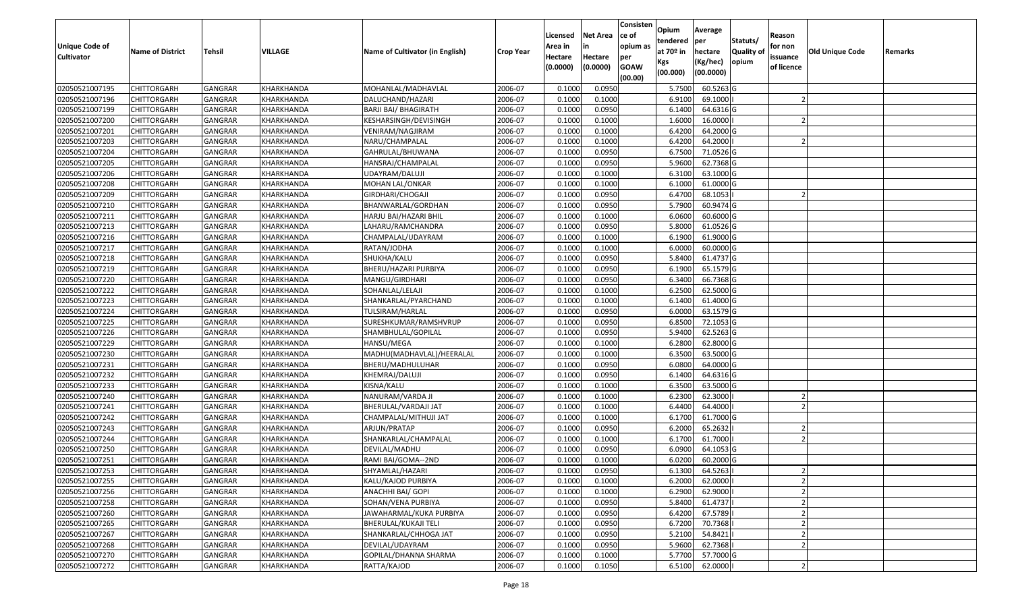| <b>Unique Code of</b><br><b>Cultivator</b> | <b>Name of District</b> | <b>Tehsil</b>  | VILLAGE    | Name of Cultivator (in English) | <b>Crop Year</b> | Licensed<br>Area in<br>Hectare<br>(0.0000) | <b>Net Area</b><br>in<br>Hectare<br>(0.0000) | Consisten<br>lce of<br>opium as<br>per<br><b>GOAW</b><br>(00.00) | Opium<br>tendered<br>at 70º in<br>Kgs<br>(00.000) | Average<br>per<br>hectare<br>(Kg/hec)<br>(00.0000) | Statuts/<br><b>Quality o</b><br>opium | Reason<br>for non<br>issuance<br>of licence | Old Unique Code | Remarks |
|--------------------------------------------|-------------------------|----------------|------------|---------------------------------|------------------|--------------------------------------------|----------------------------------------------|------------------------------------------------------------------|---------------------------------------------------|----------------------------------------------------|---------------------------------------|---------------------------------------------|-----------------|---------|
| 02050521007195                             | <b>CHITTORGARH</b>      | GANGRAR        | KHARKHANDA | MOHANLAL/MADHAVLAL              | 2006-07          | 0.1000                                     | 0.0950                                       |                                                                  | 5.7500                                            | 60.5263 G                                          |                                       |                                             |                 |         |
| 02050521007196                             | <b>CHITTORGARH</b>      | GANGRAR        | KHARKHANDA | DALUCHAND/HAZARI                | 2006-07          | 0.1000                                     | 0.1000                                       |                                                                  | 6.9100                                            | 69.1000                                            |                                       |                                             |                 |         |
| 02050521007199                             | <b>CHITTORGARH</b>      | GANGRAR        | KHARKHANDA | BARJI BAI/ BHAGIRATH            | 2006-07          | 0.1000                                     | 0.0950                                       |                                                                  | 6.1400                                            | 64.6316 G                                          |                                       |                                             |                 |         |
| 02050521007200                             | <b>CHITTORGARH</b>      | <b>GANGRAR</b> | KHARKHANDA | KESHARSINGH/DEVISINGH           | 2006-07          | 0.1000                                     | 0.1000                                       |                                                                  | 1.6000                                            | 16.0000                                            |                                       |                                             |                 |         |
| 02050521007201                             | <b>CHITTORGARH</b>      | GANGRAR        | KHARKHANDA | VENIRAM/NAGJIRAM                | 2006-07          | 0.1000                                     | 0.1000                                       |                                                                  | 6.4200                                            | 64.2000 G                                          |                                       |                                             |                 |         |
| 02050521007203                             | <b>CHITTORGARH</b>      | <b>GANGRAR</b> | KHARKHANDA | NARU/CHAMPALAL                  | 2006-07          | 0.1000                                     | 0.1000                                       |                                                                  | 6.4200                                            | 64.2000                                            |                                       |                                             |                 |         |
| 02050521007204                             | CHITTORGARH             | GANGRAR        | KHARKHANDA | GAHRULAL/BHUWANA                | 2006-07          | 0.1000                                     | 0.0950                                       |                                                                  | 6.7500                                            | 71.0526 G                                          |                                       |                                             |                 |         |
| 02050521007205                             | <b>CHITTORGARH</b>      | GANGRAR        | KHARKHANDA | HANSRAJ/CHAMPALAL               | 2006-07          | 0.1000                                     | 0.0950                                       |                                                                  | 5.9600                                            | 62.7368 G                                          |                                       |                                             |                 |         |
| 02050521007206                             | <b>CHITTORGARH</b>      | GANGRAR        | KHARKHANDA | UDAYRAM/DALUJI                  | 2006-07          | 0.1000                                     | 0.1000                                       |                                                                  | 6.3100                                            | 63.1000 G                                          |                                       |                                             |                 |         |
| 02050521007208                             | <b>CHITTORGARH</b>      | GANGRAR        | KHARKHANDA | MOHAN LAL/ONKAR                 | 2006-07          | 0.1000                                     | 0.1000                                       |                                                                  | 6.1000                                            | 61.0000 G                                          |                                       |                                             |                 |         |
| 02050521007209                             | <b>CHITTORGARH</b>      | GANGRAR        | KHARKHANDA | GIRDHARI/CHOGAJI                | 2006-07          | 0.1000                                     | 0.0950                                       |                                                                  | 6.4700                                            | 68.1053                                            |                                       |                                             |                 |         |
| 02050521007210                             | <b>CHITTORGARH</b>      | GANGRAR        | KHARKHANDA | BHANWARLAL/GORDHAN              | 2006-07          | 0.1000                                     | 0.0950                                       |                                                                  | 5.7900                                            | 60.9474 G                                          |                                       |                                             |                 |         |
| 02050521007211                             | <b>CHITTORGARH</b>      | GANGRAR        | KHARKHANDA | HARJU BAI/HAZARI BHIL           | 2006-07          | 0.1000                                     | 0.1000                                       |                                                                  | 6.0600                                            | 60.6000 G                                          |                                       |                                             |                 |         |
| 02050521007213                             | <b>CHITTORGARH</b>      | GANGRAR        | KHARKHANDA | LAHARU/RAMCHANDRA               | 2006-07          | 0.1000                                     | 0.0950                                       |                                                                  | 5.8000                                            | 61.0526 G                                          |                                       |                                             |                 |         |
| 02050521007216                             | CHITTORGARH             | GANGRAR        | KHARKHANDA | CHAMPALAL/UDAYRAM               | 2006-07          | 0.1000                                     | 0.1000                                       |                                                                  | 6.1900                                            | 61.9000 G                                          |                                       |                                             |                 |         |
| 02050521007217                             | <b>CHITTORGARH</b>      | GANGRAR        | KHARKHANDA | RATAN/JODHA                     | 2006-07          | 0.1000                                     | 0.1000                                       |                                                                  | 6.0000                                            | 60.0000 G                                          |                                       |                                             |                 |         |
| 02050521007218                             | <b>CHITTORGARH</b>      | GANGRAR        | KHARKHANDA | SHUKHA/KALU                     | 2006-07          | 0.1000                                     | 0.0950                                       |                                                                  | 5.8400                                            | 61.4737 G                                          |                                       |                                             |                 |         |
| 02050521007219                             | <b>CHITTORGARH</b>      | GANGRAR        | KHARKHANDA | BHERU/HAZARI PURBIYA            | 2006-07          | 0.1000                                     | 0.0950                                       |                                                                  | 6.1900                                            | 65.1579 G                                          |                                       |                                             |                 |         |
| 02050521007220                             | <b>CHITTORGARH</b>      | GANGRAR        | KHARKHANDA | MANGU/GIRDHARI                  | 2006-07          | 0.1000                                     | 0.0950                                       |                                                                  | 6.3400                                            | 66.7368 G                                          |                                       |                                             |                 |         |
| 02050521007222                             | <b>CHITTORGARH</b>      | GANGRAR        | KHARKHANDA | SOHANLAL/LELAJI                 | 2006-07          | 0.1000                                     | 0.1000                                       |                                                                  | 6.2500                                            | 62.5000 G                                          |                                       |                                             |                 |         |
| 02050521007223                             | <b>CHITTORGARH</b>      | GANGRAR        | KHARKHANDA | SHANKARLAL/PYARCHAND            | 2006-07          | 0.1000                                     | 0.1000                                       |                                                                  | 6.1400                                            | 61.4000 G                                          |                                       |                                             |                 |         |
| 02050521007224                             | <b>CHITTORGARH</b>      | GANGRAR        | KHARKHANDA | TULSIRAM/HARLAL                 | 2006-07          | 0.1000                                     | 0.0950                                       |                                                                  | 6.0000                                            | 63.1579 G                                          |                                       |                                             |                 |         |
| 02050521007225                             | <b>CHITTORGARH</b>      | GANGRAR        | KHARKHANDA | SURESHKUMAR/RAMSHVRUP           | 2006-07          | 0.1000                                     | 0.0950                                       |                                                                  | 6.8500                                            | 72.1053 G                                          |                                       |                                             |                 |         |
| 02050521007226                             | <b>CHITTORGARH</b>      | GANGRAR        | KHARKHANDA | SHAMBHULAL/GOPILAL              | 2006-07          | 0.1000                                     | 0.0950                                       |                                                                  | 5.9400                                            | 62.5263 G                                          |                                       |                                             |                 |         |
| 02050521007229                             | <b>CHITTORGARH</b>      | <b>GANGRAR</b> | KHARKHANDA | HANSU/MEGA                      | 2006-07          | 0.1000                                     | 0.1000                                       |                                                                  | 6.2800                                            | 62.8000 G                                          |                                       |                                             |                 |         |
| 02050521007230                             | <b>CHITTORGARH</b>      | GANGRAR        | KHARKHANDA | MADHU(MADHAVLAL)/HEERALAL       | 2006-07          | 0.1000                                     | 0.1000                                       |                                                                  | 6.3500                                            | 63.5000 G                                          |                                       |                                             |                 |         |
| 02050521007231                             | <b>CHITTORGARH</b>      | <b>GANGRAR</b> | KHARKHANDA | BHERU/MADHULUHAR                | 2006-07          | 0.1000                                     | 0.0950                                       |                                                                  | 6.0800                                            | 64.0000 G                                          |                                       |                                             |                 |         |
| 02050521007232                             | <b>CHITTORGARH</b>      | GANGRAR        | KHARKHANDA | KHEMRAJ/DALUJI                  | 2006-07          | 0.1000                                     | 0.0950                                       |                                                                  | 6.1400                                            | 64.6316 G                                          |                                       |                                             |                 |         |
| 02050521007233                             | <b>CHITTORGARH</b>      | <b>GANGRAR</b> | KHARKHANDA | KISNA/KALU                      | 2006-07          | 0.1000                                     | 0.1000                                       |                                                                  | 6.3500                                            | 63.5000 G                                          |                                       |                                             |                 |         |
| 02050521007240                             | <b>CHITTORGARH</b>      | <b>GANGRAR</b> | KHARKHANDA | NANURAM/VARDA JI                | 2006-07          | 0.1000                                     | 0.1000                                       |                                                                  | 6.2300                                            | 62.3000                                            |                                       |                                             |                 |         |
| 02050521007241                             | <b>CHITTORGARH</b>      | GANGRAR        | KHARKHANDA | BHERULAL/VARDAJI JAT            | 2006-07          | 0.1000                                     | 0.1000                                       |                                                                  | 6.4400                                            | 64.4000                                            |                                       |                                             |                 |         |
| 02050521007242                             | <b>CHITTORGARH</b>      | GANGRAR        | KHARKHANDA | CHAMPALAL/MITHUJI JAT           | 2006-07          | 0.1000                                     | 0.1000                                       |                                                                  | 6.1700                                            | 61.7000 G                                          |                                       |                                             |                 |         |
| 02050521007243                             | <b>CHITTORGARH</b>      | GANGRAR        | KHARKHANDA | ARJUN/PRATAP                    | 2006-07          | 0.1000                                     | 0.0950                                       |                                                                  | 6.2000                                            | 65.2632                                            |                                       |                                             |                 |         |
| 02050521007244                             | <b>CHITTORGARH</b>      | GANGRAR        | KHARKHANDA | SHANKARLAL/CHAMPALAL            | 2006-07          | 0.1000                                     | 0.1000                                       |                                                                  | 6.1700                                            | 61.7000                                            |                                       |                                             |                 |         |
| 02050521007250                             | CHITTORGARH             | GANGRAR        | KHARKHANDA | DEVILAL/MADHU                   | 2006-07          | 0.1000                                     | 0.0950                                       |                                                                  | 6.0900                                            | 64.1053 G                                          |                                       |                                             |                 |         |
| 02050521007251                             | <b>CHITTORGARH</b>      | GANGRAR        | KHARKHANDA | RAMI BAI/GOMA--2ND              | 2006-07          | 0.1000                                     | 0.1000                                       |                                                                  | 6.0200                                            | 60.2000 G                                          |                                       |                                             |                 |         |
| 02050521007253                             | <b>CHITTORGARH</b>      | GANGRAR        | KHARKHANDA | SHYAMLAL/HAZARI                 | 2006-07          | 0.1000                                     | 0.0950                                       |                                                                  | 6.1300                                            | 64.5263                                            |                                       |                                             |                 |         |
| 02050521007255                             | <b>CHITTORGARH</b>      | <b>GANGRAR</b> | KHARKHANDA | KALU/KAJOD PURBIYA              | 2006-07          | 0.1000                                     | 0.1000                                       |                                                                  | 6.2000                                            | 62.0000                                            |                                       |                                             |                 |         |
| 02050521007256                             | <b>CHITTORGARH</b>      | GANGRAR        | KHARKHANDA | ANACHHI BAI/ GOPI               | 2006-07          | 0.1000                                     | 0.1000                                       |                                                                  | 6.2900                                            | 62.9000                                            |                                       |                                             |                 |         |
| 02050521007258                             | <b>CHITTORGARH</b>      | GANGRAR        | KHARKHANDA | SOHAN/VENA PURBIYA              | 2006-07          | 0.1000                                     | 0.0950                                       |                                                                  | 5.8400                                            | 61.4737                                            |                                       |                                             |                 |         |
| 02050521007260                             | <b>CHITTORGARH</b>      | GANGRAR        | KHARKHANDA | JAWAHARMAL/KUKA PURBIYA         | 2006-07          | 0.1000                                     | 0.0950                                       |                                                                  | 6.4200                                            | 67.5789                                            |                                       |                                             |                 |         |
| 02050521007265                             | <b>CHITTORGARH</b>      | <b>GANGRAR</b> | KHARKHANDA | BHERULAL/KUKAJI TELI            | 2006-07          | 0.1000                                     | 0.0950                                       |                                                                  | 6.7200                                            | 70.7368                                            |                                       |                                             |                 |         |
| 02050521007267                             | <b>CHITTORGARH</b>      | GANGRAR        | KHARKHANDA | SHANKARLAL/CHHOGA JAT           | 2006-07          | 0.1000                                     | 0.0950                                       |                                                                  | 5.2100                                            | 54.8421                                            |                                       |                                             |                 |         |
| 02050521007268                             | <b>CHITTORGARH</b>      | GANGRAR        | KHARKHANDA | DEVILAL/UDAYRAM                 | 2006-07          | 0.1000                                     | 0.0950                                       |                                                                  | 5.9600                                            | 62.7368                                            |                                       |                                             |                 |         |
| 02050521007270                             | <b>CHITTORGARH</b>      | GANGRAR        | KHARKHANDA | GOPILAL/DHANNA SHARMA           | 2006-07          | 0.1000                                     | 0.1000                                       |                                                                  | 5.7700                                            | 57.7000 G                                          |                                       |                                             |                 |         |
| 02050521007272                             | <b>CHITTORGARH</b>      | <b>GANGRAR</b> | KHARKHANDA | RATTA/KAJOD                     | 2006-07          | 0.1000                                     | 0.1050                                       |                                                                  | 6.5100                                            | 62.0000                                            |                                       |                                             |                 |         |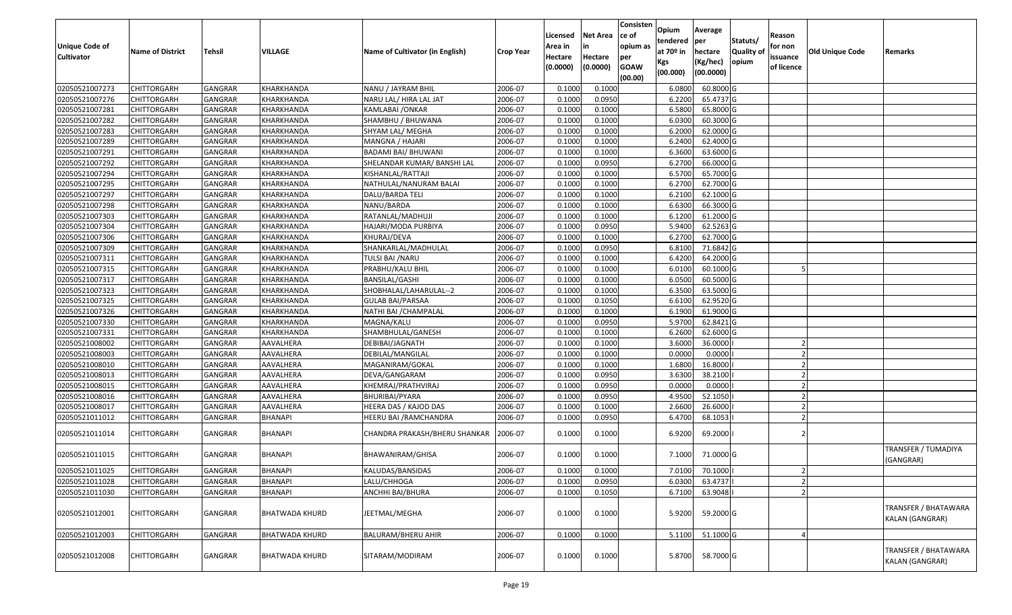| <b>Unique Code of</b><br><b>Cultivator</b> | <b>Name of District</b> | <b>Tehsil</b>  | VILLAGE               | Name of Cultivator (in English) | <b>Crop Year</b> | Licensed<br>Area in<br>Hectare<br>(0.0000) | <b>Net Area</b><br>in<br>Hectare<br>(0.0000) | Consisten<br>ce of<br>opium as<br>per<br><b>GOAW</b><br>(00.00) | Opium<br>tendered<br>at $70°$ in<br>Kgs<br>(00.000) | Average<br>per<br>hectare<br>(Kg/hec)<br>(00.0000) | Statuts/<br>Quality of<br>opium | Reason<br>for non<br>issuance<br>of licence | <b>Old Unique Code</b> | Remarks                                 |
|--------------------------------------------|-------------------------|----------------|-----------------------|---------------------------------|------------------|--------------------------------------------|----------------------------------------------|-----------------------------------------------------------------|-----------------------------------------------------|----------------------------------------------------|---------------------------------|---------------------------------------------|------------------------|-----------------------------------------|
| 02050521007273                             | <b>CHITTORGARH</b>      | GANGRAR        | KHARKHANDA            | NANU / JAYRAM BHIL              | 2006-07          | 0.1000                                     | 0.1000                                       |                                                                 | 6.0800                                              | 60.8000 G                                          |                                 |                                             |                        |                                         |
| 02050521007276                             | CHITTORGARH             | <b>GANGRAR</b> | KHARKHANDA            | NARU LAL/ HIRA LAL JAT          | 2006-07          | 0.1000                                     | 0.0950                                       |                                                                 | 6.2200                                              | 65.4737 G                                          |                                 |                                             |                        |                                         |
| 02050521007281                             | CHITTORGARH             | GANGRAR        | KHARKHANDA            | KAMLABAI /ONKAR                 | 2006-07          | 0.1000                                     | 0.1000                                       |                                                                 | 6.5800                                              | 65.8000 G                                          |                                 |                                             |                        |                                         |
| 02050521007282                             | <b>CHITTORGARH</b>      | <b>GANGRAR</b> | KHARKHANDA            | SHAMBHU / BHUWANA               | 2006-07          | 0.1000                                     | 0.1000                                       |                                                                 | 6.0300                                              | 60.3000 G                                          |                                 |                                             |                        |                                         |
| 02050521007283                             | <b>CHITTORGARH</b>      | <b>GANGRAR</b> | KHARKHANDA            | SHYAM LAL/ MEGHA                | 2006-07          | 0.1000                                     | 0.1000                                       |                                                                 | 6.2000                                              | 62.0000G                                           |                                 |                                             |                        |                                         |
| 02050521007289                             | <b>CHITTORGARH</b>      | <b>GANGRAR</b> | KHARKHANDA            | MANGNA / HAJARI                 | 2006-07          | 0.1000                                     | 0.1000                                       |                                                                 | 6.2400                                              | 62.4000 G                                          |                                 |                                             |                        |                                         |
| 02050521007291                             | CHITTORGARH             | <b>GANGRAR</b> | KHARKHANDA            | BADAMI BAI/ BHUWANI             | 2006-07          | 0.1000                                     | 0.1000                                       |                                                                 | 6.3600                                              | 63.6000 G                                          |                                 |                                             |                        |                                         |
| 02050521007292                             | CHITTORGARH             | <b>GANGRAR</b> | KHARKHANDA            | SHELANDAR KUMAR/ BANSHI LAL     | 2006-07          | 0.1000                                     | 0.0950                                       |                                                                 | 6.2700                                              | 66.0000G                                           |                                 |                                             |                        |                                         |
| 02050521007294                             | CHITTORGARH             | <b>GANGRAR</b> | KHARKHANDA            | KISHANLAL/RATTAJI               | 2006-07          | 0.1000                                     | 0.1000                                       |                                                                 | 6.5700                                              | 65.7000 G                                          |                                 |                                             |                        |                                         |
| 02050521007295                             | CHITTORGARH             | <b>GANGRAR</b> | KHARKHANDA            | NATHULAL/NANURAM BALAI          | 2006-07          | 0.1000                                     | 0.1000                                       |                                                                 | 6.2700                                              | 62.7000 G                                          |                                 |                                             |                        |                                         |
| 02050521007297                             | CHITTORGARH             | <b>GANGRAR</b> | KHARKHANDA            | DALU/BARDA TELI                 | 2006-07          | 0.1000                                     | 0.1000                                       |                                                                 | 6.2100                                              | 62.1000G                                           |                                 |                                             |                        |                                         |
| 02050521007298                             | <b>CHITTORGARH</b>      | <b>GANGRAR</b> | KHARKHANDA            | NANU/BARDA                      | 2006-07          | 0.1000                                     | 0.1000                                       |                                                                 | 6.6300                                              | 66.3000 G                                          |                                 |                                             |                        |                                         |
| 02050521007303                             | <b>CHITTORGARH</b>      | <b>GANGRAR</b> | KHARKHANDA            | RATANLAL/MADHUJI                | 2006-07          | 0.1000                                     | 0.1000                                       |                                                                 | 6.1200                                              | 61.2000 G                                          |                                 |                                             |                        |                                         |
| 02050521007304                             | CHITTORGARH             | <b>GANGRAR</b> | KHARKHANDA            | HAJARI/MODA PURBIYA             | 2006-07          | 0.1000                                     | 0.0950                                       |                                                                 | 5.9400                                              | 62.5263 G                                          |                                 |                                             |                        |                                         |
| 02050521007306                             | CHITTORGARH             | <b>GANGRAR</b> | KHARKHANDA            | KHURAJ/DEVA                     | 2006-07          | 0.1000                                     | 0.1000                                       |                                                                 | 6.2700                                              | 62.7000 G                                          |                                 |                                             |                        |                                         |
| 02050521007309                             | CHITTORGARH             | <b>GANGRAR</b> | KHARKHANDA            | SHANKARLAL/MADHULAL             | 2006-07          | 0.1000                                     | 0.0950                                       |                                                                 | 6.8100                                              | 71.6842G                                           |                                 |                                             |                        |                                         |
| 02050521007311                             | CHITTORGARH             | <b>GANGRAR</b> | <b>KHARKHANDA</b>     | TULSI BAI / NARU                | 2006-07          | 0.1000                                     | 0.1000                                       |                                                                 | 6.4200                                              | 64.2000 G                                          |                                 |                                             |                        |                                         |
| 02050521007315                             | CHITTORGARH             | <b>GANGRAR</b> | KHARKHANDA            | PRABHU/KALU BHIL                | 2006-07          | 0.1000                                     | 0.1000                                       |                                                                 | 6.0100                                              | 60.1000G                                           |                                 |                                             |                        |                                         |
| 02050521007317                             | <b>CHITTORGARH</b>      | <b>GANGRAR</b> | KHARKHANDA            | <b>BANSILAL/GASHI</b>           | 2006-07          | 0.1000                                     | 0.1000                                       |                                                                 | 6.0500                                              | 60.5000 G                                          |                                 |                                             |                        |                                         |
| 02050521007323                             | CHITTORGARH             | GANGRAR        | KHARKHANDA            | SHOBHALAL/LAHARULAL--2          | 2006-07          | 0.1000                                     | 0.1000                                       |                                                                 | 6.3500                                              | 63.5000G                                           |                                 |                                             |                        |                                         |
| 02050521007325                             | <b>CHITTORGARH</b>      | <b>GANGRAR</b> | KHARKHANDA            | <b>GULAB BAI/PARSAA</b>         | 2006-07          | 0.1000                                     | 0.1050                                       |                                                                 | 6.6100                                              | 62.9520 G                                          |                                 |                                             |                        |                                         |
| 02050521007326                             | CHITTORGARH             | <b>GANGRAR</b> | KHARKHANDA            | NATHI BAI / CHAMPALAL           | 2006-07          | 0.1000                                     | 0.1000                                       |                                                                 | 6.1900                                              | 61.9000 G                                          |                                 |                                             |                        |                                         |
| 02050521007330                             | CHITTORGARH             | GANGRAR        | KHARKHANDA            | MAGNA/KALU                      | 2006-07          | 0.1000                                     | 0.0950                                       |                                                                 | 5.9700                                              | 62.8421 G                                          |                                 |                                             |                        |                                         |
| 02050521007331                             | CHITTORGARH             | <b>GANGRAR</b> | KHARKHANDA            | SHAMBHULAL/GANESH               | 2006-07          | 0.1000                                     | 0.1000                                       |                                                                 | 6.2600                                              | 62.6000 G                                          |                                 |                                             |                        |                                         |
| 02050521008002                             | CHITTORGARH             | <b>GANGRAR</b> | AAVALHERA             | DEBIBAI/JAGNATH                 | 2006-07          | 0.1000                                     | 0.1000                                       |                                                                 | 3.6000                                              | 36.0000                                            |                                 |                                             |                        |                                         |
| 02050521008003                             | <b>CHITTORGARH</b>      | <b>GANGRAR</b> | AAVALHERA             | DEBILAL/MANGILAL                | 2006-07          | 0.1000                                     | 0.1000                                       |                                                                 | 0.0000                                              | 0.0000                                             |                                 |                                             |                        |                                         |
| 02050521008010                             | CHITTORGARH             | <b>GANGRAR</b> | AAVALHERA             | MAGANIRAM/GOKAL                 | 2006-07          | 0.1000                                     | 0.1000                                       |                                                                 | 1.6800                                              | 16.8000                                            |                                 |                                             |                        |                                         |
| 02050521008013                             | CHITTORGARH             | GANGRAR        | AAVALHERA             | DEVA/GANGARAM                   | 2006-07          | 0.1000                                     | 0.0950                                       |                                                                 | 3.6300                                              | 38.2100                                            |                                 |                                             |                        |                                         |
| 02050521008015                             | <b>CHITTORGARH</b>      | <b>GANGRAR</b> | AAVALHERA             | KHEMRAJ/PRATHVIRAJ              | 2006-07          | 0.1000                                     | 0.0950                                       |                                                                 | 0.0000                                              | 0.0000                                             |                                 |                                             |                        |                                         |
| 02050521008016                             | <b>CHITTORGARH</b>      | <b>GANGRAR</b> | AAVALHERA             | BHURIBAI/PYARA                  | 2006-07          | 0.1000                                     | 0.0950                                       |                                                                 | 4.9500                                              | 52.1050                                            |                                 |                                             |                        |                                         |
| 02050521008017                             | <b>CHITTORGARH</b>      | <b>GANGRAR</b> | AAVALHERA             | HEERA DAS / KAJOD DAS           | 2006-07          | 0.1000                                     | 0.1000                                       |                                                                 | 2.6600                                              | 26.6000                                            |                                 |                                             |                        |                                         |
| 02050521011012                             | CHITTORGARH             | <b>GANGRAR</b> | <b>BHANAPI</b>        | HEERU BAI /RAMCHANDRA           | 2006-07          | 0.1000                                     | 0.0950                                       |                                                                 | 6.4700                                              | 68.1053                                            |                                 |                                             |                        |                                         |
| 02050521011014                             | CHITTORGARH             | <b>GANGRAR</b> | <b>BHANAPI</b>        | CHANDRA PRAKASH/BHERU SHANKAR   | 2006-07          | 0.1000                                     | 0.1000                                       |                                                                 | 6.9200                                              | 69.2000                                            |                                 |                                             |                        |                                         |
| 02050521011015                             | CHITTORGARH             | GANGRAR        | BHANAPI               | BHAWANIRAM/GHISA                | 2006-07          | 0.1000                                     | 0.1000                                       |                                                                 | 7.1000                                              | 71.0000 G                                          |                                 |                                             |                        | <b>TRANSFER / TUMADIYA</b><br>(GANGRAR) |
| 02050521011025                             | <b>CHITTORGARH</b>      | GANGRAR        | <b>BHANAPI</b>        | KALUDAS/BANSIDAS                | 2006-07          | 0.1000                                     | 0.1000                                       |                                                                 | 7.0100                                              | 70.1000                                            |                                 | $\overline{z}$                              |                        |                                         |
| 02050521011028                             | <b>CHITTORGARH</b>      | <b>GANGRAR</b> | BHANAPI               | LALU/CHHOGA                     | 2006-07          | 0.1000                                     | 0.0950                                       |                                                                 | 6.0300                                              | 63.4737                                            |                                 |                                             |                        |                                         |
| 02050521011030                             | <b>CHITTORGARH</b>      | <b>GANGRAR</b> | BHANAPI               | ANCHHI BAI/BHURA                | 2006-07          | 0.1000                                     | 0.1050                                       |                                                                 | 6.7100                                              | 63.9048                                            |                                 |                                             |                        |                                         |
| 02050521012001                             | <b>CHITTORGARH</b>      | <b>GANGRAR</b> | <b>BHATWADA KHURD</b> | JEETMAL/MEGHA                   | 2006-07          | 0.1000                                     | 0.1000                                       |                                                                 | 5.9200                                              | 59.2000 G                                          |                                 |                                             |                        | TRANSFER / BHATAWARA<br>KALAN (GANGRAR) |
| 02050521012003                             | <b>CHITTORGARH</b>      | <b>GANGRAR</b> | <b>BHATWADA KHURD</b> | <b>BALURAM/BHERU AHIR</b>       | 2006-07          | 0.1000                                     | 0.1000                                       |                                                                 | 5.1100                                              | 51.1000 G                                          |                                 |                                             |                        |                                         |
| 02050521012008                             | CHITTORGARH             | <b>GANGRAR</b> | <b>BHATWADA KHURD</b> | SITARAM/MODIRAM                 | 2006-07          | 0.1000                                     | 0.1000                                       |                                                                 | 5.8700                                              | 58.7000 G                                          |                                 |                                             |                        | TRANSFER / BHATAWARA<br>KALAN (GANGRAR) |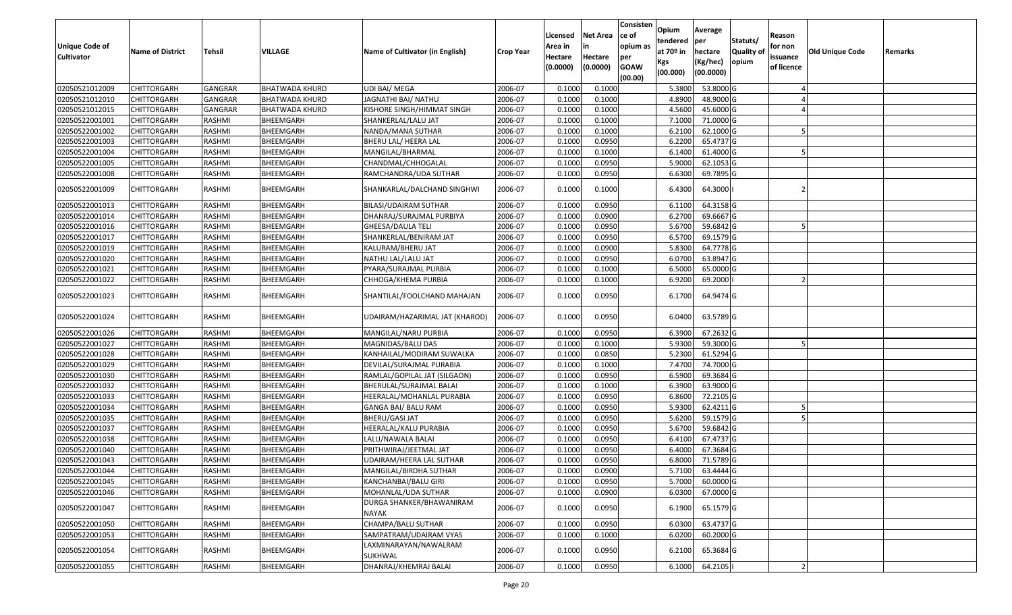| <b>Unique Code of</b><br><b>Cultivator</b> | <b>Name of District</b> | Tehsil         | <b>VILLAGE</b>        | Name of Cultivator (in English)   | <b>Crop Year</b> | Licensed<br>Area in<br>Hectare<br>(0.0000) | <b>Net Area</b><br>in<br>Hectare<br>(0.0000) | Consisten<br>ce of<br>opium as<br>per<br><b>GOAW</b><br>(00.00) | Opium<br>tendered<br>at $70°$ in<br>Kgs<br>(00.000) | Average<br>per<br>hectare<br>(Kg/hec)<br>(00.0000) | Statuts/<br>Quality o<br>opium | Reason<br>for non<br>issuance<br>of licence | <b>Old Unique Code</b> | Remarks |
|--------------------------------------------|-------------------------|----------------|-----------------------|-----------------------------------|------------------|--------------------------------------------|----------------------------------------------|-----------------------------------------------------------------|-----------------------------------------------------|----------------------------------------------------|--------------------------------|---------------------------------------------|------------------------|---------|
| 02050521012009                             | <b>CHITTORGARH</b>      | <b>GANGRAR</b> | <b>BHATWADA KHURD</b> | <b>UDI BAI/ MEGA</b>              | 2006-07          | 0.1000                                     | 0.1000                                       |                                                                 | 5.3800                                              | 53.8000 G                                          |                                |                                             |                        |         |
| 02050521012010                             | CHITTORGARH             | <b>GANGRAR</b> | <b>BHATWADA KHURD</b> | JAGNATHI BAI/ NATHU               | 2006-07          | 0.1000                                     | 0.1000                                       |                                                                 | 4.8900                                              | 48.9000 G                                          |                                |                                             |                        |         |
| 02050521012015                             | CHITTORGARH             | <b>GANGRAR</b> | <b>BHATWADA KHURD</b> | KISHORE SINGH/HIMMAT SINGH        | 2006-07          | 0.1000                                     | 0.1000                                       |                                                                 | 4.5600                                              | 45.6000G                                           |                                |                                             |                        |         |
| 02050522001001                             | <b>CHITTORGARH</b>      | RASHMI         | BHEEMGARH             | SHANKERLAL/LALU JAT               | 2006-07          | 0.1000                                     | 0.1000                                       |                                                                 | 7.1000                                              | 71.0000G                                           |                                |                                             |                        |         |
| 02050522001002                             | CHITTORGARH             | RASHMI         | BHEEMGARH             | NANDA/MANA SUTHAR                 | 2006-07          | 0.1000                                     | 0.1000                                       |                                                                 | 6.2100                                              | 62.1000 G                                          |                                |                                             |                        |         |
| 02050522001003                             | CHITTORGARH             | RASHMI         | BHEEMGARH             | BHERU LAL/ HEERA LAL              | 2006-07          | 0.1000                                     | 0.0950                                       |                                                                 | 6.2200                                              | 65.4737 G                                          |                                |                                             |                        |         |
| 02050522001004                             | CHITTORGARH             | RASHMI         | BHEEMGARH             | MANGILAL/BHARMAL                  | 2006-07          | 0.1000                                     | 0.1000                                       |                                                                 | 6.1400                                              | 61.4000 G                                          |                                |                                             |                        |         |
| 02050522001005                             | <b>CHITTORGARH</b>      | RASHMI         | BHEEMGARH             | CHANDMAL/CHHOGALAL                | 2006-07          | 0.1000                                     | 0.0950                                       |                                                                 | 5.9000                                              | 62.1053 G                                          |                                |                                             |                        |         |
| 02050522001008                             | CHITTORGARH             | RASHMI         | BHEEMGARH             | RAMCHANDRA/UDA SUTHAR             | 2006-07          | 0.1000                                     | 0.0950                                       |                                                                 | 6.6300                                              | 69.7895 G                                          |                                |                                             |                        |         |
| 02050522001009                             | CHITTORGARH             | RASHMI         | BHEEMGARH             | SHANKARLAL/DALCHAND SINGHWI       | 2006-07          | 0.1000                                     | 0.1000                                       |                                                                 | 6.4300                                              | 64.3000                                            |                                |                                             |                        |         |
| 02050522001013                             | <b>CHITTORGARH</b>      | RASHMI         | BHEEMGARH             | BILASI/UDAIRAM SUTHAR             | 2006-07          | 0.1000                                     | 0.0950                                       |                                                                 | 6.1100                                              | 64.3158 G                                          |                                |                                             |                        |         |
| 02050522001014                             | <b>CHITTORGARH</b>      | RASHMI         | BHEEMGARH             | DHANRAJ/SURAJMAL PURBIYA          | 2006-07          | 0.1000                                     | 0.0900                                       |                                                                 | 6.2700                                              | 69.6667 G                                          |                                |                                             |                        |         |
| 02050522001016                             | <b>CHITTORGARH</b>      | RASHMI         | BHEEMGARH             | GHEESA/DAULA TELI                 | 2006-07          | 0.1000                                     | 0.0950                                       |                                                                 | 5.6700                                              | 59.6842 G                                          |                                |                                             |                        |         |
| 02050522001017                             | CHITTORGARH             | RASHMI         | BHEEMGARH             | SHANKERLAL/BENIRAM JAT            | 2006-07          | 0.1000                                     | 0.0950                                       |                                                                 | 6.5700                                              | 69.1579 G                                          |                                |                                             |                        |         |
| 02050522001019                             | <b>CHITTORGARH</b>      | RASHMI         | BHEEMGARH             | KALURAM/BHERU JAT                 | 2006-07          | 0.1000                                     | 0.0900                                       |                                                                 | 5.8300                                              | 64.7778 G                                          |                                |                                             |                        |         |
| 02050522001020                             | CHITTORGARH             | RASHMI         | BHEEMGARH             | NATHU LAL/LALU JAT                | 2006-07          | 0.1000                                     | 0.0950                                       |                                                                 | 6.0700                                              | 63.8947 G                                          |                                |                                             |                        |         |
| 02050522001021                             | CHITTORGARH             | RASHMI         | BHEEMGARH             | PYARA/SURAJMAL PURBIA             | 2006-07          | 0.1000                                     | 0.1000                                       |                                                                 | 6.5000                                              | 65.0000G                                           |                                |                                             |                        |         |
| 02050522001022                             | CHITTORGARH             | RASHMI         | BHEEMGARH             | CHHOGA/KHEMA PURBIA               | 2006-07          | 0.1000                                     | 0.1000                                       |                                                                 | 6.9200                                              | 69.2000                                            |                                |                                             |                        |         |
| 02050522001023                             | CHITTORGARH             | RASHMI         | BHEEMGARH             | SHANTILAL/FOOLCHAND MAHAJAN       | 2006-07          | 0.1000                                     | 0.0950                                       |                                                                 | 6.1700                                              | 64.9474 G                                          |                                |                                             |                        |         |
| 02050522001024                             | CHITTORGARH             | RASHMI         | BHEEMGARH             | UDAIRAM/HAZARIMAL JAT (KHAROD)    | 2006-07          | 0.1000                                     | 0.0950                                       |                                                                 | 6.0400                                              | 63.5789 G                                          |                                |                                             |                        |         |
| 02050522001026                             | CHITTORGARH             | RASHMI         | BHEEMGARH             | MANGILAL/NARU PURBIA              | 2006-07          | 0.1000                                     | 0.0950                                       |                                                                 | 6.3900                                              | 67.2632 G                                          |                                |                                             |                        |         |
| 02050522001027                             | <b>CHITTORGARH</b>      | RASHMI         | BHEEMGARH             | MAGNIDAS/BALU DAS                 | 2006-07          | 0.1000                                     | 0.1000                                       |                                                                 | 5.9300                                              | 59.3000G                                           |                                |                                             |                        |         |
| 02050522001028                             | CHITTORGARH             | RASHMI         | BHEEMGARH             | KANHAILAL/MODIRAM SUWALKA         | 2006-07          | 0.1000                                     | 0.0850                                       |                                                                 | 5.2300                                              | 61.5294 G                                          |                                |                                             |                        |         |
| 02050522001029                             | CHITTORGARH             | RASHMI         | BHEEMGARH             | DEVILAL/SURAJMAL PURABIA          | 2006-07          | 0.1000                                     | 0.1000                                       |                                                                 | 7.4700                                              | 74.7000 G                                          |                                |                                             |                        |         |
| 02050522001030                             | CHITTORGARH             | RASHMI         | BHEEMGARH             | RAMLAL/GOPILAL JAT (SILGAON)      | 2006-07          | 0.1000                                     | 0.0950                                       |                                                                 | 6.5900                                              | 69.3684 G                                          |                                |                                             |                        |         |
| 02050522001032                             | <b>CHITTORGARH</b>      | RASHMI         | BHEEMGARH             | BHERULAL/SURAJMAL BALAI           | 2006-07          | 0.1000                                     | 0.1000                                       |                                                                 | 6.3900                                              | 63.9000 G                                          |                                |                                             |                        |         |
| 02050522001033                             | <b>CHITTORGARH</b>      | RASHMI         | BHEEMGARH             | HEERALAL/MOHANLAL PURABIA         | 2006-07          | 0.1000                                     | 0.0950                                       |                                                                 | 6.8600                                              | 72.2105 G                                          |                                |                                             |                        |         |
| 02050522001034                             | <b>CHITTORGARH</b>      | RASHMI         | BHEEMGARH             | GANGA BAI/ BALU RAM               | 2006-07          | 0.1000                                     | 0.0950                                       |                                                                 | 5.9300                                              | 62.4211 G                                          |                                |                                             |                        |         |
| 02050522001035                             | CHITTORGARH             | RASHMI         | BHEEMGARH             | BHERU/GASI JAT                    | 2006-07          | 0.1000                                     | 0.0950                                       |                                                                 | 5.6200                                              | 59.1579 G                                          |                                |                                             |                        |         |
| 02050522001037                             | CHITTORGARH             | RASHMI         | BHEEMGARH             | HEERALAL/KALU PURABIA             | 2006-07          | 0.1000                                     | 0.0950                                       |                                                                 | 5.6700                                              | 59.6842 G                                          |                                |                                             |                        |         |
| 02050522001038                             | CHITTORGARH             | RASHMI         | BHEEMGARH             | LALU/NAWALA BALAI                 | 2006-07          | 0.1000                                     | 0.0950                                       |                                                                 | 6.4100                                              | 67.4737 G                                          |                                |                                             |                        |         |
| 02050522001040                             | CHITTORGARH             | RASHMI         | BHEEMGARH             | PRITHWIRAJ/JEETMAL JAT            | 2006-07          | 0.100                                      | 0.0950                                       |                                                                 | 6.4000                                              | 67.3684 G                                          |                                |                                             |                        |         |
| 02050522001043                             | CHITTORGARH             | RASHMI         | BHEEMGARH             | UDAIRAM/HEERA LAL SUTHAR          | 2006-07          | 0.1000                                     | 0.0950                                       |                                                                 | 6.8000                                              | 71.5789 G                                          |                                |                                             |                        |         |
| 02050522001044                             | <b>CHITTORGARH</b>      | RASHMI         | <b>BHEEMGARH</b>      | MANGILAL/BIRDHA SUTHAR            | 2006-07          | 0.1000                                     | 0.0900                                       |                                                                 | 5.7100                                              | 63.4444 G                                          |                                |                                             |                        |         |
| 02050522001045                             | <b>CHITTORGARH</b>      | RASHMI         | BHEEMGARH             | KANCHANBAI/BALU GIRI              | 2006-07          | 0.1000                                     | 0.0950                                       |                                                                 | 5.7000                                              | 60.0000 G                                          |                                |                                             |                        |         |
| 02050522001046                             | <b>CHITTORGARH</b>      | RASHMI         | BHEEMGARH             | MOHANLAL/UDA SUTHAR               | 2006-07          | 0.1000                                     | 0.0900                                       |                                                                 | 6.0300                                              | 67.0000 G                                          |                                |                                             |                        |         |
| 02050522001047                             | CHITTORGARH             | RASHMI         | BHEEMGARH             | DURGA SHANKER/BHAWANIRAM<br>NAYAK | 2006-07          | 0.1000                                     | 0.0950                                       |                                                                 | 6.1900                                              | 65.1579 G                                          |                                |                                             |                        |         |
| 02050522001050                             | <b>CHITTORGARH</b>      | RASHMI         | <b>BHEEMGARH</b>      | CHAMPA/BALU SUTHAR                | 2006-07          | 0.1000                                     | 0.0950                                       |                                                                 | 6.0300                                              | 63.4737 G                                          |                                |                                             |                        |         |
| 02050522001053                             | <b>CHITTORGARH</b>      | RASHMI         | BHEEMGARH             | SAMPATRAM/UDAIRAM VYAS            | 2006-07          | 0.1000                                     | 0.1000                                       |                                                                 | 6.0200                                              | 60.2000 G                                          |                                |                                             |                        |         |
| 02050522001054                             | CHITTORGARH             | RASHMI         | BHEEMGARH             | LAXMINARAYAN/NAWALRAM<br>SUKHWAL  | 2006-07          | 0.1000                                     | 0.0950                                       |                                                                 | 6.2100                                              | 65.3684 G                                          |                                |                                             |                        |         |
| 02050522001055                             | <b>CHITTORGARH</b>      | RASHMI         | BHEEMGARH             | DHANRAJ/KHEMRAJ BALAI             | 2006-07          | 0.1000                                     | 0.0950                                       |                                                                 | 6.1000                                              | 64.2105                                            |                                |                                             |                        |         |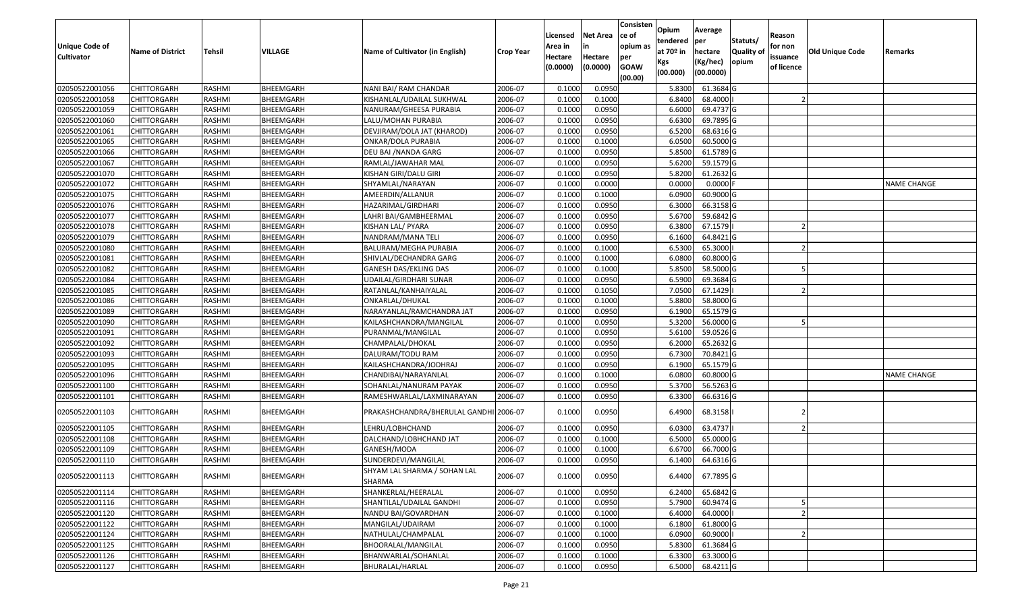| Unique Code of<br><b>Cultivator</b> | <b>Name of District</b> | Tehsil        | VILLAGE   | Name of Cultivator (in English)        | <b>Crop Year</b> | Licensed<br>Area in<br>Hectare<br>(0.0000) | Net Area<br>in<br>Hectare<br>(0.0000) | Consisten<br>ce of<br>opium as<br>per<br><b>GOAW</b><br>(00.00) | Opium<br>tendered<br>at 70º in<br>Kgs<br>(00.000) | Average<br> per<br>hectare<br>(Kg/hec)<br>(00.0000) | Statuts/<br><b>Quality of</b><br>opium | Reason<br>for non<br>issuance<br>of licence | <b>Old Unique Code</b> | Remarks     |
|-------------------------------------|-------------------------|---------------|-----------|----------------------------------------|------------------|--------------------------------------------|---------------------------------------|-----------------------------------------------------------------|---------------------------------------------------|-----------------------------------------------------|----------------------------------------|---------------------------------------------|------------------------|-------------|
| 02050522001056                      | <b>CHITTORGARH</b>      | RASHMI        | BHEEMGARH | NANI BAI/ RAM CHANDAR                  | 2006-07          | 0.1000                                     | 0.095                                 |                                                                 | 5.8300                                            | 61.3684 G                                           |                                        |                                             |                        |             |
| 02050522001058                      | CHITTORGARH             | RASHMI        | BHEEMGARH | KISHANLAL/UDAILAL SUKHWAL              | 2006-07          | 0.1000                                     | 0.1000                                |                                                                 | 6.8400                                            | 68.4000                                             |                                        |                                             |                        |             |
| 02050522001059                      | CHITTORGARH             | RASHMI        | BHEEMGARH | NANURAM/GHEESA PURABIA                 | 2006-07          | 0.1000                                     | 0.0950                                |                                                                 | 6.6000                                            | 69.4737 G                                           |                                        |                                             |                        |             |
| 02050522001060                      | <b>CHITTORGARH</b>      | RASHMI        | BHEEMGARH | LALU/MOHAN PURABIA                     | 2006-07          | 0.1000                                     | 0.0950                                |                                                                 | 6.6300                                            | 69.7895 G                                           |                                        |                                             |                        |             |
| 02050522001061                      | <b>CHITTORGARH</b>      | RASHMI        | BHEEMGARH | DEVJIRAM/DOLA JAT (KHAROD)             | 2006-07          | 0.1000                                     | 0.0950                                |                                                                 | 6.5200                                            | 68.6316 G                                           |                                        |                                             |                        |             |
| 02050522001065                      | <b>CHITTORGARH</b>      | RASHMI        | BHEEMGARH | ONKAR/DOLA PURABIA                     | 2006-07          | 0.1000                                     | 0.1000                                |                                                                 | 6.0500                                            | 60.5000 G                                           |                                        |                                             |                        |             |
| 02050522001066                      | CHITTORGARH             | RASHMI        | BHEEMGARH | DEU BAI / NANDA GARG                   | 2006-07          | 0.1000                                     | 0.0950                                |                                                                 | 5.8500                                            | 61.5789 G                                           |                                        |                                             |                        |             |
| 02050522001067                      | <b>CHITTORGARH</b>      | RASHMI        | BHEEMGARH | RAMLAL/JAWAHAR MAL                     | 2006-07          | 0.1000                                     | 0.0950                                |                                                                 | 5.6200                                            | 59.1579 G                                           |                                        |                                             |                        |             |
| 02050522001070                      | <b>CHITTORGARH</b>      | RASHMI        | BHEEMGARH | KISHAN GIRI/DALU GIRI                  | 2006-07          | 0.1000                                     | 0.0950                                |                                                                 | 5.8200                                            | 61.2632 G                                           |                                        |                                             |                        |             |
| 02050522001072                      | <b>CHITTORGARH</b>      | RASHMI        | BHEEMGARH | SHYAMLAL/NARAYAN                       | 2006-07          | 0.1000                                     | 0.0000                                |                                                                 | 0.0000                                            | $0.0000$ F                                          |                                        |                                             |                        | NAME CHANGE |
| 02050522001075                      | CHITTORGARH             | RASHMI        | BHEEMGARH | AMEERDIN/ALLANUR                       | 2006-07          | 0.1000                                     | 0.1000                                |                                                                 | 6.0900                                            | 60.9000 G                                           |                                        |                                             |                        |             |
| 02050522001076                      | CHITTORGARH             | RASHMI        | BHEEMGARH | HAZARIMAL/GIRDHARI                     | 2006-07          | 0.1000                                     | 0.0950                                |                                                                 | 6.3000                                            | 66.3158 G                                           |                                        |                                             |                        |             |
| 02050522001077                      | CHITTORGARH             | RASHMI        | BHEEMGARH | LAHRI BAI/GAMBHEERMAL                  | 2006-07          | 0.1000                                     | 0.0950                                |                                                                 | 5.6700                                            | 59.6842 G                                           |                                        |                                             |                        |             |
| 02050522001078                      | CHITTORGARH             | RASHMI        | BHEEMGARH | KISHAN LAL/ PYARA                      | 2006-07          | 0.1000                                     | 0.0950                                |                                                                 | 6.3800                                            | 67.1579                                             |                                        |                                             |                        |             |
| 02050522001079                      | CHITTORGARH             | RASHMI        | BHEEMGARH | NANDRAM/MANA TELI                      | 2006-07          | 0.1000                                     | 0.0950                                |                                                                 | 6.1600                                            | 64.8421 G                                           |                                        |                                             |                        |             |
| 02050522001080                      | CHITTORGARH             | RASHMI        | BHEEMGARH | <b>BALURAM/MEGHA PURABIA</b>           | 2006-07          | 0.1000                                     | 0.1000                                |                                                                 | 6.5300                                            | 65.3000                                             |                                        |                                             |                        |             |
| 02050522001081                      | CHITTORGARH             | RASHMI        | BHEEMGARH | SHIVLAL/DECHANDRA GARG                 | 2006-07          | 0.1000                                     | 0.1000                                |                                                                 | 6.0800                                            | 60.8000 G                                           |                                        |                                             |                        |             |
| 02050522001082                      | <b>CHITTORGARH</b>      | RASHMI        | BHEEMGARH | GANESH DAS/EKLING DAS                  | 2006-07          | 0.1000                                     | 0.1000                                |                                                                 | 5.8500                                            | 58.5000 G                                           |                                        |                                             |                        |             |
| 02050522001084                      | CHITTORGARH             | RASHMI        | BHEEMGARH | UDAILAL/GIRDHARI SUNAR                 | 2006-07          | 0.1000                                     | 0.0950                                |                                                                 | 6.5900                                            | 69.3684 G                                           |                                        |                                             |                        |             |
| 02050522001085                      | CHITTORGARH             | RASHMI        | BHEEMGARH | RATANLAL/KANHAIYALAL                   | 2006-07          | 0.1000                                     | 0.1050                                |                                                                 | 7.0500                                            | 67.1429                                             |                                        |                                             |                        |             |
| 02050522001086                      | <b>CHITTORGARH</b>      | RASHMI        | BHEEMGARH | ONKARLAL/DHUKAL                        | 2006-07          | 0.1000                                     | 0.1000                                |                                                                 | 5.8800                                            | 58.8000 G                                           |                                        |                                             |                        |             |
| 02050522001089                      | <b>CHITTORGARH</b>      | RASHMI        | BHEEMGARH | NARAYANLAL/RAMCHANDRA JAT              | 2006-07          | 0.1000                                     | 0.0950                                |                                                                 | 6.1900                                            | 65.1579 G                                           |                                        |                                             |                        |             |
| 02050522001090                      | CHITTORGARH             | RASHMI        | BHEEMGARH | KAILASHCHANDRA/MANGILAL                | 2006-07          | 0.1000                                     | 0.0950                                |                                                                 | 5.3200                                            | 56.0000 G                                           |                                        |                                             |                        |             |
| 02050522001091                      | CHITTORGARH             | RASHMI        | BHEEMGARH | PURANMAL/MANGILAL                      | 2006-07          | 0.1000                                     | 0.0950                                |                                                                 | 5.6100                                            | 59.0526 G                                           |                                        |                                             |                        |             |
| 02050522001092                      | <b>CHITTORGARH</b>      | RASHMI        | BHEEMGARH | CHAMPALAL/DHOKAL                       | 2006-07          | 0.1000                                     | 0.0950                                |                                                                 | 6.2000                                            | 65.2632 G                                           |                                        |                                             |                        |             |
| 02050522001093                      | CHITTORGARH             | <b>RASHMI</b> | BHEEMGARH | DALURAM/TODU RAM                       | 2006-07          | 0.1000                                     | 0.0950                                |                                                                 | 6.7300                                            | 70.8421 G                                           |                                        |                                             |                        |             |
| 02050522001095                      | CHITTORGARH             | RASHMI        | BHEEMGARH | KAILASHCHANDRA/JODHRAJ                 | 2006-07          | 0.1000                                     | 0.0950                                |                                                                 | 6.1900                                            | 65.1579 G                                           |                                        |                                             |                        |             |
| 02050522001096                      | CHITTORGARH             | RASHMI        | BHEEMGARH | CHANDIBAI/NARAYANLAL                   | 2006-07          | 0.1000                                     | 0.1000                                |                                                                 | 6.0800                                            | 60.8000 G                                           |                                        |                                             |                        | NAME CHANGE |
| 02050522001100                      | <b>CHITTORGARH</b>      | RASHMI        | BHEEMGARH | SOHANLAL/NANURAM PAYAK                 | 2006-07          | 0.1000                                     | 0.0950                                |                                                                 | 5.3700                                            | 56.5263 G                                           |                                        |                                             |                        |             |
| 02050522001101                      | <b>CHITTORGARH</b>      | RASHMI        | BHEEMGARH | RAMESHWARLAL/LAXMINARAYAN              | 2006-07          | 0.1000                                     | 0.0950                                |                                                                 | 6.3300                                            | 66.6316 G                                           |                                        |                                             |                        |             |
| 02050522001103                      | CHITTORGARH             | RASHMI        | BHEEMGARH | PRAKASHCHANDRA/BHERULAL GANDHI 2006-07 |                  | 0.1000                                     | 0.0950                                |                                                                 | 6.4900                                            | 68.3158                                             |                                        |                                             |                        |             |
| 02050522001105                      | CHITTORGARH             | RASHMI        | BHEEMGARH | LEHRU/LOBHCHAND                        | 2006-07          | 0.1000                                     | 0.0950                                |                                                                 | 6.0300                                            | 63.4737                                             |                                        |                                             |                        |             |
| 02050522001108                      | CHITTORGARH             | RASHMI        | BHEEMGARH | DALCHAND/LOBHCHAND JAT                 | 2006-07          | 0.1000                                     | 0.1000                                |                                                                 | 6.5000                                            | 65.0000 G                                           |                                        |                                             |                        |             |
| 02050522001109                      | CHITTORGARH             | RASHMI        | BHEEMGARH | GANESH/MODA                            | 2006-07          | 0.100                                      | 0.1000                                |                                                                 | 6.670                                             | 66.7000 G                                           |                                        |                                             |                        |             |
| 02050522001110                      | CHITTORGARH             | RASHMI        | BHEEMGARH | SUNDERDEVI/MANGILAL                    | 2006-07          | 0.1000                                     | 0.0950                                |                                                                 | 6.1400                                            | 64.6316 G                                           |                                        |                                             |                        |             |
| 02050522001113                      | <b>CHITTORGARH</b>      | RASHMI        | BHEEMGARH | SHYAM LAL SHARMA / SOHAN LAL<br>SHARMA | 2006-07          | 0.1000                                     | 0.0950                                |                                                                 | 6.4400                                            | 67.7895 G                                           |                                        |                                             |                        |             |
| 02050522001114                      | <b>CHITTORGARH</b>      | RASHMI        | BHEEMGARH | SHANKERLAL/HEERALAL                    | 2006-07          | 0.1000                                     | 0.0950                                |                                                                 | 6.2400                                            | 65.6842 G                                           |                                        |                                             |                        |             |
| 02050522001116                      | <b>CHITTORGARH</b>      | RASHMI        | BHEEMGARH | SHANTILAL/UDAILAL GANDHI               | 2006-07          | 0.1000                                     | 0.0950                                |                                                                 | 5.7900                                            | 60.9474 G                                           |                                        |                                             |                        |             |
| 02050522001120                      | <b>CHITTORGARH</b>      | RASHMI        | BHEEMGARH | NANDU BAI/GOVARDHAN                    | 2006-07          | 0.1000                                     | 0.1000                                |                                                                 | 6.4000                                            | 64.0000                                             |                                        |                                             |                        |             |
| 02050522001122                      | <b>CHITTORGARH</b>      | RASHMI        | BHEEMGARH | MANGILAL/UDAIRAM                       | 2006-07          | 0.1000                                     | 0.1000                                |                                                                 | 6.1800                                            | 61.8000 G                                           |                                        |                                             |                        |             |
| 02050522001124                      | <b>CHITTORGARH</b>      | RASHMI        | BHEEMGARH | NATHULAL/CHAMPALAL                     | 2006-07          | 0.1000                                     | 0.1000                                |                                                                 | 6.0900                                            | 60.9000                                             |                                        |                                             |                        |             |
| 02050522001125                      | <b>CHITTORGARH</b>      | RASHMI        | BHEEMGARH | BHOORALAL/MANGILAL                     | 2006-07          | 0.1000                                     | 0.0950                                |                                                                 | 5.8300                                            | 61.3684 G                                           |                                        |                                             |                        |             |
| 02050522001126                      | CHITTORGARH             | RASHMI        | BHEEMGARH | BHANWARLAL/SOHANLAL                    | 2006-07          | 0.1000                                     | 0.1000                                |                                                                 | 6.3300                                            | 63.3000 G                                           |                                        |                                             |                        |             |
| 02050522001127                      | <b>CHITTORGARH</b>      | RASHMI        | BHEEMGARH | BHURALAL/HARLAL                        | 2006-07          | 0.1000                                     | 0.0950                                |                                                                 | 6.5000                                            | 68.4211 G                                           |                                        |                                             |                        |             |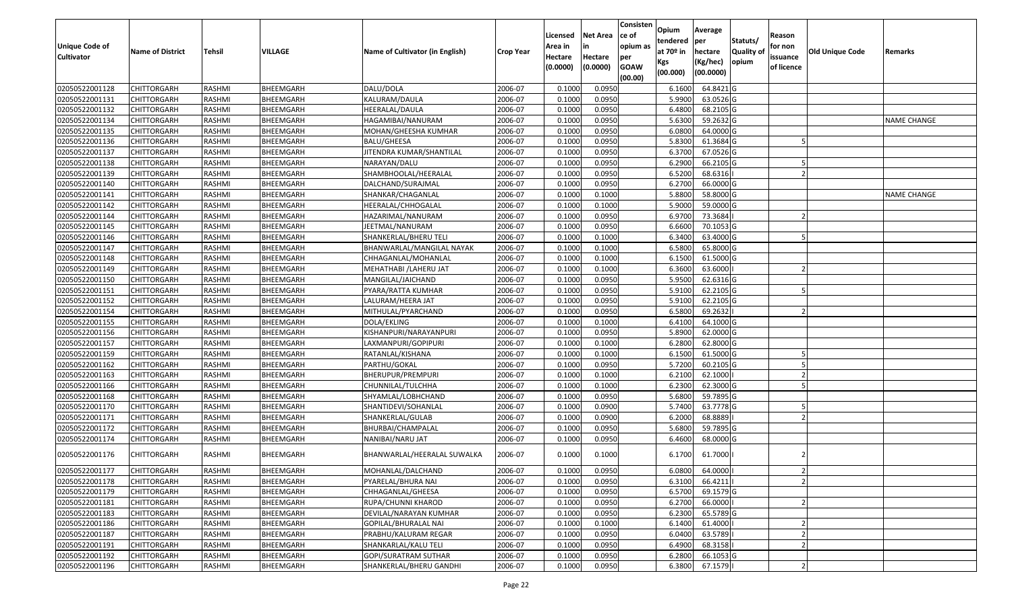| <b>Unique Code of</b><br><b>Cultivator</b> | <b>Name of District</b> | <b>Tehsil</b> | VILLAGE   | Name of Cultivator (in English) | Crop Year | Licensed<br>Area in<br>Hectare<br>(0.0000) | <b>Net Area</b><br>in<br>Hectare<br>(0.0000) | Consisten<br>ce of<br>opium as<br>per<br><b>GOAW</b><br>(00.00) | Opium<br>tendered<br>at 70º in<br>Kgs<br>(00.000) | Average<br>per<br>hectare<br>(Kg/hec)<br>(00.0000) | Statuts/<br><b>Quality of</b><br>opium | Reason<br>for non<br>issuance<br>of licence | Old Unique Code | Remarks            |
|--------------------------------------------|-------------------------|---------------|-----------|---------------------------------|-----------|--------------------------------------------|----------------------------------------------|-----------------------------------------------------------------|---------------------------------------------------|----------------------------------------------------|----------------------------------------|---------------------------------------------|-----------------|--------------------|
| 02050522001128                             | <b>CHITTORGARH</b>      | RASHMI        | BHEEMGARH | DALU/DOLA                       | 2006-07   | 0.1000                                     | 0.0950                                       |                                                                 | 6.1600                                            | 64.8421 G                                          |                                        |                                             |                 |                    |
| 02050522001131                             | <b>CHITTORGARH</b>      | RASHMI        | BHEEMGARH | KALURAM/DAULA                   | 2006-07   | 0.1000                                     | 0.0950                                       |                                                                 | 5.9900                                            | 63.0526 G                                          |                                        |                                             |                 |                    |
| 02050522001132                             | <b>CHITTORGARH</b>      | RASHMI        | BHEEMGARH | HEERALAL/DAULA                  | 2006-07   | 0.1000                                     | 0.0950                                       |                                                                 | 6.4800                                            | 68.2105 G                                          |                                        |                                             |                 |                    |
| 02050522001134                             | <b>CHITTORGARH</b>      | RASHMI        | BHEEMGARH | HAGAMIBAI/NANURAM               | 2006-07   | 0.1000                                     | 0.0950                                       |                                                                 | 5.6300                                            | 59.2632 G                                          |                                        |                                             |                 | <b>NAME CHANGE</b> |
| 02050522001135                             | <b>CHITTORGARH</b>      | RASHMI        | BHEEMGARH | MOHAN/GHEESHA KUMHAR            | 2006-07   | 0.1000                                     | 0.0950                                       |                                                                 | 6.0800                                            | 64.0000 G                                          |                                        |                                             |                 |                    |
| 02050522001136                             | <b>CHITTORGARH</b>      | RASHMI        | BHEEMGARH | <b>BALU/GHEESA</b>              | 2006-07   | 0.1000                                     | 0.0950                                       |                                                                 | 5.8300                                            | 61.3684 G                                          |                                        |                                             |                 |                    |
| 02050522001137                             | <b>CHITTORGARH</b>      | RASHMI        | BHEEMGARH | JITENDRA KUMAR/SHANTILAL        | 2006-07   | 0.1000                                     | 0.0950                                       |                                                                 | 6.3700                                            | 67.0526 G                                          |                                        |                                             |                 |                    |
| 02050522001138                             | <b>CHITTORGARH</b>      | RASHMI        | BHEEMGARH | NARAYAN/DALU                    | 2006-07   | 0.1000                                     | 0.0950                                       |                                                                 | 6.2900                                            | 66.2105 G                                          |                                        |                                             |                 |                    |
| 02050522001139                             | <b>CHITTORGARH</b>      | RASHMI        | BHEEMGARH | SHAMBHOOLAL/HEERALAL            | 2006-07   | 0.1000                                     | 0.0950                                       |                                                                 | 6.5200                                            | 68.6316                                            |                                        |                                             |                 |                    |
| 02050522001140                             | <b>CHITTORGARH</b>      | RASHMI        | BHEEMGARH | DALCHAND/SURAJMAL               | 2006-07   | 0.1000                                     | 0.0950                                       |                                                                 | 6.2700                                            | 66.0000 G                                          |                                        |                                             |                 |                    |
| 02050522001141                             | <b>CHITTORGARH</b>      | RASHMI        | BHEEMGARH | SHANKAR/CHAGANLAL               | 2006-07   | 0.1000                                     | 0.1000                                       |                                                                 | 5.8800                                            | 58.8000 G                                          |                                        |                                             |                 | <b>NAME CHANGE</b> |
| 02050522001142                             | <b>CHITTORGARH</b>      | RASHMI        | BHEEMGARH | HEERALAL/CHHOGALAL              | 2006-07   | 0.1000                                     | 0.1000                                       |                                                                 | 5.9000                                            | 59.0000 G                                          |                                        |                                             |                 |                    |
| 02050522001144                             | <b>CHITTORGARH</b>      | RASHMI        | BHEEMGARH | HAZARIMAL/NANURAM               | 2006-07   | 0.1000                                     | 0.0950                                       |                                                                 | 6.9700                                            | 73.3684                                            |                                        |                                             |                 |                    |
| 02050522001145                             | <b>CHITTORGARH</b>      | RASHMI        | BHEEMGARH | JEETMAL/NANURAM                 | 2006-07   | 0.1000                                     | 0.0950                                       |                                                                 | 6.6600                                            | 70.1053 G                                          |                                        |                                             |                 |                    |
| 02050522001146                             | <b>CHITTORGARH</b>      | RASHMI        | BHEEMGARH | SHANKERLAL/BHERU TELI           | 2006-07   | 0.1000                                     | 0.1000                                       |                                                                 | 6.3400                                            | 63.4000 G                                          |                                        |                                             |                 |                    |
| 02050522001147                             | <b>CHITTORGARH</b>      | RASHMI        | BHEEMGARH | BHANWARLAL/MANGILAL NAYAK       | 2006-07   | 0.1000                                     | 0.1000                                       |                                                                 | 6.5800                                            | 65.8000 G                                          |                                        |                                             |                 |                    |
| 02050522001148                             | <b>CHITTORGARH</b>      | RASHMI        | BHEEMGARH | CHHAGANLAL/MOHANLAL             | 2006-07   | 0.1000                                     | 0.1000                                       |                                                                 | 6.1500                                            | 61.5000 G                                          |                                        |                                             |                 |                    |
| 02050522001149                             | <b>CHITTORGARH</b>      | RASHMI        | BHEEMGARH | MEHATHABI /LAHERU JAT           | 2006-07   | 0.1000                                     | 0.1000                                       |                                                                 | 6.3600                                            | 63.6000                                            |                                        |                                             |                 |                    |
| 02050522001150                             | <b>CHITTORGARH</b>      | RASHMI        | BHEEMGARH | MANGILAL/JAICHAND               | 2006-07   | 0.1000                                     | 0.0950                                       |                                                                 | 5.9500                                            | 62.6316 G                                          |                                        |                                             |                 |                    |
| 02050522001151                             | <b>CHITTORGARH</b>      | RASHMI        | BHEEMGARH | PYARA/RATTA KUMHAR              | 2006-07   | 0.1000                                     | 0.0950                                       |                                                                 | 5.9100                                            | 62.2105 G                                          |                                        |                                             |                 |                    |
| 02050522001152                             | <b>CHITTORGARH</b>      | RASHMI        | BHEEMGARH | LALURAM/HEERA JAT               | 2006-07   | 0.1000                                     | 0.0950                                       |                                                                 | 5.9100                                            | 62.2105 G                                          |                                        |                                             |                 |                    |
| 02050522001154                             | <b>CHITTORGARH</b>      | RASHMI        | BHEEMGARH | MITHULAL/PYARCHAND              | 2006-07   | 0.1000                                     | 0.0950                                       |                                                                 | 6.5800                                            | 69.2632                                            |                                        |                                             |                 |                    |
| 02050522001155                             | <b>CHITTORGARH</b>      | RASHMI        | BHEEMGARH | DOLA/EKLING                     | 2006-07   | 0.1000                                     | 0.1000                                       |                                                                 | 6.4100                                            | 64.1000 G                                          |                                        |                                             |                 |                    |
| 02050522001156                             | <b>CHITTORGARH</b>      | RASHMI        | BHEEMGARH | KISHANPURI/NARAYANPURI          | 2006-07   | 0.1000                                     | 0.0950                                       |                                                                 | 5.8900                                            | 62.0000 G                                          |                                        |                                             |                 |                    |
| 02050522001157                             | <b>CHITTORGARH</b>      | RASHMI        | BHEEMGARH | LAXMANPURI/GOPIPURI             | 2006-07   | 0.1000                                     | 0.1000                                       |                                                                 | 6.2800                                            | 62.8000 G                                          |                                        |                                             |                 |                    |
| 02050522001159                             | <b>CHITTORGARH</b>      | RASHMI        | BHEEMGARH | RATANLAL/KISHANA                | 2006-07   | 0.1000                                     | 0.1000                                       |                                                                 | 6.1500                                            | 61.5000 G                                          |                                        |                                             |                 |                    |
| 02050522001162                             | <b>CHITTORGARH</b>      | RASHMI        | BHEEMGARH | PARTHU/GOKAL                    | 2006-07   | 0.1000                                     | 0.0950                                       |                                                                 | 5.7200                                            | 60.2105 G                                          |                                        |                                             |                 |                    |
| 02050522001163                             | <b>CHITTORGARH</b>      | RASHMI        | BHEEMGARH | BHERUPUR/PREMPURI               | 2006-07   | 0.1000                                     | 0.1000                                       |                                                                 | 6.2100                                            | 62.1000                                            |                                        |                                             |                 |                    |
| 02050522001166                             | <b>CHITTORGARH</b>      | RASHMI        | BHEEMGARH | CHUNNILAL/TULCHHA               | 2006-07   | 0.1000                                     | 0.1000                                       |                                                                 | 6.2300                                            | 62.3000 G                                          |                                        |                                             |                 |                    |
| 02050522001168                             | <b>CHITTORGARH</b>      | RASHMI        | BHEEMGARH | SHYAMLAL/LOBHCHAND              | 2006-07   | 0.1000                                     | 0.0950                                       |                                                                 | 5.6800                                            | 59.7895 G                                          |                                        |                                             |                 |                    |
| 02050522001170                             | <b>CHITTORGARH</b>      | RASHMI        | BHEEMGARH | SHANTIDEVI/SOHANLAL             | 2006-07   | 0.1000                                     | 0.0900                                       |                                                                 | 5.7400                                            | 63.7778 G                                          |                                        |                                             |                 |                    |
| 02050522001171                             | <b>CHITTORGARH</b>      | RASHMI        | BHEEMGARH | SHANKERLAL/GULAB                | 2006-07   | 0.1000                                     | 0.0900                                       |                                                                 | 6.2000                                            | 68.8889                                            |                                        |                                             |                 |                    |
| 02050522001172                             | <b>CHITTORGARH</b>      | RASHMI        | BHEEMGARH | BHURBAI/CHAMPALAL               | 2006-07   | 0.1000                                     | 0.0950                                       |                                                                 | 5.6800                                            | 59.7895 G                                          |                                        |                                             |                 |                    |
| 02050522001174                             | <b>CHITTORGARH</b>      | RASHMI        | BHEEMGARH | NANIBAI/NARU JAT                | 2006-07   | 0.1000                                     | 0.0950                                       |                                                                 | 6.4600                                            | 68.0000 G                                          |                                        |                                             |                 |                    |
| 02050522001176                             | <b>CHITTORGARH</b>      | RASHMI        | BHEEMGARH | BHANWARLAL/HEERALAL SUWALKA     | 2006-07   | 0.1000                                     | 0.1000                                       |                                                                 | 6.1700                                            | 61.7000                                            |                                        |                                             |                 |                    |
| 02050522001177                             | <b>CHITTORGARH</b>      | RASHMI        | BHEEMGARH | MOHANLAL/DALCHAND               | 2006-07   | 0.1000                                     | 0.0950                                       |                                                                 | 6.0800                                            | 64.0000 l                                          |                                        |                                             |                 |                    |
| 02050522001178                             | <b>CHITTORGARH</b>      | RASHMI        | BHEEMGARH | PYARELAL/BHURA NAI              | 2006-07   | 0.1000                                     | 0.0950                                       |                                                                 | 6.3100                                            | 66.4211                                            |                                        |                                             |                 |                    |
| 02050522001179                             | <b>CHITTORGARH</b>      | RASHMI        | BHEEMGARH | CHHAGANLAL/GHEESA               | 2006-07   | 0.1000                                     | 0.0950                                       |                                                                 | 6.5700                                            | 69.1579 G                                          |                                        |                                             |                 |                    |
| 02050522001181                             | <b>CHITTORGARH</b>      | RASHMI        | BHEEMGARH | RUPA/CHUNNI KHAROD              | 2006-07   | 0.1000                                     | 0.0950                                       |                                                                 | 6.2700                                            | 66.0000                                            |                                        |                                             |                 |                    |
| 02050522001183                             | <b>CHITTORGARH</b>      | RASHMI        | BHEEMGARH | DEVILAL/NARAYAN KUMHAR          | 2006-07   | 0.1000                                     | 0.0950                                       |                                                                 | 6.2300                                            | 65.5789 G                                          |                                        |                                             |                 |                    |
| 02050522001186                             | <b>CHITTORGARH</b>      | RASHMI        | BHEEMGARH | GOPILAL/BHURALAL NAI            | 2006-07   | 0.1000                                     | 0.1000                                       |                                                                 | 6.1400                                            | 61.4000                                            |                                        |                                             |                 |                    |
| 02050522001187                             | <b>CHITTORGARH</b>      | RASHMI        | BHEEMGARH | PRABHU/KALURAM REGAR            | 2006-07   | 0.1000                                     | 0.0950                                       |                                                                 | 6.0400                                            | 63.5789                                            |                                        |                                             |                 |                    |
| 02050522001191                             | <b>CHITTORGARH</b>      | RASHMI        | BHEEMGARH | SHANKARLAL/KALU TELI            | 2006-07   | 0.1000                                     | 0.0950                                       |                                                                 | 6.4900                                            | 68.3158                                            |                                        |                                             |                 |                    |
| 02050522001192                             | <b>CHITTORGARH</b>      | RASHMI        | BHEEMGARH | GOPI/SURATRAM SUTHAR            | 2006-07   | 0.1000                                     | 0.0950                                       |                                                                 | 6.2800                                            | 66.1053 G                                          |                                        |                                             |                 |                    |
| 02050522001196                             | <b>CHITTORGARH</b>      | RASHMI        | BHEEMGARH | SHANKERLAL/BHERU GANDHI         | 2006-07   | 0.1000                                     | 0.0950                                       |                                                                 | 6.3800                                            | 67.1579                                            |                                        |                                             |                 |                    |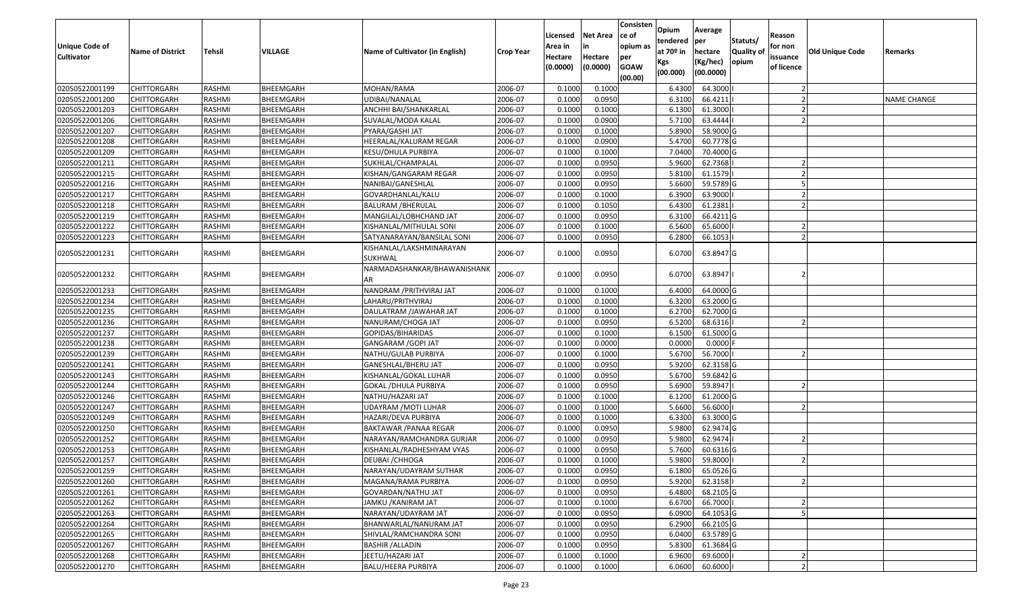| Unique Code of<br><b>Cultivator</b> | <b>Name of District</b> | Tehsil        | VILLAGE          | Name of Cultivator (in English)     | <b>Crop Year</b> | Licensed<br>Area in<br>Hectare<br>(0.0000) | <b>Net Area</b><br>in<br>Hectare<br>(0.0000) | Consisten<br>ce of<br>opium as<br>per<br><b>GOAW</b><br>(00.00) | Opium<br>tendered<br>at $70°$ in<br>Kgs<br>(00.000) | Average<br>per<br>hectare<br>(Kg/hec)<br>(00.0000) | Statuts/<br><b>Quality o</b><br>opium | Reason<br>for non<br>issuance<br>of licence | Old Unique Code | Remarks            |
|-------------------------------------|-------------------------|---------------|------------------|-------------------------------------|------------------|--------------------------------------------|----------------------------------------------|-----------------------------------------------------------------|-----------------------------------------------------|----------------------------------------------------|---------------------------------------|---------------------------------------------|-----------------|--------------------|
| 02050522001199                      | CHITTORGARH             | RASHMI        | BHEEMGARH        | MOHAN/RAMA                          | 2006-07          | 0.1000                                     | 0.1000                                       |                                                                 | 6.4300                                              | 64.3000                                            |                                       |                                             |                 |                    |
| 02050522001200                      | CHITTORGARH             | RASHMI        | BHEEMGARH        | UDIBAI/NANALAL                      | 2006-07          | 0.1000                                     | 0.0950                                       |                                                                 | 6.3100                                              | 66.4211                                            |                                       |                                             |                 | <b>NAME CHANGE</b> |
| 02050522001203                      | CHITTORGARH             | RASHMI        | BHEEMGARH        | ANCHHI BAI/SHANKARLAL               | 2006-07          | 0.1000                                     | 0.1000                                       |                                                                 | 6.1300                                              | 61.3000                                            |                                       |                                             |                 |                    |
| 02050522001206                      | <b>CHITTORGARH</b>      | RASHMI        | BHEEMGARH        | SUVALAL/MODA KALAL                  | 2006-07          | 0.1000                                     | 0.0900                                       |                                                                 | 5.7100                                              | 63.4444                                            |                                       |                                             |                 |                    |
| 02050522001207                      | CHITTORGARH             | RASHMI        | BHEEMGARH        | PYARA/GASHI JAT                     | 2006-07          | 0.1000                                     | 0.1000                                       |                                                                 | 5.8900                                              | 58.9000 G                                          |                                       |                                             |                 |                    |
| 02050522001208                      | CHITTORGARH             | RASHMI        | <b>BHEEMGARH</b> | HEERALAL/KALURAM REGAR              | 2006-07          | 0.1000                                     | 0.0900                                       |                                                                 | 5.4700                                              | 60.7778 G                                          |                                       |                                             |                 |                    |
| 02050522001209                      | CHITTORGARH             | RASHMI        | BHEEMGARH        | KESU/DHULA PURBIYA                  | 2006-07          | 0.1000                                     | 0.1000                                       |                                                                 | 7.0400                                              | 70.4000 G                                          |                                       |                                             |                 |                    |
| 02050522001211                      | <b>CHITTORGARH</b>      | <b>RASHMI</b> | BHEEMGARH        | SUKHLAL/CHAMPALAL                   | 2006-07          | 0.1000                                     | 0.0950                                       |                                                                 | 5.9600                                              | 62.7368                                            |                                       |                                             |                 |                    |
| 02050522001215                      | CHITTORGARH             | RASHMI        | BHEEMGARH        | KISHAN/GANGARAM REGAR               | 2006-07          | 0.1000                                     | 0.0950                                       |                                                                 | 5.8100                                              | 61.1579                                            |                                       |                                             |                 |                    |
| 02050522001216                      | CHITTORGARH             | RASHMI        | BHEEMGARH        | NANIBAI/GANESHLAL                   | 2006-07          | 0.1000                                     | 0.0950                                       |                                                                 | 5.6600                                              | 59.5789 G                                          |                                       |                                             |                 |                    |
| 02050522001217                      | CHITTORGARH             | RASHMI        | BHEEMGARH        | GOVARDHANLAL/KALU                   | 2006-07          | 0.1000                                     | 0.1000                                       |                                                                 | 6.3900                                              | 63.9000                                            |                                       |                                             |                 |                    |
| 02050522001218                      | <b>CHITTORGARH</b>      | RASHMI        | BHEEMGARH        | <b>BALURAM / BHERULAL</b>           | 2006-07          | 0.1000                                     | 0.1050                                       |                                                                 | 6.4300                                              | 61.2381                                            |                                       |                                             |                 |                    |
| 02050522001219                      | <b>CHITTORGARH</b>      | RASHMI        | BHEEMGARH        | MANGILAL/LOBHCHAND JAT              | 2006-07          | 0.1000                                     | 0.0950                                       |                                                                 | 6.3100                                              | 66.4211G                                           |                                       |                                             |                 |                    |
| 02050522001222                      | CHITTORGARH             | RASHMI        | BHEEMGARH        | KISHANLAL/MITHULAL SONI             | 2006-07          | 0.1000                                     | 0.1000                                       |                                                                 | 6.5600                                              | 65.6000                                            |                                       |                                             |                 |                    |
| 02050522001223                      | CHITTORGARH             | RASHMI        | BHEEMGARH        | SATYANARAYAN/BANSILAL SONI          | 2006-07          | 0.1000                                     | 0.0950                                       |                                                                 | 6.2800                                              | 66.1053                                            |                                       |                                             |                 |                    |
| 02050522001231                      | CHITTORGARH             | RASHMI        | BHEEMGARH        | KISHANLAL/LAKSHMINARAYAN<br>SUKHWAL | 2006-07          | 0.1000                                     | 0.0950                                       |                                                                 | 6.0700                                              | 63.8947 G                                          |                                       |                                             |                 |                    |
| 02050522001232                      | CHITTORGARH             | RASHMI        | BHEEMGARH        | NARMADASHANKAR/BHAWANISHANK<br>AR   | 2006-07          | 0.1000                                     | 0.0950                                       |                                                                 | 6.0700                                              | 63.8947                                            |                                       |                                             |                 |                    |
| 02050522001233                      | CHITTORGARH             | RASHMI        | BHEEMGARH        | NANDRAM / PRITHVIRAJ JAT            | 2006-07          | 0.1000                                     | 0.1000                                       |                                                                 | 6.4000                                              | 64.0000 G                                          |                                       |                                             |                 |                    |
| 02050522001234                      | CHITTORGARH             | RASHMI        | <b>BHEEMGARH</b> | LAHARU/PRITHVIRAJ                   | 2006-07          | 0.1000                                     | 0.1000                                       |                                                                 | 6.3200                                              | 63.2000 G                                          |                                       |                                             |                 |                    |
| 02050522001235                      | CHITTORGARH             | RASHMI        | BHEEMGARH        | DAULATRAM /JAWAHAR JAT              | 2006-07          | 0.1000                                     | 0.1000                                       |                                                                 | 6.2700                                              | 62.7000 G                                          |                                       |                                             |                 |                    |
| 02050522001236                      | CHITTORGARH             | RASHMI        | BHEEMGARH        | NANURAM/CHOGA JAT                   | 2006-07          | 0.1000                                     | 0.0950                                       |                                                                 | 6.5200                                              | 68.6316                                            |                                       |                                             |                 |                    |
| 02050522001237                      | CHITTORGARH             | RASHMI        | BHEEMGARH        | GOPIDAS/BIHARIDAS                   | 2006-07          | 0.1000                                     | 0.1000                                       |                                                                 | 6.1500                                              | 61.5000G                                           |                                       |                                             |                 |                    |
| 02050522001238                      | CHITTORGARH             | RASHMI        | BHEEMGARH        | GANGARAM /GOPI JAT                  | 2006-07          | 0.1000                                     | 0.0000                                       |                                                                 | 0.0000                                              | $0.0000$ F                                         |                                       |                                             |                 |                    |
| 02050522001239                      | CHITTORGARH             | RASHMI        | BHEEMGARH        | NATHU/GULAB PURBIYA                 | 2006-07          | 0.1000                                     | 0.1000                                       |                                                                 | 5.6700                                              | 56.7000                                            |                                       |                                             |                 |                    |
| 02050522001241                      | CHITTORGARH             | RASHMI        | BHEEMGARH        | GANESHLAL/BHERU JAT                 | 2006-07          | 0.1000                                     | 0.0950                                       |                                                                 | 5.9200                                              | 62.3158 G                                          |                                       |                                             |                 |                    |
| 02050522001243                      | CHITTORGARH             | RASHMI        | BHEEMGARH        | KISHANLAL/GOKAL LUHAR               | 2006-07          | 0.1000                                     | 0.0950                                       |                                                                 | 5.6700                                              | 59.6842 G                                          |                                       |                                             |                 |                    |
| 02050522001244                      | CHITTORGARH             | <b>RASHMI</b> | BHEEMGARH        | GOKAL /DHULA PURBIYA                | 2006-07          | 0.1000                                     | 0.0950                                       |                                                                 | 5.6900                                              | 59.8947                                            |                                       |                                             |                 |                    |
| 02050522001246                      | CHITTORGARH             | RASHMI        | BHEEMGARH        | NATHU/HAZARI JAT                    | 2006-07          | 0.1000                                     | 0.1000                                       |                                                                 | 6.1200                                              | 61.2000 G                                          |                                       |                                             |                 |                    |
| 02050522001247                      | CHITTORGARH             | RASHMI        | BHEEMGARH        | UDAYRAM / MOTI LUHAR                | 2006-07          | 0.1000                                     | 0.1000                                       |                                                                 | 5.6600                                              | 56.6000                                            |                                       |                                             |                 |                    |
| 02050522001249                      | CHITTORGARH             | RASHMI        | BHEEMGARH        | HAZARI/DEVA PURBIYA                 | 2006-07          | 0.1000                                     | 0.1000                                       |                                                                 | 6.3300                                              | 63.3000G                                           |                                       |                                             |                 |                    |
| 02050522001250                      | CHITTORGARH             | RASHMI        | BHEEMGARH        | BAKTAWAR /PANAA REGAR               | 2006-07          | 0.1000                                     | 0.0950                                       |                                                                 | 5.9800                                              | 62.9474 G                                          |                                       |                                             |                 |                    |
| 02050522001252                      | <b>CHITTORGARH</b>      | RASHMI        | BHEEMGARH        | NARAYAN/RAMCHANDRA GURJAR           | 2006-07          | 0.1000                                     | 0.0950                                       |                                                                 | 5.9800                                              | 62.9474                                            |                                       |                                             |                 |                    |
| 02050522001253                      | CHITTORGARH             | RASHMI        | BHEEMGARH        | KISHANLAL/RADHESHYAM VYAS           | 2006-07          | 0.1000                                     | 0.0950                                       |                                                                 | 5.7600                                              | 60.6316 G                                          |                                       |                                             |                 |                    |
| 02050522001257                      | CHITTORGARH             | RASHMI        | BHEEMGARH        | DEUBAI /CHHOGA                      | 2006-07          | 0.1000                                     | 0.1000                                       |                                                                 | 5.9800                                              | 59.8000                                            |                                       |                                             |                 |                    |
| 02050522001259                      | <b>CHITTORGARH</b>      | RASHMI        | BHEEMGARH        | NARAYAN/UDAYRAM SUTHAR              | 2006-07          | 0.1000                                     | 0.0950                                       |                                                                 | 6.1800                                              | 65.0526 G                                          |                                       |                                             |                 |                    |
| 02050522001260                      | <b>CHITTORGARH</b>      | RASHMI        | BHEEMGARH        | MAGANA/RAMA PURBIYA                 | 2006-07          | 0.1000                                     | 0.0950                                       |                                                                 | 5.9200                                              | 62.3158                                            |                                       |                                             |                 |                    |
| 02050522001261                      | <b>CHITTORGARH</b>      | RASHMI        | BHEEMGARH        | GOVARDAN/NATHU JAT                  | 2006-07          | 0.1000                                     | 0.0950                                       |                                                                 | 6.4800                                              | 68.2105 G                                          |                                       |                                             |                 |                    |
| 02050522001262                      | <b>CHITTORGARH</b>      | RASHMI        | BHEEMGARH        | JAMKU /KANIRAM JAT                  | 2006-07          | 0.1000                                     | 0.1000                                       |                                                                 | 6.6700                                              | 66.7000                                            |                                       |                                             |                 |                    |
| 02050522001263                      | <b>CHITTORGARH</b>      | RASHMI        | BHEEMGARH        | NARAYAN/UDAYRAM JAT                 | 2006-07          | 0.1000                                     | 0.0950                                       |                                                                 | 6.0900                                              | 64.1053 G                                          |                                       |                                             |                 |                    |
| 02050522001264                      | <b>CHITTORGARH</b>      | RASHMI        | BHEEMGARH        | BHANWARLAL/NANURAM JAT              | 2006-07          | 0.1000                                     | 0.0950                                       |                                                                 | 6.2900                                              | 66.2105 G                                          |                                       |                                             |                 |                    |
| 02050522001265                      | <b>CHITTORGARH</b>      | RASHMI        | BHEEMGARH        | SHIVLAL/RAMCHANDRA SONI             | 2006-07          | 0.1000                                     | 0.0950                                       |                                                                 | 6.0400                                              | 63.5789 G                                          |                                       |                                             |                 |                    |
| 02050522001267                      | <b>CHITTORGARH</b>      | RASHMI        | BHEEMGARH        | BASHIR / ALLADIN                    | 2006-07          | 0.1000                                     | 0.0950                                       |                                                                 | 5.8300                                              | 61.3684 G                                          |                                       |                                             |                 |                    |
| 02050522001268                      | <b>CHITTORGARH</b>      | RASHMI        | BHEEMGARH        | JEETU/HAZARI JAT                    | 2006-07          | 0.1000                                     | 0.1000                                       |                                                                 | 6.9600                                              | 69.6000                                            |                                       |                                             |                 |                    |
| 02050522001270                      | <b>CHITTORGARH</b>      | RASHMI        | BHEEMGARH        | <b>BALU/HEERA PURBIYA</b>           | 2006-07          | 0.1000                                     | 0.1000                                       |                                                                 | 6.0600                                              | 60.6000                                            |                                       |                                             |                 |                    |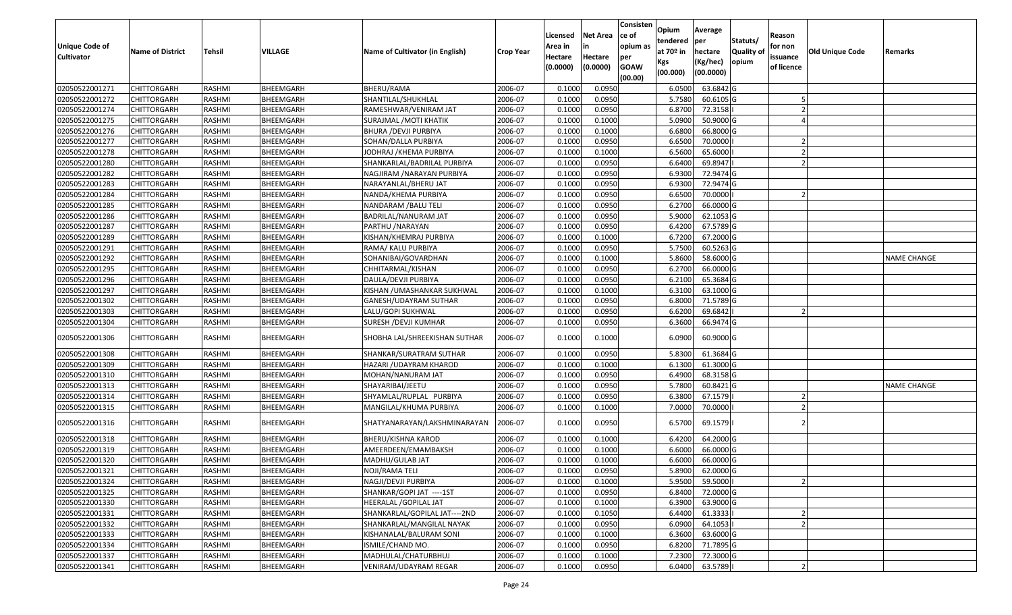| <b>Unique Code of</b><br><b>Cultivator</b> | <b>Name of District</b> | Tehsil        | VILLAGE          | Name of Cultivator (in English) | <b>Crop Year</b> | Licensed<br>Area in<br>Hectare<br>(0.0000) | Net Area<br>in<br>Hectare<br>(0.0000) | Consisten<br>ce of<br>opium as<br>per<br><b>GOAW</b><br>(00.00) | Opium<br>tendered<br>at 70 <sup>o</sup> in<br>Kgs<br>(00.000) | Average<br>per<br>hectare<br>(Kg/hec)<br>(00.0000) | Statuts/<br><b>Quality of</b><br>opium | Reason<br>for non<br>issuance<br>of licence | Old Unique Code | Remarks            |
|--------------------------------------------|-------------------------|---------------|------------------|---------------------------------|------------------|--------------------------------------------|---------------------------------------|-----------------------------------------------------------------|---------------------------------------------------------------|----------------------------------------------------|----------------------------------------|---------------------------------------------|-----------------|--------------------|
| 02050522001271                             | <b>CHITTORGARH</b>      | RASHMI        | BHEEMGARH        | BHERU/RAMA                      | 2006-07          | 0.1000                                     | 0.0950                                |                                                                 | 6.0500                                                        | 63.6842 G                                          |                                        |                                             |                 |                    |
| 02050522001272                             | CHITTORGARH             | RASHMI        | BHEEMGARH        | SHANTILAL/SHUKHLAL              | 2006-07          | 0.1000                                     | 0.0950                                |                                                                 | 5.7580                                                        | 60.6105 G                                          |                                        |                                             |                 |                    |
| 02050522001274                             | CHITTORGARH             | RASHMI        | BHEEMGARH        | RAMESHWAR/VENIRAM JAT           | 2006-07          | 0.1000                                     | 0.0950                                |                                                                 | 6.8700                                                        | 72.3158                                            |                                        |                                             |                 |                    |
| 02050522001275                             | <b>CHITTORGARH</b>      | RASHMI        | BHEEMGARH        | SURAJMAL / MOTI KHATIK          | 2006-07          | 0.1000                                     | 0.1000                                |                                                                 | 5.0900                                                        | 50.9000 G                                          |                                        |                                             |                 |                    |
| 02050522001276                             | CHITTORGARH             | RASHMI        | BHEEMGARH        | <b>BHURA / DEVJI PURBIYA</b>    | 2006-07          | 0.1000                                     | 0.1000                                |                                                                 | 6.6800                                                        | 66.8000 G                                          |                                        |                                             |                 |                    |
| 02050522001277                             | CHITTORGARH             | RASHMI        | BHEEMGARH        | SOHAN/DALLA PURBIYA             | 2006-07          | 0.1000                                     | 0.0950                                |                                                                 | 6.6500                                                        | 70.0000                                            |                                        |                                             |                 |                    |
| 02050522001278                             | CHITTORGARH             | RASHMI        | BHEEMGARH        | JODHRAJ /KHEMA PURBIYA          | 2006-07          | 0.1000                                     | 0.1000                                |                                                                 | 6.5600                                                        | 65.6000                                            |                                        |                                             |                 |                    |
| 02050522001280                             | <b>CHITTORGARH</b>      | <b>RASHMI</b> | BHEEMGARH        | SHANKARLAL/BADRILAL PURBIYA     | 2006-07          | 0.1000                                     | 0.0950                                |                                                                 | 6.6400                                                        | 69.8947                                            |                                        |                                             |                 |                    |
| 02050522001282                             | CHITTORGARH             | RASHMI        | BHEEMGARH        | NAGJIRAM / NARAYAN PURBIYA      | 2006-07          | 0.1000                                     | 0.0950                                |                                                                 | 6.9300                                                        | 72.9474 G                                          |                                        |                                             |                 |                    |
| 02050522001283                             | CHITTORGARH             | RASHMI        | BHEEMGARH        | NARAYANLAL/BHERU JAT            | 2006-07          | 0.1000                                     | 0.0950                                |                                                                 | 6.9300                                                        | 72.9474 G                                          |                                        |                                             |                 |                    |
| 02050522001284                             | CHITTORGARH             | RASHMI        | BHEEMGARH        | NANDA/KHEMA PURBIYA             | 2006-07          | 0.1000                                     | 0.0950                                |                                                                 | 6.6500                                                        | 70.0000                                            |                                        |                                             |                 |                    |
| 02050522001285                             | <b>CHITTORGARH</b>      | RASHMI        | BHEEMGARH        | NANDARAM / BALU TELI            | 2006-07          | 0.1000                                     | 0.0950                                |                                                                 | 6.2700                                                        | 66.0000 G                                          |                                        |                                             |                 |                    |
| 02050522001286                             | <b>CHITTORGARH</b>      | RASHMI        | BHEEMGARH        | BADRILAL/NANURAM JAT            | 2006-07          | 0.1000                                     | 0.0950                                |                                                                 | 5.9000                                                        | 62.1053 G                                          |                                        |                                             |                 |                    |
| 02050522001287                             | <b>CHITTORGARH</b>      | RASHMI        | BHEEMGARH        | PARTHU / NARAYAN                | 2006-07          | 0.1000                                     | 0.0950                                |                                                                 | 6.4200                                                        | 67.5789 G                                          |                                        |                                             |                 |                    |
| 02050522001289                             | CHITTORGARH             | RASHMI        | BHEEMGARH        | KISHAN/KHEMRAJ PURBIYA          | 2006-07          | 0.1000                                     | 0.1000                                |                                                                 | 6.7200                                                        | 67.2000 G                                          |                                        |                                             |                 |                    |
| 02050522001291                             | <b>CHITTORGARH</b>      | RASHMI        | BHEEMGARH        | RAMA/ KALU PURBIYA              | 2006-07          | 0.1000                                     | 0.0950                                |                                                                 | 5.7500                                                        | 60.5263 G                                          |                                        |                                             |                 |                    |
| 02050522001292                             | <b>CHITTORGARH</b>      | RASHMI        | BHEEMGARH        | SOHANIBAI/GOVARDHAN             | 2006-07          | 0.1000                                     | 0.1000                                |                                                                 | 5.8600                                                        | 58.6000 G                                          |                                        |                                             |                 | <b>NAME CHANGE</b> |
| 02050522001295                             | CHITTORGARH             | RASHMI        | BHEEMGARH        | CHHITARMAL/KISHAN               | 2006-07          | 0.1000                                     | 0.0950                                |                                                                 | 6.2700                                                        | 66.0000 G                                          |                                        |                                             |                 |                    |
| 02050522001296                             | CHITTORGARH             | RASHMI        | BHEEMGARH        | DAULA/DEVJI PURBIYA             | 2006-07          | 0.1000                                     | 0.0950                                |                                                                 | 6.2100                                                        | 65.3684 G                                          |                                        |                                             |                 |                    |
| 02050522001297                             | CHITTORGARH             | RASHMI        | BHEEMGARH        | KISHAN / UMASHANKAR SUKHWAL     | 2006-07          | 0.1000                                     | 0.1000                                |                                                                 | 6.3100                                                        | 63.1000 G                                          |                                        |                                             |                 |                    |
| 02050522001302                             | CHITTORGARH             | RASHMI        | BHEEMGARH        | GANESH/UDAYRAM SUTHAR           | 2006-07          | 0.1000                                     | 0.0950                                |                                                                 | 6.8000                                                        | 71.5789 G                                          |                                        |                                             |                 |                    |
| 02050522001303                             | CHITTORGARH             | RASHMI        | BHEEMGARH        | LALU/GOPI SUKHWAL               | 2006-07          | 0.1000                                     | 0.0950                                |                                                                 | 6.6200                                                        | 69.6842                                            |                                        |                                             |                 |                    |
| 02050522001304                             | CHITTORGARH             | RASHMI        | BHEEMGARH        | SURESH / DEVJI KUMHAR           | 2006-07          | 0.1000                                     | 0.0950                                |                                                                 | 6.3600                                                        | 66.9474 G                                          |                                        |                                             |                 |                    |
| 02050522001306                             | CHITTORGARH             | RASHMI        | BHEEMGARH        | SHOBHA LAL/SHREEKISHAN SUTHAR   | 2006-07          | 0.1000                                     | 0.1000                                |                                                                 | 6.0900                                                        | 60.9000 G                                          |                                        |                                             |                 |                    |
| 02050522001308                             | CHITTORGARH             | RASHMI        | BHEEMGARH        | SHANKAR/SURATRAM SUTHAR         | 2006-07          | 0.1000                                     | 0.0950                                |                                                                 | 5.8300                                                        | 61.3684 G                                          |                                        |                                             |                 |                    |
| 02050522001309                             | CHITTORGARH             | RASHMI        | BHEEMGARH        | HAZARI / UDAYRAM KHAROD         | 2006-07          | 0.1000                                     | 0.1000                                |                                                                 | 6.1300                                                        | 61.3000 G                                          |                                        |                                             |                 |                    |
| 02050522001310                             | CHITTORGARH             | RASHMI        | BHEEMGARH        | MOHAN/NANURAM JAT               | 2006-07          | 0.1000                                     | 0.0950                                |                                                                 | 6.4900                                                        | 68.3158 G                                          |                                        |                                             |                 |                    |
| 02050522001313                             | <b>CHITTORGARH</b>      | RASHMI        | BHEEMGARH        | SHAYARIBAI/JEETU                | 2006-07          | 0.1000                                     | 0.0950                                |                                                                 | 5.7800                                                        | 60.8421 G                                          |                                        |                                             |                 | <b>NAME CHANGE</b> |
| 02050522001314                             | CHITTORGARH             | RASHMI        | BHEEMGARH        | SHYAMLAL/RUPLAL PURBIYA         | 2006-07          | 0.1000                                     | 0.0950                                |                                                                 | 6.3800                                                        | 67.1579                                            |                                        |                                             |                 |                    |
| 02050522001315                             | CHITTORGARH             | RASHMI        | BHEEMGARH        | MANGILAL/KHUMA PURBIYA          | 2006-07          | 0.1000                                     | 0.1000                                |                                                                 | 7.0000                                                        | 70.0000                                            |                                        |                                             |                 |                    |
| 02050522001316                             | CHITTORGARH             | RASHMI        | BHEEMGARH        | SHATYANARAYAN/LAKSHMINARAYAN    | 2006-07          | 0.1000                                     | 0.0950                                |                                                                 | 6.5700                                                        | 69.1579                                            |                                        |                                             |                 |                    |
| 02050522001318                             | CHITTORGARH             | RASHMI        | BHEEMGARH        | BHERU/KISHNA KAROD              | 2006-07          | 0.1000                                     | 0.1000                                |                                                                 | 6.4200                                                        | 64.2000 G                                          |                                        |                                             |                 |                    |
| 02050522001319                             | CHITTORGARH             | RASHMI        | BHEEMGARH        | AMEERDEEN/EMAMBAKSH             | 2006-07          | 0.1000                                     | 0.1000                                |                                                                 | 6.6000                                                        | 66.0000 G                                          |                                        |                                             |                 |                    |
| 02050522001320                             | CHITTORGARH             | RASHMI        | BHEEMGARH        | MADHU/GULAB JAT                 | 2006-07          | 0.1000                                     | 0.1000                                |                                                                 | 6.6000                                                        | 66.0000 G                                          |                                        |                                             |                 |                    |
| 02050522001321                             | <b>CHITTORGARH</b>      | RASHMI        | BHEEMGARH        | NOJI/RAMA TELI                  | 2006-07          | 0.1000                                     | 0.0950                                |                                                                 | 5.8900                                                        | 62.0000 G                                          |                                        |                                             |                 |                    |
| 02050522001324                             | <b>CHITTORGARH</b>      | RASHMI        | BHEEMGARH        | NAGJI/DEVJI PURBIYA             | 2006-07          | 0.1000                                     | 0.1000                                |                                                                 | 5.9500                                                        | 59.5000                                            |                                        |                                             |                 |                    |
| 02050522001325                             | <b>CHITTORGARH</b>      | RASHMI        | BHEEMGARH        | SHANKAR/GOPI JAT ----1ST        | 2006-07          | 0.1000                                     | 0.0950                                |                                                                 | 6.8400                                                        | 72.0000 G                                          |                                        |                                             |                 |                    |
| 02050522001330                             | <b>CHITTORGARH</b>      | RASHMI        | BHEEMGARH        | HEERALAL / GOPILAL JAT          | 2006-07          | 0.1000                                     | 0.1000                                |                                                                 | 6.3900                                                        | 63.9000 G                                          |                                        |                                             |                 |                    |
| 02050522001331                             | <b>CHITTORGARH</b>      | RASHMI        | BHEEMGARH        | SHANKARLAL/GOPILAL JAT----2ND   | 2006-07          | 0.1000                                     | 0.1050                                |                                                                 | 6.4400                                                        | 61.3333                                            |                                        |                                             |                 |                    |
| 02050522001332                             | <b>CHITTORGARH</b>      | RASHMI        | BHEEMGARH        | SHANKARLAL/MANGILAL NAYAK       | 2006-07          | 0.1000                                     | 0.0950                                |                                                                 | 6.0900                                                        | 64.1053                                            |                                        |                                             |                 |                    |
| 02050522001333                             | <b>CHITTORGARH</b>      | RASHMI        | BHEEMGARH        | KISHANALAL/BALURAM SONI         | 2006-07          | 0.1000                                     | 0.1000                                |                                                                 | 6.3600                                                        | 63.6000 G                                          |                                        |                                             |                 |                    |
| 02050522001334                             | <b>CHITTORGARH</b>      | RASHMI        | <b>BHEEMGARH</b> | ISMILE/CHAND MO.                | 2006-07          | 0.1000                                     | 0.0950                                |                                                                 | 6.8200                                                        | 71.7895 G                                          |                                        |                                             |                 |                    |
| 02050522001337                             | <b>CHITTORGARH</b>      | RASHMI        | BHEEMGARH        | MADHULAL/CHATURBHUJ             | 2006-07          | 0.1000                                     | 0.1000                                |                                                                 | 7.2300                                                        | 72.3000 G                                          |                                        |                                             |                 |                    |
| 02050522001341                             | <b>CHITTORGARH</b>      | RASHMI        | BHEEMGARH        | <b>VENIRAM/UDAYRAM REGAR</b>    | 2006-07          | 0.1000                                     | 0.0950                                |                                                                 |                                                               | 6.0400 63.5789                                     |                                        |                                             |                 |                    |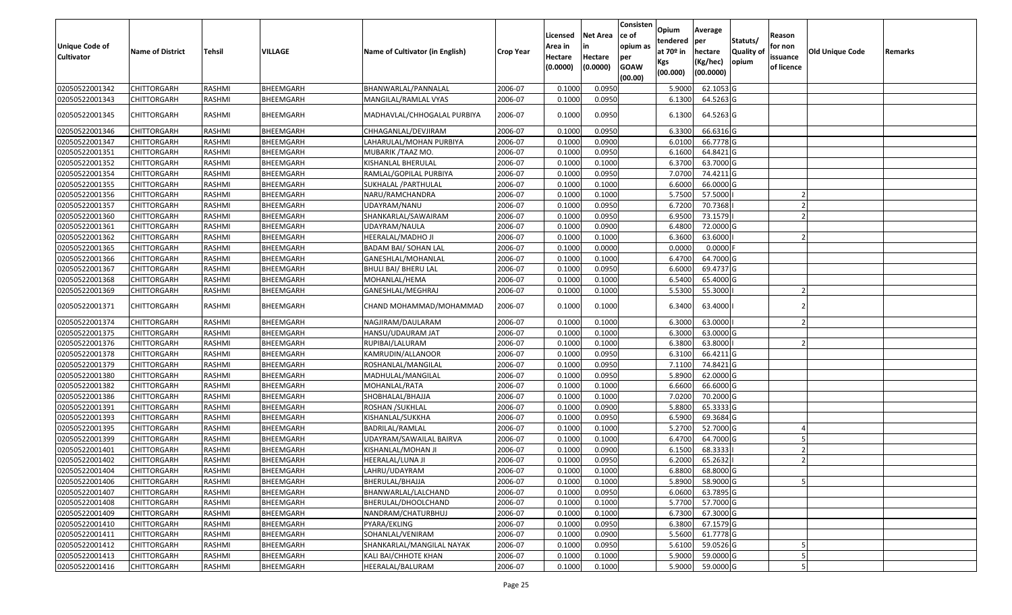| Unique Code of<br><b>Cultivator</b> | <b>Name of District</b> | Tehsil        | VILLAGE          | Name of Cultivator (in English) | <b>Crop Year</b> | Licensed<br>Area in<br>Hectare<br>(0.0000) | Net Area<br>in<br>Hectare<br>(0.0000) | Consisten<br>ce of<br>opium as<br>per<br><b>GOAW</b><br>(00.00) | Opium<br>tendered<br>at 70º in<br>Kgs<br>(00.000) | Average<br> per<br>hectare<br>(Kg/hec)<br>(00.0000) | Statuts/<br><b>Quality of</b><br>opium | Reason<br>for non<br>issuance<br>of licence | <b>Old Unique Code</b> | Remarks |
|-------------------------------------|-------------------------|---------------|------------------|---------------------------------|------------------|--------------------------------------------|---------------------------------------|-----------------------------------------------------------------|---------------------------------------------------|-----------------------------------------------------|----------------------------------------|---------------------------------------------|------------------------|---------|
| 02050522001342                      | <b>CHITTORGARH</b>      | RASHMI        | BHEEMGARH        | BHANWARLAL/PANNALAL             | 2006-07          | 0.1000                                     | 0.0950                                |                                                                 | 5.9000                                            | 62.1053 G                                           |                                        |                                             |                        |         |
| 02050522001343                      | CHITTORGARH             | RASHMI        | BHEEMGARH        | MANGILAL/RAMLAL VYAS            | 2006-07          | 0.1000                                     | 0.0950                                |                                                                 | 6.1300                                            | 64.5263 G                                           |                                        |                                             |                        |         |
| 02050522001345                      | CHITTORGARH             | RASHMI        | BHEEMGARH        | MADHAVLAL/CHHOGALAL PURBIYA     | 2006-07          | 0.1000                                     | 0.0950                                |                                                                 | 6.1300                                            | 64.5263 G                                           |                                        |                                             |                        |         |
| 02050522001346                      | <b>CHITTORGARH</b>      | RASHMI        | BHEEMGARH        | CHHAGANLAL/DEVJIRAM             | 2006-07          | 0.100(                                     | 0.0950                                |                                                                 | 6.3300                                            | 66.6316 G                                           |                                        |                                             |                        |         |
| 02050522001347                      | CHITTORGARH             | RASHMI        | BHEEMGARH        | LAHARULAL/MOHAN PURBIYA         | 2006-07          | 0.1000                                     | 0.0900                                |                                                                 | 6.0100                                            | 66.7778 G                                           |                                        |                                             |                        |         |
| 02050522001351                      | CHITTORGARH             | RASHMI        | BHEEMGARH        | MUBARIK / TAAZ MO.              | 2006-07          | 0.1000                                     | 0.0950                                |                                                                 | 6.1600                                            | 64.8421 G                                           |                                        |                                             |                        |         |
| 02050522001352                      | <b>CHITTORGARH</b>      | RASHMI        | BHEEMGARH        | KISHANLAL BHERULAL              | 2006-07          | 0.1000                                     | 0.1000                                |                                                                 | 6.3700                                            | 63.7000 G                                           |                                        |                                             |                        |         |
| 02050522001354                      | <b>CHITTORGARH</b>      | RASHMI        | BHEEMGARH        | RAMLAL/GOPILAL PURBIYA          | 2006-07          | 0.1000                                     | 0.0950                                |                                                                 | 7.0700                                            | 74.4211 G                                           |                                        |                                             |                        |         |
| 02050522001355                      | <b>CHITTORGARH</b>      | RASHMI        | BHEEMGARH        | SUKHALAL / PARTHULAL            | 2006-07          | 0.1000                                     | 0.1000                                |                                                                 | 6.6000                                            | 66.0000 G                                           |                                        |                                             |                        |         |
| 02050522001356                      | <b>CHITTORGARH</b>      | RASHMI        | BHEEMGARH        | NARU/RAMCHANDRA                 | 2006-07          | 0.1000                                     | 0.1000                                |                                                                 | 5.7500                                            | 57.5000                                             |                                        |                                             |                        |         |
| 02050522001357                      | <b>CHITTORGARH</b>      | RASHMI        | BHEEMGARH        | UDAYRAM/NANU                    | 2006-07          | 0.1000                                     | 0.0950                                |                                                                 | 6.7200                                            | 70.7368                                             |                                        |                                             |                        |         |
| 02050522001360                      | <b>CHITTORGARH</b>      | RASHMI        | BHEEMGARH        | SHANKARLAL/SAWAIRAM             | 2006-07          | 0.1000                                     | 0.0950                                |                                                                 | 6.9500                                            | 73.1579                                             |                                        |                                             |                        |         |
| 02050522001361                      | <b>CHITTORGARH</b>      | RASHMI        | BHEEMGARH        | UDAYRAM/NAULA                   | 2006-07          | 0.1000                                     | 0.0900                                |                                                                 | 6.4800                                            | 72.0000 G                                           |                                        |                                             |                        |         |
| 02050522001362                      | CHITTORGARH             | RASHMI        | BHEEMGARH        | HEERALAL/MADHO JI               | 2006-07          | 0.1000                                     | 0.1000                                |                                                                 | 6.3600                                            | 63.6000                                             |                                        |                                             |                        |         |
| 02050522001365                      | CHITTORGARH             | RASHMI        | BHEEMGARH        | <b>BADAM BAI/ SOHAN LAL</b>     | 2006-07          | 0.1000                                     | 0.0000                                |                                                                 | 0.0000                                            | $0.0000$ F                                          |                                        |                                             |                        |         |
| 02050522001366                      | CHITTORGARH             | RASHMI        | BHEEMGARH        | GANESHLAL/MOHANLAL              | 2006-07          | 0.1000                                     | 0.1000                                |                                                                 | 6.4700                                            | 64.7000 G                                           |                                        |                                             |                        |         |
| 02050522001367                      | CHITTORGARH             | RASHMI        | BHEEMGARH        | <b>BHULI BAI/ BHERU LAL</b>     | 2006-07          | 0.1000                                     | 0.0950                                |                                                                 | 6.6000                                            | 69.4737 G                                           |                                        |                                             |                        |         |
| 02050522001368                      | CHITTORGARH             | RASHMI        | BHEEMGARH        | MOHANLAL/HEMA                   | 2006-07          | 0.1000                                     | 0.1000                                |                                                                 | 6.5400                                            | 65.4000 G                                           |                                        |                                             |                        |         |
| 02050522001369                      | CHITTORGARH             | RASHMI        | BHEEMGARH        | GANESHLAL/MEGHRAJ               | 2006-07          | 0.1000                                     | 0.1000                                |                                                                 | 5.5300                                            | 55.3000                                             |                                        |                                             |                        |         |
| 02050522001371                      | CHITTORGARH             | RASHMI        | BHEEMGARH        | CHAND MOHAMMAD/MOHAMMAD         | 2006-07          | 0.1000                                     | 0.1000                                |                                                                 | 6.3400                                            | 63.4000                                             |                                        |                                             |                        |         |
| 02050522001374                      | CHITTORGARH             | RASHMI        | BHEEMGARH        | NAGJIRAM/DAULARAM               | 2006-07          | 0.1000                                     | 0.1000                                |                                                                 | 6.3000                                            | 63.0000                                             |                                        |                                             |                        |         |
| 02050522001375                      | CHITTORGARH             | RASHMI        | BHEEMGARH        | HANSU/UDAURAM JAT               | 2006-07          | 0.1000                                     | 0.1000                                |                                                                 | 6.3000                                            | 63.0000 G                                           |                                        |                                             |                        |         |
| 02050522001376                      | CHITTORGARH             | RASHMI        | BHEEMGARH        | RUPIBAI/LALURAM                 | 2006-07          | 0.1000                                     | 0.1000                                |                                                                 | 6.3800                                            | 63.8000                                             |                                        |                                             |                        |         |
| 02050522001378                      | CHITTORGARH             | RASHMI        | BHEEMGARH        | KAMRUDIN/ALLANOOR               | 2006-07          | 0.1000                                     | 0.0950                                |                                                                 | 6.3100                                            | 66.4211 G                                           |                                        |                                             |                        |         |
| 02050522001379                      | CHITTORGARH             | RASHMI        | BHEEMGARH        | ROSHANLAL/MANGILAL              | 2006-07          | 0.1000                                     | 0.0950                                |                                                                 | 7.1100                                            | 74.8421 G                                           |                                        |                                             |                        |         |
| 02050522001380                      | CHITTORGARH             | RASHMI        | BHEEMGARH        | MADHULAL/MANGILAL               | 2006-07          | 0.1000                                     | 0.0950                                |                                                                 | 5.8900                                            | 62.0000 G                                           |                                        |                                             |                        |         |
| 02050522001382                      | <b>CHITTORGARH</b>      | <b>RASHMI</b> | BHEEMGARH        | MOHANLAL/RATA                   | 2006-07          | 0.1000                                     | 0.1000                                |                                                                 | 6.6600                                            | 66.6000 G                                           |                                        |                                             |                        |         |
| 02050522001386                      | CHITTORGARH             | RASHMI        | BHEEMGARH        | SHOBHALAL/BHAJJA                | 2006-07          | 0.1000                                     | 0.1000                                |                                                                 | 7.0200                                            | 70.2000 G                                           |                                        |                                             |                        |         |
| 02050522001391                      | CHITTORGARH             | RASHMI        | BHEEMGARH        | ROSHAN / SUKHLAL                | 2006-07          | 0.1000                                     | 0.0900                                |                                                                 | 5.8800                                            | 65.3333 G                                           |                                        |                                             |                        |         |
| 02050522001393                      | <b>CHITTORGARH</b>      | RASHMI        | BHEEMGARH        | KISHANLAL/SUKKHA                | 2006-07          | 0.1000                                     | 0.0950                                |                                                                 | 6.5900                                            | 69.3684 G                                           |                                        |                                             |                        |         |
| 02050522001395                      | <b>CHITTORGARH</b>      | RASHMI        | BHEEMGARH        | BADRILAL/RAMLAL                 | 2006-07          | 0.1000                                     | 0.1000                                |                                                                 | 5.2700                                            | 52.7000 G                                           |                                        |                                             |                        |         |
| 02050522001399                      | <b>CHITTORGARH</b>      | RASHMI        | BHEEMGARH        | UDAYRAM/SAWAILAL BAIRVA         | 2006-07          | 0.1000                                     | 0.1000                                |                                                                 | 6.4700                                            | 64.7000 G                                           |                                        |                                             |                        |         |
| 02050522001401                      | CHITTORGARH             | RASHMI        | BHEEMGARH        | KISHANLAL/MOHAN JI              | 2006-07          | 0.1000                                     | 0.0900                                |                                                                 | 6.1500                                            | 68.3333                                             |                                        |                                             |                        |         |
| 02050522001402                      | <b>CHITTORGARH</b>      | RASHMI        | BHEEMGARH        | HEERALAL/LUNA JI                | 2006-07          | 0.1000                                     | 0.0950                                |                                                                 | 6.2000                                            | 65.2632                                             |                                        |                                             |                        |         |
| 02050522001404                      | <b>CHITTORGARH</b>      | RASHMI        | BHEEMGARH        | LAHRU/UDAYRAM                   | 2006-07          | 0.1000                                     | 0.1000                                |                                                                 | 6.8800                                            | 68.8000 G                                           |                                        |                                             |                        |         |
| 02050522001406                      | <b>CHITTORGARH</b>      | RASHMI        | BHEEMGARH        | BHERULAL/BHAJJA                 | 2006-07          | 0.1000                                     | 0.1000                                |                                                                 | 5.8900                                            | 58.9000 G                                           |                                        |                                             |                        |         |
| 02050522001407                      | <b>CHITTORGARH</b>      | RASHMI        | BHEEMGARH        | BHANWARLAL/LALCHAND             | 2006-07          | 0.1000                                     | 0.0950                                |                                                                 | 6.0600                                            | 63.7895 G                                           |                                        |                                             |                        |         |
| 02050522001408                      | <b>CHITTORGARH</b>      | RASHMI        | BHEEMGARH        | BHERULAL/DHOOLCHAND             | 2006-07          | 0.1000                                     | 0.1000                                |                                                                 | 5.7700                                            | 57.7000 G                                           |                                        |                                             |                        |         |
| 02050522001409                      | <b>CHITTORGARH</b>      | RASHMI        | BHEEMGARH        | NANDRAM/CHATURBHUJ              | 2006-07          | 0.1000                                     | 0.1000                                |                                                                 | 6.7300                                            | 67.3000 G                                           |                                        |                                             |                        |         |
| 02050522001410                      | <b>CHITTORGARH</b>      | RASHMI        | BHEEMGARH        | PYARA/EKLING                    | 2006-07          | 0.1000                                     | 0.0950                                |                                                                 | 6.3800                                            | 67.1579 G                                           |                                        |                                             |                        |         |
| 02050522001411                      | <b>CHITTORGARH</b>      | RASHMI        | BHEEMGARH        | SOHANLAL/VENIRAM                | 2006-07          | 0.1000                                     | 0.0900                                |                                                                 | 5.5600                                            | 61.7778 G                                           |                                        |                                             |                        |         |
| 02050522001412                      | <b>CHITTORGARH</b>      | RASHMI        | <b>BHEEMGARH</b> | SHANKARLAL/MANGILAL NAYAK       | 2006-07          | 0.1000                                     | 0.0950                                |                                                                 | 5.6100                                            | 59.0526 G                                           |                                        |                                             |                        |         |
| 02050522001413                      | <b>CHITTORGARH</b>      | RASHMI        | BHEEMGARH        | KALI BAI/CHHOTE KHAN            | 2006-07          | 0.1000                                     | 0.1000                                |                                                                 | 5.9000                                            | 59.0000 G                                           |                                        |                                             |                        |         |
| 02050522001416                      | <b>CHITTORGARH</b>      | RASHMI        | BHEEMGARH        | HEERALAL/BALURAM                | 2006-07          | 0.1000                                     | 0.1000                                |                                                                 |                                                   | 5.9000 59.0000 G                                    |                                        |                                             |                        |         |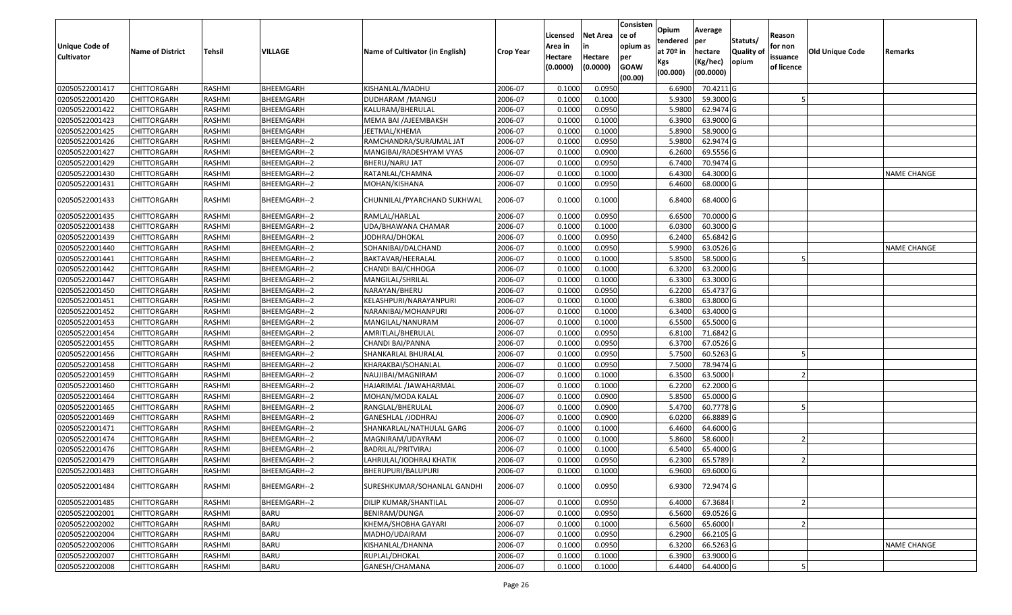|                       |                         |               |                |                                 |                  | Licensed | <b>Net Area</b> | Consisten<br>ce of | Opium<br>tendered | Average<br>per | Statuts/         | Reason     |                 |                    |
|-----------------------|-------------------------|---------------|----------------|---------------------------------|------------------|----------|-----------------|--------------------|-------------------|----------------|------------------|------------|-----------------|--------------------|
| <b>Unique Code of</b> | <b>Name of District</b> | Tehsil        | <b>VILLAGE</b> | Name of Cultivator (in English) | <b>Crop Year</b> | Area in  | in              | opium as           | at $70°$ in       | hectare        | <b>Quality o</b> | for non    | Old Unique Code | Remarks            |
| <b>Cultivator</b>     |                         |               |                |                                 |                  | Hectare  | Hectare         | per                | Kgs               | (Kg/hec)       | opium            | issuance   |                 |                    |
|                       |                         |               |                |                                 |                  | (0.0000) | (0.0000)        | <b>GOAW</b>        | (00.000)          | (00.0000)      |                  | of licence |                 |                    |
| 02050522001417        | CHITTORGARH             | RASHMI        | BHEEMGARH      | KISHANLAL/MADHU                 | 2006-07          | 0.1000   | 0.0950          | (00.00)            | 6.6900            | 70.4211G       |                  |            |                 |                    |
| 02050522001420        | CHITTORGARH             | RASHMI        | BHEEMGARH      | DUDHARAM /MANGU                 | 2006-07          | 0.1000   | 0.1000          |                    | 5.9300            | 59.3000G       |                  |            |                 |                    |
| 02050522001422        | CHITTORGARH             | RASHMI        | BHEEMGARH      | KALURAM/BHERULAL                | 2006-07          | 0.1000   | 0.0950          |                    | 5.9800            | 62.9474 G      |                  |            |                 |                    |
| 02050522001423        | <b>CHITTORGARH</b>      | RASHMI        | BHEEMGARH      | MEMA BAI /AJEEMBAKSH            | 2006-07          | 0.1000   | 0.1000          |                    | 6.3900            | 63.9000 G      |                  |            |                 |                    |
| 02050522001425        | CHITTORGARH             | RASHMI        | BHEEMGARH      | JEETMAL/KHEMA                   | 2006-07          | 0.1000   | 0.1000          |                    | 5.8900            | 58.9000 G      |                  |            |                 |                    |
| 02050522001426        | CHITTORGARH             | RASHMI        | BHEEMGARH--2   | RAMCHANDRA/SURAJMAL JAT         | 2006-07          | 0.1000   | 0.0950          |                    | 5.9800            | 62.9474 G      |                  |            |                 |                    |
| 02050522001427        | CHITTORGARH             | RASHMI        | BHEEMGARH--2   | MANGIBAI/RADESHYAM VYAS         | 2006-07          | 0.1000   | 0.0900          |                    | 6.2600            | 69.5556 G      |                  |            |                 |                    |
| 02050522001429        | CHITTORGARH             | RASHMI        | BHEEMGARH--2   | <b>BHERU/NARU JAT</b>           | 2006-07          | 0.1000   | 0.0950          |                    | 6.7400            | 70.9474 G      |                  |            |                 |                    |
| 02050522001430        | CHITTORGARH             | RASHMI        | BHEEMGARH--2   | RATANLAL/CHAMNA                 | 2006-07          | 0.1000   | 0.1000          |                    | 6.4300            | 64.3000 G      |                  |            |                 | <b>NAME CHANGE</b> |
| 02050522001431        | CHITTORGARH             | RASHMI        | BHEEMGARH--2   | MOHAN/KISHANA                   | 2006-07          | 0.1000   | 0.0950          |                    | 6.4600            | 68.0000 G      |                  |            |                 |                    |
|                       |                         |               |                |                                 |                  |          |                 |                    |                   |                |                  |            |                 |                    |
| 02050522001433        | CHITTORGARH             | RASHMI        | BHEEMGARH--2   | CHUNNILAL/PYARCHAND SUKHWAL     | 2006-07          | 0.1000   | 0.1000          |                    | 6.8400            | 68.4000 G      |                  |            |                 |                    |
| 02050522001435        | <b>CHITTORGARH</b>      | RASHMI        | BHEEMGARH--2   | RAMLAL/HARLAL                   | 2006-07          | 0.1000   | 0.0950          |                    | 6.6500            | 70.0000G       |                  |            |                 |                    |
| 02050522001438        | CHITTORGARH             | RASHMI        | BHEEMGARH--2   | UDA/BHAWANA CHAMAR              | 2006-07          | 0.1000   | 0.1000          |                    | 6.0300            | 60.3000 G      |                  |            |                 |                    |
| 02050522001439        | CHITTORGARH             | RASHMI        | BHEEMGARH--2   | JODHRAJ/DHOKAL                  | 2006-07          | 0.1000   | 0.0950          |                    | 6.2400            | 65.6842 G      |                  |            |                 |                    |
| 02050522001440        | CHITTORGARH             | RASHMI        | BHEEMGARH--2   | SOHANIBAI/DALCHAND              | 2006-07          | 0.1000   | 0.0950          |                    | 5.9900            | 63.0526 G      |                  |            |                 | <b>NAME CHANGE</b> |
| 02050522001441        | CHITTORGARH             | RASHMI        | BHEEMGARH--2   | BAKTAVAR/HEERALAL               | 2006-07          | 0.1000   | 0.1000          |                    | 5.8500            | 58.5000G       |                  |            |                 |                    |
| 02050522001442        | CHITTORGARH             | RASHMI        | BHEEMGARH--2   | CHANDI BAI/CHHOGA               | 2006-07          | 0.1000   | 0.1000          |                    | 6.3200            | 63.2000 G      |                  |            |                 |                    |
| 02050522001447        | CHITTORGARH             | RASHMI        | BHEEMGARH--2   | MANGILAL/SHRILAL                | 2006-07          | 0.1000   | 0.1000          |                    | 6.3300            | 63.3000 G      |                  |            |                 |                    |
| 02050522001450        | CHITTORGARH             | RASHMI        | BHEEMGARH--2   | NARAYAN/BHERU                   | 2006-07          | 0.1000   | 0.0950          |                    | 6.2200            | 65.4737 G      |                  |            |                 |                    |
| 02050522001451        | CHITTORGARH             | RASHMI        | BHEEMGARH--2   | KELASHPURI/NARAYANPURI          | 2006-07          | 0.1000   | 0.1000          |                    | 6.3800            | 63.8000 G      |                  |            |                 |                    |
| 02050522001452        | CHITTORGARH             | RASHMI        | BHEEMGARH--2   | NARANIBAI/MOHANPURI             | 2006-07          | 0.1000   | 0.1000          |                    | 6.3400            | 63.4000 G      |                  |            |                 |                    |
| 02050522001453        | CHITTORGARH             | RASHMI        | BHEEMGARH--2   | MANGILAL/NANURAM                | 2006-07          | 0.1000   | 0.1000          |                    | 6.5500            | 65.5000G       |                  |            |                 |                    |
| 02050522001454        | CHITTORGARH             | RASHMI        | BHEEMGARH--2   | AMRITLAL/BHERULAL               | 2006-07          | 0.1000   | 0.0950          |                    | 6.8100            | 71.6842 G      |                  |            |                 |                    |
| 02050522001455        | CHITTORGARH             | RASHMI        | BHEEMGARH--2   | CHANDI BAI/PANNA                | 2006-07          | 0.1000   | 0.0950          |                    | 6.3700            | 67.0526 G      |                  |            |                 |                    |
| 02050522001456        | CHITTORGARH             | RASHMI        | BHEEMGARH--2   | SHANKARLAL BHURALAL             | 2006-07          | 0.1000   | 0.0950          |                    | 5.7500            | 60.5263 G      |                  |            |                 |                    |
| 02050522001458        | CHITTORGARH             | RASHMI        | BHEEMGARH--2   | KHARAKBAI/SOHANLAL              | 2006-07          | 0.1000   | 0.0950          |                    | 7.5000            | 78.9474 G      |                  |            |                 |                    |
| 02050522001459        | CHITTORGARH             | RASHMI        | BHEEMGARH--2   | NAUJIBAI/MAGNIRAM               | 2006-07          | 0.1000   | 0.1000          |                    | 6.3500            | 63.5000        |                  |            |                 |                    |
| 02050522001460        | <b>CHITTORGARH</b>      | <b>RASHMI</b> | BHEEMGARH--2   | HAJARIMAL /JAWAHARMAL           | 2006-07          | 0.1000   | 0.1000          |                    | 6.2200            | 62.2000 G      |                  |            |                 |                    |
| 02050522001464        | CHITTORGARH             | RASHMI        | BHEEMGARH--2   | MOHAN/MODA KALAL                | 2006-07          | 0.1000   | 0.0900          |                    | 5.8500            | 65.0000G       |                  |            |                 |                    |
| 02050522001465        | CHITTORGARH             | RASHMI        | BHEEMGARH--2   | RANGLAL/BHERULAL                | 2006-07          | 0.1000   | 0.0900          |                    | 5.4700            | 60.7778 G      |                  |            |                 |                    |
| 02050522001469        | CHITTORGARH             | RASHMI        | BHEEMGARH--2   | GANESHLAL /JODHRAJ              | 2006-07          | 0.1000   | 0.0900          |                    | 6.0200            | 66.8889 G      |                  |            |                 |                    |
| 02050522001471        | <b>CHITTORGARH</b>      | RASHMI        | BHEEMGARH--2   | SHANKARLAL/NATHULAL GARG        | 2006-07          | 0.1000   | 0.1000          |                    | 6.4600            | 64.6000 G      |                  |            |                 |                    |
| 02050522001474        | <b>CHITTORGARH</b>      | RASHMI        | BHEEMGARH--2   | MAGNIRAM/UDAYRAM                | 2006-07          | 0.1000   | 0.1000          |                    | 5.8600            | 58.6000        |                  |            |                 |                    |
| 02050522001476        | CHITTORGARH             | RASHMI        | BHEEMGARH--2   | BADRILAL/PRITVIRAJ              | 2006-07          | 0.100    | 0.1000          |                    | 6.5400            | 65.4000 G      |                  |            |                 |                    |
| 02050522001479        | CHITTORGARH             | RASHMI        | BHEEMGARH--2   | LAHRULAL/JODHRAJ KHATIK         | 2006-07          | 0.1000   | 0.0950          |                    | 6.2300            | 65.5789        |                  |            |                 |                    |
| 02050522001483        | CHITTORGARH             | RASHMI        | BHEEMGARH--2   | BHERUPURI/BALUPURI              | 2006-07          | 0.1000   | 0.1000          |                    | 6.9600            | 69.6000 G      |                  |            |                 |                    |
| 02050522001484        | <b>CHITTORGARH</b>      | RASHMI        | BHEEMGARH--2   | SURESHKUMAR/SOHANLAL GANDHI     | 2006-07          | 0.1000   | 0.0950          |                    | 6.9300            | 72.9474 G      |                  |            |                 |                    |
| 02050522001485        | <b>CHITTORGARH</b>      | RASHMI        | BHEEMGARH--2   | DILIP KUMAR/SHANTILAL           | 2006-07          | 0.1000   | 0.0950          |                    | 6.4000            | 67.3684        |                  |            |                 |                    |
| 02050522002001        | <b>CHITTORGARH</b>      | RASHMI        | <b>BARU</b>    | BENIRAM/DUNGA                   | 2006-07          | 0.1000   | 0.0950          |                    | 6.5600            | 69.0526 G      |                  |            |                 |                    |
| 02050522002002        | <b>CHITTORGARH</b>      | RASHMI        | <b>BARU</b>    | KHEMA/SHOBHA GAYARI             | 2006-07          | 0.1000   | 0.1000          |                    | 6.5600            | 65.6000        |                  |            |                 |                    |
| 02050522002004        | <b>CHITTORGARH</b>      | RASHMI        | <b>BARU</b>    | MADHO/UDAIRAM                   | 2006-07          | 0.1000   | 0.0950          |                    | 6.2900            | 66.2105 G      |                  |            |                 |                    |
| 02050522002006        | <b>CHITTORGARH</b>      | RASHMI        | <b>BARU</b>    | KISHANLAL/DHANNA                | 2006-07          | 0.1000   | 0.0950          |                    | 6.3200            | 66.5263 G      |                  |            |                 | <b>NAME CHANGE</b> |
| 02050522002007        | CHITTORGARH             | RASHMI        | <b>BARU</b>    | RUPLAL/DHOKAL                   | 2006-07          | 0.1000   | 0.1000          |                    | 6.3900            | 63.9000 G      |                  |            |                 |                    |
| 02050522002008        | <b>CHITTORGARH</b>      | RASHMI        | <b>BARU</b>    | GANESH/CHAMANA                  | 2006-07          | 0.1000   | 0.1000          |                    | 6.4400            | 64.4000 G      |                  |            |                 |                    |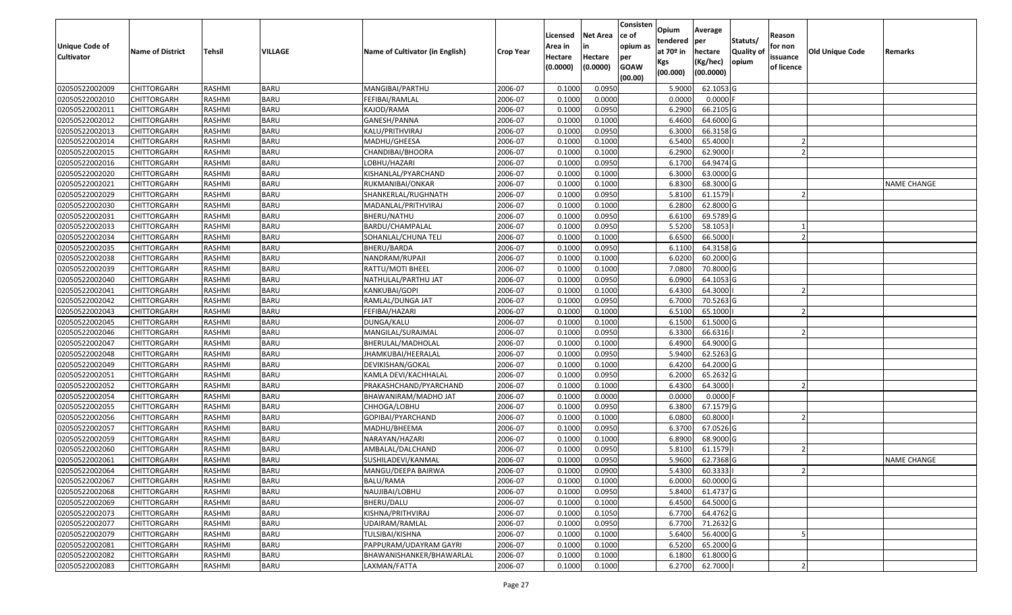| <b>Unique Code of</b><br><b>Cultivator</b> | <b>Name of District</b> | <b>Tehsil</b> | <b>VILLAGE</b> | Name of Cultivator (in English) | <b>Crop Year</b> | Licensed<br>Area in<br>Hectare<br>(0.0000) | <b>Net Area</b><br>in<br>Hectare<br>(0.0000) | Consisten<br>ce of<br>opium as<br>per<br><b>GOAW</b><br>(00.00) | Opium<br>tendered<br>at 70º in<br>Kgs<br>(00.000) | Average<br>per<br>hectare<br>(Kg/hec)<br>(00.0000) | Statuts/<br>Quality of<br>opium | Reason<br>for non<br>issuance<br>of licence | <b>Old Unique Code</b> | Remarks            |
|--------------------------------------------|-------------------------|---------------|----------------|---------------------------------|------------------|--------------------------------------------|----------------------------------------------|-----------------------------------------------------------------|---------------------------------------------------|----------------------------------------------------|---------------------------------|---------------------------------------------|------------------------|--------------------|
| 02050522002009                             | <b>CHITTORGARH</b>      | RASHMI        | <b>BARU</b>    | MANGIBAI/PARTHU                 | 2006-07          | 0.1000                                     | 0.0950                                       |                                                                 | 5.9000                                            | 62.1053 G                                          |                                 |                                             |                        |                    |
| 02050522002010                             | <b>CHITTORGARH</b>      | RASHMI        | <b>BARU</b>    | FEFIBAI/RAMLAL                  | 2006-07          | 0.1000                                     | 0.0000                                       |                                                                 | 0.0000                                            | $0.0000$ F                                         |                                 |                                             |                        |                    |
| 02050522002011                             | <b>CHITTORGARH</b>      | <b>RASHMI</b> | <b>BARU</b>    | KAJOD/RAMA                      | 2006-07          | 0.1000                                     | 0.0950                                       |                                                                 | 6.2900                                            | 66.2105 G                                          |                                 |                                             |                        |                    |
| 02050522002012                             | <b>CHITTORGARH</b>      | <b>RASHMI</b> | <b>BARU</b>    | GANESH/PANNA                    | 2006-07          | 0.1000                                     | 0.1000                                       |                                                                 | 6.4600                                            | 64.6000G                                           |                                 |                                             |                        |                    |
| 02050522002013                             | <b>CHITTORGARH</b>      | <b>RASHMI</b> | <b>BARU</b>    | KALU/PRITHVIRAJ                 | 2006-07          | 0.1000                                     | 0.0950                                       |                                                                 | 6.3000                                            | 66.3158 G                                          |                                 |                                             |                        |                    |
| 02050522002014                             | <b>CHITTORGARH</b>      | RASHMI        | <b>BARU</b>    | MADHU/GHEESA                    | 2006-07          | 0.1000                                     | 0.1000                                       |                                                                 | 6.5400                                            | 65.4000                                            |                                 |                                             |                        |                    |
| 02050522002015                             | <b>CHITTORGARH</b>      | <b>RASHMI</b> | <b>BARU</b>    | CHANDIBAI/BHOORA                | 2006-07          | 0.1000                                     | 0.1000                                       |                                                                 | 6.2900                                            | 62.9000                                            |                                 |                                             |                        |                    |
| 02050522002016                             | <b>CHITTORGARH</b>      | <b>RASHMI</b> | <b>BARU</b>    | LOBHU/HAZARI                    | 2006-07          | 0.1000                                     | 0.0950                                       |                                                                 | 6.1700                                            | 64.9474 G                                          |                                 |                                             |                        |                    |
| 02050522002020                             | <b>CHITTORGARH</b>      | RASHMI        | <b>BARU</b>    | KISHANLAL/PYARCHAND             | 2006-07          | 0.1000                                     | 0.1000                                       |                                                                 | 6.3000                                            | 63.0000 G                                          |                                 |                                             |                        |                    |
| 02050522002021                             | <b>CHITTORGARH</b>      | RASHMI        | <b>BARU</b>    | RUKMANIBAI/ONKAR                | 2006-07          | 0.1000                                     | 0.1000                                       |                                                                 | 6.8300                                            | 68.3000 G                                          |                                 |                                             |                        | <b>NAME CHANGE</b> |
| 02050522002029                             | <b>CHITTORGARH</b>      | <b>RASHMI</b> | <b>BARU</b>    | SHANKERLAL/RUGHNATH             | 2006-07          | 0.1000                                     | 0.0950                                       |                                                                 | 5.8100                                            | 61.1579                                            |                                 |                                             |                        |                    |
| 02050522002030                             | <b>CHITTORGARH</b>      | <b>RASHMI</b> | <b>BARU</b>    | MADANLAL/PRITHVIRAJ             | 2006-07          | 0.1000                                     | 0.1000                                       |                                                                 | 6.2800                                            | 62.8000 G                                          |                                 |                                             |                        |                    |
| 02050522002031                             | <b>CHITTORGARH</b>      | <b>RASHMI</b> | <b>BARU</b>    | BHERU/NATHU                     | 2006-07          | 0.1000                                     | 0.0950                                       |                                                                 | 6.6100                                            | 69.5789 G                                          |                                 |                                             |                        |                    |
| 02050522002033                             | <b>CHITTORGARH</b>      | <b>RASHMI</b> | <b>BARU</b>    | BARDU/CHAMPALAL                 | 2006-07          | 0.1000                                     | 0.0950                                       |                                                                 | 5.5200                                            | 58.1053                                            |                                 |                                             |                        |                    |
| 02050522002034                             | CHITTORGARH             | RASHMI        | <b>BARU</b>    | SOHANLAL/CHUNA TELI             | 2006-07          | 0.1000                                     | 0.1000                                       |                                                                 | 6.6500                                            | 66.5000                                            |                                 |                                             |                        |                    |
| 02050522002035                             | <b>CHITTORGARH</b>      | <b>RASHMI</b> | <b>BARU</b>    | BHERU/BARDA                     | 2006-07          | 0.1000                                     | 0.0950                                       |                                                                 | 6.1100                                            | 64.3158 G                                          |                                 |                                             |                        |                    |
| 02050522002038                             | <b>CHITTORGARH</b>      | <b>RASHMI</b> | <b>BARU</b>    | NANDRAM/RUPAJI                  | 2006-07          | 0.1000                                     | 0.1000                                       |                                                                 | 6.0200                                            | 60.2000 G                                          |                                 |                                             |                        |                    |
| 02050522002039                             | <b>CHITTORGARH</b>      | <b>RASHMI</b> | <b>BARU</b>    | RATTU/MOTI BHEEL                | 2006-07          | 0.1000                                     | 0.1000                                       |                                                                 | 7.0800                                            | 70.8000 G                                          |                                 |                                             |                        |                    |
| 02050522002040                             | <b>CHITTORGARH</b>      | RASHMI        | <b>BARU</b>    | NATHULAL/PARTHU JAT             | 2006-07          | 0.1000                                     | 0.0950                                       |                                                                 | 6.0900                                            | 64.1053 G                                          |                                 |                                             |                        |                    |
| 02050522002041                             | <b>CHITTORGARH</b>      | <b>RASHMI</b> | <b>BARU</b>    | KANKUBAI/GOPI                   | 2006-07          | 0.1000                                     | 0.1000                                       |                                                                 | 6.4300                                            | 64.3000                                            |                                 |                                             |                        |                    |
| 02050522002042                             | <b>CHITTORGARH</b>      | <b>RASHMI</b> | <b>BARU</b>    | RAMLAL/DUNGA JAT                | 2006-07          | 0.1000                                     | 0.0950                                       |                                                                 | 6.7000                                            | 70.5263 G                                          |                                 |                                             |                        |                    |
| 02050522002043                             | <b>CHITTORGARH</b>      | RASHMI        | <b>BARU</b>    | FEFIBAI/HAZARI                  | 2006-07          | 0.1000                                     | 0.1000                                       |                                                                 | 6.5100                                            | 65.1000                                            |                                 |                                             |                        |                    |
| 02050522002045                             | <b>CHITTORGARH</b>      | RASHMI        | <b>BARU</b>    | DUNGA/KALU                      | 2006-07          | 0.1000                                     | 0.1000                                       |                                                                 | 6.1500                                            | 61.5000 G                                          |                                 |                                             |                        |                    |
| 02050522002046                             | <b>CHITTORGARH</b>      | <b>RASHMI</b> | <b>BARU</b>    | MANGILAL/SURAJMAL               | 2006-07          | 0.1000                                     | 0.0950                                       |                                                                 | 6.3300                                            | 66.6316                                            |                                 |                                             |                        |                    |
| 02050522002047                             | <b>CHITTORGARH</b>      | <b>RASHMI</b> | <b>BARU</b>    | BHERULAL/MADHOLAL               | 2006-07          | 0.1000                                     | 0.1000                                       |                                                                 | 6.4900                                            | 64.9000 G                                          |                                 |                                             |                        |                    |
| 02050522002048                             | <b>CHITTORGARH</b>      | RASHMI        | <b>BARU</b>    | JHAMKUBAI/HEERALAL              | 2006-07          | 0.1000                                     | 0.0950                                       |                                                                 | 5.9400                                            | 62.5263 G                                          |                                 |                                             |                        |                    |
| 02050522002049                             | <b>CHITTORGARH</b>      | RASHMI        | <b>BARU</b>    | DEVIKISHAN/GOKAL                | 2006-07          | 0.1000                                     | 0.1000                                       |                                                                 | 6.4200                                            | 64.2000 G                                          |                                 |                                             |                        |                    |
| 02050522002051                             | <b>CHITTORGARH</b>      | <b>RASHMI</b> | <b>BARU</b>    | KAMLA DEVI/KACHHALAL            | 2006-07          | 0.1000                                     | 0.0950                                       |                                                                 | 6.2000                                            | 65.2632 G                                          |                                 |                                             |                        |                    |
| 02050522002052                             | <b>CHITTORGARH</b>      | <b>RASHMI</b> | <b>BARU</b>    | PRAKASHCHAND/PYARCHAND          | 2006-07          | 0.1000                                     | 0.1000                                       |                                                                 | 6.4300                                            | 64.3000                                            |                                 |                                             |                        |                    |
| 02050522002054                             | <b>CHITTORGARH</b>      | <b>RASHMI</b> | <b>BARU</b>    | BHAWANIRAM/MADHO JAT            | 2006-07          | 0.1000                                     | 0.0000                                       |                                                                 | 0.0000                                            | 0.0000                                             |                                 |                                             |                        |                    |
| 02050522002055                             | <b>CHITTORGARH</b>      | RASHMI        | <b>BARU</b>    | CHHOGA/LOBHU                    | 2006-07          | 0.1000                                     | 0.0950                                       |                                                                 | 6.3800                                            | 67.1579 G                                          |                                 |                                             |                        |                    |
| 02050522002056                             | <b>CHITTORGARH</b>      | RASHMI        | <b>BARU</b>    | GOPIBAI/PYARCHAND               | 2006-07          | 0.1000                                     | 0.1000                                       |                                                                 | 6.0800                                            | 60.8000                                            |                                 |                                             |                        |                    |
| 02050522002057                             | <b>CHITTORGARH</b>      | <b>RASHMI</b> | <b>BARU</b>    | MADHU/BHEEMA                    | 2006-07          | 0.1000                                     | 0.0950                                       |                                                                 | 6.3700                                            | 67.0526 G                                          |                                 |                                             |                        |                    |
| 02050522002059                             | <b>CHITTORGARH</b>      | RASHMI        | <b>BARU</b>    | NARAYAN/HAZARI                  | 2006-07          | 0.100                                      | 0.1000                                       |                                                                 | 6.8900                                            | 68.9000 G                                          |                                 |                                             |                        |                    |
| 02050522002060                             | CHITTORGARH             | RASHMI        | <b>BARU</b>    | AMBALAL/DALCHAND                | 2006-07          | 0.1000                                     | 0.0950                                       |                                                                 | 5.8100                                            | 61.1579                                            |                                 |                                             |                        |                    |
| 02050522002061                             | <b>CHITTORGARH</b>      | RASHMI        | <b>BARU</b>    | SUSHILADEVI/KANMAL              | 2006-07          | 0.1000                                     | 0.0950                                       |                                                                 | 5.9600                                            | 62.7368 G                                          |                                 |                                             |                        | <b>NAME CHANGE</b> |
| 02050522002064                             | <b>CHITTORGARH</b>      | RASHMI        | <b>BARU</b>    | MANGU/DEEPA BAIRWA              | 2006-07          | 0.1000                                     | 0.0900                                       |                                                                 | 5.4300                                            | 60.33331                                           |                                 |                                             |                        |                    |
| 02050522002067                             | <b>CHITTORGARH</b>      | RASHMI        | <b>BARU</b>    | BALU/RAMA                       | 2006-07          | 0.1000                                     | 0.1000                                       |                                                                 | 6.0000                                            | 60.0000 G                                          |                                 |                                             |                        |                    |
| 02050522002068                             | <b>CHITTORGARH</b>      | RASHMI        | <b>BARU</b>    | NAUJIBAI/LOBHU                  | 2006-07          | 0.1000                                     | 0.0950                                       |                                                                 | 5.8400                                            | 61.4737 G                                          |                                 |                                             |                        |                    |
| 02050522002069                             | <b>CHITTORGARH</b>      | RASHMI        | <b>BARU</b>    | BHERU/DALU                      | 2006-07          | 0.1000                                     | 0.1000                                       |                                                                 | 6.4500                                            | 64.5000 G                                          |                                 |                                             |                        |                    |
| 02050522002073                             | <b>CHITTORGARH</b>      | RASHMI        | <b>BARU</b>    | KISHNA/PRITHVIRAJ               | 2006-07          | 0.1000                                     | 0.1050                                       |                                                                 | 6.7700                                            | 64.4762 G                                          |                                 |                                             |                        |                    |
| 02050522002077                             | <b>CHITTORGARH</b>      | RASHMI        | <b>BARU</b>    | UDAIRAM/RAMLAL                  | 2006-07          | 0.1000                                     | 0.0950                                       |                                                                 | 6.7700                                            | 71.2632 G                                          |                                 |                                             |                        |                    |
| 02050522002079                             | <b>CHITTORGARH</b>      | RASHMI        | <b>BARU</b>    | TULSIBAI/KISHNA                 | 2006-07          | 0.1000                                     | 0.1000                                       |                                                                 | 5.6400                                            | 56.4000 G                                          |                                 |                                             |                        |                    |
| 02050522002081                             | <b>CHITTORGARH</b>      | RASHMI        | <b>BARU</b>    | PAPPURAM/UDAYRAM GAYRI          | 2006-07          | 0.1000                                     | 0.1000                                       |                                                                 | 6.5200                                            | 65.2000 G                                          |                                 |                                             |                        |                    |
| 02050522002082                             | <b>CHITTORGARH</b>      | RASHMI        | <b>BARU</b>    | BHAWANISHANKER/BHAWARLAL        | 2006-07          | 0.1000                                     | 0.1000                                       |                                                                 | 6.1800                                            | 61.8000 G                                          |                                 |                                             |                        |                    |
| 02050522002083                             | <b>CHITTORGARH</b>      | RASHMI        | <b>BARU</b>    | LAXMAN/FATTA                    | 2006-07          | 0.1000                                     | 0.1000                                       |                                                                 | 6.2700                                            | 62.7000                                            |                                 |                                             |                        |                    |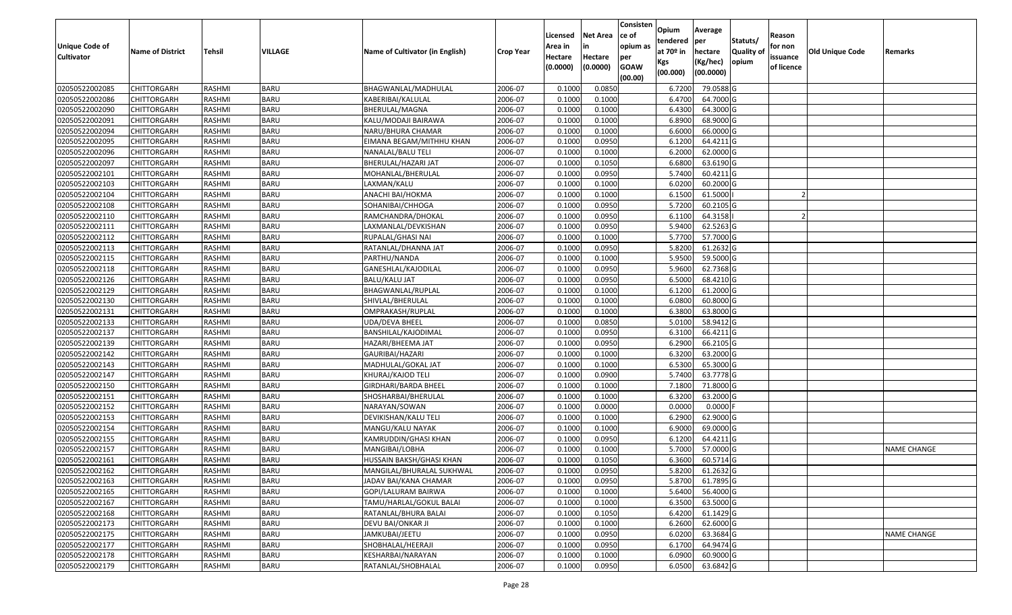| Unique Code of<br><b>Cultivator</b> | <b>Name of District</b> | <b>Tehsil</b> | VILLAGE     | Name of Cultivator (in English) | <b>Crop Year</b> | Licensed<br>Area in<br>Hectare<br>(0.0000) | <b>Net Area</b><br>in<br>Hectare<br>(0.0000) | Consisten<br>ce of<br>opium as<br>per<br><b>GOAW</b><br>(00.00) | Opium<br>tendered<br>at 70º in<br>Kgs<br>(00.000) | Average<br>per<br>hectare<br>(Kg/hec)<br>(00.0000) | Statuts/<br>Quality of<br>opium | Reason<br>for non<br>issuance<br>of licence | <b>Old Unique Code</b> | Remarks            |
|-------------------------------------|-------------------------|---------------|-------------|---------------------------------|------------------|--------------------------------------------|----------------------------------------------|-----------------------------------------------------------------|---------------------------------------------------|----------------------------------------------------|---------------------------------|---------------------------------------------|------------------------|--------------------|
| 02050522002085                      | <b>CHITTORGARH</b>      | RASHMI        | <b>BARU</b> | BHAGWANLAL/MADHULAL             | 2006-07          | 0.1000                                     | 0.0850                                       |                                                                 | 6.7200                                            | 79.0588G                                           |                                 |                                             |                        |                    |
| 02050522002086                      | CHITTORGARH             | RASHMI        | <b>BARU</b> | KABERIBAI/KALULAL               | 2006-07          | 0.1000                                     | 0.1000                                       |                                                                 | 6.4700                                            | 64.7000 G                                          |                                 |                                             |                        |                    |
| 02050522002090                      | CHITTORGARH             | RASHMI        | <b>BARU</b> | BHERULAL/MAGNA                  | 2006-07          | 0.1000                                     | 0.1000                                       |                                                                 | 6.4300                                            | 64.3000 G                                          |                                 |                                             |                        |                    |
| 02050522002091                      | CHITTORGARH             | RASHMI        | <b>BARU</b> | KALU/MODAJI BAIRAWA             | 2006-07          | 0.1000                                     | 0.1000                                       |                                                                 | 6.8900                                            | 68.9000 G                                          |                                 |                                             |                        |                    |
| 02050522002094                      | CHITTORGARH             | RASHMI        | <b>BARU</b> | NARU/BHURA CHAMAR               | 2006-07          | 0.1000                                     | 0.1000                                       |                                                                 | 6.6000                                            | 66.0000G                                           |                                 |                                             |                        |                    |
| 02050522002095                      | CHITTORGARH             | RASHMI        | <b>BARU</b> | EIMANA BEGAM/MITHHU KHAN        | 2006-07          | 0.1000                                     | 0.0950                                       |                                                                 | 6.1200                                            | 64.4211 G                                          |                                 |                                             |                        |                    |
| 02050522002096                      | CHITTORGARH             | RASHMI        | <b>BARU</b> | NANALAL/BALU TELI               | 2006-07          | 0.1000                                     | 0.1000                                       |                                                                 | 6.2000                                            | 62.0000 G                                          |                                 |                                             |                        |                    |
| 02050522002097                      | <b>CHITTORGARH</b>      | <b>RASHMI</b> | <b>BARU</b> | BHERULAL/HAZARI JAT             | 2006-07          | 0.1000                                     | 0.1050                                       |                                                                 | 6.6800                                            | 63.6190 G                                          |                                 |                                             |                        |                    |
| 02050522002101                      | CHITTORGARH             | RASHMI        | <b>BARU</b> | MOHANLAL/BHERULAL               | 2006-07          | 0.1000                                     | 0.0950                                       |                                                                 | 5.7400                                            | $60.4211$ G                                        |                                 |                                             |                        |                    |
| 02050522002103                      | <b>CHITTORGARH</b>      | RASHMI        | <b>BARU</b> | LAXMAN/KALU                     | 2006-07          | 0.1000                                     | 0.1000                                       |                                                                 | 6.0200                                            | 60.2000 G                                          |                                 |                                             |                        |                    |
| 02050522002104                      | CHITTORGARH             | RASHMI        | <b>BARU</b> | ANACHI BAI/HOKMA                | 2006-07          | 0.1000                                     | 0.1000                                       |                                                                 | 6.1500                                            | 61.5000                                            |                                 |                                             |                        |                    |
| 02050522002108                      | CHITTORGARH             | RASHMI        | <b>BARU</b> | SOHANIBAI/CHHOGA                | 2006-07          | 0.1000                                     | 0.0950                                       |                                                                 | 5.7200                                            | 60.2105 G                                          |                                 |                                             |                        |                    |
| 02050522002110                      | <b>CHITTORGARH</b>      | RASHMI        | <b>BARU</b> | RAMCHANDRA/DHOKAL               | 2006-07          | 0.1000                                     | 0.0950                                       |                                                                 | 6.1100                                            | 64.3158                                            |                                 |                                             |                        |                    |
| 02050522002111                      | <b>CHITTORGARH</b>      | RASHMI        | <b>BARU</b> | LAXMANLAL/DEVKISHAN             | 2006-07          | 0.1000                                     | 0.0950                                       |                                                                 | 5.9400                                            | 62.5263 G                                          |                                 |                                             |                        |                    |
| 02050522002112                      | CHITTORGARH             | RASHMI        | <b>BARU</b> | RUPALAL/GHASI NAI               | 2006-07          | 0.1000                                     | 0.1000                                       |                                                                 | 5.7700                                            | 57.7000 G                                          |                                 |                                             |                        |                    |
| 02050522002113                      | <b>CHITTORGARH</b>      | RASHMI        | <b>BARU</b> | RATANLAL/DHANNA JAT             | 2006-07          | 0.1000                                     | 0.0950                                       |                                                                 | 5.8200                                            | 61.2632 G                                          |                                 |                                             |                        |                    |
| 02050522002115                      | <b>CHITTORGARH</b>      | RASHMI        | <b>BARU</b> | PARTHU/NANDA                    | 2006-07          | 0.1000                                     | 0.1000                                       |                                                                 | 5.9500                                            | 59.5000G                                           |                                 |                                             |                        |                    |
| 02050522002118                      | <b>CHITTORGARH</b>      | RASHMI        | <b>BARU</b> | GANESHLAL/KAJODILAL             | 2006-07          | 0.100                                      | 0.0950                                       |                                                                 | 5.9600                                            | 62.7368 G                                          |                                 |                                             |                        |                    |
| 02050522002126                      | CHITTORGARH             | RASHMI        | <b>BARU</b> | BALU/KALU JAT                   | 2006-07          | 0.1000                                     | 0.0950                                       |                                                                 | 6.5000                                            | 68.4210 G                                          |                                 |                                             |                        |                    |
| 02050522002129                      | <b>CHITTORGARH</b>      | RASHMI        | <b>BARU</b> | BHAGWANLAL/RUPLAL               | 2006-07          | 0.1000                                     | 0.1000                                       |                                                                 | 6.1200                                            | 61.2000 G                                          |                                 |                                             |                        |                    |
| 02050522002130                      | <b>CHITTORGARH</b>      | RASHMI        | <b>BARU</b> | SHIVLAL/BHERULAL                | 2006-07          | 0.1000                                     | 0.1000                                       |                                                                 | 6.0800                                            | 60.8000 G                                          |                                 |                                             |                        |                    |
| 02050522002131                      | <b>CHITTORGARH</b>      | RASHMI        | <b>BARU</b> | OMPRAKASH/RUPLAL                | 2006-07          | 0.1000                                     | 0.1000                                       |                                                                 | 6.3800                                            | 63.8000 G                                          |                                 |                                             |                        |                    |
| 02050522002133                      | CHITTORGARH             | RASHMI        | <b>BARU</b> | UDA/DEVA BHEEL                  | 2006-07          | 0.1000                                     | 0.0850                                       |                                                                 | 5.0100                                            | 58.9412 G                                          |                                 |                                             |                        |                    |
| 02050522002137                      | <b>CHITTORGARH</b>      | RASHMI        | <b>BARU</b> | BANSHILAL/KAJODIMAL             | 2006-07          | 0.1000                                     | 0.0950                                       |                                                                 | 6.3100                                            | 66.4211 G                                          |                                 |                                             |                        |                    |
| 02050522002139                      | CHITTORGARH             | RASHMI        | <b>BARU</b> | HAZARI/BHEEMA JAT               | 2006-07          | 0.1000                                     | 0.0950                                       |                                                                 | 6.2900                                            | 66.2105 G                                          |                                 |                                             |                        |                    |
| 02050522002142                      | CHITTORGARH             | RASHMI        | <b>BARU</b> | GAURIBAI/HAZARI                 | 2006-07          | 0.1000                                     | 0.1000                                       |                                                                 | 6.3200                                            | 63.2000G                                           |                                 |                                             |                        |                    |
| 02050522002143                      | CHITTORGARH             | RASHMI        | <b>BARU</b> | MADHULAL/GOKAL JAT              | 2006-07          | 0.100                                      | 0.1000                                       |                                                                 | 6.5300                                            | 65.3000 G                                          |                                 |                                             |                        |                    |
| 02050522002147                      | CHITTORGARH             | RASHMI        | <b>BARU</b> | KHURAJ/KAJOD TELI               | 2006-07          | 0.1000                                     | 0.0900                                       |                                                                 | 5.7400                                            | 63.7778 G                                          |                                 |                                             |                        |                    |
| 02050522002150                      | CHITTORGARH             | RASHMI        | <b>BARU</b> | GIRDHARI/BARDA BHEEL            | 2006-07          | 0.1000                                     | 0.1000                                       |                                                                 | 7.1800                                            | 71.8000 G                                          |                                 |                                             |                        |                    |
| 02050522002151                      | <b>CHITTORGARH</b>      | RASHMI        | <b>BARU</b> | SHOSHARBAI/BHERULAL             | 2006-07          | 0.1000                                     | 0.1000                                       |                                                                 | 6.3200                                            | 63.2000 G                                          |                                 |                                             |                        |                    |
| 02050522002152                      | CHITTORGARH             | RASHMI        | <b>BARU</b> | NARAYAN/SOWAN                   | 2006-07          | 0.1000                                     | 0.0000                                       |                                                                 | 0.0000                                            | $0.0000$ F                                         |                                 |                                             |                        |                    |
| 02050522002153                      | CHITTORGARH             | RASHMI        | <b>BARU</b> | DEVIKISHAN/KALU TELI            | 2006-07          | 0.1000                                     | 0.1000                                       |                                                                 | 6.2900                                            | 62.9000 G                                          |                                 |                                             |                        |                    |
| 02050522002154                      | CHITTORGARH             | RASHMI        | <b>BARU</b> | MANGU/KALU NAYAK                | 2006-07          | 0.1000                                     | 0.1000                                       |                                                                 | 6.9000                                            | 69.0000G                                           |                                 |                                             |                        |                    |
| 02050522002155                      | CHITTORGARH             | RASHMI        | <b>BARU</b> | KAMRUDDIN/GHASI KHAN            | 2006-07          | 0.1000                                     | 0.0950                                       |                                                                 | 6.1200                                            | 64.4211G                                           |                                 |                                             |                        |                    |
| 02050522002157                      | CHITTORGARH             | RASHMI        | <b>BARU</b> | MANGIBAI/LOBHA                  | 2006-07          | 0.1000                                     | 0.1000                                       |                                                                 | 5.7000                                            | 57.0000G                                           |                                 |                                             |                        | <b>NAME CHANGE</b> |
| 02050522002161                      | CHITTORGARH             | RASHMI        | <b>BARU</b> | HUSSAIN BAKSH/GHASI KHAN        | 2006-07          | 0.1000                                     | 0.1050                                       |                                                                 | 6.3600                                            | 60.5714 G                                          |                                 |                                             |                        |                    |
| 02050522002162                      | <b>CHITTORGARH</b>      | RASHMI        | <b>BARU</b> | MANGILAL/BHURALAL SUKHWAL       | 2006-07          | 0.1000                                     | 0.0950                                       |                                                                 | 5.8200                                            | $61.2632$ G                                        |                                 |                                             |                        |                    |
| 02050522002163                      | <b>CHITTORGARH</b>      | RASHMI        | <b>BARU</b> | JADAV BAI/KANA CHAMAR           | 2006-07          | 0.1000                                     | 0.0950                                       |                                                                 | 5.8700                                            | 61.7895 G                                          |                                 |                                             |                        |                    |
| 02050522002165                      | <b>CHITTORGARH</b>      | RASHMI        | <b>BARU</b> | GOPI/LALURAM BAIRWA             | 2006-07          | 0.1000                                     | 0.1000                                       |                                                                 | 5.6400                                            | 56.4000 G                                          |                                 |                                             |                        |                    |
| 02050522002167                      | <b>CHITTORGARH</b>      | RASHMI        | <b>BARU</b> | TAMU/HARLAL/GOKUL BALAI         | 2006-07          | 0.1000                                     | 0.1000                                       |                                                                 | 6.3500                                            | 63.5000 G                                          |                                 |                                             |                        |                    |
| 02050522002168                      | <b>CHITTORGARH</b>      | RASHMI        | <b>BARU</b> | RATANLAL/BHURA BALAI            | 2006-07          | 0.1000                                     | 0.1050                                       |                                                                 | 6.4200                                            | 61.1429 G                                          |                                 |                                             |                        |                    |
| 02050522002173                      | <b>CHITTORGARH</b>      | RASHMI        | <b>BARU</b> | DEVU BAI/ONKAR JI               | 2006-07          | 0.1000                                     | 0.1000                                       |                                                                 | 6.2600                                            | 62.6000 G                                          |                                 |                                             |                        |                    |
| 02050522002175                      | <b>CHITTORGARH</b>      | RASHMI        | <b>BARU</b> | JAMKUBAI/JEETU                  | 2006-07          | 0.1000                                     | 0.0950                                       |                                                                 | 6.0200                                            | 63.3684 G                                          |                                 |                                             |                        | <b>NAME CHANGE</b> |
| 02050522002177                      | <b>CHITTORGARH</b>      | RASHMI        | <b>BARU</b> | SHOBHALAL/HEERAJI               | 2006-07          | 0.1000                                     | 0.0950                                       |                                                                 | 6.1700                                            | 64.9474 G                                          |                                 |                                             |                        |                    |
| 02050522002178                      | <b>CHITTORGARH</b>      | RASHMI        | <b>BARU</b> | KESHARBAI/NARAYAN               | 2006-07          | 0.1000                                     | 0.1000                                       |                                                                 | 6.0900                                            | 60.9000 G                                          |                                 |                                             |                        |                    |
| 02050522002179                      | <b>CHITTORGARH</b>      | RASHMI        | <b>BARU</b> | RATANLAL/SHOBHALAL              | 2006-07          | 0.1000                                     | 0.0950                                       |                                                                 | 6.0500                                            | 63.6842 G                                          |                                 |                                             |                        |                    |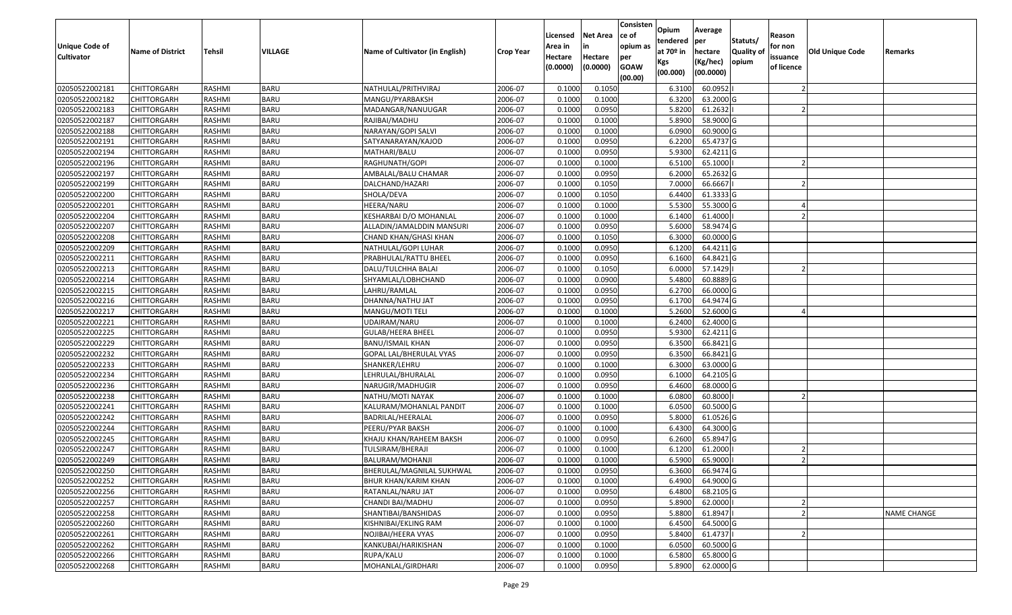| Unique Code of<br><b>Cultivator</b> | <b>Name of District</b> | <b>Tehsil</b> | VILLAGE     | Name of Cultivator (in English) | <b>Crop Year</b> | Licensed<br>Area in<br>Hectare<br>(0.0000) | <b>Net Area</b><br>in<br>Hectare<br>(0.0000) | Consisten<br>ce of<br>opium as<br>per<br><b>GOAW</b><br>(00.00) | Opium<br>tendered<br>at 70º in<br>Kgs<br>(00.000) | Average<br>per<br>hectare<br>(Kg/hec)<br>(00.0000) | Statuts/<br>Quality of<br>opium | Reason<br>for non<br>issuance<br>of licence | <b>Old Unique Code</b> | Remarks            |
|-------------------------------------|-------------------------|---------------|-------------|---------------------------------|------------------|--------------------------------------------|----------------------------------------------|-----------------------------------------------------------------|---------------------------------------------------|----------------------------------------------------|---------------------------------|---------------------------------------------|------------------------|--------------------|
| 02050522002181                      | CHITTORGARH             | RASHMI        | <b>BARU</b> | NATHULAL/PRITHVIRAJ             | 2006-07          | 0.1000                                     | 0.1050                                       |                                                                 | 6.3100                                            | 60.0952                                            |                                 |                                             |                        |                    |
| 02050522002182                      | CHITTORGARH             | RASHMI        | <b>BARU</b> | MANGU/PYARBAKSH                 | 2006-07          | 0.1000                                     | 0.1000                                       |                                                                 | 6.3200                                            | 63.2000 G                                          |                                 |                                             |                        |                    |
| 02050522002183                      | CHITTORGARH             | RASHMI        | <b>BARU</b> | MADANGAR/NANUUGAR               | 2006-07          | 0.1000                                     | 0.0950                                       |                                                                 | 5.8200                                            | 61.2632                                            |                                 |                                             |                        |                    |
| 02050522002187                      | CHITTORGARH             | RASHMI        | <b>BARU</b> | RAJIBAI/MADHU                   | 2006-07          | 0.1000                                     | 0.1000                                       |                                                                 | 5.8900                                            | 58.9000 G                                          |                                 |                                             |                        |                    |
| 02050522002188                      | CHITTORGARH             | RASHMI        | <b>BARU</b> | NARAYAN/GOPI SALVI              | 2006-07          | 0.1000                                     | 0.1000                                       |                                                                 | 6.0900                                            | 60.9000 G                                          |                                 |                                             |                        |                    |
| 02050522002191                      | CHITTORGARH             | RASHMI        | <b>BARU</b> | SATYANARAYAN/KAJOD              | 2006-07          | 0.1000                                     | 0.0950                                       |                                                                 | 6.2200                                            | 65.4737 G                                          |                                 |                                             |                        |                    |
| 02050522002194                      | CHITTORGARH             | RASHMI        | <b>BARU</b> | MATHARI/BALU                    | 2006-07          | 0.1000                                     | 0.0950                                       |                                                                 | 5.9300                                            | 62.4211 G                                          |                                 |                                             |                        |                    |
| 02050522002196                      | CHITTORGARH             | RASHMI        | <b>BARU</b> | RAGHUNATH/GOPI                  | 2006-07          | 0.1000                                     | 0.1000                                       |                                                                 | 6.5100                                            | 65.1000                                            |                                 |                                             |                        |                    |
| 02050522002197                      | CHITTORGARH             | RASHMI        | <b>BARU</b> | AMBALAL/BALU CHAMAR             | 2006-07          | 0.1000                                     | 0.0950                                       |                                                                 | 6.2000                                            | 65.2632 G                                          |                                 |                                             |                        |                    |
| 02050522002199                      | CHITTORGARH             | RASHMI        | <b>BARU</b> | DALCHAND/HAZARI                 | 2006-07          | 0.1000                                     | 0.1050                                       |                                                                 | 7.0000                                            | 66.6667                                            |                                 |                                             |                        |                    |
| 02050522002200                      | CHITTORGARH             | RASHMI        | <b>BARU</b> | SHOLA/DEVA                      | 2006-07          | 0.1000                                     | 0.1050                                       |                                                                 | 6.4400                                            | 61.3333 G                                          |                                 |                                             |                        |                    |
| 02050522002201                      | <b>CHITTORGARH</b>      | RASHMI        | <b>BARU</b> | HEERA/NARU                      | 2006-07          | 0.1000                                     | 0.1000                                       |                                                                 | 5.5300                                            | 55.3000 G                                          |                                 |                                             |                        |                    |
| 02050522002204                      | <b>CHITTORGARH</b>      | RASHMI        | <b>BARU</b> | KESHARBAI D/O MOHANLAL          | 2006-07          | 0.1000                                     | 0.1000                                       |                                                                 | 6.1400                                            | 61.4000                                            |                                 |                                             |                        |                    |
| 02050522002207                      | CHITTORGARH             | RASHMI        | <b>BARU</b> | ALLADIN/JAMALDDIN MANSURI       | 2006-07          | 0.1000                                     | 0.0950                                       |                                                                 | 5.6000                                            | 58.9474 G                                          |                                 |                                             |                        |                    |
| 02050522002208                      | CHITTORGARH             | RASHMI        | <b>BARU</b> | CHAND KHAN/GHASI KHAN           | 2006-07          | 0.1000                                     | 0.1050                                       |                                                                 | 6.3000                                            | 60.0000G                                           |                                 |                                             |                        |                    |
| 02050522002209                      | <b>CHITTORGARH</b>      | RASHMI        | <b>BARU</b> | NATHULAL/GOPI LUHAR             | 2006-07          | 0.1000                                     | 0.0950                                       |                                                                 | 6.1200                                            | 64.4211 G                                          |                                 |                                             |                        |                    |
| 02050522002211                      | <b>CHITTORGARH</b>      | RASHMI        | <b>BARU</b> | PRABHULAL/RATTU BHEEL           | 2006-07          | 0.1000                                     | 0.0950                                       |                                                                 | 6.1600                                            | 64.8421 G                                          |                                 |                                             |                        |                    |
| 02050522002213                      | <b>CHITTORGARH</b>      | RASHMI        | <b>BARU</b> | DALU/TULCHHA BALAI              | 2006-07          | 0.1000                                     | 0.1050                                       |                                                                 | 6.0000                                            | 57.1429                                            |                                 |                                             |                        |                    |
| 02050522002214                      | CHITTORGARH             | RASHMI        | <b>BARU</b> | SHYAMLAL/LOBHCHAND              | 2006-07          | 0.1000                                     | 0.0900                                       |                                                                 | 5.4800                                            | 60.8889 G                                          |                                 |                                             |                        |                    |
| 02050522002215                      | <b>CHITTORGARH</b>      | RASHMI        | <b>BARU</b> | LAHRU/RAMLAL                    | 2006-07          | 0.1000                                     | 0.0950                                       |                                                                 | 6.2700                                            | 66.0000G                                           |                                 |                                             |                        |                    |
| 02050522002216                      | <b>CHITTORGARH</b>      | RASHMI        | <b>BARU</b> | DHANNA/NATHU JAT                | 2006-07          | 0.1000                                     | 0.0950                                       |                                                                 | 6.1700                                            | 64.9474 G                                          |                                 |                                             |                        |                    |
| 02050522002217                      | <b>CHITTORGARH</b>      | RASHMI        | <b>BARU</b> | MANGU/MOTI TELI                 | 2006-07          | 0.1000                                     | 0.1000                                       |                                                                 | 5.2600                                            | 52.6000 G                                          |                                 |                                             |                        |                    |
| 02050522002221                      | CHITTORGARH             | RASHMI        | <b>BARU</b> | UDAIRAM/NARU                    | 2006-07          | 0.1000                                     | 0.1000                                       |                                                                 | 6.2400                                            | 62.4000 G                                          |                                 |                                             |                        |                    |
| 02050522002225                      | CHITTORGARH             | RASHMI        | <b>BARU</b> | GULAB/HEERA BHEEL               | 2006-07          | 0.1000                                     | 0.0950                                       |                                                                 | 5.9300                                            | 62.4211 G                                          |                                 |                                             |                        |                    |
| 02050522002229                      | CHITTORGARH             | RASHMI        | <b>BARU</b> | BANU/ISMAIL KHAN                | 2006-07          | 0.1000                                     | 0.0950                                       |                                                                 | 6.3500                                            | 66.8421 G                                          |                                 |                                             |                        |                    |
| 02050522002232                      | CHITTORGARH             | RASHMI        | <b>BARU</b> | GOPAL LAL/BHERULAL VYAS         | 2006-07          | 0.1000                                     | 0.0950                                       |                                                                 | 6.3500                                            | 66.8421 G                                          |                                 |                                             |                        |                    |
| 02050522002233                      | CHITTORGARH             | RASHMI        | <b>BARU</b> | SHANKER/LEHRU                   | 2006-07          | 0.1000                                     | 0.1000                                       |                                                                 | 6.3000                                            | 63.0000G                                           |                                 |                                             |                        |                    |
| 02050522002234                      | CHITTORGARH             | RASHMI        | <b>BARU</b> | LEHRULAL/BHURALAL               | 2006-07          | 0.1000                                     | 0.0950                                       |                                                                 | 6.1000                                            | 64.2105 G                                          |                                 |                                             |                        |                    |
| 02050522002236                      | CHITTORGARH             | RASHMI        | <b>BARU</b> | NARUGIR/MADHUGIR                | 2006-07          | 0.1000                                     | 0.0950                                       |                                                                 | 6.4600                                            | 68.0000G                                           |                                 |                                             |                        |                    |
| 02050522002238                      | CHITTORGARH             | RASHMI        | <b>BARU</b> | NATHU/MOTI NAYAK                | 2006-07          | 0.1000                                     | 0.1000                                       |                                                                 | 6.0800                                            | 60.8000                                            |                                 |                                             |                        |                    |
| 02050522002241                      | CHITTORGARH             | RASHMI        | <b>BARU</b> | KALURAM/MOHANLAL PANDIT         | 2006-07          | 0.1000                                     | 0.1000                                       |                                                                 | 6.0500                                            | 60.5000 G                                          |                                 |                                             |                        |                    |
| 02050522002242                      | CHITTORGARH             | RASHMI        | <b>BARU</b> | BADRILAL/HEERALAL               | 2006-07          | 0.1000                                     | 0.0950                                       |                                                                 | 5.8000                                            | 61.0526 G                                          |                                 |                                             |                        |                    |
| 02050522002244                      | CHITTORGARH             | RASHMI        | <b>BARU</b> | PEERU/PYAR BAKSH                | 2006-07          | 0.1000                                     | 0.1000                                       |                                                                 | 6.4300                                            | 64.3000 G                                          |                                 |                                             |                        |                    |
| 02050522002245                      | CHITTORGARH             | RASHMI        | <b>BARU</b> | KHAJU KHAN/RAHEEM BAKSH         | 2006-07          | 0.1000                                     | 0.0950                                       |                                                                 | 6.2600                                            | 65.8947 G                                          |                                 |                                             |                        |                    |
| 02050522002247                      | CHITTORGARH             | RASHMI        | <b>BARU</b> | TULSIRAM/BHERAJI                | 2006-07          | 0.1000                                     | 0.1000                                       |                                                                 | 6.1200                                            | 61.2000                                            |                                 |                                             |                        |                    |
| 02050522002249                      | CHITTORGARH             | RASHMI        | <b>BARU</b> | BALURAM/MOHANJI                 | 2006-07          | 0.1000                                     | 0.1000                                       |                                                                 | 6.5900                                            | 65.9000                                            |                                 |                                             |                        |                    |
| 02050522002250                      | <b>CHITTORGARH</b>      | RASHMI        | <b>BARU</b> | BHERULAL/MAGNILAL SUKHWAL       | 2006-07          | 0.1000                                     | 0.0950                                       |                                                                 | 6.3600                                            | 66.9474 G                                          |                                 |                                             |                        |                    |
| 02050522002252                      | <b>CHITTORGARH</b>      | RASHMI        | <b>BARU</b> | BHUR KHAN/KARIM KHAN            | 2006-07          | 0.1000                                     | 0.1000                                       |                                                                 | 6.4900                                            | 64.9000 G                                          |                                 |                                             |                        |                    |
| 02050522002256                      | <b>CHITTORGARH</b>      | RASHMI        | <b>BARU</b> | RATANLAL/NARU JAT               | 2006-07          | 0.1000                                     | 0.0950                                       |                                                                 | 6.4800                                            | 68.2105 G                                          |                                 |                                             |                        |                    |
| 02050522002257                      | <b>CHITTORGARH</b>      | RASHMI        | <b>BARU</b> | CHANDI BAI/MADHU                | 2006-07          | 0.1000                                     | 0.0950                                       |                                                                 | 5.8900                                            | 62.0000                                            |                                 |                                             |                        |                    |
| 02050522002258                      | <b>CHITTORGARH</b>      | RASHMI        | <b>BARU</b> | SHANTIBAI/BANSHIDAS             | 2006-07          | 0.1000                                     | 0.0950                                       |                                                                 | 5.8800                                            | 61.8947                                            |                                 |                                             |                        | <b>NAME CHANGE</b> |
| 02050522002260                      | <b>CHITTORGARH</b>      | RASHMI        | <b>BARU</b> | KISHNIBAI/EKLING RAM            | 2006-07          | 0.1000                                     | 0.1000                                       |                                                                 | 6.4500                                            | 64.5000 G                                          |                                 |                                             |                        |                    |
| 02050522002261                      | <b>CHITTORGARH</b>      | RASHMI        | <b>BARU</b> | NOJIBAI/HEERA VYAS              | 2006-07          | 0.1000                                     | 0.0950                                       |                                                                 | 5.8400                                            | 61.4737                                            |                                 |                                             |                        |                    |
| 02050522002262                      | <b>CHITTORGARH</b>      | RASHMI        | <b>BARU</b> | KANKUBAI/HARIKISHAN             | 2006-07          | 0.1000                                     | 0.1000                                       |                                                                 | 6.0500                                            | 60.5000 G                                          |                                 |                                             |                        |                    |
| 02050522002266                      | <b>CHITTORGARH</b>      | RASHMI        | <b>BARU</b> | RUPA/KALU                       | 2006-07          | 0.1000                                     | 0.1000                                       |                                                                 | 6.5800                                            | 65.8000 G                                          |                                 |                                             |                        |                    |
| 02050522002268                      | <b>CHITTORGARH</b>      | RASHMI        | <b>BARU</b> | MOHANLAL/GIRDHARI               | 2006-07          | 0.1000                                     | 0.0950                                       |                                                                 | 5.8900                                            | 62.0000 G                                          |                                 |                                             |                        |                    |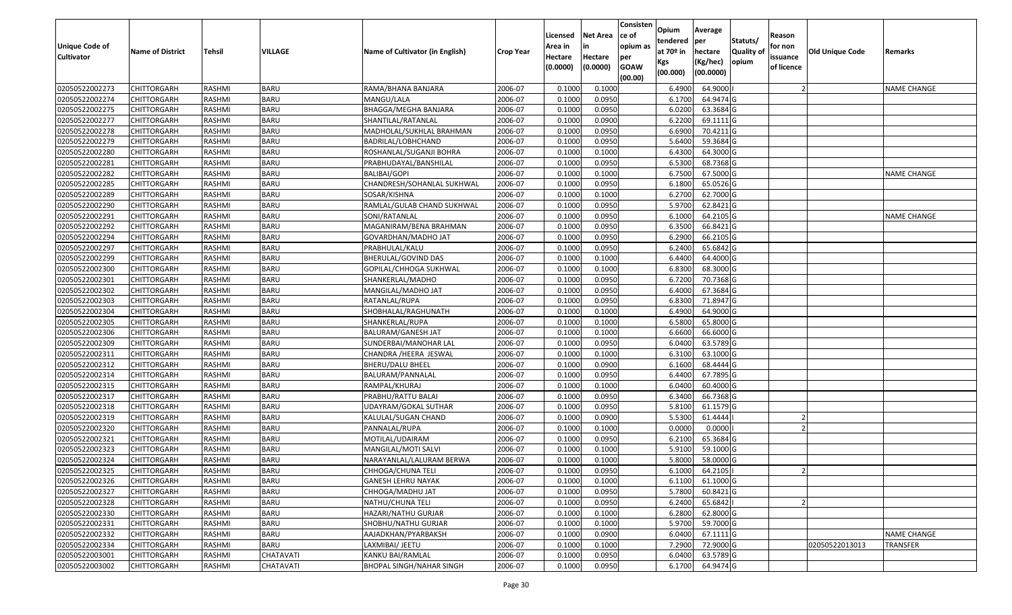| <b>Unique Code of</b><br><b>Cultivator</b> | <b>Name of District</b> | <b>Tehsil</b> | VILLAGE          | Name of Cultivator (in English) | <b>Crop Year</b> | Licensed<br>Area in<br>Hectare<br>(0.0000) | <b>Net Area</b><br>in<br>Hectare<br>(0.0000) | Consisten<br>ce of<br>opium as<br>per<br><b>GOAW</b><br>(00.00) | <b>Opium</b><br>tendered<br>at $70°$ in<br>Kgs<br>(00.000) | Average<br><b>per</b><br>hectare<br>(Kg/hec)<br>(00.0000) | Statuts/<br><b>Quality of</b><br>opium | Reason<br>for non<br>issuance<br>of licence | <b>Old Unique Code</b> | Remarks            |
|--------------------------------------------|-------------------------|---------------|------------------|---------------------------------|------------------|--------------------------------------------|----------------------------------------------|-----------------------------------------------------------------|------------------------------------------------------------|-----------------------------------------------------------|----------------------------------------|---------------------------------------------|------------------------|--------------------|
| 02050522002273                             | <b>CHITTORGARH</b>      | RASHMI        | BARU             | RAMA/BHANA BANJARA              | 2006-07          | 0.1000                                     | 0.1000                                       |                                                                 | 6.4900                                                     | 64.9000                                                   |                                        |                                             |                        | <b>NAME CHANGE</b> |
| 02050522002274                             | <b>CHITTORGARH</b>      | RASHMI        | BARU             | MANGU/LALA                      | 2006-07          | 0.1000                                     | 0.0950                                       |                                                                 | 6.1700                                                     | 64.9474 G                                                 |                                        |                                             |                        |                    |
| 02050522002275                             | <b>CHITTORGARH</b>      | RASHMI        | <b>BARU</b>      | BHAGGA/MEGHA BANJARA            | 2006-07          | 0.1000                                     | 0.0950                                       |                                                                 | 6.0200                                                     | 63.3684 G                                                 |                                        |                                             |                        |                    |
| 02050522002277                             | <b>CHITTORGARH</b>      | RASHMI        | <b>BARU</b>      | SHANTILAL/RATANLAL              | 2006-07          | 0.1000                                     | 0.0900                                       |                                                                 | 6.2200                                                     | 69.1111G                                                  |                                        |                                             |                        |                    |
| 02050522002278                             | <b>CHITTORGARH</b>      | RASHMI        | <b>BARU</b>      | MADHOLAL/SUKHLAL BRAHMAN        | 2006-07          | 0.1000                                     | 0.0950                                       |                                                                 | 6.6900                                                     | 70.4211 G                                                 |                                        |                                             |                        |                    |
| 02050522002279                             | <b>CHITTORGARH</b>      | RASHMI        | BARU             | BADRILAL/LOBHCHAND              | 2006-07          | 0.1000                                     | 0.0950                                       |                                                                 | 5.6400                                                     | 59.3684 G                                                 |                                        |                                             |                        |                    |
| 02050522002280                             | <b>CHITTORGARH</b>      | RASHMI        | BARU             | ROSHANLAL/SUGANJI BOHRA         | 2006-07          | 0.1000                                     | 0.1000                                       |                                                                 | 6.4300                                                     | 64.3000 G                                                 |                                        |                                             |                        |                    |
| 02050522002281                             | <b>CHITTORGARH</b>      | RASHMI        | <b>BARU</b>      | PRABHUDAYAL/BANSHILAL           | 2006-07          | 0.1000                                     | 0.0950                                       |                                                                 | 6.5300                                                     | 68.7368 G                                                 |                                        |                                             |                        |                    |
| 02050522002282                             | <b>CHITTORGARH</b>      | RASHMI        | BARU             | BALIBAI/GOPI                    | 2006-07          | 0.1000                                     | 0.1000                                       |                                                                 | 6.7500                                                     | 67.5000 G                                                 |                                        |                                             |                        | <b>NAME CHANGE</b> |
| 02050522002285                             | <b>CHITTORGARH</b>      | RASHMI        | <b>BARU</b>      | CHANDRESH/SOHANLAL SUKHWAL      | 2006-07          | 0.1000                                     | 0.0950                                       |                                                                 | 6.1800                                                     | 65.0526 G                                                 |                                        |                                             |                        |                    |
| 02050522002289                             | <b>CHITTORGARH</b>      | RASHMI        | BARU             | SOSAR/KISHNA                    | 2006-07          | 0.1000                                     | 0.1000                                       |                                                                 | 6.2700                                                     | 62.7000 G                                                 |                                        |                                             |                        |                    |
| 02050522002290                             | <b>CHITTORGARH</b>      | RASHMI        | <b>BARU</b>      | RAMLAL/GULAB CHAND SUKHWAL      | 2006-07          | 0.1000                                     | 0.0950                                       |                                                                 | 5.9700                                                     | 62.8421 G                                                 |                                        |                                             |                        |                    |
| 02050522002291                             | <b>CHITTORGARH</b>      | RASHMI        | <b>BARU</b>      | SONI/RATANLAL                   | 2006-07          | 0.1000                                     | 0.0950                                       |                                                                 | 6.1000                                                     | 64.2105 G                                                 |                                        |                                             |                        | NAME CHANGE        |
| 02050522002292                             | <b>CHITTORGARH</b>      | RASHMI        | BARU             | MAGANIRAM/BENA BRAHMAN          | 2006-07          | 0.1000                                     | 0.0950                                       |                                                                 | 6.3500                                                     | 66.8421 G                                                 |                                        |                                             |                        |                    |
| 02050522002294                             | <b>CHITTORGARH</b>      | RASHMI        | BARU             | GOVARDHAN/MADHO JAT             | 2006-07          | 0.1000                                     | 0.0950                                       |                                                                 | 6.2900                                                     | 66.2105 G                                                 |                                        |                                             |                        |                    |
| 02050522002297                             | <b>CHITTORGARH</b>      | RASHMI        | <b>BARU</b>      | PRABHULAL/KALU                  | 2006-07          | 0.1000                                     | 0.0950                                       |                                                                 | 6.2400                                                     | 65.6842 G                                                 |                                        |                                             |                        |                    |
| 02050522002299                             | <b>CHITTORGARH</b>      | RASHMI        | <b>BARU</b>      | BHERULAL/GOVIND DAS             | 2006-07          | 0.1000                                     | 0.1000                                       |                                                                 | 6.4400                                                     | 64.4000 G                                                 |                                        |                                             |                        |                    |
| 02050522002300                             | <b>CHITTORGARH</b>      | RASHMI        | <b>BARU</b>      | GOPILAL/CHHOGA SUKHWAL          | 2006-07          | 0.1000                                     | 0.1000                                       |                                                                 | 6.8300                                                     | 68.3000 G                                                 |                                        |                                             |                        |                    |
| 02050522002301                             | <b>CHITTORGARH</b>      | RASHMI        | <b>BARU</b>      | SHANKERLAL/MADHO                | 2006-07          | 0.1000                                     | 0.0950                                       |                                                                 | 6.7200                                                     | 70.7368 G                                                 |                                        |                                             |                        |                    |
| 02050522002302                             | <b>CHITTORGARH</b>      | RASHMI        | <b>BARU</b>      | MANGILAL/MADHO JAT              | 2006-07          | 0.1000                                     | 0.0950                                       |                                                                 | 6.4000                                                     | 67.3684 G                                                 |                                        |                                             |                        |                    |
| 02050522002303                             | <b>CHITTORGARH</b>      | RASHMI        | <b>BARU</b>      | RATANLAL/RUPA                   | 2006-07          | 0.1000                                     | 0.0950                                       |                                                                 | 6.8300                                                     | 71.8947 G                                                 |                                        |                                             |                        |                    |
| 02050522002304                             | <b>CHITTORGARH</b>      | RASHMI        | <b>BARU</b>      | SHOBHALAL/RAGHUNATH             | 2006-07          | 0.1000                                     | 0.1000                                       |                                                                 | 6.4900                                                     | 64.9000 G                                                 |                                        |                                             |                        |                    |
| 02050522002305                             | <b>CHITTORGARH</b>      | RASHMI        | BARU             | SHANKERLAL/RUPA                 | 2006-07          | 0.1000                                     | 0.1000                                       |                                                                 | 6.5800                                                     | 65.8000 G                                                 |                                        |                                             |                        |                    |
| 02050522002306                             | <b>CHITTORGARH</b>      | RASHMI        | BARU             | BALURAM/GANESH JAT              | 2006-07          | 0.1000                                     | 0.1000                                       |                                                                 | 6.6600                                                     | 66.6000 G                                                 |                                        |                                             |                        |                    |
| 02050522002309                             | <b>CHITTORGARH</b>      | RASHMI        | <b>BARU</b>      | SUNDERBAI/MANOHAR LAL           | 2006-07          | 0.1000                                     | 0.0950                                       |                                                                 | 6.0400                                                     | 63.5789 G                                                 |                                        |                                             |                        |                    |
| 02050522002311                             | <b>CHITTORGARH</b>      | RASHMI        | <b>BARU</b>      | CHANDRA /HEERA JESWAL           | 2006-07          | 0.1000                                     | 0.1000                                       |                                                                 | 6.3100                                                     | 63.1000 G                                                 |                                        |                                             |                        |                    |
| 02050522002312                             | <b>CHITTORGARH</b>      | RASHMI        | <b>BARU</b>      | BHERU/DALU BHEEL                | 2006-07          | 0.1000                                     | 0.0900                                       |                                                                 | 6.1600                                                     | 68.4444 G                                                 |                                        |                                             |                        |                    |
| 02050522002314                             | <b>CHITTORGARH</b>      | RASHMI        | <b>BARU</b>      | BALURAM/PANNALAL                | 2006-07          | 0.1000                                     | 0.0950                                       |                                                                 | 6.4400                                                     | 67.7895 G                                                 |                                        |                                             |                        |                    |
| 02050522002315                             | <b>CHITTORGARH</b>      | RASHMI        | <b>BARU</b>      | RAMPAL/KHURAJ                   | 2006-07          | 0.1000                                     | 0.1000                                       |                                                                 | 6.0400                                                     | 60.4000 G                                                 |                                        |                                             |                        |                    |
| 02050522002317                             | <b>CHITTORGARH</b>      | RASHMI        | <b>BARU</b>      | PRABHU/RATTU BALAI              | 2006-07          | 0.1000                                     | 0.0950                                       |                                                                 | 6.3400                                                     | 66.7368 G                                                 |                                        |                                             |                        |                    |
| 02050522002318                             | <b>CHITTORGARH</b>      | RASHMI        | <b>BARU</b>      | UDAYRAM/GOKAL SUTHAR            | 2006-07          | 0.1000                                     | 0.0950                                       |                                                                 | 5.8100                                                     | 61.1579 G                                                 |                                        |                                             |                        |                    |
| 02050522002319                             | <b>CHITTORGARH</b>      | RASHMI        | BARU             | KALULAL/SUGAN CHAND             | 2006-07          | 0.1000                                     | 0.0900                                       |                                                                 | 5.5300                                                     | 61.4444                                                   |                                        |                                             |                        |                    |
| 02050522002320                             | <b>CHITTORGARH</b>      | RASHMI        | <b>BARU</b>      | PANNALAL/RUPA                   | 2006-07          | 0.1000                                     | 0.1000                                       |                                                                 | 0.0000                                                     | 0.0000                                                    |                                        |                                             |                        |                    |
| 02050522002321                             | <b>CHITTORGARH</b>      | RASHMI        | BARU             | MOTILAL/UDAIRAM                 | 2006-07          | 0.1000                                     | 0.0950                                       |                                                                 | 6.2100                                                     | 65.3684 G                                                 |                                        |                                             |                        |                    |
| 02050522002323                             | <b>CHITTORGARH</b>      | RASHMI        | <b>BARU</b>      | MANGILAL/MOTI SALVI             | 2006-07          | 0.1000                                     | 0.1000                                       |                                                                 | 5.9100                                                     | 59.1000 G                                                 |                                        |                                             |                        |                    |
| 02050522002324                             | <b>CHITTORGARH</b>      | RASHMI        | <b>BARU</b>      | NARAYANLAL/LALURAM BERWA        | 2006-07          | 0.1000                                     | 0.1000                                       |                                                                 | 5.8000                                                     | 58.0000 G                                                 |                                        |                                             |                        |                    |
| 02050522002325                             | <b>CHITTORGARH</b>      | RASHMI        | <b>BARU</b>      | CHHOGA/CHUNA TELI               | 2006-07          | 0.1000                                     | 0.0950                                       |                                                                 | 6.1000                                                     | 64.2105                                                   |                                        |                                             |                        |                    |
| 02050522002326                             | <b>CHITTORGARH</b>      | RASHMI        | BARU             | <b>GANESH LEHRU NAYAK</b>       | 2006-07          | 0.1000                                     | 0.1000                                       |                                                                 | 6.1100                                                     | 61.1000 G                                                 |                                        |                                             |                        |                    |
| 02050522002327                             | <b>CHITTORGARH</b>      | RASHMI        | <b>BARU</b>      | CHHOGA/MADHU JAT                | 2006-07          | 0.1000                                     | 0.0950                                       |                                                                 | 5.7800                                                     | 60.8421 G                                                 |                                        |                                             |                        |                    |
| 02050522002328                             | <b>CHITTORGARH</b>      | RASHMI        | BARU             | NATHU/CHUNA TELI                | 2006-07          | 0.1000                                     | 0.0950                                       |                                                                 | 6.2400                                                     | 65.6842                                                   |                                        |                                             |                        |                    |
| 02050522002330                             | <b>CHITTORGARH</b>      | RASHMI        | <b>BARU</b>      | HAZARI/NATHU GURJAR             | 2006-07          | 0.1000                                     | 0.1000                                       |                                                                 | 6.2800                                                     | 62.8000 G                                                 |                                        |                                             |                        |                    |
| 02050522002331                             | <b>CHITTORGARH</b>      | RASHMI        | <b>BARU</b>      | SHOBHU/NATHU GURJAR             | 2006-07          | 0.1000                                     | 0.1000                                       |                                                                 | 5.9700                                                     | 59.7000 G                                                 |                                        |                                             |                        |                    |
| 02050522002332                             | <b>CHITTORGARH</b>      | RASHMI        | <b>BARU</b>      | AAJADKHAN/PYARBAKSH             | 2006-07          | 0.1000                                     | 0.0900                                       |                                                                 | 6.0400                                                     | 67.1111 G                                                 |                                        |                                             |                        | <b>NAME CHANGE</b> |
| 02050522002334                             | <b>CHITTORGARH</b>      | RASHMI        | BARU             | LAXMIBAI/ JEETU                 | 2006-07          | 0.1000                                     | 0.1000                                       |                                                                 | 7.2900                                                     | 72.9000 G                                                 |                                        |                                             | 02050522013013         | TRANSFER           |
| 02050522003001                             | <b>CHITTORGARH</b>      | RASHMI        | CHATAVATI        | KANKU BAI/RAMLAL                | 2006-07          | 0.1000                                     | 0.0950                                       |                                                                 | 6.0400                                                     | 63.5789 G                                                 |                                        |                                             |                        |                    |
| 02050522003002                             | <b>CHITTORGARH</b>      | RASHMI        | <b>CHATAVATI</b> | <b>BHOPAL SINGH/NAHAR SINGH</b> | 2006-07          | 0.1000                                     | 0.0950                                       |                                                                 | 6.1700                                                     | 64.9474 G                                                 |                                        |                                             |                        |                    |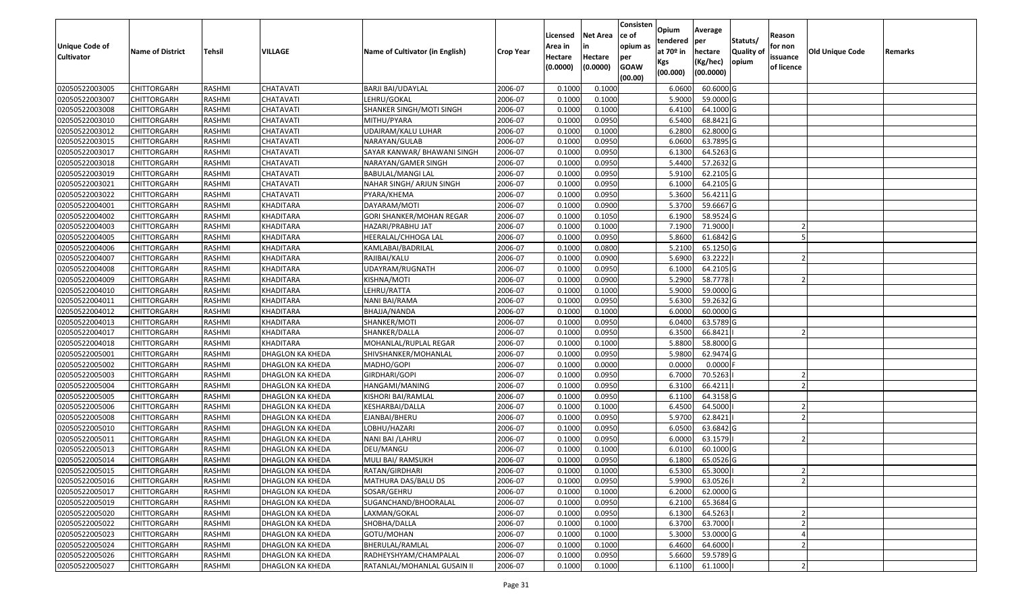| 02050522003005<br><b>CHITTORGARH</b><br>RASHMI<br>CHATAVATI<br>0.1000<br>0.1000<br>60.6000 G<br>BARJI BAI/UDAYLAL<br>2006-07<br>6.0600<br>02050522003007<br>0.1000<br>5.9000<br>59.0000 G<br><b>CHITTORGARH</b><br>RASHMI<br>CHATAVATI<br>LEHRU/GOKAL<br>2006-07<br>0.1000<br>0.1000<br>0.1000<br>02050522003008<br><b>CHITTORGARH</b><br>RASHMI<br>CHATAVATI<br>SHANKER SINGH/MOTI SINGH<br>2006-07<br>6.4100<br>64.1000 G<br>02050522003010<br><b>CHITTORGARH</b><br>RASHMI<br>CHATAVATI<br>MITHU/PYARA<br>2006-07<br>0.1000<br>0.0950<br>6.5400<br>68.8421 G<br>02050522003012<br>RASHMI<br>0.1000<br>6.2800<br>62.8000 G<br><b>CHITTORGARH</b><br>CHATAVATI<br>UDAIRAM/KALU LUHAR<br>2006-07<br>0.1000<br>02050522003015<br>RASHMI<br>CHATAVATI<br>2006-07<br>0.1000<br>0.0950<br>6.0600<br>63.7895 G<br><b>CHITTORGARH</b><br>NARAYAN/GULAB<br>0.1000<br>0.0950<br>64.5263 G<br>02050522003017<br>RASHMI<br>CHATAVATI<br>SAYAR KANWAR/ BHAWANI SINGH<br>2006-07<br>6.1300<br>CHITTORGARH<br>2006-07<br>57.2632 G<br>02050522003018<br><b>RASHMI</b><br>CHATAVATI<br>0.1000<br>0.0950<br>5.4400<br><b>CHITTORGARH</b><br>NARAYAN/GAMER SINGH<br>02050522003019<br><b>RASHMI</b><br>CHATAVATI<br>2006-07<br>0.1000<br>0.0950<br>62.2105 G<br><b>CHITTORGARH</b><br>BABULAL/MANGI LAL<br>5.9100<br>02050522003021<br>RASHMI<br>2006-07<br>0.1000<br>0.0950<br>6.1000<br>64.2105 G<br><b>CHITTORGARH</b><br>CHATAVATI<br>NAHAR SINGH/ ARJUN SINGH<br>0.1000<br>02050522003022<br>RASHMI<br>2006-07<br>0.0950<br>5.3600<br>56.4211 G<br><b>CHITTORGARH</b><br>CHATAVATI<br>PYARA/KHEMA<br>02050522004001<br>RASHMI<br>KHADITARA<br>2006-07<br>0.1000<br>0.0900<br>5.3700<br>59.6667 G<br><b>CHITTORGARH</b><br>DAYARAM/MOTI<br>02050522004002<br>RASHMI<br>KHADITARA<br>0.1000<br>0.1050<br>6.1900<br>58.9524 G<br><b>CHITTORGARH</b><br>GORI SHANKER/MOHAN REGAR<br>2006-07<br>02050522004003<br>RASHMI<br>KHADITARA<br>2006-07<br>0.1000<br>0.1000<br>7.1900<br>71.9000<br><b>CHITTORGARH</b><br>HAZARI/PRABHU JAT<br>0.1000<br>0.0950<br>5.8600<br>02050522004005<br>RASHMI<br>KHADITARA<br>2006-07<br>61.6842 G<br>CHITTORGARH<br>HEERALAL/CHHOGA LAL<br>02050522004006<br>RASHMI<br>2006-07<br>0.1000<br>0.0800<br>5.2100<br>65.1250 G<br><b>CHITTORGARH</b><br>KHADITARA<br>KAMLABAI/BADRILAL<br>63.2222<br>02050522004007<br><b>RASHMI</b><br>KHADITARA<br>2006-07<br>0.1000<br>0.0900<br>5.6900<br><b>CHITTORGARH</b><br>RAJIBAI/KALU<br>02050522004008<br>RASHMI<br>0.1000<br>0.0950<br>64.2105 G<br><b>CHITTORGARH</b><br>KHADITARA<br>UDAYRAM/RUGNATH<br>2006-07<br>6.1000<br>5.2900<br>02050522004009<br>KHADITARA<br>0.1000<br>0.0900<br>58.7778<br><b>CHITTORGARH</b><br>RASHMI<br>KISHNA/MOTI<br>2006-07<br>RASHMI<br>0.1000<br>0.1000<br>5.9000<br>59.0000 G<br>02050522004010<br><b>CHITTORGARH</b><br>KHADITARA<br>LEHRU/RATTA<br>2006-07<br>0.0950<br>59.2632 G<br>02050522004011<br>RASHMI<br>KHADITARA<br>2006-07<br>0.1000<br>5.6300<br><b>CHITTORGARH</b><br>NANI BAI/RAMA<br>02050522004012<br>RASHMI<br>0.1000<br>60.0000 G<br><b>CHITTORGARH</b><br>KHADITARA<br>BHAJJA/NANDA<br>2006-07<br>0.1000<br>6.0000 | <b>Unique Code of</b><br><b>Cultivator</b> | <b>Name of District</b> | <b>Tehsil</b> | VILLAGE   | Name of Cultivator (in English) | <b>Crop Year</b> | Licensed<br>Area in<br>Hectare<br>(0.0000) | <b>Net Area</b><br>in<br>Hectare<br>(0.0000) | Consisten<br>lce of<br>opium as<br>per<br><b>GOAW</b><br>(00.00) | Opium<br>tendered<br>at 70º in<br>Kgs<br>(00.000) | Average<br>per<br>hectare<br>(Kg/hec)<br>(00.0000) | Statuts/<br>Quality of<br>opium | Reason<br>for non<br>issuance<br>of licence | Old Unique Code | Remarks |
|----------------------------------------------------------------------------------------------------------------------------------------------------------------------------------------------------------------------------------------------------------------------------------------------------------------------------------------------------------------------------------------------------------------------------------------------------------------------------------------------------------------------------------------------------------------------------------------------------------------------------------------------------------------------------------------------------------------------------------------------------------------------------------------------------------------------------------------------------------------------------------------------------------------------------------------------------------------------------------------------------------------------------------------------------------------------------------------------------------------------------------------------------------------------------------------------------------------------------------------------------------------------------------------------------------------------------------------------------------------------------------------------------------------------------------------------------------------------------------------------------------------------------------------------------------------------------------------------------------------------------------------------------------------------------------------------------------------------------------------------------------------------------------------------------------------------------------------------------------------------------------------------------------------------------------------------------------------------------------------------------------------------------------------------------------------------------------------------------------------------------------------------------------------------------------------------------------------------------------------------------------------------------------------------------------------------------------------------------------------------------------------------------------------------------------------------------------------------------------------------------------------------------------------------------------------------------------------------------------------------------------------------------------------------------------------------------------------------------------------------------------------------------------------------------------------------------------------------------------------------------------------------------------------------------------------------------------------------------------------------------------------------------------------------------------------------------------------------------------------------------------------|--------------------------------------------|-------------------------|---------------|-----------|---------------------------------|------------------|--------------------------------------------|----------------------------------------------|------------------------------------------------------------------|---------------------------------------------------|----------------------------------------------------|---------------------------------|---------------------------------------------|-----------------|---------|
|                                                                                                                                                                                                                                                                                                                                                                                                                                                                                                                                                                                                                                                                                                                                                                                                                                                                                                                                                                                                                                                                                                                                                                                                                                                                                                                                                                                                                                                                                                                                                                                                                                                                                                                                                                                                                                                                                                                                                                                                                                                                                                                                                                                                                                                                                                                                                                                                                                                                                                                                                                                                                                                                                                                                                                                                                                                                                                                                                                                                                                                                                                                                        |                                            |                         |               |           |                                 |                  |                                            |                                              |                                                                  |                                                   |                                                    |                                 |                                             |                 |         |
|                                                                                                                                                                                                                                                                                                                                                                                                                                                                                                                                                                                                                                                                                                                                                                                                                                                                                                                                                                                                                                                                                                                                                                                                                                                                                                                                                                                                                                                                                                                                                                                                                                                                                                                                                                                                                                                                                                                                                                                                                                                                                                                                                                                                                                                                                                                                                                                                                                                                                                                                                                                                                                                                                                                                                                                                                                                                                                                                                                                                                                                                                                                                        |                                            |                         |               |           |                                 |                  |                                            |                                              |                                                                  |                                                   |                                                    |                                 |                                             |                 |         |
|                                                                                                                                                                                                                                                                                                                                                                                                                                                                                                                                                                                                                                                                                                                                                                                                                                                                                                                                                                                                                                                                                                                                                                                                                                                                                                                                                                                                                                                                                                                                                                                                                                                                                                                                                                                                                                                                                                                                                                                                                                                                                                                                                                                                                                                                                                                                                                                                                                                                                                                                                                                                                                                                                                                                                                                                                                                                                                                                                                                                                                                                                                                                        |                                            |                         |               |           |                                 |                  |                                            |                                              |                                                                  |                                                   |                                                    |                                 |                                             |                 |         |
|                                                                                                                                                                                                                                                                                                                                                                                                                                                                                                                                                                                                                                                                                                                                                                                                                                                                                                                                                                                                                                                                                                                                                                                                                                                                                                                                                                                                                                                                                                                                                                                                                                                                                                                                                                                                                                                                                                                                                                                                                                                                                                                                                                                                                                                                                                                                                                                                                                                                                                                                                                                                                                                                                                                                                                                                                                                                                                                                                                                                                                                                                                                                        |                                            |                         |               |           |                                 |                  |                                            |                                              |                                                                  |                                                   |                                                    |                                 |                                             |                 |         |
|                                                                                                                                                                                                                                                                                                                                                                                                                                                                                                                                                                                                                                                                                                                                                                                                                                                                                                                                                                                                                                                                                                                                                                                                                                                                                                                                                                                                                                                                                                                                                                                                                                                                                                                                                                                                                                                                                                                                                                                                                                                                                                                                                                                                                                                                                                                                                                                                                                                                                                                                                                                                                                                                                                                                                                                                                                                                                                                                                                                                                                                                                                                                        |                                            |                         |               |           |                                 |                  |                                            |                                              |                                                                  |                                                   |                                                    |                                 |                                             |                 |         |
|                                                                                                                                                                                                                                                                                                                                                                                                                                                                                                                                                                                                                                                                                                                                                                                                                                                                                                                                                                                                                                                                                                                                                                                                                                                                                                                                                                                                                                                                                                                                                                                                                                                                                                                                                                                                                                                                                                                                                                                                                                                                                                                                                                                                                                                                                                                                                                                                                                                                                                                                                                                                                                                                                                                                                                                                                                                                                                                                                                                                                                                                                                                                        |                                            |                         |               |           |                                 |                  |                                            |                                              |                                                                  |                                                   |                                                    |                                 |                                             |                 |         |
|                                                                                                                                                                                                                                                                                                                                                                                                                                                                                                                                                                                                                                                                                                                                                                                                                                                                                                                                                                                                                                                                                                                                                                                                                                                                                                                                                                                                                                                                                                                                                                                                                                                                                                                                                                                                                                                                                                                                                                                                                                                                                                                                                                                                                                                                                                                                                                                                                                                                                                                                                                                                                                                                                                                                                                                                                                                                                                                                                                                                                                                                                                                                        |                                            |                         |               |           |                                 |                  |                                            |                                              |                                                                  |                                                   |                                                    |                                 |                                             |                 |         |
|                                                                                                                                                                                                                                                                                                                                                                                                                                                                                                                                                                                                                                                                                                                                                                                                                                                                                                                                                                                                                                                                                                                                                                                                                                                                                                                                                                                                                                                                                                                                                                                                                                                                                                                                                                                                                                                                                                                                                                                                                                                                                                                                                                                                                                                                                                                                                                                                                                                                                                                                                                                                                                                                                                                                                                                                                                                                                                                                                                                                                                                                                                                                        |                                            |                         |               |           |                                 |                  |                                            |                                              |                                                                  |                                                   |                                                    |                                 |                                             |                 |         |
|                                                                                                                                                                                                                                                                                                                                                                                                                                                                                                                                                                                                                                                                                                                                                                                                                                                                                                                                                                                                                                                                                                                                                                                                                                                                                                                                                                                                                                                                                                                                                                                                                                                                                                                                                                                                                                                                                                                                                                                                                                                                                                                                                                                                                                                                                                                                                                                                                                                                                                                                                                                                                                                                                                                                                                                                                                                                                                                                                                                                                                                                                                                                        |                                            |                         |               |           |                                 |                  |                                            |                                              |                                                                  |                                                   |                                                    |                                 |                                             |                 |         |
|                                                                                                                                                                                                                                                                                                                                                                                                                                                                                                                                                                                                                                                                                                                                                                                                                                                                                                                                                                                                                                                                                                                                                                                                                                                                                                                                                                                                                                                                                                                                                                                                                                                                                                                                                                                                                                                                                                                                                                                                                                                                                                                                                                                                                                                                                                                                                                                                                                                                                                                                                                                                                                                                                                                                                                                                                                                                                                                                                                                                                                                                                                                                        |                                            |                         |               |           |                                 |                  |                                            |                                              |                                                                  |                                                   |                                                    |                                 |                                             |                 |         |
|                                                                                                                                                                                                                                                                                                                                                                                                                                                                                                                                                                                                                                                                                                                                                                                                                                                                                                                                                                                                                                                                                                                                                                                                                                                                                                                                                                                                                                                                                                                                                                                                                                                                                                                                                                                                                                                                                                                                                                                                                                                                                                                                                                                                                                                                                                                                                                                                                                                                                                                                                                                                                                                                                                                                                                                                                                                                                                                                                                                                                                                                                                                                        |                                            |                         |               |           |                                 |                  |                                            |                                              |                                                                  |                                                   |                                                    |                                 |                                             |                 |         |
|                                                                                                                                                                                                                                                                                                                                                                                                                                                                                                                                                                                                                                                                                                                                                                                                                                                                                                                                                                                                                                                                                                                                                                                                                                                                                                                                                                                                                                                                                                                                                                                                                                                                                                                                                                                                                                                                                                                                                                                                                                                                                                                                                                                                                                                                                                                                                                                                                                                                                                                                                                                                                                                                                                                                                                                                                                                                                                                                                                                                                                                                                                                                        |                                            |                         |               |           |                                 |                  |                                            |                                              |                                                                  |                                                   |                                                    |                                 |                                             |                 |         |
|                                                                                                                                                                                                                                                                                                                                                                                                                                                                                                                                                                                                                                                                                                                                                                                                                                                                                                                                                                                                                                                                                                                                                                                                                                                                                                                                                                                                                                                                                                                                                                                                                                                                                                                                                                                                                                                                                                                                                                                                                                                                                                                                                                                                                                                                                                                                                                                                                                                                                                                                                                                                                                                                                                                                                                                                                                                                                                                                                                                                                                                                                                                                        |                                            |                         |               |           |                                 |                  |                                            |                                              |                                                                  |                                                   |                                                    |                                 |                                             |                 |         |
|                                                                                                                                                                                                                                                                                                                                                                                                                                                                                                                                                                                                                                                                                                                                                                                                                                                                                                                                                                                                                                                                                                                                                                                                                                                                                                                                                                                                                                                                                                                                                                                                                                                                                                                                                                                                                                                                                                                                                                                                                                                                                                                                                                                                                                                                                                                                                                                                                                                                                                                                                                                                                                                                                                                                                                                                                                                                                                                                                                                                                                                                                                                                        |                                            |                         |               |           |                                 |                  |                                            |                                              |                                                                  |                                                   |                                                    |                                 |                                             |                 |         |
|                                                                                                                                                                                                                                                                                                                                                                                                                                                                                                                                                                                                                                                                                                                                                                                                                                                                                                                                                                                                                                                                                                                                                                                                                                                                                                                                                                                                                                                                                                                                                                                                                                                                                                                                                                                                                                                                                                                                                                                                                                                                                                                                                                                                                                                                                                                                                                                                                                                                                                                                                                                                                                                                                                                                                                                                                                                                                                                                                                                                                                                                                                                                        |                                            |                         |               |           |                                 |                  |                                            |                                              |                                                                  |                                                   |                                                    |                                 |                                             |                 |         |
|                                                                                                                                                                                                                                                                                                                                                                                                                                                                                                                                                                                                                                                                                                                                                                                                                                                                                                                                                                                                                                                                                                                                                                                                                                                                                                                                                                                                                                                                                                                                                                                                                                                                                                                                                                                                                                                                                                                                                                                                                                                                                                                                                                                                                                                                                                                                                                                                                                                                                                                                                                                                                                                                                                                                                                                                                                                                                                                                                                                                                                                                                                                                        |                                            |                         |               |           |                                 |                  |                                            |                                              |                                                                  |                                                   |                                                    |                                 |                                             |                 |         |
|                                                                                                                                                                                                                                                                                                                                                                                                                                                                                                                                                                                                                                                                                                                                                                                                                                                                                                                                                                                                                                                                                                                                                                                                                                                                                                                                                                                                                                                                                                                                                                                                                                                                                                                                                                                                                                                                                                                                                                                                                                                                                                                                                                                                                                                                                                                                                                                                                                                                                                                                                                                                                                                                                                                                                                                                                                                                                                                                                                                                                                                                                                                                        |                                            |                         |               |           |                                 |                  |                                            |                                              |                                                                  |                                                   |                                                    |                                 |                                             |                 |         |
|                                                                                                                                                                                                                                                                                                                                                                                                                                                                                                                                                                                                                                                                                                                                                                                                                                                                                                                                                                                                                                                                                                                                                                                                                                                                                                                                                                                                                                                                                                                                                                                                                                                                                                                                                                                                                                                                                                                                                                                                                                                                                                                                                                                                                                                                                                                                                                                                                                                                                                                                                                                                                                                                                                                                                                                                                                                                                                                                                                                                                                                                                                                                        |                                            |                         |               |           |                                 |                  |                                            |                                              |                                                                  |                                                   |                                                    |                                 |                                             |                 |         |
|                                                                                                                                                                                                                                                                                                                                                                                                                                                                                                                                                                                                                                                                                                                                                                                                                                                                                                                                                                                                                                                                                                                                                                                                                                                                                                                                                                                                                                                                                                                                                                                                                                                                                                                                                                                                                                                                                                                                                                                                                                                                                                                                                                                                                                                                                                                                                                                                                                                                                                                                                                                                                                                                                                                                                                                                                                                                                                                                                                                                                                                                                                                                        |                                            |                         |               |           |                                 |                  |                                            |                                              |                                                                  |                                                   |                                                    |                                 |                                             |                 |         |
|                                                                                                                                                                                                                                                                                                                                                                                                                                                                                                                                                                                                                                                                                                                                                                                                                                                                                                                                                                                                                                                                                                                                                                                                                                                                                                                                                                                                                                                                                                                                                                                                                                                                                                                                                                                                                                                                                                                                                                                                                                                                                                                                                                                                                                                                                                                                                                                                                                                                                                                                                                                                                                                                                                                                                                                                                                                                                                                                                                                                                                                                                                                                        |                                            |                         |               |           |                                 |                  |                                            |                                              |                                                                  |                                                   |                                                    |                                 |                                             |                 |         |
|                                                                                                                                                                                                                                                                                                                                                                                                                                                                                                                                                                                                                                                                                                                                                                                                                                                                                                                                                                                                                                                                                                                                                                                                                                                                                                                                                                                                                                                                                                                                                                                                                                                                                                                                                                                                                                                                                                                                                                                                                                                                                                                                                                                                                                                                                                                                                                                                                                                                                                                                                                                                                                                                                                                                                                                                                                                                                                                                                                                                                                                                                                                                        |                                            |                         |               |           |                                 |                  |                                            |                                              |                                                                  |                                                   |                                                    |                                 |                                             |                 |         |
|                                                                                                                                                                                                                                                                                                                                                                                                                                                                                                                                                                                                                                                                                                                                                                                                                                                                                                                                                                                                                                                                                                                                                                                                                                                                                                                                                                                                                                                                                                                                                                                                                                                                                                                                                                                                                                                                                                                                                                                                                                                                                                                                                                                                                                                                                                                                                                                                                                                                                                                                                                                                                                                                                                                                                                                                                                                                                                                                                                                                                                                                                                                                        |                                            |                         |               |           |                                 |                  |                                            |                                              |                                                                  |                                                   |                                                    |                                 |                                             |                 |         |
|                                                                                                                                                                                                                                                                                                                                                                                                                                                                                                                                                                                                                                                                                                                                                                                                                                                                                                                                                                                                                                                                                                                                                                                                                                                                                                                                                                                                                                                                                                                                                                                                                                                                                                                                                                                                                                                                                                                                                                                                                                                                                                                                                                                                                                                                                                                                                                                                                                                                                                                                                                                                                                                                                                                                                                                                                                                                                                                                                                                                                                                                                                                                        | 02050522004013                             | <b>CHITTORGARH</b>      | RASHMI        | KHADITARA | SHANKER/MOTI                    | 2006-07          | 0.1000                                     | 0.0950                                       |                                                                  | 6.0400                                            | 63.5789 G                                          |                                 |                                             |                 |         |
| 0.1000<br>0.0950<br>66.8421<br>02050522004017<br><b>CHITTORGARH</b><br>RASHMI<br>KHADITARA<br>SHANKER/DALLA<br>2006-07<br>6.3500                                                                                                                                                                                                                                                                                                                                                                                                                                                                                                                                                                                                                                                                                                                                                                                                                                                                                                                                                                                                                                                                                                                                                                                                                                                                                                                                                                                                                                                                                                                                                                                                                                                                                                                                                                                                                                                                                                                                                                                                                                                                                                                                                                                                                                                                                                                                                                                                                                                                                                                                                                                                                                                                                                                                                                                                                                                                                                                                                                                                       |                                            |                         |               |           |                                 |                  |                                            |                                              |                                                                  |                                                   |                                                    |                                 |                                             |                 |         |
| 02050522004018<br>RASHMI<br>KHADITARA<br>2006-07<br>0.1000<br>0.1000<br>5.8800<br>58.8000 G<br><b>CHITTORGARH</b><br>MOHANLAL/RUPLAL REGAR                                                                                                                                                                                                                                                                                                                                                                                                                                                                                                                                                                                                                                                                                                                                                                                                                                                                                                                                                                                                                                                                                                                                                                                                                                                                                                                                                                                                                                                                                                                                                                                                                                                                                                                                                                                                                                                                                                                                                                                                                                                                                                                                                                                                                                                                                                                                                                                                                                                                                                                                                                                                                                                                                                                                                                                                                                                                                                                                                                                             |                                            |                         |               |           |                                 |                  |                                            |                                              |                                                                  |                                                   |                                                    |                                 |                                             |                 |         |
| 02050522005001<br>RASHMI<br>0.1000<br>0.0950<br>5.9800<br>62.9474 G<br><b>CHITTORGARH</b><br>DHAGLON KA KHEDA<br>SHIVSHANKER/MOHANLAL<br>2006-07                                                                                                                                                                                                                                                                                                                                                                                                                                                                                                                                                                                                                                                                                                                                                                                                                                                                                                                                                                                                                                                                                                                                                                                                                                                                                                                                                                                                                                                                                                                                                                                                                                                                                                                                                                                                                                                                                                                                                                                                                                                                                                                                                                                                                                                                                                                                                                                                                                                                                                                                                                                                                                                                                                                                                                                                                                                                                                                                                                                       |                                            |                         |               |           |                                 |                  |                                            |                                              |                                                                  |                                                   |                                                    |                                 |                                             |                 |         |
| 02050522005002<br>DHAGLON KA KHEDA<br>2006-07<br>0.1000<br>0.0000<br>0.0000<br>0.0000<br><b>CHITTORGARH</b><br>RASHMI<br>MADHO/GOPI                                                                                                                                                                                                                                                                                                                                                                                                                                                                                                                                                                                                                                                                                                                                                                                                                                                                                                                                                                                                                                                                                                                                                                                                                                                                                                                                                                                                                                                                                                                                                                                                                                                                                                                                                                                                                                                                                                                                                                                                                                                                                                                                                                                                                                                                                                                                                                                                                                                                                                                                                                                                                                                                                                                                                                                                                                                                                                                                                                                                    |                                            |                         |               |           |                                 |                  |                                            |                                              |                                                                  |                                                   |                                                    |                                 |                                             |                 |         |
| 0.1000<br>0.0950<br>02050522005003<br><b>CHITTORGARH</b><br>RASHMI<br>DHAGLON KA KHEDA<br>GIRDHARI/GOPI<br>2006-07<br>6.7000<br>70.5263                                                                                                                                                                                                                                                                                                                                                                                                                                                                                                                                                                                                                                                                                                                                                                                                                                                                                                                                                                                                                                                                                                                                                                                                                                                                                                                                                                                                                                                                                                                                                                                                                                                                                                                                                                                                                                                                                                                                                                                                                                                                                                                                                                                                                                                                                                                                                                                                                                                                                                                                                                                                                                                                                                                                                                                                                                                                                                                                                                                                |                                            |                         |               |           |                                 |                  |                                            |                                              |                                                                  |                                                   |                                                    |                                 |                                             |                 |         |
| 02050522005004<br>RASHMI<br>2006-07<br>0.1000<br>0.0950<br>6.3100<br>66.4211<br><b>CHITTORGARH</b><br>DHAGLON KA KHEDA<br>HANGAMI/MANING                                                                                                                                                                                                                                                                                                                                                                                                                                                                                                                                                                                                                                                                                                                                                                                                                                                                                                                                                                                                                                                                                                                                                                                                                                                                                                                                                                                                                                                                                                                                                                                                                                                                                                                                                                                                                                                                                                                                                                                                                                                                                                                                                                                                                                                                                                                                                                                                                                                                                                                                                                                                                                                                                                                                                                                                                                                                                                                                                                                               |                                            |                         |               |           |                                 |                  |                                            |                                              |                                                                  |                                                   |                                                    |                                 |                                             |                 |         |
| 02050522005005<br>RASHMI<br>DHAGLON KA KHEDA<br>0.1000<br>0.0950<br>64.3158 G<br><b>CHITTORGARH</b><br>KISHORI BAI/RAMLAL<br>2006-07<br>6.1100                                                                                                                                                                                                                                                                                                                                                                                                                                                                                                                                                                                                                                                                                                                                                                                                                                                                                                                                                                                                                                                                                                                                                                                                                                                                                                                                                                                                                                                                                                                                                                                                                                                                                                                                                                                                                                                                                                                                                                                                                                                                                                                                                                                                                                                                                                                                                                                                                                                                                                                                                                                                                                                                                                                                                                                                                                                                                                                                                                                         |                                            |                         |               |           |                                 |                  |                                            |                                              |                                                                  |                                                   |                                                    |                                 |                                             |                 |         |
| 02050522005006<br>RASHMI<br>DHAGLON KA KHEDA<br>2006-07<br>0.1000<br>0.1000<br>6.4500<br>64.5000<br><b>CHITTORGARH</b><br>KESHARBAI/DALLA                                                                                                                                                                                                                                                                                                                                                                                                                                                                                                                                                                                                                                                                                                                                                                                                                                                                                                                                                                                                                                                                                                                                                                                                                                                                                                                                                                                                                                                                                                                                                                                                                                                                                                                                                                                                                                                                                                                                                                                                                                                                                                                                                                                                                                                                                                                                                                                                                                                                                                                                                                                                                                                                                                                                                                                                                                                                                                                                                                                              |                                            |                         |               |           |                                 |                  |                                            |                                              |                                                                  |                                                   |                                                    |                                 |                                             |                 |         |
| 0.1000<br>0.0950<br>62.8421<br>02050522005008<br>RASHMI<br>DHAGLON KA KHEDA<br>2006-07<br>5.9700<br>CHITTORGARH<br>EJANBAI/BHERU                                                                                                                                                                                                                                                                                                                                                                                                                                                                                                                                                                                                                                                                                                                                                                                                                                                                                                                                                                                                                                                                                                                                                                                                                                                                                                                                                                                                                                                                                                                                                                                                                                                                                                                                                                                                                                                                                                                                                                                                                                                                                                                                                                                                                                                                                                                                                                                                                                                                                                                                                                                                                                                                                                                                                                                                                                                                                                                                                                                                       |                                            |                         |               |           |                                 |                  |                                            |                                              |                                                                  |                                                   |                                                    |                                 |                                             |                 |         |
| 02050522005010<br><b>RASHMI</b><br>DHAGLON KA KHEDA<br>2006-07<br>0.1000<br>0.0950<br>6.0500<br>63.6842 G<br><b>CHITTORGARH</b><br>LOBHU/HAZARI                                                                                                                                                                                                                                                                                                                                                                                                                                                                                                                                                                                                                                                                                                                                                                                                                                                                                                                                                                                                                                                                                                                                                                                                                                                                                                                                                                                                                                                                                                                                                                                                                                                                                                                                                                                                                                                                                                                                                                                                                                                                                                                                                                                                                                                                                                                                                                                                                                                                                                                                                                                                                                                                                                                                                                                                                                                                                                                                                                                        |                                            |                         |               |           |                                 |                  |                                            |                                              |                                                                  |                                                   |                                                    |                                 |                                             |                 |         |
| 02050522005011<br>RASHMI<br>2006-07<br>0.0950<br>DHAGLON KA KHEDA<br>NANI BAI / LAHRU<br>0.1000<br>6.0000<br>63.1579<br><b>CHITTORGARH</b>                                                                                                                                                                                                                                                                                                                                                                                                                                                                                                                                                                                                                                                                                                                                                                                                                                                                                                                                                                                                                                                                                                                                                                                                                                                                                                                                                                                                                                                                                                                                                                                                                                                                                                                                                                                                                                                                                                                                                                                                                                                                                                                                                                                                                                                                                                                                                                                                                                                                                                                                                                                                                                                                                                                                                                                                                                                                                                                                                                                             |                                            |                         |               |           |                                 |                  |                                            |                                              |                                                                  |                                                   |                                                    |                                 |                                             |                 |         |
| 02050522005013<br>RASHMI<br>2006-07<br>0.1000<br>0.1000<br>6.0100<br><b>CHITTORGARH</b><br>DHAGLON KA KHEDA<br>DEU/MANGU<br>60.1000 G                                                                                                                                                                                                                                                                                                                                                                                                                                                                                                                                                                                                                                                                                                                                                                                                                                                                                                                                                                                                                                                                                                                                                                                                                                                                                                                                                                                                                                                                                                                                                                                                                                                                                                                                                                                                                                                                                                                                                                                                                                                                                                                                                                                                                                                                                                                                                                                                                                                                                                                                                                                                                                                                                                                                                                                                                                                                                                                                                                                                  |                                            |                         |               |           |                                 |                  |                                            |                                              |                                                                  |                                                   |                                                    |                                 |                                             |                 |         |
| 0.1000<br>0.0950<br>65.0526 G<br>02050522005014<br><b>CHITTORGARH</b><br>RASHMI<br>2006-07<br>6.1800<br>DHAGLON KA KHEDA<br>MULI BAI/ RAMSUKH                                                                                                                                                                                                                                                                                                                                                                                                                                                                                                                                                                                                                                                                                                                                                                                                                                                                                                                                                                                                                                                                                                                                                                                                                                                                                                                                                                                                                                                                                                                                                                                                                                                                                                                                                                                                                                                                                                                                                                                                                                                                                                                                                                                                                                                                                                                                                                                                                                                                                                                                                                                                                                                                                                                                                                                                                                                                                                                                                                                          |                                            |                         |               |           |                                 |                  |                                            |                                              |                                                                  |                                                   |                                                    |                                 |                                             |                 |         |
| <b>CHITTORGARH</b><br>RATAN/GIRDHARI<br>2006-07<br>0.1000<br>0.1000<br>65.3000<br>02050522005015<br>RASHMI<br>DHAGLON KA KHEDA<br>6.5300                                                                                                                                                                                                                                                                                                                                                                                                                                                                                                                                                                                                                                                                                                                                                                                                                                                                                                                                                                                                                                                                                                                                                                                                                                                                                                                                                                                                                                                                                                                                                                                                                                                                                                                                                                                                                                                                                                                                                                                                                                                                                                                                                                                                                                                                                                                                                                                                                                                                                                                                                                                                                                                                                                                                                                                                                                                                                                                                                                                               |                                            |                         |               |           |                                 |                  |                                            |                                              |                                                                  |                                                   |                                                    |                                 |                                             |                 |         |
| 0.0950<br>02050522005016<br>RASHMI<br>DHAGLON KA KHEDA<br>MATHURA DAS/BALU DS<br>2006-07<br>0.1000<br>5.9900<br>63.0526<br><b>CHITTORGARH</b>                                                                                                                                                                                                                                                                                                                                                                                                                                                                                                                                                                                                                                                                                                                                                                                                                                                                                                                                                                                                                                                                                                                                                                                                                                                                                                                                                                                                                                                                                                                                                                                                                                                                                                                                                                                                                                                                                                                                                                                                                                                                                                                                                                                                                                                                                                                                                                                                                                                                                                                                                                                                                                                                                                                                                                                                                                                                                                                                                                                          |                                            |                         |               |           |                                 |                  |                                            |                                              |                                                                  |                                                   |                                                    |                                 |                                             |                 |         |
| 02050522005017<br><b>CHITTORGARH</b><br>RASHMI<br><b>DHAGLON KA KHEDA</b><br>SOSAR/GEHRU<br>2006-07<br>0.1000<br>0.1000<br>6.2000<br>62.0000G                                                                                                                                                                                                                                                                                                                                                                                                                                                                                                                                                                                                                                                                                                                                                                                                                                                                                                                                                                                                                                                                                                                                                                                                                                                                                                                                                                                                                                                                                                                                                                                                                                                                                                                                                                                                                                                                                                                                                                                                                                                                                                                                                                                                                                                                                                                                                                                                                                                                                                                                                                                                                                                                                                                                                                                                                                                                                                                                                                                          |                                            |                         |               |           |                                 |                  |                                            |                                              |                                                                  |                                                   |                                                    |                                 |                                             |                 |         |
| 0.0950<br>6.2100<br>65.3684 G<br>02050522005019<br>SUGANCHAND/BHOORALAL<br>2006-07<br>0.1000<br><b>CHITTORGARH</b><br>RASHMI<br>DHAGLON KA KHEDA                                                                                                                                                                                                                                                                                                                                                                                                                                                                                                                                                                                                                                                                                                                                                                                                                                                                                                                                                                                                                                                                                                                                                                                                                                                                                                                                                                                                                                                                                                                                                                                                                                                                                                                                                                                                                                                                                                                                                                                                                                                                                                                                                                                                                                                                                                                                                                                                                                                                                                                                                                                                                                                                                                                                                                                                                                                                                                                                                                                       |                                            |                         |               |           |                                 |                  |                                            |                                              |                                                                  |                                                   |                                                    |                                 |                                             |                 |         |
| 0.0950<br>64.5263<br>02050522005020<br>CHITTORGARH<br>RASHMI<br>DHAGLON KA KHEDA<br>2006-07<br>0.1000<br>6.1300<br>LAXMAN/GOKAL                                                                                                                                                                                                                                                                                                                                                                                                                                                                                                                                                                                                                                                                                                                                                                                                                                                                                                                                                                                                                                                                                                                                                                                                                                                                                                                                                                                                                                                                                                                                                                                                                                                                                                                                                                                                                                                                                                                                                                                                                                                                                                                                                                                                                                                                                                                                                                                                                                                                                                                                                                                                                                                                                                                                                                                                                                                                                                                                                                                                        |                                            |                         |               |           |                                 |                  |                                            |                                              |                                                                  |                                                   |                                                    |                                 |                                             |                 |         |
| 0.1000<br>6.3700<br>63.7000<br>02050522005022<br><b>CHITTORGARH</b><br>RASHMI<br>DHAGLON KA KHEDA<br>SHOBHA/DALLA<br>2006-07<br>0.1000                                                                                                                                                                                                                                                                                                                                                                                                                                                                                                                                                                                                                                                                                                                                                                                                                                                                                                                                                                                                                                                                                                                                                                                                                                                                                                                                                                                                                                                                                                                                                                                                                                                                                                                                                                                                                                                                                                                                                                                                                                                                                                                                                                                                                                                                                                                                                                                                                                                                                                                                                                                                                                                                                                                                                                                                                                                                                                                                                                                                 |                                            |                         |               |           |                                 |                  |                                            |                                              |                                                                  |                                                   |                                                    |                                 |                                             |                 |         |
| 53.0000 G<br>02050522005023<br>RASHMI<br>DHAGLON KA KHEDA<br>GOTU/MOHAN<br>2006-07<br>0.1000<br>0.1000<br>5.3000<br><b>CHITTORGARH</b>                                                                                                                                                                                                                                                                                                                                                                                                                                                                                                                                                                                                                                                                                                                                                                                                                                                                                                                                                                                                                                                                                                                                                                                                                                                                                                                                                                                                                                                                                                                                                                                                                                                                                                                                                                                                                                                                                                                                                                                                                                                                                                                                                                                                                                                                                                                                                                                                                                                                                                                                                                                                                                                                                                                                                                                                                                                                                                                                                                                                 |                                            |                         |               |           |                                 |                  |                                            |                                              |                                                                  |                                                   |                                                    |                                 |                                             |                 |         |
| 0.1000<br>64.6000<br>02050522005024<br>2006-07<br>0.1000<br>6.4600<br><b>CHITTORGARH</b><br>RASHMI<br>DHAGLON KA KHEDA<br>BHERULAL/RAMLAL                                                                                                                                                                                                                                                                                                                                                                                                                                                                                                                                                                                                                                                                                                                                                                                                                                                                                                                                                                                                                                                                                                                                                                                                                                                                                                                                                                                                                                                                                                                                                                                                                                                                                                                                                                                                                                                                                                                                                                                                                                                                                                                                                                                                                                                                                                                                                                                                                                                                                                                                                                                                                                                                                                                                                                                                                                                                                                                                                                                              |                                            |                         |               |           |                                 |                  |                                            |                                              |                                                                  |                                                   |                                                    |                                 |                                             |                 |         |
| 02050522005026<br>RASHMI<br>DHAGLON KA KHEDA<br>2006-07<br>0.1000<br>0.0950<br>5.6600<br>59.5789 G<br><b>CHITTORGARH</b><br>RADHEYSHYAM/CHAMPALAL                                                                                                                                                                                                                                                                                                                                                                                                                                                                                                                                                                                                                                                                                                                                                                                                                                                                                                                                                                                                                                                                                                                                                                                                                                                                                                                                                                                                                                                                                                                                                                                                                                                                                                                                                                                                                                                                                                                                                                                                                                                                                                                                                                                                                                                                                                                                                                                                                                                                                                                                                                                                                                                                                                                                                                                                                                                                                                                                                                                      |                                            |                         |               |           |                                 |                  |                                            |                                              |                                                                  |                                                   |                                                    |                                 |                                             |                 |         |
| 02050522005027<br>0.1000<br>0.1000<br>6.1100<br>61.1000<br><b>CHITTORGARH</b><br>RASHMI<br><b>DHAGLON KA KHEDA</b><br>RATANLAL/MOHANLAL GUSAIN II<br>2006-07                                                                                                                                                                                                                                                                                                                                                                                                                                                                                                                                                                                                                                                                                                                                                                                                                                                                                                                                                                                                                                                                                                                                                                                                                                                                                                                                                                                                                                                                                                                                                                                                                                                                                                                                                                                                                                                                                                                                                                                                                                                                                                                                                                                                                                                                                                                                                                                                                                                                                                                                                                                                                                                                                                                                                                                                                                                                                                                                                                           |                                            |                         |               |           |                                 |                  |                                            |                                              |                                                                  |                                                   |                                                    |                                 |                                             |                 |         |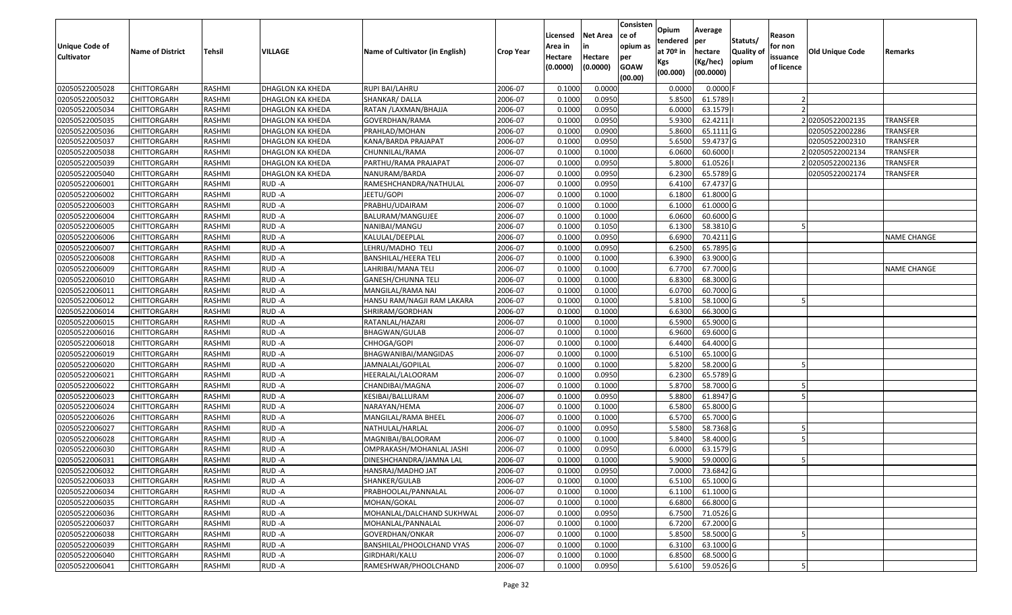| <b>Unique Code of</b><br><b>Cultivator</b> | <b>Name of District</b> | <b>Tehsil</b> | VILLAGE          | Name of Cultivator (in English) | <b>Crop Year</b> | Licensed<br>Area in<br>Hectare<br>(0.0000) | <b>Net Area</b><br>in<br>Hectare<br>(0.0000) | Consisten<br>ce of<br>opium as<br>per<br><b>GOAW</b><br>(00.00) | Opium<br>tendered<br>at 70º in<br>Kgs<br>(00.000) | Average<br>per<br>hectare<br>(Kg/hec)<br>(00.0000) | Statuts/<br><b>Quality of</b><br>opium | Reason<br>for non<br>issuance<br>of licence | Old Unique Code | Remarks            |
|--------------------------------------------|-------------------------|---------------|------------------|---------------------------------|------------------|--------------------------------------------|----------------------------------------------|-----------------------------------------------------------------|---------------------------------------------------|----------------------------------------------------|----------------------------------------|---------------------------------------------|-----------------|--------------------|
| 02050522005028                             | <b>CHITTORGARH</b>      | RASHMI        | DHAGLON KA KHEDA | RUPI BAI/LAHRU                  | 2006-07          | 0.1000                                     | 0.0000                                       |                                                                 | 0.0000                                            | $0.0000$ F                                         |                                        |                                             |                 |                    |
| 02050522005032                             | <b>CHITTORGARH</b>      | RASHMI        | DHAGLON KA KHEDA | SHANKAR/DALLA                   | 2006-07          | 0.1000                                     | 0.0950                                       |                                                                 | 5.8500                                            | 61.5789                                            |                                        |                                             |                 |                    |
| 02050522005034                             | <b>CHITTORGARH</b>      | RASHMI        | DHAGLON KA KHEDA | RATAN /LAXMAN/BHAJJA            | 2006-07          | 0.1000                                     | 0.0950                                       |                                                                 | 6.0000                                            | 63.1579                                            |                                        |                                             |                 |                    |
| 02050522005035                             | <b>CHITTORGARH</b>      | RASHMI        | DHAGLON KA KHEDA | GOVERDHAN/RAMA                  | 2006-07          | 0.1000                                     | 0.0950                                       |                                                                 | 5.9300                                            | 62.4211                                            |                                        |                                             | 202050522002135 | <b>TRANSFER</b>    |
| 02050522005036                             | <b>CHITTORGARH</b>      | RASHMI        | DHAGLON KA KHEDA | PRAHLAD/MOHAN                   | 2006-07          | 0.1000                                     | 0.0900                                       |                                                                 | 5.8600                                            | 65.1111 G                                          |                                        |                                             | 02050522002286  | <b>TRANSFER</b>    |
| 02050522005037                             | <b>CHITTORGARH</b>      | RASHMI        | DHAGLON KA KHEDA | KANA/BARDA PRAJAPAT             | 2006-07          | 0.1000                                     | 0.0950                                       |                                                                 | 5.6500                                            | 59.4737 G                                          |                                        |                                             | 02050522002310  | TRANSFER           |
| 02050522005038                             | <b>CHITTORGARH</b>      | RASHMI        | DHAGLON KA KHEDA | CHUNNILAL/RAMA                  | 2006-07          | 0.1000                                     | 0.1000                                       |                                                                 | 6.0600                                            | 60.6000                                            |                                        |                                             | 02050522002134  | TRANSFER           |
| 02050522005039                             | <b>CHITTORGARH</b>      | RASHMI        | DHAGLON KA KHEDA | PARTHU/RAMA PRAJAPAT            | 2006-07          | 0.1000                                     | 0.0950                                       |                                                                 | 5.8000                                            | 61.0526                                            |                                        |                                             | 202050522002136 | <b>TRANSFER</b>    |
| 02050522005040                             | <b>CHITTORGARH</b>      | RASHMI        | DHAGLON KA KHEDA | NANURAM/BARDA                   | 2006-07          | 0.1000                                     | 0.0950                                       |                                                                 | 6.2300                                            | 65.5789 G                                          |                                        |                                             | 02050522002174  | <b>TRANSFER</b>    |
| 02050522006001                             | <b>CHITTORGARH</b>      | RASHMI        | RUD -A           | RAMESHCHANDRA/NATHULAL          | 2006-07          | 0.1000                                     | 0.0950                                       |                                                                 | 6.4100                                            | 67.4737 G                                          |                                        |                                             |                 |                    |
| 02050522006002                             | <b>CHITTORGARH</b>      | RASHMI        | RUD-A            | jeetu/gopi                      | 2006-07          | 0.1000                                     | 0.1000                                       |                                                                 | 6.1800                                            | 61.8000 G                                          |                                        |                                             |                 |                    |
| 02050522006003                             | <b>CHITTORGARH</b>      | RASHMI        | RUD-A            | PRABHU/UDAIRAM                  | 2006-07          | 0.1000                                     | 0.1000                                       |                                                                 | 6.1000                                            | 61.0000 G                                          |                                        |                                             |                 |                    |
| 02050522006004                             | <b>CHITTORGARH</b>      | RASHMI        | RUD-A            | BALURAM/MANGUJEE                | 2006-07          | 0.1000                                     | 0.1000                                       |                                                                 | 6.0600                                            | 60.6000 G                                          |                                        |                                             |                 |                    |
| 02050522006005                             | <b>CHITTORGARH</b>      | RASHMI        | RUD-A            | NANIBAI/MANGU                   | 2006-07          | 0.1000                                     | 0.1050                                       |                                                                 | 6.1300                                            | 58.3810 G                                          |                                        |                                             |                 |                    |
| 02050522006006                             | <b>CHITTORGARH</b>      | RASHMI        | RUD -A           | KALULAL/DEEPLAL                 | 2006-07          | 0.1000                                     | 0.0950                                       |                                                                 | 6.6900                                            | 70.4211G                                           |                                        |                                             |                 | <b>NAME CHANGE</b> |
| 02050522006007                             | <b>CHITTORGARH</b>      | RASHMI        | RUD-A            | LEHRU/MADHO TELI                | 2006-07          | 0.1000                                     | 0.0950                                       |                                                                 | 6.2500                                            | 65.7895 G                                          |                                        |                                             |                 |                    |
| 02050522006008                             | <b>CHITTORGARH</b>      | RASHMI        | RUD-A            | <b>BANSHILAL/HEERA TELI</b>     | 2006-07          | 0.1000                                     | 0.1000                                       |                                                                 | 6.3900                                            | 63.9000 G                                          |                                        |                                             |                 |                    |
| 02050522006009                             | <b>CHITTORGARH</b>      | RASHMI        | RUD-A            | LAHRIBAI/MANA TELI              | 2006-07          | 0.1000                                     | 0.1000                                       |                                                                 | 6.7700                                            | 67.7000 G                                          |                                        |                                             |                 | NAME CHANGE        |
| 02050522006010                             | <b>CHITTORGARH</b>      | RASHMI        | RUD -A           | GANESH/CHUNNA TELI              | 2006-07          | 0.1000                                     | 0.1000                                       |                                                                 | 6.8300                                            | 68.3000 G                                          |                                        |                                             |                 |                    |
| 02050522006011                             | <b>CHITTORGARH</b>      | RASHMI        | RUD-A            | MANGILAL/RAMA NAI               | 2006-07          | 0.1000                                     | 0.1000                                       |                                                                 | 6.0700                                            | 60.7000 G                                          |                                        |                                             |                 |                    |
| 02050522006012                             | <b>CHITTORGARH</b>      | RASHMI        | RUD-A            | HANSU RAM/NAGJI RAM LAKARA      | 2006-07          | 0.1000                                     | 0.1000                                       |                                                                 | 5.8100                                            | 58.1000 G                                          |                                        |                                             |                 |                    |
| 02050522006014                             | <b>CHITTORGARH</b>      | RASHMI        | RUD-A            | SHRIRAM/GORDHAN                 | 2006-07          | 0.1000                                     | 0.1000                                       |                                                                 | 6.6300                                            | 66.3000 G                                          |                                        |                                             |                 |                    |
| 02050522006015                             | <b>CHITTORGARH</b>      | RASHMI        | RUD -A           | RATANLAL/HAZARI                 | 2006-07          | 0.1000                                     | 0.1000                                       |                                                                 | 6.5900                                            | 65.9000 G                                          |                                        |                                             |                 |                    |
| 02050522006016                             | <b>CHITTORGARH</b>      | RASHMI        | RUD -A           | BHAGWAN/GULAB                   | 2006-07          | 0.1000                                     | 0.1000                                       |                                                                 | 6.9600                                            | 69.6000 G                                          |                                        |                                             |                 |                    |
| 02050522006018                             | <b>CHITTORGARH</b>      | RASHMI        | RUD-A            | CHHOGA/GOPI                     | 2006-07          | 0.1000                                     | 0.1000                                       |                                                                 | 6.4400                                            | 64.4000 G                                          |                                        |                                             |                 |                    |
| 02050522006019                             | <b>CHITTORGARH</b>      | RASHMI        | RUD -A           | BHAGWANIBAI/MANGIDAS            | 2006-07          | 0.1000                                     | 0.1000                                       |                                                                 | 6.5100                                            | 65.1000 G                                          |                                        |                                             |                 |                    |
| 02050522006020                             | <b>CHITTORGARH</b>      | RASHMI        | RUD-A            | JAMNALAL/GOPILAL                | 2006-07          | 0.1000                                     | 0.1000                                       |                                                                 | 5.8200                                            | 58.2000 G                                          |                                        |                                             |                 |                    |
| 02050522006021                             | <b>CHITTORGARH</b>      | RASHMI        | RUD -A           | HEERALAL/LALOORAM               | 2006-07          | 0.1000                                     | 0.0950                                       |                                                                 | 6.2300                                            | 65.5789 G                                          |                                        |                                             |                 |                    |
| 02050522006022                             | <b>CHITTORGARH</b>      | RASHMI        | RUD-A            | CHANDIBAI/MAGNA                 | 2006-07          | 0.1000                                     | 0.1000                                       |                                                                 | 5.8700                                            | 58.7000 G                                          |                                        |                                             |                 |                    |
| 02050522006023                             | <b>CHITTORGARH</b>      | RASHMI        | RUD-A            | KESIBAI/BALLURAM                | 2006-07          | 0.1000                                     | 0.0950                                       |                                                                 | 5.8800                                            | 61.8947 G                                          |                                        |                                             |                 |                    |
| 02050522006024                             | <b>CHITTORGARH</b>      | RASHMI        | RUD-A            | NARAYAN/HEMA                    | 2006-07          | 0.1000                                     | 0.1000                                       |                                                                 | 6.5800                                            | 65.8000 G                                          |                                        |                                             |                 |                    |
| 02050522006026                             | <b>CHITTORGARH</b>      | RASHMI        | RUD -A           | MANGILAL/RAMA BHEEL             | 2006-07          | 0.1000                                     | 0.1000                                       |                                                                 | 6.5700                                            | 65.7000 G                                          |                                        |                                             |                 |                    |
| 02050522006027                             | <b>CHITTORGARH</b>      | RASHMI        | RUD-A            | NATHULAL/HARLAL                 | 2006-07          | 0.1000                                     | 0.0950                                       |                                                                 | 5.5800                                            | 58.7368 G                                          |                                        |                                             |                 |                    |
| 02050522006028                             | <b>CHITTORGARH</b>      | RASHMI        | RUD -A           | MAGNIBAI/BALOORAM               | 2006-07          | 0.1000                                     | 0.1000                                       |                                                                 | 5.8400                                            | 58.4000 G                                          |                                        |                                             |                 |                    |
| 02050522006030                             | <b>CHITTORGARH</b>      | RASHMI        | RUD-A            | OMPRAKASH/MOHANLAL JASHI        | 2006-07          | 0.1000                                     | 0.0950                                       |                                                                 | 6.0000                                            | 63.1579 G                                          |                                        |                                             |                 |                    |
| 02050522006031                             | <b>CHITTORGARH</b>      | RASHMI        | RUD -A           | DINESHCHANDRA/JAMNA LAL         | 2006-07          | 0.1000                                     | 0.1000                                       |                                                                 | 5.9000                                            | 59.0000 G                                          |                                        |                                             |                 |                    |
| 02050522006032                             | CHITTORGARH             | RASHMI        | RUD-A            | HANSRAJ/MADHO JAT               | 2006-07          | 0.1000                                     | 0.0950                                       |                                                                 | 7.0000                                            | 73.6842 G                                          |                                        |                                             |                 |                    |
| 02050522006033                             | <b>CHITTORGARH</b>      | RASHMI        | RUD-A            | SHANKER/GULAB                   | 2006-07          | 0.1000                                     | 0.1000                                       |                                                                 | 6.5100                                            | 65.1000 G                                          |                                        |                                             |                 |                    |
| 02050522006034                             | <b>CHITTORGARH</b>      | RASHMI        | RUD-A            | PRABHOOLAL/PANNALAL             | 2006-07          | 0.1000                                     | 0.1000                                       |                                                                 | 6.1100                                            | 61.1000 G                                          |                                        |                                             |                 |                    |
| 02050522006035                             | <b>CHITTORGARH</b>      | RASHMI        | RUD-A            | MOHAN/GOKAL                     | 2006-07          | 0.1000                                     | 0.1000                                       |                                                                 | 6.6800                                            | 66.8000 G                                          |                                        |                                             |                 |                    |
| 02050522006036                             | <b>CHITTORGARH</b>      | RASHMI        | RUD-A            | MOHANLAL/DALCHAND SUKHWAL       | 2006-07          | 0.1000                                     | 0.0950                                       |                                                                 | 6.7500                                            | 71.0526 G                                          |                                        |                                             |                 |                    |
| 02050522006037                             | <b>CHITTORGARH</b>      | RASHMI        | RUD-A            | MOHANLAL/PANNALAL               | 2006-07          | 0.1000                                     | 0.1000                                       |                                                                 | 6.7200                                            | 67.2000 G                                          |                                        |                                             |                 |                    |
| 02050522006038                             | <b>CHITTORGARH</b>      | RASHMI        | RUD-A            | GOVERDHAN/ONKAR                 | 2006-07          | 0.1000                                     | 0.1000                                       |                                                                 | 5.8500                                            | 58.5000 G                                          |                                        |                                             |                 |                    |
| 02050522006039                             | <b>CHITTORGARH</b>      | RASHMI        | RUD-A            | BANSHILAL/PHOOLCHAND VYAS       | 2006-07          | 0.1000                                     | 0.1000                                       |                                                                 | 6.3100                                            | 63.1000 G                                          |                                        |                                             |                 |                    |
| 02050522006040                             | <b>CHITTORGARH</b>      | RASHMI        | RUD-A            | GIRDHARI/KALU                   | 2006-07          | 0.1000                                     | 0.1000                                       |                                                                 | 6.8500                                            | 68.5000 G                                          |                                        |                                             |                 |                    |
| 02050522006041                             | <b>CHITTORGARH</b>      | RASHMI        | RUD-A            | RAMESHWAR/PHOOLCHAND            | 2006-07          | 0.1000                                     | 0.0950                                       |                                                                 | 5.6100                                            | 59.0526 G                                          |                                        |                                             |                 |                    |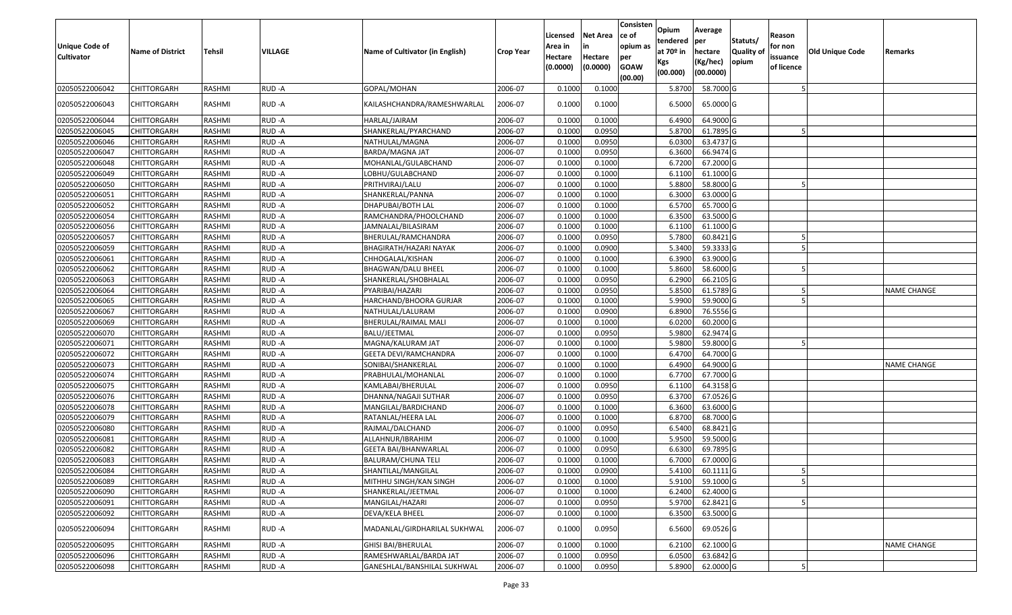| Unique Code of<br><b>Cultivator</b> | <b>Name of District</b> | Tehsil        | VILLAGE | Name of Cultivator (in English) | <b>Crop Year</b> | Licensed<br>Area in<br>Hectare<br>(0.0000) | <b>Net Area</b><br>in<br>Hectare<br>(0.0000) | Consisten<br>ce of<br>opium as<br>per<br><b>GOAW</b><br>(00.00) | Opium<br>tendered<br>at $70°$ in<br>Kgs<br>(00.000) | Average<br>per<br>hectare<br>(Kg/hec)<br>(00.0000) | Statuts/<br><b>Quality o</b><br>opium | Reason<br>for non<br>issuance<br>of licence | Old Unique Code | Remarks            |
|-------------------------------------|-------------------------|---------------|---------|---------------------------------|------------------|--------------------------------------------|----------------------------------------------|-----------------------------------------------------------------|-----------------------------------------------------|----------------------------------------------------|---------------------------------------|---------------------------------------------|-----------------|--------------------|
| 02050522006042                      | CHITTORGARH             | RASHMI        | RUD-A   | GOPAL/MOHAN                     | 2006-07          | 0.1000                                     | 0.1000                                       |                                                                 | 5.8700                                              | 58.7000G                                           |                                       |                                             |                 |                    |
| 02050522006043                      | CHITTORGARH             | RASHMI        | RUD-A   | KAILASHCHANDRA/RAMESHWARLAL     | 2006-07          | 0.1000                                     | 0.1000                                       |                                                                 | 6.5000                                              | 65.0000 G                                          |                                       |                                             |                 |                    |
| 02050522006044                      | CHITTORGARH             | RASHMI        | RUD-A   | HARLAL/JAIRAM                   | 2006-07          | 0.100                                      | 0.1000                                       |                                                                 | 6.4900                                              | 64.9000 G                                          |                                       |                                             |                 |                    |
| 02050522006045                      | <b>CHITTORGARH</b>      | RASHMI        | RUD-A   | SHANKERLAL/PYARCHAND            | 2006-07          | 0.1000                                     | 0.0950                                       |                                                                 | 5.8700                                              | 61.7895 G                                          |                                       |                                             |                 |                    |
| 02050522006046                      | CHITTORGARH             | RASHMI        | RUD-A   | NATHULAL/MAGNA                  | 2006-07          | 0.1000                                     | 0.0950                                       |                                                                 | 6.0300                                              | 63.4737 G                                          |                                       |                                             |                 |                    |
| 02050522006047                      | CHITTORGARH             | RASHMI        | RUD-A   | BARDA/MAGNA JAT                 | 2006-07          | 0.1000                                     | 0.0950                                       |                                                                 | 6.3600                                              | 66.9474 G                                          |                                       |                                             |                 |                    |
| 02050522006048                      | <b>CHITTORGARH</b>      | <b>RASHMI</b> | RUD-A   | MOHANLAL/GULABCHAND             | 2006-07          | 0.1000                                     | 0.1000                                       |                                                                 | 6.7200                                              | 67.2000G                                           |                                       |                                             |                 |                    |
| 02050522006049                      | CHITTORGARH             | RASHMI        | RUD-A   | LOBHU/GULABCHAND                | 2006-07          | 0.1000                                     | 0.1000                                       |                                                                 | 6.1100                                              | 61.1000 G                                          |                                       |                                             |                 |                    |
| 02050522006050                      | CHITTORGARH             | RASHMI        | RUD-A   | PRITHVIRAJ/LALU                 | 2006-07          | 0.1000                                     | 0.1000                                       |                                                                 | 5.8800                                              | 58.8000 G                                          |                                       |                                             |                 |                    |
| 02050522006051                      | <b>CHITTORGARH</b>      | RASHMI        | RUD-A   | SHANKERLAL/PANNA                | 2006-07          | 0.1000                                     | 0.1000                                       |                                                                 | 6.3000                                              | 63.0000G                                           |                                       |                                             |                 |                    |
| 02050522006052                      | <b>CHITTORGARH</b>      | RASHMI        | RUD-A   | DHAPUBAI/BOTH LAL               | 2006-07          | 0.1000                                     | 0.1000                                       |                                                                 | 6.5700                                              | 65.7000 G                                          |                                       |                                             |                 |                    |
| 02050522006054                      | <b>CHITTORGARH</b>      | RASHMI        | RUD-A   | RAMCHANDRA/PHOOLCHAND           | 2006-07          | 0.1000                                     | 0.1000                                       |                                                                 | 6.3500                                              | 63.5000G                                           |                                       |                                             |                 |                    |
| 02050522006056                      | CHITTORGARH             | RASHMI        | RUD-A   | JAMNALAL/BILASIRAM              | 2006-07          | 0.100                                      | 0.1000                                       |                                                                 | 6.1100                                              | 61.1000G                                           |                                       |                                             |                 |                    |
| 02050522006057                      | CHITTORGARH             | RASHMI        | RUD-A   | BHERULAL/RAMCHANDRA             | 2006-07          | 0.1000                                     | 0.0950                                       |                                                                 | 5.7800                                              | 60.8421G                                           |                                       |                                             |                 |                    |
| 02050522006059                      | CHITTORGARH             | RASHMI        | RUD-A   | BHAGIRATH/HAZARI NAYAK          | 2006-07          | 0.1000                                     | 0.0900                                       |                                                                 | 5.3400                                              | 59.3333 G                                          |                                       |                                             |                 |                    |
| 02050522006061                      | CHITTORGARH             | RASHMI        | RUD-A   | CHHOGALAL/KISHAN                | 2006-07          | 0.1000                                     | 0.1000                                       |                                                                 | 6.3900                                              | 63.9000G                                           |                                       |                                             |                 |                    |
| 02050522006062                      | CHITTORGARH             | RASHMI        | RUD-A   | BHAGWAN/DALU BHEEL              | 2006-07          | 0.100                                      | 0.1000                                       |                                                                 | 5.8600                                              | 58.6000 G                                          |                                       |                                             |                 |                    |
| 02050522006063                      | CHITTORGARH             | RASHMI        | RUD-A   | SHANKERLAL/SHOBHALAL            | 2006-07          | 0.1000                                     | 0.0950                                       |                                                                 | 6.2900                                              | 66.2105 G                                          |                                       |                                             |                 |                    |
| 02050522006064                      | CHITTORGARH             | RASHMI        | RUD-A   | PYARIBAI/HAZARI                 | 2006-07          | 0.1000                                     | 0.0950                                       |                                                                 | 5.8500                                              | 61.5789 G                                          |                                       |                                             |                 | <b>NAME CHANGE</b> |
| 02050522006065                      | CHITTORGARH             | RASHMI        | RUD-A   | HARCHAND/BHOORA GURJAR          | 2006-07          | 0.1000                                     | 0.1000                                       |                                                                 | 5.9900                                              | 59.9000G                                           |                                       |                                             |                 |                    |
| 02050522006067                      | CHITTORGARH             | RASHMI        | RUD-A   | NATHULAL/LALURAM                | 2006-07          | 0.1000                                     | 0.0900                                       |                                                                 | 6.8900                                              | 76.5556 G                                          |                                       |                                             |                 |                    |
| 02050522006069                      | CHITTORGARH             | RASHMI        | RUD-A   | BHERULAL/RAIMAL MALI            | 2006-07          | 0.1000                                     | 0.1000                                       |                                                                 | 6.0200                                              | 60.2000 G                                          |                                       |                                             |                 |                    |
| 02050522006070                      | CHITTORGARH             | RASHMI        | RUD-A   | BALU/JEETMAL                    | 2006-07          | 0.1000                                     | 0.0950                                       |                                                                 | 5.9800                                              | 62.9474 G                                          |                                       |                                             |                 |                    |
| 02050522006071                      | <b>CHITTORGARH</b>      | RASHMI        | RUD-A   | MAGNA/KALURAM JAT               | 2006-07          | 0.1000                                     | 0.1000                                       |                                                                 | 5.9800                                              | 59.8000 G                                          |                                       |                                             |                 |                    |
| 02050522006072                      | CHITTORGARH             | RASHMI        | RUD-A   | <b>GEETA DEVI/RAMCHANDRA</b>    | 2006-07          | 0.1000                                     | 0.1000                                       |                                                                 | 6.4700                                              | 64.7000 G                                          |                                       |                                             |                 |                    |
| 02050522006073                      | CHITTORGARH             | RASHMI        | RUD-A   | SONIBAI/SHANKERLAL              | 2006-07          | 0.1000                                     | 0.1000                                       |                                                                 | 6.4900                                              | 64.9000 G                                          |                                       |                                             |                 | <b>NAME CHANGE</b> |
| 02050522006074                      | CHITTORGARH             | RASHMI        | RUD-A   | PRABHULAL/MOHANLAL              | 2006-07          | 0.1000                                     | 0.1000                                       |                                                                 | 6.7700                                              | 67.7000 G                                          |                                       |                                             |                 |                    |
| 02050522006075                      | <b>CHITTORGARH</b>      | <b>RASHMI</b> | RUD-A   | KAMLABAI/BHERULAL               | 2006-07          | 0.1000                                     | 0.0950                                       |                                                                 | 6.1100                                              | 64.3158 G                                          |                                       |                                             |                 |                    |
| 02050522006076                      | CHITTORGARH             | RASHMI        | RUD-A   | DHANNA/NAGAJI SUTHAR            | 2006-07          | 0.1000                                     | 0.0950                                       |                                                                 | 6.3700                                              | 67.0526 G                                          |                                       |                                             |                 |                    |
| 02050522006078                      | CHITTORGARH             | RASHMI        | RUD-A   | MANGILAL/BARDICHAND             | 2006-07          | 0.1000                                     | 0.1000                                       |                                                                 | 6.3600                                              | 63.6000 G                                          |                                       |                                             |                 |                    |
| 02050522006079                      | CHITTORGARH             | RASHMI        | RUD-A   | RATANLAL/HEERA LAL              | 2006-07          | 0.1000                                     | 0.1000                                       |                                                                 | 6.8700                                              | 68.7000 G                                          |                                       |                                             |                 |                    |
| 02050522006080                      | CHITTORGARH             | RASHMI        | RUD-A   | RAJMAL/DALCHAND                 | 2006-07          | 0.1000                                     | 0.0950                                       |                                                                 | 6.5400                                              | 68.8421 G                                          |                                       |                                             |                 |                    |
| 02050522006081                      | <b>CHITTORGARH</b>      | RASHMI        | RUD-A   | ALLAHNUR/IBRAHIM                | 2006-07          | 0.1000                                     | 0.1000                                       |                                                                 | 5.9500                                              | 59.5000 G                                          |                                       |                                             |                 |                    |
| 02050522006082                      | CHITTORGARH             | RASHMI        | RUD-A   | GEETA BAI/BHANWARLAL            | 2006-07          | 0.1000                                     | 0.0950                                       |                                                                 | 6.6300                                              | 69.7895 G                                          |                                       |                                             |                 |                    |
| 02050522006083                      | CHITTORGARH             | RASHMI        | RUD-A   | BALURAM/CHUNA TELI              | 2006-07          | 0.1000                                     | 0.1000                                       |                                                                 | 6.7000                                              | 67.0000G                                           |                                       |                                             |                 |                    |
| 02050522006084                      | <b>CHITTORGARH</b>      | RASHMI        | RUD-A   | SHANTILAL/MANGILAL              | 2006-07          | 0.1000                                     | 0.0900                                       |                                                                 | 5.4100                                              | 60.1111G                                           |                                       | $\mathcal{P}$                               |                 |                    |
| 02050522006089                      | <b>CHITTORGARH</b>      | RASHMI        | RUD-A   | MITHHU SINGH/KAN SINGH          | 2006-07          | 0.1000                                     | 0.1000                                       |                                                                 | 5.9100                                              | 59.1000 G                                          |                                       | 5                                           |                 |                    |
| 02050522006090                      | <b>CHITTORGARH</b>      | RASHMI        | RUD-A   | SHANKERLAL/JEETMAL              | 2006-07          | 0.1000                                     | 0.1000                                       |                                                                 | 6.2400                                              | 62.4000 G                                          |                                       |                                             |                 |                    |
| 02050522006091                      | <b>CHITTORGARH</b>      | RASHMI        | RUD-A   | MANGILAL/HAZARI                 | 2006-07          | 0.1000                                     | 0.0950                                       |                                                                 | 5.9700                                              | 62.8421 G                                          |                                       |                                             |                 |                    |
| 02050522006092                      | CHITTORGARH             | RASHMI        | RUD-A   | DEVA/KELA BHEEL                 | 2006-07          | 0.1000                                     | 0.1000                                       |                                                                 | 6.3500                                              | 63.5000 G                                          |                                       |                                             |                 |                    |
| 02050522006094                      | <b>CHITTORGARH</b>      | RASHMI        | RUD-A   | MADANLAL/GIRDHARILAL SUKHWAL    | 2006-07          | 0.1000                                     | 0.0950                                       |                                                                 | 6.5600                                              | 69.0526 G                                          |                                       |                                             |                 |                    |
| 02050522006095                      | CHITTORGARH             | RASHMI        | RUD-A   | <b>GHISI BAI/BHERULAL</b>       | 2006-07          | 0.1000                                     | 0.1000                                       |                                                                 | 6.2100                                              | $62.1000$ G                                        |                                       |                                             |                 | <b>NAME CHANGE</b> |
| 02050522006096                      | <b>CHITTORGARH</b>      | RASHMI        | RUD-A   | RAMESHWARLAL/BARDA JAT          | 2006-07          | 0.1000                                     | 0.0950                                       |                                                                 | 6.0500                                              | 63.6842 G                                          |                                       |                                             |                 |                    |
| 02050522006098                      | <b>CHITTORGARH</b>      | RASHMI        | RUD-A   | GANESHLAL/BANSHILAL SUKHWAL     | 2006-07          | 0.1000                                     | 0.0950                                       |                                                                 | 5.8900                                              | 62.0000 G                                          |                                       |                                             |                 |                    |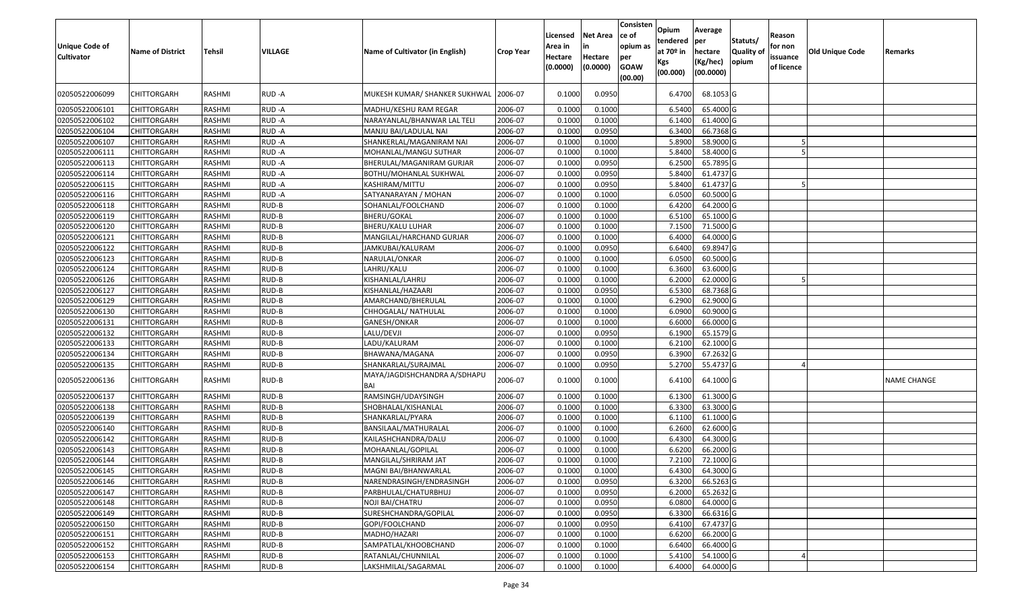| <b>Unique Code of</b><br><b>Cultivator</b> | <b>Name of District</b> | Tehsil | VILLAGE | Name of Cultivator (in English)     | <b>Crop Year</b> | Licensed<br>Area in<br>Hectare<br>(0.0000) | <b>Net Area</b><br>in<br>Hectare<br>(0.0000) | Consisten<br>ce of<br>opium as<br>per<br><b>GOAW</b><br>(00.00) | Opium<br>tendered<br>at $70°$ in<br>Kgs<br>(00.000) | Average<br>per<br>hectare<br>(Kg/hec)<br>(00.0000) | Statuts/<br><b>Quality o</b><br>opium | Reason<br>for non<br>issuance<br>of licence | <b>Old Unique Code</b> | Remarks     |
|--------------------------------------------|-------------------------|--------|---------|-------------------------------------|------------------|--------------------------------------------|----------------------------------------------|-----------------------------------------------------------------|-----------------------------------------------------|----------------------------------------------------|---------------------------------------|---------------------------------------------|------------------------|-------------|
| 02050522006099                             | CHITTORGARH             | RASHMI | RUD-A   | MUKESH KUMAR/ SHANKER SUKHWAL       | 2006-07          | 0.1000                                     | 0.0950                                       |                                                                 | 6.4700                                              | 68.1053 G                                          |                                       |                                             |                        |             |
| 02050522006101                             | CHITTORGARH             | RASHMI | RUD-A   | MADHU/KESHU RAM REGAR               | 2006-07          | 0.1000                                     | 0.1000                                       |                                                                 | 6.5400                                              | 65.4000 G                                          |                                       |                                             |                        |             |
| 02050522006102                             | CHITTORGARH             | RASHMI | RUD-A   | NARAYANLAL/BHANWAR LAL TELI         | 2006-07          | 0.1000                                     | 0.1000                                       |                                                                 | 6.1400                                              | 61.4000 G                                          |                                       |                                             |                        |             |
| 02050522006104                             | <b>CHITTORGARH</b>      | RASHMI | RUD-A   | MANJU BAI/LADULAL NAI               | 2006-07          | 0.1000                                     | 0.0950                                       |                                                                 | 6.3400                                              | 66.7368 G                                          |                                       |                                             |                        |             |
| 02050522006107                             | CHITTORGARH             | RASHMI | RUD-A   | SHANKERLAL/MAGANIRAM NAI            | 2006-07          | 0.1000                                     | 0.1000                                       |                                                                 | 5.8900                                              | 58.9000G                                           |                                       |                                             |                        |             |
| 02050522006111                             | CHITTORGARH             | RASHMI | RUD-A   | MOHANLAL/MANGU SUTHAR               | 2006-07          | 0.1000                                     | 0.1000                                       |                                                                 | 5.8400                                              | 58.4000 G                                          |                                       |                                             |                        |             |
| 02050522006113                             | <b>CHITTORGARH</b>      | RASHMI | RUD-A   | BHERULAL/MAGANIRAM GURJAR           | 2006-07          | 0.1000                                     | 0.0950                                       |                                                                 | 6.2500                                              | 65.7895 G                                          |                                       |                                             |                        |             |
| 02050522006114                             | <b>CHITTORGARH</b>      | RASHMI | RUD-A   | BOTHU/MOHANLAL SUKHWAL              | 2006-07          | 0.1000                                     | 0.0950                                       |                                                                 | 5.8400                                              | 61.4737 G                                          |                                       |                                             |                        |             |
| 02050522006115                             | CHITTORGARH             | RASHMI | RUD-A   | KASHIRAM/MITTU                      | 2006-07          | 0.1000                                     | 0.0950                                       |                                                                 | 5.8400                                              | 61.4737 G                                          |                                       |                                             |                        |             |
| 02050522006116                             | CHITTORGARH             | RASHMI | RUD-A   | SATYANARAYAN / MOHAN                | 2006-07          | 0.1000                                     | 0.1000                                       |                                                                 | 6.0500                                              | 60.5000 G                                          |                                       |                                             |                        |             |
| 02050522006118                             | CHITTORGARH             | RASHMI | RUD-B   | SOHANLAL/FOOLCHAND                  | 2006-07          | 0.1000                                     | 0.1000                                       |                                                                 | 6.4200                                              | 64.2000 G                                          |                                       |                                             |                        |             |
| 02050522006119                             | <b>CHITTORGARH</b>      | RASHMI | RUD-B   | <b>BHERU/GOKAL</b>                  | 2006-07          | 0.1000                                     | 0.1000                                       |                                                                 | 6.5100                                              | 65.1000G                                           |                                       |                                             |                        |             |
| 02050522006120                             | CHITTORGARH             | RASHMI | RUD-B   | BHERU/KALU LUHAR                    | 2006-07          | 0.100                                      | 0.1000                                       |                                                                 | 7.1500                                              | 71.5000G                                           |                                       |                                             |                        |             |
| 02050522006121                             | <b>CHITTORGARH</b>      | RASHMI | RUD-B   | MANGILAL/HARCHAND GURJAR            | 2006-07          | 0.1000                                     | 0.1000                                       |                                                                 | 6.4000                                              | 64.0000G                                           |                                       |                                             |                        |             |
| 02050522006122                             | CHITTORGARH             | RASHMI | RUD-B   | JAMKUBAI/KALURAM                    | 2006-07          | 0.100                                      | 0.0950                                       |                                                                 | 6.6400                                              | 69.8947 G                                          |                                       |                                             |                        |             |
| 02050522006123                             | CHITTORGARH             | RASHMI | RUD-B   | NARULAL/ONKAR                       | 2006-07          | 0.100                                      | 0.1000                                       |                                                                 | 6.0500                                              | 60.5000G                                           |                                       |                                             |                        |             |
| 02050522006124                             | CHITTORGARH             | RASHMI | RUD-B   | LAHRU/KALU                          | 2006-07          | 0.100                                      | 0.1000                                       |                                                                 | 6.3600                                              | 63.6000G                                           |                                       |                                             |                        |             |
| 02050522006126                             | CHITTORGARH             | RASHMI | RUD-B   | KISHANLAL/LAHRU                     | 2006-07          | 0.100                                      | 0.1000                                       |                                                                 | 6.2000                                              | 62.0000G                                           |                                       |                                             |                        |             |
| 02050522006127                             | CHITTORGARH             | RASHMI | RUD-B   | KISHANLAL/HAZAARI                   | 2006-07          | 0.1000                                     | 0.0950                                       |                                                                 | 6.5300                                              | 68.7368 G                                          |                                       |                                             |                        |             |
| 02050522006129                             | CHITTORGARH             | RASHMI | RUD-B   | AMARCHAND/BHERULAL                  | 2006-07          | 0.100                                      | 0.1000                                       |                                                                 | 6.2900                                              | 62.9000 G                                          |                                       |                                             |                        |             |
| 02050522006130                             | CHITTORGARH             | RASHMI | RUD-B   | CHHOGALAL/ NATHULAL                 | 2006-07          | 0.1000                                     | 0.1000                                       |                                                                 | 6.0900                                              | 60.9000 G                                          |                                       |                                             |                        |             |
| 02050522006131                             | CHITTORGARH             | RASHMI | RUD-B   | GANESH/ONKAR                        | 2006-07          | 0.1000                                     | 0.1000                                       |                                                                 | 6.6000                                              | 66.0000G                                           |                                       |                                             |                        |             |
| 02050522006132                             | CHITTORGARH             | RASHMI | RUD-B   | LALU/DEVJI                          | 2006-07          | 0.1000                                     | 0.0950                                       |                                                                 | 6.1900                                              | 65.1579 G                                          |                                       |                                             |                        |             |
| 02050522006133                             | <b>CHITTORGARH</b>      | RASHMI | RUD-B   | LADU/KALURAM                        | 2006-07          | 0.1000                                     | 0.1000                                       |                                                                 | 6.2100                                              | 62.1000G                                           |                                       |                                             |                        |             |
| 02050522006134                             | CHITTORGARH             | RASHMI | RUD-B   | BHAWANA/MAGANA                      | 2006-07          | 0.1000                                     | 0.0950                                       |                                                                 | 6.3900                                              | 67.2632 G                                          |                                       |                                             |                        |             |
| 02050522006135                             | CHITTORGARH             | RASHMI | RUD-B   | SHANKARLAL/SURAJMAL                 | 2006-07          | 0.1000                                     | 0.0950                                       |                                                                 | 5.2700                                              | 55.4737 G                                          |                                       |                                             |                        |             |
| 02050522006136                             | CHITTORGARH             | RASHMI | RUD-B   | MAYA/JAGDISHCHANDRA A/SDHAPU<br>BAI | 2006-07          | 0.1000                                     | 0.1000                                       |                                                                 | 6.4100                                              | 64.1000 G                                          |                                       |                                             |                        | NAME CHANGE |
| 02050522006137                             | <b>CHITTORGARH</b>      | RASHMI | RUD-B   | RAMSINGH/UDAYSINGH                  | 2006-07          | 0.1000                                     | 0.1000                                       |                                                                 | 6.1300                                              | 61.3000G                                           |                                       |                                             |                        |             |
| 02050522006138                             | CHITTORGARH             | RASHMI | RUD-B   | SHOBHALAL/KISHANLAL                 | 2006-07          | 0.1000                                     | 0.1000                                       |                                                                 | 6.3300                                              | 63.3000 G                                          |                                       |                                             |                        |             |
| 02050522006139                             | CHITTORGARH             | RASHMI | RUD-B   | SHANKARLAL/PYARA                    | 2006-07          | 0.1000                                     | 0.1000                                       |                                                                 | 6.1100                                              | 61.1000 G                                          |                                       |                                             |                        |             |
| 02050522006140                             | CHITTORGARH             | RASHMI | RUD-B   | BANSILAAL/MATHURALAL                | 2006-07          | 0.1000                                     | 0.1000                                       |                                                                 | 6.2600                                              | 62.6000G                                           |                                       |                                             |                        |             |
| 02050522006142                             | <b>CHITTORGARH</b>      | RASHMI | RUD-B   | KAILASHCHANDRA/DALU                 | 2006-07          | 0.1000                                     | 0.1000                                       |                                                                 | 6.4300                                              | 64.3000G                                           |                                       |                                             |                        |             |
| 02050522006143                             | CHITTORGARH             | RASHMI | RUD-B   | MOHAANLAL/GOPILAL                   | 2006-07          | 0.1000                                     | 0.1000                                       |                                                                 | 6.6200                                              | 66.2000 G                                          |                                       |                                             |                        |             |
| 02050522006144                             | CHITTORGARH             | RASHMI | RUD-B   | MANGILAL/SHRIRAM JAT                | 2006-07          | 0.1000                                     | 0.1000                                       |                                                                 | 7.2100                                              | 72.1000G                                           |                                       |                                             |                        |             |
| 02050522006145                             | <b>CHITTORGARH</b>      | RASHMI | RUD-B   | MAGNI BAI/BHANWARLAL                | 2006-07          | 0.1000                                     | 0.1000                                       |                                                                 | 6.4300                                              | 64.3000 G                                          |                                       |                                             |                        |             |
| 02050522006146                             | <b>CHITTORGARH</b>      | RASHMI | RUD-B   | NARENDRASINGH/ENDRASINGH            | 2006-07          | 0.1000                                     | 0.0950                                       |                                                                 | 6.3200                                              | 66.5263 G                                          |                                       |                                             |                        |             |
| 02050522006147                             | <b>CHITTORGARH</b>      | RASHMI | RUD-B   | PARBHULAL/CHATURBHUJ                | 2006-07          | 0.1000                                     | 0.0950                                       |                                                                 | 6.2000                                              | 65.2632 G                                          |                                       |                                             |                        |             |
| 02050522006148                             | <b>CHITTORGARH</b>      | RASHMI | RUD-B   | NOJI BAI/CHATRU                     | 2006-07          | 0.1000                                     | 0.0950                                       |                                                                 | 6.0800                                              | 64.0000 G                                          |                                       |                                             |                        |             |
| 02050522006149                             | <b>CHITTORGARH</b>      | RASHMI | RUD-B   | SURESHCHANDRA/GOPILAL               | 2006-07          | 0.1000                                     | 0.0950                                       |                                                                 | 6.3300                                              | 66.6316 G                                          |                                       |                                             |                        |             |
| 02050522006150                             | <b>CHITTORGARH</b>      | RASHMI | RUD-B   | GOPI/FOOLCHAND                      | 2006-07          | 0.1000                                     | 0.0950                                       |                                                                 | 6.4100                                              | 67.4737 G                                          |                                       |                                             |                        |             |
| 02050522006151                             | <b>CHITTORGARH</b>      | RASHMI | RUD-B   | MADHO/HAZARI                        | 2006-07          | 0.1000                                     | 0.1000                                       |                                                                 | 6.6200                                              | 66.2000 G                                          |                                       |                                             |                        |             |
| 02050522006152                             | <b>CHITTORGARH</b>      | RASHMI | RUD-B   | SAMPATLAL/KHOOBCHAND                | 2006-07          | 0.1000                                     | 0.1000                                       |                                                                 | 6.6400                                              | $66.4000$ G                                        |                                       |                                             |                        |             |
| 02050522006153                             | <b>CHITTORGARH</b>      | RASHMI | RUD-B   | RATANLAL/CHUNNILAL                  | 2006-07          | 0.1000                                     | 0.1000                                       |                                                                 | 5.4100                                              | 54.1000 G                                          |                                       |                                             |                        |             |
| 02050522006154                             | <b>CHITTORGARH</b>      | RASHMI | RUD-B   | LAKSHMILAL/SAGARMAL                 | 2006-07          | 0.1000                                     | 0.1000                                       |                                                                 | 6.4000                                              | 64.0000 G                                          |                                       |                                             |                        |             |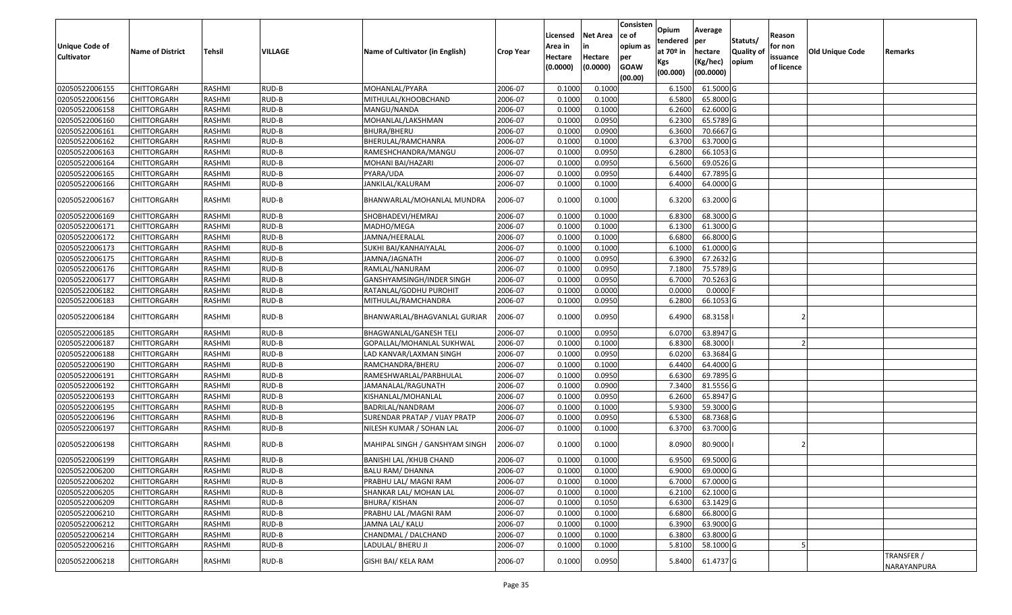| <b>Unique Code of</b><br><b>Cultivator</b> | <b>Name of District</b> | Tehsil | VILLAGE | Name of Cultivator (in English) | <b>Crop Year</b> | Licensed<br>Area in<br>Hectare<br>(0.0000) | <b>Net Area</b><br>in<br>Hectare<br>(0.0000) | Consisten<br>ce of<br>opium as<br>per<br><b>GOAW</b> | Opium<br>tendered<br>at $70°$ in<br>Kgs<br>(00.000) | Average<br>per<br>hectare<br>(Kg/hec)<br>(00.0000) | Statuts/<br>Quality o<br>opium | Reason<br>for non<br>issuance<br>of licence | Old Unique Code | Remarks                   |
|--------------------------------------------|-------------------------|--------|---------|---------------------------------|------------------|--------------------------------------------|----------------------------------------------|------------------------------------------------------|-----------------------------------------------------|----------------------------------------------------|--------------------------------|---------------------------------------------|-----------------|---------------------------|
|                                            |                         |        |         |                                 |                  |                                            |                                              | (00.00)                                              |                                                     |                                                    |                                |                                             |                 |                           |
| 02050522006155                             | CHITTORGARH             | RASHMI | RUD-B   | MOHANLAL/PYARA                  | 2006-07          | 0.1000                                     | 0.1000                                       |                                                      | 6.1500                                              | 61.5000G                                           |                                |                                             |                 |                           |
| 02050522006156                             | CHITTORGARH             | RASHMI | RUD-B   | MITHULAL/KHOOBCHAND             | 2006-07          | 0.1000                                     | 0.1000                                       |                                                      | 6.5800                                              | 65.8000 G                                          |                                |                                             |                 |                           |
| 02050522006158                             | CHITTORGARH             | RASHMI | RUD-B   | MANGU/NANDA                     | 2006-07          | 0.1000                                     | 0.1000                                       |                                                      | 6.2600                                              | 62.6000G                                           |                                |                                             |                 |                           |
| 02050522006160                             | <b>CHITTORGARH</b>      | RASHMI | RUD-B   | MOHANLAL/LAKSHMAN               | 2006-07          | 0.1000                                     | 0.0950                                       |                                                      | 6.2300                                              | 65.5789 G                                          |                                |                                             |                 |                           |
| 02050522006161                             | CHITTORGARH             | RASHMI | RUD-B   | <b>BHURA/BHERU</b>              | 2006-07          | 0.1000                                     | 0.0900                                       |                                                      | 6.3600                                              | 70.6667 G                                          |                                |                                             |                 |                           |
| 02050522006162                             | <b>CHITTORGARH</b>      | RASHMI | RUD-B   | BHERULAL/RAMCHANRA              | 2006-07          | 0.1000                                     | 0.1000                                       |                                                      | 6.3700                                              | 63.7000 G                                          |                                |                                             |                 |                           |
| 02050522006163                             | CHITTORGARH             | RASHMI | RUD-B   | RAMESHCHANDRA/MANGU             | 2006-07          | 0.1000                                     | 0.0950                                       |                                                      | 6.2800                                              | 66.1053 G                                          |                                |                                             |                 |                           |
| 02050522006164                             | CHITTORGARH             | RASHMI | RUD-B   | MOHANI BAI/HAZARI               | 2006-07          | 0.1000                                     | 0.0950                                       |                                                      | 6.5600                                              | 69.0526 G                                          |                                |                                             |                 |                           |
| 02050522006165                             | CHITTORGARH             | RASHMI | RUD-B   | PYARA/UDA                       | 2006-07          | 0.1000                                     | 0.0950                                       |                                                      | 6.4400                                              | 67.7895 G                                          |                                |                                             |                 |                           |
| 02050522006166                             | CHITTORGARH             | RASHMI | RUD-B   | JANKILAL/KALURAM                | 2006-07          | 0.1000                                     | 0.1000                                       |                                                      | 6.4000                                              | 64.0000 G                                          |                                |                                             |                 |                           |
| 02050522006167                             | CHITTORGARH             | RASHMI | RUD-B   | BHANWARLAL/MOHANLAL MUNDRA      | 2006-07          | 0.1000                                     | 0.1000                                       |                                                      | 6.3200                                              | 63.2000 G                                          |                                |                                             |                 |                           |
| 02050522006169                             | <b>CHITTORGARH</b>      | RASHMI | RUD-B   | SHOBHADEVI/HEMRAJ               | 2006-07          | 0.1000                                     | 0.1000                                       |                                                      | 6.8300                                              | 68.3000 G                                          |                                |                                             |                 |                           |
| 02050522006171                             | <b>CHITTORGARH</b>      | RASHMI | RUD-B   | MADHO/MEGA                      | 2006-07          | 0.1000                                     | 0.1000                                       |                                                      | 6.1300                                              | 61.3000G                                           |                                |                                             |                 |                           |
| 02050522006172                             | CHITTORGARH             | RASHMI | RUD-B   | JAMNA/HEERALAL                  | 2006-07          | 0.1000                                     | 0.1000                                       |                                                      | 6.6800                                              | 66.8000G                                           |                                |                                             |                 |                           |
| 02050522006173                             | CHITTORGARH             | RASHMI | RUD-B   | SUKHI BAI/KANHAIYALAL           | 2006-07          | 0.100                                      | 0.1000                                       |                                                      | 6.1000                                              | 61.0000G                                           |                                |                                             |                 |                           |
| 02050522006175                             | CHITTORGARH             | RASHMI | RUD-B   | JAMNA/JAGNATH                   | 2006-07          | 0.100                                      | 0.0950                                       |                                                      | 6.3900                                              | 67.2632 G                                          |                                |                                             |                 |                           |
| 02050522006176                             | CHITTORGARH             | RASHMI | RUD-B   | RAMLAL/NANURAM                  | 2006-07          | 0.100                                      | 0.0950                                       |                                                      | 7.1800                                              | 75.5789 G                                          |                                |                                             |                 |                           |
| 02050522006177                             | CHITTORGARH             | RASHMI | RUD-B   | GANSHYAMSINGH/INDER SINGH       | 2006-07          | 0.100                                      | 0.0950                                       |                                                      | 6.7000                                              | 70.5263 G                                          |                                |                                             |                 |                           |
| 02050522006182                             | CHITTORGARH             | RASHMI | RUD-B   | RATANLAL/GODHU PUROHIT          | 2006-07          | 0.1000                                     | 0.0000                                       |                                                      | 0.0000                                              | 0.0000                                             |                                |                                             |                 |                           |
| 02050522006183                             | CHITTORGARH             | RASHMI | RUD-B   | MITHULAL/RAMCHANDRA             | 2006-07          | 0.1000                                     | 0.0950                                       |                                                      | 6.2800                                              | 66.1053 G                                          |                                |                                             |                 |                           |
| 02050522006184                             | CHITTORGARH             | RASHMI | RUD-B   | BHANWARLAL/BHAGVANLAL GURJAR    | 2006-07          | 0.1000                                     | 0.0950                                       |                                                      | 6.4900                                              | 68.3158                                            |                                |                                             |                 |                           |
| 02050522006185                             | CHITTORGARH             | RASHMI | RUD-B   | BHAGWANLAL/GANESH TELI          | 2006-07          | 0.1000                                     | 0.0950                                       |                                                      | 6.0700                                              | 63.8947 G                                          |                                |                                             |                 |                           |
| 02050522006187                             | CHITTORGARH             | RASHMI | RUD-B   | GOPALLAL/MOHANLAL SUKHWAL       | 2006-07          | 0.1000                                     | 0.1000                                       |                                                      | 6.8300                                              | 68.3000                                            |                                |                                             |                 |                           |
| 02050522006188                             | CHITTORGARH             | RASHMI | RUD-B   | LAD KANVAR/LAXMAN SINGH         | 2006-07          | 0.1000                                     | 0.0950                                       |                                                      | 6.0200                                              | 63.3684 G                                          |                                |                                             |                 |                           |
| 02050522006190                             | <b>CHITTORGARH</b>      | RASHMI | RUD-B   | RAMCHANDRA/BHERU                | 2006-07          | 0.100                                      | 0.1000                                       |                                                      | 6.4400                                              | 64.4000 G                                          |                                |                                             |                 |                           |
| 02050522006191                             | CHITTORGARH             | RASHMI | RUD-B   | RAMESHWARLAL/PARBHULAL          | 2006-07          | 0.1000                                     | 0.0950                                       |                                                      | 6.6300                                              | 69.7895 G                                          |                                |                                             |                 |                           |
| 02050522006192                             | CHITTORGARH             | RASHMI | RUD-B   | JAMANALAL/RAGUNATH              | 2006-07          | 0.1000                                     | 0.0900                                       |                                                      | 7.3400                                              | 81.5556 G                                          |                                |                                             |                 |                           |
| 02050522006193                             | CHITTORGARH             | RASHMI | RUD-B   | KISHANLAL/MOHANLAL              | 2006-07          | 0.1000                                     | 0.0950                                       |                                                      | 6.2600                                              | 65.8947 G                                          |                                |                                             |                 |                           |
| 02050522006195                             | CHITTORGARH             | RASHMI | RUD-B   | BADRILAL/NANDRAM                | 2006-07          | 0.1000                                     | 0.1000                                       |                                                      | 5.9300                                              | 59.3000 G                                          |                                |                                             |                 |                           |
| 02050522006196                             | CHITTORGARH             | RASHMI | RUD-B   | SURENDAR PRATAP / VIJAY PRATP   | 2006-07          | 0.1000                                     | 0.0950                                       |                                                      | 6.5300                                              | 68.7368 G                                          |                                |                                             |                 |                           |
| 02050522006197                             | CHITTORGARH             | RASHMI | RUD-B   | NILESH KUMAR / SOHAN LAL        | 2006-07          | 0.100                                      | 0.1000                                       |                                                      | 6.3700                                              | 63.7000 G                                          |                                |                                             |                 |                           |
| 02050522006198                             | CHITTORGARH             | RASHMI | RUD-B   | MAHIPAL SINGH / GANSHYAM SINGH  | 2006-07          | 0.1000                                     | 0.1000                                       |                                                      | 8.0900                                              | 80.9000                                            |                                |                                             |                 |                           |
| 02050522006199                             | <b>CHITTORGARH</b>      | RASHMI | RUD-B   | BANISHI LAL / KHUB CHAND        | 2006-07          | 0.1000                                     | 0.1000                                       |                                                      | 6.9500                                              | 69.5000 G                                          |                                |                                             |                 |                           |
| 02050522006200                             | <b>CHITTORGARH</b>      | RASHMI | $RUD-B$ | <b>BALU RAM/ DHANNA</b>         | 2006-07          | 0.1000                                     | 0.1000                                       |                                                      | 6.9000                                              | 69.0000G                                           |                                |                                             |                 |                           |
| 02050522006202                             | <b>CHITTORGARH</b>      | RASHMI | RUD-B   | PRABHU LAL/ MAGNI RAM           | 2006-07          | 0.1000                                     | 0.1000                                       |                                                      | 6.7000                                              | 67.0000 G                                          |                                |                                             |                 |                           |
| 02050522006205                             | <b>CHITTORGARH</b>      | RASHMI | RUD-B   | SHANKAR LAL/ MOHAN LAL          | 2006-07          | 0.1000                                     | 0.1000                                       |                                                      | 6.2100                                              | 62.1000 G                                          |                                |                                             |                 |                           |
| 02050522006209                             | <b>CHITTORGARH</b>      | RASHMI | RUD-B   | <b>BHURA/KISHAN</b>             | 2006-07          | 0.1000                                     | 0.1050                                       |                                                      | 6.6300                                              | 63.1429 G                                          |                                |                                             |                 |                           |
| 02050522006210                             | <b>CHITTORGARH</b>      | RASHMI | RUD-B   | PRABHU LAL /MAGNI RAM           | 2006-07          | 0.1000                                     | 0.1000                                       |                                                      | 6.6800                                              | 66.8000 G                                          |                                |                                             |                 |                           |
| 02050522006212                             | <b>CHITTORGARH</b>      | RASHMI | RUD-B   | JAMNA LAL/ KALU                 | 2006-07          | 0.1000                                     | 0.1000                                       |                                                      | 6.3900                                              | 63.9000 G                                          |                                |                                             |                 |                           |
| 02050522006214                             | <b>CHITTORGARH</b>      | RASHMI | RUD-B   | CHANDMAL / DALCHAND             | 2006-07          | 0.1000                                     | 0.1000                                       |                                                      | 6.3800                                              | 63.8000 G                                          |                                |                                             |                 |                           |
| 02050522006216                             | <b>CHITTORGARH</b>      | RASHMI | RUD-B   | LADULAL/ BHERU JI               | 2006-07          | 0.1000                                     | 0.1000                                       |                                                      | 5.8100                                              | 58.1000 G                                          |                                |                                             |                 |                           |
| 02050522006218                             | CHITTORGARH             | RASHMI | RUD-B   | GISHI BAI/ KELA RAM             | 2006-07          | 0.1000                                     | 0.0950                                       |                                                      | 5.8400                                              | 61.4737 G                                          |                                |                                             |                 | TRANSFER /<br>NARAYANPURA |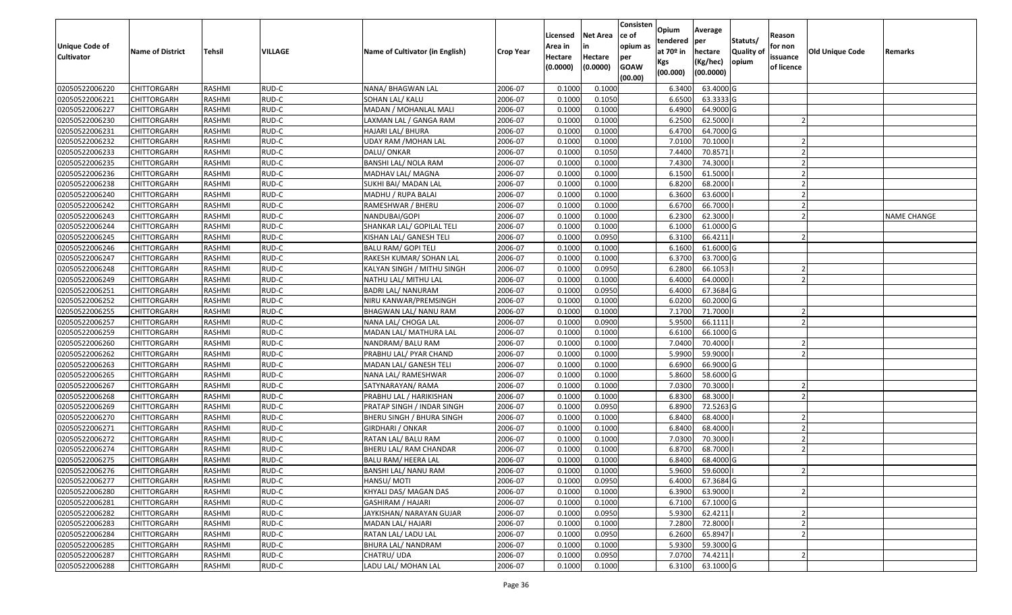| <b>Unique Code of</b><br><b>Cultivator</b> | <b>Name of District</b> | Tehsil | VILLAGE | Name of Cultivator (in English) | <b>Crop Year</b> | Licensed<br>Area in<br>Hectare | <b>Net Area</b><br>in<br>Hectare | Consisten<br>ce of<br>opium as<br>per | Opium<br>tendered<br>at $70°$ in | Average<br>per<br>hectare | Statuts/<br>Quality o | Reason<br>for non<br>issuance | <b>Old Unique Code</b> | Remarks            |
|--------------------------------------------|-------------------------|--------|---------|---------------------------------|------------------|--------------------------------|----------------------------------|---------------------------------------|----------------------------------|---------------------------|-----------------------|-------------------------------|------------------------|--------------------|
|                                            |                         |        |         |                                 |                  | (0.0000)                       | (0.0000)                         | <b>GOAW</b><br>(00.00)                | Kgs<br>(00.000)                  | (Kg/hec)<br>(00.0000)     | opium                 | of licence                    |                        |                    |
| 02050522006220                             | CHITTORGARH             | RASHMI | RUD-C   | NANA/ BHAGWAN LAL               | 2006-07          | 0.1000                         | 0.1000                           |                                       | 6.3400                           | 63.4000 G                 |                       |                               |                        |                    |
| 02050522006221                             | CHITTORGARH             | RASHMI | RUD-C   | SOHAN LAL/ KALU                 | 2006-07          | 0.1000                         | 0.1050                           |                                       | 6.6500                           | 63.3333 G                 |                       |                               |                        |                    |
| 02050522006227                             | CHITTORGARH             | RASHMI | RUD-C   | MADAN / MOHANLAL MALI           | 2006-07          | 0.1000                         | 0.1000                           |                                       | 6.4900                           | 64.9000 G                 |                       |                               |                        |                    |
| 02050522006230                             | <b>CHITTORGARH</b>      | RASHMI | RUD-C   | LAXMAN LAL / GANGA RAM          | 2006-07          | 0.1000                         | 0.1000                           |                                       | 6.2500                           | 62.5000                   |                       |                               |                        |                    |
| 02050522006231                             | CHITTORGARH             | RASHMI | RUD-C   | HAJARI LAL/ BHURA               | 2006-07          | 0.1000                         | 0.1000                           |                                       | 6.4700                           | 64.7000 G                 |                       |                               |                        |                    |
| 02050522006232                             | CHITTORGARH             | RASHMI | RUD-C   | UDAY RAM /MOHAN LAL             | 2006-07          | 0.1000                         | 0.1000                           |                                       | 7.0100                           | 70.1000                   |                       |                               |                        |                    |
| 02050522006233                             | CHITTORGARH             | RASHMI | RUD-C   | DALU/ ONKAR                     | 2006-07          | 0.1000                         | 0.1050                           |                                       | 7.4400                           | 70.8571                   |                       |                               |                        |                    |
| 02050522006235                             | <b>CHITTORGARH</b>      | RASHMI | RUD-C   | BANSHI LAL/ NOLA RAM            | 2006-07          | 0.1000                         | 0.1000                           |                                       | 7.4300                           | 74.3000                   |                       |                               |                        |                    |
| 02050522006236                             | CHITTORGARH             | RASHMI | RUD-C   | MADHAV LAL/ MAGNA               | 2006-07          | 0.1000                         | 0.1000                           |                                       | 6.1500                           | 61.5000                   |                       |                               |                        |                    |
| 02050522006238                             | CHITTORGARH             | RASHMI | RUD-C   | SUKHI BAI/ MADAN LAL            | 2006-07          | 0.1000                         | 0.1000                           |                                       | 6.8200                           | 68.2000                   |                       |                               |                        |                    |
| 02050522006240                             | CHITTORGARH             | RASHMI | RUD-C   | MADHU / RUPA BALAI              | 2006-07          | 0.1000                         | 0.1000                           |                                       | 6.3600                           | 63.6000                   |                       |                               |                        |                    |
| 02050522006242                             | <b>CHITTORGARH</b>      | RASHMI | RUD-C   | RAMESHWAR / BHERU               | 2006-07          | 0.1000                         | 0.1000                           |                                       | 6.6700                           | 66.7000                   |                       |                               |                        |                    |
| 02050522006243                             | <b>CHITTORGARH</b>      | RASHMI | RUD-C   | NANDUBAI/GOPI                   | 2006-07          | 0.1000                         | 0.1000                           |                                       | 6.2300                           | 62.3000                   |                       |                               |                        | <b>NAME CHANGE</b> |
| 02050522006244                             | <b>CHITTORGARH</b>      | RASHMI | RUD-C   | SHANKAR LAL/ GOPILAL TELI       | 2006-07          | 0.100                          | 0.1000                           |                                       | 6.1000                           | 61.0000 G                 |                       |                               |                        |                    |
| 02050522006245                             | CHITTORGARH             | RASHMI | RUD-C   | KISHAN LAL/ GANESH TELI         | 2006-07          | 0.1000                         | 0.0950                           |                                       | 6.3100                           | 66.4211                   |                       |                               |                        |                    |
| 02050522006246                             | <b>CHITTORGARH</b>      | RASHMI | RUD-C   | <b>BALU RAM/ GOPI TELI</b>      | 2006-07          | 0.1000                         | 0.1000                           |                                       | 6.1600                           | 61.6000G                  |                       |                               |                        |                    |
| 02050522006247                             | CHITTORGARH             | RASHMI | RUD-C   | RAKESH KUMAR/ SOHAN LAL         | 2006-07          | 0.1000                         | 0.1000                           |                                       | 6.3700                           | 63.7000 G                 |                       |                               |                        |                    |
| 02050522006248                             | CHITTORGARH             | RASHMI | RUD-C   | KALYAN SINGH / MITHU SINGH      | 2006-07          | 0.1000                         | 0.0950                           |                                       | 6.2800                           | 66.1053                   |                       |                               |                        |                    |
| 02050522006249                             | CHITTORGARH             | RASHMI | RUD-C   | NATHU LAL/ MITHU LAL            | 2006-07          | 0.100                          | 0.1000                           |                                       | 6.4000                           | 64.0000                   |                       |                               |                        |                    |
| 02050522006251                             | CHITTORGARH             | RASHMI | RUD-C   | BADRI LAL/NANURAM               | 2006-07          | 0.1000                         | 0.0950                           |                                       | 6.4000                           | 67.3684 G                 |                       |                               |                        |                    |
| 02050522006252                             | CHITTORGARH             | RASHMI | RUD-C   | NIRU KANWAR/PREMSINGH           | 2006-07          | 0.100                          | 0.1000                           |                                       | 6.0200                           | 60.2000G                  |                       |                               |                        |                    |
| 02050522006255                             | CHITTORGARH             | RASHMI | RUD-C   | BHAGWAN LAL/ NANU RAM           | 2006-07          | 0.100                          | 0.1000                           |                                       | 7.1700                           | 71.7000                   |                       |                               |                        |                    |
| 02050522006257                             | CHITTORGARH             | RASHMI | RUD-C   | NANA LAL/ CHOGA LAL             | 2006-07          | 0.1000                         | 0.0900                           |                                       | 5.9500                           | 66.1111                   |                       |                               |                        |                    |
| 02050522006259                             | CHITTORGARH             | RASHMI | RUD-C   | MADAN LAL/ MATHURA LAL          | 2006-07          | 0.100                          | 0.1000                           |                                       | 6.6100                           | 66.1000 G                 |                       |                               |                        |                    |
| 02050522006260                             | CHITTORGARH             | RASHMI | RUD-C   | NANDRAM/ BALU RAM               | 2006-07          | 0.1000                         | 0.1000                           |                                       | 7.0400                           | 70.4000                   |                       |                               |                        |                    |
| 02050522006262                             | CHITTORGARH             | RASHMI | RUD-C   | PRABHU LAL/ PYAR CHAND          | 2006-07          | 0.1000                         | 0.1000                           |                                       | 5.9900                           | 59.9000                   |                       |                               |                        |                    |
| 02050522006263                             | CHITTORGARH             | RASHMI | RUD-C   | MADAN LAL/ GANESH TELI          | 2006-07          | 0.1000                         | 0.1000                           |                                       | 6.6900                           | 66.9000 G                 |                       |                               |                        |                    |
| 02050522006265                             | CHITTORGARH             | RASHMI | RUD-C   | NANA LAL/ RAMESHWAR             | 2006-07          | 0.1000                         | 0.1000                           |                                       | 5.8600                           | 58.6000 G                 |                       |                               |                        |                    |
| 02050522006267                             | CHITTORGARH             | RASHMI | RUD-C   | SATYNARAYAN/RAMA                | 2006-07          | 0.1000                         | 0.1000                           |                                       | 7.0300                           | 70.3000                   |                       |                               |                        |                    |
| 02050522006268                             | CHITTORGARH             | RASHMI | RUD-C   | PRABHU LAL / HARIKISHAN         | 2006-07          | 0.1000                         | 0.1000                           |                                       | 6.8300                           | 68.3000                   |                       |                               |                        |                    |
| 02050522006269                             | CHITTORGARH             | RASHMI | RUD-C   | PRATAP SINGH / INDAR SINGH      | 2006-07          | 0.1000                         | 0.0950                           |                                       | 6.8900                           | 72.5263 G                 |                       |                               |                        |                    |
| 02050522006270                             | CHITTORGARH             | RASHMI | RUD-C   | BHERU SINGH / BHURA SINGH       | 2006-07          | 0.1000                         | 0.1000                           |                                       | 6.8400                           | 68.4000                   |                       |                               |                        |                    |
| 02050522006271                             | CHITTORGARH             | RASHMI | RUD-C   | GIRDHARI / ONKAR                | 2006-07          | 0.100                          | 0.1000                           |                                       | 6.8400                           | 68.4000                   |                       |                               |                        |                    |
| 02050522006272                             | CHITTORGARH             | RASHMI | RUD-C   | RATAN LAL/ BALU RAM             | 2006-07          | 0.1000                         | 0.1000                           |                                       | 7.0300                           | 70.3000                   |                       |                               |                        |                    |
| 02050522006274                             | CHITTORGARH             | RASHMI | RUD-C   | BHERU LAL/ RAM CHANDAR          | 2006-07          | 0.1000                         | 0.1000                           |                                       | 6.8700                           | 68.7000                   |                       |                               |                        |                    |
| 02050522006275                             | CHITTORGARH             | RASHMI | RUD-C   | BALU RAM/ HEERA LAL             | 2006-07          | 0.1000                         | 0.1000                           |                                       | 6.8400                           | 68.4000 G                 |                       |                               |                        |                    |
| 02050522006276                             | CHITTORGARH             | RASHMI | RUD-C   | BANSHI LAL/ NANU RAM            | 2006-07          | 0.1000                         | 0.1000                           |                                       | 5.9600                           | 59.6000                   |                       |                               |                        |                    |
| 02050522006277                             | <b>CHITTORGARH</b>      | RASHMI | RUD-C   | HANSU/MOTI                      | 2006-07          | 0.1000                         | 0.0950                           |                                       | 6.4000                           | 67.3684 G                 |                       |                               |                        |                    |
| 02050522006280                             | <b>CHITTORGARH</b>      | RASHMI | RUD-C   | KHYALI DAS/ MAGAN DAS           | 2006-07          | 0.1000                         | 0.1000                           |                                       | 6.3900                           | 63.9000                   |                       |                               |                        |                    |
| 02050522006281                             | <b>CHITTORGARH</b>      | RASHMI | RUD-C   | GASHIRAM / HAJARI               | 2006-07          | 0.1000                         | 0.1000                           |                                       | 6.7100                           | 67.1000 G                 |                       |                               |                        |                    |
| 02050522006282                             | CHITTORGARH             | RASHMI | RUD-C   | JAYKISHAN/ NARAYAN GUJAR        | 2006-07          | 0.1000                         | 0.0950                           |                                       | 5.9300                           | 62.4211                   |                       |                               |                        |                    |
| 02050522006283                             | <b>CHITTORGARH</b>      | RASHMI | RUD-C   | MADAN LAL/ HAJARI               | 2006-07          | 0.1000                         | 0.1000                           |                                       | 7.2800                           | 72.8000                   |                       |                               |                        |                    |
| 02050522006284                             | <b>CHITTORGARH</b>      | RASHMI | RUD-C   | RATAN LAL/ LADU LAL             | 2006-07          | 0.1000                         | 0.0950                           |                                       | 6.2600                           | 65.8947                   |                       |                               |                        |                    |
| 02050522006285                             | CHITTORGARH             | RASHMI | RUD-C   | BHURA LAL/ NANDRAM              | 2006-07          | 0.1000                         | 0.1000                           |                                       | 5.9300                           | 59.3000 G                 |                       |                               |                        |                    |
| 02050522006287                             | CHITTORGARH             | RASHMI | RUD-C   | CHATRU/ UDA                     | 2006-07          | 0.1000                         | 0.0950                           |                                       | 7.0700                           | 74.4211                   |                       |                               |                        |                    |
| 02050522006288                             | <b>CHITTORGARH</b>      | RASHMI | RUD-C   | LADU LAL/ MOHAN LAL             | 2006-07          | 0.1000                         | 0.1000                           |                                       | 6.3100                           | 63.1000 G                 |                       |                               |                        |                    |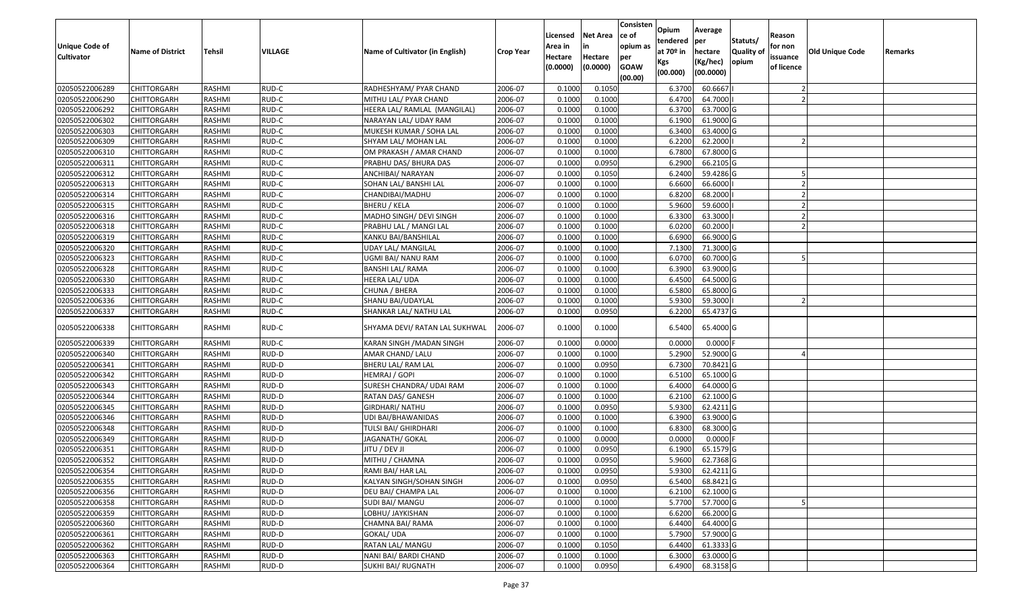| Unique Code of<br><b>Cultivator</b> | <b>Name of District</b> | Tehsil        | VILLAGE | Name of Cultivator (in English) | <b>Crop Year</b> | Licensed<br>Area in<br>Hectare | <b>Net Area</b><br>in<br>Hectare | Consisten<br>ce of<br>opium as<br>per | Opium<br>tendered<br>at $70°$ in | Average<br>per<br>hectare | Statuts/<br>Quality o | Reason<br>for non<br>issuance | <b>Old Unique Code</b> | Remarks |
|-------------------------------------|-------------------------|---------------|---------|---------------------------------|------------------|--------------------------------|----------------------------------|---------------------------------------|----------------------------------|---------------------------|-----------------------|-------------------------------|------------------------|---------|
|                                     |                         |               |         |                                 |                  | (0.0000)                       | (0.0000)                         | <b>GOAW</b><br>(00.00)                | Kgs<br>(00.000)                  | (Kg/hec)<br>(00.0000)     | opium                 | of licence                    |                        |         |
| 02050522006289                      | CHITTORGARH             | RASHMI        | RUD-C   | RADHESHYAM/ PYAR CHAND          | 2006-07          | 0.1000                         | 0.1050                           |                                       | 6.3700                           | 60.6667                   |                       |                               |                        |         |
| 02050522006290                      | CHITTORGARH             | RASHMI        | RUD-C   | MITHU LAL/ PYAR CHAND           | 2006-07          | 0.1000                         | 0.1000                           |                                       | 6.4700                           | 64.7000                   |                       |                               |                        |         |
| 02050522006292                      | CHITTORGARH             | RASHMI        | RUD-C   | HEERA LAL/ RAMLAL (MANGILAL)    | 2006-07          | 0.1000                         | 0.1000                           |                                       | 6.3700                           | 63.7000 G                 |                       |                               |                        |         |
| 02050522006302                      | <b>CHITTORGARH</b>      | RASHMI        | RUD-C   | NARAYAN LAL/ UDAY RAM           | 2006-07          | 0.1000                         | 0.1000                           |                                       | 6.1900                           | 61.9000G                  |                       |                               |                        |         |
| 02050522006303                      | CHITTORGARH             | RASHMI        | RUD-C   | MUKESH KUMAR / SOHA LAL         | 2006-07          | 0.1000                         | 0.1000                           |                                       | 6.3400                           | 63.4000 G                 |                       |                               |                        |         |
| 02050522006309                      | <b>CHITTORGARH</b>      | RASHMI        | RUD-C   | SHYAM LAL/ MOHAN LAL            | 2006-07          | 0.1000                         | 0.1000                           |                                       | 6.2200                           | 62.2000                   |                       |                               |                        |         |
| 02050522006310                      | CHITTORGARH             | RASHMI        | RUD-C   | OM PRAKASH / AMAR CHAND         | 2006-07          | 0.1000                         | 0.1000                           |                                       | 6.7800                           | 67.8000 G                 |                       |                               |                        |         |
| 02050522006311                      | <b>CHITTORGARH</b>      | RASHMI        | RUD-C   | PRABHU DAS/ BHURA DAS           | 2006-07          | 0.1000                         | 0.0950                           |                                       | 6.2900                           | 66.2105 G                 |                       |                               |                        |         |
| 02050522006312                      | CHITTORGARH             | RASHMI        | RUD-C   | ANCHIBAI/ NARAYAN               | 2006-07          | 0.1000                         | 0.1050                           |                                       | 6.2400                           | 59.4286 G                 |                       |                               |                        |         |
| 02050522006313                      | CHITTORGARH             | RASHMI        | RUD-C   | SOHAN LAL/ BANSHI LAL           | 2006-07          | 0.1000                         | 0.1000                           |                                       | 6.6600                           | 66.6000                   |                       |                               |                        |         |
| 02050522006314                      | CHITTORGARH             | RASHMI        | RUD-C   | CHANDIBAI/MADHU                 | 2006-07          | 0.1000                         | 0.1000                           |                                       | 6.8200                           | 68.2000                   |                       |                               |                        |         |
| 02050522006315                      | <b>CHITTORGARH</b>      | RASHMI        | RUD-C   | BHERU / KELA                    | 2006-07          | 0.1000                         | 0.1000                           |                                       | 5.9600                           | 59.6000                   |                       |                               |                        |         |
| 02050522006316                      | <b>CHITTORGARH</b>      | RASHMI        | RUD-C   | MADHO SINGH/ DEVI SINGH         | 2006-07          | 0.1000                         | 0.1000                           |                                       | 6.3300                           | 63.3000                   |                       |                               |                        |         |
| 02050522006318                      | <b>CHITTORGARH</b>      | RASHMI        | RUD-C   | PRABHU LAL / MANGI LAL          | 2006-07          | 0.1000                         | 0.1000                           |                                       | 6.0200                           | 60.2000                   |                       |                               |                        |         |
| 02050522006319                      | CHITTORGARH             | RASHMI        | RUD-C   | KANKU BAI/BANSHILAL             | 2006-07          | 0.1000                         | 0.1000                           |                                       | 6.6900                           | 66.9000 G                 |                       |                               |                        |         |
| 02050522006320                      | <b>CHITTORGARH</b>      | RASHMI        | RUD-C   | UDAY LAL/ MANGILAL              | 2006-07          | 0.1000                         | 0.1000                           |                                       | 7.1300                           | 71.3000G                  |                       |                               |                        |         |
| 02050522006323                      | CHITTORGARH             | RASHMI        | RUD-C   | UGMI BAI/ NANU RAM              | 2006-07          | 0.1000                         | 0.1000                           |                                       | 6.0700                           | 60.7000 G                 |                       |                               |                        |         |
| 02050522006328                      | CHITTORGARH             | RASHMI        | RUD-C   | BANSHI LAL/ RAMA                | 2006-07          | 0.1000                         | 0.1000                           |                                       | 6.3900                           | 63.9000G                  |                       |                               |                        |         |
| 02050522006330                      | CHITTORGARH             | RASHMI        | RUD-C   | HEERA LAL/ UDA                  | 2006-07          | 0.1000                         | 0.1000                           |                                       | 6.4500                           | 64.5000 G                 |                       |                               |                        |         |
| 02050522006333                      | CHITTORGARH             | RASHMI        | RUD-C   | CHUNA / BHERA                   | 2006-07          | 0.1000                         | 0.1000                           |                                       | 6.5800                           | 65.8000 G                 |                       |                               |                        |         |
| 02050522006336                      | CHITTORGARH             | RASHMI        | RUD-C   | SHANU BAI/UDAYLAL               | 2006-07          | 0.1000                         | 0.1000                           |                                       | 5.9300                           | 59.3000                   |                       |                               |                        |         |
| 02050522006337                      | CHITTORGARH             | RASHMI        | RUD-C   | SHANKAR LAL/ NATHU LAL          | 2006-07          | 0.1000                         | 0.0950                           |                                       | 6.2200                           | 65.4737 G                 |                       |                               |                        |         |
| 02050522006338                      | CHITTORGARH             | RASHMI        | RUD-C   | SHYAMA DEVI/ RATAN LAL SUKHWAL  | 2006-07          | 0.1000                         | 0.1000                           |                                       | 6.5400                           | 65.4000 G                 |                       |                               |                        |         |
| 02050522006339                      | <b>CHITTORGARH</b>      | RASHMI        | RUD-C   | KARAN SINGH / MADAN SINGH       | 2006-07          | 0.1000                         | 0.0000                           |                                       | 0.0000                           | $0.0000$ F                |                       |                               |                        |         |
| 02050522006340                      | CHITTORGARH             | RASHMI        | RUD-D   | AMAR CHAND/ LALU                | 2006-07          | 0.1000                         | 0.1000                           |                                       | 5.2900                           | 52.9000G                  |                       |                               |                        |         |
| 02050522006341                      | CHITTORGARH             | RASHMI        | RUD-D   | BHERU LAL/ RAM LAL              | 2006-07          | 0.1000                         | 0.0950                           |                                       | 6.7300                           | 70.8421G                  |                       |                               |                        |         |
| 02050522006342                      | CHITTORGARH             | RASHMI        | RUD-D   | HEMRAJ / GOPI                   | 2006-07          | 0.1000                         | 0.1000                           |                                       | 6.5100                           | 65.1000G                  |                       |                               |                        |         |
| 02050522006343                      | <b>CHITTORGARH</b>      | <b>RASHMI</b> | RUD-D   | SURESH CHANDRA/ UDAI RAM        | 2006-07          | 0.1000                         | 0.1000                           |                                       | 6.4000                           | 64.0000 G                 |                       |                               |                        |         |
| 02050522006344                      | CHITTORGARH             | RASHMI        | RUD-D   | RATAN DAS/ GANESH               | 2006-07          | 0.1000                         | 0.1000                           |                                       | 6.2100                           | 62.1000G                  |                       |                               |                        |         |
| 02050522006345                      | CHITTORGARH             | RASHMI        | RUD-D   | GIRDHARI/ NATHU                 | 2006-07          | 0.1000                         | 0.0950                           |                                       | 5.9300                           | $62.4211$ G               |                       |                               |                        |         |
| 02050522006346                      | CHITTORGARH             | RASHMI        | RUD-D   | JDI BAI/BHAWANIDAS              | 2006-07          | 0.1000                         | 0.1000                           |                                       | 6.3900                           | 63.9000 G                 |                       |                               |                        |         |
| 02050522006348                      | <b>CHITTORGARH</b>      | RASHMI        | RUD-D   | TULSI BAI/ GHIRDHARI            | 2006-07          | 0.1000                         | 0.1000                           |                                       | 6.8300                           | 68.3000 G                 |                       |                               |                        |         |
| 02050522006349                      | <b>CHITTORGARH</b>      | RASHMI        | RUD-D   | JAGANATH/ GOKAL                 | 2006-07          | 0.1000                         | 0.0000                           |                                       | 0.0000                           | $0.0000$ F                |                       |                               |                        |         |
| 02050522006351                      | CHITTORGARH             | RASHMI        | RUD-D   | JITU / DEV JI                   | 2006-07          | 0.1000                         | 0.0950                           |                                       | 6.1900                           | 65.1579 G                 |                       |                               |                        |         |
| 02050522006352                      | CHITTORGARH             | RASHMI        | RUD-D   | MITHU / CHAMNA                  | 2006-07          | 0.1000                         | 0.0950                           |                                       | 5.9600                           | 62.7368 G                 |                       |                               |                        |         |
| 02050522006354                      | <b>CHITTORGARH</b>      | RASHMI        | RUD-D   | RAMI BAI/ HAR LAL               | 2006-07          | 0.1000                         | 0.0950                           |                                       | 5.9300                           | 62.4211 G                 |                       |                               |                        |         |
| 02050522006355                      | <b>CHITTORGARH</b>      | RASHMI        | RUD-D   | KALYAN SINGH/SOHAN SINGH        | 2006-07          | 0.1000                         | 0.0950                           |                                       | 6.5400                           | 68.8421 G                 |                       |                               |                        |         |
| 02050522006356                      | <b>CHITTORGARH</b>      | RASHMI        | RUD-D   | DEU BAI/ CHAMPA LAL             | 2006-07          | 0.1000                         | 0.1000                           |                                       | 6.2100                           | 62.1000 G                 |                       |                               |                        |         |
| 02050522006358                      | <b>CHITTORGARH</b>      | RASHMI        | RUD-D   | <b>SUDI BAI/ MANGU</b>          | 2006-07          | 0.1000                         | 0.1000                           |                                       | 5.7700                           | 57.7000 G                 |                       |                               |                        |         |
| 02050522006359                      | <b>CHITTORGARH</b>      | RASHMI        | RUD-D   | LOBHU/ JAYKISHAN                | 2006-07          | 0.1000                         | 0.1000                           |                                       | 6.6200                           | 66.2000 G                 |                       |                               |                        |         |
| 02050522006360                      | <b>CHITTORGARH</b>      | RASHMI        | RUD-D   | CHAMNA BAI/ RAMA                | 2006-07          | 0.1000                         | 0.1000                           |                                       | 6.4400                           | 64.4000 G                 |                       |                               |                        |         |
| 02050522006361                      | <b>CHITTORGARH</b>      | RASHMI        | RUD-D   | GOKAL/ UDA                      | 2006-07          | 0.1000                         | 0.1000                           |                                       | 5.7900                           | 57.9000 G                 |                       |                               |                        |         |
| 02050522006362                      | <b>CHITTORGARH</b>      | RASHMI        | RUD-D   | RATAN LAL/ MANGU                | 2006-07          | 0.1000                         | 0.1050                           |                                       | 6.4400                           | 61.3333 G                 |                       |                               |                        |         |
| 02050522006363                      | <b>CHITTORGARH</b>      | RASHMI        | RUD-D   | NANI BAI/ BARDI CHAND           | 2006-07          | 0.1000                         | 0.1000                           |                                       | 6.3000                           | 63.0000 G                 |                       |                               |                        |         |
| 02050522006364                      | <b>CHITTORGARH</b>      | RASHMI        | RUD-D   | <b>SUKHI BAI/ RUGNATH</b>       | 2006-07          | 0.1000                         | 0.0950                           |                                       | 6.4900                           | 68.3158 G                 |                       |                               |                        |         |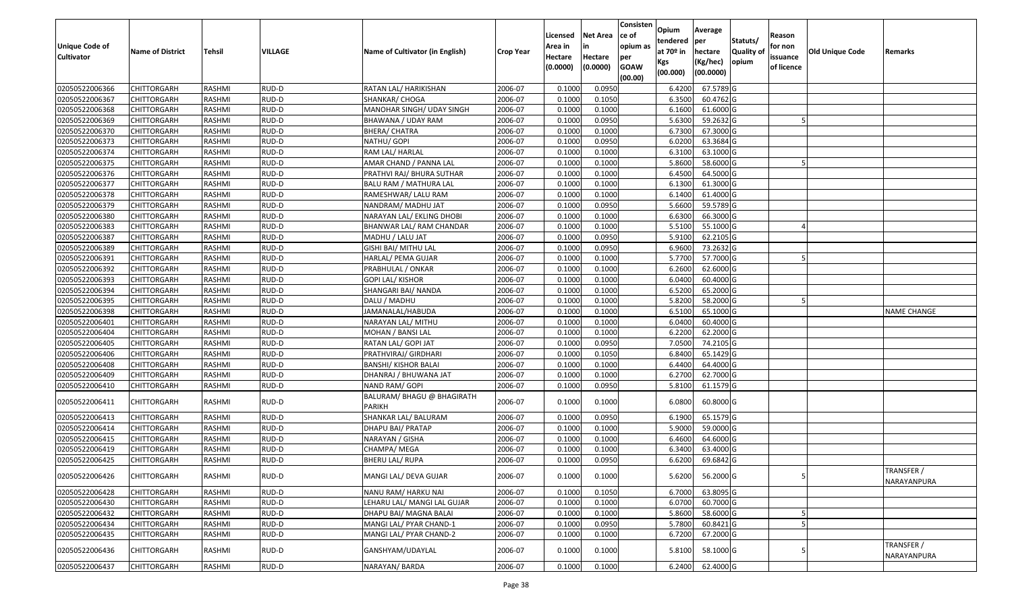| Unique Code of<br><b>Cultivator</b> | <b>Name of District</b> | Tehsil        | VILLAGE | Name of Cultivator (in English)             | Crop Year | Licensed<br>Area in<br>Hectare<br>(0.0000) | Net Area<br>in<br>Hectare<br>(0.0000) | Consisten<br>ce of<br>opium as<br>per<br><b>GOAW</b><br>(00.00) | Opium<br>tendered<br>at 70º in<br>Kgs<br>(00.000) | Average<br> per<br>hectare<br>(Kg/hec)<br>(00.0000) | Statuts/<br><b>Quality of</b><br>opium | Reason<br>for non<br>issuance<br>of licence | <b>Old Unique Code</b> | Remarks                   |
|-------------------------------------|-------------------------|---------------|---------|---------------------------------------------|-----------|--------------------------------------------|---------------------------------------|-----------------------------------------------------------------|---------------------------------------------------|-----------------------------------------------------|----------------------------------------|---------------------------------------------|------------------------|---------------------------|
| 02050522006366                      | <b>CHITTORGARH</b>      | RASHMI        | RUD-D   | RATAN LAL/ HARIKISHAN                       | 2006-07   | 0.1000                                     | 0.0950                                |                                                                 | 6.4200                                            | 67.5789 G                                           |                                        |                                             |                        |                           |
| 02050522006367                      | CHITTORGARH             | RASHMI        | RUD-D   | SHANKAR/ CHOGA                              | 2006-07   | 0.1000                                     | 0.1050                                |                                                                 | 6.3500                                            | 60.4762 G                                           |                                        |                                             |                        |                           |
| 02050522006368                      | CHITTORGARH             | RASHMI        | RUD-D   | MANOHAR SINGH/ UDAY SINGH                   | 2006-07   | 0.1000                                     | 0.1000                                |                                                                 | 6.1600                                            | 61.6000 G                                           |                                        |                                             |                        |                           |
| 02050522006369                      | <b>CHITTORGARH</b>      | RASHMI        | RUD-D   | BHAWANA / UDAY RAM                          | 2006-07   | 0.1000                                     | 0.0950                                |                                                                 | 5.6300                                            | 59.2632 G                                           |                                        |                                             |                        |                           |
| 02050522006370                      | CHITTORGARH             | RASHMI        | RUD-D   | <b>BHERA/ CHATRA</b>                        | 2006-07   | 0.1000                                     | 0.1000                                |                                                                 | 6.7300                                            | 67.3000 G                                           |                                        |                                             |                        |                           |
| 02050522006373                      | <b>CHITTORGARH</b>      | RASHMI        | RUD-D   | NATHU/ GOPI                                 | 2006-07   | 0.1000                                     | 0.0950                                |                                                                 | 6.0200                                            | 63.3684 G                                           |                                        |                                             |                        |                           |
| 02050522006374                      | CHITTORGARH             | RASHMI        | RUD-D   | RAM LAL/ HARLAL                             | 2006-07   | 0.1000                                     | 0.1000                                |                                                                 | 6.3100                                            | 63.1000 G                                           |                                        |                                             |                        |                           |
| 02050522006375                      | <b>CHITTORGARH</b>      | <b>RASHMI</b> | RUD-D   | AMAR CHAND / PANNA LAL                      | 2006-07   | 0.1000                                     | 0.1000                                |                                                                 | 5.8600                                            | 58.6000 G                                           |                                        |                                             |                        |                           |
| 02050522006376                      | CHITTORGARH             | RASHMI        | RUD-D   | PRATHVI RAJ/ BHURA SUTHAR                   | 2006-07   | 0.1000                                     | 0.1000                                |                                                                 | 6.4500                                            | 64.5000 G                                           |                                        |                                             |                        |                           |
| 02050522006377                      | CHITTORGARH             | RASHMI        | RUD-D   | BALU RAM / MATHURA LAL                      | 2006-07   | 0.1000                                     | 0.1000                                |                                                                 | 6.1300                                            | 61.3000 G                                           |                                        |                                             |                        |                           |
| 02050522006378                      | CHITTORGARH             | RASHMI        | RUD-D   | RAMESHWAR/ LALU RAM                         | 2006-07   | 0.1000                                     | 0.1000                                |                                                                 | 6.1400                                            | 61.4000 G                                           |                                        |                                             |                        |                           |
| 02050522006379                      | <b>CHITTORGARH</b>      | RASHMI        | RUD-D   | NANDRAM/ MADHU JAT                          | 2006-07   | 0.1000                                     | 0.0950                                |                                                                 | 5.6600                                            | 59.5789 G                                           |                                        |                                             |                        |                           |
| 02050522006380                      | <b>CHITTORGARH</b>      | RASHMI        | RUD-D   | NARAYAN LAL/ EKLING DHOBI                   | 2006-07   | 0.1000                                     | 0.1000                                |                                                                 | 6.6300                                            | 66.3000 G                                           |                                        |                                             |                        |                           |
| 02050522006383                      | <b>CHITTORGARH</b>      | RASHMI        | RUD-D   | BHANWAR LAL/ RAM CHANDAR                    | 2006-07   | 0.1000                                     | 0.1000                                |                                                                 | 5.5100                                            | 55.1000 G                                           |                                        |                                             |                        |                           |
| 02050522006387                      | CHITTORGARH             | RASHMI        | RUD-D   | MADHU / LALU JAT                            | 2006-07   | 0.1000                                     | 0.0950                                |                                                                 | 5.9100                                            | 62.2105 G                                           |                                        |                                             |                        |                           |
| 02050522006389                      | <b>CHITTORGARH</b>      | RASHMI        | RUD-D   | GISHI BAI/ MITHU LAL                        | 2006-07   | 0.1000                                     | 0.0950                                |                                                                 | 6.9600                                            | 73.2632 G                                           |                                        |                                             |                        |                           |
| 02050522006391                      | <b>CHITTORGARH</b>      | RASHMI        | RUD-D   | HARLAL/ PEMA GUJAR                          | 2006-07   | 0.1000                                     | 0.1000                                |                                                                 | 5.7700                                            | 57.7000 G                                           |                                        |                                             |                        |                           |
| 02050522006392                      | CHITTORGARH             | RASHMI        | RUD-D   | PRABHULAL / ONKAR                           | 2006-07   | 0.1000                                     | 0.1000                                |                                                                 | 6.2600                                            | 62.6000 G                                           |                                        |                                             |                        |                           |
| 02050522006393                      | CHITTORGARH             | RASHMI        | RUD-D   | <b>GOPI LAL/ KISHOR</b>                     | 2006-07   | 0.1000                                     | 0.1000                                |                                                                 | 6.0400                                            | 60.4000 G                                           |                                        |                                             |                        |                           |
| 02050522006394                      | CHITTORGARH             | RASHMI        | RUD-D   | SHANGARI BAI/ NANDA                         | 2006-07   | 0.1000                                     | 0.1000                                |                                                                 | 6.5200                                            | 65.2000 G                                           |                                        |                                             |                        |                           |
| 02050522006395                      | CHITTORGARH             | RASHMI        | RUD-D   | DALU / MADHU                                | 2006-07   | 0.1000                                     | 0.1000                                |                                                                 | 5.8200                                            | 58.2000 G                                           |                                        |                                             |                        |                           |
| 02050522006398                      | CHITTORGARH             | RASHMI        | RUD-D   | JAMANALAL/HABUDA                            | 2006-07   | 0.1000                                     | 0.1000                                |                                                                 | 6.5100                                            | 65.1000 G                                           |                                        |                                             |                        | NAME CHANGE               |
| 02050522006401                      | CHITTORGARH             | RASHMI        | RUD-D   | NARAYAN LAL/ MITHU                          | 2006-07   | 0.1000                                     | 0.1000                                |                                                                 | 6.0400                                            | 60.4000 G                                           |                                        |                                             |                        |                           |
| 02050522006404                      | CHITTORGARH             | RASHMI        | RUD-D   | MOHAN / BANSI LAL                           | 2006-07   | 0.1000                                     | 0.1000                                |                                                                 | 6.2200                                            | 62.2000 G                                           |                                        |                                             |                        |                           |
| 02050522006405                      | <b>CHITTORGARH</b>      | RASHMI        | RUD-D   | RATAN LAL/ GOPI JAT                         | 2006-07   | 0.1000                                     | 0.0950                                |                                                                 | 7.0500                                            | 74.2105 G                                           |                                        |                                             |                        |                           |
| 02050522006406                      | CHITTORGARH             | RASHMI        | RUD-D   | PRATHVIRAJ/ GIRDHARI                        | 2006-07   | 0.1000                                     | 0.1050                                |                                                                 | 6.8400                                            | 65.1429 G                                           |                                        |                                             |                        |                           |
| 02050522006408                      | CHITTORGARH             | RASHMI        | RUD-D   | <b>BANSHI/ KISHOR BALAI</b>                 | 2006-07   | 0.1000                                     | 0.1000                                |                                                                 | 6.4400                                            | 64.4000 G                                           |                                        |                                             |                        |                           |
| 02050522006409                      | CHITTORGARH             | RASHMI        | RUD-D   | DHANRAJ / BHUWANA JAT                       | 2006-07   | 0.1000                                     | 0.1000                                |                                                                 | 6.2700                                            | 62.7000 G                                           |                                        |                                             |                        |                           |
| 02050522006410                      | <b>CHITTORGARH</b>      | RASHMI        | RUD-D   | NAND RAM/ GOPI                              | 2006-07   | 0.1000                                     | 0.0950                                |                                                                 | 5.8100                                            | 61.1579 G                                           |                                        |                                             |                        |                           |
| 02050522006411                      | CHITTORGARH             | RASHMI        | RUD-D   | BALURAM/ BHAGU @ BHAGIRATH<br><b>PARIKH</b> | 2006-07   | 0.1000                                     | 0.1000                                |                                                                 | 6.0800                                            | 60.8000 G                                           |                                        |                                             |                        |                           |
| 02050522006413                      | CHITTORGARH             | RASHMI        | RUD-D   | SHANKAR LAL/ BALURAM                        | 2006-07   | 0.1000                                     | 0.0950                                |                                                                 | 6.1900                                            | 65.1579 G                                           |                                        |                                             |                        |                           |
| 02050522006414                      | <b>CHITTORGARH</b>      | RASHMI        | RUD-D   | DHAPU BAI/ PRATAP                           | 2006-07   | 0.1000                                     | 0.1000                                |                                                                 | 5.9000                                            | 59.0000 G                                           |                                        |                                             |                        |                           |
| 02050522006415                      | <b>CHITTORGARH</b>      | RASHMI        | RUD-D   | NARAYAN / GISHA                             | 2006-07   | 0.1000                                     | 0.1000                                |                                                                 | 6.4600                                            | 64.6000 G                                           |                                        |                                             |                        |                           |
| 02050522006419                      | CHITTORGARH             | RASHMI        | RUD-D   | CHAMPA/MEGA                                 | 2006-07   | 0.1000                                     | 0.1000                                |                                                                 | 6.3400                                            | 63.4000 G                                           |                                        |                                             |                        |                           |
| 02050522006425                      | CHITTORGARH             | RASHMI        | RUD-D   | BHERU LAL/ RUPA                             | 2006-07   | 0.1000                                     | 0.0950                                |                                                                 | 6.6200                                            | 69.6842 G                                           |                                        |                                             |                        |                           |
| 02050522006426                      | <b>CHITTORGARH</b>      | RASHMI        | RUD-D   | MANGI LAL/ DEVA GUJAR                       | 2006-07   | 0.1000                                     | 0.1000                                |                                                                 | 5.6200                                            | 56.2000 G                                           |                                        | 5                                           |                        | TRANSFER /<br>NARAYANPURA |
| 02050522006428                      | <b>CHITTORGARH</b>      | RASHMI        | RUD-D   | NANU RAM/ HARKU NAI                         | 2006-07   | 0.1000                                     | 0.1050                                |                                                                 | 6.7000                                            | 63.8095 G                                           |                                        |                                             |                        |                           |
| 02050522006430                      | <b>CHITTORGARH</b>      | RASHMI        | RUD-D   | LEHARU LAL/ MANGI LAL GUJAR                 | 2006-07   | 0.1000                                     | 0.1000                                |                                                                 | 6.0700                                            | 60.7000 G                                           |                                        |                                             |                        |                           |
| 02050522006432                      | <b>CHITTORGARH</b>      | RASHMI        | RUD-D   | DHAPU BAI/ MAGNA BALAI                      | 2006-07   | 0.1000                                     | 0.1000                                |                                                                 | 5.8600                                            | 58.6000 G                                           |                                        |                                             |                        |                           |
| 02050522006434                      | <b>CHITTORGARH</b>      | RASHMI        | RUD-D   | MANGI LAL/ PYAR CHAND-1                     | 2006-07   | 0.1000                                     | 0.0950                                |                                                                 | 5.7800                                            | 60.8421 G                                           |                                        |                                             |                        |                           |
| 02050522006435                      | <b>CHITTORGARH</b>      | RASHMI        | RUD-D   | MANGI LAL/ PYAR CHAND-2                     | 2006-07   | 0.1000                                     | 0.1000                                |                                                                 | 6.7200                                            | 67.2000 G                                           |                                        |                                             |                        |                           |
| 02050522006436                      | CHITTORGARH             | RASHMI        | RUD-D   | GANSHYAM/UDAYLAL                            | 2006-07   | 0.1000                                     | 0.1000                                |                                                                 | 5.8100                                            | 58.1000 G                                           |                                        |                                             |                        | TRANSFER /<br>NARAYANPURA |
| 02050522006437                      | <b>CHITTORGARH</b>      | RASHMI        | RUD-D   | NARAYAN/ BARDA                              | 2006-07   | 0.1000                                     | 0.1000                                |                                                                 | 6.2400                                            | 62.4000 G                                           |                                        |                                             |                        |                           |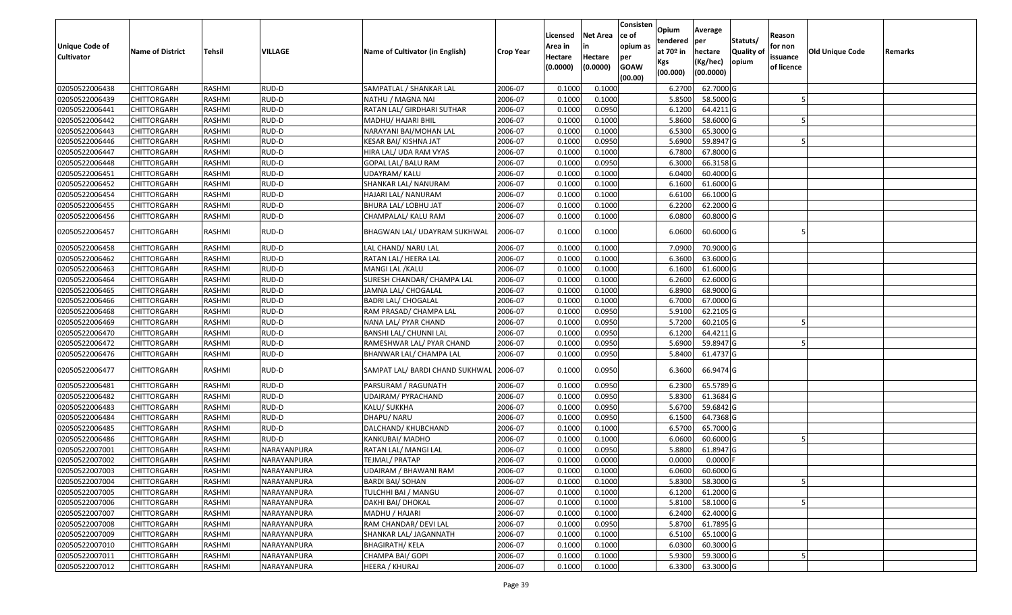| <b>Unique Code of</b><br><b>Cultivator</b> | <b>Name of District</b> | Tehsil        | VILLAGE     | Name of Cultivator (in English)         | Crop Year | Licensed<br>Area in<br>Hectare<br>(0.0000) | Net Area<br>in<br>Hectare<br>(0.0000) | Consisten<br>ce of<br>opium as<br>per<br><b>GOAW</b><br>(00.00) | Opium<br>tendered<br>at 70º in<br>Kgs<br>(00.000) | Average<br>per<br>hectare<br>(Kg/hec)<br>(00.0000) | Statuts/<br><b>Quality of</b><br>opium | Reason<br>for non<br>issuance<br>of licence | Old Unique Code | Remarks |
|--------------------------------------------|-------------------------|---------------|-------------|-----------------------------------------|-----------|--------------------------------------------|---------------------------------------|-----------------------------------------------------------------|---------------------------------------------------|----------------------------------------------------|----------------------------------------|---------------------------------------------|-----------------|---------|
| 02050522006438                             | <b>CHITTORGARH</b>      | RASHMI        | RUD-D       | SAMPATLAL / SHANKAR LAL                 | 2006-07   | 0.1000                                     | 0.1000                                |                                                                 | 6.2700                                            | 62.7000 G                                          |                                        |                                             |                 |         |
| 02050522006439                             | CHITTORGARH             | RASHMI        | RUD-D       | NATHU / MAGNA NAI                       | 2006-07   | 0.1000                                     | 0.1000                                |                                                                 | 5.8500                                            | 58.5000 G                                          |                                        |                                             |                 |         |
| 02050522006441                             | CHITTORGARH             | RASHMI        | RUD-D       | RATAN LAL/ GIRDHARI SUTHAR              | 2006-07   | 0.1000                                     | 0.0950                                |                                                                 | 6.1200                                            | 64.4211 G                                          |                                        |                                             |                 |         |
| 02050522006442                             | <b>CHITTORGARH</b>      | RASHMI        | RUD-D       | MADHU/ HAJARI BHIL                      | 2006-07   | 0.1000                                     | 0.1000                                |                                                                 | 5.8600                                            | 58.6000 G                                          |                                        |                                             |                 |         |
| 02050522006443                             | CHITTORGARH             | RASHMI        | RUD-D       | NARAYANI BAI/MOHAN LAL                  | 2006-07   | 0.1000                                     | 0.1000                                |                                                                 | 6.5300                                            | 65.3000 G                                          |                                        |                                             |                 |         |
| 02050522006446                             | CHITTORGARH             | RASHMI        | RUD-D       | KESAR BAI/ KISHNA JAT                   | 2006-07   | 0.1000                                     | 0.0950                                |                                                                 | 5.6900                                            | 59.8947 G                                          |                                        |                                             |                 |         |
| 02050522006447                             | CHITTORGARH             | RASHMI        | RUD-D       | HIRA LAL/ UDA RAM VYAS                  | 2006-07   | 0.1000                                     | 0.1000                                |                                                                 | 6.7800                                            | 67.8000 G                                          |                                        |                                             |                 |         |
| 02050522006448                             | <b>CHITTORGARH</b>      | <b>RASHMI</b> | RUD-D       | GOPAL LAL/ BALU RAM                     | 2006-07   | 0.1000                                     | 0.0950                                |                                                                 | 6.3000                                            | 66.3158 G                                          |                                        |                                             |                 |         |
| 02050522006451                             | CHITTORGARH             | RASHMI        | RUD-D       | UDAYRAM/ KALU                           | 2006-07   | 0.1000                                     | 0.1000                                |                                                                 | 6.0400                                            | 60.4000 G                                          |                                        |                                             |                 |         |
| 02050522006452                             | CHITTORGARH             | RASHMI        | RUD-D       | SHANKAR LAL/ NANURAM                    | 2006-07   | 0.1000                                     | 0.1000                                |                                                                 | 6.1600                                            | 61.6000 G                                          |                                        |                                             |                 |         |
| 02050522006454                             | CHITTORGARH             | RASHMI        | RUD-D       | HAJARI LAL/ NANURAM                     | 2006-07   | 0.1000                                     | 0.1000                                |                                                                 | 6.6100                                            | 66.1000 G                                          |                                        |                                             |                 |         |
| 02050522006455                             | <b>CHITTORGARH</b>      | RASHMI        | RUD-D       | BHURA LAL/ LOBHU JAT                    | 2006-07   | 0.1000                                     | 0.1000                                |                                                                 | 6.2200                                            | 62.2000 G                                          |                                        |                                             |                 |         |
| 02050522006456                             | <b>CHITTORGARH</b>      | RASHMI        | RUD-D       | CHAMPALAL/ KALU RAM                     | 2006-07   | 0.1000                                     | 0.1000                                |                                                                 | 6.0800                                            | 60.8000 G                                          |                                        |                                             |                 |         |
| 02050522006457                             | CHITTORGARH             | RASHMI        | RUD-D       | BHAGWAN LAL/ UDAYRAM SUKHWAL            | 2006-07   | 0.1000                                     | 0.1000                                |                                                                 | 6.0600                                            | 60.6000 G                                          |                                        |                                             |                 |         |
| 02050522006458                             | <b>CHITTORGARH</b>      | RASHMI        | RUD-D       | LAL CHAND/ NARU LAL                     | 2006-07   | 0.1000                                     | 0.1000                                |                                                                 | 7.0900                                            | 70.9000 G                                          |                                        |                                             |                 |         |
| 02050522006462                             | CHITTORGARH             | RASHMI        | RUD-D       | RATAN LAL/ HEERA LAL                    | 2006-07   | 0.1000                                     | 0.1000                                |                                                                 | 6.3600                                            | 63.6000 G                                          |                                        |                                             |                 |         |
| 02050522006463                             | CHITTORGARH             | RASHMI        | RUD-D       | MANGI LAL / KALU                        | 2006-07   | 0.1000                                     | 0.1000                                |                                                                 | 6.1600                                            | 61.6000 G                                          |                                        |                                             |                 |         |
| 02050522006464                             | CHITTORGARH             | RASHMI        | RUD-D       | SURESH CHANDAR/ CHAMPA LAL              | 2006-07   | 0.1000                                     | 0.1000                                |                                                                 | 6.2600                                            | 62.6000 G                                          |                                        |                                             |                 |         |
| 02050522006465                             | CHITTORGARH             | RASHMI        | RUD-D       | JAMNA LAL/ CHOGALAL                     | 2006-07   | 0.1000                                     | 0.1000                                |                                                                 | 6.8900                                            | 68.9000 G                                          |                                        |                                             |                 |         |
| 02050522006466                             | <b>CHITTORGARH</b>      | RASHMI        | RUD-D       | <b>BADRI LAL/ CHOGALAL</b>              | 2006-07   | 0.1000                                     | 0.1000                                |                                                                 | 6.7000                                            | 67.0000 G                                          |                                        |                                             |                 |         |
| 02050522006468                             | <b>CHITTORGARH</b>      | RASHMI        | RUD-D       | RAM PRASAD/ CHAMPA LAL                  | 2006-07   | 0.1000                                     | 0.0950                                |                                                                 | 5.9100                                            | 62.2105 G                                          |                                        |                                             |                 |         |
| 02050522006469                             | CHITTORGARH             | RASHMI        | RUD-D       | NANA LAL/ PYAR CHAND                    | 2006-07   | 0.1000                                     | 0.0950                                |                                                                 | 5.7200                                            | 60.2105 G                                          |                                        |                                             |                 |         |
| 02050522006470                             | CHITTORGARH             | RASHMI        | RUD-D       | BANSHI LAL/ CHUNNI LAL                  | 2006-07   | 0.1000                                     | 0.0950                                |                                                                 | 6.1200                                            | 64.4211 G                                          |                                        |                                             |                 |         |
| 02050522006472                             | <b>CHITTORGARH</b>      | RASHMI        | RUD-D       | RAMESHWAR LAL/ PYAR CHAND               | 2006-07   | 0.1000                                     | 0.0950                                |                                                                 | 5.6900                                            | 59.8947 G                                          |                                        |                                             |                 |         |
| 02050522006476                             | CHITTORGARH             | RASHMI        | RUD-D       | BHANWAR LAL/ CHAMPA LAL                 | 2006-07   | 0.1000                                     | 0.0950                                |                                                                 | 5.8400                                            | 61.4737 G                                          |                                        |                                             |                 |         |
| 02050522006477                             | CHITTORGARH             | RASHMI        | RUD-D       | SAMPAT LAL/ BARDI CHAND SUKHWAL 2006-07 |           | 0.1000                                     | 0.0950                                |                                                                 | 6.3600                                            | 66.9474 G                                          |                                        |                                             |                 |         |
| 02050522006481                             | <b>CHITTORGARH</b>      | RASHMI        | RUD-D       | PARSURAM / RAGUNATH                     | 2006-07   | 0.1000                                     | 0.0950                                |                                                                 | 6.2300                                            | 65.5789 G                                          |                                        |                                             |                 |         |
| 02050522006482                             | CHITTORGARH             | RASHMI        | RUD-D       | UDAIRAM/ PYRACHAND                      | 2006-07   | 0.1000                                     | 0.0950                                |                                                                 | 5.8300                                            | 61.3684 G                                          |                                        |                                             |                 |         |
| 02050522006483                             | CHITTORGARH             | RASHMI        | RUD-D       | KALU/ SUKKHA                            | 2006-07   | 0.1000                                     | 0.0950                                |                                                                 | 5.6700                                            | 59.6842 G                                          |                                        |                                             |                 |         |
| 02050522006484                             | CHITTORGARH             | RASHMI        | RUD-D       | DHAPU/ NARU                             | 2006-07   | 0.1000                                     | 0.0950                                |                                                                 | 6.1500                                            | 64.7368 G                                          |                                        |                                             |                 |         |
| 02050522006485                             | <b>CHITTORGARH</b>      | RASHMI        | RUD-D       | DALCHAND/ KHUBCHAND                     | 2006-07   | 0.1000                                     | 0.1000                                |                                                                 | 6.5700                                            | 65.7000 G                                          |                                        |                                             |                 |         |
| 02050522006486                             | <b>CHITTORGARH</b>      | RASHMI        | RUD-D       | KANKUBAI/ MADHO                         | 2006-07   | 0.1000                                     | 0.1000                                |                                                                 | 6.0600                                            | 60.6000 G                                          |                                        |                                             |                 |         |
| 02050522007001                             | CHITTORGARH             | RASHMI        | NARAYANPURA | RATAN LAL/ MANGI LAL                    | 2006-07   | 0.1000                                     | 0.0950                                |                                                                 | 5.8800                                            | 61.8947 G                                          |                                        |                                             |                 |         |
| 02050522007002                             | <b>CHITTORGARH</b>      | RASHMI        | NARAYANPURA | TEJMAL/ PRATAP                          | 2006-07   | 0.1000                                     | 0.0000                                |                                                                 | 0.0000                                            | $0.0000$ F                                         |                                        |                                             |                 |         |
| 02050522007003                             | <b>CHITTORGARH</b>      | RASHMI        | NARAYANPURA | <b>UDAIRAM / BHAWANI RAM</b>            | 2006-07   | 0.1000                                     | 0.1000                                |                                                                 | 6.0600                                            | $60.6000$ G                                        |                                        |                                             |                 |         |
| 02050522007004                             | <b>CHITTORGARH</b>      | RASHMI        | NARAYANPURA | <b>BARDI BAI/ SOHAN</b>                 | 2006-07   | 0.1000                                     | 0.1000                                |                                                                 | 5.8300                                            | 58.3000 G                                          |                                        |                                             |                 |         |
| 02050522007005                             | <b>CHITTORGARH</b>      | RASHMI        | NARAYANPURA | TULCHHI BAI / MANGU                     | 2006-07   | 0.1000                                     | 0.1000                                |                                                                 | 6.1200                                            | 61.2000 G                                          |                                        |                                             |                 |         |
| 02050522007006                             | <b>CHITTORGARH</b>      | RASHMI        | NARAYANPURA | DAKHI BAI/ DHOKAL                       | 2006-07   | 0.1000                                     | 0.1000                                |                                                                 | 5.8100                                            | 58.1000 G                                          |                                        |                                             |                 |         |
| 02050522007007                             | <b>CHITTORGARH</b>      | RASHMI        | NARAYANPURA | MADHU / HAJARI                          | 2006-07   | 0.1000                                     | 0.1000                                |                                                                 | 6.2400                                            | 62.4000 G                                          |                                        |                                             |                 |         |
| 02050522007008                             | <b>CHITTORGARH</b>      | RASHMI        | NARAYANPURA | RAM CHANDAR/ DEVI LAL                   | 2006-07   | 0.1000                                     | 0.0950                                |                                                                 | 5.8700                                            | 61.7895 G                                          |                                        |                                             |                 |         |
| 02050522007009                             | <b>CHITTORGARH</b>      | RASHMI        | NARAYANPURA | SHANKAR LAL/ JAGANNATH                  | 2006-07   | 0.1000                                     | 0.1000                                |                                                                 | 6.5100                                            | 65.1000 G                                          |                                        |                                             |                 |         |
| 02050522007010                             | <b>CHITTORGARH</b>      | RASHMI        | NARAYANPURA | <b>BHAGIRATH/ KELA</b>                  | 2006-07   | 0.1000                                     | 0.1000                                |                                                                 | 6.0300                                            | 60.3000 G                                          |                                        |                                             |                 |         |
| 02050522007011                             | <b>CHITTORGARH</b>      | RASHMI        | NARAYANPURA | CHAMPA BAI/ GOPI                        | 2006-07   | 0.1000                                     | 0.1000                                |                                                                 | 5.9300                                            | 59.3000 G                                          |                                        |                                             |                 |         |
| 02050522007012                             | <b>CHITTORGARH</b>      | RASHMI        | NARAYANPURA | HEERA / KHURAJ                          | 2006-07   | 0.1000                                     | 0.1000                                |                                                                 |                                                   | 6.3300 63.3000 G                                   |                                        |                                             |                 |         |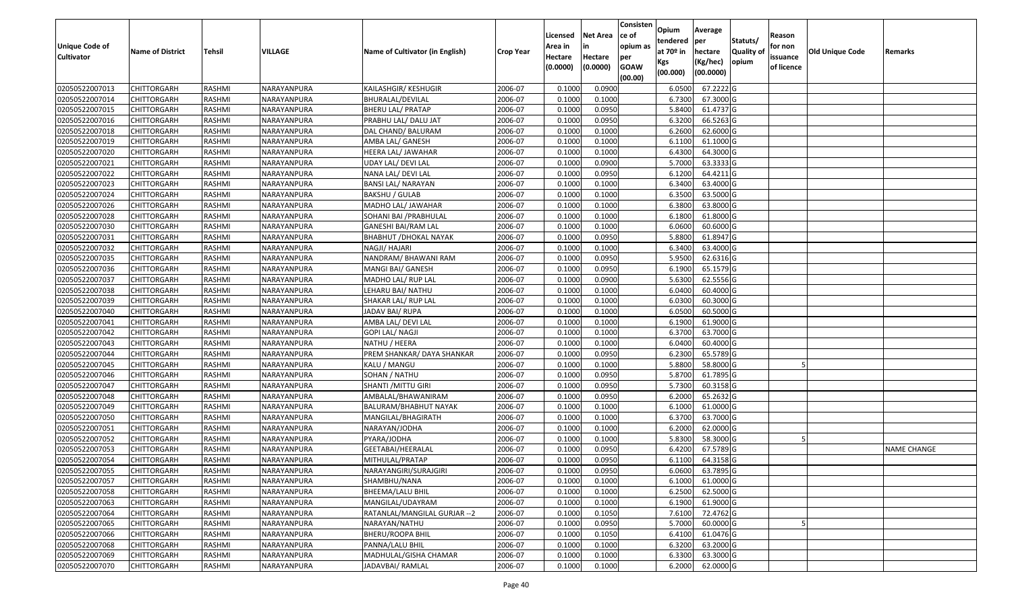| <b>Unique Code of</b><br><b>Cultivator</b> | <b>Name of District</b> | <b>Tehsil</b> | VILLAGE     | Name of Cultivator (in English) | <b>Crop Year</b> | Licensed<br>Area in<br>Hectare<br>(0.0000) | <b>Net Area</b><br>in<br>Hectare<br>(0.0000) | Consisten<br>ce of<br>opium as<br>per<br><b>GOAW</b><br>(00.00) | Opium<br>tendered<br>at $70°$ in<br>Kgs<br>(00.000) | Average<br>per<br>hectare<br>(Kg/hec)<br>(00.0000) | Statuts/<br>Quality of<br>opium | Reason<br>for non<br>issuance<br>of licence | <b>Old Unique Code</b> | Remarks            |
|--------------------------------------------|-------------------------|---------------|-------------|---------------------------------|------------------|--------------------------------------------|----------------------------------------------|-----------------------------------------------------------------|-----------------------------------------------------|----------------------------------------------------|---------------------------------|---------------------------------------------|------------------------|--------------------|
| 02050522007013                             | <b>CHITTORGARH</b>      | RASHMI        | NARAYANPURA | KAILASHGIR/ KESHUGIR            | 2006-07          | 0.1000                                     | 0.0900                                       |                                                                 | 6.0500                                              | 67.2222 G                                          |                                 |                                             |                        |                    |
| 02050522007014                             | CHITTORGARH             | RASHMI        | NARAYANPURA | BHURALAL/DEVILAL                | 2006-07          | 0.1000                                     | 0.1000                                       |                                                                 | 6.7300                                              | 67.3000 G                                          |                                 |                                             |                        |                    |
| 02050522007015                             | CHITTORGARH             | RASHMI        | NARAYANPURA | BHERU LAL/ PRATAP               | 2006-07          | 0.1000                                     | 0.0950                                       |                                                                 | 5.8400                                              | 61.4737 G                                          |                                 |                                             |                        |                    |
| 02050522007016                             | <b>CHITTORGARH</b>      | RASHMI        | NARAYANPURA | PRABHU LAL/ DALU JAT            | 2006-07          | 0.1000                                     | 0.0950                                       |                                                                 | 6.3200                                              | 66.5263 G                                          |                                 |                                             |                        |                    |
| 02050522007018                             | <b>CHITTORGARH</b>      | RASHMI        | NARAYANPURA | DAL CHAND/ BALURAM              | 2006-07          | 0.1000                                     | 0.1000                                       |                                                                 | 6.2600                                              | 62.6000 G                                          |                                 |                                             |                        |                    |
| 02050522007019                             | CHITTORGARH             | RASHMI        | NARAYANPURA | AMBA LAL/ GANESH                | 2006-07          | 0.1000                                     | 0.1000                                       |                                                                 | 6.1100                                              | 61.1000G                                           |                                 |                                             |                        |                    |
| 02050522007020                             | CHITTORGARH             | RASHMI        | NARAYANPURA | HEERA LAL/ JAWAHAR              | 2006-07          | 0.1000                                     | 0.1000                                       |                                                                 | 6.4300                                              | 64.3000 G                                          |                                 |                                             |                        |                    |
| 02050522007021                             | <b>CHITTORGARH</b>      | RASHMI        | NARAYANPURA | UDAY LAL/ DEVI LAL              | 2006-07          | 0.1000                                     | 0.0900                                       |                                                                 | 5.7000                                              | 63.3333 G                                          |                                 |                                             |                        |                    |
| 02050522007022                             | <b>CHITTORGARH</b>      | RASHMI        | NARAYANPURA | NANA LAL/ DEVI LAL              | 2006-07          | 0.1000                                     | 0.0950                                       |                                                                 | 6.1200                                              | 64.4211 G                                          |                                 |                                             |                        |                    |
| 02050522007023                             | <b>CHITTORGARH</b>      | RASHMI        | NARAYANPURA | <b>BANSI LAL/ NARAYAN</b>       | 2006-07          | 0.1000                                     | 0.1000                                       |                                                                 | 6.3400                                              | 63.4000 G                                          |                                 |                                             |                        |                    |
| 02050522007024                             | CHITTORGARH             | RASHMI        | NARAYANPURA | <b>BAKSHU / GULAB</b>           | 2006-07          | 0.1000                                     | 0.1000                                       |                                                                 | 6.3500                                              | 63.5000 G                                          |                                 |                                             |                        |                    |
| 02050522007026                             | <b>CHITTORGARH</b>      | RASHMI        | NARAYANPURA | MADHO LAL/ JAWAHAR              | 2006-07          | 0.1000                                     | 0.1000                                       |                                                                 | 6.3800                                              | 63.8000 G                                          |                                 |                                             |                        |                    |
| 02050522007028                             | <b>CHITTORGARH</b>      | RASHMI        | NARAYANPURA | SOHANI BAI /PRABHULAL           | 2006-07          | 0.1000                                     | 0.1000                                       |                                                                 | 6.1800                                              | 61.8000 G                                          |                                 |                                             |                        |                    |
| 02050522007030                             | CHITTORGARH             | RASHMI        | NARAYANPURA | GANESHI BAI/RAM LAL             | 2006-07          | 0.1000                                     | 0.1000                                       |                                                                 | 6.0600                                              | 60.6000 G                                          |                                 |                                             |                        |                    |
| 02050522007031                             | CHITTORGARH             | RASHMI        | NARAYANPURA | BHABHUT /DHOKAL NAYAK           | 2006-07          | 0.1000                                     | 0.0950                                       |                                                                 | 5.8800                                              | 61.8947 G                                          |                                 |                                             |                        |                    |
| 02050522007032                             | CHITTORGARH             | RASHMI        | NARAYANPURA | NAGJI/ HAJARI                   | 2006-07          | 0.1000                                     | 0.1000                                       |                                                                 | 6.3400                                              | 63.4000 G                                          |                                 |                                             |                        |                    |
| 02050522007035                             | CHITTORGARH             | RASHMI        | NARAYANPURA | NANDRAM/ BHAWANI RAM            | 2006-07          | 0.1000                                     | 0.0950                                       |                                                                 | 5.9500                                              | 62.6316 G                                          |                                 |                                             |                        |                    |
| 02050522007036                             | <b>CHITTORGARH</b>      | RASHMI        | NARAYANPURA | MANGI BAI/ GANESH               | 2006-07          | 0.1000                                     | 0.0950                                       |                                                                 | 6.1900                                              | 65.1579 G                                          |                                 |                                             |                        |                    |
| 02050522007037                             | <b>CHITTORGARH</b>      | RASHMI        | NARAYANPURA | MADHO LAL/ RUP LAL              | 2006-07          | 0.1000                                     | 0.0900                                       |                                                                 | 5.6300                                              | 62.5556 G                                          |                                 |                                             |                        |                    |
| 02050522007038                             | CHITTORGARH             | RASHMI        | NARAYANPURA | LEHARU BAI/ NATHU               | 2006-07          | 0.1000                                     | 0.1000                                       |                                                                 | 6.0400                                              | 60.4000 G                                          |                                 |                                             |                        |                    |
| 02050522007039                             | <b>CHITTORGARH</b>      | RASHMI        | NARAYANPURA | SHAKAR LAL/ RUP LAL             | 2006-07          | 0.1000                                     | 0.1000                                       |                                                                 | 6.0300                                              | 60.3000 G                                          |                                 |                                             |                        |                    |
| 02050522007040                             | <b>CHITTORGARH</b>      | RASHMI        | NARAYANPURA | JADAV BAI/ RUPA                 | 2006-07          | 0.1000                                     | 0.1000                                       |                                                                 | 6.0500                                              | 60.5000 G                                          |                                 |                                             |                        |                    |
| 02050522007041                             | <b>CHITTORGARH</b>      | RASHMI        | NARAYANPURA | AMBA LAL/ DEVI LAL              | 2006-07          | 0.1000                                     | 0.1000                                       |                                                                 | 6.1900                                              | 61.9000 G                                          |                                 |                                             |                        |                    |
| 02050522007042                             | CHITTORGARH             | RASHMI        | NARAYANPURA | GOPI LAL/ NAGJI                 | 2006-07          | 0.1000                                     | 0.1000                                       |                                                                 | 6.3700                                              | 63.7000 G                                          |                                 |                                             |                        |                    |
| 02050522007043                             | <b>CHITTORGARH</b>      | RASHMI        | NARAYANPURA | NATHU / HEERA                   | 2006-07          | 0.1000                                     | 0.1000                                       |                                                                 | 6.0400                                              | 60.4000 G                                          |                                 |                                             |                        |                    |
| 02050522007044                             | <b>CHITTORGARH</b>      | RASHMI        | NARAYANPURA | PREM SHANKAR/ DAYA SHANKAR      | 2006-07          | 0.1000                                     | 0.0950                                       |                                                                 | 6.2300                                              | 65.5789 G                                          |                                 |                                             |                        |                    |
| 02050522007045                             | CHITTORGARH             | RASHMI        | NARAYANPURA | KALU / MANGU                    | 2006-07          | 0.1000                                     | 0.1000                                       |                                                                 | 5.8800                                              | 58.8000 G                                          |                                 |                                             |                        |                    |
| 02050522007046                             | <b>CHITTORGARH</b>      | RASHMI        | NARAYANPURA | SOHAN / NATHU                   | 2006-07          | 0.1000                                     | 0.0950                                       |                                                                 | 5.8700                                              | 61.7895 G                                          |                                 |                                             |                        |                    |
| 02050522007047                             | <b>CHITTORGARH</b>      | RASHMI        | NARAYANPURA | SHANTI / MITTU GIRI             | 2006-07          | 0.1000                                     | 0.0950                                       |                                                                 | 5.7300                                              | 60.3158 G                                          |                                 |                                             |                        |                    |
| 02050522007048                             | <b>CHITTORGARH</b>      | RASHMI        | NARAYANPURA | AMBALAL/BHAWANIRAM              | 2006-07          | 0.1000                                     | 0.0950                                       |                                                                 | 6.2000                                              | 65.2632 G                                          |                                 |                                             |                        |                    |
| 02050522007049                             | <b>CHITTORGARH</b>      | RASHMI        | NARAYANPURA | BALURAM/BHABHUT NAYAK           | 2006-07          | 0.1000                                     | 0.1000                                       |                                                                 | 6.1000                                              | 61.0000G                                           |                                 |                                             |                        |                    |
| 02050522007050                             | <b>CHITTORGARH</b>      | RASHMI        | NARAYANPURA | MANGILAL/BHAGIRATH              | 2006-07          | 0.1000                                     | 0.1000                                       |                                                                 | 6.3700                                              | 63.7000 G                                          |                                 |                                             |                        |                    |
| 02050522007051                             | <b>CHITTORGARH</b>      | RASHMI        | NARAYANPURA | NARAYAN/JODHA                   | 2006-07          | 0.1000                                     | 0.1000                                       |                                                                 | 6.2000                                              | 62.0000G                                           |                                 |                                             |                        |                    |
| 02050522007052                             | CHITTORGARH             | RASHMI        | NARAYANPURA | PYARA/JODHA                     | 2006-07          | 0.1000                                     | 0.1000                                       |                                                                 | 5.8300                                              | 58.3000 G                                          |                                 |                                             |                        |                    |
| 02050522007053                             | CHITTORGARH             | RASHMI        | NARAYANPURA | GEETABAI/HEERALAL               | 2006-07          | 0.1000                                     | 0.0950                                       |                                                                 | 6.4200                                              | 67.5789 G                                          |                                 |                                             |                        | <b>NAME CHANGE</b> |
| 02050522007054                             | <b>CHITTORGARH</b>      | RASHMI        | NARAYANPURA | MITHULAL/PRATAP                 | 2006-07          | 0.1000                                     | 0.0950                                       |                                                                 | 6.1100                                              | 64.3158 G                                          |                                 |                                             |                        |                    |
| 02050522007055                             | <b>CHITTORGARH</b>      | RASHMI        | NARAYANPURA | NARAYANGIRI/SURAJGIRI           | 2006-07          | 0.1000                                     | 0.0950                                       |                                                                 | 6.0600                                              | 63.7895 G                                          |                                 |                                             |                        |                    |
| 02050522007057                             | <b>CHITTORGARH</b>      | RASHMI        | NARAYANPURA | SHAMBHU/NANA                    | 2006-07          | 0.1000                                     | 0.1000                                       |                                                                 | 6.1000                                              | 61.0000 G                                          |                                 |                                             |                        |                    |
| 02050522007058                             | <b>CHITTORGARH</b>      | RASHMI        | NARAYANPURA | BHEEMA/LALU BHIL                | 2006-07          | 0.1000                                     | 0.1000                                       |                                                                 | 6.2500                                              | 62.5000 G                                          |                                 |                                             |                        |                    |
| 02050522007063                             | <b>CHITTORGARH</b>      | RASHMI        | NARAYANPURA | MANGILAL/UDAYRAM                | 2006-07          | 0.1000                                     | 0.1000                                       |                                                                 | 6.1900                                              | 61.9000 G                                          |                                 |                                             |                        |                    |
| 02050522007064                             | <b>CHITTORGARH</b>      | RASHMI        | NARAYANPURA | RATANLAL/MANGILAL GURJAR --2    | 2006-07          | 0.1000                                     | 0.1050                                       |                                                                 | 7.6100                                              | 72.4762 G                                          |                                 |                                             |                        |                    |
| 02050522007065                             | <b>CHITTORGARH</b>      | RASHMI        | NARAYANPURA | NARAYAN/NATHU                   | 2006-07          | 0.1000                                     | 0.0950                                       |                                                                 | 5.7000                                              | 60.0000 G                                          |                                 |                                             |                        |                    |
| 02050522007066                             | <b>CHITTORGARH</b>      | RASHMI        | NARAYANPURA | <b>BHERU/ROOPA BHIL</b>         | 2006-07          | 0.1000                                     | 0.1050                                       |                                                                 | 6.4100                                              | 61.0476 G                                          |                                 |                                             |                        |                    |
| 02050522007068                             | <b>CHITTORGARH</b>      | RASHMI        | NARAYANPURA | PANNA/LALU BHIL                 | 2006-07          | 0.1000                                     | 0.1000                                       |                                                                 | 6.3200                                              | 63.2000 G                                          |                                 |                                             |                        |                    |
| 02050522007069                             | <b>CHITTORGARH</b>      | RASHMI        | NARAYANPURA | MADHULAL/GISHA CHAMAR           | 2006-07          | 0.1000                                     | 0.1000                                       |                                                                 | 6.3300                                              | 63.3000 G                                          |                                 |                                             |                        |                    |
| 02050522007070                             | <b>CHITTORGARH</b>      | RASHMI        | NARAYANPURA | <b>JADAVBAI/ RAMLAL</b>         | 2006-07          | 0.1000                                     | 0.1000                                       |                                                                 | 6.2000                                              | 62.0000 G                                          |                                 |                                             |                        |                    |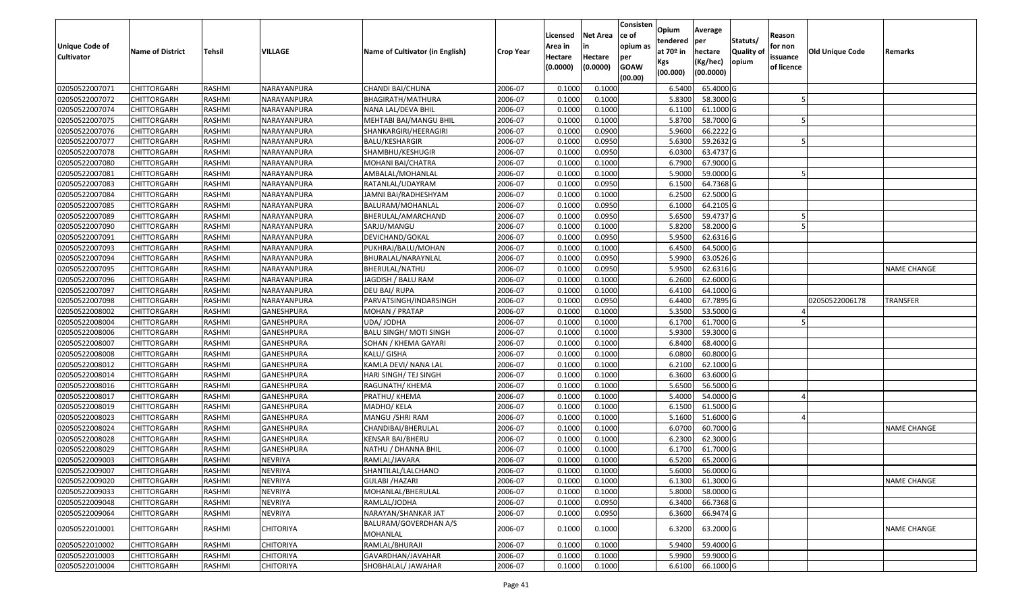| Unique Code of    | <b>Name of District</b> | <b>Tehsil</b> | VILLAGE           | Name of Cultivator (in English)   | <b>Crop Year</b> | Licensed<br>Area in | <b>Net Area</b><br>in | Consisten<br>ce of<br>opium as | Opium<br>tendered<br>at $70°$ in | Average<br>per<br>hectare | Statuts/<br><b>Quality o</b> | Reason<br>for non      | Old Unique Code | Remarks            |
|-------------------|-------------------------|---------------|-------------------|-----------------------------------|------------------|---------------------|-----------------------|--------------------------------|----------------------------------|---------------------------|------------------------------|------------------------|-----------------|--------------------|
| <b>Cultivator</b> |                         |               |                   |                                   |                  | Hectare<br>(0.0000) | Hectare<br>(0.0000)   | per<br><b>GOAW</b><br>(00.00)  | Kgs<br>(00.000)                  | (Kg/hec)<br>(00.0000)     | opium                        | issuance<br>of licence |                 |                    |
| 02050522007071    | CHITTORGARH             | RASHMI        | NARAYANPURA       | CHANDI BAI/CHUNA                  | 2006-07          | 0.1000              | 0.1000                |                                | 6.5400                           | 65.4000 G                 |                              |                        |                 |                    |
| 02050522007072    | CHITTORGARH             | RASHMI        | NARAYANPURA       | BHAGIRATH/MATHURA                 | 2006-07          | 0.1000              | 0.1000                |                                | 5.8300                           | 58.3000 G                 |                              |                        |                 |                    |
| 02050522007074    | CHITTORGARH             | RASHMI        | NARAYANPURA       | NANA LAL/DEVA BHIL                | 2006-07          | 0.1000              | 0.1000                |                                | 6.1100                           | 61.1000G                  |                              |                        |                 |                    |
| 02050522007075    | <b>CHITTORGARH</b>      | RASHMI        | NARAYANPURA       | MEHTABI BAI/MANGU BHIL            | 2006-07          | 0.1000              | 0.1000                |                                | 5.8700                           | 58.7000G                  |                              |                        |                 |                    |
| 02050522007076    | CHITTORGARH             | RASHMI        | NARAYANPURA       | SHANKARGIRI/HEERAGIRI             | 2006-07          | 0.1000              | 0.0900                |                                | 5.9600                           | 66.2222 G                 |                              |                        |                 |                    |
| 02050522007077    | CHITTORGARH             | RASHMI        | NARAYANPURA       | BALU/KESHARGIR                    | 2006-07          | 0.1000              | 0.0950                |                                | 5.6300                           | $\overline{59.2632}$ G    |                              |                        |                 |                    |
| 02050522007078    | CHITTORGARH             | RASHMI        | NARAYANPURA       | SHAMBHU/KESHUGIR                  | 2006-07          | 0.1000              | 0.0950                |                                | 6.0300                           | 63.4737 G                 |                              |                        |                 |                    |
| 02050522007080    | <b>CHITTORGARH</b>      | <b>RASHMI</b> | NARAYANPURA       | MOHANI BAI/CHATRA                 | 2006-07          | 0.1000              | 0.1000                |                                | 6.7900                           | 67.9000G                  |                              |                        |                 |                    |
| 02050522007081    | CHITTORGARH             | RASHMI        | NARAYANPURA       | AMBALAL/MOHANLAL                  | 2006-07          | 0.1000              | 0.1000                |                                | 5.9000                           | 59.0000G                  |                              |                        |                 |                    |
| 02050522007083    | CHITTORGARH             | RASHMI        | NARAYANPURA       | RATANLAL/UDAYRAM                  | 2006-07          | 0.1000              | 0.0950                |                                | 6.1500                           | 64.7368 G                 |                              |                        |                 |                    |
| 02050522007084    | CHITTORGARH             | RASHMI        | NARAYANPURA       | JAMNI BAI/RADHESHYAM              | 2006-07          | 0.1000              | 0.1000                |                                | 6.2500                           | 62.5000G                  |                              |                        |                 |                    |
| 02050522007085    | <b>CHITTORGARH</b>      | RASHMI        | NARAYANPURA       | BALURAM/MOHANLAL                  | 2006-07          | 0.1000              | 0.0950                |                                | 6.1000                           | 64.2105 G                 |                              |                        |                 |                    |
| 02050522007089    | <b>CHITTORGARH</b>      | RASHMI        | NARAYANPURA       | BHERULAL/AMARCHAND                | 2006-07          | 0.1000              | 0.0950                |                                | 5.6500                           | 59.4737 G                 |                              |                        |                 |                    |
| 02050522007090    | CHITTORGARH             | RASHMI        | NARAYANPURA       | SARJU/MANGU                       | 2006-07          | 0.1000              | 0.1000                |                                | 5.8200                           | 58.2000 G                 |                              |                        |                 |                    |
| 02050522007091    | <b>CHITTORGARH</b>      | RASHMI        | NARAYANPURA       | DEVICHAND/GOKAL                   | 2006-07          | 0.1000              | 0.0950                |                                | 5.9500                           | 62.6316 G                 |                              |                        |                 |                    |
| 02050522007093    | <b>CHITTORGARH</b>      | RASHMI        | NARAYANPURA       | PUKHRAJ/BALU/MOHAN                | 2006-07          | 0.1000              | 0.1000                |                                | 6.4500                           | 64.5000 G                 |                              |                        |                 |                    |
| 02050522007094    | <b>CHITTORGARH</b>      | RASHMI        | NARAYANPURA       | BHURALAL/NARAYNLAL                | 2006-07          | 0.1000              | 0.0950                |                                | 5.9900                           | 63.0526 G                 |                              |                        |                 |                    |
| 02050522007095    | CHITTORGARH             | RASHMI        | NARAYANPURA       | BHERULAL/NATHU                    | 2006-07          | 0.1000              | 0.0950                |                                | 5.9500                           | 62.6316 G                 |                              |                        |                 | <b>NAME CHANGE</b> |
| 02050522007096    | CHITTORGARH             | RASHMI        | NARAYANPURA       | JAGDISH / BALU RAM                | 2006-07          | 0.1000              | 0.1000                |                                | 6.2600                           | 62.6000 G                 |                              |                        |                 |                    |
| 02050522007097    | CHITTORGARH             | RASHMI        | NARAYANPURA       | DEU BAI/ RUPA                     | 2006-07          | 0.1000              | 0.1000                |                                | 6.4100                           | 64.1000G                  |                              |                        |                 |                    |
| 02050522007098    | CHITTORGARH             | RASHMI        | NARAYANPURA       | PARVATSINGH/INDARSINGH            | 2006-07          | 0.1000              | 0.0950                |                                | 6.4400                           | 67.7895 G                 |                              |                        | 02050522006178  | <b>TRANSFER</b>    |
| 02050522008002    | CHITTORGARH             | RASHMI        | GANESHPURA        | MOHAN / PRATAP                    | 2006-07          | 0.1000              | 0.1000                |                                | 5.3500                           | 53.5000G                  |                              |                        |                 |                    |
| 02050522008004    | CHITTORGARH             | RASHMI        | GANESHPURA        | UDA/ JODHA                        | 2006-07          | 0.1000              | 0.1000                |                                | 6.1700                           | 61.7000G                  |                              |                        |                 |                    |
| 02050522008006    | <b>CHITTORGARH</b>      | RASHMI        | GANESHPURA        | BALU SINGH/ MOTI SINGH            | 2006-07          | 0.1000              | 0.1000                |                                | 5.9300                           | 59.3000G                  |                              |                        |                 |                    |
| 02050522008007    | <b>CHITTORGARH</b>      | RASHMI        | <b>GANESHPURA</b> | SOHAN / KHEMA GAYARI              | 2006-07          | 0.1000              | 0.1000                |                                | 6.8400                           | 68.4000 G                 |                              |                        |                 |                    |
| 02050522008008    | CHITTORGARH             | RASHMI        | GANESHPURA        | KALU/ GISHA                       | 2006-07          | 0.1000              | 0.1000                |                                | 6.0800                           | 60.8000 G                 |                              |                        |                 |                    |
| 02050522008012    | CHITTORGARH             | RASHMI        | GANESHPURA        | KAMLA DEVI/ NANA LAL              | 2006-07          | 0.1000              | 0.1000                |                                | 6.2100                           | 62.1000G                  |                              |                        |                 |                    |
| 02050522008014    | CHITTORGARH             | RASHMI        | GANESHPURA        | HARI SINGH/ TEJ SINGH             | 2006-07          | 0.1000              | 0.1000                |                                | 6.3600                           | 63.6000 G                 |                              |                        |                 |                    |
| 02050522008016    | CHITTORGARH             | RASHMI        | <b>GANESHPURA</b> | RAGUNATH/ KHEMA                   | 2006-07          | 0.1000              | 0.1000                |                                | 5.6500                           | 56.5000 G                 |                              |                        |                 |                    |
| 02050522008017    | CHITTORGARH             | RASHMI        | GANESHPURA        | PRATHU/ KHEMA                     | 2006-07          | 0.1000              | 0.1000                |                                | 5.4000                           | 54.0000G                  |                              |                        |                 |                    |
| 02050522008019    | CHITTORGARH             | RASHMI        | GANESHPURA        | MADHO/ KELA                       | 2006-07          | 0.1000              | 0.1000                |                                | 6.1500                           | 61.5000G                  |                              |                        |                 |                    |
| 02050522008023    | CHITTORGARH             | RASHMI        | GANESHPURA        | MANGU / SHRI RAM                  | 2006-07          | 0.1000              | 0.1000                |                                | 5.1600                           | 51.6000 G                 |                              |                        |                 |                    |
| 02050522008024    | CHITTORGARH             | RASHMI        | <b>GANESHPURA</b> | CHANDIBAI/BHERULAL                | 2006-07          | 0.1000              | 0.1000                |                                | 6.0700                           | 60.7000 G                 |                              |                        |                 | <b>NAME CHANGE</b> |
| 02050522008028    | <b>CHITTORGARH</b>      | RASHMI        | <b>GANESHPURA</b> | KENSAR BAI/BHERU                  | 2006-07          | 0.1000              | 0.1000                |                                | 6.2300                           | 62.3000 G                 |                              |                        |                 |                    |
| 02050522008029    | CHITTORGARH             | RASHMI        | GANESHPURA        | NATHU / DHANNA BHIL               | 2006-07          | 0.1000              | 0.1000                |                                | 6.1700                           | 61.7000G                  |                              |                        |                 |                    |
| 02050522009003    | CHITTORGARH             | RASHMI        | <b>NEVRIYA</b>    | RAMLAL/JAVARA                     | 2006-07          | 0.1000              | 0.1000                |                                | 6.5200                           | 65.2000 G                 |                              |                        |                 |                    |
| 02050522009007    | <b>CHITTORGARH</b>      | RASHMI        | NEVRIYA           | SHANTILAL/LALCHAND                | 2006-07          | 0.1000              | 0.1000                |                                | 5.6000                           | 56.0000G                  |                              |                        |                 |                    |
| 02050522009020    | <b>CHITTORGARH</b>      | RASHMI        | <b>NEVRIYA</b>    | GULABI /HAZARI                    | 2006-07          | 0.1000              | 0.1000                |                                | 6.1300                           | 61.3000 G                 |                              |                        |                 | <b>NAME CHANGE</b> |
| 02050522009033    | <b>CHITTORGARH</b>      | RASHMI        | <b>NEVRIYA</b>    | MOHANLAL/BHERULAL                 | 2006-07          | 0.1000              | 0.1000                |                                | 5.8000                           | 58.0000 G                 |                              |                        |                 |                    |
| 02050522009048    | <b>CHITTORGARH</b>      | RASHMI        | <b>NEVRIYA</b>    | RAMLAL/JODHA                      | 2006-07          | 0.1000              | 0.0950                |                                | 6.3400                           | 66.7368 G                 |                              |                        |                 |                    |
| 02050522009064    | CHITTORGARH             | RASHMI        | NEVRIYA           | NARAYAN/SHANKAR JAT               | 2006-07          | 0.1000              | 0.0950                |                                | 6.3600                           | 66.9474 G                 |                              |                        |                 |                    |
| 02050522010001    | <b>CHITTORGARH</b>      | RASHMI        | <b>CHITORIYA</b>  | BALURAM/GOVERDHAN A/S<br>MOHANLAL | 2006-07          | 0.1000              | 0.1000                |                                | 6.3200                           | 63.2000 G                 |                              |                        |                 | <b>NAME CHANGE</b> |
| 02050522010002    | CHITTORGARH             | RASHMI        | <b>CHITORIYA</b>  | RAMLAL/BHURAJI                    | 2006-07          | 0.1000              | 0.1000                |                                | 5.9400                           | 59.4000 G                 |                              |                        |                 |                    |
| 02050522010003    | CHITTORGARH             | RASHMI        | <b>CHITORIYA</b>  | GAVARDHAN/JAVAHAR                 | 2006-07          | 0.1000              | 0.1000                |                                | 5.9900                           | 59.9000 G                 |                              |                        |                 |                    |
| 02050522010004    | <b>CHITTORGARH</b>      | RASHMI        | <b>CHITORIYA</b>  | SHOBHALAL/ JAWAHAR                | 2006-07          | 0.1000              | 0.1000                |                                | 6.6100                           | 66.1000 G                 |                              |                        |                 |                    |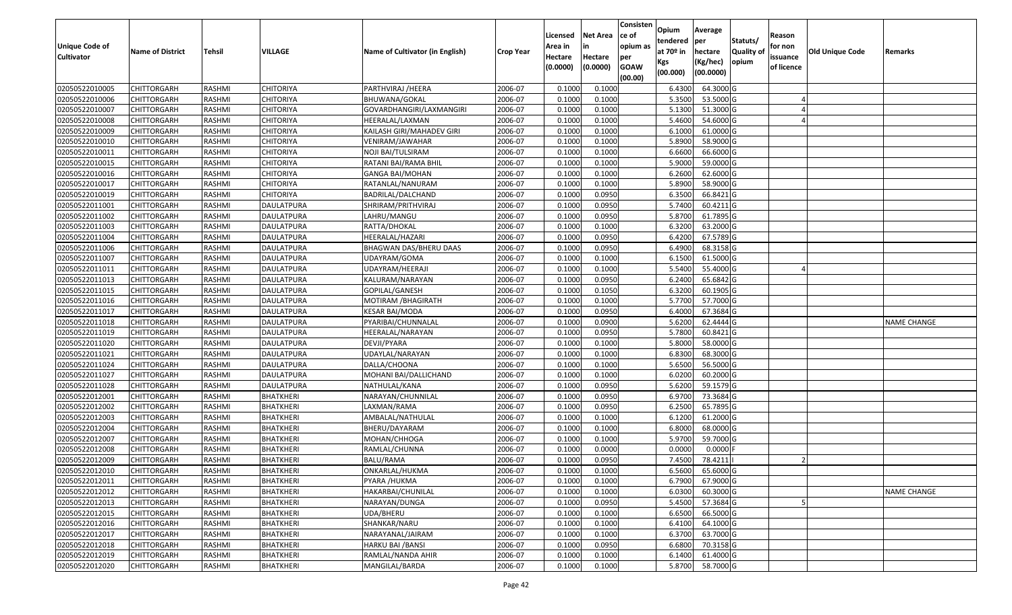| <b>Unique Code of</b><br><b>Cultivator</b> | <b>Name of District</b> | <b>Tehsil</b> | VILLAGE           | Name of Cultivator (in English) | <b>Crop Year</b> | Licensed<br>Area in<br>Hectare | <b>Net Area</b><br>in<br>Hectare | Consisten<br>ce of<br>opium as<br>per | Opium<br>tendered<br>at $70°$ in | Average<br>per<br>hectare | Statuts/<br><b>Quality o</b><br>opium | Reason<br>for non<br>issuance | <b>Old Unique Code</b> | Remarks            |
|--------------------------------------------|-------------------------|---------------|-------------------|---------------------------------|------------------|--------------------------------|----------------------------------|---------------------------------------|----------------------------------|---------------------------|---------------------------------------|-------------------------------|------------------------|--------------------|
|                                            |                         |               |                   |                                 |                  | (0.0000)                       | (0.0000)                         | <b>GOAW</b><br>(00.00)                | Kgs<br>(00.000)                  | (Kg/hec)<br>(00.0000)     |                                       | of licence                    |                        |                    |
| 02050522010005                             | CHITTORGARH             | RASHMI        | <b>CHITORIYA</b>  | PARTHVIRAJ /HEERA               | 2006-07          | 0.1000                         | 0.1000                           |                                       | 6.4300                           | 64.3000 G                 |                                       |                               |                        |                    |
| 02050522010006                             | CHITTORGARH             | RASHMI        | <b>CHITORIYA</b>  | BHUWANA/GOKAL                   | 2006-07          | 0.1000                         | 0.1000                           |                                       | 5.3500                           | 53.5000 G                 |                                       |                               |                        |                    |
| 02050522010007                             | CHITTORGARH             | RASHMI        | CHITORIYA         | GOVARDHANGIRI/LAXMANGIRI        | 2006-07          | 0.1000                         | 0.1000                           |                                       | 5.1300                           | 51.3000 G                 |                                       |                               |                        |                    |
| 02050522010008                             | <b>CHITTORGARH</b>      | RASHMI        | <b>CHITORIYA</b>  | HEERALAL/LAXMAN                 | 2006-07          | 0.1000                         | 0.1000                           |                                       | 5.4600                           | 54.6000 G                 |                                       |                               |                        |                    |
| 02050522010009                             | CHITTORGARH             | RASHMI        | <b>CHITORIYA</b>  | KAILASH GIRI/MAHADEV GIRI       | 2006-07          | 0.1000                         | 0.1000                           |                                       | 6.1000                           | 61.0000G                  |                                       |                               |                        |                    |
| 02050522010010                             | <b>CHITTORGARH</b>      | RASHMI        | <b>CHITORIYA</b>  | VENIRAM/JAWAHAR                 | 2006-07          | 0.1000                         | 0.1000                           |                                       | 5.8900                           | 58.9000G                  |                                       |                               |                        |                    |
| 02050522010011                             | CHITTORGARH             | RASHMI        | CHITORIYA         | NOJI BAI/TULSIRAM               | 2006-07          | 0.1000                         | 0.1000                           |                                       | 6.6600                           | 66.6000 G                 |                                       |                               |                        |                    |
| 02050522010015                             | <b>CHITTORGARH</b>      | <b>RASHMI</b> | <b>CHITORIYA</b>  | RATANI BAI/RAMA BHIL            | 2006-07          | 0.1000                         | 0.1000                           |                                       | 5.9000                           | 59.0000G                  |                                       |                               |                        |                    |
| 02050522010016                             | CHITTORGARH             | RASHMI        | <b>CHITORIYA</b>  | GANGA BAI/MOHAN                 | 2006-07          | 0.1000                         | 0.1000                           |                                       | 6.2600                           | 62.6000G                  |                                       |                               |                        |                    |
| 02050522010017                             | <b>CHITTORGARH</b>      | RASHMI        | <b>CHITORIYA</b>  | RATANLAL/NANURAM                | 2006-07          | 0.1000                         | 0.1000                           |                                       | 5.8900                           | 58.9000 G                 |                                       |                               |                        |                    |
| 02050522010019                             | CHITTORGARH             | RASHMI        | <b>CHITORIYA</b>  | BADRILAL/DALCHAND               | 2006-07          | 0.1000                         | 0.0950                           |                                       | 6.3500                           | 66.8421G                  |                                       |                               |                        |                    |
| 02050522011001                             | <b>CHITTORGARH</b>      | RASHMI        | <b>DAULATPURA</b> | SHRIRAM/PRITHVIRAJ              | 2006-07          | 0.1000                         | 0.0950                           |                                       | 5.7400                           | 60.4211 G                 |                                       |                               |                        |                    |
| 02050522011002                             | <b>CHITTORGARH</b>      | RASHMI        | DAULATPURA        | LAHRU/MANGU                     | 2006-07          | 0.1000                         | 0.0950                           |                                       | 5.8700                           | 61.7895 G                 |                                       |                               |                        |                    |
| 02050522011003                             | <b>CHITTORGARH</b>      | RASHMI        | <b>DAULATPURA</b> | RATTA/DHOKAL                    | 2006-07          | 0.1000                         | 0.1000                           |                                       | 6.3200                           | 63.2000 G                 |                                       |                               |                        |                    |
| 02050522011004                             | CHITTORGARH             | RASHMI        | DAULATPURA        | HEERALAL/HAZARI                 | 2006-07          | 0.1000                         | 0.0950                           |                                       | 6.4200                           | 67.5789 G                 |                                       |                               |                        |                    |
| 02050522011006                             | CHITTORGARH             | RASHMI        | <b>DAULATPURA</b> | BHAGWAN DAS/BHERU DAAS          | 2006-07          | 0.1000                         | 0.0950                           |                                       | 6.4900                           | 68.3158 G                 |                                       |                               |                        |                    |
| 02050522011007                             | CHITTORGARH             | RASHMI        | <b>DAULATPURA</b> | UDAYRAM/GOMA                    | 2006-07          | 0.1000                         | 0.1000                           |                                       | 6.1500                           | 61.5000G                  |                                       |                               |                        |                    |
| 02050522011011                             | CHITTORGARH             | RASHMI        | <b>DAULATPURA</b> | UDAYRAM/HEERAJI                 | 2006-07          | 0.1000                         | 0.1000                           |                                       | 5.5400                           | 55.4000 G                 |                                       |                               |                        |                    |
| 02050522011013                             | CHITTORGARH             | RASHMI        | DAULATPURA        | KALURAM/NARAYAN                 | 2006-07          | 0.1000                         | 0.0950                           |                                       | 6.2400                           | 65.6842 G                 |                                       |                               |                        |                    |
| 02050522011015                             | CHITTORGARH             | RASHMI        | <b>DAULATPURA</b> | GOPILAL/GANESH                  | 2006-07          | 0.1000                         | 0.1050                           |                                       | 6.3200                           | 60.1905 G                 |                                       |                               |                        |                    |
| 02050522011016                             | CHITTORGARH             | RASHMI        | DAULATPURA        | MOTIRAM /BHAGIRATH              | 2006-07          | 0.1000                         | 0.1000                           |                                       | 5.7700                           | 57.7000 G                 |                                       |                               |                        |                    |
| 02050522011017                             | CHITTORGARH             | RASHMI        | <b>DAULATPURA</b> | KESAR BAI/MODA                  | 2006-07          | 0.1000                         | 0.0950                           |                                       | 6.4000                           | 67.3684 G                 |                                       |                               |                        |                    |
| 02050522011018                             | CHITTORGARH             | RASHMI        | DAULATPURA        | PYARIBAI/CHUNNALAL              | 2006-07          | 0.1000                         | 0.0900                           |                                       | 5.6200                           | 62.4444 G                 |                                       |                               |                        | <b>NAME CHANGE</b> |
| 02050522011019                             | CHITTORGARH             | RASHMI        | DAULATPURA        | HEERALAL/NARAYAN                | 2006-07          | 0.1000                         | 0.0950                           |                                       | 5.7800                           | 60.8421G                  |                                       |                               |                        |                    |
| 02050522011020                             | <b>CHITTORGARH</b>      | RASHMI        | DAULATPURA        | DEVJI/PYARA                     | 2006-07          | 0.1000                         | 0.1000                           |                                       | 5.8000                           | 58.0000 G                 |                                       |                               |                        |                    |
| 02050522011021                             | CHITTORGARH             | <b>RASHMI</b> | <b>DAULATPURA</b> | UDAYLAL/NARAYAN                 | 2006-07          | 0.1000                         | 0.1000                           |                                       | 6.8300                           | 68.3000 G                 |                                       |                               |                        |                    |
| 02050522011024                             | CHITTORGARH             | RASHMI        | <b>DAULATPURA</b> | DALLA/CHOONA                    | 2006-07          | 0.1000                         | 0.1000                           |                                       | 5.6500                           | 56.5000G                  |                                       |                               |                        |                    |
| 02050522011027                             | CHITTORGARH             | RASHMI        | DAULATPURA        | MOHANI BAI/DALLICHAND           | 2006-07          | 0.1000                         | 0.1000                           |                                       | 6.0200                           | 60.2000 G                 |                                       |                               |                        |                    |
| 02050522011028                             | CHITTORGARH             | RASHMI        | <b>DAULATPURA</b> | NATHULAL/KANA                   | 2006-07          | 0.1000                         | 0.0950                           |                                       | 5.6200                           | 59.1579 G                 |                                       |                               |                        |                    |
| 02050522012001                             | <b>CHITTORGARH</b>      | RASHMI        | <b>BHATKHERI</b>  | NARAYAN/CHUNNILAL               | 2006-07          | 0.1000                         | 0.0950                           |                                       | 6.9700                           | 73.3684 G                 |                                       |                               |                        |                    |
| 02050522012002                             | CHITTORGARH             | RASHMI        | <b>BHATKHERI</b>  | LAXMAN/RAMA                     | 2006-07          | 0.1000                         | 0.0950                           |                                       | 6.2500                           | 65.7895 G                 |                                       |                               |                        |                    |
| 02050522012003                             | CHITTORGARH             | RASHMI        | <b>BHATKHERI</b>  | AMBALAL/NATHULAL                | 2006-07          | 0.1000                         | 0.1000                           |                                       | 6.1200                           | 61.2000 G                 |                                       |                               |                        |                    |
| 02050522012004                             | CHITTORGARH             | <b>RASHMI</b> | <b>BHATKHERI</b>  | BHERU/DAYARAM                   | 2006-07          | 0.1000                         | 0.1000                           |                                       | 6.8000                           | 68.0000G                  |                                       |                               |                        |                    |
| 02050522012007                             | CHITTORGARH             | RASHMI        | <b>BHATKHERI</b>  | MOHAN/CHHOGA                    | 2006-07          | 0.1000                         | 0.1000                           |                                       | 5.9700                           | 59.7000G                  |                                       |                               |                        |                    |
| 02050522012008                             | CHITTORGARH             | RASHMI        | <b>BHATKHERI</b>  | RAMLAL/CHUNNA                   | 2006-07          | 0.1000                         | 0.0000                           |                                       | 0.0000                           | 0.0000F                   |                                       |                               |                        |                    |
| 02050522012009                             | CHITTORGARH             | RASHMI        | <b>BHATKHERI</b>  | BALU/RAMA                       | 2006-07          | 0.1000                         | 0.0950                           |                                       | 7.4500                           | 78.4211                   |                                       |                               |                        |                    |
| 02050522012010                             | <b>CHITTORGARH</b>      | RASHMI        | <b>BHATKHERI</b>  | ONKARLAL/HUKMA                  | 2006-07          | 0.1000                         | 0.1000                           |                                       | 6.5600                           | 65.6000 G                 |                                       |                               |                        |                    |
| 02050522012011                             | <b>CHITTORGARH</b>      | RASHMI        | <b>BHATKHERI</b>  | PYARA /HUKMA                    | 2006-07          | 0.1000                         | 0.1000                           |                                       | 6.7900                           | 67.9000 G                 |                                       |                               |                        |                    |
| 02050522012012                             | <b>CHITTORGARH</b>      | RASHMI        | <b>BHATKHERI</b>  | HAKARBAI/CHUNILAL               | 2006-07          | 0.1000                         | 0.1000                           |                                       | 6.0300                           | 60.3000 G                 |                                       |                               |                        | <b>NAME CHANGE</b> |
| 02050522012013                             | <b>CHITTORGARH</b>      | RASHMI        | <b>BHATKHERI</b>  | NARAYAN/DUNGA                   | 2006-07          | 0.1000                         | 0.0950                           |                                       | 5.4500                           | 57.3684 G                 |                                       |                               |                        |                    |
| 02050522012015                             | CHITTORGARH             | RASHMI        | <b>BHATKHERI</b>  | UDA/BHERU                       | 2006-07          | 0.1000                         | 0.1000                           |                                       | 6.6500                           | 66.5000 G                 |                                       |                               |                        |                    |
| 02050522012016                             | <b>CHITTORGARH</b>      | RASHMI        | <b>BHATKHERI</b>  | SHANKAR/NARU                    | 2006-07          | 0.1000                         | 0.1000                           |                                       | 6.4100                           | 64.1000 G                 |                                       |                               |                        |                    |
| 02050522012017                             | <b>CHITTORGARH</b>      | RASHMI        | <b>BHATKHERI</b>  | NARAYANAL/JAIRAM                | 2006-07          | 0.1000                         | 0.1000                           |                                       | 6.3700                           | 63.7000 G                 |                                       |                               |                        |                    |
| 02050522012018                             | CHITTORGARH             | RASHMI        | <b>BHATKHERI</b>  | HARKU BAI / BANSI               | 2006-07          | 0.1000                         | 0.0950                           |                                       | 6.6800                           | 70.3158 G                 |                                       |                               |                        |                    |
| 02050522012019                             | CHITTORGARH             | RASHMI        | BHATKHERI         | RAMLAL/NANDA AHIR               | 2006-07          | 0.1000                         | 0.1000                           |                                       | 6.1400                           | 61.4000 G                 |                                       |                               |                        |                    |
| 02050522012020                             | <b>CHITTORGARH</b>      | RASHMI        | <b>BHATKHERI</b>  | MANGILAL/BARDA                  | 2006-07          | 0.1000                         | 0.1000                           |                                       | 5.8700                           | 58.7000 G                 |                                       |                               |                        |                    |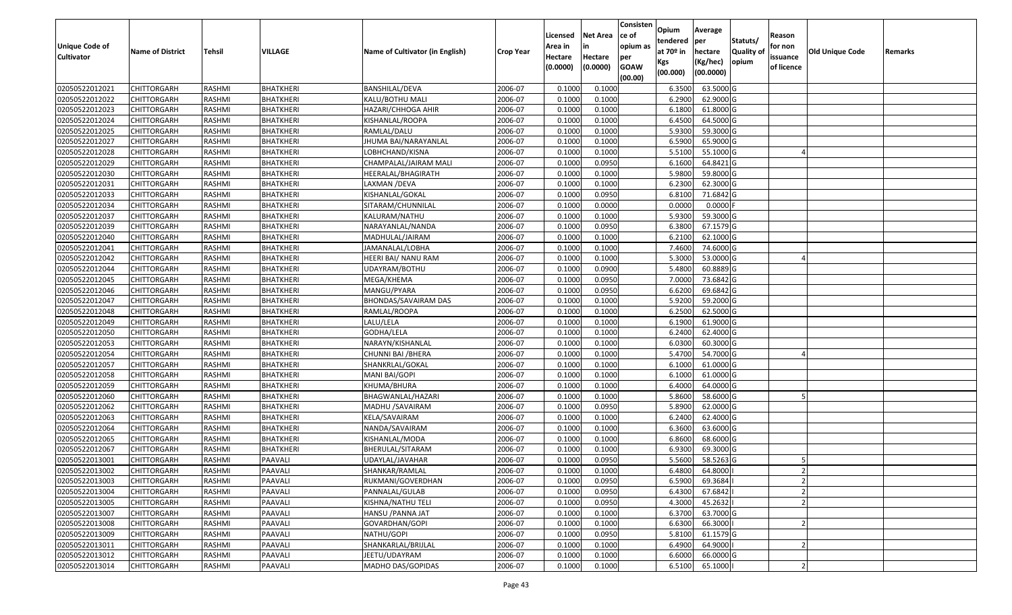| <b>Unique Code of</b> | <b>Name of District</b> | Tehsil        | VILLAGE          | Name of Cultivator (in English) | <b>Crop Year</b> | Licensed<br>Area in | <b>Net Area</b><br>in | Consisten<br>ce of<br>opium as | Opium<br>tendered<br>at $70°$ in | Average<br>per<br>hectare | Statuts/<br><b>Quality o</b> | Reason<br>for non      | Old Unique Code | Remarks |
|-----------------------|-------------------------|---------------|------------------|---------------------------------|------------------|---------------------|-----------------------|--------------------------------|----------------------------------|---------------------------|------------------------------|------------------------|-----------------|---------|
| <b>Cultivator</b>     |                         |               |                  |                                 |                  | Hectare<br>(0.0000) | Hectare<br>(0.0000)   | per<br><b>GOAW</b><br>(00.00)  | Kgs<br>(00.000)                  | (Kg/hec)<br>(00.0000)     | opium                        | issuance<br>of licence |                 |         |
| 02050522012021        | CHITTORGARH             | RASHMI        | <b>BHATKHERI</b> | BANSHILAL/DEVA                  | 2006-07          | 0.1000              | 0.1000                |                                | 6.3500                           | 63.5000G                  |                              |                        |                 |         |
| 02050522012022        | CHITTORGARH             | RASHMI        | <b>BHATKHERI</b> | KALU/BOTHU MALI                 | 2006-07          | 0.1000              | 0.1000                |                                | 6.2900                           | 62.9000 G                 |                              |                        |                 |         |
| 02050522012023        | CHITTORGARH             | RASHMI        | BHATKHERI        | HAZARI/CHHOGA AHIR              | 2006-07          | 0.1000              | 0.1000                |                                | 6.1800                           | 61.8000G                  |                              |                        |                 |         |
| 02050522012024        | CHITTORGARH             | RASHMI        | <b>BHATKHERI</b> | KISHANLAL/ROOPA                 | 2006-07          | 0.1000              | 0.1000                |                                | 6.4500                           | 64.5000 G                 |                              |                        |                 |         |
| 02050522012025        | CHITTORGARH             | RASHMI        | BHATKHERI        | RAMLAL/DALU                     | 2006-07          | 0.1000              | 0.1000                |                                | 5.9300                           | 59.3000G                  |                              |                        |                 |         |
| 02050522012027        | CHITTORGARH             | RASHMI        | <b>BHATKHERI</b> | JHUMA BAI/NARAYANLAL            | 2006-07          | 0.1000              | 0.1000                |                                | 6.5900                           | 65.9000 G                 |                              |                        |                 |         |
| 02050522012028        | CHITTORGARH             | RASHMI        | BHATKHERI        | LOBHCHAND/KISNA                 | 2006-07          | 0.1000              | 0.1000                |                                | 5.5100                           | 55.1000G                  |                              |                        |                 |         |
| 02050522012029        | <b>CHITTORGARH</b>      | <b>RASHMI</b> | <b>BHATKHERI</b> | CHAMPALAL/JAIRAM MALI           | 2006-07          | 0.1000              | 0.0950                |                                | 6.1600                           | 64.8421 G                 |                              |                        |                 |         |
| 02050522012030        | CHITTORGARH             | RASHMI        | <b>BHATKHERI</b> | HEERALAL/BHAGIRATH              | 2006-07          | 0.1000              | 0.1000                |                                | 5.9800                           | 59.8000 G                 |                              |                        |                 |         |
| 02050522012031        | CHITTORGARH             | RASHMI        | <b>BHATKHERI</b> | LAXMAN /DEVA                    | 2006-07          | 0.1000              | 0.1000                |                                | 6.2300                           | 62.3000G                  |                              |                        |                 |         |
| 02050522012033        | CHITTORGARH             | RASHMI        | <b>BHATKHERI</b> | KISHANLAL/GOKAL                 | 2006-07          | 0.1000              | 0.0950                |                                | 6.8100                           | 71.6842 G                 |                              |                        |                 |         |
| 02050522012034        | CHITTORGARH             | RASHMI        | <b>BHATKHERI</b> | SITARAM/CHUNNILAL               | 2006-07          | 0.1000              | 0.0000                |                                | 0.0000                           | $0.0000$ F                |                              |                        |                 |         |
| 02050522012037        | <b>CHITTORGARH</b>      | RASHMI        | <b>BHATKHERI</b> | KALURAM/NATHU                   | 2006-07          | 0.1000              | 0.1000                |                                | 5.9300                           | 59.3000 G                 |                              |                        |                 |         |
| 02050522012039        | CHITTORGARH             | RASHMI        | BHATKHERI        | NARAYANLAL/NANDA                | 2006-07          | 0.1000              | 0.0950                |                                | 6.3800                           | 67.1579 G                 |                              |                        |                 |         |
| 02050522012040        | CHITTORGARH             | RASHMI        | BHATKHERI        | MADHULAL/JAIRAM                 | 2006-07          | 0.1000              | 0.1000                |                                | 6.2100                           | 62.1000G                  |                              |                        |                 |         |
| 02050522012041        | CHITTORGARH             | RASHMI        | <b>BHATKHERI</b> | JAMANALAL/LOBHA                 | 2006-07          | 0.1000              | 0.1000                |                                | 7.4600                           | 74.6000G                  |                              |                        |                 |         |
| 02050522012042        | CHITTORGARH             | RASHMI        | <b>BHATKHERI</b> | HEERI BAI/ NANU RAM             | 2006-07          | 0.1000              | 0.1000                |                                | 5.3000                           | 53.0000 G                 |                              |                        |                 |         |
| 02050522012044        | CHITTORGARH             | RASHMI        | BHATKHERI        | UDAYRAM/BOTHU                   | 2006-07          | 0.1000              | 0.0900                |                                | 5.4800                           | 60.8889 G                 |                              |                        |                 |         |
| 02050522012045        | CHITTORGARH             | RASHMI        | BHATKHERI        | MEGA/KHEMA                      | 2006-07          | 0.1000              | 0.0950                |                                | 7.0000                           | 73.6842 G                 |                              |                        |                 |         |
| 02050522012046        | CHITTORGARH             | RASHMI        | BHATKHERI        | MANGU/PYARA                     | 2006-07          | 0.1000              | 0.0950                |                                | 6.6200                           | 69.6842 G                 |                              |                        |                 |         |
| 02050522012047        | CHITTORGARH             | RASHMI        | <b>BHATKHERI</b> | BHONDAS/SAVAIRAM DAS            | 2006-07          | 0.1000              | 0.1000                |                                | 5.9200                           | 59.2000 G                 |                              |                        |                 |         |
| 02050522012048        | CHITTORGARH             | RASHMI        | BHATKHERI        | RAMLAL/ROOPA                    | 2006-07          | 0.1000              | 0.1000                |                                | 6.250                            | 62.5000 G                 |                              |                        |                 |         |
| 02050522012049        | CHITTORGARH             | RASHMI        | BHATKHERI        | LALU/LELA                       | 2006-07          | 0.1000              | 0.1000                |                                | 6.1900                           | 61.9000G                  |                              |                        |                 |         |
| 02050522012050        | CHITTORGARH             | RASHMI        | BHATKHERI        | GODHA/LELA                      | 2006-07          | 0.1000              | 0.1000                |                                | 6.2400                           | 62.4000 G                 |                              |                        |                 |         |
| 02050522012053        | <b>CHITTORGARH</b>      | RASHMI        | <b>BHATKHERI</b> | NARAYN/KISHANLAL                | 2006-07          | 0.1000              | 0.1000                |                                | 6.0300                           | 60.3000 G                 |                              |                        |                 |         |
| 02050522012054        | CHITTORGARH             | RASHMI        | BHATKHERI        | CHUNNI BAI / BHERA              | 2006-07          | 0.1000              | 0.1000                |                                | 5.4700                           | 54.7000 G                 |                              |                        |                 |         |
| 02050522012057        | CHITTORGARH             | RASHMI        | <b>BHATKHERI</b> | SHANKRLAL/GOKAL                 | 2006-07          | 0.1000              | 0.1000                |                                | 6.1000                           | 61.0000G                  |                              |                        |                 |         |
| 02050522012058        | CHITTORGARH             | RASHMI        | BHATKHERI        | MANI BAI/GOPI                   | 2006-07          | 0.1000              | 0.1000                |                                | 6.1000                           | 61.0000G                  |                              |                        |                 |         |
| 02050522012059        | CHITTORGARH             | RASHMI        | <b>BHATKHERI</b> | KHUMA/BHURA                     | 2006-07          | 0.1000              | 0.1000                |                                | 6.4000                           | 64.0000 G                 |                              |                        |                 |         |
| 02050522012060        | CHITTORGARH             | RASHMI        | <b>BHATKHERI</b> | BHAGWANLAL/HAZARI               | 2006-07          | 0.1000              | 0.1000                |                                | 5.8600                           | 58.6000 G                 |                              |                        |                 |         |
| 02050522012062        | CHITTORGARH             | RASHMI        | <b>BHATKHERI</b> | MADHU / SAVAIRAM                | 2006-07          | 0.1000              | 0.0950                |                                | 5.8900                           | 62.0000G                  |                              |                        |                 |         |
| 02050522012063        | CHITTORGARH             | RASHMI        | BHATKHERI        | KELA/SAVAIRAM                   | 2006-07          | 0.1000              | 0.1000                |                                | 6.2400                           | 62.4000 G                 |                              |                        |                 |         |
| 02050522012064        | CHITTORGARH             | RASHMI        | <b>BHATKHERI</b> | NANDA/SAVAIRAM                  | 2006-07          | 0.1000              | 0.1000                |                                | 6.3600                           | 63.6000 G                 |                              |                        |                 |         |
| 02050522012065        | CHITTORGARH             | RASHMI        | BHATKHERI        | KISHANLAL/MODA                  | 2006-07          | 0.1000              | 0.1000                |                                | 6.8600                           | 68.6000 G                 |                              |                        |                 |         |
| 02050522012067        | CHITTORGARH             | RASHMI        | <b>BHATKHERI</b> | BHERULAL/SITARAM                | 2006-07          | 0.1000              | 0.1000                |                                | 6.9300                           | 69.3000 G                 |                              |                        |                 |         |
| 02050522013001        | CHITTORGARH             | RASHMI        | PAAVALI          | UDAYLAL/JAVAHAR                 | 2006-07          | 0.1000              | 0.0950                |                                | 5.5600                           | 58.5263 G                 |                              |                        |                 |         |
| 02050522013002        | <b>CHITTORGARH</b>      | RASHMI        | PAAVALI          | SHANKAR/RAMLAL                  | 2006-07          | 0.1000              | 0.1000                |                                | 6.4800                           | 64.8000                   |                              |                        |                 |         |
| 02050522013003        | <b>CHITTORGARH</b>      | RASHMI        | PAAVALI          | RUKMANI/GOVERDHAN               | 2006-07          | 0.1000              | 0.0950                |                                | 6.5900                           | 69.3684                   |                              |                        |                 |         |
| 02050522013004        | <b>CHITTORGARH</b>      | RASHMI        | PAAVALI          | PANNALAL/GULAB                  | 2006-07          | 0.1000              | 0.0950                |                                | 6.4300                           | 67.6842                   |                              |                        |                 |         |
| 02050522013005        | <b>CHITTORGARH</b>      | RASHMI        | PAAVALI          | KISHNA/NATHU TELI               | 2006-07          | 0.1000              | 0.0950                |                                | 4.3000                           | 45.2632                   |                              |                        |                 |         |
| 02050522013007        | CHITTORGARH             | RASHMI        | PAAVALI          | HANSU / PANNA JAT               | 2006-07          | 0.1000              | 0.1000                |                                | 6.3700                           | 63.7000 G                 |                              |                        |                 |         |
| 02050522013008        | <b>CHITTORGARH</b>      | RASHMI        | PAAVALI          | GOVARDHAN/GOPI                  | 2006-07          | 0.1000              | 0.1000                |                                | 6.6300                           | 66.3000                   |                              |                        |                 |         |
| 02050522013009        | <b>CHITTORGARH</b>      | RASHMI        | PAAVALI          | NATHU/GOPI                      | 2006-07          | 0.1000              | 0.0950                |                                | 5.8100                           | 61.1579 G                 |                              |                        |                 |         |
| 02050522013011        | CHITTORGARH             | RASHMI        | PAAVALI          | SHANKARLAL/BRIJLAL              | 2006-07          | 0.1000              | 0.1000                |                                | 6.4900                           | 64.9000                   |                              |                        |                 |         |
| 02050522013012        | <b>CHITTORGARH</b>      | RASHMI        | PAAVALI          | JEETU/UDAYRAM                   | 2006-07          | 0.1000              | 0.1000                |                                | 6.6000                           | 66.0000G                  |                              |                        |                 |         |
| 02050522013014        | <b>CHITTORGARH</b>      | RASHMI        | PAAVALI          | MADHO DAS/GOPIDAS               | 2006-07          | 0.1000              | 0.1000                |                                | 6.5100                           | 65.1000                   |                              |                        |                 |         |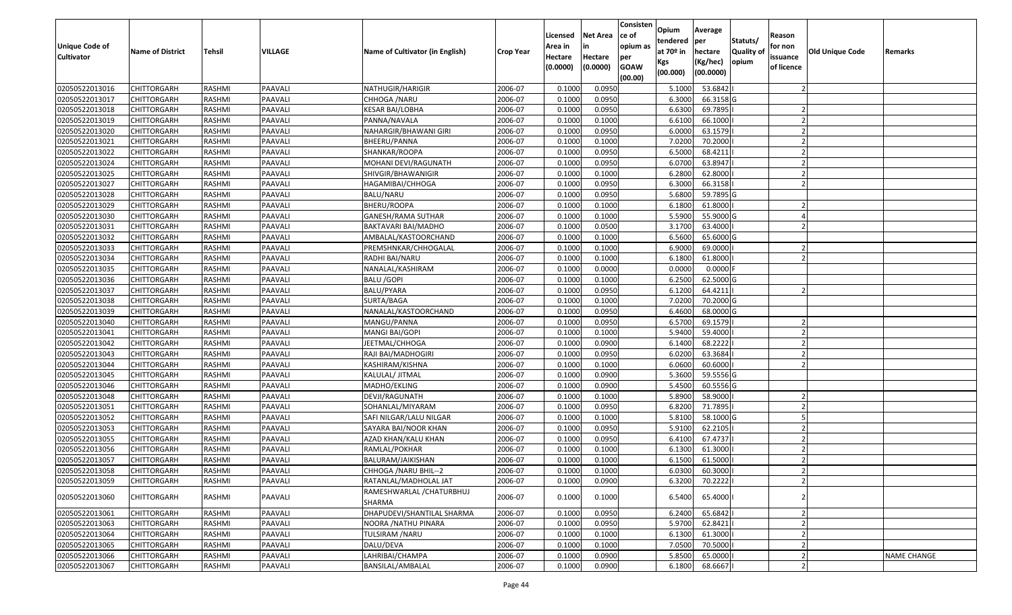| Unique Code of<br><b>Cultivator</b> | <b>Name of District</b> | <b>Tehsil</b> | VILLAGE | Name of Cultivator (in English)     | <b>Crop Year</b> | Licensed<br>Area in<br>Hectare | <b>Net Area</b><br>in<br>Hectare | Consisten<br>ce of<br>opium as<br>per | Opium<br>tendered<br>at $70°$ in | Average<br>per<br>hectare | Statuts/<br><b>Quality o</b> | Reason<br>for non<br>issuance | <b>Old Unique Code</b> | Remarks            |
|-------------------------------------|-------------------------|---------------|---------|-------------------------------------|------------------|--------------------------------|----------------------------------|---------------------------------------|----------------------------------|---------------------------|------------------------------|-------------------------------|------------------------|--------------------|
|                                     |                         |               |         |                                     |                  | (0.0000)                       | (0.0000)                         | <b>GOAW</b><br>(00.00)                | Kgs<br>(00.000)                  | (Kg/hec)<br>(00.0000)     | opium                        | of licence                    |                        |                    |
| 02050522013016                      | CHITTORGARH             | RASHMI        | PAAVALI | NATHUGIR/HARIGIR                    | 2006-07          | 0.1000                         | 0.0950                           |                                       | 5.1000                           | 53.6842                   |                              |                               |                        |                    |
| 02050522013017                      | CHITTORGARH             | RASHMI        | PAAVALI | CHHOGA /NARU                        | 2006-07          | 0.1000                         | 0.0950                           |                                       | 6.3000                           | 66.3158 G                 |                              |                               |                        |                    |
| 02050522013018                      | CHITTORGARH             | RASHMI        | PAAVALI | KESAR BAI/LOBHA                     | 2006-07          | 0.1000                         | 0.0950                           |                                       | 6.6300                           | 69.7895                   |                              |                               |                        |                    |
| 02050522013019                      | <b>CHITTORGARH</b>      | RASHMI        | PAAVALI | PANNA/NAVALA                        | 2006-07          | 0.1000                         | 0.1000                           |                                       | 6.6100                           | 66.1000                   |                              |                               |                        |                    |
| 02050522013020                      | CHITTORGARH             | RASHMI        | PAAVALI | NAHARGIR/BHAWANI GIRI               | 2006-07          | 0.1000                         | 0.0950                           |                                       | 6.0000                           | 63.1579                   |                              |                               |                        |                    |
| 02050522013021                      | CHITTORGARH             | RASHMI        | PAAVALI | BHEERU/PANNA                        | 2006-07          | 0.1000                         | 0.1000                           |                                       | 7.0200                           | 70.2000                   |                              |                               |                        |                    |
| 02050522013022                      | CHITTORGARH             | RASHMI        | PAAVALI | SHANKAR/ROOPA                       | 2006-07          | 0.1000                         | 0.0950                           |                                       | 6.5000                           | 68.4211                   |                              |                               |                        |                    |
| 02050522013024                      | CHITTORGARH             | <b>RASHMI</b> | PAAVALI | MOHANI DEVI/RAGUNATH                | 2006-07          | 0.1000                         | 0.0950                           |                                       | 6.0700                           | 63.8947                   |                              |                               |                        |                    |
| 02050522013025                      | CHITTORGARH             | RASHMI        | PAAVALI | SHIVGIR/BHAWANIGIR                  | 2006-07          | 0.1000                         | 0.1000                           |                                       | 6.2800                           | 62.8000                   |                              |                               |                        |                    |
| 02050522013027                      | CHITTORGARH             | RASHMI        | PAAVALI | HAGAMIBAI/CHHOGA                    | 2006-07          | 0.1000                         | 0.0950                           |                                       | 6.3000                           | 66.3158                   |                              |                               |                        |                    |
| 02050522013028                      | CHITTORGARH             | RASHMI        | PAAVALI | BALU/NARU                           | 2006-07          | 0.1000                         | 0.0950                           |                                       | 5.6800                           | 59.7895 G                 |                              |                               |                        |                    |
| 02050522013029                      | CHITTORGARH             | RASHMI        | PAAVALI | BHERU/ROOPA                         | 2006-07          | 0.1000                         | 0.1000                           |                                       | 6.1800                           | 61.8000                   |                              |                               |                        |                    |
| 02050522013030                      | <b>CHITTORGARH</b>      | RASHMI        | PAAVALI | <b>GANESH/RAMA SUTHAR</b>           | 2006-07          | 0.1000                         | 0.1000                           |                                       | 5.5900                           | 55.9000 G                 |                              |                               |                        |                    |
| 02050522013031                      | <b>CHITTORGARH</b>      | RASHMI        | PAAVALI | BAKTAVARI BAI/MADHO                 | 2006-07          | 0.1000                         | 0.0500                           |                                       | 3.1700                           | 63.4000                   |                              |                               |                        |                    |
| 02050522013032                      | CHITTORGARH             | RASHMI        | PAAVALI | AMBALAL/KASTOORCHAND                | 2006-07          | 0.1000                         | 0.1000                           |                                       | 6.5600                           | 65.6000G                  |                              |                               |                        |                    |
| 02050522013033                      | CHITTORGARH             | RASHMI        | PAAVALI | PREMSHNKAR/CHHOGALAL                | 2006-07          | 0.1000                         | 0.1000                           |                                       | 6.9000                           | 69.0000                   |                              |                               |                        |                    |
| 02050522013034                      | CHITTORGARH             | RASHMI        | PAAVALI | RADHI BAI/NARU                      | 2006-07          | 0.1000                         | 0.1000                           |                                       | 6.1800                           | 61.8000                   |                              |                               |                        |                    |
| 02050522013035                      | CHITTORGARH             | RASHMI        | PAAVALI | NANALAL/KASHIRAM                    | 2006-07          | 0.1000                         | 0.0000                           |                                       | 0.0000                           | 0.0000                    |                              |                               |                        |                    |
| 02050522013036                      | CHITTORGARH             | RASHMI        | PAAVALI | <b>BALU /GOPI</b>                   | 2006-07          | 0.1000                         | 0.1000                           |                                       | 6.2500                           | 62.5000G                  |                              |                               |                        |                    |
| 02050522013037                      | CHITTORGARH             | RASHMI        | PAAVALI | BALU/PYARA                          | 2006-07          | 0.1000                         | 0.0950                           |                                       | 6.1200                           | 64.4211                   |                              |                               |                        |                    |
| 02050522013038                      | CHITTORGARH             | RASHMI        | PAAVALI | SURTA/BAGA                          | 2006-07          | 0.1000                         | 0.1000                           |                                       | 7.0200                           | 70.2000 G                 |                              |                               |                        |                    |
| 02050522013039                      | CHITTORGARH             | RASHMI        | PAAVALI | NANALAL/KASTOORCHAND                | 2006-07          | 0.1000                         | 0.0950                           |                                       | 6.4600                           | 68.0000 G                 |                              |                               |                        |                    |
| 02050522013040                      | CHITTORGARH             | RASHMI        | PAAVALI | MANGU/PANNA                         | 2006-07          | 0.1000                         | 0.0950                           |                                       | 6.5700                           | 69.1579                   |                              |                               |                        |                    |
| 02050522013041                      | CHITTORGARH             | RASHMI        | PAAVALI | MANGI BAI/GOPI                      | 2006-07          | 0.1000                         | 0.1000                           |                                       | 5.9400                           | 59.4000                   |                              |                               |                        |                    |
| 02050522013042                      | <b>CHITTORGARH</b>      | RASHMI        | PAAVALI | JEETMAL/CHHOGA                      | 2006-07          | 0.1000                         | 0.0900                           |                                       | 6.1400                           | 68.2222                   |                              |                               |                        |                    |
| 02050522013043                      | CHITTORGARH             | RASHMI        | PAAVALI | RAJI BAI/MADHOGIRI                  | 2006-07          | 0.1000                         | 0.0950                           |                                       | 6.0200                           | 63.3684                   |                              |                               |                        |                    |
| 02050522013044                      | CHITTORGARH             | RASHMI        | PAAVALI | KASHIRAM/KISHNA                     | 2006-07          | 0.1000                         | 0.1000                           |                                       | 6.0600                           | 60.6000                   |                              |                               |                        |                    |
| 02050522013045                      | CHITTORGARH             | RASHMI        | PAAVALI | KALULAL/ JITMAL                     | 2006-07          | 0.1000                         | 0.0900                           |                                       | 5.3600                           | 59.5556 G                 |                              |                               |                        |                    |
| 02050522013046                      | CHITTORGARH             | RASHMI        | PAAVALI | MADHO/EKLING                        | 2006-07          | 0.1000                         | 0.0900                           |                                       | 5.4500                           | 60.5556 G                 |                              |                               |                        |                    |
| 02050522013048                      | CHITTORGARH             | RASHMI        | PAAVALI | DEVJI/RAGUNATH                      | 2006-07          | 0.1000                         | 0.1000                           |                                       | 5.8900                           | 58.9000                   |                              |                               |                        |                    |
| 02050522013051                      | CHITTORGARH             | RASHMI        | PAAVALI | SOHANLAL/MIYARAM                    | 2006-07          | 0.1000                         | 0.0950                           |                                       | 6.8200                           | 71.7895                   |                              |                               |                        |                    |
| 02050522013052                      | CHITTORGARH             | RASHMI        | PAAVALI | SAFI NILGAR/LALU NILGAR             | 2006-07          | 0.1000                         | 0.1000                           |                                       | 5.8100                           | 58.1000 G                 |                              |                               |                        |                    |
| 02050522013053                      | CHITTORGARH             | <b>RASHMI</b> | PAAVALI | SAYARA BAI/NOOR KHAN                | 2006-07          | 0.1000                         | 0.0950                           |                                       | 5.9100                           | 62.2105                   |                              |                               |                        |                    |
| 02050522013055                      | CHITTORGARH             | RASHMI        | PAAVALI | AZAD KHAN/KALU KHAN                 | 2006-07          | 0.1000                         | 0.0950                           |                                       | 6.4100                           | 67.4737                   |                              |                               |                        |                    |
| 02050522013056                      | CHITTORGARH             | RASHMI        | PAAVALI | RAMLAL/POKHAR                       | 2006-07          | 0.1000                         | 0.1000                           |                                       | 6.1300                           | 61.3000                   |                              |                               |                        |                    |
| 02050522013057                      | CHITTORGARH             | RASHMI        | PAAVALI | BALURAM/JAIKISHAN                   | 2006-07          | 0.1000                         | 0.1000                           |                                       | 6.1500                           | 61.5000                   |                              |                               |                        |                    |
| 02050522013058                      | <b>CHITTORGARH</b>      | RASHMI        | PAAVALI | CHHOGA / NARU BHIL--2               | 2006-07          | 0.1000                         | 0.1000                           |                                       | 6.0300                           | 60.3000                   |                              |                               |                        |                    |
| 02050522013059                      | <b>CHITTORGARH</b>      | RASHMI        | PAAVALI | RATANLAL/MADHOLAL JAT               | 2006-07          | 0.1000                         | 0.0900                           |                                       | 6.3200                           | 70.2222                   |                              |                               |                        |                    |
| 02050522013060                      | <b>CHITTORGARH</b>      | RASHMI        | PAAVALI | RAMESHWARLAL / CHATURBHUJ<br>SHARMA | 2006-07          | 0.1000                         | 0.1000                           |                                       | 6.5400                           | 65.4000                   |                              |                               |                        |                    |
| 02050522013061                      | <b>CHITTORGARH</b>      | RASHMI        | PAAVALI | DHAPUDEVI/SHANTILAL SHARMA          | 2006-07          | 0.1000                         | 0.0950                           |                                       | 6.2400                           | 65.6842                   |                              |                               |                        |                    |
| 02050522013063                      | <b>CHITTORGARH</b>      | RASHMI        | PAAVALI | NOORA / NATHU PINARA                | 2006-07          | 0.1000                         | 0.0950                           |                                       | 5.9700                           | 62.8421                   |                              |                               |                        |                    |
| 02050522013064                      | <b>CHITTORGARH</b>      | RASHMI        | PAAVALI | TULSIRAM / NARU                     | 2006-07          | 0.1000                         | 0.1000                           |                                       | 6.1300                           | 61.3000                   |                              |                               |                        |                    |
| 02050522013065                      | <b>CHITTORGARH</b>      | RASHMI        | PAAVALI | DALU/DEVA                           | 2006-07          | 0.1000                         | 0.1000                           |                                       | 7.0500                           | 70.5000                   |                              |                               |                        |                    |
| 02050522013066                      | <b>CHITTORGARH</b>      | RASHMI        | PAAVALI | LAHRIBAI/CHAMPA                     | 2006-07          | 0.1000                         | 0.0900                           |                                       | 5.8500                           | 65.0000                   |                              |                               |                        | <b>NAME CHANGE</b> |
| 02050522013067                      | <b>CHITTORGARH</b>      | RASHMI        | PAAVALI | BANSILAL/AMBALAL                    | 2006-07          | 0.1000                         | 0.0900                           |                                       | 6.1800                           | 68.6667                   |                              |                               |                        |                    |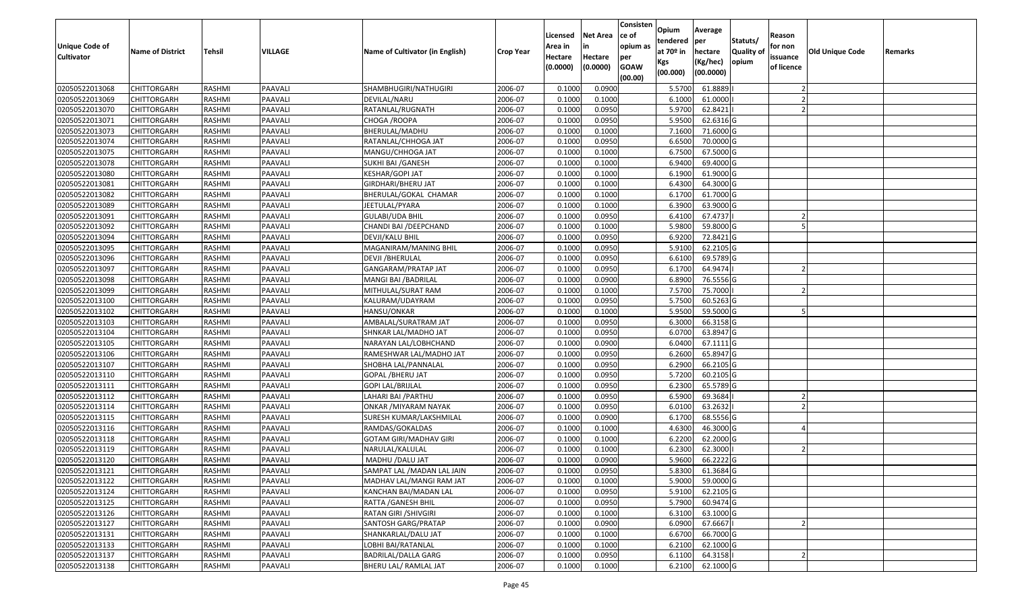| <b>Unique Code of</b> | <b>Name of District</b> | <b>Tehsil</b> | VILLAGE | Name of Cultivator (in English) | <b>Crop Year</b> | Licensed<br>Area in | <b>Net Area</b><br>in | Consisten<br>ce of<br>opium as | Opium<br>tendered<br>at $70°$ in | Average<br>per<br>hectare | Statuts/<br><b>Quality o</b> | Reason<br>for non      | Old Unique Code | Remarks |
|-----------------------|-------------------------|---------------|---------|---------------------------------|------------------|---------------------|-----------------------|--------------------------------|----------------------------------|---------------------------|------------------------------|------------------------|-----------------|---------|
| <b>Cultivator</b>     |                         |               |         |                                 |                  | Hectare<br>(0.0000) | Hectare<br>(0.0000)   | per<br><b>GOAW</b><br>(00.00)  | Kgs<br>(00.000)                  | (Kg/hec)<br>(00.0000)     | opium                        | issuance<br>of licence |                 |         |
| 02050522013068        | CHITTORGARH             | RASHMI        | PAAVALI | SHAMBHUGIRI/NATHUGIRI           | 2006-07          | 0.1000              | 0.0900                |                                | 5.5700                           | 61.8889                   |                              |                        |                 |         |
| 02050522013069        | CHITTORGARH             | RASHMI        | PAAVALI | DEVILAL/NARU                    | 2006-07          | 0.1000              | 0.1000                |                                | 6.1000                           | 61.0000                   |                              |                        |                 |         |
| 02050522013070        | CHITTORGARH             | RASHMI        | PAAVALI | RATANLAL/RUGNATH                | 2006-07          | 0.1000              | 0.0950                |                                | 5.9700                           | 62.8421                   |                              |                        |                 |         |
| 02050522013071        | <b>CHITTORGARH</b>      | RASHMI        | PAAVALI | CHOGA / ROOPA                   | 2006-07          | 0.1000              | 0.0950                |                                | 5.9500                           | 62.6316 G                 |                              |                        |                 |         |
| 02050522013073        | CHITTORGARH             | RASHMI        | PAAVALI | BHERULAL/MADHU                  | 2006-07          | 0.1000              | 0.1000                |                                | 7.1600                           | 71.6000 G                 |                              |                        |                 |         |
| 02050522013074        | CHITTORGARH             | RASHMI        | PAAVALI | RATANLAL/CHHOGA JAT             | 2006-07          | 0.1000              | 0.0950                |                                | 6.6500                           | 70.0000 G                 |                              |                        |                 |         |
| 02050522013075        | CHITTORGARH             | RASHMI        | PAAVALI | MANGU/CHHOGA JAT                | 2006-07          | 0.1000              | 0.1000                |                                | 6.7500                           | 67.5000G                  |                              |                        |                 |         |
| 02050522013078        | <b>CHITTORGARH</b>      | <b>RASHMI</b> | PAAVALI | SUKHI BAI /GANESH               | 2006-07          | 0.1000              | 0.1000                |                                | 6.9400                           | 69.4000 G                 |                              |                        |                 |         |
| 02050522013080        | CHITTORGARH             | RASHMI        | PAAVALI | KESHAR/GOPI JAT                 | 2006-07          | 0.1000              | 0.1000                |                                | 6.1900                           | 61.9000G                  |                              |                        |                 |         |
| 02050522013081        | CHITTORGARH             | RASHMI        | PAAVALI | GIRDHARI/BHERU JAT              | 2006-07          | 0.1000              | 0.1000                |                                | 6.4300                           | 64.3000 G                 |                              |                        |                 |         |
| 02050522013082        | CHITTORGARH             | RASHMI        | PAAVALI | BHERULAL/GOKAL CHAMAR           | 2006-07          | 0.1000              | 0.1000                |                                | 6.1700                           | 61.7000 G                 |                              |                        |                 |         |
| 02050522013089        | <b>CHITTORGARH</b>      | RASHMI        | PAAVALI | JEETULAL/PYARA                  | 2006-07          | 0.1000              | 0.1000                |                                | 6.3900                           | 63.9000 G                 |                              |                        |                 |         |
| 02050522013091        | <b>CHITTORGARH</b>      | RASHMI        | PAAVALI | <b>GULABI/UDA BHIL</b>          | 2006-07          | 0.1000              | 0.0950                |                                | 6.4100                           | 67.4737                   |                              |                        |                 |         |
| 02050522013092        | <b>CHITTORGARH</b>      | RASHMI        | PAAVALI | CHANDI BAI /DEEPCHAND           | 2006-07          | 0.1000              | 0.1000                |                                | 5.9800                           | 59.8000G                  |                              |                        |                 |         |
| 02050522013094        | CHITTORGARH             | RASHMI        | PAAVALI | DEVJI/KALU BHIL                 | 2006-07          | 0.1000              | 0.0950                |                                | 6.9200                           | 72.8421G                  |                              |                        |                 |         |
| 02050522013095        | CHITTORGARH             | RASHMI        | PAAVALI | MAGANIRAM/MANING BHIL           | 2006-07          | 0.1000              | 0.0950                |                                | 5.9100                           | 62.2105 G                 |                              |                        |                 |         |
| 02050522013096        | CHITTORGARH             | RASHMI        | PAAVALI | DEVJI /BHERULAL                 | 2006-07          | 0.1000              | 0.0950                |                                | 6.6100                           | 69.5789 G                 |                              |                        |                 |         |
| 02050522013097        | CHITTORGARH             | RASHMI        | PAAVALI | GANGARAM/PRATAP JAT             | 2006-07          | 0.1000              | 0.0950                |                                | 6.1700                           | 64.9474                   |                              |                        |                 |         |
| 02050522013098        | CHITTORGARH             | RASHMI        | PAAVALI | MANGI BAI /BADRILAL             | 2006-07          | 0.1000              | 0.0900                |                                | 6.8900                           | 76.5556 G                 |                              |                        |                 |         |
| 02050522013099        | CHITTORGARH             | RASHMI        | PAAVALI | MITHULAL/SURAT RAM              | 2006-07          | 0.1000              | 0.1000                |                                | 7.5700                           | 75.7000                   |                              |                        |                 |         |
| 02050522013100        | CHITTORGARH             | RASHMI        | PAAVALI | KALURAM/UDAYRAM                 | 2006-07          | 0.1000              | 0.0950                |                                | 5.7500                           | 60.5263 G                 |                              |                        |                 |         |
| 02050522013102        | CHITTORGARH             | RASHMI        | PAAVALI | HANSU/ONKAR                     | 2006-07          | 0.1000              | 0.1000                |                                | 5.9500                           | 59.5000G                  |                              |                        |                 |         |
| 02050522013103        | CHITTORGARH             | RASHMI        | PAAVALI | AMBALAL/SURATRAM JAT            | 2006-07          | 0.1000              | 0.0950                |                                | 6.3000                           | 66.3158 G                 |                              |                        |                 |         |
| 02050522013104        | CHITTORGARH             | RASHMI        | PAAVALI | SHNKAR LAL/MADHO JAT            | 2006-07          | 0.100               | 0.0950                |                                | 6.0700                           | 63.8947 G                 |                              |                        |                 |         |
| 02050522013105        | <b>CHITTORGARH</b>      | RASHMI        | PAAVALI | NARAYAN LAL/LOBHCHAND           | 2006-07          | 0.1000              | 0.0900                |                                | 6.0400                           | 67.1111G                  |                              |                        |                 |         |
| 02050522013106        | CHITTORGARH             | RASHMI        | PAAVALI | RAMESHWAR LAL/MADHO JAT         | 2006-07          | 0.1000              | 0.0950                |                                | 6.2600                           | 65.8947 G                 |                              |                        |                 |         |
| 02050522013107        | CHITTORGARH             | RASHMI        | PAAVALI | SHOBHA LAL/PANNALAL             | 2006-07          | 0.1000              | 0.0950                |                                | 6.2900                           | 66.2105 G                 |                              |                        |                 |         |
| 02050522013110        | CHITTORGARH             | RASHMI        | PAAVALI | GOPAL /BHERU JAT                | 2006-07          | 0.1000              | 0.0950                |                                | 5.7200                           | 60.2105 G                 |                              |                        |                 |         |
| 02050522013111        | CHITTORGARH             | RASHMI        | PAAVALI | GOPI LAL/BRIJLAL                | 2006-07          | 0.1000              | 0.0950                |                                | 6.2300                           | 65.5789 G                 |                              |                        |                 |         |
| 02050522013112        | CHITTORGARH             | RASHMI        | PAAVALI | LAHARI BAI / PARTHU             | 2006-07          | 0.1000              | 0.0950                |                                | 6.5900                           | 69.3684                   |                              |                        |                 |         |
| 02050522013114        | CHITTORGARH             | RASHMI        | PAAVALI | ONKAR /MIYARAM NAYAK            | 2006-07          | 0.1000              | 0.0950                |                                | 6.0100                           | 63.2632                   |                              |                        |                 |         |
| 02050522013115        | CHITTORGARH             | RASHMI        | PAAVALI | SURESH KUMAR/LAKSHMILAL         | 2006-07          | 0.1000              | 0.0900                |                                | 6.1700                           | 68.5556 G                 |                              |                        |                 |         |
| 02050522013116        | CHITTORGARH             | <b>RASHMI</b> | PAAVALI | RAMDAS/GOKALDAS                 | 2006-07          | 0.100               | 0.1000                |                                | 4.6300                           | 46.3000G                  |                              |                        |                 |         |
| 02050522013118        | CHITTORGARH             | RASHMI        | PAAVALI | GOTAM GIRI/MADHAV GIRI          | 2006-07          | 0.1000              | 0.1000                |                                | 6.2200                           | 62.2000 G                 |                              |                        |                 |         |
| 02050522013119        | CHITTORGARH             | RASHMI        | PAAVALI | NARULAL/KALULAL                 | 2006-07          | 0.1000              | 0.1000                |                                | 6.2300                           | 62.3000                   |                              |                        |                 |         |
| 02050522013120        | CHITTORGARH             | RASHMI        | PAAVALI | MADHU /DALU JAT                 | 2006-07          | 0.1000              | 0.0900                |                                | 5.9600                           | 66.2222 G                 |                              |                        |                 |         |
| 02050522013121        | <b>CHITTORGARH</b>      | RASHMI        | PAAVALI | SAMPAT LAL / MADAN LAL JAIN     | 2006-07          | 0.1000              | 0.0950                |                                | 5.8300                           | 61.3684 G                 |                              |                        |                 |         |
| 02050522013122        | <b>CHITTORGARH</b>      | RASHMI        | PAAVALI | MADHAV LAL/MANGI RAM JAT        | 2006-07          | 0.1000              | 0.1000                |                                | 5.9000                           | 59.0000 G                 |                              |                        |                 |         |
| 02050522013124        | <b>CHITTORGARH</b>      | RASHMI        | PAAVALI | KANCHAN BAI/MADAN LAL           | 2006-07          | 0.1000              | 0.0950                |                                | 5.9100                           | 62.2105 G                 |                              |                        |                 |         |
| 02050522013125        | <b>CHITTORGARH</b>      | RASHMI        | PAAVALI | RATTA / GANESH BHIL             | 2006-07          | 0.1000              | 0.0950                |                                | 5.7900                           | 60.9474 G                 |                              |                        |                 |         |
| 02050522013126        | CHITTORGARH             | RASHMI        | PAAVALI | RATAN GIRI /SHIVGIRI            | 2006-07          | 0.1000              | 0.1000                |                                | 6.3100                           | 63.1000 G                 |                              |                        |                 |         |
| 02050522013127        | <b>CHITTORGARH</b>      | RASHMI        | PAAVALI | SANTOSH GARG/PRATAP             | 2006-07          | 0.1000              | 0.0900                |                                | 6.0900                           | 67.6667                   |                              |                        |                 |         |
| 02050522013131        | <b>CHITTORGARH</b>      | RASHMI        | PAAVALI | SHANKARLAL/DALU JAT             | 2006-07          | 0.1000              | 0.1000                |                                | 6.6700                           | 66.7000 G                 |                              |                        |                 |         |
| 02050522013133        | <b>CHITTORGARH</b>      | RASHMI        | PAAVALI | LOBHI BAI/RATANLAL              | 2006-07          | 0.1000              | 0.1000                |                                | 6.2100                           | 62.1000 G                 |                              |                        |                 |         |
| 02050522013137        | CHITTORGARH             | RASHMI        | PAAVALI | BADRILAL/DALLA GARG             | 2006-07          | 0.1000              | 0.0950                |                                | 6.1100                           | 64.3158                   |                              |                        |                 |         |
| 02050522013138        | <b>CHITTORGARH</b>      | RASHMI        | PAAVALI | BHERU LAL/ RAMLAL JAT           | 2006-07          | 0.1000              | 0.1000                |                                | 6.2100                           | 62.1000 G                 |                              |                        |                 |         |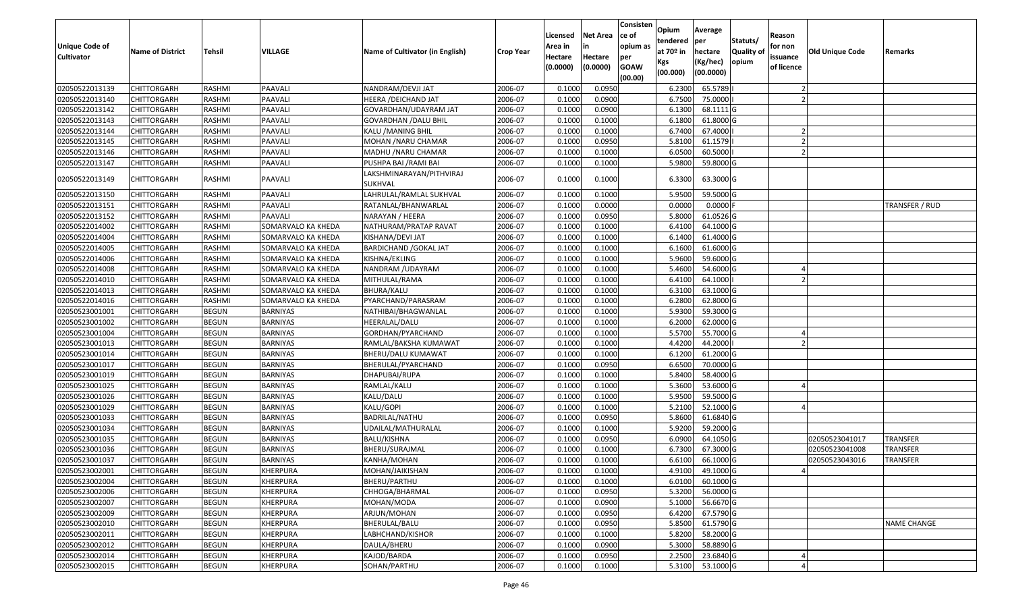| <b>Unique Code of</b><br><b>Cultivator</b> | <b>Name of District</b> | <b>Tehsil</b> | VILLAGE            | Name of Cultivator (in English)     | <b>Crop Year</b> | Licensed<br>Area in<br>Hectare<br>(0.0000) | <b>Net Area</b><br>in<br>Hectare<br>(0.0000) | Consisten<br>ce of<br>opium as<br>per<br><b>GOAW</b><br>(00.00) | Opium<br>tendered<br>at $70°$ in<br>Kgs<br>(00.000) | Average<br>per<br>hectare<br>(Kg/hec)<br>(00.0000) | Statuts/<br>Quality of<br>opium | Reason<br>for non<br>issuance<br>of licence | Old Unique Code | Remarks            |
|--------------------------------------------|-------------------------|---------------|--------------------|-------------------------------------|------------------|--------------------------------------------|----------------------------------------------|-----------------------------------------------------------------|-----------------------------------------------------|----------------------------------------------------|---------------------------------|---------------------------------------------|-----------------|--------------------|
| 02050522013139                             | <b>CHITTORGARH</b>      | RASHMI        | <b>PAAVALI</b>     | NANDRAM/DEVJI JAT                   | 2006-07          | 0.1000                                     | 0.0950                                       |                                                                 | 6.2300                                              | 65.5789                                            |                                 |                                             |                 |                    |
| 02050522013140                             | CHITTORGARH             | RASHMI        | <b>PAAVALI</b>     | HEERA /DEICHAND JAT                 | 2006-07          | 0.1000                                     | 0.0900                                       |                                                                 | 6.7500                                              | 75.0000                                            |                                 |                                             |                 |                    |
| 02050522013142                             | <b>CHITTORGARH</b>      | RASHMI        | PAAVALI            | GOVARDHAN/UDAYRAM JAT               | 2006-07          | 0.1000                                     | 0.0900                                       |                                                                 | 6.1300                                              | 68.1111 G                                          |                                 |                                             |                 |                    |
| 02050522013143                             | <b>CHITTORGARH</b>      | <b>RASHMI</b> | <b>PAAVALI</b>     | <b>GOVARDHAN / DALU BHIL</b>        | 2006-07          | 0.1000                                     | 0.1000                                       |                                                                 | 6.1800                                              | 61.8000 G                                          |                                 |                                             |                 |                    |
| 02050522013144                             | <b>CHITTORGARH</b>      | <b>RASHMI</b> | <b>PAAVALI</b>     | KALU / MANING BHIL                  | 2006-07          | 0.1000                                     | 0.1000                                       |                                                                 | 6.7400                                              | 67.4000                                            |                                 |                                             |                 |                    |
| 02050522013145                             | CHITTORGARH             | RASHMI        | PAAVALI            | MOHAN /NARU CHAMAR                  | 2006-07          | 0.1000                                     | 0.0950                                       |                                                                 | 5.8100                                              | 61.1579                                            |                                 |                                             |                 |                    |
| 02050522013146                             | CHITTORGARH             | RASHMI        | PAAVALI            | MADHU /NARU CHAMAR                  | 2006-07          | 0.1000                                     | 0.1000                                       |                                                                 | 6.0500                                              | 60.5000                                            |                                 |                                             |                 |                    |
| 02050522013147                             | <b>CHITTORGARH</b>      | <b>RASHMI</b> | PAAVALI            | PUSHPA BAI /RAMI BAI                | 2006-07          | 0.1000                                     | 0.1000                                       |                                                                 | 5.9800                                              | 59.8000 G                                          |                                 |                                             |                 |                    |
| 02050522013149                             | CHITTORGARH             | RASHMI        | PAAVALI            | LAKSHMINARAYAN/PITHVIRAJ<br>SUKHVAL | 2006-07          | 0.1000                                     | 0.1000                                       |                                                                 | 6.3300                                              | 63.3000 G                                          |                                 |                                             |                 |                    |
| 02050522013150                             | <b>CHITTORGARH</b>      | RASHMI        | PAAVALI            | LAHRULAL/RAMLAL SUKHVAL             | 2006-07          | 0.1000                                     | 0.1000                                       |                                                                 | 5.9500                                              | 59.5000 G                                          |                                 |                                             |                 |                    |
| 02050522013151                             | <b>CHITTORGARH</b>      | RASHMI        | PAAVALI            | RATANLAL/BHANWARLAL                 | 2006-07          | 0.1000                                     | 0.0000                                       |                                                                 | 0.0000                                              | 0.0000                                             |                                 |                                             |                 | TRANSFER / RUD     |
| 02050522013152                             | <b>CHITTORGARH</b>      | RASHMI        | <b>PAAVALI</b>     | NARAYAN / HEERA                     | 2006-07          | 0.1000                                     | 0.0950                                       |                                                                 | 5.8000                                              | 61.0526 G                                          |                                 |                                             |                 |                    |
| 02050522014002                             | <b>CHITTORGARH</b>      | RASHMI        | SOMARVALO KA KHEDA | NATHURAM/PRATAP RAVAT               | 2006-07          | 0.1000                                     | 0.1000                                       |                                                                 | 6.4100                                              | 64.1000 G                                          |                                 |                                             |                 |                    |
| 02050522014004                             | CHITTORGARH             | RASHMI        | SOMARVALO KA KHEDA | KISHANA/DEVI JAT                    | 2006-07          | 0.1000                                     | 0.1000                                       |                                                                 | 6.1400                                              | 61.4000 G                                          |                                 |                                             |                 |                    |
| 02050522014005                             | <b>CHITTORGARH</b>      | <b>RASHMI</b> | SOMARVALO KA KHEDA | <b>BARDICHAND / GOKAL JAT</b>       | 2006-07          | 0.1000                                     | 0.1000                                       |                                                                 | 6.1600                                              | 61.6000 G                                          |                                 |                                             |                 |                    |
| 02050522014006                             | <b>CHITTORGARH</b>      | <b>RASHMI</b> | SOMARVALO KA KHEDA | KISHNA/EKLING                       | 2006-07          | 0.1000                                     | 0.1000                                       |                                                                 | 5.9600                                              | 59.6000 G                                          |                                 |                                             |                 |                    |
| 02050522014008                             | <b>CHITTORGARH</b>      | <b>RASHMI</b> | SOMARVALO KA KHEDA | NANDRAM / UDAYRAM                   | 2006-07          | 0.1000                                     | 0.1000                                       |                                                                 | 5.4600                                              | 54.6000 G                                          |                                 |                                             |                 |                    |
| 02050522014010                             | <b>CHITTORGARH</b>      | RASHMI        | SOMARVALO KA KHEDA | MITHULAL/RAMA                       | 2006-07          | 0.1000                                     | 0.1000                                       |                                                                 | 6.4100                                              | 64.1000                                            |                                 |                                             |                 |                    |
| 02050522014013                             | <b>CHITTORGARH</b>      | <b>RASHMI</b> | SOMARVALO KA KHEDA | BHURA/KALU                          | 2006-07          | 0.1000                                     | 0.1000                                       |                                                                 | 6.3100                                              | 63.1000 G                                          |                                 |                                             |                 |                    |
| 02050522014016                             | <b>CHITTORGARH</b>      | <b>RASHMI</b> | SOMARVALO KA KHEDA | PYARCHAND/PARASRAM                  | 2006-07          | 0.1000                                     | 0.1000                                       |                                                                 | 6.2800                                              | 62.8000 G                                          |                                 |                                             |                 |                    |
| 02050523001001                             | <b>CHITTORGARH</b>      | <b>BEGUN</b>  | <b>BARNIYAS</b>    | NATHIBAI/BHAGWANLAL                 | 2006-07          | 0.1000                                     | 0.1000                                       |                                                                 | 5.9300                                              | 59.3000 G                                          |                                 |                                             |                 |                    |
| 02050523001002                             | CHITTORGARH             | <b>BEGUN</b>  | <b>BARNIYAS</b>    | HEERALAL/DALU                       | 2006-07          | 0.1000                                     | 0.1000                                       |                                                                 | 6.2000                                              | 62.0000 G                                          |                                 |                                             |                 |                    |
| 02050523001004                             | <b>CHITTORGARH</b>      | <b>BEGUN</b>  | <b>BARNIYAS</b>    | GORDHAN/PYARCHAND                   | 2006-07          | 0.1000                                     | 0.1000                                       |                                                                 | 5.5700                                              | 55.7000 G                                          |                                 |                                             |                 |                    |
| 02050523001013                             | <b>CHITTORGARH</b>      | <b>BEGUN</b>  | <b>BARNIYAS</b>    | RAMLAL/BAKSHA KUMAWAT               | 2006-07          | 0.1000                                     | 0.1000                                       |                                                                 | 4.4200                                              | 44.2000                                            |                                 |                                             |                 |                    |
| 02050523001014                             | <b>CHITTORGARH</b>      | <b>BEGUN</b>  | <b>BARNIYAS</b>    | BHERU/DALU KUMAWAT                  | 2006-07          | 0.1000                                     | 0.1000                                       |                                                                 | 6.1200                                              | 61.2000 G                                          |                                 |                                             |                 |                    |
| 02050523001017                             | <b>CHITTORGARH</b>      | <b>BEGUN</b>  | <b>BARNIYAS</b>    | BHERULAL/PYARCHAND                  | 2006-07          | 0.1000                                     | 0.0950                                       |                                                                 | 6.6500                                              | 70.0000 G                                          |                                 |                                             |                 |                    |
| 02050523001019                             | <b>CHITTORGARH</b>      | <b>BEGUN</b>  | <b>BARNIYAS</b>    | DHAPUBAI/RUPA                       | 2006-07          | 0.1000                                     | 0.1000                                       |                                                                 | 5.8400                                              | 58.4000 G                                          |                                 |                                             |                 |                    |
| 02050523001025                             | <b>CHITTORGARH</b>      | <b>BEGUN</b>  | <b>BARNIYAS</b>    | RAMLAL/KALU                         | 2006-07          | 0.1000                                     | 0.1000                                       |                                                                 | 5.3600                                              | 53.6000 G                                          |                                 |                                             |                 |                    |
| 02050523001026                             | <b>CHITTORGARH</b>      | <b>BEGUN</b>  | <b>BARNIYAS</b>    | KALU/DALU                           | 2006-07          | 0.1000                                     | 0.1000                                       |                                                                 | 5.9500                                              | 59.5000 G                                          |                                 |                                             |                 |                    |
| 02050523001029                             | CHITTORGARH             | <b>BEGUN</b>  | <b>BARNIYAS</b>    | KALU/GOPI                           | 2006-07          | 0.1000                                     | 0.1000                                       |                                                                 | 5.2100                                              | 52.1000 G                                          |                                 |                                             |                 |                    |
| 02050523001033                             | CHITTORGARH             | <b>BEGUN</b>  | <b>BARNIYAS</b>    | BADRILAL/NATHU                      | 2006-07          | 0.100                                      | 0.0950                                       |                                                                 | 5.8600                                              | 61.6840 G                                          |                                 |                                             |                 |                    |
| 02050523001034                             | <b>CHITTORGARH</b>      | <b>BEGUN</b>  | <b>BARNIYAS</b>    | UDAILAL/MATHURALAL                  | 2006-07          | 0.1000                                     | 0.1000                                       |                                                                 | 5.9200                                              | 59.2000 G                                          |                                 |                                             |                 |                    |
| 02050523001035                             | CHITTORGARH             | <b>BEGUN</b>  | <b>BARNIYAS</b>    | BALU/KISHNA                         | 2006-07          | 0.1000                                     | 0.0950                                       |                                                                 | 6.0900                                              | 64.1050 G                                          |                                 |                                             | 02050523041017  | <b>TRANSFER</b>    |
| 02050523001036                             | CHITTORGARH             | <b>BEGUN</b>  | <b>BARNIYAS</b>    | BHERU/SURAJMAL                      | 2006-07          | 0.1000                                     | 0.1000                                       |                                                                 | 6.7300                                              | 67.3000 G                                          |                                 |                                             | 02050523041008  | <b>TRANSFER</b>    |
| 02050523001037                             | <b>CHITTORGARH</b>      | <b>BEGUN</b>  | <b>BARNIYAS</b>    | KANHA/MOHAN                         | 2006-07          | 0.1000                                     | 0.1000                                       |                                                                 | 6.6100                                              | 66.1000 G                                          |                                 |                                             | 02050523043016  | TRANSFER           |
| 02050523002001                             | <b>CHITTORGARH</b>      | <b>BEGUN</b>  | <b>KHERPURA</b>    | MOHAN/JAIKISHAN                     | 2006-07          | 0.1000                                     | 0.1000                                       |                                                                 | 4.9100                                              | 49.1000G                                           |                                 |                                             |                 |                    |
| 02050523002004                             | <b>CHITTORGARH</b>      | <b>BEGUN</b>  | <b>KHERPURA</b>    | BHERU/PARTHU                        | 2006-07          | 0.1000                                     | 0.1000                                       |                                                                 | 6.0100                                              | 60.1000 G                                          |                                 |                                             |                 |                    |
| 02050523002006                             | <b>CHITTORGARH</b>      | <b>BEGUN</b>  | <b>KHERPURA</b>    | CHHOGA/BHARMAL                      | 2006-07          | 0.1000                                     | 0.0950                                       |                                                                 | 5.3200                                              | 56.0000 G                                          |                                 |                                             |                 |                    |
| 02050523002007                             | <b>CHITTORGARH</b>      | <b>BEGUN</b>  | <b>KHERPURA</b>    | MOHAN/MODA                          | 2006-07          | 0.1000                                     | 0.0900                                       |                                                                 | 5.1000                                              | 56.6670 G                                          |                                 |                                             |                 |                    |
| 02050523002009                             | <b>CHITTORGARH</b>      | <b>BEGUN</b>  | <b>KHERPURA</b>    | ARJUN/MOHAN                         | 2006-07          | 0.1000                                     | 0.0950                                       |                                                                 | 6.4200                                              | 67.5790 G                                          |                                 |                                             |                 |                    |
| 02050523002010                             | <b>CHITTORGARH</b>      | <b>BEGUN</b>  | <b>KHERPURA</b>    | BHERULAL/BALU                       | 2006-07          | 0.1000                                     | 0.0950                                       |                                                                 | 5.8500                                              | 61.5790 G                                          |                                 |                                             |                 | <b>NAME CHANGE</b> |
| 02050523002011                             | <b>CHITTORGARH</b>      | <b>BEGUN</b>  | <b>KHERPURA</b>    | LABHCHAND/KISHOR                    | 2006-07          | 0.1000                                     | 0.1000                                       |                                                                 | 5.8200                                              | 58.2000 G                                          |                                 |                                             |                 |                    |
| 02050523002012                             | <b>CHITTORGARH</b>      | <b>BEGUN</b>  | <b>KHERPURA</b>    | DAULA/BHERU                         | 2006-07          | 0.1000                                     | 0.0900                                       |                                                                 | 5.3000                                              | 58.8890 G                                          |                                 |                                             |                 |                    |
| 02050523002014                             | <b>CHITTORGARH</b>      | <b>BEGUN</b>  | <b>KHERPURA</b>    | KAJOD/BARDA                         | 2006-07          | 0.1000                                     | 0.0950                                       |                                                                 | 2.2500                                              | 23.6840 G                                          |                                 |                                             |                 |                    |
| 02050523002015                             | <b>CHITTORGARH</b>      | <b>BEGUN</b>  | <b>KHERPURA</b>    | SOHAN/PARTHU                        | 2006-07          | 0.1000                                     | 0.1000                                       |                                                                 | 5.3100                                              | 53.1000 G                                          |                                 |                                             |                 |                    |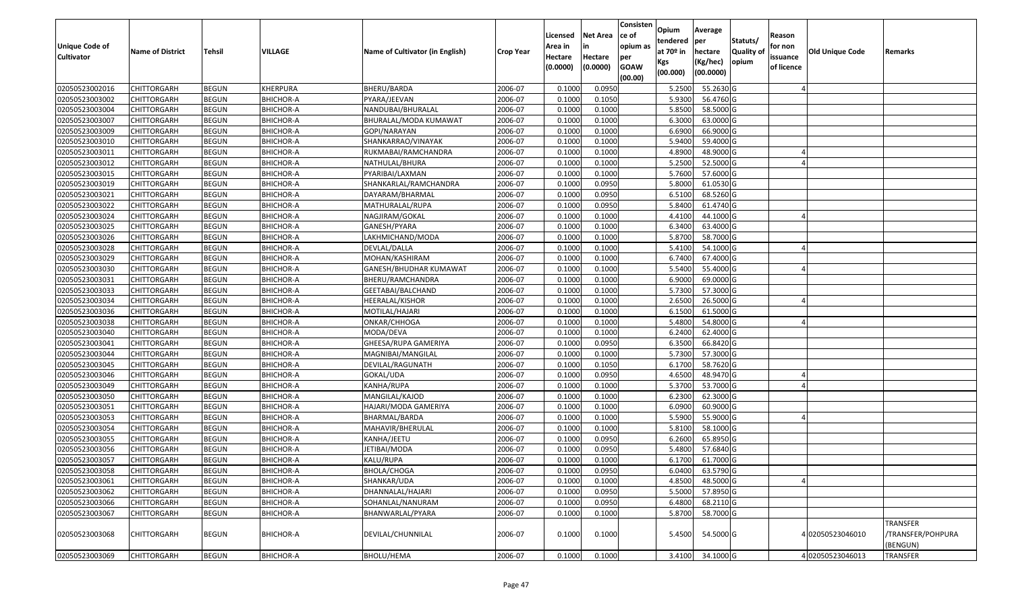| <b>Unique Code of</b><br><b>Cultivator</b> | <b>Name of District</b> | <b>Tehsil</b> | VILLAGE          | Name of Cultivator (in English) | <b>Crop Year</b> | Licensed<br>Area in<br>Hectare<br>(0.0000) | <b>Net Area</b><br>in<br>Hectare<br>(0.0000) | Consisten<br>ce of<br>opium as<br>per<br><b>GOAW</b><br>(00.00) | Opium<br>tendered<br>at $70°$ in<br>Kgs<br>(00.000) | Average<br>per<br>hectare<br>(Kg/hec)<br>(00.0000) | Statuts/<br>Quality of<br>opium | Reason<br>for non<br>issuance<br>of licence | <b>Old Unique Code</b> | Remarks                                          |
|--------------------------------------------|-------------------------|---------------|------------------|---------------------------------|------------------|--------------------------------------------|----------------------------------------------|-----------------------------------------------------------------|-----------------------------------------------------|----------------------------------------------------|---------------------------------|---------------------------------------------|------------------------|--------------------------------------------------|
| 02050523002016                             | <b>CHITTORGARH</b>      | <b>BEGUN</b>  | KHERPURA         | BHERU/BARDA                     | 2006-07          | 0.1000                                     | 0.0950                                       |                                                                 | 5.2500                                              | 55.2630 G                                          |                                 |                                             |                        |                                                  |
| 02050523003002                             | CHITTORGARH             | <b>BEGUN</b>  | <b>BHICHOR-A</b> | PYARA/JEEVAN                    | 2006-07          | 0.1000                                     | 0.1050                                       |                                                                 | 5.9300                                              | 56.4760 G                                          |                                 |                                             |                        |                                                  |
| 02050523003004                             | CHITTORGARH             | <b>BEGUN</b>  | <b>BHICHOR-A</b> | NANDUBAI/BHURALAL               | 2006-07          | 0.1000                                     | 0.1000                                       |                                                                 | 5.8500                                              | 58.5000 G                                          |                                 |                                             |                        |                                                  |
| 02050523003007                             | <b>CHITTORGARH</b>      | <b>BEGUN</b>  | <b>BHICHOR-A</b> | BHURALAL/MODA KUMAWAT           | 2006-07          | 0.1000                                     | 0.1000                                       |                                                                 | 6.3000                                              | 63.0000 G                                          |                                 |                                             |                        |                                                  |
| 02050523003009                             | <b>CHITTORGARH</b>      | <b>BEGUN</b>  | <b>BHICHOR-A</b> | GOPI/NARAYAN                    | 2006-07          | 0.1000                                     | 0.1000                                       |                                                                 | 6.6900                                              | 66.9000 G                                          |                                 |                                             |                        |                                                  |
| 02050523003010                             | CHITTORGARH             | <b>BEGUN</b>  | <b>BHICHOR-A</b> | SHANKARRAO/VINAYAK              | 2006-07          | 0.100                                      | 0.1000                                       |                                                                 | 5.9400                                              | 59.4000 G                                          |                                 |                                             |                        |                                                  |
| 02050523003011                             | <b>CHITTORGARH</b>      | <b>BEGUN</b>  | <b>BHICHOR-A</b> | RUKMABAI/RAMCHANDRA             | 2006-07          | 0.1000                                     | 0.1000                                       |                                                                 | 4.8900                                              | 48.9000 G                                          |                                 |                                             |                        |                                                  |
| 02050523003012                             | CHITTORGARH             | <b>BEGUN</b>  | <b>BHICHOR-A</b> | NATHULAL/BHURA                  | 2006-07          | 0.1000                                     | 0.1000                                       |                                                                 | 5.2500                                              | 52.5000G                                           |                                 |                                             |                        |                                                  |
| 02050523003015                             | CHITTORGARH             | <b>BEGUN</b>  | <b>BHICHOR-A</b> | PYARIBAI/LAXMAN                 | 2006-07          | 0.1000                                     | 0.1000                                       |                                                                 | 5.7600                                              | 57.6000 G                                          |                                 |                                             |                        |                                                  |
| 02050523003019                             | CHITTORGARH             | <b>BEGUN</b>  | <b>BHICHOR-A</b> | SHANKARLAL/RAMCHANDRA           | 2006-07          | 0.100                                      | 0.0950                                       |                                                                 | 5.8000                                              | 61.0530 G                                          |                                 |                                             |                        |                                                  |
| 02050523003021                             | <b>CHITTORGARH</b>      | <b>BEGUN</b>  | <b>BHICHOR-A</b> | DAYARAM/BHARMAL                 | 2006-07          | 0.1000                                     | 0.0950                                       |                                                                 | 6.5100                                              | 68.5260 G                                          |                                 |                                             |                        |                                                  |
| 02050523003022                             | CHITTORGARH             | <b>BEGUN</b>  | <b>BHICHOR-A</b> | MATHURALAL/RUPA                 | 2006-07          | 0.1000                                     | 0.0950                                       |                                                                 | 5.8400                                              | 61.4740 G                                          |                                 |                                             |                        |                                                  |
| 02050523003024                             | CHITTORGARH             | <b>BEGUN</b>  | <b>BHICHOR-A</b> | NAGJIRAM/GOKAL                  | 2006-07          | 0.1000                                     | 0.1000                                       |                                                                 | 4.4100                                              | 44.1000 G                                          |                                 |                                             |                        |                                                  |
| 02050523003025                             | CHITTORGARH             | <b>BEGUN</b>  | <b>BHICHOR-A</b> | GANESH/PYARA                    | 2006-07          | 0.1000                                     | 0.1000                                       |                                                                 | 6.3400                                              | 63.4000 G                                          |                                 |                                             |                        |                                                  |
| 02050523003026                             | CHITTORGARH             | <b>BEGUN</b>  | <b>BHICHOR-A</b> | LAKHMICHAND/MODA                | 2006-07          | 0.100                                      | 0.1000                                       |                                                                 | 5.8700                                              | 58.7000 G                                          |                                 |                                             |                        |                                                  |
| 02050523003028                             | CHITTORGARH             | <b>BEGUN</b>  | <b>BHICHOR-A</b> | DEVLAL/DALLA                    | 2006-07          | 0.1000                                     | 0.1000                                       |                                                                 | 5.4100                                              | 54.1000G                                           |                                 |                                             |                        |                                                  |
| 02050523003029                             | CHITTORGARH             | <b>BEGUN</b>  | <b>BHICHOR-A</b> | MOHAN/KASHIRAM                  | 2006-07          | 0.1000                                     | 0.1000                                       |                                                                 | 6.7400                                              | 67.4000 G                                          |                                 |                                             |                        |                                                  |
| 02050523003030                             | CHITTORGARH             | <b>BEGUN</b>  | <b>BHICHOR-A</b> | GANESH/BHUDHAR KUMAWAT          | 2006-07          | 0.100                                      | 0.1000                                       |                                                                 | 5.5400                                              | 55.4000 G                                          |                                 |                                             |                        |                                                  |
| 02050523003031                             | <b>CHITTORGARH</b>      | <b>BEGUN</b>  | <b>BHICHOR-A</b> | BHERU/RAMCHANDRA                | 2006-07          | 0.1000                                     | 0.1000                                       |                                                                 | 6.9000                                              | 69.0000G                                           |                                 |                                             |                        |                                                  |
| 02050523003033                             | CHITTORGARH             | <b>BEGUN</b>  | <b>BHICHOR-A</b> | GEETABAI/BALCHAND               | 2006-07          | 0.1000                                     | 0.1000                                       |                                                                 | 5.7300                                              | 57.3000 G                                          |                                 |                                             |                        |                                                  |
| 02050523003034                             | CHITTORGARH             | <b>BEGUN</b>  | <b>BHICHOR-A</b> | HEERALAL/KISHOR                 | 2006-07          | 0.1000                                     | 0.1000                                       |                                                                 | 2.6500                                              | 26.5000 G                                          |                                 |                                             |                        |                                                  |
| 02050523003036                             | CHITTORGARH             | <b>BEGUN</b>  | <b>BHICHOR-A</b> | MOTILAL/HAJARI                  | 2006-07          | 0.1000                                     | 0.1000                                       |                                                                 | 6.1500                                              | 61.5000 G                                          |                                 |                                             |                        |                                                  |
| 02050523003038                             | CHITTORGARH             | <b>BEGUN</b>  | <b>BHICHOR-A</b> | ONKAR/CHHOGA                    | 2006-07          | 0.1000                                     | 0.1000                                       |                                                                 | 5.4800                                              | 54.8000 G                                          |                                 |                                             |                        |                                                  |
| 02050523003040                             | CHITTORGARH             | <b>BEGUN</b>  | <b>BHICHOR-A</b> | MODA/DEVA                       | 2006-07          | 0.1000                                     | 0.1000                                       |                                                                 | 6.2400                                              | 62.4000 G                                          |                                 |                                             |                        |                                                  |
| 02050523003041                             | CHITTORGARH             | <b>BEGUN</b>  | <b>BHICHOR-A</b> | GHEESA/RUPA GAMERIYA            | 2006-07          | 0.1000                                     | 0.0950                                       |                                                                 | 6.3500                                              | 66.8420 G                                          |                                 |                                             |                        |                                                  |
| 02050523003044                             | CHITTORGARH             | <b>BEGUN</b>  | <b>BHICHOR-A</b> | MAGNIBAI/MANGILAL               | 2006-07          | 0.1000                                     | 0.1000                                       |                                                                 | 5.7300                                              | 57.3000G                                           |                                 |                                             |                        |                                                  |
| 02050523003045                             | CHITTORGARH             | <b>BEGUN</b>  | <b>BHICHOR-A</b> | DEVILAL/RAGUNATH                | 2006-07          | 0.1000                                     | 0.1050                                       |                                                                 | 6.1700                                              | 58.7620 G                                          |                                 |                                             |                        |                                                  |
| 02050523003046                             | CHITTORGARH             | <b>BEGUN</b>  | <b>BHICHOR-A</b> | GOKAL/UDA                       | 2006-07          | 0.1000                                     | 0.0950                                       |                                                                 | 4.6500                                              | 48.9470 G                                          |                                 |                                             |                        |                                                  |
| 02050523003049                             | <b>CHITTORGARH</b>      | <b>BEGUN</b>  | <b>BHICHOR-A</b> | KANHA/RUPA                      | 2006-07          | 0.1000                                     | 0.1000                                       |                                                                 | 5.3700                                              | 53.7000 G                                          |                                 |                                             |                        |                                                  |
| 02050523003050                             | <b>CHITTORGARH</b>      | <b>BEGUN</b>  | <b>BHICHOR-A</b> | MANGILAL/KAJOD                  | 2006-07          | 0.1000                                     | 0.1000                                       |                                                                 | 6.2300                                              | 62.3000 G                                          |                                 |                                             |                        |                                                  |
| 02050523003051                             | CHITTORGARH             | <b>BEGUN</b>  | <b>BHICHOR-A</b> | HAJARI/MODA GAMERIYA            | 2006-07          | 0.1000                                     | 0.1000                                       |                                                                 | 6.0900                                              | 60.9000 G                                          |                                 |                                             |                        |                                                  |
| 02050523003053                             | <b>CHITTORGARH</b>      | <b>BEGUN</b>  | <b>BHICHOR-A</b> | BHARMAL/BARDA                   | 2006-07          | 0.1000                                     | 0.1000                                       |                                                                 | 5.5900                                              | 55.9000 G                                          |                                 |                                             |                        |                                                  |
| 02050523003054                             | CHITTORGARH             | <b>BEGUN</b>  | <b>BHICHOR-A</b> | MAHAVIR/BHERULAL                | 2006-07          | 0.100                                      | 0.1000                                       |                                                                 | 5.8100                                              | 58.1000G                                           |                                 |                                             |                        |                                                  |
| 02050523003055                             | CHITTORGARH             | <b>BEGUN</b>  | <b>BHICHOR-A</b> | KANHA/JEETU                     | 2006-07          | 0.1000                                     | 0.0950                                       |                                                                 | 6.2600                                              | 65.8950 G                                          |                                 |                                             |                        |                                                  |
| 02050523003056                             | CHITTORGARH             | <b>BEGUN</b>  | <b>BHICHOR-A</b> | IETIBAI/MODA                    | 2006-07          | 0.1000                                     | 0.0950                                       |                                                                 | 5.4800                                              | 57.6840 G                                          |                                 |                                             |                        |                                                  |
| 02050523003057                             | CHITTORGARH             | <b>BEGUN</b>  | <b>BHICHOR-A</b> | KALU/RUPA                       | 2006-07          | 0.1000                                     | 0.1000                                       |                                                                 | 6.1700                                              | 61.7000G                                           |                                 |                                             |                        |                                                  |
| 02050523003058                             | <b>CHITTORGARH</b>      | <b>BEGUN</b>  | BHICHOR-A        | BHOLA/CHOGA                     | 2006-07          | 0.1000                                     | 0.0950                                       |                                                                 | 6.0400                                              | 63.5790 G                                          |                                 |                                             |                        |                                                  |
| 02050523003061                             | <b>CHITTORGARH</b>      | <b>BEGUN</b>  | <b>BHICHOR-A</b> | SHANKAR/UDA                     | 2006-07          | 0.1000                                     | 0.1000                                       |                                                                 | 4.8500                                              | 48.5000 G                                          |                                 |                                             |                        |                                                  |
| 02050523003062                             | <b>CHITTORGARH</b>      | <b>BEGUN</b>  | <b>BHICHOR-A</b> | DHANNALAL/HAJARI                | 2006-07          | 0.1000                                     | 0.0950                                       |                                                                 | 5.5000                                              | 57.8950 G                                          |                                 |                                             |                        |                                                  |
| 02050523003066                             | CHITTORGARH             | <b>BEGUN</b>  | <b>BHICHOR-A</b> | SOHANLAL/NANURAM                | 2006-07          | 0.1000                                     | 0.0950                                       |                                                                 | 6.4800                                              | 68.2110 G                                          |                                 |                                             |                        |                                                  |
| 02050523003067                             | CHITTORGARH             | <b>BEGUN</b>  | <b>BHICHOR-A</b> | BHANWARLAL/PYARA                | 2006-07          | 0.1000                                     | 0.1000                                       |                                                                 | 5.8700                                              | 58.7000 G                                          |                                 |                                             |                        |                                                  |
| 02050523003068                             | <b>CHITTORGARH</b>      | <b>BEGUN</b>  | <b>BHICHOR-A</b> | DEVILAL/CHUNNILAL               | 2006-07          | 0.1000                                     | 0.1000                                       |                                                                 | 5.4500                                              | 54.5000G                                           |                                 |                                             | 402050523046010        | <b>TRANSFER</b><br>/TRANSFER/POHPURA<br>(BENGUN) |
| 02050523003069                             | <b>CHITTORGARH</b>      | <b>BEGUN</b>  | BHICHOR-A        | BHOLU/HEMA                      | 2006-07          | 0.1000                                     | 0.1000                                       |                                                                 | 3.4100                                              | 34.1000 G                                          |                                 |                                             | 4 02050523046013       | TRANSFER                                         |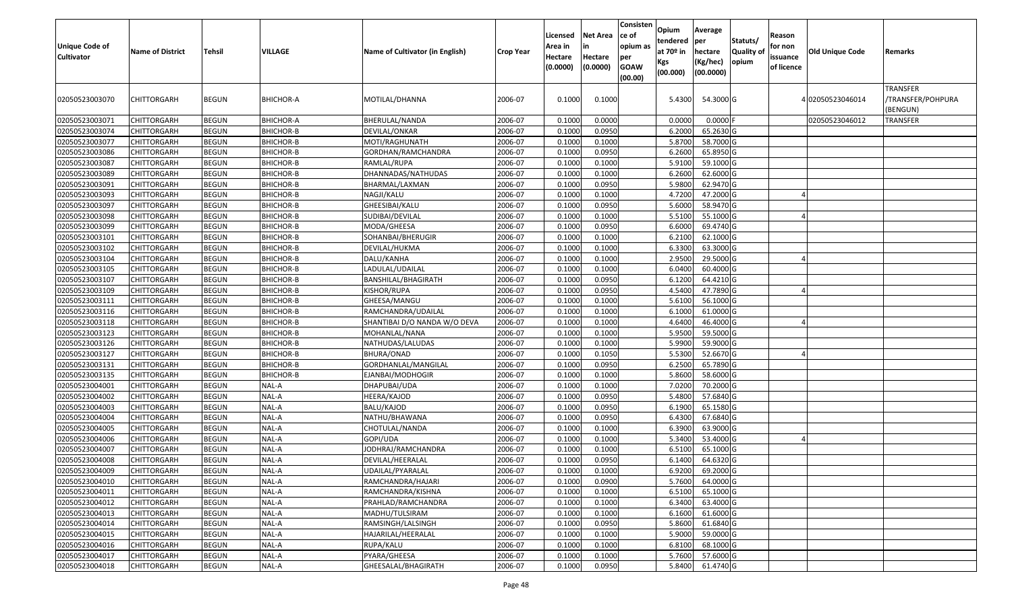| Unique Code of<br><b>Cultivator</b> | <b>Name of District</b> | <b>Tehsil</b> | VILLAGE          | Name of Cultivator (in English) | <b>Crop Year</b> | Licensed<br>Area in<br>Hectare<br>(0.0000) | <b>Net Area</b><br>in<br>Hectare<br>(0.0000) | Consisten<br>ce of<br>opium as<br>per<br><b>GOAW</b><br>(00.00) | Opium<br>tendered<br>at 70º in<br>Kgs<br>(00.000) | Average<br> per<br>hectare<br>(Kg/hec)<br>(00.0000) | Statuts/<br>Quality of<br>opium | Reason<br>for non<br>issuance<br>of licence | Old Unique Code  | Remarks                                   |
|-------------------------------------|-------------------------|---------------|------------------|---------------------------------|------------------|--------------------------------------------|----------------------------------------------|-----------------------------------------------------------------|---------------------------------------------------|-----------------------------------------------------|---------------------------------|---------------------------------------------|------------------|-------------------------------------------|
| 02050523003070                      | CHITTORGARH             | <b>BEGUN</b>  | <b>BHICHOR-A</b> | MOTILAL/DHANNA                  | 2006-07          | 0.1000                                     | 0.1000                                       |                                                                 | 5.4300                                            | 54.3000 G                                           |                                 |                                             | 4 02050523046014 | TRANSFER<br>/TRANSFER/POHPURA<br>(BENGUN) |
| 02050523003071                      | CHITTORGARH             | <b>BEGUN</b>  | <b>BHICHOR-A</b> | BHERULAL/NANDA                  | 2006-07          | 0.1000                                     | 0.0000                                       |                                                                 | 0.0000                                            | 0.0000                                              |                                 |                                             | 02050523046012   | <b>TRANSFER</b>                           |
| 02050523003074                      | CHITTORGARH             | <b>BEGUN</b>  | <b>BHICHOR-B</b> | DEVILAL/ONKAR                   | 2006-07          | 0.1000                                     | 0.0950                                       |                                                                 | 6.2000                                            | 65.2630 G                                           |                                 |                                             |                  |                                           |
| 02050523003077                      | CHITTORGARH             | <b>BEGUN</b>  | <b>BHICHOR-B</b> | MOTI/RAGHUNATH                  | 2006-07          | 0.1000                                     | 0.1000                                       |                                                                 | 5.8700                                            | 58.7000 G                                           |                                 |                                             |                  |                                           |
| 02050523003086                      | CHITTORGARH             | <b>BEGUN</b>  | <b>BHICHOR-B</b> | GORDHAN/RAMCHANDRA              | 2006-07          | 0.1000                                     | 0.0950                                       |                                                                 | 6.2600                                            | 65.8950 G                                           |                                 |                                             |                  |                                           |
| 02050523003087                      | CHITTORGARH             | <b>BEGUN</b>  | <b>BHICHOR-B</b> | RAMLAL/RUPA                     | 2006-07          | 0.1000                                     | 0.1000                                       |                                                                 | 5.9100                                            | 59.1000 G                                           |                                 |                                             |                  |                                           |
| 02050523003089                      | CHITTORGARH             | <b>BEGUN</b>  | <b>BHICHOR-B</b> | DHANNADAS/NATHUDAS              | 2006-07          | 0.1000                                     | 0.1000                                       |                                                                 | 6.2600                                            | 62.6000 G                                           |                                 |                                             |                  |                                           |
| 02050523003091                      | CHITTORGARH             | <b>BEGUN</b>  | <b>BHICHOR-B</b> | BHARMAL/LAXMAN                  | 2006-07          | 0.1000                                     | 0.0950                                       |                                                                 | 5.9800                                            | 62.9470 G                                           |                                 |                                             |                  |                                           |
| 02050523003093                      | CHITTORGARH             | <b>BEGUN</b>  | <b>BHICHOR-B</b> | NAGJI/KALU                      | 2006-07          | 0.1000                                     | 0.1000                                       |                                                                 | 4.7200                                            | 47.2000 G                                           |                                 |                                             |                  |                                           |
| 02050523003097                      | CHITTORGARH             | <b>BEGUN</b>  | <b>BHICHOR-B</b> | GHEESIBAI/KALU                  | 2006-07          | 0.1000                                     | 0.0950                                       |                                                                 | 5.6000                                            | 58.9470 G                                           |                                 |                                             |                  |                                           |
| 02050523003098                      | CHITTORGARH             | <b>BEGUN</b>  | <b>BHICHOR-B</b> | SUDIBAI/DEVILAL                 | 2006-07          | 0.1000                                     | 0.1000                                       |                                                                 | 5.5100                                            | 55.1000 G                                           |                                 |                                             |                  |                                           |
| 02050523003099                      | CHITTORGARH             | <b>BEGUN</b>  | <b>BHICHOR-B</b> | MODA/GHEESA                     | 2006-07          | 0.1000                                     | 0.0950                                       |                                                                 | 6.6000                                            | 69.4740 G                                           |                                 |                                             |                  |                                           |
| 02050523003101                      | CHITTORGARH             | <b>BEGUN</b>  | <b>BHICHOR-B</b> | SOHANBAI/BHERUGIR               | 2006-07          | 0.1000                                     | 0.1000                                       |                                                                 | 6.2100                                            | 62.1000 G                                           |                                 |                                             |                  |                                           |
| 02050523003102                      | CHITTORGARH             | <b>BEGUN</b>  | <b>BHICHOR-B</b> | DEVILAL/HUKMA                   | 2006-07          | 0.1000                                     | 0.1000                                       |                                                                 | 6.3300                                            | 63.3000 G                                           |                                 |                                             |                  |                                           |
| 02050523003104                      | <b>CHITTORGARH</b>      | <b>BEGUN</b>  | <b>BHICHOR-B</b> | DALU/KANHA                      | 2006-07          | 0.1000                                     | 0.1000                                       |                                                                 | 2.9500                                            | 29.5000 G                                           |                                 |                                             |                  |                                           |
| 02050523003105                      | CHITTORGARH             | <b>BEGUN</b>  | <b>BHICHOR-B</b> | LADULAL/UDAILAL                 | 2006-07          | 0.1000                                     | 0.1000                                       |                                                                 | 6.0400                                            | 60.4000 G                                           |                                 |                                             |                  |                                           |
| 02050523003107                      | <b>CHITTORGARH</b>      | <b>BEGUN</b>  | <b>BHICHOR-B</b> | BANSHILAL/BHAGIRATH             | 2006-07          | 0.1000                                     | 0.0950                                       |                                                                 | 6.1200                                            | 64.4210 G                                           |                                 |                                             |                  |                                           |
| 02050523003109                      | <b>CHITTORGARH</b>      | <b>BEGUN</b>  | <b>BHICHOR-B</b> | KISHOR/RUPA                     | 2006-07          | 0.1000                                     | 0.0950                                       |                                                                 | 4.5400                                            | 47.7890 G                                           |                                 |                                             |                  |                                           |
| 02050523003111                      | CHITTORGARH             | <b>BEGUN</b>  | <b>BHICHOR-B</b> | GHEESA/MANGU                    | 2006-07          | 0.1000                                     | 0.1000                                       |                                                                 | 5.6100                                            | 56.1000 G                                           |                                 |                                             |                  |                                           |
| 02050523003116                      | CHITTORGARH             | <b>BEGUN</b>  | <b>BHICHOR-B</b> | RAMCHANDRA/UDAILAL              | 2006-07          | 0.1000                                     | 0.1000                                       |                                                                 | 6.1000                                            | 61.0000 G                                           |                                 |                                             |                  |                                           |
| 02050523003118                      | CHITTORGARH             | <b>BEGUN</b>  | <b>BHICHOR-B</b> | SHANTIBAI D/O NANDA W/O DEVA    | 2006-07          | 0.1000                                     | 0.1000                                       |                                                                 | 4.6400                                            | 46.4000 G                                           |                                 |                                             |                  |                                           |
| 02050523003123                      | CHITTORGARH             | <b>BEGUN</b>  | <b>BHICHOR-B</b> | MOHANLAL/NANA                   | 2006-07          | 0.1000                                     | 0.1000                                       |                                                                 | 5.9500                                            | 59.5000 G                                           |                                 |                                             |                  |                                           |
| 02050523003126                      | CHITTORGARH             | <b>BEGUN</b>  | <b>BHICHOR-B</b> | NATHUDAS/LALUDAS                | 2006-07          | 0.1000                                     | 0.1000                                       |                                                                 | 5.9900                                            | 59.9000 G                                           |                                 |                                             |                  |                                           |
| 02050523003127                      | CHITTORGARH             | <b>BEGUN</b>  | <b>BHICHOR-B</b> | BHURA/ONAD                      | 2006-07          | 0.1000                                     | 0.1050                                       |                                                                 | 5.5300                                            | 52.6670 G                                           |                                 |                                             |                  |                                           |
| 02050523003131                      | CHITTORGARH             | <b>BEGUN</b>  | <b>BHICHOR-B</b> | GORDHANLAL/MANGILAL             | 2006-07          | 0.1000                                     | 0.0950                                       |                                                                 | 6.2500                                            | 65.7890 G                                           |                                 |                                             |                  |                                           |
| 02050523003135                      | <b>CHITTORGARH</b>      | <b>BEGUN</b>  | <b>BHICHOR-B</b> | EJANBAI/MODHOGIR                | 2006-07          | 0.1000                                     | 0.1000                                       |                                                                 | 5.8600                                            | 58.6000 G                                           |                                 |                                             |                  |                                           |
| 02050523004001                      | CHITTORGARH             | <b>BEGUN</b>  | NAL-A            | DHAPUBAI/UDA                    | 2006-07          | 0.1000                                     | 0.1000                                       |                                                                 | 7.0200                                            | 70.2000 G                                           |                                 |                                             |                  |                                           |
| 02050523004002                      | CHITTORGARH             | <b>BEGUN</b>  | NAL-A            | HEERA/KAJOD                     | 2006-07          | 0.1000                                     | 0.0950                                       |                                                                 | 5.4800                                            | 57.6840 G                                           |                                 |                                             |                  |                                           |
| 02050523004003                      | CHITTORGARH             | <b>BEGUN</b>  | NAL-A            | BALU/KAJOD                      | 2006-07          | 0.1000                                     | 0.0950                                       |                                                                 | 6.1900                                            | 65.1580 G                                           |                                 |                                             |                  |                                           |
| 02050523004004                      | CHITTORGARH             | <b>BEGUN</b>  | NAL-A            | NATHU/BHAWANA                   | 2006-07          | 0.1000                                     | 0.0950                                       |                                                                 | 6.4300                                            | 67.6840 G                                           |                                 |                                             |                  |                                           |
| 02050523004005                      | CHITTORGARH             | <b>BEGUN</b>  | NAL-A            | CHOTULAL/NANDA                  | 2006-07          | 0.1000                                     | 0.1000                                       |                                                                 | 6.3900                                            | 63.9000 G                                           |                                 |                                             |                  |                                           |
| 02050523004006                      | CHITTORGARH             | <b>BEGUN</b>  | NAL-A            | GOPI/UDA                        | 2006-07          | 0.1000                                     | 0.1000                                       |                                                                 | 5.3400                                            | 53.4000 G                                           |                                 |                                             |                  |                                           |
| 02050523004007                      | CHITTORGARH             | <b>BEGUN</b>  | NAL-A            | JODHRAJ/RAMCHANDRA              | 2006-07          | 0.1000                                     | 0.1000                                       |                                                                 | 6.5100                                            | 65.1000 G                                           |                                 |                                             |                  |                                           |
| 02050523004008                      | CHITTORGARH             | <b>BEGUN</b>  | NAL-A            | DEVILAL/HEERALAL                | 2006-07          | 0.1000                                     | 0.0950                                       |                                                                 | 6.1400                                            | 64.6320 G                                           |                                 |                                             |                  |                                           |
| 02050523004009                      | <b>CHITTORGARH</b>      | <b>BEGUN</b>  | NAL-A            | UDAILAL/PYARALAL                | 2006-07          | 0.1000                                     | 0.1000                                       |                                                                 | 6.9200                                            | 69.2000 G                                           |                                 |                                             |                  |                                           |
| 02050523004010                      | <b>CHITTORGARH</b>      | <b>BEGUN</b>  | NAL-A            | RAMCHANDRA/HAJARI               | 2006-07          | 0.1000                                     | 0.0900                                       |                                                                 | 5.7600                                            | 64.0000 G                                           |                                 |                                             |                  |                                           |
| 02050523004011                      | <b>CHITTORGARH</b>      | <b>BEGUN</b>  | NAL-A            | RAMCHANDRA/KISHNA               | 2006-07          | 0.1000                                     | 0.1000                                       |                                                                 | 6.5100                                            | 65.1000 G                                           |                                 |                                             |                  |                                           |
| 02050523004012                      | <b>CHITTORGARH</b>      | <b>BEGUN</b>  | NAL-A            | PRAHLAD/RAMCHANDRA              | 2006-07          | 0.1000                                     | 0.1000                                       |                                                                 | 6.3400                                            | 63.4000 G                                           |                                 |                                             |                  |                                           |
| 02050523004013                      | CHITTORGARH             | <b>BEGUN</b>  | NAL-A            | MADHU/TULSIRAM                  | 2006-07          | 0.1000                                     | 0.1000                                       |                                                                 | 6.1600                                            | 61.6000 G                                           |                                 |                                             |                  |                                           |
| 02050523004014                      | <b>CHITTORGARH</b>      | <b>BEGUN</b>  | NAL-A            | RAMSINGH/LALSINGH               | 2006-07          | 0.1000                                     | 0.0950                                       |                                                                 | 5.8600                                            | 61.6840 G                                           |                                 |                                             |                  |                                           |
| 02050523004015                      | <b>CHITTORGARH</b>      | <b>BEGUN</b>  | NAL-A            | HAJARILAL/HEERALAL              | 2006-07          | 0.1000                                     | 0.1000                                       |                                                                 | 5.9000                                            | 59.0000 G                                           |                                 |                                             |                  |                                           |
| 02050523004016                      | <b>CHITTORGARH</b>      | <b>BEGUN</b>  | NAL-A            | RUPA/KALU                       | 2006-07          | 0.1000                                     | 0.1000                                       |                                                                 | 6.8100                                            | 68.1000 G                                           |                                 |                                             |                  |                                           |
| 02050523004017                      | <b>CHITTORGARH</b>      | <b>BEGUN</b>  | NAL-A            | PYARA/GHEESA                    | 2006-07          | 0.1000                                     | 0.1000                                       |                                                                 | 5.7600                                            | 57.6000 G                                           |                                 |                                             |                  |                                           |
| 02050523004018                      | <b>CHITTORGARH</b>      | <b>BEGUN</b>  | NAL-A            | GHEESALAL/BHAGIRATH             | 2006-07          | 0.1000                                     | 0.0950                                       |                                                                 | 5.8400                                            | 61.4740 G                                           |                                 |                                             |                  |                                           |
|                                     |                         |               |                  |                                 |                  |                                            |                                              |                                                                 |                                                   |                                                     |                                 |                                             |                  |                                           |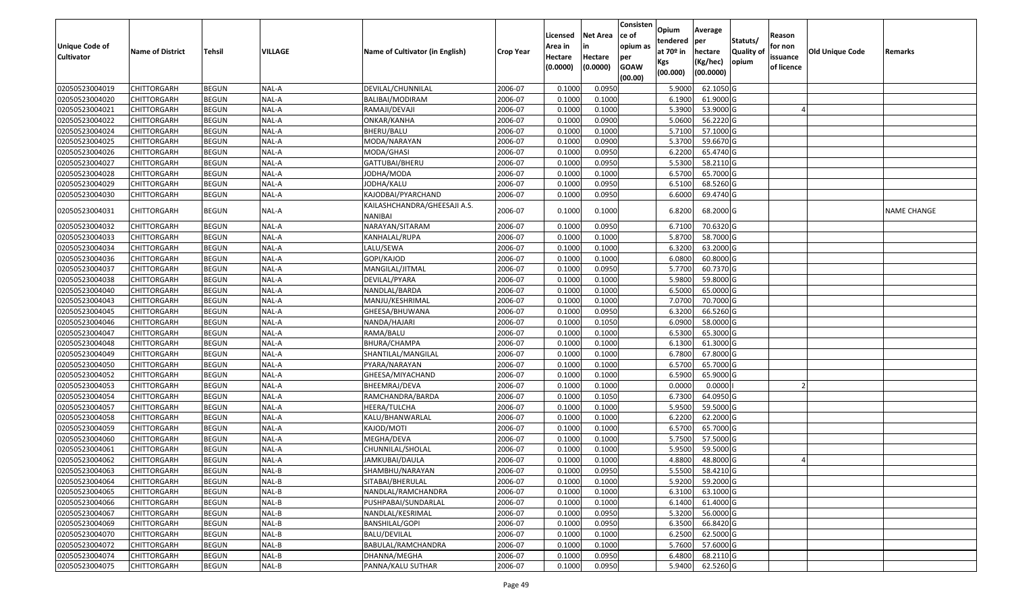|                       |                         |               |         |                                 |                  | Licensed | <b>Net Area</b> | Consisten<br>ce of | Opium<br>tendered | Average<br>per | Statuts/         | Reason     |                        |                    |
|-----------------------|-------------------------|---------------|---------|---------------------------------|------------------|----------|-----------------|--------------------|-------------------|----------------|------------------|------------|------------------------|--------------------|
| <b>Unique Code of</b> | <b>Name of District</b> | <b>Tehsil</b> | VILLAGE | Name of Cultivator (in English) | <b>Crop Year</b> | Area in  | in              | opium as           | at $70°$ in       | hectare        | <b>Quality o</b> | for non    | <b>Old Unique Code</b> | Remarks            |
| <b>Cultivator</b>     |                         |               |         |                                 |                  | Hectare  | Hectare         | per                | Kgs               | (Kg/hec)       | opium            | issuance   |                        |                    |
|                       |                         |               |         |                                 |                  | (0.0000) | (0.0000)        | <b>GOAW</b>        | (00.000)          | (00.0000)      |                  | of licence |                        |                    |
| 02050523004019        | CHITTORGARH             | <b>BEGUN</b>  | NAL-A   | DEVILAL/CHUNNILAL               | 2006-07          | 0.1000   | 0.0950          | (00.00)            | 5.9000            | 62.1050 G      |                  |            |                        |                    |
| 02050523004020        | CHITTORGARH             | <b>BEGUN</b>  | NAL-A   | BALIBAI/MODIRAM                 | 2006-07          | 0.1000   | 0.1000          |                    | 6.1900            | 61.9000 G      |                  |            |                        |                    |
| 02050523004021        | CHITTORGARH             | <b>BEGUN</b>  | NAL-A   | RAMAJI/DEVAJI                   | 2006-07          | 0.1000   | 0.1000          |                    | 5.3900            | 53.9000 G      |                  |            |                        |                    |
| 02050523004022        | <b>CHITTORGARH</b>      | <b>BEGUN</b>  | NAL-A   | ONKAR/KANHA                     | 2006-07          | 0.1000   | 0.0900          |                    | 5.0600            | 56.2220 G      |                  |            |                        |                    |
| 02050523004024        | CHITTORGARH             | <b>BEGUN</b>  | NAL-A   | BHERU/BALU                      | 2006-07          | 0.1000   | 0.1000          |                    | 5.7100            | 57.1000G       |                  |            |                        |                    |
| 02050523004025        | CHITTORGARH             | <b>BEGUN</b>  | NAL-A   | MODA/NARAYAN                    | 2006-07          | 0.1000   | 0.0900          |                    | 5.3700            | 59.6670 G      |                  |            |                        |                    |
| 02050523004026        | CHITTORGARH             | <b>BEGUN</b>  | NAL-A   | MODA/GHASI                      | 2006-07          | 0.1000   | 0.0950          |                    | 6.2200            | 65.4740 G      |                  |            |                        |                    |
| 02050523004027        | CHITTORGARH             | <b>BEGUN</b>  | NAL-A   | GATTUBAI/BHERU                  | 2006-07          | 0.1000   | 0.0950          |                    | 5.5300            | 58.2110 G      |                  |            |                        |                    |
| 02050523004028        | CHITTORGARH             | <b>BEGUN</b>  | NAL-A   | JODHA/MODA                      | 2006-07          | 0.1000   | 0.1000          |                    | 6.5700            | 65.7000 G      |                  |            |                        |                    |
| 02050523004029        | <b>CHITTORGARH</b>      | <b>BEGUN</b>  | NAL-A   | JODHA/KALU                      | 2006-07          | 0.1000   | 0.0950          |                    | 6.5100            | 68.5260 G      |                  |            |                        |                    |
| 02050523004030        | CHITTORGARH             | <b>BEGUN</b>  | NAL-A   | KAJODBAI/PYARCHAND              | 2006-07          | 0.1000   | 0.0950          |                    | 6.6000            | 69.4740 G      |                  |            |                        |                    |
|                       |                         |               |         | KAILASHCHANDRA/GHEESAJI A.S.    |                  |          |                 |                    |                   |                |                  |            |                        |                    |
| 02050523004031        | CHITTORGARH             | <b>BEGUN</b>  | NAL-A   | <b>NANIBAI</b>                  | 2006-07          | 0.1000   | 0.1000          |                    | 6.8200            | 68.2000 G      |                  |            |                        | <b>NAME CHANGE</b> |
| 02050523004032        | CHITTORGARH             | <b>BEGUN</b>  | NAL-A   | NARAYAN/SITARAM                 | 2006-07          | 0.1000   | 0.0950          |                    | 6.7100            | 70.6320 G      |                  |            |                        |                    |
| 02050523004033        | CHITTORGARH             | <b>BEGUN</b>  | NAL-A   | KANHALAL/RUPA                   | 2006-07          | 0.1000   | 0.1000          |                    | 5.8700            | 58.7000G       |                  |            |                        |                    |
| 02050523004034        | CHITTORGARH             | <b>BEGUN</b>  | NAL-A   | LALU/SEWA                       | 2006-07          | 0.1000   | 0.1000          |                    | 6.3200            | 63.2000 G      |                  |            |                        |                    |
| 02050523004036        | CHITTORGARH             | <b>BEGUN</b>  | NAL-A   | GOPI/KAJOD                      | 2006-07          | 0.1000   | 0.1000          |                    | 6.0800            | 60.8000 G      |                  |            |                        |                    |
| 02050523004037        | CHITTORGARH             | <b>BEGUN</b>  | NAL-A   | MANGILAL/JITMAL                 | 2006-07          | 0.1000   | 0.0950          |                    | 5.7700            | 60.7370 G      |                  |            |                        |                    |
| 02050523004038        | CHITTORGARH             | <b>BEGUN</b>  | NAL-A   | DEVILAL/PYARA                   | 2006-07          | 0.1000   | 0.1000          |                    | 5.9800            | 59.8000 G      |                  |            |                        |                    |
| 02050523004040        | CHITTORGARH             | <b>BEGUN</b>  | NAL-A   | NANDLAL/BARDA                   | 2006-07          | 0.1000   | 0.1000          |                    | 6.5000            | 65.0000G       |                  |            |                        |                    |
| 02050523004043        | CHITTORGARH             | <b>BEGUN</b>  | NAL-A   | MANJU/KESHRIMAL                 | 2006-07          | 0.1000   | 0.1000          |                    | 7.0700            | 70.7000 G      |                  |            |                        |                    |
| 02050523004045        | CHITTORGARH             | <b>BEGUN</b>  | NAL-A   | GHEESA/BHUWANA                  | 2006-07          | 0.1000   | 0.0950          |                    | 6.3200            | $66.5260$ G    |                  |            |                        |                    |
| 02050523004046        | CHITTORGARH             | <b>BEGUN</b>  | NAL-A   | NANDA/HAJARI                    | 2006-07          | 0.1000   | 0.1050          |                    | 6.0900            | 58.0000G       |                  |            |                        |                    |
| 02050523004047        | CHITTORGARH             | <b>BEGUN</b>  | NAL-A   | RAMA/BALU                       | 2006-07          | 0.1000   | 0.1000          |                    | 6.5300            | 65.3000G       |                  |            |                        |                    |
| 02050523004048        | <b>CHITTORGARH</b>      | <b>BEGUN</b>  | NAL-A   | <b>BHURA/CHAMPA</b>             | 2006-07          | 0.1000   | 0.1000          |                    | 6.1300            | 61.3000G       |                  |            |                        |                    |
| 02050523004049        | CHITTORGARH             | <b>BEGUN</b>  | NAL-A   | SHANTILAL/MANGILAL              | 2006-07          | 0.1000   | 0.1000          |                    | 6.7800            | 67.8000 G      |                  |            |                        |                    |
| 02050523004050        | CHITTORGARH             | <b>BEGUN</b>  | NAL-A   | PYARA/NARAYAN                   | 2006-07          | 0.1000   | 0.1000          |                    | 6.5700            | 65.7000 G      |                  |            |                        |                    |
| 02050523004052        | CHITTORGARH             | <b>BEGUN</b>  | NAL-A   | GHEESA/MIYACHAND                | 2006-07          | 0.1000   | 0.1000          |                    | 6.5900            | 65.9000 G      |                  |            |                        |                    |
| 02050523004053        | CHITTORGARH             | <b>BEGUN</b>  | NAL-A   | BHEEMRAJ/DEVA                   | 2006-07          | 0.1000   | 0.1000          |                    | 0.0000            | 0.0000         |                  |            |                        |                    |
| 02050523004054        | <b>CHITTORGARH</b>      | <b>BEGUN</b>  | NAL-A   | RAMCHANDRA/BARDA                | 2006-07          | 0.1000   | 0.1050          |                    | 6.7300            | 64.0950 G      |                  |            |                        |                    |
| 02050523004057        | CHITTORGARH             | <b>BEGUN</b>  | NAL-A   | HEERA/TULCHA                    | 2006-07          | 0.1000   | 0.1000          |                    | 5.9500            | 59.5000G       |                  |            |                        |                    |
| 02050523004058        | CHITTORGARH             | <b>BEGUN</b>  | NAL-A   | KALU/BHANWARLAL                 | 2006-07          | 0.1000   | 0.1000          |                    | 6.2200            | 62.2000 G      |                  |            |                        |                    |
| 02050523004059        | <b>CHITTORGARH</b>      | <b>BEGUN</b>  | NAL-A   | KAJOD/MOTI                      | 2006-07          | 0.1000   | 0.1000          |                    | 6.5700            | 65.7000G       |                  |            |                        |                    |
| 02050523004060        | <b>CHITTORGARH</b>      | <b>BEGUN</b>  | NAL-A   | MEGHA/DEVA                      | 2006-07          | 0.1000   | 0.1000          |                    | 5.7500            | 57.5000 G      |                  |            |                        |                    |
| 02050523004061        | CHITTORGARH             | <b>BEGUN</b>  | NAL-A   | CHUNNILAL/SHOLAL                | 2006-07          | 0.1000   | 0.1000          |                    | 5.9500            | 59.5000G       |                  |            |                        |                    |
| 02050523004062        | CHITTORGARH             | <b>BEGUN</b>  | NAL-A   | JAMKUBAI/DAULA                  | 2006-07          | 0.1000   | 0.1000          |                    | 4.8800            | 48.8000 G      |                  |            |                        |                    |
| 02050523004063        | <b>CHITTORGARH</b>      | <b>BEGUN</b>  | NAL-B   | SHAMBHU/NARAYAN                 | 2006-07          | 0.1000   | 0.0950          |                    | 5.5500            | 58.4210 G      |                  |            |                        |                    |
| 02050523004064        | <b>CHITTORGARH</b>      | <b>BEGUN</b>  | NAL-B   | SITABAI/BHERULAL                | 2006-07          | 0.1000   | 0.1000          |                    | 5.9200            | 59.2000 G      |                  |            |                        |                    |
| 02050523004065        | <b>CHITTORGARH</b>      | <b>BEGUN</b>  | NAL-B   | NANDLAL/RAMCHANDRA              | 2006-07          | 0.1000   | 0.1000          |                    | 6.3100            | 63.1000 G      |                  |            |                        |                    |
| 02050523004066        | <b>CHITTORGARH</b>      | <b>BEGUN</b>  | NAL-B   | PUSHPABAI/SUNDARLAL             | 2006-07          | 0.1000   | 0.1000          |                    | 6.1400            | 61.4000 G      |                  |            |                        |                    |
| 02050523004067        | CHITTORGARH             | <b>BEGUN</b>  | NAL-B   | NANDLAL/KESRIMAL                | 2006-07          | 0.1000   | 0.0950          |                    | 5.3200            | 56.0000 G      |                  |            |                        |                    |
| 02050523004069        | <b>CHITTORGARH</b>      | <b>BEGUN</b>  | NAL-B   | <b>BANSHILAL/GOPI</b>           | 2006-07          | 0.1000   | 0.0950          |                    | 6.3500            | 66.8420 G      |                  |            |                        |                    |
| 02050523004070        | <b>CHITTORGARH</b>      | <b>BEGUN</b>  | NAL-B   | BALU/DEVILAL                    | 2006-07          | 0.1000   | 0.1000          |                    | 6.2500            | 62.5000 G      |                  |            |                        |                    |
| 02050523004072        | CHITTORGARH             | <b>BEGUN</b>  | NAL-B   | BABULAL/RAMCHANDRA              | 2006-07          | 0.1000   | 0.1000          |                    | 5.7600            | 57.6000 G      |                  |            |                        |                    |
| 02050523004074        | <b>CHITTORGARH</b>      | <b>BEGUN</b>  | NAL-B   | DHANNA/MEGHA                    | 2006-07          | 0.1000   | 0.0950          |                    | 6.4800            | 68.2110 G      |                  |            |                        |                    |
| 02050523004075        | <b>CHITTORGARH</b>      | <b>BEGUN</b>  | $NAL-B$ | PANNA/KALU SUTHAR               | 2006-07          | 0.1000   | 0.0950          |                    | 5.9400            | 62.5260 G      |                  |            |                        |                    |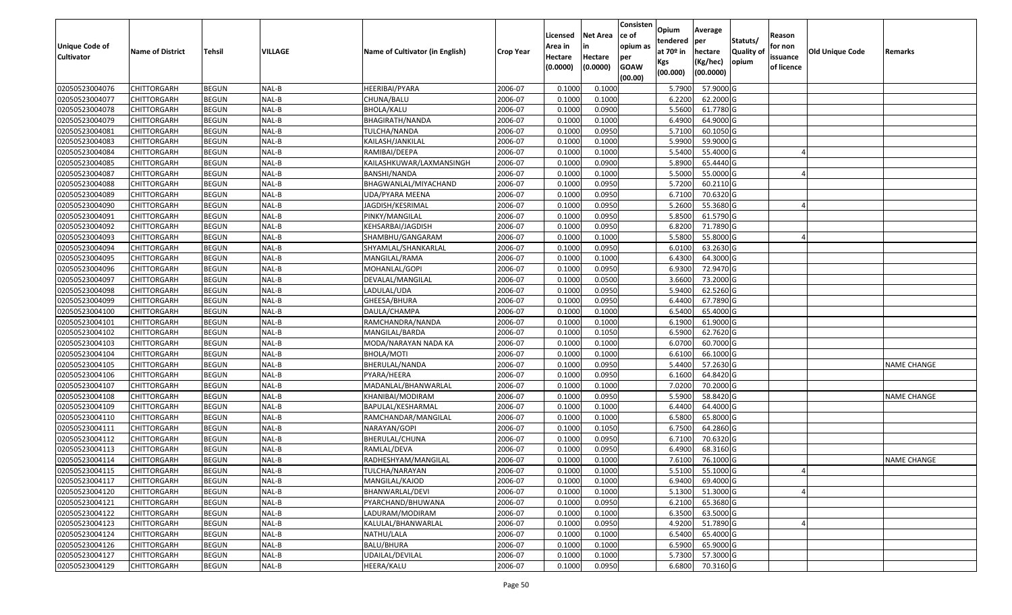| Unique Code of    |                         |               |         |                                 |                  | Licensed<br>Area in | <b>Net Area</b><br>in | Consisten<br>ce of<br>opium as | Opium<br>tendered | Average<br>per        | Statuts/         | Reason<br>for non |                        |                    |
|-------------------|-------------------------|---------------|---------|---------------------------------|------------------|---------------------|-----------------------|--------------------------------|-------------------|-----------------------|------------------|-------------------|------------------------|--------------------|
| <b>Cultivator</b> | <b>Name of District</b> | <b>Tehsil</b> | VILLAGE | Name of Cultivator (in English) | <b>Crop Year</b> | Hectare             | Hectare               | per                            | at $70°$ in       | hectare               | <b>Quality o</b> | issuance          | <b>Old Unique Code</b> | Remarks            |
|                   |                         |               |         |                                 |                  | (0.0000)            | (0.0000)              | <b>GOAW</b><br>(00.00)         | Kgs<br>(00.000)   | (Kg/hec)<br>(00.0000) | opium            | of licence        |                        |                    |
| 02050523004076    | <b>CHITTORGARH</b>      | <b>BEGUN</b>  | NAL-B   | HEERIBAI/PYARA                  | 2006-07          | 0.1000              | 0.1000                |                                | 5.7900            | 57.9000 G             |                  |                   |                        |                    |
| 02050523004077    | CHITTORGARH             | <b>BEGUN</b>  | NAL-B   | CHUNA/BALU                      | 2006-07          | 0.1000              | 0.1000                |                                | 6.2200            | 62.2000 G             |                  |                   |                        |                    |
| 02050523004078    | CHITTORGARH             | <b>BEGUN</b>  | NAL-B   | BHOLA/KALU                      | 2006-07          | 0.1000              | 0.0900                |                                | 5.5600            | 61.7780 G             |                  |                   |                        |                    |
| 02050523004079    | CHITTORGARH             | <b>BEGUN</b>  | NAL-B   | BHAGIRATH/NANDA                 | 2006-07          | 0.1000              | 0.1000                |                                | 6.4900            | 64.9000G              |                  |                   |                        |                    |
| 02050523004081    | CHITTORGARH             | <b>BEGUN</b>  | NAL-B   | TULCHA/NANDA                    | 2006-07          | 0.1000              | 0.0950                |                                | 5.7100            | 60.1050 G             |                  |                   |                        |                    |
| 02050523004083    | <b>CHITTORGARH</b>      | <b>BEGUN</b>  | NAL-B   | KAILASH/JANKILAL                | 2006-07          | 0.1000              | 0.1000                |                                | 5.9900            | 59.9000G              |                  |                   |                        |                    |
| 02050523004084    | CHITTORGARH             | <b>BEGUN</b>  | NAL-B   | RAMIBAI/DEEPA                   | 2006-07          | 0.1000              | 0.1000                |                                | 5.5400            | 55.4000 G             |                  |                   |                        |                    |
| 02050523004085    | CHITTORGARH             | <b>BEGUN</b>  | NAL-B   | KAILASHKUWAR/LAXMANSINGH        | 2006-07          | 0.1000              | 0.0900                |                                | 5.8900            | 65.4440 G             |                  |                   |                        |                    |
| 02050523004087    | CHITTORGARH             | <b>BEGUN</b>  | NAL-B   | BANSHI/NANDA                    | 2006-07          | 0.1000              | 0.1000                |                                | 5.5000            | 55.0000G              |                  |                   |                        |                    |
| 02050523004088    | <b>CHITTORGARH</b>      | <b>BEGUN</b>  | NAL-B   | BHAGWANLAL/MIYACHAND            | 2006-07          | 0.1000              | 0.0950                |                                | 5.7200            | 60.2110G              |                  |                   |                        |                    |
| 02050523004089    | CHITTORGARH             | <b>BEGUN</b>  | NAL-B   | UDA/PYARA MEENA                 | 2006-07          | 0.1000              | 0.0950                |                                | 6.7100            | 70.6320 G             |                  |                   |                        |                    |
| 02050523004090    | <b>CHITTORGARH</b>      | <b>BEGUN</b>  | NAL-B   | JAGDISH/KESRIMAL                | 2006-07          | 0.1000              | 0.0950                |                                | 5.2600            | 55.3680 G             |                  |                   |                        |                    |
| 02050523004091    | <b>CHITTORGARH</b>      | <b>BEGUN</b>  | NAL-B   | PINKY/MANGILAL                  | 2006-07          | 0.1000              | 0.0950                |                                | 5.8500            | 61.5790 G             |                  |                   |                        |                    |
| 02050523004092    | <b>CHITTORGARH</b>      | <b>BEGUN</b>  | NAL-B   | KEHSARBAI/JAGDISH               | 2006-07          | 0.1000              | 0.0950                |                                | 6.8200            | 71.7890 G             |                  |                   |                        |                    |
| 02050523004093    | CHITTORGARH             | <b>BEGUN</b>  | NAL-B   | SHAMBHU/GANGARAM                | 2006-07          | 0.1000              | 0.1000                |                                | 5.5800            | 55.8000 G             |                  |                   |                        |                    |
| 02050523004094    | CHITTORGARH             | <b>BEGUN</b>  | NAL-B   | SHYAMLAL/SHANKARLAL             | 2006-07          | 0.1000              | 0.0950                |                                | 6.0100            | 63.2630 G             |                  |                   |                        |                    |
| 02050523004095    | CHITTORGARH             | <b>BEGUN</b>  | NAL-B   | MANGILAL/RAMA                   | 2006-07          | 0.1000              | 0.1000                |                                | 6.4300            | 64.3000 G             |                  |                   |                        |                    |
| 02050523004096    | CHITTORGARH             | <b>BEGUN</b>  | NAL-B   | MOHANLAL/GOPI                   | 2006-07          | 0.1000              | 0.0950                |                                | 6.9300            | 72.9470 G             |                  |                   |                        |                    |
| 02050523004097    | CHITTORGARH             | <b>BEGUN</b>  | NAL-B   | DEVALAL/MANGILAL                | 2006-07          | 0.1000              | 0.0500                |                                | 3.6600            | 73.2000 G             |                  |                   |                        |                    |
| 02050523004098    | CHITTORGARH             | <b>BEGUN</b>  | NAL-B   | LADULAL/UDA                     | 2006-07          | 0.1000              | 0.0950                |                                | 5.9400            | 62.5260 G             |                  |                   |                        |                    |
| 02050523004099    | CHITTORGARH             | <b>BEGUN</b>  | NAL-B   | GHEESA/BHURA                    | 2006-07          | 0.1000              | 0.0950                |                                | 6.4400            | 67.7890 G             |                  |                   |                        |                    |
| 02050523004100    | CHITTORGARH             | <b>BEGUN</b>  | NAL-B   | DAULA/CHAMPA                    | 2006-07          | 0.1000              | 0.1000                |                                | 6.5400            | 65.4000 G             |                  |                   |                        |                    |
| 02050523004101    | CHITTORGARH             | <b>BEGUN</b>  | NAL-B   | RAMCHANDRA/NANDA                | 2006-07          | 0.1000              | 0.1000                |                                | 6.1900            | 61.9000 G             |                  |                   |                        |                    |
| 02050523004102    | CHITTORGARH             | <b>BEGUN</b>  | NAL-B   | MANGILAL/BARDA                  | 2006-07          | 0.1000              | 0.1050                |                                | 6.5900            | 62.7620 G             |                  |                   |                        |                    |
| 02050523004103    | CHITTORGARH             | <b>BEGUN</b>  | NAL-B   | MODA/NARAYAN NADA KA            | 2006-07          | 0.1000              | 0.1000                |                                | 6.0700            | 60.7000 G             |                  |                   |                        |                    |
| 02050523004104    | CHITTORGARH             | <b>BEGUN</b>  | NAL-B   | <b>BHOLA/MOTI</b>               | 2006-07          | 0.1000              | 0.1000                |                                | 6.6100            | 66.1000G              |                  |                   |                        |                    |
| 02050523004105    | CHITTORGARH             | <b>BEGUN</b>  | NAL-B   | BHERULAL/NANDA                  | 2006-07          | 0.1000              | 0.0950                |                                | 5.4400            | 57.2630 G             |                  |                   |                        | <b>NAME CHANGE</b> |
| 02050523004106    | CHITTORGARH             | <b>BEGUN</b>  | NAL-B   | PYARA/HEERA                     | 2006-07          | 0.1000              | 0.0950                |                                | 6.1600            | 64.8420 G             |                  |                   |                        |                    |
| 02050523004107    | CHITTORGARH             | <b>BEGUN</b>  | NAL-B   | MADANLAL/BHANWARLAL             | 2006-07          | 0.1000              | 0.1000                |                                | 7.0200            | 70.2000 G             |                  |                   |                        |                    |
| 02050523004108    | <b>CHITTORGARH</b>      | <b>BEGUN</b>  | NAL-B   | KHANIBAI/MODIRAM                | 2006-07          | 0.1000              | 0.0950                |                                | 5.5900            | 58.8420 G             |                  |                   |                        | <b>NAME CHANGE</b> |
| 02050523004109    | CHITTORGARH             | <b>BEGUN</b>  | NAL-B   | BAPULAL/KESHARMAL               | 2006-07          | 0.1000              | 0.1000                |                                | 6.4400            | 64.4000 G             |                  |                   |                        |                    |
| 02050523004110    | CHITTORGARH             | <b>BEGUN</b>  | NAL-B   | RAMCHANDAR/MANGILAL             | 2006-07          | 0.1000              | 0.1000                |                                | 6.5800            | 65.8000 G             |                  |                   |                        |                    |
| 02050523004111    | CHITTORGARH             | <b>BEGUN</b>  | NAL-B   | NARAYAN/GOPI                    | 2006-07          | 0.1000              | 0.1050                |                                | 6.7500            | 64.2860 G             |                  |                   |                        |                    |
| 02050523004112    | CHITTORGARH             | <b>BEGUN</b>  | NAL-B   | BHERULAL/CHUNA                  | 2006-07          | 0.1000              | 0.0950                |                                | 6.7100            | 70.6320 G             |                  |                   |                        |                    |
| 02050523004113    | CHITTORGARH             | <b>BEGUN</b>  | NAL-B   | RAMLAL/DEVA                     | 2006-07          | 0.1000              | 0.0950                |                                | 6.4900            | 68.3160 G             |                  |                   |                        |                    |
| 02050523004114    | CHITTORGARH             | <b>BEGUN</b>  | NAL-B   | RADHESHYAM/MANGILAL             | 2006-07          | 0.1000              | 0.1000                |                                | 7.6100            | 76.1000G              |                  |                   |                        | <b>NAME CHANGE</b> |
| 02050523004115    | <b>CHITTORGARH</b>      | <b>BEGUN</b>  | NAL-B   | TULCHA/NARAYAN                  | 2006-07          | 0.1000              | 0.1000                |                                | 5.5100            | 55.1000 G             |                  |                   |                        |                    |
| 02050523004117    | <b>CHITTORGARH</b>      | <b>BEGUN</b>  | NAL-B   | MANGILAL/KAJOD                  | 2006-07          | 0.1000              | 0.1000                |                                | 6.9400            | 69.4000 G             |                  |                   |                        |                    |
| 02050523004120    | <b>CHITTORGARH</b>      | <b>BEGUN</b>  | NAL-B   | BHANWARLAL/DEVI                 | 2006-07          | 0.1000              | 0.1000                |                                | 5.1300            | 51.3000 G             |                  |                   |                        |                    |
| 02050523004121    | <b>CHITTORGARH</b>      | <b>BEGUN</b>  | NAL-B   | PYARCHAND/BHUWANA               | 2006-07          | 0.1000              | 0.0950                |                                | 6.2100            | 65.3680 G             |                  |                   |                        |                    |
| 02050523004122    | <b>CHITTORGARH</b>      | <b>BEGUN</b>  | NAL-B   | LADURAM/MODIRAM                 | 2006-07          | 0.1000              | 0.1000                |                                | 6.3500            | 63.5000 G             |                  |                   |                        |                    |
| 02050523004123    | <b>CHITTORGARH</b>      | <b>BEGUN</b>  | NAL-B   | KALULAL/BHANWARLAL              | 2006-07          | 0.1000              | 0.0950                |                                | 4.9200            | 51.7890 G             |                  |                   |                        |                    |
| 02050523004124    | <b>CHITTORGARH</b>      | <b>BEGUN</b>  | NAL-B   | NATHU/LALA                      | 2006-07          | 0.1000              | 0.1000                |                                | 6.5400            | 65.4000 G             |                  |                   |                        |                    |
| 02050523004126    | CHITTORGARH             | <b>BEGUN</b>  | NAL-B   | BALU/BHURA                      | 2006-07          | 0.1000              | 0.1000                |                                | 6.5900            | 65.9000 G             |                  |                   |                        |                    |
| 02050523004127    | CHITTORGARH             | <b>BEGUN</b>  | $NAL-B$ | UDAILAL/DEVILAL                 | 2006-07          | 0.1000              | 0.1000                |                                | 5.7300            | 57.3000 G             |                  |                   |                        |                    |
| 02050523004129    | <b>CHITTORGARH</b>      | <b>BEGUN</b>  | $NAL-B$ | HEERA/KALU                      | 2006-07          | 0.1000              | 0.0950                |                                | 6.6800            | 70.3160 G             |                  |                   |                        |                    |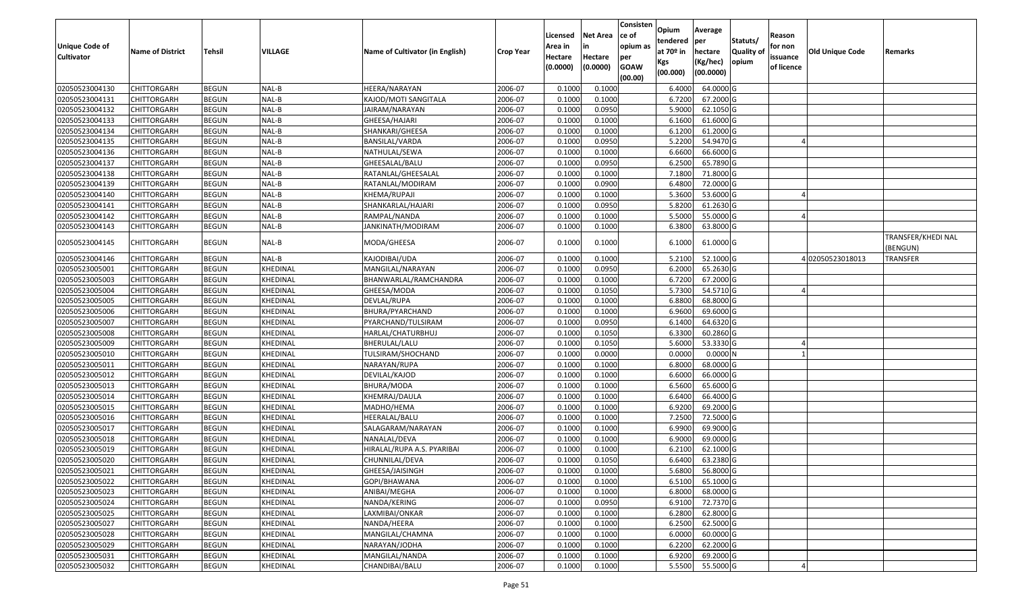| Unique Code of<br><b>Cultivator</b> | <b>Name of District</b> | <b>Tehsil</b> | VILLAGE  | Name of Cultivator (in English) | <b>Crop Year</b> | Licensed<br>Area in<br>Hectare<br>(0.0000) | <b>Net Area</b><br>in<br>Hectare<br>(0.0000) | Consisten<br>ce of<br>opium as<br>per<br><b>GOAW</b><br>(00.00) | Opium<br>tendered<br>at $70°$ in<br>Kgs<br>(00.000) | Average<br>per<br>hectare<br>(Kg/hec)<br>(00.0000) | Statuts/<br>Quality of<br>opium | Reason<br>for non<br>issuance<br>of licence | <b>Old Unique Code</b> | Remarks                        |
|-------------------------------------|-------------------------|---------------|----------|---------------------------------|------------------|--------------------------------------------|----------------------------------------------|-----------------------------------------------------------------|-----------------------------------------------------|----------------------------------------------------|---------------------------------|---------------------------------------------|------------------------|--------------------------------|
| 02050523004130                      | CHITTORGARH             | <b>BEGUN</b>  | NAL-B    | HEERA/NARAYAN                   | 2006-07          | 0.1000                                     | 0.1000                                       |                                                                 | 6.4000                                              | 64.0000 G                                          |                                 |                                             |                        |                                |
| 02050523004131                      | CHITTORGARH             | <b>BEGUN</b>  | NAL-B    | KAJOD/MOTI SANGITALA            | 2006-07          | 0.1000                                     | 0.1000                                       |                                                                 | 6.7200                                              | 67.2000 G                                          |                                 |                                             |                        |                                |
| 02050523004132                      | CHITTORGARH             | <b>BEGUN</b>  | NAL-B    | JAIRAM/NARAYAN                  | 2006-07          | 0.1000                                     | 0.0950                                       |                                                                 | 5.9000                                              | 62.1050 G                                          |                                 |                                             |                        |                                |
| 02050523004133                      | CHITTORGARH             | <b>BEGUN</b>  | NAL-B    | GHEESA/HAJARI                   | 2006-07          | 0.1000                                     | 0.1000                                       |                                                                 | 6.1600                                              | 61.6000 G                                          |                                 |                                             |                        |                                |
| 02050523004134                      | CHITTORGARH             | <b>BEGUN</b>  | NAL-B    | SHANKARI/GHEESA                 | 2006-07          | 0.1000                                     | 0.1000                                       |                                                                 | 6.1200                                              | 61.2000 G                                          |                                 |                                             |                        |                                |
| 02050523004135                      | CHITTORGARH             | <b>BEGUN</b>  | NAL-B    | BANSILAL/VARDA                  | 2006-07          | 0.1000                                     | 0.0950                                       |                                                                 | 5.2200                                              | 54.9470 G                                          |                                 |                                             |                        |                                |
| 02050523004136                      | CHITTORGARH             | <b>BEGUN</b>  | NAL-B    | NATHULAL/SEWA                   | 2006-07          | 0.1000                                     | 0.1000                                       |                                                                 | 6.6600                                              | 66.6000 G                                          |                                 |                                             |                        |                                |
| 02050523004137                      | CHITTORGARH             | <b>BEGUN</b>  | NAL-B    | GHEESALAL/BALU                  | 2006-07          | 0.1000                                     | 0.0950                                       |                                                                 | 6.2500                                              | 65.7890 G                                          |                                 |                                             |                        |                                |
| 02050523004138                      | CHITTORGARH             | <b>BEGUN</b>  | NAL-B    | RATANLAL/GHEESALAL              | 2006-07          | 0.1000                                     | 0.1000                                       |                                                                 | 7.1800                                              | 71.8000 G                                          |                                 |                                             |                        |                                |
| 02050523004139                      | CHITTORGARH             | <b>BEGUN</b>  | NAL-B    | RATANLAL/MODIRAM                | 2006-07          | 0.1000                                     | 0.0900                                       |                                                                 | 6.4800                                              | 72.0000 G                                          |                                 |                                             |                        |                                |
| 02050523004140                      | CHITTORGARH             | <b>BEGUN</b>  | NAL-B    | KHEMA/RUPAJI                    | 2006-07          | 0.1000                                     | 0.1000                                       |                                                                 | 5.3600                                              | 53.6000 G                                          |                                 |                                             |                        |                                |
| 02050523004141                      | <b>CHITTORGARH</b>      | <b>BEGUN</b>  | NAL-B    | SHANKARLAL/HAJARI               | 2006-07          | 0.1000                                     | 0.0950                                       |                                                                 | 5.8200                                              | 61.2630 G                                          |                                 |                                             |                        |                                |
| 02050523004142                      | CHITTORGARH             | <b>BEGUN</b>  | NAL-B    | RAMPAL/NANDA                    | 2006-07          | 0.1000                                     | 0.1000                                       |                                                                 | 5.500                                               | 55.0000G                                           |                                 |                                             |                        |                                |
| 02050523004143                      | CHITTORGARH             | <b>BEGUN</b>  | NAL-B    | JANKINATH/MODIRAM               | 2006-07          | 0.1000                                     | 0.1000                                       |                                                                 | 6.3800                                              | 63.8000 G                                          |                                 |                                             |                        |                                |
| 02050523004145                      | CHITTORGARH             | <b>BEGUN</b>  | NAL-B    | MODA/GHEESA                     | 2006-07          | 0.1000                                     | 0.1000                                       |                                                                 | 6.1000                                              | 61.0000 G                                          |                                 |                                             |                        | TRANSFER/KHEDI NAL<br>(BENGUN) |
| 02050523004146                      | CHITTORGARH             | <b>BEGUN</b>  | NAL-B    | KAJODIBAI/UDA                   | 2006-07          | 0.1000                                     | 0.1000                                       |                                                                 | 5.2100                                              | 52.1000 G                                          |                                 |                                             | 402050523018013        | <b>TRANSFER</b>                |
| 02050523005001                      | CHITTORGARH             | <b>BEGUN</b>  | KHEDINAL | MANGILAL/NARAYAN                | 2006-07          | 0.1000                                     | 0.0950                                       |                                                                 | 6.2000                                              | 65.2630 G                                          |                                 |                                             |                        |                                |
| 02050523005003                      | CHITTORGARH             | <b>BEGUN</b>  | KHEDINAL | BHANWARLAL/RAMCHANDRA           | 2006-07          | 0.1000                                     | 0.1000                                       |                                                                 | 6.7200                                              | 67.2000 G                                          |                                 |                                             |                        |                                |
| 02050523005004                      | CHITTORGARH             | <b>BEGUN</b>  | KHEDINAL | GHEESA/MODA                     | 2006-07          | 0.1000                                     | 0.1050                                       |                                                                 | 5.7300                                              | 54.5710 G                                          |                                 |                                             |                        |                                |
| 02050523005005                      | CHITTORGARH             | <b>BEGUN</b>  | KHEDINAL | DEVLAL/RUPA                     | 2006-07          | 0.1000                                     | 0.1000                                       |                                                                 | 6.8800                                              | 68.8000 G                                          |                                 |                                             |                        |                                |
| 02050523005006                      | CHITTORGARH             | <b>BEGUN</b>  | KHEDINAL | BHURA/PYARCHAND                 | 2006-07          | 0.1000                                     | 0.1000                                       |                                                                 | 6.9600                                              | 69.6000 G                                          |                                 |                                             |                        |                                |
| 02050523005007                      | CHITTORGARH             | <b>BEGUN</b>  | KHEDINAL | PYARCHAND/TULSIRAM              | 2006-07          | 0.1000                                     | 0.0950                                       |                                                                 | 6.1400                                              | 64.6320 G                                          |                                 |                                             |                        |                                |
| 02050523005008                      | CHITTORGARH             | <b>BEGUN</b>  | KHEDINAL | HARLAL/CHATURBHUJ               | 2006-07          | 0.100                                      | 0.1050                                       |                                                                 | 6.3300                                              | 60.2860 G                                          |                                 |                                             |                        |                                |
| 02050523005009                      | CHITTORGARH             | <b>BEGUN</b>  | KHEDINAL | BHERULAL/LALU                   | 2006-07          | 0.100                                      | 0.1050                                       |                                                                 | 5.6000                                              | 53.3330 G                                          |                                 |                                             |                        |                                |
| 02050523005010                      | CHITTORGARH             | <b>BEGUN</b>  | KHEDINAL | TULSIRAM/SHOCHAND               | 2006-07          | 0.1000                                     | 0.0000                                       |                                                                 | 0.0000                                              | 0.0000N                                            |                                 |                                             |                        |                                |
| 02050523005011                      | CHITTORGARH             | <b>BEGUN</b>  | KHEDINAL | NARAYAN/RUPA                    | 2006-07          | 0.1000                                     | 0.1000                                       |                                                                 | 6.8000                                              | 68.0000G                                           |                                 |                                             |                        |                                |
| 02050523005012                      | CHITTORGARH             | <b>BEGUN</b>  | KHEDINAL | DEVILAL/KAJOD                   | 2006-07          | 0.1000                                     | 0.1000                                       |                                                                 | 6.6000                                              | 66.0000G                                           |                                 |                                             |                        |                                |
| 02050523005013                      | CHITTORGARH             | <b>BEGUN</b>  | KHEDINAL | BHURA/MODA                      | 2006-07          | 0.1000                                     | 0.1000                                       |                                                                 | 6.5600                                              | 65.6000G                                           |                                 |                                             |                        |                                |
| 02050523005014                      | CHITTORGARH             | <b>BEGUN</b>  | KHEDINAL | KHEMRAJ/DAULA                   | 2006-07          | 0.1000                                     | 0.1000                                       |                                                                 | 6.6400                                              | 66.4000 G                                          |                                 |                                             |                        |                                |
| 02050523005015                      | <b>CHITTORGARH</b>      | <b>BEGUN</b>  | KHEDINAL | МАDНО/НЕМА                      | 2006-07          | 0.1000                                     | 0.1000                                       |                                                                 | 6.9200                                              | 69.2000 G                                          |                                 |                                             |                        |                                |
| 02050523005016                      | CHITTORGARH             | <b>BEGUN</b>  | KHEDINAL | HEERALAL/BALU                   | 2006-07          | 0.1000                                     | 0.1000                                       |                                                                 | 7.2500                                              | 72.5000G                                           |                                 |                                             |                        |                                |
| 02050523005017                      | CHITTORGARH             | <b>BEGUN</b>  | KHEDINAL | SALAGARAM/NARAYAN               | 2006-07          | 0.100                                      | 0.1000                                       |                                                                 | 6.9900                                              | 69.9000 G                                          |                                 |                                             |                        |                                |
| 02050523005018                      | CHITTORGARH             | <b>BEGUN</b>  | KHEDINAL | NANALAL/DEVA                    | 2006-07          | 0.1000                                     | 0.1000                                       |                                                                 | 6.9000                                              | 69.0000G                                           |                                 |                                             |                        |                                |
| 02050523005019                      | CHITTORGARH             | <b>BEGUN</b>  | KHEDINAL | HIRALAL/RUPA A.S. PYARIBAI      | 2006-07          | 0.1000                                     | 0.1000                                       |                                                                 | 6.2100                                              | 62.1000G                                           |                                 |                                             |                        |                                |
| 02050523005020                      | CHITTORGARH             | <b>BEGUN</b>  | KHEDINAL | CHUNNILAL/DEVA                  | 2006-07          | 0.1000                                     | 0.1050                                       |                                                                 | 6.6400                                              | 63.2380 G                                          |                                 |                                             |                        |                                |
| 02050523005021                      | <b>CHITTORGARH</b>      | <b>BEGUN</b>  | KHEDINAL | GHEESA/JAISINGH                 | 2006-07          | 0.1000                                     | 0.1000                                       |                                                                 | 5.6800                                              | 56.8000G                                           |                                 |                                             |                        |                                |
| 02050523005022                      | <b>CHITTORGARH</b>      | <b>BEGUN</b>  | KHEDINAL | GOPI/BHAWANA                    | 2006-07          | 0.1000                                     | 0.1000                                       |                                                                 | 6.5100                                              | 65.1000 G                                          |                                 |                                             |                        |                                |
| 02050523005023                      | CHITTORGARH             | <b>BEGUN</b>  | KHEDINAL | ANIBAI/MEGHA                    | 2006-07          | 0.1000                                     | 0.1000                                       |                                                                 | 6.8000                                              | 68.0000 G                                          |                                 |                                             |                        |                                |
| 02050523005024                      | <b>CHITTORGARH</b>      | <b>BEGUN</b>  | KHEDINAL | NANDA/KERING                    | 2006-07          | 0.1000                                     | 0.0950                                       |                                                                 | 6.9100                                              | 72.7370 G                                          |                                 |                                             |                        |                                |
| 02050523005025                      | CHITTORGARH             | <b>BEGUN</b>  | KHEDINAL | LAXMIBAI/ONKAR                  | 2006-07          | 0.1000                                     | 0.1000                                       |                                                                 | 6.2800                                              | 62.8000 G                                          |                                 |                                             |                        |                                |
| 02050523005027                      | <b>CHITTORGARH</b>      | <b>BEGUN</b>  | KHEDINAL | NANDA/HEERA                     | 2006-07          | 0.1000                                     | 0.1000                                       |                                                                 | 6.2500                                              | 62.5000 G                                          |                                 |                                             |                        |                                |
| 02050523005028                      | <b>CHITTORGARH</b>      | <b>BEGUN</b>  | KHEDINAL | MANGILAL/CHAMNA                 | 2006-07          | 0.1000                                     | 0.1000                                       |                                                                 | 6.0000                                              | 60.0000 G                                          |                                 |                                             |                        |                                |
| 02050523005029                      | <b>CHITTORGARH</b>      | <b>BEGUN</b>  | KHEDINAL | NARAYAN/JODHA                   | 2006-07          | 0.1000                                     | 0.1000                                       |                                                                 | 6.2200                                              | 62.2000 G                                          |                                 |                                             |                        |                                |
| 02050523005031                      | <b>CHITTORGARH</b>      | <b>BEGUN</b>  | KHEDINAL | MANGILAL/NANDA                  | 2006-07          | 0.1000                                     | 0.1000                                       |                                                                 | 6.9200                                              | 69.2000 G                                          |                                 |                                             |                        |                                |
| 02050523005032                      | <b>CHITTORGARH</b>      | <b>BEGUN</b>  | KHEDINAL | CHANDIBAI/BALU                  | 2006-07          | 0.1000                                     | 0.1000                                       |                                                                 | 5.5500                                              | 55.5000 G                                          |                                 |                                             |                        |                                |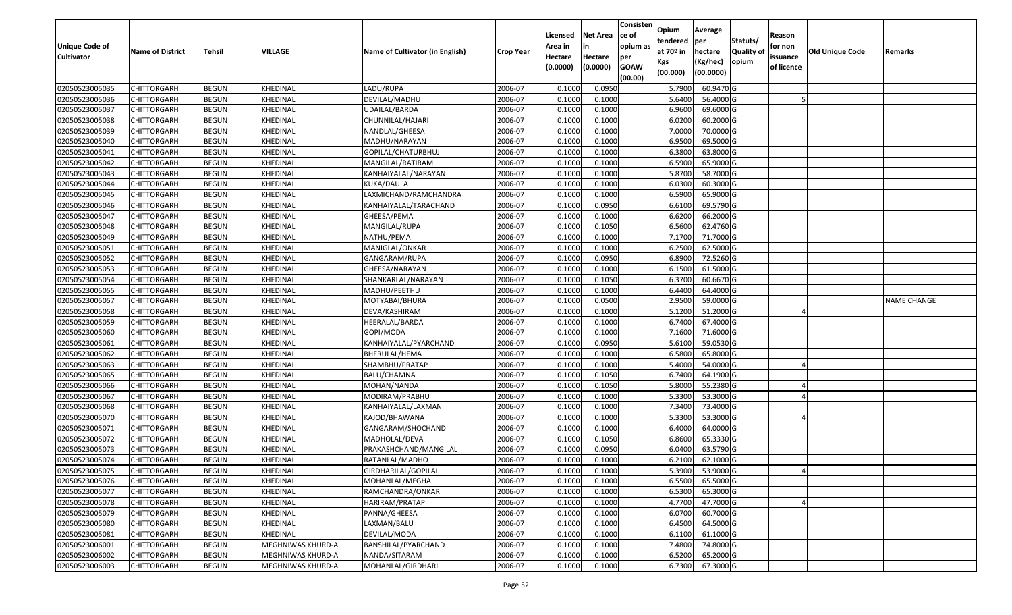| <b>Unique Code of</b> | <b>Name of District</b> | <b>Tehsil</b> | <b>VILLAGE</b>    | Name of Cultivator (in English) | <b>Crop Year</b> | Licensed<br>Area in | <b>Net Area</b><br>in | Consisten<br>ce of<br>opium as | Opium<br>tendered<br>at $70°$ in | Average<br>per<br>hectare | Statuts/<br><b>Quality o</b> | Reason<br>for non      | Old Unique Code | Remarks            |
|-----------------------|-------------------------|---------------|-------------------|---------------------------------|------------------|---------------------|-----------------------|--------------------------------|----------------------------------|---------------------------|------------------------------|------------------------|-----------------|--------------------|
| <b>Cultivator</b>     |                         |               |                   |                                 |                  | Hectare<br>(0.0000) | Hectare<br>(0.0000)   | per<br><b>GOAW</b><br>(00.00)  | Kgs<br>(00.000)                  | (Kg/hec)<br>(00.0000)     | opium                        | issuance<br>of licence |                 |                    |
| 02050523005035        | CHITTORGARH             | <b>BEGUN</b>  | KHEDINAL          | LADU/RUPA                       | 2006-07          | 0.1000              | 0.0950                |                                | 5.7900                           | 60.9470 G                 |                              |                        |                 |                    |
| 02050523005036        | CHITTORGARH             | <b>BEGUN</b>  | KHEDINAL          | DEVILAL/MADHU                   | 2006-07          | 0.1000              | 0.1000                |                                | 5.6400                           | 56.4000 G                 |                              |                        |                 |                    |
| 02050523005037        | CHITTORGARH             | <b>BEGUN</b>  | KHEDINAL          | JDAILAL/BARDA                   | 2006-07          | 0.1000              | 0.1000                |                                | 6.9600                           | 69.6000 G                 |                              |                        |                 |                    |
| 02050523005038        | <b>CHITTORGARH</b>      | <b>BEGUN</b>  | KHEDINAL          | CHUNNILAL/HAJARI                | 2006-07          | 0.1000              | 0.1000                |                                | 6.0200                           | 60.2000 G                 |                              |                        |                 |                    |
| 02050523005039        | CHITTORGARH             | <b>BEGUN</b>  | KHEDINAL          | NANDLAL/GHEESA                  | 2006-07          | 0.1000              | 0.1000                |                                | 7.0000                           | 70.0000G                  |                              |                        |                 |                    |
| 02050523005040        | CHITTORGARH             | <b>BEGUN</b>  | KHEDINAL          | MADHU/NARAYAN                   | 2006-07          | 0.1000              | 0.1000                |                                | 6.9500                           | 69.5000 G                 |                              |                        |                 |                    |
| 02050523005041        | CHITTORGARH             | <b>BEGUN</b>  | KHEDINAL          | GOPILAL/CHATURBHUJ              | 2006-07          | 0.1000              | 0.1000                |                                | 6.3800                           | 63.8000 G                 |                              |                        |                 |                    |
| 02050523005042        | CHITTORGARH             | <b>BEGUN</b>  | KHEDINAL          | MANGILAL/RATIRAM                | 2006-07          | 0.1000              | 0.1000                |                                | 6.5900                           | 65.9000G                  |                              |                        |                 |                    |
| 02050523005043        | CHITTORGARH             | <b>BEGUN</b>  | KHEDINAL          | KANHAIYALAL/NARAYAN             | 2006-07          | 0.1000              | 0.1000                |                                | 5.8700                           | 58.7000 G                 |                              |                        |                 |                    |
| 02050523005044        | CHITTORGARH             | <b>BEGUN</b>  | KHEDINAL          | KUKA/DAULA                      | 2006-07          | 0.1000              | 0.1000                |                                | 6.0300                           | 60.3000 G                 |                              |                        |                 |                    |
| 02050523005045        | CHITTORGARH             | <b>BEGUN</b>  | KHEDINAL          | LAXMICHAND/RAMCHANDRA           | 2006-07          | 0.1000              | 0.1000                |                                | 6.5900                           | 65.9000 G                 |                              |                        |                 |                    |
| 02050523005046        | CHITTORGARH             | <b>BEGUN</b>  | KHEDINAL          | KANHAIYALAL/TARACHAND           | 2006-07          | 0.1000              | 0.0950                |                                | 6.6100                           | 69.5790 G                 |                              |                        |                 |                    |
| 02050523005047        | <b>CHITTORGARH</b>      | <b>BEGUN</b>  | KHEDINAL          | GHEESA/PEMA                     | 2006-07          | 0.1000              | 0.1000                |                                | 6.6200                           | 66.2000 G                 |                              |                        |                 |                    |
| 02050523005048        | CHITTORGARH             | <b>BEGUN</b>  | KHEDINAL          | MANGILAL/RUPA                   | 2006-07          | 0.100               | 0.1050                |                                | 6.5600                           | 62.4760 G                 |                              |                        |                 |                    |
| 02050523005049        | CHITTORGARH             | <b>BEGUN</b>  | KHEDINAL          | NATHU/PEMA                      | 2006-07          | 0.1000              | 0.1000                |                                | 7.1700                           | 71.7000 G                 |                              |                        |                 |                    |
| 02050523005051        | CHITTORGARH             | <b>BEGUN</b>  | KHEDINAL          | MANIGLAL/ONKAR                  | 2006-07          | 0.1000              | 0.1000                |                                | 6.2500                           | 62.5000 G                 |                              |                        |                 |                    |
| 02050523005052        | CHITTORGARH             | <b>BEGUN</b>  | KHEDINAL          | GANGARAM/RUPA                   | 2006-07          | 0.1000              | 0.0950                |                                | 6.8900                           | 72.5260 G                 |                              |                        |                 |                    |
| 02050523005053        | CHITTORGARH             | <b>BEGUN</b>  | KHEDINAL          | GHEESA/NARAYAN                  | 2006-07          | 0.1000              | 0.1000                |                                | 6.1500                           | 61.5000 G                 |                              |                        |                 |                    |
| 02050523005054        | CHITTORGARH             | <b>BEGUN</b>  | KHEDINAL          | SHANKARLAL/NARAYAN              | 2006-07          | 0.100               | 0.1050                |                                | 6.3700                           | 60.6670 G                 |                              |                        |                 |                    |
| 02050523005055        | CHITTORGARH             | <b>BEGUN</b>  | KHEDINAL          | MADHU/PEETHU                    | 2006-07          | 0.1000              | 0.1000                |                                | 6.4400                           | 64.4000 G                 |                              |                        |                 |                    |
| 02050523005057        | CHITTORGARH             | <b>BEGUN</b>  | KHEDINAL          | MOTYABAI/BHURA                  | 2006-07          | 0.100               | 0.0500                |                                | 2.9500                           | 59.0000 G                 |                              |                        |                 | <b>NAME CHANGE</b> |
| 02050523005058        | CHITTORGARH             | <b>BEGUN</b>  | KHEDINAL          | DEVA/KASHIRAM                   | 2006-07          | 0.100               | 0.1000                |                                | 5.1200                           | 51.2000 G                 |                              |                        |                 |                    |
| 02050523005059        | CHITTORGARH             | <b>BEGUN</b>  | KHEDINAL          | HEERALAL/BARDA                  | 2006-07          | 0.1000              | 0.1000                |                                | 6.7400                           | 67.4000 G                 |                              |                        |                 |                    |
| 02050523005060        | CHITTORGARH             | <b>BEGUN</b>  | KHEDINAL          | GOPI/MODA                       | 2006-07          | 0.100               | 0.1000                |                                | 7.1600                           | 71.6000 G                 |                              |                        |                 |                    |
| 02050523005061        | <b>CHITTORGARH</b>      | <b>BEGUN</b>  | KHEDINAL          | KANHAIYALAL/PYARCHAND           | 2006-07          | 0.100               | 0.0950                |                                | 5.6100                           | 59.0530 G                 |                              |                        |                 |                    |
| 02050523005062        | CHITTORGARH             | <b>BEGUN</b>  | KHEDINAL          | BHERULAL/HEMA                   | 2006-07          | 0.1000              | 0.1000                |                                | 6.5800                           | 65.8000 G                 |                              |                        |                 |                    |
| 02050523005063        | CHITTORGARH             | <b>BEGUN</b>  | KHEDINAL          | SHAMBHU/PRATAP                  | 2006-07          | 0.1000              | 0.1000                |                                | 5.4000                           | 54.0000G                  |                              |                        |                 |                    |
| 02050523005065        | CHITTORGARH             | <b>BEGUN</b>  | KHEDINAL          | BALU/CHAMNA                     | 2006-07          | 0.1000              | 0.1050                |                                | 6.7400                           | 64.1900 G                 |                              |                        |                 |                    |
| 02050523005066        | CHITTORGARH             | <b>BEGUN</b>  | KHEDINAL          | MOHAN/NANDA                     | 2006-07          | 0.1000              | 0.1050                |                                | 5.8000                           | 55.2380 G                 |                              |                        |                 |                    |
| 02050523005067        | CHITTORGARH             | <b>BEGUN</b>  | KHEDINAL          | MODIRAM/PRABHU                  | 2006-07          | 0.1000              | 0.1000                |                                | 5.3300                           | 53.3000 G                 |                              |                        |                 |                    |
| 02050523005068        | CHITTORGARH             | <b>BEGUN</b>  | KHEDINAL          | KANHAIYALAL/LAXMAN              | 2006-07          | 0.100               | 0.1000                |                                | 7.3400                           | 73.4000G                  |                              |                        |                 |                    |
| 02050523005070        | CHITTORGARH             | <b>BEGUN</b>  | KHEDINAL          | KAJOD/BHAWANA                   | 2006-07          | 0.1000              | 0.1000                |                                | 5.3300                           | 53.3000 G                 |                              |                        |                 |                    |
| 02050523005071        | CHITTORGARH             | <b>BEGUN</b>  | KHEDINAL          | GANGARAM/SHOCHAND               | 2006-07          | 0.100               | 0.1000                |                                | 6.4000                           | 64.0000G                  |                              |                        |                 |                    |
| 02050523005072        | CHITTORGARH             | <b>BEGUN</b>  | KHEDINAL          | MADHOLAL/DEVA                   | 2006-07          | 0.1000              | 0.1050                |                                | 6.8600                           | 65.3330 G                 |                              |                        |                 |                    |
| 02050523005073        | CHITTORGARH             | <b>BEGUN</b>  | KHEDINAL          | PRAKASHCHAND/MANGILAL           | 2006-07          | 0.1000              | 0.0950                |                                | 6.0400                           | 63.5790 G                 |                              |                        |                 |                    |
| 02050523005074        | CHITTORGARH             | <b>BEGUN</b>  | KHEDINAL          | RATANLAL/MADHO                  | 2006-07          | 0.1000              | 0.1000                |                                | 6.2100                           | 62.1000 G                 |                              |                        |                 |                    |
| 02050523005075        | <b>CHITTORGARH</b>      | <b>BEGUN</b>  | KHEDINAL          | GIRDHARILAL/GOPILAL             | 2006-07          | 0.1000              | 0.1000                |                                | 5.3900                           | 53.9000 G                 |                              |                        |                 |                    |
| 02050523005076        | <b>CHITTORGARH</b>      | <b>BEGUN</b>  | KHEDINAL          | MOHANLAL/MEGHA                  | 2006-07          | 0.1000              | 0.1000                |                                | 6.5500                           | 65.5000 G                 |                              |                        |                 |                    |
| 02050523005077        | <b>CHITTORGARH</b>      | <b>BEGUN</b>  | KHEDINAL          | RAMCHANDRA/ONKAR                | 2006-07          | 0.1000              | 0.1000                |                                | 6.5300                           | 65.3000 G                 |                              |                        |                 |                    |
| 02050523005078        | <b>CHITTORGARH</b>      | <b>BEGUN</b>  | KHEDINAL          | HARIRAM/PRATAP                  | 2006-07          | 0.1000              | 0.1000                |                                | 4.7700                           | 47.7000 G                 |                              |                        |                 |                    |
| 02050523005079        | CHITTORGARH             | <b>BEGUN</b>  | KHEDINAL          | PANNA/GHEESA                    | 2006-07          | 0.1000              | 0.1000                |                                | 6.0700                           | 60.7000 G                 |                              |                        |                 |                    |
| 02050523005080        | <b>CHITTORGARH</b>      | <b>BEGUN</b>  | KHEDINAL          | LAXMAN/BALU                     | 2006-07          | 0.1000              | 0.1000                |                                | 6.4500                           | 64.5000 G                 |                              |                        |                 |                    |
| 02050523005081        | <b>CHITTORGARH</b>      | <b>BEGUN</b>  | KHEDINAL          | DEVILAL/MODA                    | 2006-07          | 0.1000              | 0.1000                |                                | 6.1100                           | 61.1000 G                 |                              |                        |                 |                    |
| 02050523006001        | CHITTORGARH             | <b>BEGUN</b>  | MEGHNIWAS KHURD-A | BANSHILAL/PYARCHAND             | 2006-07          | 0.1000              | 0.1000                |                                | 7.4800                           | 74.8000 G                 |                              |                        |                 |                    |
| 02050523006002        | <b>CHITTORGARH</b>      | <b>BEGUN</b>  | MEGHNIWAS KHURD-A | NANDA/SITARAM                   | 2006-07          | 0.1000              | 0.1000                |                                | 6.5200                           | 65.2000 G                 |                              |                        |                 |                    |
| 02050523006003        | <b>CHITTORGARH</b>      | <b>BEGUN</b>  | MEGHNIWAS KHURD-A | MOHANLAL/GIRDHARI               | 2006-07          | 0.1000              | 0.1000                |                                | 6.7300                           | 67.3000 G                 |                              |                        |                 |                    |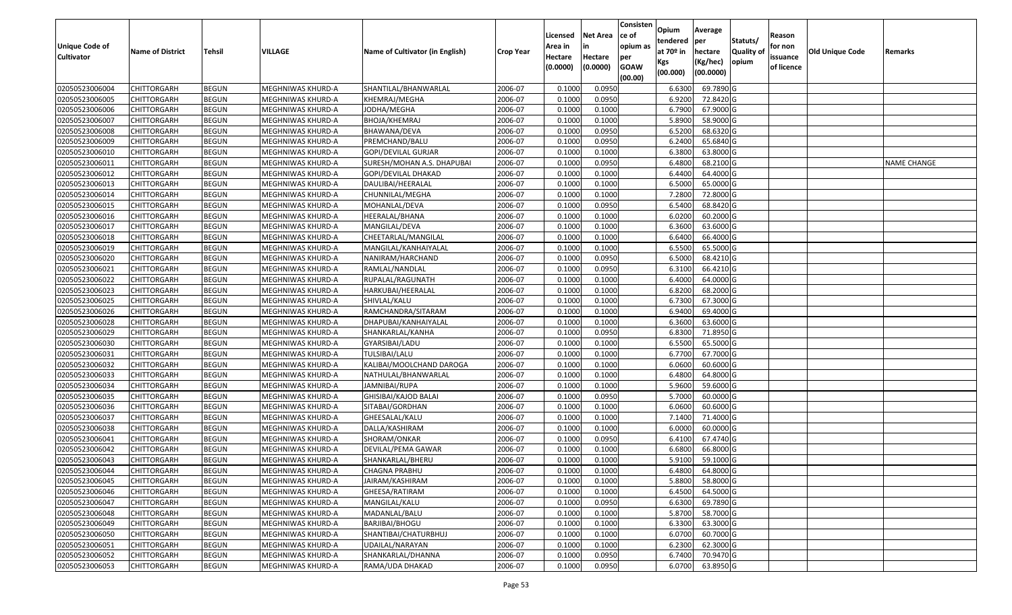| <b>Unique Code of</b> | <b>Name of District</b> | Tehsil       | VILLAGE           | Name of Cultivator (in English) | <b>Crop Year</b> | Licensed<br>Area in | <b>Net Area</b><br>in | Consisten<br>ce of<br>opium as | Opium<br>tendered<br>at $70°$ in | Average<br>per<br>hectare | Statuts/<br><b>Quality o</b> | Reason<br>for non      | Old Unique Code | Remarks            |
|-----------------------|-------------------------|--------------|-------------------|---------------------------------|------------------|---------------------|-----------------------|--------------------------------|----------------------------------|---------------------------|------------------------------|------------------------|-----------------|--------------------|
| <b>Cultivator</b>     |                         |              |                   |                                 |                  | Hectare<br>(0.0000) | Hectare<br>(0.0000)   | per<br><b>GOAW</b><br>(00.00)  | Kgs<br>(00.000)                  | (Kg/hec)<br>(00.0000)     | opium                        | issuance<br>of licence |                 |                    |
| 02050523006004        | CHITTORGARH             | <b>BEGUN</b> | MEGHNIWAS KHURD-A | SHANTILAL/BHANWARLAL            | 2006-07          | 0.1000              | 0.0950                |                                | 6.6300                           | 69.7890 G                 |                              |                        |                 |                    |
| 02050523006005        | CHITTORGARH             | <b>BEGUN</b> | MEGHNIWAS KHURD-A | KHEMRAJ/MEGHA                   | 2006-07          | 0.1000              | 0.0950                |                                | 6.9200                           | 72.8420 G                 |                              |                        |                 |                    |
| 02050523006006        | CHITTORGARH             | <b>BEGUN</b> | MEGHNIWAS KHURD-A | JODHA/MEGHA                     | 2006-07          | 0.1000              | 0.1000                |                                | 6.7900                           | 67.9000 G                 |                              |                        |                 |                    |
| 02050523006007        | <b>CHITTORGARH</b>      | <b>BEGUN</b> | MEGHNIWAS KHURD-A | BHOJA/KHEMRAJ                   | 2006-07          | 0.1000              | 0.1000                |                                | 5.8900                           | 58.9000 G                 |                              |                        |                 |                    |
| 02050523006008        | CHITTORGARH             | <b>BEGUN</b> | MEGHNIWAS KHURD-A | BHAWANA/DEVA                    | 2006-07          | 0.1000              | 0.0950                |                                | 6.5200                           | 68.6320 G                 |                              |                        |                 |                    |
| 02050523006009        | CHITTORGARH             | <b>BEGUN</b> | MEGHNIWAS KHURD-A | PREMCHAND/BALU                  | 2006-07          | 0.1000              | 0.0950                |                                | 6.2400                           | 65.6840 G                 |                              |                        |                 |                    |
| 02050523006010        | CHITTORGARH             | <b>BEGUN</b> | MEGHNIWAS KHURD-A | GOPI/DEVILAL GURJAR             | 2006-07          | 0.1000              | 0.1000                |                                | 6.3800                           | 63.8000 G                 |                              |                        |                 |                    |
| 02050523006011        | <b>CHITTORGARH</b>      | <b>BEGUN</b> | MEGHNIWAS KHURD-A | SURESH/MOHAN A.S. DHAPUBAI      | 2006-07          | 0.1000              | 0.0950                |                                | 6.4800                           | 68.2100G                  |                              |                        |                 | <b>NAME CHANGE</b> |
| 02050523006012        | CHITTORGARH             | <b>BEGUN</b> | MEGHNIWAS KHURD-A | GOPI/DEVILAL DHAKAD             | 2006-07          | 0.1000              | 0.1000                |                                | 6.4400                           | 64.4000 G                 |                              |                        |                 |                    |
| 02050523006013        | CHITTORGARH             | <b>BEGUN</b> | MEGHNIWAS KHURD-A | DAULIBAI/HEERALAL               | 2006-07          | 0.1000              | 0.1000                |                                | 6.5000                           | 65.0000 G                 |                              |                        |                 |                    |
| 02050523006014        | CHITTORGARH             | <b>BEGUN</b> | MEGHNIWAS KHURD-A | CHUNNILAL/MEGHA                 | 2006-07          | 0.1000              | 0.1000                |                                | 7.2800                           | 72.8000G                  |                              |                        |                 |                    |
| 02050523006015        | <b>CHITTORGARH</b>      | <b>BEGUN</b> | MEGHNIWAS KHURD-A | MOHANLAL/DEVA                   | 2006-07          | 0.1000              | 0.0950                |                                | 6.5400                           | 68.8420 G                 |                              |                        |                 |                    |
| 02050523006016        | <b>CHITTORGARH</b>      | <b>BEGUN</b> | MEGHNIWAS KHURD-A | HEERALAL/BHANA                  | 2006-07          | 0.1000              | 0.1000                |                                | 6.0200                           | 60.2000 G                 |                              |                        |                 |                    |
| 02050523006017        | <b>CHITTORGARH</b>      | <b>BEGUN</b> | MEGHNIWAS KHURD-A | MANGILAL/DEVA                   | 2006-07          | 0.1000              | 0.1000                |                                | 6.3600                           | 63.6000 G                 |                              |                        |                 |                    |
| 02050523006018        | CHITTORGARH             | <b>BEGUN</b> | MEGHNIWAS KHURD-A | CHEETARLAL/MANGILAL             | 2006-07          | 0.1000              | 0.1000                |                                | 6.6400                           | 66.4000G                  |                              |                        |                 |                    |
| 02050523006019        | CHITTORGARH             | <b>BEGUN</b> | MEGHNIWAS KHURD-A | MANGILAL/KANHAIYALAL            | 2006-07          | 0.1000              | 0.1000                |                                | 6.5500                           | 65.5000G                  |                              |                        |                 |                    |
| 02050523006020        | CHITTORGARH             | <b>BEGUN</b> | MEGHNIWAS KHURD-A | NANIRAM/HARCHAND                | 2006-07          | 0.1000              | 0.0950                |                                | 6.5000                           | 68.4210 G                 |                              |                        |                 |                    |
| 02050523006021        | CHITTORGARH             | <b>BEGUN</b> | MEGHNIWAS KHURD-A | RAMLAL/NANDLAL                  | 2006-07          | 0.1000              | 0.0950                |                                | 6.3100                           | 66.4210G                  |                              |                        |                 |                    |
| 02050523006022        | CHITTORGARH             | <b>BEGUN</b> | MEGHNIWAS KHURD-A | RUPALAL/RAGUNATH                | 2006-07          | 0.1000              | 0.1000                |                                | 6.4000                           | 64.0000G                  |                              |                        |                 |                    |
| 02050523006023        | CHITTORGARH             | <b>BEGUN</b> | MEGHNIWAS KHURD-A | HARKUBAI/HEERALAL               | 2006-07          | 0.1000              | 0.1000                |                                | 6.8200                           | 68.2000 G                 |                              |                        |                 |                    |
| 02050523006025        | CHITTORGARH             | <b>BEGUN</b> | MEGHNIWAS KHURD-A | SHIVLAL/KALU                    | 2006-07          | 0.1000              | 0.1000                |                                | 6.7300                           | 67.3000 G                 |                              |                        |                 |                    |
| 02050523006026        | CHITTORGARH             | <b>BEGUN</b> | MEGHNIWAS KHURD-A | RAMCHANDRA/SITARAM              | 2006-07          | 0.1000              | 0.1000                |                                | 6.9400                           | 69.4000 G                 |                              |                        |                 |                    |
| 02050523006028        | CHITTORGARH             | <b>BEGUN</b> | MEGHNIWAS KHURD-A | DHAPUBAI/KANHAIYALAL            | 2006-07          | 0.1000              | 0.1000                |                                | 6.3600                           | 63.6000 G                 |                              |                        |                 |                    |
| 02050523006029        | CHITTORGARH             | <b>BEGUN</b> | MEGHNIWAS KHURD-A | SHANKARLAL/KANHA                | 2006-07          | 0.1000              | 0.0950                |                                | 6.8300                           | 71.8950 G                 |                              |                        |                 |                    |
| 02050523006030        | CHITTORGARH             | <b>BEGUN</b> | MEGHNIWAS KHURD-A | GYARSIBAI/LADU                  | 2006-07          | 0.1000              | 0.1000                |                                | 6.5500                           | 65.5000G                  |                              |                        |                 |                    |
| 02050523006031        | CHITTORGARH             | <b>BEGUN</b> | MEGHNIWAS KHURD-A | TULSIBAI/LALU                   | 2006-07          | 0.1000              | 0.1000                |                                | 6.7700                           | 67.7000 G                 |                              |                        |                 |                    |
| 02050523006032        | CHITTORGARH             | <b>BEGUN</b> | MEGHNIWAS KHURD-A | KALIBAI/MOOLCHAND DAROGA        | 2006-07          | 0.1000              | 0.1000                |                                | 6.0600                           | 60.6000 G                 |                              |                        |                 |                    |
| 02050523006033        | CHITTORGARH             | <b>BEGUN</b> | MEGHNIWAS KHURD-A | NATHULAL/BHANWARLAL             | 2006-07          | 0.1000              | 0.1000                |                                | 6.4800                           | 64.8000 G                 |                              |                        |                 |                    |
| 02050523006034        | CHITTORGARH             | <b>BEGUN</b> | MEGHNIWAS KHURD-A | JAMNIBAI/RUPA                   | 2006-07          | 0.1000              | 0.1000                |                                | 5.9600                           | 59.6000 G                 |                              |                        |                 |                    |
| 02050523006035        | CHITTORGARH             | <b>BEGUN</b> | MEGHNIWAS KHURD-A | GHISIBAI/KAJOD BALAI            | 2006-07          | 0.1000              | 0.0950                |                                | 5.7000                           | 60.0000G                  |                              |                        |                 |                    |
| 02050523006036        | CHITTORGARH             | <b>BEGUN</b> | MEGHNIWAS KHURD-A | SITABAI/GORDHAN                 | 2006-07          | 0.1000              | 0.1000                |                                | 6.0600                           | 60.6000 G                 |                              |                        |                 |                    |
| 02050523006037        | CHITTORGARH             | <b>BEGUN</b> | MEGHNIWAS KHURD-A | GHEESALAL/KALU                  | 2006-07          | 0.1000              | 0.1000                |                                | 7.1400                           | 71.4000G                  |                              |                        |                 |                    |
| 02050523006038        | CHITTORGARH             | <b>BEGUN</b> | MEGHNIWAS KHURD-A | DALLA/KASHIRAM                  | 2006-07          | 0.1000              | 0.1000                |                                | 6.0000                           | 60.0000G                  |                              |                        |                 |                    |
| 02050523006041        | CHITTORGARH             | <b>BEGUN</b> | MEGHNIWAS KHURD-A | SHORAM/ONKAR                    | 2006-07          | 0.1000              | 0.0950                |                                | 6.4100                           | 67.4740 G                 |                              |                        |                 |                    |
| 02050523006042        | CHITTORGARH             | <b>BEGUN</b> | MEGHNIWAS KHURD-A | DEVILAL/PEMA GAWAR              | 2006-07          | 0.1000              | 0.1000                |                                | 6.6800                           | 66.8000 G                 |                              |                        |                 |                    |
| 02050523006043        | CHITTORGARH             | <b>BEGUN</b> | MEGHNIWAS KHURD-A | SHANKARLAL/BHERU                | 2006-07          | 0.1000              | 0.1000                |                                | 5.9100                           | 59.1000 G                 |                              |                        |                 |                    |
| 02050523006044        | <b>CHITTORGARH</b>      | <b>BEGUN</b> | MEGHNIWAS KHURD-A | <b>CHAGNA PRABHU</b>            | 2006-07          | 0.1000              | 0.1000                |                                | 6.4800                           | 64.8000 G                 |                              |                        |                 |                    |
| 02050523006045        | <b>CHITTORGARH</b>      | <b>BEGUN</b> | MEGHNIWAS KHURD-A | JAIRAM/KASHIRAM                 | 2006-07          | 0.1000              | 0.1000                |                                | 5.8800                           | 58.8000 G                 |                              |                        |                 |                    |
| 02050523006046        | <b>CHITTORGARH</b>      | <b>BEGUN</b> | MEGHNIWAS KHURD-A | GHEESA/RATIRAM                  | 2006-07          | 0.1000              | 0.1000                |                                | 6.4500                           | 64.5000 G                 |                              |                        |                 |                    |
| 02050523006047        | <b>CHITTORGARH</b>      | <b>BEGUN</b> | MEGHNIWAS KHURD-A | MANGILAL/KALU                   | 2006-07          | 0.1000              | 0.0950                |                                | 6.6300                           | 69.7890 G                 |                              |                        |                 |                    |
| 02050523006048        | <b>CHITTORGARH</b>      | <b>BEGUN</b> | MEGHNIWAS KHURD-A | MADANLAL/BALU                   | 2006-07          | 0.1000              | 0.1000                |                                | 5.8700                           | 58.7000 G                 |                              |                        |                 |                    |
| 02050523006049        | <b>CHITTORGARH</b>      | <b>BEGUN</b> | MEGHNIWAS KHURD-A | BARJIBAI/BHOGU                  | 2006-07          | 0.1000              | 0.1000                |                                | 6.3300                           | 63.3000 G                 |                              |                        |                 |                    |
| 02050523006050        | <b>CHITTORGARH</b>      | <b>BEGUN</b> | MEGHNIWAS KHURD-A | SHANTIBAI/CHATURBHUJ            | 2006-07          | 0.1000              | 0.1000                |                                | 6.0700                           | 60.7000 G                 |                              |                        |                 |                    |
| 02050523006051        | CHITTORGARH             | <b>BEGUN</b> | MEGHNIWAS KHURD-A | UDAILAL/NARAYAN                 | 2006-07          | 0.1000              | 0.1000                |                                | 6.2300                           | 62.3000 G                 |                              |                        |                 |                    |
| 02050523006052        | <b>CHITTORGARH</b>      | <b>BEGUN</b> | MEGHNIWAS KHURD-A | SHANKARLAL/DHANNA               | 2006-07          | 0.1000              | 0.0950                |                                | 6.7400                           | 70.9470 G                 |                              |                        |                 |                    |
| 02050523006053        | <b>CHITTORGARH</b>      | <b>BEGUN</b> | MEGHNIWAS KHURD-A | RAMA/UDA DHAKAD                 | 2006-07          | 0.1000              | 0.0950                |                                | 6.0700                           | 63.8950 G                 |                              |                        |                 |                    |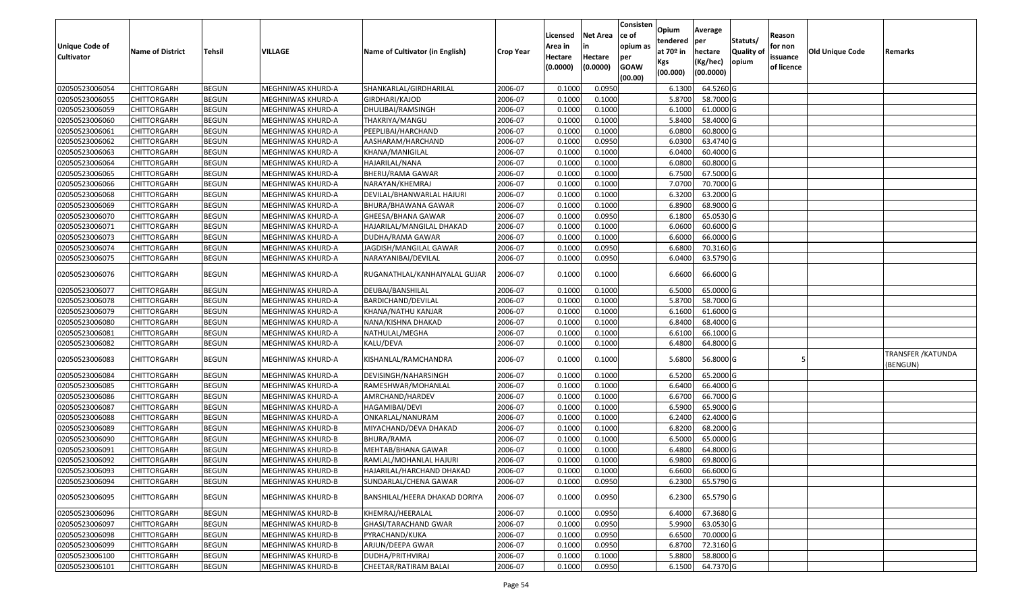| <b>Unique Code of</b><br><b>Cultivator</b> | <b>Name of District</b> | <b>Tehsil</b> | VILLAGE           | Name of Cultivator (in English) | <b>Crop Year</b> | Licensed<br>Area in<br>Hectare<br>(0.0000) | <b>Net Area</b><br>in<br>Hectare<br>(0.0000) | Consisten<br>ce of<br>opium as<br>per<br><b>GOAW</b><br>(00.00) | Opium<br>tendered<br>at $70°$ in<br>Kgs<br>(00.000) | Average<br>per<br>hectare<br>(Kg/hec)<br>(00.0000) | Statuts/<br>Quality of<br>opium | Reason<br>for non<br>issuance<br>of licence | <b>Old Unique Code</b> | Remarks                               |
|--------------------------------------------|-------------------------|---------------|-------------------|---------------------------------|------------------|--------------------------------------------|----------------------------------------------|-----------------------------------------------------------------|-----------------------------------------------------|----------------------------------------------------|---------------------------------|---------------------------------------------|------------------------|---------------------------------------|
| 02050523006054                             | <b>CHITTORGARH</b>      | <b>BEGUN</b>  | MEGHNIWAS KHURD-A | SHANKARLAL/GIRDHARILAL          | 2006-07          | 0.1000                                     | 0.0950                                       |                                                                 | 6.1300                                              | 64.5260 G                                          |                                 |                                             |                        |                                       |
| 02050523006055                             | CHITTORGARH             | <b>BEGUN</b>  | MEGHNIWAS KHURD-A | GIRDHARI/KAJOD                  | 2006-07          | 0.1000                                     | 0.1000                                       |                                                                 | 5.8700                                              | 58.7000 G                                          |                                 |                                             |                        |                                       |
| 02050523006059                             | CHITTORGARH             | <b>BEGUN</b>  | MEGHNIWAS KHURD-A | DHULIBAI/RAMSINGH               | 2006-07          | 0.1000                                     | 0.1000                                       |                                                                 | 6.1000                                              | 61.0000 G                                          |                                 |                                             |                        |                                       |
| 02050523006060                             | <b>CHITTORGARH</b>      | <b>BEGUN</b>  | MEGHNIWAS KHURD-A | THAKRIYA/MANGU                  | 2006-07          | 0.1000                                     | 0.1000                                       |                                                                 | 5.8400                                              | 58.4000 G                                          |                                 |                                             |                        |                                       |
| 02050523006061                             | <b>CHITTORGARH</b>      | <b>BEGUN</b>  | MEGHNIWAS KHURD-A | PEEPLIBAI/HARCHAND              | 2006-07          | 0.1000                                     | 0.1000                                       |                                                                 | 6.0800                                              | 60.8000 G                                          |                                 |                                             |                        |                                       |
| 02050523006062                             | <b>CHITTORGARH</b>      | <b>BEGUN</b>  | MEGHNIWAS KHURD-A | AASHARAM/HARCHAND               | 2006-07          | 0.1000                                     | 0.0950                                       |                                                                 | 6.0300                                              | 63.4740 G                                          |                                 |                                             |                        |                                       |
| 02050523006063                             | CHITTORGARH             | <b>BEGUN</b>  | MEGHNIWAS KHURD-A | KHANA/MANIGILAL                 | 2006-07          | 0.1000                                     | 0.1000                                       |                                                                 | 6.0400                                              | 60.4000 G                                          |                                 |                                             |                        |                                       |
| 02050523006064                             | <b>CHITTORGARH</b>      | <b>BEGUN</b>  | MEGHNIWAS KHURD-A | HAJARILAL/NANA                  | 2006-07          | 0.1000                                     | 0.1000                                       |                                                                 | 6.0800                                              | 60.8000 G                                          |                                 |                                             |                        |                                       |
| 02050523006065                             | CHITTORGARH             | <b>BEGUN</b>  | MEGHNIWAS KHURD-A | BHERU/RAMA GAWAR                | 2006-07          | 0.1000                                     | 0.1000                                       |                                                                 | 6.7500                                              | 67.5000 G                                          |                                 |                                             |                        |                                       |
| 02050523006066                             | CHITTORGARH             | <b>BEGUN</b>  | MEGHNIWAS KHURD-A | NARAYAN/KHEMRAJ                 | 2006-07          | 0.1000                                     | 0.1000                                       |                                                                 | 7.0700                                              | 70.7000 G                                          |                                 |                                             |                        |                                       |
| 02050523006068                             | CHITTORGARH             | <b>BEGUN</b>  | MEGHNIWAS KHURD-A | DEVILAL/BHANWARLAL HAJURI       | 2006-07          | 0.1000                                     | 0.1000                                       |                                                                 | 6.3200                                              | 63.2000 G                                          |                                 |                                             |                        |                                       |
| 02050523006069                             | CHITTORGARH             | <b>BEGUN</b>  | MEGHNIWAS KHURD-A | BHURA/BHAWANA GAWAR             | 2006-07          | 0.1000                                     | 0.1000                                       |                                                                 | 6.8900                                              | 68.9000 G                                          |                                 |                                             |                        |                                       |
| 02050523006070                             | CHITTORGARH             | <b>BEGUN</b>  | MEGHNIWAS KHURD-A | GHEESA/BHANA GAWAR              | 2006-07          | 0.1000                                     | 0.0950                                       |                                                                 | 6.1800                                              | 65.0530 G                                          |                                 |                                             |                        |                                       |
| 02050523006071                             | CHITTORGARH             | <b>BEGUN</b>  | MEGHNIWAS KHURD-A | HAJARILAL/MANGILAL DHAKAD       | 2006-07          | 0.1000                                     | 0.1000                                       |                                                                 | 6.0600                                              | 60.6000 G                                          |                                 |                                             |                        |                                       |
| 02050523006073                             | CHITTORGARH             | <b>BEGUN</b>  | MEGHNIWAS KHURD-A | DUDHA/RAMA GAWAR                | 2006-07          | 0.1000                                     | 0.1000                                       |                                                                 | 6.6000                                              | 66.0000G                                           |                                 |                                             |                        |                                       |
| 02050523006074                             | CHITTORGARH             | <b>BEGUN</b>  | MEGHNIWAS KHURD-A | JAGDISH/MANGILAL GAWAR          | 2006-07          | 0.1000                                     | 0.0950                                       |                                                                 | 6.6800                                              | 70.3160 G                                          |                                 |                                             |                        |                                       |
| 02050523006075                             | CHITTORGARH             | <b>BEGUN</b>  | MEGHNIWAS KHURD-A | NARAYANIBAI/DEVILAL             | 2006-07          | 0.1000                                     | 0.0950                                       |                                                                 | 6.0400                                              | 63.5790 G                                          |                                 |                                             |                        |                                       |
| 02050523006076                             | CHITTORGARH             | <b>BEGUN</b>  | MEGHNIWAS KHURD-A | RUGANATHLAL/KANHAIYALAL GUJAR   | 2006-07          | 0.1000                                     | 0.1000                                       |                                                                 | 6.6600                                              | 66.6000 G                                          |                                 |                                             |                        |                                       |
| 02050523006077                             | CHITTORGARH             | <b>BEGUN</b>  | MEGHNIWAS KHURD-A | DEUBAI/BANSHILAL                | 2006-07          | 0.1000                                     | 0.1000                                       |                                                                 | 6.5000                                              | 65.0000G                                           |                                 |                                             |                        |                                       |
| 02050523006078                             | CHITTORGARH             | <b>BEGUN</b>  | MEGHNIWAS KHURD-A | BARDICHAND/DEVILAL              | 2006-07          | 0.1000                                     | 0.1000                                       |                                                                 | 5.8700                                              | 58.7000 G                                          |                                 |                                             |                        |                                       |
| 02050523006079                             | CHITTORGARH             | <b>BEGUN</b>  | MEGHNIWAS KHURD-A | KHANA/NATHU KANJAR              | 2006-07          | 0.1000                                     | 0.1000                                       |                                                                 | 6.1600                                              | 61.6000G                                           |                                 |                                             |                        |                                       |
| 02050523006080                             | CHITTORGARH             | <b>BEGUN</b>  | MEGHNIWAS KHURD-A | NANA/KISHNA DHAKAD              | 2006-07          | 0.1000                                     | 0.1000                                       |                                                                 | 6.8400                                              | 68.4000 G                                          |                                 |                                             |                        |                                       |
| 02050523006081                             | CHITTORGARH             | <b>BEGUN</b>  | MEGHNIWAS KHURD-A | NATHULAL/MEGHA                  | 2006-07          | 0.1000                                     | 0.1000                                       |                                                                 | 6.6100                                              | 66.1000 G                                          |                                 |                                             |                        |                                       |
| 02050523006082                             | CHITTORGARH             | <b>BEGUN</b>  | MEGHNIWAS KHURD-A | KALU/DEVA                       | 2006-07          | 0.1000                                     | 0.1000                                       |                                                                 | 6.4800                                              | 64.8000 G                                          |                                 |                                             |                        |                                       |
| 02050523006083                             | CHITTORGARH             | <b>BEGUN</b>  | MEGHNIWAS KHURD-A | KISHANLAL/RAMCHANDRA            | 2006-07          | 0.1000                                     | 0.1000                                       |                                                                 | 5.6800                                              | 56.8000 G                                          |                                 |                                             |                        | <b>TRANSFER / KATUNDA</b><br>(BENGUN) |
| 02050523006084                             | CHITTORGARH             | <b>BEGUN</b>  | MEGHNIWAS KHURD-A | DEVISINGH/NAHARSINGH            | 2006-07          | 0.1000                                     | 0.1000                                       |                                                                 | 6.5200                                              | 65.2000 G                                          |                                 |                                             |                        |                                       |
| 02050523006085                             | CHITTORGARH             | <b>BEGUN</b>  | MEGHNIWAS KHURD-A | RAMESHWAR/MOHANLAL              | 2006-07          | 0.1000                                     | 0.1000                                       |                                                                 | 6.6400                                              | 66.4000 G                                          |                                 |                                             |                        |                                       |
| 02050523006086                             | <b>CHITTORGARH</b>      | <b>BEGUN</b>  | MEGHNIWAS KHURD-A | AMRCHAND/HARDEV                 | 2006-07          | 0.1000                                     | 0.1000                                       |                                                                 | 6.6700                                              | 66.7000 G                                          |                                 |                                             |                        |                                       |
| 02050523006087                             | CHITTORGARH             | <b>BEGUN</b>  | MEGHNIWAS KHURD-A | HAGAMIBAI/DEVI                  | 2006-07          | 0.100                                      | 0.1000                                       |                                                                 | 6.5900                                              | 65.9000 G                                          |                                 |                                             |                        |                                       |
| 02050523006088                             | CHITTORGARH             | <b>BEGUN</b>  | MEGHNIWAS KHURD-A | ONKARLAL/NANURAM                | 2006-07          | 0.1000                                     | 0.1000                                       |                                                                 | 6.2400                                              | 62.4000 G                                          |                                 |                                             |                        |                                       |
| 02050523006089                             | CHITTORGARH             | <b>BEGUN</b>  | MEGHNIWAS KHURD-B | MIYACHAND/DEVA DHAKAD           | 2006-07          | 0.100                                      | 0.1000                                       |                                                                 | 6.8200                                              | 68.2000 G                                          |                                 |                                             |                        |                                       |
| 02050523006090                             | CHITTORGARH             | <b>BEGUN</b>  | MEGHNIWAS KHURD-B | BHURA/RAMA                      | 2006-07          | 0.100                                      | 0.1000                                       |                                                                 | 6.5000                                              | 65.0000G                                           |                                 |                                             |                        |                                       |
| 02050523006091                             | CHITTORGARH             | <b>BEGUN</b>  | MEGHNIWAS KHURD-B | MEHTAB/BHANA GAWAR              | 2006-07          | 0.1000                                     | 0.1000                                       |                                                                 | 6.4800                                              | 64.8000 G                                          |                                 |                                             |                        |                                       |
| 02050523006092                             | CHITTORGARH             | <b>BEGUN</b>  | MEGHNIWAS KHURD-B | RAMLAL/MOHANLAL HAJURI          | 2006-07          | 0.100                                      | 0.1000                                       |                                                                 | 6.9800                                              | 69.8000 G                                          |                                 |                                             |                        |                                       |
| 02050523006093                             | <b>CHITTORGARH</b>      | <b>BEGUN</b>  | MEGHNIWAS KHURD-B | HAJARILAL/HARCHAND DHAKAD       | 2006-07          | 0.1000                                     | 0.1000                                       |                                                                 | 6.6600                                              | 66.6000 G                                          |                                 |                                             |                        |                                       |
| 02050523006094                             | <b>CHITTORGARH</b>      | <b>BEGUN</b>  | MEGHNIWAS KHURD-B | SUNDARLAL/CHENA GAWAR           | 2006-07          | 0.1000                                     | 0.0950                                       |                                                                 | 6.2300                                              | 65.5790 G                                          |                                 |                                             |                        |                                       |
| 02050523006095                             | <b>CHITTORGARH</b>      | <b>BEGUN</b>  | MEGHNIWAS KHURD-B | BANSHILAL/HEERA DHAKAD DORIYA   | 2006-07          | 0.1000                                     | 0.0950                                       |                                                                 | 6.2300                                              | 65.5790 G                                          |                                 |                                             |                        |                                       |
| 02050523006096                             | <b>CHITTORGARH</b>      | <b>BEGUN</b>  | MEGHNIWAS KHURD-B | KHEMRAJ/HEERALAL                | 2006-07          | 0.1000                                     | 0.0950                                       |                                                                 | 6.4000                                              | 67.3680 G                                          |                                 |                                             |                        |                                       |
| 02050523006097                             | <b>CHITTORGARH</b>      | <b>BEGUN</b>  | MEGHNIWAS KHURD-B | GHASI/TARACHAND GWAR            | 2006-07          | 0.1000                                     | 0.0950                                       |                                                                 | 5.9900                                              | 63.0530 G                                          |                                 |                                             |                        |                                       |
| 02050523006098                             | <b>CHITTORGARH</b>      | <b>BEGUN</b>  | MEGHNIWAS KHURD-B | PYRACHAND/KUKA                  | 2006-07          | 0.1000                                     | 0.0950                                       |                                                                 | 6.6500                                              | 70.0000G                                           |                                 |                                             |                        |                                       |
| 02050523006099                             | <b>CHITTORGARH</b>      | <b>BEGUN</b>  | MEGHNIWAS KHURD-B | ARJUN/DEEPA GWAR                | 2006-07          | 0.1000                                     | 0.0950                                       |                                                                 | 6.8700                                              | 72.3160 G                                          |                                 |                                             |                        |                                       |
| 02050523006100                             | CHITTORGARH             | <b>BEGUN</b>  | MEGHNIWAS KHURD-B | DUDHA/PRITHVIRAJ                | 2006-07          | 0.1000                                     | 0.1000                                       |                                                                 | 5.8800                                              | 58.8000 G                                          |                                 |                                             |                        |                                       |
| 02050523006101                             | CHITTORGARH             | <b>BEGUN</b>  | MEGHNIWAS KHURD-B | CHEETAR/RATIRAM BALAI           | 2006-07          | 0.1000                                     | 0.0950                                       |                                                                 | 6.1500                                              | 64.7370 G                                          |                                 |                                             |                        |                                       |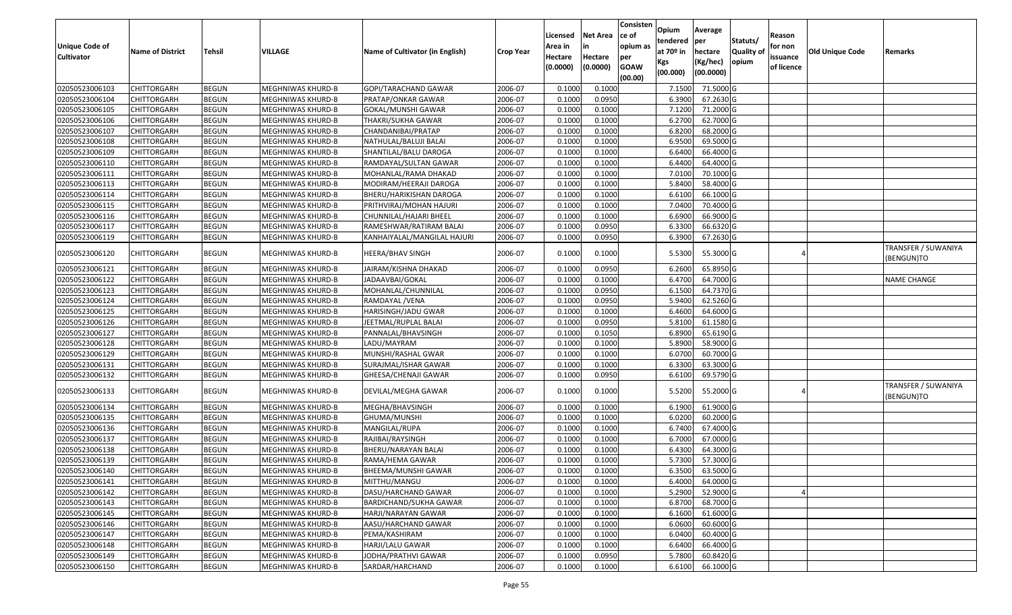| <b>Unique Code of</b><br><b>Cultivator</b> | <b>Name of District</b> | <b>Tehsil</b> | VILLAGE           | Name of Cultivator (in English) | <b>Crop Year</b> | Licensed<br>Area in<br>Hectare<br>(0.0000) | <b>Net Area</b><br>in<br>Hectare<br>(0.0000) | Consisten<br>ce of<br>opium as<br>per<br><b>GOAW</b><br>(00.00) | Opium<br>tendered<br>at $70°$ in<br>Kgs<br>(00.000) | Average<br>per<br>hectare<br>(Kg/hec)<br>(00.0000) | Statuts/<br>Quality of<br>opium | Reason<br>for non<br>issuance<br>of licence | <b>Old Unique Code</b> | Remarks                           |
|--------------------------------------------|-------------------------|---------------|-------------------|---------------------------------|------------------|--------------------------------------------|----------------------------------------------|-----------------------------------------------------------------|-----------------------------------------------------|----------------------------------------------------|---------------------------------|---------------------------------------------|------------------------|-----------------------------------|
| 02050523006103                             | <b>CHITTORGARH</b>      | <b>BEGUN</b>  | MEGHNIWAS KHURD-B | GOPI/TARACHAND GAWAR            | 2006-07          | 0.1000                                     | 0.1000                                       |                                                                 | 7.1500                                              | 71.5000 G                                          |                                 |                                             |                        |                                   |
| 02050523006104                             | CHITTORGARH             | <b>BEGUN</b>  | MEGHNIWAS KHURD-B | PRATAP/ONKAR GAWAR              | 2006-07          | 0.1000                                     | 0.0950                                       |                                                                 | 6.3900                                              | 67.2630 G                                          |                                 |                                             |                        |                                   |
| 02050523006105                             | CHITTORGARH             | <b>BEGUN</b>  | MEGHNIWAS KHURD-B | GOKAL/MUNSHI GAWAR              | 2006-07          | 0.1000                                     | 0.1000                                       |                                                                 | 7.1200                                              | 71.2000 G                                          |                                 |                                             |                        |                                   |
| 02050523006106                             | <b>CHITTORGARH</b>      | <b>BEGUN</b>  | MEGHNIWAS KHURD-B | THAKRI/SUKHA GAWAR              | 2006-07          | 0.1000                                     | 0.1000                                       |                                                                 | 6.2700                                              | 62.7000 G                                          |                                 |                                             |                        |                                   |
| 02050523006107                             | <b>CHITTORGARH</b>      | <b>BEGUN</b>  | MEGHNIWAS KHURD-B | CHANDANIBAI/PRATAP              | 2006-07          | 0.1000                                     | 0.1000                                       |                                                                 | 6.8200                                              | 68.2000 G                                          |                                 |                                             |                        |                                   |
| 02050523006108                             | <b>CHITTORGARH</b>      | <b>BEGUN</b>  | MEGHNIWAS KHURD-B | NATHULAL/BALUJI BALAI           | 2006-07          | 0.1000                                     | 0.1000                                       |                                                                 | 6.9500                                              | 69.5000 G                                          |                                 |                                             |                        |                                   |
| 02050523006109                             | <b>CHITTORGARH</b>      | <b>BEGUN</b>  | MEGHNIWAS KHURD-B | SHANTILAL/BALU DAROGA           | 2006-07          | 0.1000                                     | 0.1000                                       |                                                                 | 6.6400                                              | 66.4000 G                                          |                                 |                                             |                        |                                   |
| 02050523006110                             | <b>CHITTORGARH</b>      | <b>BEGUN</b>  | MEGHNIWAS KHURD-B | RAMDAYAL/SULTAN GAWAR           | 2006-07          | 0.1000                                     | 0.1000                                       |                                                                 | 6.4400                                              | 64.4000 G                                          |                                 |                                             |                        |                                   |
| 02050523006111                             | <b>CHITTORGARH</b>      | <b>BEGUN</b>  | MEGHNIWAS KHURD-B | MOHANLAL/RAMA DHAKAD            | 2006-07          | 0.1000                                     | 0.1000                                       |                                                                 | 7.0100                                              | 70.1000G                                           |                                 |                                             |                        |                                   |
| 02050523006113                             | CHITTORGARH             | <b>BEGUN</b>  | MEGHNIWAS KHURD-B | MODIRAM/HEERAJI DAROGA          | 2006-07          | 0.100                                      | 0.1000                                       |                                                                 | 5.8400                                              | 58.4000 G                                          |                                 |                                             |                        |                                   |
| 02050523006114                             | <b>CHITTORGARH</b>      | <b>BEGUN</b>  | MEGHNIWAS KHURD-B | BHERU/HARIKISHAN DAROGA         | 2006-07          | 0.1000                                     | 0.1000                                       |                                                                 | 6.6100                                              | 66.1000 G                                          |                                 |                                             |                        |                                   |
| 02050523006115                             | CHITTORGARH             | <b>BEGUN</b>  | MEGHNIWAS KHURD-B | PRITHVIRAJ/MOHAN HAJURI         | 2006-07          | 0.1000                                     | 0.1000                                       |                                                                 | 7.0400                                              | 70.4000 G                                          |                                 |                                             |                        |                                   |
| 02050523006116                             | CHITTORGARH             | <b>BEGUN</b>  | MEGHNIWAS KHURD-B | CHUNNILAL/HAJARI BHEEL          | 2006-07          | 0.1000                                     | 0.1000                                       |                                                                 | 6.6900                                              | 66.9000 G                                          |                                 |                                             |                        |                                   |
| 02050523006117                             | CHITTORGARH             | <b>BEGUN</b>  | MEGHNIWAS KHURD-B | RAMESHWAR/RATIRAM BALAI         | 2006-07          | 0.1000                                     | 0.0950                                       |                                                                 | 6.3300                                              | 66.6320G                                           |                                 |                                             |                        |                                   |
| 02050523006119                             | CHITTORGARH             | <b>BEGUN</b>  | MEGHNIWAS KHURD-B | KANHAIYALAL/MANGILAL HAJURI     | 2006-07          | 0.1000                                     | 0.0950                                       |                                                                 | 6.3900                                              | 67.2630 G                                          |                                 |                                             |                        |                                   |
| 02050523006120                             | CHITTORGARH             | <b>BEGUN</b>  | MEGHNIWAS KHURD-B | HEERA/BHAV SINGH                | 2006-07          | 0.1000                                     | 0.1000                                       |                                                                 | 5.5300                                              | 55.3000 G                                          |                                 |                                             |                        | TRANSFER / SUWANIYA<br>(BENGUN)TO |
| 02050523006121                             | CHITTORGARH             | <b>BEGUN</b>  | MEGHNIWAS KHURD-B | JAIRAM/KISHNA DHAKAD            | 2006-07          | 0.100                                      | 0.0950                                       |                                                                 | 6.2600                                              | 65.8950 G                                          |                                 |                                             |                        |                                   |
| 02050523006122                             | <b>CHITTORGARH</b>      | <b>BEGUN</b>  | MEGHNIWAS KHURD-B | JADAAVBAI/GOKAL                 | 2006-07          | 0.1000                                     | 0.1000                                       |                                                                 | 6.4700                                              | 64.7000G                                           |                                 |                                             |                        | <b>NAME CHANGE</b>                |
| 02050523006123                             | CHITTORGARH             | <b>BEGUN</b>  | MEGHNIWAS KHURD-B | MOHANLAL/CHUNNILAL              | 2006-07          | 0.1000                                     | 0.0950                                       |                                                                 | 6.1500                                              | 64.7370 G                                          |                                 |                                             |                        |                                   |
| 02050523006124                             | <b>CHITTORGARH</b>      | <b>BEGUN</b>  | MEGHNIWAS KHURD-B | RAMDAYAL /VENA                  | 2006-07          | 0.1000                                     | 0.0950                                       |                                                                 | 5.9400                                              | 62.5260 G                                          |                                 |                                             |                        |                                   |
| 02050523006125                             | CHITTORGARH             | <b>BEGUN</b>  | MEGHNIWAS KHURD-B | HARISINGH/JADU GWAR             | 2006-07          | 0.1000                                     | 0.1000                                       |                                                                 | 6.4600                                              | 64.6000 G                                          |                                 |                                             |                        |                                   |
| 02050523006126                             | CHITTORGARH             | <b>BEGUN</b>  | MEGHNIWAS KHURD-B | JEETMAL/RUPLAL BALAI            | 2006-07          | 0.1000                                     | 0.0950                                       |                                                                 | 5.8100                                              | 61.1580 G                                          |                                 |                                             |                        |                                   |
| 02050523006127                             | CHITTORGARH             | <b>BEGUN</b>  | MEGHNIWAS KHURD-B | PANNALAL/BHAVSINGH              | 2006-07          | 0.1000                                     | 0.1050                                       |                                                                 | 6.8900                                              | 65.6190 G                                          |                                 |                                             |                        |                                   |
| 02050523006128                             | CHITTORGARH             | <b>BEGUN</b>  | MEGHNIWAS KHURD-B | LADU/MAYRAM                     | 2006-07          | 0.1000                                     | 0.1000                                       |                                                                 | 5.8900                                              | 58.9000 G                                          |                                 |                                             |                        |                                   |
| 02050523006129                             | <b>CHITTORGARH</b>      | <b>BEGUN</b>  | MEGHNIWAS KHURD-B | MUNSHI/RASHAL GWAR              | 2006-07          | 0.1000                                     | 0.1000                                       |                                                                 | 6.0700                                              | 60.7000 G                                          |                                 |                                             |                        |                                   |
| 02050523006131                             | CHITTORGARH             | <b>BEGUN</b>  | MEGHNIWAS KHURD-B | SURAJMAL/ISHAR GAWAR            | 2006-07          | 0.1000                                     | 0.1000                                       |                                                                 | 6.3300                                              | 63.3000 G                                          |                                 |                                             |                        |                                   |
| 02050523006132                             | <b>CHITTORGARH</b>      | <b>BEGUN</b>  | MEGHNIWAS KHURD-B | GHEESA/CHENAJI GAWAR            | 2006-07          | 0.1000                                     | 0.0950                                       |                                                                 | 6.6100                                              | 69.5790 G                                          |                                 |                                             |                        |                                   |
| 02050523006133                             | CHITTORGARH             | <b>BEGUN</b>  | MEGHNIWAS KHURD-B | DEVILAL/MEGHA GAWAR             | 2006-07          | 0.1000                                     | 0.1000                                       |                                                                 | 5.5200                                              | 55.2000 G                                          |                                 |                                             |                        | TRANSFER / SUWANIYA<br>(BENGUN)TO |
| 02050523006134                             | CHITTORGARH             | <b>BEGUN</b>  | MEGHNIWAS KHURD-B | MEGHA/BHAVSINGH                 | 2006-07          | 0.100                                      | 0.1000                                       |                                                                 | 6.1900                                              | 61.9000G                                           |                                 |                                             |                        |                                   |
| 02050523006135                             | CHITTORGARH             | <b>BEGUN</b>  | MEGHNIWAS KHURD-B | GHUMA/MUNSHI                    | 2006-07          | 0.1000                                     | 0.1000                                       |                                                                 | 6.0200                                              | 60.2000 G                                          |                                 |                                             |                        |                                   |
| 02050523006136                             | CHITTORGARH             | <b>BEGUN</b>  | MEGHNIWAS KHURD-B | MANGILAL/RUPA                   | 2006-07          | 0.1000                                     | 0.1000                                       |                                                                 | 6.7400                                              | 67.4000 G                                          |                                 |                                             |                        |                                   |
| 02050523006137                             | CHITTORGARH             | <b>BEGUN</b>  | MEGHNIWAS KHURD-B | RAJIBAI/RAYSINGH                | 2006-07          | 0.100                                      | 0.1000                                       |                                                                 | 6.7000                                              | 67.0000G                                           |                                 |                                             |                        |                                   |
| 02050523006138                             | CHITTORGARH             | <b>BEGUN</b>  | MEGHNIWAS KHURD-B | BHERU/NARAYAN BALAI             | 2006-07          | 0.1000                                     | 0.1000                                       |                                                                 | 6.4300                                              | 64.3000 G                                          |                                 |                                             |                        |                                   |
| 02050523006139                             | CHITTORGARH             | <b>BEGUN</b>  | MEGHNIWAS KHURD-B | RAMA/HEMA GAWAR                 | 2006-07          | 0.100                                      | 0.1000                                       |                                                                 | 5.7300                                              | 57.3000 G                                          |                                 |                                             |                        |                                   |
| 02050523006140                             | <b>CHITTORGARH</b>      | <b>BEGUN</b>  | MEGHNIWAS KHURD-B | <b>BHEEMA/MUNSHI GAWAR</b>      | 2006-07          | 0.1000                                     | 0.1000                                       |                                                                 | 6.3500                                              | 63.5000 G                                          |                                 |                                             |                        |                                   |
| 02050523006141                             | <b>CHITTORGARH</b>      | <b>BEGUN</b>  | MEGHNIWAS KHURD-B | MITTHU/MANGU                    | 2006-07          | 0.1000                                     | 0.1000                                       |                                                                 | 6.4000                                              | 64.0000 G                                          |                                 |                                             |                        |                                   |
| 02050523006142                             | <b>CHITTORGARH</b>      | <b>BEGUN</b>  | MEGHNIWAS KHURD-B | DASU/HARCHAND GAWAR             | 2006-07          | 0.1000                                     | 0.1000                                       |                                                                 | 5.2900                                              | 52.9000 G                                          |                                 |                                             |                        |                                   |
| 02050523006143                             | <b>CHITTORGARH</b>      | <b>BEGUN</b>  | MEGHNIWAS KHURD-B | BARDICHAND/SUKHA GAWAR          | 2006-07          | 0.1000                                     | 0.1000                                       |                                                                 | 6.8700                                              | 68.7000 G                                          |                                 |                                             |                        |                                   |
| 02050523006145                             | CHITTORGARH             | <b>BEGUN</b>  | MEGHNIWAS KHURD-B | HARJI/NARAYAN GAWAR             | 2006-07          | 0.1000                                     | 0.1000                                       |                                                                 | 6.1600                                              | 61.6000 G                                          |                                 |                                             |                        |                                   |
| 02050523006146                             | <b>CHITTORGARH</b>      | <b>BEGUN</b>  | MEGHNIWAS KHURD-B | AASU/HARCHAND GAWAR             | 2006-07          | 0.1000                                     | 0.1000                                       |                                                                 | 6.0600                                              | 60.6000 G                                          |                                 |                                             |                        |                                   |
| 02050523006147                             | <b>CHITTORGARH</b>      | <b>BEGUN</b>  | MEGHNIWAS KHURD-B | PEMA/KASHIRAM                   | 2006-07          | 0.1000                                     | 0.1000                                       |                                                                 | 6.0400                                              | 60.4000 G                                          |                                 |                                             |                        |                                   |
| 02050523006148                             | <b>CHITTORGARH</b>      | <b>BEGUN</b>  | MEGHNIWAS KHURD-B | HARJI/LALU GAWAR                | 2006-07          | 0.1000                                     | 0.1000                                       |                                                                 | 6.6400                                              | 66.4000 G                                          |                                 |                                             |                        |                                   |
| 02050523006149                             | CHITTORGARH             | <b>BEGUN</b>  | MEGHNIWAS KHURD-B | JODHA/PRATHVI GAWAR             | 2006-07          | 0.1000                                     | 0.0950                                       |                                                                 | 5.7800                                              | 60.8420 G                                          |                                 |                                             |                        |                                   |
| 02050523006150                             | <b>CHITTORGARH</b>      | <b>BEGUN</b>  | MEGHNIWAS KHURD-B | SARDAR/HARCHAND                 | 2006-07          | 0.1000                                     | 0.1000                                       |                                                                 | 6.6100                                              | 66.1000 G                                          |                                 |                                             |                        |                                   |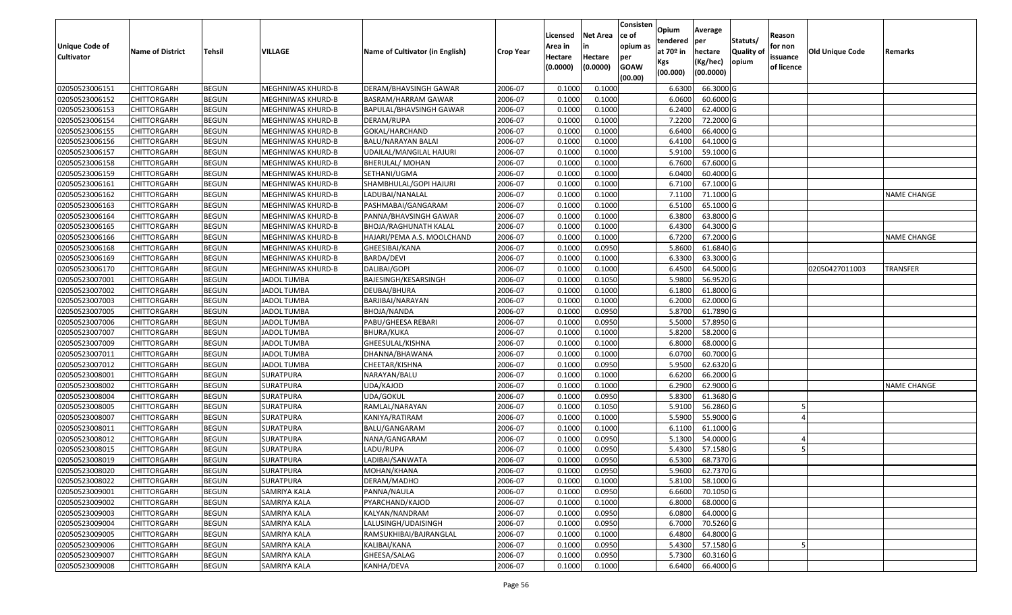| <b>Unique Code of</b><br><b>Cultivator</b> | <b>Name of District</b> | <b>Tehsil</b> | <b>VILLAGE</b>           | Name of Cultivator (in English) | <b>Crop Year</b> | Licensed<br>Area in<br>Hectare<br>(0.0000) | <b>Net Area</b><br>in<br>Hectare<br>(0.0000) | Consisten<br>ce of<br>opium as<br>per<br><b>GOAW</b><br>(00.00) | Opium<br>tendered<br>at $70°$ in<br>Kgs<br>(00.000) | Average<br>per<br>hectare<br>(Kg/hec)<br>(00.0000) | Statuts/<br>Quality of<br>opium | Reason<br>for non<br>issuance<br>of licence | <b>Old Unique Code</b> | Remarks            |
|--------------------------------------------|-------------------------|---------------|--------------------------|---------------------------------|------------------|--------------------------------------------|----------------------------------------------|-----------------------------------------------------------------|-----------------------------------------------------|----------------------------------------------------|---------------------------------|---------------------------------------------|------------------------|--------------------|
| 02050523006151                             | <b>CHITTORGARH</b>      | <b>BEGUN</b>  | <b>MEGHNIWAS KHURD-B</b> | DERAM/BHAVSINGH GAWAR           | 2006-07          | 0.1000                                     | 0.1000                                       |                                                                 | 6.6300                                              | 66.3000 G                                          |                                 |                                             |                        |                    |
| 02050523006152                             | CHITTORGARH             | <b>BEGUN</b>  | MEGHNIWAS KHURD-B        | BASRAM/HARRAM GAWAR             | 2006-07          | 0.1000                                     | 0.1000                                       |                                                                 | 6.0600                                              | 60.6000 G                                          |                                 |                                             |                        |                    |
| 02050523006153                             | <b>CHITTORGARH</b>      | <b>BEGUN</b>  | MEGHNIWAS KHURD-B        | BAPULAL/BHAVSINGH GAWAR         | 2006-07          | 0.1000                                     | 0.1000                                       |                                                                 | 6.2400                                              | 62.4000 G                                          |                                 |                                             |                        |                    |
| 02050523006154                             | <b>CHITTORGARH</b>      | <b>BEGUN</b>  | <b>MEGHNIWAS KHURD-B</b> | DERAM/RUPA                      | 2006-07          | 0.1000                                     | 0.1000                                       |                                                                 | 7.2200                                              | 72.2000 G                                          |                                 |                                             |                        |                    |
| 02050523006155                             | <b>CHITTORGARH</b>      | <b>BEGUN</b>  | <b>MEGHNIWAS KHURD-B</b> | GOKAL/HARCHAND                  | 2006-07          | 0.1000                                     | 0.1000                                       |                                                                 | 6.6400                                              | 66.4000 G                                          |                                 |                                             |                        |                    |
| 02050523006156                             | CHITTORGARH             | <b>BEGUN</b>  | MEGHNIWAS KHURD-B        | BALU/NARAYAN BALAI              | 2006-07          | 0.1000                                     | 0.1000                                       |                                                                 | 6.4100                                              | 64.1000 G                                          |                                 |                                             |                        |                    |
| 02050523006157                             | CHITTORGARH             | <b>BEGUN</b>  | MEGHNIWAS KHURD-B        | UDAILAL/MANGILAL HAJURI         | 2006-07          | 0.1000                                     | 0.1000                                       |                                                                 | 5.9100                                              | 59.1000 G                                          |                                 |                                             |                        |                    |
| 02050523006158                             | <b>CHITTORGARH</b>      | <b>BEGUN</b>  | MEGHNIWAS KHURD-B        | <b>BHERULAL/ MOHAN</b>          | 2006-07          | 0.1000                                     | 0.1000                                       |                                                                 | 6.7600                                              | 67.6000 G                                          |                                 |                                             |                        |                    |
| 02050523006159                             | <b>CHITTORGARH</b>      | <b>BEGUN</b>  | <b>MEGHNIWAS KHURD-B</b> | SETHANI/UGMA                    | 2006-07          | 0.1000                                     | 0.1000                                       |                                                                 | 6.0400                                              | 60.4000 G                                          |                                 |                                             |                        |                    |
| 02050523006161                             | CHITTORGARH             | <b>BEGUN</b>  | MEGHNIWAS KHURD-B        | SHAMBHULAL/GOPI HAJURI          | 2006-07          | 0.1000                                     | 0.1000                                       |                                                                 | 6.7100                                              | 67.1000 G                                          |                                 |                                             |                        |                    |
| 02050523006162                             | <b>CHITTORGARH</b>      | <b>BEGUN</b>  | <b>MEGHNIWAS KHURD-B</b> | LADUBAI/NANALAL                 | 2006-07          | 0.1000                                     | 0.1000                                       |                                                                 | 7.1100                                              | 71.1000 G                                          |                                 |                                             |                        | <b>NAME CHANGE</b> |
| 02050523006163                             | <b>CHITTORGARH</b>      | <b>BEGUN</b>  | MEGHNIWAS KHURD-B        | PASHMABAI/GANGARAM              | 2006-07          | 0.1000                                     | 0.1000                                       |                                                                 | 6.5100                                              | 65.1000 G                                          |                                 |                                             |                        |                    |
| 02050523006164                             | <b>CHITTORGARH</b>      | <b>BEGUN</b>  | <b>MEGHNIWAS KHURD-B</b> | PANNA/BHAVSINGH GAWAR           | 2006-07          | 0.1000                                     | 0.1000                                       |                                                                 | 6.3800                                              | 63.8000 G                                          |                                 |                                             |                        |                    |
| 02050523006165                             | <b>CHITTORGARH</b>      | <b>BEGUN</b>  | <b>MEGHNIWAS KHURD-B</b> | BHOJA/RAGHUNATH KALAL           | 2006-07          | 0.1000                                     | 0.1000                                       |                                                                 | 6.4300                                              | 64.3000 G                                          |                                 |                                             |                        |                    |
| 02050523006166                             | <b>CHITTORGARH</b>      | <b>BEGUN</b>  | <b>MEGHNIWAS KHURD-B</b> | HAJARI/PEMA A.S. MOOLCHAND      | 2006-07          | 0.1000                                     | 0.1000                                       |                                                                 | 6.7200                                              | 67.2000 G                                          |                                 |                                             |                        | <b>NAME CHANGE</b> |
| 02050523006168                             | <b>CHITTORGARH</b>      | <b>BEGUN</b>  | <b>MEGHNIWAS KHURD-B</b> | GHEESIBAI/KANA                  | 2006-07          | 0.1000                                     | 0.0950                                       |                                                                 | 5.8600                                              | 61.6840 G                                          |                                 |                                             |                        |                    |
| 02050523006169                             | <b>CHITTORGARH</b>      | <b>BEGUN</b>  | <b>MEGHNIWAS KHURD-B</b> | BARDA/DEVI                      | 2006-07          | 0.1000                                     | 0.1000                                       |                                                                 | 6.3300                                              | 63.3000 G                                          |                                 |                                             |                        |                    |
| 02050523006170                             | <b>CHITTORGARH</b>      | <b>BEGUN</b>  | MEGHNIWAS KHURD-B        | DALIBAI/GOPI                    | 2006-07          | 0.1000                                     | 0.1000                                       |                                                                 | 6.4500                                              | 64.5000 G                                          |                                 |                                             | 02050427011003         | TRANSFER           |
| 02050523007001                             | CHITTORGARH             | <b>BEGUN</b>  | <b>JADOL TUMBA</b>       | BAJESINGH/KESARSINGH            | 2006-07          | 0.1000                                     | 0.1050                                       |                                                                 | 5.9800                                              | 56.9520 G                                          |                                 |                                             |                        |                    |
| 02050523007002                             | <b>CHITTORGARH</b>      | <b>BEGUN</b>  | <b>JADOL TUMBA</b>       | DEUBAI/BHURA                    | 2006-07          | 0.1000                                     | 0.1000                                       |                                                                 | 6.1800                                              | 61.8000 G                                          |                                 |                                             |                        |                    |
| 02050523007003                             | <b>CHITTORGARH</b>      | <b>BEGUN</b>  | <b>JADOL TUMBA</b>       | BARJIBAI/NARAYAN                | 2006-07          | 0.1000                                     | 0.1000                                       |                                                                 | 6.2000                                              | 62.0000 G                                          |                                 |                                             |                        |                    |
| 02050523007005                             | CHITTORGARH             | <b>BEGUN</b>  | <b>JADOL TUMBA</b>       | BHOJA/NANDA                     | 2006-07          | 0.100                                      | 0.0950                                       |                                                                 | 5.8700                                              | 61.7890 G                                          |                                 |                                             |                        |                    |
| 02050523007006                             | CHITTORGARH             | <b>BEGUN</b>  | <b>JADOL TUMBA</b>       | PABU/GHEESA REBARI              | 2006-07          | 0.1000                                     | 0.0950                                       |                                                                 | 5.5000                                              | 57.8950 G                                          |                                 |                                             |                        |                    |
| 02050523007007                             | <b>CHITTORGARH</b>      | <b>BEGUN</b>  | <b>JADOL TUMBA</b>       | BHURA/KUKA                      | 2006-07          | 0.1000                                     | 0.1000                                       |                                                                 | 5.8200                                              | 58.2000 G                                          |                                 |                                             |                        |                    |
| 02050523007009                             | <b>CHITTORGARH</b>      | <b>BEGUN</b>  | <b>JADOL TUMBA</b>       | GHEESULAL/KISHNA                | 2006-07          | 0.1000                                     | 0.1000                                       |                                                                 | 6.8000                                              | 68.0000 G                                          |                                 |                                             |                        |                    |
| 02050523007011                             | <b>CHITTORGARH</b>      | <b>BEGUN</b>  | <b>JADOL TUMBA</b>       | DHANNA/BHAWANA                  | 2006-07          | 0.1000                                     | 0.1000                                       |                                                                 | 6.0700                                              | 60.7000 G                                          |                                 |                                             |                        |                    |
| 02050523007012                             | <b>CHITTORGARH</b>      | <b>BEGUN</b>  | <b>JADOL TUMBA</b>       | CHEETAR/KISHNA                  | 2006-07          | 0.1000                                     | 0.0950                                       |                                                                 | 5.9500                                              | 62.6320 G                                          |                                 |                                             |                        |                    |
| 02050523008001                             | <b>CHITTORGARH</b>      | <b>BEGUN</b>  | SURATPURA                | NARAYAN/BALU                    | 2006-07          | 0.1000                                     | 0.1000                                       |                                                                 | 6.6200                                              | 66.2000 G                                          |                                 |                                             |                        |                    |
| 02050523008002                             | <b>CHITTORGARH</b>      | <b>BEGUN</b>  | <b>SURATPURA</b>         | UDA/KAJOD                       | 2006-07          | 0.1000                                     | 0.1000                                       |                                                                 | 6.2900                                              | 62.9000 G                                          |                                 |                                             |                        | NAME CHANGE        |
| 02050523008004                             | <b>CHITTORGARH</b>      | <b>BEGUN</b>  | SURATPURA                | UDA/GOKUL                       | 2006-07          | 0.1000                                     | 0.0950                                       |                                                                 | 5.8300                                              | 61.3680 G                                          |                                 |                                             |                        |                    |
| 02050523008005                             | CHITTORGARH             | <b>BEGUN</b>  | SURATPURA                | RAMLAL/NARAYAN                  | 2006-07          | 0.100                                      | 0.1050                                       |                                                                 | 5.9100                                              | 56.2860 G                                          |                                 |                                             |                        |                    |
| 02050523008007                             | CHITTORGARH             | <b>BEGUN</b>  | <b>SURATPURA</b>         | KANIYA/RATIRAM                  | 2006-07          | 0.100                                      | 0.1000                                       |                                                                 | 5.5900                                              | 55.9000 G                                          |                                 |                                             |                        |                    |
| 02050523008011                             | <b>CHITTORGARH</b>      | <b>BEGUN</b>  | <b>SURATPURA</b>         | BALU/GANGARAM                   | 2006-07          | 0.1000                                     | 0.1000                                       |                                                                 | 6.1100                                              | 61.1000 G                                          |                                 |                                             |                        |                    |
| 02050523008012                             | <b>CHITTORGARH</b>      | <b>BEGUN</b>  | <b>SURATPURA</b>         | NANA/GANGARAM                   | 2006-07          | 0.100                                      | 0.0950                                       |                                                                 | 5.1300                                              | 54.0000 G                                          |                                 |                                             |                        |                    |
| 02050523008015                             | CHITTORGARH             | <b>BEGUN</b>  | SURATPURA                | LADU/RUPA                       | 2006-07          | 0.1000                                     | 0.0950                                       |                                                                 | 5.4300                                              | 57.1580 G                                          |                                 |                                             |                        |                    |
| 02050523008019                             | <b>CHITTORGARH</b>      | <b>BEGUN</b>  | <b>SURATPURA</b>         | LADIBAI/SANWATA                 | 2006-07          | 0.1000                                     | 0.0950                                       |                                                                 | 6.5300                                              | 68.7370 G                                          |                                 |                                             |                        |                    |
| 02050523008020                             | <b>CHITTORGARH</b>      | <b>BEGUN</b>  | <b>SURATPURA</b>         | MOHAN/KHANA                     | 2006-07          | 0.1000                                     | 0.0950                                       |                                                                 | 5.9600                                              | 62.7370 G                                          |                                 |                                             |                        |                    |
| 02050523008022                             | <b>CHITTORGARH</b>      | <b>BEGUN</b>  | <b>SURATPURA</b>         | DERAM/MADHO                     | 2006-07          | 0.1000                                     | 0.1000                                       |                                                                 | 5.8100                                              | 58.1000 G                                          |                                 |                                             |                        |                    |
| 02050523009001                             | <b>CHITTORGARH</b>      | <b>BEGUN</b>  | SAMRIYA KALA             | PANNA/NAULA                     | 2006-07          | 0.1000                                     | 0.0950                                       |                                                                 | 6.6600                                              | 70.1050 G                                          |                                 |                                             |                        |                    |
| 02050523009002                             | <b>CHITTORGARH</b>      | <b>BEGUN</b>  | SAMRIYA KALA             | PYARCHAND/KAJOD                 | 2006-07          | 0.1000                                     | 0.1000                                       |                                                                 | 6.8000                                              | 68.0000 G                                          |                                 |                                             |                        |                    |
| 02050523009003                             | CHITTORGARH             | <b>BEGUN</b>  | SAMRIYA KALA             | KALYAN/NANDRAM                  | 2006-07          | 0.1000                                     | 0.0950                                       |                                                                 | 6.0800                                              | 64.0000 G                                          |                                 |                                             |                        |                    |
| 02050523009004                             | <b>CHITTORGARH</b>      | <b>BEGUN</b>  | <b>SAMRIYA KALA</b>      | LALUSINGH/UDAISINGH             | 2006-07          | 0.1000                                     | 0.0950                                       |                                                                 | 6.7000                                              | 70.5260 G                                          |                                 |                                             |                        |                    |
| 02050523009005                             | <b>CHITTORGARH</b>      | <b>BEGUN</b>  | SAMRIYA KALA             | RAMSUKHIBAI/BAJRANGLAL          | 2006-07          | 0.1000                                     | 0.1000                                       |                                                                 | 6.4800                                              | 64.8000 G                                          |                                 |                                             |                        |                    |
| 02050523009006                             | <b>CHITTORGARH</b>      | <b>BEGUN</b>  | SAMRIYA KALA             | KALIBAI/KANA                    | 2006-07          | 0.1000                                     | 0.0950                                       |                                                                 | 5.4300                                              | 57.1580 G                                          |                                 |                                             |                        |                    |
| 02050523009007                             | <b>CHITTORGARH</b>      | <b>BEGUN</b>  | SAMRIYA KALA             | GHEESA/SALAG                    | 2006-07          | 0.1000                                     | 0.0950                                       |                                                                 | 5.7300                                              | 60.3160 G                                          |                                 |                                             |                        |                    |
| 02050523009008                             | <b>CHITTORGARH</b>      | <b>BEGUN</b>  | SAMRIYA KALA             | KANHA/DEVA                      | 2006-07          | 0.1000                                     | 0.1000                                       |                                                                 | 6.6400                                              | 66.4000 G                                          |                                 |                                             |                        |                    |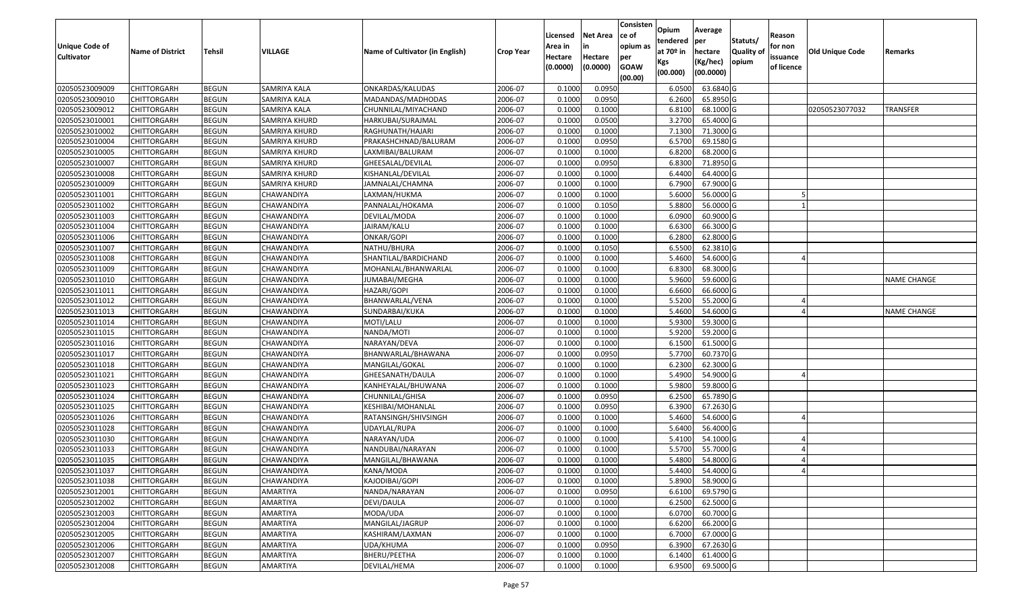| <b>Unique Code of</b><br><b>Cultivator</b> | <b>Name of District</b> | <b>Tehsil</b> | VILLAGE           | Name of Cultivator (in English) | <b>Crop Year</b> | Licensed<br>Area in<br>Hectare<br>(0.0000) | <b>Net Area</b><br>in<br>Hectare<br>(0.0000) | Consisten<br>ce of<br>opium as<br>per<br><b>GOAW</b><br>(00.00) | Opium<br>tendered<br>at $70°$ in<br>Kgs<br>(00.000) | Average<br>per<br>hectare<br>(Kg/hec)<br>(00.0000) | Statuts/<br>Quality of<br>opium | Reason<br>for non<br>issuance<br>of licence | <b>Old Unique Code</b> | Remarks            |
|--------------------------------------------|-------------------------|---------------|-------------------|---------------------------------|------------------|--------------------------------------------|----------------------------------------------|-----------------------------------------------------------------|-----------------------------------------------------|----------------------------------------------------|---------------------------------|---------------------------------------------|------------------------|--------------------|
| 02050523009009                             | <b>CHITTORGARH</b>      | <b>BEGUN</b>  | SAMRIYA KALA      | ONKARDAS/KALUDAS                | 2006-07          | 0.1000                                     | 0.0950                                       |                                                                 | 6.0500                                              | 63.6840 G                                          |                                 |                                             |                        |                    |
| 02050523009010                             | CHITTORGARH             | <b>BEGUN</b>  | SAMRIYA KALA      | MADANDAS/MADHODAS               | 2006-07          | 0.1000                                     | 0.0950                                       |                                                                 | 6.2600                                              | 65.8950 G                                          |                                 |                                             |                        |                    |
| 02050523009012                             | CHITTORGARH             | <b>BEGUN</b>  | SAMRIYA KALA      | CHUNNILAL/MIYACHAND             | 2006-07          | 0.1000                                     | 0.1000                                       |                                                                 | 6.8100                                              | 68.1000 G                                          |                                 |                                             | 02050523077032         | <b>TRANSFER</b>    |
| 02050523010001                             | <b>CHITTORGARH</b>      | <b>BEGUN</b>  | SAMRIYA KHURD     | HARKUBAI/SURAJMAL               | 2006-07          | 0.1000                                     | 0.0500                                       |                                                                 | 3.2700                                              | 65.4000 G                                          |                                 |                                             |                        |                    |
| 02050523010002                             | <b>CHITTORGARH</b>      | <b>BEGUN</b>  | SAMRIYA KHURD     | RAGHUNATH/HAJARI                | 2006-07          | 0.1000                                     | 0.1000                                       |                                                                 | 7.1300                                              | 71.3000 G                                          |                                 |                                             |                        |                    |
| 02050523010004                             | CHITTORGARH             | <b>BEGUN</b>  | SAMRIYA KHURD     | PRAKASHCHNAD/BALURAM            | 2006-07          | 0.1000                                     | 0.0950                                       |                                                                 | 6.5700                                              | 69.1580 G                                          |                                 |                                             |                        |                    |
| 02050523010005                             | CHITTORGARH             | <b>BEGUN</b>  | SAMRIYA KHURD     | LAXMIBAI/BALURAM                | 2006-07          | 0.1000                                     | 0.1000                                       |                                                                 | 6.8200                                              | 68.2000 G                                          |                                 |                                             |                        |                    |
| 02050523010007                             | CHITTORGARH             | <b>BEGUN</b>  | SAMRIYA KHURD     | GHEESALAL/DEVILAL               | 2006-07          | 0.1000                                     | 0.0950                                       |                                                                 | 6.8300                                              | 71.8950 G                                          |                                 |                                             |                        |                    |
| 02050523010008                             | CHITTORGARH             | <b>BEGUN</b>  | SAMRIYA KHURD     | KISHANLAL/DEVILAL               | 2006-07          | 0.1000                                     | 0.1000                                       |                                                                 | 6.4400                                              | 64.4000 G                                          |                                 |                                             |                        |                    |
| 02050523010009                             | CHITTORGARH             | <b>BEGUN</b>  | SAMRIYA KHURD     | JAMNALAL/CHAMNA                 | 2006-07          | 0.100                                      | 0.1000                                       |                                                                 | 6.7900                                              | 67.9000 G                                          |                                 |                                             |                        |                    |
| 02050523011001                             | CHITTORGARH             | <b>BEGUN</b>  | CHAWANDIYA        | LAXMAN/HUKMA                    | 2006-07          | 0.1000                                     | 0.1000                                       |                                                                 | 5.6000                                              | 56.0000G                                           |                                 |                                             |                        |                    |
| 02050523011002                             | CHITTORGARH             | <b>BEGUN</b>  | CHAWANDIYA        | PANNALAL/HOKAMA                 | 2006-07          | 0.1000                                     | 0.1050                                       |                                                                 | 5.8800                                              | 56.0000G                                           |                                 |                                             |                        |                    |
| 02050523011003                             | CHITTORGARH             | <b>BEGUN</b>  | CHAWANDIYA        | DEVILAL/MODA                    | 2006-07          | 0.1000                                     | 0.1000                                       |                                                                 | 6.0900                                              | 60.9000 G                                          |                                 |                                             |                        |                    |
| 02050523011004                             | CHITTORGARH             | <b>BEGUN</b>  | CHAWANDIYA        | JAIRAM/KALU                     | 2006-07          | 0.1000                                     | 0.1000                                       |                                                                 | 6.6300                                              | 66.3000 G                                          |                                 |                                             |                        |                    |
| 02050523011006                             | CHITTORGARH             | <b>BEGUN</b>  | CHAWANDIYA        | ONKAR/GOPI                      | 2006-07          | 0.100                                      | 0.1000                                       |                                                                 | 6.2800                                              | 62.8000 G                                          |                                 |                                             |                        |                    |
| 02050523011007                             | CHITTORGARH             | <b>BEGUN</b>  | CHAWANDIYA        | NATHU/BHURA                     | 2006-07          | 0.1000                                     | 0.1050                                       |                                                                 | 6.550                                               | 62.3810 G                                          |                                 |                                             |                        |                    |
| 02050523011008                             | CHITTORGARH             | <b>BEGUN</b>  | CHAWANDIYA        | SHANTILAL/BARDICHAND            | 2006-07          | 0.1000                                     | 0.1000                                       |                                                                 | 5.4600                                              | 54.6000 G                                          |                                 |                                             |                        |                    |
| 02050523011009                             | CHITTORGARH             | <b>BEGUN</b>  | CHAWANDIYA        | MOHANLAL/BHANWARLAL             | 2006-07          | 0.100                                      | 0.1000                                       |                                                                 | 6.8300                                              | 68.3000 G                                          |                                 |                                             |                        |                    |
| 02050523011010                             | <b>CHITTORGARH</b>      | <b>BEGUN</b>  | CHAWANDIYA        | JUMABAI/MEGHA                   | 2006-07          | 0.1000                                     | 0.1000                                       |                                                                 | 5.9600                                              | 59.6000G                                           |                                 |                                             |                        | <b>NAME CHANGE</b> |
| 02050523011011                             | CHITTORGARH             | <b>BEGUN</b>  | CHAWANDIYA        | HAZARI/GOPI                     | 2006-07          | 0.1000                                     | 0.1000                                       |                                                                 | 6.6600                                              | 66.6000 G                                          |                                 |                                             |                        |                    |
| 02050523011012                             | <b>CHITTORGARH</b>      | <b>BEGUN</b>  | CHAWANDIYA        | BHANWARLAL/VENA                 | 2006-07          | 0.1000                                     | 0.1000                                       |                                                                 | 5.5200                                              | 55.2000 G                                          |                                 |                                             |                        |                    |
| 02050523011013                             | CHITTORGARH             | <b>BEGUN</b>  | CHAWANDIYA        | SUNDARBAI/KUKA                  | 2006-07          | 0.1000                                     | 0.1000                                       |                                                                 | 5.4600                                              | 54.6000 G                                          |                                 |                                             |                        | <b>NAME CHANGE</b> |
| 02050523011014                             | CHITTORGARH             | <b>BEGUN</b>  | CHAWANDIYA        | MOTI/LALU                       | 2006-07          | 0.1000                                     | 0.1000                                       |                                                                 | 5.9300                                              | 59.3000G                                           |                                 |                                             |                        |                    |
| 02050523011015                             | CHITTORGARH             | <b>BEGUN</b>  | CHAWANDIYA        | NANDA/MOTI                      | 2006-07          | 0.1000                                     | 0.1000                                       |                                                                 | 5.9200                                              | 59.2000 G                                          |                                 |                                             |                        |                    |
| 02050523011016                             | CHITTORGARH             | <b>BEGUN</b>  | CHAWANDIYA        | NARAYAN/DEVA                    | 2006-07          | 0.1000                                     | 0.1000                                       |                                                                 | 6.1500                                              | 61.5000 G                                          |                                 |                                             |                        |                    |
| 02050523011017                             | <b>CHITTORGARH</b>      | <b>BEGUN</b>  | CHAWANDIYA        | BHANWARLAL/BHAWANA              | 2006-07          | 0.1000                                     | 0.0950                                       |                                                                 | 5.7700                                              | 60.7370 G                                          |                                 |                                             |                        |                    |
| 02050523011018                             | CHITTORGARH             | <b>BEGUN</b>  | CHAWANDIYA        | MANGILAL/GOKAL                  | 2006-07          | 0.1000                                     | 0.1000                                       |                                                                 | 6.2300                                              | 62.3000G                                           |                                 |                                             |                        |                    |
| 02050523011021                             | CHITTORGARH             | <b>BEGUN</b>  | CHAWANDIYA        | GHEESANATH/DAULA                | 2006-07          | 0.1000                                     | 0.1000                                       |                                                                 | 5.4900                                              | 54.9000 G                                          |                                 |                                             |                        |                    |
| 02050523011023                             | <b>CHITTORGARH</b>      | <b>BEGUN</b>  | CHAWANDIYA        | KANHEYALAL/BHUWANA              | 2006-07          | 0.1000                                     | 0.1000                                       |                                                                 | 5.9800                                              | 59.8000 G                                          |                                 |                                             |                        |                    |
| 02050523011024                             | <b>CHITTORGARH</b>      | <b>BEGUN</b>  | CHAWANDIYA        | CHUNNILAL/GHISA                 | 2006-07          | 0.1000                                     | 0.0950                                       |                                                                 | 6.2500                                              | 65.7890 G                                          |                                 |                                             |                        |                    |
| 02050523011025                             | <b>CHITTORGARH</b>      | <b>BEGUN</b>  | CHAWANDIYA        | KESHIBAI/MOHANLAL               | 2006-07          | 0.1000                                     | 0.0950                                       |                                                                 | 6.3900                                              | 67.2630 G                                          |                                 |                                             |                        |                    |
| 02050523011026                             | CHITTORGARH             | <b>BEGUN</b>  | CHAWANDIYA        | RATANSINGH/SHIVSINGH            | 2006-07          | 0.1000                                     | 0.1000                                       |                                                                 | 5.4600                                              | 54.6000 G                                          |                                 |                                             |                        |                    |
| 02050523011028                             | <b>CHITTORGARH</b>      | <b>BEGUN</b>  | CHAWANDIYA        | UDAYLAL/RUPA                    | 2006-07          | 0.100                                      | 0.1000                                       |                                                                 | 5.6400                                              | 56.4000 G                                          |                                 |                                             |                        |                    |
| 02050523011030                             | CHITTORGARH             | <b>BEGUN</b>  | CHAWANDIYA        | NARAYAN/UDA                     | 2006-07          | 0.1000                                     | 0.1000                                       |                                                                 | 5.4100                                              | 54.1000 G                                          |                                 |                                             |                        |                    |
| 02050523011033                             | CHITTORGARH             | <b>BEGUN</b>  | CHAWANDIYA        | NANDUBAI/NARAYAN                | 2006-07          | 0.1000                                     | 0.1000                                       |                                                                 | 5.5700                                              | 55.7000G                                           |                                 |                                             |                        |                    |
| 02050523011035                             | <b>CHITTORGARH</b>      | <b>BEGUN</b>  | CHAWANDIYA        | MANGILAL/BHAWANA                | 2006-07          | 0.1000                                     | 0.1000                                       |                                                                 | 5.4800                                              | 54.8000 G                                          |                                 |                                             |                        |                    |
| 02050523011037                             | <b>CHITTORGARH</b>      | <b>BEGUN</b>  | <b>CHAWANDIYA</b> | KANA/MODA                       | 2006-07          | 0.1000                                     | 0.1000                                       |                                                                 | 5.4400                                              | 54.4000 G                                          |                                 |                                             |                        |                    |
| 02050523011038                             | <b>CHITTORGARH</b>      | <b>BEGUN</b>  | CHAWANDIYA        | KAJODIBAI/GOPI                  | 2006-07          | 0.1000                                     | 0.1000                                       |                                                                 | 5.8900                                              | 58.9000 G                                          |                                 |                                             |                        |                    |
| 02050523012001                             | <b>CHITTORGARH</b>      | <b>BEGUN</b>  | AMARTIYA          | NANDA/NARAYAN                   | 2006-07          | 0.1000                                     | 0.0950                                       |                                                                 | 6.6100                                              | 69.5790 G                                          |                                 |                                             |                        |                    |
| 02050523012002                             | <b>CHITTORGARH</b>      | <b>BEGUN</b>  | AMARTIYA          | DEVI/DAULA                      | 2006-07          | 0.1000                                     | 0.1000                                       |                                                                 | 6.2500                                              | 62.5000 G                                          |                                 |                                             |                        |                    |
| 02050523012003                             | <b>CHITTORGARH</b>      | <b>BEGUN</b>  | AMARTIYA          | MODA/UDA                        | 2006-07          | 0.1000                                     | 0.1000                                       |                                                                 | 6.0700                                              | 60.7000 G                                          |                                 |                                             |                        |                    |
| 02050523012004                             | <b>CHITTORGARH</b>      | <b>BEGUN</b>  | <b>AMARTIYA</b>   | MANGILAL/JAGRUP                 | 2006-07          | 0.1000                                     | 0.1000                                       |                                                                 | 6.6200                                              | 66.2000 G                                          |                                 |                                             |                        |                    |
| 02050523012005                             | <b>CHITTORGARH</b>      | <b>BEGUN</b>  | AMARTIYA          | KASHIRAM/LAXMAN                 | 2006-07          | 0.1000                                     | 0.1000                                       |                                                                 | 6.7000                                              | 67.0000 G                                          |                                 |                                             |                        |                    |
| 02050523012006                             | <b>CHITTORGARH</b>      | <b>BEGUN</b>  | AMARTIYA          | UDA/KHUMA                       | 2006-07          | 0.1000                                     | 0.0950                                       |                                                                 | 6.3900                                              | 67.2630 G                                          |                                 |                                             |                        |                    |
| 02050523012007                             | <b>CHITTORGARH</b>      | <b>BEGUN</b>  | AMARTIYA          | BHERU/PEETHA                    | 2006-07          | 0.1000                                     | 0.1000                                       |                                                                 | 6.1400                                              | 61.4000 G                                          |                                 |                                             |                        |                    |
| 02050523012008                             | <b>CHITTORGARH</b>      | <b>BEGUN</b>  | AMARTIYA          | DEVILAL/HEMA                    | 2006-07          | 0.1000                                     | 0.1000                                       |                                                                 | 6.9500                                              | 69.5000 G                                          |                                 |                                             |                        |                    |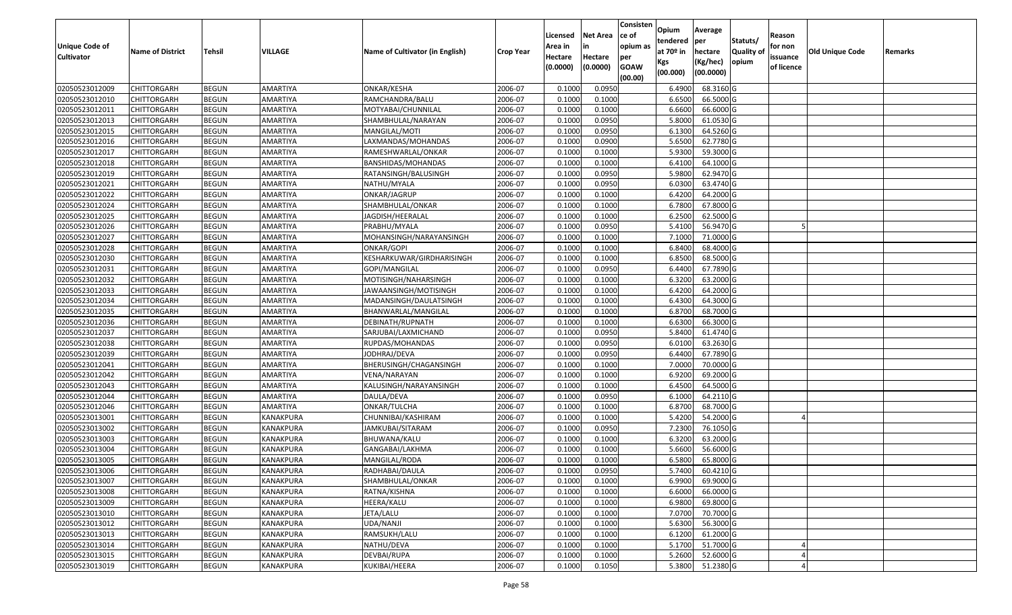| <b>Unique Code of</b> | <b>Name of District</b> | Tehsil       | VILLAGE          | Name of Cultivator (in English) | <b>Crop Year</b> | Licensed<br>Area in | <b>Net Area</b><br>in | Consisten<br>ce of<br>opium as | Opium<br>tendered<br>at $70°$ in | Average<br>per<br>hectare | Statuts/<br><b>Quality o</b> | Reason<br>for non      | Old Unique Code | Remarks |
|-----------------------|-------------------------|--------------|------------------|---------------------------------|------------------|---------------------|-----------------------|--------------------------------|----------------------------------|---------------------------|------------------------------|------------------------|-----------------|---------|
| <b>Cultivator</b>     |                         |              |                  |                                 |                  | Hectare<br>(0.0000) | Hectare<br>(0.0000)   | per<br><b>GOAW</b><br>(00.00)  | Kgs<br>(00.000)                  | (Kg/hec)<br>(00.0000)     | opium                        | issuance<br>of licence |                 |         |
| 02050523012009        | CHITTORGARH             | <b>BEGUN</b> | AMARTIYA         | ONKAR/KESHA                     | 2006-07          | 0.1000              | 0.0950                |                                | 6.4900                           | 68.3160 G                 |                              |                        |                 |         |
| 02050523012010        | CHITTORGARH             | <b>BEGUN</b> | AMARTIYA         | RAMCHANDRA/BALU                 | 2006-07          | 0.1000              | 0.1000                |                                | 6.6500                           | 66.5000 G                 |                              |                        |                 |         |
| 02050523012011        | CHITTORGARH             | <b>BEGUN</b> | AMARTIYA         | MOTYABAI/CHUNNILAL              | 2006-07          | 0.1000              | 0.1000                |                                | 6.6600                           | 66.6000 G                 |                              |                        |                 |         |
| 02050523012013        | <b>CHITTORGARH</b>      | <b>BEGUN</b> | <b>AMARTIYA</b>  | SHAMBHULAL/NARAYAN              | 2006-07          | 0.1000              | 0.0950                |                                | 5.8000                           | 61.0530G                  |                              |                        |                 |         |
| 02050523012015        | CHITTORGARH             | <b>BEGUN</b> | AMARTIYA         | MANGILAL/MOTI                   | 2006-07          | 0.1000              | 0.0950                |                                | 6.1300                           | 64.5260 G                 |                              |                        |                 |         |
| 02050523012016        | CHITTORGARH             | <b>BEGUN</b> | AMARTIYA         | LAXMANDAS/MOHANDAS              | 2006-07          | 0.1000              | 0.0900                |                                | 5.6500                           | $62.7780$ G               |                              |                        |                 |         |
| 02050523012017        | CHITTORGARH             | <b>BEGUN</b> | AMARTIYA         | RAMESHWARLAL/ONKAR              | 2006-07          | 0.1000              | 0.1000                |                                | 5.9300                           | 59.3000G                  |                              |                        |                 |         |
| 02050523012018        | <b>CHITTORGARH</b>      | <b>BEGUN</b> | AMARTIYA         | BANSHIDAS/MOHANDAS              | 2006-07          | 0.1000              | 0.1000                |                                | 6.4100                           | 64.1000 G                 |                              |                        |                 |         |
| 02050523012019        | CHITTORGARH             | <b>BEGUN</b> | AMARTIYA         | RATANSINGH/BALUSINGH            | 2006-07          | 0.1000              | 0.0950                |                                | 5.9800                           | 62.9470 G                 |                              |                        |                 |         |
| 02050523012021        | CHITTORGARH             | <b>BEGUN</b> | AMARTIYA         | NATHU/MYALA                     | 2006-07          | 0.1000              | 0.0950                |                                | 6.0300                           | 63.4740 G                 |                              |                        |                 |         |
| 02050523012022        | CHITTORGARH             | <b>BEGUN</b> | AMARTIYA         | ONKAR/JAGRUP                    | 2006-07          | 0.1000              | 0.1000                |                                | 6.4200                           | 64.2000 G                 |                              |                        |                 |         |
| 02050523012024        | <b>CHITTORGARH</b>      | <b>BEGUN</b> | AMARTIYA         | SHAMBHULAL/ONKAR                | 2006-07          | 0.100               | 0.1000                |                                | 6.7800                           | 67.8000 G                 |                              |                        |                 |         |
| 02050523012025        | <b>CHITTORGARH</b>      | <b>BEGUN</b> | AMARTIYA         | JAGDISH/HEERALAL                | 2006-07          | 0.1000              | 0.1000                |                                | 6.2500                           | 62.5000G                  |                              |                        |                 |         |
| 02050523012026        | <b>CHITTORGARH</b>      | <b>BEGUN</b> | AMARTIYA         | PRABHU/MYALA                    | 2006-07          | 0.100               | 0.0950                |                                | 5.4100                           | 56.9470 G                 |                              |                        |                 |         |
| 02050523012027        | CHITTORGARH             | <b>BEGUN</b> | AMARTIYA         | MOHANSINGH/NARAYANSINGH         | 2006-07          | 0.1000              | 0.1000                |                                | 7.1000                           | 71.0000 G                 |                              |                        |                 |         |
| 02050523012028        | CHITTORGARH             | <b>BEGUN</b> | AMARTIYA         | ONKAR/GOPI                      | 2006-07          | 0.1000              | 0.1000                |                                | 6.8400                           | 68.4000 G                 |                              |                        |                 |         |
| 02050523012030        | <b>CHITTORGARH</b>      | <b>BEGUN</b> | AMARTIYA         | KESHARKUWAR/GIRDHARISINGH       | 2006-07          | 0.100               | 0.1000                |                                | 6.8500                           | 68.5000 G                 |                              |                        |                 |         |
| 02050523012031        | CHITTORGARH             | <b>BEGUN</b> | AMARTIYA         | GOPI/MANGILAL                   | 2006-07          | 0.100               | 0.0950                |                                | 6.4400                           | 67.7890 G                 |                              |                        |                 |         |
| 02050523012032        | CHITTORGARH             | <b>BEGUN</b> | AMARTIYA         | MOTISINGH/NAHARSINGH            | 2006-07          | 0.1000              | 0.1000                |                                | 6.3200                           | 63.2000 G                 |                              |                        |                 |         |
| 02050523012033        | CHITTORGARH             | <b>BEGUN</b> | AMARTIYA         | JAWAANSINGH/MOTISINGH           | 2006-07          | 0.1000              | 0.1000                |                                | 6.4200                           | 64.2000 G                 |                              |                        |                 |         |
| 02050523012034        | CHITTORGARH             | <b>BEGUN</b> | AMARTIYA         | MADANSINGH/DAULATSINGH          | 2006-07          | 0.100               | 0.1000                |                                | 6.4300                           | 64.3000G                  |                              |                        |                 |         |
| 02050523012035        | CHITTORGARH             | <b>BEGUN</b> | AMARTIYA         | BHANWARLAL/MANGILAL             | 2006-07          | 0.100               | 0.1000                |                                | 6.8700                           | 68.7000 G                 |                              |                        |                 |         |
| 02050523012036        | CHITTORGARH             | <b>BEGUN</b> | AMARTIYA         | DEBINATH/RUPNATH                | 2006-07          | 0.1000              | 0.1000                |                                | 6.6300                           | 66.3000 G                 |                              |                        |                 |         |
| 02050523012037        | CHITTORGARH             | <b>BEGUN</b> | AMARTIYA         | SARJUBAI/LAXMICHAND             | 2006-07          | 0.100               | 0.0950                |                                | 5.8400                           | 61.4740 G                 |                              |                        |                 |         |
| 02050523012038        | CHITTORGARH             | <b>BEGUN</b> | <b>AMARTIYA</b>  | RUPDAS/MOHANDAS                 | 2006-07          | 0.1000              | 0.0950                |                                | 6.0100                           | 63.2630 G                 |                              |                        |                 |         |
| 02050523012039        | CHITTORGARH             | <b>BEGUN</b> | AMARTIYA         | JODHRAJ/DEVA                    | 2006-07          | 0.1000              | 0.0950                |                                | 6.4400                           | 67.7890 G                 |                              |                        |                 |         |
| 02050523012041        | CHITTORGARH             | <b>BEGUN</b> | AMARTIYA         | BHERUSINGH/CHAGANSINGH          | 2006-07          | 0.1000              | 0.1000                |                                | 7.0000                           | 70.0000G                  |                              |                        |                 |         |
| 02050523012042        | CHITTORGARH             | <b>BEGUN</b> | AMARTIYA         | VENA/NARAYAN                    | 2006-07          | 0.1000              | 0.1000                |                                | 6.9200                           | 69.2000 G                 |                              |                        |                 |         |
| 02050523012043        | CHITTORGARH             | <b>BEGUN</b> | AMARTIYA         | KALUSINGH/NARAYANSINGH          | 2006-07          | 0.1000              | 0.1000                |                                | 6.4500                           | 64.5000 G                 |                              |                        |                 |         |
| 02050523012044        | CHITTORGARH             | <b>BEGUN</b> | AMARTIYA         | DAULA/DEVA                      | 2006-07          | 0.1000              | 0.0950                |                                | 6.1000                           | 64.2110 G                 |                              |                        |                 |         |
| 02050523012046        | CHITTORGARH             | <b>BEGUN</b> | AMARTIYA         | ONKAR/TULCHA                    | 2006-07          | 0.100               | 0.1000                |                                | 6.8700                           | 68.7000 G                 |                              |                        |                 |         |
| 02050523013001        | CHITTORGARH             | <b>BEGUN</b> | KANAKPURA        | CHUNNIBAI/KASHIRAM              | 2006-07          | 0.100               | 0.1000                |                                | 5.4200                           | 54.2000 G                 |                              |                        |                 |         |
| 02050523013002        | CHITTORGARH             | <b>BEGUN</b> | <b>KANAKPURA</b> | JAMKUBAI/SITARAM                | 2006-07          | 0.100               | 0.0950                |                                | 7.2300                           | 76.1050 G                 |                              |                        |                 |         |
| 02050523013003        | CHITTORGARH             | <b>BEGUN</b> | KANAKPURA        | BHUWANA/KALU                    | 2006-07          | 0.1000              | 0.1000                |                                | 6.3200                           | 63.2000 G                 |                              |                        |                 |         |
| 02050523013004        | CHITTORGARH             | <b>BEGUN</b> | KANAKPURA        | GANGABAI/LAKHMA                 | 2006-07          | 0.1000              | 0.1000                |                                | 5.6600                           | 56.6000G                  |                              |                        |                 |         |
| 02050523013005        | CHITTORGARH             | <b>BEGUN</b> | KANAKPURA        | MANGILAL/RODA                   | 2006-07          | 0.1000              | 0.1000                |                                | 6.5800                           | 65.8000 G                 |                              |                        |                 |         |
| 02050523013006        | <b>CHITTORGARH</b>      | <b>BEGUN</b> | <b>KANAKPURA</b> | RADHABAI/DAULA                  | 2006-07          | 0.1000              | 0.0950                |                                | 5.7400                           | 60.4210 G                 |                              |                        |                 |         |
| 02050523013007        | <b>CHITTORGARH</b>      | <b>BEGUN</b> | KANAKPURA        | SHAMBHULAL/ONKAR                | 2006-07          | 0.1000              | 0.1000                |                                | 6.9900                           | 69.9000 G                 |                              |                        |                 |         |
| 02050523013008        | <b>CHITTORGARH</b>      | <b>BEGUN</b> | KANAKPURA        | RATNA/KISHNA                    | 2006-07          | 0.1000              | 0.1000                |                                | 6.6000                           | 66.0000 G                 |                              |                        |                 |         |
| 02050523013009        | <b>CHITTORGARH</b>      | <b>BEGUN</b> | KANAKPURA        | HEERA/KALU                      | 2006-07          | 0.1000              | 0.1000                |                                | 6.9800                           | 69.8000 G                 |                              |                        |                 |         |
| 02050523013010        | <b>CHITTORGARH</b>      | <b>BEGUN</b> | KANAKPURA        | JETA/LALU                       | 2006-07          | 0.1000              | 0.1000                |                                | 7.0700                           | 70.7000 G                 |                              |                        |                 |         |
| 02050523013012        | <b>CHITTORGARH</b>      | <b>BEGUN</b> | <b>KANAKPURA</b> | UDA/NANJI                       | 2006-07          | 0.1000              | 0.1000                |                                | 5.6300                           | 56.3000 G                 |                              |                        |                 |         |
| 02050523013013        | <b>CHITTORGARH</b>      | <b>BEGUN</b> | KANAKPURA        | RAMSUKH/LALU                    | 2006-07          | 0.1000              | 0.1000                |                                | 6.1200                           | 61.2000 G                 |                              |                        |                 |         |
| 02050523013014        | <b>CHITTORGARH</b>      | <b>BEGUN</b> | KANAKPURA        | NATHU/DEVA                      | 2006-07          | 0.1000              | 0.1000                |                                | 5.1700                           | 51.7000 G                 |                              |                        |                 |         |
| 02050523013015        | <b>CHITTORGARH</b>      | <b>BEGUN</b> | KANAKPURA        | DEVBAI/RUPA                     | 2006-07          | 0.1000              | 0.1000                |                                | 5.2600                           | 52.6000 G                 |                              |                        |                 |         |
| 02050523013019        | <b>CHITTORGARH</b>      | <b>BEGUN</b> | KANAKPURA        | KUKIBAI/HEERA                   | 2006-07          | 0.1000              | 0.1050                |                                | 5.3800                           | 51.2380 G                 |                              |                        |                 |         |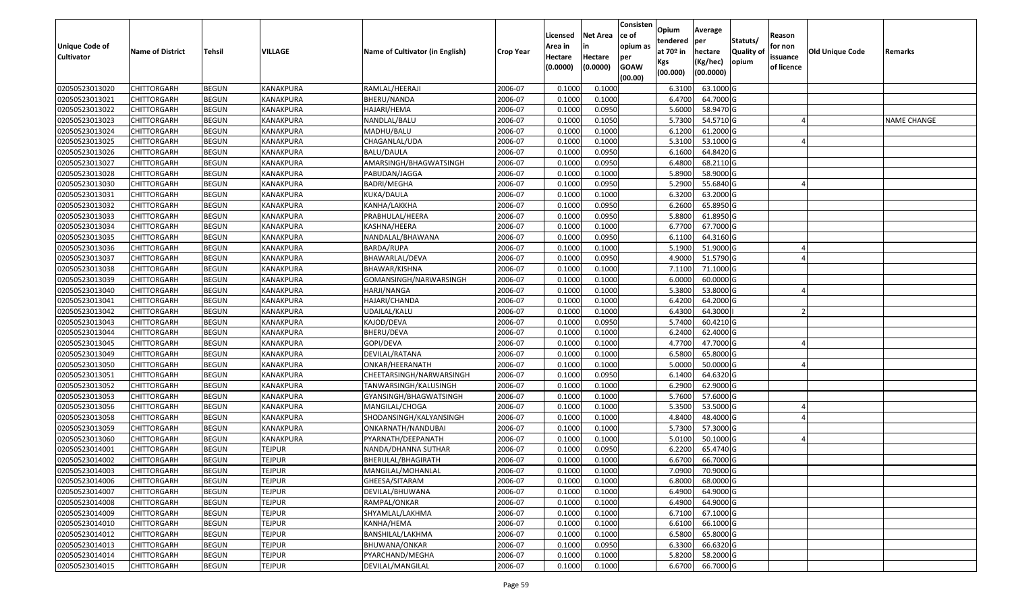| <b>Unique Code of</b><br><b>Cultivator</b> | <b>Name of District</b> | Tehsil       | VILLAGE       | Name of Cultivator (in English) | <b>Crop Year</b> | Licensed<br>Area in<br>Hectare<br>(0.0000) | Net Area<br>in<br>Hectare<br>(0.0000) | Consisten<br>ce of<br>opium as<br>per<br><b>GOAW</b><br>(00.00) | Opium<br>tendered<br>at 70º in<br>Kgs<br>(00.000) | Average<br>per<br>hectare<br>(Kg/hec)<br>(00.0000) | Statuts/<br><b>Quality of</b><br>opium | Reason<br>for non<br>issuance<br>of licence | Old Unique Code | Remarks            |
|--------------------------------------------|-------------------------|--------------|---------------|---------------------------------|------------------|--------------------------------------------|---------------------------------------|-----------------------------------------------------------------|---------------------------------------------------|----------------------------------------------------|----------------------------------------|---------------------------------------------|-----------------|--------------------|
| 02050523013020                             | <b>CHITTORGARH</b>      | <b>BEGUN</b> | KANAKPURA     | RAMLAL/HEERAJI                  | 2006-07          | 0.1000                                     | 0.1000                                |                                                                 | 6.3100                                            | 63.1000 G                                          |                                        |                                             |                 |                    |
| 02050523013021                             | CHITTORGARH             | <b>BEGUN</b> | KANAKPURA     | BHERU/NANDA                     | 2006-07          | 0.1000                                     | 0.1000                                |                                                                 | 6.4700                                            | 64.7000 G                                          |                                        |                                             |                 |                    |
| 02050523013022                             | CHITTORGARH             | <b>BEGUN</b> | KANAKPURA     | HAJARI/HEMA                     | 2006-07          | 0.1000                                     | 0.0950                                |                                                                 | 5.6000                                            | 58.9470 G                                          |                                        |                                             |                 |                    |
| 02050523013023                             | <b>CHITTORGARH</b>      | <b>BEGUN</b> | KANAKPURA     | NANDLAL/BALU                    | 2006-07          | 0.1000                                     | 0.1050                                |                                                                 | 5.7300                                            | 54.5710 G                                          |                                        |                                             |                 | <b>NAME CHANGE</b> |
| 02050523013024                             | CHITTORGARH             | <b>BEGUN</b> | KANAKPURA     | MADHU/BALU                      | 2006-07          | 0.1000                                     | 0.1000                                |                                                                 | 6.1200                                            | 61.2000 G                                          |                                        |                                             |                 |                    |
| 02050523013025                             | CHITTORGARH             | <b>BEGUN</b> | KANAKPURA     | CHAGANLAL/UDA                   | 2006-07          | 0.1000                                     | 0.1000                                |                                                                 | 5.3100                                            | 53.1000 G                                          |                                        |                                             |                 |                    |
| 02050523013026                             | CHITTORGARH             | <b>BEGUN</b> | KANAKPURA     | BALU/DAULA                      | 2006-07          | 0.1000                                     | 0.0950                                |                                                                 | 6.1600                                            | 64.8420 G                                          |                                        |                                             |                 |                    |
| 02050523013027                             | <b>CHITTORGARH</b>      | <b>BEGUN</b> | KANAKPURA     | AMARSINGH/BHAGWATSINGH          | 2006-07          | 0.1000                                     | 0.0950                                |                                                                 | 6.4800                                            | 68.2110 G                                          |                                        |                                             |                 |                    |
| 02050523013028                             | CHITTORGARH             | <b>BEGUN</b> | KANAKPURA     | PABUDAN/JAGGA                   | 2006-07          | 0.1000                                     | 0.1000                                |                                                                 | 5.8900                                            | 58.9000 G                                          |                                        |                                             |                 |                    |
| 02050523013030                             | CHITTORGARH             | <b>BEGUN</b> | KANAKPURA     | <b>BADRI/MEGHA</b>              | 2006-07          | 0.1000                                     | 0.0950                                |                                                                 | 5.2900                                            | 55.6840 G                                          |                                        |                                             |                 |                    |
| 02050523013031                             | CHITTORGARH             | <b>BEGUN</b> | KANAKPURA     | KUKA/DAULA                      | 2006-07          | 0.1000                                     | 0.1000                                |                                                                 | 6.3200                                            | 63.2000 G                                          |                                        |                                             |                 |                    |
| 02050523013032                             | <b>CHITTORGARH</b>      | <b>BEGUN</b> | KANAKPURA     | KANHA/LAKKHA                    | 2006-07          | 0.1000                                     | 0.0950                                |                                                                 | 6.2600                                            | 65.8950 G                                          |                                        |                                             |                 |                    |
| 02050523013033                             | <b>CHITTORGARH</b>      | <b>BEGUN</b> | KANAKPURA     | PRABHULAL/HEERA                 | 2006-07          | 0.1000                                     | 0.0950                                |                                                                 | 5.8800                                            | 61.8950 G                                          |                                        |                                             |                 |                    |
| 02050523013034                             | <b>CHITTORGARH</b>      | <b>BEGUN</b> | KANAKPURA     | KASHNA/HEERA                    | 2006-07          | 0.1000                                     | 0.1000                                |                                                                 | 6.7700                                            | 67.7000 G                                          |                                        |                                             |                 |                    |
| 02050523013035                             | CHITTORGARH             | <b>BEGUN</b> | KANAKPURA     | NANDALAL/BHAWANA                | 2006-07          | 0.1000                                     | 0.0950                                |                                                                 | 6.1100                                            | 64.3160 G                                          |                                        |                                             |                 |                    |
| 02050523013036                             | <b>CHITTORGARH</b>      | <b>BEGUN</b> | KANAKPURA     | BARDA/RUPA                      | 2006-07          | 0.1000                                     | 0.1000                                |                                                                 | 5.1900                                            | 51.9000 G                                          |                                        |                                             |                 |                    |
| 02050523013037                             | <b>CHITTORGARH</b>      | <b>BEGUN</b> | KANAKPURA     | BHAWARLAL/DEVA                  | 2006-07          | 0.1000                                     | 0.0950                                |                                                                 | 4.9000                                            | 51.5790 G                                          |                                        |                                             |                 |                    |
| 02050523013038                             | CHITTORGARH             | <b>BEGUN</b> | KANAKPURA     | BHAWAR/KISHNA                   | 2006-07          | 0.1000                                     | 0.1000                                |                                                                 | 7.1100                                            | 71.1000 G                                          |                                        |                                             |                 |                    |
| 02050523013039                             | CHITTORGARH             | <b>BEGUN</b> | KANAKPURA     | GOMANSINGH/NARWARSINGH          | 2006-07          | 0.1000                                     | 0.1000                                |                                                                 | 6.0000                                            | 60.0000 G                                          |                                        |                                             |                 |                    |
| 02050523013040                             | CHITTORGARH             | <b>BEGUN</b> | KANAKPURA     | HARJI/NANGA                     | 2006-07          | 0.1000                                     | 0.1000                                |                                                                 | 5.3800                                            | 53.8000 G                                          |                                        |                                             |                 |                    |
| 02050523013041                             | CHITTORGARH             | <b>BEGUN</b> | KANAKPURA     | HAJARI/CHANDA                   | 2006-07          | 0.1000                                     | 0.1000                                |                                                                 | 6.4200                                            | 64.2000 G                                          |                                        |                                             |                 |                    |
| 02050523013042                             | CHITTORGARH             | <b>BEGUN</b> | KANAKPURA     | UDAILAL/KALU                    | 2006-07          | 0.1000                                     | 0.1000                                |                                                                 | 6.4300                                            | 64.3000                                            |                                        |                                             |                 |                    |
| 02050523013043                             | CHITTORGARH             | <b>BEGUN</b> | KANAKPURA     | KAJOD/DEVA                      | 2006-07          | 0.1000                                     | 0.0950                                |                                                                 | 5.7400                                            | 60.4210 G                                          |                                        |                                             |                 |                    |
| 02050523013044                             | CHITTORGARH             | <b>BEGUN</b> | KANAKPURA     | BHERU/DEVA                      | 2006-07          | 0.1000                                     | 0.1000                                |                                                                 | 6.2400                                            | 62.4000 G                                          |                                        |                                             |                 |                    |
| 02050523013045                             | CHITTORGARH             | <b>BEGUN</b> | KANAKPURA     | GOPI/DEVA                       | 2006-07          | 0.1000                                     | 0.1000                                |                                                                 | 4.7700                                            | 47.7000 G                                          |                                        |                                             |                 |                    |
| 02050523013049                             | CHITTORGARH             | <b>BEGUN</b> | KANAKPURA     | DEVILAL/RATANA                  | 2006-07          | 0.1000                                     | 0.1000                                |                                                                 | 6.5800                                            | 65.8000 G                                          |                                        |                                             |                 |                    |
| 02050523013050                             | CHITTORGARH             | <b>BEGUN</b> | KANAKPURA     | ONKAR/HEERANATH                 | 2006-07          | 0.1000                                     | 0.1000                                |                                                                 | 5.0000                                            | 50.0000 G                                          |                                        |                                             |                 |                    |
| 02050523013051                             | CHITTORGARH             | <b>BEGUN</b> | KANAKPURA     | CHEETARSINGH/NARWARSINGH        | 2006-07          | 0.1000                                     | 0.0950                                |                                                                 | 6.1400                                            | 64.6320 G                                          |                                        |                                             |                 |                    |
| 02050523013052                             | CHITTORGARH             | <b>BEGUN</b> | KANAKPURA     | TANWARSINGH/KALUSINGH           | 2006-07          | 0.1000                                     | 0.1000                                |                                                                 | 6.2900                                            | 62.9000 G                                          |                                        |                                             |                 |                    |
| 02050523013053                             | CHITTORGARH             | <b>BEGUN</b> | KANAKPURA     | GYANSINGH/BHAGWATSINGH          | 2006-07          | 0.1000                                     | 0.1000                                |                                                                 | 5.7600                                            | 57.6000 G                                          |                                        |                                             |                 |                    |
| 02050523013056                             | CHITTORGARH             | <b>BEGUN</b> | KANAKPURA     | MANGILAL/CHOGA                  | 2006-07          | 0.1000                                     | 0.1000                                |                                                                 | 5.3500                                            | 53.5000 G                                          |                                        |                                             |                 |                    |
| 02050523013058                             | CHITTORGARH             | <b>BEGUN</b> | KANAKPURA     | SHODANSINGH/KALYANSINGH         | 2006-07          | 0.1000                                     | 0.1000                                |                                                                 | 4.8400                                            | 48.4000 G                                          |                                        |                                             |                 |                    |
| 02050523013059                             | CHITTORGARH             | <b>BEGUN</b> | KANAKPURA     | ONKARNATH/NANDUBAI              | 2006-07          | 0.1000                                     | 0.1000                                |                                                                 | 5.7300                                            | 57.3000 G                                          |                                        |                                             |                 |                    |
| 02050523013060                             | <b>CHITTORGARH</b>      | <b>BEGUN</b> | KANAKPURA     | PYARNATH/DEEPANATH              | 2006-07          | 0.1000                                     | 0.1000                                |                                                                 | 5.0100                                            | 50.1000 G                                          |                                        |                                             |                 |                    |
| 02050523014001                             | CHITTORGARH             | <b>BEGUN</b> | TEJPUR        | NANDA/DHANNA SUTHAR             | 2006-07          | 0.1000                                     | 0.0950                                |                                                                 | 6.2200                                            | 65.4740 G                                          |                                        |                                             |                 |                    |
| 02050523014002                             | CHITTORGARH             | <b>BEGUN</b> | <b>TEJPUR</b> | BHERULAL/BHAGIRATH              | 2006-07          | 0.1000                                     | 0.1000                                |                                                                 | 6.6700                                            | 66.7000 G                                          |                                        |                                             |                 |                    |
| 02050523014003                             | <b>CHITTORGARH</b>      | <b>BEGUN</b> | <b>TEJPUR</b> | MANGILAL/MOHANLAL               | 2006-07          | 0.1000                                     | 0.1000                                |                                                                 |                                                   | 7.0900 70.9000 G                                   |                                        |                                             |                 |                    |
| 02050523014006                             | <b>CHITTORGARH</b>      | <b>BEGUN</b> | <b>TEJPUR</b> | GHEESA/SITARAM                  | 2006-07          | 0.1000                                     | 0.1000                                |                                                                 | 6.8000                                            | 68.0000 G                                          |                                        |                                             |                 |                    |
| 02050523014007                             | <b>CHITTORGARH</b>      | <b>BEGUN</b> | <b>TEJPUR</b> | DEVILAL/BHUWANA                 | 2006-07          | 0.1000                                     | 0.1000                                |                                                                 | 6.4900                                            | 64.9000 G                                          |                                        |                                             |                 |                    |
| 02050523014008                             | <b>CHITTORGARH</b>      | <b>BEGUN</b> | <b>TEJPUR</b> | RAMPAL/ONKAR                    | 2006-07          | 0.1000                                     | 0.1000                                |                                                                 | 6.4900                                            | 64.9000 G                                          |                                        |                                             |                 |                    |
| 02050523014009                             | <b>CHITTORGARH</b>      | <b>BEGUN</b> | <b>TEJPUR</b> | SHYAMLAL/LAKHMA                 | 2006-07          | 0.1000                                     | 0.1000                                |                                                                 | 6.7100                                            | 67.1000 G                                          |                                        |                                             |                 |                    |
| 02050523014010                             | <b>CHITTORGARH</b>      | <b>BEGUN</b> | <b>TEJPUR</b> | KANHA/HEMA                      | 2006-07          | 0.1000                                     | 0.1000                                |                                                                 | 6.6100                                            | 66.1000 G                                          |                                        |                                             |                 |                    |
| 02050523014012                             | <b>CHITTORGARH</b>      | <b>BEGUN</b> | <b>TEJPUR</b> | BANSHILAL/LAKHMA                | 2006-07          | 0.1000                                     | 0.1000                                |                                                                 | 6.5800                                            | 65.8000 G                                          |                                        |                                             |                 |                    |
| 02050523014013                             | <b>CHITTORGARH</b>      | <b>BEGUN</b> | <b>TEJPUR</b> | BHUWANA/ONKAR                   | 2006-07          | 0.1000                                     | 0.0950                                |                                                                 | 6.3300                                            | 66.6320 G                                          |                                        |                                             |                 |                    |
| 02050523014014                             | <b>CHITTORGARH</b>      | <b>BEGUN</b> | <b>TEJPUR</b> | PYARCHAND/MEGHA                 | 2006-07          | 0.1000                                     | 0.1000                                |                                                                 | 5.8200                                            | 58.2000 G                                          |                                        |                                             |                 |                    |
| 02050523014015                             | <b>CHITTORGARH</b>      | <b>BEGUN</b> | <b>TEJPUR</b> | DEVILAL/MANGILAL                | 2006-07          | 0.1000                                     | 0.1000                                |                                                                 | 6.6700                                            | 66.7000 G                                          |                                        |                                             |                 |                    |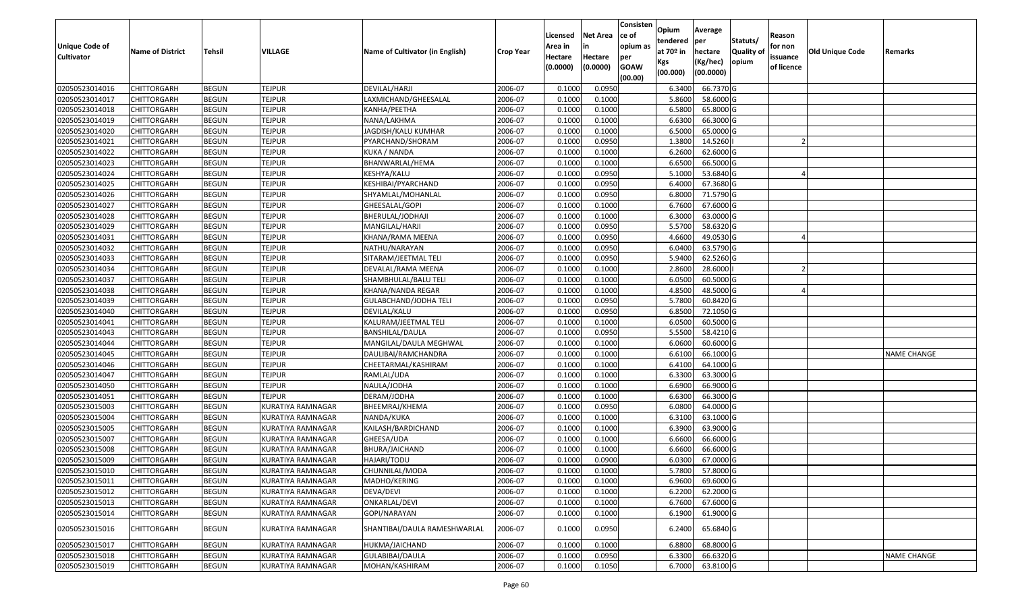| Unique Code of<br><b>Cultivator</b> | <b>Name of District</b> | Tehsil       | VILLAGE                  | Name of Cultivator (in English) | <b>Crop Year</b> | Licensed<br>Area in<br>Hectare | <b>Net Area</b><br>in<br>Hectare | Consisten<br>ce of<br>opium as<br>per | Opium<br>tendered<br>at $70°$ in | Average<br>per<br>hectare | Statuts/<br><b>Quality o</b> | Reason<br>for non<br>issuance | Old Unique Code | Remarks            |
|-------------------------------------|-------------------------|--------------|--------------------------|---------------------------------|------------------|--------------------------------|----------------------------------|---------------------------------------|----------------------------------|---------------------------|------------------------------|-------------------------------|-----------------|--------------------|
|                                     |                         |              |                          |                                 |                  | (0.0000)                       | (0.0000)                         | <b>GOAW</b><br>(00.00)                | Kgs<br>(00.000)                  | (Kg/hec)<br>(00.0000)     | opium                        | of licence                    |                 |                    |
| 02050523014016                      | CHITTORGARH             | <b>BEGUN</b> | <b>TEJPUR</b>            | DEVILAL/HARJI                   | 2006-07          | 0.1000                         | 0.0950                           |                                       | 6.3400                           | 66.7370 G                 |                              |                               |                 |                    |
| 02050523014017                      | CHITTORGARH             | <b>BEGUN</b> | <b>TEJPUR</b>            | LAXMICHAND/GHEESALAL            | 2006-07          | 0.1000                         | 0.1000                           |                                       | 5.8600                           | 58.6000 G                 |                              |                               |                 |                    |
| 02050523014018                      | CHITTORGARH             | <b>BEGUN</b> | <b>TEJPUR</b>            | KANHA/PEETHA                    | 2006-07          | 0.1000                         | 0.1000                           |                                       | 6.5800                           | 65.8000 G                 |                              |                               |                 |                    |
| 02050523014019                      | <b>CHITTORGARH</b>      | <b>BEGUN</b> | <b>TEJPUR</b>            | NANA/LAKHMA                     | 2006-07          | 0.1000                         | 0.1000                           |                                       | 6.6300                           | 66.3000 G                 |                              |                               |                 |                    |
| 02050523014020                      | CHITTORGARH             | <b>BEGUN</b> | <b>TEJPUR</b>            | JAGDISH/KALU KUMHAR             | 2006-07          | 0.1000                         | 0.1000                           |                                       | 6.500                            | 65.0000G                  |                              |                               |                 |                    |
| 02050523014021                      | CHITTORGARH             | <b>BEGUN</b> | <b>TEJPUR</b>            | PYARCHAND/SHORAM                | 2006-07          | 0.1000                         | 0.0950                           |                                       | 1.3800                           | 14.5260                   |                              |                               |                 |                    |
| 02050523014022                      | CHITTORGARH             | <b>BEGUN</b> | <b>TEJPUR</b>            | KUKA / NANDA                    | 2006-07          | 0.1000                         | 0.1000                           |                                       | 6.2600                           | 62.6000 G                 |                              |                               |                 |                    |
| 02050523014023                      | <b>CHITTORGARH</b>      | <b>BEGUN</b> | <b>TEJPUR</b>            | BHANWARLAL/HEMA                 | 2006-07          | 0.1000                         | 0.1000                           |                                       | 6.6500                           | 66.5000 G                 |                              |                               |                 |                    |
| 02050523014024                      | CHITTORGARH             | <b>BEGUN</b> | <b>TEJPUR</b>            | KESHYA/KALU                     | 2006-07          | 0.1000                         | 0.0950                           |                                       | 5.1000                           | 53.6840 G                 |                              |                               |                 |                    |
| 02050523014025                      | CHITTORGARH             | <b>BEGUN</b> | <b>TEJPUR</b>            | KESHIBAI/PYARCHAND              | 2006-07          | 0.1000                         | 0.0950                           |                                       | 6.4000                           | 67.3680 G                 |                              |                               |                 |                    |
| 02050523014026                      | CHITTORGARH             | <b>BEGUN</b> | <b>TEJPUR</b>            | SHYAMLAL/MOHANLAL               | 2006-07          | 0.1000                         | 0.0950                           |                                       | 6.8000                           | 71.5790 G                 |                              |                               |                 |                    |
| 02050523014027                      | CHITTORGARH             | <b>BEGUN</b> | <b>TEJPUR</b>            | GHEESALAL/GOPI                  | 2006-07          | 0.1000                         | 0.1000                           |                                       | 6.7600                           | 67.6000 G                 |                              |                               |                 |                    |
| 02050523014028                      | <b>CHITTORGARH</b>      | <b>BEGUN</b> | <b>TEJPUR</b>            | BHERULAL/JODHAJI                | 2006-07          | 0.1000                         | 0.1000                           |                                       | 6.3000                           | 63.0000G                  |                              |                               |                 |                    |
| 02050523014029                      | CHITTORGARH             | <b>BEGUN</b> | <b>TEJPUR</b>            | MANGILAL/HARJI                  | 2006-07          | 0.100                          | 0.0950                           |                                       | 5.5700                           | 58.6320 G                 |                              |                               |                 |                    |
| 02050523014031                      | CHITTORGARH             | <b>BEGUN</b> | <b>TEJPUR</b>            | KHANA/RAMA MEENA                | 2006-07          | 0.1000                         | 0.0950                           |                                       | 4.6600                           | 49.0530 G                 |                              |                               |                 |                    |
| 02050523014032                      | CHITTORGARH             | <b>BEGUN</b> | <b>TEJPUR</b>            | NATHU/NARAYAN                   | 2006-07          | 0.1000                         | 0.0950                           |                                       | 6.0400                           | 63.5790 G                 |                              |                               |                 |                    |
| 02050523014033                      | CHITTORGARH             | <b>BEGUN</b> | <b>TEJPUR</b>            | SITARAM/JEETMAL TELI            | 2006-07          | 0.1000                         | 0.0950                           |                                       | 5.9400                           | 62.5260 G                 |                              |                               |                 |                    |
| 02050523014034                      | CHITTORGARH             | <b>BEGUN</b> | <b>TEJPUR</b>            | DEVALAL/RAMA MEENA              | 2006-07          | 0.1000                         | 0.1000                           |                                       | 2.8600                           | 28.6000                   |                              |                               |                 |                    |
| 02050523014037                      | CHITTORGARH             | <b>BEGUN</b> | <b>TEJPUR</b>            | SHAMBHULAL/BALU TELI            | 2006-07          | 0.1000                         | 0.1000                           |                                       | 6.0500                           | 60.5000 G                 |                              |                               |                 |                    |
| 02050523014038                      | CHITTORGARH             | <b>BEGUN</b> | <b>TEJPUR</b>            | KHANA/NANDA REGAR               | 2006-07          | 0.1000                         | 0.1000                           |                                       | 4.8500                           | 48.5000G                  |                              |                               |                 |                    |
| 02050523014039                      | CHITTORGARH             | <b>BEGUN</b> | <b>TEJPUR</b>            | <b>GULABCHAND/JODHA TELI</b>    | 2006-07          | 0.1000                         | 0.0950                           |                                       | 5.7800                           | 60.8420 G                 |                              |                               |                 |                    |
| 02050523014040                      | CHITTORGARH             | <b>BEGUN</b> | <b>TEJPUR</b>            | DEVILAL/KALU                    | 2006-07          | 0.1000                         | 0.0950                           |                                       | 6.850                            | 72.1050 G                 |                              |                               |                 |                    |
| 02050523014041                      | CHITTORGARH             | <b>BEGUN</b> | <b>TEJPUR</b>            | KALURAM/JEETMAL TELI            | 2006-07          | 0.1000                         | 0.1000                           |                                       | 6.0500                           | 60.5000 G                 |                              |                               |                 |                    |
| 02050523014043                      | CHITTORGARH             | <b>BEGUN</b> | <b>TEJPUR</b>            | BANSHILAL/DAULA                 | 2006-07          | 0.1000                         | 0.0950                           |                                       | 5.5500                           | 58.4210 G                 |                              |                               |                 |                    |
| 02050523014044                      | <b>CHITTORGARH</b>      | <b>BEGUN</b> | <b>TEJPUR</b>            | MANGILAL/DAULA MEGHWAL          | 2006-07          | 0.1000                         | 0.1000                           |                                       | 6.0600                           | 60.6000 G                 |                              |                               |                 |                    |
| 02050523014045                      | CHITTORGARH             | <b>BEGUN</b> | <b>TEJPUR</b>            | DAULIBAI/RAMCHANDRA             | 2006-07          | 0.1000                         | 0.1000                           |                                       | 6.6100                           | 66.1000G                  |                              |                               |                 | <b>NAME CHANGE</b> |
| 02050523014046                      | CHITTORGARH             | <b>BEGUN</b> | <b>TEJPUR</b>            | CHEETARMAL/KASHIRAM             | 2006-07          | 0.1000                         | 0.1000                           |                                       | 6.4100                           | 64.1000 G                 |                              |                               |                 |                    |
| 02050523014047                      | CHITTORGARH             | <b>BEGUN</b> | <b>TEJPUR</b>            | RAMLAL/UDA                      | 2006-07          | 0.1000                         | 0.1000                           |                                       | 6.3300                           | 63.3000 G                 |                              |                               |                 |                    |
| 02050523014050                      | CHITTORGARH             | <b>BEGUN</b> | <b>TEJPUR</b>            | NAULA/JODHA                     | 2006-07          | 0.1000                         | 0.1000                           |                                       | 6.6900                           | 66.9000 G                 |                              |                               |                 |                    |
| 02050523014051                      | CHITTORGARH             | <b>BEGUN</b> | <b>TEJPUR</b>            | DERAM/JODHA                     | 2006-07          | 0.1000                         | 0.1000                           |                                       | 6.6300                           | 66.3000 G                 |                              |                               |                 |                    |
| 02050523015003                      | CHITTORGARH             | <b>BEGUN</b> | <b>KURATIYA RAMNAGAR</b> | BHEEMRAJ/KHEMA                  | 2006-07          | 0.1000                         | 0.0950                           |                                       | 6.0800                           | 64.0000G                  |                              |                               |                 |                    |
| 02050523015004                      | CHITTORGARH             | <b>BEGUN</b> | KURATIYA RAMNAGAR        | NANDA/KUKA                      | 2006-07          | 0.1000                         | 0.1000                           |                                       | 6.3100                           | 63.1000G                  |                              |                               |                 |                    |
| 02050523015005                      | CHITTORGARH             | <b>BEGUN</b> | KURATIYA RAMNAGAR        | KAILASH/BARDICHAND              | 2006-07          | 0.1000                         | 0.1000                           |                                       | 6.3900                           | 63.9000G                  |                              |                               |                 |                    |
| 02050523015007                      | CHITTORGARH             | <b>BEGUN</b> | KURATIYA RAMNAGAR        | GHEESA/UDA                      | 2006-07          | 0.1000                         | 0.1000                           |                                       | 6.6600                           | 66.6000 G                 |                              |                               |                 |                    |
| 02050523015008                      | CHITTORGARH             | <b>BEGUN</b> | KURATIYA RAMNAGAR        | BHURA/JAICHAND                  | 2006-07          | 0.1000                         | 0.1000                           |                                       | 6.6600                           | 66.6000 G                 |                              |                               |                 |                    |
| 02050523015009                      | CHITTORGARH             | <b>BEGUN</b> | KURATIYA RAMNAGAR        | HAJARI/TODU                     | 2006-07          | 0.1000                         | 0.0900                           |                                       | 6.0300                           | 67.0000G                  |                              |                               |                 |                    |
| 02050523015010                      | CHITTORGARH             | <b>BEGUN</b> | KURATIYA RAMNAGAR        | CHUNNILAL/MODA                  | 2006-07          | 0.1000                         | 0.1000                           |                                       | 5.7800                           | 57.8000G                  |                              |                               |                 |                    |
| 02050523015011                      | <b>CHITTORGARH</b>      | <b>BEGUN</b> | KURATIYA RAMNAGAR        | MADHO/KERING                    | 2006-07          | 0.1000                         | 0.1000                           |                                       | 6.9600                           | 69.6000 G                 |                              |                               |                 |                    |
| 02050523015012                      | <b>CHITTORGARH</b>      | <b>BEGUN</b> | KURATIYA RAMNAGAR        | DEVA/DEVI                       | 2006-07          | 0.1000                         | 0.1000                           |                                       | 6.2200                           | 62.2000 G                 |                              |                               |                 |                    |
| 02050523015013                      | <b>CHITTORGARH</b>      | <b>BEGUN</b> | KURATIYA RAMNAGAR        | ONKARLAL/DEVI                   | 2006-07          | 0.1000                         | 0.1000                           |                                       | 6.7600                           | 67.6000 G                 |                              |                               |                 |                    |
| 02050523015014                      | CHITTORGARH             | <b>BEGUN</b> | KURATIYA RAMNAGAR        | GOPI/NARAYAN                    | 2006-07          | 0.1000                         | 0.1000                           |                                       | 6.1900                           | 61.9000 G                 |                              |                               |                 |                    |
| 02050523015016                      | <b>CHITTORGARH</b>      | <b>BEGUN</b> | KURATIYA RAMNAGAR        | SHANTIBAI/DAULA RAMESHWARLAL    | 2006-07          | 0.1000                         | 0.0950                           |                                       | 6.2400                           | 65.6840 G                 |                              |                               |                 |                    |
| 02050523015017                      | CHITTORGARH             | <b>BEGUN</b> | KURATIYA RAMNAGAR        | HUKMA/JAICHAND                  | 2006-07          | 0.1000                         | 0.1000                           |                                       | 6.8800                           | 68.8000 G                 |                              |                               |                 |                    |
| 02050523015018                      | CHITTORGARH             | <b>BEGUN</b> | KURATIYA RAMNAGAR        | GULABIBAI/DAULA                 | 2006-07          | 0.1000                         | 0.0950                           |                                       | 6.3300                           | 66.6320 G                 |                              |                               |                 | <b>NAME CHANGE</b> |
| 02050523015019                      | <b>CHITTORGARH</b>      | <b>BEGUN</b> | <b>KURATIYA RAMNAGAR</b> | MOHAN/KASHIRAM                  | 2006-07          | 0.1000                         | 0.1050                           |                                       | 6.7000                           | 63.8100 G                 |                              |                               |                 |                    |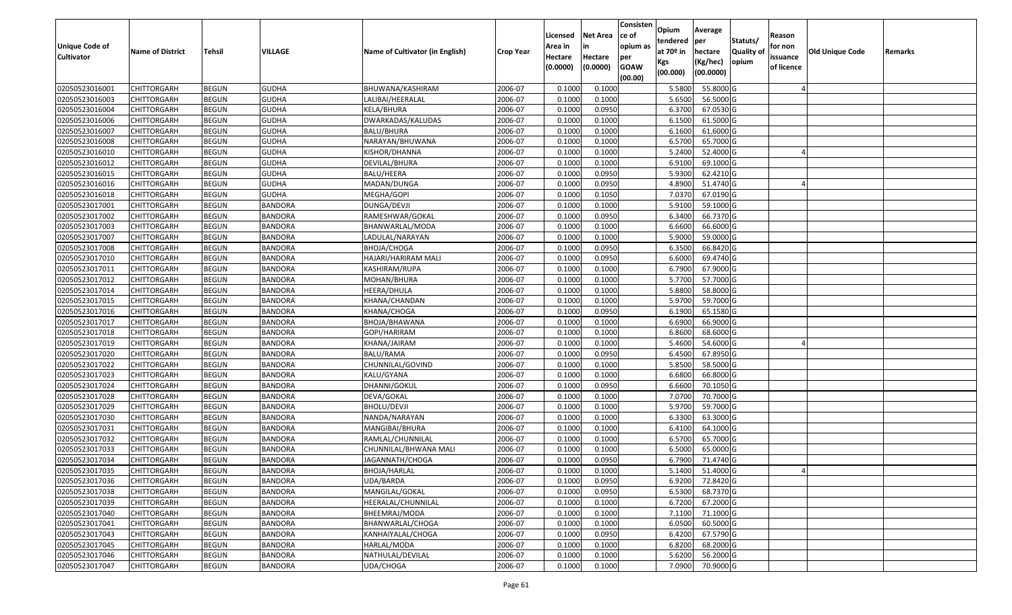| <b>Unique Code of</b> | <b>Name of District</b> | <b>Tehsil</b> | VILLAGE        | Name of Cultivator (in English) | <b>Crop Year</b> | Licensed<br>Area in | <b>Net Area</b><br>in | Consisten<br>ce of<br>opium as | Opium<br>tendered<br>at $70°$ in | Average<br>per<br>hectare | Statuts/<br><b>Quality o</b> | Reason<br>for non      | Old Unique Code | Remarks |
|-----------------------|-------------------------|---------------|----------------|---------------------------------|------------------|---------------------|-----------------------|--------------------------------|----------------------------------|---------------------------|------------------------------|------------------------|-----------------|---------|
| <b>Cultivator</b>     |                         |               |                |                                 |                  | Hectare<br>(0.0000) | Hectare<br>(0.0000)   | per<br><b>GOAW</b><br>(00.00)  | Kgs<br>(00.000)                  | (Kg/hec)<br>(00.0000)     | opium                        | issuance<br>of licence |                 |         |
| 02050523016001        | CHITTORGARH             | <b>BEGUN</b>  | <b>GUDHA</b>   | BHUWANA/KASHIRAM                | 2006-07          | 0.1000              | 0.1000                |                                | 5.5800                           | 55.8000 G                 |                              |                        |                 |         |
| 02050523016003        | CHITTORGARH             | <b>BEGUN</b>  | <b>GUDHA</b>   | LALIBAI/HEERALAL                | 2006-07          | 0.1000              | 0.1000                |                                | 5.6500                           | 56.5000 G                 |                              |                        |                 |         |
| 02050523016004        | CHITTORGARH             | <b>BEGUN</b>  | <b>GUDHA</b>   | KELA/BHURA                      | 2006-07          | 0.1000              | 0.0950                |                                | 6.3700                           | 67.0530 G                 |                              |                        |                 |         |
| 02050523016006        | <b>CHITTORGARH</b>      | <b>BEGUN</b>  | <b>GUDHA</b>   | DWARKADAS/KALUDAS               | 2006-07          | 0.1000              | 0.1000                |                                | 6.1500                           | 61.5000G                  |                              |                        |                 |         |
| 02050523016007        | CHITTORGARH             | <b>BEGUN</b>  | <b>GUDHA</b>   | <b>BALU/BHURA</b>               | 2006-07          | 0.1000              | 0.1000                |                                | 6.1600                           | 61.6000G                  |                              |                        |                 |         |
| 02050523016008        | CHITTORGARH             | <b>BEGUN</b>  | <b>GUDHA</b>   | NARAYAN/BHUWANA                 | 2006-07          | 0.1000              | 0.1000                |                                | 6.5700                           | 65.7000G                  |                              |                        |                 |         |
| 02050523016010        | CHITTORGARH             | <b>BEGUN</b>  | <b>GUDHA</b>   | KISHOR/DHANNA                   | 2006-07          | 0.1000              | 0.1000                |                                | 5.2400                           | 52.4000 G                 |                              |                        |                 |         |
| 02050523016012        | CHITTORGARH             | <b>BEGUN</b>  | <b>GUDHA</b>   | DEVILAL/BHURA                   | 2006-07          | 0.1000              | 0.1000                |                                | 6.9100                           | 69.1000G                  |                              |                        |                 |         |
| 02050523016015        | CHITTORGARH             | <b>BEGUN</b>  | <b>GUDHA</b>   | BALU/HEERA                      | 2006-07          | 0.1000              | 0.0950                |                                | 5.9300                           | 62.4210 G                 |                              |                        |                 |         |
| 02050523016016        | CHITTORGARH             | <b>BEGUN</b>  | <b>GUDHA</b>   | MADAN/DUNGA                     | 2006-07          | 0.1000              | 0.0950                |                                | 4.8900                           | 51.4740 G                 |                              |                        |                 |         |
| 02050523016018        | CHITTORGARH             | <b>BEGUN</b>  | <b>GUDHA</b>   | MEGHA/GOPI                      | 2006-07          | 0.1000              | 0.1050                |                                | 7.0370                           | 67.0190 G                 |                              |                        |                 |         |
| 02050523017001        | <b>CHITTORGARH</b>      | <b>BEGUN</b>  | <b>BANDORA</b> | DUNGA/DEVJI                     | 2006-07          | 0.1000              | 0.1000                |                                | 5.9100                           | 59.1000 G                 |                              |                        |                 |         |
| 02050523017002        | <b>CHITTORGARH</b>      | <b>BEGUN</b>  | <b>BANDORA</b> | RAMESHWAR/GOKAL                 | 2006-07          | 0.1000              | 0.0950                |                                | 6.3400                           | 66.7370 G                 |                              |                        |                 |         |
| 02050523017003        | <b>CHITTORGARH</b>      | <b>BEGUN</b>  | <b>BANDORA</b> | BHANWARLAL/MODA                 | 2006-07          | 0.1000              | 0.1000                |                                | 6.6600                           | 66.6000 G                 |                              |                        |                 |         |
| 02050523017007        | <b>CHITTORGARH</b>      | <b>BEGUN</b>  | <b>BANDORA</b> | LADULAL/NARAYAN                 | 2006-07          | 0.1000              | 0.1000                |                                | 5.9000                           | 59.0000G                  |                              |                        |                 |         |
| 02050523017008        | CHITTORGARH             | <b>BEGUN</b>  | <b>BANDORA</b> | BHOJA/CHOGA                     | 2006-07          | 0.1000              | 0.0950                |                                | 6.3500                           | 66.8420 G                 |                              |                        |                 |         |
| 02050523017010        | CHITTORGARH             | <b>BEGUN</b>  | <b>BANDORA</b> | HAJARI/HARIRAM MALI             | 2006-07          | 0.1000              | 0.0950                |                                | 6.6000                           | 69.4740 G                 |                              |                        |                 |         |
| 02050523017011        | CHITTORGARH             | <b>BEGUN</b>  | <b>BANDORA</b> | KASHIRAM/RUPA                   | 2006-07          | 0.1000              | 0.1000                |                                | 6.7900                           | 67.9000 G                 |                              |                        |                 |         |
| 02050523017012        | CHITTORGARH             | <b>BEGUN</b>  | <b>BANDORA</b> | MOHAN/BHURA                     | 2006-07          | 0.100               | 0.1000                |                                | 5.7700                           | 57.7000 G                 |                              |                        |                 |         |
| 02050523017014        | CHITTORGARH             | <b>BEGUN</b>  | <b>BANDORA</b> | HEERA/DHULA                     | 2006-07          | 0.1000              | 0.1000                |                                | 5.8800                           | 58.8000 G                 |                              |                        |                 |         |
| 02050523017015        | CHITTORGARH             | <b>BEGUN</b>  | <b>BANDORA</b> | KHANA/CHANDAN                   | 2006-07          | 0.100               | 0.1000                |                                | 5.9700                           | 59.7000 G                 |                              |                        |                 |         |
| 02050523017016        | CHITTORGARH             | <b>BEGUN</b>  | <b>BANDORA</b> | KHANA/CHOGA                     | 2006-07          | 0.100               | 0.0950                |                                | 6.1900                           | 65.1580 G                 |                              |                        |                 |         |
| 02050523017017        | CHITTORGARH             | <b>BEGUN</b>  | <b>BANDORA</b> | BHOJA/BHAWANA                   | 2006-07          | 0.1000              | 0.1000                |                                | 6.6900                           | 66.9000 G                 |                              |                        |                 |         |
| 02050523017018        | <b>CHITTORGARH</b>      | <b>BEGUN</b>  | <b>BANDORA</b> | GOPI/HARIRAM                    | 2006-07          | 0.100               | 0.1000                |                                | 6.8600                           | 68.6000 G                 |                              |                        |                 |         |
| 02050523017019        | <b>CHITTORGARH</b>      | <b>BEGUN</b>  | <b>BANDORA</b> | KHANA/JAIRAM                    | 2006-07          | 0.1000              | 0.1000                |                                | 5.4600                           | 54.6000 G                 |                              |                        |                 |         |
| 02050523017020        | CHITTORGARH             | <b>BEGUN</b>  | <b>BANDORA</b> | BALU/RAMA                       | 2006-07          | 0.1000              | 0.0950                |                                | 6.4500                           | 67.8950 G                 |                              |                        |                 |         |
| 02050523017022        | CHITTORGARH             | <b>BEGUN</b>  | <b>BANDORA</b> | CHUNNILAL/GOVIND                | 2006-07          | 0.1000              | 0.1000                |                                | 5.8500                           | 58.5000 G                 |                              |                        |                 |         |
| 02050523017023        | CHITTORGARH             | <b>BEGUN</b>  | <b>BANDORA</b> | KALU/GYANA                      | 2006-07          | 0.1000              | 0.1000                |                                | 6.6800                           | 66.8000 G                 |                              |                        |                 |         |
| 02050523017024        | CHITTORGARH             | <b>BEGUN</b>  | <b>BANDORA</b> | DHANNI/GOKUL                    | 2006-07          | 0.1000              | 0.0950                |                                | 6.6600                           | 70.1050 G                 |                              |                        |                 |         |
| 02050523017028        | CHITTORGARH             | <b>BEGUN</b>  | <b>BANDORA</b> | DEVA/GOKAL                      | 2006-07          | 0.1000              | 0.1000                |                                | 7.0700                           | 70.7000 G                 |                              |                        |                 |         |
| 02050523017029        | CHITTORGARH             | <b>BEGUN</b>  | <b>BANDORA</b> | BHOLU/DEVJI                     | 2006-07          | 0.1000              | 0.1000                |                                | 5.9700                           | 59.7000G                  |                              |                        |                 |         |
| 02050523017030        | CHITTORGARH             | <b>BEGUN</b>  | <b>BANDORA</b> | NANDA/NARAYAN                   | 2006-07          | 0.1000              | 0.1000                |                                | 6.3300                           | 63.3000 G                 |                              |                        |                 |         |
| 02050523017031        | CHITTORGARH             | <b>BEGUN</b>  | <b>BANDORA</b> | MANGIBAI/BHURA                  | 2006-07          | 0.100               | 0.1000                |                                | 6.4100                           | 64.1000 G                 |                              |                        |                 |         |
| 02050523017032        | CHITTORGARH             | <b>BEGUN</b>  | <b>BANDORA</b> | RAMLAL/CHUNNILAL                | 2006-07          | 0.1000              | 0.1000                |                                | 6.5700                           | 65.7000G                  |                              |                        |                 |         |
| 02050523017033        | CHITTORGARH             | <b>BEGUN</b>  | <b>BANDORA</b> | CHUNNILAL/BHWANA MALI           | 2006-07          | 0.1000              | 0.1000                |                                | 6.5000                           | 65.0000 G                 |                              |                        |                 |         |
| 02050523017034        | CHITTORGARH             | <b>BEGUN</b>  | <b>BANDORA</b> | JAGANNATH/CHOGA                 | 2006-07          | 0.1000              | 0.0950                |                                | 6.7900                           | 71.4740 G                 |                              |                        |                 |         |
| 02050523017035        | <b>CHITTORGARH</b>      | <b>BEGUN</b>  | <b>BANDORA</b> | BHOJA/HARLAL                    | 2006-07          | 0.1000              | 0.1000                |                                |                                  | 5.1400 51.4000 G          |                              |                        |                 |         |
| 02050523017036        | <b>CHITTORGARH</b>      | <b>BEGUN</b>  | <b>BANDORA</b> | UDA/BARDA                       | 2006-07          | 0.1000              | 0.0950                |                                | 6.9200                           | 72.8420 G                 |                              |                        |                 |         |
| 02050523017038        | <b>CHITTORGARH</b>      | <b>BEGUN</b>  | <b>BANDORA</b> | MANGILAL/GOKAL                  | 2006-07          | 0.1000              | 0.0950                |                                | 6.5300                           | 68.7370 G                 |                              |                        |                 |         |
| 02050523017039        | <b>CHITTORGARH</b>      | <b>BEGUN</b>  | <b>BANDORA</b> | HEERALAL/CHUNNILAL              | 2006-07          | 0.1000              | 0.1000                |                                | 6.7200                           | 67.2000 G                 |                              |                        |                 |         |
| 02050523017040        | <b>CHITTORGARH</b>      | <b>BEGUN</b>  | <b>BANDORA</b> | BHEEMRAJ/MODA                   | 2006-07          | 0.1000              | 0.1000                |                                | 7.1100                           | 71.1000 G                 |                              |                        |                 |         |
| 02050523017041        | <b>CHITTORGARH</b>      | <b>BEGUN</b>  | <b>BANDORA</b> | BHANWARLAL/CHOGA                | 2006-07          | 0.1000              | 0.1000                |                                | 6.0500                           | 60.5000 G                 |                              |                        |                 |         |
| 02050523017043        | <b>CHITTORGARH</b>      | <b>BEGUN</b>  | <b>BANDORA</b> | KANHAIYALAL/CHOGA               | 2006-07          | 0.1000              | 0.0950                |                                | 6.4200                           | 67.5790 G                 |                              |                        |                 |         |
| 02050523017045        | <b>CHITTORGARH</b>      | <b>BEGUN</b>  | <b>BANDORA</b> | HARLAL/MODA                     | 2006-07          | 0.1000              | 0.1000                |                                | 6.8200                           | 68.2000 G                 |                              |                        |                 |         |
| 02050523017046        | <b>CHITTORGARH</b>      | <b>BEGUN</b>  | <b>BANDORA</b> | NATHULAL/DEVILAL                | 2006-07          | 0.1000              | 0.1000                |                                | 5.6200                           | 56.2000 G                 |                              |                        |                 |         |
| 02050523017047        | <b>CHITTORGARH</b>      | <b>BEGUN</b>  | <b>BANDORA</b> | UDA/CHOGA                       | 2006-07          | 0.1000              | 0.1000                |                                | 7.0900                           | 70.9000 G                 |                              |                        |                 |         |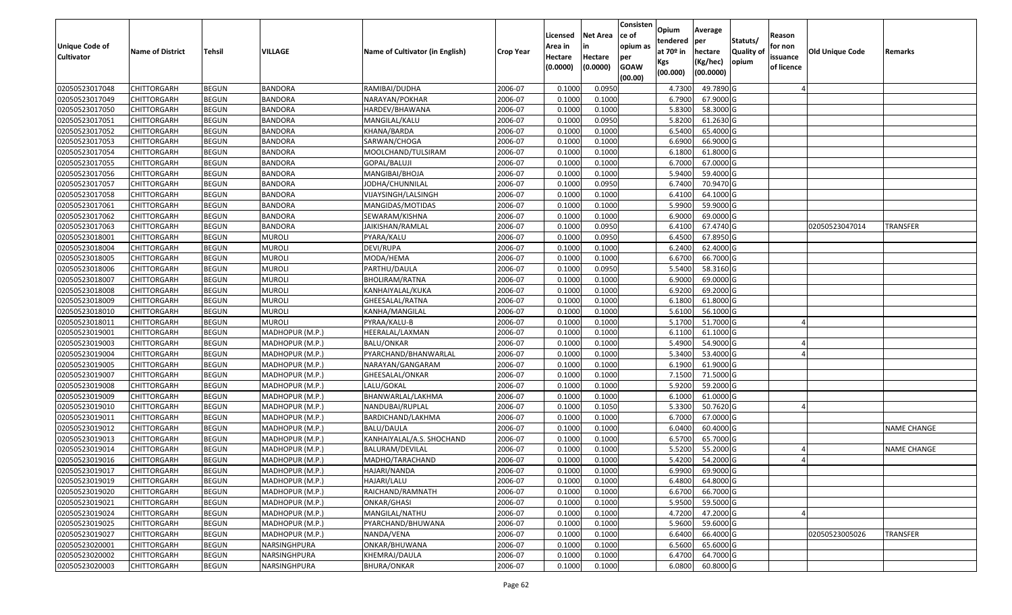| <b>Unique Code of</b> | <b>Name of District</b> | <b>Tehsil</b> | <b>VILLAGE</b>  | Name of Cultivator (in English) | <b>Crop Year</b> | Licensed<br>Area in | <b>Net Area</b><br>in | Consisten<br>ce of<br>opium as | Opium<br>tendered<br>at $70°$ in | Average<br>per<br>hectare | Statuts/<br><b>Quality o</b> | Reason<br>for non      | Old Unique Code | Remarks            |
|-----------------------|-------------------------|---------------|-----------------|---------------------------------|------------------|---------------------|-----------------------|--------------------------------|----------------------------------|---------------------------|------------------------------|------------------------|-----------------|--------------------|
| <b>Cultivator</b>     |                         |               |                 |                                 |                  | Hectare<br>(0.0000) | Hectare<br>(0.0000)   | per<br><b>GOAW</b><br>(00.00)  | Kgs<br>(00.000)                  | (Kg/hec)<br>(00.0000)     | opium                        | issuance<br>of licence |                 |                    |
| 02050523017048        | CHITTORGARH             | <b>BEGUN</b>  | <b>BANDORA</b>  | RAMIBAI/DUDHA                   | 2006-07          | 0.1000              | 0.0950                |                                | 4.7300                           | 49.7890 G                 |                              |                        |                 |                    |
| 02050523017049        | CHITTORGARH             | <b>BEGUN</b>  | <b>BANDORA</b>  | NARAYAN/POKHAR                  | 2006-07          | 0.1000              | 0.1000                |                                | 6.7900                           | 67.9000 G                 |                              |                        |                 |                    |
| 02050523017050        | CHITTORGARH             | <b>BEGUN</b>  | <b>BANDORA</b>  | HARDEV/BHAWANA                  | 2006-07          | 0.1000              | 0.1000                |                                | 5.8300                           | 58.3000 G                 |                              |                        |                 |                    |
| 02050523017051        | <b>CHITTORGARH</b>      | <b>BEGUN</b>  | <b>BANDORA</b>  | MANGILAL/KALU                   | 2006-07          | 0.1000              | 0.0950                |                                | 5.8200                           | 61.2630 G                 |                              |                        |                 |                    |
| 02050523017052        | CHITTORGARH             | <b>BEGUN</b>  | <b>BANDORA</b>  | KHANA/BARDA                     | 2006-07          | 0.1000              | 0.1000                |                                | 6.5400                           | 65.4000G                  |                              |                        |                 |                    |
| 02050523017053        | CHITTORGARH             | <b>BEGUN</b>  | <b>BANDORA</b>  | SARWAN/CHOGA                    | 2006-07          | 0.1000              | 0.1000                |                                | 6.6900                           | 66.9000G                  |                              |                        |                 |                    |
| 02050523017054        | CHITTORGARH             | <b>BEGUN</b>  | BANDORA         | MOOLCHAND/TULSIRAM              | 2006-07          | 0.1000              | 0.1000                |                                | 6.1800                           | 61.8000G                  |                              |                        |                 |                    |
| 02050523017055        | <b>CHITTORGARH</b>      | <b>BEGUN</b>  | <b>BANDORA</b>  | GOPAL/BALUJI                    | 2006-07          | 0.1000              | 0.1000                |                                | 6.7000                           | 67.0000G                  |                              |                        |                 |                    |
| 02050523017056        | CHITTORGARH             | <b>BEGUN</b>  | <b>BANDORA</b>  | MANGIBAI/BHOJA                  | 2006-07          | 0.1000              | 0.1000                |                                | 5.9400                           | 59.4000 G                 |                              |                        |                 |                    |
| 02050523017057        | CHITTORGARH             | <b>BEGUN</b>  | <b>BANDORA</b>  | JODHA/CHUNNILAL                 | 2006-07          | 0.1000              | 0.0950                |                                | 6.7400                           | 70.9470 G                 |                              |                        |                 |                    |
| 02050523017058        | CHITTORGARH             | <b>BEGUN</b>  | <b>BANDORA</b>  | VIJAYSINGH/LALSINGH             | 2006-07          | 0.1000              | 0.1000                |                                | 6.4100                           | 64.1000 G                 |                              |                        |                 |                    |
| 02050523017061        | <b>CHITTORGARH</b>      | <b>BEGUN</b>  | <b>BANDORA</b>  | MANGIDAS/MOTIDAS                | 2006-07          | 0.1000              | 0.1000                |                                | 5.9900                           | 59.9000 G                 |                              |                        |                 |                    |
| 02050523017062        | <b>CHITTORGARH</b>      | <b>BEGUN</b>  | <b>BANDORA</b>  | SEWARAM/KISHNA                  | 2006-07          | 0.1000              | 0.1000                |                                | 6.9000                           | 69.0000G                  |                              |                        |                 |                    |
| 02050523017063        | <b>CHITTORGARH</b>      | <b>BEGUN</b>  | <b>BANDORA</b>  | JAIKISHAN/RAMLAL                | 2006-07          | 0.100               | 0.0950                |                                | 6.4100                           | 67.4740 G                 |                              |                        | 02050523047014  | TRANSFER           |
| 02050523018001        | <b>CHITTORGARH</b>      | <b>BEGUN</b>  | <b>MUROLI</b>   | PYARA/KALU                      | 2006-07          | 0.1000              | 0.0950                |                                | 6.4500                           | 67.8950 G                 |                              |                        |                 |                    |
| 02050523018004        | <b>CHITTORGARH</b>      | <b>BEGUN</b>  | <b>MUROLI</b>   | DEVI/RUPA                       | 2006-07          | 0.1000              | 0.1000                |                                | 6.2400                           | 62.4000 G                 |                              |                        |                 |                    |
| 02050523018005        | <b>CHITTORGARH</b>      | <b>BEGUN</b>  | <b>MUROLI</b>   | MODA/HEMA                       | 2006-07          | 0.1000              | 0.1000                |                                | 6.6700                           | 66.7000G                  |                              |                        |                 |                    |
| 02050523018006        | CHITTORGARH             | <b>BEGUN</b>  | <b>MUROLI</b>   | PARTHU/DAULA                    | 2006-07          | 0.1000              | 0.0950                |                                | 5.5400                           | 58.3160 G                 |                              |                        |                 |                    |
| 02050523018007        | CHITTORGARH             | <b>BEGUN</b>  | <b>MUROLI</b>   | BHOLIRAM/RATNA                  | 2006-07          | 0.100               | 0.1000                |                                | 6.9000                           | 69.0000G                  |                              |                        |                 |                    |
| 02050523018008        | CHITTORGARH             | <b>BEGUN</b>  | <b>MUROLI</b>   | KANHAIYALAL/KUKA                | 2006-07          | 0.1000              | 0.1000                |                                | 6.9200                           | 69.2000 G                 |                              |                        |                 |                    |
| 02050523018009        | CHITTORGARH             | <b>BEGUN</b>  | <b>MUROLI</b>   | GHEESALAL/RATNA                 | 2006-07          | 0.1000              | 0.1000                |                                | 6.1800                           | 61.8000G                  |                              |                        |                 |                    |
| 02050523018010        | CHITTORGARH             | <b>BEGUN</b>  | <b>MUROLI</b>   | KANHA/MANGILAL                  | 2006-07          | 0.100               | 0.1000                |                                | 5.6100                           | 56.1000G                  |                              |                        |                 |                    |
| 02050523018011        | CHITTORGARH             | <b>BEGUN</b>  | <b>MUROLI</b>   | PYRAA/KALU-B                    | 2006-07          | 0.1000              | 0.1000                |                                | 5.1700                           | 51.7000 G                 |                              |                        |                 |                    |
| 02050523019001        | <b>CHITTORGARH</b>      | <b>BEGUN</b>  | MADHOPUR (M.P.) | HEERALAL/LAXMAN                 | 2006-07          | 0.100               | 0.1000                |                                | 6.1100                           | 61.1000G                  |                              |                        |                 |                    |
| 02050523019003        | <b>CHITTORGARH</b>      | <b>BEGUN</b>  | MADHOPUR (M.P.) | <b>BALU/ONKAR</b>               | 2006-07          | 0.1000              | 0.1000                |                                | 5.4900                           | 54.9000 G                 |                              |                        |                 |                    |
| 02050523019004        | CHITTORGARH             | <b>BEGUN</b>  | MADHOPUR (M.P.) | PYARCHAND/BHANWARLAL            | 2006-07          | 0.1000              | 0.1000                |                                | 5.3400                           | 53.4000 G                 |                              |                        |                 |                    |
| 02050523019005        | CHITTORGARH             | <b>BEGUN</b>  | MADHOPUR (M.P.) | NARAYAN/GANGARAM                | 2006-07          | 0.1000              | 0.1000                |                                | 6.1900                           | 61.9000 G                 |                              |                        |                 |                    |
| 02050523019007        | CHITTORGARH             | <b>BEGUN</b>  | MADHOPUR (M.P.) | GHEESALAL/ONKAR                 | 2006-07          | 0.1000              | 0.1000                |                                | 7.1500                           | 71.5000 G                 |                              |                        |                 |                    |
| 02050523019008        | CHITTORGARH             | <b>BEGUN</b>  | MADHOPUR (M.P.) | LALU/GOKAL                      | 2006-07          | 0.1000              | 0.1000                |                                | 5.9200                           | 59.2000 G                 |                              |                        |                 |                    |
| 02050523019009        | CHITTORGARH             | <b>BEGUN</b>  | MADHOPUR (M.P.) | BHANWARLAL/LAKHMA               | 2006-07          | 0.1000              | 0.1000                |                                | 6.1000                           | 61.0000G                  |                              |                        |                 |                    |
| 02050523019010        | CHITTORGARH             | <b>BEGUN</b>  | MADHOPUR (M.P.) | NANDUBAI/RUPLAL                 | 2006-07          | 0.1000              | 0.1050                |                                | 5.3300                           | 50.7620 G                 |                              |                        |                 |                    |
| 02050523019011        | CHITTORGARH             | <b>BEGUN</b>  | MADHOPUR (M.P.) | BARDICHAND/LAKHMA               | 2006-07          | 0.1000              | 0.1000                |                                | 6.7000                           | 67.0000G                  |                              |                        |                 |                    |
| 02050523019012        | CHITTORGARH             | <b>BEGUN</b>  | MADHOPUR (M.P.) | BALU/DAULA                      | 2006-07          | 0.1000              | 0.1000                |                                | 6.0400                           | 60.4000 G                 |                              |                        |                 | <b>NAME CHANGE</b> |
| 02050523019013        | <b>CHITTORGARH</b>      | <b>BEGUN</b>  | MADHOPUR (M.P.) | KANHAIYALAL/A.S. SHOCHAND       | 2006-07          | 0.1000              | 0.1000                |                                | 6.5700                           | 65.7000G                  |                              |                        |                 |                    |
| 02050523019014        | CHITTORGARH             | <b>BEGUN</b>  | MADHOPUR (M.P.) | BALURAM/DEVILAL                 | 2006-07          | 0.1000              | 0.1000                |                                | 5.5200                           | 55.2000 G                 |                              |                        |                 | <b>NAME CHANGE</b> |
| 02050523019016        | CHITTORGARH             | <b>BEGUN</b>  | MADHOPUR (M.P.) | MADHO/TARACHAND                 | 2006-07          | 0.1000              | 0.1000                |                                | 5.4200                           | 54.2000 G                 |                              |                        |                 |                    |
| 02050523019017        | <b>CHITTORGARH</b>      | <b>BEGUN</b>  | MADHOPUR (M.P.) | HAJARI/NANDA                    | 2006-07          | 0.1000              | 0.1000                |                                | 6.9900                           | 69.9000G                  |                              |                        |                 |                    |
| 02050523019019        | <b>CHITTORGARH</b>      | <b>BEGUN</b>  | MADHOPUR (M.P.) | HAJARI/LALU                     | 2006-07          | 0.1000              | 0.1000                |                                | 6.4800                           | 64.8000 G                 |                              |                        |                 |                    |
| 02050523019020        | <b>CHITTORGARH</b>      | <b>BEGUN</b>  | MADHOPUR (M.P.) | RAICHAND/RAMNATH                | 2006-07          | 0.1000              | 0.1000                |                                | 6.6700                           | 66.7000 G                 |                              |                        |                 |                    |
| 02050523019021        | <b>CHITTORGARH</b>      | <b>BEGUN</b>  | MADHOPUR (M.P.) | ONKAR/GHASI                     | 2006-07          | 0.1000              | 0.1000                |                                | 5.9500                           | 59.5000 G                 |                              |                        |                 |                    |
| 02050523019024        | CHITTORGARH             | <b>BEGUN</b>  | MADHOPUR (M.P.) | MANGILAL/NATHU                  | 2006-07          | 0.1000              | 0.1000                |                                | 4.7200                           | 47.2000 G                 |                              |                        |                 |                    |
| 02050523019025        | <b>CHITTORGARH</b>      | <b>BEGUN</b>  | MADHOPUR (M.P.) | PYARCHAND/BHUWANA               | 2006-07          | 0.1000              | 0.1000                |                                | 5.9600                           | 59.6000 G                 |                              |                        |                 |                    |
| 02050523019027        | <b>CHITTORGARH</b>      | <b>BEGUN</b>  | MADHOPUR (M.P.) | NANDA/VENA                      | 2006-07          | 0.1000              | 0.1000                |                                | 6.6400                           | 66.4000 G                 |                              |                        | 02050523005026  | <b>TRANSFER</b>    |
| 02050523020001        | CHITTORGARH             | <b>BEGUN</b>  | NARSINGHPURA    | ONKAR/BHUWANA                   | 2006-07          | 0.1000              | 0.1000                |                                | 6.5600                           | 65.6000 G                 |                              |                        |                 |                    |
| 02050523020002        | <b>CHITTORGARH</b>      | <b>BEGUN</b>  | NARSINGHPURA    | KHEMRAJ/DAULA                   | 2006-07          | 0.1000              | 0.1000                |                                | 6.4700                           | 64.7000 G                 |                              |                        |                 |                    |
| 02050523020003        | <b>CHITTORGARH</b>      | <b>BEGUN</b>  | NARSINGHPURA    | BHURA/ONKAR                     | 2006-07          | 0.1000              | 0.1000                |                                | 6.0800                           | 60.8000 G                 |                              |                        |                 |                    |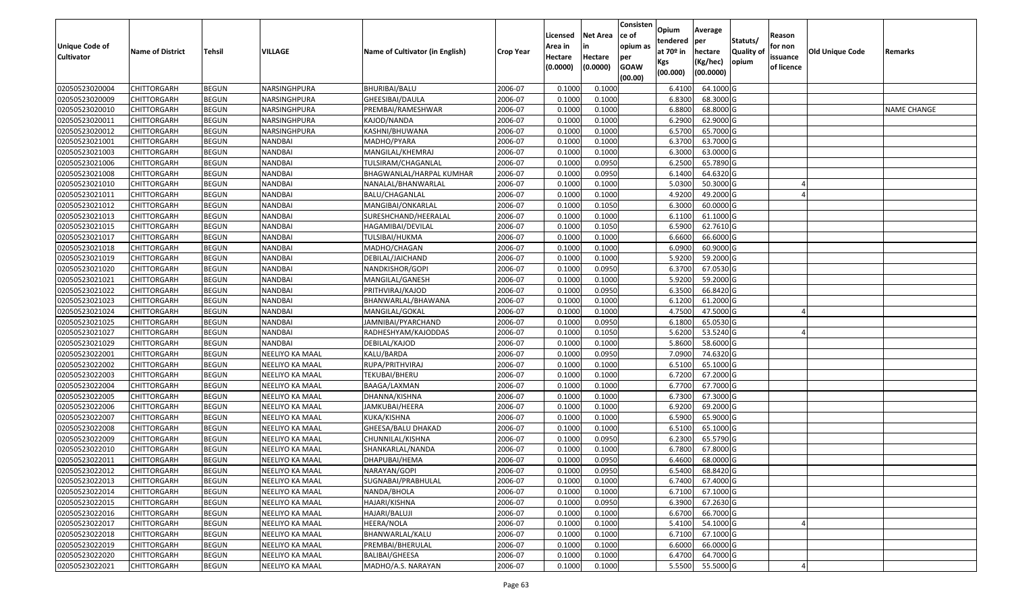| Unique Code of<br><b>Cultivator</b> | <b>Name of District</b> | Tehsil       | VILLAGE         | Name of Cultivator (in English) | <b>Crop Year</b> | Licensed<br>Area in<br>Hectare<br>(0.0000) | <b>Net Area</b><br>in<br>Hectare<br>(0.0000) | Consisten<br>ce of<br>opium as<br>per<br><b>GOAW</b> | Opium<br>tendered<br>at $70°$ in<br>Kgs | Average<br>per<br>hectare<br>(Kg/hec) | Statuts/<br><b>Quality o</b><br>opium | Reason<br>for non<br>issuance<br>of licence | Old Unique Code | Remarks            |
|-------------------------------------|-------------------------|--------------|-----------------|---------------------------------|------------------|--------------------------------------------|----------------------------------------------|------------------------------------------------------|-----------------------------------------|---------------------------------------|---------------------------------------|---------------------------------------------|-----------------|--------------------|
|                                     |                         |              |                 |                                 |                  |                                            |                                              | (00.00)                                              | (00.000)                                | (00.0000)                             |                                       |                                             |                 |                    |
| 02050523020004                      | CHITTORGARH             | <b>BEGUN</b> | NARSINGHPURA    | BHURIBAI/BALU                   | 2006-07          | 0.1000                                     | 0.1000                                       |                                                      | 6.4100                                  | 64.1000 G                             |                                       |                                             |                 |                    |
| 02050523020009                      | CHITTORGARH             | <b>BEGUN</b> | NARSINGHPURA    | GHEESIBAI/DAULA                 | 2006-07          | 0.1000                                     | 0.1000                                       |                                                      | 6.8300                                  | 68.3000 G                             |                                       |                                             |                 |                    |
| 02050523020010                      | CHITTORGARH             | <b>BEGUN</b> | NARSINGHPURA    | PREMBAI/RAMESHWAR               | 2006-07          | 0.1000                                     | 0.1000                                       |                                                      | 6.8800                                  | 68.8000 G                             |                                       |                                             |                 | <b>NAME CHANGE</b> |
| 02050523020011                      | <b>CHITTORGARH</b>      | <b>BEGUN</b> | NARSINGHPURA    | KAJOD/NANDA                     | 2006-07          | 0.1000                                     | 0.1000                                       |                                                      | 6.2900                                  | 62.9000 G                             |                                       |                                             |                 |                    |
| 02050523020012                      | CHITTORGARH             | <b>BEGUN</b> | NARSINGHPURA    | KASHNI/BHUWANA                  | 2006-07          | 0.1000                                     | 0.1000                                       |                                                      | 6.5700                                  | 65.7000G                              |                                       |                                             |                 |                    |
| 02050523021001                      | CHITTORGARH             | <b>BEGUN</b> | NANDBAI         | MADHO/PYARA                     | 2006-07          | 0.1000                                     | 0.1000                                       |                                                      | 6.3700                                  | 63.7000 G                             |                                       |                                             |                 |                    |
| 02050523021003                      | CHITTORGARH             | <b>BEGUN</b> | NANDBAI         | MANGILAL/KHEMRAJ                | 2006-07          | 0.1000                                     | 0.1000                                       |                                                      | 6.3000                                  | 63.0000G                              |                                       |                                             |                 |                    |
| 02050523021006                      | CHITTORGARH             | <b>BEGUN</b> | NANDBAI         | TULSIRAM/CHAGANLAL              | 2006-07          | 0.1000                                     | 0.0950                                       |                                                      | 6.2500                                  | 65.7890 G                             |                                       |                                             |                 |                    |
| 02050523021008                      | CHITTORGARH             | <b>BEGUN</b> | <b>NANDBAI</b>  | BHAGWANLAL/HARPAL KUMHAR        | 2006-07          | 0.1000                                     | 0.0950                                       |                                                      | 6.1400                                  | 64.6320 G                             |                                       |                                             |                 |                    |
| 02050523021010                      | CHITTORGARH             | <b>BEGUN</b> | <b>NANDBAI</b>  | NANALAL/BHANWARLAL              | 2006-07          | 0.1000                                     | 0.1000                                       |                                                      | 5.0300                                  | 50.3000 G                             |                                       |                                             |                 |                    |
| 02050523021011                      | CHITTORGARH             | <b>BEGUN</b> | <b>NANDBAI</b>  | BALU/CHAGANLAL                  | 2006-07          | 0.1000                                     | 0.1000                                       |                                                      | 4.9200                                  | 49.2000 G                             |                                       |                                             |                 |                    |
| 02050523021012                      | <b>CHITTORGARH</b>      | <b>BEGUN</b> | <b>NANDBAI</b>  | MANGIBAI/ONKARLAL               | 2006-07          | 0.1000                                     | 0.1050                                       |                                                      | 6.3000                                  | 60.0000 G                             |                                       |                                             |                 |                    |
| 02050523021013                      | <b>CHITTORGARH</b>      | <b>BEGUN</b> | <b>NANDBAI</b>  | SURESHCHAND/HEERALAL            | 2006-07          | 0.1000                                     | 0.1000                                       |                                                      | 6.1100                                  | 61.1000 G                             |                                       |                                             |                 |                    |
| 02050523021015                      | CHITTORGARH             | <b>BEGUN</b> | <b>NANDBAI</b>  | HAGAMIBAI/DEVILAL               | 2006-07          | 0.100                                      | 0.1050                                       |                                                      | 6.5900                                  | 62.7610 G                             |                                       |                                             |                 |                    |
| 02050523021017                      | <b>CHITTORGARH</b>      | <b>BEGUN</b> | <b>NANDBAI</b>  | TULSIBAI/HUKMA                  | 2006-07          | 0.1000                                     | 0.1000                                       |                                                      | 6.6600                                  | 66.6000 G                             |                                       |                                             |                 |                    |
| 02050523021018                      | <b>CHITTORGARH</b>      | <b>BEGUN</b> | <b>NANDBAI</b>  | MADHO/CHAGAN                    | 2006-07          | 0.1000                                     | 0.1000                                       |                                                      | 6.0900                                  | 60.9000 G                             |                                       |                                             |                 |                    |
| 02050523021019                      | <b>CHITTORGARH</b>      | <b>BEGUN</b> | <b>NANDBAI</b>  | DEBILAL/JAICHAND                | 2006-07          | 0.1000                                     | 0.1000                                       |                                                      | 5.9200                                  | 59.2000 G                             |                                       |                                             |                 |                    |
| 02050523021020                      | CHITTORGARH             | <b>BEGUN</b> | <b>NANDBAI</b>  | NANDKISHOR/GOPI                 | 2006-07          | 0.100                                      | 0.0950                                       |                                                      | 6.3700                                  | 67.0530G                              |                                       |                                             |                 |                    |
| 02050523021021                      | CHITTORGARH             | <b>BEGUN</b> | <b>NANDBAI</b>  | MANGILAL/GANESH                 | 2006-07          | 0.100                                      | 0.1000                                       |                                                      | 5.9200                                  | 59.2000 G                             |                                       |                                             |                 |                    |
| 02050523021022                      | CHITTORGARH             | <b>BEGUN</b> | <b>NANDBAI</b>  | PRITHVIRAJ/KAJOD                | 2006-07          | 0.1000                                     | 0.0950                                       |                                                      | 6.3500                                  | 66.8420 G                             |                                       |                                             |                 |                    |
| 02050523021023                      | CHITTORGARH             | <b>BEGUN</b> | <b>NANDBAI</b>  | BHANWARLAL/BHAWANA              | 2006-07          | 0.1000                                     | 0.1000                                       |                                                      | 6.1200                                  | 61.2000 G                             |                                       |                                             |                 |                    |
| 02050523021024                      | CHITTORGARH             | <b>BEGUN</b> | <b>NANDBAI</b>  | MANGILAL/GOKAL                  | 2006-07          | 0.100                                      | 0.1000                                       |                                                      | 4.7500                                  | 47.5000 G                             |                                       |                                             |                 |                    |
| 02050523021025                      | CHITTORGARH             | <b>BEGUN</b> | <b>NANDBAI</b>  | JAMNIBAI/PYARCHAND              | 2006-07          | 0.1000                                     | 0.0950                                       |                                                      | 6.1800                                  | 65.0530 G                             |                                       |                                             |                 |                    |
| 02050523021027                      | <b>CHITTORGARH</b>      | <b>BEGUN</b> | NANDBAI         | RADHESHYAM/KAJODDAS             | 2006-07          | 0.100                                      | 0.1050                                       |                                                      | 5.6200                                  | 53.5240 G                             |                                       |                                             |                 |                    |
| 02050523021029                      | <b>CHITTORGARH</b>      | <b>BEGUN</b> | <b>NANDBAI</b>  | DEBILAL/KAJOD                   | 2006-07          | 0.1000                                     | 0.1000                                       |                                                      | 5.8600                                  | 58.6000 G                             |                                       |                                             |                 |                    |
| 02050523022001                      | CHITTORGARH             | <b>BEGUN</b> | NEELIYO KA MAAL | KALU/BARDA                      | 2006-07          | 0.1000                                     | 0.0950                                       |                                                      | 7.0900                                  | 74.6320 G                             |                                       |                                             |                 |                    |
| 02050523022002                      | CHITTORGARH             | <b>BEGUN</b> | NEELIYO KA MAAL | RUPA/PRITHVIRAJ                 | 2006-07          | 0.1000                                     | 0.1000                                       |                                                      | 6.5100                                  | 65.1000G                              |                                       |                                             |                 |                    |
| 02050523022003                      | CHITTORGARH             | <b>BEGUN</b> | NEELIYO KA MAAL | TEKUBAI/BHERU                   | 2006-07          | 0.1000                                     | 0.1000                                       |                                                      | 6.7200                                  | 67.2000 G                             |                                       |                                             |                 |                    |
| 02050523022004                      | CHITTORGARH             | <b>BEGUN</b> | NEELIYO KA MAAL | BAAGA/LAXMAN                    | 2006-07          | 0.1000                                     | 0.1000                                       |                                                      | 6.7700                                  | 67.7000 G                             |                                       |                                             |                 |                    |
| 02050523022005                      | CHITTORGARH             | <b>BEGUN</b> | NEELIYO KA MAAL | DHANNA/KISHNA                   | 2006-07          | 0.1000                                     | 0.1000                                       |                                                      | 6.7300                                  | 67.3000 G                             |                                       |                                             |                 |                    |
| 02050523022006                      | CHITTORGARH             | <b>BEGUN</b> | NEELIYO KA MAAL | JAMKUBAI/HEERA                  | 2006-07          | 0.100                                      | 0.1000                                       |                                                      | 6.9200                                  | 69.2000 G                             |                                       |                                             |                 |                    |
| 02050523022007                      | CHITTORGARH             | <b>BEGUN</b> | NEELIYO KA MAAL | KUKA/KISHNA                     | 2006-07          | 0.1000                                     | 0.1000                                       |                                                      | 6.5900                                  | 65.9000 G                             |                                       |                                             |                 |                    |
| 02050523022008                      | CHITTORGARH             | <b>BEGUN</b> | NEELIYO KA MAAL | GHEESA/BALU DHAKAD              | 2006-07          | 0.1000                                     | 0.1000                                       |                                                      | 6.5100                                  | 65.1000G                              |                                       |                                             |                 |                    |
| 02050523022009                      | <b>CHITTORGARH</b>      | <b>BEGUN</b> | NEELIYO KA MAAL | CHUNNILAL/KISHNA                | 2006-07          | 0.1000                                     | 0.0950                                       |                                                      | 6.2300                                  | 65.5790 G                             |                                       |                                             |                 |                    |
| 02050523022010                      | CHITTORGARH             | <b>BEGUN</b> | NEELIYO KA MAAL | SHANKARLAL/NANDA                | 2006-07          | 0.1000                                     | 0.1000                                       |                                                      | 6.7800                                  | 67.8000G                              |                                       |                                             |                 |                    |
| 02050523022011                      | CHITTORGARH             | <b>BEGUN</b> | NEELIYO KA MAAL | DHAPUBAI/HEMA                   | 2006-07          | 0.1000                                     | 0.0950                                       |                                                      | 6.4600                                  | 68.0000 G                             |                                       |                                             |                 |                    |
| 02050523022012                      | <b>CHITTORGARH</b>      | <b>BEGUN</b> | NEELIYO KA MAAL | NARAYAN/GOPI                    | 2006-07          | 0.1000                                     | 0.0950                                       |                                                      | 6.5400                                  | 68.8420 G                             |                                       |                                             |                 |                    |
| 02050523022013                      | <b>CHITTORGARH</b>      | <b>BEGUN</b> | NEELIYO KA MAAL | SUGNABAI/PRABHULAL              | 2006-07          | 0.1000                                     | 0.1000                                       |                                                      | 6.7400                                  | 67.4000 G                             |                                       |                                             |                 |                    |
| 02050523022014                      | <b>CHITTORGARH</b>      | <b>BEGUN</b> | NEELIYO KA MAAL | NANDA/BHOLA                     | 2006-07          | 0.1000                                     | 0.1000                                       |                                                      | 6.7100                                  | 67.1000 G                             |                                       |                                             |                 |                    |
| 02050523022015                      | <b>CHITTORGARH</b>      | <b>BEGUN</b> | NEELIYO KA MAAL | HAJARI/KISHNA                   | 2006-07          | 0.1000                                     | 0.0950                                       |                                                      | 6.3900                                  | 67.2630 G                             |                                       |                                             |                 |                    |
| 02050523022016                      | <b>CHITTORGARH</b>      | <b>BEGUN</b> | NEELIYO KA MAAL | HAJARI/BALUJI                   | 2006-07          | 0.1000                                     | 0.1000                                       |                                                      | 6.6700                                  | 66.7000 G                             |                                       |                                             |                 |                    |
| 02050523022017                      | <b>CHITTORGARH</b>      | <b>BEGUN</b> | NEELIYO KA MAAL | HEERA/NOLA                      | 2006-07          | 0.1000                                     | 0.1000                                       |                                                      | 5.4100                                  | 54.1000 G                             |                                       |                                             |                 |                    |
| 02050523022018                      | <b>CHITTORGARH</b>      | <b>BEGUN</b> | NEELIYO KA MAAL | BHANWARLAL/KALU                 | 2006-07          | 0.1000                                     | 0.1000                                       |                                                      | 6.7100                                  | 67.1000 G                             |                                       |                                             |                 |                    |
| 02050523022019                      | <b>CHITTORGARH</b>      | <b>BEGUN</b> | NEELIYO KA MAAL | PREMBAI/BHERULAL                | 2006-07          | 0.1000                                     | 0.1000                                       |                                                      | 6.6000                                  | 66.0000 G                             |                                       |                                             |                 |                    |
| 02050523022020                      | <b>CHITTORGARH</b>      | <b>BEGUN</b> | NEELIYO KA MAAL | <b>BALIBAI/GHEESA</b>           | 2006-07          | 0.1000                                     | 0.1000                                       |                                                      | 6.4700                                  | 64.7000 G                             |                                       |                                             |                 |                    |
| 02050523022021                      | <b>CHITTORGARH</b>      | <b>BEGUN</b> | NEELIYO KA MAAL | MADHO/A.S. NARAYAN              | 2006-07          | 0.1000                                     | 0.1000                                       |                                                      | 5.5500                                  | 55.5000 G                             |                                       |                                             |                 |                    |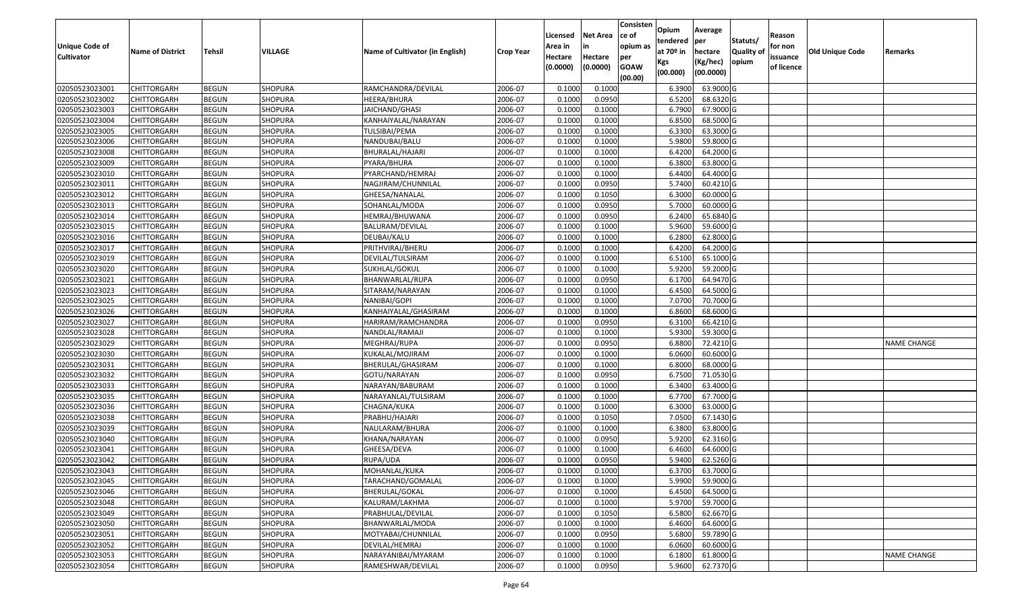| Unique Code of    | <b>Name of District</b> | <b>Tehsil</b> | <b>VILLAGE</b> | Name of Cultivator (in English) | <b>Crop Year</b> | Licensed<br>Area in | <b>Net Area</b><br>in | Consisten<br>ce of<br>opium as | Opium<br>tendered<br>at $70°$ in | Average<br>per<br>hectare | Statuts/<br><b>Quality o</b> | Reason<br>for non      | <b>Old Unique Code</b> | Remarks            |
|-------------------|-------------------------|---------------|----------------|---------------------------------|------------------|---------------------|-----------------------|--------------------------------|----------------------------------|---------------------------|------------------------------|------------------------|------------------------|--------------------|
| <b>Cultivator</b> |                         |               |                |                                 |                  | Hectare<br>(0.0000) | Hectare<br>(0.0000)   | per<br><b>GOAW</b><br>(00.00)  | Kgs<br>(00.000)                  | (Kg/hec)<br>(00.0000)     | opium                        | issuance<br>of licence |                        |                    |
| 02050523023001    | CHITTORGARH             | <b>BEGUN</b>  | <b>SHOPURA</b> | RAMCHANDRA/DEVILAL              | 2006-07          | 0.1000              | 0.1000                |                                | 6.3900                           | 63.9000 G                 |                              |                        |                        |                    |
| 02050523023002    | CHITTORGARH             | <b>BEGUN</b>  | SHOPURA        | HEERA/BHURA                     | 2006-07          | 0.1000              | 0.0950                |                                | 6.5200                           | 68.6320 G                 |                              |                        |                        |                    |
| 02050523023003    | CHITTORGARH             | <b>BEGUN</b>  | <b>SHOPURA</b> | JAICHAND/GHASI                  | 2006-07          | 0.1000              | 0.1000                |                                | 6.7900                           | 67.9000 G                 |                              |                        |                        |                    |
| 02050523023004    | <b>CHITTORGARH</b>      | <b>BEGUN</b>  | SHOPURA        | KANHAIYALAL/NARAYAN             | 2006-07          | 0.1000              | 0.1000                |                                | 6.8500                           | 68.5000 G                 |                              |                        |                        |                    |
| 02050523023005    | CHITTORGARH             | <b>BEGUN</b>  | <b>SHOPURA</b> | TULSIBAI/PEMA                   | 2006-07          | 0.1000              | 0.1000                |                                | 6.3300                           | 63.3000 G                 |                              |                        |                        |                    |
| 02050523023006    | CHITTORGARH             | <b>BEGUN</b>  | SHOPURA        | NANDUBAI/BALU                   | 2006-07          | 0.1000              | 0.1000                |                                | 5.9800                           | 59.8000 G                 |                              |                        |                        |                    |
| 02050523023008    | CHITTORGARH             | <b>BEGUN</b>  | SHOPURA        | BHURALAL/HAJARI                 | 2006-07          | 0.1000              | 0.1000                |                                | 6.4200                           | 64.2000 G                 |                              |                        |                        |                    |
| 02050523023009    | CHITTORGARH             | <b>BEGUN</b>  | SHOPURA        | PYARA/BHURA                     | 2006-07          | 0.1000              | 0.1000                |                                | 6.3800                           | 63.8000 G                 |                              |                        |                        |                    |
| 02050523023010    | CHITTORGARH             | <b>BEGUN</b>  | <b>SHOPURA</b> | PYARCHAND/HEMRAJ                | 2006-07          | 0.1000              | 0.1000                |                                | 6.4400                           | 64.4000 G                 |                              |                        |                        |                    |
| 02050523023011    | CHITTORGARH             | <b>BEGUN</b>  | SHOPURA        | NAGJIRAM/CHUNNILAL              | 2006-07          | 0.1000              | 0.0950                |                                | 5.7400                           | 60.4210 G                 |                              |                        |                        |                    |
| 02050523023012    | CHITTORGARH             | <b>BEGUN</b>  | <b>SHOPURA</b> | GHEESA/NANALAL                  | 2006-07          | 0.1000              | 0.1050                |                                | 6.3000                           | 60.0000G                  |                              |                        |                        |                    |
| 02050523023013    | <b>CHITTORGARH</b>      | <b>BEGUN</b>  | <b>SHOPURA</b> | SOHANLAL/MODA                   | 2006-07          | 0.1000              | 0.0950                |                                | 5.7000                           | 60.0000 G                 |                              |                        |                        |                    |
| 02050523023014    | <b>CHITTORGARH</b>      | <b>BEGUN</b>  | <b>SHOPURA</b> | HEMRAJ/BHUWANA                  | 2006-07          | 0.1000              | 0.0950                |                                | 6.2400                           | 65.6840 G                 |                              |                        |                        |                    |
| 02050523023015    | CHITTORGARH             | <b>BEGUN</b>  | <b>SHOPURA</b> | BALURAM/DEVILAL                 | 2006-07          | 0.1000              | 0.1000                |                                | 5.9600                           | 59.6000G                  |                              |                        |                        |                    |
| 02050523023016    | <b>CHITTORGARH</b>      | <b>BEGUN</b>  | <b>SHOPURA</b> | DEUBAI/KALU                     | 2006-07          | 0.1000              | 0.1000                |                                | 6.2800                           | 62.8000 G                 |                              |                        |                        |                    |
| 02050523023017    | CHITTORGARH             | <b>BEGUN</b>  | <b>SHOPURA</b> | PRITHVIRAJ/BHERU                | 2006-07          | 0.1000              | 0.1000                |                                | 6.4200                           | 64.2000 G                 |                              |                        |                        |                    |
| 02050523023019    | CHITTORGARH             | <b>BEGUN</b>  | <b>SHOPURA</b> | DEVILAL/TULSIRAM                | 2006-07          | 0.100               | 0.1000                |                                | 6.5100                           | 65.1000G                  |                              |                        |                        |                    |
| 02050523023020    | CHITTORGARH             | <b>BEGUN</b>  | <b>SHOPURA</b> | SUKHLAL/GOKUL                   | 2006-07          | 0.100               | 0.1000                |                                | 5.9200                           | 59.2000 G                 |                              |                        |                        |                    |
| 02050523023021    | CHITTORGARH             | <b>BEGUN</b>  | <b>SHOPURA</b> | BHANWARLAL/RUPA                 | 2006-07          | 0.1000              | 0.0950                |                                | 6.1700                           | 64.9470 G                 |                              |                        |                        |                    |
| 02050523023023    | CHITTORGARH             | <b>BEGUN</b>  | <b>SHOPURA</b> | SITARAM/NARAYAN                 | 2006-07          | 0.1000              | 0.1000                |                                | 6.4500                           | 64.5000 G                 |                              |                        |                        |                    |
| 02050523023025    | CHITTORGARH             | <b>BEGUN</b>  | <b>SHOPURA</b> | NANIBAI/GOPI                    | 2006-07          | 0.100               | 0.1000                |                                | 7.0700                           | 70.7000G                  |                              |                        |                        |                    |
| 02050523023026    | CHITTORGARH             | <b>BEGUN</b>  | <b>SHOPURA</b> | KANHAIYALAL/GHASIRAM            | 2006-07          | 0.100               | 0.1000                |                                | 6.8600                           | 68.6000 G                 |                              |                        |                        |                    |
| 02050523023027    | CHITTORGARH             | <b>BEGUN</b>  | <b>SHOPURA</b> | HARIRAM/RAMCHANDRA              | 2006-07          | 0.1000              | 0.0950                |                                | 6.3100                           | 66.4210 G                 |                              |                        |                        |                    |
| 02050523023028    | CHITTORGARH             | <b>BEGUN</b>  | <b>SHOPURA</b> | NANDLAL/RAMAJI                  | 2006-07          | 0.100               | 0.1000                |                                | 5.9300                           | 59.3000G                  |                              |                        |                        |                    |
| 02050523023029    | <b>CHITTORGARH</b>      | <b>BEGUN</b>  | SHOPURA        | MEGHRAJ/RUPA                    | 2006-07          | 0.1000              | 0.0950                |                                | 6.8800                           | 72.4210 G                 |                              |                        |                        | <b>NAME CHANGE</b> |
| 02050523023030    | CHITTORGARH             | <b>BEGUN</b>  | <b>SHOPURA</b> | KUKALAL/MOJIRAM                 | 2006-07          | 0.1000              | 0.1000                |                                | 6.0600                           | 60.6000 G                 |                              |                        |                        |                    |
| 02050523023031    | CHITTORGARH             | <b>BEGUN</b>  | SHOPURA        | BHERULAL/GHASIRAM               | 2006-07          | 0.1000              | 0.1000                |                                | 6.8000                           | 68.0000G                  |                              |                        |                        |                    |
| 02050523023032    | CHITTORGARH             | <b>BEGUN</b>  | <b>SHOPURA</b> | GOTU/NARAYAN                    | 2006-07          | 0.1000              | 0.0950                |                                | 6.7500                           | 71.0530 G                 |                              |                        |                        |                    |
| 02050523023033    | CHITTORGARH             | <b>BEGUN</b>  | <b>SHOPURA</b> | NARAYAN/BABURAM                 | 2006-07          | 0.1000              | 0.1000                |                                | 6.3400                           | 63.4000 G                 |                              |                        |                        |                    |
| 02050523023035    | CHITTORGARH             | <b>BEGUN</b>  | <b>SHOPURA</b> | NARAYANLAL/TULSIRAM             | 2006-07          | 0.1000              | 0.1000                |                                | 6.7700                           | 67.7000 G                 |                              |                        |                        |                    |
| 02050523023036    | CHITTORGARH             | <b>BEGUN</b>  | SHOPURA        | CHAGNA/KUKA                     | 2006-07          | 0.100               | 0.1000                |                                | 6.3000                           | 63.0000G                  |                              |                        |                        |                    |
| 02050523023038    | CHITTORGARH             | <b>BEGUN</b>  | SHOPURA        | PRABHU/HAJARI                   | 2006-07          | 0.1000              | 0.1050                |                                | 7.0500                           | 67.1430 G                 |                              |                        |                        |                    |
| 02050523023039    | CHITTORGARH             | <b>BEGUN</b>  | <b>SHOPURA</b> | NAULARAM/BHURA                  | 2006-07          | 0.100               | 0.1000                |                                | 6.3800                           | 63.8000G                  |                              |                        |                        |                    |
| 02050523023040    | CHITTORGARH             | <b>BEGUN</b>  | <b>SHOPURA</b> | KHANA/NARAYAN                   | 2006-07          | 0.1000              | 0.0950                |                                | 5.9200                           | 62.3160G                  |                              |                        |                        |                    |
| 02050523023041    | CHITTORGARH             | <b>BEGUN</b>  | SHOPURA        | GHEESA/DEVA                     | 2006-07          | 0.1000              | 0.1000                |                                | 6.4600                           | 64.6000 G                 |                              |                        |                        |                    |
| 02050523023042    | CHITTORGARH             | <b>BEGUN</b>  | SHOPURA        | RUPA/UDA                        | 2006-07          | 0.1000              | 0.0950                |                                | 5.9400                           | 62.5260 G                 |                              |                        |                        |                    |
| 02050523023043    | <b>CHITTORGARH</b>      | <b>BEGUN</b>  | <b>SHOPURA</b> | MOHANLAL/KUKA                   | 2006-07          | 0.1000              | 0.1000                |                                | 6.3700                           | 63.7000G                  |                              |                        |                        |                    |
| 02050523023045    | <b>CHITTORGARH</b>      | <b>BEGUN</b>  | <b>SHOPURA</b> | TARACHAND/GOMALAL               | 2006-07          | 0.1000              | 0.1000                |                                | 5.9900                           | 59.9000 G                 |                              |                        |                        |                    |
| 02050523023046    | <b>CHITTORGARH</b>      | <b>BEGUN</b>  | <b>SHOPURA</b> | BHERULAL/GOKAL                  | 2006-07          | 0.1000              | 0.1000                |                                | 6.4500                           | 64.5000 G                 |                              |                        |                        |                    |
| 02050523023048    | <b>CHITTORGARH</b>      | <b>BEGUN</b>  | <b>SHOPURA</b> | KALURAM/LAKHMA                  | 2006-07          | 0.1000              | 0.1000                |                                | 5.9700                           | 59.7000 G                 |                              |                        |                        |                    |
| 02050523023049    | <b>CHITTORGARH</b>      | <b>BEGUN</b>  | <b>SHOPURA</b> | PRABHULAL/DEVILAL               | 2006-07          | 0.1000              | 0.1050                |                                | 6.5800                           | 62.6670 G                 |                              |                        |                        |                    |
| 02050523023050    | <b>CHITTORGARH</b>      | <b>BEGUN</b>  | <b>SHOPURA</b> | BHANWARLAL/MODA                 | 2006-07          | 0.1000              | 0.1000                |                                | 6.4600                           | 64.6000 G                 |                              |                        |                        |                    |
| 02050523023051    | <b>CHITTORGARH</b>      | <b>BEGUN</b>  | <b>SHOPURA</b> | MOTYABAI/CHUNNILAL              | 2006-07          | 0.1000              | 0.0950                |                                | 5.6800                           | 59.7890 G                 |                              |                        |                        |                    |
| 02050523023052    | <b>CHITTORGARH</b>      | <b>BEGUN</b>  | <b>SHOPURA</b> | DEVILAL/HEMRAJ                  | 2006-07          | 0.1000              | 0.1000                |                                | 6.0600                           | 60.6000 G                 |                              |                        |                        |                    |
| 02050523023053    | <b>CHITTORGARH</b>      | <b>BEGUN</b>  | SHOPURA        | NARAYANIBAI/MYARAM              | 2006-07          | 0.1000              | 0.1000                |                                | 6.1800                           | 61.8000 G                 |                              |                        |                        | <b>NAME CHANGE</b> |
| 02050523023054    | <b>CHITTORGARH</b>      | <b>BEGUN</b>  | SHOPURA        | RAMESHWAR/DEVILAL               | 2006-07          | 0.1000              | 0.0950                |                                | 5.9600                           | 62.7370 G                 |                              |                        |                        |                    |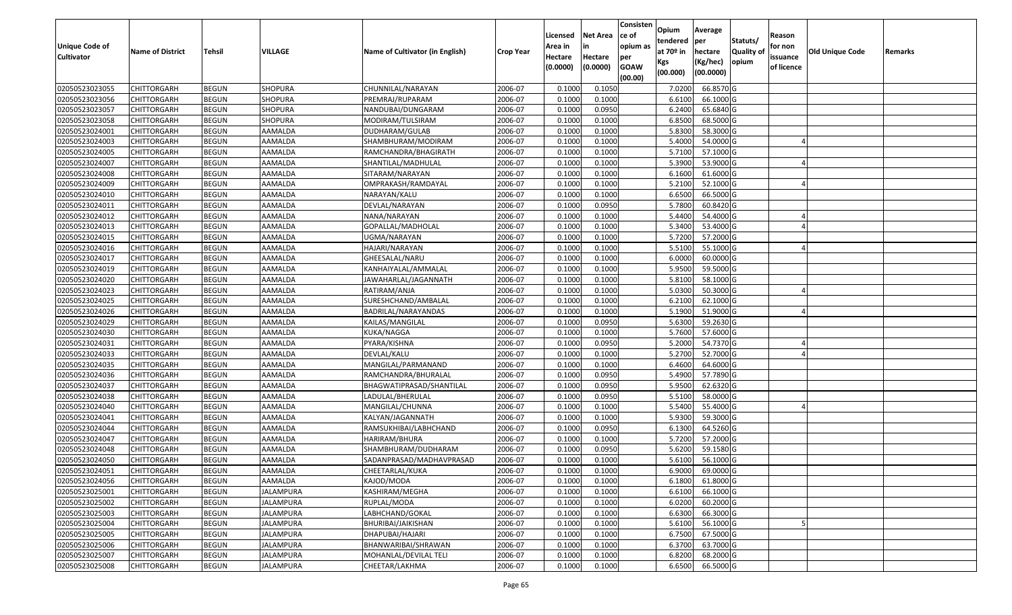| <b>Unique Code of</b><br><b>Cultivator</b> | <b>Name of District</b> | <b>Tehsil</b> | VILLAGE          | Name of Cultivator (in English) | <b>Crop Year</b> | Licensed<br>Area in<br>Hectare | <b>Net Area</b><br>in<br>Hectare | Consisten<br>ce of<br>opium as<br>per | Opium<br>tendered<br>at $70°$ in | Average<br>per<br>hectare | Statuts/<br><b>Quality o</b> | Reason<br>for non<br>issuance | Old Unique Code | Remarks |
|--------------------------------------------|-------------------------|---------------|------------------|---------------------------------|------------------|--------------------------------|----------------------------------|---------------------------------------|----------------------------------|---------------------------|------------------------------|-------------------------------|-----------------|---------|
|                                            |                         |               |                  |                                 |                  | (0.0000)                       | (0.0000)                         | <b>GOAW</b><br>(00.00)                | Kgs<br>(00.000)                  | (Kg/hec)<br>(00.0000)     | opium                        | of licence                    |                 |         |
| 02050523023055                             | CHITTORGARH             | <b>BEGUN</b>  | <b>SHOPURA</b>   | CHUNNILAL/NARAYAN               | 2006-07          | 0.1000                         | 0.1050                           |                                       | 7.0200                           | 66.8570 G                 |                              |                               |                 |         |
| 02050523023056                             | CHITTORGARH             | <b>BEGUN</b>  | SHOPURA          | PREMRAJ/RUPARAM                 | 2006-07          | 0.1000                         | 0.1000                           |                                       | 6.6100                           | 66.1000G                  |                              |                               |                 |         |
| 02050523023057                             | CHITTORGARH             | <b>BEGUN</b>  | <b>SHOPURA</b>   | NANDUBAI/DUNGARAM               | 2006-07          | 0.1000                         | 0.0950                           |                                       | 6.2400                           | 65.6840 G                 |                              |                               |                 |         |
| 02050523023058                             | <b>CHITTORGARH</b>      | <b>BEGUN</b>  | SHOPURA          | MODIRAM/TULSIRAM                | 2006-07          | 0.1000                         | 0.1000                           |                                       | 6.8500                           | 68.5000 G                 |                              |                               |                 |         |
| 02050523024001                             | CHITTORGARH             | <b>BEGUN</b>  | AAMALDA          | DUDHARAM/GULAB                  | 2006-07          | 0.1000                         | 0.1000                           |                                       | 5.8300                           | 58.3000 G                 |                              |                               |                 |         |
| 02050523024003                             | CHITTORGARH             | <b>BEGUN</b>  | AAMALDA          | SHAMBHURAM/MODIRAM              | 2006-07          | 0.1000                         | 0.1000                           |                                       | 5.4000                           | 54.0000 G                 |                              |                               |                 |         |
| 02050523024005                             | CHITTORGARH             | <b>BEGUN</b>  | AAMALDA          | RAMCHANDRA/BHAGIRATH            | 2006-07          | 0.1000                         | 0.1000                           |                                       | 5.7100                           | 57.1000 G                 |                              |                               |                 |         |
| 02050523024007                             | CHITTORGARH             | <b>BEGUN</b>  | AAMALDA          | SHANTILAL/MADHULAL              | 2006-07          | 0.1000                         | 0.1000                           |                                       | 5.3900                           | 53.9000G                  |                              |                               |                 |         |
| 02050523024008                             | CHITTORGARH             | <b>BEGUN</b>  | AAMALDA          | SITARAM/NARAYAN                 | 2006-07          | 0.1000                         | 0.1000                           |                                       | 6.1600                           | 61.6000 G                 |                              |                               |                 |         |
| 02050523024009                             | CHITTORGARH             | <b>BEGUN</b>  | AAMALDA          | OMPRAKASH/RAMDAYAL              | 2006-07          | 0.1000                         | 0.1000                           |                                       | 5.2100                           | 52.1000G                  |                              |                               |                 |         |
| 02050523024010                             | CHITTORGARH             | <b>BEGUN</b>  | AAMALDA          | NARAYAN/KALU                    | 2006-07          | 0.1000                         | 0.1000                           |                                       | 6.6500                           | 66.5000 G                 |                              |                               |                 |         |
| 02050523024011                             | <b>CHITTORGARH</b>      | <b>BEGUN</b>  | AAMALDA          | DEVLAL/NARAYAN                  | 2006-07          | 0.1000                         | 0.0950                           |                                       | 5.7800                           | 60.8420 G                 |                              |                               |                 |         |
| 02050523024012                             | <b>CHITTORGARH</b>      | <b>BEGUN</b>  | AAMALDA          | NANA/NARAYAN                    | 2006-07          | 0.1000                         | 0.1000                           |                                       | 5.4400                           | 54.4000 G                 |                              |                               |                 |         |
| 02050523024013                             | CHITTORGARH             | <b>BEGUN</b>  | AAMALDA          | GOPALLAL/MADHOLAL               | 2006-07          | 0.1000                         | 0.1000                           |                                       | 5.3400                           | 53.4000 G                 |                              |                               |                 |         |
| 02050523024015                             | CHITTORGARH             | <b>BEGUN</b>  | AAMALDA          | UGMA/NARAYAN                    | 2006-07          | 0.1000                         | 0.1000                           |                                       | 5.7200                           | 57.2000 G                 |                              |                               |                 |         |
| 02050523024016                             | CHITTORGARH             | <b>BEGUN</b>  | AAMALDA          | HAJARI/NARAYAN                  | 2006-07          | 0.1000                         | 0.1000                           |                                       | 5.5100                           | 55.1000G                  |                              |                               |                 |         |
| 02050523024017                             | CHITTORGARH             | <b>BEGUN</b>  | AAMALDA          | GHEESALAL/NARU                  | 2006-07          | 0.1000                         | 0.1000                           |                                       | 6.0000                           | 60.0000G                  |                              |                               |                 |         |
| 02050523024019                             | CHITTORGARH             | <b>BEGUN</b>  | AAMALDA          | KANHAIYALAL/AMMALAL             | 2006-07          | 0.1000                         | 0.1000                           |                                       | 5.9500                           | 59.5000G                  |                              |                               |                 |         |
| 02050523024020                             | CHITTORGARH             | <b>BEGUN</b>  | AAMALDA          | JAWAHARLAL/JAGANNATH            | 2006-07          | 0.1000                         | 0.1000                           |                                       | 5.8100                           | 58.1000 G                 |                              |                               |                 |         |
| 02050523024023                             | CHITTORGARH             | <b>BEGUN</b>  | AAMALDA          | RATIRAM/ANJA                    | 2006-07          | 0.1000                         | 0.1000                           |                                       | 5.0300                           | 50.3000G                  |                              |                               |                 |         |
| 02050523024025                             | CHITTORGARH             | <b>BEGUN</b>  | AAMALDA          | SURESHCHAND/AMBALAL             | 2006-07          | 0.1000                         | 0.1000                           |                                       | 6.2100                           | 62.1000G                  |                              |                               |                 |         |
| 02050523024026                             | CHITTORGARH             | <b>BEGUN</b>  | AAMALDA          | BADRILAL/NARAYANDAS             | 2006-07          | 0.1000                         | 0.1000                           |                                       | 5.1900                           | 51.9000G                  |                              |                               |                 |         |
| 02050523024029                             | CHITTORGARH             | <b>BEGUN</b>  | AAMALDA          | KAILAS/MANGILAL                 | 2006-07          | 0.1000                         | 0.0950                           |                                       | 5.6300                           | 59.2630 G                 |                              |                               |                 |         |
| 02050523024030                             | CHITTORGARH             | <b>BEGUN</b>  | AAMALDA          | KUKA/NAGGA                      | 2006-07          | 0.1000                         | 0.1000                           |                                       | 5.7600                           | 57.6000 G                 |                              |                               |                 |         |
| 02050523024031                             | CHITTORGARH             | <b>BEGUN</b>  | AAMALDA          | PYARA/KISHNA                    | 2006-07          | 0.1000                         | 0.0950                           |                                       | 5.2000                           | 54.7370 G                 |                              |                               |                 |         |
| 02050523024033                             | CHITTORGARH             | <b>BEGUN</b>  | AAMALDA          | DEVLAL/KALU                     | 2006-07          | 0.1000                         | 0.1000                           |                                       | 5.2700                           | 52.7000G                  |                              |                               |                 |         |
| 02050523024035                             | CHITTORGARH             | <b>BEGUN</b>  | AAMALDA          | MANGILAL/PARMANAND              | 2006-07          | 0.100                          | 0.1000                           |                                       | 6.4600                           | 64.6000 G                 |                              |                               |                 |         |
| 02050523024036                             | CHITTORGARH             | <b>BEGUN</b>  | AAMALDA          | RAMCHANDRA/BHURALAL             | 2006-07          | 0.1000                         | 0.0950                           |                                       | 5.4900                           | 57.7890 G                 |                              |                               |                 |         |
| 02050523024037                             | CHITTORGARH             | <b>BEGUN</b>  | AAMALDA          | BHAGWATIPRASAD/SHANTILAL        | 2006-07          | 0.1000                         | 0.0950                           |                                       | 5.9500                           | 62.6320 G                 |                              |                               |                 |         |
| 02050523024038                             | CHITTORGARH             | <b>BEGUN</b>  | AAMALDA          | LADULAL/BHERULAL                | 2006-07          | 0.1000                         | 0.0950                           |                                       | 5.5100                           | 58.0000G                  |                              |                               |                 |         |
| 02050523024040                             | CHITTORGARH             | <b>BEGUN</b>  | AAMALDA          | MANGILAL/CHUNNA                 | 2006-07          | 0.100                          | 0.1000                           |                                       | 5.5400                           | 55.4000 G                 |                              |                               |                 |         |
| 02050523024041                             | CHITTORGARH             | <b>BEGUN</b>  | AAMALDA          | KALYAN/JAGANNATH                | 2006-07          | 0.100                          | 0.1000                           |                                       | 5.9300                           | 59.3000G                  |                              |                               |                 |         |
| 02050523024044                             | CHITTORGARH             | <b>BEGUN</b>  | AAMALDA          | RAMSUKHIBAI/LABHCHAND           | 2006-07          | 0.100                          | 0.0950                           |                                       | 6.1300                           | 64.5260 G                 |                              |                               |                 |         |
| 02050523024047                             | CHITTORGARH             | <b>BEGUN</b>  | AAMALDA          | HARIRAM/BHURA                   | 2006-07          | 0.1000                         | 0.1000                           |                                       | 5.7200                           | 57.2000 G                 |                              |                               |                 |         |
| 02050523024048                             | CHITTORGARH             | <b>BEGUN</b>  | AAMALDA          | SHAMBHURAM/DUDHARAM             | 2006-07          | 0.1000                         | 0.0950                           |                                       | 5.6200                           | 59.1580 G                 |                              |                               |                 |         |
| 02050523024050                             | CHITTORGARH             | <b>BEGUN</b>  | AAMALDA          | SADANPRASAD/MADHAVPRASAD        | 2006-07          | 0.1000                         | 0.1000                           |                                       | 5.6100                           | 56.1000 G                 |                              |                               |                 |         |
| 02050523024051                             | <b>CHITTORGARH</b>      | <b>BEGUN</b>  | AAMALDA          | CHEETARLAL/KUKA                 | 2006-07          | 0.1000                         | 0.1000                           |                                       | 6.9000                           | 69.0000 G                 |                              |                               |                 |         |
| 02050523024056                             | <b>CHITTORGARH</b>      | <b>BEGUN</b>  | AAMALDA          | KAJOD/MODA                      | 2006-07          | 0.1000                         | 0.1000                           |                                       | 6.1800                           | 61.8000 G                 |                              |                               |                 |         |
| 02050523025001                             | <b>CHITTORGARH</b>      | <b>BEGUN</b>  | <b>JALAMPURA</b> | KASHIRAM/MEGHA                  | 2006-07          | 0.1000                         | 0.1000                           |                                       | 6.6100                           | 66.1000 G                 |                              |                               |                 |         |
| 02050523025002                             | <b>CHITTORGARH</b>      | <b>BEGUN</b>  | JALAMPURA        | RUPLAL/MODA                     | 2006-07          | 0.1000                         | 0.1000                           |                                       | 6.0200                           | 60.2000 G                 |                              |                               |                 |         |
| 02050523025003                             | <b>CHITTORGARH</b>      | <b>BEGUN</b>  | <b>JALAMPURA</b> | LABHCHAND/GOKAL                 | 2006-07          | 0.1000                         | 0.1000                           |                                       | 6.6300                           | 66.3000 G                 |                              |                               |                 |         |
| 02050523025004                             | <b>CHITTORGARH</b>      | <b>BEGUN</b>  | <b>JALAMPURA</b> | BHURIBAI/JAIKISHAN              | 2006-07          | 0.1000                         | 0.1000                           |                                       | 5.6100                           | 56.1000 G                 |                              |                               |                 |         |
| 02050523025005                             | <b>CHITTORGARH</b>      | <b>BEGUN</b>  | <b>JALAMPURA</b> | DHAPUBAI/HAJARI                 | 2006-07          | 0.1000                         | 0.1000                           |                                       | 6.7500                           | 67.5000 G                 |                              |                               |                 |         |
| 02050523025006                             | CHITTORGARH             | <b>BEGUN</b>  | JALAMPURA        | BHANWARIBAI/SHRAWAN             | 2006-07          | 0.1000                         | 0.1000                           |                                       | 6.3700                           | 63.7000 G                 |                              |                               |                 |         |
| 02050523025007                             | <b>CHITTORGARH</b>      | <b>BEGUN</b>  | <b>JALAMPURA</b> | MOHANLAL/DEVILAL TELI           | 2006-07          | 0.1000                         | 0.1000                           |                                       | 6.8200                           | 68.2000 G                 |                              |                               |                 |         |
| 02050523025008                             | <b>CHITTORGARH</b>      | <b>BEGUN</b>  | JALAMPURA        | CHEETAR/LAKHMA                  | 2006-07          | 0.1000                         | 0.1000                           |                                       | 6.6500                           | 66.5000 G                 |                              |                               |                 |         |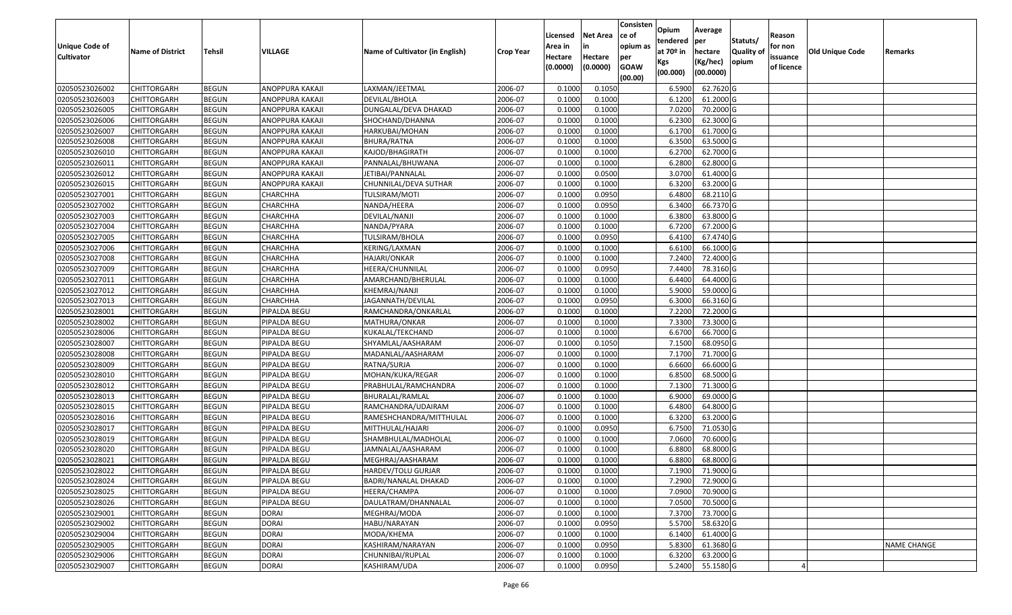| <b>Unique Code of</b> | <b>Name of District</b> | <b>Tehsil</b> | VILLAGE         | Name of Cultivator (in English) | <b>Crop Year</b> | Licensed<br>Area in | <b>Net Area</b><br>in | Consisten<br>lce of<br>opium as | Opium<br>tendered<br>at 70º in | Average<br>per<br>hectare | Statuts/<br>Quality of | Reason<br>for non      | Old Unique Code | Remarks            |
|-----------------------|-------------------------|---------------|-----------------|---------------------------------|------------------|---------------------|-----------------------|---------------------------------|--------------------------------|---------------------------|------------------------|------------------------|-----------------|--------------------|
| <b>Cultivator</b>     |                         |               |                 |                                 |                  | Hectare<br>(0.0000) | Hectare<br>(0.0000)   | per<br><b>GOAW</b><br>(00.00)   | Kgs<br>(00.000)                | (Kg/hec)<br>(00.0000)     | opium                  | issuance<br>of licence |                 |                    |
| 02050523026002        | <b>CHITTORGARH</b>      | <b>BEGUN</b>  | ANOPPURA KAKAJI | LAXMAN/JEETMAL                  | 2006-07          | 0.1000              | 0.1050                |                                 | 6.5900                         | 62.7620 G                 |                        |                        |                 |                    |
| 02050523026003        | <b>CHITTORGARH</b>      | <b>BEGUN</b>  | ANOPPURA KAKAJI | DEVILAL/BHOLA                   | 2006-07          | 0.1000              | 0.1000                |                                 | 6.1200                         | 61.2000 G                 |                        |                        |                 |                    |
| 02050523026005        | <b>CHITTORGARH</b>      | <b>BEGUN</b>  | ANOPPURA KAKAJI | DUNGALAL/DEVA DHAKAD            | 2006-07          | 0.1000              | 0.1000                |                                 | 7.0200                         | 70.2000 G                 |                        |                        |                 |                    |
| 02050523026006        | <b>CHITTORGARH</b>      | <b>BEGUN</b>  | ANOPPURA KAKAJI | SHOCHAND/DHANNA                 | 2006-07          | 0.1000              | 0.1000                |                                 | 6.2300                         | 62.3000 G                 |                        |                        |                 |                    |
| 02050523026007        | <b>CHITTORGARH</b>      | <b>BEGUN</b>  | ANOPPURA KAKAJI | HARKUBAI/MOHAN                  | 2006-07          | 0.1000              | 0.1000                |                                 | 6.1700                         | 61.7000 G                 |                        |                        |                 |                    |
| 02050523026008        | <b>CHITTORGARH</b>      | <b>BEGUN</b>  | ANOPPURA KAKAJI | <b>BHURA/RATNA</b>              | 2006-07          | 0.1000              | 0.1000                |                                 | 6.3500                         | 63.5000 G                 |                        |                        |                 |                    |
| 02050523026010        | CHITTORGARH             | <b>BEGUN</b>  | ANOPPURA KAKAJI | KAJOD/BHAGIRATH                 | 2006-07          | 0.1000              | 0.1000                |                                 | 6.2700                         | 62.7000 G                 |                        |                        |                 |                    |
| 02050523026011        | <b>CHITTORGARH</b>      | <b>BEGUN</b>  | ANOPPURA KAKAJI | PANNALAL/BHUWANA                | 2006-07          | 0.1000              | 0.1000                |                                 | 6.2800                         | 62.8000 G                 |                        |                        |                 |                    |
| 02050523026012        | <b>CHITTORGARH</b>      | <b>BEGUN</b>  | ANOPPURA KAKAJI | JETIBAI/PANNALAL                | 2006-07          | 0.1000              | 0.0500                |                                 | 3.0700                         | 61.4000 G                 |                        |                        |                 |                    |
| 02050523026015        | <b>CHITTORGARH</b>      | <b>BEGUN</b>  | ANOPPURA KAKAJI | CHUNNILAL/DEVA SUTHAR           | 2006-07          | 0.1000              | 0.1000                |                                 | 6.3200                         | 63.2000 G                 |                        |                        |                 |                    |
| 02050523027001        | <b>CHITTORGARH</b>      | <b>BEGUN</b>  | CHARCHHA        | TULSIRAM/MOTI                   | 2006-07          | 0.1000              | 0.0950                |                                 | 6.4800                         | 68.2110 G                 |                        |                        |                 |                    |
| 02050523027002        | <b>CHITTORGARH</b>      | <b>BEGUN</b>  | CHARCHHA        | NANDA/HEERA                     | 2006-07          | 0.1000              | 0.0950                |                                 | 6.3400                         | 66.7370 G                 |                        |                        |                 |                    |
| 02050523027003        | <b>CHITTORGARH</b>      | <b>BEGUN</b>  | CHARCHHA        | DEVILAL/NANJI                   | 2006-07          | 0.1000              | 0.1000                |                                 | 6.3800                         | 63.8000 G                 |                        |                        |                 |                    |
| 02050523027004        | <b>CHITTORGARH</b>      | <b>BEGUN</b>  | CHARCHHA        | NANDA/PYARA                     | 2006-07          | 0.1000              | 0.1000                |                                 | 6.7200                         | 67.2000 G                 |                        |                        |                 |                    |
| 02050523027005        | <b>CHITTORGARH</b>      | <b>BEGUN</b>  | CHARCHHA        | TULSIRAM/BHOLA                  | 2006-07          | 0.1000              | 0.0950                |                                 | 6.4100                         | 67.4740 G                 |                        |                        |                 |                    |
| 02050523027006        | <b>CHITTORGARH</b>      | <b>BEGUN</b>  | CHARCHHA        | KERING/LAXMAN                   | 2006-07          | 0.1000              | 0.1000                |                                 | 6.6100                         | 66.1000 G                 |                        |                        |                 |                    |
| 02050523027008        | <b>CHITTORGARH</b>      | <b>BEGUN</b>  | CHARCHHA        | HAJARI/ONKAR                    | 2006-07          | 0.1000              | 0.1000                |                                 | 7.2400                         | 72.4000 G                 |                        |                        |                 |                    |
| 02050523027009        | <b>CHITTORGARH</b>      | <b>BEGUN</b>  | CHARCHHA        | HEERA/CHUNNILAL                 | 2006-07          | 0.1000              | 0.0950                |                                 | 7.4400                         | 78.3160 G                 |                        |                        |                 |                    |
| 02050523027011        | <b>CHITTORGARH</b>      | <b>BEGUN</b>  | CHARCHHA        | AMARCHAND/BHERULAL              | 2006-07          | 0.1000              | 0.1000                |                                 | 6.4400                         | 64.4000 G                 |                        |                        |                 |                    |
| 02050523027012        | <b>CHITTORGARH</b>      | <b>BEGUN</b>  | CHARCHHA        | KHEMRAJ/NANJI                   | 2006-07          | 0.1000              | 0.1000                |                                 | 5.9000                         | 59.0000 G                 |                        |                        |                 |                    |
| 02050523027013        | <b>CHITTORGARH</b>      | <b>BEGUN</b>  | CHARCHHA        | JAGANNATH/DEVILAL               | 2006-07          | 0.1000              | 0.0950                |                                 | 6.3000                         | 66.3160 G                 |                        |                        |                 |                    |
| 02050523028001        | <b>CHITTORGARH</b>      | <b>BEGUN</b>  | PIPALDA BEGU    | RAMCHANDRA/ONKARLAL             | 2006-07          | 0.1000              | 0.1000                |                                 | 7.2200                         | 72.2000 G                 |                        |                        |                 |                    |
| 02050523028002        | <b>CHITTORGARH</b>      | <b>BEGUN</b>  | PIPALDA BEGU    | MATHURA/ONKAR                   | 2006-07          | 0.1000              | 0.1000                |                                 | 7.3300                         | 73.3000 G                 |                        |                        |                 |                    |
| 02050523028006        | <b>CHITTORGARH</b>      | <b>BEGUN</b>  | PIPALDA BEGU    | KUKALAL/TEKCHAND                | 2006-07          | 0.1000              | 0.1000                |                                 | 6.6700                         | 66.7000 G                 |                        |                        |                 |                    |
| 02050523028007        | <b>CHITTORGARH</b>      | <b>BEGUN</b>  | PIPALDA BEGU    | SHYAMLAL/AASHARAM               | 2006-07          | 0.1000              | 0.1050                |                                 | 7.1500                         | 68.0950 G                 |                        |                        |                 |                    |
| 02050523028008        | <b>CHITTORGARH</b>      | <b>BEGUN</b>  | PIPALDA BEGU    | MADANLAL/AASHARAM               | 2006-07          | 0.1000              | 0.1000                |                                 | 7.1700                         | 71.7000 G                 |                        |                        |                 |                    |
| 02050523028009        | <b>CHITTORGARH</b>      | <b>BEGUN</b>  | PIPALDA BEGU    | RATNA/SURJA                     | 2006-07          | 0.1000              | 0.1000                |                                 | 6.6600                         | 66.6000 G                 |                        |                        |                 |                    |
| 02050523028010        | <b>CHITTORGARH</b>      | <b>BEGUN</b>  | PIPALDA BEGU    | MOHAN/KUKA/REGAR                | 2006-07          | 0.1000              | 0.1000                |                                 | 6.8500                         | 68.5000 G                 |                        |                        |                 |                    |
| 02050523028012        | <b>CHITTORGARH</b>      | <b>BEGUN</b>  | PIPALDA BEGU    | PRABHULAL/RAMCHANDRA            | 2006-07          | 0.1000              | 0.1000                |                                 | 7.1300                         | 71.3000 G                 |                        |                        |                 |                    |
| 02050523028013        | <b>CHITTORGARH</b>      | <b>BEGUN</b>  | PIPALDA BEGU    | BHURALAL/RAMLAL                 | 2006-07          | 0.1000              | 0.1000                |                                 | 6.9000                         | 69.0000 G                 |                        |                        |                 |                    |
| 02050523028015        | <b>CHITTORGARH</b>      | <b>BEGUN</b>  | PIPALDA BEGU    | RAMCHANDRA/UDAIRAM              | 2006-07          | 0.1000              | 0.1000                |                                 | 6.4800                         | 64.8000 G                 |                        |                        |                 |                    |
| 02050523028016        | CHITTORGARH             | <b>BEGUN</b>  | PIPALDA BEGU    | RAMESHCHANDRA/MITTHULAL         | 2006-07          | 0.1000              | 0.1000                |                                 | 6.3200                         | 63.2000 G                 |                        |                        |                 |                    |
| 02050523028017        | <b>CHITTORGARH</b>      | <b>BEGUN</b>  | PIPALDA BEGU    | MITTHULAL/HAJARI                | 2006-07          | 0.1000              | 0.0950                |                                 | 6.7500                         | 71.0530 G                 |                        |                        |                 |                    |
| 02050523028019        | CHITTORGARH             | <b>BEGUN</b>  | PIPALDA BEGU    | SHAMBHULAL/MADHOLAL             | 2006-07          | 0.1000              | 0.1000                |                                 | 7.0600                         | 70.6000 G                 |                        |                        |                 |                    |
| 02050523028020        | CHITTORGARH             | <b>BEGUN</b>  | PIPALDA BEGU    | JAMNALAL/AASHARAM               | 2006-07          | 0.1000              | 0.1000                |                                 | 6.8800                         | 68.8000 G                 |                        |                        |                 |                    |
| 02050523028021        | <b>CHITTORGARH</b>      | <b>BEGUN</b>  | PIPALDA BEGU    | MEGHRAJ/AASHARAM                | 2006-07          | 0.1000              | 0.1000                |                                 | 6.8800                         | 68.8000 G                 |                        |                        |                 |                    |
| 02050523028022        | CHITTORGARH             | <b>BEGUN</b>  | PIPALDA BEGU    | HARDEV/TOLU GURJAR              | 2006-07          | 0.1000              | 0.1000                |                                 |                                | 7.1900 71.9000 G          |                        |                        |                 |                    |
| 02050523028024        | <b>CHITTORGARH</b>      | <b>BEGUN</b>  | PIPALDA BEGU    | BADRI/NANALAL DHAKAD            | 2006-07          | 0.1000              | 0.1000                |                                 | 7.2900                         | 72.9000 G                 |                        |                        |                 |                    |
| 02050523028025        | <b>CHITTORGARH</b>      | <b>BEGUN</b>  | PIPALDA BEGU    | HEERA/CHAMPA                    | 2006-07          | 0.1000              | 0.1000                |                                 | 7.0900                         | 70.9000 G                 |                        |                        |                 |                    |
| 02050523028026        | <b>CHITTORGARH</b>      | <b>BEGUN</b>  | PIPALDA BEGU    | DAULATRAM/DHANNALAL             | 2006-07          | 0.1000              | 0.1000                |                                 | 7.0500                         | 70.5000 G                 |                        |                        |                 |                    |
| 02050523029001        | <b>CHITTORGARH</b>      | <b>BEGUN</b>  | <b>DORAI</b>    | MEGHRAJ/MODA                    | 2006-07          | 0.1000              | 0.1000                |                                 | 7.3700                         | 73.7000 G                 |                        |                        |                 |                    |
| 02050523029002        | <b>CHITTORGARH</b>      | <b>BEGUN</b>  | <b>DORAI</b>    | HABU/NARAYAN                    | 2006-07          | 0.1000              | 0.0950                |                                 | 5.5700                         | 58.6320 G                 |                        |                        |                 |                    |
| 02050523029004        | <b>CHITTORGARH</b>      | <b>BEGUN</b>  | <b>DORAI</b>    | MODA/KHEMA                      | 2006-07          | 0.1000              | 0.1000                |                                 | 6.1400                         | 61.4000 G                 |                        |                        |                 |                    |
| 02050523029005        | <b>CHITTORGARH</b>      | <b>BEGUN</b>  | <b>DORAI</b>    | KASHIRAM/NARAYAN                | 2006-07          | 0.1000              | 0.0950                |                                 | 5.8300                         | 61.3680 G                 |                        |                        |                 | <b>NAME CHANGE</b> |
| 02050523029006        | <b>CHITTORGARH</b>      | <b>BEGUN</b>  | <b>DORAI</b>    | CHUNNIBAI/RUPLAL                | 2006-07          | 0.1000              | 0.1000                |                                 | 6.3200                         | 63.2000 G                 |                        |                        |                 |                    |
| 02050523029007        | <b>CHITTORGARH</b>      | <b>BEGUN</b>  | <b>DORAI</b>    | KASHIRAM/UDA                    | 2006-07          | 0.1000              | 0.0950                |                                 |                                | 5.2400 55.1580 G          |                        |                        |                 |                    |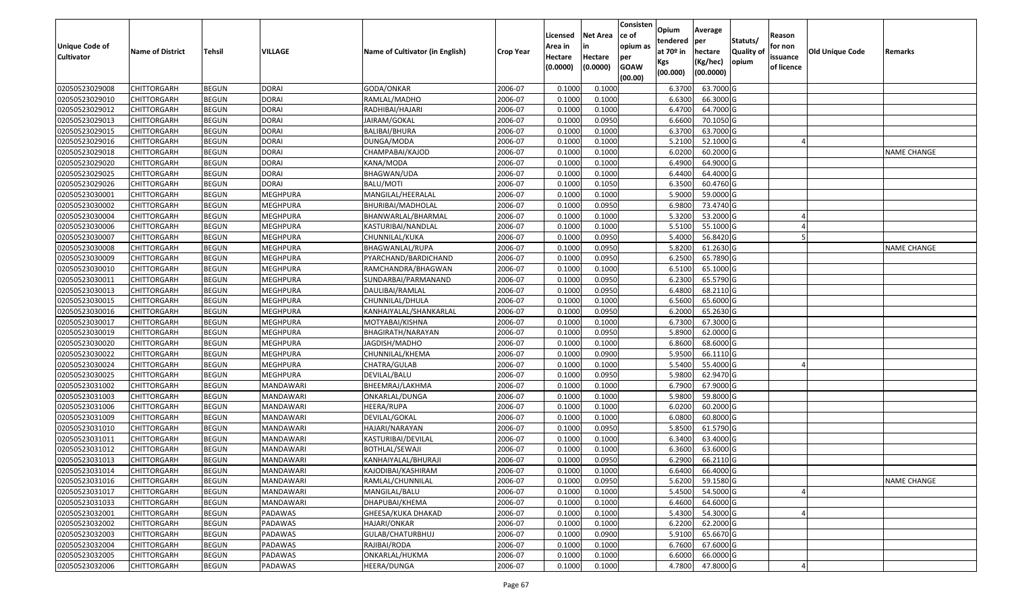| Unique Code of    | <b>Name of District</b> | <b>Tehsil</b> | <b>VILLAGE</b>  | Name of Cultivator (in English) | <b>Crop Year</b> | Licensed<br>Area in | <b>Net Area</b><br>in | Consisten<br>ce of<br>opium as | Opium<br>tendered<br>at $70°$ in | Average<br>per<br>hectare | Statuts/<br><b>Quality o</b> | Reason<br>for non      | Old Unique Code | Remarks            |
|-------------------|-------------------------|---------------|-----------------|---------------------------------|------------------|---------------------|-----------------------|--------------------------------|----------------------------------|---------------------------|------------------------------|------------------------|-----------------|--------------------|
| <b>Cultivator</b> |                         |               |                 |                                 |                  | Hectare<br>(0.0000) | Hectare<br>(0.0000)   | per<br><b>GOAW</b><br>(00.00)  | Kgs<br>(00.000)                  | (Kg/hec)<br>(00.0000)     | opium                        | issuance<br>of licence |                 |                    |
| 02050523029008    | CHITTORGARH             | <b>BEGUN</b>  | <b>DORAI</b>    | GODA/ONKAR                      | 2006-07          | 0.1000              | 0.1000                |                                | 6.3700                           | 63.7000 G                 |                              |                        |                 |                    |
| 02050523029010    | CHITTORGARH             | <b>BEGUN</b>  | <b>DORAI</b>    | RAMLAL/MADHO                    | 2006-07          | 0.1000              | 0.1000                |                                | 6.6300                           | 66.3000 G                 |                              |                        |                 |                    |
| 02050523029012    | CHITTORGARH             | <b>BEGUN</b>  | <b>DORAI</b>    | RADHIBAI/HAJARI                 | 2006-07          | 0.1000              | 0.1000                |                                | 6.4700                           | 64.7000 G                 |                              |                        |                 |                    |
| 02050523029013    | <b>CHITTORGARH</b>      | <b>BEGUN</b>  | <b>DORAI</b>    | JAIRAM/GOKAL                    | 2006-07          | 0.1000              | 0.0950                |                                | 6.6600                           | 70.1050 G                 |                              |                        |                 |                    |
| 02050523029015    | CHITTORGARH             | <b>BEGUN</b>  | <b>DORAI</b>    | BALIBAI/BHURA                   | 2006-07          | 0.1000              | 0.1000                |                                | 6.3700                           | 63.7000 G                 |                              |                        |                 |                    |
| 02050523029016    | CHITTORGARH             | <b>BEGUN</b>  | <b>DORAI</b>    | DUNGA/MODA                      | 2006-07          | 0.1000              | 0.1000                |                                | 5.2100                           | 52.1000G                  |                              |                        |                 |                    |
| 02050523029018    | CHITTORGARH             | <b>BEGUN</b>  | <b>DORAI</b>    | CHAMPABAI/KAJOD                 | 2006-07          | 0.1000              | 0.1000                |                                | 6.0200                           | 60.2000 G                 |                              |                        |                 | <b>NAME CHANGE</b> |
| 02050523029020    | CHITTORGARH             | <b>BEGUN</b>  | <b>DORAI</b>    | KANA/MODA                       | 2006-07          | 0.1000              | 0.1000                |                                | 6.4900                           | 64.9000 G                 |                              |                        |                 |                    |
| 02050523029025    | CHITTORGARH             | <b>BEGUN</b>  | <b>DORAI</b>    | BHAGWAN/UDA                     | 2006-07          | 0.1000              | 0.1000                |                                | 6.4400                           | 64.4000 G                 |                              |                        |                 |                    |
| 02050523029026    | CHITTORGARH             | <b>BEGUN</b>  | <b>DORAI</b>    | BALU/MOTI                       | 2006-07          | 0.1000              | 0.1050                |                                | 6.3500                           | 60.4760 G                 |                              |                        |                 |                    |
| 02050523030001    | CHITTORGARH             | <b>BEGUN</b>  | <b>MEGHPURA</b> | MANGILAL/HEERALAL               | 2006-07          | 0.1000              | 0.1000                |                                | 5.9000                           | 59.0000 G                 |                              |                        |                 |                    |
| 02050523030002    | CHITTORGARH             | <b>BEGUN</b>  | <b>MEGHPURA</b> | BHURIBAI/MADHOLAL               | 2006-07          | 0.1000              | 0.0950                |                                | 6.9800                           | 73.4740 G                 |                              |                        |                 |                    |
| 02050523030004    | <b>CHITTORGARH</b>      | <b>BEGUN</b>  | <b>MEGHPURA</b> | BHANWARLAL/BHARMAL              | 2006-07          | 0.1000              | 0.1000                |                                | 5.3200                           | 53.2000 G                 |                              |                        |                 |                    |
| 02050523030006    | CHITTORGARH             | <b>BEGUN</b>  | MEGHPURA        | KASTURIBAI/NANDLAL              | 2006-07          | 0.1000              | 0.1000                |                                | 5.5100                           | 55.1000G                  |                              |                        |                 |                    |
| 02050523030007    | CHITTORGARH             | <b>BEGUN</b>  | MEGHPURA        | CHUNNILAL/KUKA                  | 2006-07          | 0.1000              | 0.0950                |                                | 5.4000                           | 56.8420 G                 |                              |                        |                 |                    |
| 02050523030008    | CHITTORGARH             | <b>BEGUN</b>  | <b>MEGHPURA</b> | BHAGWANLAL/RUPA                 | 2006-07          | 0.1000              | 0.0950                |                                | 5.8200                           | 61.2630 G                 |                              |                        |                 | NAME CHANGE        |
| 02050523030009    | CHITTORGARH             | <b>BEGUN</b>  | MEGHPURA        | PYARCHAND/BARDICHAND            | 2006-07          | 0.1000              | 0.0950                |                                | 6.2500                           | 65.7890 G                 |                              |                        |                 |                    |
| 02050523030010    | CHITTORGARH             | <b>BEGUN</b>  | <b>MEGHPURA</b> | RAMCHANDRA/BHAGWAN              | 2006-07          | 0.1000              | 0.1000                |                                | 6.5100                           | 65.1000G                  |                              |                        |                 |                    |
| 02050523030011    | CHITTORGARH             | <b>BEGUN</b>  | MEGHPURA        | SUNDARBAI/PARMANAND             | 2006-07          | 0.1000              | 0.0950                |                                | 6.2300                           | 65.5790 G                 |                              |                        |                 |                    |
| 02050523030013    | CHITTORGARH             | <b>BEGUN</b>  | MEGHPURA        | DAULIBAI/RAMLAL                 | 2006-07          | 0.1000              | 0.0950                |                                | 6.4800                           | 68.2110 G                 |                              |                        |                 |                    |
| 02050523030015    | CHITTORGARH             | <b>BEGUN</b>  | <b>MEGHPURA</b> | CHUNNILAL/DHULA                 | 2006-07          | 0.1000              | 0.1000                |                                | 6.5600                           | 65.6000G                  |                              |                        |                 |                    |
| 02050523030016    | CHITTORGARH             | <b>BEGUN</b>  | MEGHPURA        | KANHAIYALAL/SHANKARLAL          | 2006-07          | 0.1000              | 0.0950                |                                | 6.2000                           | 65.2630 G                 |                              |                        |                 |                    |
| 02050523030017    | CHITTORGARH             | <b>BEGUN</b>  | MEGHPURA        | MOTYABAI/KISHNA                 | 2006-07          | 0.1000              | 0.1000                |                                | 6.7300                           | 67.3000 G                 |                              |                        |                 |                    |
| 02050523030019    | CHITTORGARH             | <b>BEGUN</b>  | MEGHPURA        | BHAGIRATH/NARAYAN               | 2006-07          | 0.1000              | 0.0950                |                                | 5.8900                           | 62.0000G                  |                              |                        |                 |                    |
| 02050523030020    | <b>CHITTORGARH</b>      | <b>BEGUN</b>  | <b>MEGHPURA</b> | JAGDISH/MADHO                   | 2006-07          | 0.1000              | 0.1000                |                                | 6.8600                           | 68.6000 G                 |                              |                        |                 |                    |
| 02050523030022    | CHITTORGARH             | <b>BEGUN</b>  | MEGHPURA        | CHUNNILAL/KHEMA                 | 2006-07          | 0.1000              | 0.0900                |                                | 5.9500                           | 66.1110G                  |                              |                        |                 |                    |
| 02050523030024    | CHITTORGARH             | <b>BEGUN</b>  | <b>MEGHPURA</b> | CHATRA/GULAB                    | 2006-07          | 0.1000              | 0.1000                |                                | 5.5400                           | 55.4000 G                 |                              |                        |                 |                    |
| 02050523030025    | CHITTORGARH             | <b>BEGUN</b>  | MEGHPURA        | DEVILAL/BALU                    | 2006-07          | 0.1000              | 0.0950                |                                | 5.9800                           | 62.9470 G                 |                              |                        |                 |                    |
| 02050523031002    | CHITTORGARH             | <b>BEGUN</b>  | MANDAWARI       | BHEEMRAJ/LAKHMA                 | 2006-07          | 0.1000              | 0.1000                |                                | 6.7900                           | 67.9000 G                 |                              |                        |                 |                    |
| 02050523031003    | CHITTORGARH             | <b>BEGUN</b>  | MANDAWARI       | ONKARLAL/DUNGA                  | 2006-07          | 0.1000              | 0.1000                |                                | 5.9800                           | 59.8000G                  |                              |                        |                 |                    |
| 02050523031006    | CHITTORGARH             | <b>BEGUN</b>  | MANDAWARI       | HEERA/RUPA                      | 2006-07          | 0.1000              | 0.1000                |                                | 6.0200                           | 60.2000 G                 |                              |                        |                 |                    |
| 02050523031009    | CHITTORGARH             | <b>BEGUN</b>  | MANDAWARI       | DEVILAL/GOKAL                   | 2006-07          | 0.1000              | 0.1000                |                                | 6.0800                           | 60.8000 G                 |                              |                        |                 |                    |
| 02050523031010    | CHITTORGARH             | <b>BEGUN</b>  | MANDAWARI       | HAJARI/NARAYAN                  | 2006-07          | 0.1000              | 0.0950                |                                | 5.8500                           | 61.5790 G                 |                              |                        |                 |                    |
| 02050523031011    | CHITTORGARH             | <b>BEGUN</b>  | MANDAWARI       | KASTURIBAI/DEVILAL              | 2006-07          | 0.1000              | 0.1000                |                                | 6.3400                           | 63.4000 G                 |                              |                        |                 |                    |
| 02050523031012    | CHITTORGARH             | <b>BEGUN</b>  | MANDAWARI       | <b>BOTHLAL/SEWAJI</b>           | 2006-07          | 0.1000              | 0.1000                |                                | 6.3600                           | 63.6000 G                 |                              |                        |                 |                    |
| 02050523031013    | CHITTORGARH             | <b>BEGUN</b>  | MANDAWARI       | KANHAIYALAL/BHURAJI             | 2006-07          | 0.1000              | 0.0950                |                                | 6.2900                           | 66.2110 G                 |                              |                        |                 |                    |
| 02050523031014    | <b>CHITTORGARH</b>      | <b>BEGUN</b>  | MANDAWARI       | KAJODIBAI/KASHIRAM              | 2006-07          | 0.1000              | 0.1000                |                                | 6.6400                           | 66.4000 G                 |                              |                        |                 |                    |
| 02050523031016    | <b>CHITTORGARH</b>      | <b>BEGUN</b>  | MANDAWARI       | RAMLAL/CHUNNILAL                | 2006-07          | 0.1000              | 0.0950                |                                | 5.6200                           | 59.1580 G                 |                              |                        |                 | <b>NAME CHANGE</b> |
| 02050523031017    | <b>CHITTORGARH</b>      | <b>BEGUN</b>  | MANDAWARI       | MANGILAL/BALU                   | 2006-07          | 0.1000              | 0.1000                |                                | 5.4500                           | 54.5000 G                 |                              |                        |                 |                    |
| 02050523031033    | <b>CHITTORGARH</b>      | <b>BEGUN</b>  | MANDAWARI       | DHAPUBAI/KHEMA                  | 2006-07          | 0.1000              | 0.1000                |                                | 6.4600                           | 64.6000 G                 |                              |                        |                 |                    |
| 02050523032001    | CHITTORGARH             | <b>BEGUN</b>  | PADAWAS         | GHEESA/KUKA DHAKAD              | 2006-07          | 0.1000              | 0.1000                |                                | 5.4300                           | 54.3000 G                 |                              |                        |                 |                    |
| 02050523032002    | <b>CHITTORGARH</b>      | <b>BEGUN</b>  | PADAWAS         | HAJARI/ONKAR                    | 2006-07          | 0.1000              | 0.1000                |                                | 6.2200                           | 62.2000 G                 |                              |                        |                 |                    |
| 02050523032003    | <b>CHITTORGARH</b>      | <b>BEGUN</b>  | PADAWAS         | GULAB/CHATURBHUJ                | 2006-07          | 0.1000              | 0.0900                |                                | 5.9100                           | 65.6670 G                 |                              |                        |                 |                    |
| 02050523032004    | CHITTORGARH             | <b>BEGUN</b>  | PADAWAS         | RAJIBAI/RODA                    | 2006-07          | 0.1000              | 0.1000                |                                | 6.7600                           | 67.6000 G                 |                              |                        |                 |                    |
| 02050523032005    | CHITTORGARH             | <b>BEGUN</b>  | PADAWAS         | ONKARLAL/HUKMA                  | 2006-07          | 0.1000              | 0.1000                |                                | 6.6000                           | 66.0000 G                 |                              |                        |                 |                    |
| 02050523032006    | <b>CHITTORGARH</b>      | <b>BEGUN</b>  | PADAWAS         | HEERA/DUNGA                     | 2006-07          | 0.1000              | 0.1000                |                                | 4.7800                           | 47.8000 G                 |                              |                        |                 |                    |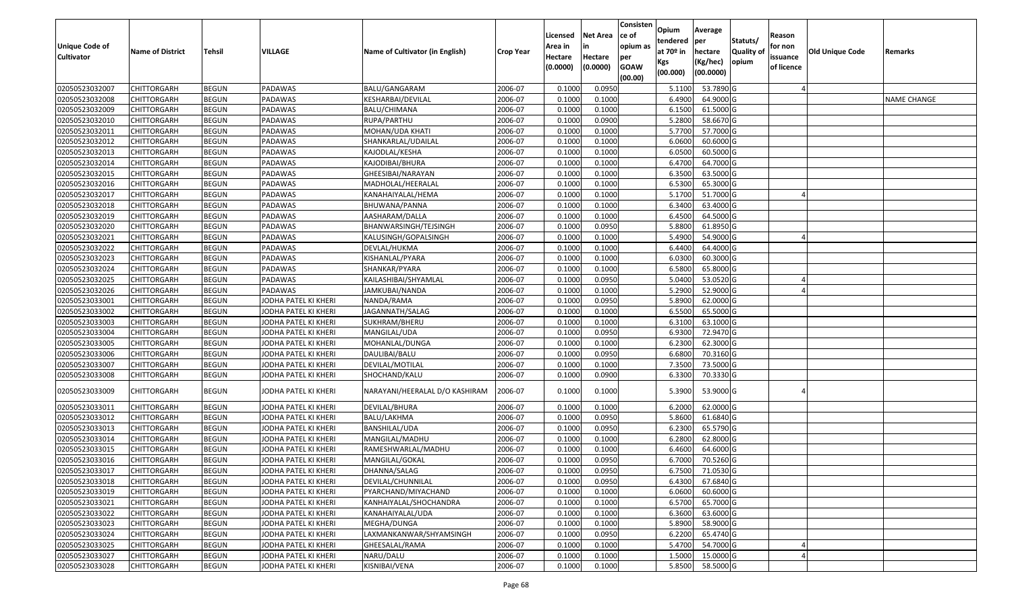| <b>Unique Code of</b><br><b>Cultivator</b> | <b>Name of District</b> | <b>Tehsil</b> | VILLAGE              | Name of Cultivator (in English) | <b>Crop Year</b> | Licensed<br>Area in<br>Hectare<br>(0.0000) | <b>Net Area</b><br>in<br>Hectare<br>(0.0000) | Consisten<br>ce of<br>opium as<br>per<br><b>GOAW</b><br>(00.00) | Opium<br>tendered<br>at 70º in<br>Kgs<br>(00.000) | Average<br>per<br>hectare<br>(Kg/hec)<br>(00.0000) | Statuts/<br>Quality of<br>opium | Reason<br>for non<br>issuance<br>of licence | Old Unique Code | Remarks            |
|--------------------------------------------|-------------------------|---------------|----------------------|---------------------------------|------------------|--------------------------------------------|----------------------------------------------|-----------------------------------------------------------------|---------------------------------------------------|----------------------------------------------------|---------------------------------|---------------------------------------------|-----------------|--------------------|
| 02050523032007                             | <b>CHITTORGARH</b>      | <b>BEGUN</b>  | PADAWAS              | BALU/GANGARAM                   | 2006-07          | 0.1000                                     | 0.0950                                       |                                                                 | 5.1100                                            | 53.7890 G                                          |                                 |                                             |                 |                    |
| 02050523032008                             | <b>CHITTORGARH</b>      | <b>BEGUN</b>  | PADAWAS              | KESHARBAI/DEVILAL               | 2006-07          | 0.1000                                     | 0.1000                                       |                                                                 | 6.4900                                            | 64.9000 G                                          |                                 |                                             |                 | <b>NAME CHANGE</b> |
| 02050523032009                             | <b>CHITTORGARH</b>      | <b>BEGUN</b>  | PADAWAS              | BALU/CHIMANA                    | 2006-07          | 0.1000                                     | 0.1000                                       |                                                                 | 6.1500                                            | 61.5000 G                                          |                                 |                                             |                 |                    |
| 02050523032010                             | <b>CHITTORGARH</b>      | <b>BEGUN</b>  | PADAWAS              | RUPA/PARTHU                     | 2006-07          | 0.1000                                     | 0.0900                                       |                                                                 | 5.2800                                            | 58.6670 G                                          |                                 |                                             |                 |                    |
| 02050523032011                             | <b>CHITTORGARH</b>      | <b>BEGUN</b>  | PADAWAS              | MOHAN/UDA KHATI                 | 2006-07          | 0.1000                                     | 0.1000                                       |                                                                 | 5.7700                                            | 57.7000 G                                          |                                 |                                             |                 |                    |
| 02050523032012                             | <b>CHITTORGARH</b>      | <b>BEGUN</b>  | PADAWAS              | SHANKARLAL/UDAILAL              | 2006-07          | 0.1000                                     | 0.1000                                       |                                                                 | 6.0600                                            | 60.6000 G                                          |                                 |                                             |                 |                    |
| 02050523032013                             | CHITTORGARH             | <b>BEGUN</b>  | PADAWAS              | KAJODLAL/KESHA                  | 2006-07          | 0.1000                                     | 0.1000                                       |                                                                 | 6.0500                                            | 60.5000 G                                          |                                 |                                             |                 |                    |
| 02050523032014                             | <b>CHITTORGARH</b>      | <b>BEGUN</b>  | PADAWAS              | KAJODIBAI/BHURA                 | 2006-07          | 0.1000                                     | 0.1000                                       |                                                                 | 6.4700                                            | 64.7000 G                                          |                                 |                                             |                 |                    |
| 02050523032015                             | <b>CHITTORGARH</b>      | <b>BEGUN</b>  | PADAWAS              | GHEESIBAI/NARAYAN               | 2006-07          | 0.1000                                     | 0.1000                                       |                                                                 | 6.3500                                            | 63.5000 G                                          |                                 |                                             |                 |                    |
| 02050523032016                             | <b>CHITTORGARH</b>      | <b>BEGUN</b>  | PADAWAS              | MADHOLAL/HEERALAL               | 2006-07          | 0.1000                                     | 0.1000                                       |                                                                 | 6.5300                                            | 65.3000 G                                          |                                 |                                             |                 |                    |
| 02050523032017                             | <b>CHITTORGARH</b>      | <b>BEGUN</b>  | PADAWAS              | KANAHAIYALAL/HEMA               | 2006-07          | 0.1000                                     | 0.1000                                       |                                                                 | 5.1700                                            | 51.7000 G                                          |                                 |                                             |                 |                    |
| 02050523032018                             | <b>CHITTORGARH</b>      | <b>BEGUN</b>  | PADAWAS              | BHUWANA/PANNA                   | 2006-07          | 0.1000                                     | 0.1000                                       |                                                                 | 6.3400                                            | 63.4000 G                                          |                                 |                                             |                 |                    |
| 02050523032019                             | <b>CHITTORGARH</b>      | <b>BEGUN</b>  | PADAWAS              | AASHARAM/DALLA                  | 2006-07          | 0.1000                                     | 0.1000                                       |                                                                 | 6.4500                                            | 64.5000 G                                          |                                 |                                             |                 |                    |
| 02050523032020                             | <b>CHITTORGARH</b>      | <b>BEGUN</b>  | PADAWAS              | BHANWARSINGH/TEJSINGH           | 2006-07          | 0.1000                                     | 0.0950                                       |                                                                 | 5.8800                                            | 61.8950 G                                          |                                 |                                             |                 |                    |
| 02050523032021                             | CHITTORGARH             | <b>BEGUN</b>  | PADAWAS              | KALUSINGH/GOPALSINGH            | 2006-07          | 0.1000                                     | 0.1000                                       |                                                                 | 5.4900                                            | 54.9000 G                                          |                                 |                                             |                 |                    |
| 02050523032022                             | <b>CHITTORGARH</b>      | <b>BEGUN</b>  | PADAWAS              | DEVLAL/HUKMA                    | 2006-07          | 0.1000                                     | 0.1000                                       |                                                                 | 6.4400                                            | 64.4000 G                                          |                                 |                                             |                 |                    |
| 02050523032023                             | <b>CHITTORGARH</b>      | <b>BEGUN</b>  | PADAWAS              | KISHANLAL/PYARA                 | 2006-07          | 0.1000                                     | 0.1000                                       |                                                                 | 6.0300                                            | 60.3000 G                                          |                                 |                                             |                 |                    |
| 02050523032024                             | <b>CHITTORGARH</b>      | <b>BEGUN</b>  | PADAWAS              | SHANKAR/PYARA                   | 2006-07          | 0.1000                                     | 0.1000                                       |                                                                 | 6.5800                                            | 65.8000 G                                          |                                 |                                             |                 |                    |
| 02050523032025                             | <b>CHITTORGARH</b>      | <b>BEGUN</b>  | PADAWAS              | KAILASHIBAI/SHYAMLAL            | 2006-07          | 0.1000                                     | 0.0950                                       |                                                                 | 5.0400                                            | 53.0520 G                                          |                                 |                                             |                 |                    |
| 02050523032026                             | <b>CHITTORGARH</b>      | <b>BEGUN</b>  | PADAWAS              | JAMKUBAI/NANDA                  | 2006-07          | 0.1000                                     | 0.1000                                       |                                                                 | 5.2900                                            | 52.9000 G                                          |                                 |                                             |                 |                    |
| 02050523033001                             | <b>CHITTORGARH</b>      | <b>BEGUN</b>  | JODHA PATEL KI KHERI | NANDA/RAMA                      | 2006-07          | 0.1000                                     | 0.0950                                       |                                                                 | 5.8900                                            | 62.0000 G                                          |                                 |                                             |                 |                    |
| 02050523033002                             | <b>CHITTORGARH</b>      | <b>BEGUN</b>  | JODHA PATEL KI KHERI | JAGANNATH/SALAG                 | 2006-07          | 0.1000                                     | 0.1000                                       |                                                                 | 6.5500                                            | 65.5000 G                                          |                                 |                                             |                 |                    |
| 02050523033003                             | <b>CHITTORGARH</b>      | <b>BEGUN</b>  | JODHA PATEL KI KHERI | SUKHRAM/BHERU                   | 2006-07          | 0.1000                                     | 0.1000                                       |                                                                 | 6.3100                                            | 63.1000 G                                          |                                 |                                             |                 |                    |
| 02050523033004                             | <b>CHITTORGARH</b>      | <b>BEGUN</b>  | JODHA PATEL KI KHERI | MANGILAL/UDA                    | 2006-07          | 0.1000                                     | 0.0950                                       |                                                                 | 6.9300                                            | 72.9470 G                                          |                                 |                                             |                 |                    |
| 02050523033005                             | <b>CHITTORGARH</b>      | <b>BEGUN</b>  | JODHA PATEL KI KHERI | MOHANLAL/DUNGA                  | 2006-07          | 0.1000                                     | 0.1000                                       |                                                                 | 6.2300                                            | 62.3000 G                                          |                                 |                                             |                 |                    |
| 02050523033006                             | <b>CHITTORGARH</b>      | <b>BEGUN</b>  | JODHA PATEL KI KHERI | DAULIBAI/BALU                   | 2006-07          | 0.1000                                     | 0.0950                                       |                                                                 | 6.6800                                            | 70.3160 G                                          |                                 |                                             |                 |                    |
| 02050523033007                             | CHITTORGARH             | <b>BEGUN</b>  | JODHA PATEL KI KHERI | DEVILAL/MOTILAL                 | 2006-07          | 0.1000                                     | 0.1000                                       |                                                                 | 7.3500                                            | 73.5000 G                                          |                                 |                                             |                 |                    |
| 02050523033008                             | <b>CHITTORGARH</b>      | <b>BEGUN</b>  | JODHA PATEL KI KHERI | SHOCHAND/KALU                   | 2006-07          | 0.1000                                     | 0.0900                                       |                                                                 | 6.3300                                            | 70.3330 G                                          |                                 |                                             |                 |                    |
| 02050523033009                             | <b>CHITTORGARH</b>      | <b>BEGUN</b>  | JODHA PATEL KI KHERI | NARAYANI/HEERALAL D/O KASHIRAM  | 2006-07          | 0.1000                                     | 0.1000                                       |                                                                 | 5.3900                                            | 53.9000 G                                          |                                 |                                             |                 |                    |
| 02050523033011                             | CHITTORGARH             | <b>BEGUN</b>  | JODHA PATEL KI KHERI | DEVILAL/BHURA                   | 2006-07          | 0.100                                      | 0.1000                                       |                                                                 | 6.2000                                            | 62.0000 G                                          |                                 |                                             |                 |                    |
| 02050523033012                             | CHITTORGARH             | <b>BEGUN</b>  | JODHA PATEL KI KHERI | BALU/LAKHMA                     | 2006-07          | 0.1000                                     | 0.0950                                       |                                                                 | 5.8600                                            | 61.6840 G                                          |                                 |                                             |                 |                    |
| 02050523033013                             | <b>CHITTORGARH</b>      | <b>BEGUN</b>  | JODHA PATEL KI KHERI | BANSHILAL/UDA                   | 2006-07          | 0.1000                                     | 0.0950                                       |                                                                 | 6.2300                                            | 65.5790 G                                          |                                 |                                             |                 |                    |
| 02050523033014                             | <b>CHITTORGARH</b>      | <b>BEGUN</b>  | JODHA PATEL KI KHERI | MANGILAL/MADHU                  | 2006-07          | 0.1000                                     | 0.1000                                       |                                                                 | 6.2800                                            | 62.8000 G                                          |                                 |                                             |                 |                    |
| 02050523033015                             | <b>CHITTORGARH</b>      | <b>BEGUN</b>  | JODHA PATEL KI KHERI | RAMESHWARLAL/MADHU              | 2006-07          | 0.1000                                     | 0.1000                                       |                                                                 | 6.4600                                            | 64.6000 G                                          |                                 |                                             |                 |                    |
| 02050523033016                             | <b>CHITTORGARH</b>      | <b>BEGUN</b>  | JODHA PATEL KI KHERI | MANGILAL/GOKAL                  | 2006-07          | 0.1000                                     | 0.0950                                       |                                                                 | 6.7000                                            | 70.5260 G                                          |                                 |                                             |                 |                    |
| 02050523033017                             | <b>CHITTORGARH</b>      | <b>BEGUN</b>  | JODHA PATEL KI KHERI | DHANNA/SALAG                    | 2006-07          | 0.1000                                     | 0.0950                                       |                                                                 |                                                   | 6.7500 71.0530 G                                   |                                 |                                             |                 |                    |
| 02050523033018                             | <b>CHITTORGARH</b>      | <b>BEGUN</b>  | JODHA PATEL KI KHERI | DEVILAL/CHUNNILAL               | 2006-07          | 0.1000                                     | 0.0950                                       |                                                                 | 6.4300                                            | 67.6840 G                                          |                                 |                                             |                 |                    |
| 02050523033019                             | <b>CHITTORGARH</b>      | <b>BEGUN</b>  | JODHA PATEL KI KHERI | PYARCHAND/MIYACHAND             | 2006-07          | 0.1000                                     | 0.1000                                       |                                                                 | 6.0600                                            | 60.6000 G                                          |                                 |                                             |                 |                    |
| 02050523033021                             | <b>CHITTORGARH</b>      | <b>BEGUN</b>  | JODHA PATEL KI KHERI | KANHAIYALAL/SHOCHANDRA          | 2006-07          | 0.1000                                     | 0.1000                                       |                                                                 | 6.5700                                            | 65.7000 G                                          |                                 |                                             |                 |                    |
| 02050523033022                             | <b>CHITTORGARH</b>      | <b>BEGUN</b>  | JODHA PATEL KI KHERI | KANAHAIYALAL/UDA                | 2006-07          | 0.1000                                     | 0.1000                                       |                                                                 | 6.3600                                            | 63.6000 G                                          |                                 |                                             |                 |                    |
| 02050523033023                             | <b>CHITTORGARH</b>      | <b>BEGUN</b>  | JODHA PATEL KI KHERI | MEGHA/DUNGA                     | 2006-07          | 0.1000                                     | 0.1000                                       |                                                                 | 5.8900                                            | 58.9000 G                                          |                                 |                                             |                 |                    |
| 02050523033024                             | <b>CHITTORGARH</b>      | <b>BEGUN</b>  | JODHA PATEL KI KHERI | LAXMANKANWAR/SHYAMSINGH         | 2006-07          | 0.1000                                     | 0.0950                                       |                                                                 | 6.2200                                            | 65.4740 G                                          |                                 |                                             |                 |                    |
| 02050523033025                             | <b>CHITTORGARH</b>      | <b>BEGUN</b>  | JODHA PATEL KI KHERI | GHEESALAL/RAMA                  | 2006-07          | 0.1000                                     | 0.1000                                       |                                                                 | 5.4700                                            | 54.7000 G                                          |                                 |                                             |                 |                    |
| 02050523033027                             | <b>CHITTORGARH</b>      | <b>BEGUN</b>  | JODHA PATEL KI KHERI | NARU/DALU                       | 2006-07          | 0.1000                                     | 0.1000                                       |                                                                 | 1.5000                                            | 15.0000G                                           |                                 |                                             |                 |                    |
| 02050523033028                             | <b>CHITTORGARH</b>      | <b>BEGUN</b>  | JODHA PATEL KI KHERI | KISNIBAI/VENA                   | 2006-07          | 0.1000                                     | 0.1000                                       |                                                                 | 5.8500                                            | 58.5000 G                                          |                                 |                                             |                 |                    |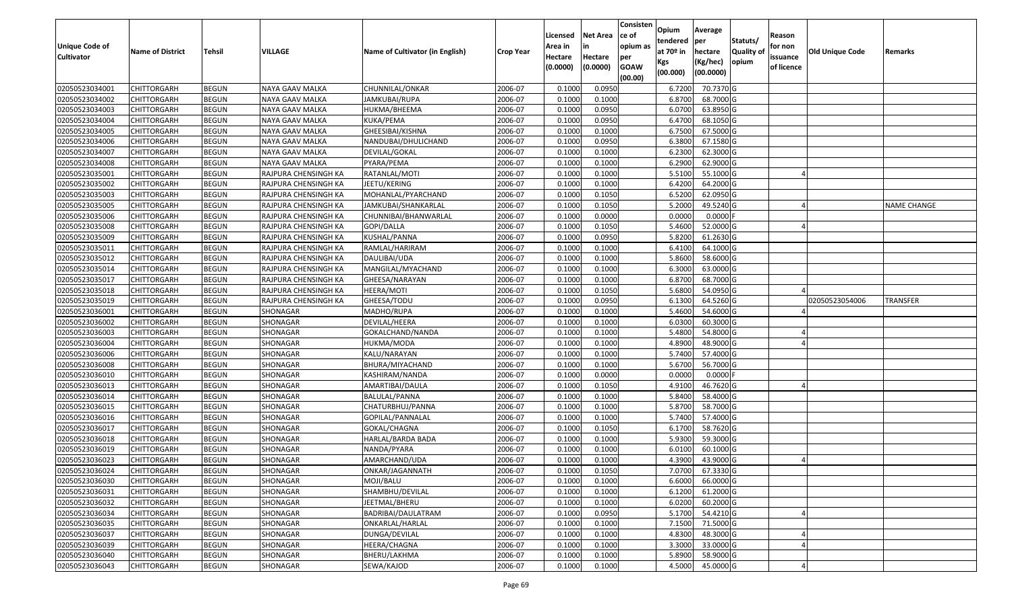| <b>Unique Code of</b><br><b>Cultivator</b> | <b>Name of District</b> | <b>Tehsil</b> | VILLAGE              | Name of Cultivator (in English) | <b>Crop Year</b> | Licensed<br>Area in<br>Hectare | <b>Net Area</b><br>in<br>Hectare | Consisten<br>ce of<br>opium as<br>per | Opium<br>tendered<br>at $70°$ in | Average<br>per<br>hectare | Statuts/<br><b>Quality o</b> | Reason<br>for non<br>issuance | Old Unique Code | Remarks            |
|--------------------------------------------|-------------------------|---------------|----------------------|---------------------------------|------------------|--------------------------------|----------------------------------|---------------------------------------|----------------------------------|---------------------------|------------------------------|-------------------------------|-----------------|--------------------|
|                                            |                         |               |                      |                                 |                  | (0.0000)                       | (0.0000)                         | <b>GOAW</b><br>(00.00)                | Kgs<br>(00.000)                  | (Kg/hec)<br>(00.0000)     | opium                        | of licence                    |                 |                    |
| 02050523034001                             | CHITTORGARH             | <b>BEGUN</b>  | NAYA GAAV MALKA      | CHUNNILAL/ONKAR                 | 2006-07          | 0.1000                         | 0.0950                           |                                       | 6.7200                           | 70.7370 G                 |                              |                               |                 |                    |
| 02050523034002                             | CHITTORGARH             | <b>BEGUN</b>  | NAYA GAAV MALKA      | JAMKUBAI/RUPA                   | 2006-07          | 0.1000                         | 0.1000                           |                                       | 6.8700                           | 68.7000 G                 |                              |                               |                 |                    |
| 02050523034003                             | CHITTORGARH             | <b>BEGUN</b>  | NAYA GAAV MALKA      | HUKMA/BHEEMA                    | 2006-07          | 0.1000                         | 0.0950                           |                                       | 6.0700                           | 63.8950 G                 |                              |                               |                 |                    |
| 02050523034004                             | <b>CHITTORGARH</b>      | <b>BEGUN</b>  | NAYA GAAV MALKA      | KUKA/PEMA                       | 2006-07          | 0.1000                         | 0.0950                           |                                       | 6.4700                           | 68.1050G                  |                              |                               |                 |                    |
| 02050523034005                             | CHITTORGARH             | <b>BEGUN</b>  | NAYA GAAV MALKA      | GHEESIBAI/KISHNA                | 2006-07          | 0.1000                         | 0.1000                           |                                       | 6.7500                           | 67.5000 G                 |                              |                               |                 |                    |
| 02050523034006                             | CHITTORGARH             | <b>BEGUN</b>  | NAYA GAAV MALKA      | NANDUBAI/DHULICHAND             | 2006-07          | 0.1000                         | 0.0950                           |                                       | 6.3800                           | 67.1580 G                 |                              |                               |                 |                    |
| 02050523034007                             | CHITTORGARH             | <b>BEGUN</b>  | NAYA GAAV MALKA      | DEVILAL/GOKAL                   | 2006-07          | 0.1000                         | 0.1000                           |                                       | 6.2300                           | 62.3000G                  |                              |                               |                 |                    |
| 02050523034008                             | CHITTORGARH             | <b>BEGUN</b>  | NAYA GAAV MALKA      | PYARA/PEMA                      | 2006-07          | 0.1000                         | 0.1000                           |                                       | 6.2900                           | 62.9000 G                 |                              |                               |                 |                    |
| 02050523035001                             | CHITTORGARH             | <b>BEGUN</b>  | RAJPURA CHENSINGH KA | RATANLAL/MOTI                   | 2006-07          | 0.1000                         | 0.1000                           |                                       | 5.5100                           | 55.1000G                  |                              |                               |                 |                    |
| 02050523035002                             | CHITTORGARH             | <b>BEGUN</b>  | RAJPURA CHENSINGH KA | JEETU/KERING                    | 2006-07          | 0.1000                         | 0.1000                           |                                       | 6.4200                           | 64.2000 G                 |                              |                               |                 |                    |
| 02050523035003                             | CHITTORGARH             | <b>BEGUN</b>  | RAJPURA CHENSINGH KA | MOHANLAL/PYARCHAND              | 2006-07          | 0.1000                         | 0.1050                           |                                       | 6.5200                           | 62.0950 G                 |                              |                               |                 |                    |
| 02050523035005                             | CHITTORGARH             | <b>BEGUN</b>  | RAJPURA CHENSINGH KA | JAMKUBAI/SHANKARLAL             | 2006-07          | 0.1000                         | 0.1050                           |                                       | 5.2000                           | 49.5240 G                 |                              |                               |                 | <b>NAME CHANGE</b> |
| 02050523035006                             | <b>CHITTORGARH</b>      | <b>BEGUN</b>  | RAJPURA CHENSINGH KA | CHUNNIBAI/BHANWARLAL            | 2006-07          | 0.1000                         | 0.0000                           |                                       | 0.0000                           | $0.0000$ F                |                              |                               |                 |                    |
| 02050523035008                             | CHITTORGARH             | <b>BEGUN</b>  | RAJPURA CHENSINGH KA | GOPI/DALLA                      | 2006-07          | 0.1000                         | 0.1050                           |                                       | 5.4600                           | 52.0000G                  |                              |                               |                 |                    |
| 02050523035009                             | CHITTORGARH             | <b>BEGUN</b>  | RAJPURA CHENSINGH KA | KUSHAL/PANNA                    | 2006-07          | 0.1000                         | 0.0950                           |                                       | 5.8200                           | 61.2630 G                 |                              |                               |                 |                    |
| 02050523035011                             | <b>CHITTORGARH</b>      | <b>BEGUN</b>  | RAJPURA CHENSINGH KA | RAMLAL/HARIRAM                  | 2006-07          | 0.1000                         | 0.1000                           |                                       | 6.4100                           | 64.1000 G                 |                              |                               |                 |                    |
| 02050523035012                             | <b>CHITTORGARH</b>      | <b>BEGUN</b>  | RAJPURA CHENSINGH KA | DAULIBAI/UDA                    | 2006-07          | 0.1000                         | 0.1000                           |                                       | 5.8600                           | 58.6000 G                 |                              |                               |                 |                    |
| 02050523035014                             | CHITTORGARH             | <b>BEGUN</b>  | RAJPURA CHENSINGH KA | MANGILAL/MYACHAND               | 2006-07          | 0.1000                         | 0.1000                           |                                       | 6.3000                           | 63.0000 G                 |                              |                               |                 |                    |
| 02050523035017                             | CHITTORGARH             | <b>BEGUN</b>  | RAJPURA CHENSINGH KA | GHEESA/NARAYAN                  | 2006-07          | 0.100                          | 0.1000                           |                                       | 6.8700                           | 68.7000 G                 |                              |                               |                 |                    |
| 02050523035018                             | CHITTORGARH             | <b>BEGUN</b>  | RAJPURA CHENSINGH KA | HEERA/MOTI                      | 2006-07          | 0.1000                         | 0.1050                           |                                       | 5.6800                           | 54.0950 G                 |                              |                               |                 |                    |
| 02050523035019                             | CHITTORGARH             | <b>BEGUN</b>  | RAJPURA CHENSINGH KA | GHEESA/TODU                     | 2006-07          | 0.100                          | 0.0950                           |                                       | 6.1300                           | 64.5260 G                 |                              |                               | 02050523054006  | <b>TRANSFER</b>    |
| 02050523036001                             | CHITTORGARH             | <b>BEGUN</b>  | SHONAGAR             | MADHO/RUPA                      | 2006-07          | 0.100                          | 0.1000                           |                                       | 5.4600                           | 54.6000 G                 |                              |                               |                 |                    |
| 02050523036002                             | CHITTORGARH             | <b>BEGUN</b>  | SHONAGAR             | DEVILAL/HEERA                   | 2006-07          | 0.1000                         | 0.1000                           |                                       | 6.0300                           | 60.3000 G                 |                              |                               |                 |                    |
| 02050523036003                             | <b>CHITTORGARH</b>      | <b>BEGUN</b>  | SHONAGAR             | GOKALCHAND/NANDA                | 2006-07          | 0.100                          | 0.1000                           |                                       | 5.4800                           | 54.8000 G                 |                              |                               |                 |                    |
| 02050523036004                             | <b>CHITTORGARH</b>      | <b>BEGUN</b>  | SHONAGAR             | HUKMA/MODA                      | 2006-07          | 0.100                          | 0.1000                           |                                       | 4.8900                           | 48.9000 G                 |                              |                               |                 |                    |
| 02050523036006                             | CHITTORGARH             | <b>BEGUN</b>  | SHONAGAR             | KALU/NARAYAN                    | 2006-07          | 0.1000                         | 0.1000                           |                                       | 5.7400                           | 57.4000G                  |                              |                               |                 |                    |
| 02050523036008                             | CHITTORGARH             | <b>BEGUN</b>  | SHONAGAR             | BHURA/MIYACHAND                 | 2006-07          | 0.100                          | 0.1000                           |                                       | 5.6700                           | 56.7000 G                 |                              |                               |                 |                    |
| 02050523036010                             | CHITTORGARH             | <b>BEGUN</b>  | SHONAGAR             | KASHIRAM/NANDA                  | 2006-07          | 0.1000                         | 0.0000                           |                                       | 0.0000                           | $0.0000$ F                |                              |                               |                 |                    |
| 02050523036013                             | CHITTORGARH             | <b>BEGUN</b>  | SHONAGAR             | AMARTIBAI/DAULA                 | 2006-07          | 0.1000                         | 0.1050                           |                                       | 4.9100                           | 46.7620 G                 |                              |                               |                 |                    |
| 02050523036014                             | CHITTORGARH             | <b>BEGUN</b>  | SHONAGAR             | BALULAL/PANNA                   | 2006-07          | 0.1000                         | 0.1000                           |                                       | 5.8400                           | 58.4000 G                 |                              |                               |                 |                    |
| 02050523036015                             | CHITTORGARH             | <b>BEGUN</b>  | SHONAGAR             | CHATURBHUJ/PANNA                | 2006-07          | 0.100                          | 0.1000                           |                                       | 5.8700                           | 58.7000 G                 |                              |                               |                 |                    |
| 02050523036016                             | CHITTORGARH             | <b>BEGUN</b>  | SHONAGAR             | GOPILAL/PANNALAL                | 2006-07          | 0.1000                         | 0.1000                           |                                       | 5.7400                           | 57.4000 G                 |                              |                               |                 |                    |
| 02050523036017                             | CHITTORGARH             | <b>BEGUN</b>  | SHONAGAR             | GOKAL/CHAGNA                    | 2006-07          | 0.100                          | 0.1050                           |                                       | 6.1700                           | 58.7620G                  |                              |                               |                 |                    |
| 02050523036018                             | <b>CHITTORGARH</b>      | <b>BEGUN</b>  | SHONAGAR             | HARLAL/BARDA BADA               | 2006-07          | 0.1000                         | 0.1000                           |                                       | 5.9300                           | 59.3000 G                 |                              |                               |                 |                    |
| 02050523036019                             | CHITTORGARH             | <b>BEGUN</b>  | SHONAGAR             | NANDA/PYARA                     | 2006-07          | 0.1000                         | 0.1000                           |                                       | 6.0100                           | 60.1000 G                 |                              |                               |                 |                    |
| 02050523036023                             | CHITTORGARH             | <b>BEGUN</b>  | SHONAGAR             | AMARCHAND/UDA                   | 2006-07          | 0.1000                         | 0.1000                           |                                       | 4.3900                           | 43.9000G                  |                              |                               |                 |                    |
| 02050523036024                             | <b>CHITTORGARH</b>      | <b>BEGUN</b>  | SHONAGAR             | ONKAR/JAGANNATH                 | 2006-07          | 0.1000                         | 0.1050                           |                                       | 7.0700                           | 67.3330 G                 |                              |                               |                 |                    |
| 02050523036030                             | <b>CHITTORGARH</b>      | <b>BEGUN</b>  | SHONAGAR             | MOJI/BALU                       | 2006-07          | 0.1000                         | 0.1000                           |                                       | 6.6000                           | 66.0000 G                 |                              |                               |                 |                    |
| 02050523036031                             | <b>CHITTORGARH</b>      | <b>BEGUN</b>  | SHONAGAR             | SHAMBHU/DEVILAL                 | 2006-07          | 0.1000                         | 0.1000                           |                                       | 6.1200                           | 61.2000 G                 |                              |                               |                 |                    |
| 02050523036032                             | <b>CHITTORGARH</b>      | <b>BEGUN</b>  | SHONAGAR             | JEETMAL/BHERU                   | 2006-07          | 0.1000                         | 0.1000                           |                                       | 6.0200                           | 60.2000 G                 |                              |                               |                 |                    |
| 02050523036034                             | CHITTORGARH             | <b>BEGUN</b>  | SHONAGAR             | BADRIBAI/DAULATRAM              | 2006-07          | 0.1000                         | 0.0950                           |                                       | 5.1700                           | 54.4210 G                 |                              |                               |                 |                    |
| 02050523036035                             | <b>CHITTORGARH</b>      | <b>BEGUN</b>  | SHONAGAR             | ONKARLAL/HARLAL                 | 2006-07          | 0.1000                         | 0.1000                           |                                       | 7.1500                           | 71.5000 G                 |                              |                               |                 |                    |
| 02050523036037                             | <b>CHITTORGARH</b>      | <b>BEGUN</b>  | SHONAGAR             | DUNGA/DEVILAL                   | 2006-07          | 0.1000                         | 0.1000                           |                                       | 4.8300                           | 48.3000 G                 |                              |                               |                 |                    |
| 02050523036039                             | CHITTORGARH             | <b>BEGUN</b>  | SHONAGAR             | HEERA/CHAGNA                    | 2006-07          | 0.1000                         | 0.1000                           |                                       | 3.3000                           | 33.0000 G                 |                              |                               |                 |                    |
| 02050523036040                             | <b>CHITTORGARH</b>      | <b>BEGUN</b>  | SHONAGAR             | BHERU/LAKHMA                    | 2006-07          | 0.1000                         | 0.1000                           |                                       | 5.8900                           | 58.9000 G                 |                              |                               |                 |                    |
| 02050523036043                             | <b>CHITTORGARH</b>      | <b>BEGUN</b>  | SHONAGAR             | SEWA/KAJOD                      | 2006-07          | 0.1000                         | 0.1000                           |                                       | 4.5000                           | 45.0000 G                 |                              |                               |                 |                    |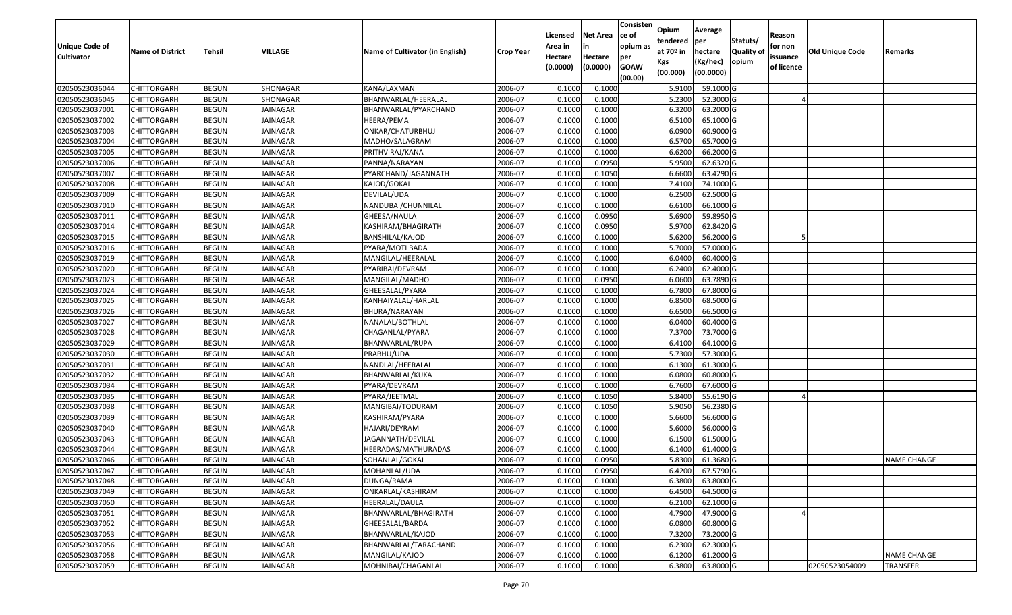| <b>Unique Code of</b> | <b>Name of District</b> | <b>Tehsil</b> | VILLAGE         | Name of Cultivator (in English) | <b>Crop Year</b> | Licensed<br>Area in | <b>Net Area</b><br>in | Consisten<br>ce of<br>opium as | Opium<br>tendered<br>at $70°$ in | Average<br>per<br>hectare | Statuts/<br><b>Quality o</b> | Reason<br>for non      | <b>Old Unique Code</b> | Remarks            |
|-----------------------|-------------------------|---------------|-----------------|---------------------------------|------------------|---------------------|-----------------------|--------------------------------|----------------------------------|---------------------------|------------------------------|------------------------|------------------------|--------------------|
| <b>Cultivator</b>     |                         |               |                 |                                 |                  | Hectare<br>(0.0000) | Hectare<br>(0.0000)   | per<br><b>GOAW</b><br>(00.00)  | Kgs<br>(00.000)                  | (Kg/hec)<br>(00.0000)     | opium                        | issuance<br>of licence |                        |                    |
| 02050523036044        | CHITTORGARH             | <b>BEGUN</b>  | SHONAGAR        | KANA/LAXMAN                     | 2006-07          | 0.1000              | 0.1000                |                                | 5.9100                           | 59.1000G                  |                              |                        |                        |                    |
| 02050523036045        | CHITTORGARH             | <b>BEGUN</b>  | SHONAGAR        | BHANWARLAL/HEERALAL             | 2006-07          | 0.1000              | 0.1000                |                                | 5.2300                           | 52.3000G                  |                              |                        |                        |                    |
| 02050523037001        | CHITTORGARH             | <b>BEGUN</b>  | JAINAGAR        | BHANWARLAL/PYARCHAND            | 2006-07          | 0.1000              | 0.1000                |                                | 6.3200                           | 63.2000 G                 |                              |                        |                        |                    |
| 02050523037002        | <b>CHITTORGARH</b>      | <b>BEGUN</b>  | <b>JAINAGAR</b> | HEERA/PEMA                      | 2006-07          | 0.1000              | 0.1000                |                                | 6.5100                           | 65.1000G                  |                              |                        |                        |                    |
| 02050523037003        | CHITTORGARH             | <b>BEGUN</b>  | <b>JAINAGAR</b> | ONKAR/CHATURBHUJ                | 2006-07          | 0.1000              | 0.1000                |                                | 6.0900                           | 60.9000G                  |                              |                        |                        |                    |
| 02050523037004        | <b>CHITTORGARH</b>      | <b>BEGUN</b>  | <b>JAINAGAR</b> | MADHO/SALAGRAM                  | 2006-07          | 0.1000              | 0.1000                |                                | 6.5700                           | 65.7000 G                 |                              |                        |                        |                    |
| 02050523037005        | CHITTORGARH             | <b>BEGUN</b>  | JAINAGAR        | PRITHVIRAJ/KANA                 | 2006-07          | 0.1000              | 0.1000                |                                | 6.6200                           | 66.2000 G                 |                              |                        |                        |                    |
| 02050523037006        | CHITTORGARH             | <b>BEGUN</b>  | JAINAGAR        | PANNA/NARAYAN                   | 2006-07          | 0.1000              | 0.0950                |                                | 5.9500                           | 62.6320 G                 |                              |                        |                        |                    |
| 02050523037007        | CHITTORGARH             | <b>BEGUN</b>  | <b>JAINAGAR</b> | PYARCHAND/JAGANNATH             | 2006-07          | 0.1000              | 0.1050                |                                | 6.6600                           | 63.4290 G                 |                              |                        |                        |                    |
| 02050523037008        | <b>CHITTORGARH</b>      | <b>BEGUN</b>  | <b>JAINAGAR</b> | KAJOD/GOKAL                     | 2006-07          | 0.1000              | 0.1000                |                                | 7.4100                           | 74.1000 G                 |                              |                        |                        |                    |
| 02050523037009        | CHITTORGARH             | <b>BEGUN</b>  | <b>JAINAGAR</b> | DEVILAL/UDA                     | 2006-07          | 0.1000              | 0.1000                |                                | 6.2500                           | 62.5000 G                 |                              |                        |                        |                    |
| 02050523037010        | <b>CHITTORGARH</b>      | <b>BEGUN</b>  | <b>JAINAGAR</b> | NANDUBAI/CHUNNILAL              | 2006-07          | 0.1000              | 0.1000                |                                | 6.6100                           | 66.1000G                  |                              |                        |                        |                    |
| 02050523037011        | <b>CHITTORGARH</b>      | <b>BEGUN</b>  | <b>JAINAGAR</b> | GHEESA/NAULA                    | 2006-07          | 0.1000              | 0.0950                |                                | 5.6900                           | 59.8950 G                 |                              |                        |                        |                    |
| 02050523037014        | <b>CHITTORGARH</b>      | <b>BEGUN</b>  | <b>JAINAGAR</b> | KASHIRAM/BHAGIRATH              | 2006-07          | 0.1000              | 0.0950                |                                | 5.9700                           | 62.8420 G                 |                              |                        |                        |                    |
| 02050523037015        | <b>CHITTORGARH</b>      | <b>BEGUN</b>  | <b>JAINAGAR</b> | BANSHILAL/KAJOD                 | 2006-07          | 0.1000              | 0.1000                |                                | 5.6200                           | 56.2000 G                 |                              |                        |                        |                    |
| 02050523037016        | CHITTORGARH             | <b>BEGUN</b>  | <b>JAINAGAR</b> | PYARA/MOTI BADA                 | 2006-07          | 0.1000              | 0.1000                |                                | 5.7000                           | 57.0000G                  |                              |                        |                        |                    |
| 02050523037019        | CHITTORGARH             | <b>BEGUN</b>  | <b>JAINAGAR</b> | MANGILAL/HEERALAL               | 2006-07          | 0.1000              | 0.1000                |                                | 6.0400                           | 60.4000 G                 |                              |                        |                        |                    |
| 02050523037020        | CHITTORGARH             | <b>BEGUN</b>  | <b>JAINAGAR</b> | PYARIBAI/DEVRAM                 | 2006-07          | 0.100               | 0.1000                |                                | 6.2400                           | 62.4000 G                 |                              |                        |                        |                    |
| 02050523037023        | CHITTORGARH             | <b>BEGUN</b>  | <b>JAINAGAR</b> | MANGILAL/MADHO                  | 2006-07          | 0.100               | 0.0950                |                                | 6.0600                           | 63.7890 G                 |                              |                        |                        |                    |
| 02050523037024        | CHITTORGARH             | <b>BEGUN</b>  | <b>JAINAGAR</b> | GHEESALAL/PYARA                 | 2006-07          | 0.1000              | 0.1000                |                                | 6.7800                           | 67.8000 G                 |                              |                        |                        |                    |
| 02050523037025        | CHITTORGARH             | <b>BEGUN</b>  | <b>JAINAGAR</b> | KANHAIYALAL/HARLAL              | 2006-07          | 0.1000              | 0.1000                |                                | 6.8500                           | 68.5000G                  |                              |                        |                        |                    |
| 02050523037026        | CHITTORGARH             | <b>BEGUN</b>  | <b>JAINAGAR</b> | BHURA/NARAYAN                   | 2006-07          | 0.1000              | 0.1000                |                                | 6.650                            | 66.5000 G                 |                              |                        |                        |                    |
| 02050523037027        | CHITTORGARH             | <b>BEGUN</b>  | <b>JAINAGAR</b> | NANALAL/BOTHLAL                 | 2006-07          | 0.1000              | 0.1000                |                                | 6.0400                           | 60.4000 G                 |                              |                        |                        |                    |
| 02050523037028        | CHITTORGARH             | <b>BEGUN</b>  | <b>JAINAGAR</b> | CHAGANLAL/PYARA                 | 2006-07          | 0.1000              | 0.1000                |                                | 7.3700                           | 73.7000G                  |                              |                        |                        |                    |
| 02050523037029        | <b>CHITTORGARH</b>      | <b>BEGUN</b>  | <b>JAINAGAR</b> | BHANWARLAL/RUPA                 | 2006-07          | 0.1000              | 0.1000                |                                | 6.4100                           | 64.1000 G                 |                              |                        |                        |                    |
| 02050523037030        | CHITTORGARH             | <b>BEGUN</b>  | <b>JAINAGAR</b> | PRABHU/UDA                      | 2006-07          | 0.1000              | 0.1000                |                                | 5.7300                           | 57.3000G                  |                              |                        |                        |                    |
| 02050523037031        | CHITTORGARH             | <b>BEGUN</b>  | <b>JAINAGAR</b> | NANDLAL/HEERALAL                | 2006-07          | 0.1000              | 0.1000                |                                | 6.1300                           | 61.3000G                  |                              |                        |                        |                    |
| 02050523037032        | CHITTORGARH             | <b>BEGUN</b>  | <b>JAINAGAR</b> | BHANWARLAL/KUKA                 | 2006-07          | 0.1000              | 0.1000                |                                | 6.0800                           | 60.8000 G                 |                              |                        |                        |                    |
| 02050523037034        | CHITTORGARH             | <b>BEGUN</b>  | <b>JAINAGAR</b> | PYARA/DEVRAM                    | 2006-07          | 0.1000              | 0.1000                |                                | 6.7600                           | 67.6000 G                 |                              |                        |                        |                    |
| 02050523037035        | <b>CHITTORGARH</b>      | <b>BEGUN</b>  | <b>JAINAGAR</b> | PYARA/JEETMAL                   | 2006-07          | 0.1000              | 0.1050                |                                | 5.8400                           | 55.6190 G                 |                              |                        |                        |                    |
| 02050523037038        | CHITTORGARH             | <b>BEGUN</b>  | JAINAGAR        | MANGIBAI/TODURAM                | 2006-07          | 0.1000              | 0.1050                |                                | 5.9050                           | 56.2380 G                 |                              |                        |                        |                    |
| 02050523037039        | CHITTORGARH             | <b>BEGUN</b>  | JAINAGAR        | KASHIRAM/PYARA                  | 2006-07          | 0.1000              | 0.1000                |                                | 5.6600                           | 56.6000 G                 |                              |                        |                        |                    |
| 02050523037040        | CHITTORGARH             | <b>BEGUN</b>  | JAINAGAR        | HAJARI/DEYRAM                   | 2006-07          | 0.1000              | 0.1000                |                                | 5.6000                           | 56.0000G                  |                              |                        |                        |                    |
| 02050523037043        | CHITTORGARH             | <b>BEGUN</b>  | JAINAGAR        | JAGANNATH/DEVILAL               | 2006-07          | 0.1000              | 0.1000                |                                | 6.1500                           | 61.5000G                  |                              |                        |                        |                    |
| 02050523037044        | CHITTORGARH             | <b>BEGUN</b>  | JAINAGAR        | HEERADAS/MATHURADAS             | 2006-07          | 0.1000              | 0.1000                |                                | 6.1400                           | 61.4000 G                 |                              |                        |                        |                    |
| 02050523037046        | CHITTORGARH             | <b>BEGUN</b>  | JAINAGAR        | SOHANLAL/GOKAL                  | 2006-07          | 0.1000              | 0.0950                |                                | 5.8300                           | 61.3680 G                 |                              |                        |                        | <b>NAME CHANGE</b> |
| 02050523037047        | <b>CHITTORGARH</b>      | <b>BEGUN</b>  | <b>JAINAGAR</b> | MOHANLAL/UDA                    | 2006-07          | 0.1000              | 0.0950                |                                | 6.4200                           | 67.5790 G                 |                              |                        |                        |                    |
| 02050523037048        | <b>CHITTORGARH</b>      | <b>BEGUN</b>  | JAINAGAR        | DUNGA/RAMA                      | 2006-07          | 0.1000              | 0.1000                |                                | 6.3800                           | 63.8000 G                 |                              |                        |                        |                    |
| 02050523037049        | <b>CHITTORGARH</b>      | <b>BEGUN</b>  | JAINAGAR        | ONKARLAL/KASHIRAM               | 2006-07          | 0.1000              | 0.1000                |                                | 6.4500                           | 64.5000 G                 |                              |                        |                        |                    |
| 02050523037050        | <b>CHITTORGARH</b>      | <b>BEGUN</b>  | JAINAGAR        | HEERALAL/DAULA                  | 2006-07          | 0.1000              | 0.1000                |                                | 6.2100                           | 62.1000 G                 |                              |                        |                        |                    |
| 02050523037051        | CHITTORGARH             | <b>BEGUN</b>  | JAINAGAR        | BHANWARLAL/BHAGIRATH            | 2006-07          | 0.1000              | 0.1000                |                                | 4.7900                           | 47.9000 G                 |                              |                        |                        |                    |
| 02050523037052        | <b>CHITTORGARH</b>      | <b>BEGUN</b>  | JAINAGAR        | GHEESALAL/BARDA                 | 2006-07          | 0.1000              | 0.1000                |                                | 6.0800                           | 60.8000 G                 |                              |                        |                        |                    |
| 02050523037053        | <b>CHITTORGARH</b>      | <b>BEGUN</b>  | JAINAGAR        | BHANWARLAL/KAJOD                | 2006-07          | 0.1000              | 0.1000                |                                | 7.3200                           | 73.2000 G                 |                              |                        |                        |                    |
| 02050523037056        | <b>CHITTORGARH</b>      | <b>BEGUN</b>  | JAINAGAR        | BHANWARLAL/TARACHAND            | 2006-07          | 0.1000              | 0.1000                |                                | 6.2300                           | 62.3000 G                 |                              |                        |                        |                    |
| 02050523037058        | <b>CHITTORGARH</b>      | <b>BEGUN</b>  | JAINAGAR        | MANGILAL/KAJOD                  | 2006-07          | 0.1000              | 0.1000                |                                | 6.1200                           | 61.2000 G                 |                              |                        |                        | <b>NAME CHANGE</b> |
| 02050523037059        | <b>CHITTORGARH</b>      | <b>BEGUN</b>  | JAINAGAR        | MOHNIBAI/CHAGANLAL              | 2006-07          | 0.1000              | 0.1000                |                                | 6.3800                           | 63.8000 G                 |                              |                        | 02050523054009         | <b>TRANSFER</b>    |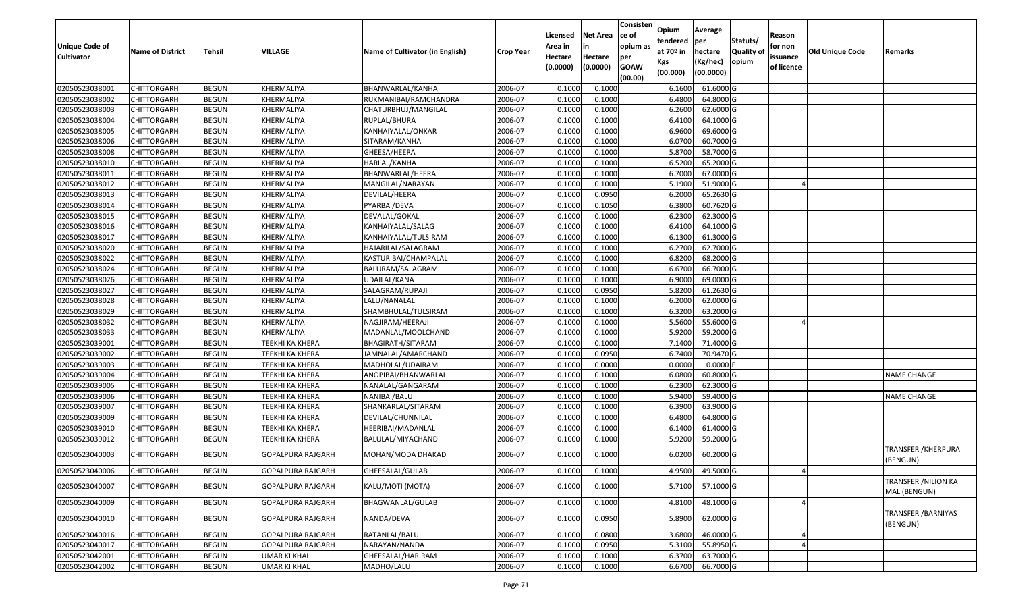| <b>Unique Code of</b><br><b>Cultivator</b> | <b>Name of District</b> | Tehsil       | VILLAGE                | Name of Cultivator (in English) | <b>Crop Year</b> | Licensed<br>Area in<br>Hectare<br>(0.0000) | Net Area<br>in<br>Hectare<br>(0.0000) | Consisten<br>ce of<br>opium as<br>per<br><b>GOAW</b><br>(00.00) | Opium<br>tendered<br>at 70º in<br>Kgs<br>(00.000) | Average<br> per<br>hectare<br>(Kg/hec)<br>(00.0000) | Statuts/<br><b>Quality of</b><br>opium | Reason<br>for non<br>issuance<br>of licence | <b>Old Unique Code</b> | Remarks                                     |
|--------------------------------------------|-------------------------|--------------|------------------------|---------------------------------|------------------|--------------------------------------------|---------------------------------------|-----------------------------------------------------------------|---------------------------------------------------|-----------------------------------------------------|----------------------------------------|---------------------------------------------|------------------------|---------------------------------------------|
| 02050523038001                             | <b>CHITTORGARH</b>      | <b>BEGUN</b> | KHERMALIYA             | BHANWARLAL/KANHA                | 2006-07          | 0.1000                                     | 0.1000                                |                                                                 | 6.1600                                            | 61.6000 G                                           |                                        |                                             |                        |                                             |
| 02050523038002                             | CHITTORGARH             | <b>BEGUN</b> | KHERMALIYA             | RUKMANIBAI/RAMCHANDRA           | 2006-07          | 0.1000                                     | 0.1000                                |                                                                 | 6.4800                                            | 64.8000 G                                           |                                        |                                             |                        |                                             |
| 02050523038003                             | CHITTORGARH             | <b>BEGUN</b> | KHERMALIYA             | CHATURBHUJ/MANGILAL             | 2006-07          | 0.1000                                     | 0.1000                                |                                                                 | 6.2600                                            | 62.6000 G                                           |                                        |                                             |                        |                                             |
| 02050523038004                             | <b>CHITTORGARH</b>      | <b>BEGUN</b> | KHERMALIYA             | RUPLAL/BHURA                    | 2006-07          | 0.1000                                     | 0.1000                                |                                                                 | 6.4100                                            | 64.1000 G                                           |                                        |                                             |                        |                                             |
| 02050523038005                             | <b>CHITTORGARH</b>      | <b>BEGUN</b> | KHERMALIYA             | KANHAIYALAL/ONKAR               | 2006-07          | 0.1000                                     | 0.1000                                |                                                                 | 6.9600                                            | 69.6000 G                                           |                                        |                                             |                        |                                             |
| 02050523038006                             | <b>CHITTORGARH</b>      | <b>BEGUN</b> | KHERMALIYA             | SITARAM/KANHA                   | 2006-07          | 0.1000                                     | 0.1000                                |                                                                 | 6.0700                                            | 60.7000 G                                           |                                        |                                             |                        |                                             |
| 02050523038008                             | CHITTORGARH             | <b>BEGUN</b> | KHERMALIYA             | GHEESA/HEERA                    | 2006-07          | 0.1000                                     | 0.1000                                |                                                                 | 5.8700                                            | 58.7000 G                                           |                                        |                                             |                        |                                             |
| 02050523038010                             | <b>CHITTORGARH</b>      | <b>BEGUN</b> | KHERMALIYA             | HARLAL/KANHA                    | 2006-07          | 0.1000                                     | 0.1000                                |                                                                 | 6.5200                                            | 65.2000 G                                           |                                        |                                             |                        |                                             |
| 02050523038011                             | <b>CHITTORGARH</b>      | <b>BEGUN</b> | KHERMALIYA             | BHANWARLAL/HEERA                | 2006-07          | 0.1000                                     | 0.1000                                |                                                                 | 6.7000                                            | 67.0000 G                                           |                                        |                                             |                        |                                             |
| 02050523038012                             | CHITTORGARH             | <b>BEGUN</b> | KHERMALIYA             | MANGILAL/NARAYAN                | 2006-07          | 0.1000                                     | 0.1000                                |                                                                 | 5.1900                                            | 51.9000 G                                           |                                        |                                             |                        |                                             |
| 02050523038013                             | CHITTORGARH             | <b>BEGUN</b> | KHERMALIYA             | DEVILAL/HEERA                   | 2006-07          | 0.1000                                     | 0.0950                                |                                                                 | 6.2000                                            | 65.2630 G                                           |                                        |                                             |                        |                                             |
| 02050523038014                             | CHITTORGARH             | <b>BEGUN</b> | KHERMALIYA             | PYARBAI/DEVA                    | 2006-07          | 0.1000                                     | 0.1050                                |                                                                 | 6.3800                                            | 60.7620 G                                           |                                        |                                             |                        |                                             |
| 02050523038015                             | CHITTORGARH             | <b>BEGUN</b> | KHERMALIYA             | DEVALAL/GOKAL                   | 2006-07          | 0.1000                                     | 0.1000                                |                                                                 | 6.2300                                            | 62.3000 G                                           |                                        |                                             |                        |                                             |
| 02050523038016                             | CHITTORGARH             | <b>BEGUN</b> | KHERMALIYA             | KANHAIYALAL/SALAG               | 2006-07          | 0.1000                                     | 0.1000                                |                                                                 | 6.4100                                            | 64.1000 G                                           |                                        |                                             |                        |                                             |
| 02050523038017                             | CHITTORGARH             | <b>BEGUN</b> | KHERMALIYA             | KANHAIYALAL/TULSIRAM            | 2006-07          | 0.1000                                     | 0.1000                                |                                                                 | 6.1300                                            | 61.3000 G                                           |                                        |                                             |                        |                                             |
| 02050523038020                             | CHITTORGARH             | <b>BEGUN</b> | KHERMALIYA             | HAJARILAL/SALAGRAM              | 2006-07          | 0.1000                                     | 0.1000                                |                                                                 | 6.2700                                            | 62.7000 G                                           |                                        |                                             |                        |                                             |
| 02050523038022                             | CHITTORGARH             | <b>BEGUN</b> | KHERMALIYA             | KASTURIBAI/CHAMPALAL            | 2006-07          | 0.1000                                     | 0.1000                                |                                                                 | 6.8200                                            | 68.2000 G                                           |                                        |                                             |                        |                                             |
| 02050523038024                             | CHITTORGARH             | <b>BEGUN</b> | KHERMALIYA             | BALURAM/SALAGRAM                | 2006-07          | 0.1000                                     | 0.1000                                |                                                                 | 6.6700                                            | 66.7000 G                                           |                                        |                                             |                        |                                             |
| 02050523038026                             | CHITTORGARH             | <b>BEGUN</b> | KHERMALIYA             | UDAILAL/KANA                    | 2006-07          | 0.1000                                     | 0.1000                                |                                                                 | 6.9000                                            | 69.0000 G                                           |                                        |                                             |                        |                                             |
| 02050523038027                             | CHITTORGARH             | <b>BEGUN</b> | KHERMALIYA             | SALAGRAM/RUPAJI                 | 2006-07          | 0.1000                                     | 0.0950                                |                                                                 | 5.8200                                            | 61.2630 G                                           |                                        |                                             |                        |                                             |
| 02050523038028                             | <b>CHITTORGARH</b>      | <b>BEGUN</b> | KHERMALIYA             | LALU/NANALAL                    | 2006-07          | 0.1000                                     | 0.1000                                |                                                                 | 6.2000                                            | 62.0000 G                                           |                                        |                                             |                        |                                             |
| 02050523038029                             | CHITTORGARH             | <b>BEGUN</b> | KHERMALIYA             | SHAMBHULAL/TULSIRAM             | 2006-07          | 0.1000                                     | 0.1000                                |                                                                 | 6.3200                                            | 63.2000 G                                           |                                        |                                             |                        |                                             |
| 02050523038032                             | CHITTORGARH             | <b>BEGUN</b> | KHERMALIYA             | NAGJIRAM/HEERAJI                | 2006-07          | 0.1000                                     | 0.1000                                |                                                                 | 5.5600                                            | 55.6000 G                                           |                                        |                                             |                        |                                             |
| 02050523038033                             | CHITTORGARH             | <b>BEGUN</b> | KHERMALIYA             | MADANLAL/MOOLCHAND              | 2006-07          | 0.1000                                     | 0.1000                                |                                                                 | 5.9200                                            | 59.2000 G                                           |                                        |                                             |                        |                                             |
| 02050523039001                             | <b>CHITTORGARH</b>      | <b>BEGUN</b> | TEEKHI KA KHERA        | BHAGIRATH/SITARAM               | 2006-07          | 0.1000                                     | 0.1000                                |                                                                 | 7.1400                                            | 71.4000 G                                           |                                        |                                             |                        |                                             |
| 02050523039002                             | CHITTORGARH             | <b>BEGUN</b> | TEEKHI KA KHERA        | JAMNALAL/AMARCHAND              | 2006-07          | 0.1000                                     | 0.0950                                |                                                                 | 6.7400                                            | 70.9470 G                                           |                                        |                                             |                        |                                             |
| 02050523039003                             | CHITTORGARH             | <b>BEGUN</b> | TEEKHI KA KHERA        | MADHOLAL/UDAIRAM                | 2006-07          | 0.1000                                     | 0.0000                                |                                                                 | 0.0000                                            | $0.0000$ F                                          |                                        |                                             |                        |                                             |
| 02050523039004                             | CHITTORGARH             | <b>BEGUN</b> | TEEKHI KA KHERA        | ANOPIBAI/BHANWARLAL             | 2006-07          | 0.1000                                     | 0.1000                                |                                                                 | 6.0800                                            | 60.8000 G                                           |                                        |                                             |                        | <b>NAME CHANGE</b>                          |
| 02050523039005                             | <b>CHITTORGARH</b>      | <b>BEGUN</b> | <b>TEEKHI KA KHERA</b> | NANALAL/GANGARAM                | 2006-07          | 0.1000                                     | 0.1000                                |                                                                 | 6.2300                                            | 62.3000 G                                           |                                        |                                             |                        |                                             |
| 02050523039006                             | <b>CHITTORGARH</b>      | <b>BEGUN</b> | TEEKHI KA KHERA        | NANIBAI/BALU                    | 2006-07          | 0.1000                                     | 0.1000                                |                                                                 | 5.9400                                            | 59.4000 G                                           |                                        |                                             |                        | <b>NAME CHANGE</b>                          |
| 02050523039007                             | <b>CHITTORGARH</b>      | <b>BEGUN</b> | TEEKHI KA KHERA        | SHANKARLAL/SITARAM              | 2006-07          | 0.1000                                     | 0.1000                                |                                                                 | 6.3900                                            | 63.9000 G                                           |                                        |                                             |                        |                                             |
| 02050523039009                             | CHITTORGARH             | <b>BEGUN</b> | TEEKHI KA KHERA        | DEVILAL/CHUNNILAL               | 2006-07          | 0.1000                                     | 0.1000                                |                                                                 | 6.4800                                            | 64.8000 G                                           |                                        |                                             |                        |                                             |
| 02050523039010                             | <b>CHITTORGARH</b>      | <b>BEGUN</b> | TEEKHI KA KHERA        | HEERIBAI/MADANLAL               | 2006-07          | 0.1000                                     | 0.1000                                |                                                                 | 6.1400                                            | 61.4000 G                                           |                                        |                                             |                        |                                             |
| 02050523039012                             | <b>CHITTORGARH</b>      | <b>BEGUN</b> | TEEKHI KA KHERA        | BALULAL/MIYACHAND               | 2006-07          | 0.1000                                     | 0.1000                                |                                                                 | 5.9200                                            | 59.2000 G                                           |                                        |                                             |                        |                                             |
| 02050523040003                             | CHITTORGARH             | <b>BEGUN</b> | GOPALPURA RAJGARH      | MOHAN/MODA DHAKAD               | 2006-07          | 0.1000                                     | 0.1000                                |                                                                 | 6.0200                                            | 60.2000 G                                           |                                        |                                             |                        | TRANSFER /KHERPURA<br>(BENGUN)              |
| 02050523040006                             | <b>CHITTORGARH</b>      | <b>BEGUN</b> | GOPALPURA RAJGARH      | GHEESALAL/GULAB                 | 2006-07          | 0.1000                                     | 0.1000                                |                                                                 | 4.9500                                            | 49.5000 G                                           |                                        |                                             |                        |                                             |
| 02050523040007                             | <b>CHITTORGARH</b>      | <b>BEGUN</b> | GOPALPURA RAJGARH      | KALU/MOTI (MOTA)                | 2006-07          | 0.1000                                     | 0.1000                                |                                                                 | 5.7100                                            | 57.1000 G                                           |                                        |                                             |                        | <b>TRANSFER / NILION KA</b><br>MAL (BENGUN) |
| 02050523040009                             | <b>CHITTORGARH</b>      | <b>BEGUN</b> | GOPALPURA RAJGARH      | BHAGWANLAL/GULAB                | 2006-07          | 0.1000                                     | 0.1000                                |                                                                 | 4.8100                                            | 48.1000 G                                           |                                        | $\overline{a}$                              |                        |                                             |
| 02050523040010                             | CHITTORGARH             | <b>BEGUN</b> | GOPALPURA RAJGARH      | NANDA/DEVA                      | 2006-07          | 0.1000                                     | 0.0950                                |                                                                 | 5.8900                                            | 62.0000 G                                           |                                        |                                             |                        | <b>TRANSFER / BARNIYAS</b><br>(BENGUN)      |
| 02050523040016                             | <b>CHITTORGARH</b>      | <b>BEGUN</b> | GOPALPURA RAJGARH      | RATANLAL/BALU                   | 2006-07          | 0.1000                                     | 0.0800                                |                                                                 | 3.6800                                            | 46.0000 G                                           |                                        |                                             |                        |                                             |
| 02050523040017                             | <b>CHITTORGARH</b>      | <b>BEGUN</b> | GOPALPURA RAJGARH      | NARAYAN/NANDA                   | 2006-07          | 0.1000                                     | 0.0950                                |                                                                 | 5.3100                                            | 55.8950 G                                           |                                        |                                             |                        |                                             |
| 02050523042001                             | CHITTORGARH             | <b>BEGUN</b> | <b>UMAR KI KHAL</b>    | GHEESALAL/HARIRAM               | 2006-07          | 0.1000                                     | 0.1000                                |                                                                 | 6.3700                                            | 63.7000 G                                           |                                        |                                             |                        |                                             |
| 02050523042002                             | <b>CHITTORGARH</b>      | <b>BEGUN</b> | UMAR KI KHAL           | MADHO/LALU                      | 2006-07          | 0.1000                                     | 0.1000                                |                                                                 | 6.6700                                            | 66.7000 G                                           |                                        |                                             |                        |                                             |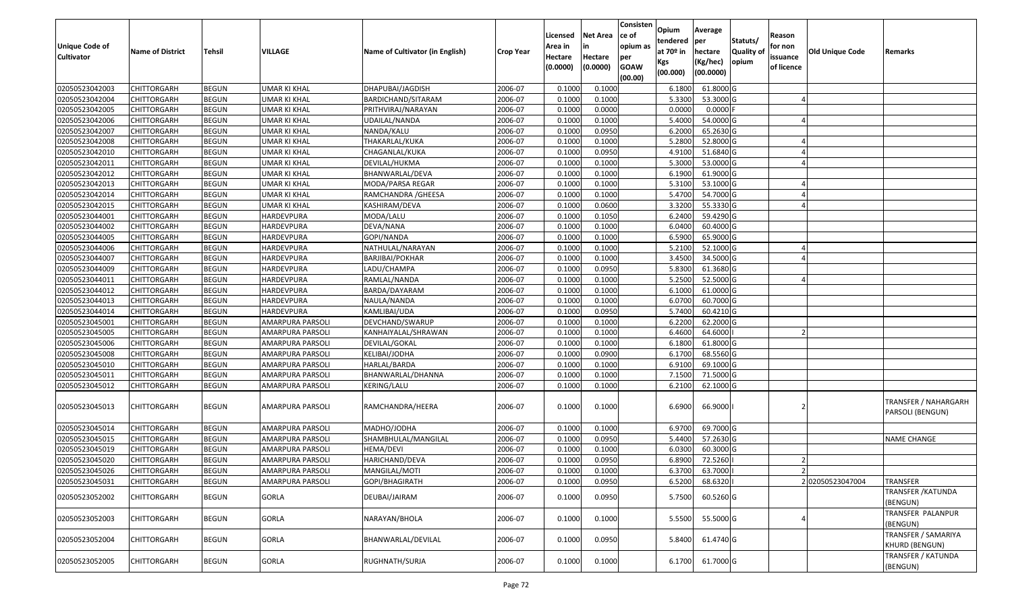| <b>Unique Code of</b><br><b>Cultivator</b> | <b>Name of District</b> | Tehsil       | VILLAGE             | Name of Cultivator (in English) | <b>Crop Year</b> | Licensed<br>Area in<br>Hectare<br>(0.0000) | Net Area<br>in<br>Hectare<br>(0.0000) | Consisten<br>ce of<br>opium as<br>per<br><b>GOAW</b><br>(00.00) | Opium<br>tendered<br>at 70º in<br>Kgs<br>(00.000) | Average<br> per<br>hectare<br>(Kg/hec)<br>(00.0000) | Statuts/<br><b>Quality of</b><br>opium | Reason<br>for non<br>issuance<br>of licence | <b>Old Unique Code</b> | Remarks                                  |
|--------------------------------------------|-------------------------|--------------|---------------------|---------------------------------|------------------|--------------------------------------------|---------------------------------------|-----------------------------------------------------------------|---------------------------------------------------|-----------------------------------------------------|----------------------------------------|---------------------------------------------|------------------------|------------------------------------------|
| 02050523042003                             | <b>CHITTORGARH</b>      | <b>BEGUN</b> | <b>UMAR KI KHAL</b> | DHAPUBAI/JAGDISH                | 2006-07          | 0.1000                                     | 0.1000                                |                                                                 | 6.1800                                            | 61.8000 G                                           |                                        |                                             |                        |                                          |
| 02050523042004                             | CHITTORGARH             | <b>BEGUN</b> | <b>UMAR KI KHAL</b> | BARDICHAND/SITARAM              | 2006-07          | 0.1000                                     | 0.1000                                |                                                                 | 5.3300                                            | 53.3000 G                                           |                                        |                                             |                        |                                          |
| 02050523042005                             | CHITTORGARH             | <b>BEGUN</b> | UMAR KI KHAL        | PRITHVIRAJ/NARAYAN              | 2006-07          | 0.1000                                     | 0.0000                                |                                                                 | 0.0000                                            | $0.0000$ F                                          |                                        |                                             |                        |                                          |
| 02050523042006                             | <b>CHITTORGARH</b>      | <b>BEGUN</b> | <b>UMAR KI KHAL</b> | UDAILAL/NANDA                   | 2006-07          | 0.1000                                     | 0.1000                                |                                                                 | 5.4000                                            | 54.0000 G                                           |                                        |                                             |                        |                                          |
| 02050523042007                             | <b>CHITTORGARH</b>      | <b>BEGUN</b> | UMAR KI KHAL        | NANDA/KALU                      | 2006-07          | 0.1000                                     | 0.0950                                |                                                                 | 6.2000                                            | 65.2630 G                                           |                                        |                                             |                        |                                          |
| 02050523042008                             | <b>CHITTORGARH</b>      | <b>BEGUN</b> | <b>UMAR KI KHAL</b> | THAKARLAL/KUKA                  | 2006-07          | 0.1000                                     | 0.1000                                |                                                                 | 5.2800                                            | 52.8000 G                                           |                                        |                                             |                        |                                          |
| 02050523042010                             | CHITTORGARH             | <b>BEGUN</b> | UMAR KI KHAL        | CHAGANLAL/KUKA                  | 2006-07          | 0.1000                                     | 0.0950                                |                                                                 | 4.9100                                            | 51.6840 G                                           |                                        |                                             |                        |                                          |
| 02050523042011                             | <b>CHITTORGARH</b>      | <b>BEGUN</b> | UMAR KI KHAL        | DEVILAL/HUKMA                   | 2006-07          | 0.1000                                     | 0.1000                                |                                                                 | 5.3000                                            | 53.0000 G                                           |                                        |                                             |                        |                                          |
| 02050523042012                             | <b>CHITTORGARH</b>      | <b>BEGUN</b> | UMAR KI KHAL        | BHANWARLAL/DEVA                 | 2006-07          | 0.1000                                     | 0.1000                                |                                                                 | 6.1900                                            | 61.9000 G                                           |                                        |                                             |                        |                                          |
| 02050523042013                             | <b>CHITTORGARH</b>      | <b>BEGUN</b> | <b>UMAR KI KHAL</b> | MODA/PARSA REGAR                | 2006-07          | 0.1000                                     | 0.1000                                |                                                                 | 5.3100                                            | 53.1000 G                                           |                                        |                                             |                        |                                          |
| 02050523042014                             | CHITTORGARH             | <b>BEGUN</b> | UMAR KI KHAL        | RAMCHANDRA / GHEESA             | 2006-07          | 0.1000                                     | 0.1000                                |                                                                 | 5.4700                                            | 54.7000 G                                           |                                        |                                             |                        |                                          |
| 02050523042015                             | CHITTORGARH             | <b>BEGUN</b> | <b>UMAR KI KHAL</b> | KASHIRAM/DEVA                   | 2006-07          | 0.1000                                     | 0.0600                                |                                                                 | 3.3200                                            | 55.3330 G                                           |                                        |                                             |                        |                                          |
| 02050523044001                             | CHITTORGARH             | <b>BEGUN</b> | <b>HARDEVPURA</b>   | MODA/LALU                       | 2006-07          | 0.1000                                     | 0.1050                                |                                                                 | 6.2400                                            | 59.4290 G                                           |                                        |                                             |                        |                                          |
| 02050523044002                             | CHITTORGARH             | <b>BEGUN</b> | HARDEVPURA          | DEVA/NANA                       | 2006-07          | 0.1000                                     | 0.1000                                |                                                                 | 6.0400                                            | 60.4000 G                                           |                                        |                                             |                        |                                          |
| 02050523044005                             | CHITTORGARH             | <b>BEGUN</b> | HARDEVPURA          | GOPI/NANDA                      | 2006-07          | 0.1000                                     | 0.1000                                |                                                                 | 6.5900                                            | 65.9000 G                                           |                                        |                                             |                        |                                          |
| 02050523044006                             | CHITTORGARH             | <b>BEGUN</b> | HARDEVPURA          | NATHULAL/NARAYAN                | 2006-07          | 0.1000                                     | 0.1000                                |                                                                 | 5.2100                                            | 52.1000 G                                           |                                        |                                             |                        |                                          |
| 02050523044007                             | CHITTORGARH             | <b>BEGUN</b> | HARDEVPURA          | <b>BARJIBAI/POKHAR</b>          | 2006-07          | 0.1000                                     | 0.1000                                |                                                                 | 3.4500                                            | 34.5000 G                                           |                                        |                                             |                        |                                          |
| 02050523044009                             | <b>CHITTORGARH</b>      | <b>BEGUN</b> | HARDEVPURA          | LADU/CHAMPA                     | 2006-07          | 0.1000                                     | 0.0950                                |                                                                 | 5.8300                                            | 61.3680 G                                           |                                        |                                             |                        |                                          |
| 02050523044011                             | <b>CHITTORGARH</b>      | <b>BEGUN</b> | HARDEVPURA          | RAMLAL/NANDA                    | 2006-07          | 0.1000                                     | 0.1000                                |                                                                 | 5.2500                                            | 52.5000 G                                           |                                        |                                             |                        |                                          |
| 02050523044012                             | CHITTORGARH             | <b>BEGUN</b> | HARDEVPURA          | BARDA/DAYARAM                   | 2006-07          | 0.1000                                     | 0.1000                                |                                                                 | 6.1000                                            | 61.0000 G                                           |                                        |                                             |                        |                                          |
| 02050523044013                             | <b>CHITTORGARH</b>      | <b>BEGUN</b> | HARDEVPURA          | NAULA/NANDA                     | 2006-07          | 0.1000                                     | 0.1000                                |                                                                 | 6.0700                                            | 60.7000 G                                           |                                        |                                             |                        |                                          |
| 02050523044014                             | CHITTORGARH             | <b>BEGUN</b> | HARDEVPURA          | KAMLIBAI/UDA                    | 2006-07          | 0.1000                                     | 0.0950                                |                                                                 | 5.7400                                            | 60.4210 G                                           |                                        |                                             |                        |                                          |
| 02050523045001                             | CHITTORGARH             | <b>BEGUN</b> | AMARPURA PARSOLI    | DEVCHAND/SWARUP                 | 2006-07          | 0.1000                                     | 0.1000                                |                                                                 | 6.2200                                            | 62.2000 G                                           |                                        |                                             |                        |                                          |
| 02050523045005                             | CHITTORGARH             | <b>BEGUN</b> | AMARPURA PARSOLI    | KANHAIYALAL/SHRAWAN             | 2006-07          | 0.1000                                     | 0.1000                                |                                                                 | 6.4600                                            | 64.6000                                             |                                        |                                             |                        |                                          |
| 02050523045006                             | <b>CHITTORGARH</b>      | <b>BEGUN</b> | AMARPURA PARSOLI    | DEVILAL/GOKAL                   | 2006-07          | 0.1000                                     | 0.1000                                |                                                                 | 6.1800                                            | 61.8000 G                                           |                                        |                                             |                        |                                          |
| 02050523045008                             | CHITTORGARH             | <b>BEGUN</b> | AMARPURA PARSOLI    | KELIBAI/JODHA                   | 2006-07          | 0.1000                                     | 0.0900                                |                                                                 | 6.1700                                            | 68.5560 G                                           |                                        |                                             |                        |                                          |
| 02050523045010                             | <b>CHITTORGARH</b>      | <b>BEGUN</b> | AMARPURA PARSOLI    | HARLAL/BARDA                    | 2006-07          | 0.1000                                     | 0.1000                                |                                                                 | 6.9100                                            | 69.1000 G                                           |                                        |                                             |                        |                                          |
| 02050523045011                             | CHITTORGARH             | <b>BEGUN</b> | AMARPURA PARSOLI    | BHANWARLAL/DHANNA               | 2006-07          | 0.1000                                     | 0.1000                                |                                                                 | 7.1500                                            | 71.5000 G                                           |                                        |                                             |                        |                                          |
| 02050523045012                             | <b>CHITTORGARH</b>      | <b>BEGUN</b> | AMARPURA PARSOLI    | <b>KERING/LALU</b>              | 2006-07          | 0.1000                                     | 0.1000                                |                                                                 | 6.2100                                            | 62.1000 G                                           |                                        |                                             |                        |                                          |
| 02050523045013                             | CHITTORGARH             | <b>BEGUN</b> | AMARPURA PARSOLI    | RAMCHANDRA/HEERA                | 2006-07          | 0.1000                                     | 0.1000                                |                                                                 | 6.6900                                            | 66.9000                                             |                                        |                                             |                        | TRANSFER / NAHARGARH<br>PARSOLI (BENGUN) |
| 02050523045014                             | CHITTORGARH             | <b>BEGUN</b> | AMARPURA PARSOLI    | MADHO/JODHA                     | 2006-07          | 0.1000                                     | 0.1000                                |                                                                 | 6.9700                                            | 69.7000 G                                           |                                        |                                             |                        |                                          |
| 02050523045015                             | CHITTORGARH             | <b>BEGUN</b> | AMARPURA PARSOLI    | SHAMBHULAL/MANGILAL             | 2006-07          | 0.1000                                     | 0.0950                                |                                                                 | 5.4400                                            | 57.2630 G                                           |                                        |                                             |                        | <b>NAME CHANGE</b>                       |
| 02050523045019                             | CHITTORGARH             | <b>BEGUN</b> | AMARPURA PARSOLI    | HEMA/DEVI                       | 2006-07          | 0.1000                                     | 0.1000                                |                                                                 | 6.030                                             | 60.3000 G                                           |                                        |                                             |                        |                                          |
| 02050523045020                             | <b>CHITTORGARH</b>      | <b>BEGUN</b> | AMARPURA PARSOLI    | HARICHAND/DEVA                  | 2006-07          | 0.1000                                     | 0.0950                                |                                                                 | 6.8900                                            | 72.5260                                             |                                        |                                             |                        |                                          |
| 02050523045026                             | <b>CHITTORGARH</b>      | <b>BEGUN</b> | AMARPURA PARSOLI    | MANGILAL/MOTI                   | 2006-07          | 0.1000                                     | 0.1000                                |                                                                 | 6.3700                                            | 63.7000                                             |                                        |                                             |                        |                                          |
| 02050523045031                             | <b>CHITTORGARH</b>      | <b>BEGUN</b> | AMARPURA PARSOLI    | GOPI/BHAGIRATH                  | 2006-07          | 0.1000                                     | 0.0950                                |                                                                 | 6.5200                                            | 68.6320                                             |                                        |                                             | 202050523047004        | <b>TRANSFER</b>                          |
| 02050523052002                             | CHITTORGARH             | <b>BEGUN</b> | GORLA               | DEUBAI/JAIRAM                   | 2006-07          | 0.1000                                     | 0.0950                                |                                                                 | 5.7500                                            | 60.5260 G                                           |                                        |                                             |                        | <b>TRANSFER / KATUNDA</b><br>(BENGUN)    |
| 02050523052003                             | <b>CHITTORGARH</b>      | <b>BEGUN</b> | <b>GORLA</b>        | NARAYAN/BHOLA                   | 2006-07          | 0.1000                                     | 0.1000                                |                                                                 | 5.5500                                            | 55.5000 G                                           |                                        |                                             |                        | TRANSFER PALANPUR<br>(BENGUN)            |
| 02050523052004                             | CHITTORGARH             | <b>BEGUN</b> | GORLA               | BHANWARLAL/DEVILAL              | 2006-07          | 0.1000                                     | 0.0950                                |                                                                 | 5.8400                                            | 61.4740 G                                           |                                        |                                             |                        | TRANSFER / SAMARIYA<br>KHURD (BENGUN)    |
| 02050523052005                             | CHITTORGARH             | <b>BEGUN</b> | <b>GORLA</b>        | RUGHNATH/SURJA                  | 2006-07          | 0.1000                                     | 0.1000                                |                                                                 | 6.1700                                            | 61.7000 G                                           |                                        |                                             |                        | <b>TRANSFER / KATUNDA</b><br>(BENGUN)    |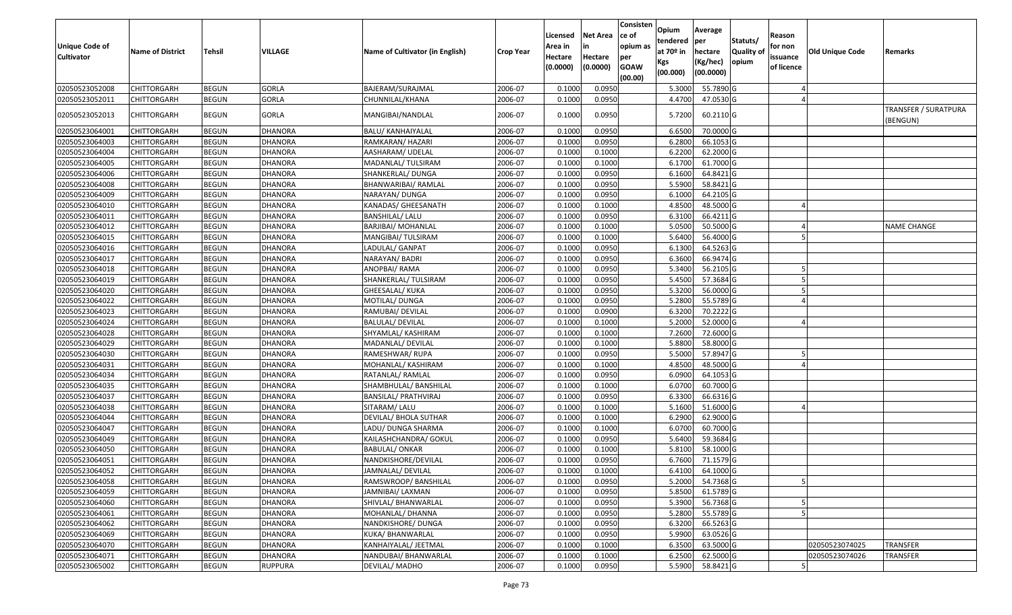| <b>Unique Code of</b><br><b>Cultivator</b> | <b>Name of District</b> | <b>Tehsil</b> | VILLAGE        | Name of Cultivator (in English) | <b>Crop Year</b> | Licensed<br>Area in<br>Hectare<br>(0.0000) | <b>Net Area</b><br>in<br>Hectare<br>(0.0000) | Consisten<br>ce of<br>opium as<br>per<br><b>GOAW</b><br>(00.00) | Opium<br>tendered<br>at $70°$ in<br>Kgs<br>(00.000) | Average<br>per<br>hectare<br>(Kg/hec)<br>(00.0000) | Statuts/<br><b>Quality o</b><br>opium | Reason<br>for non<br>issuance<br>of licence | Old Unique Code | Remarks                                 |
|--------------------------------------------|-------------------------|---------------|----------------|---------------------------------|------------------|--------------------------------------------|----------------------------------------------|-----------------------------------------------------------------|-----------------------------------------------------|----------------------------------------------------|---------------------------------------|---------------------------------------------|-----------------|-----------------------------------------|
| 02050523052008                             | CHITTORGARH             | <b>BEGUN</b>  | <b>GORLA</b>   | BAJERAM/SURAJMAL                | 2006-07          | 0.1000                                     | 0.0950                                       |                                                                 | 5.3000                                              | 55.7890 G                                          |                                       |                                             |                 |                                         |
| 02050523052011                             | CHITTORGARH             | <b>BEGUN</b>  | <b>GORLA</b>   | CHUNNILAL/KHANA                 | 2006-07          | 0.1000                                     | 0.0950                                       |                                                                 | 4.4700                                              | 47.0530 G                                          |                                       |                                             |                 |                                         |
| 02050523052013                             | CHITTORGARH             | <b>BEGUN</b>  | <b>GORLA</b>   | MANGIBAI/NANDLAL                | 2006-07          | 0.1000                                     | 0.0950                                       |                                                                 | 5.7200                                              | 60.2110 G                                          |                                       |                                             |                 | <b>TRANSFER / SURATPURA</b><br>(BENGUN) |
| 02050523064001                             | <b>CHITTORGARH</b>      | <b>BEGUN</b>  | <b>DHANORA</b> | <b>BALU/ KANHAIYALAL</b>        | 2006-07          | 0.1000                                     | 0.0950                                       |                                                                 | 6.6500                                              | 70.0000 G                                          |                                       |                                             |                 |                                         |
| 02050523064003                             | CHITTORGARH             | <b>BEGUN</b>  | <b>DHANORA</b> | RAMKARAN/ HAZARI                | 2006-07          | 0.1000                                     | 0.0950                                       |                                                                 | 6.2800                                              | 66.1053 G                                          |                                       |                                             |                 |                                         |
| 02050523064004                             | CHITTORGARH             | <b>BEGUN</b>  | <b>DHANORA</b> | AASHARAM/ UDELAL                | 2006-07          | 0.1000                                     | 0.1000                                       |                                                                 | 6.2200                                              | 62.2000 G                                          |                                       |                                             |                 |                                         |
| 02050523064005                             | <b>CHITTORGARH</b>      | <b>BEGUN</b>  | <b>DHANORA</b> | MADANLAL/ TULSIRAM              | 2006-07          | 0.1000                                     | 0.1000                                       |                                                                 | 6.1700                                              | 61.7000G                                           |                                       |                                             |                 |                                         |
| 02050523064006                             | CHITTORGARH             | <b>BEGUN</b>  | DHANORA        | SHANKERLAL/ DUNGA               | 2006-07          | 0.1000                                     | 0.0950                                       |                                                                 | 6.1600                                              | 64.8421 G                                          |                                       |                                             |                 |                                         |
| 02050523064008                             | CHITTORGARH             | <b>BEGUN</b>  | DHANORA        | BHANWARIBAI/ RAMLAL             | 2006-07          | 0.1000                                     | 0.0950                                       |                                                                 | 5.5900                                              | 58.8421 G                                          |                                       |                                             |                 |                                         |
| 02050523064009                             | CHITTORGARH             | <b>BEGUN</b>  | <b>DHANORA</b> | NARAYAN/ DUNGA                  | 2006-07          | 0.1000                                     | 0.0950                                       |                                                                 | 6.1000                                              | 64.2105 G                                          |                                       |                                             |                 |                                         |
| 02050523064010                             | CHITTORGARH             | <b>BEGUN</b>  | DHANORA        | KANADAS/ GHEESANATH             | 2006-07          | 0.1000                                     | 0.1000                                       |                                                                 | 4.8500                                              | 48.5000 G                                          |                                       |                                             |                 |                                         |
| 02050523064011                             | <b>CHITTORGARH</b>      | <b>BEGUN</b>  | <b>DHANORA</b> | BANSHILAL/ LALU                 | 2006-07          | 0.1000                                     | 0.0950                                       |                                                                 | 6.3100                                              | 66.4211 G                                          |                                       |                                             |                 |                                         |
| 02050523064012                             | CHITTORGARH             | <b>BEGUN</b>  | DHANORA        | BARJIBAI/ MOHANLAL              | 2006-07          | 0.1000                                     | 0.1000                                       |                                                                 | 5.0500                                              | 50.5000 G                                          |                                       |                                             |                 | <b>NAME CHANGE</b>                      |
| 02050523064015                             | CHITTORGARH             | <b>BEGUN</b>  | <b>DHANORA</b> | MANGIBAI/ TULSIRAM              | 2006-07          | 0.1000                                     | 0.1000                                       |                                                                 | 5.6400                                              | 56.4000 G                                          |                                       |                                             |                 |                                         |
| 02050523064016                             | CHITTORGARH             | <b>BEGUN</b>  | <b>DHANORA</b> | LADULAL/ GANPAT                 | 2006-07          | 0.1000                                     | 0.0950                                       |                                                                 | 6.1300                                              | 64.5263 G                                          |                                       |                                             |                 |                                         |
| 02050523064017                             | CHITTORGARH             | <b>BEGUN</b>  | <b>DHANORA</b> | NARAYAN/BADRI                   | 2006-07          | 0.1000                                     | 0.0950                                       |                                                                 | 6.3600                                              | 66.9474 G                                          |                                       |                                             |                 |                                         |
| 02050523064018                             | CHITTORGARH             | <b>BEGUN</b>  | DHANORA        | ANOPBAI/RAMA                    | 2006-07          | 0.1000                                     | 0.0950                                       |                                                                 | 5.3400                                              | 56.2105 G                                          |                                       |                                             |                 |                                         |
| 02050523064019                             | CHITTORGARH             | <b>BEGUN</b>  | <b>DHANORA</b> | SHANKERLAL/ TULSIRAM            | 2006-07          | 0.1000                                     | 0.0950                                       |                                                                 | 5.4500                                              | 57.3684 G                                          |                                       |                                             |                 |                                         |
| 02050523064020                             | CHITTORGARH             | <b>BEGUN</b>  | <b>DHANORA</b> | GHEESALAL/ KUKA                 | 2006-07          | 0.1000                                     | 0.0950                                       |                                                                 | 5.3200                                              | 56.0000G                                           |                                       |                                             |                 |                                         |
| 02050523064022                             | CHITTORGARH             | <b>BEGUN</b>  | <b>DHANORA</b> | MOTILAL/ DUNGA                  | 2006-07          | 0.1000                                     | 0.0950                                       |                                                                 | 5.2800                                              | 55.5789 G                                          |                                       |                                             |                 |                                         |
| 02050523064023                             | CHITTORGARH             | <b>BEGUN</b>  | <b>DHANORA</b> | RAMUBAI/ DEVILAL                | 2006-07          | 0.1000                                     | 0.0900                                       |                                                                 | 6.3200                                              | 70.2222 G                                          |                                       |                                             |                 |                                         |
| 02050523064024                             | CHITTORGARH             | <b>BEGUN</b>  | <b>DHANORA</b> | <b>BALULAL/ DEVILAL</b>         | 2006-07          | 0.1000                                     | 0.1000                                       |                                                                 | 5.2000                                              | 52.0000G                                           |                                       |                                             |                 |                                         |
| 02050523064028                             | CHITTORGARH             | <b>BEGUN</b>  | <b>DHANORA</b> | SHYAMLAL/ KASHIRAM              | 2006-07          | 0.1000                                     | 0.1000                                       |                                                                 | 7.2600                                              | 72.6000G                                           |                                       |                                             |                 |                                         |
| 02050523064029                             | <b>CHITTORGARH</b>      | <b>BEGUN</b>  | <b>DHANORA</b> | MADANLAL/ DEVILAL               | 2006-07          | 0.1000                                     | 0.1000                                       |                                                                 | 5.8800                                              | 58.8000 G                                          |                                       |                                             |                 |                                         |
| 02050523064030                             | CHITTORGARH             | <b>BEGUN</b>  | <b>DHANORA</b> | RAMESHWAR/RUPA                  | 2006-07          | 0.1000                                     | 0.0950                                       |                                                                 | 5.5000                                              | 57.8947 G                                          |                                       |                                             |                 |                                         |
| 02050523064031                             | CHITTORGARH             | <b>BEGUN</b>  | <b>DHANORA</b> | MOHANLAL/ KASHIRAM              | 2006-07          | 0.1000                                     | 0.1000                                       |                                                                 | 4.8500                                              | 48.5000 G                                          |                                       |                                             |                 |                                         |
| 02050523064034                             | CHITTORGARH             | <b>BEGUN</b>  | <b>DHANORA</b> | RATANLAL/ RAMLAL                | 2006-07          | 0.1000                                     | 0.0950                                       |                                                                 | 6.0900                                              | 64.1053 G                                          |                                       |                                             |                 |                                         |
| 02050523064035                             | CHITTORGARH             | <b>BEGUN</b>  | <b>DHANORA</b> | SHAMBHULAL/ BANSHILAL           | 2006-07          | 0.1000                                     | 0.1000                                       |                                                                 | 6.0700                                              | 60.7000 G                                          |                                       |                                             |                 |                                         |
| 02050523064037                             | CHITTORGARH             | <b>BEGUN</b>  | <b>DHANORA</b> | BANSILAL/ PRATHVIRAJ            | 2006-07          | 0.1000                                     | 0.0950                                       |                                                                 | 6.3300                                              | 66.6316 G                                          |                                       |                                             |                 |                                         |
| 02050523064038                             | CHITTORGARH             | <b>BEGUN</b>  | DHANORA        | SITARAM/ LALU                   | 2006-07          | 0.1000                                     | 0.1000                                       |                                                                 | 5.1600                                              | 51.6000G                                           |                                       |                                             |                 |                                         |
| 02050523064044                             | CHITTORGARH             | <b>BEGUN</b>  | <b>DHANORA</b> | DEVILAL/ BHOLA SUTHAR           | 2006-07          | 0.1000                                     | 0.1000                                       |                                                                 | 6.2900                                              | 62.9000 G                                          |                                       |                                             |                 |                                         |
| 02050523064047                             | CHITTORGARH             | <b>BEGUN</b>  | <b>DHANORA</b> | LADU/ DUNGA SHARMA              | 2006-07          | 0.1000                                     | 0.1000                                       |                                                                 | 6.0700                                              | 60.7000 G                                          |                                       |                                             |                 |                                         |
| 02050523064049                             | <b>CHITTORGARH</b>      | <b>BEGUN</b>  | DHANORA        | KAILASHCHANDRA/ GOKUL           | 2006-07          | 0.1000                                     | 0.0950                                       |                                                                 | 5.6400                                              | 59.3684 G                                          |                                       |                                             |                 |                                         |
| 02050523064050                             | CHITTORGARH             | <b>BEGUN</b>  | <b>DHANORA</b> | <b>BABULAL/ ONKAR</b>           | 2006-07          | 0.1000                                     | 0.1000                                       |                                                                 | 5.8100                                              | 58.1000G                                           |                                       |                                             |                 |                                         |
| 02050523064051                             | CHITTORGARH             | <b>BEGUN</b>  | <b>DHANORA</b> | NANDKISHORE/DEVILAL             | 2006-07          | 0.1000                                     | 0.0950                                       |                                                                 | 6.7600                                              | 71.1579 G                                          |                                       |                                             |                 |                                         |
| 02050523064052                             | <b>CHITTORGARH</b>      | <b>BEGUN</b>  | <b>DHANORA</b> | JAMNALAL/ DEVILAL               | 2006-07          | 0.1000                                     | 0.1000                                       |                                                                 | 6.4100                                              | 64.1000G                                           |                                       |                                             |                 |                                         |
| 02050523064058                             | <b>CHITTORGARH</b>      | <b>BEGUN</b>  | <b>DHANORA</b> | RAMSWROOP/BANSHILAL             | 2006-07          | 0.1000                                     | 0.0950                                       |                                                                 | 5.2000                                              | 54.7368 G                                          |                                       | 5                                           |                 |                                         |
| 02050523064059                             | <b>CHITTORGARH</b>      | <b>BEGUN</b>  | <b>DHANORA</b> | JAMNIBAI/ LAXMAN                | 2006-07          | 0.1000                                     | 0.0950                                       |                                                                 | 5.8500                                              | 61.5789 G                                          |                                       |                                             |                 |                                         |
| 02050523064060                             | <b>CHITTORGARH</b>      | <b>BEGUN</b>  | <b>DHANORA</b> | SHIVLAL/ BHANWARLAL             | 2006-07          | 0.1000                                     | 0.0950                                       |                                                                 | 5.3900                                              | $\overline{56.7368}$ G                             |                                       |                                             |                 |                                         |
| 02050523064061                             | CHITTORGARH             | <b>BEGUN</b>  | <b>DHANORA</b> | MOHANLAL/ DHANNA                | 2006-07          | 0.1000                                     | 0.0950                                       |                                                                 | 5.2800                                              | 55.5789 G                                          |                                       |                                             |                 |                                         |
| 02050523064062                             | <b>CHITTORGARH</b>      | <b>BEGUN</b>  | <b>DHANORA</b> | NANDKISHORE/ DUNGA              | 2006-07          | 0.1000                                     | 0.0950                                       |                                                                 | 6.3200                                              | 66.5263 G                                          |                                       |                                             |                 |                                         |
| 02050523064069                             | <b>CHITTORGARH</b>      | <b>BEGUN</b>  | <b>DHANORA</b> | KUKA/ BHANWARLAL                | 2006-07          | 0.1000                                     | 0.0950                                       |                                                                 | 5.9900                                              | 63.0526 G                                          |                                       |                                             |                 |                                         |
| 02050523064070                             | CHITTORGARH             | <b>BEGUN</b>  | <b>DHANORA</b> | KANHAIYALAL/ JEETMAL            | 2006-07          | 0.1000                                     | 0.1000                                       |                                                                 | 6.3500                                              | 63.5000 G                                          |                                       |                                             | 02050523074025  | <b>TRANSFER</b>                         |
| 02050523064071                             | CHITTORGARH             | <b>BEGUN</b>  | <b>DHANORA</b> | NANDUBAI/ BHANWARLAL            | 2006-07          | 0.1000                                     | 0.1000                                       |                                                                 | 6.2500                                              | 62.5000 G                                          |                                       |                                             | 02050523074026  | <b>TRANSFER</b>                         |
| 02050523065002                             | <b>CHITTORGARH</b>      | <b>BEGUN</b>  | <b>RUPPURA</b> | DEVILAL/ MADHO                  | 2006-07          | 0.1000                                     | 0.0950                                       |                                                                 | 5.5900                                              | 58.8421 G                                          |                                       |                                             |                 |                                         |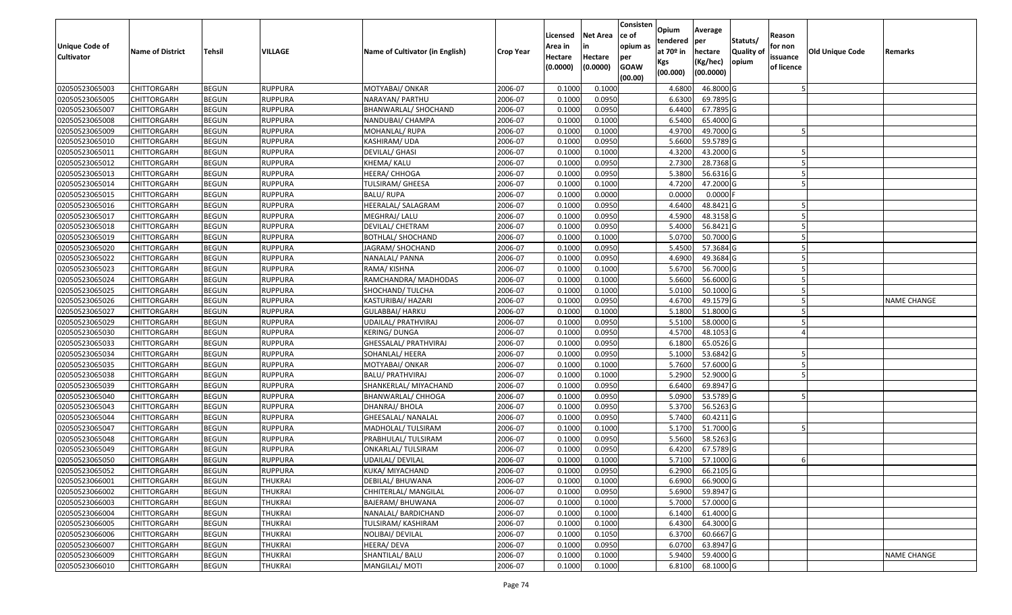| <b>Unique Code of</b><br><b>Cultivator</b> | <b>Name of District</b> | Tehsil       | VILLAGE        | Name of Cultivator (in English) | <b>Crop Year</b> | Licensed<br>Area in<br>Hectare<br>(0.0000) | Net Area<br>in<br>Hectare<br>(0.0000) | Consisten<br>ce of<br>opium as<br>per<br><b>GOAW</b><br>(00.00) | Opium<br>tendered<br>at 70º in<br>Kgs<br>(00.000) | Average<br>per<br>hectare<br>(Kg/hec)<br>(00.0000) | Statuts/<br><b>Quality of</b><br>opium | Reason<br>for non<br>issuance<br>of licence | Old Unique Code | Remarks            |
|--------------------------------------------|-------------------------|--------------|----------------|---------------------------------|------------------|--------------------------------------------|---------------------------------------|-----------------------------------------------------------------|---------------------------------------------------|----------------------------------------------------|----------------------------------------|---------------------------------------------|-----------------|--------------------|
| 02050523065003                             | <b>CHITTORGARH</b>      | <b>BEGUN</b> | <b>RUPPURA</b> | MOTYABAI/ ONKAR                 | 2006-07          | 0.1000                                     | 0.1000                                |                                                                 | 4.6800                                            | 46.8000 G                                          |                                        |                                             |                 |                    |
| 02050523065005                             | CHITTORGARH             | <b>BEGUN</b> | <b>RUPPURA</b> | NARAYAN/ PARTHU                 | 2006-07          | 0.1000                                     | 0.0950                                |                                                                 | 6.6300                                            | 69.7895 G                                          |                                        |                                             |                 |                    |
| 02050523065007                             | CHITTORGARH             | <b>BEGUN</b> | RUPPURA        | BHANWARLAL/ SHOCHAND            | 2006-07          | 0.1000                                     | 0.0950                                |                                                                 | 6.4400                                            | 67.7895 G                                          |                                        |                                             |                 |                    |
| 02050523065008                             | <b>CHITTORGARH</b>      | <b>BEGUN</b> | <b>RUPPURA</b> | NANDUBAI/ CHAMPA                | 2006-07          | 0.1000                                     | 0.1000                                |                                                                 | 6.5400                                            | 65.4000 G                                          |                                        |                                             |                 |                    |
| 02050523065009                             | CHITTORGARH             | <b>BEGUN</b> | <b>RUPPURA</b> | MOHANLAL/RUPA                   | 2006-07          | 0.1000                                     | 0.1000                                |                                                                 | 4.9700                                            | 49.7000 G                                          |                                        |                                             |                 |                    |
| 02050523065010                             | CHITTORGARH             | <b>BEGUN</b> | <b>RUPPURA</b> | KASHIRAM/UDA                    | 2006-07          | 0.1000                                     | 0.0950                                |                                                                 | 5.6600                                            | 59.5789 G                                          |                                        |                                             |                 |                    |
| 02050523065011                             | CHITTORGARH             | <b>BEGUN</b> | RUPPURA        | DEVILAL/ GHASI                  | 2006-07          | 0.1000                                     | 0.1000                                |                                                                 | 4.3200                                            | 43.2000 G                                          |                                        |                                             |                 |                    |
| 02050523065012                             | <b>CHITTORGARH</b>      | <b>BEGUN</b> | <b>RUPPURA</b> | KHEMA/ KALU                     | 2006-07          | 0.1000                                     | 0.0950                                |                                                                 | 2.7300                                            | 28.7368 G                                          |                                        |                                             |                 |                    |
| 02050523065013                             | CHITTORGARH             | <b>BEGUN</b> | <b>RUPPURA</b> | HEERA/ CHHOGA                   | 2006-07          | 0.1000                                     | 0.0950                                |                                                                 | 5.3800                                            | 56.6316 G                                          |                                        |                                             |                 |                    |
| 02050523065014                             | CHITTORGARH             | <b>BEGUN</b> | <b>RUPPURA</b> | TULSIRAM/ GHEESA                | 2006-07          | 0.1000                                     | 0.1000                                |                                                                 | 4.7200                                            | 47.2000 G                                          |                                        |                                             |                 |                    |
| 02050523065015                             | CHITTORGARH             | <b>BEGUN</b> | <b>RUPPURA</b> | <b>BALU/RUPA</b>                | 2006-07          | 0.1000                                     | 0.0000                                |                                                                 | 0.0000                                            | $0.0000$ F                                         |                                        |                                             |                 |                    |
| 02050523065016                             | <b>CHITTORGARH</b>      | <b>BEGUN</b> | <b>RUPPURA</b> | HEERALAL/ SALAGRAM              | 2006-07          | 0.1000                                     | 0.0950                                |                                                                 | 4.6400                                            | 48.8421 G                                          |                                        |                                             |                 |                    |
| 02050523065017                             | <b>CHITTORGARH</b>      | <b>BEGUN</b> | <b>RUPPURA</b> | MEGHRAJ/ LALU                   | 2006-07          | 0.1000                                     | 0.0950                                |                                                                 | 4.5900                                            | 48.3158 G                                          |                                        |                                             |                 |                    |
| 02050523065018                             | <b>CHITTORGARH</b>      | <b>BEGUN</b> | <b>RUPPURA</b> | DEVILAL/ CHETRAM                | 2006-07          | 0.1000                                     | 0.0950                                |                                                                 | 5.4000                                            | 56.8421 G                                          |                                        |                                             |                 |                    |
| 02050523065019                             | CHITTORGARH             | <b>BEGUN</b> | <b>RUPPURA</b> | <b>BOTHLAL/ SHOCHAND</b>        | 2006-07          | 0.1000                                     | 0.1000                                |                                                                 | 5.0700                                            | 50.7000 G                                          |                                        |                                             |                 |                    |
| 02050523065020                             | <b>CHITTORGARH</b>      | <b>BEGUN</b> | <b>RUPPURA</b> | JAGRAM/ SHOCHAND                | 2006-07          | 0.1000                                     | 0.0950                                |                                                                 | 5.4500                                            | 57.3684 G                                          |                                        |                                             |                 |                    |
| 02050523065022                             | CHITTORGARH             | <b>BEGUN</b> | <b>RUPPURA</b> | NANALAL/ PANNA                  | 2006-07          | 0.1000                                     | 0.0950                                |                                                                 | 4.6900                                            | 49.3684 G                                          |                                        |                                             |                 |                    |
| 02050523065023                             | CHITTORGARH             | <b>BEGUN</b> | RUPPURA        | RAMA/KISHNA                     | 2006-07          | 0.1000                                     | 0.1000                                |                                                                 | 5.6700                                            | 56.7000 G                                          |                                        |                                             |                 |                    |
| 02050523065024                             | CHITTORGARH             | <b>BEGUN</b> | <b>RUPPURA</b> | RAMCHANDRA/ MADHODAS            | 2006-07          | 0.1000                                     | 0.1000                                |                                                                 | 5.6600                                            | 56.6000 G                                          |                                        |                                             |                 |                    |
| 02050523065025                             | CHITTORGARH             | <b>BEGUN</b> | <b>RUPPURA</b> | SHOCHAND/ TULCHA                | 2006-07          | 0.1000                                     | 0.1000                                |                                                                 | 5.0100                                            | 50.1000 G                                          |                                        |                                             |                 |                    |
| 02050523065026                             | CHITTORGARH             | <b>BEGUN</b> | <b>RUPPURA</b> | KASTURIBAI/ HAZARI              | 2006-07          | 0.1000                                     | 0.0950                                |                                                                 | 4.6700                                            | 49.1579 G                                          |                                        |                                             |                 | <b>NAME CHANGE</b> |
| 02050523065027                             | CHITTORGARH             | <b>BEGUN</b> | <b>RUPPURA</b> | <b>GULABBAI/ HARKU</b>          | 2006-07          | 0.1000                                     | 0.1000                                |                                                                 | 5.1800                                            | 51.8000 G                                          |                                        |                                             |                 |                    |
| 02050523065029                             | CHITTORGARH             | <b>BEGUN</b> | <b>RUPPURA</b> | UDAILAL/ PRATHVIRAJ             | 2006-07          | 0.1000                                     | 0.0950                                |                                                                 | 5.5100                                            | 58.0000 G                                          |                                        |                                             |                 |                    |
| 02050523065030                             | CHITTORGARH             | <b>BEGUN</b> | RUPPURA        | KERING/ DUNGA                   | 2006-07          | 0.1000                                     | 0.0950                                |                                                                 | 4.5700                                            | 48.1053 G                                          |                                        |                                             |                 |                    |
| 02050523065033                             | <b>CHITTORGARH</b>      | <b>BEGUN</b> | <b>RUPPURA</b> | GHESSALAL/ PRATHVIRAJ           | 2006-07          | 0.1000                                     | 0.0950                                |                                                                 | 6.1800                                            | 65.0526 G                                          |                                        |                                             |                 |                    |
| 02050523065034                             | CHITTORGARH             | <b>BEGUN</b> | <b>RUPPURA</b> | SOHANLAL/ HEERA                 | 2006-07          | 0.1000                                     | 0.0950                                |                                                                 | 5.1000                                            | 53.6842 G                                          |                                        |                                             |                 |                    |
| 02050523065035                             | CHITTORGARH             | <b>BEGUN</b> | <b>RUPPURA</b> | MOTYABAI/ ONKAR                 | 2006-07          | 0.1000                                     | 0.1000                                |                                                                 | 5.7600                                            | 57.6000 G                                          |                                        |                                             |                 |                    |
| 02050523065038                             | CHITTORGARH             | <b>BEGUN</b> | <b>RUPPURA</b> | BALU/ PRATHVIRAJ                | 2006-07          | 0.1000                                     | 0.1000                                |                                                                 | 5.2900                                            | 52.9000 G                                          |                                        |                                             |                 |                    |
| 02050523065039                             | CHITTORGARH             | <b>BEGUN</b> | <b>RUPPURA</b> | SHANKERLAL/ MIYACHAND           | 2006-07          | 0.1000                                     | 0.0950                                |                                                                 | 6.6400                                            | 69.8947 G                                          |                                        |                                             |                 |                    |
| 02050523065040                             | CHITTORGARH             | <b>BEGUN</b> | <b>RUPPURA</b> | BHANWARLAL/ CHHOGA              | 2006-07          | 0.1000                                     | 0.0950                                |                                                                 | 5.0900                                            | 53.5789 G                                          |                                        |                                             |                 |                    |
| 02050523065043                             | CHITTORGARH             | <b>BEGUN</b> | <b>RUPPURA</b> | DHANRAJ/ BHOLA                  | 2006-07          | 0.1000                                     | 0.0950                                |                                                                 | 5.3700                                            | 56.5263 G                                          |                                        |                                             |                 |                    |
| 02050523065044                             | CHITTORGARH             | <b>BEGUN</b> | RUPPURA        | GHEESALAL/ NANALAL              | 2006-07          | 0.1000                                     | 0.0950                                |                                                                 | 5.7400                                            | 60.4211 G                                          |                                        |                                             |                 |                    |
| 02050523065047                             | CHITTORGARH             | <b>BEGUN</b> | <b>RUPPURA</b> | MADHOLAL/ TULSIRAM              | 2006-07          | 0.1000                                     | 0.1000                                |                                                                 | 5.1700                                            | 51.7000 G                                          |                                        |                                             |                 |                    |
| 02050523065048                             | <b>CHITTORGARH</b>      | <b>BEGUN</b> | <b>RUPPURA</b> | PRABHULAL/ TULSIRAM             | 2006-07          | 0.1000                                     | 0.0950                                |                                                                 | 5.5600                                            | 58.5263 G                                          |                                        |                                             |                 |                    |
| 02050523065049                             | CHITTORGARH             | <b>BEGUN</b> | <b>RUPPURA</b> | ONKARLAL/ TULSIRAM              | 2006-07          | 0.1000                                     | 0.0950                                |                                                                 | 6.4200                                            | 67.5789 G                                          |                                        |                                             |                 |                    |
| 02050523065050                             | CHITTORGARH             | <b>BEGUN</b> | <b>RUPPURA</b> | UDAILAL/ DEVILAL                | 2006-07          | 0.1000                                     | 0.1000                                |                                                                 | 5.7100                                            | 57.1000 G                                          |                                        |                                             |                 |                    |
| 02050523065052                             | <b>CHITTORGARH</b>      | <b>BEGUN</b> | <b>RUPPURA</b> | KUKA/ MIYACHAND                 | 2006-07          | 0.1000                                     | 0.0950                                |                                                                 | 6.2900                                            | 66.2105 G                                          |                                        |                                             |                 |                    |
| 02050523066001                             | <b>CHITTORGARH</b>      | <b>BEGUN</b> | THUKRAI        | DEBILAL/ BHUWANA                | 2006-07          | 0.1000                                     | 0.1000                                |                                                                 | 6.6900                                            | 66.9000 G                                          |                                        |                                             |                 |                    |
| 02050523066002                             | <b>CHITTORGARH</b>      | <b>BEGUN</b> | <b>THUKRAI</b> | CHHITERLAL/ MANGILAL            | 2006-07          | 0.1000                                     | 0.0950                                |                                                                 | 5.6900                                            | 59.8947 G                                          |                                        |                                             |                 |                    |
| 02050523066003                             | <b>CHITTORGARH</b>      | <b>BEGUN</b> | <b>THUKRAI</b> | BAJERAM/ BHUWANA                | 2006-07          | 0.1000                                     | 0.1000                                |                                                                 | 5.7000                                            | 57.0000 G                                          |                                        |                                             |                 |                    |
| 02050523066004                             | <b>CHITTORGARH</b>      | <b>BEGUN</b> | <b>THUKRAI</b> | NANALAL/ BARDICHAND             | 2006-07          | 0.1000                                     | 0.1000                                |                                                                 | 6.1400                                            | 61.4000 G                                          |                                        |                                             |                 |                    |
| 02050523066005                             | <b>CHITTORGARH</b>      | <b>BEGUN</b> | <b>THUKRAI</b> | TULSIRAM/ KASHIRAM              | 2006-07          | 0.1000                                     | 0.1000                                |                                                                 | 6.4300                                            | 64.3000 G                                          |                                        |                                             |                 |                    |
| 02050523066006                             | <b>CHITTORGARH</b>      | <b>BEGUN</b> | <b>THUKRAI</b> | NOLIBAI/ DEVILAL                | 2006-07          | 0.1000                                     | 0.1050                                |                                                                 | 6.3700                                            | 60.6667 G                                          |                                        |                                             |                 |                    |
| 02050523066007                             | <b>CHITTORGARH</b>      | <b>BEGUN</b> | <b>THUKRAI</b> | HEERA/ DEVA                     | 2006-07          | 0.1000                                     | 0.0950                                |                                                                 | 6.0700                                            | 63.8947 G                                          |                                        |                                             |                 |                    |
| 02050523066009                             | <b>CHITTORGARH</b>      | <b>BEGUN</b> | <b>THUKRAI</b> | SHANTILAL/ BALU                 | 2006-07          | 0.1000                                     | 0.1000                                |                                                                 | 5.9400                                            | 59.4000 G                                          |                                        |                                             |                 | <b>NAME CHANGE</b> |
| 02050523066010                             | <b>CHITTORGARH</b>      | <b>BEGUN</b> | <b>THUKRAI</b> | MANGILAL/ MOTI                  | 2006-07          | 0.1000                                     | 0.1000                                |                                                                 | 6.8100                                            | 68.1000 G                                          |                                        |                                             |                 |                    |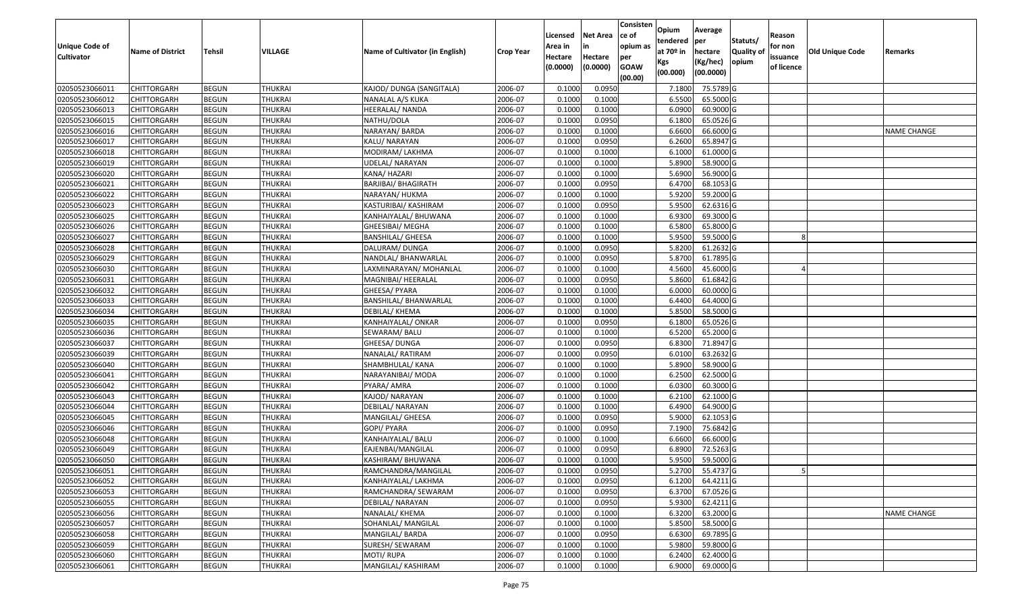| <b>Unique Code of</b><br><b>Cultivator</b> | <b>Name of District</b> | Tehsil       | VILLAGE        | Name of Cultivator (in English) | <b>Crop Year</b> | Licensed<br>Area in<br>Hectare<br>(0.0000) | Net Area<br>in<br>Hectare<br>(0.0000) | Consisten<br>ce of<br>opium as<br>per<br><b>GOAW</b><br>(00.00) | Opium<br>tendered<br>at 70º in<br>Kgs<br>(00.000) | Average<br>per<br>hectare<br>(Kg/hec)<br>(00.0000) | Statuts/<br><b>Quality of</b><br>opium | Reason<br>for non<br>issuance<br>of licence | Old Unique Code | Remarks     |
|--------------------------------------------|-------------------------|--------------|----------------|---------------------------------|------------------|--------------------------------------------|---------------------------------------|-----------------------------------------------------------------|---------------------------------------------------|----------------------------------------------------|----------------------------------------|---------------------------------------------|-----------------|-------------|
| 02050523066011                             | <b>CHITTORGARH</b>      | <b>BEGUN</b> | <b>THUKRAI</b> | KAJOD/ DUNGA (SANGITALA)        | 2006-07          | 0.1000                                     | 0.0950                                |                                                                 | 7.1800                                            | 75.5789 G                                          |                                        |                                             |                 |             |
| 02050523066012                             | CHITTORGARH             | <b>BEGUN</b> | <b>THUKRAI</b> | NANALAL A/S KUKA                | 2006-07          | 0.1000                                     | 0.1000                                |                                                                 | 6.5500                                            | 65.5000 G                                          |                                        |                                             |                 |             |
| 02050523066013                             | CHITTORGARH             | <b>BEGUN</b> | <b>THUKRAI</b> | HEERALAL/ NANDA                 | 2006-07          | 0.1000                                     | 0.1000                                |                                                                 | 6.0900                                            | 60.9000 G                                          |                                        |                                             |                 |             |
| 02050523066015                             | <b>CHITTORGARH</b>      | <b>BEGUN</b> | <b>THUKRAI</b> | NATHU/DOLA                      | 2006-07          | 0.1000                                     | 0.0950                                |                                                                 | 6.1800                                            | 65.0526 G                                          |                                        |                                             |                 |             |
| 02050523066016                             | CHITTORGARH             | <b>BEGUN</b> | <b>THUKRAI</b> | NARAYAN/BARDA                   | 2006-07          | 0.1000                                     | 0.1000                                |                                                                 | 6.6600                                            | 66.6000 G                                          |                                        |                                             |                 | NAME CHANGE |
| 02050523066017                             | CHITTORGARH             | <b>BEGUN</b> | THUKRAI        | KALU/ NARAYAN                   | 2006-07          | 0.1000                                     | 0.0950                                |                                                                 | 6.2600                                            | 65.8947 G                                          |                                        |                                             |                 |             |
| 02050523066018                             | CHITTORGARH             | <b>BEGUN</b> | THUKRAI        | MODIRAM/ LAKHMA                 | 2006-07          | 0.1000                                     | 0.1000                                |                                                                 | 6.1000                                            | 61.0000 G                                          |                                        |                                             |                 |             |
| 02050523066019                             | <b>CHITTORGARH</b>      | <b>BEGUN</b> | <b>THUKRAI</b> | <b>UDELAL/ NARAYAN</b>          | 2006-07          | 0.1000                                     | 0.1000                                |                                                                 | 5.8900                                            | 58.9000 G                                          |                                        |                                             |                 |             |
| 02050523066020                             | CHITTORGARH             | <b>BEGUN</b> | <b>THUKRAI</b> | KANA/ HAZARI                    | 2006-07          | 0.1000                                     | 0.1000                                |                                                                 | 5.6900                                            | 56.9000 G                                          |                                        |                                             |                 |             |
| 02050523066021                             | CHITTORGARH             | <b>BEGUN</b> | <b>THUKRAI</b> | <b>BARJIBAI/ BHAGIRATH</b>      | 2006-07          | 0.1000                                     | 0.0950                                |                                                                 | 6.4700                                            | 68.1053 G                                          |                                        |                                             |                 |             |
| 02050523066022                             | CHITTORGARH             | <b>BEGUN</b> | <b>THUKRAI</b> | NARAYAN/ HUKMA                  | 2006-07          | 0.1000                                     | 0.1000                                |                                                                 | 5.9200                                            | 59.2000 G                                          |                                        |                                             |                 |             |
| 02050523066023                             | <b>CHITTORGARH</b>      | <b>BEGUN</b> | <b>THUKRAI</b> | KASTURIBAI/ KASHIRAM            | 2006-07          | 0.1000                                     | 0.0950                                |                                                                 | 5.9500                                            | 62.6316 G                                          |                                        |                                             |                 |             |
| 02050523066025                             | <b>CHITTORGARH</b>      | <b>BEGUN</b> | <b>THUKRAI</b> | KANHAIYALAL/ BHUWANA            | 2006-07          | 0.1000                                     | 0.1000                                |                                                                 | 6.9300                                            | 69.3000 G                                          |                                        |                                             |                 |             |
| 02050523066026                             | <b>CHITTORGARH</b>      | <b>BEGUN</b> | <b>THUKRAI</b> | GHEESIBAI/ MEGHA                | 2006-07          | 0.1000                                     | 0.1000                                |                                                                 | 6.5800                                            | 65.8000 G                                          |                                        |                                             |                 |             |
| 02050523066027                             | CHITTORGARH             | <b>BEGUN</b> | <b>THUKRAI</b> | <b>BANSHILAL/ GHEESA</b>        | 2006-07          | 0.1000                                     | 0.1000                                |                                                                 | 5.9500                                            | 59.5000 G                                          |                                        |                                             |                 |             |
| 02050523066028                             | <b>CHITTORGARH</b>      | <b>BEGUN</b> | <b>THUKRAI</b> | DALURAM/ DUNGA                  | 2006-07          | 0.1000                                     | 0.0950                                |                                                                 | 5.8200                                            | 61.2632 G                                          |                                        |                                             |                 |             |
| 02050523066029                             | CHITTORGARH             | <b>BEGUN</b> | <b>THUKRAI</b> | NANDLAL/ BHANWARLAL             | 2006-07          | 0.1000                                     | 0.0950                                |                                                                 | 5.8700                                            | 61.7895 G                                          |                                        |                                             |                 |             |
| 02050523066030                             | CHITTORGARH             | <b>BEGUN</b> | THUKRAI        | LAXMINARAYAN/ MOHANLAL          | 2006-07          | 0.1000                                     | 0.1000                                |                                                                 | 4.5600                                            | 45.6000 G                                          |                                        |                                             |                 |             |
| 02050523066031                             | CHITTORGARH             | <b>BEGUN</b> | <b>THUKRAI</b> | MAGNIBAI/ HEERALAL              | 2006-07          | 0.1000                                     | 0.0950                                |                                                                 | 5.8600                                            | 61.6842 G                                          |                                        |                                             |                 |             |
| 02050523066032                             | CHITTORGARH             | <b>BEGUN</b> | <b>THUKRAI</b> | GHEESA/ PYARA                   | 2006-07          | 0.1000                                     | 0.1000                                |                                                                 | 6.0000                                            | 60.0000 G                                          |                                        |                                             |                 |             |
| 02050523066033                             | CHITTORGARH             | <b>BEGUN</b> | <b>THUKRAI</b> | BANSHILAL/ BHANWARLAL           | 2006-07          | 0.1000                                     | 0.1000                                |                                                                 | 6.4400                                            | 64.4000 G                                          |                                        |                                             |                 |             |
| 02050523066034                             | CHITTORGARH             | <b>BEGUN</b> | <b>THUKRAI</b> | DEBILAL/ KHEMA                  | 2006-07          | 0.1000                                     | 0.1000                                |                                                                 | 5.8500                                            | 58.5000 G                                          |                                        |                                             |                 |             |
| 02050523066035                             | CHITTORGARH             | <b>BEGUN</b> | THUKRAI        | KANHAIYALAL/ ONKAR              | 2006-07          | 0.1000                                     | 0.0950                                |                                                                 | 6.1800                                            | 65.0526 G                                          |                                        |                                             |                 |             |
| 02050523066036                             | CHITTORGARH             | <b>BEGUN</b> | <b>THUKRAI</b> | SEWARAM/ BALU                   | 2006-07          | 0.1000                                     | 0.1000                                |                                                                 | 6.5200                                            | 65.2000 G                                          |                                        |                                             |                 |             |
| 02050523066037                             | <b>CHITTORGARH</b>      | <b>BEGUN</b> | <b>THUKRAI</b> | GHEESA/ DUNGA                   | 2006-07          | 0.1000                                     | 0.0950                                |                                                                 | 6.8300                                            | 71.8947 G                                          |                                        |                                             |                 |             |
| 02050523066039                             | CHITTORGARH             | <b>BEGUN</b> | <b>THUKRAI</b> | NANALAL/RATIRAM                 | 2006-07          | 0.1000                                     | 0.0950                                |                                                                 | 6.0100                                            | 63.2632 G                                          |                                        |                                             |                 |             |
| 02050523066040                             | CHITTORGARH             | <b>BEGUN</b> | <b>THUKRAI</b> | SHAMBHULAL/ KANA                | 2006-07          | 0.1000                                     | 0.1000                                |                                                                 | 5.8900                                            | 58.9000 G                                          |                                        |                                             |                 |             |
| 02050523066041                             | CHITTORGARH             | <b>BEGUN</b> | <b>THUKRAI</b> | NARAYANIBAI/ MODA               | 2006-07          | 0.1000                                     | 0.1000                                |                                                                 | 6.2500                                            | 62.5000 G                                          |                                        |                                             |                 |             |
| 02050523066042                             | CHITTORGARH             | <b>BEGUN</b> | <b>THUKRAI</b> | PYARA/ AMRA                     | 2006-07          | 0.1000                                     | 0.1000                                |                                                                 | 6.0300                                            | 60.3000 G                                          |                                        |                                             |                 |             |
| 02050523066043                             | CHITTORGARH             | <b>BEGUN</b> | <b>THUKRAI</b> | KAJOD/ NARAYAN                  | 2006-07          | 0.1000                                     | 0.1000                                |                                                                 | 6.2100                                            | 62.1000 G                                          |                                        |                                             |                 |             |
| 02050523066044                             | CHITTORGARH             | <b>BEGUN</b> | <b>THUKRAI</b> | DEBILAL/ NARAYAN                | 2006-07          | 0.1000                                     | 0.1000                                |                                                                 | 6.4900                                            | 64.9000 G                                          |                                        |                                             |                 |             |
| 02050523066045                             | CHITTORGARH             | <b>BEGUN</b> | <b>THUKRAI</b> | MANGILAL/ GHEESA                | 2006-07          | 0.1000                                     | 0.0950                                |                                                                 | 5.9000                                            | 62.1053 G                                          |                                        |                                             |                 |             |
| 02050523066046                             | CHITTORGARH             | <b>BEGUN</b> | <b>THUKRAI</b> | GOPI/ PYARA                     | 2006-07          | 0.1000                                     | 0.0950                                |                                                                 | 7.1900                                            | 75.6842 G                                          |                                        |                                             |                 |             |
| 02050523066048                             | <b>CHITTORGARH</b>      | <b>BEGUN</b> | <b>THUKRAI</b> | KANHAIYALAL/ BALU               | 2006-07          | 0.1000                                     | 0.1000                                |                                                                 | 6.6600                                            | 66.6000 G                                          |                                        |                                             |                 |             |
| 02050523066049                             | CHITTORGARH             | <b>BEGUN</b> | <b>THUKRAI</b> | EAJENBAI/MANGILAL               | 2006-07          | 0.1000                                     | 0.0950                                |                                                                 | 6.8900                                            | 72.5263 G                                          |                                        |                                             |                 |             |
| 02050523066050                             | CHITTORGARH             | <b>BEGUN</b> | <b>THUKRAI</b> | KASHIRAM/ BHUWANA               | 2006-07          | 0.1000                                     | 0.1000                                |                                                                 | 5.9500                                            | 59.5000 G                                          |                                        |                                             |                 |             |
| 02050523066051                             | <b>CHITTORGARH</b>      | <b>BEGUN</b> | <b>THUKRAI</b> | RAMCHANDRA/MANGILAL             | 2006-07          | 0.1000                                     | 0.0950                                |                                                                 |                                                   | 5.2700 55.4737 G                                   |                                        |                                             |                 |             |
| 02050523066052                             | <b>CHITTORGARH</b>      | <b>BEGUN</b> | THUKRAI        | KANHAIYALAL/ LAKHMA             | 2006-07          | 0.1000                                     | 0.0950                                |                                                                 | 6.1200                                            | 64.4211 G                                          |                                        |                                             |                 |             |
| 02050523066053                             | <b>CHITTORGARH</b>      | <b>BEGUN</b> | <b>THUKRAI</b> | RAMCHANDRA/ SEWARAM             | 2006-07          | 0.1000                                     | 0.0950                                |                                                                 | 6.3700                                            | 67.0526 G                                          |                                        |                                             |                 |             |
| 02050523066055                             | <b>CHITTORGARH</b>      | <b>BEGUN</b> | <b>THUKRAI</b> | DEBILAL/ NARAYAN                | 2006-07          | 0.1000                                     | 0.0950                                |                                                                 | 5.9300                                            | 62.4211 G                                          |                                        |                                             |                 |             |
| 02050523066056                             | <b>CHITTORGARH</b>      | <b>BEGUN</b> | <b>THUKRAI</b> | NANALAL/ KHEMA                  | 2006-07          | 0.1000                                     | 0.1000                                |                                                                 | 6.3200                                            | 63.2000 G                                          |                                        |                                             |                 | NAME CHANGE |
| 02050523066057                             | <b>CHITTORGARH</b>      | <b>BEGUN</b> | <b>THUKRAI</b> | SOHANLAL/ MANGILAL              | 2006-07          | 0.1000                                     | 0.1000                                |                                                                 | 5.8500                                            | 58.5000 G                                          |                                        |                                             |                 |             |
| 02050523066058                             | <b>CHITTORGARH</b>      | <b>BEGUN</b> | <b>THUKRAI</b> | MANGILAL/ BARDA                 | 2006-07          | 0.1000                                     | 0.0950                                |                                                                 | 6.6300                                            | 69.7895 G                                          |                                        |                                             |                 |             |
| 02050523066059                             | <b>CHITTORGARH</b>      | <b>BEGUN</b> | <b>THUKRAI</b> | SURESH/ SEWARAM                 | 2006-07          | 0.1000                                     | 0.1000                                |                                                                 | 5.9800                                            | 59.8000 G                                          |                                        |                                             |                 |             |
| 02050523066060                             | <b>CHITTORGARH</b>      | <b>BEGUN</b> | <b>THUKRAI</b> | MOTI/ RUPA                      | 2006-07          | 0.1000                                     | 0.1000                                |                                                                 | 6.2400                                            | 62.4000 G                                          |                                        |                                             |                 |             |
| 02050523066061                             | <b>CHITTORGARH</b>      | <b>BEGUN</b> | <b>THUKRAI</b> | MANGILAL/ KASHIRAM              | 2006-07          | 0.1000                                     | 0.1000                                |                                                                 | 6.9000                                            | 69.0000 G                                          |                                        |                                             |                 |             |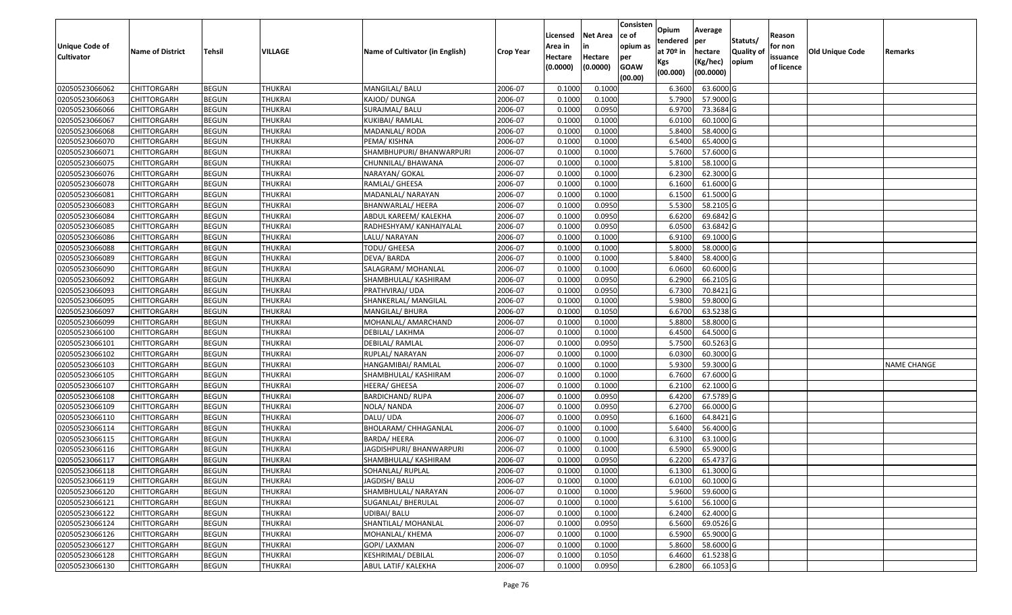| Unique Code of    | <b>Name of District</b> | <b>Tehsil</b> | VILLAGE        | Name of Cultivator (in English) | <b>Crop Year</b> | Licensed<br>Area in | <b>Net Area</b><br>in | Consisten<br>ce of<br>opium as | Opium<br>tendered<br>at $70°$ in | Average<br>per<br>hectare | Statuts/<br><b>Quality o</b> | Reason<br>for non      | Old Unique Code | Remarks            |
|-------------------|-------------------------|---------------|----------------|---------------------------------|------------------|---------------------|-----------------------|--------------------------------|----------------------------------|---------------------------|------------------------------|------------------------|-----------------|--------------------|
| <b>Cultivator</b> |                         |               |                |                                 |                  | Hectare<br>(0.0000) | Hectare<br>(0.0000)   | per<br><b>GOAW</b><br>(00.00)  | Kgs<br>(00.000)                  | (Kg/hec)<br>(00.0000)     | opium                        | issuance<br>of licence |                 |                    |
| 02050523066062    | CHITTORGARH             | <b>BEGUN</b>  | <b>THUKRAI</b> | MANGILAL/ BALU                  | 2006-07          | 0.1000              | 0.1000                |                                | 6.3600                           | 63.6000 G                 |                              |                        |                 |                    |
| 02050523066063    | CHITTORGARH             | <b>BEGUN</b>  | <b>THUKRAI</b> | KAJOD/ DUNGA                    | 2006-07          | 0.1000              | 0.1000                |                                | 5.7900                           | 57.9000 G                 |                              |                        |                 |                    |
| 02050523066066    | CHITTORGARH             | <b>BEGUN</b>  | <b>THUKRAI</b> | SURAJMAL/ BALU                  | 2006-07          | 0.1000              | 0.0950                |                                | 6.9700                           | 73.3684 G                 |                              |                        |                 |                    |
| 02050523066067    | <b>CHITTORGARH</b>      | <b>BEGUN</b>  | <b>THUKRAI</b> | KUKIBAI/ RAMLAL                 | 2006-07          | 0.1000              | 0.1000                |                                | 6.0100                           | 60.1000G                  |                              |                        |                 |                    |
| 02050523066068    | CHITTORGARH             | <b>BEGUN</b>  | <b>THUKRAI</b> | MADANLAL/RODA                   | 2006-07          | 0.1000              | 0.1000                |                                | 5.8400                           | 58.4000 G                 |                              |                        |                 |                    |
| 02050523066070    | CHITTORGARH             | <b>BEGUN</b>  | THUKRAI        | PEMA/ KISHNA                    | 2006-07          | 0.1000              | 0.1000                |                                | 6.5400                           | 65.4000 G                 |                              |                        |                 |                    |
| 02050523066071    | CHITTORGARH             | <b>BEGUN</b>  | THUKRAI        | SHAMBHUPURI/ BHANWARPURI        | 2006-07          | 0.1000              | 0.1000                |                                | 5.7600                           | 57.6000 G                 |                              |                        |                 |                    |
| 02050523066075    | CHITTORGARH             | <b>BEGUN</b>  | <b>THUKRAI</b> | CHUNNILAL/ BHAWANA              | 2006-07          | 0.1000              | 0.1000                |                                | 5.8100                           | 58.1000G                  |                              |                        |                 |                    |
| 02050523066076    | CHITTORGARH             | <b>BEGUN</b>  | <b>THUKRAI</b> | NARAYAN/ GOKAL                  | 2006-07          | 0.1000              | 0.1000                |                                | 6.2300                           | 62.3000G                  |                              |                        |                 |                    |
| 02050523066078    | CHITTORGARH             | <b>BEGUN</b>  | <b>THUKRAI</b> | RAMLAL/ GHEESA                  | 2006-07          | 0.1000              | 0.1000                |                                | 6.1600                           | 61.6000 G                 |                              |                        |                 |                    |
| 02050523066081    | CHITTORGARH             | <b>BEGUN</b>  | <b>THUKRAI</b> | MADANLAL/ NARAYAN               | 2006-07          | 0.1000              | 0.1000                |                                | 6.1500                           | 61.5000 G                 |                              |                        |                 |                    |
| 02050523066083    | CHITTORGARH             | <b>BEGUN</b>  | <b>THUKRAI</b> | BHANWARLAL/ HEERA               | 2006-07          | 0.1000              | 0.0950                |                                | 5.5300                           | 58.2105 G                 |                              |                        |                 |                    |
| 02050523066084    | <b>CHITTORGARH</b>      | <b>BEGUN</b>  | <b>THUKRAI</b> | ABDUL KAREEM/ KALEKHA           | 2006-07          | 0.1000              | 0.0950                |                                | 6.6200                           | 69.6842 G                 |                              |                        |                 |                    |
| 02050523066085    | CHITTORGARH             | <b>BEGUN</b>  | <b>THUKRAI</b> | RADHESHYAM/ KANHAIYALAL         | 2006-07          | 0.1000              | 0.0950                |                                | 6.0500                           | 63.6842 G                 |                              |                        |                 |                    |
| 02050523066086    | CHITTORGARH             | <b>BEGUN</b>  | <b>THUKRAI</b> | LALU/ NARAYAN                   | 2006-07          | 0.1000              | 0.1000                |                                | 6.9100                           | 69.1000G                  |                              |                        |                 |                    |
| 02050523066088    | CHITTORGARH             | <b>BEGUN</b>  | <b>THUKRAI</b> | TODU/ GHEESA                    | 2006-07          | 0.1000              | 0.1000                |                                | 5.8000                           | 58.0000G                  |                              |                        |                 |                    |
| 02050523066089    | CHITTORGARH             | <b>BEGUN</b>  | <b>THUKRAI</b> | DEVA/BARDA                      | 2006-07          | 0.1000              | 0.1000                |                                | 5.8400                           | 58.4000 G                 |                              |                        |                 |                    |
| 02050523066090    | CHITTORGARH             | <b>BEGUN</b>  | <b>THUKRAI</b> | SALAGRAM/ MOHANLAL              | 2006-07          | 0.1000              | 0.1000                |                                | 6.0600                           | 60.6000 G                 |                              |                        |                 |                    |
| 02050523066092    | CHITTORGARH             | <b>BEGUN</b>  | <b>THUKRAI</b> | SHAMBHULAL/ KASHIRAM            | 2006-07          | 0.1000              | 0.0950                |                                | 6.2900                           | 66.2105 G                 |                              |                        |                 |                    |
| 02050523066093    | CHITTORGARH             | <b>BEGUN</b>  | <b>THUKRAI</b> | PRATHVIRAJ/UDA                  | 2006-07          | 0.1000              | 0.0950                |                                | 6.7300                           | 70.8421G                  |                              |                        |                 |                    |
| 02050523066095    | CHITTORGARH             | <b>BEGUN</b>  | <b>THUKRAI</b> | SHANKERLAL/ MANGILAL            | 2006-07          | 0.1000              | 0.1000                |                                | 5.9800                           | 59.8000G                  |                              |                        |                 |                    |
| 02050523066097    | CHITTORGARH             | <b>BEGUN</b>  | <b>THUKRAI</b> | MANGILAL/ BHURA                 | 2006-07          | 0.1000              | 0.1050                |                                | 6.6700                           | 63.5238 G                 |                              |                        |                 |                    |
| 02050523066099    | CHITTORGARH             | <b>BEGUN</b>  | <b>THUKRAI</b> | MOHANLAL/ AMARCHAND             | 2006-07          | 0.1000              | 0.1000                |                                | 5.8800                           | 58.8000 G                 |                              |                        |                 |                    |
| 02050523066100    | CHITTORGARH             | <b>BEGUN</b>  | <b>THUKRAI</b> | DEBILAL/ LAKHMA                 | 2006-07          | 0.100               | 0.1000                |                                | 6.4500                           | 64.5000 G                 |                              |                        |                 |                    |
| 02050523066101    | <b>CHITTORGARH</b>      | <b>BEGUN</b>  | <b>THUKRAI</b> | DEBILAL/ RAMLAL                 | 2006-07          | 0.100               | 0.0950                |                                | 5.7500                           | 60.5263 G                 |                              |                        |                 |                    |
| 02050523066102    | CHITTORGARH             | <b>BEGUN</b>  | <b>THUKRAI</b> | RUPLAL/ NARAYAN                 | 2006-07          | 0.1000              | 0.1000                |                                | 6.0300                           | 60.3000 G                 |                              |                        |                 |                    |
| 02050523066103    | CHITTORGARH             | <b>BEGUN</b>  | <b>THUKRAI</b> | HANGAMIBAI/ RAMLAL              | 2006-07          | 0.1000              | 0.1000                |                                | 5.9300                           | 59.3000G                  |                              |                        |                 | <b>NAME CHANGE</b> |
| 02050523066105    | CHITTORGARH             | <b>BEGUN</b>  | <b>THUKRAI</b> | SHAMBHULAL/ KASHIRAM            | 2006-07          | 0.1000              | 0.1000                |                                | 6.7600                           | 67.6000 G                 |                              |                        |                 |                    |
| 02050523066107    | CHITTORGARH             | <b>BEGUN</b>  | <b>THUKRAI</b> | HEERA/ GHEESA                   | 2006-07          | 0.1000              | 0.1000                |                                | 6.2100                           | 62.1000 G                 |                              |                        |                 |                    |
| 02050523066108    | CHITTORGARH             | <b>BEGUN</b>  | <b>THUKRAI</b> | <b>BARDICHAND/ RUPA</b>         | 2006-07          | 0.1000              | 0.0950                |                                | 6.4200                           | 67.5789 G                 |                              |                        |                 |                    |
| 02050523066109    | CHITTORGARH             | <b>BEGUN</b>  | <b>THUKRAI</b> | NOLA/ NANDA                     | 2006-07          | 0.1000              | 0.0950                |                                | 6.2700                           | 66.0000G                  |                              |                        |                 |                    |
| 02050523066110    | CHITTORGARH             | <b>BEGUN</b>  | <b>THUKRAI</b> | DALU/ UDA                       | 2006-07          | 0.1000              | 0.0950                |                                | 6.1600                           | 64.8421G                  |                              |                        |                 |                    |
| 02050523066114    | CHITTORGARH             | <b>BEGUN</b>  | <b>THUKRAI</b> | <b>BHOLARAM/ CHHAGANLAL</b>     | 2006-07          | 0.1000              | 0.1000                |                                | 5.6400                           | 56.4000 G                 |                              |                        |                 |                    |
| 02050523066115    | CHITTORGARH             | <b>BEGUN</b>  | <b>THUKRAI</b> | BARDA/ HEERA                    | 2006-07          | 0.1000              | 0.1000                |                                | 6.3100                           | 63.1000 G                 |                              |                        |                 |                    |
| 02050523066116    | CHITTORGARH             | <b>BEGUN</b>  | <b>THUKRAI</b> | JAGDISHPURI/ BHANWARPURI        | 2006-07          | 0.1000              | 0.1000                |                                | 6.5900                           | 65.9000 G                 |                              |                        |                 |                    |
| 02050523066117    | CHITTORGARH             | <b>BEGUN</b>  | <b>THUKRAI</b> | SHAMBHULAL/ KASHIRAM            | 2006-07          | 0.1000              | 0.0950                |                                | 6.2200                           | 65.4737 G                 |                              |                        |                 |                    |
| 02050523066118    | <b>CHITTORGARH</b>      | <b>BEGUN</b>  | <b>THUKRAI</b> | SOHANLAL/ RUPLAL                | 2006-07          | 0.1000              | 0.1000                |                                | 6.1300                           | 61.3000 G                 |                              |                        |                 |                    |
| 02050523066119    | <b>CHITTORGARH</b>      | <b>BEGUN</b>  | <b>THUKRAI</b> | JAGDISH/ BALU                   | 2006-07          | 0.1000              | 0.1000                |                                | 6.0100                           | 60.1000 G                 |                              |                        |                 |                    |
| 02050523066120    | <b>CHITTORGARH</b>      | <b>BEGUN</b>  | <b>THUKRAI</b> | SHAMBHULAL/ NARAYAN             | 2006-07          | 0.1000              | 0.1000                |                                | 5.9600                           | 59.6000 G                 |                              |                        |                 |                    |
| 02050523066121    | <b>CHITTORGARH</b>      | <b>BEGUN</b>  | <b>THUKRAI</b> | SUGANLAL/ BHERULAL              | 2006-07          | 0.1000              | 0.1000                |                                | 5.6100                           | 56.1000 G                 |                              |                        |                 |                    |
| 02050523066122    | <b>CHITTORGARH</b>      | <b>BEGUN</b>  | <b>THUKRAI</b> | UDIBAI/ BALU                    | 2006-07          | 0.1000              | 0.1000                |                                | 6.2400                           | 62.4000 G                 |                              |                        |                 |                    |
| 02050523066124    | <b>CHITTORGARH</b>      | <b>BEGUN</b>  | <b>THUKRAI</b> | SHANTILAL/ MOHANLAL             | 2006-07          | 0.1000              | 0.0950                |                                | 6.5600                           | 69.0526 G                 |                              |                        |                 |                    |
| 02050523066126    | <b>CHITTORGARH</b>      | <b>BEGUN</b>  | <b>THUKRAI</b> | MOHANLAL/ KHEMA                 | 2006-07          | 0.1000              | 0.1000                |                                | 6.5900                           | 65.9000 G                 |                              |                        |                 |                    |
| 02050523066127    | <b>CHITTORGARH</b>      | <b>BEGUN</b>  | <b>THUKRAI</b> | GOPI/ LAXMAN                    | 2006-07          | 0.1000              | 0.1000                |                                | 5.8600                           | 58.6000 G                 |                              |                        |                 |                    |
| 02050523066128    | CHITTORGARH             | <b>BEGUN</b>  | <b>THUKRAI</b> | <b>KESHRIMAL/ DEBILAL</b>       | 2006-07          | 0.1000              | 0.1050                |                                | 6.4600                           | 61.5238 G                 |                              |                        |                 |                    |
| 02050523066130    | <b>CHITTORGARH</b>      | <b>BEGUN</b>  | <b>THUKRAI</b> | ABUL LATIF/ KALEKHA             | 2006-07          | 0.1000              | 0.0950                |                                | 6.2800                           | 66.1053 G                 |                              |                        |                 |                    |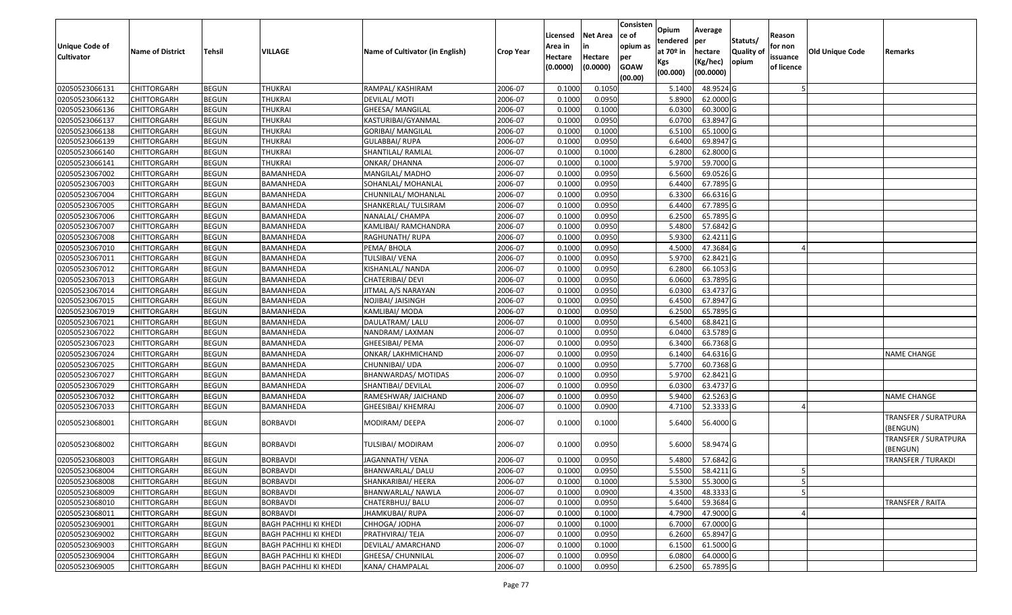| <b>Unique Code of</b><br><b>Cultivator</b> | <b>Name of District</b> | <b>Tehsil</b> | VILLAGE                      | Name of Cultivator (in English) | Crop Year | Licensed<br>Area in<br>Hectare<br>(0.0000) | <b>Net Area</b><br>in<br>Hectare<br>(0.0000) | Consisten<br>ce of<br>opium as<br>per<br><b>GOAW</b><br>(00.00) | Opium<br>tendered<br>at 70º in<br>Kgs<br>(00.000) | Average<br>per<br>hectare<br>(Kg/hec)<br>(00.0000) | Statuts/<br><b>Quality of</b><br>opium | Reason<br>for non<br>issuance<br>of licence | <b>Old Unique Code</b> | Remarks                          |
|--------------------------------------------|-------------------------|---------------|------------------------------|---------------------------------|-----------|--------------------------------------------|----------------------------------------------|-----------------------------------------------------------------|---------------------------------------------------|----------------------------------------------------|----------------------------------------|---------------------------------------------|------------------------|----------------------------------|
| 02050523066131                             | <b>CHITTORGARH</b>      | <b>BEGUN</b>  | THUKRAI                      | RAMPAL/ KASHIRAM                | 2006-07   | 0.1000                                     | 0.1050                                       |                                                                 | 5.1400                                            | 48.9524 G                                          |                                        |                                             |                        |                                  |
| 02050523066132                             | <b>CHITTORGARH</b>      | <b>BEGUN</b>  | THUKRAI                      | DEVILAL/ MOTI                   | 2006-07   | 0.1000                                     | 0.0950                                       |                                                                 | 5.8900                                            | 62.0000 G                                          |                                        |                                             |                        |                                  |
| 02050523066136                             | <b>CHITTORGARH</b>      | <b>BEGUN</b>  | THUKRAI                      | GHEESA/ MANGILAL                | 2006-07   | 0.1000                                     | 0.1000                                       |                                                                 | 6.0300                                            | 60.3000 G                                          |                                        |                                             |                        |                                  |
| 02050523066137                             | <b>CHITTORGARH</b>      | <b>BEGUN</b>  | <b>THUKRAI</b>               | KASTURIBAI/GYANMAL              | 2006-07   | 0.1000                                     | 0.0950                                       |                                                                 | 6.0700                                            | 63.8947 G                                          |                                        |                                             |                        |                                  |
| 02050523066138                             | <b>CHITTORGARH</b>      | <b>BEGUN</b>  | THUKRAI                      | <b>GORIBAI/ MANGILAL</b>        | 2006-07   | 0.1000                                     | 0.1000                                       |                                                                 | 6.5100                                            | 65.1000 G                                          |                                        |                                             |                        |                                  |
| 02050523066139                             | <b>CHITTORGARH</b>      | <b>BEGUN</b>  | THUKRAI                      | GULABBAI/RUPA                   | 2006-07   | 0.1000                                     | 0.0950                                       |                                                                 | 6.6400                                            | 69.8947 G                                          |                                        |                                             |                        |                                  |
| 02050523066140                             | <b>CHITTORGARH</b>      | <b>BEGUN</b>  | THUKRAI                      | SHANTILAL/ RAMLAL               | 2006-07   | 0.1000                                     | 0.1000                                       |                                                                 | 6.2800                                            | 62.8000 G                                          |                                        |                                             |                        |                                  |
| 02050523066141                             | <b>CHITTORGARH</b>      | <b>BEGUN</b>  | THUKRAI                      | <b>ONKAR/ DHANNA</b>            | 2006-07   | 0.1000                                     | 0.1000                                       |                                                                 | 5.9700                                            | 59.7000 G                                          |                                        |                                             |                        |                                  |
| 02050523067002                             | <b>CHITTORGARH</b>      | <b>BEGUN</b>  | BAMANHEDA                    | MANGILAL/ MADHO                 | 2006-07   | 0.1000                                     | 0.0950                                       |                                                                 | 6.5600                                            | 69.0526 G                                          |                                        |                                             |                        |                                  |
| 02050523067003                             | <b>CHITTORGARH</b>      | <b>BEGUN</b>  | BAMANHEDA                    | SOHANLAL/ MOHANLAL              | 2006-07   | 0.1000                                     | 0.0950                                       |                                                                 | 6.4400                                            | 67.7895 G                                          |                                        |                                             |                        |                                  |
| 02050523067004                             | <b>CHITTORGARH</b>      | <b>BEGUN</b>  | BAMANHEDA                    | CHUNNILAL/ MOHANLAL             | 2006-07   | 0.1000                                     | 0.0950                                       |                                                                 | 6.3300                                            | 66.6316 G                                          |                                        |                                             |                        |                                  |
| 02050523067005                             | <b>CHITTORGARH</b>      | <b>BEGUN</b>  | BAMANHEDA                    | SHANKERLAL/ TULSIRAM            | 2006-07   | 0.1000                                     | 0.0950                                       |                                                                 | 6.4400                                            | 67.7895 G                                          |                                        |                                             |                        |                                  |
| 02050523067006                             | <b>CHITTORGARH</b>      | <b>BEGUN</b>  | BAMANHEDA                    | NANALAL/ CHAMPA                 | 2006-07   | 0.1000                                     | 0.0950                                       |                                                                 | 6.2500                                            | 65.7895 G                                          |                                        |                                             |                        |                                  |
| 02050523067007                             | <b>CHITTORGARH</b>      | <b>BEGUN</b>  | BAMANHEDA                    | KAMLIBAI/ RAMCHANDRA            | 2006-07   | 0.1000                                     | 0.0950                                       |                                                                 | 5.4800                                            | 57.6842 G                                          |                                        |                                             |                        |                                  |
| 02050523067008                             | <b>CHITTORGARH</b>      | <b>BEGUN</b>  | BAMANHEDA                    | RAGHUNATH/ RUPA                 | 2006-07   | 0.1000                                     | 0.0950                                       |                                                                 | 5.9300                                            | 62.4211 G                                          |                                        |                                             |                        |                                  |
| 02050523067010                             | <b>CHITTORGARH</b>      | <b>BEGUN</b>  | BAMANHEDA                    | PEMA/ BHOLA                     | 2006-07   | 0.1000                                     | 0.0950                                       |                                                                 | 4.5000                                            | 47.3684 G                                          |                                        |                                             |                        |                                  |
| 02050523067011                             | <b>CHITTORGARH</b>      | <b>BEGUN</b>  | BAMANHEDA                    | TULSIBAI/ VENA                  | 2006-07   | 0.1000                                     | 0.0950                                       |                                                                 | 5.9700                                            | 62.8421 G                                          |                                        |                                             |                        |                                  |
| 02050523067012                             | <b>CHITTORGARH</b>      | <b>BEGUN</b>  | BAMANHEDA                    | KISHANLAL/ NANDA                | 2006-07   | 0.1000                                     | 0.0950                                       |                                                                 | 6.2800                                            | 66.1053 G                                          |                                        |                                             |                        |                                  |
| 02050523067013                             | <b>CHITTORGARH</b>      | <b>BEGUN</b>  | BAMANHEDA                    | CHATERIBAI/ DEVI                | 2006-07   | 0.1000                                     | 0.0950                                       |                                                                 | 6.0600                                            | 63.7895 G                                          |                                        |                                             |                        |                                  |
| 02050523067014                             | <b>CHITTORGARH</b>      | <b>BEGUN</b>  | BAMANHEDA                    | JITMAL A/S NARAYAN              | 2006-07   | 0.1000                                     | 0.0950                                       |                                                                 | 6.0300                                            | 63.4737 G                                          |                                        |                                             |                        |                                  |
| 02050523067015                             | <b>CHITTORGARH</b>      | <b>BEGUN</b>  | BAMANHEDA                    | NOJIBAI/ JAISINGH               | 2006-07   | 0.1000                                     | 0.0950                                       |                                                                 | 6.4500                                            | 67.8947 G                                          |                                        |                                             |                        |                                  |
| 02050523067019                             | <b>CHITTORGARH</b>      | <b>BEGUN</b>  | BAMANHEDA                    | KAMLIBAI/ MODA                  | 2006-07   | 0.1000                                     | 0.0950                                       |                                                                 | 6.2500                                            | 65.7895 G                                          |                                        |                                             |                        |                                  |
| 02050523067021                             | <b>CHITTORGARH</b>      | <b>BEGUN</b>  | BAMANHEDA                    | DAULATRAM/ LALU                 | 2006-07   | 0.1000                                     | 0.0950                                       |                                                                 | 6.5400                                            | 68.8421 G                                          |                                        |                                             |                        |                                  |
| 02050523067022                             | <b>CHITTORGARH</b>      | <b>BEGUN</b>  | BAMANHEDA                    | NANDRAM/LAXMAN                  | 2006-07   | 0.1000                                     | 0.0950                                       |                                                                 | 6.0400                                            | 63.5789 G                                          |                                        |                                             |                        |                                  |
| 02050523067023                             | <b>CHITTORGARH</b>      | <b>BEGUN</b>  | BAMANHEDA                    | GHEESIBAI/ PEMA                 | 2006-07   | 0.1000                                     | 0.0950                                       |                                                                 | 6.3400                                            | 66.7368 G                                          |                                        |                                             |                        |                                  |
| 02050523067024                             | <b>CHITTORGARH</b>      | <b>BEGUN</b>  | BAMANHEDA                    | ONKAR/ LAKHMICHAND              | 2006-07   | 0.1000                                     | 0.0950                                       |                                                                 | 6.1400                                            | 64.6316 G                                          |                                        |                                             |                        | <b>NAME CHANGE</b>               |
| 02050523067025                             | <b>CHITTORGARH</b>      | <b>BEGUN</b>  | BAMANHEDA                    | CHUNNIBAI/ UDA                  | 2006-07   | 0.1000                                     | 0.0950                                       |                                                                 | 5.7700                                            | 60.7368 G                                          |                                        |                                             |                        |                                  |
| 02050523067027                             | <b>CHITTORGARH</b>      | <b>BEGUN</b>  | BAMANHEDA                    | BHANWARDAS/ MOTIDAS             | 2006-07   | 0.1000                                     | 0.0950                                       |                                                                 | 5.9700                                            | $62.8421$ G                                        |                                        |                                             |                        |                                  |
| 02050523067029                             | <b>CHITTORGARH</b>      | <b>BEGUN</b>  | BAMANHEDA                    | SHANTIBAI/ DEVILAL              | 2006-07   | 0.1000                                     | 0.0950                                       |                                                                 | 6.0300                                            | 63.4737 G                                          |                                        |                                             |                        |                                  |
| 02050523067032                             | <b>CHITTORGARH</b>      | <b>BEGUN</b>  | BAMANHEDA                    | RAMESHWAR/ JAICHAND             | 2006-07   | 0.1000                                     | 0.0950                                       |                                                                 | 5.9400                                            | 62.5263 G                                          |                                        |                                             |                        | <b>NAME CHANGE</b>               |
| 02050523067033                             | <b>CHITTORGARH</b>      | <b>BEGUN</b>  | BAMANHEDA                    | GHEESIBAI/ KHEMRAJ              | 2006-07   | 0.1000                                     | 0.0900                                       |                                                                 | 4.7100                                            | 52.3333 G                                          |                                        |                                             |                        |                                  |
| 02050523068001                             | <b>CHITTORGARH</b>      | <b>BEGUN</b>  | BORBAVDI                     | MODIRAM/DEEPA                   | 2006-07   | 0.1000                                     | 0.1000                                       |                                                                 | 5.6400                                            | 56.4000 G                                          |                                        |                                             |                        | TRANSFER / SURATPURA<br>(BENGUN) |
| 02050523068002                             | <b>CHITTORGARH</b>      | BEGUN         | BORBAVDI                     | TULSIBAI/ MODIRAM               | 2006-07   | 0.1000                                     | 0.0950                                       |                                                                 | 5.6000                                            | 58.9474 G                                          |                                        |                                             |                        | TRANSFER / SURATPURA<br>(BENGUN) |
| 02050523068003                             | <b>CHITTORGARH</b>      | <b>BEGUN</b>  | BORBAVDI                     | JAGANNATH/ VENA                 | 2006-07   | 0.1000                                     | 0.0950                                       |                                                                 | 5.4800                                            | 57.6842 G                                          |                                        |                                             |                        | <b>TRANSFER / TURAKDI</b>        |
| 02050523068004                             | <b>CHITTORGARH</b>      | <b>BEGUN</b>  | <b>BORBAVDI</b>              | BHANWARLAL/DALU                 | 2006-07   | 0.1000                                     | 0.0950                                       |                                                                 | 5.5500                                            | 58.4211 G                                          |                                        |                                             |                        |                                  |
| 02050523068008                             | <b>CHITTORGARH</b>      | <b>BEGUN</b>  | <b>BORBAVDI</b>              | SHANKARIBAI/ HEERA              | 2006-07   | 0.1000                                     | 0.1000                                       |                                                                 | 5.5300                                            | 55.3000 G                                          |                                        |                                             |                        |                                  |
| 02050523068009                             | <b>CHITTORGARH</b>      | <b>BEGUN</b>  | <b>BORBAVDI</b>              | BHANWARLAL/ NAWLA               | 2006-07   | 0.1000                                     | 0.0900                                       |                                                                 | 4.3500                                            | 48.3333 G                                          |                                        |                                             |                        |                                  |
| 02050523068010                             | <b>CHITTORGARH</b>      | <b>BEGUN</b>  | BORBAVDI                     | CHATERBHUJ/ BALU                | 2006-07   | 0.1000                                     | 0.0950                                       |                                                                 | 5.6400                                            | 59.3684 G                                          |                                        |                                             |                        | <b>TRANSFER / RAITA</b>          |
| 02050523068011                             | <b>CHITTORGARH</b>      | <b>BEGUN</b>  | <b>BORBAVDI</b>              | JHAMKUBAI/ RUPA                 | 2006-07   | 0.1000                                     | 0.1000                                       |                                                                 | 4.7900                                            | 47.9000 G                                          |                                        |                                             |                        |                                  |
| 02050523069001                             | <b>CHITTORGARH</b>      | <b>BEGUN</b>  | <b>BAGH PACHHLI KI KHEDI</b> | CHHOGA/ JODHA                   | 2006-07   | 0.1000                                     | 0.1000                                       |                                                                 | 6.7000                                            | 67.0000 G                                          |                                        |                                             |                        |                                  |
| 02050523069002                             | <b>CHITTORGARH</b>      | <b>BEGUN</b>  | BAGH PACHHLI KI KHEDI        | PRATHVIRAJ/ TEJA                | 2006-07   | 0.1000                                     | 0.0950                                       |                                                                 | 6.2600                                            | 65.8947 G                                          |                                        |                                             |                        |                                  |
| 02050523069003                             | <b>CHITTORGARH</b>      | <b>BEGUN</b>  | BAGH PACHHLI KI KHEDI        | DEVILAL/ AMARCHAND              | 2006-07   | 0.1000                                     | 0.1000                                       |                                                                 | 6.1500                                            | 61.5000 G                                          |                                        |                                             |                        |                                  |
| 02050523069004                             | <b>CHITTORGARH</b>      | <b>BEGUN</b>  | BAGH PACHHLI KI KHEDI        | GHEESA/ CHUNNILAL               | 2006-07   | 0.1000                                     | 0.0950                                       |                                                                 | 6.0800                                            | 64.0000 G                                          |                                        |                                             |                        |                                  |
| 02050523069005                             | <b>CHITTORGARH</b>      | <b>BEGUN</b>  | <b>BAGH PACHHLI KI KHEDI</b> | <b>KANA/ CHAMPALAL</b>          | 2006-07   | 0.1000                                     | 0.0950                                       |                                                                 | 6.2500                                            | 65.7895 G                                          |                                        |                                             |                        |                                  |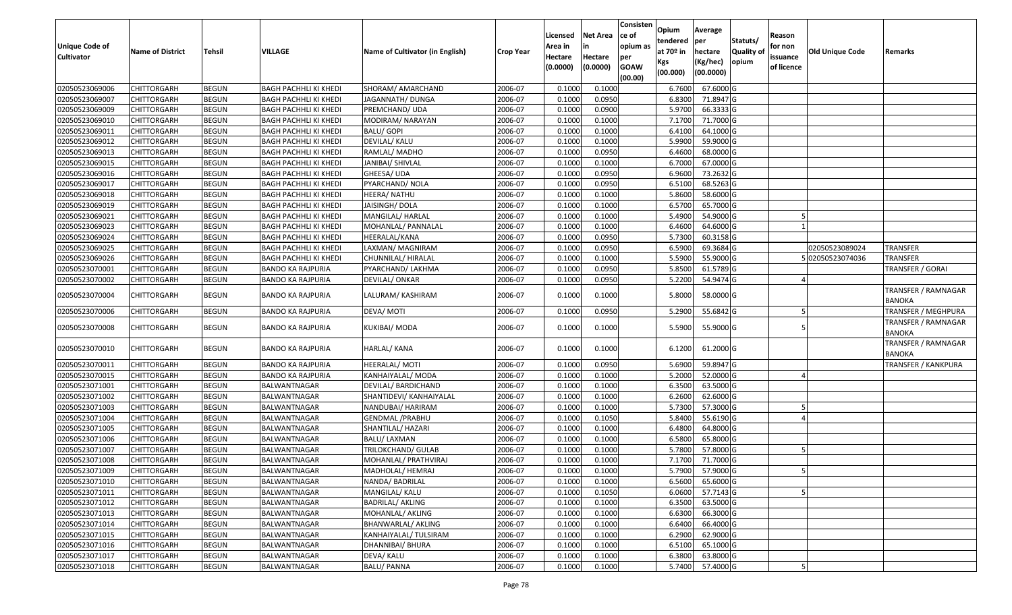| <b>Unique Code of</b><br><b>Cultivator</b> | <b>Name of District</b>    | Tehsil                       | <b>VILLAGE</b>                                        | Name of Cultivator (in English)    | <b>Crop Year</b>   | Licensed<br>Area in<br>Hectare<br>(0.0000) | <b>Net Area</b><br>in<br>Hectare<br>(0.0000) | Consisten<br>ce of<br>opium as<br>per<br><b>GOAW</b> | Opium<br>tendered<br>at $70°$ in<br>Kgs<br>(00.000) | Average<br>per<br>hectare<br>(Kg/hec)<br>(00.0000) | Statuts/<br>Quality o<br>opium | Reason<br>for non<br>issuance<br>of licence | <b>Old Unique Code</b> | Remarks                              |
|--------------------------------------------|----------------------------|------------------------------|-------------------------------------------------------|------------------------------------|--------------------|--------------------------------------------|----------------------------------------------|------------------------------------------------------|-----------------------------------------------------|----------------------------------------------------|--------------------------------|---------------------------------------------|------------------------|--------------------------------------|
| 02050523069006                             |                            |                              |                                                       |                                    |                    |                                            | 0.1000                                       | (00.00)                                              |                                                     | 67.6000 G                                          |                                |                                             |                        |                                      |
| 02050523069007                             | CHITTORGARH                | <b>BEGUN</b>                 | BAGH PACHHLI KI KHEDI                                 | SHORAM/ AMARCHAND                  | 2006-07            | 0.1000<br>0.1000                           | 0.0950                                       |                                                      | 6.7600<br>6.8300                                    | 71.8947 G                                          |                                |                                             |                        |                                      |
| 02050523069009                             | CHITTORGARH                | <b>BEGUN</b><br><b>BEGUN</b> | <b>BAGH PACHHLI KI KHEDI</b>                          | JAGANNATH/ DUNGA                   | 2006-07<br>2006-07 | 0.1000                                     | 0.0900                                       |                                                      | 5.9700                                              | 66.3333 G                                          |                                |                                             |                        |                                      |
| 02050523069010                             | CHITTORGARH<br>CHITTORGARH | <b>BEGUN</b>                 | BAGH PACHHLI KI KHEDI<br><b>BAGH PACHHLI KI KHEDI</b> | PREMCHAND/ UDA<br>MODIRAM/ NARAYAN | 2006-07            | 0.1000                                     | 0.1000                                       |                                                      | 7.1700                                              | 71.7000G                                           |                                |                                             |                        |                                      |
| 02050523069011                             | CHITTORGARH                | <b>BEGUN</b>                 | BAGH PACHHLI KI KHEDI                                 | <b>BALU/ GOPI</b>                  | 2006-07            | 0.1000                                     | 0.1000                                       |                                                      | 6.4100                                              | 64.1000 G                                          |                                |                                             |                        |                                      |
| 02050523069012                             | CHITTORGARH                | <b>BEGUN</b>                 | BAGH PACHHLI KI KHEDI                                 | DEVILAL/ KALU                      | 2006-07            | 0.1000                                     | 0.1000                                       |                                                      | 5.9900                                              | 59.9000 G                                          |                                |                                             |                        |                                      |
| 02050523069013                             | CHITTORGARH                | <b>BEGUN</b>                 | BAGH PACHHLI KI KHEDI                                 | RAMLAL/ MADHO                      | 2006-07            | 0.1000                                     | 0.0950                                       |                                                      | 6.4600                                              | 68.0000 G                                          |                                |                                             |                        |                                      |
| 02050523069015                             | <b>CHITTORGARH</b>         | <b>BEGUN</b>                 | <b>BAGH PACHHLI KI KHEDI</b>                          | JANIBAI/ SHIVLAL                   | 2006-07            | 0.1000                                     | 0.1000                                       |                                                      | 6.7000                                              | 67.0000G                                           |                                |                                             |                        |                                      |
| 02050523069016                             | <b>CHITTORGARH</b>         | <b>BEGUN</b>                 | BAGH PACHHLI KI KHEDI                                 | GHEESA/ UDA                        | 2006-07            | 0.1000                                     | 0.0950                                       |                                                      | 6.9600                                              | 73.2632 G                                          |                                |                                             |                        |                                      |
| 02050523069017                             | <b>CHITTORGARH</b>         | <b>BEGUN</b>                 | BAGH PACHHLI KI KHEDI                                 | PYARCHAND/ NOLA                    | 2006-07            | 0.1000                                     | 0.0950                                       |                                                      | 6.5100                                              | 68.5263 G                                          |                                |                                             |                        |                                      |
| 02050523069018                             | CHITTORGARH                | <b>BEGUN</b>                 | <b>BAGH PACHHLI KI KHEDI</b>                          | HEERA/ NATHU                       | 2006-07            | 0.1000                                     | 0.1000                                       |                                                      | 5.8600                                              | 58.6000 G                                          |                                |                                             |                        |                                      |
| 02050523069019                             | CHITTORGARH                | <b>BEGUN</b>                 | BAGH PACHHLI KI KHEDI                                 | JAISINGH/DOLA                      | 2006-07            | 0.1000                                     | 0.1000                                       |                                                      | 6.5700                                              | 65.7000 G                                          |                                |                                             |                        |                                      |
| 02050523069021                             | <b>CHITTORGARH</b>         | <b>BEGUN</b>                 | <b>BAGH PACHHLI KI KHEDI</b>                          | MANGILAL/ HARLAL                   | 2006-07            | 0.1000                                     | 0.1000                                       |                                                      | 5.4900                                              | 54.9000 G                                          |                                | 5                                           |                        |                                      |
| 02050523069023                             | <b>CHITTORGARH</b>         | <b>BEGUN</b>                 | <b>BAGH PACHHLI KI KHEDI</b>                          | MOHANLAL/ PANNALAL                 | 2006-07            | 0.1000                                     | 0.1000                                       |                                                      | 6.4600                                              | 64.6000 G                                          |                                |                                             |                        |                                      |
| 02050523069024                             | CHITTORGARH                | <b>BEGUN</b>                 |                                                       |                                    | 2006-07            | 0.1000                                     | 0.0950                                       |                                                      | 5.7300                                              | 60.3158 G                                          |                                |                                             |                        |                                      |
| 02050523069025                             | <b>CHITTORGARH</b>         | <b>BEGUN</b>                 | BAGH PACHHLI KI KHEDI<br><b>BAGH PACHHLI KI KHEDI</b> | HEERALAL/KANA<br>LAXMAN/ MAGNIRAM  | 2006-07            | 0.1000                                     | 0.0950                                       |                                                      | 6.5900                                              | 69.3684 G                                          |                                |                                             | 02050523089024         | <b>TRANSFER</b>                      |
| 02050523069026                             | <b>CHITTORGARH</b>         | <b>BEGUN</b>                 | <b>BAGH PACHHLI KI KHEDI</b>                          | CHUNNILAL/ HIRALAL                 | 2006-07            | 0.1000                                     | 0.1000                                       |                                                      | 5.5900                                              | 55.9000 G                                          |                                |                                             | 502050523074036        | <b>TRANSFER</b>                      |
| 02050523070001                             | CHITTORGARH                | <b>BEGUN</b>                 | <b>BANDO KA RAJPURIA</b>                              | PYARCHAND/ LAKHMA                  | 2006-07            | 0.1000                                     | 0.0950                                       |                                                      | 5.8500                                              | 61.5789 G                                          |                                |                                             |                        | TRANSFER / GORAI                     |
| 02050523070002                             | CHITTORGARH                | <b>BEGUN</b>                 | <b>BANDO KA RAJPURIA</b>                              | DEVILAL/ ONKAR                     | 2006-07            | 0.1000                                     | 0.0950                                       |                                                      | 5.2200                                              | 54.9474 G                                          |                                |                                             |                        |                                      |
|                                            |                            |                              |                                                       |                                    |                    |                                            |                                              |                                                      |                                                     |                                                    |                                |                                             |                        | TRANSFER / RAMNAGAR                  |
| 02050523070004                             | CHITTORGARH                | <b>BEGUN</b>                 | <b>BANDO KA RAJPURIA</b>                              | LALURAM/ KASHIRAM                  | 2006-07            | 0.1000                                     | 0.1000                                       |                                                      | 5.8000                                              | 58.0000G                                           |                                |                                             |                        | <b>BANOKA</b>                        |
| 02050523070006                             | CHITTORGARH                | <b>BEGUN</b>                 | <b>BANDO KA RAJPURIA</b>                              | DEVA/ MOTI                         | 2006-07            | 0.1000                                     | 0.0950                                       |                                                      | 5.2900                                              | 55.6842 G                                          |                                |                                             |                        | <b>TRANSFER / MEGHPURA</b>           |
| 02050523070008                             | CHITTORGARH                | <b>BEGUN</b>                 | BANDO KA RAJPURIA                                     | KUKIBAI/ MODA                      | 2006-07            | 0.1000                                     | 0.1000                                       |                                                      | 5.5900                                              | 55.9000 G                                          |                                |                                             |                        | TRANSFER / RAMNAGAR<br><b>BANOKA</b> |
| 02050523070010                             | CHITTORGARH                | <b>BEGUN</b>                 | <b>BANDO KA RAJPURIA</b>                              | HARLAL/ KANA                       | 2006-07            | 0.1000                                     | 0.1000                                       |                                                      | 6.1200                                              | 61.2000 G                                          |                                |                                             |                        | TRANSFER / RAMNAGAR<br><b>BANOKA</b> |
| 02050523070011                             | CHITTORGARH                | <b>BEGUN</b>                 | <b>BANDO KA RAJPURIA</b>                              | HEERALAL/ MOTI                     | 2006-07            | 0.100                                      | 0.0950                                       |                                                      | 5.6900                                              | 59.8947 G                                          |                                |                                             |                        | TRANSFER / KANKPURA                  |
| 02050523070015                             | CHITTORGARH                | <b>BEGUN</b>                 | <b>BANDO KA RAJPURIA</b>                              | KANHAIYALAL/ MODA                  | 2006-07            | 0.1000                                     | 0.1000                                       |                                                      | 5.2000                                              | 52.0000 G                                          |                                |                                             |                        |                                      |
| 02050523071001                             | <b>CHITTORGARH</b>         | <b>BEGUN</b>                 | BALWANTNAGAR                                          | DEVILAL/ BARDICHAND                | 2006-07            | 0.1000                                     | 0.1000                                       |                                                      | 6.3500                                              | 63.5000 G                                          |                                |                                             |                        |                                      |
| 02050523071002                             | <b>CHITTORGARH</b>         | <b>BEGUN</b>                 | BALWANTNAGAR                                          | SHANTIDEVI/ KANHAIYALAL            | 2006-07            | 0.1000                                     | 0.1000                                       |                                                      | 6.2600                                              | 62.6000 G                                          |                                |                                             |                        |                                      |
| 02050523071003                             | <b>CHITTORGARH</b>         | <b>BEGUN</b>                 | BALWANTNAGAR                                          | NANDUBAI/ HARIRAM                  | 2006-07            | 0.1000                                     | 0.1000                                       |                                                      | 5.7300                                              | 57.3000G                                           |                                |                                             |                        |                                      |
| 02050523071004                             | CHITTORGARH                | <b>BEGUN</b>                 | BALWANTNAGAR                                          | GENDMAL /PRABHU                    | 2006-07            | 0.1000                                     | 0.1050                                       |                                                      | 5.8400                                              | 55.6190 G                                          |                                |                                             |                        |                                      |
| 02050523071005                             | <b>CHITTORGARH</b>         | <b>BEGUN</b>                 | BALWANTNAGAR                                          | SHANTILAL/ HAZARI                  | 2006-07            | 0.1000                                     | 0.1000                                       |                                                      | 6.4800                                              | 64.8000 G                                          |                                |                                             |                        |                                      |
| 02050523071006                             | <b>CHITTORGARH</b>         | <b>BEGUN</b>                 | BALWANTNAGAR                                          | BALU/ LAXMAN                       | 2006-07            | 0.1000                                     | 0.1000                                       |                                                      | 6.5800                                              | 65.8000 G                                          |                                |                                             |                        |                                      |
| 02050523071007                             | CHITTORGARH                | <b>BEGUN</b>                 | BALWANTNAGAR                                          | TRILOKCHAND/ GULAB                 | 2006-07            | 0.100                                      | 0.1000                                       |                                                      | 5.7800                                              | 57.8000 G                                          |                                |                                             |                        |                                      |
| 02050523071008                             | CHITTORGARH                | <b>BEGUN</b>                 | <b>BALWANTNAGAR</b>                                   | MOHANLAL/ PRATHVIRAJ               | 2006-07            | 0.1000                                     | 0.1000                                       |                                                      | 7.1700                                              | 71.7000 G                                          |                                |                                             |                        |                                      |
| 02050523071009                             | <b>CHITTORGARH</b>         | <b>BEGUN</b>                 | BALWANTNAGAR                                          | MADHOLAL/ HEMRAJ                   | 2006-07            | 0.1000                                     | 0.1000                                       |                                                      | 5.7900                                              | 57.9000G                                           |                                |                                             |                        |                                      |
| 02050523071010                             | <b>CHITTORGARH</b>         | <b>BEGUN</b>                 | <b>BALWANTNAGAR</b>                                   | NANDA/ BADRILAL                    | 2006-07            | 0.1000                                     | 0.1000                                       |                                                      | 6.5600                                              | 65.6000 G                                          |                                |                                             |                        |                                      |
| 02050523071011                             | <b>CHITTORGARH</b>         | <b>BEGUN</b>                 | BALWANTNAGAR                                          | MANGILAL/ KALU                     | 2006-07            | 0.1000                                     | 0.1050                                       |                                                      | 6.0600                                              | 57.7143 G                                          |                                |                                             |                        |                                      |
| 02050523071012                             | <b>CHITTORGARH</b>         | <b>BEGUN</b>                 | <b>BALWANTNAGAR</b>                                   | <b>BADRILAL/ AKLING</b>            | 2006-07            | 0.1000                                     | 0.1000                                       |                                                      | 6.3500                                              | 63.5000 G                                          |                                |                                             |                        |                                      |
| 02050523071013                             | <b>CHITTORGARH</b>         | <b>BEGUN</b>                 | BALWANTNAGAR                                          | MOHANLAL/ AKLING                   | 2006-07            | 0.1000                                     | 0.1000                                       |                                                      | 6.6300                                              | 66.3000 G                                          |                                |                                             |                        |                                      |
| 02050523071014                             | <b>CHITTORGARH</b>         | <b>BEGUN</b>                 | BALWANTNAGAR                                          | <b>BHANWARLAL/ AKLING</b>          | 2006-07            | 0.1000                                     | 0.1000                                       |                                                      | 6.6400                                              | 66.4000 G                                          |                                |                                             |                        |                                      |
| 02050523071015                             | <b>CHITTORGARH</b>         | <b>BEGUN</b>                 | BALWANTNAGAR                                          | KANHAIYALAL/ TULSIRAM              | 2006-07            | 0.1000                                     | 0.1000                                       |                                                      | 6.2900                                              | 62.9000 G                                          |                                |                                             |                        |                                      |
| 02050523071016                             | <b>CHITTORGARH</b>         | <b>BEGUN</b>                 | BALWANTNAGAR                                          | DHANNIBAI/ BHURA                   | 2006-07            | 0.1000                                     | 0.1000                                       |                                                      | 6.5100                                              | 65.1000 G                                          |                                |                                             |                        |                                      |
| 02050523071017                             | CHITTORGARH                | <b>BEGUN</b>                 | BALWANTNAGAR                                          | DEVA/ KALU                         | 2006-07            | 0.1000                                     | 0.1000                                       |                                                      | 6.3800                                              | 63.8000 G                                          |                                |                                             |                        |                                      |
| 02050523071018                             | <b>CHITTORGARH</b>         | <b>BEGUN</b>                 | BALWANTNAGAR                                          | <b>BALU/ PANNA</b>                 | 2006-07            | 0.1000                                     | 0.1000                                       |                                                      | 5.7400                                              | 57.4000 G                                          |                                |                                             |                        |                                      |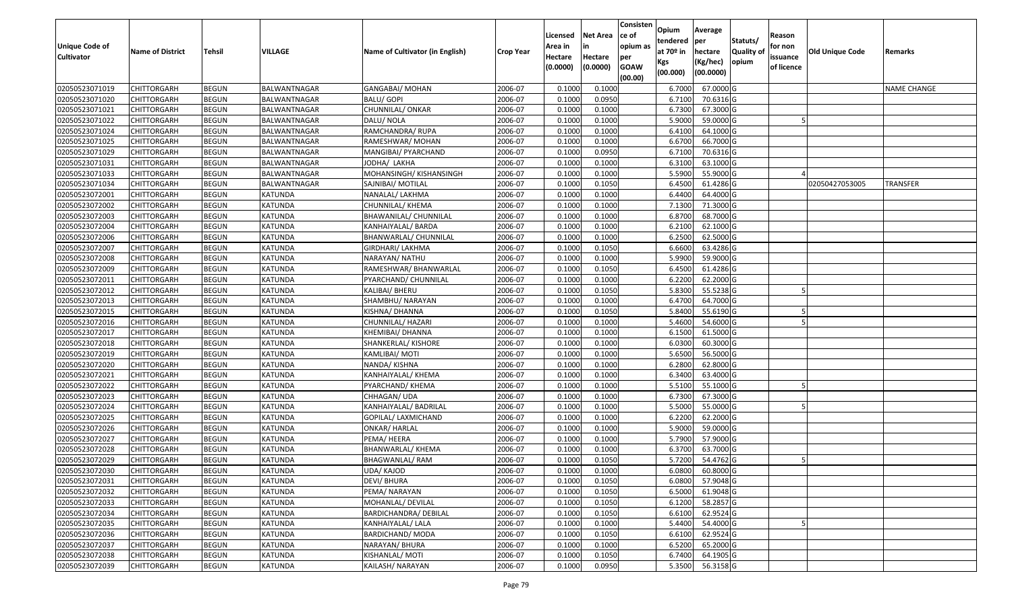| <b>Unique Code of</b><br><b>Cultivator</b> | <b>Name of District</b> | <b>Tehsil</b> | VILLAGE        | Name of Cultivator (in English) | Crop Year | Licensed<br>Area in<br>Hectare<br>(0.0000) | <b>Net Area</b><br>in<br>Hectare<br>(0.0000) | Consisten<br>ce of<br>opium as<br>per<br><b>GOAW</b><br>(00.00) | Opium<br>tendered<br>at 70º in<br>Kgs<br>(00.000) | Average<br>per<br>hectare<br>(Kg/hec)<br>(00.0000) | Statuts/<br><b>Quality of</b><br>opium | Reason<br>for non<br>issuance<br>of licence | <b>Old Unique Code</b> | Remarks            |
|--------------------------------------------|-------------------------|---------------|----------------|---------------------------------|-----------|--------------------------------------------|----------------------------------------------|-----------------------------------------------------------------|---------------------------------------------------|----------------------------------------------------|----------------------------------------|---------------------------------------------|------------------------|--------------------|
| 02050523071019                             | <b>CHITTORGARH</b>      | <b>BEGUN</b>  | BALWANTNAGAR   | GANGABAI/ MOHAN                 | 2006-07   | 0.1000                                     | 0.1000                                       |                                                                 | 6.7000                                            | 67.0000 G                                          |                                        |                                             |                        | <b>NAME CHANGE</b> |
| 02050523071020                             | <b>CHITTORGARH</b>      | <b>BEGUN</b>  | BALWANTNAGAR   | <b>BALU/ GOPI</b>               | 2006-07   | 0.1000                                     | 0.0950                                       |                                                                 | 6.7100                                            | 70.6316 G                                          |                                        |                                             |                        |                    |
| 02050523071021                             | <b>CHITTORGARH</b>      | <b>BEGUN</b>  | BALWANTNAGAR   | CHUNNILAL/ ONKAR                | 2006-07   | 0.1000                                     | 0.1000                                       |                                                                 | 6.7300                                            | 67.3000 G                                          |                                        |                                             |                        |                    |
| 02050523071022                             | <b>CHITTORGARH</b>      | <b>BEGUN</b>  | BALWANTNAGAR   | DALU/ NOLA                      | 2006-07   | 0.1000                                     | 0.1000                                       |                                                                 | 5.9000                                            | 59.0000 G                                          |                                        |                                             |                        |                    |
| 02050523071024                             | <b>CHITTORGARH</b>      | <b>BEGUN</b>  | BALWANTNAGAR   | RAMCHANDRA/ RUPA                | 2006-07   | 0.1000                                     | 0.1000                                       |                                                                 | 6.4100                                            | 64.1000 G                                          |                                        |                                             |                        |                    |
| 02050523071025                             | <b>CHITTORGARH</b>      | <b>BEGUN</b>  | BALWANTNAGAR   | RAMESHWAR/MOHAN                 | 2006-07   | 0.1000                                     | 0.1000                                       |                                                                 | 6.6700                                            | 66.7000 G                                          |                                        |                                             |                        |                    |
| 02050523071029                             | <b>CHITTORGARH</b>      | <b>BEGUN</b>  | BALWANTNAGAR   | MANGIBAI/ PYARCHAND             | 2006-07   | 0.1000                                     | 0.0950                                       |                                                                 | 6.7100                                            | 70.6316 G                                          |                                        |                                             |                        |                    |
| 02050523071031                             | <b>CHITTORGARH</b>      | <b>BEGUN</b>  | BALWANTNAGAR   | JODHA/ LAKHA                    | 2006-07   | 0.1000                                     | 0.1000                                       |                                                                 | 6.3100                                            | 63.1000 G                                          |                                        |                                             |                        |                    |
| 02050523071033                             | <b>CHITTORGARH</b>      | <b>BEGUN</b>  | BALWANTNAGAR   | MOHANSINGH/ KISHANSINGH         | 2006-07   | 0.1000                                     | 0.1000                                       |                                                                 | 5.5900                                            | 55.9000 G                                          |                                        |                                             |                        |                    |
| 02050523071034                             | <b>CHITTORGARH</b>      | <b>BEGUN</b>  | BALWANTNAGAR   | SAJNIBAI/ MOTILAL               | 2006-07   | 0.1000                                     | 0.1050                                       |                                                                 | 6.4500                                            | 61.4286 G                                          |                                        |                                             | 02050427053005         | TRANSFER           |
| 02050523072001                             | <b>CHITTORGARH</b>      | <b>BEGUN</b>  | KATUNDA        | NANALAL/ LAKHMA                 | 2006-07   | 0.1000                                     | 0.1000                                       |                                                                 | 6.4400                                            | 64.4000 G                                          |                                        |                                             |                        |                    |
| 02050523072002                             | <b>CHITTORGARH</b>      | <b>BEGUN</b>  | KATUNDA        | CHUNNILAL/ KHEMA                | 2006-07   | 0.1000                                     | 0.1000                                       |                                                                 | 7.1300                                            | 71.3000 G                                          |                                        |                                             |                        |                    |
| 02050523072003                             | <b>CHITTORGARH</b>      | <b>BEGUN</b>  | <b>KATUNDA</b> | BHAWANILAL/ CHUNNILAL           | 2006-07   | 0.1000                                     | 0.1000                                       |                                                                 | 6.8700                                            | 68.7000 G                                          |                                        |                                             |                        |                    |
| 02050523072004                             | <b>CHITTORGARH</b>      | <b>BEGUN</b>  | KATUNDA        | KANHAIYALAL/BARDA               | 2006-07   | 0.1000                                     | 0.1000                                       |                                                                 | 6.2100                                            | 62.1000 G                                          |                                        |                                             |                        |                    |
| 02050523072006                             | <b>CHITTORGARH</b>      | <b>BEGUN</b>  | KATUNDA        | BHANWARLAL/ CHUNNILAL           | 2006-07   | 0.1000                                     | 0.1000                                       |                                                                 | 6.2500                                            | 62.5000 G                                          |                                        |                                             |                        |                    |
| 02050523072007                             | <b>CHITTORGARH</b>      | <b>BEGUN</b>  | KATUNDA        | GIRDHARI/ LAKHMA                | 2006-07   | 0.1000                                     | 0.1050                                       |                                                                 | 6.6600                                            | 63.4286 G                                          |                                        |                                             |                        |                    |
| 02050523072008                             | <b>CHITTORGARH</b>      | <b>BEGUN</b>  | KATUNDA        | NARAYAN/ NATHU                  | 2006-07   | 0.1000                                     | 0.1000                                       |                                                                 | 5.9900                                            | 59.9000 G                                          |                                        |                                             |                        |                    |
| 02050523072009                             | <b>CHITTORGARH</b>      | <b>BEGUN</b>  | KATUNDA        | RAMESHWAR/ BHANWARLAL           | 2006-07   | 0.1000                                     | 0.1050                                       |                                                                 | 6.4500                                            | 61.4286 G                                          |                                        |                                             |                        |                    |
| 02050523072011                             | <b>CHITTORGARH</b>      | <b>BEGUN</b>  | KATUNDA        | PYARCHAND/ CHUNNILAL            | 2006-07   | 0.1000                                     | 0.1000                                       |                                                                 | 6.2200                                            | 62.2000 G                                          |                                        |                                             |                        |                    |
| 02050523072012                             | <b>CHITTORGARH</b>      | <b>BEGUN</b>  | KATUNDA        | KALIBAI/ BHERU                  | 2006-07   | 0.1000                                     | 0.1050                                       |                                                                 | 5.8300                                            | 55.5238 G                                          |                                        |                                             |                        |                    |
| 02050523072013                             | <b>CHITTORGARH</b>      | <b>BEGUN</b>  | <b>KATUNDA</b> | SHAMBHU/ NARAYAN                | 2006-07   | 0.1000                                     | 0.1000                                       |                                                                 | 6.4700                                            | 64.7000 G                                          |                                        |                                             |                        |                    |
| 02050523072015                             | <b>CHITTORGARH</b>      | <b>BEGUN</b>  | KATUNDA        | KISHNA/ DHANNA                  | 2006-07   | 0.1000                                     | 0.1050                                       |                                                                 | 5.8400                                            | 55.6190 G                                          |                                        |                                             |                        |                    |
| 02050523072016                             | <b>CHITTORGARH</b>      | <b>BEGUN</b>  | KATUNDA        | CHUNNILAL/ HAZARI               | 2006-07   | 0.1000                                     | 0.1000                                       |                                                                 | 5.4600                                            | 54.6000 G                                          |                                        |                                             |                        |                    |
| 02050523072017                             | <b>CHITTORGARH</b>      | <b>BEGUN</b>  | KATUNDA        | KHEMIBAI/ DHANNA                | 2006-07   | 0.1000                                     | 0.1000                                       |                                                                 | 6.1500                                            | 61.5000 G                                          |                                        |                                             |                        |                    |
| 02050523072018                             | <b>CHITTORGARH</b>      | <b>BEGUN</b>  | KATUNDA        | SHANKERLAL/ KISHORE             | 2006-07   | 0.1000                                     | 0.1000                                       |                                                                 | 6.0300                                            | 60.3000 G                                          |                                        |                                             |                        |                    |
| 02050523072019                             | <b>CHITTORGARH</b>      | <b>BEGUN</b>  | KATUNDA        | KAMLIBAI/ MOTI                  | 2006-07   | 0.1000                                     | 0.1000                                       |                                                                 | 5.6500                                            | 56.5000 G                                          |                                        |                                             |                        |                    |
| 02050523072020                             | <b>CHITTORGARH</b>      | <b>BEGUN</b>  | KATUNDA        | NANDA/KISHNA                    | 2006-07   | 0.1000                                     | 0.1000                                       |                                                                 | 6.2800                                            | 62.8000 G                                          |                                        |                                             |                        |                    |
| 02050523072021                             | <b>CHITTORGARH</b>      | <b>BEGUN</b>  | KATUNDA        | KANHAIYALAL/ KHEMA              | 2006-07   | 0.1000                                     | 0.1000                                       |                                                                 | 6.3400                                            | 63.4000 G                                          |                                        |                                             |                        |                    |
| 02050523072022                             | <b>CHITTORGARH</b>      | <b>BEGUN</b>  | KATUNDA        | PYARCHAND/ KHEMA                | 2006-07   | 0.1000                                     | 0.1000                                       |                                                                 | 5.5100                                            | 55.1000 G                                          |                                        |                                             |                        |                    |
| 02050523072023                             | <b>CHITTORGARH</b>      | <b>BEGUN</b>  | <b>KATUNDA</b> | CHHAGAN/UDA                     | 2006-07   | 0.1000                                     | 0.1000                                       |                                                                 | 6.7300                                            | 67.3000 G                                          |                                        |                                             |                        |                    |
| 02050523072024                             | <b>CHITTORGARH</b>      | <b>BEGUN</b>  | KATUNDA        | KANHAIYALAL/ BADRILAL           | 2006-07   | 0.1000                                     | 0.1000                                       |                                                                 | 5.5000                                            | 55.0000 G                                          |                                        |                                             |                        |                    |
| 02050523072025                             | <b>CHITTORGARH</b>      | <b>BEGUN</b>  | KATUNDA        | GOPILAL/ LAXMICHAND             | 2006-07   | 0.1000                                     | 0.1000                                       |                                                                 | 6.2200                                            | 62.2000 G                                          |                                        |                                             |                        |                    |
| 02050523072026                             | <b>CHITTORGARH</b>      | <b>BEGUN</b>  | KATUNDA        | ONKAR/ HARLAL                   | 2006-07   | 0.1000                                     | 0.1000                                       |                                                                 | 5.9000                                            | 59.0000 G                                          |                                        |                                             |                        |                    |
| 02050523072027                             | <b>CHITTORGARH</b>      | <b>BEGUN</b>  | KATUNDA        | PEMA/ HEERA                     | 2006-07   | 0.1000                                     | 0.1000                                       |                                                                 | 5.7900                                            | 57.9000 G                                          |                                        |                                             |                        |                    |
| 02050523072028                             | <b>CHITTORGARH</b>      | <b>BEGUN</b>  | KATUNDA        | BHANWARLAL/ KHEMA               | 2006-07   | 0.1000                                     | 0.1000                                       |                                                                 | 6.3700                                            | 63.7000 G                                          |                                        |                                             |                        |                    |
| 02050523072029                             | <b>CHITTORGARH</b>      | <b>BEGUN</b>  | KATUNDA        | BHAGWANLAL/RAM                  | 2006-07   | 0.1000                                     | 0.1050                                       |                                                                 | 5.7200                                            | 54.4762 G                                          |                                        |                                             |                        |                    |
| 02050523072030                             | CHITTORGARH             | <b>BEGUN</b>  | <b>KATUNDA</b> | UDA/ KAJOD                      | 2006-07   | 0.1000                                     | 0.1000                                       |                                                                 | 6.0800                                            | 60.8000 G                                          |                                        |                                             |                        |                    |
| 02050523072031                             | <b>CHITTORGARH</b>      | <b>BEGUN</b>  | KATUNDA        | <b>DEVI/ BHURA</b>              | 2006-07   | 0.1000                                     | 0.1050                                       |                                                                 | 6.0800                                            | 57.9048 G                                          |                                        |                                             |                        |                    |
| 02050523072032                             | CHITTORGARH             | <b>BEGUN</b>  | KATUNDA        | PEMA/ NARAYAN                   | 2006-07   | 0.1000                                     | 0.1050                                       |                                                                 | 6.5000                                            | 61.9048 G                                          |                                        |                                             |                        |                    |
| 02050523072033                             | <b>CHITTORGARH</b>      | <b>BEGUN</b>  | KATUNDA        | MOHANLAL/ DEVILAL               | 2006-07   | 0.1000                                     | 0.1050                                       |                                                                 | 6.1200                                            | 58.2857 G                                          |                                        |                                             |                        |                    |
| 02050523072034                             | <b>CHITTORGARH</b>      | <b>BEGUN</b>  | KATUNDA        | BARDICHANDRA/ DEBILAL           | 2006-07   | 0.1000                                     | 0.1050                                       |                                                                 | 6.6100                                            | 62.9524 G                                          |                                        |                                             |                        |                    |
| 02050523072035                             | <b>CHITTORGARH</b>      | <b>BEGUN</b>  | <b>KATUNDA</b> | KANHAIYALAL/ LALA               | 2006-07   | 0.1000                                     | 0.1000                                       |                                                                 | 5.4400                                            | 54.4000 G                                          |                                        |                                             |                        |                    |
| 02050523072036                             | <b>CHITTORGARH</b>      | <b>BEGUN</b>  | KATUNDA        | <b>BARDICHAND/ MODA</b>         | 2006-07   | 0.1000                                     | 0.1050                                       |                                                                 | 6.6100                                            | 62.9524 G                                          |                                        |                                             |                        |                    |
| 02050523072037                             | <b>CHITTORGARH</b>      | <b>BEGUN</b>  | KATUNDA        | NARAYAN/ BHURA                  | 2006-07   | 0.1000                                     | 0.1000                                       |                                                                 | 6.5200                                            | 65.2000 G                                          |                                        |                                             |                        |                    |
| 02050523072038                             | <b>CHITTORGARH</b>      | <b>BEGUN</b>  | KATUNDA        | KISHANLAL/ MOTI                 | 2006-07   | 0.1000                                     | 0.1050                                       |                                                                 | 6.7400                                            | 64.1905 G                                          |                                        |                                             |                        |                    |
| 02050523072039                             | <b>CHITTORGARH</b>      | <b>BEGUN</b>  | KATUNDA        | KAILASH/ NARAYAN                | 2006-07   | 0.1000                                     | 0.0950                                       |                                                                 | 5.3500                                            | 56.3158 G                                          |                                        |                                             |                        |                    |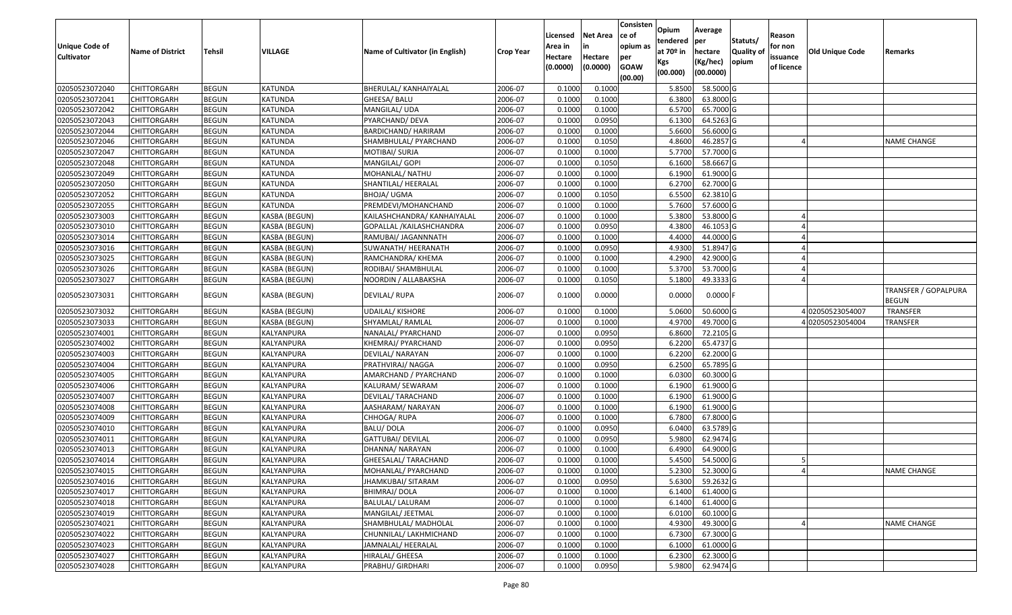| <b>Unique Code of</b><br><b>Cultivator</b> | <b>Name of District</b> | <b>Tehsil</b> | VILLAGE       | Name of Cultivator (in English) | <b>Crop Year</b> | Licensed<br>Area in<br>Hectare<br>(0.0000) | <b>Net Area</b><br>in<br>Hectare<br>(0.0000) | Consisten<br>ce of<br>opium as<br>per<br><b>GOAW</b><br>(00.00) | Opium<br>tendered<br>at 70º in<br>Kgs<br>(00.000) | Average<br>per<br>hectare<br>(Kg/hec)<br>(00.0000) | Statuts/<br><b>Quality of</b><br>opium | Reason<br>for non<br>issuance<br>of licence | Old Unique Code  | Remarks                              |
|--------------------------------------------|-------------------------|---------------|---------------|---------------------------------|------------------|--------------------------------------------|----------------------------------------------|-----------------------------------------------------------------|---------------------------------------------------|----------------------------------------------------|----------------------------------------|---------------------------------------------|------------------|--------------------------------------|
| 02050523072040                             | <b>CHITTORGARH</b>      | <b>BEGUN</b>  | KATUNDA       | BHERULAL/ KANHAIYALAL           | 2006-07          | 0.1000                                     | 0.1000                                       |                                                                 | 5.8500                                            | 58.5000 G                                          |                                        |                                             |                  |                                      |
| 02050523072041                             | <b>CHITTORGARH</b>      | <b>BEGUN</b>  | KATUNDA       | GHEESA/ BALU                    | 2006-07          | 0.1000                                     | 0.1000                                       |                                                                 | 6.3800                                            | 63.8000 G                                          |                                        |                                             |                  |                                      |
| 02050523072042                             | <b>CHITTORGARH</b>      | <b>BEGUN</b>  | KATUNDA       | MANGILAL/ UDA                   | 2006-07          | 0.1000                                     | 0.1000                                       |                                                                 | 6.5700                                            | 65.7000 G                                          |                                        |                                             |                  |                                      |
| 02050523072043                             | <b>CHITTORGARH</b>      | <b>BEGUN</b>  | KATUNDA       | PYARCHAND/ DEVA                 | 2006-07          | 0.1000                                     | 0.0950                                       |                                                                 | 6.1300                                            | 64.5263 G                                          |                                        |                                             |                  |                                      |
| 02050523072044                             | <b>CHITTORGARH</b>      | <b>BEGUN</b>  | KATUNDA       | BARDICHAND/ HARIRAM             | 2006-07          | 0.1000                                     | 0.1000                                       |                                                                 | 5.6600                                            | 56.6000 G                                          |                                        |                                             |                  |                                      |
| 02050523072046                             | <b>CHITTORGARH</b>      | <b>BEGUN</b>  | KATUNDA       | SHAMBHULAL/ PYARCHAND           | 2006-07          | 0.1000                                     | 0.1050                                       |                                                                 | 4.8600                                            | 46.2857 G                                          |                                        |                                             |                  | <b>NAME CHANGE</b>                   |
| 02050523072047                             | <b>CHITTORGARH</b>      | <b>BEGUN</b>  | KATUNDA       | MOTIBAI/ SURJA                  | 2006-07          | 0.1000                                     | 0.1000                                       |                                                                 | 5.7700                                            | 57.7000 G                                          |                                        |                                             |                  |                                      |
| 02050523072048                             | <b>CHITTORGARH</b>      | <b>BEGUN</b>  | KATUNDA       | MANGILAL/ GOPI                  | 2006-07          | 0.1000                                     | 0.1050                                       |                                                                 | 6.1600                                            | 58.6667 G                                          |                                        |                                             |                  |                                      |
| 02050523072049                             | <b>CHITTORGARH</b>      | <b>BEGUN</b>  | KATUNDA       | MOHANLAL/ NATHU                 | 2006-07          | 0.1000                                     | 0.1000                                       |                                                                 | 6.1900                                            | 61.9000 G                                          |                                        |                                             |                  |                                      |
| 02050523072050                             | <b>CHITTORGARH</b>      | <b>BEGUN</b>  | KATUNDA       | SHANTILAL/ HEERALAL             | 2006-07          | 0.1000                                     | 0.1000                                       |                                                                 | 6.2700                                            | 62.7000 G                                          |                                        |                                             |                  |                                      |
| 02050523072052                             | <b>CHITTORGARH</b>      | <b>BEGUN</b>  | KATUNDA       | BHOJA/ UGMA                     | 2006-07          | 0.1000                                     | 0.1050                                       |                                                                 | 6.5500                                            | 62.3810 G                                          |                                        |                                             |                  |                                      |
| 02050523072055                             | <b>CHITTORGARH</b>      | <b>BEGUN</b>  | KATUNDA       | PREMDEVI/MOHANCHAND             | 2006-07          | 0.1000                                     | 0.1000                                       |                                                                 | 5.7600                                            | 57.6000 G                                          |                                        |                                             |                  |                                      |
| 02050523073003                             | <b>CHITTORGARH</b>      | <b>BEGUN</b>  | KASBA (BEGUN) | KAILASHCHANDRA/ KANHAIYALAL     | 2006-07          | 0.1000                                     | 0.1000                                       |                                                                 | 5.3800                                            | 53.8000 G                                          |                                        |                                             |                  |                                      |
| 02050523073010                             | <b>CHITTORGARH</b>      | <b>BEGUN</b>  | KASBA (BEGUN) | GOPALLAL / KAILASHCHANDRA       | 2006-07          | 0.1000                                     | 0.0950                                       |                                                                 | 4.3800                                            | 46.1053 G                                          |                                        |                                             |                  |                                      |
| 02050523073014                             | <b>CHITTORGARH</b>      | <b>BEGUN</b>  | KASBA (BEGUN) | RAMUBAI/ JAGANNNATH             | 2006-07          | 0.1000                                     | 0.1000                                       |                                                                 | 4.4000                                            | 44.0000 G                                          |                                        |                                             |                  |                                      |
| 02050523073016                             | <b>CHITTORGARH</b>      | <b>BEGUN</b>  | KASBA (BEGUN) | SUWANATH/ HEERANATH             | 2006-07          | 0.1000                                     | 0.0950                                       |                                                                 | 4.9300                                            | 51.8947 G                                          |                                        |                                             |                  |                                      |
| 02050523073025                             | <b>CHITTORGARH</b>      | <b>BEGUN</b>  | KASBA (BEGUN) | RAMCHANDRA/ KHEMA               | 2006-07          | 0.1000                                     | 0.1000                                       |                                                                 | 4.2900                                            | 42.9000 G                                          |                                        |                                             |                  |                                      |
| 02050523073026                             | <b>CHITTORGARH</b>      | <b>BEGUN</b>  | KASBA (BEGUN) | RODIBAI/ SHAMBHULAL             | 2006-07          | 0.1000                                     | 0.1000                                       |                                                                 | 5.3700                                            | 53.7000 G                                          |                                        |                                             |                  |                                      |
| 02050523073027                             | <b>CHITTORGARH</b>      | <b>BEGUN</b>  | KASBA (BEGUN) | NOORDIN / ALLABAKSHA            | 2006-07          | 0.1000                                     | 0.1050                                       |                                                                 | 5.1800                                            | 49.3333 G                                          |                                        |                                             |                  |                                      |
| 02050523073031                             | <b>CHITTORGARH</b>      | <b>BEGUN</b>  | KASBA (BEGUN) | DEVILAL/RUPA                    | 2006-07          | 0.1000                                     | 0.0000                                       |                                                                 | 0.0000                                            | $0.0000$ F                                         |                                        |                                             |                  | <b>TRANSFER / GOPALPURA</b><br>BEGUN |
| 02050523073032                             | <b>CHITTORGARH</b>      | <b>BEGUN</b>  | KASBA (BEGUN) | <b>UDAILAL/ KISHORE</b>         | 2006-07          | 0.100                                      | 0.1000                                       |                                                                 | 5.0600                                            | 50.6000 G                                          |                                        |                                             | 402050523054007  | <b>TRANSFER</b>                      |
| 02050523073033                             | <b>CHITTORGARH</b>      | <b>BEGUN</b>  | KASBA (BEGUN) | SHYAMLAL/ RAMLAL                | 2006-07          | 0.1000                                     | 0.1000                                       |                                                                 | 4.9700                                            | 49.7000 G                                          |                                        |                                             | 4 02050523054004 | TRANSFER                             |
| 02050523074001                             | <b>CHITTORGARH</b>      | <b>BEGUN</b>  | KALYANPURA    | NANALAL/ PYARCHAND              | 2006-07          | 0.1000                                     | 0.0950                                       |                                                                 | 6.8600                                            | 72.2105 G                                          |                                        |                                             |                  |                                      |
| 02050523074002                             | <b>CHITTORGARH</b>      | <b>BEGUN</b>  | KALYANPURA    | KHEMRAJ/ PYARCHAND              | 2006-07          | 0.1000                                     | 0.0950                                       |                                                                 | 6.2200                                            | 65.4737 G                                          |                                        |                                             |                  |                                      |
| 02050523074003                             | <b>CHITTORGARH</b>      | <b>BEGUN</b>  | KALYANPURA    | DEVILAL/ NARAYAN                | 2006-07          | 0.1000                                     | 0.1000                                       |                                                                 | 6.2200                                            | 62.2000 G                                          |                                        |                                             |                  |                                      |
| 02050523074004                             | <b>CHITTORGARH</b>      | <b>BEGUN</b>  | KALYANPURA    | PRATHVIRAJ/ NAGGA               | 2006-07          | 0.1000                                     | 0.0950                                       |                                                                 | 6.2500                                            | 65.7895 G                                          |                                        |                                             |                  |                                      |
| 02050523074005                             | <b>CHITTORGARH</b>      | <b>BEGUN</b>  | KALYANPURA    | AMARCHAND / PYARCHAND           | 2006-07          | 0.1000                                     | 0.1000                                       |                                                                 | 6.0300                                            | 60.3000 G                                          |                                        |                                             |                  |                                      |
| 02050523074006                             | <b>CHITTORGARH</b>      | <b>BEGUN</b>  | KALYANPURA    | KALURAM/ SEWARAM                | 2006-07          | 0.1000                                     | 0.1000                                       |                                                                 | 6.1900                                            | 61.9000 G                                          |                                        |                                             |                  |                                      |
| 02050523074007                             | <b>CHITTORGARH</b>      | <b>BEGUN</b>  | KALYANPURA    | DEVILAL/ TARACHAND              | 2006-07          | 0.1000                                     | 0.1000                                       |                                                                 | 6.1900                                            | 61.9000 G                                          |                                        |                                             |                  |                                      |
| 02050523074008                             | <b>CHITTORGARH</b>      | <b>BEGUN</b>  | KALYANPURA    | AASHARAM/ NARAYAN               | 2006-07          | 0.1000                                     | 0.1000                                       |                                                                 | 6.1900                                            | 61.9000 G                                          |                                        |                                             |                  |                                      |
| 02050523074009                             | <b>CHITTORGARH</b>      | <b>BEGUN</b>  | KALYANPURA    | CHHOGA/RUPA                     | 2006-07          | 0.1000                                     | 0.1000                                       |                                                                 | 6.7800                                            | 67.8000 G                                          |                                        |                                             |                  |                                      |
| 02050523074010                             | <b>CHITTORGARH</b>      | <b>BEGUN</b>  | KALYANPURA    | <b>BALU/DOLA</b>                | 2006-07          | 0.1000                                     | 0.0950                                       |                                                                 | 6.0400                                            | 63.5789 G                                          |                                        |                                             |                  |                                      |
| 02050523074011                             | <b>CHITTORGARH</b>      | <b>BEGUN</b>  | KALYANPURA    | GATTUBAI/ DEVILAL               | 2006-07          | 0.1000                                     | 0.0950                                       |                                                                 | 5.9800                                            | 62.9474 G                                          |                                        |                                             |                  |                                      |
| 02050523074013                             | <b>CHITTORGARH</b>      | <b>BEGUN</b>  | KALYANPURA    | DHANNA/ NARAYAN                 | 2006-07          | 0.1000                                     | 0.1000                                       |                                                                 | 6.4900                                            | 64.9000 G                                          |                                        |                                             |                  |                                      |
| 02050523074014                             | <b>CHITTORGARH</b>      | BEGUN         | KALYANPURA    | GHEESALAL/ TARACHAND            | 2006-07          | 0.1000                                     | 0.1000                                       |                                                                 | 5.4500                                            | 54.5000 G                                          |                                        |                                             |                  |                                      |
| 02050523074015                             | <b>CHITTORGARH</b>      | <b>BEGUN</b>  | KALYANPURA    | MOHANLAL/ PYARCHAND             | 2006-07          | 0.1000                                     | 0.1000                                       |                                                                 | 5.2300                                            | 52.3000 G                                          |                                        |                                             |                  | <b>NAME CHANGE</b>                   |
| 02050523074016                             | <b>CHITTORGARH</b>      | <b>BEGUN</b>  | KALYANPURA    | JHAMKUBAI/ SITARAM              | 2006-07          | 0.1000                                     | 0.0950                                       |                                                                 | 5.6300                                            | 59.2632 G                                          |                                        |                                             |                  |                                      |
| 02050523074017                             | <b>CHITTORGARH</b>      | <b>BEGUN</b>  | KALYANPURA    | <b>BHIMRAJ/DOLA</b>             | 2006-07          | 0.1000                                     | 0.1000                                       |                                                                 | 6.1400                                            | 61.4000 G                                          |                                        |                                             |                  |                                      |
| 02050523074018                             | <b>CHITTORGARH</b>      | <b>BEGUN</b>  | KALYANPURA    | BALULAL/ LALURAM                | 2006-07          | 0.1000                                     | 0.1000                                       |                                                                 | 6.1400                                            | 61.4000 G                                          |                                        |                                             |                  |                                      |
| 02050523074019                             | <b>CHITTORGARH</b>      | <b>BEGUN</b>  | KALYANPURA    | MANGILAL/ JEETMAL               | 2006-07          | 0.1000                                     | 0.1000                                       |                                                                 | 6.0100                                            | $60.1000$ G                                        |                                        |                                             |                  |                                      |
| 02050523074021                             | <b>CHITTORGARH</b>      | <b>BEGUN</b>  | KALYANPURA    | SHAMBHULAL/ MADHOLAL            | 2006-07          | 0.1000                                     | 0.1000                                       |                                                                 | 4.9300                                            | 49.3000 G                                          |                                        |                                             |                  | <b>NAME CHANGE</b>                   |
| 02050523074022                             | <b>CHITTORGARH</b>      | <b>BEGUN</b>  | KALYANPURA    | CHUNNILAL/ LAKHMICHAND          | 2006-07          | 0.1000                                     | 0.1000                                       |                                                                 | 6.7300                                            | 67.3000 G                                          |                                        |                                             |                  |                                      |
| 02050523074023                             | <b>CHITTORGARH</b>      | <b>BEGUN</b>  | KALYANPURA    | JAMNALAL/ HEERALAL              | 2006-07          | 0.1000                                     | 0.1000                                       |                                                                 | 6.1000                                            | 61.0000 G                                          |                                        |                                             |                  |                                      |
| 02050523074027                             | <b>CHITTORGARH</b>      | <b>BEGUN</b>  | KALYANPURA    | HIRALAL/ GHEESA                 | 2006-07          | 0.1000                                     | 0.1000                                       |                                                                 | 6.2300                                            | 62.3000 G                                          |                                        |                                             |                  |                                      |
| 02050523074028                             | <b>CHITTORGARH</b>      | <b>BEGUN</b>  | KALYANPURA    | PRABHU/ GIRDHARI                | 2006-07          | 0.1000                                     | 0.0950                                       |                                                                 | 5.9800                                            | 62.9474 G                                          |                                        |                                             |                  |                                      |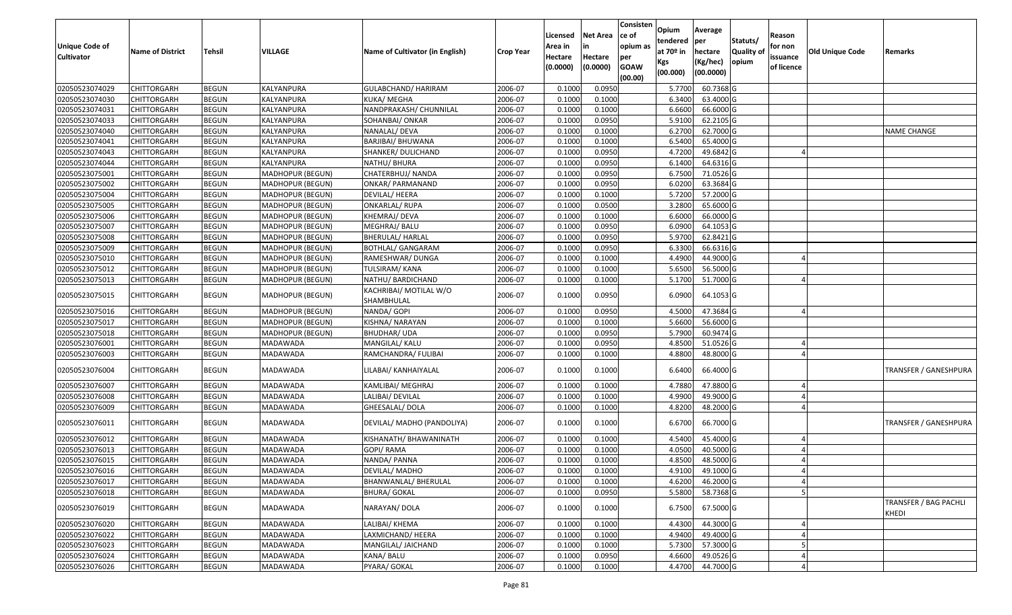| <b>Unique Code of</b><br><b>Cultivator</b> | <b>Name of District</b> | Tehsil       | VILLAGE                 | Name of Cultivator (in English)      | <b>Crop Year</b> | Licensed<br>Area in<br>Hectare<br>(0.0000) | Net Area<br>in<br>Hectare<br>(0.0000) | Consisten<br>ce of<br>opium as<br>per<br><b>GOAW</b><br>(00.00) | Opium<br>tendered<br>at 70 <sup>o</sup> in<br>Kgs<br>(00.000) | Average<br>per<br>hectare<br>(Kg/hec)<br>(00.0000) | Statuts/<br><b>Quality of</b><br>opium | Reason<br>for non<br>issuance<br>of licence | Old Unique Code | Remarks                        |
|--------------------------------------------|-------------------------|--------------|-------------------------|--------------------------------------|------------------|--------------------------------------------|---------------------------------------|-----------------------------------------------------------------|---------------------------------------------------------------|----------------------------------------------------|----------------------------------------|---------------------------------------------|-----------------|--------------------------------|
| 02050523074029                             | <b>CHITTORGARH</b>      | <b>BEGUN</b> | KALYANPURA              | GULABCHAND/ HARIRAM                  | 2006-07          | 0.1000                                     | 0.0950                                |                                                                 | 5.7700                                                        | 60.7368 G                                          |                                        |                                             |                 |                                |
| 02050523074030                             | CHITTORGARH             | <b>BEGUN</b> | KALYANPURA              | KUKA/ MEGHA                          | 2006-07          | 0.1000                                     | 0.1000                                |                                                                 | 6.3400                                                        | 63.4000 G                                          |                                        |                                             |                 |                                |
| 02050523074031                             | CHITTORGARH             | <b>BEGUN</b> | KALYANPURA              | NANDPRAKASH/ CHUNNILAL               | 2006-07          | 0.1000                                     | 0.1000                                |                                                                 | 6.6600                                                        | 66.6000 G                                          |                                        |                                             |                 |                                |
| 02050523074033                             | <b>CHITTORGARH</b>      | <b>BEGUN</b> | KALYANPURA              | SOHANBAI/ ONKAR                      | 2006-07          | 0.1000                                     | 0.0950                                |                                                                 | 5.9100                                                        | 62.2105 G                                          |                                        |                                             |                 |                                |
| 02050523074040                             | CHITTORGARH             | <b>BEGUN</b> | KALYANPURA              | NANALAL/ DEVA                        | 2006-07          | 0.1000                                     | 0.1000                                |                                                                 | 6.2700                                                        | 62.7000 G                                          |                                        |                                             |                 | <b>NAME CHANGE</b>             |
| 02050523074041                             | CHITTORGARH             | <b>BEGUN</b> | KALYANPURA              | BARJIBAI/ BHUWANA                    | 2006-07          | 0.1000                                     | 0.1000                                |                                                                 | 6.5400                                                        | 65.4000 G                                          |                                        |                                             |                 |                                |
| 02050523074043                             | CHITTORGARH             | <b>BEGUN</b> | KALYANPURA              | SHANKER/ DULICHAND                   | 2006-07          | 0.1000                                     | 0.0950                                |                                                                 | 4.7200                                                        | 49.6842 G                                          |                                        |                                             |                 |                                |
| 02050523074044                             | <b>CHITTORGARH</b>      | <b>BEGUN</b> | KALYANPURA              | NATHU/ BHURA                         | 2006-07          | 0.1000                                     | 0.0950                                |                                                                 | 6.1400                                                        | 64.6316 G                                          |                                        |                                             |                 |                                |
| 02050523075001                             | CHITTORGARH             | <b>BEGUN</b> | MADHOPUR (BEGUN)        | CHATERBHUJ/ NANDA                    | 2006-07          | 0.1000                                     | 0.0950                                |                                                                 | 6.7500                                                        | 71.0526 G                                          |                                        |                                             |                 |                                |
| 02050523075002                             | CHITTORGARH             | <b>BEGUN</b> | MADHOPUR (BEGUN)        | ONKAR/ PARMANAND                     | 2006-07          | 0.1000                                     | 0.0950                                |                                                                 | 6.0200                                                        | 63.3684 G                                          |                                        |                                             |                 |                                |
| 02050523075004                             | CHITTORGARH             | <b>BEGUN</b> | <b>MADHOPUR (BEGUN)</b> | DEVILAL/HEERA                        | 2006-07          | 0.1000                                     | 0.1000                                |                                                                 | 5.7200                                                        | 57.2000 G                                          |                                        |                                             |                 |                                |
| 02050523075005                             | <b>CHITTORGARH</b>      | <b>BEGUN</b> | MADHOPUR (BEGUN)        | <b>ONKARLAL/ RUPA</b>                | 2006-07          | 0.1000                                     | 0.0500                                |                                                                 | 3.2800                                                        | 65.6000 G                                          |                                        |                                             |                 |                                |
| 02050523075006                             | <b>CHITTORGARH</b>      | <b>BEGUN</b> | MADHOPUR (BEGUN)        | KHEMRAJ/ DEVA                        | 2006-07          | 0.1000                                     | 0.1000                                |                                                                 | 6.6000                                                        | 66.0000 G                                          |                                        |                                             |                 |                                |
| 02050523075007                             | <b>CHITTORGARH</b>      | <b>BEGUN</b> | MADHOPUR (BEGUN)        | MEGHRAJ/ BALU                        | 2006-07          | 0.1000                                     | 0.0950                                |                                                                 | 6.0900                                                        | 64.1053 G                                          |                                        |                                             |                 |                                |
| 02050523075008                             | CHITTORGARH             | <b>BEGUN</b> | MADHOPUR (BEGUN)        | <b>BHERULAL/ HARLAL</b>              | 2006-07          | 0.1000                                     | 0.0950                                |                                                                 | 5.9700                                                        | 62.8421 G                                          |                                        |                                             |                 |                                |
| 02050523075009                             | <b>CHITTORGARH</b>      | <b>BEGUN</b> | MADHOPUR (BEGUN)        | <b>BOTHLAL/ GANGARAM</b>             | 2006-07          | 0.1000                                     | 0.0950                                |                                                                 | 6.3300                                                        | 66.6316 G                                          |                                        |                                             |                 |                                |
| 02050523075010                             | <b>CHITTORGARH</b>      | <b>BEGUN</b> | MADHOPUR (BEGUN)        | RAMESHWAR/ DUNGA                     | 2006-07          | 0.1000                                     | 0.1000                                |                                                                 | 4.4900                                                        | 44.9000 G                                          |                                        |                                             |                 |                                |
| 02050523075012                             | CHITTORGARH             | <b>BEGUN</b> | MADHOPUR (BEGUN)        | TULSIRAM/ KANA                       | 2006-07          | 0.1000                                     | 0.1000                                |                                                                 | 5.6500                                                        | 56.5000 G                                          |                                        |                                             |                 |                                |
| 02050523075013                             | CHITTORGARH             | <b>BEGUN</b> | MADHOPUR (BEGUN)        | NATHU/ BARDICHAND                    | 2006-07          | 0.1000                                     | 0.1000                                |                                                                 | 5.1700                                                        | 51.7000 G                                          |                                        |                                             |                 |                                |
| 02050523075015                             | CHITTORGARH             | <b>BEGUN</b> | MADHOPUR (BEGUN)        | KACHRIBAI/ MOTILAL W/O<br>SHAMBHULAL | 2006-07          | 0.1000                                     | 0.0950                                |                                                                 | 6.0900                                                        | 64.1053 G                                          |                                        |                                             |                 |                                |
| 02050523075016                             | CHITTORGARH             | <b>BEGUN</b> | MADHOPUR (BEGUN)        | NANDA/ GOPI                          | 2006-07          | 0.1000                                     | 0.0950                                |                                                                 | 4.5000                                                        | 47.3684 G                                          |                                        | $\Delta$                                    |                 |                                |
| 02050523075017                             | CHITTORGARH             | <b>BEGUN</b> | MADHOPUR (BEGUN)        | KISHNA/ NARAYAN                      | 2006-07          | 0.1000                                     | 0.1000                                |                                                                 | 5.6600                                                        | 56.6000 G                                          |                                        |                                             |                 |                                |
| 02050523075018                             | CHITTORGARH             | <b>BEGUN</b> | MADHOPUR (BEGUN)        | BHUDHAR/ UDA                         | 2006-07          | 0.1000                                     | 0.0950                                |                                                                 | 5.7900                                                        | 60.9474 G                                          |                                        |                                             |                 |                                |
| 02050523076001                             | CHITTORGARH             | <b>BEGUN</b> | MADAWADA                | MANGILAL/ KALU                       | 2006-07          | 0.1000                                     | 0.0950                                |                                                                 | 4.8500                                                        | 51.0526 G                                          |                                        |                                             |                 |                                |
| 02050523076003                             | CHITTORGARH             | <b>BEGUN</b> | MADAWADA                | RAMCHANDRA/ FULIBAI                  | 2006-07          | 0.1000                                     | 0.1000                                |                                                                 | 4.8800                                                        | 48.8000 G                                          |                                        |                                             |                 |                                |
| 02050523076004                             | CHITTORGARH             | <b>BEGUN</b> | MADAWADA                | LILABAI/ KANHAIYALAL                 | 2006-07          | 0.1000                                     | 0.1000                                |                                                                 | 6.6400                                                        | 66.4000 G                                          |                                        |                                             |                 | TRANSFER / GANESHPURA          |
| 02050523076007                             | <b>CHITTORGARH</b>      | <b>BEGUN</b> | MADAWADA                | KAMLIBAI/ MEGHRAJ                    | 2006-07          | 0.1000                                     | 0.1000                                |                                                                 | 4.7880                                                        | 47.8800 G                                          |                                        |                                             |                 |                                |
| 02050523076008                             | CHITTORGARH             | <b>BEGUN</b> | MADAWADA                | LALIBAI/ DEVILAL                     | 2006-07          | 0.1000                                     | 0.1000                                |                                                                 | 4.9900                                                        | 49.9000 G                                          |                                        |                                             |                 |                                |
| 02050523076009                             | CHITTORGARH             | <b>BEGUN</b> | MADAWADA                | GHEESALAL/ DOLA                      | 2006-07          | 0.1000                                     | 0.1000                                |                                                                 | 4.8200                                                        | 48.2000 G                                          |                                        |                                             |                 |                                |
| 02050523076011                             | CHITTORGARH             | <b>BEGUN</b> | MADAWADA                | DEVILAL/ MADHO (PANDOLIYA)           | 2006-07          | 0.1000                                     | 0.1000                                |                                                                 | 6.6700                                                        | 66.7000 G                                          |                                        |                                             |                 | TRANSFER / GANESHPURA          |
| 02050523076012                             | CHITTORGARH             | <b>BEGUN</b> | MADAWADA                | KISHANATH/ BHAWANINATH               | 2006-07          | 0.1000                                     | 0.1000                                |                                                                 | 4.5400                                                        | 45.4000 G                                          |                                        |                                             |                 |                                |
| 02050523076013                             | CHITTORGARH             | <b>BEGUN</b> | MADAWADA                | GOPI/ RAMA                           | 2006-07          | 0.1000                                     | 0.1000                                |                                                                 | 4.0500                                                        | 40.5000 G                                          |                                        |                                             |                 |                                |
| 02050523076015                             | CHITTORGARH             | <b>BEGUN</b> | MADAWADA                | NANDA/ PANNA                         | 2006-07          | 0.1000                                     | 0.1000                                |                                                                 | 4.8500                                                        | 48.5000 G                                          |                                        |                                             |                 |                                |
| 02050523076016                             | <b>CHITTORGARH</b>      | <b>BEGUN</b> | MADAWADA                | DEVILAL/ MADHO                       | 2006-07          | 0.1000                                     | 0.1000                                |                                                                 | 4.9100                                                        | 49.1000G                                           |                                        |                                             |                 |                                |
| 02050523076017                             | <b>CHITTORGARH</b>      | <b>BEGUN</b> | MADAWADA                | BHANWANLAL/ BHERULAL                 | 2006-07          | 0.1000                                     | 0.1000                                |                                                                 | 4.6200                                                        | 46.2000 G                                          |                                        |                                             |                 |                                |
| 02050523076018                             | <b>CHITTORGARH</b>      | <b>BEGUN</b> | MADAWADA                | <b>BHURA/ GOKAL</b>                  | 2006-07          | 0.1000                                     | 0.0950                                |                                                                 | 5.5800                                                        | 58.7368 G                                          |                                        |                                             |                 |                                |
| 02050523076019                             | CHITTORGARH             | <b>BEGUN</b> | MADAWADA                | NARAYAN/ DOLA                        | 2006-07          | 0.1000                                     | 0.1000                                |                                                                 | 6.7500                                                        | 67.5000 G                                          |                                        |                                             |                 | TRANSFER / BAG PACHLI<br>KHEDI |
| 02050523076020                             | <b>CHITTORGARH</b>      | <b>BEGUN</b> | MADAWADA                | LALIBAI/ KHEMA                       | 2006-07          | 0.1000                                     | 0.1000                                |                                                                 | 4.4300                                                        | 44.3000 G                                          |                                        |                                             |                 |                                |
| 02050523076022                             | <b>CHITTORGARH</b>      | <b>BEGUN</b> | MADAWADA                | LAXMICHAND/ HEERA                    | 2006-07          | 0.1000                                     | 0.1000                                |                                                                 | 4.9400                                                        | 49.4000 G                                          |                                        |                                             |                 |                                |
| 02050523076023                             | <b>CHITTORGARH</b>      | <b>BEGUN</b> | MADAWADA                | MANGILAL/ JAICHAND                   | 2006-07          | 0.1000                                     | 0.1000                                |                                                                 | 5.7300                                                        | 57.3000 G                                          |                                        |                                             |                 |                                |
| 02050523076024                             | CHITTORGARH             | <b>BEGUN</b> | MADAWADA                | KANA/ BALU                           | 2006-07          | 0.1000                                     | 0.0950                                |                                                                 | 4.6600                                                        | 49.0526 G                                          |                                        |                                             |                 |                                |
| 02050523076026                             | <b>CHITTORGARH</b>      | <b>BEGUN</b> | MADAWADA                | PYARA/ GOKAL                         | 2006-07          | 0.1000                                     | 0.1000                                |                                                                 | 4.4700                                                        | 44.7000 G                                          |                                        |                                             |                 |                                |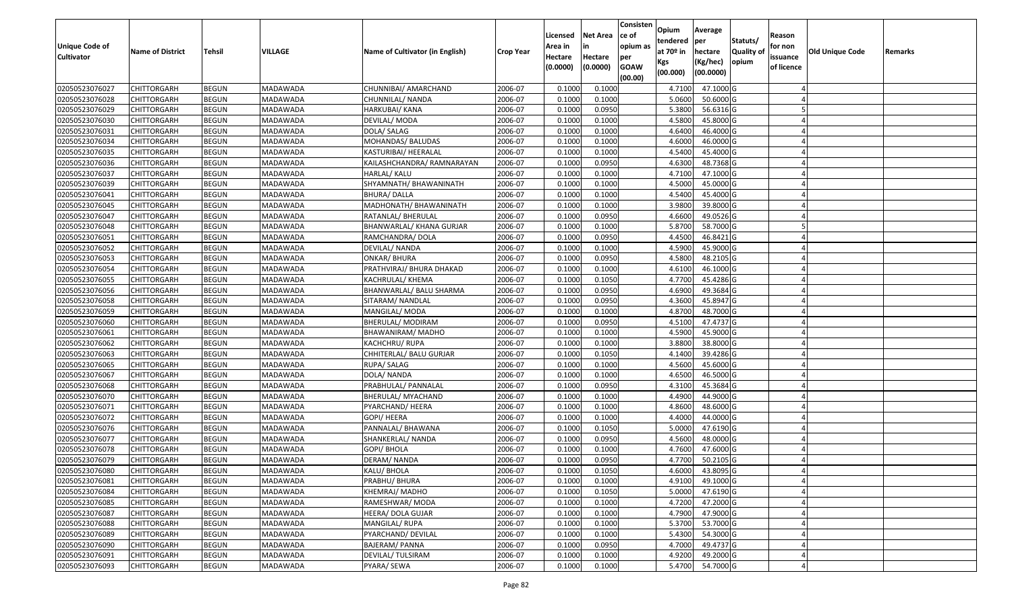| <b>Unique Code of</b><br><b>Cultivator</b> | <b>Name of District</b> | <b>Tehsil</b> | VILLAGE         | Name of Cultivator (in English) | <b>Crop Year</b> | Licensed<br>Area in<br>Hectare<br>(0.0000) | <b>Net Area</b><br>in<br>Hectare<br>(0.0000) | Consisten<br>ce of<br>opium as<br>per<br><b>GOAW</b><br>(00.00) | Opium<br>tendered<br>at $70°$ in<br>Kgs<br>(00.000) | Average<br>per<br>hectare<br>(Kg/hec)<br>(00.0000) | Statuts/<br>Quality of<br>opium | Reason<br>for non<br>issuance<br>of licence | <b>Old Unique Code</b> | Remarks |
|--------------------------------------------|-------------------------|---------------|-----------------|---------------------------------|------------------|--------------------------------------------|----------------------------------------------|-----------------------------------------------------------------|-----------------------------------------------------|----------------------------------------------------|---------------------------------|---------------------------------------------|------------------------|---------|
| 02050523076027                             | <b>CHITTORGARH</b>      | <b>BEGUN</b>  | MADAWADA        | CHUNNIBAI/ AMARCHAND            | 2006-07          | 0.1000                                     | 0.1000                                       |                                                                 | 4.7100                                              | 47.1000 G                                          |                                 |                                             |                        |         |
| 02050523076028                             | CHITTORGARH             | <b>BEGUN</b>  | MADAWADA        | CHUNNILAL/ NANDA                | 2006-07          | 0.1000                                     | 0.1000                                       |                                                                 | 5.0600                                              | 50.6000 G                                          |                                 |                                             |                        |         |
| 02050523076029                             | CHITTORGARH             | <b>BEGUN</b>  | MADAWADA        | HARKUBAI/ KANA                  | 2006-07          | 0.1000                                     | 0.0950                                       |                                                                 | 5.3800                                              | 56.6316 G                                          |                                 |                                             |                        |         |
| 02050523076030                             | <b>CHITTORGARH</b>      | <b>BEGUN</b>  | MADAWADA        | DEVILAL/ MODA                   | 2006-07          | 0.1000                                     | 0.1000                                       |                                                                 | 4.5800                                              | 45.8000 G                                          |                                 |                                             |                        |         |
| 02050523076031                             | <b>CHITTORGARH</b>      | <b>BEGUN</b>  | MADAWADA        | DOLA/ SALAG                     | 2006-07          | 0.1000                                     | 0.1000                                       |                                                                 | 4.6400                                              | 46.4000 G                                          |                                 |                                             |                        |         |
| 02050523076034                             | <b>CHITTORGARH</b>      | <b>BEGUN</b>  | MADAWADA        | MOHANDAS/ BALUDAS               | 2006-07          | 0.1000                                     | 0.1000                                       |                                                                 | 4.6000                                              | 46.0000 G                                          |                                 |                                             |                        |         |
| 02050523076035                             | CHITTORGARH             | <b>BEGUN</b>  | MADAWADA        | KASTURIBAI/ HEERALAL            | 2006-07          | 0.1000                                     | 0.1000                                       |                                                                 | 4.5400                                              | 45.4000G                                           |                                 |                                             |                        |         |
| 02050523076036                             | <b>CHITTORGARH</b>      | <b>BEGUN</b>  | MADAWADA        | KAILASHCHANDRA/ RAMNARAYAN      | 2006-07          | 0.1000                                     | 0.0950                                       |                                                                 | 4.6300                                              | 48.7368 G                                          |                                 |                                             |                        |         |
| 02050523076037                             | CHITTORGARH             | <b>BEGUN</b>  | MADAWADA        | HARLAL/ KALU                    | 2006-07          | 0.1000                                     | 0.1000                                       |                                                                 | 4.7100                                              | 47.1000 G                                          |                                 |                                             |                        |         |
| 02050523076039                             | CHITTORGARH             | <b>BEGUN</b>  | MADAWADA        | SHYAMNATH/ BHAWANINATH          | 2006-07          | 0.1000                                     | 0.1000                                       |                                                                 | 4.5000                                              | 45.0000G                                           |                                 |                                             |                        |         |
| 02050523076041                             | CHITTORGARH             | <b>BEGUN</b>  | MADAWADA        | BHURA/ DALLA                    | 2006-07          | 0.1000                                     | 0.1000                                       |                                                                 | 4.5400                                              | 45.4000G                                           |                                 |                                             |                        |         |
| 02050523076045                             | CHITTORGARH             | <b>BEGUN</b>  | MADAWADA        | MADHONATH/ BHAWANINATH          | 2006-07          | 0.1000                                     | 0.1000                                       |                                                                 | 3.9800                                              | 39.8000 G                                          |                                 |                                             |                        |         |
| 02050523076047                             | CHITTORGARH             | <b>BEGUN</b>  | MADAWADA        | RATANLAL/ BHERULAL              | 2006-07          | 0.1000                                     | 0.0950                                       |                                                                 | 4.6600                                              | 49.0526 G                                          |                                 |                                             |                        |         |
| 02050523076048                             | CHITTORGARH             | <b>BEGUN</b>  | MADAWADA        | BHANWARLAL/ KHANA GURJAR        | 2006-07          | 0.1000                                     | 0.1000                                       |                                                                 | 5.8700                                              | 58.7000 G                                          |                                 |                                             |                        |         |
| 02050523076051                             | CHITTORGARH             | <b>BEGUN</b>  | MADAWADA        | RAMCHANDRA/ DOLA                | 2006-07          | 0.100                                      | 0.0950                                       |                                                                 | 4.4500                                              | 46.8421 G                                          |                                 |                                             |                        |         |
| 02050523076052                             | CHITTORGARH             | <b>BEGUN</b>  | MADAWADA        | DEVILAL/ NANDA                  | 2006-07          | 0.1000                                     | 0.1000                                       |                                                                 | 4.5900                                              | 45.9000G                                           |                                 |                                             |                        |         |
| 02050523076053                             | CHITTORGARH             | <b>BEGUN</b>  | <b>MADAWADA</b> | <b>ONKAR/ BHURA</b>             | 2006-07          | 0.1000                                     | 0.0950                                       |                                                                 | 4.5800                                              | 48.2105 G                                          |                                 |                                             |                        |         |
| 02050523076054                             | CHITTORGARH             | <b>BEGUN</b>  | MADAWADA        | PRATHVIRAJ/ BHURA DHAKAD        | 2006-07          | 0.1000                                     | 0.1000                                       |                                                                 | 4.6100                                              | 46.1000 G                                          |                                 |                                             |                        |         |
| 02050523076055                             | <b>CHITTORGARH</b>      | <b>BEGUN</b>  | MADAWADA        | KACHRULAL/ KHEMA                | 2006-07          | 0.1000                                     | 0.1050                                       |                                                                 | 4.7700                                              | 45.4286 G                                          |                                 |                                             |                        |         |
| 02050523076056                             | CHITTORGARH             | <b>BEGUN</b>  | MADAWADA        | BHANWARLAL/ BALU SHARMA         | 2006-07          | 0.1000                                     | 0.0950                                       |                                                                 | 4.6900                                              | 49.3684 G                                          |                                 |                                             |                        |         |
| 02050523076058                             | <b>CHITTORGARH</b>      | <b>BEGUN</b>  | MADAWADA        | SITARAM/ NANDLAL                | 2006-07          | 0.1000                                     | 0.0950                                       |                                                                 | 4.3600                                              | 45.8947 G                                          |                                 |                                             |                        |         |
| 02050523076059                             | CHITTORGARH             | <b>BEGUN</b>  | MADAWADA        | MANGILAL/ MODA                  | 2006-07          | 0.1000                                     | 0.1000                                       |                                                                 | 4.8700                                              | 48.7000 G                                          |                                 |                                             |                        |         |
| 02050523076060                             | CHITTORGARH             | <b>BEGUN</b>  | MADAWADA        | BHERULAL/ MODIRAM               | 2006-07          | 0.1000                                     | 0.0950                                       |                                                                 | 4.5100                                              | 47.4737 G                                          |                                 |                                             |                        |         |
| 02050523076061                             | CHITTORGARH             | <b>BEGUN</b>  | MADAWADA        | BHAWANIRAM/ MADHO               | 2006-07          | 0.1000                                     | 0.1000                                       |                                                                 | 4.5900                                              | 45.9000G                                           |                                 |                                             |                        |         |
| 02050523076062                             | CHITTORGARH             | <b>BEGUN</b>  | MADAWADA        | KACHCHRU/ RUPA                  | 2006-07          | 0.1000                                     | 0.1000                                       |                                                                 | 3.8800                                              | 38.8000 G                                          |                                 |                                             |                        |         |
| 02050523076063                             | CHITTORGARH             | <b>BEGUN</b>  | MADAWADA        | CHHITERLAL/ BALU GURJAR         | 2006-07          | 0.1000                                     | 0.1050                                       |                                                                 | 4.1400                                              | 39.4286 G                                          |                                 |                                             |                        |         |
| 02050523076065                             | CHITTORGARH             | <b>BEGUN</b>  | MADAWADA        | RUPA/ SALAG                     | 2006-07          | 0.1000                                     | 0.1000                                       |                                                                 | 4.5600                                              | 45.6000 G                                          |                                 |                                             |                        |         |
| 02050523076067                             | CHITTORGARH             | <b>BEGUN</b>  | MADAWADA        | DOLA/ NANDA                     | 2006-07          | 0.1000                                     | 0.1000                                       |                                                                 | 4.6500                                              | 46.5000G                                           |                                 |                                             |                        |         |
| 02050523076068                             | <b>CHITTORGARH</b>      | <b>BEGUN</b>  | MADAWADA        | PRABHULAL/ PANNALAL             | 2006-07          | 0.1000                                     | 0.0950                                       |                                                                 | 4.3100                                              | 45.3684 G                                          |                                 |                                             |                        |         |
| 02050523076070                             | <b>CHITTORGARH</b>      | <b>BEGUN</b>  | MADAWADA        | BHERULAL/ MYACHAND              | 2006-07          | 0.1000                                     | 0.1000                                       |                                                                 | 4.4900                                              | 44.9000 G                                          |                                 |                                             |                        |         |
| 02050523076071                             | <b>CHITTORGARH</b>      | <b>BEGUN</b>  | MADAWADA        | PYARCHAND/ HEERA                | 2006-07          | 0.1000                                     | 0.1000                                       |                                                                 | 4.8600                                              | 48.6000 G                                          |                                 |                                             |                        |         |
| 02050523076072                             | CHITTORGARH             | <b>BEGUN</b>  | MADAWADA        | GOPI/ HEERA                     | 2006-07          | 0.1000                                     | 0.1000                                       |                                                                 | 4.4000                                              | 44.0000G                                           |                                 |                                             |                        |         |
| 02050523076076                             | <b>CHITTORGARH</b>      | <b>BEGUN</b>  | MADAWADA        | PANNALAL/ BHAWANA               | 2006-07          | 0.100                                      | 0.1050                                       |                                                                 | 5.0000                                              | 47.6190 G                                          |                                 |                                             |                        |         |
| 02050523076077                             | CHITTORGARH             | <b>BEGUN</b>  | MADAWADA        | SHANKERLAL/ NANDA               | 2006-07          | 0.1000                                     | 0.0950                                       |                                                                 | 4.5600                                              | 48.0000G                                           |                                 |                                             |                        |         |
| 02050523076078                             | CHITTORGARH             | <b>BEGUN</b>  | MADAWADA        | GOPI/ BHOLA                     | 2006-07          | 0.1000                                     | 0.1000                                       |                                                                 | 4.7600                                              | 47.6000G                                           |                                 |                                             |                        |         |
| 02050523076079                             | CHITTORGARH             | <b>BEGUN</b>  | MADAWADA        | DERAM/ NANDA                    | 2006-07          | 0.1000                                     | 0.0950                                       |                                                                 | 4.7700                                              | 50.2105 G                                          |                                 |                                             |                        |         |
| 02050523076080                             | <b>CHITTORGARH</b>      | <b>BEGUN</b>  | MADAWADA        | KALU/ BHOLA                     | 2006-07          | 0.1000                                     | 0.1050                                       |                                                                 | 4.6000                                              | 43.8095 G                                          |                                 |                                             |                        |         |
| 02050523076081                             | <b>CHITTORGARH</b>      | <b>BEGUN</b>  | MADAWADA        | PRABHU/ BHURA                   | 2006-07          | 0.1000                                     | 0.1000                                       |                                                                 | 4.9100                                              | 49.1000 G                                          |                                 |                                             |                        |         |
| 02050523076084                             | <b>CHITTORGARH</b>      | <b>BEGUN</b>  | MADAWADA        | KHEMRAJ/MADHO                   | 2006-07          | 0.1000                                     | 0.1050                                       |                                                                 | 5.0000                                              | 47.6190 G                                          |                                 |                                             |                        |         |
| 02050523076085                             | <b>CHITTORGARH</b>      | <b>BEGUN</b>  | MADAWADA        | RAMESHWAR/ MODA                 | 2006-07          | 0.1000                                     | 0.1000                                       |                                                                 | 4.7200                                              | 47.2000 G                                          |                                 |                                             |                        |         |
| 02050523076087                             | <b>CHITTORGARH</b>      | <b>BEGUN</b>  | MADAWADA        | HEERA/ DOLA GUJAR               | 2006-07          | 0.1000                                     | 0.1000                                       |                                                                 | 4.7900                                              | 47.9000 G                                          |                                 |                                             |                        |         |
| 02050523076088                             | <b>CHITTORGARH</b>      | <b>BEGUN</b>  | MADAWADA        | MANGILAL/ RUPA                  | 2006-07          | 0.1000                                     | 0.1000                                       |                                                                 | 5.3700                                              | 53.7000 G                                          |                                 |                                             |                        |         |
| 02050523076089                             | <b>CHITTORGARH</b>      | <b>BEGUN</b>  | MADAWADA        | PYARCHAND/ DEVILAL              | 2006-07          | 0.1000                                     | 0.1000                                       |                                                                 | 5.4300                                              | 54.3000 G                                          |                                 |                                             |                        |         |
| 02050523076090                             | <b>CHITTORGARH</b>      | <b>BEGUN</b>  | MADAWADA        | <b>BAJERAM/ PANNA</b>           | 2006-07          | 0.1000                                     | 0.0950                                       |                                                                 | 4.7000                                              | 49.4737 G                                          |                                 |                                             |                        |         |
| 02050523076091                             | CHITTORGARH             | <b>BEGUN</b>  | MADAWADA        | DEVILAL/ TULSIRAM               | 2006-07          | 0.1000                                     | 0.1000                                       |                                                                 | 4.9200                                              | 49.2000 G                                          |                                 |                                             |                        |         |
| 02050523076093                             | <b>CHITTORGARH</b>      | <b>BEGUN</b>  | MADAWADA        | PYARA/ SEWA                     | 2006-07          | 0.1000                                     | 0.1000                                       |                                                                 | 5.4700                                              | 54.7000 G                                          |                                 |                                             |                        |         |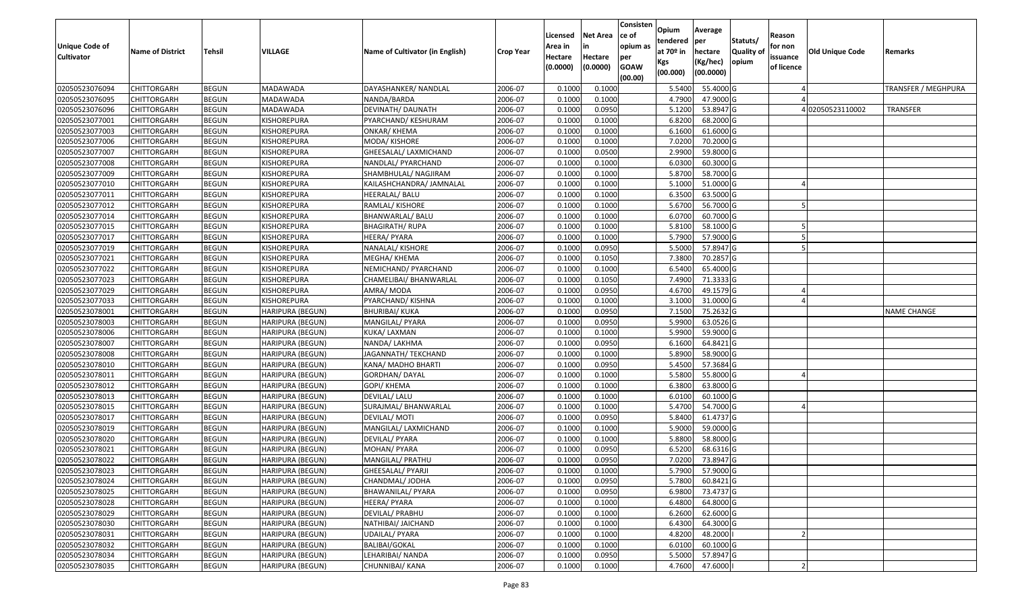| Unique Code of<br><b>Cultivator</b> | <b>Name of District</b> | <b>Tehsil</b> | VILLAGE                 | Name of Cultivator (in English) | <b>Crop Year</b> | Licensed<br>Area in<br>Hectare<br>(0.0000) | <b>Net Area</b><br>in<br>Hectare<br>(0.0000) | Consisten<br>ce of<br>opium as<br>per<br><b>GOAW</b> | Opium<br>tendered<br>at $70°$ in<br>Kgs<br>(00.000) | Average<br>per<br>hectare<br>(Kg/hec)<br>(00.0000) | Statuts/<br><b>Quality o</b><br>opium | Reason<br>for non<br>issuance<br>of licence | <b>Old Unique Code</b> | Remarks                    |
|-------------------------------------|-------------------------|---------------|-------------------------|---------------------------------|------------------|--------------------------------------------|----------------------------------------------|------------------------------------------------------|-----------------------------------------------------|----------------------------------------------------|---------------------------------------|---------------------------------------------|------------------------|----------------------------|
|                                     |                         |               |                         |                                 |                  |                                            |                                              | (00.00)                                              |                                                     |                                                    |                                       |                                             |                        |                            |
| 02050523076094                      | CHITTORGARH             | <b>BEGUN</b>  | MADAWADA                | DAYASHANKER/ NANDLAL            | 2006-07          | 0.1000                                     | 0.1000                                       |                                                      | 5.5400                                              | 55.4000 G                                          |                                       |                                             |                        | <b>TRANSFER / MEGHPURA</b> |
| 02050523076095                      | CHITTORGARH             | <b>BEGUN</b>  | MADAWADA                | NANDA/BARDA                     | 2006-07          | 0.1000                                     | 0.1000                                       |                                                      | 4.7900                                              | 47.9000 G                                          |                                       |                                             |                        |                            |
| 02050523076096                      | CHITTORGARH             | <b>BEGUN</b>  | MADAWADA                | DEVINATH/ DAUNATH               | 2006-07          | 0.1000                                     | 0.0950                                       |                                                      | 5.1200                                              | 53.8947 G                                          |                                       |                                             | 402050523110002        | TRANSFER                   |
| 02050523077001                      | <b>CHITTORGARH</b>      | <b>BEGUN</b>  | KISHOREPURA             | PYARCHAND/ KESHURAM             | 2006-07          | 0.1000                                     | 0.1000                                       |                                                      | 6.8200                                              | 68.2000 G                                          |                                       |                                             |                        |                            |
| 02050523077003                      | CHITTORGARH             | <b>BEGUN</b>  | KISHOREPURA             | <b>ONKAR/ KHEMA</b>             | 2006-07          | 0.1000                                     | 0.1000                                       |                                                      | 6.1600                                              | 61.6000G                                           |                                       |                                             |                        |                            |
| 02050523077006                      | CHITTORGARH             | <b>BEGUN</b>  | KISHOREPURA             | MODA/ KISHORE                   | 2006-07          | 0.1000                                     | 0.1000                                       |                                                      | 7.0200                                              | 70.2000 G                                          |                                       |                                             |                        |                            |
| 02050523077007                      | CHITTORGARH             | <b>BEGUN</b>  | KISHOREPURA             | GHEESALAL/ LAXMICHAND           | 2006-07          | 0.1000                                     | 0.0500                                       |                                                      | 2.9900                                              | 59.8000 G                                          |                                       |                                             |                        |                            |
| 02050523077008                      | CHITTORGARH             | <b>BEGUN</b>  | KISHOREPURA             | NANDLAL/ PYARCHAND              | 2006-07          | 0.1000                                     | 0.1000                                       |                                                      | 6.0300                                              | 60.3000 G                                          |                                       |                                             |                        |                            |
| 02050523077009                      | CHITTORGARH             | <b>BEGUN</b>  | KISHOREPURA             | SHAMBHULAL/ NAGJIRAM            | 2006-07          | 0.1000                                     | 0.1000                                       |                                                      | 5.8700                                              | 58.7000 G                                          |                                       |                                             |                        |                            |
| 02050523077010                      | CHITTORGARH             | <b>BEGUN</b>  | KISHOREPURA             | KAILASHCHANDRA/ JAMNALAL        | 2006-07          | 0.1000                                     | 0.1000                                       |                                                      | 5.1000                                              | 51.0000 G                                          |                                       |                                             |                        |                            |
| 02050523077011                      | CHITTORGARH             | <b>BEGUN</b>  | KISHOREPURA             | HEERALAL/ BALU                  | 2006-07          | 0.1000                                     | 0.1000                                       |                                                      | 6.3500                                              | 63.5000G                                           |                                       |                                             |                        |                            |
| 02050523077012                      | <b>CHITTORGARH</b>      | <b>BEGUN</b>  | KISHOREPURA             | RAMLAL/ KISHORE                 | 2006-07          | 0.1000                                     | 0.1000                                       |                                                      | 5.6700                                              | 56.7000 G                                          |                                       |                                             |                        |                            |
| 02050523077014                      | <b>CHITTORGARH</b>      | <b>BEGUN</b>  | KISHOREPURA             | <b>BHANWARLAL/ BALU</b>         | 2006-07          | 0.1000                                     | 0.1000                                       |                                                      | 6.0700                                              | 60.7000 G                                          |                                       |                                             |                        |                            |
| 02050523077015                      | <b>CHITTORGARH</b>      | <b>BEGUN</b>  | KISHOREPURA             | <b>BHAGIRATH/RUPA</b>           | 2006-07          | 0.100                                      | 0.1000                                       |                                                      | 5.8100                                              | 58.1000G                                           |                                       |                                             |                        |                            |
| 02050523077017                      | CHITTORGARH             | <b>BEGUN</b>  | KISHOREPURA             | HEERA/ PYARA                    | 2006-07          | 0.1000                                     | 0.1000                                       |                                                      | 5.7900                                              | 57.9000 G                                          |                                       |                                             |                        |                            |
| 02050523077019                      | CHITTORGARH             | <b>BEGUN</b>  | KISHOREPURA             | NANALAL/ KISHORE                | 2006-07          | 0.1000                                     | 0.0950                                       |                                                      | 5.5000                                              | 57.8947 G                                          |                                       |                                             |                        |                            |
| 02050523077021                      | CHITTORGARH             | <b>BEGUN</b>  | KISHOREPURA             | MEGHA/ KHEMA                    | 2006-07          | 0.1000                                     | 0.1050                                       |                                                      | 7.3800                                              | 70.2857 G                                          |                                       |                                             |                        |                            |
| 02050523077022                      | CHITTORGARH             | <b>BEGUN</b>  | KISHOREPURA             | NEMICHAND/ PYARCHAND            | 2006-07          | 0.100                                      | 0.1000                                       |                                                      | 6.5400                                              | 65.4000 G                                          |                                       |                                             |                        |                            |
| 02050523077023                      | CHITTORGARH             | <b>BEGUN</b>  | KISHOREPURA             | CHAMELIBAI/ BHANWARLAL          | 2006-07          | 0.1000                                     | 0.1050                                       |                                                      | 7.4900                                              | 71.3333 G                                          |                                       |                                             |                        |                            |
| 02050523077029                      | CHITTORGARH             | <b>BEGUN</b>  | KISHOREPURA             | AMRA/ MODA                      | 2006-07          | 0.1000                                     | 0.0950                                       |                                                      | 4.6700                                              | 49.1579 G                                          |                                       |                                             |                        |                            |
| 02050523077033                      | CHITTORGARH             | <b>BEGUN</b>  | KISHOREPURA             | PYARCHAND/ KISHNA               | 2006-07          | 0.100                                      | 0.1000                                       |                                                      | 3.1000                                              | 31.0000 G                                          |                                       |                                             |                        |                            |
| 02050523078001                      | CHITTORGARH             | <b>BEGUN</b>  | HARIPURA (BEGUN)        | <b>BHURIBAI/ KUKA</b>           | 2006-07          | 0.100                                      | 0.0950                                       |                                                      | 7.1500                                              | 75.2632 G                                          |                                       |                                             |                        | <b>NAME CHANGE</b>         |
| 02050523078003                      | CHITTORGARH             | <b>BEGUN</b>  | HARIPURA (BEGUN)        | MANGILAL/ PYARA                 | 2006-07          | 0.1000                                     | 0.0950                                       |                                                      | 5.9900                                              | 63.0526 G                                          |                                       |                                             |                        |                            |
| 02050523078006                      | CHITTORGARH             | <b>BEGUN</b>  | HARIPURA (BEGUN)        | KUKA/ LAXMAN                    | 2006-07          | 0.100                                      | 0.1000                                       |                                                      | 5.9900                                              | 59.9000G                                           |                                       |                                             |                        |                            |
| 02050523078007                      | <b>CHITTORGARH</b>      | <b>BEGUN</b>  | HARIPURA (BEGUN)        | NANDA/ LAKHMA                   | 2006-07          | 0.1000                                     | 0.0950                                       |                                                      | 6.1600                                              | 64.8421 G                                          |                                       |                                             |                        |                            |
| 02050523078008                      | CHITTORGARH             | <b>BEGUN</b>  | <b>HARIPURA (BEGUN)</b> | JAGANNATH/TEKCHAND              | 2006-07          | 0.1000                                     | 0.1000                                       |                                                      | 5.8900                                              | 58.9000 G                                          |                                       |                                             |                        |                            |
| 02050523078010                      | CHITTORGARH             | <b>BEGUN</b>  | HARIPURA (BEGUN)        | KANA/ MADHO BHARTI              | 2006-07          | 0.1000                                     | 0.0950                                       |                                                      | 5.4500                                              | 57.3684 G                                          |                                       |                                             |                        |                            |
| 02050523078011                      | CHITTORGARH             | <b>BEGUN</b>  | <b>HARIPURA (BEGUN)</b> | GORDHAN/ DAYAL                  | 2006-07          | 0.1000                                     | 0.1000                                       |                                                      | 5.5800                                              | 55.8000 G                                          |                                       |                                             |                        |                            |
| 02050523078012                      | CHITTORGARH             | <b>BEGUN</b>  | <b>HARIPURA (BEGUN)</b> | GOPI/ KHEMA                     | 2006-07          | 0.1000                                     | 0.1000                                       |                                                      | 6.3800                                              | 63.8000 G                                          |                                       |                                             |                        |                            |
| 02050523078013                      | CHITTORGARH             | <b>BEGUN</b>  | HARIPURA (BEGUN)        | DEVILAL/ LALU                   | 2006-07          | 0.1000                                     | 0.1000                                       |                                                      | 6.0100                                              | 60.1000 G                                          |                                       |                                             |                        |                            |
| 02050523078015                      | CHITTORGARH             | <b>BEGUN</b>  | HARIPURA (BEGUN)        | SURAJMAL/ BHANWARLAL            | 2006-07          | 0.100                                      | 0.1000                                       |                                                      | 5.4700                                              | 54.7000 G                                          |                                       |                                             |                        |                            |
| 02050523078017                      | CHITTORGARH             | <b>BEGUN</b>  | HARIPURA (BEGUN)        | <b>DEVILAL/MOTI</b>             | 2006-07          | 0.1000                                     | 0.0950                                       |                                                      | 5.8400                                              | 61.4737 G                                          |                                       |                                             |                        |                            |
| 02050523078019                      | CHITTORGARH             | <b>BEGUN</b>  | <b>HARIPURA (BEGUN)</b> | MANGILAL/ LAXMICHAND            | 2006-07          | 0.1000                                     | 0.1000                                       |                                                      | 5.9000                                              | 59.0000G                                           |                                       |                                             |                        |                            |
| 02050523078020                      | CHITTORGARH             | <b>BEGUN</b>  | HARIPURA (BEGUN)        | DEVILAL/ PYARA                  | 2006-07          | 0.1000                                     | 0.1000                                       |                                                      | 5.8800                                              | 58.8000 G                                          |                                       |                                             |                        |                            |
| 02050523078021                      | CHITTORGARH             | <b>BEGUN</b>  | HARIPURA (BEGUN)        | MOHAN/ PYARA                    | 2006-07          | 0.1000                                     | 0.0950                                       |                                                      | 6.5200                                              | 68.6316 G                                          |                                       |                                             |                        |                            |
| 02050523078022                      | CHITTORGARH             | <b>BEGUN</b>  | HARIPURA (BEGUN)        | MANGILAL/ PRATHU                | 2006-07          | 0.1000                                     | 0.0950                                       |                                                      | 7.0200                                              | 73.8947 G                                          |                                       |                                             |                        |                            |
| 02050523078023                      | CHITTORGARH             | <b>BEGUN</b>  | HARIPURA (BEGUN)        | GHEESALAL/ PYARJI               | 2006-07          | 0.1000                                     | 0.1000                                       |                                                      |                                                     | 5.7900 57.9000 G                                   |                                       |                                             |                        |                            |
| 02050523078024                      | <b>CHITTORGARH</b>      | <b>BEGUN</b>  | <b>HARIPURA (BEGUN)</b> | CHANDMAL/ JODHA                 | 2006-07          | 0.1000                                     | 0.0950                                       |                                                      | 5.7800                                              | 60.8421 G                                          |                                       |                                             |                        |                            |
| 02050523078025                      | <b>CHITTORGARH</b>      | <b>BEGUN</b>  | HARIPURA (BEGUN)        | <b>BHAWANILAL/ PYARA</b>        | 2006-07          | 0.1000                                     | 0.0950                                       |                                                      | 6.9800                                              | 73.4737 G                                          |                                       |                                             |                        |                            |
| 02050523078028                      | <b>CHITTORGARH</b>      | <b>BEGUN</b>  | <b>HARIPURA (BEGUN)</b> | HEERA/ PYARA                    | 2006-07          | 0.1000                                     | 0.1000                                       |                                                      | 6.4800                                              | 64.8000 G                                          |                                       |                                             |                        |                            |
| 02050523078029                      | CHITTORGARH             | <b>BEGUN</b>  | <b>HARIPURA (BEGUN)</b> | DEVILAL/ PRABHU                 | 2006-07          | 0.1000                                     | 0.1000                                       |                                                      | 6.2600                                              | 62.6000 G                                          |                                       |                                             |                        |                            |
| 02050523078030                      | <b>CHITTORGARH</b>      | <b>BEGUN</b>  | HARIPURA (BEGUN)        | NATHIBAI/ JAICHAND              | 2006-07          | 0.1000                                     | 0.1000                                       |                                                      | 6.4300                                              | 64.3000 G                                          |                                       |                                             |                        |                            |
| 02050523078031                      | <b>CHITTORGARH</b>      | <b>BEGUN</b>  | HARIPURA (BEGUN)        | <b>UDAILAL/ PYARA</b>           | 2006-07          | 0.1000                                     | 0.1000                                       |                                                      | 4.8200                                              | 48.2000                                            |                                       |                                             |                        |                            |
| 02050523078032                      | <b>CHITTORGARH</b>      | <b>BEGUN</b>  | HARIPURA (BEGUN)        | BALIBAI/GOKAL                   | 2006-07          | 0.1000                                     | 0.1000                                       |                                                      | 6.0100                                              | 60.1000 G                                          |                                       |                                             |                        |                            |
| 02050523078034                      | <b>CHITTORGARH</b>      | <b>BEGUN</b>  | <b>HARIPURA (BEGUN)</b> | LEHARIBAI/ NANDA                | 2006-07          | 0.1000                                     | 0.0950                                       |                                                      | 5.5000                                              | 57.8947 G                                          |                                       |                                             |                        |                            |
| 02050523078035                      | <b>CHITTORGARH</b>      | <b>BEGUN</b>  | HARIPURA (BEGUN)        | CHUNNIBAI/ KANA                 | 2006-07          | 0.1000                                     | 0.1000                                       |                                                      | 4.7600                                              | 47.6000                                            |                                       |                                             |                        |                            |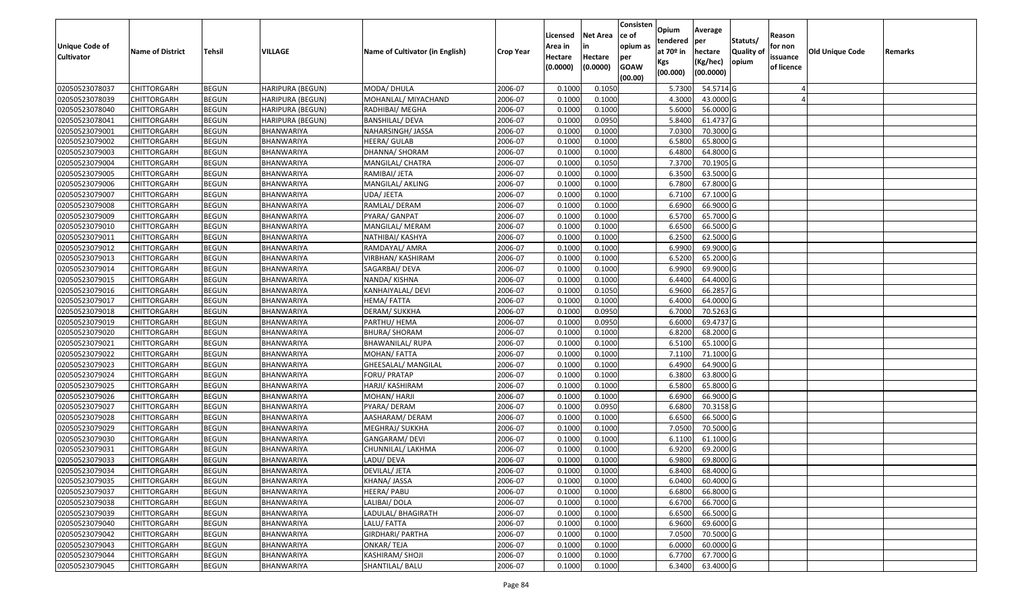| Unique Code of    |                         |               |                         |                                 |                  | Licensed<br>Area in | <b>Net Area</b><br>in | Consisten<br>ce of<br>opium as | Opium<br>tendered  | Average<br>per         | Statuts/                  | Reason<br>for non |                 |         |
|-------------------|-------------------------|---------------|-------------------------|---------------------------------|------------------|---------------------|-----------------------|--------------------------------|--------------------|------------------------|---------------------------|-------------------|-----------------|---------|
| <b>Cultivator</b> | <b>Name of District</b> | <b>Tehsil</b> | VILLAGE                 | Name of Cultivator (in English) | <b>Crop Year</b> | Hectare             | Hectare               | per                            | at $70°$ in<br>Kgs | hectare<br>(Kg/hec)    | <b>Quality o</b><br>opium | issuance          | Old Unique Code | Remarks |
|                   |                         |               |                         |                                 |                  | (0.0000)            | (0.0000)              | <b>GOAW</b><br>(00.00)         | (00.000)           | (00.0000)              |                           | of licence        |                 |         |
| 02050523078037    | CHITTORGARH             | <b>BEGUN</b>  | HARIPURA (BEGUN)        | MODA/ DHULA                     | 2006-07          | 0.1000              | 0.1050                |                                | 5.7300             | 54.5714 G              |                           |                   |                 |         |
| 02050523078039    | CHITTORGARH             | <b>BEGUN</b>  | HARIPURA (BEGUN)        | MOHANLAL/ MIYACHAND             | 2006-07          | 0.1000              | 0.1000                |                                | 4.3000             | 43.0000G               |                           |                   |                 |         |
| 02050523078040    | CHITTORGARH             | <b>BEGUN</b>  | HARIPURA (BEGUN)        | RADHIBAI/ MEGHA                 | 2006-07          | 0.1000              | 0.1000                |                                | 5.6000             | 56.0000G               |                           |                   |                 |         |
| 02050523078041    | <b>CHITTORGARH</b>      | <b>BEGUN</b>  | <b>HARIPURA (BEGUN)</b> | <b>BANSHILAL/ DEVA</b>          | 2006-07          | 0.1000              | 0.0950                |                                | 5.8400             | 61.4737 G              |                           |                   |                 |         |
| 02050523079001    | CHITTORGARH             | <b>BEGUN</b>  | BHANWARIYA              | NAHARSINGH/ JASSA               | 2006-07          | 0.1000              | 0.1000                |                                | 7.0300             | 70.3000 G              |                           |                   |                 |         |
| 02050523079002    | CHITTORGARH             | <b>BEGUN</b>  | BHANWARIYA              | HEERA/ GULAB                    | 2006-07          | 0.1000              | 0.1000                |                                | 6.5800             | 65.8000 G              |                           |                   |                 |         |
| 02050523079003    | CHITTORGARH             | <b>BEGUN</b>  | BHANWARIYA              | DHANNA/ SHORAM                  | 2006-07          | 0.1000              | 0.1000                |                                | 6.4800             | 64.8000 G              |                           |                   |                 |         |
| 02050523079004    | CHITTORGARH             | <b>BEGUN</b>  | BHANWARIYA              | MANGILAL/ CHATRA                | 2006-07          | 0.1000              | 0.1050                |                                | 7.3700             | 70.1905 G              |                           |                   |                 |         |
| 02050523079005    | CHITTORGARH             | <b>BEGUN</b>  | BHANWARIYA              | RAMIBAI/ JETA                   | 2006-07          | 0.1000              | 0.1000                |                                | 6.3500             | 63.5000G               |                           |                   |                 |         |
| 02050523079006    | CHITTORGARH             | <b>BEGUN</b>  | BHANWARIYA              | MANGILAL/ AKLING                | 2006-07          | 0.1000              | 0.1000                |                                | 6.7800             | 67.8000 G              |                           |                   |                 |         |
| 02050523079007    | CHITTORGARH             | <b>BEGUN</b>  | BHANWARIYA              | UDA/ JEETA                      | 2006-07          | 0.1000              | 0.1000                |                                | 6.7100             | 67.1000 G              |                           |                   |                 |         |
| 02050523079008    | CHITTORGARH             | <b>BEGUN</b>  | BHANWARIYA              | RAMLAL/ DERAM                   | 2006-07          | 0.1000              | 0.1000                |                                | 6.6900             | 66.9000 G              |                           |                   |                 |         |
| 02050523079009    | <b>CHITTORGARH</b>      | <b>BEGUN</b>  | BHANWARIYA              | PYARA/ GANPAT                   | 2006-07          | 0.1000              | 0.1000                |                                | 6.5700             | 65.7000 G              |                           |                   |                 |         |
| 02050523079010    | <b>CHITTORGARH</b>      | <b>BEGUN</b>  | BHANWARIYA              | MANGILAL/ MERAM                 | 2006-07          | 0.1000              | 0.1000                |                                | 6.6500             | 66.5000G               |                           |                   |                 |         |
| 02050523079011    | <b>CHITTORGARH</b>      | <b>BEGUN</b>  | BHANWARIYA              | NATHIBAI/ KASHYA                | 2006-07          | 0.1000              | 0.1000                |                                | 6.2500             | 62.5000G               |                           |                   |                 |         |
| 02050523079012    | <b>CHITTORGARH</b>      | <b>BEGUN</b>  | BHANWARIYA              | RAMDAYAL/ AMRA                  | 2006-07          | 0.1000              | 0.1000                |                                | 6.9900             | 69.9000 G              |                           |                   |                 |         |
| 02050523079013    | <b>CHITTORGARH</b>      | <b>BEGUN</b>  | BHANWARIYA              | VIRBHAN/ KASHIRAM               | 2006-07          | 0.1000              | 0.1000                |                                | 6.5200             | 65.2000G               |                           |                   |                 |         |
| 02050523079014    | CHITTORGARH             | <b>BEGUN</b>  | BHANWARIYA              | SAGARBAI/ DEVA                  | 2006-07          | 0.1000              | 0.1000                |                                | 6.9900             | 69.9000G               |                           |                   |                 |         |
| 02050523079015    | CHITTORGARH             | <b>BEGUN</b>  | BHANWARIYA              | NANDA/ KISHNA                   | 2006-07          | 0.100               | 0.1000                |                                | 6.4400             | 64.4000 G              |                           |                   |                 |         |
| 02050523079016    | CHITTORGARH             | <b>BEGUN</b>  | BHANWARIYA              | KANHAIYALAL/ DEVI               | 2006-07          | 0.1000              | 0.1050                |                                | 6.9600             | 66.2857 G              |                           |                   |                 |         |
| 02050523079017    | CHITTORGARH             | <b>BEGUN</b>  | <b>BHANWARIYA</b>       | HEMA/FATTA                      | 2006-07          | 0.1000              | 0.1000                |                                | 6.4000             | 64.0000G               |                           |                   |                 |         |
| 02050523079018    | CHITTORGARH             | <b>BEGUN</b>  | BHANWARIYA              | DERAM/ SUKKHA                   | 2006-07          | 0.1000              | 0.0950                |                                | 6.700              | 70.5263 G              |                           |                   |                 |         |
| 02050523079019    | CHITTORGARH             | <b>BEGUN</b>  | BHANWARIYA              | PARTHU/ HEMA                    | 2006-07          | 0.1000              | 0.0950                |                                | 6.6000             | 69.4737 G              |                           |                   |                 |         |
| 02050523079020    | <b>CHITTORGARH</b>      | <b>BEGUN</b>  | BHANWARIYA              | BHURA/ SHORAM                   | 2006-07          | 0.1000              | 0.1000                |                                | 6.8200             | 68.2000 G              |                           |                   |                 |         |
| 02050523079021    | <b>CHITTORGARH</b>      | <b>BEGUN</b>  | <b>BHANWARIYA</b>       | <b>BHAWANILAL/ RUPA</b>         | 2006-07          | 0.1000              | 0.1000                |                                | 6.5100             | 65.1000G               |                           |                   |                 |         |
| 02050523079022    | CHITTORGARH             | <b>BEGUN</b>  | BHANWARIYA              | MOHAN/FATTA                     | 2006-07          | 0.1000              | 0.1000                |                                | 7.1100             | 71.1000G               |                           |                   |                 |         |
| 02050523079023    | CHITTORGARH             | <b>BEGUN</b>  | BHANWARIYA              | GHEESALAL/ MANGILAL             | 2006-07          | 0.1000              | 0.1000                |                                | 6.4900             | 64.9000 G              |                           |                   |                 |         |
| 02050523079024    | CHITTORGARH             | <b>BEGUN</b>  | BHANWARIYA              | FORU/ PRATAP                    | 2006-07          | 0.1000              | 0.1000                |                                | 6.3800             | 63.8000 G              |                           |                   |                 |         |
| 02050523079025    | CHITTORGARH             | <b>BEGUN</b>  | <b>BHANWARIYA</b>       | HARJI/ KASHIRAM                 | 2006-07          | 0.1000              | 0.1000                |                                | 6.5800             | 65.8000 G              |                           |                   |                 |         |
| 02050523079026    | CHITTORGARH             | <b>BEGUN</b>  | BHANWARIYA              | MOHAN/ HARJI                    | 2006-07          | 0.1000              | 0.1000                |                                | 6.6900             | 66.9000 G              |                           |                   |                 |         |
| 02050523079027    | CHITTORGARH             | <b>BEGUN</b>  | BHANWARIYA              | PYARA/ DERAM                    | 2006-07          | 0.1000              | 0.0950                |                                | 6.6800             | 70.3158 G              |                           |                   |                 |         |
| 02050523079028    | CHITTORGARH             | <b>BEGUN</b>  | BHANWARIYA              | AASHARAM/ DERAM                 | 2006-07          | 0.1000              | 0.1000                |                                | 6.6500             | 66.5000G               |                           |                   |                 |         |
| 02050523079029    | CHITTORGARH             | <b>BEGUN</b>  | BHANWARIYA              | MEGHRAJ/ SUKKHA                 | 2006-07          | 0.1000              | 0.1000                |                                | 7.0500             | 70.5000 G              |                           |                   |                 |         |
| 02050523079030    | CHITTORGARH             | <b>BEGUN</b>  | BHANWARIYA              | GANGARAM/ DEVI                  | 2006-07          | 0.1000              | 0.1000                |                                | 6.1100             | 61.1000 G              |                           |                   |                 |         |
| 02050523079031    | CHITTORGARH             | <b>BEGUN</b>  | BHANWARIYA              | CHUNNILAL/ LAKHMA               | 2006-07          | 0.1000              | 0.1000                |                                | 6.9200             | 69.2000 G              |                           |                   |                 |         |
| 02050523079033    | CHITTORGARH             | <b>BEGUN</b>  | BHANWARIYA              | LADU/ DEVA                      | 2006-07          | 0.1000              | 0.1000                |                                | 6.9800             | 69.8000 G              |                           |                   |                 |         |
| 02050523079034    | <b>CHITTORGARH</b>      | <b>BEGUN</b>  | BHANWARIYA              | DEVILAL/ JETA                   | 2006-07          | 0.1000              | 0.1000                |                                | 6.8400             | 68.4000G               |                           |                   |                 |         |
| 02050523079035    | <b>CHITTORGARH</b>      | <b>BEGUN</b>  | BHANWARIYA              | KHANA/ JASSA                    | 2006-07          | 0.1000              | 0.1000                |                                | 6.0400             | 60.4000 G              |                           |                   |                 |         |
| 02050523079037    | <b>CHITTORGARH</b>      | <b>BEGUN</b>  | BHANWARIYA              | HEERA/ PABU                     | 2006-07          | 0.1000              | 0.1000                |                                | 6.6800             | 66.8000 G              |                           |                   |                 |         |
| 02050523079038    | <b>CHITTORGARH</b>      | <b>BEGUN</b>  | BHANWARIYA              | LALIBAI/ DOLA                   | 2006-07          | 0.1000              | 0.1000                |                                | 6.6700             | 66.7000 G              |                           |                   |                 |         |
| 02050523079039    | CHITTORGARH             | <b>BEGUN</b>  | <b>BHANWARIYA</b>       | LADULAL/ BHAGIRATH              | 2006-07          | 0.1000              | 0.1000                |                                | 6.6500             | 66.5000 G              |                           |                   |                 |         |
| 02050523079040    | <b>CHITTORGARH</b>      | <b>BEGUN</b>  | BHANWARIYA              | LALU/ FATTA                     | 2006-07          | 0.1000              | 0.1000                |                                | 6.9600             | 69.6000 G              |                           |                   |                 |         |
| 02050523079042    | <b>CHITTORGARH</b>      | <b>BEGUN</b>  | BHANWARIYA              | <b>GIRDHARI/ PARTHA</b>         | 2006-07          | 0.1000              | 0.1000                |                                | 7.0500             | 70.5000 G              |                           |                   |                 |         |
| 02050523079043    | <b>CHITTORGARH</b>      | <b>BEGUN</b>  | BHANWARIYA              | ONKAR/TEJA                      | 2006-07          | 0.1000              | 0.1000                |                                | 6.0000             | $\overline{60.0000}$ G |                           |                   |                 |         |
| 02050523079044    | <b>CHITTORGARH</b>      | <b>BEGUN</b>  | BHANWARIYA              | KASHIRAM/ SHOJI                 | 2006-07          | 0.1000              | 0.1000                |                                | 6.7700             | 67.7000 G              |                           |                   |                 |         |
| 02050523079045    | <b>CHITTORGARH</b>      | <b>BEGUN</b>  | BHANWARIYA              | SHANTILAL/ BALU                 | 2006-07          | 0.1000              | 0.1000                |                                | 6.3400             | 63.4000 G              |                           |                   |                 |         |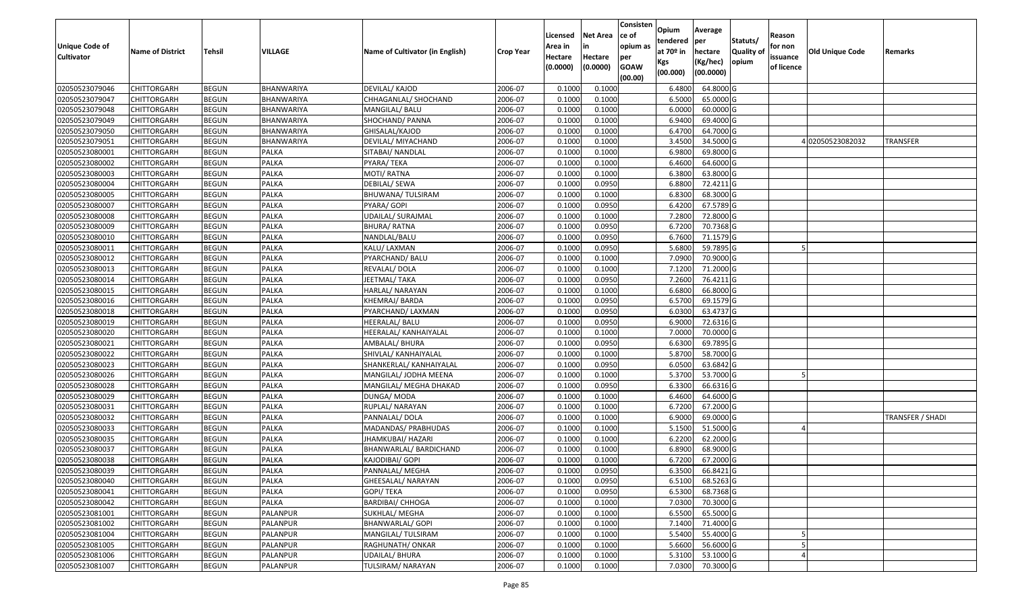| <b>Unique Code of</b><br><b>Cultivator</b> | <b>Name of District</b> | <b>Tehsil</b> | VILLAGE      | Name of Cultivator (in English) | <b>Crop Year</b> | Licensed<br>Area in<br>Hectare | <b>Net Area</b><br>in<br>Hectare | Consisten<br>ce of<br>opium as<br>per | Opium<br>tendered<br>at $70°$ in | Average<br>per<br>hectare | Statuts/<br><b>Quality o</b> | Reason<br>for non<br>issuance | <b>Old Unique Code</b> | Remarks          |
|--------------------------------------------|-------------------------|---------------|--------------|---------------------------------|------------------|--------------------------------|----------------------------------|---------------------------------------|----------------------------------|---------------------------|------------------------------|-------------------------------|------------------------|------------------|
|                                            |                         |               |              |                                 |                  | (0.0000)                       | (0.0000)                         | <b>GOAW</b><br>(00.00)                | Kgs<br>(00.000)                  | (Kg/hec)<br>(00.0000)     | opium                        | of licence                    |                        |                  |
| 02050523079046                             | CHITTORGARH             | <b>BEGUN</b>  | BHANWARIYA   | DEVILAL/ KAJOD                  | 2006-07          | 0.1000                         | 0.1000                           |                                       | 6.4800                           | 64.8000 G                 |                              |                               |                        |                  |
| 02050523079047                             | CHITTORGARH             | <b>BEGUN</b>  | BHANWARIYA   | CHHAGANLAL/ SHOCHAND            | 2006-07          | 0.1000                         | 0.1000                           |                                       | 6.5000                           | 65.0000G                  |                              |                               |                        |                  |
| 02050523079048                             | CHITTORGARH             | <b>BEGUN</b>  | BHANWARIYA   | MANGILAL/ BALU                  | 2006-07          | 0.1000                         | 0.1000                           |                                       | 6.0000                           | 60.0000G                  |                              |                               |                        |                  |
| 02050523079049                             | <b>CHITTORGARH</b>      | <b>BEGUN</b>  | BHANWARIYA   | SHOCHAND/ PANNA                 | 2006-07          | 0.1000                         | 0.1000                           |                                       | 6.9400                           | 69.4000 G                 |                              |                               |                        |                  |
| 02050523079050                             | CHITTORGARH             | <b>BEGUN</b>  | BHANWARIYA   | GHISALAL/KAJOD                  | 2006-07          | 0.1000                         | 0.1000                           |                                       | 6.4700                           | 64.7000 G                 |                              |                               |                        |                  |
| 02050523079051                             | CHITTORGARH             | <b>BEGUN</b>  | BHANWARIYA   | DEVILAL/ MIYACHAND              | 2006-07          | 0.1000                         | 0.1000                           |                                       | 3.4500                           | 34.5000 G                 |                              |                               | 4 02050523082032       | TRANSFER         |
| 02050523080001                             | CHITTORGARH             | <b>BEGUN</b>  | PALKA        | SITABAI/ NANDLAL                | 2006-07          | 0.1000                         | 0.1000                           |                                       | 6.9800                           | 69.8000 G                 |                              |                               |                        |                  |
| 02050523080002                             | CHITTORGARH             | <b>BEGUN</b>  | <b>PALKA</b> | PYARA/TEKA                      | 2006-07          | 0.1000                         | 0.1000                           |                                       | 6.4600                           | 64.6000 G                 |                              |                               |                        |                  |
| 02050523080003                             | CHITTORGARH             | <b>BEGUN</b>  | PALKA        | MOTI/ RATNA                     | 2006-07          | 0.1000                         | 0.1000                           |                                       | 6.3800                           | 63.8000 G                 |                              |                               |                        |                  |
| 02050523080004                             | CHITTORGARH             | <b>BEGUN</b>  | PALKA        | DEBILAL/ SEWA                   | 2006-07          | 0.1000                         | 0.0950                           |                                       | 6.8800                           | 72.4211G                  |                              |                               |                        |                  |
| 02050523080005                             | CHITTORGARH             | <b>BEGUN</b>  | PALKA        | BHUWANA/ TULSIRAM               | 2006-07          | 0.1000                         | 0.1000                           |                                       | 6.8300                           | 68.3000 G                 |                              |                               |                        |                  |
| 02050523080007                             | CHITTORGARH             | <b>BEGUN</b>  | <b>PALKA</b> | PYARA/ GOPI                     | 2006-07          | 0.1000                         | 0.0950                           |                                       | 6.4200                           | 67.5789 G                 |                              |                               |                        |                  |
| 02050523080008                             | <b>CHITTORGARH</b>      | <b>BEGUN</b>  | <b>PALKA</b> | UDAILAL/ SURAJMAL               | 2006-07          | 0.1000                         | 0.1000                           |                                       | 7.2800                           | 72.8000G                  |                              |                               |                        |                  |
| 02050523080009                             | CHITTORGARH             | <b>BEGUN</b>  | <b>PALKA</b> | <b>BHURA/ RATNA</b>             | 2006-07          | 0.1000                         | 0.0950                           |                                       | 6.7200                           | 70.7368 G                 |                              |                               |                        |                  |
| 02050523080010                             | <b>CHITTORGARH</b>      | <b>BEGUN</b>  | PALKA        | NANDLAL/BALU                    | 2006-07          | 0.1000                         | 0.0950                           |                                       | 6.7600                           | 71.1579 G                 |                              |                               |                        |                  |
| 02050523080011                             | CHITTORGARH             | <b>BEGUN</b>  | <b>PALKA</b> | KALU/ LAXMAN                    | 2006-07          | 0.1000                         | 0.0950                           |                                       | 5.6800                           | 59.7895 G                 |                              |                               |                        |                  |
| 02050523080012                             | CHITTORGARH             | <b>BEGUN</b>  | <b>PALKA</b> | PYARCHAND/ BALU                 | 2006-07          | 0.1000                         | 0.1000                           |                                       | 7.0900                           | 70.9000G                  |                              |                               |                        |                  |
| 02050523080013                             | CHITTORGARH             | <b>BEGUN</b>  | <b>PALKA</b> | REVALAL/ DOLA                   | 2006-07          | 0.100                          | 0.1000                           |                                       | 7.1200                           | 71.2000 G                 |                              |                               |                        |                  |
| 02050523080014                             | CHITTORGARH             | <b>BEGUN</b>  | <b>PALKA</b> | JEETMAL/ TAKA                   | 2006-07          | 0.100                          | 0.0950                           |                                       | 7.2600                           | 76.4211G                  |                              |                               |                        |                  |
| 02050523080015                             | CHITTORGARH             | <b>BEGUN</b>  | <b>PALKA</b> | HARLAL/ NARAYAN                 | 2006-07          | 0.1000                         | 0.1000                           |                                       | 6.6800                           | 66.8000 G                 |                              |                               |                        |                  |
| 02050523080016                             | CHITTORGARH             | <b>BEGUN</b>  | <b>PALKA</b> | KHEMRAJ/BARDA                   | 2006-07          | 0.100                          | 0.0950                           |                                       | 6.5700                           | 69.1579 G                 |                              |                               |                        |                  |
| 02050523080018                             | CHITTORGARH             | <b>BEGUN</b>  | <b>PALKA</b> | PYARCHAND/ LAXMAN               | 2006-07          | 0.100                          | 0.0950                           |                                       | 6.030                            | 63.4737 G                 |                              |                               |                        |                  |
| 02050523080019                             | CHITTORGARH             | <b>BEGUN</b>  | PALKA        | HEERALAL/ BALU                  | 2006-07          | 0.1000                         | 0.0950                           |                                       | 6.9000                           | 72.6316 G                 |                              |                               |                        |                  |
| 02050523080020                             | <b>CHITTORGARH</b>      | <b>BEGUN</b>  | <b>PALKA</b> | HEERALAL/ KANHAIYALAL           | 2006-07          | 0.100                          | 0.1000                           |                                       | 7.0000                           | 70.0000 G                 |                              |                               |                        |                  |
| 02050523080021                             | <b>CHITTORGARH</b>      | <b>BEGUN</b>  | <b>PALKA</b> | AMBALAL/ BHURA                  | 2006-07          | 0.1000                         | 0.0950                           |                                       | 6.6300                           | 69.7895 G                 |                              |                               |                        |                  |
| 02050523080022                             | CHITTORGARH             | <b>BEGUN</b>  | <b>PALKA</b> | SHIVLAL/ KANHAIYALAL            | 2006-07          | 0.1000                         | 0.1000                           |                                       | 5.8700                           | 58.7000 G                 |                              |                               |                        |                  |
| 02050523080023                             | CHITTORGARH             | <b>BEGUN</b>  | PALKA        | SHANKERLAL/ KANHAIYALAL         | 2006-07          | 0.100                          | 0.0950                           |                                       | 6.0500                           | 63.6842 G                 |                              |                               |                        |                  |
| 02050523080026                             | CHITTORGARH             | <b>BEGUN</b>  | <b>PALKA</b> | MANGILAL/ JODHA MEENA           | 2006-07          | 0.1000                         | 0.1000                           |                                       | 5.3700                           | 53.7000 G                 |                              |                               |                        |                  |
| 02050523080028                             | CHITTORGARH             | <b>BEGUN</b>  | <b>PALKA</b> | MANGILAL/ MEGHA DHAKAD          | 2006-07          | 0.1000                         | 0.0950                           |                                       | 6.3300                           | 66.6316 G                 |                              |                               |                        |                  |
| 02050523080029                             | CHITTORGARH             | <b>BEGUN</b>  | <b>PALKA</b> | DUNGA/ MODA                     | 2006-07          | 0.1000                         | 0.1000                           |                                       | 6.4600                           | 64.6000 G                 |                              |                               |                        |                  |
| 02050523080031                             | CHITTORGARH             | <b>BEGUN</b>  | PALKA        | RUPLAL/ NARAYAN                 | 2006-07          | 0.100                          | 0.1000                           |                                       | 6.7200                           | 67.2000 G                 |                              |                               |                        |                  |
| 02050523080032                             | CHITTORGARH             | <b>BEGUN</b>  | PALKA        | PANNALAL/ DOLA                  | 2006-07          | 0.1000                         | 0.1000                           |                                       | 6.9000                           | 69.0000G                  |                              |                               |                        | TRANSFER / SHADI |
| 02050523080033                             | CHITTORGARH             | <b>BEGUN</b>  | PALKA        | MADANDAS/ PRABHUDAS             | 2006-07          | 0.100                          | 0.1000                           |                                       | 5.1500                           | 51.5000 G                 |                              |                               |                        |                  |
| 02050523080035                             | CHITTORGARH             | <b>BEGUN</b>  | PALKA        | JHAMKUBAI/ HAZARI               | 2006-07          | 0.1000                         | 0.1000                           |                                       | 6.2200                           | 62.2000 G                 |                              |                               |                        |                  |
| 02050523080037                             | CHITTORGARH             | <b>BEGUN</b>  | PALKA        | BHANWARLAL/ BARDICHAND          | 2006-07          | 0.1000                         | 0.1000                           |                                       | 6.8900                           | 68.9000 G                 |                              |                               |                        |                  |
| 02050523080038                             | CHITTORGARH             | <b>BEGUN</b>  | <b>PALKA</b> | KAJODIBAI/ GOPI                 | 2006-07          | 0.1000                         | 0.1000                           |                                       | 6.7200                           | 67.2000G                  |                              |                               |                        |                  |
| 02050523080039                             | <b>CHITTORGARH</b>      | <b>BEGUN</b>  | PALKA        | PANNALAL/ MEGHA                 | 2006-07          | 0.1000                         | 0.0950                           |                                       | 6.3500                           | 66.8421 G                 |                              |                               |                        |                  |
| 02050523080040                             | <b>CHITTORGARH</b>      | <b>BEGUN</b>  | PALKA        | GHEESALAL/ NARAYAN              | 2006-07          | 0.1000                         | 0.0950                           |                                       | 6.5100                           | 68.5263 G                 |                              |                               |                        |                  |
| 02050523080041                             | <b>CHITTORGARH</b>      | <b>BEGUN</b>  | PALKA        | GOPI/ TEKA                      | 2006-07          | 0.1000                         | 0.0950                           |                                       | 6.5300                           | 68.7368 G                 |                              |                               |                        |                  |
| 02050523080042                             | <b>CHITTORGARH</b>      | <b>BEGUN</b>  | PALKA        | <b>BARDIBAI/ CHHOGA</b>         | 2006-07          | 0.1000                         | 0.1000                           |                                       | 7.0300                           | 70.3000 G                 |                              |                               |                        |                  |
| 02050523081001                             | CHITTORGARH             | <b>BEGUN</b>  | PALANPUR     | SUKHLAL/ MEGHA                  | 2006-07          | 0.1000                         | 0.1000                           |                                       | 6.5500                           | 65.5000 G                 |                              |                               |                        |                  |
| 02050523081002                             | <b>CHITTORGARH</b>      | <b>BEGUN</b>  | PALANPUR     | <b>BHANWARLAL/ GOPI</b>         | 2006-07          | 0.1000                         | 0.1000                           |                                       | 7.1400                           | 71.4000 G                 |                              |                               |                        |                  |
| 02050523081004                             | <b>CHITTORGARH</b>      | <b>BEGUN</b>  | PALANPUR     | MANGILAL/ TULSIRAM              | 2006-07          | 0.1000                         | 0.1000                           |                                       | 5.5400                           | 55.4000 G                 |                              |                               |                        |                  |
| 02050523081005                             | <b>CHITTORGARH</b>      | <b>BEGUN</b>  | PALANPUR     | RAGHUNATH/ ONKAR                | 2006-07          | 0.1000                         | 0.1000                           |                                       | 5.6600                           | 56.6000 G                 |                              |                               |                        |                  |
| 02050523081006                             | <b>CHITTORGARH</b>      | <b>BEGUN</b>  | PALANPUR     | UDAILAL/ BHURA                  | 2006-07          | 0.1000                         | 0.1000                           |                                       | 5.3100                           | 53.1000 G                 |                              |                               |                        |                  |
| 02050523081007                             | <b>CHITTORGARH</b>      | <b>BEGUN</b>  | PALANPUR     | TULSIRAM/ NARAYAN               | 2006-07          | 0.1000                         | 0.1000                           |                                       | 7.0300                           | 70.3000 G                 |                              |                               |                        |                  |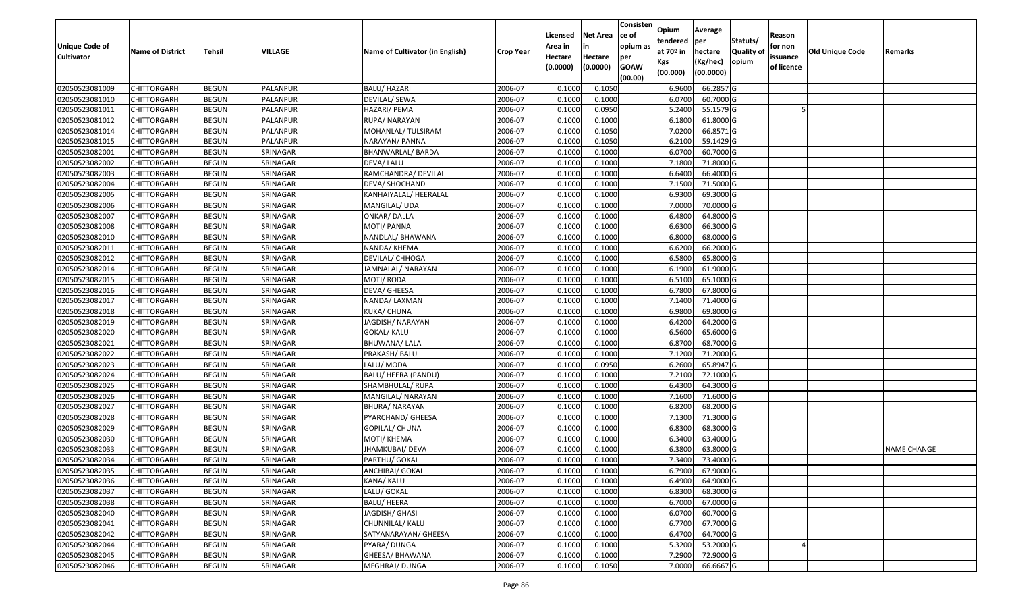| <b>Unique Code of</b> |                         |               |                |                                 |                  | Licensed<br>Area in | <b>Net Area</b><br>in | Consisten<br>ce of<br>opium as | Opium<br>tendered | Average<br>per        | Statuts/         | Reason<br>for non |                        |                    |
|-----------------------|-------------------------|---------------|----------------|---------------------------------|------------------|---------------------|-----------------------|--------------------------------|-------------------|-----------------------|------------------|-------------------|------------------------|--------------------|
| <b>Cultivator</b>     | <b>Name of District</b> | <b>Tehsil</b> | <b>VILLAGE</b> | Name of Cultivator (in English) | <b>Crop Year</b> | Hectare             | Hectare               | per                            | at $70°$ in       | hectare               | <b>Quality o</b> | issuance          | <b>Old Unique Code</b> | Remarks            |
|                       |                         |               |                |                                 |                  | (0.0000)            | (0.0000)              | <b>GOAW</b><br>(00.00)         | Kgs<br>(00.000)   | (Kg/hec)<br>(00.0000) | opium            | of licence        |                        |                    |
| 02050523081009        | <b>CHITTORGARH</b>      | <b>BEGUN</b>  | PALANPUR       | <b>BALU/ HAZARI</b>             | 2006-07          | 0.1000              | 0.1050                |                                | 6.9600            | 66.2857 G             |                  |                   |                        |                    |
| 02050523081010        | CHITTORGARH             | <b>BEGUN</b>  | PALANPUR       | DEVILAL/ SEWA                   | 2006-07          | 0.1000              | 0.1000                |                                | 6.0700            | 60.7000 G             |                  |                   |                        |                    |
| 02050523081011        | CHITTORGARH             | <b>BEGUN</b>  | PALANPUR       | HAZARI/ PEMA                    | 2006-07          | 0.1000              | 0.0950                |                                | 5.2400            | 55.1579 G             |                  |                   |                        |                    |
| 02050523081012        | <b>CHITTORGARH</b>      | <b>BEGUN</b>  | PALANPUR       | RUPA/ NARAYAN                   | 2006-07          | 0.1000              | 0.1000                |                                | 6.1800            | 61.8000G              |                  |                   |                        |                    |
| 02050523081014        | CHITTORGARH             | <b>BEGUN</b>  | PALANPUR       | MOHANLAL/TULSIRAM               | 2006-07          | 0.1000              | 0.1050                |                                | 7.0200            | 66.8571 G             |                  |                   |                        |                    |
| 02050523081015        | <b>CHITTORGARH</b>      | <b>BEGUN</b>  | PALANPUR       | NARAYAN/ PANNA                  | 2006-07          | 0.1000              | 0.1050                |                                | 6.2100            | 59.1429 G             |                  |                   |                        |                    |
| 02050523082001        | CHITTORGARH             | <b>BEGUN</b>  | SRINAGAR       | BHANWARLAL/ BARDA               | 2006-07          | 0.1000              | 0.1000                |                                | 6.0700            | 60.7000 G             |                  |                   |                        |                    |
| 02050523082002        | CHITTORGARH             | <b>BEGUN</b>  | SRINAGAR       | DEVA/ LALU                      | 2006-07          | 0.1000              | 0.1000                |                                | 7.1800            | 71.8000 G             |                  |                   |                        |                    |
| 02050523082003        | CHITTORGARH             | <b>BEGUN</b>  | SRINAGAR       | RAMCHANDRA/ DEVILAL             | 2006-07          | 0.1000              | 0.1000                |                                | 6.6400            | 66.4000 G             |                  |                   |                        |                    |
| 02050523082004        | <b>CHITTORGARH</b>      | <b>BEGUN</b>  | SRINAGAR       | DEVA/ SHOCHAND                  | 2006-07          | 0.1000              | 0.1000                |                                | 7.1500            | 71.5000 G             |                  |                   |                        |                    |
| 02050523082005        | CHITTORGARH             | <b>BEGUN</b>  | SRINAGAR       | KANHAIYALAL/ HEERALAL           | 2006-07          | 0.1000              | 0.1000                |                                | 6.9300            | 69.3000G              |                  |                   |                        |                    |
| 02050523082006        | <b>CHITTORGARH</b>      | <b>BEGUN</b>  | SRINAGAR       | MANGILAL/ UDA                   | 2006-07          | 0.1000              | 0.1000                |                                | 7.0000            | 70.0000 G             |                  |                   |                        |                    |
| 02050523082007        | <b>CHITTORGARH</b>      | <b>BEGUN</b>  | SRINAGAR       | <b>ONKAR/DALLA</b>              | 2006-07          | 0.1000              | 0.1000                |                                | 6.4800            | 64.8000 G             |                  |                   |                        |                    |
| 02050523082008        | <b>CHITTORGARH</b>      | <b>BEGUN</b>  | SRINAGAR       | MOTI/ PANNA                     | 2006-07          | 0.1000              | 0.1000                |                                | 6.6300            | 66.3000 G             |                  |                   |                        |                    |
| 02050523082010        | <b>CHITTORGARH</b>      | <b>BEGUN</b>  | SRINAGAR       | NANDLAL/ BHAWANA                | 2006-07          | 0.1000              | 0.1000                |                                | 6.8000            | 68.0000G              |                  |                   |                        |                    |
| 02050523082011        | <b>CHITTORGARH</b>      | <b>BEGUN</b>  | SRINAGAR       | NANDA/ KHEMA                    | 2006-07          | 0.1000              | 0.1000                |                                | 6.6200            | 66.2000 G             |                  |                   |                        |                    |
| 02050523082012        | CHITTORGARH             | <b>BEGUN</b>  | SRINAGAR       | DEVILAL/ CHHOGA                 | 2006-07          | 0.1000              | 0.1000                |                                | 6.5800            | 65.8000G              |                  |                   |                        |                    |
| 02050523082014        | CHITTORGARH             | <b>BEGUN</b>  | SRINAGAR       | JAMNALAL/NARAYAN                | 2006-07          | 0.1000              | 0.1000                |                                | 6.1900            | 61.9000G              |                  |                   |                        |                    |
| 02050523082015        | CHITTORGARH             | <b>BEGUN</b>  | SRINAGAR       | MOTI/ RODA                      | 2006-07          | 0.100               | 0.1000                |                                | 6.5100            | 65.1000G              |                  |                   |                        |                    |
| 02050523082016        | CHITTORGARH             | <b>BEGUN</b>  | SRINAGAR       | DEVA/ GHEESA                    | 2006-07          | 0.1000              | 0.1000                |                                | 6.7800            | 67.8000 G             |                  |                   |                        |                    |
| 02050523082017        | CHITTORGARH             | <b>BEGUN</b>  | SRINAGAR       | NANDA/ LAXMAN                   | 2006-07          | 0.1000              | 0.1000                |                                | 7.1400            | 71.4000 G             |                  |                   |                        |                    |
| 02050523082018        | CHITTORGARH             | <b>BEGUN</b>  | SRINAGAR       | <b>KUKA/ CHUNA</b>              | 2006-07          | 0.100               | 0.1000                |                                | 6.9800            | 69.8000 G             |                  |                   |                        |                    |
| 02050523082019        | CHITTORGARH             | <b>BEGUN</b>  | SRINAGAR       | JAGDISH/ NARAYAN                | 2006-07          | 0.1000              | 0.1000                |                                | 6.4200            | 64.2000 G             |                  |                   |                        |                    |
| 02050523082020        | <b>CHITTORGARH</b>      | <b>BEGUN</b>  | SRINAGAR       | GOKAL/ KALU                     | 2006-07          | 0.100               | 0.1000                |                                | 6.5600            | 65.6000G              |                  |                   |                        |                    |
| 02050523082021        | <b>CHITTORGARH</b>      | <b>BEGUN</b>  | SRINAGAR       | <b>BHUWANA/ LALA</b>            | 2006-07          | 0.1000              | 0.1000                |                                | 6.8700            | 68.7000 G             |                  |                   |                        |                    |
| 02050523082022        | CHITTORGARH             | <b>BEGUN</b>  | SRINAGAR       | PRAKASH/ BALU                   | 2006-07          | 0.1000              | 0.1000                |                                | 7.1200            | 71.2000 G             |                  |                   |                        |                    |
| 02050523082023        | <b>CHITTORGARH</b>      | <b>BEGUN</b>  | SRINAGAR       | LALU/ MODA                      | 2006-07          | 0.1000              | 0.0950                |                                | 6.2600            | 65.8947 G             |                  |                   |                        |                    |
| 02050523082024        | CHITTORGARH             | <b>BEGUN</b>  | SRINAGAR       | BALU/ HEERA (PANDU)             | 2006-07          | 0.1000              | 0.1000                |                                | 7.2100            | 72.1000G              |                  |                   |                        |                    |
| 02050523082025        | <b>CHITTORGARH</b>      | <b>BEGUN</b>  | SRINAGAR       | SHAMBHULAL/ RUPA                | 2006-07          | 0.1000              | 0.1000                |                                | 6.4300            | 64.3000 G             |                  |                   |                        |                    |
| 02050523082026        | <b>CHITTORGARH</b>      | <b>BEGUN</b>  | SRINAGAR       | MANGILAL/ NARAYAN               | 2006-07          | 0.1000              | 0.1000                |                                | 7.1600            | 71.6000 G             |                  |                   |                        |                    |
| 02050523082027        | CHITTORGARH             | <b>BEGUN</b>  | SRINAGAR       | BHURA/ NARAYAN                  | 2006-07          | 0.1000              | 0.1000                |                                | 6.8200            | 68.2000 G             |                  |                   |                        |                    |
| 02050523082028        | CHITTORGARH             | <b>BEGUN</b>  | SRINAGAR       | PYARCHAND/ GHEESA               | 2006-07          | 0.1000              | 0.1000                |                                | 7.1300            | 71.3000G              |                  |                   |                        |                    |
| 02050523082029        | CHITTORGARH             | <b>BEGUN</b>  | SRINAGAR       | <b>GOPILAL/ CHUNA</b>           | 2006-07          | 0.1000              | 0.1000                |                                | 6.8300            | 68.3000 G             |                  |                   |                        |                    |
| 02050523082030        | CHITTORGARH             | <b>BEGUN</b>  | SRINAGAR       | MOTI/ KHEMA                     | 2006-07          | 0.1000              | 0.1000                |                                | 6.3400            | 63.4000 G             |                  |                   |                        |                    |
| 02050523082033        | CHITTORGARH             | <b>BEGUN</b>  | SRINAGAR       | JHAMKUBAI/DEVA                  | 2006-07          | 0.1000              | 0.1000                |                                | 6.3800            | 63.8000G              |                  |                   |                        | <b>NAME CHANGE</b> |
| 02050523082034        | CHITTORGARH             | <b>BEGUN</b>  | SRINAGAR       | PARTHU/ GOKAL                   | 2006-07          | 0.1000              | 0.1000                |                                | 7.3400            | 73.4000G              |                  |                   |                        |                    |
| 02050523082035        | <b>CHITTORGARH</b>      | <b>BEGUN</b>  | SRINAGAR       | ANCHIBAI/ GOKAL                 | 2006-07          | 0.1000              | 0.1000                |                                | 6.7900            | 67.9000 G             |                  |                   |                        |                    |
| 02050523082036        | <b>CHITTORGARH</b>      | <b>BEGUN</b>  | SRINAGAR       | KANA/KALU                       | 2006-07          | 0.1000              | 0.1000                |                                | 6.4900            | 64.9000 G             |                  |                   |                        |                    |
| 02050523082037        | <b>CHITTORGARH</b>      | <b>BEGUN</b>  | SRINAGAR       | LALU/ GOKAL                     | 2006-07          | 0.1000              | 0.1000                |                                | 6.8300            | 68.3000 G             |                  |                   |                        |                    |
| 02050523082038        | <b>CHITTORGARH</b>      | <b>BEGUN</b>  | SRINAGAR       | <b>BALU/ HEERA</b>              | 2006-07          | 0.1000              | 0.1000                |                                | 6.7000            | 67.0000 G             |                  |                   |                        |                    |
| 02050523082040        | <b>CHITTORGARH</b>      | <b>BEGUN</b>  | SRINAGAR       | JAGDISH/ GHASI                  | 2006-07          | 0.1000              | 0.1000                |                                | 6.0700            | 60.7000 G             |                  |                   |                        |                    |
| 02050523082041        | <b>CHITTORGARH</b>      | <b>BEGUN</b>  | SRINAGAR       | CHUNNILAL/ KALU                 | 2006-07          | 0.1000              | 0.1000                |                                | 6.7700            | 67.7000 G             |                  |                   |                        |                    |
| 02050523082042        | <b>CHITTORGARH</b>      | <b>BEGUN</b>  | SRINAGAR       | SATYANARAYAN/ GHEESA            | 2006-07          | 0.1000              | 0.1000                |                                | 6.4700            | 64.7000 G             |                  |                   |                        |                    |
| 02050523082044        | CHITTORGARH             | <b>BEGUN</b>  | SRINAGAR       | PYARA/ DUNGA                    | 2006-07          | 0.1000              | 0.1000                |                                | 5.3200            | 53.2000 G             |                  |                   |                        |                    |
| 02050523082045        | <b>CHITTORGARH</b>      | <b>BEGUN</b>  | SRINAGAR       | GHEESA/ BHAWANA                 | 2006-07          | 0.1000              | 0.1000                |                                | 7.2900            | 72.9000 G             |                  |                   |                        |                    |
| 02050523082046        | <b>CHITTORGARH</b>      | <b>BEGUN</b>  | SRINAGAR       | MEGHRAJ/ DUNGA                  | 2006-07          | 0.1000              | 0.1050                |                                | 7.0000            | 66.6667 G             |                  |                   |                        |                    |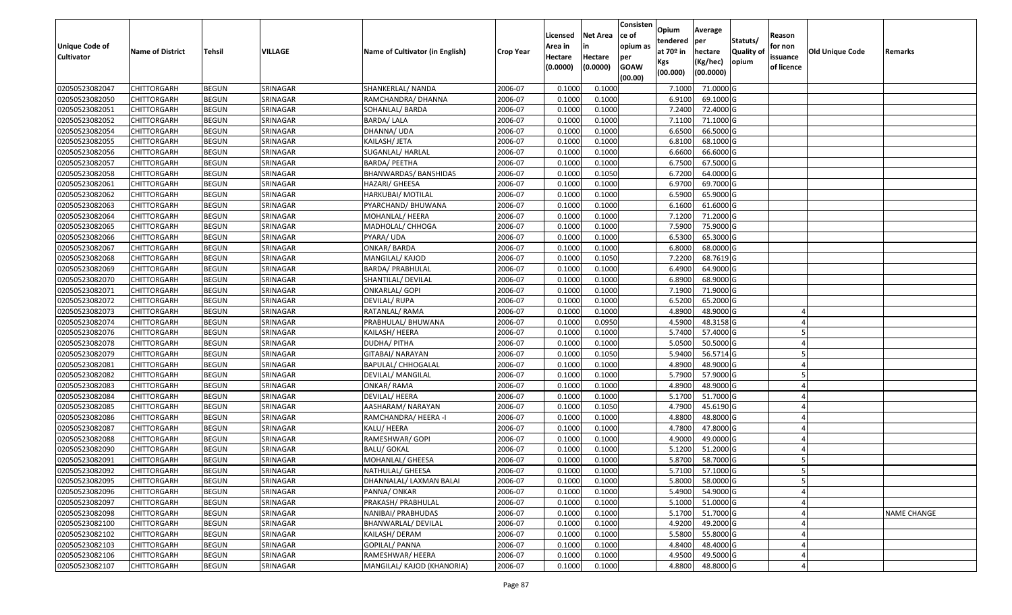| <b>Unique Code of</b> | <b>Name of District</b> | <b>Tehsil</b> | VILLAGE  | Name of Cultivator (in English) | <b>Crop Year</b> | Licensed<br>Area in | <b>Net Area</b><br>in | Consisten<br>ce of<br>opium as | Opium<br>tendered<br>at $70°$ in | Average<br>per<br>hectare | Statuts/<br><b>Quality o</b> | Reason<br>for non      | Old Unique Code | Remarks            |
|-----------------------|-------------------------|---------------|----------|---------------------------------|------------------|---------------------|-----------------------|--------------------------------|----------------------------------|---------------------------|------------------------------|------------------------|-----------------|--------------------|
| <b>Cultivator</b>     |                         |               |          |                                 |                  | Hectare<br>(0.0000) | Hectare<br>(0.0000)   | per<br><b>GOAW</b><br>(00.00)  | Kgs<br>(00.000)                  | (Kg/hec)<br>(00.0000)     | opium                        | issuance<br>of licence |                 |                    |
| 02050523082047        | CHITTORGARH             | <b>BEGUN</b>  | SRINAGAR | SHANKERLAL/ NANDA               | 2006-07          | 0.1000              | 0.1000                |                                | 7.1000                           | 71.0000 G                 |                              |                        |                 |                    |
| 02050523082050        | CHITTORGARH             | <b>BEGUN</b>  | SRINAGAR | RAMCHANDRA/ DHANNA              | 2006-07          | 0.1000              | 0.1000                |                                | 6.9100                           | 69.1000G                  |                              |                        |                 |                    |
| 02050523082051        | CHITTORGARH             | <b>BEGUN</b>  | SRINAGAR | SOHANLAL/ BARDA                 | 2006-07          | 0.1000              | 0.1000                |                                | 7.2400                           | 72.4000G                  |                              |                        |                 |                    |
| 02050523082052        | <b>CHITTORGARH</b>      | <b>BEGUN</b>  | SRINAGAR | <b>BARDA/LALA</b>               | 2006-07          | 0.1000              | 0.1000                |                                | 7.1100                           | 71.1000 G                 |                              |                        |                 |                    |
| 02050523082054        | CHITTORGARH             | <b>BEGUN</b>  | SRINAGAR | DHANNA/ UDA                     | 2006-07          | 0.1000              | 0.1000                |                                | 6.6500                           | 66.5000 G                 |                              |                        |                 |                    |
| 02050523082055        | CHITTORGARH             | <b>BEGUN</b>  | SRINAGAR | KAILASH/ JETA                   | 2006-07          | 0.1000              | 0.1000                |                                | 6.8100                           | 68.1000 G                 |                              |                        |                 |                    |
| 02050523082056        | CHITTORGARH             | <b>BEGUN</b>  | SRINAGAR | SUGANLAL/ HARLAL                | 2006-07          | 0.1000              | 0.1000                |                                | 6.6600                           | 66.6000 G                 |                              |                        |                 |                    |
| 02050523082057        | CHITTORGARH             | <b>BEGUN</b>  | SRINAGAR | <b>BARDA/ PEETHA</b>            | 2006-07          | 0.1000              | 0.1000                |                                | 6.7500                           | 67.5000 G                 |                              |                        |                 |                    |
| 02050523082058        | CHITTORGARH             | <b>BEGUN</b>  | SRINAGAR | BHANWARDAS/ BANSHIDAS           | 2006-07          | 0.1000              | 0.1050                |                                | 6.7200                           | 64.0000G                  |                              |                        |                 |                    |
| 02050523082061        | CHITTORGARH             | <b>BEGUN</b>  | SRINAGAR | HAZARI/ GHEESA                  | 2006-07          | 0.1000              | 0.1000                |                                | 6.9700                           | 69.7000 G                 |                              |                        |                 |                    |
| 02050523082062        | CHITTORGARH             | <b>BEGUN</b>  | SRINAGAR | HARKUBAI/ MOTILAL               | 2006-07          | 0.1000              | 0.1000                |                                | 6.5900                           | 65.9000G                  |                              |                        |                 |                    |
| 02050523082063        | <b>CHITTORGARH</b>      | <b>BEGUN</b>  | SRINAGAR | PYARCHAND/ BHUWANA              | 2006-07          | 0.1000              | 0.1000                |                                | 6.1600                           | 61.6000 G                 |                              |                        |                 |                    |
| 02050523082064        | <b>CHITTORGARH</b>      | <b>BEGUN</b>  | SRINAGAR | MOHANLAL/ HEERA                 | 2006-07          | 0.1000              | 0.1000                |                                | 7.1200                           | 71.2000 G                 |                              |                        |                 |                    |
| 02050523082065        | <b>CHITTORGARH</b>      | <b>BEGUN</b>  | SRINAGAR | MADHOLAL/ CHHOGA                | 2006-07          | 0.1000              | 0.1000                |                                | 7.5900                           | 75.9000G                  |                              |                        |                 |                    |
| 02050523082066        | <b>CHITTORGARH</b>      | <b>BEGUN</b>  | SRINAGAR | PYARA/ UDA                      | 2006-07          | 0.1000              | 0.1000                |                                | 6.5300                           | 65.3000G                  |                              |                        |                 |                    |
| 02050523082067        | CHITTORGARH             | <b>BEGUN</b>  | SRINAGAR | <b>ONKAR/ BARDA</b>             | 2006-07          | 0.1000              | 0.1000                |                                | 6.8000                           | 68.0000 G                 |                              |                        |                 |                    |
| 02050523082068        | CHITTORGARH             | <b>BEGUN</b>  | SRINAGAR | MANGILAL/ KAJOD                 | 2006-07          | 0.1000              | 0.1050                |                                | 7.2200                           | 68.7619 G                 |                              |                        |                 |                    |
| 02050523082069        | CHITTORGARH             | <b>BEGUN</b>  | SRINAGAR | BARDA/ PRABHULAL                | 2006-07          | 0.100               | 0.1000                |                                | 6.4900                           | 64.9000 G                 |                              |                        |                 |                    |
| 02050523082070        | CHITTORGARH             | <b>BEGUN</b>  | SRINAGAR | SHANTILAL/ DEVILAL              | 2006-07          | 0.100               | 0.1000                |                                | 6.8900                           | 68.9000 G                 |                              |                        |                 |                    |
| 02050523082071        | CHITTORGARH             | <b>BEGUN</b>  | SRINAGAR | ONKARLAL/ GOPI                  | 2006-07          | 0.1000              | 0.1000                |                                | 7.1900                           | 71.9000G                  |                              |                        |                 |                    |
| 02050523082072        | CHITTORGARH             | <b>BEGUN</b>  | SRINAGAR | <b>DEVILAL/RUPA</b>             | 2006-07          | 0.1000              | 0.1000                |                                | 6.5200                           | 65.2000G                  |                              |                        |                 |                    |
| 02050523082073        | CHITTORGARH             | <b>BEGUN</b>  | SRINAGAR | RATANLAL/RAMA                   | 2006-07          | 0.1000              | 0.1000                |                                | 4.8900                           | 48.9000 G                 |                              |                        |                 |                    |
| 02050523082074        | CHITTORGARH             | <b>BEGUN</b>  | SRINAGAR | PRABHULAL/ BHUWANA              | 2006-07          | 0.1000              | 0.0950                |                                | 4.5900                           | 48.3158 G                 |                              |                        |                 |                    |
| 02050523082076        | <b>CHITTORGARH</b>      | <b>BEGUN</b>  | SRINAGAR | KAILASH/ HEERA                  | 2006-07          | 0.1000              | 0.1000                |                                | 5.7400                           | 57.4000 G                 |                              |                        |                 |                    |
| 02050523082078        | <b>CHITTORGARH</b>      | <b>BEGUN</b>  | SRINAGAR | <b>DUDHA/PITHA</b>              | 2006-07          | 0.1000              | 0.1000                |                                | 5.0500                           | 50.5000G                  |                              |                        |                 |                    |
| 02050523082079        | CHITTORGARH             | <b>BEGUN</b>  | SRINAGAR | GITABAI/ NARAYAN                | 2006-07          | 0.1000              | 0.1050                |                                | 5.9400                           | 56.5714 G                 |                              |                        |                 |                    |
| 02050523082081        | CHITTORGARH             | <b>BEGUN</b>  | SRINAGAR | <b>BAPULAL/ CHHOGALAL</b>       | 2006-07          | 0.1000              | 0.1000                |                                | 4.8900                           | 48.9000 G                 |                              |                        |                 |                    |
| 02050523082082        | CHITTORGARH             | <b>BEGUN</b>  | SRINAGAR | DEVILAL/ MANGILAL               | 2006-07          | 0.1000              | 0.1000                |                                | 5.7900                           | 57.9000 G                 |                              |                        |                 |                    |
| 02050523082083        | CHITTORGARH             | <b>BEGUN</b>  | SRINAGAR | ONKAR/RAMA                      | 2006-07          | 0.1000              | 0.1000                |                                | 4.8900                           | 48.9000 G                 |                              |                        |                 |                    |
| 02050523082084        | CHITTORGARH             | <b>BEGUN</b>  | SRINAGAR | DEVILAL/ HEERA                  | 2006-07          | 0.1000              | 0.1000                |                                | 5.1700                           | 51.7000G                  |                              |                        |                 |                    |
| 02050523082085        | CHITTORGARH             | <b>BEGUN</b>  | SRINAGAR | AASHARAM/ NARAYAN               | 2006-07          | 0.1000              | 0.1050                |                                | 4.7900                           | 45.6190G                  |                              |                        |                 |                    |
| 02050523082086        | CHITTORGARH             | <b>BEGUN</b>  | SRINAGAR | RAMCHANDRA/ HEERA -I            | 2006-07          | 0.1000              | 0.1000                |                                | 4.8800                           | 48.8000 G                 |                              |                        |                 |                    |
| 02050523082087        | CHITTORGARH             | <b>BEGUN</b>  | SRINAGAR | KALU/ HEERA                     | 2006-07          | 0.1000              | 0.1000                |                                | 4.7800                           | 47.8000 G                 |                              |                        |                 |                    |
| 02050523082088        | CHITTORGARH             | <b>BEGUN</b>  | SRINAGAR | RAMESHWAR/ GOPI                 | 2006-07          | 0.1000              | 0.1000                |                                | 4.9000                           | 49.0000G                  |                              |                        |                 |                    |
| 02050523082090        | CHITTORGARH             | <b>BEGUN</b>  | SRINAGAR | <b>BALU/ GOKAL</b>              | 2006-07          | 0.1000              | 0.1000                |                                | 5.1200                           | 51.2000 G                 |                              |                        |                 |                    |
| 02050523082091        | CHITTORGARH             | <b>BEGUN</b>  | SRINAGAR | MOHANLAL/ GHEESA                | 2006-07          | 0.1000              | 0.1000                |                                | 5.8700                           | 58.7000 G                 |                              |                        |                 |                    |
| 02050523082092        | <b>CHITTORGARH</b>      | <b>BEGUN</b>  | SRINAGAR | NATHULAL/ GHEESA                | 2006-07          | 0.1000              | 0.1000                |                                |                                  | 5.7100 57.1000 G          |                              |                        |                 |                    |
| 02050523082095        | <b>CHITTORGARH</b>      | <b>BEGUN</b>  | SRINAGAR | DHANNALAL/ LAXMAN BALAI         | 2006-07          | 0.1000              | 0.1000                |                                | 5.8000                           | 58.0000 G                 |                              | 5                      |                 |                    |
| 02050523082096        | <b>CHITTORGARH</b>      | <b>BEGUN</b>  | SRINAGAR | PANNA/ ONKAR                    | 2006-07          | 0.1000              | 0.1000                |                                | 5.4900                           | 54.9000 G                 |                              |                        |                 |                    |
| 02050523082097        | <b>CHITTORGARH</b>      | <b>BEGUN</b>  | SRINAGAR | PRAKASH/ PRABHULAL              | 2006-07          | 0.1000              | 0.1000                |                                | 5.1000                           | 51.0000 G                 |                              |                        |                 |                    |
| 02050523082098        | <b>CHITTORGARH</b>      | <b>BEGUN</b>  | SRINAGAR | NANIBAI/ PRABHUDAS              | 2006-07          | 0.1000              | 0.1000                |                                | 5.1700                           | 51.7000 G                 |                              |                        |                 | <b>NAME CHANGE</b> |
| 02050523082100        | <b>CHITTORGARH</b>      | <b>BEGUN</b>  | SRINAGAR | BHANWARLAL/ DEVILAL             | 2006-07          | 0.1000              | 0.1000                |                                | 4.9200                           | 49.2000 G                 |                              |                        |                 |                    |
| 02050523082102        | <b>CHITTORGARH</b>      | <b>BEGUN</b>  | SRINAGAR | KAILASH/DERAM                   | 2006-07          | 0.1000              | 0.1000                |                                | 5.5800                           | 55.8000 G                 |                              |                        |                 |                    |
| 02050523082103        | <b>CHITTORGARH</b>      | <b>BEGUN</b>  | SRINAGAR | GOPILAL/ PANNA                  | 2006-07          | 0.1000              | 0.1000                |                                | 4.8400                           | 48.4000 G                 |                              |                        |                 |                    |
| 02050523082106        | <b>CHITTORGARH</b>      | <b>BEGUN</b>  | SRINAGAR | RAMESHWAR/ HEERA                | 2006-07          | 0.1000              | 0.1000                |                                | 4.9500                           | 49.5000 G                 |                              |                        |                 |                    |
| 02050523082107        | <b>CHITTORGARH</b>      | <b>BEGUN</b>  | SRINAGAR | MANGILAL/ KAJOD (KHANORIA)      | 2006-07          | 0.1000              | 0.1000                |                                | 4.8800                           | 48.8000 G                 |                              |                        |                 |                    |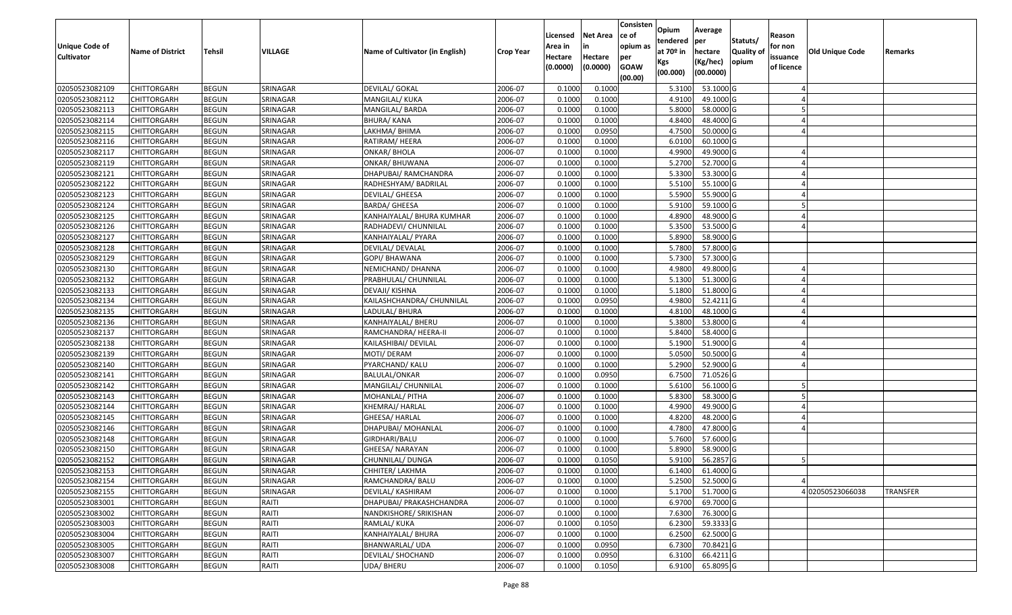| Unique Code of<br><b>Cultivator</b> | <b>Name of District</b> | Tehsil       | <b>VILLAGE</b> | Name of Cultivator (in English) | <b>Crop Year</b> | Licensed<br>Area in<br>Hectare | <b>Net Area</b><br>in<br>Hectare | Consisten<br>ce of<br>opium as<br>per | Opium<br>tendered<br>at $70°$ in | Average<br>per<br>hectare | Statuts/<br><b>Quality o</b> | Reason<br>for non<br>issuance | Old Unique Code | Remarks         |
|-------------------------------------|-------------------------|--------------|----------------|---------------------------------|------------------|--------------------------------|----------------------------------|---------------------------------------|----------------------------------|---------------------------|------------------------------|-------------------------------|-----------------|-----------------|
|                                     |                         |              |                |                                 |                  | (0.0000)                       | (0.0000)                         | <b>GOAW</b><br>(00.00)                | Kgs<br>(00.000)                  | (Kg/hec)<br>(00.0000)     | opium                        | of licence                    |                 |                 |
| 02050523082109                      | CHITTORGARH             | <b>BEGUN</b> | SRINAGAR       | <b>DEVILAL/ GOKAL</b>           | 2006-07          | 0.1000                         | 0.1000                           |                                       | 5.3100                           | 53.1000G                  |                              |                               |                 |                 |
| 02050523082112                      | CHITTORGARH             | <b>BEGUN</b> | SRINAGAR       | MANGILAL/ KUKA                  | 2006-07          | 0.1000                         | 0.1000                           |                                       | 4.9100                           | 49.1000G                  |                              |                               |                 |                 |
| 02050523082113                      | CHITTORGARH             | <b>BEGUN</b> | SRINAGAR       | MANGILAL/ BARDA                 | 2006-07          | 0.1000                         | 0.1000                           |                                       | 5.8000                           | 58.0000G                  |                              |                               |                 |                 |
| 02050523082114                      | <b>CHITTORGARH</b>      | <b>BEGUN</b> | SRINAGAR       | <b>BHURA/ KANA</b>              | 2006-07          | 0.1000                         | 0.1000                           |                                       | 4.8400                           | 48.4000 G                 |                              |                               |                 |                 |
| 02050523082115                      | CHITTORGARH             | <b>BEGUN</b> | SRINAGAR       | LAKHMA/ BHIMA                   | 2006-07          | 0.1000                         | 0.0950                           |                                       | 4.7500                           | 50.0000G                  |                              |                               |                 |                 |
| 02050523082116                      | CHITTORGARH             | <b>BEGUN</b> | SRINAGAR       | RATIRAM/ HEERA                  | 2006-07          | 0.1000                         | 0.1000                           |                                       | 6.0100                           | 60.1000 G                 |                              |                               |                 |                 |
| 02050523082117                      | CHITTORGARH             | <b>BEGUN</b> | SRINAGAR       | ONKAR/ BHOLA                    | 2006-07          | 0.1000                         | 0.1000                           |                                       | 4.9900                           | 49.9000 G                 |                              |                               |                 |                 |
| 02050523082119                      | <b>CHITTORGARH</b>      | <b>BEGUN</b> | SRINAGAR       | ONKAR/ BHUWANA                  | 2006-07          | 0.1000                         | 0.1000                           |                                       | 5.2700                           | 52.7000G                  |                              |                               |                 |                 |
| 02050523082121                      | CHITTORGARH             | <b>BEGUN</b> | SRINAGAR       | DHAPUBAI/ RAMCHANDRA            | 2006-07          | 0.1000                         | 0.1000                           |                                       | 5.3300                           | 53.3000 G                 |                              |                               |                 |                 |
| 02050523082122                      | CHITTORGARH             | <b>BEGUN</b> | SRINAGAR       | RADHESHYAM/ BADRILAL            | 2006-07          | 0.1000                         | 0.1000                           |                                       | 5.5100                           | 55.1000G                  |                              |                               |                 |                 |
| 02050523082123                      | CHITTORGARH             | <b>BEGUN</b> | SRINAGAR       | DEVILAL/ GHEESA                 | 2006-07          | 0.1000                         | 0.1000                           |                                       | 5.5900                           | 55.9000 G                 |                              |                               |                 |                 |
| 02050523082124                      | CHITTORGARH             | <b>BEGUN</b> | SRINAGAR       | BARDA/ GHEESA                   | 2006-07          | 0.1000                         | 0.1000                           |                                       | 5.9100                           | 59.1000 G                 |                              |                               |                 |                 |
| 02050523082125                      | <b>CHITTORGARH</b>      | <b>BEGUN</b> | SRINAGAR       | KANHAIYALAL/ BHURA KUMHAR       | 2006-07          | 0.1000                         | 0.1000                           |                                       | 4.8900                           | 48.9000 G                 |                              |                               |                 |                 |
| 02050523082126                      | CHITTORGARH             | <b>BEGUN</b> | SRINAGAR       | RADHADEVI/ CHUNNILAL            | 2006-07          | 0.1000                         | 0.1000                           |                                       | 5.3500                           | 53.5000G                  |                              |                               |                 |                 |
| 02050523082127                      | CHITTORGARH             | <b>BEGUN</b> | SRINAGAR       | KANHAIYALAL/ PYARA              | 2006-07          | 0.1000                         | 0.1000                           |                                       | 5.8900                           | 58.9000 G                 |                              |                               |                 |                 |
| 02050523082128                      | CHITTORGARH             | <b>BEGUN</b> | SRINAGAR       | DEVILAL/ DEVALAL                | 2006-07          | 0.1000                         | 0.1000                           |                                       | 5.7800                           | 57.8000 G                 |                              |                               |                 |                 |
| 02050523082129                      | CHITTORGARH             | <b>BEGUN</b> | SRINAGAR       | GOPI/ BHAWANA                   | 2006-07          | 0.1000                         | 0.1000                           |                                       | 5.7300                           | 57.3000 G                 |                              |                               |                 |                 |
| 02050523082130                      | CHITTORGARH             | <b>BEGUN</b> | SRINAGAR       | NEMICHAND/ DHANNA               | 2006-07          | 0.1000                         | 0.1000                           |                                       | 4.9800                           | 49.8000 G                 |                              |                               |                 |                 |
| 02050523082132                      | CHITTORGARH             | <b>BEGUN</b> | SRINAGAR       | PRABHULAL/ CHUNNILAL            | 2006-07          | 0.1000                         | 0.1000                           |                                       | 5.1300                           | 51.3000 G                 |                              |                               |                 |                 |
| 02050523082133                      | CHITTORGARH             | <b>BEGUN</b> | SRINAGAR       | DEVAJI/ KISHNA                  | 2006-07          | 0.1000                         | 0.1000                           |                                       | 5.1800                           | 51.8000 G                 |                              |                               |                 |                 |
| 02050523082134                      | CHITTORGARH             | <b>BEGUN</b> | SRINAGAR       | KAILASHCHANDRA/ CHUNNILAL       | 2006-07          | 0.1000                         | 0.0950                           |                                       | 4.9800                           | 52.4211 G                 |                              |                               |                 |                 |
| 02050523082135                      | CHITTORGARH             | <b>BEGUN</b> | SRINAGAR       | LADULAL/ BHURA                  | 2006-07          | 0.1000                         | 0.1000                           |                                       | 4.8100                           | 48.1000G                  |                              |                               |                 |                 |
| 02050523082136                      | CHITTORGARH             | <b>BEGUN</b> | SRINAGAR       | KANHAIYALAL/ BHERU              | 2006-07          | 0.1000                         | 0.1000                           |                                       | 5.3800                           | 53.8000 G                 |                              |                               |                 |                 |
| 02050523082137                      | CHITTORGARH             | <b>BEGUN</b> | SRINAGAR       | RAMCHANDRA/ HEERA-II            | 2006-07          | 0.1000                         | 0.1000                           |                                       | 5.8400                           | 58.4000 G                 |                              |                               |                 |                 |
| 02050523082138                      | <b>CHITTORGARH</b>      | <b>BEGUN</b> | SRINAGAR       | KAILASHIBAI/ DEVILAL            | 2006-07          | 0.1000                         | 0.1000                           |                                       | 5.1900                           | 51.9000 G                 |                              |                               |                 |                 |
| 02050523082139                      | CHITTORGARH             | <b>BEGUN</b> | SRINAGAR       | MOTI/ DERAM                     | 2006-07          | 0.1000                         | 0.1000                           |                                       | 5.0500                           | 50.5000G                  |                              |                               |                 |                 |
| 02050523082140                      | CHITTORGARH             | <b>BEGUN</b> | SRINAGAR       | PYARCHAND/ KALU                 | 2006-07          | 0.1000                         | 0.1000                           |                                       | 5.2900                           | 52.9000G                  |                              |                               |                 |                 |
| 02050523082141                      | CHITTORGARH             | <b>BEGUN</b> | SRINAGAR       | BALULAL/ONKAR                   | 2006-07          | 0.1000                         | 0.0950                           |                                       | 6.7500                           | 71.0526 G                 |                              |                               |                 |                 |
| 02050523082142                      | CHITTORGARH             | <b>BEGUN</b> | SRINAGAR       | MANGILAL/ CHUNNILAL             | 2006-07          | 0.1000                         | 0.1000                           |                                       | 5.6100                           | 56.1000 G                 |                              |                               |                 |                 |
| 02050523082143                      | CHITTORGARH             | <b>BEGUN</b> | SRINAGAR       | MOHANLAL/ PITHA                 | 2006-07          | 0.1000                         | 0.1000                           |                                       | 5.8300                           | 58.3000 G                 |                              |                               |                 |                 |
| 02050523082144                      | CHITTORGARH             | <b>BEGUN</b> | SRINAGAR       | KHEMRAJ/ HARLAL                 | 2006-07          | 0.1000                         | 0.1000                           |                                       | 4.9900                           | 49.9000 G                 |                              |                               |                 |                 |
| 02050523082145                      | CHITTORGARH             | <b>BEGUN</b> | SRINAGAR       | GHEESA/ HARLAL                  | 2006-07          | 0.1000                         | 0.1000                           |                                       | 4.8200                           | 48.2000 G                 |                              |                               |                 |                 |
| 02050523082146                      | CHITTORGARH             | <b>BEGUN</b> | SRINAGAR       | DHAPUBAI/ MOHANLAL              | 2006-07          | 0.1000                         | 0.1000                           |                                       | 4.7800                           | 47.8000 G                 |                              |                               |                 |                 |
| 02050523082148                      | CHITTORGARH             | <b>BEGUN</b> | SRINAGAR       | GIRDHARI/BALU                   | 2006-07          | 0.1000                         | 0.1000                           |                                       | 5.7600                           | 57.6000 G                 |                              |                               |                 |                 |
| 02050523082150                      | CHITTORGARH             | <b>BEGUN</b> | SRINAGAR       | GHEESA/ NARAYAN                 | 2006-07          | 0.1000                         | 0.1000                           |                                       | 5.8900                           | 58.9000 G                 |                              |                               |                 |                 |
| 02050523082152                      | CHITTORGARH             | <b>BEGUN</b> | SRINAGAR       | CHUNNILAL/ DUNGA                | 2006-07          | 0.1000                         | 0.1050                           |                                       | 5.9100                           | 56.2857 G                 |                              |                               |                 |                 |
| 02050523082153                      | <b>CHITTORGARH</b>      | <b>BEGUN</b> | SRINAGAR       | CHHITER/ LAKHMA                 | 2006-07          | 0.1000                         | 0.1000                           |                                       |                                  | 6.1400 61.4000 G          |                              |                               |                 |                 |
| 02050523082154                      | <b>CHITTORGARH</b>      | <b>BEGUN</b> | SRINAGAR       | RAMCHANDRA/ BALU                | 2006-07          | 0.1000                         | 0.1000                           |                                       | 5.2500                           | 52.5000 G                 |                              |                               |                 |                 |
| 02050523082155                      | <b>CHITTORGARH</b>      | <b>BEGUN</b> | SRINAGAR       | DEVILAL/ KASHIRAM               | 2006-07          | 0.1000                         | 0.1000                           |                                       | 5.1700                           | 51.7000 G                 |                              |                               | 402050523066038 | <b>TRANSFER</b> |
| 02050523083001                      | <b>CHITTORGARH</b>      | <b>BEGUN</b> | RAITI          | DHAPUBAI/ PRAKASHCHANDRA        | 2006-07          | 0.1000                         | 0.1000                           |                                       | 6.9700                           | 69.7000 G                 |                              |                               |                 |                 |
| 02050523083002                      | <b>CHITTORGARH</b>      | <b>BEGUN</b> | RAITI          | NANDKISHORE/ SRIKISHAN          | 2006-07          | 0.1000                         | 0.1000                           |                                       | 7.6300                           | 76.3000 G                 |                              |                               |                 |                 |
| 02050523083003                      | <b>CHITTORGARH</b>      | <b>BEGUN</b> | RAITI          | RAMLAL/ KUKA                    | 2006-07          | 0.1000                         | 0.1050                           |                                       | 6.2300                           | 59.3333 G                 |                              |                               |                 |                 |
| 02050523083004                      | <b>CHITTORGARH</b>      | <b>BEGUN</b> | RAITI          | KANHAIYALAL/ BHURA              | 2006-07          | 0.1000                         | 0.1000                           |                                       | 6.2500                           | 62.5000 G                 |                              |                               |                 |                 |
| 02050523083005                      | CHITTORGARH             | <b>BEGUN</b> | RAITI          | BHANWARLAL/ UDA                 | 2006-07          | 0.1000                         | 0.0950                           |                                       | 6.7300                           | 70.8421 G                 |                              |                               |                 |                 |
| 02050523083007                      | CHITTORGARH             | <b>BEGUN</b> | RAITI          | DEVILAL/ SHOCHAND               | 2006-07          | 0.1000                         | 0.0950                           |                                       | 6.3100                           | 66.4211 G                 |                              |                               |                 |                 |
| 02050523083008                      | <b>CHITTORGARH</b>      | <b>BEGUN</b> | RAITI          | <b>UDA/ BHERU</b>               | 2006-07          | 0.1000                         | 0.1050                           |                                       | 6.9100                           | 65.8095 G                 |                              |                               |                 |                 |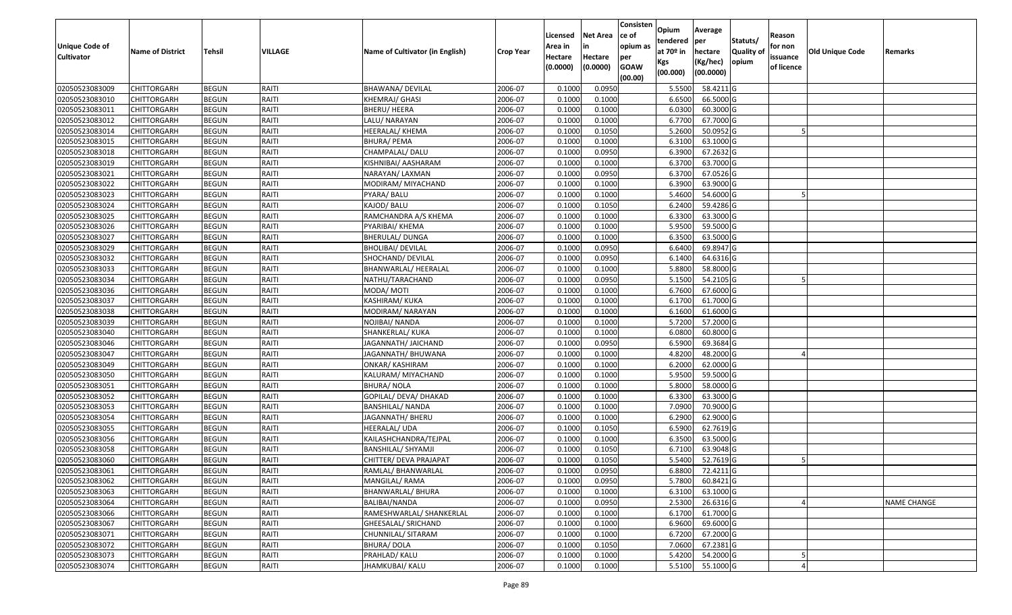|                       |                         |              |         |                                 |                  | Licensed | <b>Net Area</b> | Consisten<br>ce of | Opium<br>tendered | Average<br>per   | Statuts/         | Reason     |                        |                    |
|-----------------------|-------------------------|--------------|---------|---------------------------------|------------------|----------|-----------------|--------------------|-------------------|------------------|------------------|------------|------------------------|--------------------|
| <b>Unique Code of</b> | <b>Name of District</b> | Tehsil       | VILLAGE | Name of Cultivator (in English) | <b>Crop Year</b> | Area in  | in              | opium as           | at $70°$ in       | hectare          | <b>Quality o</b> | for non    | <b>Old Unique Code</b> | Remarks            |
| <b>Cultivator</b>     |                         |              |         |                                 |                  | Hectare  | Hectare         | per                | Kgs               | (Kg/hec)         | opium            | issuance   |                        |                    |
|                       |                         |              |         |                                 |                  | (0.0000) | (0.0000)        | <b>GOAW</b>        | (00.000)          | (00.0000)        |                  | of licence |                        |                    |
| 02050523083009        | CHITTORGARH             | <b>BEGUN</b> | RAITI   | BHAWANA/ DEVILAL                | 2006-07          | 0.1000   | 0.0950          | (00.00)            | 5.5500            | 58.4211G         |                  |            |                        |                    |
| 02050523083010        | CHITTORGARH             | <b>BEGUN</b> | RAITI   | KHEMRAJ/ GHASI                  | 2006-07          | 0.1000   | 0.1000          |                    | 6.6500            | 66.5000G         |                  |            |                        |                    |
| 02050523083011        | CHITTORGARH             | <b>BEGUN</b> | RAITI   | BHERU/ HEERA                    | 2006-07          | 0.1000   | 0.1000          |                    | 6.0300            | 60.3000 G        |                  |            |                        |                    |
| 02050523083012        | <b>CHITTORGARH</b>      | <b>BEGUN</b> | RAITI   | LALU/ NARAYAN                   | 2006-07          | 0.1000   | 0.1000          |                    | 6.7700            | 67.7000 G        |                  |            |                        |                    |
| 02050523083014        | CHITTORGARH             | <b>BEGUN</b> | RAITI   | HEERALAL/ KHEMA                 | 2006-07          | 0.1000   | 0.1050          |                    | 5.2600            | 50.0952 G        |                  |            |                        |                    |
| 02050523083015        | CHITTORGARH             | <b>BEGUN</b> | RAITI   | BHURA/ PEMA                     | 2006-07          | 0.1000   | 0.1000          |                    | 6.3100            | 63.1000 G        |                  |            |                        |                    |
| 02050523083018        | CHITTORGARH             | <b>BEGUN</b> | RAITI   | CHAMPALAL/ DALU                 | 2006-07          | 0.1000   | 0.0950          |                    | 6.3900            | 67.2632 G        |                  |            |                        |                    |
| 02050523083019        | <b>CHITTORGARH</b>      | <b>BEGUN</b> | RAITI   | KISHNIBAI/ AASHARAM             | 2006-07          | 0.1000   | 0.1000          |                    | 6.3700            | 63.7000 G        |                  |            |                        |                    |
| 02050523083021        | CHITTORGARH             | <b>BEGUN</b> | RAITI   | NARAYAN/ LAXMAN                 | 2006-07          | 0.1000   | 0.0950          |                    | 6.3700            | 67.0526 G        |                  |            |                        |                    |
| 02050523083022        | CHITTORGARH             | <b>BEGUN</b> | RAITI   | MODIRAM/ MIYACHAND              | 2006-07          | 0.1000   | 0.1000          |                    | 6.3900            | 63.9000 G        |                  |            |                        |                    |
| 02050523083023        | CHITTORGARH             | <b>BEGUN</b> | RAITI   | PYARA/ BALU                     | 2006-07          | 0.1000   | 0.1000          |                    | 5.4600            | 54.6000 G        |                  |            |                        |                    |
| 02050523083024        | CHITTORGARH             | <b>BEGUN</b> | RAITI   | KAJOD/ BALU                     | 2006-07          | 0.1000   | 0.1050          |                    | 6.2400            | 59.4286 G        |                  |            |                        |                    |
| 02050523083025        | <b>CHITTORGARH</b>      | <b>BEGUN</b> | RAITI   | RAMCHANDRA A/S KHEMA            | 2006-07          | 0.1000   | 0.1000          |                    | 6.3300            | 63.3000 G        |                  |            |                        |                    |
| 02050523083026        | CHITTORGARH             | <b>BEGUN</b> | RAITI   | PYARIBAI/ KHEMA                 | 2006-07          | 0.1000   | 0.1000          |                    | 5.9500            | 59.5000G         |                  |            |                        |                    |
| 02050523083027        | CHITTORGARH             | <b>BEGUN</b> | RAITI   | BHERULAL/ DUNGA                 | 2006-07          | 0.1000   | 0.1000          |                    | 6.3500            | 63.5000G         |                  |            |                        |                    |
| 02050523083029        | CHITTORGARH             | <b>BEGUN</b> | RAITI   | <b>BHOLIBAI/ DEVILAL</b>        | 2006-07          | 0.1000   | 0.0950          |                    | 6.6400            | 69.8947 G        |                  |            |                        |                    |
| 02050523083032        | CHITTORGARH             | <b>BEGUN</b> | RAITI   | SHOCHAND/ DEVILAL               | 2006-07          | 0.1000   | 0.0950          |                    | 6.1400            | 64.6316 G        |                  |            |                        |                    |
| 02050523083033        | CHITTORGARH             | <b>BEGUN</b> | RAITI   | BHANWARLAL/ HEERALAL            | 2006-07          | 0.1000   | 0.1000          |                    | 5.8800            | 58.8000 G        |                  |            |                        |                    |
| 02050523083034        | CHITTORGARH             | <b>BEGUN</b> | RAITI   | NATHU/TARACHAND                 | 2006-07          | 0.1000   | 0.0950          |                    | 5.1500            | 54.2105 G        |                  |            |                        |                    |
| 02050523083036        | CHITTORGARH             | <b>BEGUN</b> | RAITI   | MODA/ MOTI                      | 2006-07          | 0.1000   | 0.1000          |                    | 6.7600            | 67.6000 G        |                  |            |                        |                    |
| 02050523083037        | CHITTORGARH             | <b>BEGUN</b> | RAITI   | KASHIRAM/ KUKA                  | 2006-07          | 0.1000   | 0.1000          |                    | 6.1700            | 61.7000 G        |                  |            |                        |                    |
| 02050523083038        | CHITTORGARH             | <b>BEGUN</b> | RAITI   | MODIRAM/ NARAYAN                | 2006-07          | 0.1000   | 0.1000          |                    | 6.1600            | 61.6000G         |                  |            |                        |                    |
| 02050523083039        | CHITTORGARH             | <b>BEGUN</b> | RAITI   | NOJIBAI/ NANDA                  | 2006-07          | 0.1000   | 0.1000          |                    | 5.7200            | 57.2000 G        |                  |            |                        |                    |
| 02050523083040        | CHITTORGARH             | <b>BEGUN</b> | RAITI   | SHANKERLAL/ KUKA                | 2006-07          | 0.1000   | 0.1000          |                    | 6.0800            | 60.8000 G        |                  |            |                        |                    |
| 02050523083046        | <b>CHITTORGARH</b>      | <b>BEGUN</b> | RAITI   | JAGANNATH/ JAICHAND             | 2006-07          | 0.1000   | 0.0950          |                    | 6.5900            | 69.3684 G        |                  |            |                        |                    |
| 02050523083047        | CHITTORGARH             | <b>BEGUN</b> | RAITI   | JAGANNATH/ BHUWANA              | 2006-07          | 0.1000   | 0.1000          |                    | 4.8200            | 48.2000 G        |                  |            |                        |                    |
| 02050523083049        | CHITTORGARH             | <b>BEGUN</b> | RAITI   | ONKAR/ KASHIRAM                 | 2006-07          | 0.1000   | 0.1000          |                    | 6.2000            | 62.0000G         |                  |            |                        |                    |
| 02050523083050        | CHITTORGARH             | <b>BEGUN</b> | RAITI   | KALURAM/ MIYACHAND              | 2006-07          | 0.1000   | 0.1000          |                    | 5.9500            | 59.5000G         |                  |            |                        |                    |
| 02050523083051        | CHITTORGARH             | <b>BEGUN</b> | RAITI   | <b>BHURA/ NOLA</b>              | 2006-07          | 0.1000   | 0.1000          |                    | 5.8000            | 58.0000 G        |                  |            |                        |                    |
| 02050523083052        | CHITTORGARH             | <b>BEGUN</b> | RAITI   | GOPILAL/ DEVA/ DHAKAD           | 2006-07          | 0.1000   | 0.1000          |                    | 6.3300            | 63.3000 G        |                  |            |                        |                    |
| 02050523083053        | CHITTORGARH             | <b>BEGUN</b> | RAITI   | <b>BANSHILAL/ NANDA</b>         | 2006-07          | 0.1000   | 0.1000          |                    | 7.0900            | 70.9000 G        |                  |            |                        |                    |
| 02050523083054        | CHITTORGARH             | <b>BEGUN</b> | RAITI   | JAGANNATH/ BHERU                | 2006-07          | 0.1000   | 0.1000          |                    | 6.2900            | 62.9000 G        |                  |            |                        |                    |
| 02050523083055        | CHITTORGARH             | <b>BEGUN</b> | RAITI   | HEERALAL/ UDA                   | 2006-07          | 0.1000   | 0.1050          |                    | 6.5900            | 62.7619 G        |                  |            |                        |                    |
| 02050523083056        | CHITTORGARH             | <b>BEGUN</b> | RAITI   | KAILASHCHANDRA/TEJPAL           | 2006-07          | 0.1000   | 0.1000          |                    | 6.3500            | 63.5000 G        |                  |            |                        |                    |
| 02050523083058        | CHITTORGARH             | <b>BEGUN</b> | RAITI   | BANSHILAL/ SHYAMJI              | 2006-07          | 0.1000   | 0.1050          |                    | 6.7100            | 63.9048 G        |                  |            |                        |                    |
| 02050523083060        | CHITTORGARH             | <b>BEGUN</b> | RAITI   | CHITTER/ DEVA PRAJAPAT          | 2006-07          | 0.1000   | 0.1050          |                    | 5.5400            | 52.7619 G        |                  |            |                        |                    |
| 02050523083061        | <b>CHITTORGARH</b>      | <b>BEGUN</b> | RAITI   | RAMLAL/ BHANWARLAL              | 2006-07          | 0.1000   | 0.0950          |                    |                   | 6.8800 72.4211 G |                  |            |                        |                    |
| 02050523083062        | <b>CHITTORGARH</b>      | <b>BEGUN</b> | RAITI   | MANGILAL/RAMA                   | 2006-07          | 0.1000   | 0.0950          |                    | 5.7800            | 60.8421 G        |                  |            |                        |                    |
| 02050523083063        | <b>CHITTORGARH</b>      | <b>BEGUN</b> | RAITI   | BHANWARLAL/ BHURA               | 2006-07          | 0.1000   | 0.1000          |                    | 6.3100            | 63.1000 G        |                  |            |                        |                    |
| 02050523083064        | <b>CHITTORGARH</b>      | <b>BEGUN</b> | RAITI   | BALIBAI/NANDA                   | 2006-07          | 0.1000   | 0.0950          |                    | 2.5300            | 26.6316 G        |                  |            |                        | <b>NAME CHANGE</b> |
| 02050523083066        | CHITTORGARH             | <b>BEGUN</b> | RAITI   | RAMESHWARLAL/ SHANKERLAL        | 2006-07          | 0.1000   | 0.1000          |                    | 6.1700            | 61.7000 G        |                  |            |                        |                    |
| 02050523083067        | <b>CHITTORGARH</b>      | <b>BEGUN</b> | RAITI   | GHEESALAL/ SRICHAND             | 2006-07          | 0.1000   | 0.1000          |                    | 6.9600            | 69.6000 G        |                  |            |                        |                    |
| 02050523083071        | <b>CHITTORGARH</b>      | <b>BEGUN</b> | RAITI   | CHUNNILAL/ SITARAM              | 2006-07          | 0.1000   | 0.1000          |                    | 6.7200            | 67.2000 G        |                  |            |                        |                    |
| 02050523083072        | <b>CHITTORGARH</b>      | <b>BEGUN</b> | RAITI   | <b>BHURA/DOLA</b>               | 2006-07          | 0.1000   | 0.1050          |                    | 7.0600            | $67.2381$ G      |                  |            |                        |                    |
| 02050523083073        | <b>CHITTORGARH</b>      | <b>BEGUN</b> | RAITI   | PRAHLAD/ KALU                   | 2006-07          | 0.1000   | 0.1000          |                    | 5.4200            | 54.2000 G        |                  |            |                        |                    |
| 02050523083074        | <b>CHITTORGARH</b>      | <b>BEGUN</b> | RAITI   | JHAMKUBAI/ KALU                 | 2006-07          | 0.1000   | 0.1000          |                    | 5.5100            | 55.1000G         |                  |            |                        |                    |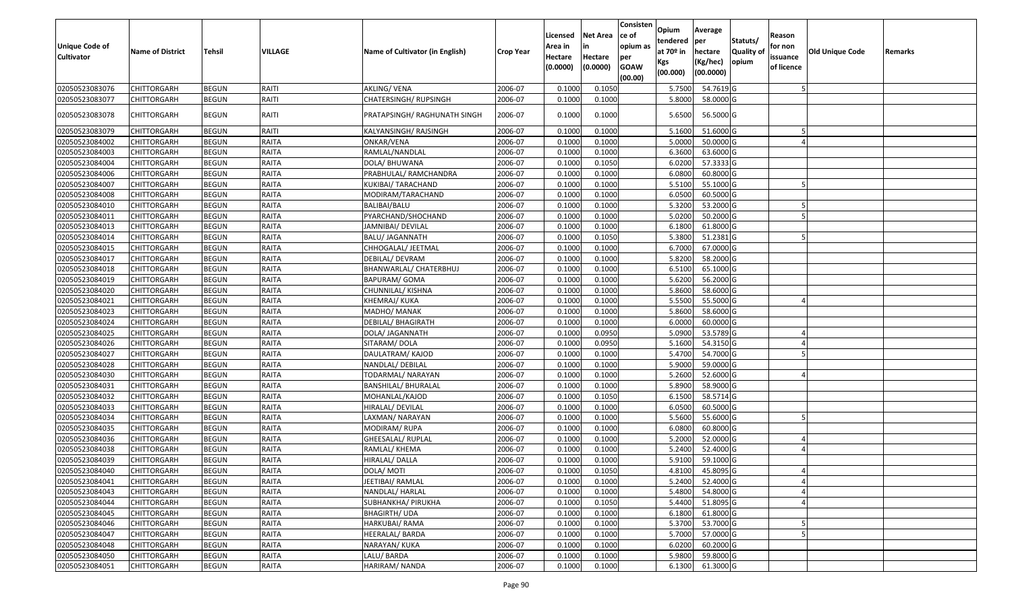| Unique Code of<br><b>Cultivator</b> | <b>Name of District</b> | <b>Tehsil</b> | VILLAGE      | Name of Cultivator (in English) | <b>Crop Year</b> | Licensed<br>Area in<br>Hectare<br>(0.0000) | Net Area<br>in<br>Hectare<br>(0.0000) | Consisten<br>ce of<br>opium as<br>per<br><b>GOAW</b><br>(00.00) | Opium<br>tendered<br>at 70º in<br>Kgs<br>(00.000) | Average<br><b>lper</b><br>hectare<br>(Kg/hec)<br>(00.0000) | Statuts/<br><b>Quality of</b><br>opium | Reason<br>for non<br>issuance<br>of licence | <b>Old Unique Code</b> | Remarks |
|-------------------------------------|-------------------------|---------------|--------------|---------------------------------|------------------|--------------------------------------------|---------------------------------------|-----------------------------------------------------------------|---------------------------------------------------|------------------------------------------------------------|----------------------------------------|---------------------------------------------|------------------------|---------|
| 02050523083076                      | <b>CHITTORGARH</b>      | <b>BEGUN</b>  | RAITI        | <b>AKLING/ VENA</b>             | 2006-07          | 0.1000                                     | 0.1050                                |                                                                 | 5.7500                                            | 54.7619 G                                                  |                                        |                                             |                        |         |
| 02050523083077                      | CHITTORGARH             | <b>BEGUN</b>  | RAITI        | CHATERSINGH/ RUPSINGH           | 2006-07          | 0.1000                                     | 0.1000                                |                                                                 | 5.8000                                            | 58.0000 G                                                  |                                        |                                             |                        |         |
| 02050523083078                      | CHITTORGARH             | <b>BEGUN</b>  | RAITI        | PRATAPSINGH/ RAGHUNATH SINGH    | 2006-07          | 0.1000                                     | 0.1000                                |                                                                 | 5.6500                                            | 56.5000 G                                                  |                                        |                                             |                        |         |
| 02050523083079                      | CHITTORGARH             | <b>BEGUN</b>  | RAITI        | KALYANSINGH/RAJSINGH            | 2006-07          | 0.1000                                     | 0.1000                                |                                                                 | 5.1600                                            | 51.6000 G                                                  |                                        |                                             |                        |         |
| 02050523084002                      | CHITTORGARH             | <b>BEGUN</b>  | RAITA        | ONKAR/VENA                      | 2006-07          | 0.1000                                     | 0.1000                                |                                                                 | 5.0000                                            | 50.0000 G                                                  |                                        |                                             |                        |         |
| 02050523084003                      | CHITTORGARH             | <b>BEGUN</b>  | RAITA        | RAMLAL/NANDLAL                  | 2006-07          | 0.1000                                     | 0.1000                                |                                                                 | 6.3600                                            | 63.6000 G                                                  |                                        |                                             |                        |         |
| 02050523084004                      | CHITTORGARH             | <b>BEGUN</b>  | RAITA        | DOLA/BHUWANA                    | 2006-07          | 0.1000                                     | 0.1050                                |                                                                 | 6.0200                                            | 57.3333 G                                                  |                                        |                                             |                        |         |
| 02050523084006                      | CHITTORGARH             | <b>BEGUN</b>  | RAITA        | PRABHULAL/ RAMCHANDRA           | 2006-07          | 0.1000                                     | 0.1000                                |                                                                 | 6.0800                                            | 60.8000 G                                                  |                                        |                                             |                        |         |
| 02050523084007                      | CHITTORGARH             | <b>BEGUN</b>  | RAITA        | KUKIBAI/ TARACHAND              | 2006-07          | 0.1000                                     | 0.1000                                |                                                                 | 5.5100                                            | 55.1000 G                                                  |                                        |                                             |                        |         |
| 02050523084008                      | CHITTORGARH             | <b>BEGUN</b>  | RAITA        | MODIRAM/TARACHAND               | 2006-07          | 0.1000                                     | 0.1000                                |                                                                 | 6.0500                                            | 60.5000 G                                                  |                                        |                                             |                        |         |
| 02050523084010                      | <b>CHITTORGARH</b>      | <b>BEGUN</b>  | RAITA        | BALIBAI/BALU                    | 2006-07          | 0.1000                                     | 0.1000                                |                                                                 | 5.3200                                            | 53.2000 G                                                  |                                        |                                             |                        |         |
| 02050523084011                      | CHITTORGARH             | <b>BEGUN</b>  | RAITA        | PYARCHAND/SHOCHAND              | 2006-07          | 0.1000                                     | 0.1000                                |                                                                 | 5.0200                                            | 50.2000 G                                                  |                                        |                                             |                        |         |
| 02050523084013                      | <b>CHITTORGARH</b>      | <b>BEGUN</b>  | RAITA        | JAMNIBAI/ DEVILAL               | 2006-07          | 0.1000                                     | 0.1000                                |                                                                 | 6.1800                                            | 61.8000 G                                                  |                                        |                                             |                        |         |
| 02050523084014                      | CHITTORGARH             | <b>BEGUN</b>  | RAITA        | BALU/ JAGANNATH                 | 2006-07          | 0.1000                                     | 0.1050                                |                                                                 | 5.3800                                            | 51.2381 G                                                  |                                        |                                             |                        |         |
| 02050523084015                      | <b>CHITTORGARH</b>      | <b>BEGUN</b>  | RAITA        | CHHOGALAL/ JEETMAL              | 2006-07          | 0.1000                                     | 0.1000                                |                                                                 | 6.7000                                            | 67.0000 G                                                  |                                        |                                             |                        |         |
| 02050523084017                      | <b>CHITTORGARH</b>      | <b>BEGUN</b>  | RAITA        | DEBILAL/ DEVRAM                 | 2006-07          | 0.1000                                     | 0.1000                                |                                                                 | 5.8200                                            | 58.2000 G                                                  |                                        |                                             |                        |         |
| 02050523084018                      | CHITTORGARH             | <b>BEGUN</b>  | RAITA        | BHANWARLAL/ CHATERBHUJ          | 2006-07          | 0.1000                                     | 0.1000                                |                                                                 | 6.5100                                            | 65.1000 G                                                  |                                        |                                             |                        |         |
| 02050523084019                      | CHITTORGARH             | <b>BEGUN</b>  | RAITA        | BAPURAM/ GOMA                   | 2006-07          | 0.1000                                     | 0.1000                                |                                                                 | 5.6200                                            | 56.2000 G                                                  |                                        |                                             |                        |         |
| 02050523084020                      | <b>CHITTORGARH</b>      | <b>BEGUN</b>  | RAITA        | CHUNNILAL/ KISHNA               | 2006-07          | 0.1000                                     | 0.1000                                |                                                                 | 5.8600                                            | 58.6000 G                                                  |                                        |                                             |                        |         |
| 02050523084021                      | <b>CHITTORGARH</b>      | <b>BEGUN</b>  | RAITA        | <b>KHEMRAJ/ KUKA</b>            | 2006-07          | 0.1000                                     | 0.1000                                |                                                                 | 5.5500                                            | 55.5000 G                                                  |                                        |                                             |                        |         |
| 02050523084023                      | CHITTORGARH             | <b>BEGUN</b>  | RAITA        | MADHO/ MANAK                    | 2006-07          | 0.1000                                     | 0.1000                                |                                                                 | 5.8600                                            | 58.6000 G                                                  |                                        |                                             |                        |         |
| 02050523084024                      | CHITTORGARH             | <b>BEGUN</b>  | RAITA        | DEBILAL/ BHAGIRATH              | 2006-07          | 0.1000                                     | 0.1000                                |                                                                 | 6.0000                                            | 60.0000 G                                                  |                                        |                                             |                        |         |
| 02050523084025                      | CHITTORGARH             | <b>BEGUN</b>  | RAITA        | DOLA/ JAGANNATH                 | 2006-07          | 0.1000                                     | 0.0950                                |                                                                 | 5.0900                                            | 53.5789 G                                                  |                                        |                                             |                        |         |
| 02050523084026                      | CHITTORGARH             | <b>BEGUN</b>  | RAITA        | SITARAM/DOLA                    | 2006-07          | 0.1000                                     | 0.0950                                |                                                                 | 5.1600                                            | 54.3150 G                                                  |                                        |                                             |                        |         |
| 02050523084027                      | CHITTORGARH             | <b>BEGUN</b>  | RAITA        | DAULATRAM/KAJOD                 | 2006-07          | 0.1000                                     | 0.1000                                |                                                                 | 5.4700                                            | 54.7000 G                                                  |                                        |                                             |                        |         |
| 02050523084028                      | CHITTORGARH             | <b>BEGUN</b>  | RAITA        | NANDLAL/ DEBILAL                | 2006-07          | 0.1000                                     | 0.1000                                |                                                                 | 5.9000                                            | 59.0000 G                                                  |                                        |                                             |                        |         |
| 02050523084030                      | CHITTORGARH             | <b>BEGUN</b>  | RAITA        | TODARMAL/ NARAYAN               | 2006-07          | 0.1000                                     | 0.1000                                |                                                                 | 5.2600                                            | 52.6000 G                                                  |                                        |                                             |                        |         |
| 02050523084031                      | <b>CHITTORGARH</b>      | <b>BEGUN</b>  | RAITA        | <b>BANSHILAL/ BHURALAL</b>      | 2006-07          | 0.1000                                     | 0.1000                                |                                                                 | 5.8900                                            | 58.9000 G                                                  |                                        |                                             |                        |         |
| 02050523084032                      | CHITTORGARH             | <b>BEGUN</b>  | RAITA        | MOHANLAL/KAJOD                  | 2006-07          | 0.1000                                     | 0.1050                                |                                                                 | 6.1500                                            | 58.5714 G                                                  |                                        |                                             |                        |         |
| 02050523084033                      | CHITTORGARH             | <b>BEGUN</b>  | RAITA        | HIRALAL/ DEVILAL                | 2006-07          | 0.1000                                     | 0.1000                                |                                                                 | 6.0500                                            | 60.5000 G                                                  |                                        |                                             |                        |         |
| 02050523084034                      | CHITTORGARH             | <b>BEGUN</b>  | RAITA        | LAXMAN/ NARAYAN                 | 2006-07          | 0.1000                                     | 0.1000                                |                                                                 | 5.5600                                            | 55.6000 G                                                  |                                        |                                             |                        |         |
| 02050523084035                      | CHITTORGARH             | <b>BEGUN</b>  | RAITA        | MODIRAM/RUPA                    | 2006-07          | 0.1000                                     | 0.1000                                |                                                                 | 6.0800                                            | 60.8000 G                                                  |                                        |                                             |                        |         |
| 02050523084036                      | CHITTORGARH             | <b>BEGUN</b>  | RAITA        | GHEESALAL/ RUPLAL               | 2006-07          | 0.1000                                     | 0.1000                                |                                                                 | 5.2000                                            | 52.0000 G                                                  |                                        |                                             |                        |         |
| 02050523084038                      | CHITTORGARH             | <b>BEGUN</b>  | RAITA        | RAMLAL/ KHEMA                   | 2006-07          | 0.1000                                     | 0.1000                                |                                                                 | 5.2400                                            | 52.4000 G                                                  |                                        |                                             |                        |         |
| 02050523084039                      | CHITTORGARH             | <b>BEGUN</b>  | RAITA        | HIRALAL/ DALLA                  | 2006-07          | 0.1000                                     | 0.1000                                |                                                                 | 5.9100                                            | 59.1000 G                                                  |                                        |                                             |                        |         |
| 02050523084040                      | <b>CHITTORGARH</b>      | <b>BEGUN</b>  | <b>RAITA</b> | DOLA/ MOTI                      | 2006-07          | 0.1000                                     | 0.1050                                |                                                                 |                                                   | 4.8100 45.8095 G                                           |                                        |                                             |                        |         |
| 02050523084041                      | <b>CHITTORGARH</b>      | <b>BEGUN</b>  | RAITA        | JEETIBAI/ RAMLAL                | 2006-07          | 0.1000                                     | 0.1000                                |                                                                 | 5.2400                                            | 52.4000 G                                                  |                                        |                                             |                        |         |
| 02050523084043                      | <b>CHITTORGARH</b>      | <b>BEGUN</b>  | RAITA        | NANDLAL/ HARLAL                 | 2006-07          | 0.1000                                     | 0.1000                                |                                                                 | 5.4800                                            | 54.8000 G                                                  |                                        |                                             |                        |         |
| 02050523084044                      | <b>CHITTORGARH</b>      | <b>BEGUN</b>  | RAITA        | SUBHANKHA/ PIRUKHA              | 2006-07          | 0.1000                                     | 0.1050                                |                                                                 | 5.4400                                            | 51.8095 G                                                  |                                        |                                             |                        |         |
| 02050523084045                      | <b>CHITTORGARH</b>      | <b>BEGUN</b>  | <b>RAITA</b> | <b>BHAGIRTH/ UDA</b>            | 2006-07          | 0.1000                                     | 0.1000                                |                                                                 | 6.1800                                            | 61.8000 G                                                  |                                        |                                             |                        |         |
| 02050523084046                      | <b>CHITTORGARH</b>      | <b>BEGUN</b>  | <b>RAITA</b> | HARKUBAI/ RAMA                  | 2006-07          | 0.1000                                     | 0.1000                                |                                                                 | 5.3700                                            | 53.7000G                                                   |                                        |                                             |                        |         |
| 02050523084047                      | <b>CHITTORGARH</b>      | <b>BEGUN</b>  | RAITA        | HEERALAL/ BARDA                 | 2006-07          | 0.1000                                     | 0.1000                                |                                                                 | 5.7000                                            | 57.0000G                                                   |                                        |                                             |                        |         |
| 02050523084048                      | <b>CHITTORGARH</b>      | <b>BEGUN</b>  | RAITA        | NARAYAN/ KUKA                   | 2006-07          | 0.1000                                     | 0.1000                                |                                                                 | 6.0200                                            | 60.2000 G                                                  |                                        |                                             |                        |         |
| 02050523084050                      | <b>CHITTORGARH</b>      | <b>BEGUN</b>  | RAITA        | LALU/ BARDA                     | 2006-07          | 0.1000                                     | 0.1000                                |                                                                 | 5.9800                                            | 59.8000 G                                                  |                                        |                                             |                        |         |
| 02050523084051                      | <b>CHITTORGARH</b>      | <b>BEGUN</b>  | RAITA        | HARIRAM/ NANDA                  | 2006-07          | 0.1000                                     | 0.1000                                |                                                                 | 6.1300                                            | 61.3000 G                                                  |                                        |                                             |                        |         |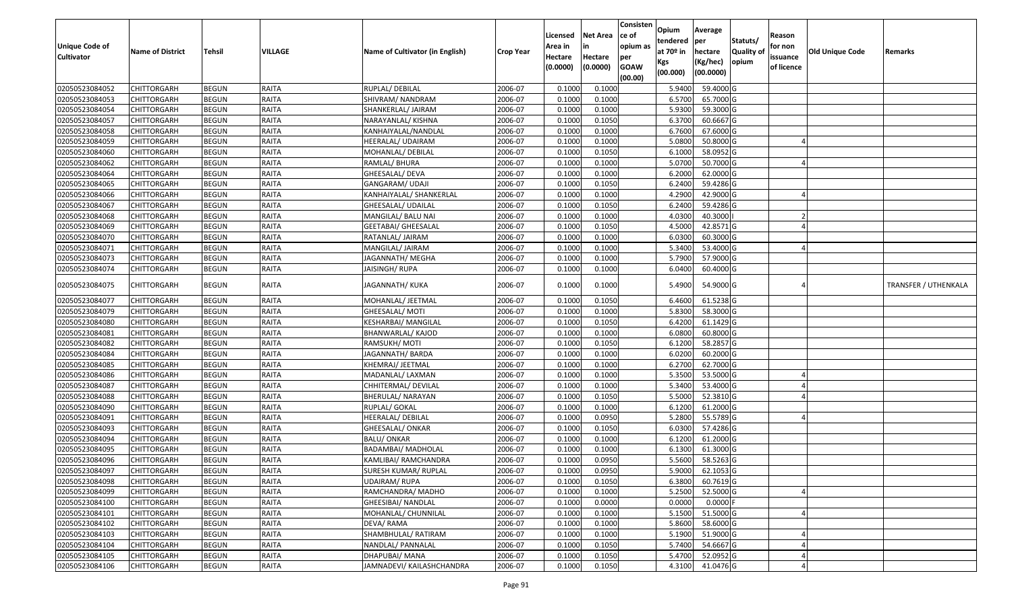| <b>Unique Code of</b><br><b>Cultivator</b> | <b>Name of District</b>    | Tehsil                       | <b>VILLAGE</b>               | Name of Cultivator (in English)    | <b>Crop Year</b>   | Licensed<br>Area in<br>Hectare | <b>Net Area</b><br>Hectare | Consisten<br>ce of<br>opium as<br>per | Opium<br>tendered<br>at $70°$ in<br>Kgs | Average<br>per<br>hectare<br>(Kg/hec) | Statuts/<br><b>Quality o</b><br>opium | Reason<br>for non<br>issuance | <b>Old Unique Code</b> | Remarks              |
|--------------------------------------------|----------------------------|------------------------------|------------------------------|------------------------------------|--------------------|--------------------------------|----------------------------|---------------------------------------|-----------------------------------------|---------------------------------------|---------------------------------------|-------------------------------|------------------------|----------------------|
|                                            |                            |                              |                              |                                    |                    | (0.0000)                       | (0.0000)                   | <b>GOAW</b><br>(00.00)                | (00.000)                                | (00.0000)                             |                                       | of licence                    |                        |                      |
| 02050523084052                             | CHITTORGARH                | <b>BEGUN</b>                 | RAITA                        | RUPLAL/ DEBILAL                    | 2006-07            | 0.1000                         | 0.1000                     |                                       | 5.9400                                  | 59.4000 G                             |                                       |                               |                        |                      |
| 02050523084053                             | CHITTORGARH                | <b>BEGUN</b>                 | RAITA                        | SHIVRAM/ NANDRAM                   | 2006-07            | 0.1000                         | 0.1000                     |                                       | 6.5700                                  | 65.7000G                              |                                       |                               |                        |                      |
| 02050523084054                             | CHITTORGARH                | <b>BEGUN</b>                 | <b>RAITA</b>                 | SHANKERLAL/ JAIRAM                 | 2006-07            | 0.1000                         | 0.1000                     |                                       | 5.9300                                  | 59.3000G                              |                                       |                               |                        |                      |
| 02050523084057                             | <b>CHITTORGARH</b>         | <b>BEGUN</b>                 | RAITA                        | NARAYANLAL/ KISHNA                 | 2006-07            | 0.1000                         | 0.1050                     |                                       | 6.3700                                  | 60.6667 G                             |                                       |                               |                        |                      |
| 02050523084058                             | CHITTORGARH                | <b>BEGUN</b>                 | <b>RAITA</b>                 | KANHAIYALAL/NANDLAL                | 2006-07            | 0.1000                         | 0.1000                     |                                       | 6.7600                                  | 67.6000 G                             |                                       |                               |                        |                      |
| 02050523084059                             | CHITTORGARH                | <b>BEGUN</b>                 | RAITA                        | HEERALAL/ UDAIRAM                  | 2006-07            | 0.1000                         | 0.1000                     |                                       | 5.0800                                  | 50.8000 G                             |                                       |                               |                        |                      |
| 02050523084060                             | CHITTORGARH                | <b>BEGUN</b>                 | RAITA                        | MOHANLAL/ DEBILAL                  | 2006-07            | 0.1000                         | 0.1050                     |                                       | 6.1000                                  | 58.0952G                              |                                       |                               |                        |                      |
| 02050523084062                             | CHITTORGARH                | <b>BEGUN</b>                 | RAITA                        | RAMLAL/ BHURA                      | 2006-07            | 0.1000                         | 0.1000                     |                                       | 5.0700                                  | 50.7000G                              |                                       |                               |                        |                      |
| 02050523084064                             | CHITTORGARH                | <b>BEGUN</b>                 | RAITA                        | GHEESALAL/ DEVA                    | 2006-07            | 0.1000                         | 0.1000                     |                                       | 6.2000                                  | 62.0000 G                             |                                       |                               |                        |                      |
| 02050523084065                             | CHITTORGARH                | <b>BEGUN</b>                 | RAITA                        | GANGARAM/ UDAJI                    | 2006-07            | 0.1000                         | 0.1050                     |                                       | 6.2400                                  | 59.4286 G                             |                                       |                               |                        |                      |
| 02050523084066                             | CHITTORGARH                | <b>BEGUN</b>                 | <b>RAITA</b>                 | KANHAIYALAL/ SHANKERLAL            | 2006-07            | 0.1000                         | 0.1000                     |                                       | 4.2900                                  | 42.9000G                              |                                       |                               |                        |                      |
| 02050523084067                             | CHITTORGARH                | <b>BEGUN</b>                 | <b>RAITA</b>                 | GHEESALAL/ UDAILAL                 | 2006-07            | 0.1000                         | 0.1050                     |                                       | 6.2400                                  | 59.4286 G                             |                                       |                               |                        |                      |
| 02050523084068                             | <b>CHITTORGARH</b>         | <b>BEGUN</b>                 | <b>RAITA</b>                 | MANGILAL/ BALU NAI                 | 2006-07            | 0.1000                         | 0.1000                     |                                       | 4.0300                                  | 40.3000                               |                                       |                               |                        |                      |
| 02050523084069                             | CHITTORGARH                | <b>BEGUN</b>                 | <b>RAITA</b>                 | <b>GEETABAI/ GHEESALAL</b>         | 2006-07            | 0.1000                         | 0.1050                     |                                       | 4.5000                                  | 42.8571 G                             |                                       |                               |                        |                      |
| 02050523084070                             | CHITTORGARH                | <b>BEGUN</b>                 | <b>RAITA</b>                 | RATANLAL/ JAIRAM                   | 2006-07            | 0.1000                         | 0.1000                     |                                       | 6.0300                                  | 60.3000G                              |                                       |                               |                        |                      |
| 02050523084071<br>02050523084073           | CHITTORGARH                | <b>BEGUN</b>                 | <b>RAITA</b>                 | MANGILAL/ JAIRAM                   | 2006-07            | 0.1000                         | 0.1000                     |                                       | 5.3400                                  | 53.4000 G                             |                                       |                               |                        |                      |
| 02050523084074                             | CHITTORGARH<br>CHITTORGARH | <b>BEGUN</b>                 | <b>RAITA</b><br>RAITA        | JAGANNATH/ MEGHA<br>JAISINGH/RUPA  | 2006-07            | 0.1000<br>0.1000               | 0.1000                     |                                       | 5.7900                                  | 57.9000 G                             |                                       |                               |                        |                      |
|                                            |                            | <b>BEGUN</b>                 |                              |                                    | 2006-07            |                                | 0.1000                     |                                       | 6.0400                                  | 60.4000 G                             |                                       |                               |                        |                      |
| 02050523084075                             | CHITTORGARH                | <b>BEGUN</b>                 | RAITA                        | JAGANNATH/ KUKA                    | 2006-07            | 0.1000                         | 0.1000                     |                                       | 5.4900                                  | 54.9000 G                             |                                       |                               |                        | TRANSFER / UTHENKALA |
| 02050523084077                             | CHITTORGARH                | <b>BEGUN</b>                 | RAITA                        | MOHANLAL/ JEETMAL                  | 2006-07            | 0.1000                         | 0.1050                     |                                       | 6.4600                                  | 61.5238 G                             |                                       |                               |                        |                      |
| 02050523084079                             | CHITTORGARH                | <b>BEGUN</b>                 | <b>RAITA</b>                 | GHEESALAL/ MOTI                    | 2006-07            | 0.1000                         | 0.1000                     |                                       | 5.8300                                  | 58.3000 G                             |                                       |                               |                        |                      |
| 02050523084080                             | CHITTORGARH                | <b>BEGUN</b>                 | RAITA                        | KESHARBAI/ MANGILAL                | 2006-07            | 0.1000                         | 0.1050                     |                                       | 6.4200                                  | 61.1429 G                             |                                       |                               |                        |                      |
| 02050523084081                             | CHITTORGARH                | <b>BEGUN</b>                 | <b>RAITA</b>                 | BHANWARLAL/ KAJOD                  | 2006-07            | 0.1000                         | 0.1000                     |                                       | 6.0800                                  | 60.8000 G                             |                                       |                               |                        |                      |
| 02050523084082                             | <b>CHITTORGARH</b>         | <b>BEGUN</b>                 | RAITA                        | RAMSUKH/MOTI                       | 2006-07            | 0.1000                         | 0.1050                     |                                       | 6.1200                                  | 58.2857 G                             |                                       |                               |                        |                      |
| 02050523084084                             | CHITTORGARH                | <b>BEGUN</b>                 | RAITA                        | JAGANNATH/ BARDA                   | 2006-07            | 0.1000                         | 0.1000                     |                                       | 6.0200                                  | 60.2000 G                             |                                       |                               |                        |                      |
| 02050523084085                             | CHITTORGARH                | <b>BEGUN</b>                 | RAITA                        | KHEMRAJ/ JEETMAL                   | 2006-07            | 0.1000                         | 0.1000                     |                                       | 6.2700                                  | 62.7000 G                             |                                       |                               |                        |                      |
| 02050523084086                             | CHITTORGARH                | <b>BEGUN</b>                 | <b>RAITA</b>                 | MADANLAL/ LAXMAN                   | 2006-07            | 0.1000                         | 0.1000                     |                                       | 5.3500                                  | 53.5000 G                             |                                       |                               |                        |                      |
| 02050523084087                             | CHITTORGARH                | <b>BEGUN</b>                 | <b>RAITA</b><br><b>RAITA</b> | CHHITERMAL/ DEVILAL                | 2006-07            | 0.1000<br>0.1000               | 0.1000                     |                                       | 5.3400<br>5.5000                        | 53.4000 G<br>52.3810 G                |                                       |                               |                        |                      |
| 02050523084088<br>02050523084090           | CHITTORGARH<br>CHITTORGARH | <b>BEGUN</b><br><b>BEGUN</b> | <b>RAITA</b>                 | BHERULAL/ NARAYAN<br>RUPLAL/ GOKAL | 2006-07<br>2006-07 | 0.1000                         | 0.1050<br>0.1000           |                                       | 6.1200                                  | 61.2000 G                             |                                       |                               |                        |                      |
| 02050523084091                             |                            | <b>BEGUN</b>                 | <b>RAITA</b>                 | HEERALAL/DEBILAL                   | 2006-07            | 0.1000                         | 0.0950                     |                                       | 5.2800                                  | 55.5789 G                             |                                       |                               |                        |                      |
| 02050523084093                             | CHITTORGARH<br>CHITTORGARH | <b>BEGUN</b>                 | <b>RAITA</b>                 | GHEESALAL/ ONKAR                   | 2006-07            | 0.1000                         | 0.1050                     |                                       | 6.0300                                  | 57.4286 G                             |                                       |                               |                        |                      |
| 02050523084094                             | <b>CHITTORGARH</b>         | <b>BEGUN</b>                 | <b>RAITA</b>                 | <b>BALU/ ONKAR</b>                 | 2006-07            | 0.1000                         | 0.1000                     |                                       | 6.1200                                  | 61.2000 G                             |                                       |                               |                        |                      |
| 02050523084095                             | CHITTORGARH                | <b>BEGUN</b>                 | <b>RAITA</b>                 | <b>BADAMBAI/ MADHOLAL</b>          | 2006-07            | 0.1000                         | 0.1000                     |                                       | 6.1300                                  | 61.3000G                              |                                       |                               |                        |                      |
| 02050523084096                             | CHITTORGARH                | <b>BEGUN</b>                 | RAITA                        | KAMLIBAI/ RAMCHANDRA               | 2006-07            | 0.1000                         | 0.0950                     |                                       | 5.5600                                  | 58.5263 G                             |                                       |                               |                        |                      |
| 02050523084097                             | <b>CHITTORGARH</b>         | <b>BEGUN</b>                 | RAITA                        | SURESH KUMAR/ RUPLAL               | 2006-07            | 0.1000                         | 0.0950                     |                                       | 5.9000                                  | 62.1053 G                             |                                       |                               |                        |                      |
| 02050523084098                             | <b>CHITTORGARH</b>         | <b>BEGUN</b>                 | RAITA                        | UDAIRAM/ RUPA                      | 2006-07            | 0.1000                         | 0.1050                     |                                       | 6.3800                                  | 60.7619 G                             |                                       |                               |                        |                      |
| 02050523084099                             | <b>CHITTORGARH</b>         | <b>BEGUN</b>                 | <b>RAITA</b>                 | RAMCHANDRA/ MADHO                  | 2006-07            | 0.1000                         | 0.1000                     |                                       | 5.2500                                  | 52.5000 G                             |                                       |                               |                        |                      |
| 02050523084100                             | <b>CHITTORGARH</b>         | <b>BEGUN</b>                 | <b>RAITA</b>                 | GHEESIBAI/ NANDLAL                 | 2006-07            | 0.1000                         | 0.0000                     |                                       | 0.0000                                  | $0.0000$ F                            |                                       |                               |                        |                      |
| 02050523084101                             | CHITTORGARH                | <b>BEGUN</b>                 | RAITA                        | MOHANLAL/ CHUNNILAL                | 2006-07            | 0.1000                         | 0.1000                     |                                       | 5.1500                                  | 51.5000 G                             |                                       |                               |                        |                      |
| 02050523084102                             | <b>CHITTORGARH</b>         | <b>BEGUN</b>                 | <b>RAITA</b>                 | DEVA/RAMA                          | 2006-07            | 0.1000                         | 0.1000                     |                                       | 5.8600                                  | 58.6000 G                             |                                       |                               |                        |                      |
| 02050523084103                             | <b>CHITTORGARH</b>         | <b>BEGUN</b>                 | <b>RAITA</b>                 | SHAMBHULAL/ RATIRAM                | 2006-07            | 0.1000                         | 0.1000                     |                                       | 5.1900                                  | 51.9000 G                             |                                       |                               |                        |                      |
| 02050523084104                             | CHITTORGARH                | <b>BEGUN</b>                 | <b>RAITA</b>                 | NANDLAL/ PANNALAL                  | 2006-07            | 0.1000                         | 0.1050                     |                                       | 5.7400                                  | 54.6667 G                             |                                       |                               |                        |                      |
| 02050523084105                             | CHITTORGARH                | <b>BEGUN</b>                 | <b>RAITA</b>                 | DHAPUBAI/ MANA                     | 2006-07            | 0.1000                         | 0.1050                     |                                       | 5.4700                                  | 52.0952 G                             |                                       |                               |                        |                      |
| 02050523084106                             | <b>CHITTORGARH</b>         | <b>BEGUN</b>                 | RAITA                        | JAMNADEVI/ KAILASHCHANDRA          | 2006-07            | 0.1000                         | 0.1050                     |                                       | 4.3100                                  | 41.0476 G                             |                                       |                               |                        |                      |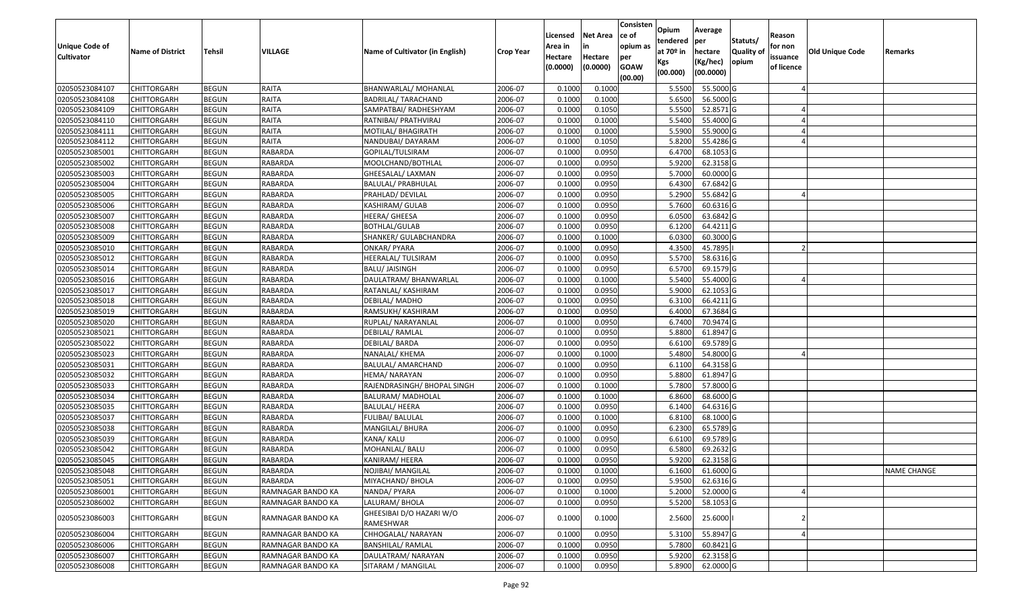| <b>Unique Code of</b> |                         |              |                   |                                       |                  | Licensed<br>Area in | <b>Net Area</b><br>in | Consisten<br>ce of<br>opium as | Opium<br>tendered              | Average<br>per                   | Statuts/                  | Reason<br>for non      |                 |                    |
|-----------------------|-------------------------|--------------|-------------------|---------------------------------------|------------------|---------------------|-----------------------|--------------------------------|--------------------------------|----------------------------------|---------------------------|------------------------|-----------------|--------------------|
| <b>Cultivator</b>     | <b>Name of District</b> | Tehsil       | VILLAGE           | Name of Cultivator (in English)       | <b>Crop Year</b> | Hectare<br>(0.0000) | Hectare<br>(0.0000)   | per<br><b>GOAW</b><br>(00.00)  | at $70°$ in<br>Kgs<br>(00.000) | hectare<br>(Kg/hec)<br>(00.0000) | <b>Quality o</b><br>opium | issuance<br>of licence | Old Unique Code | Remarks            |
| 02050523084107        | CHITTORGARH             | <b>BEGUN</b> | RAITA             | BHANWARLAL/ MOHANLAL                  | 2006-07          | 0.1000              | 0.1000                |                                | 5.5500                         | 55.5000G                         |                           |                        |                 |                    |
| 02050523084108        | CHITTORGARH             | <b>BEGUN</b> | RAITA             | <b>BADRILAL/ TARACHAND</b>            | 2006-07          | 0.1000              | 0.1000                |                                | 5.6500                         | 56.5000G                         |                           |                        |                 |                    |
| 02050523084109        | CHITTORGARH             | <b>BEGUN</b> | <b>RAITA</b>      | SAMPATBAI/ RADHESHYAM                 | 2006-07          | 0.1000              | 0.1050                |                                | 5.5500                         | 52.8571G                         |                           |                        |                 |                    |
| 02050523084110        | <b>CHITTORGARH</b>      | <b>BEGUN</b> | RAITA             | RATNIBAI/ PRATHVIRAJ                  | 2006-07          | 0.1000              | 0.1000                |                                | 5.5400                         | 55.4000 G                        |                           |                        |                 |                    |
| 02050523084111        | CHITTORGARH             | <b>BEGUN</b> | RAITA             | MOTILAL/ BHAGIRATH                    | 2006-07          | 0.1000              | 0.1000                |                                | 5.5900                         | 55.9000G                         |                           |                        |                 |                    |
| 02050523084112        | CHITTORGARH             | <b>BEGUN</b> | RAITA             | NANDUBAI/DAYARAM                      | 2006-07          | 0.1000              | 0.1050                |                                | 5.8200                         | $\overline{55.4286}$ G           |                           |                        |                 |                    |
| 02050523085001        | CHITTORGARH             | <b>BEGUN</b> | RABARDA           | GOPILAL/TULSIRAM                      | 2006-07          | 0.1000              | 0.0950                |                                | 6.4700                         | 68.1053 G                        |                           |                        |                 |                    |
| 02050523085002        | CHITTORGARH             | <b>BEGUN</b> | RABARDA           | MOOLCHAND/BOTHLAL                     | 2006-07          | 0.1000              | 0.0950                |                                | 5.9200                         | 62.3158 G                        |                           |                        |                 |                    |
| 02050523085003        | CHITTORGARH             | <b>BEGUN</b> | RABARDA           | GHEESALAL/ LAXMAN                     | 2006-07          | 0.1000              | 0.0950                |                                | 5.7000                         | 60.0000G                         |                           |                        |                 |                    |
| 02050523085004        | CHITTORGARH             | <b>BEGUN</b> | RABARDA           | <b>BALULAL/ PRABHULAL</b>             | 2006-07          | 0.1000              | 0.0950                |                                | 6.4300                         | 67.6842 G                        |                           |                        |                 |                    |
| 02050523085005        | CHITTORGARH             | <b>BEGUN</b> | RABARDA           | PRAHLAD/ DEVILAL                      | 2006-07          | 0.1000              | 0.0950                |                                | 5.2900                         | 55.6842 G                        |                           |                        |                 |                    |
| 02050523085006        | <b>CHITTORGARH</b>      | <b>BEGUN</b> | RABARDA           | KASHIRAM/ GULAB                       | 2006-07          | 0.1000              | 0.0950                |                                | 5.7600                         | 60.6316 G                        |                           |                        |                 |                    |
| 02050523085007        | <b>CHITTORGARH</b>      | <b>BEGUN</b> | RABARDA           | HEERA/ GHEESA                         | 2006-07          | 0.1000              | 0.0950                |                                | 6.0500                         | 63.6842 G                        |                           |                        |                 |                    |
| 02050523085008        | <b>CHITTORGARH</b>      | <b>BEGUN</b> | RABARDA           | BOTHLAL/GULAB                         | 2006-07          | 0.1000              | 0.0950                |                                | 6.1200                         | 64.4211 G                        |                           |                        |                 |                    |
| 02050523085009        | CHITTORGARH             | <b>BEGUN</b> | RABARDA           | SHANKER/ GULABCHANDRA                 | 2006-07          | 0.1000              | 0.1000                |                                | 6.0300                         | 60.3000 G                        |                           |                        |                 |                    |
| 02050523085010        | CHITTORGARH             | <b>BEGUN</b> | RABARDA           | ONKAR/ PYARA                          | 2006-07          | 0.1000              | 0.0950                |                                | 4.3500                         | 45.7895                          |                           |                        |                 |                    |
| 02050523085012        | CHITTORGARH             | <b>BEGUN</b> | RABARDA           | HEERALAL/ TULSIRAM                    | 2006-07          | 0.1000              | 0.0950                |                                | 5.5700                         | 58.6316 G                        |                           |                        |                 |                    |
| 02050523085014        | CHITTORGARH             | <b>BEGUN</b> | RABARDA           | BALU/ JAISINGH                        | 2006-07          | 0.1000              | 0.0950                |                                | 6.5700                         | 69.1579 G                        |                           |                        |                 |                    |
| 02050523085016        | CHITTORGARH             | <b>BEGUN</b> | RABARDA           | DAULATRAM/ BHANWARLAL                 | 2006-07          | 0.1000              | 0.1000                |                                | 5.5400                         | 55.4000 G                        |                           |                        |                 |                    |
| 02050523085017        | CHITTORGARH             | <b>BEGUN</b> | RABARDA           | RATANLAL/ KASHIRAM                    | 2006-07          | 0.1000              | 0.0950                |                                | 5.9000                         | 62.1053 G                        |                           |                        |                 |                    |
| 02050523085018        | CHITTORGARH             | <b>BEGUN</b> | <b>RABARDA</b>    | DEBILAL/MADHO                         | 2006-07          | 0.1000              | 0.0950                |                                | 6.3100                         | 66.4211G                         |                           |                        |                 |                    |
| 02050523085019        | CHITTORGARH             | <b>BEGUN</b> | RABARDA           | RAMSUKH/ KASHIRAM                     | 2006-07          | 0.1000              | 0.0950                |                                | 6.4000                         | 67.3684 G                        |                           |                        |                 |                    |
| 02050523085020        | CHITTORGARH             | <b>BEGUN</b> | <b>RABARDA</b>    | RUPLAL/ NARAYANLAL                    | 2006-07          | 0.1000              | 0.0950                |                                | 6.7400                         | 70.9474 G                        |                           |                        |                 |                    |
| 02050523085021        | CHITTORGARH             | <b>BEGUN</b> | RABARDA           | DEBILAL/RAMLAL                        | 2006-07          | 0.1000              | 0.0950                |                                | 5.8800                         | 61.8947 G                        |                           |                        |                 |                    |
| 02050523085022        | <b>CHITTORGARH</b>      | <b>BEGUN</b> | RABARDA           | DEBILAL/ BARDA                        | 2006-07          | 0.1000              | 0.0950                |                                | 6.6100                         | 69.5789 G                        |                           |                        |                 |                    |
| 02050523085023        | CHITTORGARH             | <b>BEGUN</b> | RABARDA           | NANALAL/ KHEMA                        | 2006-07          | 0.1000              | 0.1000                |                                | 5.4800                         | 54.8000 G                        |                           |                        |                 |                    |
| 02050523085031        | CHITTORGARH             | <b>BEGUN</b> | <b>RABARDA</b>    | BALULAL/ AMARCHAND                    | 2006-07          | 0.1000              | 0.0950                |                                | 6.1100                         | 64.3158 G                        |                           |                        |                 |                    |
| 02050523085032        | CHITTORGARH             | <b>BEGUN</b> | RABARDA           | HEMA/ NARAYAN                         | 2006-07          | 0.1000              | 0.0950                |                                | 5.8800                         | 61.8947 G                        |                           |                        |                 |                    |
| 02050523085033        | CHITTORGARH             | <b>BEGUN</b> | <b>RABARDA</b>    | RAJENDRASINGH/ BHOPAL SINGH           | 2006-07          | 0.1000              | 0.1000                |                                | 5.7800                         | 57.8000 G                        |                           |                        |                 |                    |
| 02050523085034        | CHITTORGARH             | <b>BEGUN</b> | RABARDA           | BALURAM/ MADHOLAL                     | 2006-07          | 0.1000              | 0.1000                |                                | 6.8600                         | 68.6000 G                        |                           |                        |                 |                    |
| 02050523085035        | CHITTORGARH             | <b>BEGUN</b> | RABARDA           | <b>BALULAL/ HEERA</b>                 | 2006-07          | 0.1000              | 0.0950                |                                | 6.1400                         | 64.6316 G                        |                           |                        |                 |                    |
| 02050523085037        | CHITTORGARH             | <b>BEGUN</b> | RABARDA           | FULIBAI/ BALULAL                      | 2006-07          | 0.1000              | 0.1000                |                                | 6.8100                         | 68.1000 G                        |                           |                        |                 |                    |
| 02050523085038        | CHITTORGARH             | <b>BEGUN</b> | RABARDA           | MANGILAL/ BHURA                       | 2006-07          | 0.1000              | 0.0950                |                                | 6.2300                         | 65.5789 G                        |                           |                        |                 |                    |
| 02050523085039        | CHITTORGARH             | <b>BEGUN</b> | RABARDA           | KANA/ KALU                            | 2006-07          | 0.1000              | 0.0950                |                                | 6.6100                         | 69.5789 G                        |                           |                        |                 |                    |
| 02050523085042        | CHITTORGARH             | <b>BEGUN</b> | RABARDA           | MOHANLAL/ BALU                        | 2006-07          | 0.1000              | 0.0950                |                                | 6.5800                         | 69.2632 G                        |                           |                        |                 |                    |
| 02050523085045        | CHITTORGARH             | <b>BEGUN</b> | RABARDA           | KANIRAM/ HEERA                        | 2006-07          | 0.1000              | 0.0950                |                                | 5.9200                         | 62.3158 G                        |                           |                        |                 |                    |
| 02050523085048        | <b>CHITTORGARH</b>      | <b>BEGUN</b> | RABARDA           | NOJIBAI/ MANGILAL                     | 2006-07          | 0.1000              | 0.1000                |                                | 6.1600                         | 61.6000 G                        |                           |                        |                 | <b>NAME CHANGE</b> |
| 02050523085051        | <b>CHITTORGARH</b>      | <b>BEGUN</b> | RABARDA           | MIYACHAND/ BHOLA                      | 2006-07          | 0.1000              | 0.0950                |                                | 5.9500                         | 62.6316 G                        |                           |                        |                 |                    |
| 02050523086001        | <b>CHITTORGARH</b>      | <b>BEGUN</b> | RAMNAGAR BANDO KA | NANDA/ PYARA                          | 2006-07          | 0.1000              | 0.1000                |                                | 5.2000                         | 52.0000 G                        |                           |                        |                 |                    |
| 02050523086002        | <b>CHITTORGARH</b>      | <b>BEGUN</b> | RAMNAGAR BANDO KA | LALURAM/ BHOLA                        | 2006-07          | 0.1000              | 0.0950                |                                | 5.5200                         | 58.1053 G                        |                           |                        |                 |                    |
| 02050523086003        | <b>CHITTORGARH</b>      | <b>BEGUN</b> | RAMNAGAR BANDO KA | GHEESIBAI D/O HAZARI W/O<br>RAMESHWAR | 2006-07          | 0.1000              | 0.1000                |                                | 2.5600                         | 25.6000                          |                           |                        |                 |                    |
| 02050523086004        | <b>CHITTORGARH</b>      | <b>BEGUN</b> | RAMNAGAR BANDO KA | CHHOGALAL/ NARAYAN                    | 2006-07          | 0.1000              | 0.0950                |                                | 5.3100                         | 55.8947 G                        |                           |                        |                 |                    |
| 02050523086006        | CHITTORGARH             | <b>BEGUN</b> | RAMNAGAR BANDO KA | <b>BANSHILAL/ RAMLAL</b>              | 2006-07          | 0.1000              | 0.0950                |                                | 5.7800                         | 60.8421 G                        |                           |                        |                 |                    |
| 02050523086007        | CHITTORGARH             | <b>BEGUN</b> | RAMNAGAR BANDO KA | DAULATRAM/ NARAYAN                    | 2006-07          | 0.1000              | 0.0950                |                                | 5.9200                         | 62.3158 G                        |                           |                        |                 |                    |
| 02050523086008        | <b>CHITTORGARH</b>      | <b>BEGUN</b> | RAMNAGAR BANDO KA | SITARAM / MANGILAL                    | 2006-07          | 0.1000              | 0.0950                |                                | 5.8900                         | 62.0000 G                        |                           |                        |                 |                    |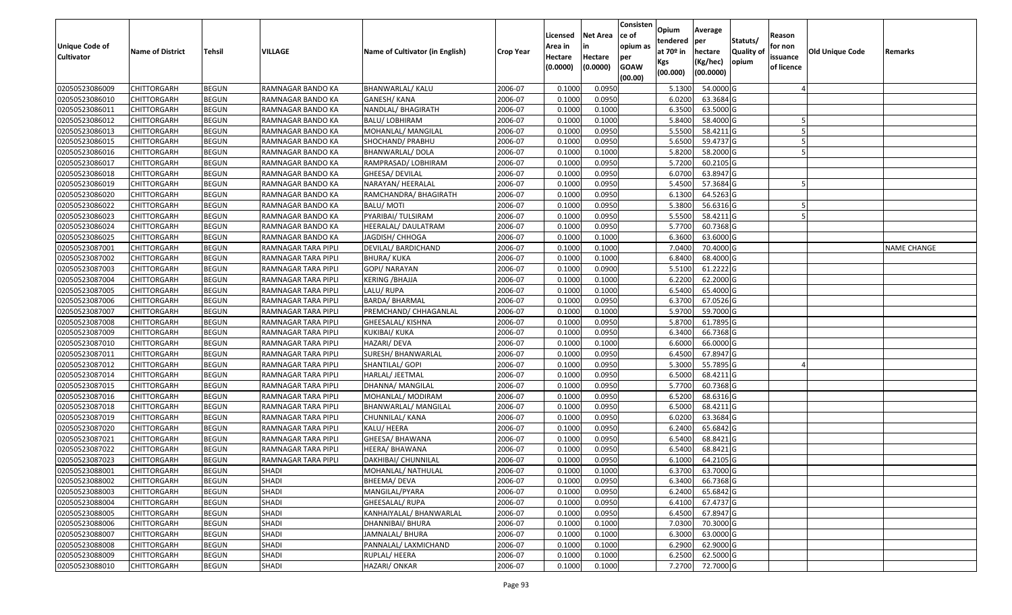| <b>Unique Code of</b><br><b>Cultivator</b> | <b>Name of District</b> | <b>Tehsil</b> | VILLAGE             | Name of Cultivator (in English) | <b>Crop Year</b> | Licensed<br>Area in<br>Hectare<br>(0.0000) | <b>Net Area</b><br>in<br>Hectare<br>(0.0000) | Consisten<br>ce of<br>opium as<br>per<br><b>GOAW</b><br>(00.00) | Opium<br>tendered<br>at $70°$ in<br>Kgs<br>(00.000) | Average<br>per<br>hectare<br>(Kg/hec)<br>(00.0000) | Statuts/<br>Quality of<br>opium | Reason<br>for non<br>issuance<br>of licence | <b>Old Unique Code</b> | Remarks            |
|--------------------------------------------|-------------------------|---------------|---------------------|---------------------------------|------------------|--------------------------------------------|----------------------------------------------|-----------------------------------------------------------------|-----------------------------------------------------|----------------------------------------------------|---------------------------------|---------------------------------------------|------------------------|--------------------|
| 02050523086009                             | <b>CHITTORGARH</b>      | <b>BEGUN</b>  | RAMNAGAR BANDO KA   | BHANWARLAL/ KALU                | 2006-07          | 0.1000                                     | 0.0950                                       |                                                                 | 5.1300                                              | 54.0000G                                           |                                 |                                             |                        |                    |
| 02050523086010                             | CHITTORGARH             | <b>BEGUN</b>  | RAMNAGAR BANDO KA   | GANESH/ KANA                    | 2006-07          | 0.1000                                     | 0.0950                                       |                                                                 | 6.0200                                              | 63.3684 G                                          |                                 |                                             |                        |                    |
| 02050523086011                             | CHITTORGARH             | <b>BEGUN</b>  | RAMNAGAR BANDO KA   | NANDLAL/ BHAGIRATH              | 2006-07          | 0.1000                                     | 0.1000                                       |                                                                 | 6.3500                                              | 63.5000G                                           |                                 |                                             |                        |                    |
| 02050523086012                             | <b>CHITTORGARH</b>      | <b>BEGUN</b>  | RAMNAGAR BANDO KA   | <b>BALU/ LOBHIRAM</b>           | 2006-07          | 0.1000                                     | 0.1000                                       |                                                                 | 5.8400                                              | 58.4000 G                                          |                                 |                                             |                        |                    |
| 02050523086013                             | <b>CHITTORGARH</b>      | <b>BEGUN</b>  | RAMNAGAR BANDO KA   | MOHANLAL/ MANGILAL              | 2006-07          | 0.1000                                     | 0.0950                                       |                                                                 | 5.5500                                              | 58.4211 G                                          |                                 |                                             |                        |                    |
| 02050523086015                             | CHITTORGARH             | <b>BEGUN</b>  | RAMNAGAR BANDO KA   | SHOCHAND/ PRABHU                | 2006-07          | 0.1000                                     | 0.0950                                       |                                                                 | 5.6500                                              | 59.4737 G                                          |                                 |                                             |                        |                    |
| 02050523086016                             | CHITTORGARH             | <b>BEGUN</b>  | RAMNAGAR BANDO KA   | BHANWARLAL/ DOLA                | 2006-07          | 0.1000                                     | 0.1000                                       |                                                                 | 5.8200                                              | 58.2000 G                                          |                                 |                                             |                        |                    |
| 02050523086017                             | CHITTORGARH             | <b>BEGUN</b>  | RAMNAGAR BANDO KA   | RAMPRASAD/ LOBHIRAM             | 2006-07          | 0.1000                                     | 0.0950                                       |                                                                 | 5.7200                                              | 60.2105 G                                          |                                 |                                             |                        |                    |
| 02050523086018                             | CHITTORGARH             | <b>BEGUN</b>  | RAMNAGAR BANDO KA   | GHEESA/ DEVILAL                 | 2006-07          | 0.1000                                     | 0.0950                                       |                                                                 | 6.0700                                              | 63.8947 G                                          |                                 |                                             |                        |                    |
| 02050523086019                             | CHITTORGARH             | <b>BEGUN</b>  | RAMNAGAR BANDO KA   | NARAYAN/ HEERALAL               | 2006-07          | 0.1000                                     | 0.0950                                       |                                                                 | 5.4500                                              | 57.3684 G                                          |                                 |                                             |                        |                    |
| 02050523086020                             | CHITTORGARH             | <b>BEGUN</b>  | RAMNAGAR BANDO KA   | RAMCHANDRA/ BHAGIRATH           | 2006-07          | 0.1000                                     | 0.0950                                       |                                                                 | 6.1300                                              | $\overline{64.5263}$ G                             |                                 |                                             |                        |                    |
| 02050523086022                             | CHITTORGARH             | <b>BEGUN</b>  | RAMNAGAR BANDO KA   | <b>BALU/MOTI</b>                | 2006-07          | 0.1000                                     | 0.0950                                       |                                                                 | 5.3800                                              | 56.6316 G                                          |                                 |                                             |                        |                    |
| 02050523086023                             | CHITTORGARH             | <b>BEGUN</b>  | RAMNAGAR BANDO KA   | PYARIBAI/ TULSIRAM              | 2006-07          | 0.1000                                     | 0.0950                                       |                                                                 | 5.5500                                              | 58.4211 G                                          |                                 |                                             |                        |                    |
| 02050523086024                             | CHITTORGARH             | <b>BEGUN</b>  | RAMNAGAR BANDO KA   | HEERALAL/ DAULATRAM             | 2006-07          | 0.1000                                     | 0.0950                                       |                                                                 | 5.7700                                              | 60.7368 G                                          |                                 |                                             |                        |                    |
| 02050523086025                             | CHITTORGARH             | <b>BEGUN</b>  | RAMNAGAR BANDO KA   | JAGDISH/ CHHOGA                 | 2006-07          | 0.1000                                     | 0.1000                                       |                                                                 | 6.3600                                              | 63.6000 G                                          |                                 |                                             |                        |                    |
| 02050523087001                             | CHITTORGARH             | <b>BEGUN</b>  | RAMNAGAR TARA PIPLI | DEVILAL/ BARDICHAND             | 2006-07          | 0.1000                                     | 0.1000                                       |                                                                 | 7.0400                                              | 70.4000 G                                          |                                 |                                             |                        | <b>NAME CHANGE</b> |
| 02050523087002                             | CHITTORGARH             | <b>BEGUN</b>  | RAMNAGAR TARA PIPLI | <b>BHURA/ KUKA</b>              | 2006-07          | 0.1000                                     | 0.1000                                       |                                                                 | 6.8400                                              | 68.4000 G                                          |                                 |                                             |                        |                    |
| 02050523087003                             | CHITTORGARH             | <b>BEGUN</b>  | RAMNAGAR TARA PIPLI | GOPI/ NARAYAN                   | 2006-07          | 0.1000                                     | 0.0900                                       |                                                                 | 5.5100                                              | $61.2222$ G                                        |                                 |                                             |                        |                    |
| 02050523087004                             | <b>CHITTORGARH</b>      | <b>BEGUN</b>  | RAMNAGAR TARA PIPLI | <b>KERING / BHAJJA</b>          | 2006-07          | 0.1000                                     | 0.1000                                       |                                                                 | 6.2200                                              | 62.2000 G                                          |                                 |                                             |                        |                    |
| 02050523087005                             | CHITTORGARH             | <b>BEGUN</b>  | RAMNAGAR TARA PIPLI | LALU/RUPA                       | 2006-07          | 0.1000                                     | 0.1000                                       |                                                                 | 6.5400                                              | 65.4000 G                                          |                                 |                                             |                        |                    |
| 02050523087006                             | <b>CHITTORGARH</b>      | <b>BEGUN</b>  | RAMNAGAR TARA PIPLI | <b>BARDA/ BHARMAL</b>           | 2006-07          | 0.1000                                     | 0.0950                                       |                                                                 | 6.3700                                              | 67.0526 G                                          |                                 |                                             |                        |                    |
| 02050523087007                             | CHITTORGARH             | <b>BEGUN</b>  | RAMNAGAR TARA PIPLI | PREMCHAND/ CHHAGANLAL           | 2006-07          | 0.1000                                     | 0.1000                                       |                                                                 | 5.9700                                              | 59.7000G                                           |                                 |                                             |                        |                    |
| 02050523087008                             | CHITTORGARH             | <b>BEGUN</b>  | RAMNAGAR TARA PIPLI | GHEESALAL/ KISHNA               | 2006-07          | 0.1000                                     | 0.0950                                       |                                                                 | 5.8700                                              | 61.7895 G                                          |                                 |                                             |                        |                    |
| 02050523087009                             | CHITTORGARH             | <b>BEGUN</b>  | RAMNAGAR TARA PIPLI | KUKIBAI/ KUKA                   | 2006-07          | 0.1000                                     | 0.0950                                       |                                                                 | 6.3400                                              | 66.7368 G                                          |                                 |                                             |                        |                    |
| 02050523087010                             | <b>CHITTORGARH</b>      | <b>BEGUN</b>  | RAMNAGAR TARA PIPLI | HAZARI/ DEVA                    | 2006-07          | 0.1000                                     | 0.1000                                       |                                                                 | 6.6000                                              | 66.0000G                                           |                                 |                                             |                        |                    |
| 02050523087011                             | CHITTORGARH             | <b>BEGUN</b>  | RAMNAGAR TARA PIPLI | SURESH/ BHANWARLAL              | 2006-07          | 0.1000                                     | 0.0950                                       |                                                                 | 6.4500                                              | 67.8947 G                                          |                                 |                                             |                        |                    |
| 02050523087012                             | CHITTORGARH             | <b>BEGUN</b>  | RAMNAGAR TARA PIPLI | SHANTILAL/ GOPI                 | 2006-07          | 0.1000                                     | 0.0950                                       |                                                                 | 5.3000                                              | 55.7895 G                                          |                                 |                                             |                        |                    |
| 02050523087014                             | CHITTORGARH             | <b>BEGUN</b>  | RAMNAGAR TARA PIPLI | HARLAL/ JEETMAL                 | 2006-07          | 0.1000                                     | 0.0950                                       |                                                                 | 6.5000                                              | 68.4211 G                                          |                                 |                                             |                        |                    |
| 02050523087015                             | <b>CHITTORGARH</b>      | <b>BEGUN</b>  | RAMNAGAR TARA PIPLI | DHANNA/ MANGILAL                | 2006-07          | 0.1000                                     | 0.0950                                       |                                                                 | 5.7700                                              | 60.7368 G                                          |                                 |                                             |                        |                    |
| 02050523087016                             | <b>CHITTORGARH</b>      | <b>BEGUN</b>  | RAMNAGAR TARA PIPLI | MOHANLAL/ MODIRAM               | 2006-07          | 0.1000                                     | 0.0950                                       |                                                                 | 6.5200                                              | 68.6316 G                                          |                                 |                                             |                        |                    |
| 02050523087018                             | <b>CHITTORGARH</b>      | <b>BEGUN</b>  | RAMNAGAR TARA PIPLI | <b>BHANWARLAL/ MANGILAL</b>     | 2006-07          | 0.1000                                     | 0.0950                                       |                                                                 | 6.5000                                              | 68.4211 G                                          |                                 |                                             |                        |                    |
| 02050523087019                             | CHITTORGARH             | <b>BEGUN</b>  | RAMNAGAR TARA PIPLI | CHUNNILAL/ KANA                 | 2006-07          | 0.1000                                     | 0.0950                                       |                                                                 | 6.0200                                              | 63.3684 G                                          |                                 |                                             |                        |                    |
| 02050523087020                             | <b>CHITTORGARH</b>      | <b>BEGUN</b>  | RAMNAGAR TARA PIPLI | KALU/ HEERA                     | 2006-07          | 0.1000                                     | 0.0950                                       |                                                                 | 6.2400                                              | 65.6842 G                                          |                                 |                                             |                        |                    |
| 02050523087021                             | CHITTORGARH             | <b>BEGUN</b>  | RAMNAGAR TARA PIPLI | GHEESA/ BHAWANA                 | 2006-07          | 0.1000                                     | 0.0950                                       |                                                                 | 6.5400                                              | 68.8421 G                                          |                                 |                                             |                        |                    |
| 02050523087022                             | CHITTORGARH             | <b>BEGUN</b>  | RAMNAGAR TARA PIPLI | HEERA/ BHAWANA                  | 2006-07          | 0.1000                                     | 0.0950                                       |                                                                 | 6.5400                                              | 68.8421 G                                          |                                 |                                             |                        |                    |
| 02050523087023                             | CHITTORGARH             | <b>BEGUN</b>  | RAMNAGAR TARA PIPLI | DAKHIBAI/ CHUNNILAL             | 2006-07          | 0.1000                                     | 0.0950                                       |                                                                 | 6.1000                                              | 64.2105 G                                          |                                 |                                             |                        |                    |
| 02050523088001                             | <b>CHITTORGARH</b>      | <b>BEGUN</b>  | SHADI               | MOHANLAL/ NATHULAL              | 2006-07          | 0.1000                                     | 0.1000                                       |                                                                 | 6.3700                                              | 63.7000 G                                          |                                 |                                             |                        |                    |
| 02050523088002                             | <b>CHITTORGARH</b>      | <b>BEGUN</b>  | <b>SHADI</b>        | BHEEMA/ DEVA                    | 2006-07          | 0.1000                                     | 0.0950                                       |                                                                 | 6.3400                                              | 66.7368 G                                          |                                 |                                             |                        |                    |
| 02050523088003                             | <b>CHITTORGARH</b>      | <b>BEGUN</b>  | SHADI               | MANGILAL/PYARA                  | 2006-07          | 0.1000                                     | 0.0950                                       |                                                                 | 6.2400                                              | 65.6842 G                                          |                                 |                                             |                        |                    |
| 02050523088004                             | <b>CHITTORGARH</b>      | <b>BEGUN</b>  | SHADI               | GHEESALAL/RUPA                  | 2006-07          | 0.1000                                     | 0.0950                                       |                                                                 | 6.4100                                              | 67.4737 G                                          |                                 |                                             |                        |                    |
| 02050523088005                             | <b>CHITTORGARH</b>      | <b>BEGUN</b>  | SHADI               | KANHAIYALAL/ BHANWARLAL         | 2006-07          | 0.1000                                     | 0.0950                                       |                                                                 | 6.4500                                              | 67.8947 G                                          |                                 |                                             |                        |                    |
| 02050523088006                             | <b>CHITTORGARH</b>      | <b>BEGUN</b>  | <b>SHADI</b>        | DHANNIBAI/ BHURA                | 2006-07          | 0.1000                                     | 0.1000                                       |                                                                 | 7.0300                                              | 70.3000 G                                          |                                 |                                             |                        |                    |
| 02050523088007                             | <b>CHITTORGARH</b>      | <b>BEGUN</b>  | <b>SHADI</b>        | JAMNALAL/ BHURA                 | 2006-07          | 0.1000                                     | 0.1000                                       |                                                                 | 6.3000                                              | 63.0000 G                                          |                                 |                                             |                        |                    |
| 02050523088008                             | <b>CHITTORGARH</b>      | <b>BEGUN</b>  | SHADI               | PANNALAL/ LAXMICHAND            | 2006-07          | 0.1000                                     | 0.1000                                       |                                                                 | 6.2900                                              | 62.9000 G                                          |                                 |                                             |                        |                    |
| 02050523088009                             | <b>CHITTORGARH</b>      | <b>BEGUN</b>  | SHADI               | RUPLAL/HEERA                    | 2006-07          | 0.1000                                     | 0.1000                                       |                                                                 | 6.2500                                              | 62.5000 G                                          |                                 |                                             |                        |                    |
| 02050523088010                             | <b>CHITTORGARH</b>      | <b>BEGUN</b>  | SHADI               | HAZARI/ ONKAR                   | 2006-07          | 0.1000                                     | 0.1000                                       |                                                                 | 7.2700                                              | 72.7000 G                                          |                                 |                                             |                        |                    |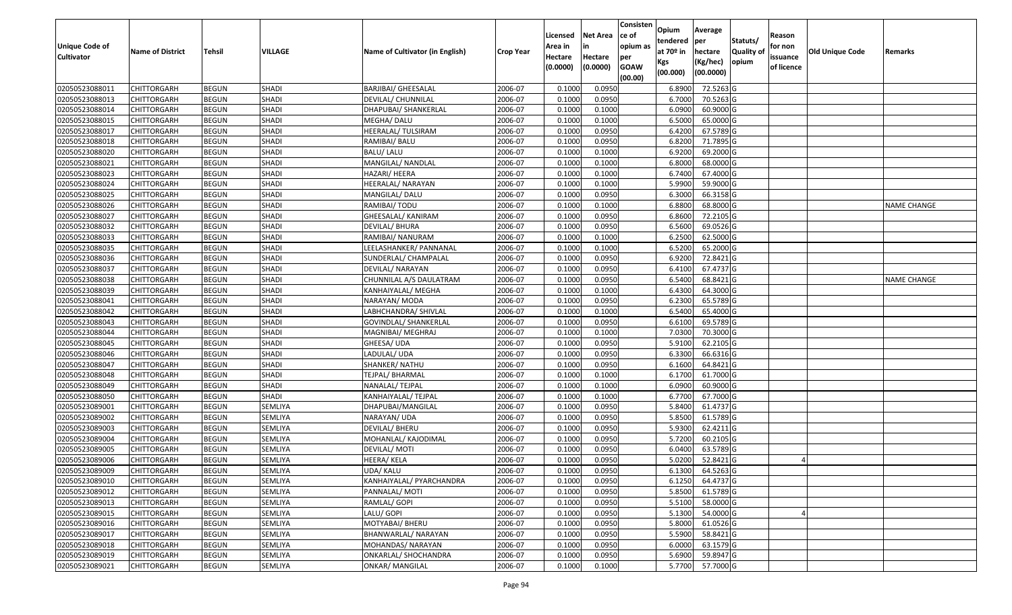| Unique Code of    |                         |               |                |                                 |                  | Licensed<br>Area in | <b>Net Area</b><br>in | Consisten<br>ce of<br>opium as | Opium<br>tendered  | Average<br>per      | Statuts/                  | Reason<br>for non |                        |                    |
|-------------------|-------------------------|---------------|----------------|---------------------------------|------------------|---------------------|-----------------------|--------------------------------|--------------------|---------------------|---------------------------|-------------------|------------------------|--------------------|
| <b>Cultivator</b> | <b>Name of District</b> | <b>Tehsil</b> | <b>VILLAGE</b> | Name of Cultivator (in English) | <b>Crop Year</b> | Hectare             | Hectare               | per                            | at $70°$ in<br>Kgs | hectare<br>(Kg/hec) | <b>Quality o</b><br>opium | issuance          | <b>Old Unique Code</b> | Remarks            |
|                   |                         |               |                |                                 |                  | (0.0000)            | (0.0000)              | <b>GOAW</b><br>(00.00)         | (00.000)           | (00.0000)           |                           | of licence        |                        |                    |
| 02050523088011    | CHITTORGARH             | <b>BEGUN</b>  | <b>SHADI</b>   | <b>BARJIBAI/ GHEESALAL</b>      | 2006-07          | 0.1000              | 0.0950                |                                | 6.8900             | 72.5263 G           |                           |                   |                        |                    |
| 02050523088013    | CHITTORGARH             | <b>BEGUN</b>  | SHADI          | DEVILAL/ CHUNNILAL              | 2006-07          | 0.1000              | 0.0950                |                                | 6.7000             | 70.5263 G           |                           |                   |                        |                    |
| 02050523088014    | CHITTORGARH             | <b>BEGUN</b>  | <b>SHADI</b>   | DHAPUBAI/ SHANKERLAL            | 2006-07          | 0.1000              | 0.1000                |                                | 6.0900             | 60.9000 G           |                           |                   |                        |                    |
| 02050523088015    | <b>CHITTORGARH</b>      | <b>BEGUN</b>  | <b>SHADI</b>   | MEGHA/ DALU                     | 2006-07          | 0.1000              | 0.1000                |                                | 6.5000             | 65.0000G            |                           |                   |                        |                    |
| 02050523088017    | CHITTORGARH             | <b>BEGUN</b>  | SHADI          | HEERALAL/ TULSIRAM              | 2006-07          | 0.1000              | 0.0950                |                                | 6.4200             | 67.5789 G           |                           |                   |                        |                    |
| 02050523088018    | <b>CHITTORGARH</b>      | <b>BEGUN</b>  | SHADI          | RAMIBAI/ BALU                   | 2006-07          | 0.1000              | 0.0950                |                                | 6.8200             | 71.7895 G           |                           |                   |                        |                    |
| 02050523088020    | CHITTORGARH             | <b>BEGUN</b>  | <b>SHADI</b>   | BALU/ LALU                      | 2006-07          | 0.1000              | 0.1000                |                                | 6.9200             | 69.2000 G           |                           |                   |                        |                    |
| 02050523088021    | CHITTORGARH             | <b>BEGUN</b>  | <b>SHADI</b>   | MANGILAL/ NANDLAL               | 2006-07          | 0.1000              | 0.1000                |                                | 6.8000             | 68.0000 G           |                           |                   |                        |                    |
| 02050523088023    | CHITTORGARH             | <b>BEGUN</b>  | <b>SHADI</b>   | HAZARI/ HEERA                   | 2006-07          | 0.1000              | 0.1000                |                                | 6.7400             | 67.4000 G           |                           |                   |                        |                    |
| 02050523088024    | <b>CHITTORGARH</b>      | <b>BEGUN</b>  | <b>SHADI</b>   | HEERALAL/ NARAYAN               | 2006-07          | 0.1000              | 0.1000                |                                | 5.9900             | 59.9000 G           |                           |                   |                        |                    |
| 02050523088025    | CHITTORGARH             | <b>BEGUN</b>  | SHADI          | MANGILAL/DALU                   | 2006-07          | 0.1000              | 0.0950                |                                | 6.3000             | 66.3158 G           |                           |                   |                        |                    |
| 02050523088026    | <b>CHITTORGARH</b>      | <b>BEGUN</b>  | <b>SHADI</b>   | RAMIBAI/ TODU                   | 2006-07          | 0.1000              | 0.1000                |                                | 6.8800             | 68.8000 G           |                           |                   |                        | <b>NAME CHANGE</b> |
| 02050523088027    | <b>CHITTORGARH</b>      | <b>BEGUN</b>  | SHADI          | GHEESALAL/ KANIRAM              | 2006-07          | 0.1000              | 0.0950                |                                | 6.8600             | 72.2105 G           |                           |                   |                        |                    |
| 02050523088032    | <b>CHITTORGARH</b>      | <b>BEGUN</b>  | <b>SHADI</b>   | DEVILAL/ BHURA                  | 2006-07          | 0.1000              | 0.0950                |                                | 6.5600             | 69.0526 G           |                           |                   |                        |                    |
| 02050523088033    | CHITTORGARH             | <b>BEGUN</b>  | SHADI          | RAMIBAI/ NANURAM                | 2006-07          | 0.1000              | 0.1000                |                                | 6.2500             | 62.5000 G           |                           |                   |                        |                    |
| 02050523088035    | CHITTORGARH             | <b>BEGUN</b>  | <b>SHADI</b>   | LEELASHANKER/ PANNANAL          | 2006-07          | 0.1000              | 0.1000                |                                | 6.5200             | 65.2000 G           |                           |                   |                        |                    |
| 02050523088036    | CHITTORGARH             | <b>BEGUN</b>  | SHADI          | SUNDERLAL/ CHAMPALAL            | 2006-07          | 0.1000              | 0.0950                |                                | 6.9200             | 72.8421G            |                           |                   |                        |                    |
| 02050523088037    | CHITTORGARH             | <b>BEGUN</b>  | SHADI          | DEVILAL/ NARAYAN                | 2006-07          | 0.1000              | 0.0950                |                                | 6.4100             | 67.4737 G           |                           |                   |                        |                    |
| 02050523088038    | CHITTORGARH             | <b>BEGUN</b>  | SHADI          | CHUNNILAL A/S DAULATRAM         | 2006-07          | 0.1000              | 0.0950                |                                | 6.5400             | 68.8421G            |                           |                   |                        | <b>NAME CHANGE</b> |
| 02050523088039    | CHITTORGARH             | <b>BEGUN</b>  | <b>SHADI</b>   | KANHAIYALAL/ MEGHA              | 2006-07          | 0.1000              | 0.1000                |                                | 6.4300             | 64.3000 G           |                           |                   |                        |                    |
| 02050523088041    | CHITTORGARH             | <b>BEGUN</b>  | <b>SHADI</b>   | NARAYAN/ MODA                   | 2006-07          | 0.100               | 0.0950                |                                | 6.2300             | 65.5789 G           |                           |                   |                        |                    |
| 02050523088042    | CHITTORGARH             | <b>BEGUN</b>  | <b>SHADI</b>   | LABHCHANDRA/ SHIVLAL            | 2006-07          | 0.100               | 0.1000                |                                | 6.5400             | 65.4000 G           |                           |                   |                        |                    |
| 02050523088043    | CHITTORGARH             | <b>BEGUN</b>  | SHADI          | GOVINDLAL/ SHANKERLAL           | 2006-07          | 0.1000              | 0.0950                |                                | 6.6100             | 69.5789 G           |                           |                   |                        |                    |
| 02050523088044    | CHITTORGARH             | <b>BEGUN</b>  | <b>SHADI</b>   | MAGNIBAI/ MEGHRAJ               | 2006-07          | 0.100               | 0.1000                |                                | 7.0300             | 70.3000G            |                           |                   |                        |                    |
| 02050523088045    | CHITTORGARH             | <b>BEGUN</b>  | <b>SHADI</b>   | GHEESA/ UDA                     | 2006-07          | 0.1000              | 0.0950                |                                | 5.9100             | 62.2105 G           |                           |                   |                        |                    |
| 02050523088046    | CHITTORGARH             | <b>BEGUN</b>  | SHADI          | LADULAL/ UDA                    | 2006-07          | 0.1000              | 0.0950                |                                | 6.3300             | 66.6316 G           |                           |                   |                        |                    |
| 02050523088047    | CHITTORGARH             | <b>BEGUN</b>  | SHADI          | SHANKER/ NATHU                  | 2006-07          | 0.1000              | 0.0950                |                                | 6.1600             | 64.8421G            |                           |                   |                        |                    |
| 02050523088048    | CHITTORGARH             | <b>BEGUN</b>  | <b>SHADI</b>   | TEJPAL/ BHARMAL                 | 2006-07          | 0.1000              | 0.1000                |                                | 6.1700             | 61.7000G            |                           |                   |                        |                    |
| 02050523088049    | CHITTORGARH             | <b>BEGUN</b>  | SHADI          | NANALAL/ TEJPAL                 | 2006-07          | 0.1000              | 0.1000                |                                | 6.0900             | 60.9000 G           |                           |                   |                        |                    |
| 02050523088050    | <b>CHITTORGARH</b>      | <b>BEGUN</b>  | SHADI          | KANHAIYALAL/ TEJPAL             | 2006-07          | 0.1000              | 0.1000                |                                | 6.7700             | 67.7000 G           |                           |                   |                        |                    |
| 02050523089001    | CHITTORGARH             | <b>BEGUN</b>  | SEMLIYA        | DHAPUBAI/MANGILAL               | 2006-07          | 0.1000              | 0.0950                |                                | 5.8400             | 61.4737 G           |                           |                   |                        |                    |
| 02050523089002    | CHITTORGARH             | <b>BEGUN</b>  | <b>SEMLIYA</b> | NARAYAN/ UDA                    | 2006-07          | 0.1000              | 0.0950                |                                | 5.8500             | 61.5789 G           |                           |                   |                        |                    |
| 02050523089003    | CHITTORGARH             | <b>BEGUN</b>  | <b>SEMLIYA</b> | DEVILAL/ BHERU                  | 2006-07          | 0.1000              | 0.0950                |                                | 5.9300             | $62.4211$ G         |                           |                   |                        |                    |
| 02050523089004    | CHITTORGARH             | <b>BEGUN</b>  | SEMLIYA        | MOHANLAL/ KAJODIMAL             | 2006-07          | 0.1000              | 0.0950                |                                | 5.7200             | 60.2105 G           |                           |                   |                        |                    |
| 02050523089005    | CHITTORGARH             | <b>BEGUN</b>  | SEMLIYA        | DEVILAL/ MOTI                   | 2006-07          | 0.1000              | 0.0950                |                                | 6.0400             | 63.5789 G           |                           |                   |                        |                    |
| 02050523089006    | CHITTORGARH             | <b>BEGUN</b>  | <b>SEMLIYA</b> | HEERA/ KELA                     | 2006-07          | 0.1000              | 0.0950                |                                | 5.0200             | 52.8421G            |                           |                   |                        |                    |
| 02050523089009    | <b>CHITTORGARH</b>      | <b>BEGUN</b>  | SEMLIYA        | UDA/ KALU                       | 2006-07          | 0.1000              | 0.0950                |                                | 6.1300             | 64.5263 G           |                           |                   |                        |                    |
| 02050523089010    | <b>CHITTORGARH</b>      | <b>BEGUN</b>  | SEMLIYA        | KANHAIYALAL/ PYARCHANDRA        | 2006-07          | 0.1000              | 0.0950                |                                | 6.1250             | 64.4737 G           |                           |                   |                        |                    |
| 02050523089012    | <b>CHITTORGARH</b>      | <b>BEGUN</b>  | SEMLIYA        | PANNALAL/ MOTI                  | 2006-07          | 0.1000              | 0.0950                |                                | 5.8500             | 61.5789 G           |                           |                   |                        |                    |
| 02050523089013    | <b>CHITTORGARH</b>      | <b>BEGUN</b>  | SEMLIYA        | RAMLAL/ GOPI                    | 2006-07          | 0.1000              | 0.0950                |                                | 5.5100             | 58.0000 G           |                           |                   |                        |                    |
| 02050523089015    | <b>CHITTORGARH</b>      | <b>BEGUN</b>  | SEMLIYA        | LALU/ GOPI                      | 2006-07          | 0.1000              | 0.0950                |                                | 5.1300             | 54.0000 G           |                           |                   |                        |                    |
| 02050523089016    | <b>CHITTORGARH</b>      | <b>BEGUN</b>  | SEMLIYA        | MOTYABAI/ BHERU                 | 2006-07          | 0.1000              | 0.0950                |                                | 5.8000             | 61.0526 G           |                           |                   |                        |                    |
| 02050523089017    | <b>CHITTORGARH</b>      | <b>BEGUN</b>  | SEMLIYA        | BHANWARLAL/ NARAYAN             | 2006-07          | 0.1000              | 0.0950                |                                | 5.5900             | 58.8421 G           |                           |                   |                        |                    |
| 02050523089018    | <b>CHITTORGARH</b>      | <b>BEGUN</b>  | SEMLIYA        | MOHANDAS/ NARAYAN               | 2006-07          | 0.1000              | 0.0950                |                                | 6.0000             | 63.1579 G           |                           |                   |                        |                    |
| 02050523089019    | <b>CHITTORGARH</b>      | <b>BEGUN</b>  | SEMLIYA        | ONKARLAL/ SHOCHANDRA            | 2006-07          | 0.1000              | 0.0950                |                                | 5.6900             | 59.8947 G           |                           |                   |                        |                    |
| 02050523089021    | <b>CHITTORGARH</b>      | <b>BEGUN</b>  | SEMLIYA        | <b>ONKAR/ MANGILAL</b>          | 2006-07          | 0.1000              | 0.1000                |                                | 5.7700             | 57.7000G            |                           |                   |                        |                    |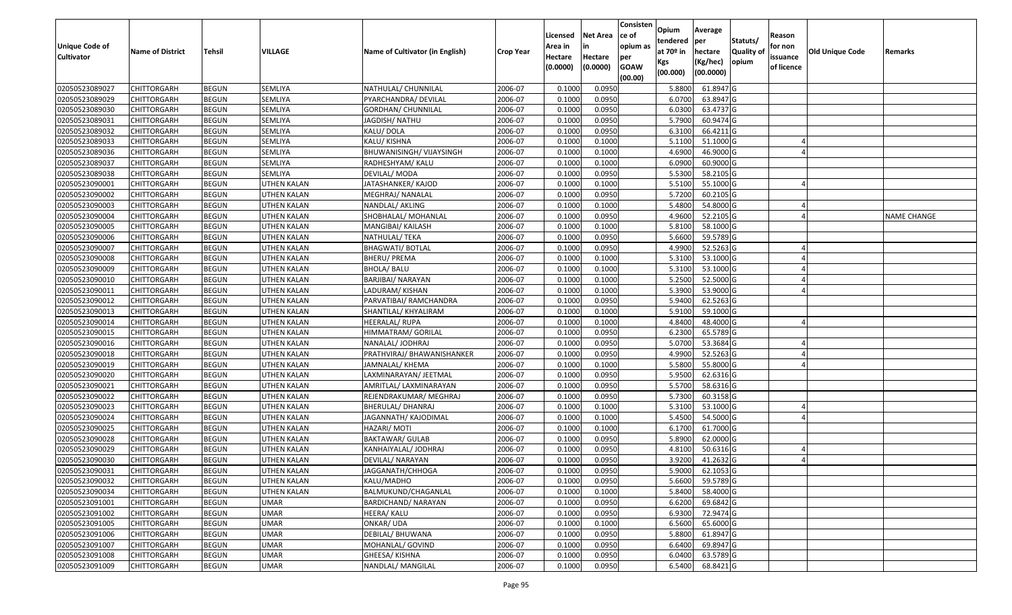| <b>Unique Code of</b><br><b>Cultivator</b> | <b>Name of District</b> | Tehsil       | VILLAGE            | Name of Cultivator (in English) | <b>Crop Year</b> | Licensed<br>Area in<br>Hectare | <b>Net Area</b><br>in<br>Hectare | Consisten<br>ce of<br>opium as<br>per | Opium<br>tendered<br>at $70°$ in | Average<br>per<br>hectare | Statuts/<br><b>Quality o</b> | Reason<br>for non<br>issuance | Old Unique Code | Remarks            |
|--------------------------------------------|-------------------------|--------------|--------------------|---------------------------------|------------------|--------------------------------|----------------------------------|---------------------------------------|----------------------------------|---------------------------|------------------------------|-------------------------------|-----------------|--------------------|
|                                            |                         |              |                    |                                 |                  | (0.0000)                       | (0.0000)                         | <b>GOAW</b><br>(00.00)                | Kgs<br>(00.000)                  | (Kg/hec)<br>(00.0000)     | opium                        | of licence                    |                 |                    |
| 02050523089027                             | CHITTORGARH             | <b>BEGUN</b> | SEMLIYA            | NATHULAL/ CHUNNILAL             | 2006-07          | 0.1000                         | 0.0950                           |                                       | 5.8800                           | 61.8947 G                 |                              |                               |                 |                    |
| 02050523089029                             | CHITTORGARH             | <b>BEGUN</b> | SEMLIYA            | PYARCHANDRA/ DEVILAL            | 2006-07          | 0.1000                         | 0.0950                           |                                       | 6.0700                           | 63.8947 G                 |                              |                               |                 |                    |
| 02050523089030                             | CHITTORGARH             | <b>BEGUN</b> | SEMLIYA            | GORDHAN/ CHUNNILAL              | 2006-07          | 0.1000                         | 0.0950                           |                                       | 6.0300                           | 63.4737 G                 |                              |                               |                 |                    |
| 02050523089031                             | <b>CHITTORGARH</b>      | <b>BEGUN</b> | SEMLIYA            | JAGDISH/ NATHU                  | 2006-07          | 0.1000                         | 0.0950                           |                                       | 5.7900                           | 60.9474 G                 |                              |                               |                 |                    |
| 02050523089032                             | CHITTORGARH             | <b>BEGUN</b> | <b>SEMLIYA</b>     | KALU/DOLA                       | 2006-07          | 0.1000                         | 0.0950                           |                                       | 6.3100                           | 66.4211 G                 |                              |                               |                 |                    |
| 02050523089033                             | CHITTORGARH             | <b>BEGUN</b> | SEMLIYA            | KALU/ KISHNA                    | 2006-07          | 0.1000                         | 0.1000                           |                                       | 5.1100                           | 51.1000G                  |                              |                               |                 |                    |
| 02050523089036                             | CHITTORGARH             | <b>BEGUN</b> | SEMLIYA            | BHUWANISINGH/ VIJAYSINGH        | 2006-07          | 0.1000                         | 0.1000                           |                                       | 4.6900                           | 46.9000G                  |                              |                               |                 |                    |
| 02050523089037                             | CHITTORGARH             | <b>BEGUN</b> | SEMLIYA            | RADHESHYAM/ KALU                | 2006-07          | 0.1000                         | 0.1000                           |                                       | 6.0900                           | 60.9000 G                 |                              |                               |                 |                    |
| 02050523089038                             | CHITTORGARH             | <b>BEGUN</b> | SEMLIYA            | DEVILAL/ MODA                   | 2006-07          | 0.1000                         | 0.0950                           |                                       | 5.5300                           | 58.2105 G                 |                              |                               |                 |                    |
| 02050523090001                             | CHITTORGARH             | <b>BEGUN</b> | <b>UTHEN KALAN</b> | JATASHANKER/KAJOD               | 2006-07          | 0.1000                         | 0.1000                           |                                       | 5.5100                           | 55.1000G                  |                              |                               |                 |                    |
| 02050523090002                             | CHITTORGARH             | <b>BEGUN</b> | UTHEN KALAN        | MEGHRAJ/ NANALAL                | 2006-07          | 0.1000                         | 0.0950                           |                                       | 5.7200                           | 60.2105 G                 |                              |                               |                 |                    |
| 02050523090003                             | <b>CHITTORGARH</b>      | <b>BEGUN</b> | <b>UTHEN KALAN</b> | NANDLAL/ AKLING                 | 2006-07          | 0.1000                         | 0.1000                           |                                       | 5.4800                           | 54.8000 G                 |                              |                               |                 |                    |
| 02050523090004                             | <b>CHITTORGARH</b>      | <b>BEGUN</b> | UTHEN KALAN        | SHOBHALAL/MOHANLAL              | 2006-07          | 0.1000                         | 0.0950                           |                                       | 4.9600                           | 52.2105 G                 |                              |                               |                 | <b>NAME CHANGE</b> |
| 02050523090005                             | CHITTORGARH             | <b>BEGUN</b> | UTHEN KALAN        | MANGIBAI/ KAILASH               | 2006-07          | 0.1000                         | 0.1000                           |                                       | 5.8100                           | 58.1000 G                 |                              |                               |                 |                    |
| 02050523090006                             | <b>CHITTORGARH</b>      | <b>BEGUN</b> | UTHEN KALAN        | NATHULAL/ TEKA                  | 2006-07          | 0.1000                         | 0.0950                           |                                       | 5.6600                           | 59.5789 G                 |                              |                               |                 |                    |
| 02050523090007                             | CHITTORGARH             | <b>BEGUN</b> | UTHEN KALAN        | BHAGWATI/ BOTLAL                | 2006-07          | 0.1000                         | 0.0950                           |                                       | 4.9900                           | 52.5263 G                 |                              |                               |                 |                    |
| 02050523090008                             | CHITTORGARH             | <b>BEGUN</b> | UTHEN KALAN        | BHERU/ PREMA                    | 2006-07          | 0.1000                         | 0.1000                           |                                       | 5.3100                           | 53.1000 G                 |                              |                               |                 |                    |
| 02050523090009                             | CHITTORGARH             | <b>BEGUN</b> | UTHEN KALAN        | <b>BHOLA/BALU</b>               | 2006-07          | 0.100                          | 0.1000                           |                                       | 5.3100                           | 53.1000 G                 |                              |                               |                 |                    |
| 02050523090010                             | CHITTORGARH             | <b>BEGUN</b> | UTHEN KALAN        | BARJIBAI/ NARAYAN               | 2006-07          | 0.100                          | 0.1000                           |                                       | 5.2500                           | 52.5000 G                 |                              |                               |                 |                    |
| 02050523090011                             | CHITTORGARH             | <b>BEGUN</b> | UTHEN KALAN        | LADURAM/KISHAN                  | 2006-07          | 0.1000                         | 0.1000                           |                                       | 5.3900                           | 53.9000 G                 |                              |                               |                 |                    |
| 02050523090012                             | CHITTORGARH             | <b>BEGUN</b> | UTHEN KALAN        | PARVATIBAI/ RAMCHANDRA          | 2006-07          | 0.100                          | 0.0950                           |                                       | 5.9400                           | 62.5263 G                 |                              |                               |                 |                    |
| 02050523090013                             | CHITTORGARH             | <b>BEGUN</b> | UTHEN KALAN        | SHANTILAL/ KHYALIRAM            | 2006-07          | 0.100                          | 0.1000                           |                                       | 5.9100                           | 59.1000G                  |                              |                               |                 |                    |
| 02050523090014                             | CHITTORGARH             | <b>BEGUN</b> | UTHEN KALAN        | HEERALAL/ RUPA                  | 2006-07          | 0.1000                         | 0.1000                           |                                       | 4.8400                           | 48.4000 G                 |                              |                               |                 |                    |
| 02050523090015                             | CHITTORGARH             | <b>BEGUN</b> | UTHEN KALAN        | HIMMATRAM/ GORILAL              | 2006-07          | 0.100                          | 0.0950                           |                                       | 6.2300                           | 65.5789 G                 |                              |                               |                 |                    |
| 02050523090016                             | <b>CHITTORGARH</b>      | <b>BEGUN</b> | <b>UTHEN KALAN</b> | NANALAL/ JODHRAJ                | 2006-07          | 0.1000                         | 0.0950                           |                                       | 5.0700                           | 53.3684 G                 |                              |                               |                 |                    |
| 02050523090018                             | CHITTORGARH             | <b>BEGUN</b> | UTHEN KALAN        | PRATHVIRAJ/ BHAWANISHANKER      | 2006-07          | 0.1000                         | 0.0950                           |                                       | 4.9900                           | 52.5263 G                 |                              |                               |                 |                    |
| 02050523090019                             | CHITTORGARH             | <b>BEGUN</b> | UTHEN KALAN        | JAMNALAL/KHEMA                  | 2006-07          | 0.1000                         | 0.1000                           |                                       | 5.5800                           | 55.8000 G                 |                              |                               |                 |                    |
| 02050523090020                             | CHITTORGARH             | <b>BEGUN</b> | UTHEN KALAN        | LAXMINARAYAN/ JEETMAL           | 2006-07          | 0.1000                         | 0.0950                           |                                       | 5.9500                           | 62.6316 G                 |                              |                               |                 |                    |
| 02050523090021                             | CHITTORGARH             | <b>BEGUN</b> | <b>UTHEN KALAN</b> | AMRITLAL/ LAXMINARAYAN          | 2006-07          | 0.1000                         | 0.0950                           |                                       | 5.5700                           | 58.6316 G                 |                              |                               |                 |                    |
| 02050523090022                             | CHITTORGARH             | <b>BEGUN</b> | UTHEN KALAN        | REJENDRAKUMAR/ MEGHRAJ          | 2006-07          | 0.1000                         | 0.0950                           |                                       | 5.7300                           | 60.3158 G                 |                              |                               |                 |                    |
| 02050523090023                             | CHITTORGARH             | <b>BEGUN</b> | UTHEN KALAN        | BHERULAL/ DHANRAJ               | 2006-07          | 0.1000                         | 0.1000                           |                                       | 5.3100                           | 53.1000G                  |                              |                               |                 |                    |
| 02050523090024                             | CHITTORGARH             | <b>BEGUN</b> | UTHEN KALAN        | JAGANNATH/ KAJODIMAL            | 2006-07          | 0.1000                         | 0.1000                           |                                       | 5.4500                           | 54.5000G                  |                              |                               |                 |                    |
| 02050523090025                             | CHITTORGARH             | <b>BEGUN</b> | <b>UTHEN KALAN</b> | HAZARI/ MOTI                    | 2006-07          | 0.1000                         | 0.1000                           |                                       | 6.1700                           | 61.7000G                  |                              |                               |                 |                    |
| 02050523090028                             | CHITTORGARH             | <b>BEGUN</b> | UTHEN KALAN        | <b>BAKTAWAR/ GULAB</b>          | 2006-07          | 0.1000                         | 0.0950                           |                                       | 5.8900                           | 62.0000G                  |                              |                               |                 |                    |
| 02050523090029                             | CHITTORGARH             | <b>BEGUN</b> | UTHEN KALAN        | KANHAIYALAL/JODHRAJ             | 2006-07          | 0.1000                         | 0.0950                           |                                       | 4.8100                           | $50.6316$ G               |                              |                               |                 |                    |
| 02050523090030                             | CHITTORGARH             | <b>BEGUN</b> | UTHEN KALAN        | DEVILAL/ NARAYAN                | 2006-07          | 0.1000                         | 0.0950                           |                                       | 3.9200                           | 41.2632G                  |                              |                               |                 |                    |
| 02050523090031                             | <b>CHITTORGARH</b>      | <b>BEGUN</b> | <b>UTHEN KALAN</b> | JAGGANATH/CHHOGA                | 2006-07          | 0.1000                         | 0.0950                           |                                       | 5.9000                           | 62.1053 G                 |                              |                               |                 |                    |
| 02050523090032                             | <b>CHITTORGARH</b>      | <b>BEGUN</b> | UTHEN KALAN        | KALU/MADHO                      | 2006-07          | 0.1000                         | 0.0950                           |                                       | 5.6600                           | 59.5789 G                 |                              |                               |                 |                    |
| 02050523090034                             | <b>CHITTORGARH</b>      | <b>BEGUN</b> | UTHEN KALAN        | BALMUKUND/CHAGANLAL             | 2006-07          | 0.1000                         | 0.1000                           |                                       | 5.8400                           | 58.4000 G                 |                              |                               |                 |                    |
| 02050523091001                             | <b>CHITTORGARH</b>      | <b>BEGUN</b> | <b>UMAR</b>        | BARDICHAND/ NARAYAN             | 2006-07          | 0.1000                         | 0.0950                           |                                       | 6.6200                           | 69.6842 G                 |                              |                               |                 |                    |
| 02050523091002                             | <b>CHITTORGARH</b>      | <b>BEGUN</b> | <b>UMAR</b>        | HEERA/ KALU                     | 2006-07          | 0.1000                         | 0.0950                           |                                       | 6.9300                           | 72.9474 G                 |                              |                               |                 |                    |
| 02050523091005                             | <b>CHITTORGARH</b>      | <b>BEGUN</b> | <b>UMAR</b>        | ONKAR/ UDA                      | 2006-07          | 0.1000                         | 0.1000                           |                                       | 6.5600                           | 65.6000 G                 |                              |                               |                 |                    |
| 02050523091006                             | <b>CHITTORGARH</b>      | <b>BEGUN</b> | UMAR               | DEBILAL/ BHUWANA                | 2006-07          | 0.1000                         | 0.0950                           |                                       | 5.8800                           | 61.8947 G                 |                              |                               |                 |                    |
| 02050523091007                             | <b>CHITTORGARH</b>      | <b>BEGUN</b> | <b>UMAR</b>        | MOHANLAL/ GOVIND                | 2006-07          | 0.1000                         | 0.0950                           |                                       | 6.6400                           | 69.8947 G                 |                              |                               |                 |                    |
| 02050523091008                             | <b>CHITTORGARH</b>      | <b>BEGUN</b> | UMAR               | GHEESA/ KISHNA                  | 2006-07          | 0.1000                         | 0.0950                           |                                       | 6.0400                           | 63.5789 G                 |                              |                               |                 |                    |
| 02050523091009                             | <b>CHITTORGARH</b>      | <b>BEGUN</b> | <b>UMAR</b>        | NANDLAL/ MANGILAL               | 2006-07          | 0.1000                         | 0.0950                           |                                       | 6.5400                           | 68.8421 G                 |                              |                               |                 |                    |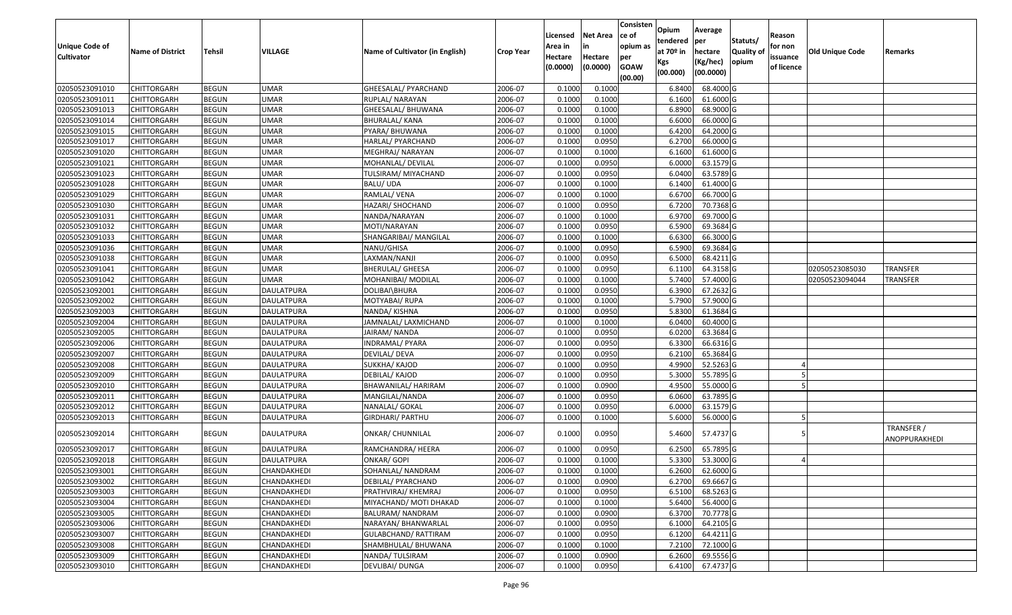| <b>Unique Code of</b> |                         |              |                   |                                 |                  | Licensed<br>Area in | <b>Net Area</b><br>in | Consisten<br>ce of<br>opium as | Opium<br>tendered              | Average<br>per                   | Statuts/                  | Reason<br>for non      |                 |                             |
|-----------------------|-------------------------|--------------|-------------------|---------------------------------|------------------|---------------------|-----------------------|--------------------------------|--------------------------------|----------------------------------|---------------------------|------------------------|-----------------|-----------------------------|
| <b>Cultivator</b>     | <b>Name of District</b> | Tehsil       | <b>VILLAGE</b>    | Name of Cultivator (in English) | <b>Crop Year</b> | Hectare<br>(0.0000) | Hectare<br>(0.0000)   | per<br><b>GOAW</b><br>(00.00)  | at $70°$ in<br>Kgs<br>(00.000) | hectare<br>(Kg/hec)<br>(00.0000) | <b>Quality o</b><br>opium | issuance<br>of licence | Old Unique Code | Remarks                     |
| 02050523091010        | <b>CHITTORGARH</b>      | <b>BEGUN</b> | <b>UMAR</b>       | GHEESALAL/ PYARCHAND            | 2006-07          | 0.1000              | 0.1000                |                                | 6.8400                         | 68.4000 G                        |                           |                        |                 |                             |
| 02050523091011        | CHITTORGARH             | <b>BEGUN</b> | <b>UMAR</b>       | RUPLAL/ NARAYAN                 | 2006-07          | 0.1000              | 0.1000                |                                | 6.1600                         | 61.6000G                         |                           |                        |                 |                             |
| 02050523091013        | CHITTORGARH             | <b>BEGUN</b> | <b>UMAR</b>       | GHEESALAL/ BHUWANA              | 2006-07          | 0.1000              | 0.1000                |                                | 6.8900                         | 68.9000 G                        |                           |                        |                 |                             |
| 02050523091014        | <b>CHITTORGARH</b>      | <b>BEGUN</b> | <b>UMAR</b>       | <b>BHURALAL/ KANA</b>           | 2006-07          | 0.1000              | 0.1000                |                                | 6.6000                         | 66.0000G                         |                           |                        |                 |                             |
| 02050523091015        | CHITTORGARH             | <b>BEGUN</b> | <b>UMAR</b>       | PYARA/ BHUWANA                  | 2006-07          | 0.1000              | 0.1000                |                                | 6.4200                         | 64.2000 G                        |                           |                        |                 |                             |
| 02050523091017        | <b>CHITTORGARH</b>      | <b>BEGUN</b> | <b>UMAR</b>       | HARLAL/ PYARCHAND               | 2006-07          | 0.1000              | 0.0950                |                                | 6.2700                         | 66.0000G                         |                           |                        |                 |                             |
| 02050523091020        | CHITTORGARH             | <b>BEGUN</b> | <b>UMAR</b>       | MEGHRAJ/ NARAYAN                | 2006-07          | 0.1000              | 0.1000                |                                | 6.1600                         | 61.6000G                         |                           |                        |                 |                             |
| 02050523091021        | <b>CHITTORGARH</b>      | <b>BEGUN</b> | <b>UMAR</b>       | MOHANLAL/ DEVILAL               | 2006-07          | 0.1000              | 0.0950                |                                | 6.0000                         | 63.1579 G                        |                           |                        |                 |                             |
| 02050523091023        | CHITTORGARH             | <b>BEGUN</b> | <b>UMAR</b>       | TULSIRAM/ MIYACHAND             | 2006-07          | 0.1000              | 0.0950                |                                | 6.0400                         | 63.5789 G                        |                           |                        |                 |                             |
| 02050523091028        | <b>CHITTORGARH</b>      | <b>BEGUN</b> | <b>UMAR</b>       | BALU/ UDA                       | 2006-07          | 0.1000              | 0.1000                |                                | 6.1400                         | 61.4000 G                        |                           |                        |                 |                             |
| 02050523091029        | CHITTORGARH             | <b>BEGUN</b> | <b>UMAR</b>       | RAMLAL/ VENA                    | 2006-07          | 0.1000              | 0.1000                |                                | 6.6700                         | 66.7000 G                        |                           |                        |                 |                             |
| 02050523091030        | <b>CHITTORGARH</b>      | <b>BEGUN</b> | <b>UMAR</b>       | HAZARI/ SHOCHAND                | 2006-07          | 0.1000              | 0.0950                |                                | 6.7200                         | 70.7368 G                        |                           |                        |                 |                             |
| 02050523091031        | <b>CHITTORGARH</b>      | <b>BEGUN</b> | <b>UMAR</b>       | NANDA/NARAYAN                   | 2006-07          | 0.1000              | 0.1000                |                                | 6.9700                         | 69.7000 G                        |                           |                        |                 |                             |
| 02050523091032        | <b>CHITTORGARH</b>      | <b>BEGUN</b> | UMAR              | MOTI/NARAYAN                    | 2006-07          | 0.1000              | 0.0950                |                                | 6.5900                         | 69.3684 G                        |                           |                        |                 |                             |
| 02050523091033        | <b>CHITTORGARH</b>      | <b>BEGUN</b> | <b>UMAR</b>       | SHANGARIBAI/ MANGILAL           | 2006-07          | 0.1000              | 0.1000                |                                | 6.6300                         | 66.3000 G                        |                           |                        |                 |                             |
| 02050523091036        | CHITTORGARH             | <b>BEGUN</b> | <b>UMAR</b>       | NANU/GHISA                      | 2006-07          | 0.1000              | 0.0950                |                                | 6.5900                         | 69.3684 G                        |                           |                        |                 |                             |
| 02050523091038        | CHITTORGARH             | <b>BEGUN</b> | <b>UMAR</b>       | LAXMAN/NANJI                    | 2006-07          | 0.1000              | 0.0950                |                                | 6.5000                         | 68.4211G                         |                           |                        |                 |                             |
| 02050523091041        | CHITTORGARH             | <b>BEGUN</b> | UMAR              | <b>BHERULAL/ GHEESA</b>         | 2006-07          | 0.1000              | 0.0950                |                                | 6.1100                         | 64.3158 G                        |                           |                        | 02050523085030  | <b>TRANSFER</b>             |
| 02050523091042        | CHITTORGARH             | <b>BEGUN</b> | <b>UMAR</b>       | MOHANIBAI/ MODILAL              | 2006-07          | 0.100               | 0.1000                |                                | 5.7400                         | 57.4000 G                        |                           |                        | 02050523094044  | <b>TRANSFER</b>             |
| 02050523092001        | CHITTORGARH             | <b>BEGUN</b> | <b>DAULATPURA</b> | DOLIBAI\BHURA                   | 2006-07          | 0.1000              | 0.0950                |                                | 6.3900                         | 67.2632 G                        |                           |                        |                 |                             |
| 02050523092002        | CHITTORGARH             | <b>BEGUN</b> | <b>DAULATPURA</b> | MOTYABAI/RUPA                   | 2006-07          | 0.1000              | 0.1000                |                                | 5.7900                         | 57.9000 G                        |                           |                        |                 |                             |
| 02050523092003        | CHITTORGARH             | <b>BEGUN</b> | <b>DAULATPURA</b> | NANDA/ KISHNA                   | 2006-07          | 0.100               | 0.0950                |                                | 5.8300                         | 61.3684 G                        |                           |                        |                 |                             |
| 02050523092004        | CHITTORGARH             | <b>BEGUN</b> | <b>DAULATPURA</b> | JAMNALAL/ LAXMICHAND            | 2006-07          | 0.1000              | 0.1000                |                                | 6.0400                         | 60.4000 G                        |                           |                        |                 |                             |
| 02050523092005        | CHITTORGARH             | <b>BEGUN</b> | DAULATPURA        | JAIRAM/ NANDA                   | 2006-07          | 0.1000              | 0.0950                |                                | 6.0200                         | 63.3684 G                        |                           |                        |                 |                             |
| 02050523092006        | <b>CHITTORGARH</b>      | <b>BEGUN</b> | DAULATPURA        | INDRAMAL/ PYARA                 | 2006-07          | 0.1000              | 0.0950                |                                | 6.3300                         | 66.6316 G                        |                           |                        |                 |                             |
| 02050523092007        | CHITTORGARH             | <b>BEGUN</b> | <b>DAULATPURA</b> | DEVILAL/ DEVA                   | 2006-07          | 0.1000              | 0.0950                |                                | 6.2100                         | 65.3684 G                        |                           |                        |                 |                             |
| 02050523092008        | CHITTORGARH             | <b>BEGUN</b> | <b>DAULATPURA</b> | SUKKHA/ KAJOD                   | 2006-07          | 0.1000              | 0.0950                |                                | 4.9900                         | 52.5263 G                        |                           |                        |                 |                             |
| 02050523092009        | CHITTORGARH             | <b>BEGUN</b> | DAULATPURA        | DEBILAL/ KAJOD                  | 2006-07          | 0.1000              | 0.0950                |                                | 5.3000                         | 55.7895 G                        |                           |                        |                 |                             |
| 02050523092010        | CHITTORGARH             | <b>BEGUN</b> | <b>DAULATPURA</b> | BHAWANILAL/ HARIRAM             | 2006-07          | 0.1000              | 0.0900                |                                | 4.9500                         | 55.0000G                         |                           |                        |                 |                             |
| 02050523092011        | <b>CHITTORGARH</b>      | <b>BEGUN</b> | <b>DAULATPURA</b> | MANGILAL/NANDA                  | 2006-07          | 0.1000              | 0.0950                |                                | 6.0600                         | 63.7895 G                        |                           |                        |                 |                             |
| 02050523092012        | CHITTORGARH             | <b>BEGUN</b> | DAULATPURA        | NANALAL/ GOKAL                  | 2006-07          | 0.1000              | 0.0950                |                                | 6.0000                         | 63.1579 G                        |                           |                        |                 |                             |
| 02050523092013        | CHITTORGARH             | <b>BEGUN</b> | DAULATPURA        | GIRDHARI/ PARTHU                | 2006-07          | 0.1000              | 0.1000                |                                | 5.6000                         | 56.0000G                         |                           |                        |                 |                             |
| 02050523092014        | CHITTORGARH             | <b>BEGUN</b> | DAULATPURA        | ONKAR/ CHUNNILAL                | 2006-07          | 0.1000              | 0.0950                |                                | 5.4600                         | 57.4737 G                        |                           |                        |                 | TRANSFER /<br>ANOPPURAKHEDI |
| 02050523092017        | CHITTORGARH             | <b>BEGUN</b> | DAULATPURA        | RAMCHANDRA/HEERA                | 2006-07          | 0.1000              | 0.0950                |                                | 6.2500                         | 65.7895 G                        |                           |                        |                 |                             |
| 02050523092018        | CHITTORGARH             | <b>BEGUN</b> | DAULATPURA        | ONKAR/ GOPI                     | 2006-07          | 0.1000              | 0.1000                |                                | 5.3300                         | 53.3000 G                        |                           |                        |                 |                             |
| 02050523093001        | <b>CHITTORGARH</b>      | <b>BEGUN</b> | CHANDAKHEDI       | SOHANLAL/ NANDRAM               | 2006-07          | 0.1000              | 0.1000                |                                | 6.2600                         | 62.6000 G                        |                           |                        |                 |                             |
| 02050523093002        | <b>CHITTORGARH</b>      | <b>BEGUN</b> | CHANDAKHEDI       | DEBILAL/ PYARCHAND              | 2006-07          | 0.1000              | 0.0900                |                                | 6.2700                         | 69.6667 G                        |                           |                        |                 |                             |
| 02050523093003        | <b>CHITTORGARH</b>      | <b>BEGUN</b> | CHANDAKHEDI       | PRATHVIRAJ/ KHEMRAJ             | 2006-07          | 0.1000              | 0.0950                |                                | 6.5100                         | 68.5263 G                        |                           |                        |                 |                             |
| 02050523093004        | <b>CHITTORGARH</b>      | <b>BEGUN</b> | CHANDAKHEDI       | MIYACHAND/ MOTI DHAKAD          | 2006-07          | 0.1000              | 0.1000                |                                | 5.6400                         | 56.4000 G                        |                           |                        |                 |                             |
| 02050523093005        | <b>CHITTORGARH</b>      | <b>BEGUN</b> | CHANDAKHEDI       | BALURAM/ NANDRAM                | 2006-07          | 0.1000              | 0.0900                |                                | 6.3700                         | 70.7778 G                        |                           |                        |                 |                             |
| 02050523093006        | <b>CHITTORGARH</b>      | <b>BEGUN</b> | CHANDAKHEDI       | NARAYAN/ BHANWARLAL             | 2006-07          | 0.1000              | 0.0950                |                                | 6.1000                         | 64.2105 G                        |                           |                        |                 |                             |
| 02050523093007        | <b>CHITTORGARH</b>      | <b>BEGUN</b> | CHANDAKHEDI       | <b>GULABCHAND/ RATTIRAM</b>     | 2006-07          | 0.1000              | 0.0950                |                                | 6.1200                         | 64.4211 G                        |                           |                        |                 |                             |
| 02050523093008        | CHITTORGARH             | <b>BEGUN</b> | CHANDAKHEDI       | SHAMBHULAL/ BHUWANA             | 2006-07          | 0.1000              | 0.1000                |                                | 7.2100                         | 72.1000 G                        |                           |                        |                 |                             |
| 02050523093009        | <b>CHITTORGARH</b>      | <b>BEGUN</b> | CHANDAKHEDI       | NANDA/TULSIRAM                  | 2006-07          | 0.1000              | 0.0900                |                                | 6.2600                         | 69.5556 G                        |                           |                        |                 |                             |
| 02050523093010        | <b>CHITTORGARH</b>      | <b>BEGUN</b> | CHANDAKHEDI       | DEVLIBAI/ DUNGA                 | 2006-07          | 0.1000              | 0.0950                |                                | 6.4100                         | 67.4737 G                        |                           |                        |                 |                             |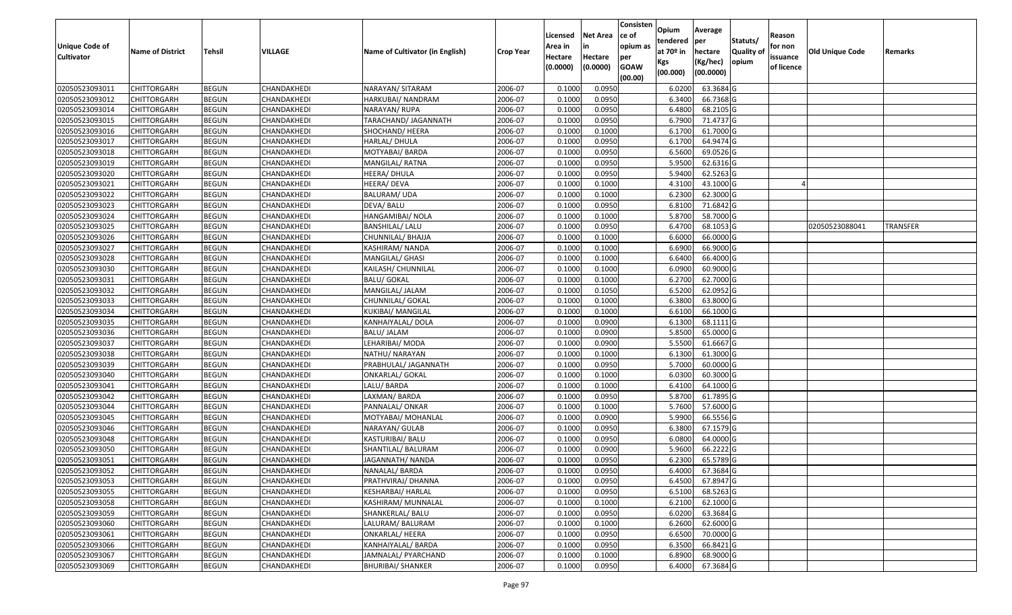| Unique Code of    |                         |              | VILLAGE     |                                 |                  | Licensed<br>Area in | <b>Net Area</b><br>in | Consisten<br>ce of<br>opium as | Opium<br>tendered<br>at $70°$ in | Average<br>per                   | Statuts/<br><b>Quality o</b> | Reason<br>for non      | Old Unique Code |          |
|-------------------|-------------------------|--------------|-------------|---------------------------------|------------------|---------------------|-----------------------|--------------------------------|----------------------------------|----------------------------------|------------------------------|------------------------|-----------------|----------|
| <b>Cultivator</b> | <b>Name of District</b> | Tehsil       |             | Name of Cultivator (in English) | <b>Crop Year</b> | Hectare<br>(0.0000) | Hectare<br>(0.0000)   | per<br><b>GOAW</b><br>(00.00)  | Kgs<br>(00.000)                  | hectare<br>(Kg/hec)<br>(00.0000) | opium                        | issuance<br>of licence |                 | Remarks  |
| 02050523093011    | CHITTORGARH             | <b>BEGUN</b> | CHANDAKHEDI | NARAYAN/ SITARAM                | 2006-07          | 0.1000              | 0.0950                |                                | 6.0200                           | 63.3684 G                        |                              |                        |                 |          |
| 02050523093012    | CHITTORGARH             | <b>BEGUN</b> | CHANDAKHEDI | HARKUBAI/ NANDRAM               | 2006-07          | 0.1000              | 0.0950                |                                | 6.3400                           | 66.7368 G                        |                              |                        |                 |          |
| 02050523093014    | CHITTORGARH             | <b>BEGUN</b> | CHANDAKHEDI | NARAYAN/ RUPA                   | 2006-07          | 0.1000              | 0.0950                |                                | 6.4800                           | 68.2105 G                        |                              |                        |                 |          |
| 02050523093015    | <b>CHITTORGARH</b>      | <b>BEGUN</b> | CHANDAKHEDI | TARACHAND/ JAGANNATH            | 2006-07          | 0.1000              | 0.0950                |                                | 6.7900                           | 71.4737 G                        |                              |                        |                 |          |
| 02050523093016    | CHITTORGARH             | <b>BEGUN</b> | CHANDAKHEDI | SHOCHAND/ HEERA                 | 2006-07          | 0.1000              | 0.1000                |                                | 6.1700                           | 61.7000 G                        |                              |                        |                 |          |
| 02050523093017    | CHITTORGARH             | <b>BEGUN</b> | CHANDAKHEDI | HARLAL/ DHULA                   | 2006-07          | 0.1000              | 0.0950                |                                | 6.1700                           | 64.9474 G                        |                              |                        |                 |          |
| 02050523093018    | CHITTORGARH             | <b>BEGUN</b> | CHANDAKHEDI | MOTYABAI/ BARDA                 | 2006-07          | 0.1000              | 0.0950                |                                | 6.5600                           | 69.0526 G                        |                              |                        |                 |          |
| 02050523093019    | <b>CHITTORGARH</b>      | <b>BEGUN</b> | CHANDAKHEDI | MANGILAL/RATNA                  | 2006-07          | 0.1000              | 0.0950                |                                | 5.9500                           | 62.6316 G                        |                              |                        |                 |          |
| 02050523093020    | CHITTORGARH             | <b>BEGUN</b> | CHANDAKHEDI | HEERA/ DHULA                    | 2006-07          | 0.1000              | 0.0950                |                                | 5.9400                           | 62.5263 G                        |                              |                        |                 |          |
| 02050523093021    | CHITTORGARH             | <b>BEGUN</b> | CHANDAKHEDI | HEERA/ DEVA                     | 2006-07          | 0.1000              | 0.1000                |                                | 4.3100                           | 43.1000 G                        |                              |                        |                 |          |
| 02050523093022    | CHITTORGARH             | <b>BEGUN</b> | CHANDAKHEDI | BALURAM/ UDA                    | 2006-07          | 0.1000              | 0.1000                |                                | 6.2300                           | 62.3000G                         |                              |                        |                 |          |
| 02050523093023    | <b>CHITTORGARH</b>      | <b>BEGUN</b> | CHANDAKHEDI | DEVA/ BALU                      | 2006-07          | 0.1000              | 0.0950                |                                | 6.8100                           | 71.6842 G                        |                              |                        |                 |          |
| 02050523093024    | <b>CHITTORGARH</b>      | <b>BEGUN</b> | CHANDAKHEDI | HANGAMIBAI/ NOLA                | 2006-07          | 0.1000              | 0.1000                |                                | 5.8700                           | 58.7000 G                        |                              |                        |                 |          |
| 02050523093025    | CHITTORGARH             | <b>BEGUN</b> | CHANDAKHEDI | <b>BANSHILAL/ LALU</b>          | 2006-07          | 0.1000              | 0.0950                |                                | 6.4700                           | 68.1053 G                        |                              |                        | 02050523088041  | TRANSFER |
| 02050523093026    | CHITTORGARH             | <b>BEGUN</b> | CHANDAKHEDI | CHUNNILAL/ BHAJJA               | 2006-07          | 0.1000              | 0.1000                |                                | 6.6000                           | 66.0000G                         |                              |                        |                 |          |
| 02050523093027    | CHITTORGARH             | <b>BEGUN</b> | CHANDAKHEDI | KASHIRAM/ NANDA                 | 2006-07          | 0.1000              | 0.1000                |                                | 6.6900                           | 66.9000 G                        |                              |                        |                 |          |
| 02050523093028    | CHITTORGARH             | <b>BEGUN</b> | CHANDAKHEDI | MANGILAL/ GHASI                 | 2006-07          | 0.1000              | 0.1000                |                                | 6.6400                           | 66.4000G                         |                              |                        |                 |          |
| 02050523093030    | CHITTORGARH             | <b>BEGUN</b> | CHANDAKHEDI | KAILASH/ CHUNNILAL              | 2006-07          | 0.1000              | 0.1000                |                                | 6.0900                           | 60.9000 G                        |                              |                        |                 |          |
| 02050523093031    | CHITTORGARH             | <b>BEGUN</b> | CHANDAKHEDI | <b>BALU/ GOKAL</b>              | 2006-07          | 0.1000              | 0.1000                |                                | 6.2700                           | 62.7000 G                        |                              |                        |                 |          |
| 02050523093032    | CHITTORGARH             | <b>BEGUN</b> | CHANDAKHEDI | MANGILAL/ JALAM                 | 2006-07          | 0.1000              | 0.1050                |                                | 6.5200                           | 62.0952 G                        |                              |                        |                 |          |
| 02050523093033    | CHITTORGARH             | <b>BEGUN</b> | CHANDAKHEDI | CHUNNILAL/ GOKAL                | 2006-07          | 0.1000              | 0.1000                |                                | 6.3800                           | 63.8000G                         |                              |                        |                 |          |
| 02050523093034    | CHITTORGARH             | <b>BEGUN</b> | CHANDAKHEDI | KUKIBAI/ MANGILAL               | 2006-07          | 0.1000              | 0.1000                |                                | 6.6100                           | 66.1000 G                        |                              |                        |                 |          |
| 02050523093035    | CHITTORGARH             | <b>BEGUN</b> | CHANDAKHEDI | KANHAIYALAL/ DOLA               | 2006-07          | 0.1000              | 0.0900                |                                | 6.1300                           | 68.1111G                         |                              |                        |                 |          |
| 02050523093036    | CHITTORGARH             | <b>BEGUN</b> | CHANDAKHEDI | <b>BALU/ JALAM</b>              | 2006-07          | 0.1000              | 0.0900                |                                | 5.8500                           | 65.0000 G                        |                              |                        |                 |          |
| 02050523093037    | <b>CHITTORGARH</b>      | <b>BEGUN</b> | CHANDAKHEDI | LEHARIBAI/ MODA                 | 2006-07          | 0.1000              | 0.0900                |                                | 5.5500                           | 61.6667 G                        |                              |                        |                 |          |
| 02050523093038    | CHITTORGARH             | <b>BEGUN</b> | CHANDAKHEDI | NATHU/ NARAYAN                  | 2006-07          | 0.1000              | 0.1000                |                                | 6.1300                           | 61.3000G                         |                              |                        |                 |          |
| 02050523093039    | CHITTORGARH             | <b>BEGUN</b> | CHANDAKHEDI | PRABHULAL/ JAGANNATH            | 2006-07          | 0.1000              | 0.0950                |                                | 5.7000                           | 60.0000G                         |                              |                        |                 |          |
| 02050523093040    | CHITTORGARH             | <b>BEGUN</b> | CHANDAKHEDI | ONKARLAL/ GOKAL                 | 2006-07          | 0.1000              | 0.1000                |                                | 6.0300                           | 60.3000 G                        |                              |                        |                 |          |
| 02050523093041    | CHITTORGARH             | <b>BEGUN</b> | CHANDAKHEDI | LALU/ BARDA                     | 2006-07          | 0.1000              | 0.1000                |                                | 6.4100                           | 64.1000 G                        |                              |                        |                 |          |
| 02050523093042    | CHITTORGARH             | <b>BEGUN</b> | CHANDAKHEDI | LAXMAN/ BARDA                   | 2006-07          | 0.1000              | 0.0950                |                                | 5.8700                           | $61.7895$ G                      |                              |                        |                 |          |
| 02050523093044    | CHITTORGARH             | <b>BEGUN</b> | CHANDAKHEDI | PANNALAL/ ONKAR                 | 2006-07          | 0.1000              | 0.1000                |                                | 5.7600                           | 57.6000 G                        |                              |                        |                 |          |
| 02050523093045    | CHITTORGARH             | <b>BEGUN</b> | CHANDAKHEDI | MOTYABAI/ MOHANLAL              | 2006-07          | 0.1000              | 0.0900                |                                | 5.9900                           | 66.5556 G                        |                              |                        |                 |          |
| 02050523093046    | CHITTORGARH             | <b>BEGUN</b> | CHANDAKHEDI | NARAYAN/ GULAB                  | 2006-07          | 0.1000              | 0.0950                |                                | 6.3800                           | 67.1579 G                        |                              |                        |                 |          |
| 02050523093048    | CHITTORGARH             | <b>BEGUN</b> | CHANDAKHEDI | KASTURIBAI/ BALU                | 2006-07          | 0.1000              | 0.0950                |                                | 6.0800                           | 64.0000 G                        |                              |                        |                 |          |
| 02050523093050    | CHITTORGARH             | <b>BEGUN</b> | CHANDAKHEDI | SHANTILAL/ BALURAM              | 2006-07          | 0.1000              | 0.0900                |                                | 5.9600                           | 66.2222 G                        |                              |                        |                 |          |
| 02050523093051    | CHITTORGARH             | <b>BEGUN</b> | CHANDAKHEDI | JAGANNATH/ NANDA                | 2006-07          | 0.1000              | 0.0950                |                                | 6.2300                           | 65.5789 G                        |                              |                        |                 |          |
| 02050523093052    | <b>CHITTORGARH</b>      | <b>BEGUN</b> | CHANDAKHEDI | NANALAL/ BARDA                  | 2006-07          | 0.1000              | 0.0950                |                                | 6.4000                           | 67.3684 G                        |                              |                        |                 |          |
| 02050523093053    | <b>CHITTORGARH</b>      | <b>BEGUN</b> | CHANDAKHEDI | PRATHVIRAJ/ DHANNA              | 2006-07          | 0.1000              | 0.0950                |                                | 6.4500                           | 67.8947 G                        |                              |                        |                 |          |
| 02050523093055    | <b>CHITTORGARH</b>      | <b>BEGUN</b> | CHANDAKHEDI | KESHARBAI/ HARLAL               | 2006-07          | 0.1000              | 0.0950                |                                | 6.5100                           | 68.5263 G                        |                              |                        |                 |          |
| 02050523093058    | <b>CHITTORGARH</b>      | <b>BEGUN</b> | CHANDAKHEDI | KASHIRAM/ MUNNALAL              | 2006-07          | 0.1000              | 0.1000                |                                | 6.2100                           | 62.1000 G                        |                              |                        |                 |          |
| 02050523093059    | CHITTORGARH             | <b>BEGUN</b> | CHANDAKHEDI | SHANKERLAL/ BALU                | 2006-07          | 0.1000              | 0.0950                |                                | 6.0200                           | 63.3684 G                        |                              |                        |                 |          |
| 02050523093060    | <b>CHITTORGARH</b>      | <b>BEGUN</b> | CHANDAKHEDI | LALURAM/ BALURAM                | 2006-07          | 0.1000              | 0.1000                |                                | 6.2600                           | 62.6000 G                        |                              |                        |                 |          |
| 02050523093061    | <b>CHITTORGARH</b>      | <b>BEGUN</b> | CHANDAKHEDI | <b>ONKARLAL/ HEERA</b>          | 2006-07          | 0.1000              | 0.0950                |                                | 6.6500                           | 70.0000 G                        |                              |                        |                 |          |
| 02050523093066    | CHITTORGARH             | <b>BEGUN</b> | CHANDAKHEDI | KANHAIYALAL/ BARDA              | 2006-07          | 0.1000              | 0.0950                |                                | 6.3500                           | 66.8421 G                        |                              |                        |                 |          |
| 02050523093067    | CHITTORGARH             | <b>BEGUN</b> | CHANDAKHEDI | JAMNALAL/ PYARCHAND             | 2006-07          | 0.1000              | 0.1000                |                                | 6.8900                           | 68.9000 G                        |                              |                        |                 |          |
| 02050523093069    | <b>CHITTORGARH</b>      | <b>BEGUN</b> | CHANDAKHEDI | <b>BHURIBAI/ SHANKER</b>        | 2006-07          | 0.1000              | 0.0950                |                                | 6.4000                           | 67.3684 G                        |                              |                        |                 |          |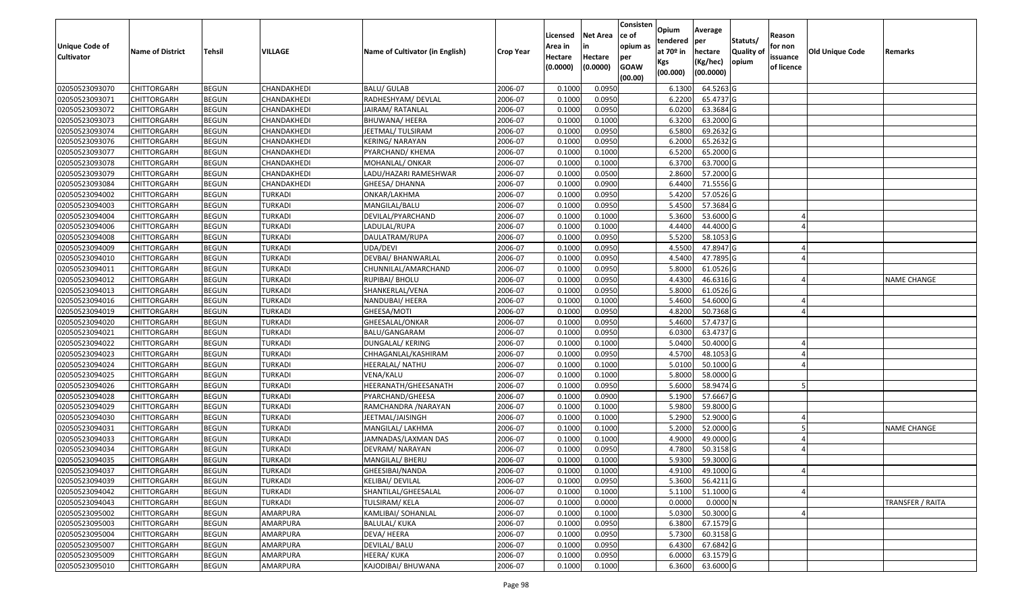|                                     |                         |               |                    |                                 |                  | Licensed           | <b>Net Area</b><br>in | Consisten<br>ce of<br>opium as | Opium<br>tendered | Average<br>per        | Statuts/         | Reason<br>for non |                        |                    |
|-------------------------------------|-------------------------|---------------|--------------------|---------------------------------|------------------|--------------------|-----------------------|--------------------------------|-------------------|-----------------------|------------------|-------------------|------------------------|--------------------|
| Unique Code of<br><b>Cultivator</b> | <b>Name of District</b> | <b>Tehsil</b> | <b>VILLAGE</b>     | Name of Cultivator (in English) | <b>Crop Year</b> | Area in<br>Hectare | Hectare               | per                            | at $70°$ in       | hectare               | <b>Quality o</b> | issuance          | <b>Old Unique Code</b> | Remarks            |
|                                     |                         |               |                    |                                 |                  | (0.0000)           | (0.0000)              | <b>GOAW</b><br>(00.00)         | Kgs<br>(00.000)   | (Kg/hec)<br>(00.0000) | opium            | of licence        |                        |                    |
| 02050523093070                      | CHITTORGARH             | <b>BEGUN</b>  | CHANDAKHEDI        | <b>BALU/ GULAB</b>              | 2006-07          | 0.1000             | 0.0950                |                                | 6.1300            | 64.5263 G             |                  |                   |                        |                    |
| 02050523093071                      | CHITTORGARH             | <b>BEGUN</b>  | CHANDAKHEDI        | RADHESHYAM/ DEVLAL              | 2006-07          | 0.1000             | 0.0950                |                                | 6.2200            | 65.4737 G             |                  |                   |                        |                    |
| 02050523093072                      | CHITTORGARH             | <b>BEGUN</b>  | CHANDAKHEDI        | JAIRAM/ RATANLAL                | 2006-07          | 0.1000             | 0.0950                |                                | 6.0200            | 63.3684 G             |                  |                   |                        |                    |
| 02050523093073                      | <b>CHITTORGARH</b>      | <b>BEGUN</b>  | CHANDAKHEDI        | BHUWANA/ HEERA                  | 2006-07          | 0.1000             | 0.1000                |                                | 6.3200            | 63.2000 G             |                  |                   |                        |                    |
| 02050523093074                      | CHITTORGARH             | <b>BEGUN</b>  | CHANDAKHEDI        | JEETMAL/ TULSIRAM               | 2006-07          | 0.1000             | 0.0950                |                                | 6.5800            | 69.2632 G             |                  |                   |                        |                    |
| 02050523093076                      | CHITTORGARH             | <b>BEGUN</b>  | <b>CHANDAKHEDI</b> | KERING/ NARAYAN                 | 2006-07          | 0.1000             | 0.0950                |                                | 6.2000            | 65.2632 G             |                  |                   |                        |                    |
| 02050523093077                      | CHITTORGARH             | <b>BEGUN</b>  | CHANDAKHEDI        | PYARCHAND/ KHEMA                | 2006-07          | 0.1000             | 0.1000                |                                | 6.5200            | 65.2000 G             |                  |                   |                        |                    |
| 02050523093078                      | CHITTORGARH             | <b>BEGUN</b>  | CHANDAKHEDI        | MOHANLAL/ ONKAR                 | 2006-07          | 0.1000             | 0.1000                |                                | 6.3700            | 63.7000 G             |                  |                   |                        |                    |
| 02050523093079                      | CHITTORGARH             | <b>BEGUN</b>  | CHANDAKHEDI        | LADU/HAZARI RAMESHWAR           | 2006-07          | 0.1000             | 0.0500                |                                | 2.8600            | 57.2000 G             |                  |                   |                        |                    |
| 02050523093084                      | CHITTORGARH             | <b>BEGUN</b>  | CHANDAKHEDI        | GHEESA/ DHANNA                  | 2006-07          | 0.1000             | 0.0900                |                                | 6.4400            | 71.5556 G             |                  |                   |                        |                    |
| 02050523094002                      | CHITTORGARH             | <b>BEGUN</b>  | <b>TURKADI</b>     | ONKAR/LAKHMA                    | 2006-07          | 0.1000             | 0.0950                |                                | 5.4200            | 57.0526 G             |                  |                   |                        |                    |
| 02050523094003                      | CHITTORGARH             | <b>BEGUN</b>  | <b>TURKADI</b>     | MANGILAL/BALU                   | 2006-07          | 0.1000             | 0.0950                |                                | 5.4500            | 57.3684 G             |                  |                   |                        |                    |
| 02050523094004                      | <b>CHITTORGARH</b>      | <b>BEGUN</b>  | <b>TURKADI</b>     | DEVILAL/PYARCHAND               | 2006-07          | 0.1000             | 0.1000                |                                | 5.3600            | 53.6000 G             |                  |                   |                        |                    |
| 02050523094006                      | CHITTORGARH             | <b>BEGUN</b>  | <b>TURKADI</b>     | LADULAL/RUPA                    | 2006-07          | 0.1000             | 0.1000                |                                | 4.4400            | 44.4000 G             |                  |                   |                        |                    |
| 02050523094008                      | CHITTORGARH             | <b>BEGUN</b>  | <b>TURKADI</b>     | DAULATRAM/RUPA                  | 2006-07          | 0.1000             | 0.0950                |                                | 5.5200            | 58.1053 G             |                  |                   |                        |                    |
| 02050523094009                      | CHITTORGARH             | <b>BEGUN</b>  | <b>TURKADI</b>     | UDA/DEVI                        | 2006-07          | 0.1000             | 0.0950                |                                | 4.5500            | 47.8947 G             |                  |                   |                        |                    |
| 02050523094010                      | CHITTORGARH             | <b>BEGUN</b>  | <b>TURKADI</b>     | DEVBAI/ BHANWARLAL              | 2006-07          | 0.1000             | 0.0950                |                                | 4.5400            | 47.7895 G             |                  |                   |                        |                    |
| 02050523094011                      | CHITTORGARH             | <b>BEGUN</b>  | <b>TURKADI</b>     | CHUNNILAL/AMARCHAND             | 2006-07          | 0.1000             | 0.0950                |                                | 5.8000            | 61.0526 G             |                  |                   |                        |                    |
| 02050523094012                      | CHITTORGARH             | <b>BEGUN</b>  | <b>TURKADI</b>     | RUPIBAI/ BHOLU                  | 2006-07          | 0.1000             | 0.0950                |                                | 4.4300            | 46.6316 G             |                  |                   |                        | <b>NAME CHANGE</b> |
| 02050523094013                      | CHITTORGARH             | <b>BEGUN</b>  | <b>TURKADI</b>     | SHANKERLAL/VENA                 | 2006-07          | 0.1000             | 0.0950                |                                | 5.8000            | 61.0526 G             |                  |                   |                        |                    |
| 02050523094016                      | CHITTORGARH             | <b>BEGUN</b>  | <b>TURKADI</b>     | NANDUBAI/ HEERA                 | 2006-07          | 0.1000             | 0.1000                |                                | 5.4600            | 54.6000 G             |                  |                   |                        |                    |
| 02050523094019                      | CHITTORGARH             | <b>BEGUN</b>  | <b>TURKADI</b>     | GHEESA/MOTI                     | 2006-07          | 0.1000             | 0.0950                |                                | 4.8200            | 50.7368 G             |                  |                   |                        |                    |
| 02050523094020                      | CHITTORGARH             | <b>BEGUN</b>  | <b>TURKADI</b>     | GHEESALAL/ONKAR                 | 2006-07          | 0.1000             | 0.0950                |                                | 5.4600            | 57.4737 G             |                  |                   |                        |                    |
| 02050523094021                      | CHITTORGARH             | <b>BEGUN</b>  | <b>TURKADI</b>     | BALU/GANGARAM                   | 2006-07          | 0.1000             | 0.0950                |                                | 6.0300            | 63.4737 G             |                  |                   |                        |                    |
| 02050523094022                      | <b>CHITTORGARH</b>      | <b>BEGUN</b>  | <b>TURKADI</b>     | <b>DUNGALAL/ KERING</b>         | 2006-07          | 0.1000             | 0.1000                |                                | 5.0400            | 50.4000 G             |                  |                   |                        |                    |
| 02050523094023                      | CHITTORGARH             | <b>BEGUN</b>  | <b>TURKADI</b>     | CHHAGANLAL/KASHIRAM             | 2006-07          | 0.1000             | 0.0950                |                                | 4.5700            | 48.1053 G             |                  |                   |                        |                    |
| 02050523094024                      | CHITTORGARH             | <b>BEGUN</b>  | <b>TURKADI</b>     | HEERALAL/ NATHU                 | 2006-07          | 0.1000             | 0.1000                |                                | 5.0100            | 50.1000G              |                  |                   |                        |                    |
| 02050523094025                      | CHITTORGARH             | <b>BEGUN</b>  | <b>TURKADI</b>     | VENA/KALU                       | 2006-07          | 0.1000             | 0.1000                |                                | 5.8000            | 58.0000G              |                  |                   |                        |                    |
| 02050523094026                      | CHITTORGARH             | <b>BEGUN</b>  | <b>TURKADI</b>     | HEERANATH/GHEESANATH            | 2006-07          | 0.1000             | 0.0950                |                                | 5.6000            | 58.9474 G             |                  |                   |                        |                    |
| 02050523094028                      | CHITTORGARH             | <b>BEGUN</b>  | <b>TURKADI</b>     | PYARCHAND/GHEESA                | 2006-07          | 0.1000             | 0.0900                |                                | 5.1900            | 57.6667 G             |                  |                   |                        |                    |
| 02050523094029                      | CHITTORGARH             | <b>BEGUN</b>  | <b>TURKADI</b>     | RAMCHANDRA / NARAYAN            | 2006-07          | 0.100              | 0.1000                |                                | 5.9800            | 59.8000 G             |                  |                   |                        |                    |
| 02050523094030                      | CHITTORGARH             | <b>BEGUN</b>  | <b>TURKADI</b>     | JEETMAL/JAISINGH                | 2006-07          | 0.1000             | 0.1000                |                                | 5.2900            | 52.9000G              |                  |                   |                        |                    |
| 02050523094031                      | CHITTORGARH             | <b>BEGUN</b>  | <b>TURKADI</b>     | MANGILAL/ LAKHMA                | 2006-07          | 0.100              | 0.1000                |                                | 5.2000            | 52.0000G              |                  |                   |                        | <b>NAME CHANGE</b> |
| 02050523094033                      | CHITTORGARH             | <b>BEGUN</b>  | TURKADI            | JAMNADAS/LAXMAN DAS             | 2006-07          | 0.1000             | 0.1000                |                                | 4.9000            | 49.0000G              |                  |                   |                        |                    |
| 02050523094034                      | CHITTORGARH             | <b>BEGUN</b>  | <b>TURKADI</b>     | DEVRAM/ NARAYAN                 | 2006-07          | 0.1000             | 0.0950                |                                | 4.7800            | 50.3158 G             |                  |                   |                        |                    |
| 02050523094035                      | CHITTORGARH             | <b>BEGUN</b>  | TURKADI            | MANGILAL/ BHERU                 | 2006-07          | 0.1000             | 0.1000                |                                | 5.9300            | 59.3000G              |                  |                   |                        |                    |
| 02050523094037                      | <b>CHITTORGARH</b>      | <b>BEGUN</b>  | <b>TURKADI</b>     | GHEESIBAI/NANDA                 | 2006-07          | 0.1000             | 0.1000                |                                | 4.9100            | 49.1000 G             |                  |                   |                        |                    |
| 02050523094039                      | <b>CHITTORGARH</b>      | <b>BEGUN</b>  | TURKADI            | KELIBAI/ DEVILAL                | 2006-07          | 0.1000             | 0.0950                |                                | 5.3600            | 56.4211 G             |                  |                   |                        |                    |
| 02050523094042                      | <b>CHITTORGARH</b>      | <b>BEGUN</b>  | <b>TURKADI</b>     | SHANTILAL/GHEESALAL             | 2006-07          | 0.1000             | 0.1000                |                                | 5.1100            | 51.1000 G             |                  |                   |                        |                    |
| 02050523094043                      | <b>CHITTORGARH</b>      | <b>BEGUN</b>  | <b>TURKADI</b>     | TULSIRAM/KELA                   | 2006-07          | 0.1000             | 0.0000                |                                | 0.0000            | 0.0000N               |                  |                   |                        | TRANSFER / RAITA   |
| 02050523095002                      | CHITTORGARH             | <b>BEGUN</b>  | AMARPURA           | KAMLIBAI/ SOHANLAL              | 2006-07          | 0.1000             | 0.1000                |                                | 5.0300            | 50.3000 G             |                  |                   |                        |                    |
| 02050523095003                      | <b>CHITTORGARH</b>      | <b>BEGUN</b>  | AMARPURA           | <b>BALULAL/ KUKA</b>            | 2006-07          | 0.1000             | 0.0950                |                                | 6.3800            | 67.1579 G             |                  |                   |                        |                    |
| 02050523095004                      | <b>CHITTORGARH</b>      | <b>BEGUN</b>  | AMARPURA           | DEVA/HEERA                      | 2006-07          | 0.1000             | 0.0950                |                                | 5.7300            | 60.3158 G             |                  |                   |                        |                    |
| 02050523095007                      | <b>CHITTORGARH</b>      | <b>BEGUN</b>  | AMARPURA           | DEVILAL/ BALU                   | 2006-07          | 0.1000             | 0.0950                |                                | 6.4300            | 67.6842 G             |                  |                   |                        |                    |
| 02050523095009                      | CHITTORGARH             | <b>BEGUN</b>  | AMARPURA           | HEERA/ KUKA                     | 2006-07          | 0.1000             | 0.0950                |                                | 6.0000            | 63.1579 G             |                  |                   |                        |                    |
| 02050523095010                      | <b>CHITTORGARH</b>      | <b>BEGUN</b>  | AMARPURA           | KAJODIBAI/ BHUWANA              | 2006-07          | 0.1000             | 0.1000                |                                | 6.3600            | 63.6000 G             |                  |                   |                        |                    |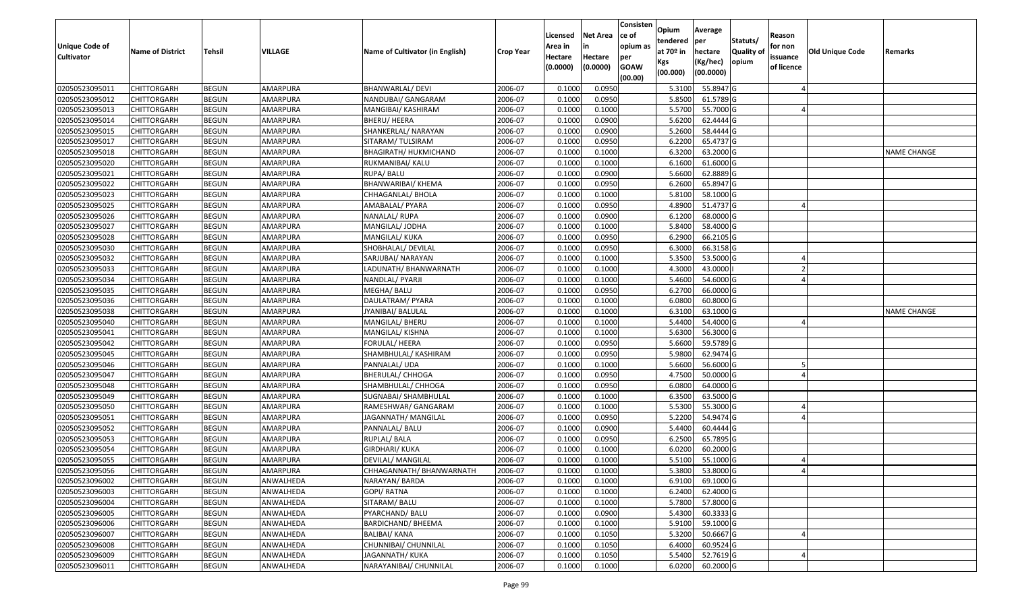| <b>Unique Code of</b><br><b>Cultivator</b> | <b>Name of District</b> | <b>Tehsil</b> | VILLAGE         | Name of Cultivator (in English) | <b>Crop Year</b> | Licensed<br>Area in<br>Hectare<br>(0.0000) | <b>Net Area</b><br>in<br>Hectare<br>(0.0000) | Consisten<br>lce of<br>opium as<br>per<br><b>GOAW</b> | Opium<br>tendered<br>at $70°$ in<br>Kgs<br>(00.000) | Average<br>per<br>hectare<br>(Kg/hec)<br>(00.0000) | Statuts/<br>Quality of<br>opium | Reason<br>for non<br>issuance<br>of licence | <b>Old Unique Code</b> | Remarks            |
|--------------------------------------------|-------------------------|---------------|-----------------|---------------------------------|------------------|--------------------------------------------|----------------------------------------------|-------------------------------------------------------|-----------------------------------------------------|----------------------------------------------------|---------------------------------|---------------------------------------------|------------------------|--------------------|
|                                            |                         |               |                 |                                 |                  |                                            |                                              | (00.00)                                               |                                                     |                                                    |                                 |                                             |                        |                    |
| 02050523095011                             | <b>CHITTORGARH</b>      | <b>BEGUN</b>  | AMARPURA        | BHANWARLAL/ DEVI                | 2006-07          | 0.100                                      | 0.0950                                       |                                                       | 5.3100                                              | 55.8947 G                                          |                                 |                                             |                        |                    |
| 02050523095012                             | CHITTORGARH             | <b>BEGUN</b>  | AMARPURA        | NANDUBAI/ GANGARAM              | 2006-07          | 0.1000                                     | 0.0950                                       |                                                       | 5.8500                                              | 61.5789 G                                          |                                 |                                             |                        |                    |
| 02050523095013                             | <b>CHITTORGARH</b>      | <b>BEGUN</b>  | AMARPURA        | MANGIBAI/ KASHIRAM              | 2006-07          | 0.1000                                     | 0.1000                                       |                                                       | 5.5700                                              | 55.7000 G                                          |                                 |                                             |                        |                    |
| 02050523095014                             | <b>CHITTORGARH</b>      | <b>BEGUN</b>  | <b>AMARPURA</b> | <b>BHERU/ HEERA</b>             | 2006-07          | 0.1000                                     | 0.0900                                       |                                                       | 5.6200                                              | 62.4444 G                                          |                                 |                                             |                        |                    |
| 02050523095015                             | <b>CHITTORGARH</b>      | <b>BEGUN</b>  | AMARPURA        | SHANKERLAL/ NARAYAN             | 2006-07          | 0.1000                                     | 0.0900                                       |                                                       | 5.2600                                              | 58.4444 G                                          |                                 |                                             |                        |                    |
| 02050523095017                             | <b>CHITTORGARH</b>      | <b>BEGUN</b>  | AMARPURA        | SITARAM/ TULSIRAM               | 2006-07          | 0.1000                                     | 0.0950                                       |                                                       | 6.2200                                              | 65.4737 G                                          |                                 |                                             |                        |                    |
| 02050523095018                             | CHITTORGARH             | <b>BEGUN</b>  | AMARPURA        | BHAGIRATH/ HUKMICHAND           | 2006-07          | 0.1000                                     | 0.1000                                       |                                                       | 6.3200                                              | 63.2000 G                                          |                                 |                                             |                        | NAME CHANGE        |
| 02050523095020                             | <b>CHITTORGARH</b>      | <b>BEGUN</b>  | AMARPURA        | RUKMANIBAI/ KALU                | 2006-07          | 0.1000                                     | 0.1000                                       |                                                       | 6.1600                                              | 61.6000 G                                          |                                 |                                             |                        |                    |
| 02050523095021                             | CHITTORGARH             | <b>BEGUN</b>  | AMARPURA        | RUPA/ BALU                      | 2006-07          | 0.1000                                     | 0.0900                                       |                                                       | 5.6600                                              | 62.8889 G                                          |                                 |                                             |                        |                    |
| 02050523095022                             | CHITTORGARH             | <b>BEGUN</b>  | AMARPURA        | <b>BHANWARIBAI/ KHEMA</b>       | 2006-07          | 0.1000                                     | 0.0950                                       |                                                       | 6.2600                                              | 65.8947 G                                          |                                 |                                             |                        |                    |
| 02050523095023                             | <b>CHITTORGARH</b>      | <b>BEGUN</b>  | AMARPURA        | CHHAGANLAL/ BHOLA               | 2006-07          | 0.1000                                     | 0.1000                                       |                                                       | 5.8100                                              | 58.1000 G                                          |                                 |                                             |                        |                    |
| 02050523095025                             | <b>CHITTORGARH</b>      | <b>BEGUN</b>  | AMARPURA        | AMABALAL/ PYARA                 | 2006-07          | 0.1000                                     | 0.0950                                       |                                                       | 4.8900                                              | 51.4737 G                                          |                                 |                                             |                        |                    |
| 02050523095026                             | <b>CHITTORGARH</b>      | <b>BEGUN</b>  | AMARPURA        | NANALAL/RUPA                    | 2006-07          | 0.1000                                     | 0.0900                                       |                                                       | 6.1200                                              | 68.0000 G                                          |                                 |                                             |                        |                    |
| 02050523095027                             | <b>CHITTORGARH</b>      | <b>BEGUN</b>  | AMARPURA        | MANGILAL/JODHA                  | 2006-07          | 0.1000                                     | 0.1000                                       |                                                       | 5.8400                                              | 58.4000 G                                          |                                 |                                             |                        |                    |
| 02050523095028                             | <b>CHITTORGARH</b>      | <b>BEGUN</b>  | AMARPURA        | MANGILAL/ KUKA                  | 2006-07          | 0.1000                                     | 0.0950                                       |                                                       | 6.2900                                              | 66.2105 G                                          |                                 |                                             |                        |                    |
| 02050523095030                             | <b>CHITTORGARH</b>      | <b>BEGUN</b>  | AMARPURA        | SHOBHALAL/ DEVILAL              | 2006-07          | 0.1000                                     | 0.0950                                       |                                                       | 6.3000                                              | 66.3158 G                                          |                                 |                                             |                        |                    |
| 02050523095032                             | <b>CHITTORGARH</b>      | <b>BEGUN</b>  | AMARPURA        | SARJUBAI/ NARAYAN               | 2006-07          | 0.1000                                     | 0.1000                                       |                                                       | 5.3500                                              | 53.5000 G                                          |                                 |                                             |                        |                    |
| 02050523095033                             | <b>CHITTORGARH</b>      | <b>BEGUN</b>  | AMARPURA        | LADUNATH/ BHANWARNATH           | 2006-07          | 0.1000                                     | 0.1000                                       |                                                       | 4.3000                                              | 43.0000                                            |                                 |                                             |                        |                    |
| 02050523095034                             | CHITTORGARH             | <b>BEGUN</b>  | AMARPURA        | NANDLAL/ PYARJI                 | 2006-07          | 0.1000                                     | 0.1000                                       |                                                       | 5.4600                                              | 54.6000 G                                          |                                 |                                             |                        |                    |
| 02050523095035                             | <b>CHITTORGARH</b>      | <b>BEGUN</b>  | AMARPURA        | MEGHA/ BALU                     | 2006-07          | 0.1000                                     | 0.0950                                       |                                                       | 6.2700                                              | 66.0000 G                                          |                                 |                                             |                        |                    |
| 02050523095036                             | <b>CHITTORGARH</b>      | <b>BEGUN</b>  | AMARPURA        | DAULATRAM/ PYARA                | 2006-07          | 0.1000                                     | 0.1000                                       |                                                       | 6.0800                                              | 60.8000 G                                          |                                 |                                             |                        |                    |
| 02050523095038                             | CHITTORGARH             | <b>BEGUN</b>  | AMARPURA        | JYANIBAI/ BALULAL               | 2006-07          | 0.100                                      | 0.1000                                       |                                                       | 6.3100                                              | 63.1000 G                                          |                                 |                                             |                        | <b>NAME CHANGE</b> |
| 02050523095040                             | CHITTORGARH             | <b>BEGUN</b>  | AMARPURA        | MANGILAL/ BHERU                 | 2006-07          | 0.1000                                     | 0.1000                                       |                                                       | 5.4400                                              | 54.4000 G                                          |                                 |                                             |                        |                    |
| 02050523095041                             | <b>CHITTORGARH</b>      | <b>BEGUN</b>  | AMARPURA        | MANGILAL/ KISHNA                | 2006-07          | 0.1000                                     | 0.1000                                       |                                                       | 5.6300                                              | 56.3000 G                                          |                                 |                                             |                        |                    |
| 02050523095042                             | <b>CHITTORGARH</b>      | <b>BEGUN</b>  | AMARPURA        | FORULAL/ HEERA                  | 2006-07          | 0.1000                                     | 0.0950                                       |                                                       | 5.6600                                              | 59.5789 G                                          |                                 |                                             |                        |                    |
| 02050523095045                             | <b>CHITTORGARH</b>      | <b>BEGUN</b>  | AMARPURA        | SHAMBHULAL/ KASHIRAM            | 2006-07          | 0.1000                                     | 0.0950                                       |                                                       | 5.9800                                              | 62.9474 G                                          |                                 |                                             |                        |                    |
| 02050523095046                             | <b>CHITTORGARH</b>      | <b>BEGUN</b>  | AMARPURA        | PANNALAL/ UDA                   | 2006-07          | 0.1000                                     | 0.1000                                       |                                                       | 5.6600                                              | 56.6000 G                                          |                                 |                                             |                        |                    |
| 02050523095047                             | <b>CHITTORGARH</b>      | <b>BEGUN</b>  | AMARPURA        | <b>BHERULAL/ CHHOGA</b>         | 2006-07          | 0.1000                                     | 0.0950                                       |                                                       | 4.7500                                              | 50.0000 G                                          |                                 |                                             |                        |                    |
| 02050523095048                             | <b>CHITTORGARH</b>      | <b>BEGUN</b>  | AMARPURA        | SHAMBHULAL/ CHHOGA              | 2006-07          | 0.1000                                     | 0.0950                                       |                                                       | 6.0800                                              | 64.0000 G                                          |                                 |                                             |                        |                    |
| 02050523095049                             | <b>CHITTORGARH</b>      | <b>BEGUN</b>  | AMARPURA        | SUGNABAI/ SHAMBHULAL            | 2006-07          | 0.1000                                     | 0.1000                                       |                                                       | 6.3500                                              | 63.5000 G                                          |                                 |                                             |                        |                    |
| 02050523095050                             | CHITTORGARH             | <b>BEGUN</b>  | AMARPURA        | RAMESHWAR/ GANGARAM             | 2006-07          | 0.100                                      | 0.1000                                       |                                                       | 5.5300                                              | 55.3000 G                                          |                                 |                                             |                        |                    |
| 02050523095051                             | CHITTORGARH             | <b>BEGUN</b>  | AMARPURA        | JAGANNATH/MANGILAL              | 2006-07          | 0.100                                      | 0.0950                                       |                                                       | 5.2200                                              | 54.9474 G                                          |                                 |                                             |                        |                    |
| 02050523095052                             | <b>CHITTORGARH</b>      | <b>BEGUN</b>  | AMARPURA        | PANNALAL/ BALU                  | 2006-07          | 0.1000                                     | 0.0900                                       |                                                       | 5.4400                                              | 60.4444 G                                          |                                 |                                             |                        |                    |
| 02050523095053                             | CHITTORGARH             | <b>BEGUN</b>  | AMARPURA        | RUPLAL/ BALA                    | 2006-07          | 0.1000                                     | 0.0950                                       |                                                       | 6.2500                                              | 65.7895 G                                          |                                 |                                             |                        |                    |
| 02050523095054                             | CHITTORGARH             | <b>BEGUN</b>  | AMARPURA        | <b>GIRDHARI/ KUKA</b>           | 2006-07          | 0.1000                                     | 0.1000                                       |                                                       | 6.0200                                              | 60.2000 G                                          |                                 |                                             |                        |                    |
| 02050523095055                             | <b>CHITTORGARH</b>      | <b>BEGUN</b>  | AMARPURA        | DEVILAL/ MANGILAL               | 2006-07          | 0.1000                                     | 0.1000                                       |                                                       | 5.5100                                              | 55.1000 G                                          |                                 |                                             |                        |                    |
| 02050523095056                             | <b>CHITTORGARH</b>      | <b>BEGUN</b>  | AMARPURA        | CHHAGANNATH/ BHANWARNATH        | 2006-07          | 0.1000                                     | 0.1000                                       |                                                       | 5.3800                                              | 53.8000 G                                          |                                 |                                             |                        |                    |
| 02050523096002                             | CHITTORGARH             | <b>BEGUN</b>  | ANWALHEDA       | NARAYAN/BARDA                   | 2006-07          | 0.1000                                     | 0.1000                                       |                                                       | 6.9100                                              | 69.1000 G                                          |                                 |                                             |                        |                    |
| 02050523096003                             | <b>CHITTORGARH</b>      | <b>BEGUN</b>  | ANWALHEDA       | GOPI/ RATNA                     | 2006-07          | 0.1000                                     | 0.1000                                       |                                                       | 6.2400                                              | 62.4000 G                                          |                                 |                                             |                        |                    |
| 02050523096004                             | <b>CHITTORGARH</b>      | <b>BEGUN</b>  | ANWALHEDA       | SITARAM/ BALU                   | 2006-07          | 0.1000                                     | 0.1000                                       |                                                       | 5.7800                                              | 57.8000 G                                          |                                 |                                             |                        |                    |
| 02050523096005                             | CHITTORGARH             | <b>BEGUN</b>  | ANWALHEDA       | PYARCHAND/ BALU                 | 2006-07          | 0.1000                                     | 0.0900                                       |                                                       | 5.4300                                              | $60.3333$ G                                        |                                 |                                             |                        |                    |
| 02050523096006                             | <b>CHITTORGARH</b>      | <b>BEGUN</b>  | ANWALHEDA       | <b>BARDICHAND/ BHEEMA</b>       | 2006-07          | 0.1000                                     | 0.1000                                       |                                                       | 5.9100                                              | 59.1000 G                                          |                                 |                                             |                        |                    |
| 02050523096007                             | <b>CHITTORGARH</b>      | <b>BEGUN</b>  | ANWALHEDA       | BALIBAI/ KANA                   | 2006-07          | 0.1000                                     | 0.1050                                       |                                                       | 5.3200                                              | 50.6667 G                                          |                                 |                                             |                        |                    |
| 02050523096008                             | <b>CHITTORGARH</b>      | <b>BEGUN</b>  | ANWALHEDA       | CHUNNIBAI/ CHUNNILAL            | 2006-07          | 0.1000                                     | 0.1050                                       |                                                       | 6.4000                                              | 60.9524 G                                          |                                 |                                             |                        |                    |
| 02050523096009                             | <b>CHITTORGARH</b>      | <b>BEGUN</b>  | ANWALHEDA       | JAGANNATH/KUKA                  | 2006-07          | 0.1000                                     | 0.1050                                       |                                                       | 5.5400                                              | 52.7619 G                                          |                                 |                                             |                        |                    |
| 02050523096011                             | <b>CHITTORGARH</b>      | <b>BEGUN</b>  | ANWALHEDA       | NARAYANIBAI/ CHUNNILAL          | 2006-07          | 0.1000                                     | 0.1000                                       |                                                       | 6.0200                                              | $60.2000$ G                                        |                                 |                                             |                        |                    |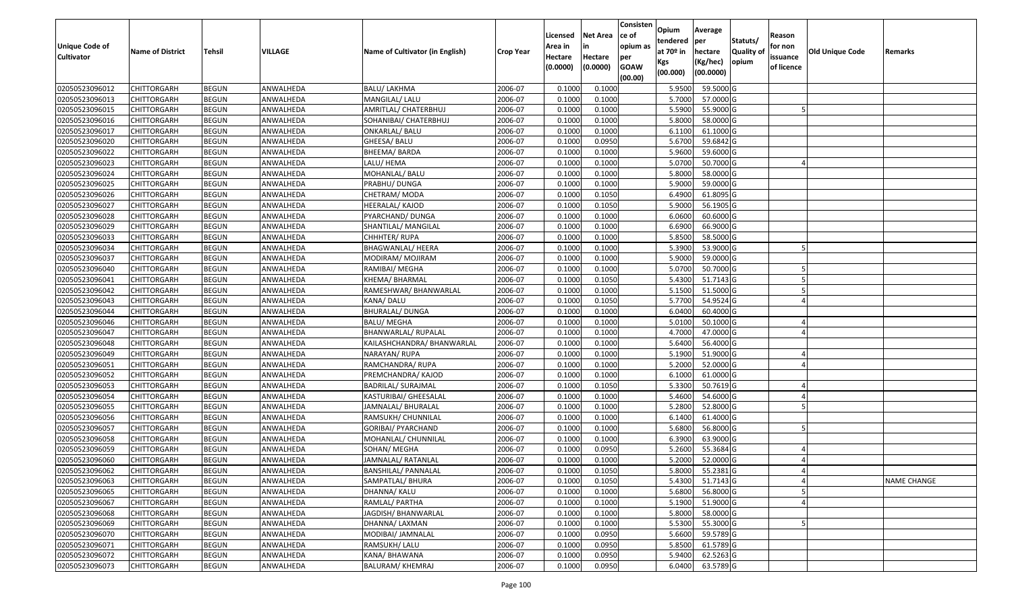| Unique Code of<br><b>Cultivator</b> | <b>Name of District</b> | <b>Tehsil</b> | VILLAGE   | Name of Cultivator (in English) | <b>Crop Year</b> | Licensed<br>Area in<br>Hectare | <b>Net Area</b><br>in<br>Hectare | Consisten<br>ce of<br>opium as | Opium<br>tendered<br>at $70°$ in | Average<br>per<br>hectare | Statuts/<br><b>Quality o</b> | Reason<br>for non<br>issuance | Old Unique Code | Remarks            |
|-------------------------------------|-------------------------|---------------|-----------|---------------------------------|------------------|--------------------------------|----------------------------------|--------------------------------|----------------------------------|---------------------------|------------------------------|-------------------------------|-----------------|--------------------|
|                                     |                         |               |           |                                 |                  | (0.0000)                       | (0.0000)                         | per<br><b>GOAW</b><br>(00.00)  | Kgs<br>(00.000)                  | (Kg/hec)<br>(00.0000)     | opium                        | of licence                    |                 |                    |
| 02050523096012                      | CHITTORGARH             | <b>BEGUN</b>  | ANWALHEDA | <b>BALU/ LAKHMA</b>             | 2006-07          | 0.1000                         | 0.1000                           |                                | 5.9500                           | 59.5000G                  |                              |                               |                 |                    |
| 02050523096013                      | CHITTORGARH             | <b>BEGUN</b>  | ANWALHEDA | MANGILAL/ LALU                  | 2006-07          | 0.1000                         | 0.1000                           |                                | 5.7000                           | 57.0000 G                 |                              |                               |                 |                    |
| 02050523096015                      | CHITTORGARH             | <b>BEGUN</b>  | ANWALHEDA | AMRITLAL/ CHATERBHUJ            | 2006-07          | 0.1000                         | 0.1000                           |                                | 5.5900                           | 55.9000 G                 |                              |                               |                 |                    |
| 02050523096016                      | <b>CHITTORGARH</b>      | <b>BEGUN</b>  | ANWALHEDA | SOHANIBAI/ CHATERBHUJ           | 2006-07          | 0.1000                         | 0.1000                           |                                | 5.8000                           | 58.0000G                  |                              |                               |                 |                    |
| 02050523096017                      | CHITTORGARH             | <b>BEGUN</b>  | ANWALHEDA | ONKARLAL/ BALU                  | 2006-07          | 0.1000                         | 0.1000                           |                                | 6.1100                           | 61.1000G                  |                              |                               |                 |                    |
| 02050523096020                      | CHITTORGARH             | <b>BEGUN</b>  | ANWALHEDA | GHEESA/ BALU                    | 2006-07          | 0.1000                         | 0.0950                           |                                | 5.6700                           | 59.6842 G                 |                              |                               |                 |                    |
| 02050523096022                      | CHITTORGARH             | <b>BEGUN</b>  | ANWALHEDA | <b>BHEEMA/ BARDA</b>            | 2006-07          | 0.1000                         | 0.1000                           |                                | 5.9600                           | 59.6000 G                 |                              |                               |                 |                    |
| 02050523096023                      | CHITTORGARH             | <b>BEGUN</b>  | ANWALHEDA | LALU/ HEMA                      | 2006-07          | 0.1000                         | 0.1000                           |                                | 5.0700                           | 50.7000G                  |                              |                               |                 |                    |
| 02050523096024                      | CHITTORGARH             | <b>BEGUN</b>  | ANWALHEDA | MOHANLAL/ BALU                  | 2006-07          | 0.1000                         | 0.1000                           |                                | 5.8000                           | 58.0000G                  |                              |                               |                 |                    |
| 02050523096025                      | CHITTORGARH             | <b>BEGUN</b>  | ANWALHEDA | PRABHU/ DUNGA                   | 2006-07          | 0.1000                         | 0.1000                           |                                | 5.9000                           | 59.0000 G                 |                              |                               |                 |                    |
| 02050523096026                      | CHITTORGARH             | <b>BEGUN</b>  | ANWALHEDA | CHETRAM/ MODA                   | 2006-07          | 0.1000                         | 0.1050                           |                                | 6.4900                           | 61.8095 G                 |                              |                               |                 |                    |
| 02050523096027                      | CHITTORGARH             | <b>BEGUN</b>  | ANWALHEDA | HEERALAL/ KAJOD                 | 2006-07          | 0.1000                         | 0.1050                           |                                | 5.9000                           | 56.1905 G                 |                              |                               |                 |                    |
| 02050523096028                      | <b>CHITTORGARH</b>      | <b>BEGUN</b>  | ANWALHEDA | PYARCHAND/ DUNGA                | 2006-07          | 0.1000                         | 0.1000                           |                                | 6.0600                           | 60.6000 G                 |                              |                               |                 |                    |
| 02050523096029                      | CHITTORGARH             | <b>BEGUN</b>  | ANWALHEDA | SHANTILAL/ MANGILAL             | 2006-07          | 0.1000                         | 0.1000                           |                                | 6.6900                           | 66.9000 G                 |                              |                               |                 |                    |
| 02050523096033                      | <b>CHITTORGARH</b>      | <b>BEGUN</b>  | ANWALHEDA | CHHHTER/ RUPA                   | 2006-07          | 0.1000                         | 0.1000                           |                                | 5.8500                           | 58.5000G                  |                              |                               |                 |                    |
| 02050523096034                      | <b>CHITTORGARH</b>      | <b>BEGUN</b>  | ANWALHEDA | BHAGWANLAL/ HEERA               | 2006-07          | 0.1000                         | 0.1000                           |                                | 5.3900                           | 53.9000 G                 |                              |                               |                 |                    |
| 02050523096037                      | CHITTORGARH             | <b>BEGUN</b>  | ANWALHEDA | MODIRAM/ MOJIRAM                | 2006-07          | 0.1000                         | 0.1000                           |                                | 5.9000                           | 59.0000 G                 |                              |                               |                 |                    |
| 02050523096040                      | CHITTORGARH             | <b>BEGUN</b>  | ANWALHEDA | RAMIBAI/ MEGHA                  | 2006-07          | 0.1000                         | 0.1000                           |                                | 5.0700                           | 50.7000 G                 |                              |                               |                 |                    |
| 02050523096041                      | CHITTORGARH             | <b>BEGUN</b>  | ANWALHEDA | KHEMA/ BHARMAL                  | 2006-07          | 0.1000                         | 0.1050                           |                                | 5.4300                           | 51.7143 G                 |                              |                               |                 |                    |
| 02050523096042                      | CHITTORGARH             | <b>BEGUN</b>  | ANWALHEDA | RAMESHWAR/ BHANWARLAL           | 2006-07          | 0.1000                         | 0.1000                           |                                | 5.1500                           | 51.5000 G                 |                              |                               |                 |                    |
| 02050523096043                      | CHITTORGARH             | <b>BEGUN</b>  | ANWALHEDA | KANA/DALU                       | 2006-07          | 0.1000                         | 0.1050                           |                                | 5.7700                           | 54.9524 G                 |                              |                               |                 |                    |
| 02050523096044                      | CHITTORGARH             | <b>BEGUN</b>  | ANWALHEDA | <b>BHURALAL/ DUNGA</b>          | 2006-07          | 0.1000                         | 0.1000                           |                                | 6.0400                           | 60.4000 G                 |                              |                               |                 |                    |
| 02050523096046                      | CHITTORGARH             | <b>BEGUN</b>  | ANWALHEDA | <b>BALU/ MEGHA</b>              | 2006-07          | 0.1000                         | 0.1000                           |                                | 5.0100                           | 50.1000G                  |                              |                               |                 |                    |
| 02050523096047                      | <b>CHITTORGARH</b>      | <b>BEGUN</b>  | ANWALHEDA | BHANWARLAL/ RUPALAL             | 2006-07          | 0.1000                         | 0.1000                           |                                | 4.7000                           | 47.0000G                  |                              |                               |                 |                    |
| 02050523096048                      | <b>CHITTORGARH</b>      | <b>BEGUN</b>  | ANWALHEDA | KAILASHCHANDRA/ BHANWARLAL      | 2006-07          | 0.1000                         | 0.1000                           |                                | 5.6400                           | 56.4000 G                 |                              |                               |                 |                    |
| 02050523096049                      | CHITTORGARH             | <b>BEGUN</b>  | ANWALHEDA | NARAYAN/RUPA                    | 2006-07          | 0.1000                         | 0.1000                           |                                | 5.1900                           | 51.9000G                  |                              |                               |                 |                    |
| 02050523096051                      | CHITTORGARH             | <b>BEGUN</b>  | ANWALHEDA | RAMCHANDRA/ RUPA                | 2006-07          | 0.1000                         | 0.1000                           |                                | 5.2000                           | 52.0000 G                 |                              |                               |                 |                    |
| 02050523096052                      | CHITTORGARH             | <b>BEGUN</b>  | ANWALHEDA | PREMCHANDRA/ KAJOD              | 2006-07          | 0.1000                         | 0.1000                           |                                | 6.1000                           | 61.0000G                  |                              |                               |                 |                    |
| 02050523096053                      | CHITTORGARH             | <b>BEGUN</b>  | ANWALHEDA | <b>BADRILAL/ SURAJMAL</b>       | 2006-07          | 0.1000                         | 0.1050                           |                                | 5.3300                           | 50.7619 G                 |                              |                               |                 |                    |
| 02050523096054                      | CHITTORGARH             | <b>BEGUN</b>  | ANWALHEDA | KASTURIBAI/ GHEESALAL           | 2006-07          | 0.1000                         | 0.1000                           |                                | 5.4600                           | 54.6000 G                 |                              |                               |                 |                    |
| 02050523096055                      | CHITTORGARH             | <b>BEGUN</b>  | ANWALHEDA | JAMNALAL/ BHURALAL              | 2006-07          | 0.1000                         | 0.1000                           |                                | 5.2800                           | 52.8000 G                 |                              |                               |                 |                    |
| 02050523096056                      | CHITTORGARH             | <b>BEGUN</b>  | ANWALHEDA | RAMSUKH/ CHUNNILAL              | 2006-07          | 0.1000                         | 0.1000                           |                                | 6.1400                           | 61.4000 G                 |                              |                               |                 |                    |
| 02050523096057                      | CHITTORGARH             | <b>BEGUN</b>  | ANWALHEDA | GORIBAI/ PYARCHAND              | 2006-07          | 0.1000                         | 0.1000                           |                                | 5.6800                           | 56.8000 G                 |                              |                               |                 |                    |
| 02050523096058                      | CHITTORGARH             | <b>BEGUN</b>  | ANWALHEDA | MOHANLAL/ CHUNNILAL             | 2006-07          | 0.1000                         | 0.1000                           |                                | 6.3900                           | 63.9000 G                 |                              |                               |                 |                    |
| 02050523096059                      | CHITTORGARH             | <b>BEGUN</b>  | ANWALHEDA | SOHAN/ MEGHA                    | 2006-07          | 0.1000                         | 0.0950                           |                                | 5.2600                           | 55.3684 G                 |                              |                               |                 |                    |
| 02050523096060                      | CHITTORGARH             | <b>BEGUN</b>  | ANWALHEDA | JAMNALAL/ RATANLAL              | 2006-07          | 0.1000                         | 0.1000                           |                                | 5.2000                           | 52.0000G                  |                              |                               |                 |                    |
| 02050523096062                      | <b>CHITTORGARH</b>      | <b>BEGUN</b>  | ANWALHEDA | <b>BANSHILAL/ PANNALAL</b>      | 2006-07          | 0.1000                         | 0.1050                           |                                |                                  | 5.8000 55.2381 G          |                              |                               |                 |                    |
| 02050523096063                      | <b>CHITTORGARH</b>      | <b>BEGUN</b>  | ANWALHEDA | SAMPATLAL/ BHURA                | 2006-07          | 0.1000                         | 0.1050                           |                                | 5.4300                           | 51.7143 G                 |                              |                               |                 | <b>NAME CHANGE</b> |
| 02050523096065                      | <b>CHITTORGARH</b>      | <b>BEGUN</b>  | ANWALHEDA | DHANNA/ KALU                    | 2006-07          | 0.1000                         | 0.1000                           |                                | 5.6800                           | 56.8000 G                 |                              |                               |                 |                    |
| 02050523096067                      | <b>CHITTORGARH</b>      | <b>BEGUN</b>  | ANWALHEDA | RAMLAL/ PARTHA                  | 2006-07          | 0.1000                         | 0.1000                           |                                | 5.1900                           | 51.9000 G                 |                              |                               |                 |                    |
| 02050523096068                      | CHITTORGARH             | <b>BEGUN</b>  | ANWALHEDA | JAGDISH/ BHANWARLAL             | 2006-07          | 0.1000                         | 0.1000                           |                                | 5.8000                           | 58.0000 G                 |                              |                               |                 |                    |
| 02050523096069                      | <b>CHITTORGARH</b>      | <b>BEGUN</b>  | ANWALHEDA | DHANNA/ LAXMAN                  | 2006-07          | 0.1000                         | 0.1000                           |                                | 5.5300                           | 55.3000 G                 |                              |                               |                 |                    |
| 02050523096070                      | <b>CHITTORGARH</b>      | <b>BEGUN</b>  | ANWALHEDA | MODIBAI/ JAMNALAL               | 2006-07          | 0.1000                         | 0.0950                           |                                | 5.6600                           | 59.5789 G                 |                              |                               |                 |                    |
| 02050523096071                      | <b>CHITTORGARH</b>      | <b>BEGUN</b>  | ANWALHEDA | RAMSUKH/ LALU                   | 2006-07          | 0.1000                         | 0.0950                           |                                | 5.8500                           | 61.5789 G                 |                              |                               |                 |                    |
| 02050523096072                      | CHITTORGARH             | <b>BEGUN</b>  | ANWALHEDA | KANA/ BHAWANA                   | 2006-07          | 0.1000                         | 0.0950                           |                                | 5.9400                           | 62.5263 G                 |                              |                               |                 |                    |
| 02050523096073                      | <b>CHITTORGARH</b>      | <b>BEGUN</b>  | ANWALHEDA | BALURAM/ KHEMRAJ                | 2006-07          | 0.1000                         | 0.0950                           |                                | 6.0400                           | 63.5789 G                 |                              |                               |                 |                    |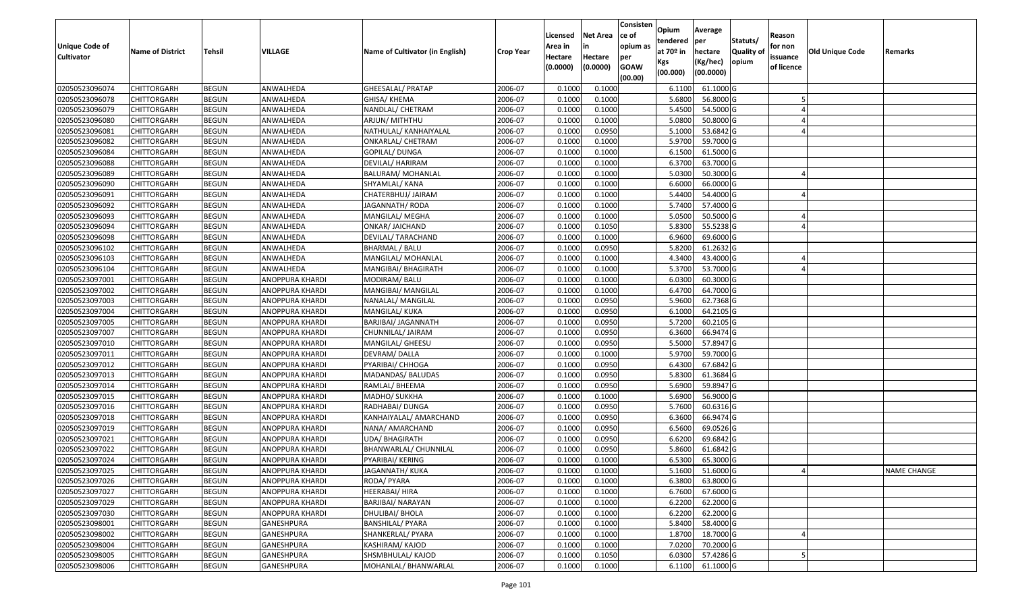| <b>Unique Code of</b> |                         |              |                        |                                 |                  | Licensed<br>Area in | <b>Net Area</b><br>in | Consisten<br>ce of<br>opium as | Opium<br>tendered              | Average<br>per                   | Statuts/                  | Reason<br>for non      |                 |                    |
|-----------------------|-------------------------|--------------|------------------------|---------------------------------|------------------|---------------------|-----------------------|--------------------------------|--------------------------------|----------------------------------|---------------------------|------------------------|-----------------|--------------------|
| <b>Cultivator</b>     | <b>Name of District</b> | Tehsil       | VILLAGE                | Name of Cultivator (in English) | <b>Crop Year</b> | Hectare<br>(0.0000) | Hectare<br>(0.0000)   | per<br><b>GOAW</b><br>(00.00)  | at $70°$ in<br>Kgs<br>(00.000) | hectare<br>(Kg/hec)<br>(00.0000) | <b>Quality o</b><br>opium | issuance<br>of licence | Old Unique Code | Remarks            |
| 02050523096074        | CHITTORGARH             | <b>BEGUN</b> | ANWALHEDA              | GHEESALAL/ PRATAP               | 2006-07          | 0.1000              | 0.1000                |                                | 6.1100                         | 61.1000G                         |                           |                        |                 |                    |
| 02050523096078        | CHITTORGARH             | <b>BEGUN</b> | ANWALHEDA              | GHISA/ KHEMA                    | 2006-07          | 0.1000              | 0.1000                |                                | 5.6800                         | 56.8000 G                        |                           |                        |                 |                    |
| 02050523096079        | CHITTORGARH             | <b>BEGUN</b> | ANWALHEDA              | NANDLAL/ CHETRAM                | 2006-07          | 0.1000              | 0.1000                |                                | 5.4500                         | 54.5000G                         |                           |                        |                 |                    |
| 02050523096080        | CHITTORGARH             | <b>BEGUN</b> | ANWALHEDA              | ARJUN/ MITHTHU                  | 2006-07          | 0.1000              | 0.1000                |                                | 5.0800                         | 50.8000 G                        |                           |                        |                 |                    |
| 02050523096081        | CHITTORGARH             | <b>BEGUN</b> | ANWALHEDA              | NATHULAL/ KANHAIYALAL           | 2006-07          | 0.1000              | 0.0950                |                                | 5.1000                         | 53.6842 G                        |                           |                        |                 |                    |
| 02050523096082        | CHITTORGARH             | <b>BEGUN</b> | ANWALHEDA              | ONKARLAL/ CHETRAM               | 2006-07          | 0.1000              | 0.1000                |                                | 5.9700                         | 59.7000 G                        |                           |                        |                 |                    |
| 02050523096084        | CHITTORGARH             | <b>BEGUN</b> | ANWALHEDA              | GOPILAL/ DUNGA                  | 2006-07          | 0.1000              | 0.1000                |                                | 6.1500                         | 61.5000G                         |                           |                        |                 |                    |
| 02050523096088        | CHITTORGARH             | <b>BEGUN</b> | ANWALHEDA              | DEVILAL/ HARIRAM                | 2006-07          | 0.1000              | 0.1000                |                                | 6.3700                         | 63.7000 G                        |                           |                        |                 |                    |
| 02050523096089        | CHITTORGARH             | <b>BEGUN</b> | ANWALHEDA              | BALURAM/ MOHANLAL               | 2006-07          | 0.1000              | 0.1000                |                                | 5.0300                         | 50.3000 G                        |                           |                        |                 |                    |
| 02050523096090        | CHITTORGARH             | <b>BEGUN</b> | ANWALHEDA              | SHYAMLAL/ KANA                  | 2006-07          | 0.1000              | 0.1000                |                                | 6.6000                         | 66.0000 G                        |                           |                        |                 |                    |
| 02050523096091        | CHITTORGARH             | <b>BEGUN</b> | ANWALHEDA              | CHATERBHUJ/ JAIRAM              | 2006-07          | 0.1000              | 0.1000                |                                | 5.4400                         | 54.4000 G                        |                           |                        |                 |                    |
| 02050523096092        | CHITTORGARH             | <b>BEGUN</b> | ANWALHEDA              | JAGANNATH/RODA                  | 2006-07          | 0.1000              | 0.1000                |                                | 5.7400                         | 57.4000 G                        |                           |                        |                 |                    |
| 02050523096093        | <b>CHITTORGARH</b>      | <b>BEGUN</b> | ANWALHEDA              | MANGILAL/ MEGHA                 | 2006-07          | 0.1000              | 0.1000                |                                | 5.0500                         | 50.5000 G                        |                           |                        |                 |                    |
| 02050523096094        | CHITTORGARH             | <b>BEGUN</b> | ANWALHEDA              | ONKAR/ JAICHAND                 | 2006-07          | 0.1000              | 0.1050                |                                | 5.8300                         | 55.5238 G                        |                           |                        |                 |                    |
| 02050523096098        | CHITTORGARH             | <b>BEGUN</b> | ANWALHEDA              | DEVILAL/ TARACHAND              | 2006-07          | 0.1000              | 0.1000                |                                | 6.9600                         | 69.6000 G                        |                           |                        |                 |                    |
| 02050523096102        | <b>CHITTORGARH</b>      | <b>BEGUN</b> | ANWALHEDA              | BHARMAL / BALU                  | 2006-07          | 0.1000              | 0.0950                |                                | 5.8200                         | 61.2632 G                        |                           |                        |                 |                    |
| 02050523096103        | CHITTORGARH             | <b>BEGUN</b> | ANWALHEDA              | MANGILAL/ MOHANLAL              | 2006-07          | 0.1000              | 0.1000                |                                | 4.3400                         | 43.4000 G                        |                           |                        |                 |                    |
| 02050523096104        | CHITTORGARH             | <b>BEGUN</b> | ANWALHEDA              | MANGIBAI/ BHAGIRATH             | 2006-07          | 0.1000              | 0.1000                |                                | 5.3700                         | 53.7000 G                        |                           |                        |                 |                    |
| 02050523097001        | CHITTORGARH             | <b>BEGUN</b> | ANOPPURA KHARDI        | MODIRAM/BALU                    | 2006-07          | 0.100               | 0.1000                |                                | 6.0300                         | 60.3000 G                        |                           |                        |                 |                    |
| 02050523097002        | CHITTORGARH             | <b>BEGUN</b> | ANOPPURA KHARDI        | MANGIBAI/ MANGILAL              | 2006-07          | 0.1000              | 0.1000                |                                | 6.4700                         | 64.7000 G                        |                           |                        |                 |                    |
| 02050523097003        | CHITTORGARH             | <b>BEGUN</b> | ANOPPURA KHARDI        | NANALAL/ MANGILAL               | 2006-07          | 0.1000              | 0.0950                |                                | 5.9600                         | 62.7368 G                        |                           |                        |                 |                    |
| 02050523097004        | CHITTORGARH             | <b>BEGUN</b> | ANOPPURA KHARDI        | MANGILAL/ KUKA                  | 2006-07          | 0.100               | 0.0950                |                                | 6.1000                         | 64.2105 G                        |                           |                        |                 |                    |
| 02050523097005        | CHITTORGARH             | <b>BEGUN</b> | ANOPPURA KHARDI        | BARJIBAI/ JAGANNATH             | 2006-07          | 0.1000              | 0.0950                |                                | 5.7200                         | 60.2105 G                        |                           |                        |                 |                    |
| 02050523097007        | CHITTORGARH             | <b>BEGUN</b> | ANOPPURA KHARDI        | CHUNNILAL/ JAIRAM               | 2006-07          | 0.1000              | 0.0950                |                                | 6.3600                         | 66.9474 G                        |                           |                        |                 |                    |
| 02050523097010        | CHITTORGARH             | <b>BEGUN</b> | ANOPPURA KHARDI        | MANGILAL/ GHEESU                | 2006-07          | 0.1000              | 0.0950                |                                | 5.5000                         | 57.8947 G                        |                           |                        |                 |                    |
| 02050523097011        | CHITTORGARH             | <b>BEGUN</b> | ANOPPURA KHARDI        | DEVRAM/DALLA                    | 2006-07          | 0.1000              | 0.1000                |                                | 5.9700                         | 59.7000G                         |                           |                        |                 |                    |
| 02050523097012        | CHITTORGARH             | <b>BEGUN</b> | ANOPPURA KHARDI        | PYARIBAI/ CHHOGA                | 2006-07          | 0.100               | 0.0950                |                                | 6.4300                         | 67.6842 G                        |                           |                        |                 |                    |
| 02050523097013        | CHITTORGARH             | <b>BEGUN</b> | ANOPPURA KHARDI        | MADANDAS/ BALUDAS               | 2006-07          | 0.1000              | 0.0950                |                                | 5.8300                         | 61.3684 G                        |                           |                        |                 |                    |
| 02050523097014        | CHITTORGARH             | <b>BEGUN</b> | ANOPPURA KHARDI        | RAMLAL/ BHEEMA                  | 2006-07          | 0.1000              | 0.0950                |                                | 5.6900                         | 59.8947 G                        |                           |                        |                 |                    |
| 02050523097015        | CHITTORGARH             | <b>BEGUN</b> | ANOPPURA KHARDI        | MADHO/ SUKKHA                   | 2006-07          | 0.1000              | 0.1000                |                                | 5.6900                         | 56.9000 G                        |                           |                        |                 |                    |
| 02050523097016        | CHITTORGARH             | <b>BEGUN</b> | ANOPPURA KHARDI        | RADHABAI/ DUNGA                 | 2006-07          | 0.1000              | 0.0950                |                                | 5.7600                         | 60.6316 G                        |                           |                        |                 |                    |
| 02050523097018        | CHITTORGARH             | <b>BEGUN</b> | ANOPPURA KHARDI        | KANHAIYALAL/ AMARCHAND          | 2006-07          | 0.1000              | 0.0950                |                                | 6.3600                         | 66.9474 G                        |                           |                        |                 |                    |
| 02050523097019        | CHITTORGARH             | <b>BEGUN</b> | ANOPPURA KHARDI        | NANA/ AMARCHAND                 | 2006-07          | 0.1000              | 0.0950                |                                | 6.5600                         | 69.0526 G                        |                           |                        |                 |                    |
| 02050523097021        | CHITTORGARH             | <b>BEGUN</b> | ANOPPURA KHARDI        | <b>UDA/ BHAGIRATH</b>           | 2006-07          | 0.1000              | 0.0950                |                                | 6.6200                         | 69.6842 G                        |                           |                        |                 |                    |
| 02050523097022        | CHITTORGARH             | <b>BEGUN</b> | ANOPPURA KHARDI        | BHANWARLAL/ CHUNNILAL           | 2006-07          | 0.1000              | 0.0950                |                                | 5.8600                         | 61.6842 G                        |                           |                        |                 |                    |
| 02050523097024        | CHITTORGARH             | <b>BEGUN</b> | ANOPPURA KHARDI        | PYARIBAI/ KERING                | 2006-07          | 0.1000              | 0.1000                |                                | 6.5300                         | 65.3000 G                        |                           |                        |                 |                    |
| 02050523097025        | <b>CHITTORGARH</b>      | <b>BEGUN</b> | <b>ANOPPURA KHARDI</b> | JAGANNATH/ KUKA                 | 2006-07          | 0.1000              | 0.1000                |                                |                                | 5.1600 51.6000 G                 |                           |                        |                 | <b>NAME CHANGE</b> |
| 02050523097026        | <b>CHITTORGARH</b>      | <b>BEGUN</b> | ANOPPURA KHARDI        | RODA/ PYARA                     | 2006-07          | 0.1000              | 0.1000                |                                | 6.3800                         | 63.8000 G                        |                           |                        |                 |                    |
| 02050523097027        | <b>CHITTORGARH</b>      | <b>BEGUN</b> | ANOPPURA KHARDI        | HEERABAI/ HIRA                  | 2006-07          | 0.1000              | 0.1000                |                                | 6.7600                         | 67.6000 G                        |                           |                        |                 |                    |
| 02050523097029        | <b>CHITTORGARH</b>      | <b>BEGUN</b> | ANOPPURA KHARDI        | BARJIBAI/ NARAYAN               | 2006-07          | 0.1000              | 0.1000                |                                | 6.2200                         | 62.2000 G                        |                           |                        |                 |                    |
| 02050523097030        | CHITTORGARH             | <b>BEGUN</b> | ANOPPURA KHARDI        | DHULIBAI/ BHOLA                 | 2006-07          | 0.1000              | 0.1000                |                                | 6.2200                         | 62.2000 G                        |                           |                        |                 |                    |
| 02050523098001        | <b>CHITTORGARH</b>      | <b>BEGUN</b> | <b>GANESHPURA</b>      | <b>BANSHILAL/ PYARA</b>         | 2006-07          | 0.1000              | 0.1000                |                                | 5.8400                         | 58.4000 G                        |                           |                        |                 |                    |
| 02050523098002        | <b>CHITTORGARH</b>      | <b>BEGUN</b> | GANESHPURA             | SHANKERLAL/ PYARA               | 2006-07          | 0.1000              | 0.1000                |                                | 1.8700                         | 18.7000 G                        |                           |                        |                 |                    |
| 02050523098004        | CHITTORGARH             | <b>BEGUN</b> | GANESHPURA             | KASHIRAM/ KAJOD                 | 2006-07          | 0.1000              | 0.1000                |                                | 7.0200                         | 70.2000 G                        |                           |                        |                 |                    |
| 02050523098005        | CHITTORGARH             | <b>BEGUN</b> | GANESHPURA             | SHSMBHULAL/ KAJOD               | 2006-07          | 0.1000              | 0.1050                |                                | 6.0300                         | 57.4286 G                        |                           |                        |                 |                    |
| 02050523098006        | <b>CHITTORGARH</b>      | <b>BEGUN</b> | GANESHPURA             | MOHANLAL/ BHANWARLAL            | 2006-07          | 0.1000              | 0.1000                |                                | 6.1100                         | 61.1000 G                        |                           |                        |                 |                    |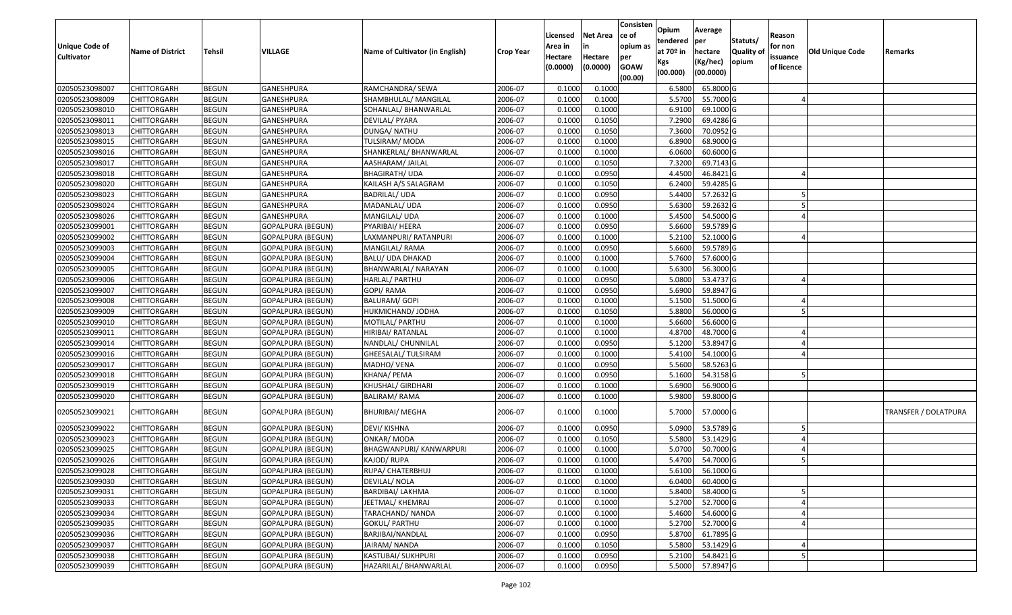| <b>Unique Code of</b><br><b>Cultivator</b> | <b>Name of District</b> | Tehsil       | VILLAGE                  | Name of Cultivator (in English) | <b>Crop Year</b> | Licensed<br>Area in<br>Hectare<br>(0.0000) | <b>Net Area</b><br>in<br>Hectare<br>(0.0000) | Consisten<br>ce of<br>opium as<br>per<br><b>GOAW</b><br>(00.00) | Opium<br>tendered<br>at 70º in<br>Kgs<br>(00.000) | Average<br>per<br>hectare<br>(Kg/hec)<br>(00.0000) | Statuts/<br>Quality of<br>opium | Reason<br>for non<br>issuance<br>of licence | <b>Old Unique Code</b> | Remarks              |
|--------------------------------------------|-------------------------|--------------|--------------------------|---------------------------------|------------------|--------------------------------------------|----------------------------------------------|-----------------------------------------------------------------|---------------------------------------------------|----------------------------------------------------|---------------------------------|---------------------------------------------|------------------------|----------------------|
| 02050523098007                             | <b>CHITTORGARH</b>      | <b>BEGUN</b> | GANESHPURA               | RAMCHANDRA/ SEWA                | 2006-07          | 0.1000                                     | 0.1000                                       |                                                                 | 6.5800                                            | 65.8000 G                                          |                                 |                                             |                        |                      |
| 02050523098009                             | CHITTORGARH             | <b>BEGUN</b> | GANESHPURA               | SHAMBHULAL/ MANGILAL            | 2006-07          | 0.1000                                     | 0.1000                                       |                                                                 | 5.5700                                            | 55.7000 G                                          |                                 |                                             |                        |                      |
| 02050523098010                             | CHITTORGARH             | <b>BEGUN</b> | GANESHPURA               | SOHANLAL/ BHANWARLAL            | 2006-07          | 0.1000                                     | 0.1000                                       |                                                                 | 6.9100                                            | 69.1000 G                                          |                                 |                                             |                        |                      |
| 02050523098011                             | <b>CHITTORGARH</b>      | <b>BEGUN</b> | GANESHPURA               | DEVILAL/ PYARA                  | 2006-07          | 0.1000                                     | 0.1050                                       |                                                                 | 7.2900                                            | 69.4286 G                                          |                                 |                                             |                        |                      |
| 02050523098013                             | <b>CHITTORGARH</b>      | <b>BEGUN</b> | <b>GANESHPURA</b>        | DUNGA/ NATHU                    | 2006-07          | 0.1000                                     | 0.1050                                       |                                                                 | 7.3600                                            | 70.0952 G                                          |                                 |                                             |                        |                      |
| 02050523098015                             | <b>CHITTORGARH</b>      | <b>BEGUN</b> | GANESHPURA               | TULSIRAM/MODA                   | 2006-07          | 0.1000                                     | 0.1000                                       |                                                                 | 6.8900                                            | 68.9000 G                                          |                                 |                                             |                        |                      |
| 02050523098016                             | CHITTORGARH             | <b>BEGUN</b> | GANESHPURA               | SHANKERLAL/ BHANWARLAL          | 2006-07          | 0.1000                                     | 0.1000                                       |                                                                 | 6.0600                                            | 60.6000 G                                          |                                 |                                             |                        |                      |
| 02050523098017                             | <b>CHITTORGARH</b>      | <b>BEGUN</b> | GANESHPURA               | AASHARAM/ JAILAL                | 2006-07          | 0.1000                                     | 0.1050                                       |                                                                 | 7.3200                                            | 69.7143 G                                          |                                 |                                             |                        |                      |
| 02050523098018                             | <b>CHITTORGARH</b>      | <b>BEGUN</b> | GANESHPURA               | <b>BHAGIRATH/ UDA</b>           | 2006-07          | 0.1000                                     | 0.0950                                       |                                                                 | 4.4500                                            | 46.8421 G                                          |                                 |                                             |                        |                      |
| 02050523098020                             | <b>CHITTORGARH</b>      | <b>BEGUN</b> | GANESHPURA               | KAILASH A/S SALAGRAM            | 2006-07          | 0.1000                                     | 0.1050                                       |                                                                 | 6.2400                                            | 59.4285 G                                          |                                 |                                             |                        |                      |
| 02050523098023                             | <b>CHITTORGARH</b>      | <b>BEGUN</b> | GANESHPURA               | <b>BADRILAL/ UDA</b>            | 2006-07          | 0.1000                                     | 0.0950                                       |                                                                 | 5.4400                                            | 57.2632 G                                          |                                 |                                             |                        |                      |
| 02050523098024                             | <b>CHITTORGARH</b>      | <b>BEGUN</b> | GANESHPURA               | MADANLAL/ UDA                   | 2006-07          | 0.1000                                     | 0.0950                                       |                                                                 | 5.6300                                            | 59.2632 G                                          |                                 |                                             |                        |                      |
| 02050523098026                             | <b>CHITTORGARH</b>      | <b>BEGUN</b> | GANESHPURA               | MANGILAL/ UDA                   | 2006-07          | 0.1000                                     | 0.1000                                       |                                                                 | 5.4500                                            | 54.5000 G                                          |                                 |                                             |                        |                      |
| 02050523099001                             | <b>CHITTORGARH</b>      | <b>BEGUN</b> | <b>GOPALPURA (BEGUN)</b> | PYARIBAI/ HEERA                 | 2006-07          | 0.1000                                     | 0.0950                                       |                                                                 | 5.6600                                            | 59.5789 G                                          |                                 |                                             |                        |                      |
| 02050523099002                             | <b>CHITTORGARH</b>      | <b>BEGUN</b> | <b>GOPALPURA (BEGUN)</b> | LAXMANPURI/ RATANPURI           | 2006-07          | 0.1000                                     | 0.1000                                       |                                                                 | 5.2100                                            | 52.1000 G                                          |                                 |                                             |                        |                      |
| 02050523099003                             | <b>CHITTORGARH</b>      | <b>BEGUN</b> | <b>GOPALPURA (BEGUN)</b> | MANGILAL/RAMA                   | 2006-07          | 0.1000                                     | 0.0950                                       |                                                                 | 5.6600                                            | 59.5789 G                                          |                                 |                                             |                        |                      |
| 02050523099004                             | <b>CHITTORGARH</b>      | <b>BEGUN</b> | <b>GOPALPURA (BEGUN)</b> | <b>BALU/ UDA DHAKAD</b>         | 2006-07          | 0.1000                                     | 0.1000                                       |                                                                 | 5.7600                                            | 57.6000 G                                          |                                 |                                             |                        |                      |
| 02050523099005                             | <b>CHITTORGARH</b>      | <b>BEGUN</b> | <b>GOPALPURA (BEGUN)</b> | BHANWARLAL/ NARAYAN             | 2006-07          | 0.1000                                     | 0.1000                                       |                                                                 | 5.6300                                            | 56.3000 G                                          |                                 |                                             |                        |                      |
| 02050523099006                             | <b>CHITTORGARH</b>      | <b>BEGUN</b> | GOPALPURA (BEGUN)        | HARLAL/ PARTHU                  | 2006-07          | 0.1000                                     | 0.0950                                       |                                                                 | 5.0800                                            | 53.4737 G                                          |                                 |                                             |                        |                      |
| 02050523099007                             | CHITTORGARH             | <b>BEGUN</b> | <b>GOPALPURA (BEGUN)</b> | GOPI/ RAMA                      | 2006-07          | 0.1000                                     | 0.0950                                       |                                                                 | 5.6900                                            | 59.8947 G                                          |                                 |                                             |                        |                      |
| 02050523099008                             | <b>CHITTORGARH</b>      | <b>BEGUN</b> | <b>GOPALPURA (BEGUN)</b> | <b>BALURAM/ GOPI</b>            | 2006-07          | 0.1000                                     | 0.1000                                       |                                                                 | 5.1500                                            | 51.5000 G                                          |                                 |                                             |                        |                      |
| 02050523099009                             | <b>CHITTORGARH</b>      | <b>BEGUN</b> | <b>GOPALPURA (BEGUN)</b> | HUKMICHAND/ JODHA               | 2006-07          | 0.1000                                     | 0.1050                                       |                                                                 | 5.8800                                            | 56.0000 G                                          |                                 |                                             |                        |                      |
| 02050523099010                             | <b>CHITTORGARH</b>      | <b>BEGUN</b> | <b>GOPALPURA (BEGUN)</b> | MOTILAL/ PARTHU                 | 2006-07          | 0.1000                                     | 0.1000                                       |                                                                 | 5.6600                                            | 56.6000 G                                          |                                 |                                             |                        |                      |
| 02050523099011                             | <b>CHITTORGARH</b>      | <b>BEGUN</b> | <b>GOPALPURA (BEGUN)</b> | HIRIBAI/ RATANLAL               | 2006-07          | 0.1000                                     | 0.1000                                       |                                                                 | 4.8700                                            | 48.7000 G                                          |                                 |                                             |                        |                      |
| 02050523099014                             | <b>CHITTORGARH</b>      | <b>BEGUN</b> | GOPALPURA (BEGUN)        | NANDLAL/ CHUNNILAL              | 2006-07          | 0.1000                                     | 0.0950                                       |                                                                 | 5.1200                                            | 53.8947 G                                          |                                 |                                             |                        |                      |
| 02050523099016                             | CHITTORGARH             | <b>BEGUN</b> | <b>GOPALPURA (BEGUN)</b> | GHEESALAL/ TULSIRAM             | 2006-07          | 0.1000                                     | 0.1000                                       |                                                                 | 5.4100                                            | 54.1000 G                                          |                                 |                                             |                        |                      |
| 02050523099017                             | <b>CHITTORGARH</b>      | <b>BEGUN</b> | <b>GOPALPURA (BEGUN)</b> | MADHO/ VENA                     | 2006-07          | 0.1000                                     | 0.0950                                       |                                                                 | 5.5600                                            | 58.5263 G                                          |                                 |                                             |                        |                      |
| 02050523099018                             | CHITTORGARH             | <b>BEGUN</b> | GOPALPURA (BEGUN)        | KHANA/ PEMA                     | 2006-07          | 0.1000                                     | 0.0950                                       |                                                                 | 5.1600                                            | 54.3158 G                                          |                                 |                                             |                        |                      |
| 02050523099019                             | <b>CHITTORGARH</b>      | <b>BEGUN</b> | GOPALPURA (BEGUN)        | KHUSHAL/ GIRDHARI               | 2006-07          | 0.1000                                     | 0.1000                                       |                                                                 | 5.6900                                            | 56.9000 G                                          |                                 |                                             |                        |                      |
| 02050523099020                             | <b>CHITTORGARH</b>      | <b>BEGUN</b> | <b>GOPALPURA (BEGUN)</b> | <b>BALIRAM/ RAMA</b>            | 2006-07          | 0.1000                                     | 0.1000                                       |                                                                 | 5.9800                                            | 59.8000 G                                          |                                 |                                             |                        |                      |
| 02050523099021                             | <b>CHITTORGARH</b>      | <b>BEGUN</b> | GOPALPURA (BEGUN)        | <b>BHURIBAI/ MEGHA</b>          | 2006-07          | 0.1000                                     | 0.1000                                       |                                                                 | 5.7000                                            | 57.0000 G                                          |                                 |                                             |                        | TRANSFER / DOLATPURA |
| 02050523099022                             | <b>CHITTORGARH</b>      | <b>BEGUN</b> | <b>GOPALPURA (BEGUN)</b> | DEVI/ KISHNA                    | 2006-07          | 0.1000                                     | 0.0950                                       |                                                                 | 5.0900                                            | 53.5789 G                                          |                                 |                                             |                        |                      |
| 02050523099023                             | <b>CHITTORGARH</b>      | <b>BEGUN</b> | <b>GOPALPURA (BEGUN)</b> | ONKAR/ MODA                     | 2006-07          | 0.1000                                     | 0.1050                                       |                                                                 | 5.5800                                            | 53.1429 G                                          |                                 |                                             |                        |                      |
| 02050523099025                             | CHITTORGARH             | <b>BEGUN</b> | <b>GOPALPURA (BEGUN)</b> | BHAGWANPURI/ KANWARPURI         | 2006-07          | 0.1000                                     | 0.1000                                       |                                                                 | 5.0700                                            | 50.7000 G                                          |                                 |                                             |                        |                      |
| 02050523099026                             | <b>CHITTORGARH</b>      | <b>BEGUN</b> | GOPALPURA (BEGUN)        | KAJOD/ RUPA                     | 2006-07          | 0.1000                                     | 0.1000                                       |                                                                 | 5.4700                                            | 54.7000 G                                          |                                 |                                             |                        |                      |
| 02050523099028                             | <b>CHITTORGARH</b>      | <b>BEGUN</b> | <b>GOPALPURA (BEGUN)</b> | RUPA/ CHATERBHUJ                | 2006-07          | 0.1000                                     | 0.1000                                       |                                                                 | 5.6100                                            | 56.1000G                                           |                                 |                                             |                        |                      |
| 02050523099030                             | <b>CHITTORGARH</b>      | <b>BEGUN</b> | <b>GOPALPURA (BEGUN)</b> | DEVILAL/ NOLA                   | 2006-07          | 0.1000                                     | 0.1000                                       |                                                                 | 6.0400                                            | 60.4000 G                                          |                                 |                                             |                        |                      |
| 02050523099031                             | <b>CHITTORGARH</b>      | <b>BEGUN</b> | <b>GOPALPURA (BEGUN)</b> | <b>BARDIBAI/ LAKHMA</b>         | 2006-07          | 0.1000                                     | 0.1000                                       |                                                                 | 5.8400                                            | 58.4000 G                                          |                                 |                                             |                        |                      |
| 02050523099033                             | <b>CHITTORGARH</b>      | <b>BEGUN</b> | <b>GOPALPURA (BEGUN)</b> | JEETMAL/ KHEMRAJ                | 2006-07          | 0.1000                                     | 0.1000                                       |                                                                 | 5.2700                                            | 52.7000 G                                          |                                 |                                             |                        |                      |
| 02050523099034                             | <b>CHITTORGARH</b>      | <b>BEGUN</b> | <b>GOPALPURA (BEGUN)</b> | TARACHAND/ NANDA                | 2006-07          | 0.1000                                     | 0.1000                                       |                                                                 | 5.4600                                            | 54.6000 G                                          |                                 |                                             |                        |                      |
| 02050523099035                             | <b>CHITTORGARH</b>      | <b>BEGUN</b> | <b>GOPALPURA (BEGUN)</b> | <b>GOKUL/ PARTHU</b>            | 2006-07          | 0.1000                                     | 0.1000                                       |                                                                 | 5.2700                                            | 52.7000 G                                          |                                 |                                             |                        |                      |
| 02050523099036                             | <b>CHITTORGARH</b>      | <b>BEGUN</b> | <b>GOPALPURA (BEGUN)</b> | BARJIBAI/NANDLAL                | 2006-07          | 0.1000                                     | 0.0950                                       |                                                                 | 5.8700                                            | 61.7895 G                                          |                                 |                                             |                        |                      |
| 02050523099037                             | <b>CHITTORGARH</b>      | <b>BEGUN</b> | <b>GOPALPURA (BEGUN)</b> | JAIRAM/ NANDA                   | 2006-07          | 0.1000                                     | 0.1050                                       |                                                                 | 5.5800                                            | 53.1429 G                                          |                                 |                                             |                        |                      |
| 02050523099038                             | <b>CHITTORGARH</b>      | <b>BEGUN</b> | <b>GOPALPURA (BEGUN)</b> | KASTUBAI/ SUKHPURI              | 2006-07          | 0.1000                                     | 0.0950                                       |                                                                 | 5.2100                                            | 54.8421 G                                          |                                 |                                             |                        |                      |
| 02050523099039                             | <b>CHITTORGARH</b>      | <b>BEGUN</b> | <b>GOPALPURA (BEGUN)</b> | HAZARILAL/ BHANWARLAL           | 2006-07          | 0.1000                                     | 0.0950                                       |                                                                 | 5.5000                                            | 57.8947 G                                          |                                 |                                             |                        |                      |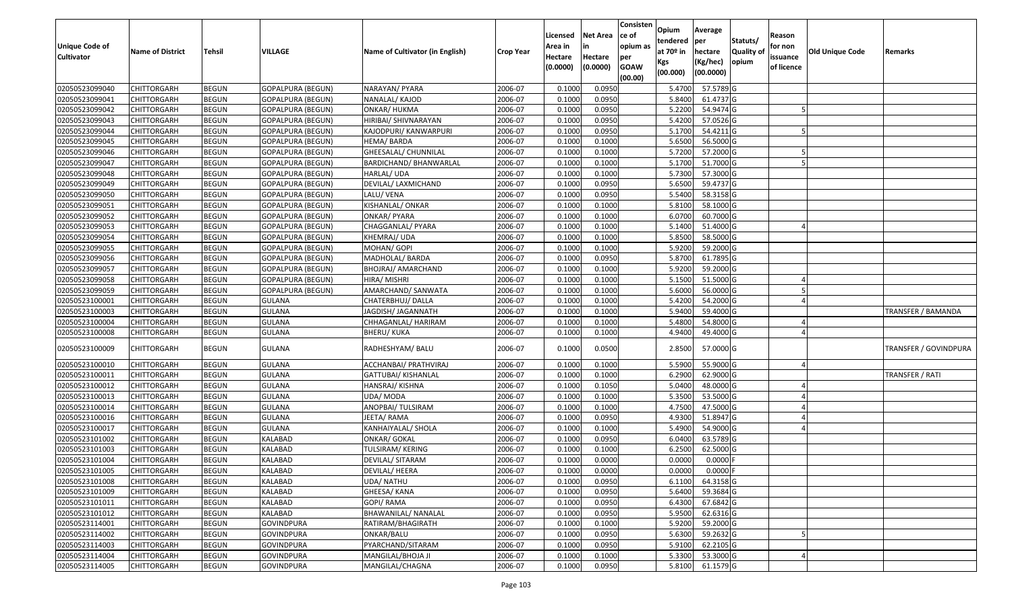| <b>Unique Code of</b><br><b>Cultivator</b> | <b>Name of District</b> | <b>Tehsil</b> | VILLAGE                  | Name of Cultivator (in English) | <b>Crop Year</b> | Licensed<br>Area in<br>Hectare<br>(0.0000) | <b>Net Area</b><br>Hectare<br>(0.0000) | Consisten<br>ce of<br>opium as<br>per<br><b>GOAW</b><br>(00.00) | Opium<br>tendered<br>at $70°$ in<br>Kgs<br>(00.000) | Average<br>per<br>hectare<br>(Kg/hec)<br>(00.0000) | Statuts/<br>Quality of<br>opium | Reason<br>for non<br>issuance<br>of licence | Old Unique Code | Remarks               |
|--------------------------------------------|-------------------------|---------------|--------------------------|---------------------------------|------------------|--------------------------------------------|----------------------------------------|-----------------------------------------------------------------|-----------------------------------------------------|----------------------------------------------------|---------------------------------|---------------------------------------------|-----------------|-----------------------|
| 02050523099040                             | <b>CHITTORGARH</b>      | <b>BEGUN</b>  | <b>GOPALPURA (BEGUN)</b> | NARAYAN/ PYARA                  | 2006-07          | 0.1000                                     | 0.0950                                 |                                                                 | 5.4700                                              | 57.5789 G                                          |                                 |                                             |                 |                       |
| 02050523099041                             | CHITTORGARH             | <b>BEGUN</b>  | <b>GOPALPURA (BEGUN)</b> | NANALAL/ KAJOD                  | 2006-07          | 0.1000                                     | 0.0950                                 |                                                                 | 5.8400                                              | 61.4737 G                                          |                                 |                                             |                 |                       |
| 02050523099042                             | <b>CHITTORGARH</b>      | <b>BEGUN</b>  | <b>GOPALPURA (BEGUN)</b> | <b>ONKAR/ HUKMA</b>             | 2006-07          | 0.1000                                     | 0.0950                                 |                                                                 | 5.2200                                              | 54.9474 G                                          |                                 |                                             |                 |                       |
| 02050523099043                             | <b>CHITTORGARH</b>      | <b>BEGUN</b>  | GOPALPURA (BEGUN)        | HIRIBAI/ SHIVNARAYAN            | 2006-07          | 0.1000                                     | 0.0950                                 |                                                                 | 5.4200                                              | 57.0526 G                                          |                                 |                                             |                 |                       |
| 02050523099044                             | <b>CHITTORGARH</b>      | <b>BEGUN</b>  | <b>GOPALPURA (BEGUN)</b> | KAJODPURI/ KANWARPURI           | 2006-07          | 0.1000                                     | 0.0950                                 |                                                                 | 5.1700                                              | 54.4211 G                                          |                                 |                                             |                 |                       |
| 02050523099045                             | <b>CHITTORGARH</b>      | <b>BEGUN</b>  | <b>GOPALPURA (BEGUN)</b> | HEMA/BARDA                      | 2006-07          | 0.1000                                     | 0.1000                                 |                                                                 | 5.6500                                              | 56.5000 G                                          |                                 |                                             |                 |                       |
| 02050523099046                             | CHITTORGARH             | <b>BEGUN</b>  | GOPALPURA (BEGUN)        | GHEESALAL/ CHUNNILAL            | 2006-07          | 0.1000                                     | 0.1000                                 |                                                                 | 5.7200                                              | 57.2000 G                                          |                                 |                                             |                 |                       |
| 02050523099047                             | <b>CHITTORGARH</b>      | <b>BEGUN</b>  | <b>GOPALPURA (BEGUN)</b> | BARDICHAND/ BHANWARLAL          | 2006-07          | 0.1000                                     | 0.1000                                 |                                                                 | 5.1700                                              | 51.7000 G                                          |                                 |                                             |                 |                       |
| 02050523099048                             | <b>CHITTORGARH</b>      | <b>BEGUN</b>  | GOPALPURA (BEGUN)        | HARLAL/ UDA                     | 2006-07          | 0.1000                                     | 0.1000                                 |                                                                 | 5.7300                                              | 57.3000 G                                          |                                 |                                             |                 |                       |
| 02050523099049                             | CHITTORGARH             | <b>BEGUN</b>  | <b>GOPALPURA (BEGUN)</b> | DEVILAL/ LAXMICHAND             | 2006-07          | 0.1000                                     | 0.0950                                 |                                                                 | 5.6500                                              | 59.4737 G                                          |                                 |                                             |                 |                       |
| 02050523099050                             | <b>CHITTORGARH</b>      | <b>BEGUN</b>  | GOPALPURA (BEGUN)        | LALU/ VENA                      | 2006-07          | 0.1000                                     | 0.0950                                 |                                                                 | 5.5400                                              | 58.3158 G                                          |                                 |                                             |                 |                       |
| 02050523099051                             | <b>CHITTORGARH</b>      | <b>BEGUN</b>  | <b>GOPALPURA (BEGUN)</b> | KISHANLAL/ ONKAR                | 2006-07          | 0.1000                                     | 0.1000                                 |                                                                 | 5.8100                                              | 58.1000 G                                          |                                 |                                             |                 |                       |
| 02050523099052                             | <b>CHITTORGARH</b>      | <b>BEGUN</b>  | GOPALPURA (BEGUN)        | <b>ONKAR/ PYARA</b>             | 2006-07          | 0.1000                                     | 0.1000                                 |                                                                 | 6.0700                                              | 60.7000 G                                          |                                 |                                             |                 |                       |
| 02050523099053                             | <b>CHITTORGARH</b>      | <b>BEGUN</b>  | <b>GOPALPURA (BEGUN)</b> | CHAGGANLAL/ PYARA               | 2006-07          | 0.1000                                     | 0.1000                                 |                                                                 | 5.1400                                              | 51.4000 G                                          |                                 |                                             |                 |                       |
| 02050523099054                             | <b>CHITTORGARH</b>      | <b>BEGUN</b>  | GOPALPURA (BEGUN)        | KHEMRAJ/ UDA                    | 2006-07          | 0.1000                                     | 0.1000                                 |                                                                 | 5.8500                                              | 58.5000 G                                          |                                 |                                             |                 |                       |
| 02050523099055                             | <b>CHITTORGARH</b>      | <b>BEGUN</b>  | <b>GOPALPURA (BEGUN)</b> | MOHAN/ GOPI                     | 2006-07          | 0.1000                                     | 0.1000                                 |                                                                 | 5.9200                                              | 59.2000 G                                          |                                 |                                             |                 |                       |
| 02050523099056                             | <b>CHITTORGARH</b>      | <b>BEGUN</b>  | <b>GOPALPURA (BEGUN)</b> | MADHOLAL/ BARDA                 | 2006-07          | 0.1000                                     | 0.0950                                 |                                                                 | 5.8700                                              | 61.7895 G                                          |                                 |                                             |                 |                       |
| 02050523099057                             | <b>CHITTORGARH</b>      | <b>BEGUN</b>  | GOPALPURA (BEGUN)        | BHOJRAJ/ AMARCHAND              | 2006-07          | 0.1000                                     | 0.1000                                 |                                                                 | 5.9200                                              | 59.2000 G                                          |                                 |                                             |                 |                       |
| 02050523099058                             | CHITTORGARH             | <b>BEGUN</b>  | <b>GOPALPURA (BEGUN)</b> | HIRA/ MISHRI                    | 2006-07          | 0.1000                                     | 0.1000                                 |                                                                 | 5.1500                                              | 51.5000 G                                          |                                 |                                             |                 |                       |
| 02050523099059                             | <b>CHITTORGARH</b>      | <b>BEGUN</b>  | <b>GOPALPURA (BEGUN)</b> | AMARCHAND/ SANWATA              | 2006-07          | 0.1000                                     | 0.1000                                 |                                                                 | 5.6000                                              | 56.0000 G                                          |                                 |                                             |                 |                       |
| 02050523100001                             | <b>CHITTORGARH</b>      | <b>BEGUN</b>  | <b>GULANA</b>            | CHATERBHUJ/ DALLA               | 2006-07          | 0.1000                                     | 0.1000                                 |                                                                 | 5.4200                                              | 54.2000 G                                          |                                 |                                             |                 |                       |
| 02050523100003                             | CHITTORGARH             | <b>BEGUN</b>  | <b>GULANA</b>            | JAGDISH/ JAGANNATH              | 2006-07          | 0.1000                                     | 0.1000                                 |                                                                 | 5.9400                                              | 59.4000 G                                          |                                 |                                             |                 | TRANSFER / BAMANDA    |
| 02050523100004                             | CHITTORGARH             | <b>BEGUN</b>  | <b>GULANA</b>            | CHHAGANLAL/ HARIRAM             | 2006-07          | 0.1000                                     | 0.1000                                 |                                                                 | 5.4800                                              | 54.8000 G                                          |                                 |                                             |                 |                       |
| 02050523100008                             | CHITTORGARH             | <b>BEGUN</b>  | <b>GULANA</b>            | BHERU/ KUKA                     | 2006-07          | 0.1000                                     | 0.1000                                 |                                                                 | 4.9400                                              | 49.4000 G                                          |                                 |                                             |                 |                       |
| 02050523100009                             | CHITTORGARH             | <b>BEGUN</b>  | <b>GULANA</b>            | RADHESHYAM/ BALU                | 2006-07          | 0.1000                                     | 0.0500                                 |                                                                 | 2.8500                                              | 57.0000 G                                          |                                 |                                             |                 | TRANSFER / GOVINDPURA |
| 02050523100010                             | CHITTORGARH             | <b>BEGUN</b>  | <b>GULANA</b>            | ACCHANBAI/ PRATHVIRAJ           | 2006-07          | 0.1000                                     | 0.1000                                 |                                                                 | 5.5900                                              | 55.9000 G                                          |                                 |                                             |                 |                       |
| 02050523100011                             | <b>CHITTORGARH</b>      | <b>BEGUN</b>  | <b>GULANA</b>            | GATTUBAI/ KISHANLAL             | 2006-07          | 0.1000                                     | 0.1000                                 |                                                                 | 6.2900                                              | 62.9000 G                                          |                                 |                                             |                 | TRANSFER / RATI       |
| 02050523100012                             | <b>CHITTORGARH</b>      | <b>BEGUN</b>  | <b>GULANA</b>            | HANSRAJ/KISHNA                  | 2006-07          | 0.1000                                     | 0.1050                                 |                                                                 | 5.0400                                              | 48.0000 G                                          |                                 |                                             |                 |                       |
| 02050523100013                             | <b>CHITTORGARH</b>      | <b>BEGUN</b>  | <b>GULANA</b>            | UDA/ MODA                       | 2006-07          | 0.1000                                     | 0.1000                                 |                                                                 | 5.3500                                              | 53.5000 G                                          |                                 |                                             |                 |                       |
| 02050523100014                             | <b>CHITTORGARH</b>      | <b>BEGUN</b>  | <b>GULANA</b>            | ANOPBAI/ TULSIRAM               | 2006-07          | 0.1000                                     | 0.1000                                 |                                                                 | 4.7500                                              | 47.5000 G                                          |                                 |                                             |                 |                       |
| 02050523100016                             | CHITTORGARH             | <b>BEGUN</b>  | <b>GULANA</b>            | IEETA/ RAMA                     | 2006-07          | 0.1000                                     | 0.0950                                 |                                                                 | 4.9300                                              | 51.8947 G                                          |                                 |                                             |                 |                       |
| 02050523100017                             | <b>CHITTORGARH</b>      | <b>BEGUN</b>  | <b>GULANA</b>            | KANHAIYALAL/ SHOLA              | 2006-07          | 0.1000                                     | 0.1000                                 |                                                                 | 5.4900                                              | 54.9000 G                                          |                                 |                                             |                 |                       |
| 02050523101002                             | <b>CHITTORGARH</b>      | <b>BEGUN</b>  | <b>KALABAD</b>           | <b>ONKAR/ GOKAL</b>             | 2006-07          | 0.1000                                     | 0.0950                                 |                                                                 | 6.0400                                              | 63.5789 G                                          |                                 |                                             |                 |                       |
| 02050523101003                             | <b>CHITTORGARH</b>      | <b>BEGUN</b>  | KALABAD                  | TULSIRAM/ KERING                | 2006-07          | 0.1000                                     | 0.1000                                 |                                                                 | 6.2500                                              | 62.5000 G                                          |                                 |                                             |                 |                       |
| 02050523101004                             | <b>CHITTORGARH</b>      | <b>BEGUN</b>  | KALABAD                  | DEVILAL/ SITARAM                | 2006-07          | 0.1000                                     | 0.0000                                 |                                                                 | 0.0000                                              | $0.0000$ F                                         |                                 |                                             |                 |                       |
| 02050523101005                             | <b>CHITTORGARH</b>      | <b>BEGUN</b>  | <b>KALABAD</b>           | DEVILAL/ HEERA                  | 2006-07          | 0.1000                                     | 0.0000                                 |                                                                 | 0.0000                                              | 0.0000 F                                           |                                 |                                             |                 |                       |
| 02050523101008                             | <b>CHITTORGARH</b>      | <b>BEGUN</b>  | KALABAD                  | UDA/ NATHU                      | 2006-07          | 0.1000                                     | 0.0950                                 |                                                                 | 6.1100                                              | 64.3158 G                                          |                                 |                                             |                 |                       |
| 02050523101009                             | <b>CHITTORGARH</b>      | <b>BEGUN</b>  | KALABAD                  | GHEESA/ KANA                    | 2006-07          | 0.1000                                     | 0.0950                                 |                                                                 | 5.6400                                              | 59.3684 G                                          |                                 |                                             |                 |                       |
| 02050523101011                             | <b>CHITTORGARH</b>      | <b>BEGUN</b>  | KALABAD                  | GOPI/ RAMA                      | 2006-07          | 0.1000                                     | 0.0950                                 |                                                                 | 6.4300                                              | 67.6842 G                                          |                                 |                                             |                 |                       |
| 02050523101012                             | <b>CHITTORGARH</b>      | <b>BEGUN</b>  | KALABAD                  | BHAWANILAL/ NANALAL             | 2006-07          | 0.1000                                     | 0.0950                                 |                                                                 | 5.9500                                              | 62.6316 G                                          |                                 |                                             |                 |                       |
| 02050523114001                             | <b>CHITTORGARH</b>      | <b>BEGUN</b>  | <b>GOVINDPURA</b>        | RATIRAM/BHAGIRATH               | 2006-07          | 0.1000                                     | 0.1000                                 |                                                                 | 5.9200                                              | 59.2000 G                                          |                                 |                                             |                 |                       |
| 02050523114002                             | <b>CHITTORGARH</b>      | <b>BEGUN</b>  | <b>GOVINDPURA</b>        | ONKAR/BALU                      | 2006-07          | 0.1000                                     | 0.0950                                 |                                                                 | 5.6300                                              | 59.2632 G                                          |                                 |                                             |                 |                       |
| 02050523114003                             | <b>CHITTORGARH</b>      | <b>BEGUN</b>  | <b>GOVINDPURA</b>        | PYARCHAND/SITARAM               | 2006-07          | 0.1000                                     | 0.0950                                 |                                                                 | 5.9100                                              | 62.2105 G                                          |                                 |                                             |                 |                       |
| 02050523114004                             | <b>CHITTORGARH</b>      | <b>BEGUN</b>  | <b>GOVINDPURA</b>        | MANGILAL/BHOJA JI               | 2006-07          | 0.1000                                     | 0.1000                                 |                                                                 | 5.3300                                              | 53.3000 G                                          |                                 |                                             |                 |                       |
| 02050523114005                             | <b>CHITTORGARH</b>      | <b>BEGUN</b>  | <b>GOVINDPURA</b>        | MANGILAL/CHAGNA                 | 2006-07          | 0.1000                                     | 0.0950                                 |                                                                 | 5.8100                                              | 61.1579 G                                          |                                 |                                             |                 |                       |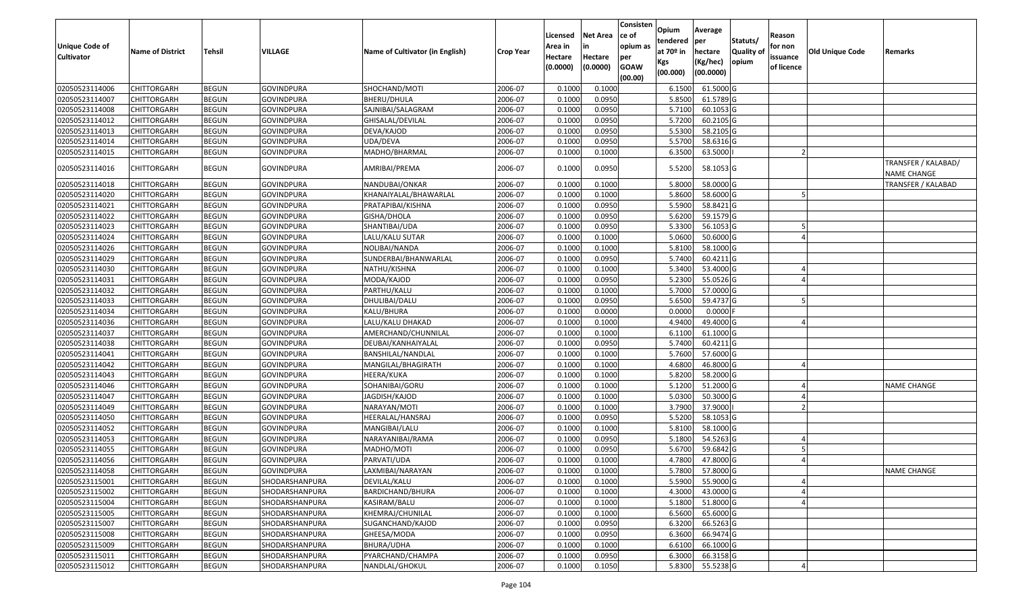| Unique Code of    |                         |               |                   |                                 |                  | Licensed<br>Area in | <b>Net Area</b><br>in | Consisten<br>ce of<br>opium as | Opium<br>tendered              | Average<br>per                   | Statuts/                  | Reason<br>for non      |                        |                                           |
|-------------------|-------------------------|---------------|-------------------|---------------------------------|------------------|---------------------|-----------------------|--------------------------------|--------------------------------|----------------------------------|---------------------------|------------------------|------------------------|-------------------------------------------|
| <b>Cultivator</b> | <b>Name of District</b> | <b>Tehsil</b> | <b>VILLAGE</b>    | Name of Cultivator (in English) | <b>Crop Year</b> | Hectare<br>(0.0000) | Hectare<br>(0.0000)   | per<br><b>GOAW</b><br>(00.00)  | at $70°$ in<br>Kgs<br>(00.000) | hectare<br>(Kg/hec)<br>(00.0000) | <b>Quality o</b><br>opium | issuance<br>of licence | <b>Old Unique Code</b> | Remarks                                   |
| 02050523114006    | CHITTORGARH             | <b>BEGUN</b>  | <b>GOVINDPURA</b> | SHOCHAND/MOTI                   | 2006-07          | 0.1000              | 0.1000                |                                | 6.1500                         | 61.5000G                         |                           |                        |                        |                                           |
| 02050523114007    | CHITTORGARH             | <b>BEGUN</b>  | <b>GOVINDPURA</b> | BHERU/DHULA                     | 2006-07          | 0.1000              | 0.0950                |                                | 5.8500                         | 61.5789 G                        |                           |                        |                        |                                           |
| 02050523114008    | CHITTORGARH             | <b>BEGUN</b>  | <b>GOVINDPURA</b> | SAJNIBAI/SALAGRAM               | 2006-07          | 0.1000              | 0.0950                |                                | 5.7100                         | 60.1053 G                        |                           |                        |                        |                                           |
| 02050523114012    | <b>CHITTORGARH</b>      | <b>BEGUN</b>  | <b>GOVINDPURA</b> | GHISALAL/DEVILAL                | 2006-07          | 0.1000              | 0.0950                |                                | 5.7200                         | 60.2105G                         |                           |                        |                        |                                           |
| 02050523114013    | CHITTORGARH             | <b>BEGUN</b>  | <b>GOVINDPURA</b> | DEVA/KAJOD                      | 2006-07          | 0.1000              | 0.0950                |                                | 5.5300                         | 58.2105 G                        |                           |                        |                        |                                           |
| 02050523114014    | <b>CHITTORGARH</b>      | <b>BEGUN</b>  | <b>GOVINDPURA</b> | UDA/DEVA                        | 2006-07          | 0.1000              | 0.0950                |                                | 5.5700                         | 58.6316 G                        |                           |                        |                        |                                           |
| 02050523114015    | CHITTORGARH             | <b>BEGUN</b>  | GOVINDPURA        | MADHO/BHARMAL                   | 2006-07          | 0.1000              | 0.1000                |                                | 6.3500                         | 63.5000                          |                           |                        |                        |                                           |
| 02050523114016    | CHITTORGARH             | <b>BEGUN</b>  | <b>GOVINDPURA</b> | AMRIBAI/PREMA                   | 2006-07          | 0.1000              | 0.0950                |                                | 5.5200                         | 58.1053 G                        |                           |                        |                        | TRANSFER / KALABAD/<br><b>NAME CHANGE</b> |
| 02050523114018    | <b>CHITTORGARH</b>      | <b>BEGUN</b>  | <b>GOVINDPURA</b> | NANDUBAI/ONKAR                  | 2006-07          | 0.100               | 0.1000                |                                | 5.8000                         | 58.0000G                         |                           |                        |                        | <b>TRANSFER / KALABAD</b>                 |
| 02050523114020    | <b>CHITTORGARH</b>      | <b>BEGUN</b>  | <b>GOVINDPURA</b> | KHANAIYALAL/BHAWARLAL           | 2006-07          | 0.1000              | 0.1000                |                                | 5.8600                         | 58.6000 G                        |                           |                        |                        |                                           |
| 02050523114021    | CHITTORGARH             | <b>BEGUN</b>  | <b>GOVINDPURA</b> | PRATAPIBAI/KISHNA               | 2006-07          | 0.1000              | 0.0950                |                                | 5.5900                         | 58.8421 G                        |                           |                        |                        |                                           |
| 02050523114022    | <b>CHITTORGARH</b>      | <b>BEGUN</b>  | <b>GOVINDPURA</b> | GISHA/DHOLA                     | 2006-07          | 0.1000              | 0.0950                |                                | 5.6200                         | 59.1579 G                        |                           |                        |                        |                                           |
| 02050523114023    | CHITTORGARH             | <b>BEGUN</b>  | <b>GOVINDPURA</b> | SHANTIBAI/UDA                   | 2006-07          | 0.1000              | 0.0950                |                                | 5.3300                         | 56.1053 G                        |                           |                        |                        |                                           |
| 02050523114024    | <b>CHITTORGARH</b>      | <b>BEGUN</b>  | <b>GOVINDPURA</b> | LALU/KALU SUTAR                 | 2006-07          | 0.1000              | 0.1000                |                                | 5.0600                         | 50.6000G                         |                           |                        |                        |                                           |
| 02050523114026    | CHITTORGARH             | <b>BEGUN</b>  | <b>GOVINDPURA</b> | NOLIBAI/NANDA                   | 2006-07          | 0.1000              | 0.1000                |                                | 5.8100                         | 58.1000G                         |                           |                        |                        |                                           |
| 02050523114029    | CHITTORGARH             | <b>BEGUN</b>  | <b>GOVINDPURA</b> | SUNDERBAI/BHANWARLAL            | 2006-07          | 0.1000              | 0.0950                |                                | 5.7400                         | 60.4211 G                        |                           |                        |                        |                                           |
| 02050523114030    | CHITTORGARH             | <b>BEGUN</b>  | GOVINDPURA        | NATHU/KISHNA                    | 2006-07          | 0.100               | 0.1000                |                                | 5.3400                         | 53.4000 G                        |                           |                        |                        |                                           |
| 02050523114031    | CHITTORGARH             | <b>BEGUN</b>  | <b>GOVINDPURA</b> | MODA/KAJOD                      | 2006-07          | 0.100               | 0.0950                |                                | 5.2300                         | 55.0526 G                        |                           |                        |                        |                                           |
| 02050523114032    | CHITTORGARH             | <b>BEGUN</b>  | <b>GOVINDPURA</b> | PARTHU/KALU                     | 2006-07          | 0.1000              | 0.1000                |                                | 5.7000                         | 57.0000 G                        |                           |                        |                        |                                           |
| 02050523114033    | CHITTORGARH             | <b>BEGUN</b>  | <b>GOVINDPURA</b> | DHULIBAI/DALU                   | 2006-07          | 0.1000              | 0.0950                |                                | 5.6500                         | 59.4737 G                        |                           |                        |                        |                                           |
| 02050523114034    | CHITTORGARH             | <b>BEGUN</b>  | <b>GOVINDPURA</b> | KALU/BHURA                      | 2006-07          | 0.1000              | 0.0000                |                                | 0.0000                         | 0.0000                           |                           |                        |                        |                                           |
| 02050523114036    | CHITTORGARH             | <b>BEGUN</b>  | <b>GOVINDPURA</b> | LALU/KALU DHAKAD                | 2006-07          | 0.1000              | 0.1000                |                                | 4.9400                         | 49.4000 G                        |                           |                        |                        |                                           |
| 02050523114037    | CHITTORGARH             | <b>BEGUN</b>  | <b>GOVINDPURA</b> | AMERCHAND/CHUNNILAL             | 2006-07          | 0.1000              | 0.1000                |                                | 6.1100                         | 61.1000G                         |                           |                        |                        |                                           |
| 02050523114038    | <b>CHITTORGARH</b>      | <b>BEGUN</b>  | <b>GOVINDPURA</b> | DEUBAI/KANHAIYALAL              | 2006-07          | 0.1000              | 0.0950                |                                | 5.7400                         | 60.4211 G                        |                           |                        |                        |                                           |
| 02050523114041    | CHITTORGARH             | <b>BEGUN</b>  | <b>GOVINDPURA</b> | BANSHILAL/NANDLAL               | 2006-07          | 0.1000              | 0.1000                |                                | 5.7600                         | 57.6000G                         |                           |                        |                        |                                           |
| 02050523114042    | CHITTORGARH             | <b>BEGUN</b>  | <b>GOVINDPURA</b> | MANGILAL/BHAGIRATH              | 2006-07          | 0.1000              | 0.1000                |                                | 4.6800                         | 46.8000 G                        |                           |                        |                        |                                           |
| 02050523114043    | CHITTORGARH             | <b>BEGUN</b>  | <b>GOVINDPURA</b> | HEERA/KUKA                      | 2006-07          | 0.1000              | 0.1000                |                                | 5.8200                         | 58.2000 G                        |                           |                        |                        |                                           |
| 02050523114046    | <b>CHITTORGARH</b>      | <b>BEGUN</b>  | <b>GOVINDPURA</b> | SOHANIBAI/GORU                  | 2006-07          | 0.1000              | 0.1000                |                                | 5.1200                         | 51.2000 G                        |                           |                        |                        | <b>NAME CHANGE</b>                        |
| 02050523114047    | <b>CHITTORGARH</b>      | <b>BEGUN</b>  | <b>GOVINDPURA</b> | JAGDISH/KAJOD                   | 2006-07          | 0.1000              | 0.1000                |                                | 5.0300                         | 50.3000 G                        |                           |                        |                        |                                           |
| 02050523114049    | CHITTORGARH             | <b>BEGUN</b>  | <b>GOVINDPURA</b> | NARAYAN/MOTI                    | 2006-07          | 0.1000              | 0.1000                |                                | 3.7900                         | 37.9000                          |                           |                        |                        |                                           |
| 02050523114050    | CHITTORGARH             | <b>BEGUN</b>  | <b>GOVINDPURA</b> | HEERALAL/HANSRAJ                | 2006-07          | 0.1000              | 0.0950                |                                | 5.5200                         | 58.1053 G                        |                           |                        |                        |                                           |
| 02050523114052    | <b>CHITTORGARH</b>      | <b>BEGUN</b>  | <b>GOVINDPURA</b> | MANGIBAI/LALU                   | 2006-07          | 0.1000              | 0.1000                |                                | 5.8100                         | 58.1000G                         |                           |                        |                        |                                           |
| 02050523114053    | <b>CHITTORGARH</b>      | <b>BEGUN</b>  | <b>GOVINDPURA</b> | NARAYANIBAI/RAMA                | 2006-07          | 0.1000              | 0.0950                |                                | 5.1800                         | 54.5263 G                        |                           |                        |                        |                                           |
| 02050523114055    | CHITTORGARH             | <b>BEGUN</b>  | <b>GOVINDPURA</b> | MADHO/MOTI                      | 2006-07          | 0.1000              | 0.0950                |                                | 5.6700                         | 59.6842 G                        |                           |                        |                        |                                           |
| 02050523114056    | CHITTORGARH             | <b>BEGUN</b>  | <b>GOVINDPURA</b> | PARVATI/UDA                     | 2006-07          | 0.1000              | 0.1000                |                                | 4.7800                         | 47.8000 G                        |                           |                        |                        |                                           |
| 02050523114058    | <b>CHITTORGARH</b>      | <b>BEGUN</b>  | GOVINDPURA        | LAXMIBAI/NARAYAN                | 2006-07          | 0.1000              | 0.1000                |                                |                                | 5.7800 57.8000 G                 |                           |                        |                        | <b>NAME CHANGE</b>                        |
| 02050523115001    | <b>CHITTORGARH</b>      | <b>BEGUN</b>  | SHODARSHANPURA    | DEVILAL/KALU                    | 2006-07          | 0.1000              | 0.1000                |                                | 5.5900                         | 55.9000 G                        |                           |                        |                        |                                           |
| 02050523115002    | <b>CHITTORGARH</b>      | <b>BEGUN</b>  | SHODARSHANPURA    | BARDICHAND/BHURA                | 2006-07          | 0.1000              | 0.1000                |                                | 4.3000                         | 43.0000 G                        |                           |                        |                        |                                           |
| 02050523115004    | <b>CHITTORGARH</b>      | <b>BEGUN</b>  | SHODARSHANPURA    | KASIRAM/BALU                    | 2006-07          | 0.1000              | 0.1000                |                                | 5.1800                         | 51.8000 G                        |                           |                        |                        |                                           |
| 02050523115005    | <b>CHITTORGARH</b>      | <b>BEGUN</b>  | SHODARSHANPURA    | KHEMRAJ/CHUNILAL                | 2006-07          | 0.1000              | 0.1000                |                                | 6.5600                         | 65.6000 G                        |                           |                        |                        |                                           |
| 02050523115007    | <b>CHITTORGARH</b>      | <b>BEGUN</b>  | SHODARSHANPURA    | SUGANCHAND/KAJOD                | 2006-07          | 0.1000              | 0.0950                |                                | 6.3200                         | 66.5263 G                        |                           |                        |                        |                                           |
| 02050523115008    | <b>CHITTORGARH</b>      | <b>BEGUN</b>  | SHODARSHANPURA    | GHEESA/MODA                     | 2006-07          | 0.1000              | 0.0950                |                                | 6.3600                         | 66.9474 G                        |                           |                        |                        |                                           |
| 02050523115009    | <b>CHITTORGARH</b>      | <b>BEGUN</b>  | SHODARSHANPURA    | BHURA/UDHA                      | 2006-07          | 0.1000              | 0.1000                |                                | 6.6100                         | $66.1000$ G                      |                           |                        |                        |                                           |
| 02050523115011    | <b>CHITTORGARH</b>      | <b>BEGUN</b>  | SHODARSHANPURA    | PYARCHAND/CHAMPA                | 2006-07          | 0.1000              | 0.0950                |                                | 6.3000                         | 66.3158 G                        |                           |                        |                        |                                           |
| 02050523115012    | <b>CHITTORGARH</b>      | <b>BEGUN</b>  | SHODARSHANPURA    | NANDLAL/GHOKUL                  | 2006-07          | 0.1000              | 0.1050                |                                | 5.8300                         | 55.5238 G                        |                           |                        |                        |                                           |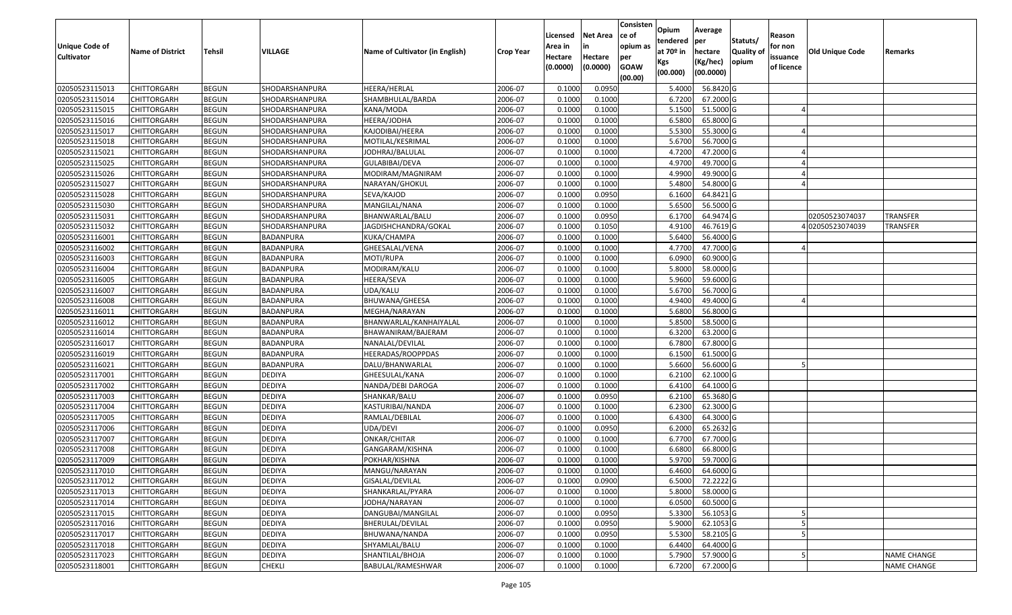| Unique Code of<br><b>Cultivator</b> | <b>Name of District</b> | <b>Tehsil</b> | VILLAGE          | Name of Cultivator (in English) | <b>Crop Year</b> | Licensed<br>Area in<br>Hectare<br>(0.0000) | <b>Net Area</b><br>in<br>Hectare<br>(0.0000) | Consisten<br>ce of<br>opium as<br>per<br><b>GOAW</b> | Opium<br>tendered<br>at $70°$ in<br>Kgs<br>(00.000) | Average<br>per<br>hectare<br>(Kg/hec)<br>(00.0000) | Statuts/<br><b>Quality o</b><br>opium | Reason<br>for non<br>issuance<br>of licence | Old Unique Code | Remarks            |
|-------------------------------------|-------------------------|---------------|------------------|---------------------------------|------------------|--------------------------------------------|----------------------------------------------|------------------------------------------------------|-----------------------------------------------------|----------------------------------------------------|---------------------------------------|---------------------------------------------|-----------------|--------------------|
|                                     |                         |               |                  |                                 |                  |                                            |                                              | (00.00)                                              |                                                     |                                                    |                                       |                                             |                 |                    |
| 02050523115013                      | CHITTORGARH             | <b>BEGUN</b>  | SHODARSHANPURA   | HEERA/HERLAL                    | 2006-07          | 0.1000                                     | 0.0950                                       |                                                      | 5.4000                                              | 56.8420 G                                          |                                       |                                             |                 |                    |
| 02050523115014                      | CHITTORGARH             | <b>BEGUN</b>  | SHODARSHANPURA   | SHAMBHULAL/BARDA                | 2006-07          | 0.1000                                     | 0.1000                                       |                                                      | 6.7200                                              | 67.2000 G                                          |                                       |                                             |                 |                    |
| 02050523115015                      | CHITTORGARH             | <b>BEGUN</b>  | SHODARSHANPURA   | KANA/MODA                       | 2006-07          | 0.1000                                     | 0.1000                                       |                                                      | 5.1500                                              | 51.5000G                                           |                                       |                                             |                 |                    |
| 02050523115016                      | <b>CHITTORGARH</b>      | <b>BEGUN</b>  | SHODARSHANPURA   | HEERA/JODHA                     | 2006-07          | 0.1000                                     | 0.1000                                       |                                                      | 6.5800                                              | 65.8000G                                           |                                       |                                             |                 |                    |
| 02050523115017                      | CHITTORGARH             | <b>BEGUN</b>  | SHODARSHANPURA   | KAJODIBAI/HEERA                 | 2006-07          | 0.1000                                     | 0.1000                                       |                                                      | 5.5300                                              | 55.3000 G                                          |                                       |                                             |                 |                    |
| 02050523115018                      | CHITTORGARH             | <b>BEGUN</b>  | SHODARSHANPURA   | MOTILAL/KESRIMAL                | 2006-07          | 0.1000                                     | 0.1000                                       |                                                      | 5.6700                                              | 56.7000 G                                          |                                       |                                             |                 |                    |
| 02050523115021                      | CHITTORGARH             | <b>BEGUN</b>  | SHODARSHANPURA   | JODHRAJ/BALULAL                 | 2006-07          | 0.1000                                     | 0.1000                                       |                                                      | 4.7200                                              | 47.2000 G                                          |                                       |                                             |                 |                    |
| 02050523115025                      | CHITTORGARH             | <b>BEGUN</b>  | SHODARSHANPURA   | GULABIBAI/DEVA                  | 2006-07          | 0.1000                                     | 0.1000                                       |                                                      | 4.9700                                              | 49.7000G                                           |                                       |                                             |                 |                    |
| 02050523115026                      | CHITTORGARH             | <b>BEGUN</b>  | SHODARSHANPURA   | MODIRAM/MAGNIRAM                | 2006-07          | 0.1000                                     | 0.1000                                       |                                                      | 4.9900                                              | 49.9000 G                                          |                                       |                                             |                 |                    |
| 02050523115027                      | CHITTORGARH             | <b>BEGUN</b>  | SHODARSHANPURA   | NARAYAN/GHOKUL                  | 2006-07          | 0.1000                                     | 0.1000                                       |                                                      | 5.4800                                              | 54.8000 G                                          |                                       |                                             |                 |                    |
| 02050523115028                      | CHITTORGARH             | <b>BEGUN</b>  | SHODARSHANPURA   | SEVA/KAJOD                      | 2006-07          | 0.1000                                     | 0.0950                                       |                                                      | 6.1600                                              | 64.8421G                                           |                                       |                                             |                 |                    |
| 02050523115030                      | <b>CHITTORGARH</b>      | <b>BEGUN</b>  | SHODARSHANPURA   | MANGILAL/NANA                   | 2006-07          | 0.1000                                     | 0.1000                                       |                                                      | 5.6500                                              | 56.5000 G                                          |                                       |                                             |                 |                    |
| 02050523115031                      | <b>CHITTORGARH</b>      | <b>BEGUN</b>  | SHODARSHANPURA   | BHANWARLAL/BALU                 | 2006-07          | 0.1000                                     | 0.0950                                       |                                                      | 6.1700                                              | 64.9474 G                                          |                                       |                                             | 02050523074037  | <b>TRANSFER</b>    |
| 02050523115032                      | <b>CHITTORGARH</b>      | <b>BEGUN</b>  | SHODARSHANPURA   | JAGDISHCHANDRA/GOKAL            | 2006-07          | 0.1000                                     | 0.1050                                       |                                                      | 4.9100                                              | 46.7619G                                           |                                       |                                             | 402050523074039 | <b>TRANSFER</b>    |
| 02050523116001                      | CHITTORGARH             | <b>BEGUN</b>  | BADANPURA        | KUKA/CHAMPA                     | 2006-07          | 0.1000                                     | 0.1000                                       |                                                      | 5.6400                                              | 56.4000 G                                          |                                       |                                             |                 |                    |
| 02050523116002                      | CHITTORGARH             | <b>BEGUN</b>  | BADANPURA        | GHEESALAL/VENA                  | 2006-07          | 0.1000                                     | 0.1000                                       |                                                      | 4.7700                                              | 47.7000G                                           |                                       |                                             |                 |                    |
| 02050523116003                      | CHITTORGARH             | <b>BEGUN</b>  | BADANPURA        | MOTI/RUPA                       | 2006-07          | 0.1000                                     | 0.1000                                       |                                                      | 6.0900                                              | 60.9000 G                                          |                                       |                                             |                 |                    |
| 02050523116004                      | CHITTORGARH             | <b>BEGUN</b>  | BADANPURA        | MODIRAM/KALU                    | 2006-07          | 0.100                                      | 0.1000                                       |                                                      | 5.8000                                              | 58.0000G                                           |                                       |                                             |                 |                    |
| 02050523116005                      | CHITTORGARH             | <b>BEGUN</b>  | BADANPURA        | HEERA/SEVA                      | 2006-07          | 0.100                                      | 0.1000                                       |                                                      | 5.9600                                              | 59.6000 G                                          |                                       |                                             |                 |                    |
| 02050523116007                      | CHITTORGARH             | <b>BEGUN</b>  | BADANPURA        | UDA/KALU                        | 2006-07          | 0.1000                                     | 0.1000                                       |                                                      | 5.6700                                              | 56.7000 G                                          |                                       |                                             |                 |                    |
| 02050523116008                      | CHITTORGARH             | <b>BEGUN</b>  | BADANPURA        | BHUWANA/GHEESA                  | 2006-07          | 0.100                                      | 0.1000                                       |                                                      | 4.9400                                              | 49.4000 G                                          |                                       |                                             |                 |                    |
| 02050523116011                      | CHITTORGARH             | <b>BEGUN</b>  | BADANPURA        | MEGHA/NARAYAN                   | 2006-07          | 0.100                                      | 0.1000                                       |                                                      | 5.6800                                              | 56.8000 G                                          |                                       |                                             |                 |                    |
| 02050523116012                      | CHITTORGARH             | <b>BEGUN</b>  | BADANPURA        | BHANWARLAL/KANHAIYALAL          | 2006-07          | 0.1000                                     | 0.1000                                       |                                                      | 5.8500                                              | 58.5000G                                           |                                       |                                             |                 |                    |
| 02050523116014                      | CHITTORGARH             | <b>BEGUN</b>  | BADANPURA        | BHAWANIRAM/BAJERAM              | 2006-07          | 0.100                                      | 0.1000                                       |                                                      | 6.3200                                              | 63.2000 G                                          |                                       |                                             |                 |                    |
| 02050523116017                      | <b>CHITTORGARH</b>      | <b>BEGUN</b>  | <b>BADANPURA</b> | NANALAL/DEVILAL                 | 2006-07          | 0.1000                                     | 0.1000                                       |                                                      | 6.7800                                              | 67.8000 G                                          |                                       |                                             |                 |                    |
| 02050523116019                      | CHITTORGARH             | <b>BEGUN</b>  | BADANPURA        | HEERADAS/ROOPPDAS               | 2006-07          | 0.1000                                     | 0.1000                                       |                                                      | 6.1500                                              | 61.5000G                                           |                                       |                                             |                 |                    |
| 02050523116021                      | CHITTORGARH             | <b>BEGUN</b>  | BADANPURA        | DALU/BHANWARLAL                 | 2006-07          | 0.1000                                     | 0.1000                                       |                                                      | 5.6600                                              | 56.6000 G                                          |                                       |                                             |                 |                    |
| 02050523117001                      | CHITTORGARH             | <b>BEGUN</b>  | <b>DEDIYA</b>    | GHEESULAL/KANA                  | 2006-07          | 0.1000                                     | 0.1000                                       |                                                      | 6.2100                                              | 62.1000G                                           |                                       |                                             |                 |                    |
| 02050523117002                      | CHITTORGARH             | <b>BEGUN</b>  | <b>DEDIYA</b>    | NANDA/DEBI DAROGA               | 2006-07          | 0.1000                                     | 0.1000                                       |                                                      | 6.4100                                              | 64.1000 G                                          |                                       |                                             |                 |                    |
| 02050523117003                      | CHITTORGARH             | <b>BEGUN</b>  | <b>DEDIYA</b>    | SHANKAR/BALU                    | 2006-07          | 0.1000                                     | 0.0950                                       |                                                      | 6.2100                                              | 65.3680 G                                          |                                       |                                             |                 |                    |
| 02050523117004                      | CHITTORGARH             | <b>BEGUN</b>  | <b>DEDIYA</b>    | KASTURIBAI/NANDA                | 2006-07          | 0.1000                                     | 0.1000                                       |                                                      | 6.2300                                              | 62.3000G                                           |                                       |                                             |                 |                    |
| 02050523117005                      | CHITTORGARH             | <b>BEGUN</b>  | <b>DEDIYA</b>    | RAMLAL/DEBILAL                  | 2006-07          | 0.1000                                     | 0.1000                                       |                                                      | 6.4300                                              | 64.3000 G                                          |                                       |                                             |                 |                    |
| 02050523117006                      | CHITTORGARH             | <b>BEGUN</b>  | <b>DEDIYA</b>    | UDA/DEVI                        | 2006-07          | 0.1000                                     | 0.0950                                       |                                                      | 6.2000                                              | 65.2632 G                                          |                                       |                                             |                 |                    |
| 02050523117007                      | CHITTORGARH             | <b>BEGUN</b>  | DEDIYA           | ONKAR/CHITAR                    | 2006-07          | 0.1000                                     | 0.1000                                       |                                                      | 6.7700                                              | 67.7000 G                                          |                                       |                                             |                 |                    |
| 02050523117008                      | CHITTORGARH             | <b>BEGUN</b>  | <b>DEDIYA</b>    | GANGARAM/KISHNA                 | 2006-07          | 0.1000                                     | 0.1000                                       |                                                      | 6.6800                                              | 66.8000 G                                          |                                       |                                             |                 |                    |
| 02050523117009                      | CHITTORGARH             | <b>BEGUN</b>  | <b>DEDIYA</b>    | POKHAR/KISHNA                   | 2006-07          | 0.1000                                     | 0.1000                                       |                                                      | 5.9700                                              | 59.7000G                                           |                                       |                                             |                 |                    |
| 02050523117010                      | <b>CHITTORGARH</b>      | <b>BEGUN</b>  | <b>DEDIYA</b>    | MANGU/NARAYAN                   | 2006-07          | 0.1000                                     | 0.1000                                       |                                                      | 6.4600                                              | 64.6000 G                                          |                                       |                                             |                 |                    |
| 02050523117012                      | <b>CHITTORGARH</b>      | <b>BEGUN</b>  | <b>DEDIYA</b>    | GISALAL/DEVILAL                 | 2006-07          | 0.1000                                     | 0.0900                                       |                                                      | 6.5000                                              | 72.2222 G                                          |                                       |                                             |                 |                    |
| 02050523117013                      | <b>CHITTORGARH</b>      | <b>BEGUN</b>  | <b>DEDIYA</b>    | SHANKARLAL/PYARA                | 2006-07          | 0.1000                                     | 0.1000                                       |                                                      | 5.8000                                              | 58.0000 G                                          |                                       |                                             |                 |                    |
| 02050523117014                      | <b>CHITTORGARH</b>      | <b>BEGUN</b>  | <b>DEDIYA</b>    | JODHA/NARAYAN                   | 2006-07          | 0.1000                                     | 0.1000                                       |                                                      | 6.0500                                              | 60.5000 G                                          |                                       |                                             |                 |                    |
| 02050523117015                      | <b>CHITTORGARH</b>      | <b>BEGUN</b>  | <b>DEDIYA</b>    | DANGUBAI/MANGILAL               | 2006-07          | 0.1000                                     | 0.0950                                       |                                                      | 5.3300                                              | 56.1053 G                                          |                                       |                                             |                 |                    |
| 02050523117016                      | <b>CHITTORGARH</b>      | <b>BEGUN</b>  | <b>DEDIYA</b>    | BHERULAL/DEVILAL                | 2006-07          | 0.1000                                     | 0.0950                                       |                                                      | 5.9000                                              | 62.1053 G                                          |                                       |                                             |                 |                    |
| 02050523117017                      | <b>CHITTORGARH</b>      | <b>BEGUN</b>  | <b>DEDIYA</b>    | BHUWANA/NANDA                   | 2006-07          | 0.1000                                     | 0.0950                                       |                                                      | 5.5300                                              | 58.2105 G                                          |                                       |                                             |                 |                    |
| 02050523117018                      | CHITTORGARH             | <b>BEGUN</b>  | <b>DEDIYA</b>    | SHYAMLAL/BALU                   | 2006-07          | 0.1000                                     | 0.1000                                       |                                                      | 6.4400                                              | 64.4000 G                                          |                                       |                                             |                 |                    |
| 02050523117023                      | CHITTORGARH             | <b>BEGUN</b>  | <b>DEDIYA</b>    | SHANTILAL/BHOJA                 | 2006-07          | 0.1000                                     | 0.1000                                       |                                                      | 5.7900                                              | 57.9000 G                                          |                                       |                                             |                 | <b>NAME CHANGE</b> |
| 02050523118001                      | <b>CHITTORGARH</b>      | <b>BEGUN</b>  | <b>CHEKLI</b>    | BABULAL/RAMESHWAR               | 2006-07          | 0.1000                                     | 0.1000                                       |                                                      | 6.7200                                              | 67.2000 G                                          |                                       |                                             |                 | <b>NAME CHANGE</b> |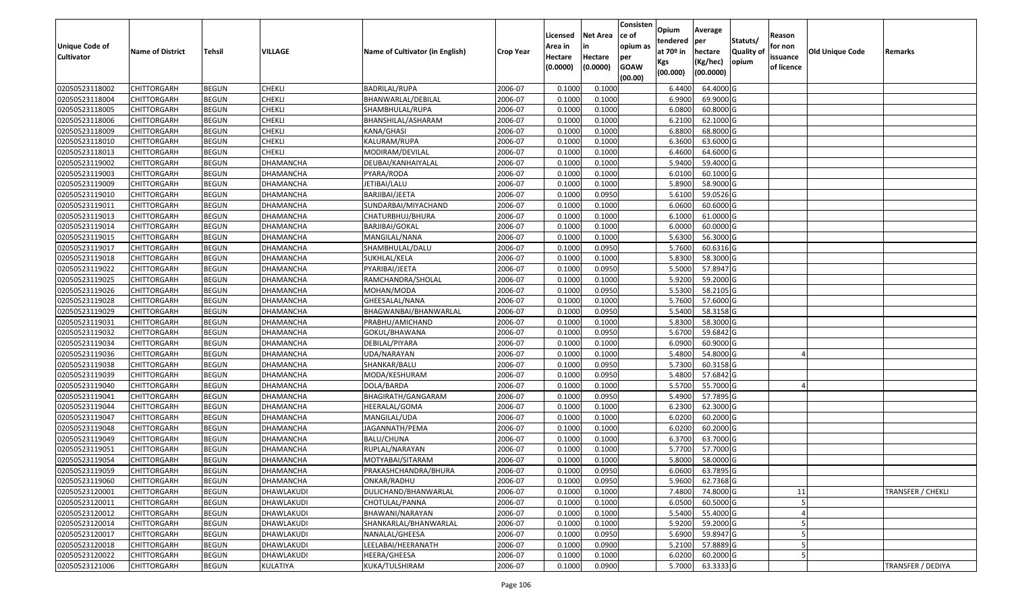| Unique Code of    |                         |               |                   |                                 |                  | Licensed<br>Area in | <b>Net Area</b><br>in | Consisten<br>ce of<br>opium as | Opium<br>tendered              | Average<br>per                   | Statuts/                  | Reason<br>for non      |                 |                          |
|-------------------|-------------------------|---------------|-------------------|---------------------------------|------------------|---------------------|-----------------------|--------------------------------|--------------------------------|----------------------------------|---------------------------|------------------------|-----------------|--------------------------|
| <b>Cultivator</b> | <b>Name of District</b> | <b>Tehsil</b> | VILLAGE           | Name of Cultivator (in English) | <b>Crop Year</b> | Hectare<br>(0.0000) | Hectare<br>(0.0000)   | per<br><b>GOAW</b><br>(00.00)  | at $70°$ in<br>Kgs<br>(00.000) | hectare<br>(Kg/hec)<br>(00.0000) | <b>Quality o</b><br>opium | issuance<br>of licence | Old Unique Code | Remarks                  |
| 02050523118002    | CHITTORGARH             | <b>BEGUN</b>  | <b>CHEKLI</b>     | <b>BADRILAL/RUPA</b>            | 2006-07          | 0.1000              | 0.1000                |                                | 6.4400                         | 64.4000 G                        |                           |                        |                 |                          |
| 02050523118004    | CHITTORGARH             | <b>BEGUN</b>  | <b>CHEKLI</b>     | BHANWARLAL/DEBILAL              | 2006-07          | 0.1000              | 0.1000                |                                | 6.9900                         | 69.9000 G                        |                           |                        |                 |                          |
| 02050523118005    | CHITTORGARH             | <b>BEGUN</b>  | <b>CHEKLI</b>     | SHAMBHULAL/RUPA                 | 2006-07          | 0.1000              | 0.1000                |                                | 6.0800                         | 60.8000 G                        |                           |                        |                 |                          |
| 02050523118006    | <b>CHITTORGARH</b>      | <b>BEGUN</b>  | <b>CHEKLI</b>     | BHANSHILAL/ASHARAM              | 2006-07          | 0.1000              | 0.1000                |                                | 6.2100                         | 62.1000G                         |                           |                        |                 |                          |
| 02050523118009    | CHITTORGARH             | <b>BEGUN</b>  | <b>CHEKLI</b>     | KANA/GHASI                      | 2006-07          | 0.1000              | 0.1000                |                                | 6.8800                         | 68.8000 G                        |                           |                        |                 |                          |
| 02050523118010    | <b>CHITTORGARH</b>      | <b>BEGUN</b>  | <b>CHEKLI</b>     | KALURAM/RUPA                    | 2006-07          | 0.1000              | 0.1000                |                                | 6.3600                         | 63.6000 G                        |                           |                        |                 |                          |
| 02050523118013    | CHITTORGARH             | <b>BEGUN</b>  | <b>CHEKLI</b>     | MODIRAM/DEVILAL                 | 2006-07          | 0.1000              | 0.1000                |                                | 6.4600                         | 64.6000 G                        |                           |                        |                 |                          |
| 02050523119002    | CHITTORGARH             | <b>BEGUN</b>  | DHAMANCHA         | DEUBAI/KANHAIYALAL              | 2006-07          | 0.1000              | 0.1000                |                                | 5.9400                         | 59.4000 G                        |                           |                        |                 |                          |
| 02050523119003    | CHITTORGARH             | <b>BEGUN</b>  | DHAMANCHA         | PYARA/RODA                      | 2006-07          | 0.1000              | 0.1000                |                                | 6.0100                         | 60.1000 G                        |                           |                        |                 |                          |
| 02050523119009    | <b>CHITTORGARH</b>      | <b>BEGUN</b>  | DHAMANCHA         | JETIBAI/LALU                    | 2006-07          | 0.1000              | 0.1000                |                                | 5.8900                         | 58.9000 G                        |                           |                        |                 |                          |
| 02050523119010    | CHITTORGARH             | <b>BEGUN</b>  | DHAMANCHA         | BARJIBAI/JEETA                  | 2006-07          | 0.1000              | 0.0950                |                                | 5.6100                         | 59.0526 G                        |                           |                        |                 |                          |
| 02050523119011    | <b>CHITTORGARH</b>      | <b>BEGUN</b>  | DHAMANCHA         | SUNDARBAI/MIYACHAND             | 2006-07          | 0.1000              | 0.1000                |                                | 6.0600                         | 60.6000 G                        |                           |                        |                 |                          |
| 02050523119013    | <b>CHITTORGARH</b>      | <b>BEGUN</b>  | DHAMANCHA         | CHATURBHUJ/BHURA                | 2006-07          | 0.1000              | 0.1000                |                                | 6.1000                         | 61.0000G                         |                           |                        |                 |                          |
| 02050523119014    | CHITTORGARH             | <b>BEGUN</b>  | DHAMANCHA         | BARJIBAI/GOKAL                  | 2006-07          | 0.100               | 0.1000                |                                | 6.0000                         | 60.0000G                         |                           |                        |                 |                          |
| 02050523119015    | CHITTORGARH             | <b>BEGUN</b>  | DHAMANCHA         | MANGILAL/NANA                   | 2006-07          | 0.1000              | 0.1000                |                                | 5.6300                         | 56.3000G                         |                           |                        |                 |                          |
| 02050523119017    | CHITTORGARH             | <b>BEGUN</b>  | DHAMANCHA         | SHAMBHULAL/DALU                 | 2006-07          | 0.1000              | 0.0950                |                                | 5.7600                         | 60.6316 G                        |                           |                        |                 |                          |
| 02050523119018    | CHITTORGARH             | <b>BEGUN</b>  | DHAMANCHA         | SUKHLAL/KELA                    | 2006-07          | 0.1000              | 0.1000                |                                | 5.8300                         | 58.3000 G                        |                           |                        |                 |                          |
| 02050523119022    | CHITTORGARH             | <b>BEGUN</b>  | DHAMANCHA         | PYARIBAI/JEETA                  | 2006-07          | 0.1000              | 0.0950                |                                | 5.5000                         | 57.8947 G                        |                           |                        |                 |                          |
| 02050523119025    | CHITTORGARH             | <b>BEGUN</b>  | DHAMANCHA         | RAMCHANDRA/SHOLAL               | 2006-07          | 0.100               | 0.1000                |                                | 5.9200                         | 59.2000 G                        |                           |                        |                 |                          |
| 02050523119026    | CHITTORGARH             | <b>BEGUN</b>  | DHAMANCHA         | MOHAN/MODA                      | 2006-07          | 0.1000              | 0.0950                |                                | 5.5300                         | 58.2105 G                        |                           |                        |                 |                          |
| 02050523119028    | CHITTORGARH             | <b>BEGUN</b>  | DHAMANCHA         | GHEESALAL/NANA                  | 2006-07          | 0.100               | 0.1000                |                                | 5.7600                         | 57.6000 G                        |                           |                        |                 |                          |
| 02050523119029    | CHITTORGARH             | <b>BEGUN</b>  | DHAMANCHA         | BHAGWANBAI/BHANWARLAL           | 2006-07          | 0.100               | 0.0950                |                                | 5.5400                         | 58.3158 G                        |                           |                        |                 |                          |
| 02050523119031    | CHITTORGARH             | <b>BEGUN</b>  | DHAMANCHA         | PRABHU/AMICHAND                 | 2006-07          | 0.1000              | 0.1000                |                                | 5.8300                         | 58.3000 G                        |                           |                        |                 |                          |
| 02050523119032    | CHITTORGARH             | <b>BEGUN</b>  | DHAMANCHA         | GOKUL/BHAWANA                   | 2006-07          | 0.1000              | 0.0950                |                                | 5.6700                         | 59.6842 G                        |                           |                        |                 |                          |
| 02050523119034    | <b>CHITTORGARH</b>      | <b>BEGUN</b>  | DHAMANCHA         | DEBILAL/PIYARA                  | 2006-07          | 0.1000              | 0.1000                |                                | 6.0900                         | 60.9000 G                        |                           |                        |                 |                          |
| 02050523119036    | CHITTORGARH             | <b>BEGUN</b>  | DHAMANCHA         | UDA/NARAYAN                     | 2006-07          | 0.1000              | 0.1000                |                                | 5.4800                         | 54.8000 G                        |                           |                        |                 |                          |
| 02050523119038    | CHITTORGARH             | <b>BEGUN</b>  | DHAMANCHA         | SHANKAR/BALU                    | 2006-07          | 0.1000              | 0.0950                |                                | 5.7300                         | 60.3158 G                        |                           |                        |                 |                          |
| 02050523119039    | CHITTORGARH             | <b>BEGUN</b>  | DHAMANCHA         | MODA/KESHURAM                   | 2006-07          | 0.1000              | 0.0950                |                                | 5.4800                         | 57.6842 G                        |                           |                        |                 |                          |
| 02050523119040    | CHITTORGARH             | <b>BEGUN</b>  | DHAMANCHA         | DOLA/BARDA                      | 2006-07          | 0.1000              | 0.1000                |                                | 5.5700                         | 55.7000 G                        |                           |                        |                 |                          |
| 02050523119041    | CHITTORGARH             | <b>BEGUN</b>  | DHAMANCHA         | BHAGIRATH/GANGARAM              | 2006-07          | 0.1000              | 0.0950                |                                | 5.4900                         | 57.7895 G                        |                           |                        |                 |                          |
| 02050523119044    | CHITTORGARH             | <b>BEGUN</b>  | DHAMANCHA         | HEERALAL/GOMA                   | 2006-07          | 0.1000              | 0.1000                |                                | 6.2300                         | 62.3000G                         |                           |                        |                 |                          |
| 02050523119047    | CHITTORGARH             | <b>BEGUN</b>  | DHAMANCHA         | MANGILAL/UDA                    | 2006-07          | 0.1000              | 0.1000                |                                | 6.0200                         | 60.2000 G                        |                           |                        |                 |                          |
| 02050523119048    | CHITTORGARH             | <b>BEGUN</b>  | DHAMANCHA         | JAGANNATH/PEMA                  | 2006-07          | 0.1000              | 0.1000                |                                | 6.0200                         | 60.2000 G                        |                           |                        |                 |                          |
| 02050523119049    | CHITTORGARH             | <b>BEGUN</b>  | DHAMANCHA         | BALU/CHUNA                      | 2006-07          | 0.1000              | 0.1000                |                                | 6.3700                         | 63.7000 G                        |                           |                        |                 |                          |
| 02050523119051    | CHITTORGARH             | <b>BEGUN</b>  | DHAMANCHA         | RUPLAL/NARAYAN                  | 2006-07          | 0.1000              | 0.1000                |                                | 5.7700                         | 57.7000G                         |                           |                        |                 |                          |
| 02050523119054    | CHITTORGARH             | <b>BEGUN</b>  | DHAMANCHA         | MOTYABAI/SITARAM                | 2006-07          | 0.1000              | 0.1000                |                                | 5.8000                         | 58.0000G                         |                           |                        |                 |                          |
| 02050523119059    | <b>CHITTORGARH</b>      | <b>BEGUN</b>  | DHAMANCHA         | PRAKASHCHANDRA/BHURA            | 2006-07          | 0.1000              | 0.0950                |                                | 6.0600                         | 63.7895 G                        |                           |                        |                 |                          |
| 02050523119060    | <b>CHITTORGARH</b>      | <b>BEGUN</b>  | DHAMANCHA         | ONKAR/RADHU                     | 2006-07          | 0.1000              | 0.0950                |                                | 5.9600                         | 62.7368 G                        |                           |                        |                 |                          |
| 02050523120001    | <b>CHITTORGARH</b>      | <b>BEGUN</b>  | DHAWLAKUDI        | DULICHAND/BHANWARLAL            | 2006-07          | 0.1000              | 0.1000                |                                | 7.4800                         | 74.8000 G                        |                           | 11                     |                 | <b>TRANSFER / CHEKLI</b> |
| 02050523120011    | <b>CHITTORGARH</b>      | <b>BEGUN</b>  | DHAWLAKUDI        | CHOTULAL/PANNA                  | 2006-07          | 0.1000              | 0.1000                |                                | 6.0500                         | 60.5000 G                        |                           |                        |                 |                          |
| 02050523120012    | CHITTORGARH             | <b>BEGUN</b>  | DHAWLAKUDI        | BHAWANI/NARAYAN                 | 2006-07          | 0.1000              | 0.1000                |                                | 5.5400                         | 55.4000 G                        |                           |                        |                 |                          |
| 02050523120014    | <b>CHITTORGARH</b>      | <b>BEGUN</b>  | <b>DHAWLAKUDI</b> | SHANKARLAL/BHANWARLAL           | 2006-07          | 0.1000              | 0.1000                |                                | 5.9200                         | 59.2000 G                        |                           |                        |                 |                          |
| 02050523120017    | <b>CHITTORGARH</b>      | <b>BEGUN</b>  | DHAWLAKUDI        | NANALAL/GHEESA                  | 2006-07          | 0.1000              | 0.0950                |                                | 5.6900                         | 59.8947 G                        |                           |                        |                 |                          |
| 02050523120018    | CHITTORGARH             | <b>BEGUN</b>  | DHAWLAKUDI        | LEELABAI/HEERANATH              | 2006-07          | 0.1000              | 0.0900                |                                | 5.2100                         | 57.8889 G                        |                           |                        |                 |                          |
| 02050523120022    | CHITTORGARH             | <b>BEGUN</b>  | DHAWLAKUDI        | HEERA/GHEESA                    | 2006-07          | 0.1000              | 0.1000                |                                | 6.0200                         | 60.2000 G                        |                           |                        |                 |                          |
| 02050523121006    | <b>CHITTORGARH</b>      | <b>BEGUN</b>  | KULATIYA          | KUKA/TULSHIRAM                  | 2006-07          | 0.1000              | 0.0900                |                                | 5.7000                         | 63.3333 G                        |                           |                        |                 | TRANSFER / DEDIYA        |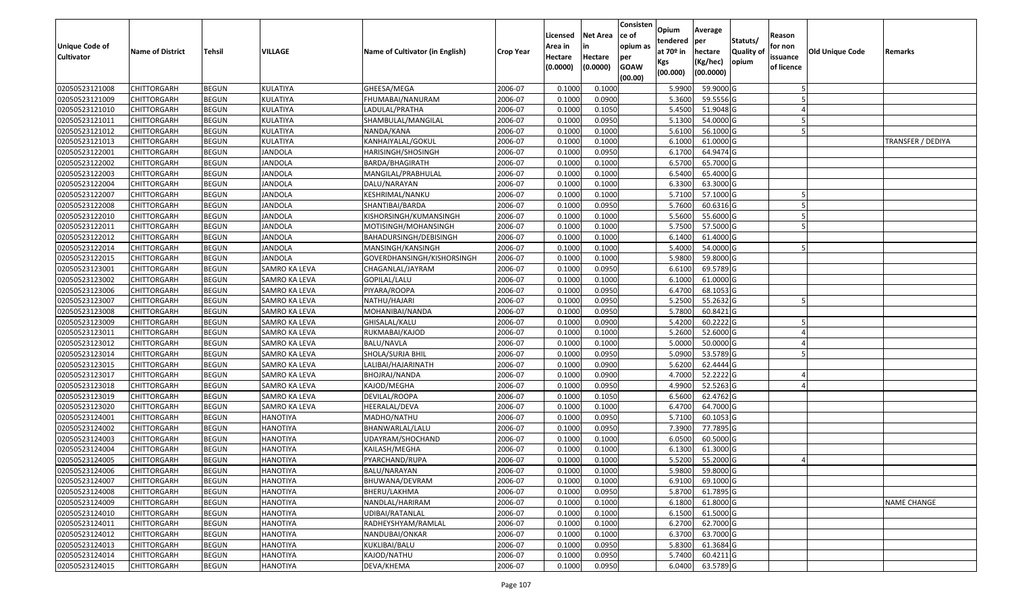| <b>Unique Code of</b><br><b>Cultivator</b> | <b>Name of District</b> | Tehsil       | VILLAGE         | Name of Cultivator (in English) | <b>Crop Year</b> | Licensed<br>Area in<br>Hectare<br>(0.0000) | Net Area<br>in<br>Hectare<br>(0.0000) | Consisten<br>ce of<br>opium as<br>per<br><b>GOAW</b><br>(00.00) | Opium<br>tendered<br>at 70º in<br>Kgs<br>(00.000) | Average<br>per<br>hectare<br>(Kg/hec)<br>(00.0000) | Statuts/<br><b>Quality of</b><br>opium | Reason<br>for non<br>issuance<br>of licence | Old Unique Code | Remarks            |
|--------------------------------------------|-------------------------|--------------|-----------------|---------------------------------|------------------|--------------------------------------------|---------------------------------------|-----------------------------------------------------------------|---------------------------------------------------|----------------------------------------------------|----------------------------------------|---------------------------------------------|-----------------|--------------------|
| 02050523121008                             | <b>CHITTORGARH</b>      | <b>BEGUN</b> | KULATIYA        | GHEESA/MEGA                     | 2006-07          | 0.1000                                     | 0.1000                                |                                                                 | 5.9900                                            | 59.9000 G                                          |                                        |                                             |                 |                    |
| 02050523121009                             | CHITTORGARH             | <b>BEGUN</b> | KULATIYA        | FHUMABAI/NANURAM                | 2006-07          | 0.1000                                     | 0.0900                                |                                                                 | 5.3600                                            | 59.5556 G                                          |                                        |                                             |                 |                    |
| 02050523121010                             | CHITTORGARH             | <b>BEGUN</b> | KULATIYA        | LADULAL/PRATHA                  | 2006-07          | 0.1000                                     | 0.1050                                |                                                                 | 5.4500                                            | 51.9048 G                                          |                                        |                                             |                 |                    |
| 02050523121011                             | <b>CHITTORGARH</b>      | <b>BEGUN</b> | KULATIYA        | SHAMBULAL/MANGILAL              | 2006-07          | 0.1000                                     | 0.0950                                |                                                                 | 5.1300                                            | 54.0000 G                                          |                                        |                                             |                 |                    |
| 02050523121012                             | CHITTORGARH             | <b>BEGUN</b> | KULATIYA        | NANDA/KANA                      | 2006-07          | 0.1000                                     | 0.1000                                |                                                                 | 5.6100                                            | 56.1000 G                                          |                                        |                                             |                 |                    |
| 02050523121013                             | CHITTORGARH             | <b>BEGUN</b> | KULATIYA        | KANHAIYALAL/GOKUL               | 2006-07          | 0.1000                                     | 0.1000                                |                                                                 | 6.1000                                            | 61.0000 G                                          |                                        |                                             |                 | TRANSFER / DEDIYA  |
| 02050523122001                             | CHITTORGARH             | <b>BEGUN</b> | JANDOLA         | HARISINGH/SHOSINGH              | 2006-07          | 0.1000                                     | 0.0950                                |                                                                 | 6.1700                                            | 64.9474 G                                          |                                        |                                             |                 |                    |
| 02050523122002                             | <b>CHITTORGARH</b>      | <b>BEGUN</b> | <b>JANDOLA</b>  | BARDA/BHAGIRATH                 | 2006-07          | 0.1000                                     | 0.1000                                |                                                                 | 6.5700                                            | 65.7000 G                                          |                                        |                                             |                 |                    |
| 02050523122003                             | CHITTORGARH             | <b>BEGUN</b> | JANDOLA         | MANGILAL/PRABHULAL              | 2006-07          | 0.1000                                     | 0.1000                                |                                                                 | 6.5400                                            | 65.4000 G                                          |                                        |                                             |                 |                    |
| 02050523122004                             | CHITTORGARH             | <b>BEGUN</b> | <b>JANDOLA</b>  | DALU/NARAYAN                    | 2006-07          | 0.1000                                     | 0.1000                                |                                                                 | 6.3300                                            | 63.3000 G                                          |                                        |                                             |                 |                    |
| 02050523122007                             | CHITTORGARH             | <b>BEGUN</b> | <b>JANDOLA</b>  | KESHRIMAL/NANKU                 | 2006-07          | 0.1000                                     | 0.1000                                |                                                                 | 5.7100                                            | 57.1000 G                                          |                                        |                                             |                 |                    |
| 02050523122008                             | <b>CHITTORGARH</b>      | <b>BEGUN</b> | <b>JANDOLA</b>  | SHANTIBAI/BARDA                 | 2006-07          | 0.1000                                     | 0.0950                                |                                                                 | 5.7600                                            | 60.6316 G                                          |                                        |                                             |                 |                    |
| 02050523122010                             | <b>CHITTORGARH</b>      | <b>BEGUN</b> | <b>JANDOLA</b>  | KISHORSINGH/KUMANSINGH          | 2006-07          | 0.1000                                     | 0.1000                                |                                                                 | 5.5600                                            | 55.6000 G                                          |                                        |                                             |                 |                    |
| 02050523122011                             | <b>CHITTORGARH</b>      | <b>BEGUN</b> | JANDOLA         | MOTISINGH/MOHANSINGH            | 2006-07          | 0.1000                                     | 0.1000                                |                                                                 | 5.7500                                            | 57.5000 G                                          |                                        |                                             |                 |                    |
| 02050523122012                             | CHITTORGARH             | <b>BEGUN</b> | JANDOLA         | BAHADURSINGH/DEBISINGH          | 2006-07          | 0.1000                                     | 0.1000                                |                                                                 | 6.1400                                            | 61.4000 G                                          |                                        |                                             |                 |                    |
| 02050523122014                             | <b>CHITTORGARH</b>      | <b>BEGUN</b> | <b>JANDOLA</b>  | MANSINGH/KANSINGH               | 2006-07          | 0.1000                                     | 0.1000                                |                                                                 | 5.4000                                            | 54.0000 G                                          |                                        |                                             |                 |                    |
| 02050523122015                             | <b>CHITTORGARH</b>      | <b>BEGUN</b> | JANDOLA         | GOVERDHANSINGH/KISHORSINGH      | 2006-07          | 0.1000                                     | 0.1000                                |                                                                 | 5.9800                                            | 59.8000 G                                          |                                        |                                             |                 |                    |
| 02050523123001                             | CHITTORGARH             | <b>BEGUN</b> | SAMRO KA LEVA   | CHAGANLAL/JAYRAM                | 2006-07          | 0.1000                                     | 0.0950                                |                                                                 | 6.6100                                            | 69.5789 G                                          |                                        |                                             |                 |                    |
| 02050523123002                             | CHITTORGARH             | <b>BEGUN</b> | SAMRO KA LEVA   | GOPILAL/LALU                    | 2006-07          | 0.1000                                     | 0.1000                                |                                                                 | 6.1000                                            | 61.0000 G                                          |                                        |                                             |                 |                    |
| 02050523123006                             | CHITTORGARH             | <b>BEGUN</b> | SAMRO KA LEVA   | PIYARA/ROOPA                    | 2006-07          | 0.1000                                     | 0.0950                                |                                                                 | 6.4700                                            | 68.1053 G                                          |                                        |                                             |                 |                    |
| 02050523123007                             | CHITTORGARH             | <b>BEGUN</b> | SAMRO KA LEVA   | NATHU/HAJARI                    | 2006-07          | 0.1000                                     | 0.0950                                |                                                                 | 5.2500                                            | 55.2632 G                                          |                                        |                                             |                 |                    |
| 02050523123008                             | CHITTORGARH             | <b>BEGUN</b> | SAMRO KA LEVA   | MOHANIBAI/NANDA                 | 2006-07          | 0.1000                                     | 0.0950                                |                                                                 | 5.7800                                            | 60.8421 G                                          |                                        |                                             |                 |                    |
| 02050523123009                             | CHITTORGARH             | <b>BEGUN</b> | SAMRO KA LEVA   | GHISALAL/KALU                   | 2006-07          | 0.1000                                     | 0.0900                                |                                                                 | 5.4200                                            | 60.2222 G                                          |                                        |                                             |                 |                    |
| 02050523123011                             | CHITTORGARH             | <b>BEGUN</b> | SAMRO KA LEVA   | RUKMABAI/KAJOD                  | 2006-07          | 0.1000                                     | 0.1000                                |                                                                 | 5.2600                                            | 52.6000 G                                          |                                        |                                             |                 |                    |
| 02050523123012                             | CHITTORGARH             | <b>BEGUN</b> | SAMRO KA LEVA   | <b>BALU/NAVLA</b>               | 2006-07          | 0.1000                                     | 0.1000                                |                                                                 | 5.0000                                            | 50.0000 G                                          |                                        |                                             |                 |                    |
| 02050523123014                             | CHITTORGARH             | <b>BEGUN</b> | SAMRO KA LEVA   | SHOLA/SURJA BHIL                | 2006-07          | 0.1000                                     | 0.0950                                |                                                                 | 5.0900                                            | 53.5789 G                                          |                                        |                                             |                 |                    |
| 02050523123015                             | CHITTORGARH             | <b>BEGUN</b> | SAMRO KA LEVA   | LALIBAI/HAJARINATH              | 2006-07          | 0.1000                                     | 0.0900                                |                                                                 | 5.6200                                            | 62.4444 G                                          |                                        |                                             |                 |                    |
| 02050523123017                             | CHITTORGARH             | <b>BEGUN</b> | SAMRO KA LEVA   | BHOJRAJ/NANDA                   | 2006-07          | 0.1000                                     | 0.0900                                |                                                                 | 4.7000                                            | 52.2222 G                                          |                                        |                                             |                 |                    |
| 02050523123018                             | <b>CHITTORGARH</b>      | <b>BEGUN</b> | SAMRO KA LEVA   | KAJOD/MEGHA                     | 2006-07          | 0.1000                                     | 0.0950                                |                                                                 | 4.9900                                            | 52.5263 G                                          |                                        |                                             |                 |                    |
| 02050523123019                             | CHITTORGARH             | <b>BEGUN</b> | SAMRO KA LEVA   | DEVILAL/ROOPA                   | 2006-07          | 0.1000                                     | 0.1050                                |                                                                 | 6.5600                                            | 62.4762 G                                          |                                        |                                             |                 |                    |
| 02050523123020                             | CHITTORGARH             | <b>BEGUN</b> | SAMRO KA LEVA   | HEERALAL/DEVA                   | 2006-07          | 0.1000                                     | 0.1000                                |                                                                 | 6.4700                                            | 64.7000 G                                          |                                        |                                             |                 |                    |
| 02050523124001                             | CHITTORGARH             | <b>BEGUN</b> | HANOTIYA        | MADHO/NATHU                     | 2006-07          | 0.1000                                     | 0.0950                                |                                                                 | 5.7100                                            | 60.1053 G                                          |                                        |                                             |                 |                    |
| 02050523124002                             | CHITTORGARH             | <b>BEGUN</b> | <b>HANOTIYA</b> | BHANWARLAL/LALU                 | 2006-07          | 0.1000                                     | 0.0950                                |                                                                 | 7.3900                                            | 77.7895 G                                          |                                        |                                             |                 |                    |
| 02050523124003                             | CHITTORGARH             | <b>BEGUN</b> | HANOTIYA        | UDAYRAM/SHOCHAND                | 2006-07          | 0.1000                                     | 0.1000                                |                                                                 | 6.0500                                            | 60.5000 G                                          |                                        |                                             |                 |                    |
| 02050523124004                             | CHITTORGARH             | <b>BEGUN</b> | HANOTIYA        | KAILASH/MEGHA                   | 2006-07          | 0.1000                                     | 0.1000                                |                                                                 | 6.1300                                            | 61.3000 G                                          |                                        |                                             |                 |                    |
| 02050523124005                             | CHITTORGARH             | <b>BEGUN</b> | HANOTIYA        | PYARCHAND/RUPA                  | 2006-07          | 0.1000                                     | 0.1000                                |                                                                 | 5.5200                                            | 55.2000 G                                          |                                        |                                             |                 |                    |
| 02050523124006                             | <b>CHITTORGARH</b>      | <b>BEGUN</b> | <b>HANOTIYA</b> | BALU/NARAYAN                    | 2006-07          | 0.1000                                     | 0.1000                                |                                                                 |                                                   | 5.9800 59.8000 G                                   |                                        |                                             |                 |                    |
| 02050523124007                             | <b>CHITTORGARH</b>      | <b>BEGUN</b> | <b>HANOTIYA</b> | BHUWANA/DEVRAM                  | 2006-07          | 0.1000                                     | 0.1000                                |                                                                 | 6.9100                                            | 69.1000 G                                          |                                        |                                             |                 |                    |
| 02050523124008                             | <b>CHITTORGARH</b>      | <b>BEGUN</b> | <b>HANOTIYA</b> | BHERU/LAKHMA                    | 2006-07          | 0.1000                                     | 0.0950                                |                                                                 | 5.8700                                            | 61.7895 G                                          |                                        |                                             |                 |                    |
| 02050523124009                             | <b>CHITTORGARH</b>      | <b>BEGUN</b> | <b>HANOTIYA</b> | NANDLAL/HARIRAM                 | 2006-07          | 0.1000                                     | 0.1000                                |                                                                 | 6.1800                                            | 61.8000 G                                          |                                        |                                             |                 | <b>NAME CHANGE</b> |
| 02050523124010                             | <b>CHITTORGARH</b>      | <b>BEGUN</b> | <b>HANOTIYA</b> | UDIBAI/RATANLAL                 | 2006-07          | 0.1000                                     | 0.1000                                |                                                                 | 6.1500                                            | 61.5000 G                                          |                                        |                                             |                 |                    |
| 02050523124011                             | <b>CHITTORGARH</b>      | <b>BEGUN</b> | <b>HANOTIYA</b> | RADHEYSHYAM/RAMLAL              | 2006-07          | 0.1000                                     | 0.1000                                |                                                                 | 6.2700                                            | 62.7000 G                                          |                                        |                                             |                 |                    |
| 02050523124012                             | <b>CHITTORGARH</b>      | <b>BEGUN</b> | <b>HANOTIYA</b> | NANDUBAI/ONKAR                  | 2006-07          | 0.1000                                     | 0.1000                                |                                                                 | 6.3700                                            | 63.7000 G                                          |                                        |                                             |                 |                    |
| 02050523124013                             | <b>CHITTORGARH</b>      | <b>BEGUN</b> | <b>HANOTIYA</b> | KUKLIBAI/BALU                   | 2006-07          | 0.1000                                     | 0.0950                                |                                                                 | 5.8300                                            | 61.3684 G                                          |                                        |                                             |                 |                    |
| 02050523124014                             | <b>CHITTORGARH</b>      | <b>BEGUN</b> | <b>HANOTIYA</b> | KAJOD/NATHU                     | 2006-07          | 0.1000                                     | 0.0950                                |                                                                 | 5.7400                                            | 60.4211 G                                          |                                        |                                             |                 |                    |
| 02050523124015                             | <b>CHITTORGARH</b>      | <b>BEGUN</b> | <b>HANOTIYA</b> | DEVA/KHEMA                      | 2006-07          | 0.1000                                     | 0.0950                                |                                                                 | 6.0400                                            | 63.5789 G                                          |                                        |                                             |                 |                    |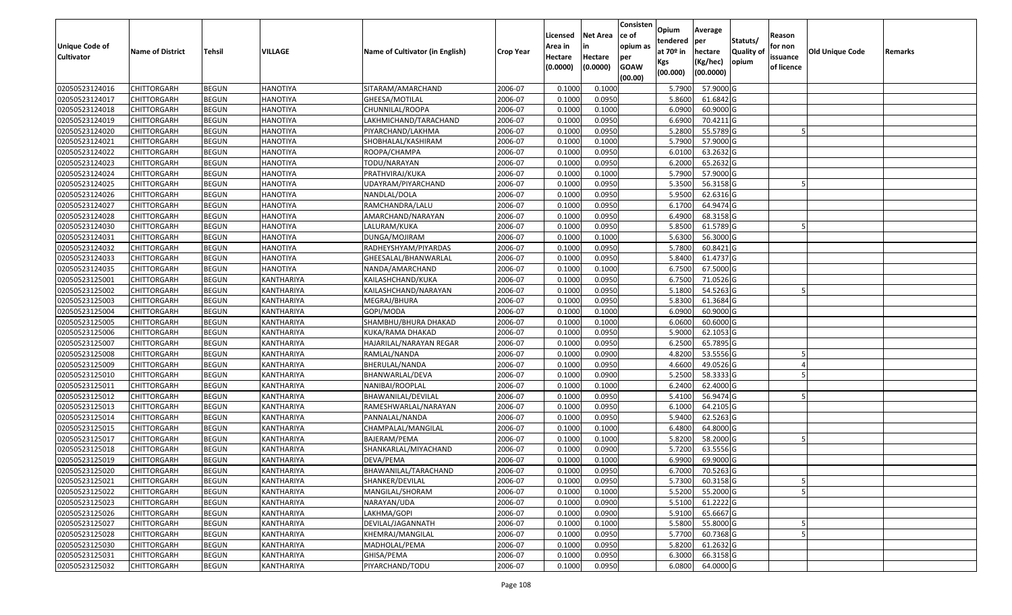| Unique Code of<br><b>Cultivator</b> | <b>Name of District</b> | <b>Tehsil</b> | VILLAGE           | Name of Cultivator (in English) | <b>Crop Year</b> | Licensed<br>Area in<br>Hectare | <b>Net Area</b><br>in<br>Hectare | Consisten<br>ce of<br>opium as<br>per | Opium<br>tendered<br>at $70°$ in<br>Kgs | Average<br>per<br>hectare<br>(Kg/hec) | Statuts/<br><b>Quality o</b><br>opium | Reason<br>for non<br>issuance | Old Unique Code | Remarks |
|-------------------------------------|-------------------------|---------------|-------------------|---------------------------------|------------------|--------------------------------|----------------------------------|---------------------------------------|-----------------------------------------|---------------------------------------|---------------------------------------|-------------------------------|-----------------|---------|
|                                     |                         |               |                   |                                 |                  | (0.0000)                       | (0.0000)                         | <b>GOAW</b><br>(00.00)                | (00.000)                                | (00.0000)                             |                                       | of licence                    |                 |         |
| 02050523124016                      | CHITTORGARH             | <b>BEGUN</b>  | <b>HANOTIYA</b>   | SITARAM/AMARCHAND               | 2006-07          | 0.1000                         | 0.1000                           |                                       | 5.7900                                  | 57.9000 G                             |                                       |                               |                 |         |
| 02050523124017                      | CHITTORGARH             | <b>BEGUN</b>  | <b>HANOTIYA</b>   | GHEESA/MOTILAL                  | 2006-07          | 0.1000                         | 0.0950                           |                                       | 5.8600                                  | 61.6842 G                             |                                       |                               |                 |         |
| 02050523124018                      | CHITTORGARH             | <b>BEGUN</b>  | <b>HANOTIYA</b>   | CHUNNILAL/ROOPA                 | 2006-07          | 0.1000                         | 0.1000                           |                                       | 6.0900                                  | 60.9000 G                             |                                       |                               |                 |         |
| 02050523124019                      | <b>CHITTORGARH</b>      | <b>BEGUN</b>  | <b>HANOTIYA</b>   | LAKHMICHAND/TARACHAND           | 2006-07          | 0.1000                         | 0.0950                           |                                       | 6.6900                                  | 70.4211 G                             |                                       |                               |                 |         |
| 02050523124020                      | CHITTORGARH             | <b>BEGUN</b>  | <b>HANOTIYA</b>   | PIYARCHAND/LAKHMA               | 2006-07          | 0.1000                         | 0.0950                           |                                       | 5.2800                                  | 55.5789 G                             |                                       |                               |                 |         |
| 02050523124021                      | CHITTORGARH             | <b>BEGUN</b>  | <b>HANOTIYA</b>   | SHOBHALAL/KASHIRAM              | 2006-07          | 0.1000                         | 0.1000                           |                                       | 5.7900                                  | 57.9000 G                             |                                       |                               |                 |         |
| 02050523124022                      | CHITTORGARH             | <b>BEGUN</b>  | <b>HANOTIYA</b>   | ROOPA/CHAMPA                    | 2006-07          | 0.1000                         | 0.0950                           |                                       | 6.0100                                  | 63.2632 G                             |                                       |                               |                 |         |
| 02050523124023                      | <b>CHITTORGARH</b>      | <b>BEGUN</b>  | <b>HANOTIYA</b>   | TODU/NARAYAN                    | 2006-07          | 0.1000                         | 0.0950                           |                                       | 6.2000                                  | 65.2632 G                             |                                       |                               |                 |         |
| 02050523124024                      | CHITTORGARH             | <b>BEGUN</b>  | <b>HANOTIYA</b>   | PRATHVIRAJ/KUKA                 | 2006-07          | 0.1000                         | 0.1000                           |                                       | 5.7900                                  | 57.9000 G                             |                                       |                               |                 |         |
| 02050523124025                      | CHITTORGARH             | <b>BEGUN</b>  | <b>HANOTIYA</b>   | UDAYRAM/PIYARCHAND              | 2006-07          | 0.1000                         | 0.0950                           |                                       | 5.3500                                  | 56.3158 G                             |                                       |                               |                 |         |
| 02050523124026                      | CHITTORGARH             | <b>BEGUN</b>  | <b>HANOTIYA</b>   | NANDLAL/DOLA                    | 2006-07          | 0.1000                         | 0.0950                           |                                       | 5.9500                                  | 62.6316 G                             |                                       |                               |                 |         |
| 02050523124027                      | <b>CHITTORGARH</b>      | <b>BEGUN</b>  | <b>HANOTIYA</b>   | RAMCHANDRA/LALU                 | 2006-07          | 0.1000                         | 0.0950                           |                                       | 6.1700                                  | 64.9474 G                             |                                       |                               |                 |         |
| 02050523124028                      | <b>CHITTORGARH</b>      | <b>BEGUN</b>  | <b>HANOTIYA</b>   | AMARCHAND/NARAYAN               | 2006-07          | 0.1000                         | 0.0950                           |                                       | 6.4900                                  | 68.3158 G                             |                                       |                               |                 |         |
| 02050523124030                      | CHITTORGARH             | <b>BEGUN</b>  | <b>HANOTIYA</b>   | LALURAM/KUKA                    | 2006-07          | 0.1000                         | 0.0950                           |                                       | 5.8500                                  | 61.5789 G                             |                                       |                               |                 |         |
| 02050523124031                      | <b>CHITTORGARH</b>      | <b>BEGUN</b>  | <b>HANOTIYA</b>   | DUNGA/MOJIRAM                   | 2006-07          | 0.1000                         | 0.1000                           |                                       | 5.6300                                  | 56.3000G                              |                                       |                               |                 |         |
| 02050523124032                      | CHITTORGARH             | <b>BEGUN</b>  | <b>HANOTIYA</b>   | RADHEYSHYAM/PIYARDAS            | 2006-07          | 0.1000                         | 0.0950                           |                                       | 5.7800                                  | 60.8421 G                             |                                       |                               |                 |         |
| 02050523124033                      | CHITTORGARH             | <b>BEGUN</b>  | <b>HANOTIYA</b>   | GHEESALAL/BHANWARLAL            | 2006-07          | 0.1000                         | 0.0950                           |                                       | 5.8400                                  | 61.4737 G                             |                                       |                               |                 |         |
| 02050523124035                      | CHITTORGARH             | <b>BEGUN</b>  | <b>HANOTIYA</b>   | NANDA/AMARCHAND                 | 2006-07          | 0.1000                         | 0.1000                           |                                       | 6.7500                                  | 67.5000 G                             |                                       |                               |                 |         |
| 02050523125001                      | CHITTORGARH             | <b>BEGUN</b>  | <b>KANTHARIYA</b> | KAILASHCHAND/KUKA               | 2006-07          | 0.1000                         | 0.0950                           |                                       | 6.7500                                  | 71.0526 G                             |                                       |                               |                 |         |
| 02050523125002                      | CHITTORGARH             | <b>BEGUN</b>  | KANTHARIYA        | KAILASHCHAND/NARAYAN            | 2006-07          | 0.1000                         | 0.0950                           |                                       | 5.1800                                  | 54.5263 G                             |                                       |                               |                 |         |
| 02050523125003                      | CHITTORGARH             | <b>BEGUN</b>  | KANTHARIYA        | MEGRAJ/BHURA                    | 2006-07          | 0.1000                         | 0.0950                           |                                       | 5.8300                                  | 61.3684G                              |                                       |                               |                 |         |
| 02050523125004                      | CHITTORGARH             | <b>BEGUN</b>  | KANTHARIYA        | GOPI/MODA                       | 2006-07          | 0.1000                         | 0.1000                           |                                       | 6.0900                                  | 60.9000 G                             |                                       |                               |                 |         |
| 02050523125005                      | CHITTORGARH             | <b>BEGUN</b>  | KANTHARIYA        | SHAMBHU/BHURA DHAKAD            | 2006-07          | 0.1000                         | 0.1000                           |                                       | 6.0600                                  | 60.6000 G                             |                                       |                               |                 |         |
| 02050523125006                      | CHITTORGARH             | <b>BEGUN</b>  | KANTHARIYA        | KUKA/RAMA DHAKAD                | 2006-07          | 0.1000                         | 0.0950                           |                                       | 5.9000                                  | 62.1053 G                             |                                       |                               |                 |         |
| 02050523125007                      | <b>CHITTORGARH</b>      | <b>BEGUN</b>  | KANTHARIYA        | HAJARILAL/NARAYAN REGAR         | 2006-07          | 0.1000                         | 0.0950                           |                                       | 6.2500                                  | 65.7895 G                             |                                       |                               |                 |         |
| 02050523125008                      | CHITTORGARH             | <b>BEGUN</b>  | KANTHARIYA        | RAMLAL/NANDA                    | 2006-07          | 0.1000                         | 0.0900                           |                                       | 4.8200                                  | 53.5556 G                             |                                       |                               |                 |         |
| 02050523125009                      | CHITTORGARH             | <b>BEGUN</b>  | KANTHARIYA        | BHERULAL/NANDA                  | 2006-07          | 0.1000                         | 0.0950                           |                                       | 4.6600                                  | 49.0526 G                             |                                       |                               |                 |         |
| 02050523125010                      | CHITTORGARH             | <b>BEGUN</b>  | KANTHARIYA        | BHANWARLAL/DEVA                 | 2006-07          | 0.1000                         | 0.0900                           |                                       | 5.2500                                  | 58.3333 G                             |                                       |                               |                 |         |
| 02050523125011                      | CHITTORGARH             | <b>BEGUN</b>  | KANTHARIYA        | NANIBAI/ROOPLAL                 | 2006-07          | 0.1000                         | 0.1000                           |                                       | 6.2400                                  | 62.4000 G                             |                                       |                               |                 |         |
| 02050523125012                      | CHITTORGARH             | <b>BEGUN</b>  | KANTHARIYA        | BHAWANILAL/DEVILAL              | 2006-07          | 0.1000                         | 0.0950                           |                                       | 5.4100                                  | 56.9474 G                             |                                       |                               |                 |         |
| 02050523125013                      | CHITTORGARH             | <b>BEGUN</b>  | KANTHARIYA        | RAMESHWARLAL/NARAYAN            | 2006-07          | 0.1000                         | 0.0950                           |                                       | 6.1000                                  | 64.2105 G                             |                                       |                               |                 |         |
| 02050523125014                      | CHITTORGARH             | <b>BEGUN</b>  | KANTHARIYA        | PANNALAL/NANDA                  | 2006-07          | 0.1000                         | 0.0950                           |                                       | 5.9400                                  | 62.5263 G                             |                                       |                               |                 |         |
| 02050523125015                      | CHITTORGARH             | <b>BEGUN</b>  | KANTHARIYA        | CHAMPALAL/MANGILAL              | 2006-07          | 0.1000                         | 0.1000                           |                                       | 6.4800                                  | 64.8000 G                             |                                       |                               |                 |         |
| 02050523125017                      | CHITTORGARH             | <b>BEGUN</b>  | KANTHARIYA        | BAJERAM/PEMA                    | 2006-07          | 0.1000                         | 0.1000                           |                                       | 5.8200                                  | 58.2000 G                             |                                       |                               |                 |         |
| 02050523125018                      | CHITTORGARH             | <b>BEGUN</b>  | KANTHARIYA        | SHANKARLAL/MIYACHAND            | 2006-07          | 0.1000                         | 0.0900                           |                                       | 5.7200                                  | 63.5556 G                             |                                       |                               |                 |         |
| 02050523125019                      | CHITTORGARH             | <b>BEGUN</b>  | KANTHARIYA        | DEVA/PEMA                       | 2006-07          | 0.1000                         | 0.1000                           |                                       | 6.9900                                  | 69.9000 G                             |                                       |                               |                 |         |
| 02050523125020                      | <b>CHITTORGARH</b>      | <b>BEGUN</b>  | KANTHARIYA        | BHAWANILAL/TARACHAND            | 2006-07          | 0.1000                         | 0.0950                           |                                       |                                         | 6.7000 70.5263 G                      |                                       |                               |                 |         |
| 02050523125021                      | <b>CHITTORGARH</b>      | <b>BEGUN</b>  | KANTHARIYA        | SHANKER/DEVILAL                 | 2006-07          | 0.1000                         | 0.0950                           |                                       | 5.7300                                  | 60.3158 G                             |                                       | 5                             |                 |         |
| 02050523125022                      | <b>CHITTORGARH</b>      | <b>BEGUN</b>  | KANTHARIYA        | MANGILAL/SHORAM                 | 2006-07          | 0.1000                         | 0.1000                           |                                       | 5.5200                                  | 55.2000 G                             |                                       |                               |                 |         |
| 02050523125023                      | <b>CHITTORGARH</b>      | <b>BEGUN</b>  | KANTHARIYA        | NARAYAN/UDA                     | 2006-07          | 0.1000                         | 0.0900                           |                                       | 5.5100                                  | 61.2222 G                             |                                       |                               |                 |         |
| 02050523125026                      | <b>CHITTORGARH</b>      | <b>BEGUN</b>  | KANTHARIYA        | LAKHMA/GOPI                     | 2006-07          | 0.1000                         | 0.0900                           |                                       | 5.9100                                  | 65.6667 G                             |                                       |                               |                 |         |
| 02050523125027                      | <b>CHITTORGARH</b>      | <b>BEGUN</b>  | KANTHARIYA        | DEVILAL/JAGANNATH               | 2006-07          | 0.1000                         | 0.1000                           |                                       | 5.5800                                  | 55.8000 G                             |                                       |                               |                 |         |
| 02050523125028                      | <b>CHITTORGARH</b>      | <b>BEGUN</b>  | KANTHARIYA        | KHEMRAJ/MANGILAL                | 2006-07          | 0.1000                         | 0.0950                           |                                       | 5.7700                                  | 60.7368 G                             |                                       |                               |                 |         |
| 02050523125030                      | <b>CHITTORGARH</b>      | <b>BEGUN</b>  | KANTHARIYA        | MADHOLAL/PEMA                   | 2006-07          | 0.1000                         | 0.0950                           |                                       | 5.8200                                  | 61.2632 G                             |                                       |                               |                 |         |
| 02050523125031                      | <b>CHITTORGARH</b>      | <b>BEGUN</b>  | KANTHARIYA        | GHISA/PEMA                      | 2006-07          | 0.1000                         | 0.0950                           |                                       | 6.3000                                  | 66.3158 G                             |                                       |                               |                 |         |
| 02050523125032                      | <b>CHITTORGARH</b>      | <b>BEGUN</b>  | KANTHARIYA        | PIYARCHAND/TODU                 | 2006-07          | 0.1000                         | 0.0950                           |                                       | 6.0800                                  | 64.0000 G                             |                                       |                               |                 |         |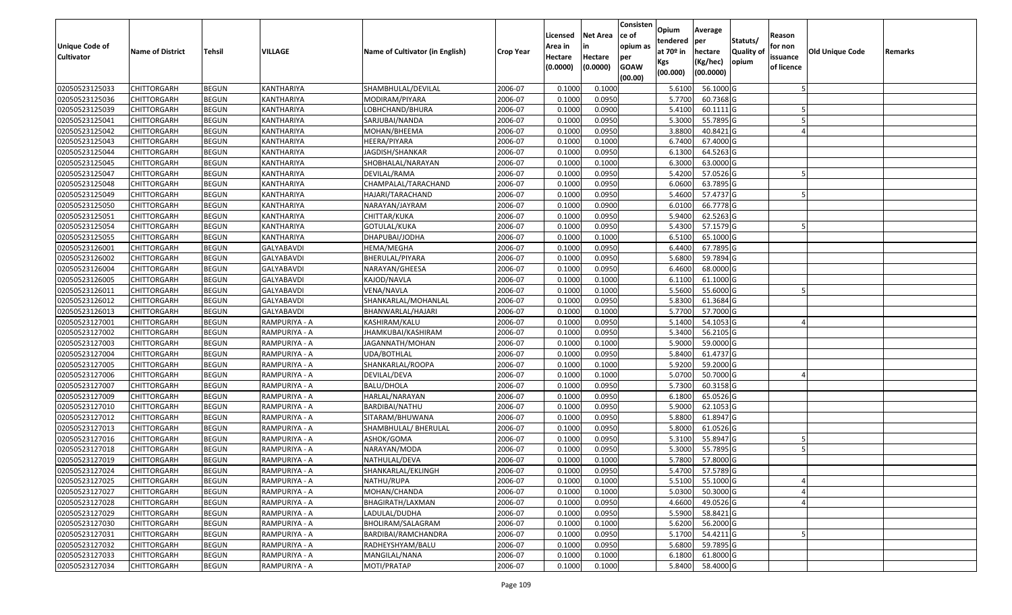| <b>Unique Code of</b> |                         |               |                   |                                 |                  | Licensed<br>Area in | <b>Net Area</b><br>in | Consisten<br>ce of<br>opium as | Opium<br>tendered              | Average<br>per                   | Statuts/                  | Reason<br>for non      |                 |         |
|-----------------------|-------------------------|---------------|-------------------|---------------------------------|------------------|---------------------|-----------------------|--------------------------------|--------------------------------|----------------------------------|---------------------------|------------------------|-----------------|---------|
| <b>Cultivator</b>     | <b>Name of District</b> | <b>Tehsil</b> | <b>VILLAGE</b>    | Name of Cultivator (in English) | <b>Crop Year</b> | Hectare<br>(0.0000) | Hectare<br>(0.0000)   | per<br><b>GOAW</b><br>(00.00)  | at $70°$ in<br>Kgs<br>(00.000) | hectare<br>(Kg/hec)<br>(00.0000) | <b>Quality o</b><br>opium | issuance<br>of licence | Old Unique Code | Remarks |
| 02050523125033        | CHITTORGARH             | <b>BEGUN</b>  | KANTHARIYA        | SHAMBHULAL/DEVILAL              | 2006-07          | 0.1000              | 0.1000                |                                | 5.6100                         | 56.1000G                         |                           |                        |                 |         |
| 02050523125036        | CHITTORGARH             | <b>BEGUN</b>  | KANTHARIYA        | MODIRAM/PIYARA                  | 2006-07          | 0.1000              | 0.0950                |                                | 5.7700                         | 60.7368 G                        |                           |                        |                 |         |
| 02050523125039        | CHITTORGARH             | <b>BEGUN</b>  | KANTHARIYA        | LOBHCHAND/BHURA                 | 2006-07          | 0.1000              | 0.0900                |                                | 5.4100                         | $60.1111$ G                      |                           |                        |                 |         |
| 02050523125041        | <b>CHITTORGARH</b>      | <b>BEGUN</b>  | KANTHARIYA        | SARJUBAI/NANDA                  | 2006-07          | 0.1000              | 0.0950                |                                | 5.3000                         | 55.7895 G                        |                           |                        |                 |         |
| 02050523125042        | CHITTORGARH             | <b>BEGUN</b>  | KANTHARIYA        | MOHAN/BHEEMA                    | 2006-07          | 0.1000              | 0.0950                |                                | 3.8800                         | 40.8421 G                        |                           |                        |                 |         |
| 02050523125043        | CHITTORGARH             | <b>BEGUN</b>  | KANTHARIYA        | HEERA/PIYARA                    | 2006-07          | 0.1000              | 0.1000                |                                | 6.7400                         | 67.4000 G                        |                           |                        |                 |         |
| 02050523125044        | CHITTORGARH             | <b>BEGUN</b>  | KANTHARIYA        | JAGDISH/SHANKAR                 | 2006-07          | 0.1000              | 0.0950                |                                | 6.1300                         | 64.5263 G                        |                           |                        |                 |         |
| 02050523125045        | CHITTORGARH             | <b>BEGUN</b>  | <b>KANTHARIYA</b> | SHOBHALAL/NARAYAN               | 2006-07          | 0.1000              | 0.1000                |                                | 6.3000                         | 63.0000G                         |                           |                        |                 |         |
| 02050523125047        | CHITTORGARH             | <b>BEGUN</b>  | KANTHARIYA        | DEVILAL/RAMA                    | 2006-07          | 0.1000              | 0.0950                |                                | 5.4200                         | 57.0526 G                        |                           |                        |                 |         |
| 02050523125048        | CHITTORGARH             | <b>BEGUN</b>  | KANTHARIYA        | CHAMPALAL/TARACHAND             | 2006-07          | 0.1000              | 0.0950                |                                | 6.0600                         | 63.7895 G                        |                           |                        |                 |         |
| 02050523125049        | CHITTORGARH             | <b>BEGUN</b>  | KANTHARIYA        | HAJARI/TARACHAND                | 2006-07          | 0.1000              | 0.0950                |                                | 5.4600                         | 57.4737 G                        |                           |                        |                 |         |
| 02050523125050        | <b>CHITTORGARH</b>      | <b>BEGUN</b>  | KANTHARIYA        | NARAYAN/JAYRAM                  | 2006-07          | 0.1000              | 0.0900                |                                | 6.0100                         | 66.7778 G                        |                           |                        |                 |         |
| 02050523125051        | <b>CHITTORGARH</b>      | <b>BEGUN</b>  | KANTHARIYA        | CHITTAR/KUKA                    | 2006-07          | 0.1000              | 0.0950                |                                | 5.9400                         | 62.5263 G                        |                           |                        |                 |         |
| 02050523125054        | CHITTORGARH             | <b>BEGUN</b>  | KANTHARIYA        | GOTULAL/KUKA                    | 2006-07          | 0.1000              | 0.0950                |                                | 5.4300                         | 57.1579 G                        |                           |                        |                 |         |
| 02050523125055        | CHITTORGARH             | <b>BEGUN</b>  | KANTHARIYA        | DHAPUBAI/JODHA                  | 2006-07          | 0.1000              | 0.1000                |                                | 6.5100                         | 65.1000G                         |                           |                        |                 |         |
| 02050523126001        | CHITTORGARH             | <b>BEGUN</b>  | <b>GALYABAVDI</b> | HEMA/MEGHA                      | 2006-07          | 0.1000              | 0.0950                |                                | 6.4400                         | 67.7895 G                        |                           |                        |                 |         |
| 02050523126002        | CHITTORGARH             | <b>BEGUN</b>  | <b>GALYABAVDI</b> | BHERULAL/PIYARA                 | 2006-07          | 0.1000              | 0.0950                |                                | 5.6800                         | 59.7894 G                        |                           |                        |                 |         |
| 02050523126004        | CHITTORGARH             | <b>BEGUN</b>  | GALYABAVDI        | NARAYAN/GHEESA                  | 2006-07          | 0.1000              | 0.0950                |                                | 6.4600                         | 68.0000G                         |                           |                        |                 |         |
| 02050523126005        | CHITTORGARH             | <b>BEGUN</b>  | GALYABAVDI        | KAJOD/NAVLA                     | 2006-07          | 0.1000              | 0.1000                |                                | 6.1100                         | 61.1000G                         |                           |                        |                 |         |
| 02050523126011        | CHITTORGARH             | <b>BEGUN</b>  | GALYABAVDI        | VENA/NAVLA                      | 2006-07          | 0.1000              | 0.1000                |                                | 5.5600                         | 55.6000G                         |                           |                        |                 |         |
| 02050523126012        | CHITTORGARH             | <b>BEGUN</b>  | <b>GALYABAVDI</b> | SHANKARLAL/MOHANLAL             | 2006-07          | 0.1000              | 0.0950                |                                | 5.8300                         | 61.3684 G                        |                           |                        |                 |         |
| 02050523126013        | CHITTORGARH             | <b>BEGUN</b>  | GALYABAVDI        | BHANWARLAL/HAJARI               | 2006-07          | 0.1000              | 0.1000                |                                | 5.7700                         | 57.7000G                         |                           |                        |                 |         |
| 02050523127001        | CHITTORGARH             | <b>BEGUN</b>  | RAMPURIYA - A     | KASHIRAM/KALU                   | 2006-07          | 0.1000              | 0.0950                |                                | 5.1400                         | 54.1053 G                        |                           |                        |                 |         |
| 02050523127002        | CHITTORGARH             | <b>BEGUN</b>  | RAMPURIYA - A     | JHAMKUBAI/KASHIRAM              | 2006-07          | 0.1000              | 0.0950                |                                | 5.3400                         | 56.2105 G                        |                           |                        |                 |         |
| 02050523127003        | <b>CHITTORGARH</b>      | <b>BEGUN</b>  | RAMPURIYA - A     | JAGANNATH/MOHAN                 | 2006-07          | 0.1000              | 0.1000                |                                | 5.9000                         | 59.0000G                         |                           |                        |                 |         |
| 02050523127004        | CHITTORGARH             | <b>BEGUN</b>  | RAMPURIYA - A     | UDA/BOTHLAL                     | 2006-07          | 0.1000              | 0.0950                |                                | 5.8400                         | 61.4737 G                        |                           |                        |                 |         |
| 02050523127005        | CHITTORGARH             | <b>BEGUN</b>  | RAMPURIYA - A     | SHANKARLAL/ROOPA                | 2006-07          | 0.1000              | 0.1000                |                                | 5.9200                         | 59.2000 G                        |                           |                        |                 |         |
| 02050523127006        | CHITTORGARH             | <b>BEGUN</b>  | RAMPURIYA - A     | DEVILAL/DEVA                    | 2006-07          | 0.1000              | 0.1000                |                                | 5.0700                         | 50.7000 G                        |                           |                        |                 |         |
| 02050523127007        | CHITTORGARH             | <b>BEGUN</b>  | RAMPURIYA - A     | <b>BALU/DHOLA</b>               | 2006-07          | 0.1000              | 0.0950                |                                | 5.7300                         | 60.3158 G                        |                           |                        |                 |         |
| 02050523127009        | CHITTORGARH             | <b>BEGUN</b>  | RAMPURIYA - A     | HARLAL/NARAYAN                  | 2006-07          | 0.1000              | 0.0950                |                                | 6.1800                         | 65.0526 G                        |                           |                        |                 |         |
| 02050523127010        | CHITTORGARH             | <b>BEGUN</b>  | RAMPURIYA - A     | BARDIBAI/NATHU                  | 2006-07          | 0.1000              | 0.0950                |                                | 5.9000                         | 62.1053 G                        |                           |                        |                 |         |
| 02050523127012        | CHITTORGARH             | <b>BEGUN</b>  | RAMPURIYA - A     | SITARAM/BHUWANA                 | 2006-07          | 0.1000              | 0.0950                |                                | 5.8800                         | 61.8947 G                        |                           |                        |                 |         |
| 02050523127013        | CHITTORGARH             | <b>BEGUN</b>  | RAMPURIYA - A     | SHAMBHULAL/ BHERULAL            | 2006-07          | 0.1000              | 0.0950                |                                | 5.8000                         | 61.0526 G                        |                           |                        |                 |         |
| 02050523127016        | CHITTORGARH             | <b>BEGUN</b>  | RAMPURIYA - A     | ASHOK/GOMA                      | 2006-07          | 0.1000              | 0.0950                |                                | 5.3100                         | 55.8947 G                        |                           |                        |                 |         |
| 02050523127018        | CHITTORGARH             | <b>BEGUN</b>  | RAMPURIYA - A     | NARAYAN/MODA                    | 2006-07          | 0.1000              | 0.0950                |                                | 5.3000                         | 55.7895 G                        |                           |                        |                 |         |
| 02050523127019        | CHITTORGARH             | <b>BEGUN</b>  | RAMPURIYA - A     | NATHULAL/DEVA                   | 2006-07          | 0.1000              | 0.1000                |                                | 5.7800                         | 57.8000 G                        |                           |                        |                 |         |
| 02050523127024        | <b>CHITTORGARH</b>      | <b>BEGUN</b>  | RAMPURIYA - A     | SHANKARLAL/EKLINGH              | 2006-07          | 0.1000              | 0.0950                |                                |                                | 5.4700 57.5789 G                 |                           |                        |                 |         |
| 02050523127025        | <b>CHITTORGARH</b>      | <b>BEGUN</b>  | RAMPURIYA - A     | NATHU/RUPA                      | 2006-07          | 0.1000              | 0.1000                |                                | 5.5100                         | 55.1000 G                        |                           |                        |                 |         |
| 02050523127027        | <b>CHITTORGARH</b>      | <b>BEGUN</b>  | RAMPURIYA - A     | MOHAN/CHANDA                    | 2006-07          | 0.1000              | 0.1000                |                                | 5.0300                         | 50.3000 G                        |                           |                        |                 |         |
| 02050523127028        | <b>CHITTORGARH</b>      | <b>BEGUN</b>  | RAMPURIYA - A     | BHAGIRATH/LAXMAN                | 2006-07          | 0.1000              | 0.0950                |                                | 4.6600                         | 49.0526 G                        |                           |                        |                 |         |
| 02050523127029        | <b>CHITTORGARH</b>      | <b>BEGUN</b>  | RAMPURIYA - A     | LADULAL/DUDHA                   | 2006-07          | 0.1000              | 0.0950                |                                | 5.5900                         | 58.8421 G                        |                           |                        |                 |         |
| 02050523127030        | <b>CHITTORGARH</b>      | <b>BEGUN</b>  | RAMPURIYA - A     | BHOLIRAM/SALAGRAM               | 2006-07          | 0.1000              | 0.1000                |                                | 5.6200                         | 56.2000 G                        |                           |                        |                 |         |
| 02050523127031        | <b>CHITTORGARH</b>      | <b>BEGUN</b>  | RAMPURIYA - A     | BARDIBAI/RAMCHANDRA             | 2006-07          | 0.1000              | 0.0950                |                                | 5.1700                         | 54.4211 G                        |                           |                        |                 |         |
| 02050523127032        | <b>CHITTORGARH</b>      | <b>BEGUN</b>  | RAMPURIYA - A     | RADHEYSHYAM/BALU                | 2006-07          | 0.1000              | 0.0950                |                                | 5.6800                         | 59.7895 G                        |                           |                        |                 |         |
| 02050523127033        | <b>CHITTORGARH</b>      | <b>BEGUN</b>  | RAMPURIYA - A     | MANGILAL/NANA                   | 2006-07          | 0.1000              | 0.1000                |                                | 6.1800                         | 61.8000 G                        |                           |                        |                 |         |
| 02050523127034        | <b>CHITTORGARH</b>      | <b>BEGUN</b>  | RAMPURIYA - A     | MOTI/PRATAP                     | 2006-07          | 0.1000              | 0.1000                |                                | 5.8400                         | 58.4000 G                        |                           |                        |                 |         |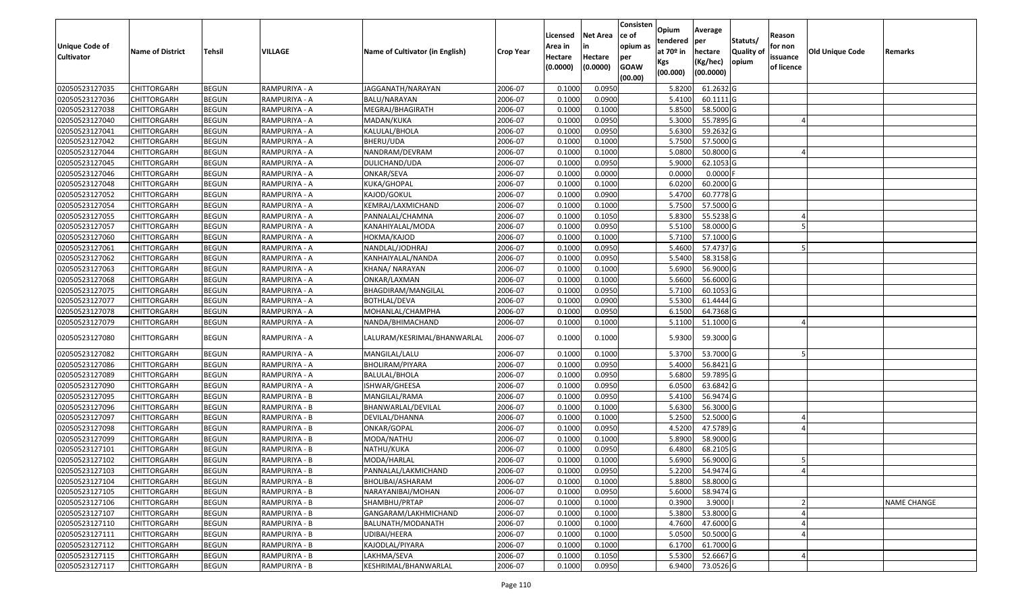| <b>Unique Code of</b> |                         |              |               |                                 |                  | Licensed<br>Area in | <b>Net Area</b><br>in | Consisten<br>ce of<br>opium as | Opium<br>tendered              | Average<br>per                   | Statuts/                  | Reason<br>for non      |                 |                    |
|-----------------------|-------------------------|--------------|---------------|---------------------------------|------------------|---------------------|-----------------------|--------------------------------|--------------------------------|----------------------------------|---------------------------|------------------------|-----------------|--------------------|
| <b>Cultivator</b>     | <b>Name of District</b> | Tehsil       | VILLAGE       | Name of Cultivator (in English) | <b>Crop Year</b> | Hectare<br>(0.0000) | Hectare<br>(0.0000)   | per<br><b>GOAW</b><br>(00.00)  | at $70°$ in<br>Kgs<br>(00.000) | hectare<br>(Kg/hec)<br>(00.0000) | <b>Quality o</b><br>opium | issuance<br>of licence | Old Unique Code | Remarks            |
| 02050523127035        | CHITTORGARH             | <b>BEGUN</b> | RAMPURIYA - A | JAGGANATH/NARAYAN               | 2006-07          | 0.1000              | 0.0950                |                                | 5.8200                         | 61.2632 G                        |                           |                        |                 |                    |
| 02050523127036        | CHITTORGARH             | <b>BEGUN</b> | RAMPURIYA - A | BALU/NARAYAN                    | 2006-07          | 0.1000              | 0.0900                |                                | 5.4100                         | 60.1111 G                        |                           |                        |                 |                    |
| 02050523127038        | CHITTORGARH             | <b>BEGUN</b> | RAMPURIYA - A | MEGRAJ/BHAGIRATH                | 2006-07          | 0.1000              | 0.1000                |                                | 5.8500                         | 58.5000G                         |                           |                        |                 |                    |
| 02050523127040        | <b>CHITTORGARH</b>      | <b>BEGUN</b> | RAMPURIYA - A | MADAN/KUKA                      | 2006-07          | 0.1000              | 0.0950                |                                | 5.3000                         | 55.7895 G                        |                           |                        |                 |                    |
| 02050523127041        | CHITTORGARH             | <b>BEGUN</b> | RAMPURIYA - A | KALULAL/BHOLA                   | 2006-07          | 0.1000              | 0.0950                |                                | 5.6300                         | 59.2632 G                        |                           |                        |                 |                    |
| 02050523127042        | CHITTORGARH             | <b>BEGUN</b> | RAMPURIYA - A | BHERU/UDA                       | 2006-07          | 0.1000              | 0.1000                |                                | 5.7500                         | 57.5000 G                        |                           |                        |                 |                    |
| 02050523127044        | CHITTORGARH             | <b>BEGUN</b> | RAMPURIYA - A | NANDRAM/DEVRAM                  | 2006-07          | 0.1000              | 0.1000                |                                | 5.0800                         | 50.8000 G                        |                           |                        |                 |                    |
| 02050523127045        | <b>CHITTORGARH</b>      | <b>BEGUN</b> | RAMPURIYA - A | DULICHAND/UDA                   | 2006-07          | 0.1000              | 0.0950                |                                | 5.9000                         | 62.1053 G                        |                           |                        |                 |                    |
| 02050523127046        | CHITTORGARH             | <b>BEGUN</b> | RAMPURIYA - A | ONKAR/SEVA                      | 2006-07          | 0.1000              | 0.0000                |                                | 0.0000                         | $0.0000$ F                       |                           |                        |                 |                    |
| 02050523127048        | CHITTORGARH             | <b>BEGUN</b> | RAMPURIYA - A | KUKA/GHOPAL                     | 2006-07          | 0.1000              | 0.1000                |                                | 6.0200                         | 60.2000 G                        |                           |                        |                 |                    |
| 02050523127052        | CHITTORGARH             | <b>BEGUN</b> | RAMPURIYA - A | KAJOD/GOKUL                     | 2006-07          | 0.1000              | 0.0900                |                                | 5.4700                         | 60.7778 G                        |                           |                        |                 |                    |
| 02050523127054        | CHITTORGARH             | <b>BEGUN</b> | RAMPURIYA - A | KEMRAJ/LAXMICHAND               | 2006-07          | 0.1000              | 0.1000                |                                | 5.7500                         | 57.5000 G                        |                           |                        |                 |                    |
| 02050523127055        | <b>CHITTORGARH</b>      | <b>BEGUN</b> | RAMPURIYA - A | PANNALAL/CHAMNA                 | 2006-07          | 0.1000              | 0.1050                |                                | 5.8300                         | 55.5238 G                        |                           |                        |                 |                    |
| 02050523127057        | <b>CHITTORGARH</b>      | <b>BEGUN</b> | RAMPURIYA - A | KANAHIYALAL/MODA                | 2006-07          | 0.1000              | 0.0950                |                                | 5.5100                         | 58.0000 G                        |                           |                        |                 |                    |
| 02050523127060        | CHITTORGARH             | <b>BEGUN</b> | RAMPURIYA - A | HOKMA/KAJOD                     | 2006-07          | 0.1000              | 0.1000                |                                | 5.7100                         | 57.1000 G                        |                           |                        |                 |                    |
| 02050523127061        | CHITTORGARH             | <b>BEGUN</b> | RAMPURIYA - A | NANDLAL/JODHRAJ                 | 2006-07          | 0.1000              | 0.0950                |                                | 5.4600                         | 57.4737 G                        |                           |                        |                 |                    |
| 02050523127062        | CHITTORGARH             | <b>BEGUN</b> | RAMPURIYA - A | KANHAIYALAL/NANDA               | 2006-07          | 0.1000              | 0.0950                |                                | 5.5400                         | 58.3158 G                        |                           |                        |                 |                    |
| 02050523127063        | CHITTORGARH             | <b>BEGUN</b> | RAMPURIYA - A | KHANA/ NARAYAN                  | 2006-07          | 0.1000              | 0.1000                |                                | 5.6900                         | 56.9000 G                        |                           |                        |                 |                    |
| 02050523127068        | CHITTORGARH             | <b>BEGUN</b> | RAMPURIYA - A | ONKAR/LAXMAN                    | 2006-07          | 0.1000              | 0.1000                |                                | 5.6600                         | 56.6000 G                        |                           |                        |                 |                    |
| 02050523127075        | CHITTORGARH             | <b>BEGUN</b> | RAMPURIYA - A | BHAGDIRAM/MANGILAL              | 2006-07          | 0.1000              | 0.0950                |                                | 5.7100                         | 60.1053 G                        |                           |                        |                 |                    |
| 02050523127077        | CHITTORGARH             | <b>BEGUN</b> | RAMPURIYA - A | <b>BOTHLAL/DEVA</b>             | 2006-07          | 0.1000              | 0.0900                |                                | 5.5300                         | 61.4444 G                        |                           |                        |                 |                    |
| 02050523127078        | CHITTORGARH             | <b>BEGUN</b> | RAMPURIYA - A | MOHANLAL/CHAMPHA                | 2006-07          | 0.1000              | 0.0950                |                                | 6.1500                         | 64.7368 G                        |                           |                        |                 |                    |
| 02050523127079        | CHITTORGARH             | <b>BEGUN</b> | RAMPURIYA - A | NANDA/BHIMACHAND                | 2006-07          | 0.1000              | 0.1000                |                                | 5.1100                         | 51.1000G                         |                           |                        |                 |                    |
| 02050523127080        | CHITTORGARH             | <b>BEGUN</b> | RAMPURIYA - A | LALURAM/KESRIMAL/BHANWARLAL     | 2006-07          | 0.1000              | 0.1000                |                                | 5.9300                         | 59.3000G                         |                           |                        |                 |                    |
| 02050523127082        | CHITTORGARH             | <b>BEGUN</b> | RAMPURIYA - A | MANGILAL/LALU                   | 2006-07          | 0.1000              | 0.1000                |                                | 5.3700                         | 53.7000 G                        |                           |                        |                 |                    |
| 02050523127086        | CHITTORGARH             | <b>BEGUN</b> | RAMPURIYA - A | BHOLIRAM/PIYARA                 | 2006-07          | 0.1000              | 0.0950                |                                | 5.4000                         | 56.8421 G                        |                           |                        |                 |                    |
| 02050523127089        | CHITTORGARH             | <b>BEGUN</b> | RAMPURIYA - A | BALULAL/BHOLA                   | 2006-07          | 0.1000              | 0.0950                |                                | 5.6800                         | 59.7895 G                        |                           |                        |                 |                    |
| 02050523127090        | <b>CHITTORGARH</b>      | <b>BEGUN</b> | RAMPURIYA - A | ISHWAR/GHEESA                   | 2006-07          | 0.1000              | 0.0950                |                                | 6.0500                         | 63.6842 G                        |                           |                        |                 |                    |
| 02050523127095        | CHITTORGARH             | <b>BEGUN</b> | RAMPURIYA - B | MANGILAL/RAMA                   | 2006-07          | 0.1000              | 0.0950                |                                | 5.4100                         | 56.9474 G                        |                           |                        |                 |                    |
| 02050523127096        | CHITTORGARH             | <b>BEGUN</b> | RAMPURIYA - B | BHANWARLAL/DEVILAL              | 2006-07          | 0.1000              | 0.1000                |                                | 5.6300                         | 56.3000G                         |                           |                        |                 |                    |
| 02050523127097        | CHITTORGARH             | <b>BEGUN</b> | RAMPURIYA - B | DEVILAL/DHANNA                  | 2006-07          | 0.1000              | 0.1000                |                                | 5.2500                         | 52.5000G                         |                           |                        |                 |                    |
| 02050523127098        | CHITTORGARH             | <b>BEGUN</b> | RAMPURIYA - B | ONKAR/GOPAL                     | 2006-07          | 0.1000              | 0.0950                |                                | 4.5200                         | 47.5789 G                        |                           |                        |                 |                    |
| 02050523127099        | <b>CHITTORGARH</b>      | <b>BEGUN</b> | RAMPURIYA - B | MODA/NATHU                      | 2006-07          | 0.1000              | 0.1000                |                                | 5.8900                         | 58.9000 G                        |                           |                        |                 |                    |
| 02050523127101        | CHITTORGARH             | <b>BEGUN</b> | RAMPURIYA - B | NATHU/KUKA                      | 2006-07          | 0.1000              | 0.0950                |                                | 6.4800                         | 68.2105 G                        |                           |                        |                 |                    |
| 02050523127102        | CHITTORGARH             | <b>BEGUN</b> | RAMPURIYA - B | MODA/HARLAL                     | 2006-07          | 0.1000              | 0.1000                |                                | 5.6900                         | 56.9000 G                        |                           |                        |                 |                    |
| 02050523127103        | <b>CHITTORGARH</b>      | <b>BEGUN</b> | RAMPURIYA - B | PANNALAL/LAKMICHAND             | 2006-07          | 0.1000              | 0.0950                |                                | 5.2200                         | 54.9474 G                        |                           |                        |                 |                    |
| 02050523127104        | <b>CHITTORGARH</b>      | <b>BEGUN</b> | RAMPURIYA - B | BHOLIBAI/ASHARAM                | 2006-07          | 0.1000              | 0.1000                |                                | 5.8800                         | 58.8000 G                        |                           |                        |                 |                    |
| 02050523127105        | <b>CHITTORGARH</b>      | <b>BEGUN</b> | RAMPURIYA - B | NARAYANIBAI/MOHAN               | 2006-07          | 0.1000              | 0.0950                |                                | 5.6000                         | 58.9474 G                        |                           |                        |                 |                    |
| 02050523127106        | <b>CHITTORGARH</b>      | <b>BEGUN</b> | RAMPURIYA - B | SHAMBHU/PRTAP                   | 2006-07          | 0.1000              | 0.1000                |                                | 0.3900                         | 3.9000                           |                           |                        |                 | <b>NAME CHANGE</b> |
| 02050523127107        | CHITTORGARH             | <b>BEGUN</b> | RAMPURIYA - B | GANGARAM/LAKHMICHAND            | 2006-07          | 0.1000              | 0.1000                |                                | 5.3800                         | 53.8000 G                        |                           |                        |                 |                    |
| 02050523127110        | <b>CHITTORGARH</b>      | <b>BEGUN</b> | RAMPURIYA - B | BALUNATH/MODANATH               | 2006-07          | 0.1000              | 0.1000                |                                | 4.7600                         | 47.6000 G                        |                           |                        |                 |                    |
| 02050523127111        | <b>CHITTORGARH</b>      | <b>BEGUN</b> | RAMPURIYA - B | UDIBAI/HEERA                    | 2006-07          | 0.1000              | 0.1000                |                                | 5.0500                         | 50.5000 G                        |                           |                        |                 |                    |
| 02050523127112        | <b>CHITTORGARH</b>      | <b>BEGUN</b> | RAMPURIYA - B | KAJODLAL/PIYARA                 | 2006-07          | 0.1000              | 0.1000                |                                | 6.1700                         | 61.7000 G                        |                           |                        |                 |                    |
| 02050523127115        | <b>CHITTORGARH</b>      | <b>BEGUN</b> | RAMPURIYA - B | LAKHMA/SEVA                     | 2006-07          | 0.1000              | 0.1050                |                                | 5.5300                         | 52.6667 G                        |                           |                        |                 |                    |
| 02050523127117        | <b>CHITTORGARH</b>      | <b>BEGUN</b> | RAMPURIYA - B | KESHRIMAL/BHANWARLAL            | 2006-07          | 0.1000              | 0.0950                |                                | 6.9400                         | 73.0526 G                        |                           |                        |                 |                    |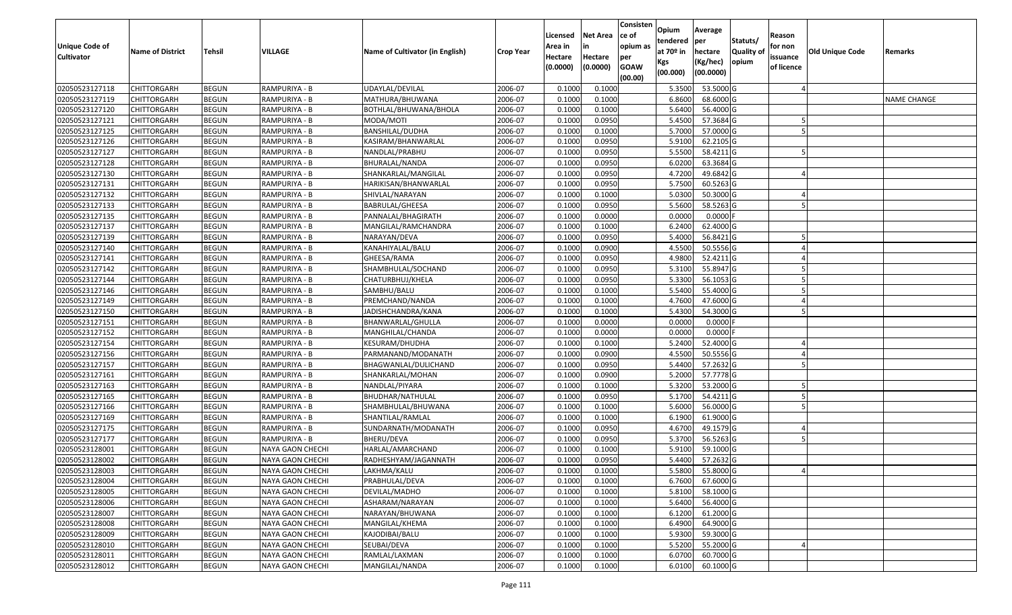| <b>Unique Code of</b><br><b>Cultivator</b> | <b>Name of District</b> | Tehsil       | VILLAGE          | Name of Cultivator (in English) | <b>Crop Year</b> | Licensed<br>Area in<br>Hectare<br>(0.0000) | <b>Net Area</b><br>in<br>Hectare<br>(0.0000) | Consisten<br>ce of<br>opium as<br>per<br><b>GOAW</b><br>(00.00) | Opium<br>tendered<br>at $70°$ in<br>Kgs<br>(00.000) | Average<br>per<br>hectare<br>(Kg/hec)<br>(00.0000) | Statuts/<br>Quality of<br>opium | Reason<br>for non<br>issuance<br>of licence | Old Unique Code | Remarks            |
|--------------------------------------------|-------------------------|--------------|------------------|---------------------------------|------------------|--------------------------------------------|----------------------------------------------|-----------------------------------------------------------------|-----------------------------------------------------|----------------------------------------------------|---------------------------------|---------------------------------------------|-----------------|--------------------|
| 02050523127118                             | <b>CHITTORGARH</b>      | <b>BEGUN</b> | RAMPURIYA - B    | UDAYLAL/DEVILAL                 | 2006-07          | 0.1000                                     | 0.1000                                       |                                                                 | 5.3500                                              | 53.5000 G                                          |                                 |                                             |                 |                    |
| 02050523127119                             | <b>CHITTORGARH</b>      | <b>BEGUN</b> | RAMPURIYA - B    | MATHURA/BHUWANA                 | 2006-07          | 0.1000                                     | 0.1000                                       |                                                                 | 6.8600                                              | 68.6000 G                                          |                                 |                                             |                 | <b>NAME CHANGE</b> |
| 02050523127120                             | <b>CHITTORGARH</b>      | <b>BEGUN</b> | RAMPURIYA - B    | BOTHLAL/BHUWANA/BHOLA           | 2006-07          | 0.1000                                     | 0.1000                                       |                                                                 | 5.6400                                              | 56.4000 G                                          |                                 |                                             |                 |                    |
| 02050523127121                             | <b>CHITTORGARH</b>      | <b>BEGUN</b> | RAMPURIYA - B    | MODA/MOTI                       | 2006-07          | 0.1000                                     | 0.0950                                       |                                                                 | 5.4500                                              | 57.3684 G                                          |                                 |                                             |                 |                    |
| 02050523127125                             | <b>CHITTORGARH</b>      | <b>BEGUN</b> | RAMPURIYA - B    | BANSHILAL/DUDHA                 | 2006-07          | 0.1000                                     | 0.1000                                       |                                                                 | 5.7000                                              | 57.0000 G                                          |                                 |                                             |                 |                    |
| 02050523127126                             | <b>CHITTORGARH</b>      | <b>BEGUN</b> | RAMPURIYA - B    | KASIRAM/BHANWARLAL              | 2006-07          | 0.1000                                     | 0.0950                                       |                                                                 | 5.9100                                              | 62.2105 G                                          |                                 |                                             |                 |                    |
| 02050523127127                             | CHITTORGARH             | <b>BEGUN</b> | RAMPURIYA - B    | NANDLAL/PRABHU                  | 2006-07          | 0.1000                                     | 0.0950                                       |                                                                 | 5.5500                                              | 58.4211 G                                          |                                 |                                             |                 |                    |
| 02050523127128                             | <b>CHITTORGARH</b>      | <b>BEGUN</b> | RAMPURIYA - B    | BHURALAL/NANDA                  | 2006-07          | 0.1000                                     | 0.0950                                       |                                                                 | 6.0200                                              | 63.3684 G                                          |                                 |                                             |                 |                    |
| 02050523127130                             | <b>CHITTORGARH</b>      | <b>BEGUN</b> | RAMPURIYA - B    | SHANKARLAL/MANGILAL             | 2006-07          | 0.1000                                     | 0.0950                                       |                                                                 | 4.7200                                              | 49.6842 G                                          |                                 |                                             |                 |                    |
| 02050523127131                             | <b>CHITTORGARH</b>      | <b>BEGUN</b> | RAMPURIYA - B    | HARIKISAN/BHANWARLAL            | 2006-07          | 0.1000                                     | 0.0950                                       |                                                                 | 5.7500                                              | 60.5263 G                                          |                                 |                                             |                 |                    |
| 02050523127132                             | <b>CHITTORGARH</b>      | <b>BEGUN</b> | RAMPURIYA - B    | SHIVLAL/NARAYAN                 | 2006-07          | 0.1000                                     | 0.1000                                       |                                                                 | 5.0300                                              | 50.3000 G                                          |                                 |                                             |                 |                    |
| 02050523127133                             | <b>CHITTORGARH</b>      | <b>BEGUN</b> | RAMPURIYA - B    | BABRULAL/GHEESA                 | 2006-07          | 0.1000                                     | 0.0950                                       |                                                                 | 5.5600                                              | 58.5263 G                                          |                                 |                                             |                 |                    |
| 02050523127135                             | <b>CHITTORGARH</b>      | <b>BEGUN</b> | RAMPURIYA - B    | PANNALAL/BHAGIRATH              | 2006-07          | 0.1000                                     | 0.0000                                       |                                                                 | 0.0000                                              | 0.0000                                             |                                 |                                             |                 |                    |
| 02050523127137                             | <b>CHITTORGARH</b>      | <b>BEGUN</b> | RAMPURIYA - B    | MANGILAL/RAMCHANDRA             | 2006-07          | 0.1000                                     | 0.1000                                       |                                                                 | 6.2400                                              | 62.4000 G                                          |                                 |                                             |                 |                    |
| 02050523127139                             | CHITTORGARH             | <b>BEGUN</b> | RAMPURIYA - B    | NARAYAN/DEVA                    | 2006-07          | 0.1000                                     | 0.0950                                       |                                                                 | 5.4000                                              | 56.8421 G                                          |                                 |                                             |                 |                    |
| 02050523127140                             | <b>CHITTORGARH</b>      | <b>BEGUN</b> | RAMPURIYA - B    | KANAHIYALAL/BALU                | 2006-07          | 0.1000                                     | 0.0900                                       |                                                                 | 4.5500                                              | 50.5556 G                                          |                                 |                                             |                 |                    |
| 02050523127141                             | <b>CHITTORGARH</b>      | <b>BEGUN</b> | RAMPURIYA - B    | GHEESA/RAMA                     | 2006-07          | 0.1000                                     | 0.0950                                       |                                                                 | 4.9800                                              | 52.4211 G                                          |                                 |                                             |                 |                    |
| 02050523127142                             | <b>CHITTORGARH</b>      | <b>BEGUN</b> | RAMPURIYA - B    | SHAMBHULAL/SOCHAND              | 2006-07          | 0.1000                                     | 0.0950                                       |                                                                 | 5.3100                                              | 55.8947 G                                          |                                 |                                             |                 |                    |
| 02050523127144                             | <b>CHITTORGARH</b>      | <b>BEGUN</b> | RAMPURIYA - B    | CHATURBHUJ/KHELA                | 2006-07          | 0.1000                                     | 0.0950                                       |                                                                 | 5.3300                                              | 56.1053 G                                          |                                 |                                             |                 |                    |
| 02050523127146                             | <b>CHITTORGARH</b>      | <b>BEGUN</b> | RAMPURIYA - B    | SAMBHU/BALU                     | 2006-07          | 0.1000                                     | 0.1000                                       |                                                                 | 5.5400                                              | 55.4000 G                                          |                                 |                                             |                 |                    |
| 02050523127149                             | <b>CHITTORGARH</b>      | <b>BEGUN</b> | RAMPURIYA - B    | PREMCHAND/NANDA                 | 2006-07          | 0.1000                                     | 0.1000                                       |                                                                 | 4.7600                                              | 47.6000 G                                          |                                 |                                             |                 |                    |
| 02050523127150                             | <b>CHITTORGARH</b>      | <b>BEGUN</b> | RAMPURIYA - B    | JADISHCHANDRA/KANA              | 2006-07          | 0.1000                                     | 0.1000                                       |                                                                 | 5.4300                                              | 54.3000 G                                          |                                 |                                             |                 |                    |
| 02050523127151                             | <b>CHITTORGARH</b>      | <b>BEGUN</b> | RAMPURIYA - B    | BHANWARLAL/GHULLA               | 2006-07          | 0.1000                                     | 0.0000                                       |                                                                 | 0.0000                                              | 0.0000                                             |                                 |                                             |                 |                    |
| 02050523127152                             | <b>CHITTORGARH</b>      | <b>BEGUN</b> | RAMPURIYA - B    | MANGHILAL/CHANDA                | 2006-07          | 0.1000                                     | 0.0000                                       |                                                                 | 0.0000                                              | 0.0000                                             |                                 |                                             |                 |                    |
| 02050523127154                             | <b>CHITTORGARH</b>      | <b>BEGUN</b> | RAMPURIYA - B    | KESURAM/DHUDHA                  | 2006-07          | 0.1000                                     | 0.1000                                       |                                                                 | 5.2400                                              | 52.4000 G                                          |                                 |                                             |                 |                    |
| 02050523127156                             | <b>CHITTORGARH</b>      | <b>BEGUN</b> | RAMPURIYA - B    | PARMANAND/MODANATH              | 2006-07          | 0.1000                                     | 0.0900                                       |                                                                 | 4.5500                                              | 50.5556 G                                          |                                 |                                             |                 |                    |
| 02050523127157                             | <b>CHITTORGARH</b>      | <b>BEGUN</b> | RAMPURIYA - B    | BHAGWANLAL/DULICHAND            | 2006-07          | 0.1000                                     | 0.0950                                       |                                                                 | 5.4400                                              | 57.2632 G                                          |                                 |                                             |                 |                    |
| 02050523127161                             | <b>CHITTORGARH</b>      | <b>BEGUN</b> | RAMPURIYA - B    | SHANKARLAL/MOHAN                | 2006-07          | 0.1000                                     | 0.0900                                       |                                                                 | 5.2000                                              | 57.7778 G                                          |                                 |                                             |                 |                    |
| 02050523127163                             | <b>CHITTORGARH</b>      | <b>BEGUN</b> | RAMPURIYA - B    | NANDLAL/PIYARA                  | 2006-07          | 0.1000                                     | 0.1000                                       |                                                                 | 5.3200                                              | 53.2000 G                                          |                                 |                                             |                 |                    |
| 02050523127165                             | <b>CHITTORGARH</b>      | <b>BEGUN</b> | RAMPURIYA - B    | BHUDHAR/NATHULAL                | 2006-07          | 0.1000                                     | 0.0950                                       |                                                                 | 5.1700                                              | 54.4211 G                                          |                                 |                                             |                 |                    |
| 02050523127166                             | <b>CHITTORGARH</b>      | <b>BEGUN</b> | RAMPURIYA - B    | SHAMBHULAL/BHUWANA              | 2006-07          | 0.1000                                     | 0.1000                                       |                                                                 | 5.6000                                              | 56.0000 G                                          |                                 |                                             |                 |                    |
| 02050523127169                             | CHITTORGARH             | <b>BEGUN</b> | RAMPURIYA - B    | SHANTILAL/RAMLAL                | 2006-07          | 0.1000                                     | 0.1000                                       |                                                                 | 6.1900                                              | 61.9000 G                                          |                                 |                                             |                 |                    |
| 02050523127175                             | <b>CHITTORGARH</b>      | <b>BEGUN</b> | RAMPURIYA - B    | SUNDARNATH/MODANATH             | 2006-07          | 0.1000                                     | 0.0950                                       |                                                                 | 4.6700                                              | 49.1579 G                                          |                                 |                                             |                 |                    |
| 02050523127177                             | CHITTORGARH             | <b>BEGUN</b> | RAMPURIYA - B    | BHERU/DEVA                      | 2006-07          | 0.1000                                     | 0.0950                                       |                                                                 | 5.3700                                              | 56.5263 G                                          |                                 |                                             |                 |                    |
| 02050523128001                             | CHITTORGARH             | <b>BEGUN</b> | NAYA GAON CHECHI | HARLAL/AMARCHAND                | 2006-07          | 0.1000                                     | 0.1000                                       |                                                                 | 5.9100                                              | 59.1000 G                                          |                                 |                                             |                 |                    |
| 02050523128002                             | <b>CHITTORGARH</b>      | <b>BEGUN</b> | NAYA GAON CHECHI | RADHESHYAM/JAGANNATH            | 2006-07          | 0.1000                                     | 0.0950                                       |                                                                 | 5.4400                                              | 57.2632 G                                          |                                 |                                             |                 |                    |
| 02050523128003                             | <b>CHITTORGARH</b>      | <b>BEGUN</b> | NAYA GAON CHECHI | LAKHMA/KALU                     | 2006-07          | 0.1000                                     | 0.1000                                       |                                                                 |                                                     | 5.5800 55.8000 G                                   |                                 |                                             |                 |                    |
| 02050523128004                             | <b>CHITTORGARH</b>      | <b>BEGUN</b> | NAYA GAON CHECHI | PRABHULAL/DEVA                  | 2006-07          | 0.1000                                     | 0.1000                                       |                                                                 | 6.7600                                              | 67.6000 G                                          |                                 |                                             |                 |                    |
| 02050523128005                             | CHITTORGARH             | <b>BEGUN</b> | NAYA GAON CHECHI | DEVILAL/MADHO                   | 2006-07          | 0.1000                                     | 0.1000                                       |                                                                 | 5.8100                                              | 58.1000 G                                          |                                 |                                             |                 |                    |
| 02050523128006                             | <b>CHITTORGARH</b>      | <b>BEGUN</b> | NAYA GAON CHECHI | ASHARAM/NARAYAN                 | 2006-07          | 0.1000                                     | 0.1000                                       |                                                                 | 5.6400                                              | 56.4000 G                                          |                                 |                                             |                 |                    |
| 02050523128007                             | <b>CHITTORGARH</b>      | <b>BEGUN</b> | NAYA GAON CHECHI | NARAYAN/BHUWANA                 | 2006-07          | 0.1000                                     | 0.1000                                       |                                                                 | 6.1200                                              | 61.2000 G                                          |                                 |                                             |                 |                    |
| 02050523128008                             | <b>CHITTORGARH</b>      | <b>BEGUN</b> | NAYA GAON CHECHI | MANGILAL/KHEMA                  | 2006-07          | 0.1000                                     | 0.1000                                       |                                                                 | 6.4900                                              | 64.9000 G                                          |                                 |                                             |                 |                    |
| 02050523128009                             | <b>CHITTORGARH</b>      | <b>BEGUN</b> | NAYA GAON CHECHI | KAJODIBAI/BALU                  | 2006-07          | 0.1000                                     | 0.1000                                       |                                                                 | 5.9300                                              | 59.3000 G                                          |                                 |                                             |                 |                    |
| 02050523128010                             | <b>CHITTORGARH</b>      | <b>BEGUN</b> | NAYA GAON CHECHI | SEUBAI/DEVA                     | 2006-07          | 0.1000                                     | 0.1000                                       |                                                                 | 5.5200                                              | 55.2000 G                                          |                                 |                                             |                 |                    |
| 02050523128011                             | <b>CHITTORGARH</b>      | <b>BEGUN</b> | NAYA GAON CHECHI | RAMLAL/LAXMAN                   | 2006-07          | 0.1000                                     | 0.1000                                       |                                                                 | 6.0700                                              | 60.7000 G                                          |                                 |                                             |                 |                    |
| 02050523128012                             | <b>CHITTORGARH</b>      | <b>BEGUN</b> | NAYA GAON CHECHI | MANGILAL/NANDA                  | 2006-07          | 0.1000                                     | 0.1000                                       |                                                                 | 6.0100                                              | 60.1000 G                                          |                                 |                                             |                 |                    |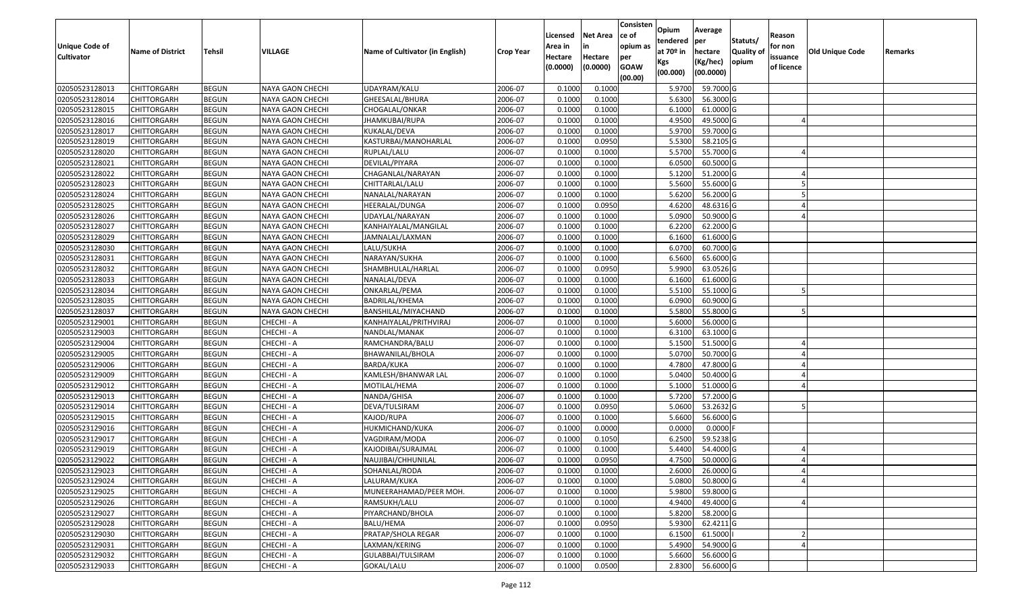| <b>Unique Code of</b> | <b>Name of District</b> | Tehsil       | VILLAGE                 | Name of Cultivator (in English) | <b>Crop Year</b> | Licensed<br>Area in | <b>Net Area</b><br>in | Consisten<br>ce of<br>opium as | Opium<br>tendered<br>at $70°$ in | Average<br>per<br>hectare | Statuts/<br><b>Quality o</b> | Reason<br>for non      | Old Unique Code | Remarks |
|-----------------------|-------------------------|--------------|-------------------------|---------------------------------|------------------|---------------------|-----------------------|--------------------------------|----------------------------------|---------------------------|------------------------------|------------------------|-----------------|---------|
| <b>Cultivator</b>     |                         |              |                         |                                 |                  | Hectare<br>(0.0000) | Hectare<br>(0.0000)   | per<br><b>GOAW</b><br>(00.00)  | Kgs<br>(00.000)                  | (Kg/hec)<br>(00.0000)     | opium                        | issuance<br>of licence |                 |         |
| 02050523128013        | CHITTORGARH             | <b>BEGUN</b> | NAYA GAON CHECHI        | UDAYRAM/KALU                    | 2006-07          | 0.1000              | 0.1000                |                                | 5.9700                           | 59.7000 G                 |                              |                        |                 |         |
| 02050523128014        | CHITTORGARH             | <b>BEGUN</b> | NAYA GAON CHECHI        | GHEESALAL/BHURA                 | 2006-07          | 0.1000              | 0.1000                |                                | 5.6300                           | 56.3000G                  |                              |                        |                 |         |
| 02050523128015        | CHITTORGARH             | <b>BEGUN</b> | NAYA GAON CHECHI        | CHOGALAL/ONKAR                  | 2006-07          | 0.1000              | 0.1000                |                                | 6.1000                           | 61.0000G                  |                              |                        |                 |         |
| 02050523128016        | <b>CHITTORGARH</b>      | <b>BEGUN</b> | NAYA GAON CHECHI        | JHAMKUBAI/RUPA                  | 2006-07          | 0.1000              | 0.1000                |                                | 4.9500                           | 49.5000G                  |                              |                        |                 |         |
| 02050523128017        | CHITTORGARH             | <b>BEGUN</b> | <b>NAYA GAON CHECHI</b> | KUKALAL/DEVA                    | 2006-07          | 0.1000              | 0.1000                |                                | 5.9700                           | 59.7000 G                 |                              |                        |                 |         |
| 02050523128019        | CHITTORGARH             | <b>BEGUN</b> | NAYA GAON CHECHI        | KASTURBAI/MANOHARLAL            | 2006-07          | 0.1000              | 0.0950                |                                | 5.5300                           | 58.2105 G                 |                              |                        |                 |         |
| 02050523128020        | CHITTORGARH             | <b>BEGUN</b> | NAYA GAON CHECHI        | RUPLAL/LALU                     | 2006-07          | 0.1000              | 0.1000                |                                | 5.5700                           | 55.7000G                  |                              |                        |                 |         |
| 02050523128021        | <b>CHITTORGARH</b>      | <b>BEGUN</b> | <b>NAYA GAON CHECHI</b> | DEVILAL/PIYARA                  | 2006-07          | 0.1000              | 0.1000                |                                | 6.0500                           | 60.5000 G                 |                              |                        |                 |         |
| 02050523128022        | <b>CHITTORGARH</b>      | <b>BEGUN</b> | NAYA GAON CHECHI        | CHAGANLAL/NARAYAN               | 2006-07          | 0.1000              | 0.1000                |                                | 5.1200                           | 51.2000 G                 |                              |                        |                 |         |
| 02050523128023        | CHITTORGARH             | <b>BEGUN</b> | NAYA GAON CHECHI        | CHITTARLAL/LALU                 | 2006-07          | 0.1000              | 0.1000                |                                | 5.5600                           | 55.6000 G                 |                              |                        |                 |         |
| 02050523128024        | CHITTORGARH             | <b>BEGUN</b> | NAYA GAON CHECHI        | NANALAL/NARAYAN                 | 2006-07          | 0.1000              | 0.1000                |                                | 5.6200                           | 56.2000 G                 |                              |                        |                 |         |
| 02050523128025        | CHITTORGARH             | <b>BEGUN</b> | NAYA GAON CHECHI        | HEERALAL/DUNGA                  | 2006-07          | 0.1000              | 0.0950                |                                | 4.6200                           | 48.6316 G                 |                              |                        |                 |         |
| 02050523128026        | <b>CHITTORGARH</b>      | <b>BEGUN</b> | NAYA GAON CHECHI        | UDAYLAL/NARAYAN                 | 2006-07          | 0.1000              | 0.1000                |                                | 5.0900                           | 50.9000 G                 |                              |                        |                 |         |
| 02050523128027        | <b>CHITTORGARH</b>      | <b>BEGUN</b> | NAYA GAON CHECHI        | KANHAIYALAL/MANGILAL            | 2006-07          | 0.1000              | 0.1000                |                                | 6.2200                           | 62.2000 G                 |                              |                        |                 |         |
| 02050523128029        | CHITTORGARH             | <b>BEGUN</b> | NAYA GAON CHECHI        | JAMNALAL/LAXMAN                 | 2006-07          | 0.1000              | 0.1000                |                                | 6.1600                           | 61.6000G                  |                              |                        |                 |         |
| 02050523128030        | <b>CHITTORGARH</b>      | <b>BEGUN</b> | NAYA GAON CHECHI        | LALU/SUKHA                      | 2006-07          | 0.1000              | 0.1000                |                                | 6.0700                           | 60.7000 G                 |                              |                        |                 |         |
| 02050523128031        | <b>CHITTORGARH</b>      | <b>BEGUN</b> | NAYA GAON CHECHI        | NARAYAN/SUKHA                   | 2006-07          | 0.1000              | 0.1000                |                                | 6.5600                           | 65.6000G                  |                              |                        |                 |         |
| 02050523128032        | CHITTORGARH             | <b>BEGUN</b> | NAYA GAON CHECHI        | SHAMBHULAL/HARLAL               | 2006-07          | 0.1000              | 0.0950                |                                | 5.9900                           | 63.0526 G                 |                              |                        |                 |         |
| 02050523128033        | CHITTORGARH             | <b>BEGUN</b> | <b>NAYA GAON CHECHI</b> | NANALAL/DEVA                    | 2006-07          | 0.1000              | 0.1000                |                                | 6.1600                           | 61.6000G                  |                              |                        |                 |         |
| 02050523128034        | CHITTORGARH             | <b>BEGUN</b> | NAYA GAON CHECHI        | ONKARLAL/PEMA                   | 2006-07          | 0.1000              | 0.1000                |                                | 5.5100                           | 55.1000G                  |                              |                        |                 |         |
| 02050523128035        | CHITTORGARH             | <b>BEGUN</b> | NAYA GAON CHECHI        | BADRILAL/KHEMA                  | 2006-07          | 0.1000              | 0.1000                |                                | 6.0900                           | 60.9000G                  |                              |                        |                 |         |
| 02050523128037        | CHITTORGARH             | <b>BEGUN</b> | NAYA GAON CHECHI        | BANSHILAL/MIYACHAND             | 2006-07          | 0.1000              | 0.1000                |                                | 5.5800                           | 55.8000 G                 |                              |                        |                 |         |
| 02050523129001        | CHITTORGARH             | <b>BEGUN</b> | CHECHI - A              | KANHAIYALAL/PRITHVIRAJ          | 2006-07          | 0.1000              | 0.1000                |                                | 5.6000                           | 56.0000G                  |                              |                        |                 |         |
| 02050523129003        | <b>CHITTORGARH</b>      | <b>BEGUN</b> | CHECHI - A              | NANDLAL/MANAK                   | 2006-07          | 0.100               | 0.1000                |                                | 6.3100                           | 63.1000 G                 |                              |                        |                 |         |
| 02050523129004        | CHITTORGARH             | <b>BEGUN</b> | CHECHI - A              | RAMCHANDRA/BALU                 | 2006-07          | 0.1000              | 0.1000                |                                | 5.1500                           | 51.5000 G                 |                              |                        |                 |         |
| 02050523129005        | CHITTORGARH             | <b>BEGUN</b> | CHECHI - A              | BHAWANILAL/BHOLA                | 2006-07          | 0.1000              | 0.1000                |                                | 5.0700                           | 50.7000G                  |                              |                        |                 |         |
| 02050523129006        | CHITTORGARH             | <b>BEGUN</b> | CHECHI - A              | BARDA/KUKA                      | 2006-07          | 0.100               | 0.1000                |                                | 4.7800                           | 47.8000 G                 |                              |                        |                 |         |
| 02050523129009        | CHITTORGARH             | <b>BEGUN</b> | CHECHI - A              | KAMLESH/BHANWAR LAL             | 2006-07          | 0.1000              | 0.1000                |                                | 5.0400                           | 50.4000 G                 |                              |                        |                 |         |
| 02050523129012        | CHITTORGARH             | <b>BEGUN</b> | CHECHI - A              | MOTILAL/HEMA                    | 2006-07          | 0.1000              | 0.1000                |                                | 5.1000                           | 51.0000 G                 |                              |                        |                 |         |
| 02050523129013        | CHITTORGARH             | <b>BEGUN</b> | CHECHI - A              | NANDA/GHISA                     | 2006-07          | 0.1000              | 0.1000                |                                | 5.7200                           | 57.2000 G                 |                              |                        |                 |         |
| 02050523129014        | CHITTORGARH             | <b>BEGUN</b> | CHECHI - A              | DEVA/TULSIRAM                   | 2006-07          | 0.1000              | 0.0950                |                                | 5.0600                           | 53.2632 G                 |                              |                        |                 |         |
| 02050523129015        | CHITTORGARH             | <b>BEGUN</b> | CHECHI - A              | KAJOD/RUPA                      | 2006-07          | 0.1000              | 0.1000                |                                | 5.6600                           | 56.6000 G                 |                              |                        |                 |         |
| 02050523129016        | CHITTORGARH             | <b>BEGUN</b> | CHECHI - A              | HUKMICHAND/KUKA                 | 2006-07          | 0.100               | 0.0000                |                                | 0.0000                           | $0.0000$ F                |                              |                        |                 |         |
| 02050523129017        | <b>CHITTORGARH</b>      | <b>BEGUN</b> | CHECHI - A              | VAGDIRAM/MODA                   | 2006-07          | 0.1000              | 0.1050                |                                | 6.2500                           | 59.5238 G                 |                              |                        |                 |         |
| 02050523129019        | CHITTORGARH             | <b>BEGUN</b> | CHECHI - A              | KAJODIBAI/SURAJMAL              | 2006-07          | 0.1000              | 0.1000                |                                | 5.4400                           | 54.4000 G                 |                              |                        |                 |         |
| 02050523129022        | CHITTORGARH             | <b>BEGUN</b> | CHECHI - A              | NAUJIBAI/CHHUNILAL              | 2006-07          | 0.1000              | 0.0950                |                                | 4.7500                           | 50.0000G                  |                              |                        |                 |         |
| 02050523129023        | <b>CHITTORGARH</b>      | <b>BEGUN</b> | CHECHI - A              | SOHANLAL/RODA                   | 2006-07          | 0.1000              | 0.1000                |                                |                                  | 2.6000 26.0000 G          |                              |                        |                 |         |
| 02050523129024        | <b>CHITTORGARH</b>      | <b>BEGUN</b> | CHECHI - A              | LALURAM/KUKA                    | 2006-07          | 0.1000              | 0.1000                |                                | 5.0800                           | 50.8000 G                 |                              |                        |                 |         |
| 02050523129025        | <b>CHITTORGARH</b>      | <b>BEGUN</b> | CHECHI - A              | MUNEERAHAMAD/PEER MOH.          | 2006-07          | 0.1000              | 0.1000                |                                | 5.9800                           | 59.8000 G                 |                              |                        |                 |         |
| 02050523129026        | <b>CHITTORGARH</b>      | <b>BEGUN</b> | CHECHI - A              | RAMSUKH/LALU                    | 2006-07          | 0.1000              | 0.1000                |                                | 4.9400                           | 49.4000 G                 |                              |                        |                 |         |
| 02050523129027        | <b>CHITTORGARH</b>      | <b>BEGUN</b> | CHECHI - A              | PIYARCHAND/BHOLA                | 2006-07          | 0.1000              | 0.1000                |                                | 5.8200                           | 58.2000 G                 |                              |                        |                 |         |
| 02050523129028        | <b>CHITTORGARH</b>      | <b>BEGUN</b> | CHECHI - A              | BALU/HEMA                       | 2006-07          | 0.1000              | 0.0950                |                                | 5.9300                           | 62.4211 G                 |                              |                        |                 |         |
| 02050523129030        | <b>CHITTORGARH</b>      | <b>BEGUN</b> | CHECHI - A              | PRATAP/SHOLA REGAR              | 2006-07          | 0.1000              | 0.1000                |                                | 6.1500                           | 61.5000                   |                              |                        |                 |         |
| 02050523129031        | <b>CHITTORGARH</b>      | <b>BEGUN</b> | CHECHI - A              | LAXMAN/KERING                   | 2006-07          | 0.1000              | 0.1000                |                                | 5.4900                           | 54.9000 G                 |                              |                        |                 |         |
| 02050523129032        | <b>CHITTORGARH</b>      | <b>BEGUN</b> | CHECHI - A              | GULABBAI/TULSIRAM               | 2006-07          | 0.1000              | 0.1000                |                                | 5.6600                           | 56.6000 G                 |                              |                        |                 |         |
| 02050523129033        | <b>CHITTORGARH</b>      | <b>BEGUN</b> | CHECHI - A              | GOKAL/LALU                      | 2006-07          | 0.1000              | 0.0500                |                                | 2.8300                           | 56.6000 G                 |                              |                        |                 |         |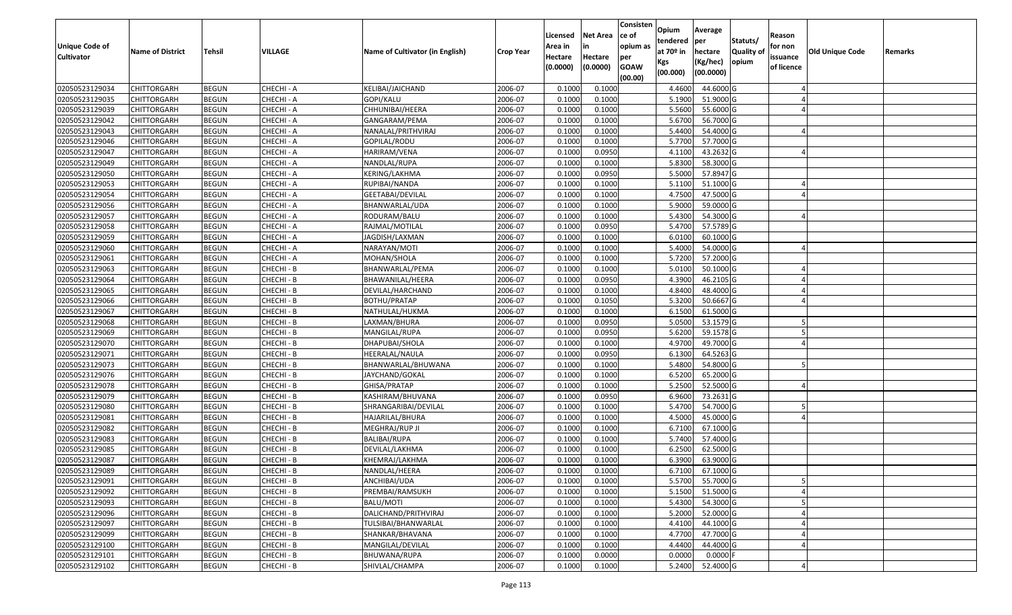| <b>Unique Code of</b><br><b>Cultivator</b> | <b>Name of District</b> | <b>Tehsil</b> | VILLAGE    | Name of Cultivator (in English) | <b>Crop Year</b> | Licensed<br>Area in<br>Hectare | <b>Net Area</b><br>in<br>Hectare | Consisten<br>ce of<br>opium as<br>per | Opium<br>tendered<br>at $70°$ in | Average<br>per<br>hectare | Statuts/<br><b>Quality o</b> | Reason<br>for non<br>issuance | Old Unique Code | Remarks |
|--------------------------------------------|-------------------------|---------------|------------|---------------------------------|------------------|--------------------------------|----------------------------------|---------------------------------------|----------------------------------|---------------------------|------------------------------|-------------------------------|-----------------|---------|
|                                            |                         |               |            |                                 |                  | (0.0000)                       | (0.0000)                         | <b>GOAW</b><br>(00.00)                | Kgs<br>(00.000)                  | (Kg/hec)<br>(00.0000)     | opium                        | of licence                    |                 |         |
| 02050523129034                             | CHITTORGARH             | <b>BEGUN</b>  | CHECHI - A | KELIBAI/JAICHAND                | 2006-07          | 0.1000                         | 0.1000                           |                                       | 4.4600                           | 44.6000 G                 |                              |                               |                 |         |
| 02050523129035                             | CHITTORGARH             | <b>BEGUN</b>  | CHECHI - A | GOPI/KALU                       | 2006-07          | 0.1000                         | 0.1000                           |                                       | 5.1900                           | 51.9000 G                 |                              |                               |                 |         |
| 02050523129039                             | CHITTORGARH             | <b>BEGUN</b>  | CHECHI - A | CHHUNIBAI/HEERA                 | 2006-07          | 0.1000                         | 0.1000                           |                                       | 5.5600                           | 55.6000G                  |                              |                               |                 |         |
| 02050523129042                             | <b>CHITTORGARH</b>      | <b>BEGUN</b>  | CHECHI - A | GANGARAM/PEMA                   | 2006-07          | 0.1000                         | 0.1000                           |                                       | 5.6700                           | 56.7000 G                 |                              |                               |                 |         |
| 02050523129043                             | CHITTORGARH             | <b>BEGUN</b>  | CHECHI - A | NANALAL/PRITHVIRAJ              | 2006-07          | 0.1000                         | 0.1000                           |                                       | 5.4400                           | 54.4000 G                 |                              |                               |                 |         |
| 02050523129046                             | CHITTORGARH             | <b>BEGUN</b>  | CHECHI - A | GOPILAL/RODU                    | 2006-07          | 0.1000                         | 0.1000                           |                                       | 5.7700                           | $\overline{57.7000}$ G    |                              |                               |                 |         |
| 02050523129047                             | CHITTORGARH             | <b>BEGUN</b>  | CHECHI - A | HARIRAM/VENA                    | 2006-07          | 0.1000                         | 0.0950                           |                                       | 4.1100                           | 43.2632 G                 |                              |                               |                 |         |
| 02050523129049                             | <b>CHITTORGARH</b>      | <b>BEGUN</b>  | CHECHI - A | NANDLAL/RUPA                    | 2006-07          | 0.1000                         | 0.1000                           |                                       | 5.8300                           | 58.3000 G                 |                              |                               |                 |         |
| 02050523129050                             | CHITTORGARH             | <b>BEGUN</b>  | CHECHI - A | KERING/LAKHMA                   | 2006-07          | 0.1000                         | 0.0950                           |                                       | 5.5000                           | 57.8947 G                 |                              |                               |                 |         |
| 02050523129053                             | CHITTORGARH             | <b>BEGUN</b>  | CHECHI - A | RUPIBAI/NANDA                   | 2006-07          | 0.1000                         | 0.1000                           |                                       | 5.1100                           | 51.1000G                  |                              |                               |                 |         |
| 02050523129054                             | CHITTORGARH             | <b>BEGUN</b>  | CHECHI - A | GEETABAI/DEVILAL                | 2006-07          | 0.1000                         | 0.1000                           |                                       | 4.7500                           | 47.5000 G                 |                              |                               |                 |         |
| 02050523129056                             | <b>CHITTORGARH</b>      | <b>BEGUN</b>  | CHECHI - A | BHANWARLAL/UDA                  | 2006-07          | 0.1000                         | 0.1000                           |                                       | 5.9000                           | 59.0000 G                 |                              |                               |                 |         |
| 02050523129057                             | <b>CHITTORGARH</b>      | <b>BEGUN</b>  | CHECHI - A | RODURAM/BALU                    | 2006-07          | 0.1000                         | 0.1000                           |                                       | 5.4300                           | 54.3000 G                 |                              |                               |                 |         |
| 02050523129058                             | <b>CHITTORGARH</b>      | <b>BEGUN</b>  | CHECHI - A | RAJMAL/MOTILAL                  | 2006-07          | 0.1000                         | 0.0950                           |                                       | 5.4700                           | 57.5789 G                 |                              |                               |                 |         |
| 02050523129059                             | <b>CHITTORGARH</b>      | <b>BEGUN</b>  | CHECHI - A | JAGDISH/LAXMAN                  | 2006-07          | 0.1000                         | 0.1000                           |                                       | 6.0100                           | 60.1000 G                 |                              |                               |                 |         |
| 02050523129060                             | <b>CHITTORGARH</b>      | <b>BEGUN</b>  | CHECHI - A | NARAYAN/MOTI                    | 2006-07          | 0.1000                         | 0.1000                           |                                       | 5.4000                           | 54.0000G                  |                              |                               |                 |         |
| 02050523129061                             | CHITTORGARH             | <b>BEGUN</b>  | CHECHI - A | MOHAN/SHOLA                     | 2006-07          | 0.1000                         | 0.1000                           |                                       | 5.7200                           | 57.2000 G                 |                              |                               |                 |         |
| 02050523129063                             | CHITTORGARH             | <b>BEGUN</b>  | CHECHI - B | BHANWARLAL/PEMA                 | 2006-07          | 0.100                          | 0.1000                           |                                       | 5.0100                           | 50.1000G                  |                              |                               |                 |         |
| 02050523129064                             | CHITTORGARH             | <b>BEGUN</b>  | CHECHI - B | BHAWANILAL/HEERA                | 2006-07          | 0.100                          | 0.0950                           |                                       | 4.3900                           | 46.2105 G                 |                              |                               |                 |         |
| 02050523129065                             | CHITTORGARH             | <b>BEGUN</b>  | CHECHI - B | DEVILAL/HARCHAND                | 2006-07          | 0.1000                         | 0.1000                           |                                       | 4.8400                           | 48.4000 G                 |                              |                               |                 |         |
| 02050523129066                             | CHITTORGARH             | <b>BEGUN</b>  | CHECHI - B | BOTHU/PRATAP                    | 2006-07          | 0.100                          | 0.1050                           |                                       | 5.3200                           | 50.6667 G                 |                              |                               |                 |         |
| 02050523129067                             | CHITTORGARH             | <b>BEGUN</b>  | CHECHI - B | NATHULAL/HUKMA                  | 2006-07          | 0.100                          | 0.1000                           |                                       | 6.1500                           | 61.5000G                  |                              |                               |                 |         |
| 02050523129068                             | CHITTORGARH             | <b>BEGUN</b>  | CHECHI - B | LAXMAN/BHURA                    | 2006-07          | 0.1000                         | 0.0950                           |                                       | 5.0500                           | 53.1579 G                 |                              |                               |                 |         |
| 02050523129069                             | <b>CHITTORGARH</b>      | <b>BEGUN</b>  | CHECHI - B | MANGILAL/RUPA                   | 2006-07          | 0.100                          | 0.0950                           |                                       | 5.6200                           | 59.1578 G                 |                              |                               |                 |         |
| 02050523129070                             | <b>CHITTORGARH</b>      | <b>BEGUN</b>  | CHECHI - B | DHAPUBAI/SHOLA                  | 2006-07          | 0.1000                         | 0.1000                           |                                       | 4.9700                           | 49.7000 G                 |                              |                               |                 |         |
| 02050523129071                             | CHITTORGARH             | <b>BEGUN</b>  | CHECHI - B | HEERALAL/NAULA                  | 2006-07          | 0.1000                         | 0.0950                           |                                       | 6.1300                           | 64.5263 G                 |                              |                               |                 |         |
| 02050523129073                             | CHITTORGARH             | <b>BEGUN</b>  | CHECHI - B | BHANWARLAL/BHUWANA              | 2006-07          | 0.1000                         | 0.1000                           |                                       | 5.4800                           | 54.8000 G                 |                              |                               |                 |         |
| 02050523129076                             | CHITTORGARH             | <b>BEGUN</b>  | CHECHI - B | JAYCHAND/GOKAL                  | 2006-07          | 0.1000                         | 0.1000                           |                                       | 6.5200                           | 65.2000 G                 |                              |                               |                 |         |
| 02050523129078                             | CHITTORGARH             | <b>BEGUN</b>  | CHECHI - B | GHISA/PRATAP                    | 2006-07          | 0.1000                         | 0.1000                           |                                       | 5.2500                           | 52.5000 G                 |                              |                               |                 |         |
| 02050523129079                             | CHITTORGARH             | <b>BEGUN</b>  | CHECHI - B | KASHIRAM/BHUVANA                | 2006-07          | 0.1000                         | 0.0950                           |                                       | 6.9600                           | 73.2631 G                 |                              |                               |                 |         |
| 02050523129080                             | CHITTORGARH             | <b>BEGUN</b>  | CHECHI - B | SHRANGARIBAI/DEVILAL            | 2006-07          | 0.1000                         | 0.1000                           |                                       | 5.4700                           | 54.7000 G                 |                              |                               |                 |         |
| 02050523129081                             | CHITTORGARH             | <b>BEGUN</b>  | CHECHI - B | HAJARILAL/BHURA                 | 2006-07          | 0.1000                         | 0.1000                           |                                       | 4.5000                           | 45.0000G                  |                              |                               |                 |         |
| 02050523129082                             | CHITTORGARH             | <b>BEGUN</b>  | CHECHI - B | MEGHRAJ/RUP JI                  | 2006-07          | 0.100                          | 0.1000                           |                                       | 6.7100                           | 67.1000G                  |                              |                               |                 |         |
| 02050523129083                             | CHITTORGARH             | <b>BEGUN</b>  | CHECHI - B | <b>BALIBAI/RUPA</b>             | 2006-07          | 0.1000                         | 0.1000                           |                                       | 5.7400                           | 57.4000 G                 |                              |                               |                 |         |
| 02050523129085                             | CHITTORGARH             | <b>BEGUN</b>  | CHECHI - B | DEVILAL/LAKHMA                  | 2006-07          | 0.1000                         | 0.1000                           |                                       | 6.2500                           | 62.5000 G                 |                              |                               |                 |         |
| 02050523129087                             | CHITTORGARH             | <b>BEGUN</b>  | CHECHI - B | KHEMRAJ/LAKHMA                  | 2006-07          | 0.1000                         | 0.1000                           |                                       | 6.3900                           | 63.9000G                  |                              |                               |                 |         |
| 02050523129089                             | <b>CHITTORGARH</b>      | <b>BEGUN</b>  | CHECHI - B | NANDLAL/HEERA                   | 2006-07          | 0.1000                         | 0.1000                           |                                       |                                  | 6.7100 67.1000 G          |                              |                               |                 |         |
| 02050523129091                             | <b>CHITTORGARH</b>      | <b>BEGUN</b>  | CHECHI - B | ANCHIBAI/UDA                    | 2006-07          | 0.1000                         | 0.1000                           |                                       | 5.5700                           | 55.7000 G                 |                              |                               |                 |         |
| 02050523129092                             | <b>CHITTORGARH</b>      | <b>BEGUN</b>  | CHECHI - B | PREMBAI/RAMSUKH                 | 2006-07          | 0.1000                         | 0.1000                           |                                       | 5.1500                           | 51.5000 G                 |                              |                               |                 |         |
| 02050523129093                             | <b>CHITTORGARH</b>      | <b>BEGUN</b>  | CHECHI - B | BALU/MOTI                       | 2006-07          | 0.1000                         | 0.1000                           |                                       | 5.4300                           | 54.3000 G                 |                              |                               |                 |         |
| 02050523129096                             | <b>CHITTORGARH</b>      | <b>BEGUN</b>  | CHECHI - B | DALICHAND/PRITHVIRAJ            | 2006-07          | 0.1000                         | 0.1000                           |                                       | 5.2000                           | 52.0000 G                 |                              |                               |                 |         |
| 02050523129097                             | <b>CHITTORGARH</b>      | <b>BEGUN</b>  | CHECHI - B | TULSIBAI/BHANWARLAL             | 2006-07          | 0.1000                         | 0.1000                           |                                       | 4.4100                           | 44.1000 G                 |                              |                               |                 |         |
| 02050523129099                             | <b>CHITTORGARH</b>      | <b>BEGUN</b>  | CHECHI - B | SHANKAR/BHAVANA                 | 2006-07          | 0.1000                         | 0.1000                           |                                       | 4.7700                           | 47.7000 G                 |                              |                               |                 |         |
| 02050523129100                             | <b>CHITTORGARH</b>      | <b>BEGUN</b>  | CHECHI - B | MANGILAL/DEVILAL                | 2006-07          | 0.1000                         | 0.1000                           |                                       | 4.4400                           | 44.4000 G                 |                              |                               |                 |         |
| 02050523129101                             | <b>CHITTORGARH</b>      | <b>BEGUN</b>  | CHECHI - B | BHUWANA/RUPA                    | 2006-07          | 0.1000                         | 0.0000                           |                                       | 0.0000                           | $0.0000$ F                |                              |                               |                 |         |
| 02050523129102                             | <b>CHITTORGARH</b>      | <b>BEGUN</b>  | CHECHI - B | SHIVLAL/CHAMPA                  | 2006-07          | 0.1000                         | 0.1000                           |                                       | 5.2400                           | 52.4000 G                 |                              |                               |                 |         |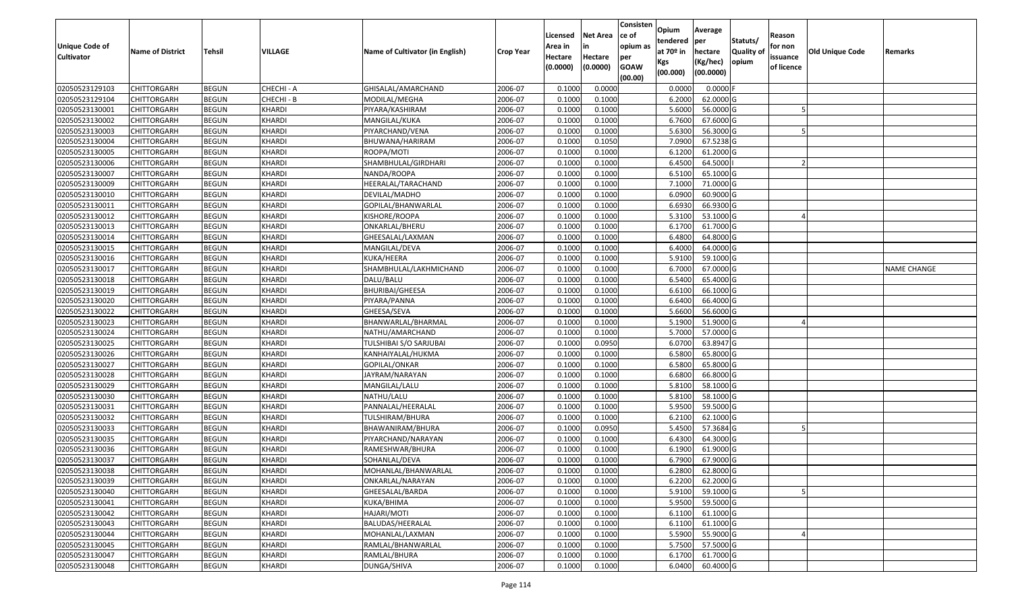| Unique Code of<br><b>Cultivator</b> | <b>Name of District</b> | <b>Tehsil</b> | <b>VILLAGE</b> | Name of Cultivator (in English) | <b>Crop Year</b> | Licensed<br>Area in<br>Hectare<br>(0.0000) | <b>Net Area</b><br>in<br>Hectare<br>(0.0000) | Consisten<br>ce of<br>opium as<br>per<br><b>GOAW</b> | Opium<br>tendered<br>at $70°$ in<br>Kgs<br>(00.000) | Average<br>per<br>hectare<br>(Kg/hec)<br>(00.0000) | Statuts/<br><b>Quality o</b><br>opium | Reason<br>for non<br>issuance<br>of licence | Old Unique Code | Remarks            |
|-------------------------------------|-------------------------|---------------|----------------|---------------------------------|------------------|--------------------------------------------|----------------------------------------------|------------------------------------------------------|-----------------------------------------------------|----------------------------------------------------|---------------------------------------|---------------------------------------------|-----------------|--------------------|
|                                     |                         |               |                |                                 |                  |                                            |                                              | (00.00)                                              |                                                     |                                                    |                                       |                                             |                 |                    |
| 02050523129103                      | CHITTORGARH             | <b>BEGUN</b>  | CHECHI - A     | GHISALAL/AMARCHAND              | 2006-07          | 0.1000                                     | 0.0000                                       |                                                      | 0.0000                                              | 0.0000F                                            |                                       |                                             |                 |                    |
| 02050523129104                      | CHITTORGARH             | <b>BEGUN</b>  | CHECHI - B     | MODILAL/MEGHA                   | 2006-07          | 0.1000                                     | 0.1000                                       |                                                      | 6.2000                                              | 62.0000G                                           |                                       |                                             |                 |                    |
| 02050523130001                      | CHITTORGARH             | <b>BEGUN</b>  | <b>KHARDI</b>  | PIYARA/KASHIRAM                 | 2006-07          | 0.1000                                     | 0.1000                                       |                                                      | 5.6000                                              | 56.0000 G                                          |                                       |                                             |                 |                    |
| 02050523130002                      | <b>CHITTORGARH</b>      | <b>BEGUN</b>  | KHARDI         | MANGILAL/KUKA                   | 2006-07          | 0.1000                                     | 0.1000                                       |                                                      | 6.7600                                              | 67.6000 G                                          |                                       |                                             |                 |                    |
| 02050523130003                      | CHITTORGARH             | <b>BEGUN</b>  | KHARDI         | PIYARCHAND/VENA                 | 2006-07          | 0.1000                                     | 0.1000                                       |                                                      | 5.6300                                              | 56.3000G                                           |                                       |                                             |                 |                    |
| 02050523130004                      | CHITTORGARH             | <b>BEGUN</b>  | KHARDI         | BHUWANA/HARIRAM                 | 2006-07          | 0.1000                                     | 0.1050                                       |                                                      | 7.0900                                              | $\overline{67.5238}$ G                             |                                       |                                             |                 |                    |
| 02050523130005                      | CHITTORGARH             | <b>BEGUN</b>  | <b>KHARDI</b>  | ROOPA/MOTI                      | 2006-07          | 0.1000                                     | 0.1000                                       |                                                      | 6.1200                                              | 61.2000 G                                          |                                       |                                             |                 |                    |
| 02050523130006                      | CHITTORGARH             | <b>BEGUN</b>  | <b>KHARDI</b>  | SHAMBHULAL/GIRDHARI             | 2006-07          | 0.1000                                     | 0.1000                                       |                                                      | 6.4500                                              | 64.5000                                            |                                       |                                             |                 |                    |
| 02050523130007                      | CHITTORGARH             | <b>BEGUN</b>  | <b>KHARDI</b>  | NANDA/ROOPA                     | 2006-07          | 0.1000                                     | 0.1000                                       |                                                      | 6.5100                                              | 65.1000G                                           |                                       |                                             |                 |                    |
| 02050523130009                      | CHITTORGARH             | <b>BEGUN</b>  | <b>KHARDI</b>  | HEERALAL/TARACHAND              | 2006-07          | 0.1000                                     | 0.1000                                       |                                                      | 7.1000                                              | 71.0000 G                                          |                                       |                                             |                 |                    |
| 02050523130010                      | CHITTORGARH             | <b>BEGUN</b>  | KHARDI         | DEVILAL/MADHO                   | 2006-07          | 0.1000                                     | 0.1000                                       |                                                      | 6.0900                                              | 60.9000 G                                          |                                       |                                             |                 |                    |
| 02050523130011                      | <b>CHITTORGARH</b>      | <b>BEGUN</b>  | <b>KHARDI</b>  | GOPILAL/BHANWARLAL              | 2006-07          | 0.1000                                     | 0.1000                                       |                                                      | 6.6930                                              | 66.9300 G                                          |                                       |                                             |                 |                    |
| 02050523130012                      | <b>CHITTORGARH</b>      | <b>BEGUN</b>  | KHARDI         | KISHORE/ROOPA                   | 2006-07          | 0.1000                                     | 0.1000                                       |                                                      | 5.3100                                              | 53.1000 G                                          |                                       |                                             |                 |                    |
| 02050523130013                      | <b>CHITTORGARH</b>      | <b>BEGUN</b>  | KHARDI         | ONKARLAL/BHERU                  | 2006-07          | 0.100                                      | 0.1000                                       |                                                      | 6.1700                                              | 61.7000 G                                          |                                       |                                             |                 |                    |
| 02050523130014                      | <b>CHITTORGARH</b>      | <b>BEGUN</b>  | KHARDI         | GHEESALAL/LAXMAN                | 2006-07          | 0.1000                                     | 0.1000                                       |                                                      | 6.4800                                              | 64.8000 G                                          |                                       |                                             |                 |                    |
| 02050523130015                      | CHITTORGARH             | <b>BEGUN</b>  | KHARDI         | MANGILAL/DEVA                   | 2006-07          | 0.1000                                     | 0.1000                                       |                                                      | 6.4000                                              | 64.0000G                                           |                                       |                                             |                 |                    |
| 02050523130016                      | CHITTORGARH             | <b>BEGUN</b>  | <b>KHARDI</b>  | KUKA/HEERA                      | 2006-07          | 0.1000                                     | 0.1000                                       |                                                      | 5.9100                                              | 59.1000 G                                          |                                       |                                             |                 |                    |
| 02050523130017                      | CHITTORGARH             | <b>BEGUN</b>  | KHARDI         | SHAMBHULAL/LAKHMICHAND          | 2006-07          | 0.100                                      | 0.1000                                       |                                                      | 6.7000                                              | 67.0000G                                           |                                       |                                             |                 | <b>NAME CHANGE</b> |
| 02050523130018                      | CHITTORGARH             | <b>BEGUN</b>  | KHARDI         | DALU/BALU                       | 2006-07          | 0.100                                      | 0.1000                                       |                                                      | 6.5400                                              | 65.4000 G                                          |                                       |                                             |                 |                    |
| 02050523130019                      | CHITTORGARH             | <b>BEGUN</b>  | KHARDI         | <b>BHURIBAI/GHEESA</b>          | 2006-07          | 0.1000                                     | 0.1000                                       |                                                      | 6.6100                                              | 66.1000G                                           |                                       |                                             |                 |                    |
| 02050523130020                      | CHITTORGARH             | <b>BEGUN</b>  | KHARDI         | PIYARA/PANNA                    | 2006-07          | 0.100                                      | 0.1000                                       |                                                      | 6.6400                                              | 66.4000 G                                          |                                       |                                             |                 |                    |
| 02050523130022                      | CHITTORGARH             | <b>BEGUN</b>  | KHARDI         | GHEESA/SEVA                     | 2006-07          | 0.100                                      | 0.1000                                       |                                                      | 5.6600                                              | 56.6000 G                                          |                                       |                                             |                 |                    |
| 02050523130023                      | CHITTORGARH             | <b>BEGUN</b>  | KHARDI         | BHANWARLAL/BHARMAL              | 2006-07          | 0.1000                                     | 0.1000                                       |                                                      | 5.1900                                              | 51.9000 G                                          |                                       |                                             |                 |                    |
| 02050523130024                      | CHITTORGARH             | <b>BEGUN</b>  | <b>KHARDI</b>  | NATHU/AMARCHAND                 | 2006-07          | 0.100                                      | 0.1000                                       |                                                      | 5.7000                                              | 57.0000 G                                          |                                       |                                             |                 |                    |
| 02050523130025                      | <b>CHITTORGARH</b>      | <b>BEGUN</b>  | <b>KHARDI</b>  | TULSHIBAI S/O SARJUBAI          | 2006-07          | 0.1000                                     | 0.0950                                       |                                                      | 6.0700                                              | 63.8947 G                                          |                                       |                                             |                 |                    |
| 02050523130026                      | CHITTORGARH             | <b>BEGUN</b>  | <b>KHARDI</b>  | KANHAIYALAL/HUKMA               | 2006-07          | 0.1000                                     | 0.1000                                       |                                                      | 6.5800                                              | 65.8000 G                                          |                                       |                                             |                 |                    |
| 02050523130027                      | CHITTORGARH             | <b>BEGUN</b>  | <b>KHARDI</b>  | GOPILAL/ONKAR                   | 2006-07          | 0.1000                                     | 0.1000                                       |                                                      | 6.5800                                              | 65.8000 G                                          |                                       |                                             |                 |                    |
| 02050523130028                      | CHITTORGARH             | <b>BEGUN</b>  | <b>KHARDI</b>  | JAYRAM/NARAYAN                  | 2006-07          | 0.1000                                     | 0.1000                                       |                                                      | 6.6800                                              | 66.8000 G                                          |                                       |                                             |                 |                    |
| 02050523130029                      | CHITTORGARH             | <b>BEGUN</b>  | KHARDI         | MANGILAL/LALU                   | 2006-07          | 0.1000                                     | 0.1000                                       |                                                      | 5.8100                                              | 58.1000 G                                          |                                       |                                             |                 |                    |
| 02050523130030                      | CHITTORGARH             | <b>BEGUN</b>  | <b>KHARDI</b>  | NATHU/LALU                      | 2006-07          | 0.1000                                     | 0.1000                                       |                                                      | 5.8100                                              | 58.1000G                                           |                                       |                                             |                 |                    |
| 02050523130031                      | CHITTORGARH             | <b>BEGUN</b>  | <b>KHARDI</b>  | PANNALAL/HEERALAL               | 2006-07          | 0.100                                      | 0.1000                                       |                                                      | 5.9500                                              | 59.5000G                                           |                                       |                                             |                 |                    |
| 02050523130032                      | CHITTORGARH             | <b>BEGUN</b>  | <b>KHARDI</b>  | TULSHIRAM/BHURA                 | 2006-07          | 0.1000                                     | 0.1000                                       |                                                      | 6.2100                                              | 62.1000G                                           |                                       |                                             |                 |                    |
| 02050523130033                      | CHITTORGARH             | <b>BEGUN</b>  | <b>KHARDI</b>  | BHAWANIRAM/BHURA                | 2006-07          | 0.1000                                     | 0.0950                                       |                                                      | 5.4500                                              | 57.3684 G                                          |                                       |                                             |                 |                    |
| 02050523130035                      | CHITTORGARH             | <b>BEGUN</b>  | <b>KHARDI</b>  | PIYARCHAND/NARAYAN              | 2006-07          | 0.1000                                     | 0.1000                                       |                                                      | 6.4300                                              | 64.3000 G                                          |                                       |                                             |                 |                    |
| 02050523130036                      | CHITTORGARH             | <b>BEGUN</b>  | <b>KHARDI</b>  | RAMESHWAR/BHURA                 | 2006-07          | 0.1000                                     | 0.1000                                       |                                                      | 6.1900                                              | 61.9000G                                           |                                       |                                             |                 |                    |
| 02050523130037                      | CHITTORGARH             | <b>BEGUN</b>  | <b>KHARDI</b>  | SOHANLAL/DEVA                   | 2006-07          | 0.1000                                     | 0.1000                                       |                                                      | 6.7900                                              | 67.9000 G                                          |                                       |                                             |                 |                    |
| 02050523130038                      | CHITTORGARH             | <b>BEGUN</b>  | <b>KHARDI</b>  | MOHANLAL/BHANWARLAL             | 2006-07          | 0.1000                                     | 0.1000                                       |                                                      | 6.2800                                              | $62.8000$ G                                        |                                       |                                             |                 |                    |
| 02050523130039                      | <b>CHITTORGARH</b>      | <b>BEGUN</b>  | <b>KHARDI</b>  | ONKARLAL/NARAYAN                | 2006-07          | 0.1000                                     | 0.1000                                       |                                                      | 6.2200                                              | 62.2000 G                                          |                                       |                                             |                 |                    |
| 02050523130040                      | <b>CHITTORGARH</b>      | <b>BEGUN</b>  | <b>KHARDI</b>  | GHEESALAL/BARDA                 | 2006-07          | 0.1000                                     | 0.1000                                       |                                                      | 5.9100                                              | 59.1000 G                                          |                                       |                                             |                 |                    |
| 02050523130041                      | <b>CHITTORGARH</b>      | <b>BEGUN</b>  | <b>KHARDI</b>  | KUKA/BHIMA                      | 2006-07          | 0.1000                                     | 0.1000                                       |                                                      | 5.9500                                              | 59.5000 G                                          |                                       |                                             |                 |                    |
| 02050523130042                      | <b>CHITTORGARH</b>      | <b>BEGUN</b>  | <b>KHARDI</b>  | HAJARI/MOTI                     | 2006-07          | 0.1000                                     | 0.1000                                       |                                                      | 6.1100                                              | 61.1000 G                                          |                                       |                                             |                 |                    |
| 02050523130043                      | <b>CHITTORGARH</b>      | <b>BEGUN</b>  | <b>KHARDI</b>  | BALUDAS/HEERALAL                | 2006-07          | 0.1000                                     | 0.1000                                       |                                                      | 6.1100                                              | 61.1000 G                                          |                                       |                                             |                 |                    |
| 02050523130044                      | <b>CHITTORGARH</b>      | <b>BEGUN</b>  | <b>KHARDI</b>  | MOHANLAL/LAXMAN                 | 2006-07          | 0.1000                                     | 0.1000                                       |                                                      | 5.5900                                              | 55.9000 G                                          |                                       |                                             |                 |                    |
| 02050523130045                      | CHITTORGARH             | <b>BEGUN</b>  | KHARDI         | RAMLAL/BHANWARLAL               | 2006-07          | 0.1000                                     | 0.1000                                       |                                                      | 5.7500                                              | 57.5000 G                                          |                                       |                                             |                 |                    |
| 02050523130047                      | <b>CHITTORGARH</b>      | <b>BEGUN</b>  | <b>KHARDI</b>  | RAMLAL/BHURA                    | 2006-07          | 0.1000                                     | 0.1000                                       |                                                      | 6.1700                                              | 61.7000 G                                          |                                       |                                             |                 |                    |
| 02050523130048                      | <b>CHITTORGARH</b>      | <b>BEGUN</b>  | <b>KHARDI</b>  | DUNGA/SHIVA                     | 2006-07          | 0.1000                                     | 0.1000                                       |                                                      | 6.0400                                              | 60.4000 G                                          |                                       |                                             |                 |                    |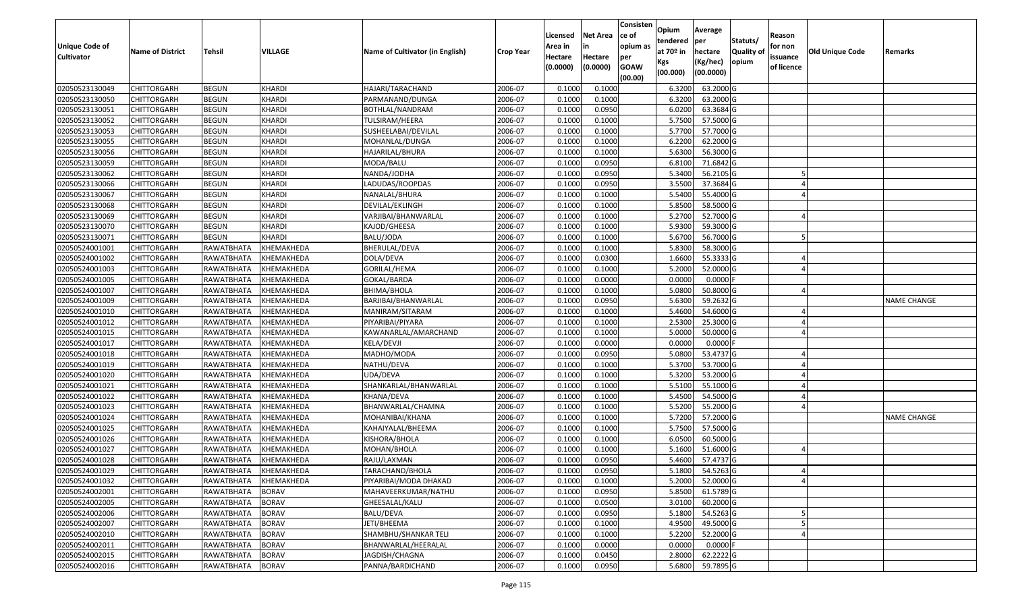| <b>Unique Code of</b><br><b>Cultivator</b> | <b>Name of District</b> | <b>Tehsil</b>     | VILLAGE       | Name of Cultivator (in English) | <b>Crop Year</b> | Licensed<br>Area in<br>Hectare | <b>Net Area</b><br>in<br>Hectare | Consisten<br>ce of<br>opium as<br>per | Opium<br>tendered<br>at $70°$ in<br>Kgs | Average<br>per<br>hectare<br>(Kg/hec) | Statuts/<br><b>Quality o</b><br>opium | Reason<br>for non<br>issuance | <b>Old Unique Code</b> | Remarks            |
|--------------------------------------------|-------------------------|-------------------|---------------|---------------------------------|------------------|--------------------------------|----------------------------------|---------------------------------------|-----------------------------------------|---------------------------------------|---------------------------------------|-------------------------------|------------------------|--------------------|
|                                            |                         |                   |               |                                 |                  | (0.0000)                       | (0.0000)                         | <b>GOAW</b><br>(00.00)                | (00.000)                                | (00.0000)                             |                                       | of licence                    |                        |                    |
| 02050523130049                             | CHITTORGARH             | <b>BEGUN</b>      | <b>KHARDI</b> | HAJARI/TARACHAND                | 2006-07          | 0.1000                         | 0.1000                           |                                       | 6.3200                                  | 63.2000 G                             |                                       |                               |                        |                    |
| 02050523130050                             | CHITTORGARH             | <b>BEGUN</b>      | <b>KHARDI</b> | PARMANAND/DUNGA                 | 2006-07          | 0.1000                         | 0.1000                           |                                       | 6.3200                                  | 63.2000 G                             |                                       |                               |                        |                    |
| 02050523130051                             | CHITTORGARH             | <b>BEGUN</b>      | <b>KHARDI</b> | BOTHLAL/NANDRAM                 | 2006-07          | 0.1000                         | 0.0950                           |                                       | 6.0200                                  | 63.3684 G                             |                                       |                               |                        |                    |
| 02050523130052                             | <b>CHITTORGARH</b>      | <b>BEGUN</b>      | KHARDI        | TULSIRAM/HEERA                  | 2006-07          | 0.1000                         | 0.1000                           |                                       | 5.7500                                  | 57.5000 G                             |                                       |                               |                        |                    |
| 02050523130053                             | CHITTORGARH             | <b>BEGUN</b>      | KHARDI        | SUSHEELABAI/DEVILAL             | 2006-07          | 0.1000                         | 0.1000                           |                                       | 5.7700                                  | 57.7000G                              |                                       |                               |                        |                    |
| 02050523130055                             | <b>CHITTORGARH</b>      | <b>BEGUN</b>      | KHARDI        | MOHANLAL/DUNGA                  | 2006-07          | 0.1000                         | 0.1000                           |                                       | 6.2200                                  | 62.2000 G                             |                                       |                               |                        |                    |
| 02050523130056                             | CHITTORGARH             | <b>BEGUN</b>      | <b>KHARDI</b> | HAJARILAL/BHURA                 | 2006-07          | 0.1000                         | 0.1000                           |                                       | 5.6300                                  | 56.3000G                              |                                       |                               |                        |                    |
| 02050523130059                             | CHITTORGARH             | <b>BEGUN</b>      | <b>KHARDI</b> | MODA/BALU                       | 2006-07          | 0.1000                         | 0.0950                           |                                       | 6.8100                                  | 71.6842 G                             |                                       |                               |                        |                    |
| 02050523130062                             | CHITTORGARH             | <b>BEGUN</b>      | <b>KHARDI</b> | NANDA/JODHA                     | 2006-07          | 0.1000                         | 0.0950                           |                                       | 5.3400                                  | 56.2105 G                             |                                       |                               |                        |                    |
| 02050523130066                             | <b>CHITTORGARH</b>      | <b>BEGUN</b>      | <b>KHARDI</b> | LADUDAS/ROOPDAS                 | 2006-07          | 0.1000                         | 0.0950                           |                                       | 3.5500                                  | 37.3684 G                             |                                       |                               |                        |                    |
| 02050523130067                             | CHITTORGARH             | <b>BEGUN</b>      | KHARDI        | NANALAL/BHURA                   | 2006-07          | 0.1000                         | 0.1000                           |                                       | 5.5400                                  | 55.4000 G                             |                                       |                               |                        |                    |
| 02050523130068                             | CHITTORGARH             | <b>BEGUN</b>      | <b>KHARDI</b> | DEVILAL/EKLINGH                 | 2006-07          | 0.1000                         | 0.1000                           |                                       | 5.8500                                  | 58.5000 G                             |                                       |                               |                        |                    |
| 02050523130069                             | <b>CHITTORGARH</b>      | <b>BEGUN</b>      | KHARDI        | VARJIBAI/BHANWARLAL             | 2006-07          | 0.1000                         | 0.1000                           |                                       | 5.2700                                  | 52.7000 G                             |                                       |                               |                        |                    |
| 02050523130070                             | <b>CHITTORGARH</b>      | <b>BEGUN</b>      | KHARDI        | KAJOD/GHEESA                    | 2006-07          | 0.1000                         | 0.1000                           |                                       | 5.9300                                  | 59.3000G                              |                                       |                               |                        |                    |
| 02050523130071                             | <b>CHITTORGARH</b>      | <b>BEGUN</b>      | KHARDI        | BALU/JODA                       | 2006-07          | 0.1000                         | 0.1000                           |                                       | 5.6700                                  | 56.7000 G                             |                                       |                               |                        |                    |
| 02050524001001                             | <b>CHITTORGARH</b>      | RAWATBHATA        | KHEMAKHEDA    | BHERULAL/DEVA                   | 2006-07          | 0.1000                         | 0.1000                           |                                       | 5.8300                                  | 58.3000 G                             |                                       |                               |                        |                    |
| 02050524001002                             | <b>CHITTORGARH</b>      | RAWATBHATA        | KHEMAKHEDA    | DOLA/DEVA                       | 2006-07          | 0.1000                         | 0.0300                           |                                       | 1.6600                                  | 55.3333 G                             |                                       |                               |                        |                    |
| 02050524001003                             | CHITTORGARH             | RAWATBHATA        | KHEMAKHEDA    | GORILAL/HEMA                    | 2006-07          | 0.1000                         | 0.1000                           |                                       | 5.2000                                  | 52.0000G                              |                                       |                               |                        |                    |
| 02050524001005                             | CHITTORGARH             | RAWATBHATA        | KHEMAKHEDA    | GOKAL/BARDA                     | 2006-07          | 0.1000                         | 0.0000                           |                                       | 0.0000                                  | $0.0000$ F                            |                                       |                               |                        |                    |
| 02050524001007                             | CHITTORGARH             | RAWATBHATA        | KHEMAKHEDA    | BHIMA/BHOLA                     | 2006-07          | 0.1000                         | 0.1000                           |                                       | 5.0800                                  | 50.8000 G                             |                                       |                               |                        |                    |
| 02050524001009                             | CHITTORGARH             | RAWATBHATA        | KHEMAKHEDA    | BARJIBAI/BHANWARLAL             | 2006-07          | 0.1000                         | 0.0950                           |                                       | 5.6300                                  | 59.2632 G                             |                                       |                               |                        | <b>NAME CHANGE</b> |
| 02050524001010                             | CHITTORGARH             | RAWATBHATA        | KHEMAKHEDA    | MANIRAM/SITARAM                 | 2006-07          | 0.1000                         | 0.1000                           |                                       | 5.4600                                  | 54.6000 G                             |                                       |                               |                        |                    |
| 02050524001012                             | CHITTORGARH             | RAWATBHATA        | KHEMAKHEDA    | PIYARIBAI/PIYARA                | 2006-07          | 0.1000                         | 0.1000                           |                                       | 2.5300                                  | 25.3000 G                             |                                       |                               |                        |                    |
| 02050524001015                             | CHITTORGARH             | RAWATBHATA        | KHEMAKHEDA    | KAWANARLAL/AMARCHAND            | 2006-07          | 0.1000                         | 0.1000                           |                                       | 5.0000                                  | 50.0000G                              |                                       |                               |                        |                    |
| 02050524001017                             | <b>CHITTORGARH</b>      | RAWATBHATA        | KHEMAKHEDA    | KELA/DEVJI                      | 2006-07          | 0.1000                         | 0.0000                           |                                       | 0.0000                                  | $0.0000$ F                            |                                       |                               |                        |                    |
| 02050524001018                             | CHITTORGARH             | RAWATBHATA        | KHEMAKHEDA    | MADHO/MODA                      | 2006-07          | 0.1000                         | 0.0950                           |                                       | 5.0800                                  | 53.4737 G                             |                                       |                               |                        |                    |
| 02050524001019                             | <b>CHITTORGARH</b>      | <b>RAWATBHATA</b> | KHEMAKHEDA    | NATHU/DEVA                      | 2006-07          | 0.1000                         | 0.1000                           |                                       | 5.3700                                  | 53.7000 G                             |                                       |                               |                        |                    |
| 02050524001020                             | CHITTORGARH             | RAWATBHATA        | KHEMAKHEDA    | JDA/DEVA                        | 2006-07          | 0.1000                         | 0.1000                           |                                       | 5.3200                                  | 53.2000 G                             |                                       |                               |                        |                    |
| 02050524001021                             | <b>CHITTORGARH</b>      | RAWATBHATA        | KHEMAKHEDA    | SHANKARLAL/BHANWARLAL           | 2006-07          | 0.1000                         | 0.1000                           |                                       | 5.5100                                  | 55.1000 G                             |                                       |                               |                        |                    |
| 02050524001022                             | <b>CHITTORGARH</b>      | RAWATBHATA        | KHEMAKHEDA    | KHANA/DEVA                      | 2006-07          | 0.1000                         | 0.1000                           |                                       | 5.4500                                  | 54.5000G                              |                                       |                               |                        |                    |
| 02050524001023                             | CHITTORGARH             | RAWATBHATA        | KHEMAKHEDA    | BHANWARLAL/CHAMNA               | 2006-07          | 0.1000                         | 0.1000                           |                                       | 5.5200                                  | 55.2000 G                             |                                       |                               |                        |                    |
| 02050524001024                             | CHITTORGARH             | RAWATBHATA        | KHEMAKHEDA    | MOHANIBAI/KHANA                 | 2006-07          | 0.1000                         | 0.1000                           |                                       | 5.7200                                  | 57.2000 G                             |                                       |                               |                        | <b>NAME CHANGE</b> |
| 02050524001025                             | CHITTORGARH             | RAWATBHATA        | KHEMAKHEDA    | KAHAIYALAL/BHEEMA               | 2006-07          | 0.1000                         | 0.1000                           |                                       | 5.7500                                  | 57.5000 G                             |                                       |                               |                        |                    |
| 02050524001026                             | <b>CHITTORGARH</b>      | RAWATBHATA        | KHEMAKHEDA    | KISHORA/BHOLA                   | 2006-07          | 0.1000                         | 0.1000                           |                                       | 6.0500                                  | 60.5000 G                             |                                       |                               |                        |                    |
| 02050524001027                             | CHITTORGARH             | RAWATBHATA        | KHEMAKHEDA    | MOHAN/BHOLA                     | 2006-07          | 0.1000                         | 0.1000                           |                                       | 5.1600                                  | 51.6000G                              |                                       |                               |                        |                    |
| 02050524001028                             | CHITTORGARH             | RAWATBHATA        | KHEMAKHEDA    | RAJU/LAXMAN                     | 2006-07          | 0.1000                         | 0.0950                           |                                       | 5.4600                                  | 57.4737 G                             |                                       |                               |                        |                    |
| 02050524001029                             | <b>CHITTORGARH</b>      | RAWATBHATA        | KHEMAKHEDA    | TARACHAND/BHOLA                 | 2006-07          | 0.1000                         | 0.0950                           |                                       | 5.1800                                  | 54.5263 G                             |                                       |                               |                        |                    |
| 02050524001032                             | <b>CHITTORGARH</b>      | RAWATBHATA        | KHEMAKHEDA    | PIYARIBAI/MODA DHAKAD           | 2006-07          | 0.1000                         | 0.1000                           |                                       | 5.2000                                  | 52.0000 G                             |                                       |                               |                        |                    |
| 02050524002001                             | <b>CHITTORGARH</b>      | RAWATBHATA        | <b>BORAV</b>  | MAHAVEERKUMAR/NATHU             | 2006-07          | 0.1000                         | 0.0950                           |                                       | 5.8500                                  | 61.5789 G                             |                                       |                               |                        |                    |
| 02050524002005                             | <b>CHITTORGARH</b>      | RAWATBHATA        | <b>BORAV</b>  | GHEESALAL/KALU                  | 2006-07          | 0.1000                         | 0.0500                           |                                       | 3.0100                                  | 60.2000 G                             |                                       |                               |                        |                    |
| 02050524002006                             | <b>CHITTORGARH</b>      | RAWATBHATA        | <b>BORAV</b>  | BALU/DEVA                       | 2006-07          | 0.1000                         | 0.0950                           |                                       | 5.1800                                  | 54.5263 G                             |                                       |                               |                        |                    |
| 02050524002007                             | <b>CHITTORGARH</b>      | RAWATBHATA        | <b>BORAV</b>  | JETI/BHEEMA                     | 2006-07          | 0.1000                         | 0.1000                           |                                       | 4.9500                                  | 49.5000 G                             |                                       |                               |                        |                    |
| 02050524002010                             | <b>CHITTORGARH</b>      | RAWATBHATA        | <b>BORAV</b>  | SHAMBHU/SHANKAR TELI            | 2006-07          | 0.1000                         | 0.1000                           |                                       | 5.2200                                  | 52.2000 G                             |                                       |                               |                        |                    |
| 02050524002011                             | CHITTORGARH             | RAWATBHATA        | <b>BORAV</b>  | BHANWARLAL/HEERALAL             | 2006-07          | 0.1000                         | 0.0000                           |                                       | 0.0000                                  | $0.0000$ F                            |                                       |                               |                        |                    |
| 02050524002015                             | <b>CHITTORGARH</b>      | RAWATBHATA        | <b>BORAV</b>  | JAGDISH/CHAGNA                  | 2006-07          | 0.1000                         | 0.0450                           |                                       | 2.8000                                  | 62.2222 G                             |                                       |                               |                        |                    |
| 02050524002016                             | <b>CHITTORGARH</b>      | RAWATBHATA        | <b>BORAV</b>  | PANNA/BARDICHAND                | 2006-07          | 0.1000                         | 0.0950                           |                                       | 5.6800                                  | 59.7895 G                             |                                       |                               |                        |                    |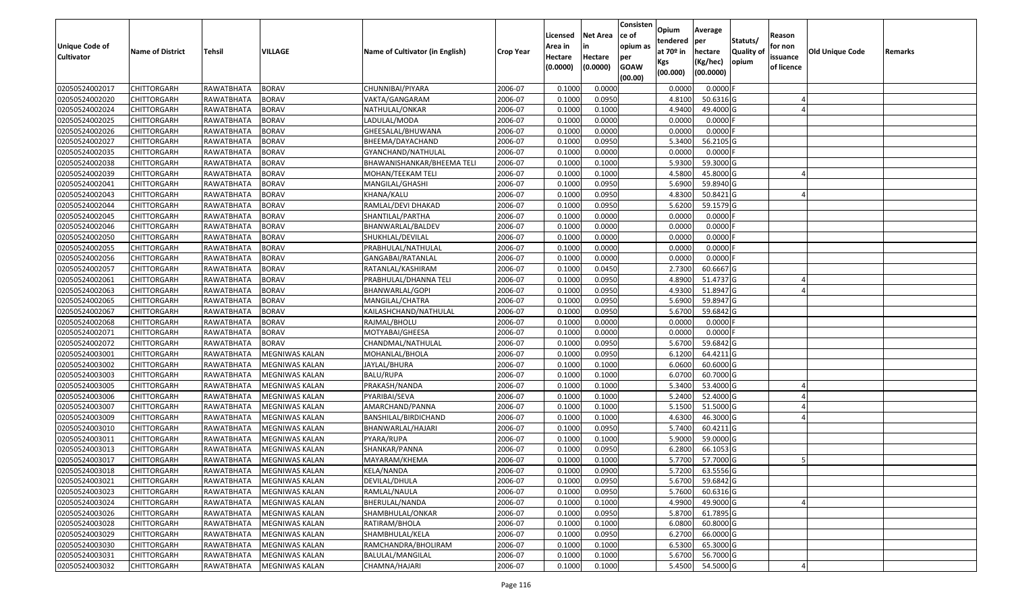| Unique Code of<br><b>Cultivator</b> | <b>Name of District</b> | <b>Tehsil</b> | <b>VILLAGE</b>        | Name of Cultivator (in English) | <b>Crop Year</b> | Licensed<br>Area in<br>Hectare<br>(0.0000) | <b>Net Area</b><br>in<br>Hectare<br>(0.0000) | Consisten<br>ce of<br>opium as<br>per<br><b>GOAW</b><br>(00.00) | Opium<br>tendered<br>at $70°$ in<br>Kgs<br>(00.000) | Average<br>per<br>hectare<br>(Kg/hec)<br>(00.0000) | Statuts/<br><b>Quality o</b><br>opium | Reason<br>for non<br>issuance<br>of licence | Old Unique Code | Remarks |
|-------------------------------------|-------------------------|---------------|-----------------------|---------------------------------|------------------|--------------------------------------------|----------------------------------------------|-----------------------------------------------------------------|-----------------------------------------------------|----------------------------------------------------|---------------------------------------|---------------------------------------------|-----------------|---------|
| 02050524002017                      | CHITTORGARH             | RAWATBHATA    | <b>BORAV</b>          | CHUNNIBAI/PIYARA                | 2006-07          | 0.1000                                     | 0.0000                                       |                                                                 | 0.0000                                              | 0.0000F                                            |                                       |                                             |                 |         |
| 02050524002020                      | CHITTORGARH             | RAWATBHATA    | <b>BORAV</b>          | VAKTA/GANGARAM                  | 2006-07          | 0.1000                                     | 0.0950                                       |                                                                 | 4.8100                                              | 50.6316 G                                          |                                       |                                             |                 |         |
| 02050524002024                      | CHITTORGARH             | RAWATBHATA    | <b>BORAV</b>          | NATHULAL/ONKAR                  | 2006-07          | 0.1000                                     | 0.1000                                       |                                                                 | 4.9400                                              | 49.4000 G                                          |                                       |                                             |                 |         |
| 02050524002025                      | <b>CHITTORGARH</b>      | RAWATBHATA    | <b>BORAV</b>          | LADULAL/MODA                    | 2006-07          | 0.1000                                     | 0.0000                                       |                                                                 | 0.0000                                              | $0.0000$ F                                         |                                       |                                             |                 |         |
| 02050524002026                      | CHITTORGARH             | RAWATBHATA    | <b>BORAV</b>          | GHEESALAL/BHUWANA               | 2006-07          | 0.1000                                     | 0.0000                                       |                                                                 | 0.0000                                              | 0.0000F                                            |                                       |                                             |                 |         |
| 02050524002027                      | CHITTORGARH             | RAWATBHATA    | <b>BORAV</b>          | BHEEMA/DAYACHAND                | 2006-07          | 0.1000                                     | 0.0950                                       |                                                                 | 5.3400                                              | 56.2105 G                                          |                                       |                                             |                 |         |
| 02050524002035                      | CHITTORGARH             | RAWATBHATA    | <b>BORAV</b>          | GYANCHAND/NATHULAL              | 2006-07          | 0.1000                                     | 0.0000                                       |                                                                 | 0.0000                                              | 0.0000                                             |                                       |                                             |                 |         |
| 02050524002038                      | CHITTORGARH             | RAWATBHATA    | <b>BORAV</b>          | BHAWANISHANKAR/BHEEMA TELI      | 2006-07          | 0.1000                                     | 0.1000                                       |                                                                 | 5.9300                                              | 59.3000G                                           |                                       |                                             |                 |         |
| 02050524002039                      | <b>CHITTORGARH</b>      | RAWATBHATA    | <b>BORAV</b>          | MOHAN/TEEKAM TELI               | 2006-07          | 0.1000                                     | 0.1000                                       |                                                                 | 4.5800                                              | 45.8000G                                           |                                       |                                             |                 |         |
| 02050524002041                      | CHITTORGARH             | RAWATBHATA    | <b>BORAV</b>          | MANGILAL/GHASHI                 | 2006-07          | 0.1000                                     | 0.0950                                       |                                                                 | 5.6900                                              | 59.8940 G                                          |                                       |                                             |                 |         |
| 02050524002043                      | CHITTORGARH             | RAWATBHATA    | <b>BORAV</b>          | KHANA/KALU                      | 2006-07          | 0.1000                                     | 0.0950                                       |                                                                 | 4.8300                                              | 50.8421 G                                          |                                       |                                             |                 |         |
| 02050524002044                      | CHITTORGARH             | RAWATBHATA    | <b>BORAV</b>          | RAMLAL/DEVI DHAKAD              | 2006-07          | 0.1000                                     | 0.0950                                       |                                                                 | 5.6200                                              | 59.1579 G                                          |                                       |                                             |                 |         |
| 02050524002045                      | <b>CHITTORGARH</b>      | RAWATBHATA    | <b>BORAV</b>          | SHANTILAL/PARTHA                | 2006-07          | 0.1000                                     | 0.0000                                       |                                                                 | 0.0000                                              | $0.0000$ F                                         |                                       |                                             |                 |         |
| 02050524002046                      | <b>CHITTORGARH</b>      | RAWATBHATA    | <b>BORAV</b>          | BHANWARLAL/BALDEV               | 2006-07          | 0.1000                                     | 0.0000                                       |                                                                 | 0.0000                                              | $0.0000$ F                                         |                                       |                                             |                 |         |
| 02050524002050                      | <b>CHITTORGARH</b>      | RAWATBHATA    | <b>BORAV</b>          | SHUKHLAL/DEVILAL                | 2006-07          | 0.1000                                     | 0.0000                                       |                                                                 | 0.0000                                              | $0.0000$ F                                         |                                       |                                             |                 |         |
| 02050524002055                      | <b>CHITTORGARH</b>      | RAWATBHATA    | <b>BORAV</b>          | PRABHULAL/NATHULAL              | 2006-07          | 0.1000                                     | 0.0000                                       |                                                                 | 0.0000                                              | 0.0000                                             |                                       |                                             |                 |         |
| 02050524002056                      | <b>CHITTORGARH</b>      | RAWATBHATA    | <b>BORAV</b>          | GANGABAI/RATANLAL               | 2006-07          | 0.1000                                     | 0.0000                                       |                                                                 | 0.0000                                              | $0.0000$ F                                         |                                       |                                             |                 |         |
| 02050524002057                      | CHITTORGARH             | RAWATBHATA    | <b>BORAV</b>          | RATANLAL/KASHIRAM               | 2006-07          | 0.1000                                     | 0.0450                                       |                                                                 | 2.7300                                              | 60.6667 G                                          |                                       |                                             |                 |         |
| 02050524002061                      | CHITTORGARH             | RAWATBHATA    | <b>BORAV</b>          | PRABHULAL/DHANNA TELI           | 2006-07          | 0.1000                                     | 0.0950                                       |                                                                 | 4.8900                                              | 51.4737 G                                          |                                       |                                             |                 |         |
| 02050524002063                      | CHITTORGARH             | RAWATBHATA    | <b>BORAV</b>          | BHANWARLAL/GOPI                 | 2006-07          | 0.1000                                     | 0.0950                                       |                                                                 | 4.9300                                              | 51.8947 G                                          |                                       |                                             |                 |         |
| 02050524002065                      | CHITTORGARH             | RAWATBHATA    | <b>BORAV</b>          | MANGILAL/CHATRA                 | 2006-07          | 0.1000                                     | 0.0950                                       |                                                                 | 5.6900                                              | 59.8947 G                                          |                                       |                                             |                 |         |
| 02050524002067                      | CHITTORGARH             | RAWATBHATA    | <b>BORAV</b>          | KAILASHCHAND/NATHULAL           | 2006-07          | 0.1000                                     | 0.0950                                       |                                                                 | 5.6700                                              | 59.6842 G                                          |                                       |                                             |                 |         |
| 02050524002068                      | CHITTORGARH             | RAWATBHATA    | <b>BORAV</b>          | RAJMAL/BHOLU                    | 2006-07          | 0.1000                                     | 0.0000                                       |                                                                 | 0.0000                                              | 0.0000F                                            |                                       |                                             |                 |         |
| 02050524002071                      | CHITTORGARH             | RAWATBHATA    | <b>BORAV</b>          | MOTYABAI/GHEESA                 | 2006-07          | 0.1000                                     | 0.0000                                       |                                                                 | 0.0000                                              | 0.0000                                             |                                       |                                             |                 |         |
| 02050524002072                      | <b>CHITTORGARH</b>      | RAWATBHATA    | <b>BORAV</b>          | CHANDMAL/NATHULAL               | 2006-07          | 0.1000                                     | 0.0950                                       |                                                                 | 5.6700                                              | 59.6842 G                                          |                                       |                                             |                 |         |
| 02050524003001                      | CHITTORGARH             | RAWATBHATA    | MEGNIWAS KALAN        | MOHANLAL/BHOLA                  | 2006-07          | 0.1000                                     | 0.0950                                       |                                                                 | 6.1200                                              | 64.4211G                                           |                                       |                                             |                 |         |
| 02050524003002                      | CHITTORGARH             | RAWATBHATA    | MEGNIWAS KALAN        | JAYLAL/BHURA                    | 2006-07          | 0.1000                                     | 0.1000                                       |                                                                 | 6.0600                                              | 60.6000 G                                          |                                       |                                             |                 |         |
| 02050524003003                      | CHITTORGARH             | RAWATBHATA    | MEGNIWAS KALAN        | <b>BALU/RUPA</b>                | 2006-07          | 0.1000                                     | 0.1000                                       |                                                                 | 6.0700                                              | 60.7000 G                                          |                                       |                                             |                 |         |
| 02050524003005                      | CHITTORGARH             | RAWATBHATA    | MEGNIWAS KALAN        | PRAKASH/NANDA                   | 2006-07          | 0.1000                                     | 0.1000                                       |                                                                 | 5.3400                                              | 53.4000 G                                          |                                       |                                             |                 |         |
| 02050524003006                      | CHITTORGARH             | RAWATBHATA    | MEGNIWAS KALAN        | PYARIBAI/SEVA                   | 2006-07          | 0.1000                                     | 0.1000                                       |                                                                 | 5.2400                                              | 52.4000 G                                          |                                       |                                             |                 |         |
| 02050524003007                      | CHITTORGARH             | RAWATBHATA    | MEGNIWAS KALAN        | AMARCHAND/PANNA                 | 2006-07          | 0.1000                                     | 0.1000                                       |                                                                 | 5.1500                                              | 51.5000G                                           |                                       |                                             |                 |         |
| 02050524003009                      | CHITTORGARH             | RAWATBHATA    | MEGNIWAS KALAN        | BANSHILAL/BIRDICHAND            | 2006-07          | 0.1000                                     | 0.1000                                       |                                                                 | 4.6300                                              | 46.3000G                                           |                                       |                                             |                 |         |
| 02050524003010                      | CHITTORGARH             | RAWATBHATA    | MEGNIWAS KALAN        | BHANWARLAL/HAJARI               | 2006-07          | 0.1000                                     | 0.0950                                       |                                                                 | 5.7400                                              | $60.4211$ G                                        |                                       |                                             |                 |         |
| 02050524003011                      | CHITTORGARH             | RAWATBHATA    | MEGNIWAS KALAN        | PYARA/RUPA                      | 2006-07          | 0.1000                                     | 0.1000                                       |                                                                 | 5.9000                                              | 59.0000G                                           |                                       |                                             |                 |         |
| 02050524003013                      | CHITTORGARH             | RAWATBHATA    | MEGNIWAS KALAN        | SHANKAR/PANNA                   | 2006-07          | 0.1000                                     | 0.0950                                       |                                                                 | 6.2800                                              | 66.1053 G                                          |                                       |                                             |                 |         |
| 02050524003017                      | CHITTORGARH             | RAWATBHATA    | MEGNIWAS KALAN        | MAYARAM/KHEMA                   | 2006-07          | 0.1000                                     | 0.1000                                       |                                                                 | 5.7700                                              | 57.7000 G                                          |                                       |                                             |                 |         |
| 02050524003018                      | CHITTORGARH             | RAWATBHATA    | <b>MEGNIWAS KALAN</b> | KELA/NANDA                      | 2006-07          | 0.1000                                     | 0.0900                                       |                                                                 | 5.7200                                              | 63.5556 G                                          |                                       |                                             |                 |         |
| 02050524003021                      | CHITTORGARH             | RAWATBHATA    | MEGNIWAS KALAN        | DEVILAL/DHULA                   | 2006-07          | 0.1000                                     | 0.0950                                       |                                                                 | 5.6700                                              | 59.6842 G                                          |                                       |                                             |                 |         |
| 02050524003023                      | <b>CHITTORGARH</b>      | RAWATBHATA    | <b>MEGNIWAS KALAN</b> | RAMLAL/NAULA                    | 2006-07          | 0.1000                                     | 0.0950                                       |                                                                 | 5.7600                                              | 60.6316 G                                          |                                       |                                             |                 |         |
| 02050524003024                      | <b>CHITTORGARH</b>      | RAWATBHATA    | <b>MEGNIWAS KALAN</b> | BHERULAL/NANDA                  | 2006-07          | 0.1000                                     | 0.1000                                       |                                                                 | 4.9900                                              | 49.9000 G                                          |                                       |                                             |                 |         |
| 02050524003026                      | <b>CHITTORGARH</b>      | RAWATBHATA    | <b>MEGNIWAS KALAN</b> | SHAMBHULAL/ONKAR                | 2006-07          | 0.1000                                     | 0.0950                                       |                                                                 | 5.8700                                              | 61.7895 G                                          |                                       |                                             |                 |         |
| 02050524003028                      | <b>CHITTORGARH</b>      | RAWATBHATA    | <b>MEGNIWAS KALAN</b> | RATIRAM/BHOLA                   | 2006-07          | 0.1000                                     | 0.1000                                       |                                                                 | 6.0800                                              | 60.8000 G                                          |                                       |                                             |                 |         |
| 02050524003029                      | <b>CHITTORGARH</b>      | RAWATBHATA    | MEGNIWAS KALAN        | SHAMBHULAL/KELA                 | 2006-07          | 0.1000                                     | 0.0950                                       |                                                                 | 6.2700                                              | 66.0000 G                                          |                                       |                                             |                 |         |
| 02050524003030                      | CHITTORGARH             | RAWATBHATA    | MEGNIWAS KALAN        | RAMCHANDRA/BHOLIRAM             | 2006-07          | 0.1000                                     | 0.1000                                       |                                                                 | 6.5300                                              | 65.3000 G                                          |                                       |                                             |                 |         |
| 02050524003031                      | CHITTORGARH             | RAWATBHATA    | MEGNIWAS KALAN        | BALULAL/MANGILAL                | 2006-07          | 0.1000                                     | 0.1000                                       |                                                                 | 5.6700                                              | 56.7000 G                                          |                                       |                                             |                 |         |
| 02050524003032                      | <b>CHITTORGARH</b>      | RAWATBHATA    | <b>MEGNIWAS KALAN</b> | CHAMNA/HAJARI                   | 2006-07          | 0.1000                                     | 0.1000                                       |                                                                 | 5.4500                                              | 54.5000 G                                          |                                       |                                             |                 |         |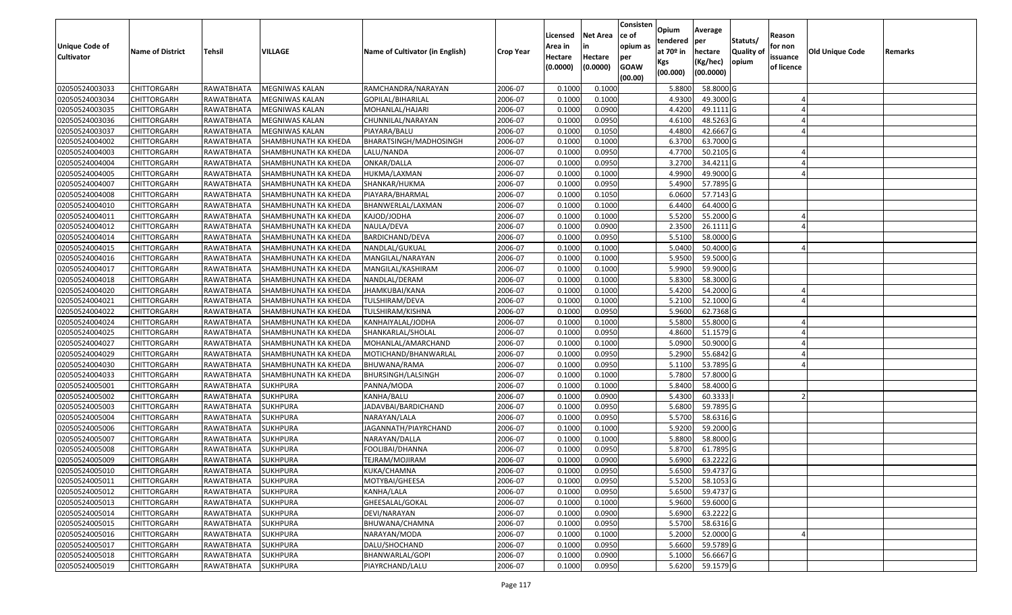| <b>Unique Code of</b><br><b>Cultivator</b> | <b>Name of District</b> | Tehsil              | VILLAGE              | Name of Cultivator (in English) | <b>Crop Year</b> | Licensed<br>Area in<br>Hectare<br>(0.0000) | <b>Net Area</b><br>in<br>Hectare<br>(0.0000) | Consisten<br>lce of<br>opium as<br>per<br><b>GOAW</b><br>(00.00) | Opium<br>tendered<br>at 70º in<br>Kgs<br>(00.000) | Average<br>per<br>hectare<br>(Kg/hec)<br>(00.0000) | Statuts/<br>Quality of<br>opium | Reason<br>for non<br>issuance<br>of licence | Old Unique Code | Remarks |
|--------------------------------------------|-------------------------|---------------------|----------------------|---------------------------------|------------------|--------------------------------------------|----------------------------------------------|------------------------------------------------------------------|---------------------------------------------------|----------------------------------------------------|---------------------------------|---------------------------------------------|-----------------|---------|
| 02050524003033                             | <b>CHITTORGARH</b>      | RAWATBHATA          | MEGNIWAS KALAN       | RAMCHANDRA/NARAYAN              | 2006-07          | 0.1000                                     | 0.1000                                       |                                                                  | 5.8800                                            | 58.8000 G                                          |                                 |                                             |                 |         |
| 02050524003034                             | <b>CHITTORGARH</b>      | RAWATBHATA          | MEGNIWAS KALAN       | GOPILAL/BIHARILAL               | 2006-07          | 0.1000                                     | 0.1000                                       |                                                                  | 4.9300                                            | 49.3000 G                                          |                                 |                                             |                 |         |
| 02050524003035                             | <b>CHITTORGARH</b>      | RAWATBHATA          | MEGNIWAS KALAN       | MOHANLAL/HAJARI                 | 2006-07          | 0.1000                                     | 0.0900                                       |                                                                  | 4.4200                                            | 49.1111 G                                          |                                 |                                             |                 |         |
| 02050524003036                             | <b>CHITTORGARH</b>      | RAWATBHATA          | MEGNIWAS KALAN       | CHUNNILAL/NARAYAN               | 2006-07          | 0.1000                                     | 0.0950                                       |                                                                  | 4.6100                                            | 48.5263 G                                          |                                 |                                             |                 |         |
| 02050524003037                             | <b>CHITTORGARH</b>      | RAWATBHATA          | MEGNIWAS KALAN       | PIAYARA/BALU                    | 2006-07          | 0.1000                                     | 0.1050                                       |                                                                  | 4.4800                                            | 42.6667 G                                          |                                 |                                             |                 |         |
| 02050524004002                             | <b>CHITTORGARH</b>      | RAWATBHATA          | SHAMBHUNATH KA KHEDA | BHARATSINGH/MADHOSINGH          | 2006-07          | 0.1000                                     | 0.1000                                       |                                                                  | 6.3700                                            | 63.7000 G                                          |                                 |                                             |                 |         |
| 02050524004003                             | CHITTORGARH             | RAWATBHATA          | SHAMBHUNATH KA KHEDA | LALU/NANDA                      | 2006-07          | 0.1000                                     | 0.0950                                       |                                                                  | 4.7700                                            | 50.2105 G                                          |                                 |                                             |                 |         |
| 02050524004004                             | <b>CHITTORGARH</b>      | RAWATBHATA          | SHAMBHUNATH KA KHEDA | ONKAR/DALLA                     | 2006-07          | 0.1000                                     | 0.0950                                       |                                                                  | 3.2700                                            | 34.4211 G                                          |                                 |                                             |                 |         |
| 02050524004005                             | <b>CHITTORGARH</b>      | RAWATBHATA          | SHAMBHUNATH KA KHEDA | HUKMA/LAXMAN                    | 2006-07          | 0.1000                                     | 0.1000                                       |                                                                  | 4.9900                                            | 49.9000 G                                          |                                 |                                             |                 |         |
| 02050524004007                             | <b>CHITTORGARH</b>      | RAWATBHATA          | SHAMBHUNATH KA KHEDA | SHANKAR/HUKMA                   | 2006-07          | 0.1000                                     | 0.0950                                       |                                                                  | 5.4900                                            | 57.7895 G                                          |                                 |                                             |                 |         |
| 02050524004008                             | <b>CHITTORGARH</b>      | RAWATBHATA          | SHAMBHUNATH KA KHEDA | PIAYARA/BHARMAL                 | 2006-07          | 0.1000                                     | 0.1050                                       |                                                                  | 6.0600                                            | 57.7143 G                                          |                                 |                                             |                 |         |
| 02050524004010                             | <b>CHITTORGARH</b>      | RAWATBHATA          | SHAMBHUNATH KA KHEDA | BHANWERLAL/LAXMAN               | 2006-07          | 0.1000                                     | 0.1000                                       |                                                                  | 6.4400                                            | 64.4000 G                                          |                                 |                                             |                 |         |
| 02050524004011                             | <b>CHITTORGARH</b>      | RAWATBHATA          | SHAMBHUNATH KA KHEDA | KAJOD/JODHA                     | 2006-07          | 0.1000                                     | 0.1000                                       |                                                                  | 5.5200                                            | 55.2000 G                                          |                                 |                                             |                 |         |
| 02050524004012                             | <b>CHITTORGARH</b>      | RAWATBHATA          | SHAMBHUNATH KA KHEDA | NAULA/DEVA                      | 2006-07          | 0.1000                                     | 0.0900                                       |                                                                  | 2.3500                                            | 26.1111G                                           |                                 |                                             |                 |         |
| 02050524004014                             | <b>CHITTORGARH</b>      | RAWATBHATA          | SHAMBHUNATH KA KHEDA | BARDICHAND/DEVA                 | 2006-07          | 0.1000                                     | 0.0950                                       |                                                                  | 5.5100                                            | 58.0000 G                                          |                                 |                                             |                 |         |
| 02050524004015                             | <b>CHITTORGARH</b>      | RAWATBHATA          | SHAMBHUNATH KA KHEDA | NANDLAL/GUKUAL                  | 2006-07          | 0.1000                                     | 0.1000                                       |                                                                  | 5.0400                                            | 50.4000 G                                          |                                 |                                             |                 |         |
| 02050524004016                             | <b>CHITTORGARH</b>      | RAWATBHATA          | SHAMBHUNATH KA KHEDA | MANGILAL/NARAYAN                | 2006-07          | 0.1000                                     | 0.1000                                       |                                                                  | 5.9500                                            | 59.5000 G                                          |                                 |                                             |                 |         |
| 02050524004017                             | <b>CHITTORGARH</b>      | RAWATBHATA          | SHAMBHUNATH KA KHEDA | MANGILAL/KASHIRAM               | 2006-07          | 0.1000                                     | 0.1000                                       |                                                                  | 5.9900                                            | 59.9000 G                                          |                                 |                                             |                 |         |
| 02050524004018                             | <b>CHITTORGARH</b>      | RAWATBHATA          | SHAMBHUNATH KA KHEDA | NANDLAL/DERAM                   | 2006-07          | 0.1000                                     | 0.1000                                       |                                                                  | 5.8300                                            | 58.3000 G                                          |                                 |                                             |                 |         |
| 02050524004020                             | <b>CHITTORGARH</b>      | RAWATBHATA          | SHAMBHUNATH KA KHEDA | JHAMKUBAI/KANA                  | 2006-07          | 0.1000                                     | 0.1000                                       |                                                                  | 5.4200                                            | 54.2000 G                                          |                                 |                                             |                 |         |
| 02050524004021                             | <b>CHITTORGARH</b>      | RAWATBHATA          | SHAMBHUNATH KA KHEDA | TULSHIRAM/DEVA                  | 2006-07          | 0.1000                                     | 0.1000                                       |                                                                  | 5.2100                                            | 52.1000 G                                          |                                 |                                             |                 |         |
| 02050524004022                             | <b>CHITTORGARH</b>      | RAWATBHATA          | SHAMBHUNATH KA KHEDA | TULSHIRAM/KISHNA                | 2006-07          | 0.1000                                     | 0.0950                                       |                                                                  | 5.9600                                            | 62.7368 G                                          |                                 |                                             |                 |         |
| 02050524004024                             | <b>CHITTORGARH</b>      | RAWATBHATA          | SHAMBHUNATH KA KHEDA | KANHAIYALAL/JODHA               | 2006-07          | 0.1000                                     | 0.1000                                       |                                                                  | 5.5800                                            | 55.8000 G                                          |                                 |                                             |                 |         |
| 02050524004025                             | <b>CHITTORGARH</b>      | RAWATBHATA          | SHAMBHUNATH KA KHEDA | SHANKARLAL/SHOLAL               | 2006-07          | 0.1000                                     | 0.0950                                       |                                                                  | 4.8600                                            | 51.1579 G                                          |                                 |                                             |                 |         |
| 02050524004027                             | <b>CHITTORGARH</b>      | RAWATBHATA          | SHAMBHUNATH KA KHEDA | MOHANLAL/AMARCHAND              | 2006-07          | 0.1000                                     | 0.1000                                       |                                                                  | 5.0900                                            | 50.9000 G                                          |                                 |                                             |                 |         |
| 02050524004029                             | <b>CHITTORGARH</b>      | RAWATBHATA          | SHAMBHUNATH KA KHEDA | MOTICHAND/BHANWARLAL            | 2006-07          | 0.1000                                     | 0.0950                                       |                                                                  | 5.2900                                            | 55.6842 G                                          |                                 |                                             |                 |         |
| 02050524004030                             | <b>CHITTORGARH</b>      | RAWATBHATA          | SHAMBHUNATH KA KHEDA | BHUWANA/RAMA                    | 2006-07          | 0.1000                                     | 0.0950                                       |                                                                  | 5.1100                                            | 53.7895 G                                          |                                 |                                             |                 |         |
| 02050524004033                             | <b>CHITTORGARH</b>      | RAWATBHATA          | SHAMBHUNATH KA KHEDA | BHURSINGH/LALSINGH              | 2006-07          | 0.1000                                     | 0.1000                                       |                                                                  | 5.7800                                            | 57.8000 G                                          |                                 |                                             |                 |         |
| 02050524005001                             | <b>CHITTORGARH</b>      | RAWATBHATA          | <b>SUKHPURA</b>      | PANNA/MODA                      | 2006-07          | 0.1000                                     | 0.1000                                       |                                                                  | 5.8400                                            | 58.4000 G                                          |                                 |                                             |                 |         |
| 02050524005002                             | <b>CHITTORGARH</b>      | RAWATBHATA          | <b>SUKHPURA</b>      | KANHA/BALU                      | 2006-07          | 0.1000                                     | 0.0900                                       |                                                                  | 5.4300                                            | 60.3333                                            |                                 |                                             |                 |         |
| 02050524005003                             | <b>CHITTORGARH</b>      | RAWATBHATA          | <b>SUKHPURA</b>      | JADAVBAI/BARDICHAND             | 2006-07          | 0.1000                                     | 0.0950                                       |                                                                  | 5.6800                                            | 59.7895 G                                          |                                 |                                             |                 |         |
| 02050524005004                             | CHITTORGARH             | RAWATBHATA          | <b>SUKHPURA</b>      | NARAYAN/LALA                    | 2006-07          | 0.1000                                     | 0.0950                                       |                                                                  | 5.5700                                            | 58.6316 G                                          |                                 |                                             |                 |         |
| 02050524005006                             | <b>CHITTORGARH</b>      | RAWATBHATA          | <b>SUKHPURA</b>      | JAGANNATH/PIAYRCHAND            | 2006-07          | 0.1000                                     | 0.1000                                       |                                                                  | 5.9200                                            | 59.2000 G                                          |                                 |                                             |                 |         |
| 02050524005007                             | <b>CHITTORGARH</b>      | RAWATBHATA          | <b>SUKHPURA</b>      | NARAYAN/DALLA                   | 2006-07          | 0.1000                                     | 0.1000                                       |                                                                  | 5.8800                                            | 58.8000 G                                          |                                 |                                             |                 |         |
| 02050524005008                             | CHITTORGARH             | RAWATBHATA          | <b>SUKHPURA</b>      | FOOLIBAI/DHANNA                 | 2006-07          | 0.1000                                     | 0.0950                                       |                                                                  | 5.8700                                            | 61.7895 G                                          |                                 |                                             |                 |         |
| 02050524005009                             | <b>CHITTORGARH</b>      | RAWATBHATA          | <b>SUKHPURA</b>      | TEJRAM/MOJIRAM                  | 2006-07          | 0.1000                                     | 0.0900                                       |                                                                  | 5.6900                                            | 63.2222 G                                          |                                 |                                             |                 |         |
| 02050524005010                             | <b>CHITTORGARH</b>      | RAWATBHATA SUKHPURA |                      | KUKA/CHAMNA                     | 2006-07          | 0.1000                                     | 0.0950                                       |                                                                  |                                                   | 5.6500 59.4737 G                                   |                                 |                                             |                 |         |
| 02050524005011                             | <b>CHITTORGARH</b>      | RAWATBHATA          | <b>SUKHPURA</b>      | MOTYBAI/GHEESA                  | 2006-07          | 0.1000                                     | 0.0950                                       |                                                                  | 5.5200                                            | 58.1053 G                                          |                                 |                                             |                 |         |
| 02050524005012                             | CHITTORGARH             | RAWATBHATA          | <b>SUKHPURA</b>      | KANHA/LALA                      | 2006-07          | 0.1000                                     | 0.0950                                       |                                                                  | 5.6500                                            | 59.4737 G                                          |                                 |                                             |                 |         |
| 02050524005013                             | <b>CHITTORGARH</b>      | RAWATBHATA          | <b>SUKHPURA</b>      | GHEESALAL/GOKAL                 | 2006-07          | 0.1000                                     | 0.1000                                       |                                                                  | 5.9600                                            | 59.6000 G                                          |                                 |                                             |                 |         |
| 02050524005014                             | <b>CHITTORGARH</b>      | RAWATBHATA          | <b>SUKHPURA</b>      | DEVI/NARAYAN                    | 2006-07          | 0.1000                                     | 0.0900                                       |                                                                  | 5.6900                                            | 63.2222G                                           |                                 |                                             |                 |         |
| 02050524005015                             | <b>CHITTORGARH</b>      | RAWATBHATA          | <b>SUKHPURA</b>      | BHUWANA/CHAMNA                  | 2006-07          | 0.1000                                     | 0.0950                                       |                                                                  | 5.5700                                            | 58.6316 G                                          |                                 |                                             |                 |         |
| 02050524005016                             | <b>CHITTORGARH</b>      | RAWATBHATA          | SUKHPURA             | NARAYAN/MODA                    | 2006-07          | 0.1000                                     | 0.1000                                       |                                                                  | 5.2000                                            | 52.0000G                                           |                                 |                                             |                 |         |
| 02050524005017                             | <b>CHITTORGARH</b>      | RAWATBHATA          | <b>SUKHPURA</b>      | DALU/SHOCHAND                   | 2006-07          | 0.1000                                     | 0.0950                                       |                                                                  | 5.6600                                            | 59.5789 G                                          |                                 |                                             |                 |         |
| 02050524005018                             | <b>CHITTORGARH</b>      | RAWATBHATA          | SUKHPURA             | BHANWARLAL/GOPI                 | 2006-07          | 0.1000                                     | 0.0900                                       |                                                                  | 5.1000                                            | 56.6667 G                                          |                                 |                                             |                 |         |
| 02050524005019                             | <b>CHITTORGARH</b>      | RAWATBHATA          | <b>SUKHPURA</b>      | PIAYRCHAND/LALU                 | 2006-07          | 0.1000                                     | 0.0950                                       |                                                                  | 5.6200                                            | 59.1579 G                                          |                                 |                                             |                 |         |
|                                            |                         |                     |                      |                                 |                  |                                            |                                              |                                                                  |                                                   |                                                    |                                 |                                             |                 |         |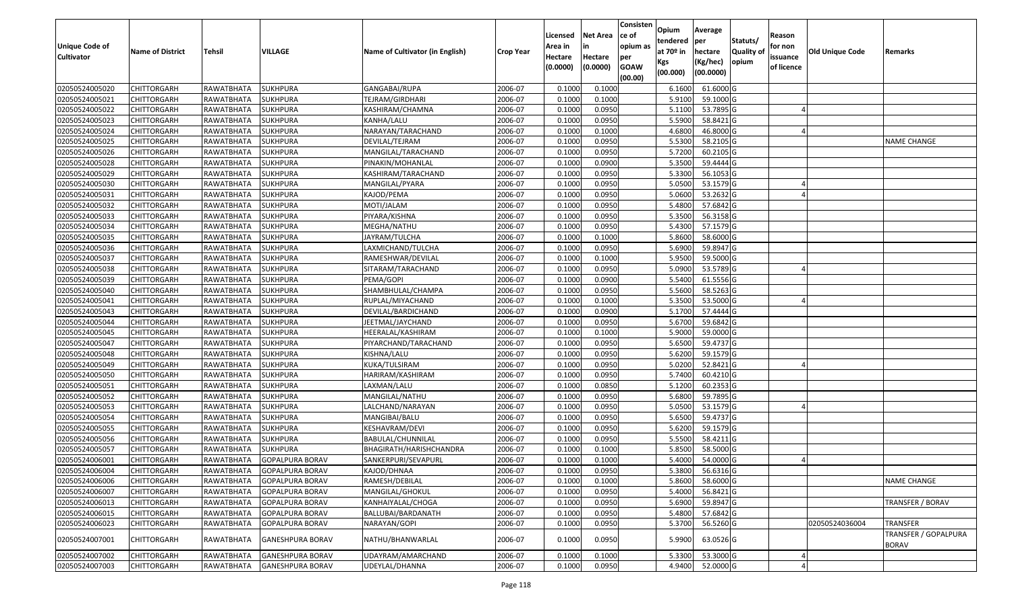| <b>Unique Code of</b><br><b>Cultivator</b> | <b>Name of District</b> | <b>Tehsil</b> | <b>VILLAGE</b>          | Name of Cultivator (in English) | <b>Crop Year</b> | Licensed<br>Area in<br>Hectare<br>(0.0000) | <b>Net Area</b><br>Hectare<br>(0.0000) | Consisten<br>ce of<br>opium as<br>per<br><b>GOAW</b><br>(00.00) | Opium<br>tendered<br>at $70°$ in<br>Kgs<br>(00.000) | Average<br>per<br>hectare<br>(Kg/hec)<br>(00.0000) | Statuts/<br>Quality of<br>opium | Reason<br>for non<br>issuance<br>of licence | <b>Old Unique Code</b> | Remarks                              |
|--------------------------------------------|-------------------------|---------------|-------------------------|---------------------------------|------------------|--------------------------------------------|----------------------------------------|-----------------------------------------------------------------|-----------------------------------------------------|----------------------------------------------------|---------------------------------|---------------------------------------------|------------------------|--------------------------------------|
| 02050524005020                             | <b>CHITTORGARH</b>      | RAWATBHATA    | <b>SUKHPURA</b>         | GANGABAI/RUPA                   | 2006-07          | 0.1000                                     | 0.1000                                 |                                                                 | 6.1600                                              | 61.6000 G                                          |                                 |                                             |                        |                                      |
| 02050524005021                             | CHITTORGARH             | RAWATBHATA    | <b>SUKHPURA</b>         | TEJRAM/GIRDHARI                 | 2006-07          | 0.1000                                     | 0.1000                                 |                                                                 | 5.9100                                              | 59.1000 G                                          |                                 |                                             |                        |                                      |
| 02050524005022                             | <b>CHITTORGARH</b>      | RAWATBHATA    | <b>SUKHPURA</b>         | KASHIRAM/CHAMNA                 | 2006-07          | 0.1000                                     | 0.0950                                 |                                                                 | 5.1100                                              | 53.7895 G                                          |                                 |                                             |                        |                                      |
| 02050524005023                             | <b>CHITTORGARH</b>      | RAWATBHATA    | <b>SUKHPURA</b>         | KANHA/LALU                      | 2006-07          | 0.1000                                     | 0.0950                                 |                                                                 | 5.5900                                              | 58.8421 G                                          |                                 |                                             |                        |                                      |
| 02050524005024                             | <b>CHITTORGARH</b>      | RAWATBHATA    | <b>SUKHPURA</b>         | NARAYAN/TARACHAND               | 2006-07          | 0.1000                                     | 0.1000                                 |                                                                 | 4.6800                                              | 46.8000 G                                          |                                 |                                             |                        |                                      |
| 02050524005025                             | <b>CHITTORGARH</b>      | RAWATBHATA    | <b>SUKHPURA</b>         | DEVILAL/TEJRAM                  | 2006-07          | 0.1000                                     | 0.0950                                 |                                                                 | 5.5300                                              | 58.2105 G                                          |                                 |                                             |                        | <b>NAME CHANGE</b>                   |
| 02050524005026                             | CHITTORGARH             | RAWATBHATA    | <b>SUKHPURA</b>         | MANGILAL/TARACHAND              | 2006-07          | 0.1000                                     | 0.0950                                 |                                                                 | 5.7200                                              | 60.2105 G                                          |                                 |                                             |                        |                                      |
| 02050524005028                             | <b>CHITTORGARH</b>      | RAWATBHATA    | <b>SUKHPURA</b>         | PINAKIN/MOHANLAL                | 2006-07          | 0.1000                                     | 0.0900                                 |                                                                 | 5.3500                                              | 59.4444 G                                          |                                 |                                             |                        |                                      |
| 02050524005029                             | CHITTORGARH             | RAWATBHATA    | <b>SUKHPURA</b>         | KASHIRAM/TARACHAND              | 2006-07          | 0.100                                      | 0.0950                                 |                                                                 | 5.3300                                              | 56.1053 G                                          |                                 |                                             |                        |                                      |
| 02050524005030                             | CHITTORGARH             | RAWATBHATA    | <b>SUKHPURA</b>         | MANGILAL/PYARA                  | 2006-07          | 0.1000                                     | 0.0950                                 |                                                                 | 5.0500                                              | 53.1579 G                                          |                                 |                                             |                        |                                      |
| 02050524005031                             | <b>CHITTORGARH</b>      | RAWATBHATA    | <b>SUKHPURA</b>         | KAJOD/PEMA                      | 2006-07          | 0.1000                                     | 0.0950                                 |                                                                 | 5.0600                                              | 53.2632 G                                          |                                 |                                             |                        |                                      |
| 02050524005032                             | <b>CHITTORGARH</b>      | RAWATBHATA    | <b>SUKHPURA</b>         | MOTI/JALAM                      | 2006-07          | 0.1000                                     | 0.0950                                 |                                                                 | 5.4800                                              | 57.6842 G                                          |                                 |                                             |                        |                                      |
| 02050524005033                             | <b>CHITTORGARH</b>      | RAWATBHATA    | <b>SUKHPURA</b>         | PIYARA/KISHNA                   | 2006-07          | 0.1000                                     | 0.0950                                 |                                                                 | 5.3500                                              | 56.3158 G                                          |                                 |                                             |                        |                                      |
| 02050524005034                             | <b>CHITTORGARH</b>      | RAWATBHATA    | <b>SUKHPURA</b>         | MEGHA/NATHU                     | 2006-07          | 0.1000                                     | 0.0950                                 |                                                                 | 5.4300                                              | 57.1579 G                                          |                                 |                                             |                        |                                      |
| 02050524005035                             | <b>CHITTORGARH</b>      | RAWATBHATA    | <b>SUKHPURA</b>         | JAYRAM/TULCHA                   | 2006-07          | 0.1000                                     | 0.1000                                 |                                                                 | 5.8600                                              | 58.6000 G                                          |                                 |                                             |                        |                                      |
| 02050524005036                             | <b>CHITTORGARH</b>      | RAWATBHATA    | <b>SUKHPURA</b>         | LAXMICHAND/TULCHA               | 2006-07          | 0.1000                                     | 0.0950                                 |                                                                 | 5.6900                                              | 59.8947 G                                          |                                 |                                             |                        |                                      |
| 02050524005037                             | <b>CHITTORGARH</b>      | RAWATBHATA    | <b>SUKHPURA</b>         | RAMESHWAR/DEVILAL               | 2006-07          | 0.1000                                     | 0.1000                                 |                                                                 | 5.9500                                              | 59.5000 G                                          |                                 |                                             |                        |                                      |
| 02050524005038                             | <b>CHITTORGARH</b>      | RAWATBHATA    | <b>SUKHPURA</b>         | SITARAM/TARACHAND               | 2006-07          | 0.1000                                     | 0.0950                                 |                                                                 | 5.0900                                              | 53.5789 G                                          |                                 |                                             |                        |                                      |
| 02050524005039                             | CHITTORGARH             | RAWATBHATA    | <b>SUKHPURA</b>         | PEMA/GOPI                       | 2006-07          | 0.1000                                     | 0.0900                                 |                                                                 | 5.5400                                              | 61.5556 G                                          |                                 |                                             |                        |                                      |
| 02050524005040                             | <b>CHITTORGARH</b>      | RAWATBHATA    | <b>SUKHPURA</b>         | SHAMBHULAL/CHAMPA               | 2006-07          | 0.1000                                     | 0.0950                                 |                                                                 | 5.5600                                              | 58.5263 G                                          |                                 |                                             |                        |                                      |
| 02050524005041                             | <b>CHITTORGARH</b>      | RAWATBHATA    | <b>SUKHPURA</b>         | RUPLAL/MIYACHAND                | 2006-07          | 0.1000                                     | 0.1000                                 |                                                                 | 5.3500                                              | 53.5000 G                                          |                                 |                                             |                        |                                      |
| 02050524005043                             | <b>CHITTORGARH</b>      | RAWATBHATA    | <b>SUKHPURA</b>         | DEVILAL/BARDICHAND              | 2006-07          | 0.1000                                     | 0.0900                                 |                                                                 | 5.1700                                              | 57.4444 G                                          |                                 |                                             |                        |                                      |
| 02050524005044                             | CHITTORGARH             | RAWATBHATA    | <b>SUKHPURA</b>         | JEETMAL/JAYCHAND                | 2006-07          | 0.1000                                     | 0.0950                                 |                                                                 | 5.6700                                              | 59.6842 G                                          |                                 |                                             |                        |                                      |
| 02050524005045                             | <b>CHITTORGARH</b>      | RAWATBHATA    | <b>SUKHPURA</b>         | HEERALAL/KASHIRAM               | 2006-07          | 0.1000                                     | 0.1000                                 |                                                                 | 5.9000                                              | 59.0000 G                                          |                                 |                                             |                        |                                      |
| 02050524005047                             | <b>CHITTORGARH</b>      | RAWATBHATA    | <b>SUKHPURA</b>         | PIYARCHAND/TARACHAND            | 2006-07          | 0.1000                                     | 0.0950                                 |                                                                 | 5.6500                                              | 59.4737 G                                          |                                 |                                             |                        |                                      |
| 02050524005048                             | <b>CHITTORGARH</b>      | RAWATBHATA    | <b>SUKHPURA</b>         | KISHNA/LALU                     | 2006-07          | 0.1000                                     | 0.0950                                 |                                                                 | 5.6200                                              | 59.1579 G                                          |                                 |                                             |                        |                                      |
| 02050524005049                             | CHITTORGARH             | RAWATBHATA    | <b>SUKHPURA</b>         | KUKA/TULSIRAM                   | 2006-07          | 0.1000                                     | 0.0950                                 |                                                                 | 5.0200                                              | 52.8421 G                                          |                                 |                                             |                        |                                      |
| 02050524005050                             | <b>CHITTORGARH</b>      | RAWATBHATA    | <b>SUKHPURA</b>         | HARIRAM/KASHIRAM                | 2006-07          | 0.1000                                     | 0.0950                                 |                                                                 | 5.7400                                              | 60.4210 G                                          |                                 |                                             |                        |                                      |
| 02050524005051                             | <b>CHITTORGARH</b>      | RAWATBHATA    | <b>SUKHPURA</b>         | LAXMAN/LALU                     | 2006-07          | 0.1000                                     | 0.0850                                 |                                                                 | 5.1200                                              | 60.2353 G                                          |                                 |                                             |                        |                                      |
| 02050524005052                             | <b>CHITTORGARH</b>      | RAWATBHATA    | <b>SUKHPURA</b>         | MANGILAL/NATHU                  | 2006-07          | 0.1000                                     | 0.0950                                 |                                                                 | 5.6800                                              | 59.7895 G                                          |                                 |                                             |                        |                                      |
| 02050524005053                             | CHITTORGARH             | RAWATBHATA    | <b>SUKHPURA</b>         | LALCHAND/NARAYAN                | 2006-07          | 0.1000                                     | 0.0950                                 |                                                                 | 5.0500                                              | 53.1579 G                                          |                                 |                                             |                        |                                      |
| 02050524005054                             | CHITTORGARH             | RAWATBHATA    | <b>SUKHPURA</b>         | MANGIBAI/BALU                   | 2006-07          | 0.1000                                     | 0.0950                                 |                                                                 | 5.6500                                              | 59.4737 G                                          |                                 |                                             |                        |                                      |
| 02050524005055                             | <b>CHITTORGARH</b>      | RAWATBHATA    | <b>SUKHPURA</b>         | KESHAVRAM/DEVI                  | 2006-07          | 0.1000                                     | 0.0950                                 |                                                                 | 5.6200                                              | 59.1579 G                                          |                                 |                                             |                        |                                      |
| 02050524005056                             | <b>CHITTORGARH</b>      | RAWATBHATA    | <b>SUKHPURA</b>         | BABULAL/CHUNNILAL               | 2006-07          | 0.1000                                     | 0.0950                                 |                                                                 | 5.5500                                              | 58.4211 G                                          |                                 |                                             |                        |                                      |
| 02050524005057                             | <b>CHITTORGARH</b>      | RAWATBHATA    | <b>SUKHPURA</b>         | BHAGIRATH/HARISHCHANDRA         | 2006-07          | 0.1000                                     | 0.1000                                 |                                                                 | 5.8500                                              | 58.5000 G                                          |                                 |                                             |                        |                                      |
| 02050524006001                             | <b>CHITTORGARH</b>      | RAWATBHATA    | <b>GOPALPURA BORAV</b>  | SANKERPURI/SEVAPURL             | 2006-07          | 0.1000                                     | 0.1000                                 |                                                                 | 5.4000                                              | 54.0000 G                                          |                                 |                                             |                        |                                      |
| 02050524006004                             | <b>CHITTORGARH</b>      | RAWATBHATA    | GOPALPURA BORAV         | KAJOD/DHNAA                     | 2006-07          | 0.1000                                     | 0.0950                                 |                                                                 | 5.3800                                              | $56.6316$ G                                        |                                 |                                             |                        |                                      |
| 02050524006006                             | <b>CHITTORGARH</b>      | RAWATBHATA    | <b>GOPALPURA BORAV</b>  | RAMESH/DEBILAL                  | 2006-07          | 0.1000                                     | 0.1000                                 |                                                                 | 5.8600                                              | 58.6000 G                                          |                                 |                                             |                        | <b>NAME CHANGE</b>                   |
| 02050524006007                             | CHITTORGARH             | RAWATBHATA    | <b>GOPALPURA BORAV</b>  | MANGILAL/GHOKUL                 | 2006-07          | 0.1000                                     | 0.0950                                 |                                                                 | 5.4000                                              | 56.8421 G                                          |                                 |                                             |                        |                                      |
| 02050524006013                             | <b>CHITTORGARH</b>      | RAWATBHATA    | <b>GOPALPURA BORAV</b>  | KANHAIYALAL/CHOGA               | 2006-07          | 0.1000                                     | 0.0950                                 |                                                                 | 5.6900                                              | 59.8947 G                                          |                                 |                                             |                        | <b>TRANSFER / BORAV</b>              |
| 02050524006015                             | CHITTORGARH             | RAWATBHATA    | <b>GOPALPURA BORAV</b>  | BALLUBAI/BARDANATH              | 2006-07          | 0.1000                                     | 0.0950                                 |                                                                 | 5.4800                                              | 57.6842 G                                          |                                 |                                             |                        |                                      |
| 02050524006023                             | <b>CHITTORGARH</b>      | RAWATBHATA    | <b>GOPALPURA BORAV</b>  | NARAYAN/GOPI                    | 2006-07          | 0.1000                                     | 0.0950                                 |                                                                 | 5.3700                                              | 56.5260 G                                          |                                 |                                             | 02050524036004         | TRANSFER                             |
| 02050524007001                             | <b>CHITTORGARH</b>      | RAWATBHATA    | <b>GANESHPURA BORAV</b> | NATHU/BHANWARLAL                | 2006-07          | 0.1000                                     | 0.0950                                 |                                                                 | 5.9900                                              | 63.0526 G                                          |                                 |                                             |                        | TRANSFER / GOPALPURA<br><b>BORAV</b> |
| 02050524007002                             | <b>CHITTORGARH</b>      | RAWATBHATA    | <b>GANESHPURA BORAV</b> | UDAYRAM/AMARCHAND               | 2006-07          | 0.1000                                     | 0.1000                                 |                                                                 | 5.3300                                              | 53.3000 G                                          |                                 |                                             |                        |                                      |
| 02050524007003                             | <b>CHITTORGARH</b>      | RAWATBHATA    | <b>GANESHPURA BORAV</b> | UDEYLAL/DHANNA                  | 2006-07          | 0.1000                                     | 0.0950                                 |                                                                 | 4.9400                                              | 52.0000 G                                          |                                 |                                             |                        |                                      |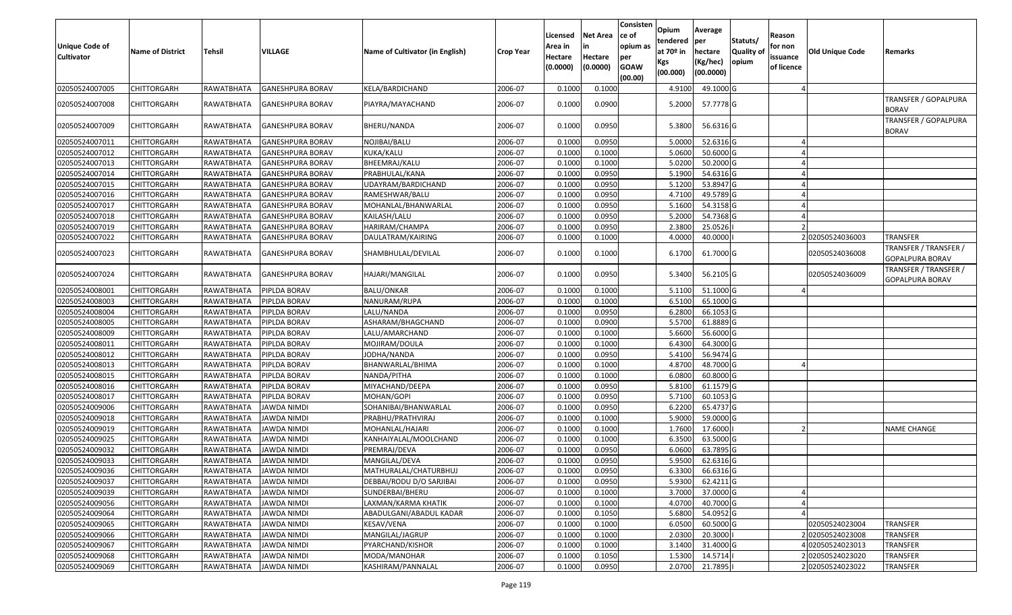| <b>Unique Code of</b><br><b>Cultivator</b> | <b>Name of District</b> | Tehsil                 | VILLAGE                 | Name of Cultivator (in English) | <b>Crop Year</b> | Licensed<br>Area in<br>Hectare<br>(0.0000) | <b>Net Area</b><br>in<br>Hectare<br>(0.0000) | Consisten<br>ce of<br>opium as<br>per<br><b>GOAW</b><br>(00.00) | Opium<br>tendered<br>at $70°$ in<br>Kgs<br>(00.000) | Average<br> per<br>hectare<br>(Kg/hec)<br>(00.0000) | Statuts/<br>Quality of<br>opium | Reason<br>for non<br>issuance<br>of licence | Old Unique Code | Remarks                                  |
|--------------------------------------------|-------------------------|------------------------|-------------------------|---------------------------------|------------------|--------------------------------------------|----------------------------------------------|-----------------------------------------------------------------|-----------------------------------------------------|-----------------------------------------------------|---------------------------------|---------------------------------------------|-----------------|------------------------------------------|
| 02050524007005                             | <b>CHITTORGARH</b>      | RAWATBHATA             | <b>GANESHPURA BORAV</b> | KELA/BARDICHAND                 | 2006-07          | 0.1000                                     | 0.1000                                       |                                                                 | 4.9100                                              | 49.1000 G                                           |                                 |                                             |                 |                                          |
| 02050524007008                             | CHITTORGARH             | RAWATBHATA             | GANESHPURA BORAV        | PIAYRA/MAYACHAND                | 2006-07          | 0.1000                                     | 0.0900                                       |                                                                 | 5.2000                                              | 57.7778 G                                           |                                 |                                             |                 | TRANSFER / GOPALPURA<br><b>BORAV</b>     |
| 02050524007009                             | <b>CHITTORGARH</b>      | RAWATBHATA             | GANESHPURA BORAV        | BHERU/NANDA                     | 2006-07          | 0.1000                                     | 0.0950                                       |                                                                 | 5.3800                                              | 56.6316 G                                           |                                 |                                             |                 | TRANSFER / GOPALPURA<br><b>BORAV</b>     |
| 02050524007011                             | CHITTORGARH             | RAWATBHATA             | <b>GANESHPURA BORAV</b> | NOJIBAI/BALU                    | 2006-07          | 0.1000                                     | 0.0950                                       |                                                                 | 5.0000                                              | 52.6316 G                                           |                                 |                                             |                 |                                          |
| 02050524007012                             | <b>CHITTORGARH</b>      | RAWATBHATA             | <b>GANESHPURA BORAV</b> | KUKA/KALU                       | 2006-07          | 0.1000                                     | 0.1000                                       |                                                                 | 5.0600                                              | 50.6000 G                                           |                                 |                                             |                 |                                          |
| 02050524007013                             | <b>CHITTORGARH</b>      | RAWATBHATA             | <b>GANESHPURA BORAV</b> | BHEEMRAJ/KALU                   | 2006-07          | 0.1000                                     | 0.1000                                       |                                                                 | 5.0200                                              | 50.2000 G                                           |                                 |                                             |                 |                                          |
| 02050524007014                             | <b>CHITTORGARH</b>      | RAWATBHATA             | <b>GANESHPURA BORAV</b> | PRABHULAL/KANA                  | 2006-07          | 0.1000                                     | 0.0950                                       |                                                                 | 5.1900                                              | 54.6316 G                                           |                                 |                                             |                 |                                          |
| 02050524007015                             | <b>CHITTORGARH</b>      | RAWATBHATA             | <b>GANESHPURA BORAV</b> | UDAYRAM/BARDICHAND              | 2006-07          | 0.1000                                     | 0.0950                                       |                                                                 | 5.1200                                              | 53.8947 G                                           |                                 |                                             |                 |                                          |
| 02050524007016                             | <b>CHITTORGARH</b>      | RAWATBHATA             | <b>GANESHPURA BORAV</b> | RAMESHWAR/BALU                  | 2006-07          | 0.1000                                     | 0.0950                                       |                                                                 | 4.7100                                              | 49.5789 G                                           |                                 |                                             |                 |                                          |
| 02050524007017                             | <b>CHITTORGARH</b>      | RAWATBHATA             | <b>GANESHPURA BORAV</b> | MOHANLAL/BHANWARLAL             | 2006-07          | 0.1000                                     | 0.0950                                       |                                                                 | 5.1600                                              | 54.3158 G                                           |                                 |                                             |                 |                                          |
| 02050524007018                             | <b>CHITTORGARH</b>      | RAWATBHATA             | <b>GANESHPURA BORAV</b> | KAILASH/LALU                    | 2006-07          | 0.1000                                     | 0.0950                                       |                                                                 | 5.2000                                              | 54.7368 G                                           |                                 |                                             |                 |                                          |
| 02050524007019                             | <b>CHITTORGARH</b>      | RAWATBHATA             | <b>GANESHPURA BORAV</b> | HARIRAM/CHAMPA                  | 2006-07          | 0.1000                                     | 0.0950                                       |                                                                 | 2.3800                                              | 25.0526                                             |                                 |                                             |                 |                                          |
| 02050524007022                             | CHITTORGARH             | RAWATBHATA             | GANESHPURA BORAV        | DAULATRAM/KAIRING               | 2006-07          | 0.1000                                     | 0.1000                                       |                                                                 | 4.0000                                              | 40.0000                                             |                                 |                                             | 202050524036003 | TRANSFER                                 |
| 02050524007023                             | <b>CHITTORGARH</b>      | RAWATBHATA             | <b>GANESHPURA BORAV</b> | SHAMBHULAL/DEVILAL              | 2006-07          | 0.1000                                     | 0.1000                                       |                                                                 | 6.1700                                              | 61.7000 G                                           |                                 |                                             | 02050524036008  | TRANSFER / TRANSFER /<br>GOPALPURA BORAV |
| 02050524007024                             | CHITTORGARH             | RAWATBHATA             | GANESHPURA BORAV        | HAJARI/MANGILAL                 | 2006-07          | 0.1000                                     | 0.0950                                       |                                                                 | 5.3400                                              | 56.2105 G                                           |                                 |                                             | 02050524036009  | TRANSFER / TRANSFER /<br>GOPALPURA BORAV |
| 02050524008001                             | <b>CHITTORGARH</b>      | RAWATBHATA             | PIPLDA BORAV            | <b>BALU/ONKAR</b>               | 2006-07          | 0.1000                                     | 0.1000                                       |                                                                 | 5.1100                                              | 51.1000 G                                           |                                 |                                             |                 |                                          |
| 02050524008003                             | <b>CHITTORGARH</b>      | RAWATBHATA             | PIPLDA BORAV            | NANURAM/RUPA                    | 2006-07          | 0.1000                                     | 0.1000                                       |                                                                 | 6.5100                                              | 65.1000 G                                           |                                 |                                             |                 |                                          |
| 02050524008004                             | <b>CHITTORGARH</b>      | RAWATBHATA             | PIPLDA BORAV            | LALU/NANDA                      | 2006-07          | 0.1000                                     | 0.0950                                       |                                                                 | 6.2800                                              | 66.1053 G                                           |                                 |                                             |                 |                                          |
| 02050524008005                             | <b>CHITTORGARH</b>      | RAWATBHATA             | PIPLDA BORAV            | ASHARAM/BHAGCHAND               | 2006-07          | 0.1000                                     | 0.0900                                       |                                                                 | 5.5700                                              | 61.8889 G                                           |                                 |                                             |                 |                                          |
| 02050524008009                             | <b>CHITTORGARH</b>      | RAWATBHATA             | PIPLDA BORAV            | LALU/AMARCHAND                  | 2006-07          | 0.1000                                     | 0.1000                                       |                                                                 | 5.6600                                              | 56.6000 G                                           |                                 |                                             |                 |                                          |
| 02050524008011                             | <b>CHITTORGARH</b>      | RAWATBHATA             | PIPLDA BORAV            | MOJIRAM/DOULA                   | 2006-07          | 0.1000                                     | 0.1000                                       |                                                                 | 6.4300                                              | 64.3000 G                                           |                                 |                                             |                 |                                          |
| 02050524008012                             | <b>CHITTORGARH</b>      | RAWATBHATA             | PIPLDA BORAV            | IODHA/NANDA                     | 2006-07          | 0.1000                                     | 0.0950                                       |                                                                 | 5.4100                                              | 56.9474 G                                           |                                 |                                             |                 |                                          |
| 02050524008013                             | <b>CHITTORGARH</b>      | RAWATBHATA             | PIPLDA BORAV            | BHANWARLAL/BHIMA                | 2006-07          | 0.1000                                     | 0.1000                                       |                                                                 | 4.8700                                              | 48.7000 G                                           |                                 |                                             |                 |                                          |
| 02050524008015                             | <b>CHITTORGARH</b>      | RAWATBHATA             | PIPLDA BORAV            | NANDA/PITHA                     | 2006-07          | 0.1000                                     | 0.1000                                       |                                                                 | 6.0800                                              | 60.8000 G                                           |                                 |                                             |                 |                                          |
| 02050524008016                             | <b>CHITTORGARH</b>      | RAWATBHATA             | PIPLDA BORAV            | MIYACHAND/DEEPA                 | 2006-07          | 0.1000                                     | 0.0950                                       |                                                                 | 5.8100                                              | 61.1579 G                                           |                                 |                                             |                 |                                          |
| 02050524008017                             | <b>CHITTORGARH</b>      | RAWATBHATA             | PIPLDA BORAV            | MOHAN/GOPI                      | 2006-07          | 0.1000                                     | 0.0950                                       |                                                                 | 5.7100                                              | 60.1053 G                                           |                                 |                                             |                 |                                          |
| 02050524009006                             | <b>CHITTORGARH</b>      | RAWATBHATA             | JAWDA NIMDI             | SOHANIBAI/BHANWARLAL            | 2006-07          | 0.1000                                     | 0.0950                                       |                                                                 | 6.2200                                              | 65.4737 G                                           |                                 |                                             |                 |                                          |
| 02050524009018                             | <b>CHITTORGARH</b>      | RAWATBHATA             | <b>JAWDA NIMDI</b>      | PRABHU/PRATHVIRAJ               | 2006-07          | 0.1000                                     | 0.1000                                       |                                                                 | 5.9000                                              | 59.0000 G                                           |                                 |                                             |                 |                                          |
| 02050524009019                             | <b>CHITTORGARH</b>      | RAWATBHATA             | JAWDA NIMDI             | MOHANLAL/HAJARI                 | 2006-07          | 0.1000                                     | 0.1000                                       |                                                                 | 1.7600                                              | 17.6000                                             |                                 |                                             |                 | <b>NAME CHANGE</b>                       |
| 02050524009025                             | <b>CHITTORGARH</b>      | RAWATBHATA             | <b>JAWDA NIMDI</b>      | KANHAIYALAL/MOOLCHAND           | 2006-07          | 0.1000                                     | 0.1000                                       |                                                                 | 6.3500                                              | 63.5000 G                                           |                                 |                                             |                 |                                          |
| 02050524009032                             | CHITTORGARH             | RAWATBHATA             | JAWDA NIMDI             | PREMRAJ/DEVA                    | 2006-07          | 0.1000                                     | 0.0950                                       |                                                                 | 6.0600                                              | 63.7895 G                                           |                                 |                                             |                 |                                          |
| 02050524009033                             | <b>CHITTORGARH</b>      | RAWATBHATA             | <b>JAWDA NIMDI</b>      | MANGILAL/DEVA                   | 2006-07          | 0.1000                                     | 0.0950                                       |                                                                 | 5.9500                                              | 62.6316 G                                           |                                 |                                             |                 |                                          |
| 02050524009036                             | <b>CHITTORGARH</b>      | RAWATBHATA JAWDA NIMDI |                         | MATHURALAL/CHATURBHUJ           | 2006-07          | 0.1000                                     | 0.0950                                       |                                                                 | 6.3300                                              | 66.6316 G                                           |                                 |                                             |                 |                                          |
| 02050524009037                             | <b>CHITTORGARH</b>      | RAWATBHATA             | <b>JAWDA NIMDI</b>      | DEBBAI/RODU D/O SARJIBAI        | 2006-07          | 0.1000                                     | 0.0950                                       |                                                                 | 5.9300                                              | 62.4211G                                            |                                 |                                             |                 |                                          |
| 02050524009039                             | <b>CHITTORGARH</b>      | RAWATBHATA             | <b>JAWDA NIMDI</b>      | SUNDERBAI/BHERU                 | 2006-07          | 0.1000                                     | 0.1000                                       |                                                                 | 3.7000                                              | 37.0000 G                                           |                                 |                                             |                 |                                          |
| 02050524009056                             | <b>CHITTORGARH</b>      | RAWATBHATA             | <b>JAWDA NIMDI</b>      | LAXMAN/KARMA KHATIK             | 2006-07          | 0.1000                                     | 0.1000                                       |                                                                 | 4.0700                                              | 40.7000 G                                           |                                 |                                             |                 |                                          |
| 02050524009064                             | <b>CHITTORGARH</b>      | RAWATBHATA             | <b>JAWDA NIMDI</b>      | ABADULGANI/ABADUL KADAR         | 2006-07          | 0.1000                                     | 0.1050                                       |                                                                 | 5.6800                                              | 54.0952 G                                           |                                 |                                             |                 |                                          |
| 02050524009065                             | <b>CHITTORGARH</b>      | RAWATBHATA             | <b>JAWDA NIMDI</b>      | <b>KESAV/VENA</b>               | 2006-07          | 0.1000                                     | 0.1000                                       |                                                                 | 6.0500                                              | 60.5000 G                                           |                                 |                                             | 02050524023004  | <b>TRANSFER</b>                          |
| 02050524009066                             | <b>CHITTORGARH</b>      | RAWATBHATA             | JAWDA NIMDI             | MANGILAL/JAGRUP                 | 2006-07          | 0.1000                                     | 0.1000                                       |                                                                 | 2.0300                                              | 20.3000                                             |                                 |                                             | 202050524023008 | <b>TRANSFER</b>                          |
| 02050524009067                             | <b>CHITTORGARH</b>      | RAWATBHATA             | <b>JAWDA NIMDI</b>      | PYARCHAND/KISHOR                | 2006-07          | 0.1000                                     | 0.1000                                       |                                                                 | 3.1400                                              | 31.4000 G                                           |                                 |                                             | 02050524023013  | TRANSFER                                 |
| 02050524009068                             | <b>CHITTORGARH</b>      | RAWATBHATA             | <b>JAWDA NIMDI</b>      | MODA/MANOHAR                    | 2006-07          | 0.1000                                     | 0.1050                                       |                                                                 | 1.5300                                              | 14.5714                                             |                                 |                                             | 202050524023020 | <b>TRANSFER</b>                          |
| 02050524009069                             | <b>CHITTORGARH</b>      | RAWATBHATA             | <b>JAWDA NIMDI</b>      | KASHIRAM/PANNALAL               | 2006-07          | 0.1000                                     | 0.0950                                       |                                                                 | 2.0700                                              | 21.7895                                             |                                 |                                             | 202050524023022 | <b>TRANSFER</b>                          |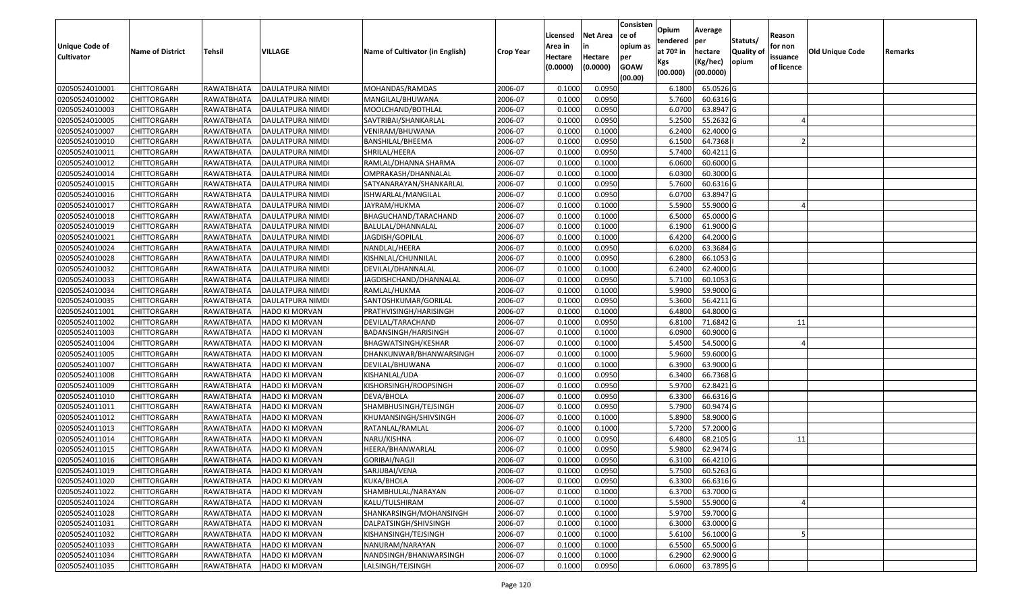| <b>Unique Code of</b><br><b>Cultivator</b> | <b>Name of District</b> | Tehsil     | VILLAGE                   | Name of Cultivator (in English) | <b>Crop Year</b> | Licensed<br>Area in<br>Hectare<br>(0.0000) | <b>Net Area</b><br>in<br>Hectare<br>(0.0000) | Consisten<br>ce of<br>opium as<br>per<br><b>GOAW</b> | Opium<br>tendered<br>at $70°$ in<br>Kgs | Average<br>per<br>hectare<br>(Kg/hec) | Statuts/<br>Quality of<br>opium | Reason<br>for non<br>issuance<br>of licence | Old Unique Code | Remarks |
|--------------------------------------------|-------------------------|------------|---------------------------|---------------------------------|------------------|--------------------------------------------|----------------------------------------------|------------------------------------------------------|-----------------------------------------|---------------------------------------|---------------------------------|---------------------------------------------|-----------------|---------|
|                                            |                         |            |                           |                                 |                  |                                            |                                              | (00.00)                                              | (00.000)                                | (00.0000)                             |                                 |                                             |                 |         |
| 02050524010001                             | <b>CHITTORGARH</b>      | RAWATBHATA | DAULATPURA NIMDI          | MOHANDAS/RAMDAS                 | 2006-07          | 0.1000                                     | 0.0950                                       |                                                      | 6.1800                                  | 65.0526 G                             |                                 |                                             |                 |         |
| 02050524010002                             | <b>CHITTORGARH</b>      | RAWATBHATA | DAULATPURA NIMDI          | MANGILAL/BHUWANA                | 2006-07          | 0.1000                                     | 0.0950                                       |                                                      | 5.7600                                  | 60.6316 G                             |                                 |                                             |                 |         |
| 02050524010003                             | <b>CHITTORGARH</b>      | RAWATBHATA | DAULATPURA NIMDI          | MOOLCHAND/BOTHLAL               | 2006-07          | 0.1000                                     | 0.0950                                       |                                                      | 6.0700                                  | 63.8947 G                             |                                 |                                             |                 |         |
| 02050524010005                             | <b>CHITTORGARH</b>      | RAWATBHATA | DAULATPURA NIMDI          | SAVTRIBAI/SHANKARLAL            | 2006-07          | 0.1000                                     | 0.0950                                       |                                                      | 5.2500                                  | 55.2632 G                             |                                 |                                             |                 |         |
| 02050524010007                             | <b>CHITTORGARH</b>      | RAWATBHATA | DAULATPURA NIMDI          | VENIRAM/BHUWANA                 | 2006-07          | 0.1000                                     | 0.1000                                       |                                                      | 6.2400                                  | 62.4000 G                             |                                 |                                             |                 |         |
| 02050524010010                             | <b>CHITTORGARH</b>      | RAWATBHATA | DAULATPURA NIMDI          | BANSHILAL/BHEEMA                | 2006-07          | 0.1000                                     | 0.0950                                       |                                                      | 6.1500                                  | 64.7368                               |                                 |                                             |                 |         |
| 02050524010011                             | CHITTORGARH             | RAWATBHATA | DAULATPURA NIMDI          | SHRILAL/HEERA                   | 2006-07          | 0.1000                                     | 0.0950                                       |                                                      | 5.7400                                  | 60.4211G                              |                                 |                                             |                 |         |
| 02050524010012                             | <b>CHITTORGARH</b>      | RAWATBHATA | DAULATPURA NIMDI          | RAMLAL/DHANNA SHARMA            | 2006-07          | 0.1000                                     | 0.1000                                       |                                                      | 6.0600                                  | 60.6000 G                             |                                 |                                             |                 |         |
| 02050524010014                             | <b>CHITTORGARH</b>      | RAWATBHATA | DAULATPURA NIMDI          | OMPRAKASH/DHANNALAL             | 2006-07          | 0.1000                                     | 0.1000                                       |                                                      | 6.0300                                  | 60.3000 G                             |                                 |                                             |                 |         |
| 02050524010015                             | <b>CHITTORGARH</b>      | RAWATBHATA | DAULATPURA NIMDI          | SATYANARAYAN/SHANKARLAL         | 2006-07          | 0.1000                                     | 0.0950                                       |                                                      | 5.7600                                  | 60.6316 G                             |                                 |                                             |                 |         |
| 02050524010016                             | <b>CHITTORGARH</b>      | RAWATBHATA | DAULATPURA NIMDI          | ISHWARLAL/MANGILAL              | 2006-07          | 0.1000                                     | 0.0950                                       |                                                      | 6.0700                                  | 63.8947 G                             |                                 |                                             |                 |         |
| 02050524010017                             | <b>CHITTORGARH</b>      | RAWATBHATA | DAULATPURA NIMDI          | JAYRAM/HUKMA                    | 2006-07          | 0.1000                                     | 0.1000                                       |                                                      | 5.5900                                  | 55.9000 G                             |                                 |                                             |                 |         |
| 02050524010018                             | <b>CHITTORGARH</b>      | RAWATBHATA | DAULATPURA NIMDI          | BHAGUCHAND/TARACHAND            | 2006-07          | 0.1000                                     | 0.1000                                       |                                                      | 6.5000                                  | 65.0000 G                             |                                 |                                             |                 |         |
| 02050524010019                             | <b>CHITTORGARH</b>      | RAWATBHATA | DAULATPURA NIMDI          | BALULAL/DHANNALAL               | 2006-07          | 0.1000                                     | 0.1000                                       |                                                      | 6.1900                                  | 61.9000 G                             |                                 |                                             |                 |         |
| 02050524010021                             | <b>CHITTORGARH</b>      | RAWATBHATA | DAULATPURA NIMDI          | JAGDISH/GOPILAL                 | 2006-07          | 0.1000                                     | 0.1000                                       |                                                      | 6.4200                                  | 64.2000 G                             |                                 |                                             |                 |         |
| 02050524010024                             | <b>CHITTORGARH</b>      | RAWATBHATA | DAULATPURA NIMDI          | NANDLAL/HEERA                   | 2006-07          | 0.1000                                     | 0.0950                                       |                                                      | 6.0200                                  | 63.3684 G                             |                                 |                                             |                 |         |
| 02050524010028                             | <b>CHITTORGARH</b>      | RAWATBHATA | DAULATPURA NIMDI          | KISHNLAL/CHUNNILAL              | 2006-07          | 0.1000                                     | 0.0950                                       |                                                      | 6.2800                                  | 66.1053 G                             |                                 |                                             |                 |         |
| 02050524010032                             | <b>CHITTORGARH</b>      | RAWATBHATA | DAULATPURA NIMDI          | DEVILAL/DHANNALAL               | 2006-07          | 0.1000                                     | 0.1000                                       |                                                      | 6.2400                                  | 62.4000 G                             |                                 |                                             |                 |         |
| 02050524010033                             | <b>CHITTORGARH</b>      | RAWATBHATA | DAULATPURA NIMDI          | JAGDISHCHAND/DHANNALAL          | 2006-07          | 0.1000                                     | 0.0950                                       |                                                      | 5.7100                                  | 60.1053 G                             |                                 |                                             |                 |         |
| 02050524010034                             | <b>CHITTORGARH</b>      | RAWATBHATA | DAULATPURA NIMDI          | RAMLAL/HUKMA                    | 2006-07          | 0.1000                                     | 0.1000                                       |                                                      | 5.9900                                  | 59.9000 G                             |                                 |                                             |                 |         |
| 02050524010035                             | <b>CHITTORGARH</b>      | RAWATBHATA | DAULATPURA NIMDI          | SANTOSHKUMAR/GORILAL            | 2006-07          | 0.1000                                     | 0.0950                                       |                                                      | 5.3600                                  | 56.4211 G                             |                                 |                                             |                 |         |
| 02050524011001                             | <b>CHITTORGARH</b>      | RAWATBHATA | <b>HADO KI MORVAN</b>     | PRATHVISINGH/HARISINGH          | 2006-07          | 0.1000                                     | 0.1000                                       |                                                      | 6.4800                                  | 64.8000 G                             |                                 |                                             |                 |         |
| 02050524011002                             | <b>CHITTORGARH</b>      | RAWATBHATA | <b>HADO KI MORVAN</b>     | DEVILAL/TARACHAND               | 2006-07          | 0.1000                                     | 0.0950                                       |                                                      | 6.8100                                  | 71.6842 G                             |                                 | 11                                          |                 |         |
| 02050524011003                             | <b>CHITTORGARH</b>      | RAWATBHATA | <b>HADO KI MORVAN</b>     | BADANSINGH/HARISINGH            | 2006-07          | 0.1000                                     | 0.1000                                       |                                                      | 6.0900                                  | 60.9000 G                             |                                 |                                             |                 |         |
| 02050524011004                             | <b>CHITTORGARH</b>      | RAWATBHATA | <b>HADO KI MORVAN</b>     | BHAGWATSINGH/KESHAR             | 2006-07          | 0.1000                                     | 0.1000                                       |                                                      | 5.4500                                  | 54.5000 G                             |                                 |                                             |                 |         |
| 02050524011005                             | <b>CHITTORGARH</b>      | RAWATBHATA | <b>HADO KI MORVAN</b>     | DHANKUNWAR/BHANWARSINGH         | 2006-07          | 0.1000                                     | 0.1000                                       |                                                      | 5.9600                                  | 59.6000 G                             |                                 |                                             |                 |         |
| 02050524011007                             | <b>CHITTORGARH</b>      | RAWATBHATA | <b>HADO KI MORVAN</b>     | DEVILAL/BHUWANA                 | 2006-07          | 0.1000                                     | 0.1000                                       |                                                      | 6.3900                                  | 63.9000 G                             |                                 |                                             |                 |         |
| 02050524011008                             | <b>CHITTORGARH</b>      | RAWATBHATA | HADO KI MORVAN            | KISHANLAL/UDA                   | 2006-07          | 0.1000                                     | 0.0950                                       |                                                      | 6.3400                                  | 66.7368 G                             |                                 |                                             |                 |         |
| 02050524011009                             | <b>CHITTORGARH</b>      | RAWATBHATA | <b>HADO KI MORVAN</b>     | KISHORSINGH/ROOPSINGH           | 2006-07          | 0.1000                                     | 0.0950                                       |                                                      | 5.9700                                  | 62.8421 G                             |                                 |                                             |                 |         |
| 02050524011010                             | <b>CHITTORGARH</b>      | RAWATBHATA | <b>HADO KI MORVAN</b>     | DEVA/BHOLA                      | 2006-07          | 0.1000                                     | 0.0950                                       |                                                      | 6.3300                                  | 66.6316 G                             |                                 |                                             |                 |         |
| 02050524011011                             | <b>CHITTORGARH</b>      | RAWATBHATA | HADO KI MORVAN            | SHAMBHUSINGH/TEJSINGH           | 2006-07          | 0.1000                                     | 0.0950                                       |                                                      | 5.7900                                  | 60.9474 G                             |                                 |                                             |                 |         |
| 02050524011012                             | <b>CHITTORGARH</b>      | RAWATBHATA | HADO KI MORVAN            | KHUMANSINGH/SHIVSINGH           | 2006-07          | 0.1000                                     | 0.1000                                       |                                                      | 5.8900                                  | 58.9000 G                             |                                 |                                             |                 |         |
| 02050524011013                             | <b>CHITTORGARH</b>      | RAWATBHATA | HADO KI MORVAN            | RATANLAL/RAMLAL                 | 2006-07          | 0.1000                                     | 0.1000                                       |                                                      | 5.7200                                  | 57.2000 G                             |                                 |                                             |                 |         |
| 02050524011014                             | <b>CHITTORGARH</b>      | RAWATBHATA | HADO KI MORVAN            | NARU/KISHNA                     | 2006-07          | 0.1000                                     | 0.0950                                       |                                                      | 6.4800                                  | 68.2105 G                             |                                 | 11                                          |                 |         |
| 02050524011015                             | <b>CHITTORGARH</b>      | RAWATBHATA | HADO KI MORVAN            | HEERA/BHANWARLAL                | 2006-07          | 0.1000                                     | 0.0950                                       |                                                      | 5.9800                                  | 62.9474 G                             |                                 |                                             |                 |         |
| 02050524011016                             | <b>CHITTORGARH</b>      | RAWATBHATA | <b>HADO KI MORVAN</b>     | GORIBAI/NAGJI                   | 2006-07          | 0.1000                                     | 0.0950                                       |                                                      | 6.3100                                  | 66.4210 G                             |                                 |                                             |                 |         |
| 02050524011019                             | <b>CHITTORGARH</b>      |            | RAWATBHATA HADO KI MORVAN | SARJUBAI/VENA                   | 2006-07          | 0.1000                                     | 0.0950                                       |                                                      | 5.7500                                  | 60.5263 G                             |                                 |                                             |                 |         |
| 02050524011020                             | <b>CHITTORGARH</b>      | RAWATBHATA | <b>HADO KI MORVAN</b>     | KUKA/BHOLA                      | 2006-07          | 0.1000                                     | 0.0950                                       |                                                      | 6.3300                                  | 66.6316 G                             |                                 |                                             |                 |         |
| 02050524011022                             | CHITTORGARH             | RAWATBHATA | HADO KI MORVAN            | SHAMBHULAL/NARAYAN              | 2006-07          | 0.1000                                     | 0.1000                                       |                                                      | 6.3700                                  | 63.7000 G                             |                                 |                                             |                 |         |
| 02050524011024                             | <b>CHITTORGARH</b>      | RAWATBHATA | HADO KI MORVAN            | KALU/TULSHIRAM                  | 2006-07          | 0.1000                                     | 0.1000                                       |                                                      | 5.5900                                  | 55.9000 G                             |                                 |                                             |                 |         |
| 02050524011028                             | <b>CHITTORGARH</b>      | RAWATBHATA | <b>HADO KI MORVAN</b>     | SHANKARSINGH/MOHANSINGH         | 2006-07          | 0.1000                                     | 0.1000                                       |                                                      | 5.9700                                  | 59.7000 G                             |                                 |                                             |                 |         |
| 02050524011031                             | <b>CHITTORGARH</b>      | RAWATBHATA | <b>HADO KI MORVAN</b>     | DALPATSINGH/SHIVSINGH           | 2006-07          | 0.1000                                     | 0.1000                                       |                                                      | 6.3000                                  | 63.0000 G                             |                                 |                                             |                 |         |
| 02050524011032                             | <b>CHITTORGARH</b>      | RAWATBHATA | <b>HADO KI MORVAN</b>     | KISHANSINGH/TEJSINGH            | 2006-07          | 0.1000                                     | 0.1000                                       |                                                      | 5.6100                                  | 56.1000 G                             |                                 |                                             |                 |         |
| 02050524011033                             | <b>CHITTORGARH</b>      | RAWATBHATA | <b>HADO KI MORVAN</b>     | NANURAM/NARAYAN                 | 2006-07          | 0.1000                                     | 0.1000                                       |                                                      | 6.5500                                  | 65.5000 G                             |                                 |                                             |                 |         |
| 02050524011034                             | <b>CHITTORGARH</b>      | RAWATBHATA | HADO KI MORVAN            | NANDSINGH/BHANWARSINGH          | 2006-07          | 0.1000                                     | 0.1000                                       |                                                      | 6.2900                                  | 62.9000 G                             |                                 |                                             |                 |         |
| 02050524011035                             | <b>CHITTORGARH</b>      | RAWATBHATA | HADO KI MORVAN            | LALSINGH/TEJSINGH               | 2006-07          | 0.1000                                     | 0.0950                                       |                                                      | 6.0600                                  | 63.7895 G                             |                                 |                                             |                 |         |
|                                            |                         |            |                           |                                 |                  |                                            |                                              |                                                      |                                         |                                       |                                 |                                             |                 |         |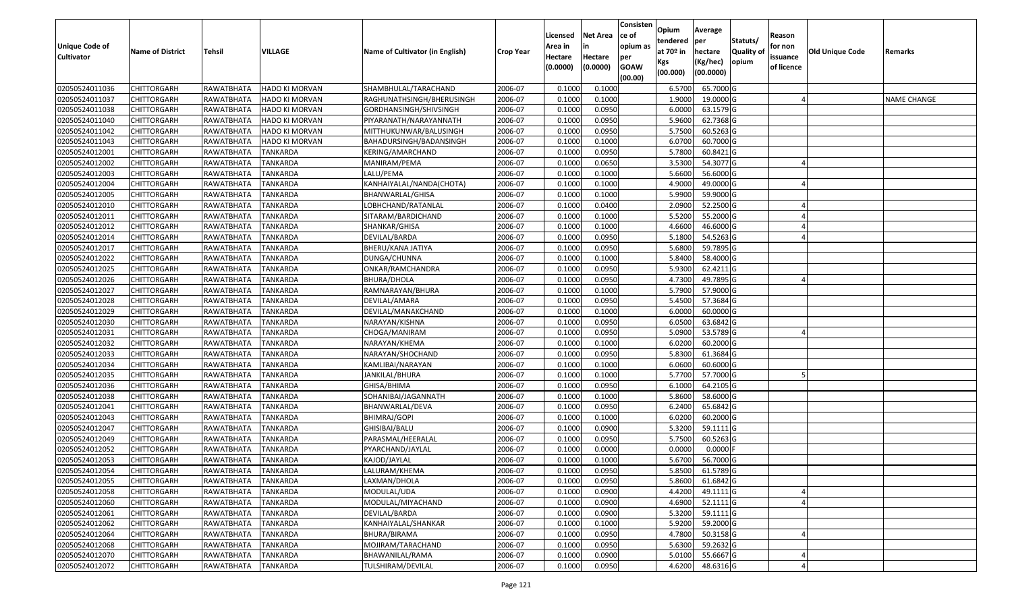| <b>Unique Code of</b><br><b>Cultivator</b> | <b>Name of District</b> | Tehsil              | VILLAGE               | Name of Cultivator (in English) | <b>Crop Year</b> | Licensed<br>Area in<br>Hectare<br>(0.0000) | <b>Net Area</b><br>in<br>Hectare<br>(0.0000) | Consisten<br>lce of<br>opium as<br>per<br><b>GOAW</b><br>(00.00) | Opium<br>tendered<br>at 70º in<br>Kgs<br>(00.000) | Average<br>per<br>hectare<br>(Kg/hec)<br>(00.0000) | Statuts/<br><b>Quality o</b><br>opium | Reason<br>for non<br>issuance<br>of licence | Old Unique Code | Remarks            |
|--------------------------------------------|-------------------------|---------------------|-----------------------|---------------------------------|------------------|--------------------------------------------|----------------------------------------------|------------------------------------------------------------------|---------------------------------------------------|----------------------------------------------------|---------------------------------------|---------------------------------------------|-----------------|--------------------|
| 02050524011036                             | <b>CHITTORGARH</b>      | RAWATBHATA          | <b>HADO KI MORVAN</b> | SHAMBHULAL/TARACHAND            | 2006-07          | 0.1000                                     | 0.1000                                       |                                                                  | 6.5700                                            | 65.7000 G                                          |                                       |                                             |                 |                    |
| 02050524011037                             | <b>CHITTORGARH</b>      | RAWATBHATA          | <b>HADO KI MORVAN</b> | RAGHUNATHSINGH/BHERUSINGH       | 2006-07          | 0.1000                                     | 0.1000                                       |                                                                  | 1.9000                                            | 19.0000 G                                          |                                       |                                             |                 | <b>NAME CHANGE</b> |
| 02050524011038                             | <b>CHITTORGARH</b>      | RAWATBHATA          | <b>HADO KI MORVAN</b> | GORDHANSINGH/SHIVSINGH          | 2006-07          | 0.1000                                     | 0.0950                                       |                                                                  | 6.0000                                            | 63.1579 G                                          |                                       |                                             |                 |                    |
| 02050524011040                             | <b>CHITTORGARH</b>      | RAWATBHATA          | <b>HADO KI MORVAN</b> | PIYARANATH/NARAYANNATH          | 2006-07          | 0.1000                                     | 0.0950                                       |                                                                  | 5.9600                                            | 62.7368 G                                          |                                       |                                             |                 |                    |
| 02050524011042                             | <b>CHITTORGARH</b>      | RAWATBHATA          | HADO KI MORVAN        | MITTHUKUNWAR/BALUSINGH          | 2006-07          | 0.1000                                     | 0.0950                                       |                                                                  | 5.7500                                            | 60.5263 G                                          |                                       |                                             |                 |                    |
| 02050524011043                             | <b>CHITTORGARH</b>      | RAWATBHATA          | <b>HADO KI MORVAN</b> | BAHADURSINGH/BADANSINGH         | 2006-07          | 0.1000                                     | 0.1000                                       |                                                                  | 6.0700                                            | 60.7000 G                                          |                                       |                                             |                 |                    |
| 02050524012001                             | CHITTORGARH             | RAWATBHATA          | TANKARDA              | KERING/AMARCHAND                | 2006-07          | 0.1000                                     | 0.0950                                       |                                                                  | 5.7800                                            | 60.8421 G                                          |                                       |                                             |                 |                    |
| 02050524012002                             | <b>CHITTORGARH</b>      | RAWATBHATA          | <b>TANKARDA</b>       | MANIRAM/PEMA                    | 2006-07          | 0.1000                                     | 0.0650                                       |                                                                  | 3.5300                                            | 54.3077 G                                          |                                       |                                             |                 |                    |
| 02050524012003                             | <b>CHITTORGARH</b>      | RAWATBHATA          | TANKARDA              | LALU/PEMA                       | 2006-07          | 0.1000                                     | 0.1000                                       |                                                                  | 5.6600                                            | 56.6000 G                                          |                                       |                                             |                 |                    |
| 02050524012004                             | <b>CHITTORGARH</b>      | RAWATBHATA          | TANKARDA              | KANHAIYALAL/NANDA(CHOTA)        | 2006-07          | 0.1000                                     | 0.1000                                       |                                                                  | 4.9000                                            | 49.0000 G                                          |                                       |                                             |                 |                    |
| 02050524012005                             | <b>CHITTORGARH</b>      | RAWATBHATA          | <b>TANKARDA</b>       | BHANWARLAL/GHISA                | 2006-07          | 0.1000                                     | 0.1000                                       |                                                                  | 5.9900                                            | 59.9000 G                                          |                                       |                                             |                 |                    |
| 02050524012010                             | <b>CHITTORGARH</b>      | RAWATBHATA          | <b>TANKARDA</b>       | LOBHCHAND/RATANLAL              | 2006-07          | 0.1000                                     | 0.0400                                       |                                                                  | 2.0900                                            | 52.2500 G                                          |                                       |                                             |                 |                    |
| 02050524012011                             | <b>CHITTORGARH</b>      | RAWATBHATA          | <b>TANKARDA</b>       | SITARAM/BARDICHAND              | 2006-07          | 0.1000                                     | 0.1000                                       |                                                                  | 5.5200                                            | 55.2000 G                                          |                                       |                                             |                 |                    |
| 02050524012012                             | <b>CHITTORGARH</b>      | RAWATBHATA          | TANKARDA              | SHANKAR/GHISA                   | 2006-07          | 0.1000                                     | 0.1000                                       |                                                                  | 4.6600                                            | 46.6000 G                                          |                                       |                                             |                 |                    |
| 02050524012014                             | CHITTORGARH             | RAWATBHATA          | <b>TANKARDA</b>       | DEVILAL/BARDA                   | 2006-07          | 0.1000                                     | 0.0950                                       |                                                                  | 5.1800                                            | 54.5263 G                                          |                                       |                                             |                 |                    |
| 02050524012017                             | <b>CHITTORGARH</b>      | RAWATBHATA          | TANKARDA              | BHERU/KANA JATIYA               | 2006-07          | 0.1000                                     | 0.0950                                       |                                                                  | 5.6800                                            | 59.7895 G                                          |                                       |                                             |                 |                    |
| 02050524012022                             | <b>CHITTORGARH</b>      | RAWATBHATA          | <b>TANKARDA</b>       | DUNGA/CHUNNA                    | 2006-07          | 0.1000                                     | 0.1000                                       |                                                                  | 5.8400                                            | 58.4000 G                                          |                                       |                                             |                 |                    |
| 02050524012025                             | <b>CHITTORGARH</b>      | RAWATBHATA          | TANKARDA              | ONKAR/RAMCHANDRA                | 2006-07          | 0.100                                      | 0.0950                                       |                                                                  | 5.9300                                            | 62.4211 G                                          |                                       |                                             |                 |                    |
| 02050524012026                             | <b>CHITTORGARH</b>      | RAWATBHATA          | <b>TANKARDA</b>       | BHURA/DHOLA                     | 2006-07          | 0.1000                                     | 0.0950                                       |                                                                  | 4.7300                                            | 49.7895 G                                          |                                       |                                             |                 |                    |
| 02050524012027                             | <b>CHITTORGARH</b>      | RAWATBHATA          | <b>TANKARDA</b>       | RAMNARAYAN/BHURA                | 2006-07          | 0.1000                                     | 0.1000                                       |                                                                  | 5.7900                                            | 57.9000 G                                          |                                       |                                             |                 |                    |
| 02050524012028                             | <b>CHITTORGARH</b>      | RAWATBHATA          | <b>TANKARDA</b>       | DEVILAL/AMARA                   | 2006-07          | 0.1000                                     | 0.0950                                       |                                                                  | 5.4500                                            | 57.3684 G                                          |                                       |                                             |                 |                    |
| 02050524012029                             | <b>CHITTORGARH</b>      | RAWATBHATA          | <b>TANKARDA</b>       | DEVILAL/MANAKCHAND              | 2006-07          | 0.1000                                     | 0.1000                                       |                                                                  | 6.0000                                            | 60.0000 G                                          |                                       |                                             |                 |                    |
| 02050524012030                             | <b>CHITTORGARH</b>      | RAWATBHATA          | TANKARDA              | NARAYAN/KISHNA                  | 2006-07          | 0.1000                                     | 0.0950                                       |                                                                  | 6.0500                                            | 63.6842 G                                          |                                       |                                             |                 |                    |
| 02050524012031                             | <b>CHITTORGARH</b>      | RAWATBHATA          | TANKARDA              | CHOGA/MANIRAM                   | 2006-07          | 0.1000                                     | 0.0950                                       |                                                                  | 5.0900                                            | 53.5789 G                                          |                                       |                                             |                 |                    |
| 02050524012032                             | <b>CHITTORGARH</b>      | RAWATBHATA          | <b>TANKARDA</b>       | NARAYAN/KHEMA                   | 2006-07          | 0.1000                                     | 0.1000                                       |                                                                  | 6.0200                                            | 60.2000 G                                          |                                       |                                             |                 |                    |
| 02050524012033                             | <b>CHITTORGARH</b>      | RAWATBHATA          | TANKARDA              | NARAYAN/SHOCHAND                | 2006-07          | 0.1000                                     | 0.0950                                       |                                                                  | 5.8300                                            | 61.3684 G                                          |                                       |                                             |                 |                    |
| 02050524012034                             | <b>CHITTORGARH</b>      | RAWATBHATA          | <b>TANKARDA</b>       | KAMLIBAI/NARAYAN                | 2006-07          | 0.1000                                     | 0.1000                                       |                                                                  | 6.0600                                            | 60.6000 G                                          |                                       |                                             |                 |                    |
| 02050524012035                             | <b>CHITTORGARH</b>      | RAWATBHATA          | TANKARDA              | JANKILAL/BHURA                  | 2006-07          | 0.1000                                     | 0.1000                                       |                                                                  | 5.7700                                            | 57.7000 G                                          |                                       |                                             |                 |                    |
| 02050524012036                             | <b>CHITTORGARH</b>      | RAWATBHATA          | <b>TANKARDA</b>       | GHISA/BHIMA                     | 2006-07          | 0.1000                                     | 0.0950                                       |                                                                  | 6.1000                                            | 64.2105 G                                          |                                       |                                             |                 |                    |
| 02050524012038                             | <b>CHITTORGARH</b>      | RAWATBHATA          | <b>TANKARDA</b>       | SOHANIBAI/JAGANNATH             | 2006-07          | 0.1000                                     | 0.1000                                       |                                                                  | 5.8600                                            | 58.6000 G                                          |                                       |                                             |                 |                    |
| 02050524012041                             | <b>CHITTORGARH</b>      | RAWATBHATA          | <b>TANKARDA</b>       | BHANWARLAL/DEVA                 | 2006-07          | 0.1000                                     | 0.0950                                       |                                                                  | 6.2400                                            | 65.6842 G                                          |                                       |                                             |                 |                    |
| 02050524012043                             | <b>CHITTORGARH</b>      | RAWATBHATA          | TANKARDA              | BHIMRAJ/GOPI                    | 2006-07          | 0.1000                                     | 0.1000                                       |                                                                  | 6.0200                                            | 60.2000 G                                          |                                       |                                             |                 |                    |
| 02050524012047                             | <b>CHITTORGARH</b>      | RAWATBHATA          | <b>TANKARDA</b>       | GHISIBAI/BALU                   | 2006-07          | 0.1000                                     | 0.0900                                       |                                                                  | 5.3200                                            | 59.1111G                                           |                                       |                                             |                 |                    |
| 02050524012049                             | <b>CHITTORGARH</b>      | RAWATBHATA          | TANKARDA              | PARASMAL/HEERALAL               | 2006-07          | 0.1000                                     | 0.0950                                       |                                                                  | 5.7500                                            | 60.5263 G                                          |                                       |                                             |                 |                    |
| 02050524012052                             | CHITTORGARH             | RAWATBHATA          | TANKARDA              | PYARCHAND/JAYLAL                | 2006-07          | 0.1000                                     | 0.0000                                       |                                                                  | 0.0000                                            | 0.0000                                             |                                       |                                             |                 |                    |
| 02050524012053                             | <b>CHITTORGARH</b>      | RAWATBHATA          | TANKARDA              | KAJOD/JAYLAL                    | 2006-07          | 0.1000                                     | 0.1000                                       |                                                                  | 5.6700                                            | 56.7000 G                                          |                                       |                                             |                 |                    |
| 02050524012054                             | <b>CHITTORGARH</b>      | RAWATBHATA TANKARDA |                       | LALURAM/KHEMA                   | 2006-07          | 0.1000                                     | 0.0950                                       |                                                                  | 5.8500                                            | 61.5789 G                                          |                                       |                                             |                 |                    |
| 02050524012055                             | <b>CHITTORGARH</b>      | RAWATBHATA          | <b>TANKARDA</b>       | LAXMAN/DHOLA                    | 2006-07          | 0.1000                                     | 0.0950                                       |                                                                  | 5.8600                                            | 61.6842 G                                          |                                       |                                             |                 |                    |
| 02050524012058                             | <b>CHITTORGARH</b>      | RAWATBHATA          | <b>TANKARDA</b>       | MODULAL/UDA                     | 2006-07          | 0.1000                                     | 0.0900                                       |                                                                  | 4.4200                                            | 49.1111G                                           |                                       |                                             |                 |                    |
| 02050524012060                             | <b>CHITTORGARH</b>      | RAWATBHATA          | <b>TANKARDA</b>       | MODULAL/MIYACHAND               | 2006-07          | 0.1000                                     | 0.0900                                       |                                                                  | 4.6900                                            | $52.1111$ G                                        |                                       |                                             |                 |                    |
| 02050524012061                             | <b>CHITTORGARH</b>      | RAWATBHATA          | TANKARDA              | DEVILAL/BARDA                   | 2006-07          | 0.1000                                     | 0.0900                                       |                                                                  | 5.3200                                            | 59.1111G                                           |                                       |                                             |                 |                    |
| 02050524012062                             | <b>CHITTORGARH</b>      | RAWATBHATA          | <b>TANKARDA</b>       | KANHAIYALAL/SHANKAR             | 2006-07          | 0.1000                                     | 0.1000                                       |                                                                  | 5.9200                                            | 59.2000 G                                          |                                       |                                             |                 |                    |
| 02050524012064                             | <b>CHITTORGARH</b>      | RAWATBHATA          | TANKARDA              | BHURA/BIRAMA                    | 2006-07          | 0.1000                                     | 0.0950                                       |                                                                  | 4.7800                                            | 50.3158 G                                          |                                       |                                             |                 |                    |
| 02050524012068                             | <b>CHITTORGARH</b>      | RAWATBHATA          | TANKARDA              | MOJIRAM/TARACHAND               | 2006-07          | 0.1000                                     | 0.0950                                       |                                                                  | 5.6300                                            | 59.2632G                                           |                                       |                                             |                 |                    |
| 02050524012070                             | <b>CHITTORGARH</b>      | RAWATBHATA          | <b>TANKARDA</b>       | BHAWANILAL/RAMA                 | 2006-07          | 0.1000                                     | 0.0900                                       |                                                                  | 5.0100                                            | 55.6667 G                                          |                                       |                                             |                 |                    |
| 02050524012072                             | <b>CHITTORGARH</b>      | RAWATBHATA          | <b>TANKARDA</b>       | TULSHIRAM/DEVILAL               | 2006-07          | 0.1000                                     | 0.0950                                       |                                                                  | 4.6200                                            | 48.6316 G                                          |                                       |                                             |                 |                    |
|                                            |                         |                     |                       |                                 |                  |                                            |                                              |                                                                  |                                                   |                                                    |                                       |                                             |                 |                    |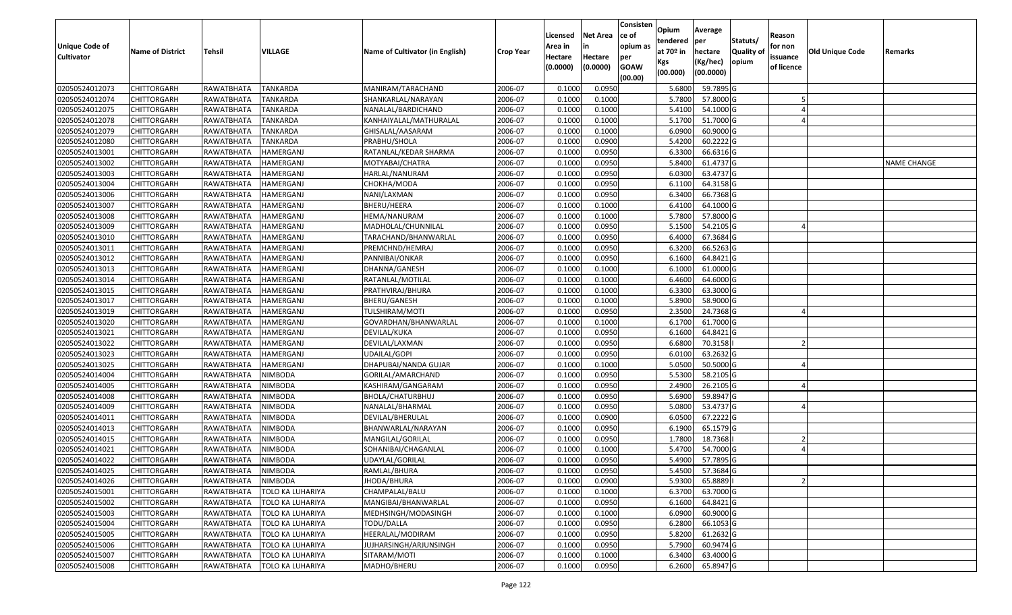| Unique Code of<br><b>Cultivator</b> | <b>Name of District</b> | <b>Tehsil</b>     | <b>VILLAGE</b>          | Name of Cultivator (in English) | <b>Crop Year</b> | Licensed<br>Area in<br>Hectare | <b>Net Area</b><br>in<br>Hectare | Consisten<br>ce of<br>opium as<br>per | Opium<br>tendered<br>at $70°$ in | Average<br>per<br>hectare<br>(Kg/hec) | Statuts/<br><b>Quality o</b><br>opium | Reason<br>for non<br>issuance | Old Unique Code | Remarks            |
|-------------------------------------|-------------------------|-------------------|-------------------------|---------------------------------|------------------|--------------------------------|----------------------------------|---------------------------------------|----------------------------------|---------------------------------------|---------------------------------------|-------------------------------|-----------------|--------------------|
|                                     |                         |                   |                         |                                 |                  | (0.0000)                       | (0.0000)                         | <b>GOAW</b><br>(00.00)                | Kgs<br>(00.000)                  | (00.0000)                             |                                       | of licence                    |                 |                    |
| 02050524012073                      | CHITTORGARH             | RAWATBHATA        | <b>TANKARDA</b>         | MANIRAM/TARACHAND               | 2006-07          | 0.1000                         | 0.0950                           |                                       | 5.6800                           | 59.7895 G                             |                                       |                               |                 |                    |
| 02050524012074                      | CHITTORGARH             | RAWATBHATA        | <b>TANKARDA</b>         | SHANKARLAL/NARAYAN              | 2006-07          | 0.1000                         | 0.1000                           |                                       | 5.7800                           | 57.8000 G                             |                                       |                               |                 |                    |
| 02050524012075                      | CHITTORGARH             | RAWATBHATA        | <b>TANKARDA</b>         | NANALAL/BARDICHAND              | 2006-07          | 0.1000                         | 0.1000                           |                                       | 5.4100                           | 54.1000G                              |                                       |                               |                 |                    |
| 02050524012078                      | <b>CHITTORGARH</b>      | <b>RAWATBHATA</b> | <b>TANKARDA</b>         | KANHAIYALAL/MATHURALAL          | 2006-07          | 0.1000                         | 0.1000                           |                                       | 5.1700                           | 51.7000 G                             |                                       |                               |                 |                    |
| 02050524012079                      | CHITTORGARH             | RAWATBHATA        | <b>TANKARDA</b>         | GHISALAL/AASARAM                | 2006-07          | 0.1000                         | 0.1000                           |                                       | 6.0900                           | 60.9000 G                             |                                       |                               |                 |                    |
| 02050524012080                      | CHITTORGARH             | RAWATBHATA        | <b>TANKARDA</b>         | PRABHU/SHOLA                    | 2006-07          | 0.1000                         | 0.0900                           |                                       | 5.4200                           | 60.2222 G                             |                                       |                               |                 |                    |
| 02050524013001                      | CHITTORGARH             | RAWATBHATA        | <b>HAMERGANJ</b>        | RATANLAL/KEDAR SHARMA           | 2006-07          | 0.1000                         | 0.0950                           |                                       | 6.3300                           | 66.6316 G                             |                                       |                               |                 |                    |
| 02050524013002                      | CHITTORGARH             | RAWATBHATA        | HAMERGANJ               | MOTYABAI/CHATRA                 | 2006-07          | 0.1000                         | 0.0950                           |                                       | 5.8400                           | 61.4737 G                             |                                       |                               |                 | <b>NAME CHANGE</b> |
| 02050524013003                      | <b>CHITTORGARH</b>      | RAWATBHATA        | HAMERGANJ               | HARLAL/NANURAM                  | 2006-07          | 0.1000                         | 0.0950                           |                                       | 6.0300                           | 63.4737 G                             |                                       |                               |                 |                    |
| 02050524013004                      | CHITTORGARH             | RAWATBHATA        | HAMERGANJ               | CHOKHA/MODA                     | 2006-07          | 0.1000                         | 0.0950                           |                                       | 6.1100                           | 64.3158 G                             |                                       |                               |                 |                    |
| 02050524013006                      | CHITTORGARH             | RAWATBHATA        | HAMERGANJ               | NANI/LAXMAN                     | 2006-07          | 0.1000                         | 0.0950                           |                                       | 6.3400                           | 66.7368 G                             |                                       |                               |                 |                    |
| 02050524013007                      | CHITTORGARH             | RAWATBHATA        | HAMERGANJ               | BHERU/HEERA                     | 2006-07          | 0.1000                         | 0.1000                           |                                       | 6.4100                           | 64.1000 G                             |                                       |                               |                 |                    |
| 02050524013008                      | <b>CHITTORGARH</b>      | RAWATBHATA        | HAMERGANJ               | HEMA/NANURAM                    | 2006-07          | 0.1000                         | 0.1000                           |                                       | 5.7800                           | 57.8000 G                             |                                       |                               |                 |                    |
| 02050524013009                      | <b>CHITTORGARH</b>      | RAWATBHATA        | HAMERGANJ               | MADHOLAL/CHUNNILAL              | 2006-07          | 0.100                          | 0.0950                           |                                       | 5.1500                           | 54.2105 G                             |                                       |                               |                 |                    |
| 02050524013010                      | <b>CHITTORGARH</b>      | RAWATBHATA        | HAMERGANJ               | TARACHAND/BHANWARLAL            | 2006-07          | 0.1000                         | 0.0950                           |                                       | 6.4000                           | 67.3684 G                             |                                       |                               |                 |                    |
| 02050524013011                      | <b>CHITTORGARH</b>      | RAWATBHATA        | HAMERGANJ               | PREMCHND/HEMRAJ                 | 2006-07          | 0.1000                         | 0.0950                           |                                       | 6.3200                           | 66.5263 G                             |                                       |                               |                 |                    |
| 02050524013012                      | <b>CHITTORGARH</b>      | RAWATBHATA        | HAMERGANJ               | PANNIBAI/ONKAR                  | 2006-07          | 0.1000                         | 0.0950                           |                                       | 6.1600                           | 64.8421G                              |                                       |                               |                 |                    |
| 02050524013013                      | CHITTORGARH             | RAWATBHATA        | HAMERGANJ               | DHANNA/GANESH                   | 2006-07          | 0.100                          | 0.1000                           |                                       | 6.1000                           | 61.0000 G                             |                                       |                               |                 |                    |
| 02050524013014                      | CHITTORGARH             | RAWATBHATA        | HAMERGANJ               | RATANLAL/MOTILAL                | 2006-07          | 0.100                          | 0.1000                           |                                       | 6.4600                           | 64.6000 G                             |                                       |                               |                 |                    |
| 02050524013015                      | CHITTORGARH             | RAWATBHATA        | HAMERGANJ               | PRATHVIRAJ/BHURA                | 2006-07          | 0.1000                         | 0.1000                           |                                       | 6.3300                           | 63.3000 G                             |                                       |                               |                 |                    |
| 02050524013017                      | CHITTORGARH             | RAWATBHATA        | HAMERGANJ               | BHERU/GANESH                    | 2006-07          | 0.100                          | 0.1000                           |                                       | 5.8900                           | 58.9000 G                             |                                       |                               |                 |                    |
| 02050524013019                      | CHITTORGARH             | RAWATBHATA        | HAMERGANJ               | TULSHIRAM/MOTI                  | 2006-07          | 0.100                          | 0.0950                           |                                       | 2.3500                           | 24.7368 G                             |                                       |                               |                 |                    |
| 02050524013020                      | CHITTORGARH             | RAWATBHATA        | HAMERGANJ               | GOVARDHAN/BHANWARLAL            | 2006-07          | 0.1000                         | 0.1000                           |                                       | 6.1700                           | 61.7000G                              |                                       |                               |                 |                    |
| 02050524013021                      | CHITTORGARH             | RAWATBHATA        | HAMERGANJ               | DEVILAL/KUKA                    | 2006-07          | 0.100                          | 0.0950                           |                                       | 6.1600                           | 64.8421G                              |                                       |                               |                 |                    |
| 02050524013022                      | <b>CHITTORGARH</b>      | RAWATBHATA        | HAMERGANJ               | DEVILAL/LAXMAN                  | 2006-07          | 0.1000                         | 0.0950                           |                                       | 6.6800                           | 70.3158                               |                                       |                               |                 |                    |
| 02050524013023                      | CHITTORGARH             | RAWATBHATA        | HAMERGANJ               | <b>UDAILAL/GOPI</b>             | 2006-07          | 0.1000                         | 0.0950                           |                                       | 6.0100                           | 63.2632 G                             |                                       |                               |                 |                    |
| 02050524013025                      | CHITTORGARH             | RAWATBHATA        | HAMERGANJ               | DHAPUBAI/NANDA GUJAR            | 2006-07          | 0.1000                         | 0.1000                           |                                       | 5.0500                           | 50.5000G                              |                                       |                               |                 |                    |
| 02050524014004                      | CHITTORGARH             | RAWATBHATA        | <b>NIMBODA</b>          | GORILAL/AMARCHAND               | 2006-07          | 0.1000                         | 0.0950                           |                                       | 5.5300                           | 58.2105 G                             |                                       |                               |                 |                    |
| 02050524014005                      | <b>CHITTORGARH</b>      | RAWATBHATA        | <b>NIMBODA</b>          | KASHIRAM/GANGARAM               | 2006-07          | 0.1000                         | 0.0950                           |                                       | 2.4900                           | 26.2105 G                             |                                       |                               |                 |                    |
| 02050524014008                      | <b>CHITTORGARH</b>      | RAWATBHATA        | <b>NIMBODA</b>          | BHOLA/CHATURBHUJ                | 2006-07          | 0.1000                         | 0.0950                           |                                       | 5.6900                           | 59.8947 G                             |                                       |                               |                 |                    |
| 02050524014009                      | CHITTORGARH             | RAWATBHATA        | <b>NIMBODA</b>          | NANALAL/BHARMAL                 | 2006-07          | 0.1000                         | 0.0950                           |                                       | 5.0800                           | 53.4737 G                             |                                       |                               |                 |                    |
| 02050524014011                      | CHITTORGARH             | RAWATBHATA        | <b>NIMBODA</b>          | DEVILAL/BHERULAL                | 2006-07          | 0.1000                         | 0.0900                           |                                       | 6.0500                           | 67.2222 G                             |                                       |                               |                 |                    |
| 02050524014013                      | CHITTORGARH             | RAWATBHATA        | <b>NIMBODA</b>          | BHANWARLAL/NARAYAN              | 2006-07          | 0.1000                         | 0.0950                           |                                       | 6.1900                           | 65.1579 G                             |                                       |                               |                 |                    |
| 02050524014015                      | <b>CHITTORGARH</b>      | RAWATBHATA        | <b>NIMBODA</b>          | MANGILAL/GORILAL                | 2006-07          | 0.1000                         | 0.0950                           |                                       | 1.7800                           | 18.7368                               |                                       |                               |                 |                    |
| 02050524014021                      | CHITTORGARH             | RAWATBHATA        | <b>NIMBODA</b>          | SOHANIBAI/CHAGANLAL             | 2006-07          | 0.1000                         | 0.1000                           |                                       | 5.4700                           | 54.7000G                              |                                       |                               |                 |                    |
| 02050524014022                      | CHITTORGARH             | RAWATBHATA        | <b>NIMBODA</b>          | UDAYLAL/GORILAL                 | 2006-07          | 0.1000                         | 0.0950                           |                                       | 5.4900                           | 57.7895 G                             |                                       |                               |                 |                    |
| 02050524014025                      | <b>CHITTORGARH</b>      | RAWATBHATA        | <b>NIMBODA</b>          | RAMLAL/BHURA                    | 2006-07          | 0.1000                         | 0.0950                           |                                       | 5.4500                           | 57.3684 G                             |                                       |                               |                 |                    |
| 02050524014026                      | <b>CHITTORGARH</b>      | RAWATBHATA        | NIMBODA                 | JHODA/BHURA                     | 2006-07          | 0.1000                         | 0.0900                           |                                       | 5.9300                           | 65.8889                               |                                       |                               |                 |                    |
| 02050524015001                      | <b>CHITTORGARH</b>      | RAWATBHATA        | TOLO KA LUHARIYA        | CHAMPALAL/BALU                  | 2006-07          | 0.1000                         | 0.1000                           |                                       | 6.3700                           | 63.7000 G                             |                                       |                               |                 |                    |
| 02050524015002                      | <b>CHITTORGARH</b>      | RAWATBHATA        | TOLO KA LUHARIYA        | MANGIBAI/BHANWARLAL             | 2006-07          | 0.1000                         | 0.0950                           |                                       | 6.1600                           | 64.8421 G                             |                                       |                               |                 |                    |
| 02050524015003                      | <b>CHITTORGARH</b>      | RAWATBHATA        | <b>TOLO KA LUHARIYA</b> | MEDHSINGH/MODASINGH             | 2006-07          | 0.1000                         | 0.1000                           |                                       | 6.0900                           | 60.9000 G                             |                                       |                               |                 |                    |
| 02050524015004                      | <b>CHITTORGARH</b>      | RAWATBHATA        | <b>TOLO KA LUHARIYA</b> | TODU/DALLA                      | 2006-07          | 0.1000                         | 0.0950                           |                                       | 6.2800                           | 66.1053 G                             |                                       |                               |                 |                    |
| 02050524015005                      | <b>CHITTORGARH</b>      | RAWATBHATA        | <b>TOLO KA LUHARIYA</b> | HEERALAL/MODIRAM                | 2006-07          | 0.1000                         | 0.0950                           |                                       | 5.8200                           | 61.2632 G                             |                                       |                               |                 |                    |
| 02050524015006                      | CHITTORGARH             | RAWATBHATA        | <b>TOLO KA LUHARIYA</b> | JUJHARSINGH/ARJUNSINGH          | 2006-07          | 0.1000                         | 0.0950                           |                                       | 5.7900                           | 60.9474 G                             |                                       |                               |                 |                    |
| 02050524015007                      | <b>CHITTORGARH</b>      | RAWATBHATA        | <b>TOLO KA LUHARIYA</b> | SITARAM/MOTI                    | 2006-07          | 0.1000                         | 0.1000                           |                                       | 6.3400                           | 63.4000 G                             |                                       |                               |                 |                    |
| 02050524015008                      | <b>CHITTORGARH</b>      | RAWATBHATA        | <b>TOLO KA LUHARIYA</b> | MADHO/BHERU                     | 2006-07          | 0.1000                         | 0.0950                           |                                       | 6.2600                           | 65.8947 G                             |                                       |                               |                 |                    |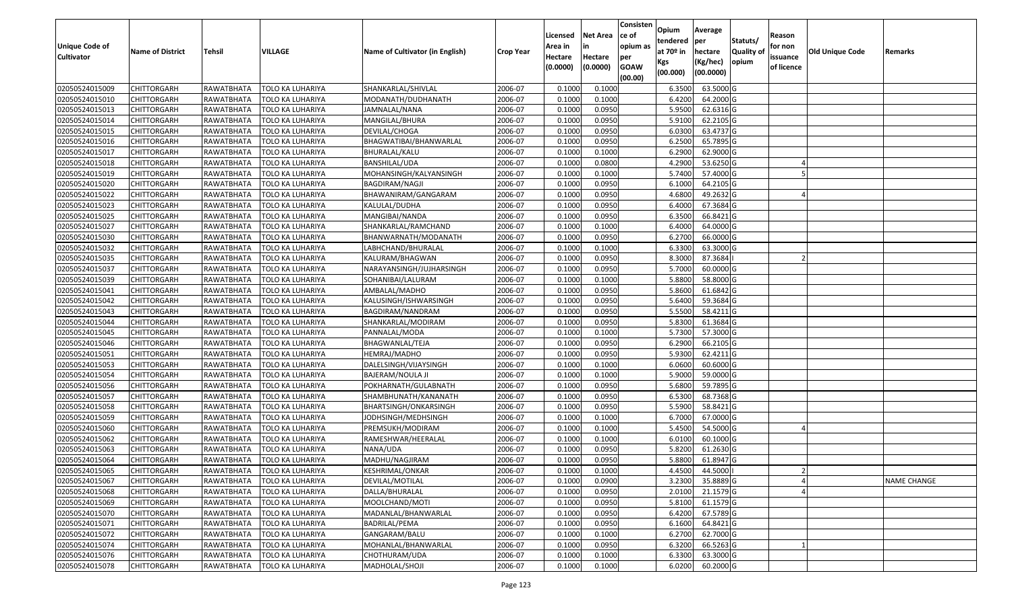| Unique Code of<br><b>Cultivator</b> | <b>Name of District</b> | Tehsil     | VILLAGE                 | Name of Cultivator (in English) | <b>Crop Year</b> | Licensed<br>Area in<br>Hectare<br>(0.0000) | <b>Net Area</b><br>in<br>Hectare<br>(0.0000) | Consisten<br>ce of<br>opium as<br>per<br><b>GOAW</b><br>(00.00) | Opium<br>tendered<br>at 70º in<br>Kgs<br>(00.000) | Average<br>per<br>hectare<br>(Kg/hec)<br>(00.0000) | Statuts/<br>Quality of<br>opium | Reason<br>for non<br>issuance<br>of licence | Old Unique Code | Remarks            |
|-------------------------------------|-------------------------|------------|-------------------------|---------------------------------|------------------|--------------------------------------------|----------------------------------------------|-----------------------------------------------------------------|---------------------------------------------------|----------------------------------------------------|---------------------------------|---------------------------------------------|-----------------|--------------------|
| 02050524015009                      | <b>CHITTORGARH</b>      | RAWATBHATA | TOLO KA LUHARIYA        | SHANKARLAL/SHIVLAL              | 2006-07          | 0.1000                                     | 0.1000                                       |                                                                 | 6.3500                                            | 63.5000 G                                          |                                 |                                             |                 |                    |
| 02050524015010                      | <b>CHITTORGARH</b>      | RAWATBHATA | TOLO KA LUHARIYA        | MODANATH/DUDHANATH              | 2006-07          | 0.1000                                     | 0.1000                                       |                                                                 | 6.4200                                            | 64.2000 G                                          |                                 |                                             |                 |                    |
| 02050524015013                      | <b>CHITTORGARH</b>      | RAWATBHATA | TOLO KA LUHARIYA        | JAMNALAL/NANA                   | 2006-07          | 0.1000                                     | 0.0950                                       |                                                                 | 5.9500                                            | 62.6316 G                                          |                                 |                                             |                 |                    |
| 02050524015014                      | <b>CHITTORGARH</b>      | RAWATBHATA | TOLO KA LUHARIYA        | MANGILAL/BHURA                  | 2006-07          | 0.1000                                     | 0.0950                                       |                                                                 | 5.9100                                            | 62.2105 G                                          |                                 |                                             |                 |                    |
| 02050524015015                      | <b>CHITTORGARH</b>      | RAWATBHATA | TOLO KA LUHARIYA        | DEVILAL/CHOGA                   | 2006-07          | 0.1000                                     | 0.0950                                       |                                                                 | 6.0300                                            | 63.4737 G                                          |                                 |                                             |                 |                    |
| 02050524015016                      | <b>CHITTORGARH</b>      | RAWATBHATA | TOLO KA LUHARIYA        | BHAGWATIBAI/BHANWARLAL          | 2006-07          | 0.1000                                     | 0.0950                                       |                                                                 | 6.2500                                            | 65.7895 G                                          |                                 |                                             |                 |                    |
| 02050524015017                      | CHITTORGARH             | RAWATBHATA | TOLO KA LUHARIYA        | BHURALAL/KALU                   | 2006-07          | 0.1000                                     | 0.1000                                       |                                                                 | 6.2900                                            | 62.9000 G                                          |                                 |                                             |                 |                    |
| 02050524015018                      | <b>CHITTORGARH</b>      | RAWATBHATA | TOLO KA LUHARIYA        | BANSHILAL/UDA                   | 2006-07          | 0.1000                                     | 0.0800                                       |                                                                 | 4.2900                                            | 53.6250 G                                          |                                 |                                             |                 |                    |
| 02050524015019                      | <b>CHITTORGARH</b>      | RAWATBHATA | TOLO KA LUHARIYA        | MOHANSINGH/KALYANSINGH          | 2006-07          | 0.1000                                     | 0.1000                                       |                                                                 | 5.7400                                            | 57.4000 G                                          |                                 |                                             |                 |                    |
| 02050524015020                      | <b>CHITTORGARH</b>      | RAWATBHATA | TOLO KA LUHARIYA        | BAGDIRAM/NAGJI                  | 2006-07          | 0.1000                                     | 0.0950                                       |                                                                 | 6.1000                                            | 64.2105 G                                          |                                 |                                             |                 |                    |
| 02050524015022                      | <b>CHITTORGARH</b>      | RAWATBHATA | TOLO KA LUHARIYA        | BHAWANIRAM/GANGARAM             | 2006-07          | 0.1000                                     | 0.0950                                       |                                                                 | 4.6800                                            | 49.2632 G                                          |                                 |                                             |                 |                    |
| 02050524015023                      | <b>CHITTORGARH</b>      | RAWATBHATA | TOLO KA LUHARIYA        | KALULAL/DUDHA                   | 2006-07          | 0.1000                                     | 0.0950                                       |                                                                 | 6.4000                                            | 67.3684 G                                          |                                 |                                             |                 |                    |
| 02050524015025                      | <b>CHITTORGARH</b>      | RAWATBHATA | TOLO KA LUHARIYA        | MANGIBAI/NANDA                  | 2006-07          | 0.1000                                     | 0.0950                                       |                                                                 | 6.3500                                            | 66.8421 G                                          |                                 |                                             |                 |                    |
| 02050524015027                      | <b>CHITTORGARH</b>      | RAWATBHATA | TOLO KA LUHARIYA        | SHANKARLAL/RAMCHAND             | 2006-07          | 0.1000                                     | 0.1000                                       |                                                                 | 6.4000                                            | 64.0000 G                                          |                                 |                                             |                 |                    |
| 02050524015030                      | <b>CHITTORGARH</b>      | RAWATBHATA | TOLO KA LUHARIYA        | BHANWARNATH/MODANATH            | 2006-07          | 0.1000                                     | 0.0950                                       |                                                                 | 6.2700                                            | 66.0000 G                                          |                                 |                                             |                 |                    |
| 02050524015032                      | <b>CHITTORGARH</b>      | RAWATBHATA | TOLO KA LUHARIYA        | LABHCHAND/BHURALAL              | 2006-07          | 0.1000                                     | 0.1000                                       |                                                                 | 6.3300                                            | 63.3000 G                                          |                                 |                                             |                 |                    |
| 02050524015035                      | <b>CHITTORGARH</b>      | RAWATBHATA | TOLO KA LUHARIYA        | KALURAM/BHAGWAN                 | 2006-07          | 0.1000                                     | 0.0950                                       |                                                                 | 8.3000                                            | 87.3684                                            |                                 |                                             |                 |                    |
| 02050524015037                      | <b>CHITTORGARH</b>      | RAWATBHATA | TOLO KA LUHARIYA        | NARAYANSINGH/JUJHARSINGH        | 2006-07          | 0.1000                                     | 0.0950                                       |                                                                 | 5.7000                                            | 60.0000 G                                          |                                 |                                             |                 |                    |
| 02050524015039                      | <b>CHITTORGARH</b>      | RAWATBHATA | <b>TOLO KA LUHARIYA</b> | SOHANIBAI/LALURAM               | 2006-07          | 0.1000                                     | 0.1000                                       |                                                                 | 5.8800                                            | 58.8000 G                                          |                                 |                                             |                 |                    |
| 02050524015041                      | <b>CHITTORGARH</b>      | RAWATBHATA | TOLO KA LUHARIYA        | AMBALAL/MADHO                   | 2006-07          | 0.1000                                     | 0.0950                                       |                                                                 | 5.8600                                            | 61.6842 G                                          |                                 |                                             |                 |                    |
| 02050524015042                      | <b>CHITTORGARH</b>      | RAWATBHATA | TOLO KA LUHARIYA        | KALUSINGH/ISHWARSINGH           | 2006-07          | 0.1000                                     | 0.0950                                       |                                                                 | 5.6400                                            | 59.3684 G                                          |                                 |                                             |                 |                    |
| 02050524015043                      | <b>CHITTORGARH</b>      | RAWATBHATA | TOLO KA LUHARIYA        | BAGDIRAM/NANDRAM                | 2006-07          | 0.1000                                     | 0.0950                                       |                                                                 | 5.5500                                            | 58.4211 G                                          |                                 |                                             |                 |                    |
| 02050524015044                      | <b>CHITTORGARH</b>      | RAWATBHATA | TOLO KA LUHARIYA        | SHANKARLAL/MODIRAM              | 2006-07          | 0.1000                                     | 0.0950                                       |                                                                 | 5.8300                                            | 61.3684 G                                          |                                 |                                             |                 |                    |
| 02050524015045                      | <b>CHITTORGARH</b>      | RAWATBHATA | TOLO KA LUHARIYA        | PANNALAL/MODA                   | 2006-07          | 0.1000                                     | 0.1000                                       |                                                                 | 5.7300                                            | 57.3000 G                                          |                                 |                                             |                 |                    |
| 02050524015046                      | <b>CHITTORGARH</b>      | RAWATBHATA | TOLO KA LUHARIYA        | BHAGWANLAL/TEJA                 | 2006-07          | 0.1000                                     | 0.0950                                       |                                                                 | 6.2900                                            | 66.2105 G                                          |                                 |                                             |                 |                    |
| 02050524015051                      | <b>CHITTORGARH</b>      | RAWATBHATA | TOLO KA LUHARIYA        | HEMRAJ/MADHO                    | 2006-07          | 0.1000                                     | 0.0950                                       |                                                                 | 5.9300                                            | 62.4211 G                                          |                                 |                                             |                 |                    |
| 02050524015053                      | <b>CHITTORGARH</b>      | RAWATBHATA | TOLO KA LUHARIYA        | DALELSINGH/VIJAYSINGH           | 2006-07          | 0.1000                                     | 0.1000                                       |                                                                 | 6.0600                                            | 60.6000 G                                          |                                 |                                             |                 |                    |
| 02050524015054                      | <b>CHITTORGARH</b>      | RAWATBHATA | TOLO KA LUHARIYA        | BAJERAM/NOULA JI                | 2006-07          | 0.1000                                     | 0.1000                                       |                                                                 | 5.9000                                            | 59.0000 G                                          |                                 |                                             |                 |                    |
| 02050524015056                      | <b>CHITTORGARH</b>      | RAWATBHATA | TOLO KA LUHARIYA        | POKHARNATH/GULABNATH            | 2006-07          | 0.1000                                     | 0.0950                                       |                                                                 | 5.6800                                            | 59.7895 G                                          |                                 |                                             |                 |                    |
| 02050524015057                      | <b>CHITTORGARH</b>      | RAWATBHATA | TOLO KA LUHARIYA        | SHAMBHUNATH/KANANATH            | 2006-07          | 0.1000                                     | 0.0950                                       |                                                                 | 6.5300                                            | 68.7368 G                                          |                                 |                                             |                 |                    |
| 02050524015058                      | <b>CHITTORGARH</b>      | RAWATBHATA | TOLO KA LUHARIYA        | BHARTSINGH/ONKARSINGH           | 2006-07          | 0.1000                                     | 0.0950                                       |                                                                 | 5.5900                                            | 58.8421 G                                          |                                 |                                             |                 |                    |
| 02050524015059                      | CHITTORGARH             | RAWATBHATA | TOLO KA LUHARIYA        | JODHSINGH/MEDHSINGH             | 2006-07          | 0.1000                                     | 0.1000                                       |                                                                 | 6.7000                                            | 67.0000 G                                          |                                 |                                             |                 |                    |
| 02050524015060                      | <b>CHITTORGARH</b>      | RAWATBHATA | TOLO KA LUHARIYA        | PREMSUKH/MODIRAM                | 2006-07          | 0.1000                                     | 0.1000                                       |                                                                 | 5.4500                                            | 54.5000 G                                          |                                 |                                             |                 |                    |
| 02050524015062                      | <b>CHITTORGARH</b>      | RAWATBHATA | TOLO KA LUHARIYA        | RAMESHWAR/HEERALAL              | 2006-07          | 0.1000                                     | 0.1000                                       |                                                                 | 6.0100                                            | 60.1000 G                                          |                                 |                                             |                 |                    |
| 02050524015063                      | <b>CHITTORGARH</b>      | RAWATBHATA | TOLO KA LUHARIYA        | NANA/UDA                        | 2006-07          | 0.1000                                     | 0.0950                                       |                                                                 | 5.8200                                            | 61.2630 G                                          |                                 |                                             |                 |                    |
| 02050524015064                      | <b>CHITTORGARH</b>      | RAWATBHATA | TOLO KA LUHARIYA        | MADHU/NAGJIRAM                  | 2006-07          | 0.1000                                     | 0.0950                                       |                                                                 | 5.8800                                            | 61.8947 G                                          |                                 |                                             |                 |                    |
| 02050524015065                      | CHITTORGARH             | RAWATBHATA | <b>TOLO KA LUHARIYA</b> | <b>KESHRIMAL/ONKAR</b>          | 2006-07          | 0.1000                                     | 0.1000                                       |                                                                 | 4.4500                                            | 44.5000                                            |                                 |                                             |                 |                    |
| 02050524015067                      | <b>CHITTORGARH</b>      | RAWATBHATA | TOLO KA LUHARIYA        | DEVILAL/MOTILAL                 | 2006-07          | 0.1000                                     | 0.0900                                       |                                                                 | 3.2300                                            | 35.8889 G                                          |                                 |                                             |                 | <b>NAME CHANGE</b> |
| 02050524015068                      | CHITTORGARH             | RAWATBHATA | TOLO KA LUHARIYA        | DALLA/BHURALAL                  | 2006-07          | 0.1000                                     | 0.0950                                       |                                                                 | 2.0100                                            | 21.1579 G                                          |                                 |                                             |                 |                    |
| 02050524015069                      | <b>CHITTORGARH</b>      | RAWATBHATA | <b>TOLO KA LUHARIYA</b> | MOOLCHAND/MOTI                  | 2006-07          | 0.1000                                     | 0.0950                                       |                                                                 | 5.8100                                            | 61.1579 G                                          |                                 |                                             |                 |                    |
| 02050524015070                      | <b>CHITTORGARH</b>      | RAWATBHATA | TOLO KA LUHARIYA        | MADANLAL/BHANWARLAL             | 2006-07          | 0.1000                                     | 0.0950                                       |                                                                 | 6.4200                                            | 67.5789 G                                          |                                 |                                             |                 |                    |
| 02050524015071                      | <b>CHITTORGARH</b>      | RAWATBHATA | TOLO KA LUHARIYA        | <b>BADRILAL/PEMA</b>            | 2006-07          | 0.1000                                     | 0.0950                                       |                                                                 | 6.1600                                            | 64.8421 G                                          |                                 |                                             |                 |                    |
| 02050524015072                      | <b>CHITTORGARH</b>      | RAWATBHATA | TOLO KA LUHARIYA        | GANGARAM/BALU                   | 2006-07          | 0.1000                                     | 0.1000                                       |                                                                 | 6.2700                                            | 62.7000 G                                          |                                 |                                             |                 |                    |
| 02050524015074                      | <b>CHITTORGARH</b>      | RAWATBHATA | <b>TOLO KA LUHARIYA</b> | MOHANLAL/BHANWARLAL             | 2006-07          | 0.1000                                     | 0.0950                                       |                                                                 | 6.3200                                            | 66.5263 G                                          |                                 |                                             |                 |                    |
| 02050524015076                      | <b>CHITTORGARH</b>      | RAWATBHATA | TOLO KA LUHARIYA        | CHOTHURAM/UDA                   | 2006-07          | 0.1000                                     | 0.1000                                       |                                                                 | 6.3300                                            | 63.3000 G                                          |                                 |                                             |                 |                    |
| 02050524015078                      | <b>CHITTORGARH</b>      | RAWATBHATA | TOLO KA LUHARIYA        | MADHOLAL/SHOJI                  | 2006-07          | 0.1000                                     | 0.1000                                       |                                                                 | 6.0200                                            | 60.2000 G                                          |                                 |                                             |                 |                    |
|                                     |                         |            |                         |                                 |                  |                                            |                                              |                                                                 |                                                   |                                                    |                                 |                                             |                 |                    |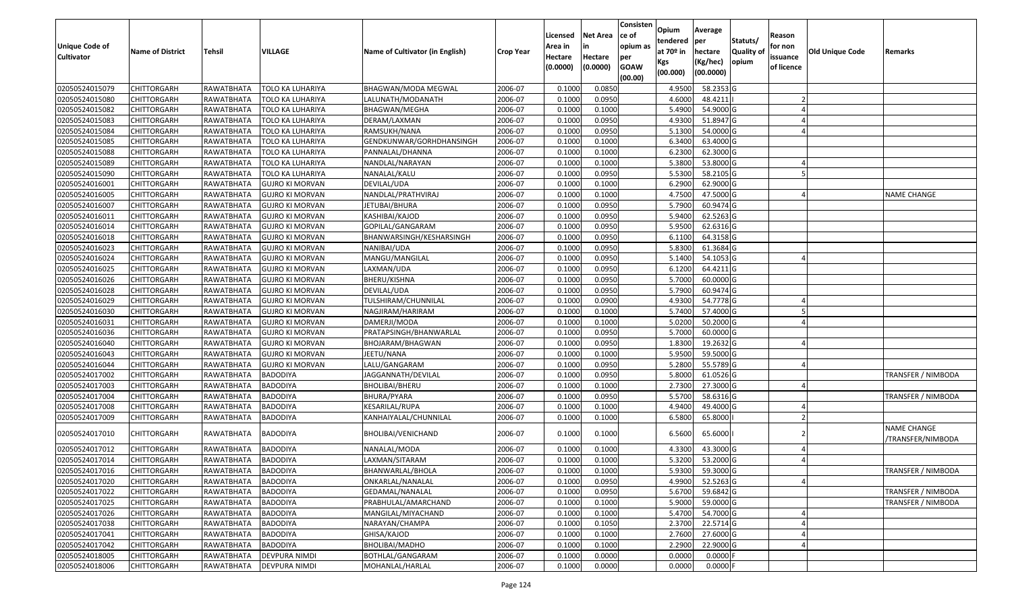| <b>Unique Code of</b><br><b>Cultivator</b> | <b>Name of District</b> | <b>Tehsil</b> | <b>VILLAGE</b>          | Name of Cultivator (in English) | <b>Crop Year</b> | Licensed<br>Area in<br>Hectare<br>(0.0000) | <b>Net Area</b><br>in<br>Hectare<br>(0.0000) | Consisten<br>ce of<br>opium as<br>per<br><b>GOAW</b><br>(00.00) | Opium<br>tendered<br>at $70°$ in<br>Kgs<br>(00.000) | Average<br>per<br>hectare<br>(Kg/hec)<br>(00.0000) | Statuts/<br>Quality of<br>opium | Reason<br>for non<br>issuance<br>of licence | <b>Old Unique Code</b> | Remarks                          |
|--------------------------------------------|-------------------------|---------------|-------------------------|---------------------------------|------------------|--------------------------------------------|----------------------------------------------|-----------------------------------------------------------------|-----------------------------------------------------|----------------------------------------------------|---------------------------------|---------------------------------------------|------------------------|----------------------------------|
| 02050524015079                             | <b>CHITTORGARH</b>      | RAWATBHATA    | TOLO KA LUHARIYA        | BHAGWAN/MODA MEGWAL             | 2006-07          | 0.100                                      | 0.0850                                       |                                                                 | 4.9500                                              | 58.2353 G                                          |                                 |                                             |                        |                                  |
| 02050524015080                             | CHITTORGARH             | RAWATBHATA    | <b>TOLO KA LUHARIYA</b> | LALUNATH/MODANATH               | 2006-07          | 0.1000                                     | 0.0950                                       |                                                                 | 4.6000                                              | 48.4211                                            |                                 |                                             |                        |                                  |
| 02050524015082                             | <b>CHITTORGARH</b>      | RAWATBHATA    | TOLO KA LUHARIYA        | BHAGWAN/MEGHA                   | 2006-07          | 0.1000                                     | 0.1000                                       |                                                                 | 5.4900                                              | 54.9000 G                                          |                                 |                                             |                        |                                  |
| 02050524015083                             | <b>CHITTORGARH</b>      | RAWATBHATA    | <b>TOLO KA LUHARIYA</b> | DERAM/LAXMAN                    | 2006-07          | 0.1000                                     | 0.0950                                       |                                                                 | 4.9300                                              | 51.8947 G                                          |                                 |                                             |                        |                                  |
| 02050524015084                             | <b>CHITTORGARH</b>      | RAWATBHATA    | TOLO KA LUHARIYA        | RAMSUKH/NANA                    | 2006-07          | 0.1000                                     | 0.0950                                       |                                                                 | 5.1300                                              | 54.0000 G                                          |                                 |                                             |                        |                                  |
| 02050524015085                             | <b>CHITTORGARH</b>      | RAWATBHATA    | <b>TOLO KA LUHARIYA</b> | GENDKUNWAR/GORHDHANSINGH        | 2006-07          | 0.1000                                     | 0.1000                                       |                                                                 | 6.3400                                              | 63.4000 G                                          |                                 |                                             |                        |                                  |
| 02050524015088                             | CHITTORGARH             | RAWATBHATA    | TOLO KA LUHARIYA        | PANNALAL/DHANNA                 | 2006-07          | 0.100                                      | 0.1000                                       |                                                                 | 6.2300                                              | 62.3000 G                                          |                                 |                                             |                        |                                  |
| 02050524015089                             | <b>CHITTORGARH</b>      | RAWATBHATA    | TOLO KA LUHARIYA        | NANDLAL/NARAYAN                 | 2006-07          | 0.1000                                     | 0.1000                                       |                                                                 | 5.3800                                              | 53.8000 G                                          |                                 |                                             |                        |                                  |
| 02050524015090                             | CHITTORGARH             | RAWATBHATA    | TOLO KA LUHARIYA        | NANALAL/KALU                    | 2006-07          | 0.100                                      | 0.0950                                       |                                                                 | 5.5300                                              | 58.2105 G                                          |                                 |                                             |                        |                                  |
| 02050524016001                             | CHITTORGARH             | RAWATBHATA    | <b>GUJRO KI MORVAN</b>  | DEVILAL/UDA                     | 2006-07          | 0.1000                                     | 0.1000                                       |                                                                 | 6.2900                                              | 62.9000 G                                          |                                 |                                             |                        |                                  |
| 02050524016005                             | <b>CHITTORGARH</b>      | RAWATBHATA    | <b>GUJRO KI MORVAN</b>  | NANDLAL/PRATHVIRAJ              | 2006-07          | 0.1000                                     | 0.1000                                       |                                                                 | 4.7500                                              | 47.5000 G                                          |                                 |                                             |                        | <b>NAME CHANGE</b>               |
| 02050524016007                             | <b>CHITTORGARH</b>      | RAWATBHATA    | <b>GUJRO KI MORVAN</b>  | JETUBAI/BHURA                   | 2006-07          | 0.1000                                     | 0.0950                                       |                                                                 | 5.7900                                              | 60.9474 G                                          |                                 |                                             |                        |                                  |
| 02050524016011                             | <b>CHITTORGARH</b>      | RAWATBHATA    | <b>GUJRO KI MORVAN</b>  | KASHIBAI/KAJOD                  | 2006-07          | 0.1000                                     | 0.0950                                       |                                                                 | 5.9400                                              | 62.5263 G                                          |                                 |                                             |                        |                                  |
| 02050524016014                             | <b>CHITTORGARH</b>      | RAWATBHATA    | <b>GUJRO KI MORVAN</b>  | GOPILAL/GANGARAM                | 2006-07          | 0.1000                                     | 0.0950                                       |                                                                 | 5.9500                                              | 62.6316 G                                          |                                 |                                             |                        |                                  |
| 02050524016018                             | <b>CHITTORGARH</b>      | RAWATBHATA    | <b>GUJRO KI MORVAN</b>  | BHANWARSINGH/KESHARSINGH        | 2006-07          | 0.1000                                     | 0.0950                                       |                                                                 | 6.1100                                              | 64.3158 G                                          |                                 |                                             |                        |                                  |
| 02050524016023                             | <b>CHITTORGARH</b>      | RAWATBHATA    | <b>GUJRO KI MORVAN</b>  | NANIBAI/UDA                     | 2006-07          | 0.1000                                     | 0.0950                                       |                                                                 | 5.8300                                              | 61.3684 G                                          |                                 |                                             |                        |                                  |
| 02050524016024                             | <b>CHITTORGARH</b>      | RAWATBHATA    | <b>GUJRO KI MORVAN</b>  | MANGU/MANGILAL                  | 2006-07          | 0.1000                                     | 0.0950                                       |                                                                 | 5.1400                                              | 54.1053 G                                          |                                 |                                             |                        |                                  |
| 02050524016025                             | <b>CHITTORGARH</b>      | RAWATBHATA    | <b>GUJRO KI MORVAN</b>  | LAXMAN/UDA                      | 2006-07          | 0.1000                                     | 0.0950                                       |                                                                 | 6.1200                                              | 64.4211 G                                          |                                 |                                             |                        |                                  |
| 02050524016026                             | CHITTORGARH             | RAWATBHATA    | <b>GUJRO KI MORVAN</b>  | BHERU/KISHNA                    | 2006-07          | 0.1000                                     | 0.0950                                       |                                                                 | 5.7000                                              | 60.0000 G                                          |                                 |                                             |                        |                                  |
| 02050524016028                             | <b>CHITTORGARH</b>      | RAWATBHATA    | <b>GUJRO KI MORVAN</b>  | DEVILAL/UDA                     | 2006-07          | 0.1000                                     | 0.0950                                       |                                                                 | 5.7900                                              | 60.9474 G                                          |                                 |                                             |                        |                                  |
| 02050524016029                             | <b>CHITTORGARH</b>      | RAWATBHATA    | <b>GUJRO KI MORVAN</b>  | TULSHIRAM/CHUNNILAL             | 2006-07          | 0.1000                                     | 0.0900                                       |                                                                 | 4.9300                                              | 54.7778 G                                          |                                 |                                             |                        |                                  |
| 02050524016030                             | CHITTORGARH             | RAWATBHATA    | <b>GUJRO KI MORVAN</b>  | NAGJIRAM/HARIRAM                | 2006-07          | 0.1000                                     | 0.1000                                       |                                                                 | 5.7400                                              | 57.4000 G                                          |                                 |                                             |                        |                                  |
| 02050524016031                             | CHITTORGARH             | RAWATBHATA    | <b>GUJRO KI MORVAN</b>  | DAMERJI/MODA                    | 2006-07          | 0.1000                                     | 0.1000                                       |                                                                 | 5.0200                                              | 50.2000 G                                          |                                 |                                             |                        |                                  |
| 02050524016036                             | <b>CHITTORGARH</b>      | RAWATBHATA    | <b>GUJRO KI MORVAN</b>  | PRATAPSINGH/BHANWARLAL          | 2006-07          | 0.1000                                     | 0.0950                                       |                                                                 | 5.7000                                              | 60.0000 G                                          |                                 |                                             |                        |                                  |
| 02050524016040                             | <b>CHITTORGARH</b>      | RAWATBHATA    | <b>GUJRO KI MORVAN</b>  | BHOJARAM/BHAGWAN                | 2006-07          | 0.1000                                     | 0.0950                                       |                                                                 | 1.8300                                              | 19.2632 G                                          |                                 |                                             |                        |                                  |
| 02050524016043                             | <b>CHITTORGARH</b>      | RAWATBHATA    | <b>GUJRO KI MORVAN</b>  | JEETU/NANA                      | 2006-07          | 0.1000                                     | 0.1000                                       |                                                                 | 5.9500                                              | 59.5000 G                                          |                                 |                                             |                        |                                  |
| 02050524016044                             | CHITTORGARH             | RAWATBHATA    | <b>GUJRO KI MORVAN</b>  | LALU/GANGARAM                   | 2006-07          | 0.1000                                     | 0.0950                                       |                                                                 | 5.2800                                              | 55.5789 G                                          |                                 |                                             |                        |                                  |
| 02050524017002                             | <b>CHITTORGARH</b>      | RAWATBHATA    | <b>BADODIYA</b>         | IAGGANNATH/DEVILAL              | 2006-07          | 0.1000                                     | 0.0950                                       |                                                                 | 5.8000                                              | 61.0526 G                                          |                                 |                                             |                        | TRANSFER / NIMBODA               |
| 02050524017003                             | <b>CHITTORGARH</b>      | RAWATBHATA    | <b>BADODIYA</b>         | <b>BHOLIBAI/BHERU</b>           | 2006-07          | 0.1000                                     | 0.1000                                       |                                                                 | 2.7300                                              | 27.3000 G                                          |                                 |                                             |                        |                                  |
| 02050524017004                             | <b>CHITTORGARH</b>      | RAWATBHATA    | <b>BADODIYA</b>         | BHURA/PYARA                     | 2006-07          | 0.1000                                     | 0.0950                                       |                                                                 | 5.5700                                              | 58.6316 G                                          |                                 |                                             |                        | TRANSFER / NIMBODA               |
| 02050524017008                             | CHITTORGARH             | RAWATBHATA    | <b>BADODIYA</b>         | KESARILAL/RUPA                  | 2006-07          | 0.1000                                     | 0.1000                                       |                                                                 | 4.9400                                              | 49.4000 G                                          |                                 |                                             |                        |                                  |
| 02050524017009                             | CHITTORGARH             | RAWATBHATA    | BADODIYA                | KANHAIYALAL/CHUNNILAL           | 2006-07          | 0.1000                                     | 0.1000                                       |                                                                 | 6.5800                                              | 65.8000                                            |                                 |                                             |                        |                                  |
| 02050524017010                             | <b>CHITTORGARH</b>      | RAWATBHATA    | BADODIYA                | BHOLIBAI/VENICHAND              | 2006-07          | 0.1000                                     | 0.1000                                       |                                                                 | 6.5600                                              | 65.6000                                            |                                 |                                             |                        | NAME CHANGE<br>/TRANSFER/NIMBODA |
| 02050524017012                             | CHITTORGARH             | RAWATBHATA    | <b>BADODIYA</b>         | NANALAL/MODA                    | 2006-07          | 0.100                                      | 0.1000                                       |                                                                 | 4.3300                                              | 43.3000 G                                          |                                 |                                             |                        |                                  |
| 02050524017014                             | <b>CHITTORGARH</b>      | RAWATBHATA    | <b>BADODIYA</b>         | LAXMAN/SITARAM                  | 2006-07          | 0.1000                                     | 0.1000                                       |                                                                 | 5.3200                                              | 53.2000 G                                          |                                 |                                             |                        |                                  |
| 02050524017016                             | <b>CHITTORGARH</b>      | RAWATBHATA    | <b>BADODIYA</b>         | BHANWARLAL/BHOLA                | 2006-07          | 0.1000                                     | 0.1000                                       |                                                                 | 5.9300                                              | 59.3000G                                           |                                 |                                             |                        | TRANSFER / NIMBODA               |
| 02050524017020                             | <b>CHITTORGARH</b>      | RAWATBHATA    | BADODIYA                | ONKARLAL/NANALAL                | 2006-07          | 0.1000                                     | 0.0950                                       |                                                                 | 4.9900                                              | 52.5263 G                                          |                                 |                                             |                        |                                  |
| 02050524017022                             | <b>CHITTORGARH</b>      | RAWATBHATA    | <b>BADODIYA</b>         | GEDAMAL/NANALAL                 | 2006-07          | 0.1000                                     | 0.0950                                       |                                                                 | 5.6700                                              | 59.6842 G                                          |                                 |                                             |                        | TRANSFER / NIMBODA               |
| 02050524017025                             | CHITTORGARH             | RAWATBHATA    | <b>BADODIYA</b>         | PRABHULAL/AMARCHAND             | 2006-07          | 0.1000                                     | 0.1000                                       |                                                                 | 5.9000                                              | 59.0000 G                                          |                                 |                                             |                        | TRANSFER / NIMBODA               |
| 02050524017026                             | CHITTORGARH             | RAWATBHATA    | <b>BADODIYA</b>         | MANGILAL/MIYACHAND              | 2006-07          | 0.1000                                     | 0.1000                                       |                                                                 | 5.4700                                              | 54.7000 G                                          |                                 |                                             |                        |                                  |
| 02050524017038                             | <b>CHITTORGARH</b>      | RAWATBHATA    | <b>BADODIYA</b>         | NARAYAN/CHAMPA                  | 2006-07          | 0.1000                                     | 0.1050                                       |                                                                 | 2.3700                                              | 22.5714 G                                          |                                 |                                             |                        |                                  |
| 02050524017041                             | <b>CHITTORGARH</b>      | RAWATBHATA    | <b>BADODIYA</b>         | GHISA/KAJOD                     | 2006-07          | 0.1000                                     | 0.1000                                       |                                                                 | 2.7600                                              | 27.6000 G                                          |                                 |                                             |                        |                                  |
| 02050524017042                             | <b>CHITTORGARH</b>      | RAWATBHATA    | <b>BADODIYA</b>         | BHOLIBAI/MADHO                  | 2006-07          | 0.1000                                     | 0.1000                                       |                                                                 | 2.2900                                              | 22.9000 G                                          |                                 |                                             |                        |                                  |
| 02050524018005                             | CHITTORGARH             | RAWATBHATA    | <b>DEVPURA NIMDI</b>    | BOTHLAL/GANGARAM                | 2006-07          | 0.1000                                     | 0.0000                                       |                                                                 | 0.0000                                              | $0.0000$ F                                         |                                 |                                             |                        |                                  |
| 02050524018006                             | <b>CHITTORGARH</b>      | RAWATBHATA    | <b>DEVPURA NIMDI</b>    | MOHANLAL/HARLAL                 | 2006-07          | 0.1000                                     | 0.0000                                       |                                                                 | 0.0000                                              | $0.0000$ F                                         |                                 |                                             |                        |                                  |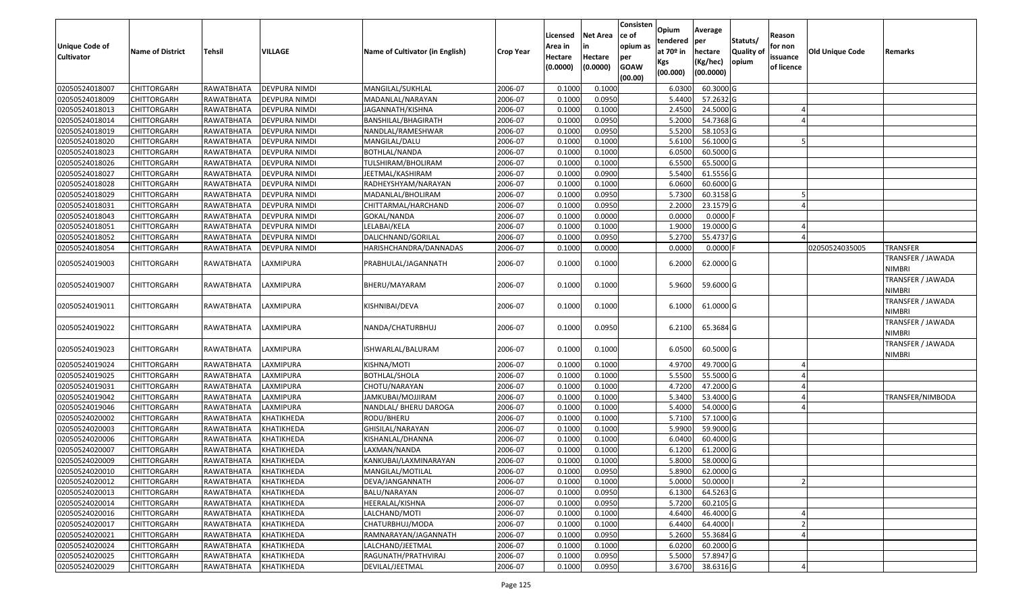| <b>Unique Code of</b><br><b>Cultivator</b> | <b>Name of District</b> | <b>Tehsil</b>     | VILLAGE              | Name of Cultivator (in English) | <b>Crop Year</b> | Licensed<br>Area in<br>Hectare<br>(0.0000) | <b>Net Area</b><br>in<br>Hectare<br>(0.0000) | Consisten<br>ce of<br>opium as<br>per<br><b>GOAW</b><br>(00.00) | Opium<br>tendered<br>at $70°$ in<br>Kgs<br>(00.000) | Average<br>per<br>hectare<br>(Kg/hec)<br>(00.0000) | Statuts/<br>Quality of<br>opium | Reason<br>for non<br>issuance<br>of licence | <b>Old Unique Code</b> | Remarks                            |
|--------------------------------------------|-------------------------|-------------------|----------------------|---------------------------------|------------------|--------------------------------------------|----------------------------------------------|-----------------------------------------------------------------|-----------------------------------------------------|----------------------------------------------------|---------------------------------|---------------------------------------------|------------------------|------------------------------------|
| 02050524018007                             | <b>CHITTORGARH</b>      | RAWATBHATA        | <b>DEVPURA NIMDI</b> | MANGILAL/SUKHLAL                | 2006-07          | 0.1000                                     | 0.1000                                       |                                                                 | 6.030                                               | 60.3000 G                                          |                                 |                                             |                        |                                    |
| 02050524018009                             | CHITTORGARH             | RAWATBHATA        | DEVPURA NIMDI        | MADANLAL/NARAYAN                | 2006-07          | 0.1000                                     | 0.0950                                       |                                                                 | 5.4400                                              | 57.2632 G                                          |                                 |                                             |                        |                                    |
| 02050524018013                             | CHITTORGARH             | RAWATBHATA        | DEVPURA NIMDI        | JAGANNATH/KISHNA                | 2006-07          | 0.1000                                     | 0.1000                                       |                                                                 | 2.4500                                              | 24.5000 G                                          |                                 |                                             |                        |                                    |
| 02050524018014                             | CHITTORGARH             | RAWATBHATA        | <b>DEVPURA NIMDI</b> | BANSHILAL/BHAGIRATH             | 2006-07          | 0.1000                                     | 0.0950                                       |                                                                 | 5.2000                                              | 54.7368 G                                          |                                 |                                             |                        |                                    |
| 02050524018019                             | <b>CHITTORGARH</b>      | RAWATBHATA        | <b>DEVPURA NIMDI</b> | NANDLAL/RAMESHWAR               | 2006-07          | 0.1000                                     | 0.0950                                       |                                                                 | 5.5200                                              | 58.1053 G                                          |                                 |                                             |                        |                                    |
| 02050524018020                             | CHITTORGARH             | RAWATBHATA        | <b>DEVPURA NIMDI</b> | MANGILAL/DALU                   | 2006-07          | 0.1000                                     | 0.1000                                       |                                                                 | 5.6100                                              | 56.1000G                                           |                                 |                                             |                        |                                    |
| 02050524018023                             | CHITTORGARH             | RAWATBHATA        | DEVPURA NIMDI        | BOTHLAL/NANDA                   | 2006-07          | 0.1000                                     | 0.1000                                       |                                                                 | 6.0500                                              | 60.5000 G                                          |                                 |                                             |                        |                                    |
| 02050524018026                             | CHITTORGARH             | RAWATBHATA        | DEVPURA NIMDI        | TULSHIRAM/BHOLIRAM              | 2006-07          | 0.1000                                     | 0.1000                                       |                                                                 | 6.5500                                              | 65.5000G                                           |                                 |                                             |                        |                                    |
| 02050524018027                             | CHITTORGARH             | RAWATBHATA        | DEVPURA NIMDI        | JEETMAL/KASHIRAM                | 2006-07          | 0.1000                                     | 0.0900                                       |                                                                 | 5.5400                                              | 61.5556 G                                          |                                 |                                             |                        |                                    |
| 02050524018028                             | <b>CHITTORGARH</b>      | RAWATBHATA        | <b>DEVPURA NIMDI</b> | RADHEYSHYAM/NARAYAN             | 2006-07          | 0.1000                                     | 0.1000                                       |                                                                 | 6.0600                                              | 60.6000 G                                          |                                 |                                             |                        |                                    |
| 02050524018029                             | CHITTORGARH             | RAWATBHATA        | DEVPURA NIMDI        | MADANLAL/BHOLIRAM               | 2006-07          | 0.1000                                     | 0.0950                                       |                                                                 | 5.7300                                              | 60.3158 G                                          |                                 |                                             |                        |                                    |
| 02050524018031                             | <b>CHITTORGARH</b>      | RAWATBHATA        | DEVPURA NIMDI        | CHITTARMAL/HARCHAND             | 2006-07          | 0.1000                                     | 0.0950                                       |                                                                 | 2.2000                                              | 23.1579 G                                          |                                 |                                             |                        |                                    |
| 02050524018043                             | <b>CHITTORGARH</b>      | RAWATBHATA        | DEVPURA NIMDI        | GOKAL/NANDA                     | 2006-07          | 0.1000                                     | 0.0000                                       |                                                                 | 0.0000                                              | 0.0000                                             |                                 |                                             |                        |                                    |
| 02050524018051                             | CHITTORGARH             | RAWATBHATA        | DEVPURA NIMDI        | LELABAI/KELA                    | 2006-07          | 0.1000                                     | 0.1000                                       |                                                                 | 1.9000                                              | 19.0000G                                           |                                 |                                             |                        |                                    |
| 02050524018052                             | CHITTORGARH             | <b>RAWATBHATA</b> | DEVPURA NIMDI        | DALICHNAND/GORILAL              | 2006-07          | 0.100                                      | 0.0950                                       |                                                                 | 5.2700                                              | 55.4737 G                                          |                                 |                                             |                        |                                    |
| 02050524018054                             | CHITTORGARH             | RAWATBHATA        | DEVPURA NIMDI        | HARISHCHANDRA/DANNADAS          | 2006-07          | 0.1000                                     | 0.0000                                       |                                                                 | 0.0000                                              | 0.0000                                             |                                 |                                             | 02050524035005         | <b>TRANSFER</b>                    |
| 02050524019003                             | <b>CHITTORGARH</b>      | RAWATBHATA        | LAXMIPURA            | PRABHULAL/JAGANNATH             | 2006-07          | 0.1000                                     | 0.1000                                       |                                                                 | 6.2000                                              | 62.0000 G                                          |                                 |                                             |                        | TRANSFER / JAWADA<br><b>NIMBRI</b> |
| 02050524019007                             | CHITTORGARH             | RAWATBHATA        | LAXMIPURA            | BHERU/MAYARAM                   | 2006-07          | 0.1000                                     | 0.1000                                       |                                                                 | 5.9600                                              | 59.6000 G                                          |                                 |                                             |                        | TRANSFER / JAWADA<br><b>NIMBRI</b> |
| 02050524019011                             | CHITTORGARH             | RAWATBHATA        | LAXMIPURA            | KISHNIBAI/DEVA                  | 2006-07          | 0.1000                                     | 0.1000                                       |                                                                 | 6.1000                                              | 61.0000 G                                          |                                 |                                             |                        | TRANSFER / JAWADA<br><b>NIMBRI</b> |
| 02050524019022                             | CHITTORGARH             | RAWATBHATA        | LAXMIPURA            | NANDA/CHATURBHUJ                | 2006-07          | 0.1000                                     | 0.0950                                       |                                                                 | 6.2100                                              | 65.3684 G                                          |                                 |                                             |                        | TRANSFER / JAWADA<br><b>NIMBRI</b> |
| 02050524019023                             | CHITTORGARH             | RAWATBHATA        | LAXMIPURA            | ISHWARLAL/BALURAM               | 2006-07          | 0.1000                                     | 0.1000                                       |                                                                 | 6.0500                                              | 60.5000 G                                          |                                 |                                             |                        | TRANSFER / JAWADA<br><b>NIMBRI</b> |
| 02050524019024                             | CHITTORGARH             | RAWATBHATA        | LAXMIPURA            | KISHNA/MOTI                     | 2006-07          | 0.100                                      | 0.1000                                       |                                                                 | 4.9700                                              | 49.7000 G                                          |                                 |                                             |                        |                                    |
| 02050524019025                             | CHITTORGARH             | RAWATBHATA        | LAXMIPURA            | <b>BOTHLAL/SHOLA</b>            | 2006-07          | 0.1000                                     | 0.1000                                       |                                                                 | 5.5500                                              | 55.5000 G                                          |                                 |                                             |                        |                                    |
| 02050524019031                             | CHITTORGARH             | RAWATBHATA        | LAXMIPURA            | CHOTU/NARAYAN                   | 2006-07          | 0.1000                                     | 0.1000                                       |                                                                 | 4.7200                                              | 47.2000 G                                          |                                 |                                             |                        |                                    |
| 02050524019042                             | <b>CHITTORGARH</b>      | RAWATBHATA        | LAXMIPURA            | JAMKUBAI/MOJJIRAM               | 2006-07          | 0.100                                      | 0.1000                                       |                                                                 | 5.3400                                              | 53.4000 G                                          |                                 |                                             |                        | TRANSFER/NIMBODA                   |
| 02050524019046                             | CHITTORGARH             | RAWATBHATA        | LAXMIPURA            | NANDLAL/ BHERU DAROGA           | 2006-07          | 0.1000                                     | 0.1000                                       |                                                                 | 5.4000                                              | 54.0000G                                           |                                 |                                             |                        |                                    |
| 02050524020002                             | CHITTORGARH             | RAWATBHATA        | KHATIKHEDA           | RODU/BHERU                      | 2006-07          | 0.1000                                     | 0.1000                                       |                                                                 | 5.7100                                              | 57.1000 G                                          |                                 |                                             |                        |                                    |
| 02050524020003                             | CHITTORGARH             | RAWATBHATA        | KHATIKHEDA           | GHISILAL/NARAYAN                | 2006-07          | 0.100                                      | 0.1000                                       |                                                                 | 5.9900                                              | 59.9000G                                           |                                 |                                             |                        |                                    |
| 02050524020006                             | <b>CHITTORGARH</b>      | RAWATBHATA        | KHATIKHEDA           | KISHANLAL/DHANNA                | 2006-07          | 0.1000                                     | 0.1000                                       |                                                                 | 6.0400                                              | 60.4000 G                                          |                                 |                                             |                        |                                    |
| 02050524020007                             | CHITTORGARH             | RAWATBHATA        | KHATIKHEDA           | LAXMAN/NANDA                    | 2006-07          | 0.100                                      | 0.1000                                       |                                                                 | 6.120                                               | 61.2000 G                                          |                                 |                                             |                        |                                    |
| 02050524020009                             | CHITTORGARH             | RAWATBHATA        | KHATIKHEDA           | KANKUBAI/LAXMINARAYAN           | 2006-07          | 0.1000                                     | 0.1000                                       |                                                                 | 5.8000                                              | 58.0000G                                           |                                 |                                             |                        |                                    |
| 02050524020010                             | CHITTORGARH             | RAWATBHATA        | KHATIKHEDA           | MANGILAL/MOTILAL                | 2006-07          | 0.1000                                     | 0.0950                                       |                                                                 | 5.8900                                              | 62.0000 G                                          |                                 |                                             |                        |                                    |
| 02050524020012                             | <b>CHITTORGARH</b>      | RAWATBHATA        | KHATIKHEDA           | DEVA/JANGANNATH                 | 2006-07          | 0.1000                                     | 0.1000                                       |                                                                 | 5.0000                                              | 50.0000                                            |                                 |                                             |                        |                                    |
| 02050524020013                             | <b>CHITTORGARH</b>      | RAWATBHATA        | KHATIKHEDA           | BALU/NARAYAN                    | 2006-07          | 0.1000                                     | 0.0950                                       |                                                                 | 6.1300                                              | 64.5263 G                                          |                                 |                                             |                        |                                    |
| 02050524020014                             | CHITTORGARH             | RAWATBHATA        | KHATIKHEDA           | HEERALAL/KISHNA                 | 2006-07          | 0.1000                                     | 0.0950                                       |                                                                 | 5.7200                                              | 60.2105 G                                          |                                 |                                             |                        |                                    |
| 02050524020016                             | <b>CHITTORGARH</b>      | RAWATBHATA        | KHATIKHEDA           | LALCHAND/MOTI                   | 2006-07          | 0.1000                                     | 0.1000                                       |                                                                 | 4.6400                                              | 46.4000 G                                          |                                 |                                             |                        |                                    |
| 02050524020017                             | <b>CHITTORGARH</b>      | RAWATBHATA        | KHATIKHEDA           | CHATURBHUJ/MODA                 | 2006-07          | 0.1000                                     | 0.1000                                       |                                                                 | 6.4400                                              | 64.4000                                            |                                 |                                             |                        |                                    |
| 02050524020021                             | CHITTORGARH             | RAWATBHATA        | KHATIKHEDA           | RAMNARAYAN/JAGANNATH            | 2006-07          | 0.1000                                     | 0.0950                                       |                                                                 | 5.2600                                              | 55.3684 G                                          |                                 |                                             |                        |                                    |
| 02050524020024                             | <b>CHITTORGARH</b>      | RAWATBHATA        | KHATIKHEDA           | LALCHAND/JEETMAL                | 2006-07          | 0.1000                                     | 0.1000                                       |                                                                 | 6.0200                                              | 60.2000 G                                          |                                 |                                             |                        |                                    |
| 02050524020025                             | <b>CHITTORGARH</b>      | RAWATBHATA        | KHATIKHEDA           | RAGUNATH/PRATHVIRAJ             | 2006-07          | 0.1000                                     | 0.0950                                       |                                                                 | 5.5000                                              | 57.8947 G                                          |                                 |                                             |                        |                                    |
| 02050524020029                             | <b>CHITTORGARH</b>      | RAWATBHATA        | KHATIKHEDA           | DEVILAL/JEETMAL                 | 2006-07          | 0.1000                                     | 0.0950                                       |                                                                 | 3.6700                                              | 38.6316 G                                          |                                 |                                             |                        |                                    |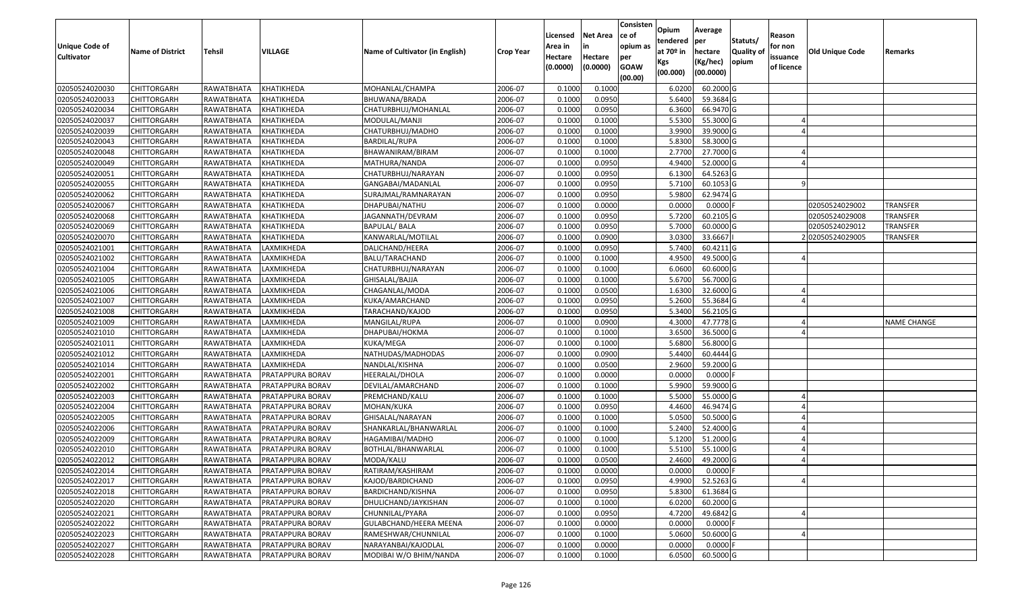| <b>Unique Code of</b><br><b>Cultivator</b> | <b>Name of District</b> | <b>Tehsil</b>     | VILLAGE                 | Name of Cultivator (in English) | <b>Crop Year</b> | Licensed<br>Area in<br>Hectare<br>(0.0000) | <b>Net Area</b><br>in<br>Hectare<br>(0.0000) | Consisten<br>ce of<br>opium as<br>per<br><b>GOAW</b><br>(00.00) | Opium<br>tendered<br>at $70°$ in<br>Kgs<br>(00.000) | Average<br>per<br>hectare<br>(Kg/hec)<br>(00.0000) | Statuts/<br><b>Quality o</b><br>opium | Reason<br>for non<br>issuance<br>of licence | Old Unique Code | Remarks            |
|--------------------------------------------|-------------------------|-------------------|-------------------------|---------------------------------|------------------|--------------------------------------------|----------------------------------------------|-----------------------------------------------------------------|-----------------------------------------------------|----------------------------------------------------|---------------------------------------|---------------------------------------------|-----------------|--------------------|
| 02050524020030                             | CHITTORGARH             | RAWATBHATA        | KHATIKHEDA              | MOHANLAL/CHAMPA                 | 2006-07          | 0.1000                                     | 0.1000                                       |                                                                 | 6.0200                                              | 60.2000 G                                          |                                       |                                             |                 |                    |
| 02050524020033                             | CHITTORGARH             | RAWATBHATA        | KHATIKHEDA              | BHUWANA/BRADA                   | 2006-07          | 0.1000                                     | 0.0950                                       |                                                                 | 5.6400                                              | 59.3684 G                                          |                                       |                                             |                 |                    |
| 02050524020034                             | CHITTORGARH             | RAWATBHATA        | KHATIKHEDA              | CHATURBHUJ/MOHANLAL             | 2006-07          | 0.1000                                     | 0.0950                                       |                                                                 | 6.3600                                              | 66.9470 G                                          |                                       |                                             |                 |                    |
| 02050524020037                             | <b>CHITTORGARH</b>      | <b>RAWATBHATA</b> | KHATIKHEDA              | MODULAL/MANJI                   | 2006-07          | 0.1000                                     | 0.1000                                       |                                                                 | 5.5300                                              | 55.3000G                                           |                                       |                                             |                 |                    |
| 02050524020039                             | CHITTORGARH             | RAWATBHATA        | KHATIKHEDA              | CHATURBHUJ/MADHO                | 2006-07          | 0.1000                                     | 0.1000                                       |                                                                 | 3.9900                                              | 39.9000G                                           |                                       |                                             |                 |                    |
| 02050524020043                             | CHITTORGARH             | RAWATBHATA        | KHATIKHEDA              | BARDILAL/RUPA                   | 2006-07          | 0.1000                                     | 0.1000                                       |                                                                 | 5.8300                                              | 58.3000 G                                          |                                       |                                             |                 |                    |
| 02050524020048                             | CHITTORGARH             | RAWATBHATA        | KHATIKHEDA              | BHAWANIRAM/BIRAM                | 2006-07          | 0.1000                                     | 0.1000                                       |                                                                 | 2.7700                                              | 27.7000 G                                          |                                       |                                             |                 |                    |
| 02050524020049                             | CHITTORGARH             | RAWATBHATA        | KHATIKHEDA              | MATHURA/NANDA                   | 2006-07          | 0.1000                                     | 0.0950                                       |                                                                 | 4.9400                                              | 52.0000G                                           |                                       |                                             |                 |                    |
| 02050524020051                             | <b>CHITTORGARH</b>      | RAWATBHATA        | KHATIKHEDA              | CHATURBHUJ/NARAYAN              | 2006-07          | 0.1000                                     | 0.0950                                       |                                                                 | 6.1300                                              | 64.5263 G                                          |                                       |                                             |                 |                    |
| 02050524020055                             | CHITTORGARH             | RAWATBHATA        | KHATIKHEDA              | GANGABAI/MADANLAL               | 2006-07          | 0.1000                                     | 0.0950                                       |                                                                 | 5.7100                                              | 60.1053 G                                          |                                       |                                             |                 |                    |
| 02050524020062                             | CHITTORGARH             | RAWATBHATA        | KHATIKHEDA              | SURAJMAL/RAMNARAYAN             | 2006-07          | 0.1000                                     | 0.0950                                       |                                                                 | 5.9800                                              | 62.9474 G                                          |                                       |                                             |                 |                    |
| 02050524020067                             | CHITTORGARH             | RAWATBHATA        | KHATIKHEDA              | DHAPUBAI/NATHU                  | 2006-07          | 0.1000                                     | 0.0000                                       |                                                                 | 0.0000                                              | $0.0000$ F                                         |                                       |                                             | 02050524029002  | <b>TRANSFER</b>    |
| 02050524020068                             | <b>CHITTORGARH</b>      | RAWATBHATA        | KHATIKHEDA              | JAGANNATH/DEVRAM                | 2006-07          | 0.1000                                     | 0.0950                                       |                                                                 | 5.7200                                              | 60.2105 G                                          |                                       |                                             | 02050524029008  | <b>TRANSFER</b>    |
| 02050524020069                             | <b>CHITTORGARH</b>      | RAWATBHATA        | KHATIKHEDA              | <b>BAPULAL/ BALA</b>            | 2006-07          | 0.1000                                     | 0.0950                                       |                                                                 | 5.7000                                              | 60.0000 G                                          |                                       |                                             | 02050524029012  | <b>TRANSFER</b>    |
| 02050524020070                             | <b>CHITTORGARH</b>      | RAWATBHATA        | KHATIKHEDA              | KANWARLAL/MOTILAL               | 2006-07          | 0.1000                                     | 0.0900                                       |                                                                 | 3.0300                                              | 33.6667                                            |                                       |                                             | 202050524029005 | <b>TRANSFER</b>    |
| 02050524021001                             | <b>CHITTORGARH</b>      | RAWATBHATA        | LAXMIKHEDA              | DALICHAND/HEERA                 | 2006-07          | 0.1000                                     | 0.0950                                       |                                                                 | 5.7400                                              | 60.4211G                                           |                                       |                                             |                 |                    |
| 02050524021002                             | <b>CHITTORGARH</b>      | RAWATBHATA        | LAXMIKHEDA              | BALU/TARACHAND                  | 2006-07          | 0.1000                                     | 0.1000                                       |                                                                 | 4.9500                                              | 49.5000G                                           |                                       |                                             |                 |                    |
| 02050524021004                             | CHITTORGARH             | RAWATBHATA        | LAXMIKHEDA              | CHATURBHUJ/NARAYAN              | 2006-07          | 0.100                                      | 0.1000                                       |                                                                 | 6.0600                                              | 60.6000 G                                          |                                       |                                             |                 |                    |
| 02050524021005                             | CHITTORGARH             | RAWATBHATA        | LAXMIKHEDA              | GHISALAL/BAJJA                  | 2006-07          | 0.100                                      | 0.1000                                       |                                                                 | 5.6700                                              | 56.7000 G                                          |                                       |                                             |                 |                    |
| 02050524021006                             | CHITTORGARH             | RAWATBHATA        | LAXMIKHEDA              | CHAGANLAL/MODA                  | 2006-07          | 0.1000                                     | 0.0500                                       |                                                                 | 1.6300                                              | 32.6000G                                           |                                       |                                             |                 |                    |
| 02050524021007                             | CHITTORGARH             | RAWATBHATA        | LAXMIKHEDA              | KUKA/AMARCHAND                  | 2006-07          | 0.100                                      | 0.0950                                       |                                                                 | 5.2600                                              | 55.3684 G                                          |                                       |                                             |                 |                    |
| 02050524021008                             | CHITTORGARH             | RAWATBHATA        | LAXMIKHEDA              | TARACHAND/KAJOD                 | 2006-07          | 0.100                                      | 0.0950                                       |                                                                 | 5.3400                                              | 56.2105 G                                          |                                       |                                             |                 |                    |
| 02050524021009                             | CHITTORGARH             | RAWATBHATA        | LAXMIKHEDA              | MANGILAL/RUPA                   | 2006-07          | 0.1000                                     | 0.0900                                       |                                                                 | 4.3000                                              | 47.7778 G                                          |                                       |                                             |                 | <b>NAME CHANGE</b> |
| 02050524021010                             | <b>CHITTORGARH</b>      | RAWATBHATA        | LAXMIKHEDA              | DHAPUBAI/HOKMA                  | 2006-07          | 0.100                                      | 0.1000                                       |                                                                 | 3.6500                                              | 36.5000G                                           |                                       |                                             |                 |                    |
| 02050524021011                             | <b>CHITTORGARH</b>      | RAWATBHATA        | LAXMIKHEDA              | KUKA/MEGA                       | 2006-07          | 0.1000                                     | 0.1000                                       |                                                                 | 5.6800                                              | 56.8000 G                                          |                                       |                                             |                 |                    |
| 02050524021012                             | CHITTORGARH             | RAWATBHATA        | LAXMIKHEDA              | NATHUDAS/MADHODAS               | 2006-07          | 0.1000                                     | 0.0900                                       |                                                                 | 5.4400                                              | 60.4444 G                                          |                                       |                                             |                 |                    |
| 02050524021014                             | CHITTORGARH             | RAWATBHATA        | LAXMIKHEDA              | NANDLAL/KISHNA                  | 2006-07          | 0.1000                                     | 0.0500                                       |                                                                 | 2.9600                                              | 59.2000 G                                          |                                       |                                             |                 |                    |
| 02050524022001                             | CHITTORGARH             | RAWATBHATA        | PRATAPPURA BORAV        | HEERALAL/DHOLA                  | 2006-07          | 0.1000                                     | 0.0000                                       |                                                                 | 0.0000                                              | $0.0000$ F                                         |                                       |                                             |                 |                    |
| 02050524022002                             | CHITTORGARH             | RAWATBHATA        | PRATAPPURA BORAV        | DEVILAL/AMARCHAND               | 2006-07          | 0.1000                                     | 0.1000                                       |                                                                 | 5.9900                                              | 59.9000 G                                          |                                       |                                             |                 |                    |
| 02050524022003                             | CHITTORGARH             | RAWATBHATA        | PRATAPPURA BORAV        | PREMCHAND/KALU                  | 2006-07          | 0.1000                                     | 0.1000                                       |                                                                 | 5.5000                                              | 55.0000G                                           |                                       |                                             |                 |                    |
| 02050524022004                             | CHITTORGARH             | RAWATBHATA        | PRATAPPURA BORAV        | MOHAN/KUKA                      | 2006-07          | 0.1000                                     | 0.0950                                       |                                                                 | 4.4600                                              | 46.9474 G                                          |                                       |                                             |                 |                    |
| 02050524022005                             | CHITTORGARH             | RAWATBHATA        | PRATAPPURA BORAV        | GHISALAL/NARAYAN                | 2006-07          | 0.1000                                     | 0.1000                                       |                                                                 | 5.0500                                              | 50.5000G                                           |                                       |                                             |                 |                    |
| 02050524022006                             | CHITTORGARH             | RAWATBHATA        | PRATAPPURA BORAV        | SHANKARLAL/BHANWARLAL           | 2006-07          | 0.100                                      | 0.1000                                       |                                                                 | 5.2400                                              | 52.4000G                                           |                                       |                                             |                 |                    |
| 02050524022009                             | <b>CHITTORGARH</b>      | RAWATBHATA        | PRATAPPURA BORAV        | HAGAMIBAI/MADHO                 | 2006-07          | 0.1000                                     | 0.1000                                       |                                                                 | 5.1200                                              | 51.2000 G                                          |                                       |                                             |                 |                    |
| 02050524022010                             | CHITTORGARH             | RAWATBHATA        | PRATAPPURA BORAV        | BOTHLAL/BHANWARLAL              | 2006-07          | 0.1000                                     | 0.1000                                       |                                                                 | 5.5100                                              | 55.1000G                                           |                                       |                                             |                 |                    |
| 02050524022012                             | CHITTORGARH             | RAWATBHATA        | PRATAPPURA BORAV        | MODA/KALU                       | 2006-07          | 0.1000                                     | 0.0500                                       |                                                                 | 2.4600                                              | 49.2000 G                                          |                                       |                                             |                 |                    |
| 02050524022014                             | <b>CHITTORGARH</b>      | RAWATBHATA        | PRATAPPURA BORAV        | RATIRAM/KASHIRAM                | 2006-07          | 0.1000                                     | 0.0000                                       |                                                                 | 0.0000                                              | $0.0000$ F                                         |                                       |                                             |                 |                    |
| 02050524022017                             | CHITTORGARH             | RAWATBHATA        | <b>PRATAPPURA BORAV</b> | KAJOD/BARDICHAND                | 2006-07          | 0.1000                                     | 0.0950                                       |                                                                 | 4.9900                                              | 52.5263 G                                          |                                       |                                             |                 |                    |
| 02050524022018                             | <b>CHITTORGARH</b>      | RAWATBHATA        | PRATAPPURA BORAV        | BARDICHAND/KISHNA               | 2006-07          | 0.1000                                     | 0.0950                                       |                                                                 | 5.8300                                              | 61.3684 G                                          |                                       |                                             |                 |                    |
| 02050524022020                             | <b>CHITTORGARH</b>      | RAWATBHATA        | PRATAPPURA BORAV        | DHULICHAND/JAYKISHAN            | 2006-07          | 0.1000                                     | 0.1000                                       |                                                                 | 6.0200                                              | 60.2000 G                                          |                                       |                                             |                 |                    |
| 02050524022021                             | <b>CHITTORGARH</b>      | RAWATBHATA        | PRATAPPURA BORAV        | CHUNNILAL/PYARA                 | 2006-07          | 0.1000                                     | 0.0950                                       |                                                                 | 4.7200                                              | 49.6842 G                                          |                                       |                                             |                 |                    |
| 02050524022022                             | <b>CHITTORGARH</b>      | RAWATBHATA        | PRATAPPURA BORAV        | GULABCHAND/HEERA MEENA          | 2006-07          | 0.1000                                     | 0.0000                                       |                                                                 | 0.0000                                              | $0.0000$ F                                         |                                       |                                             |                 |                    |
| 02050524022023                             | <b>CHITTORGARH</b>      | RAWATBHATA        | PRATAPPURA BORAV        | RAMESHWAR/CHUNNILAL             | 2006-07          | 0.1000                                     | 0.1000                                       |                                                                 | 5.0600                                              | 50.6000 G                                          |                                       |                                             |                 |                    |
| 02050524022027                             | CHITTORGARH             | RAWATBHATA        | PRATAPPURA BORAV        | NARAYANBAI/KAJODLAL             | 2006-07          | 0.1000                                     | 0.0000                                       |                                                                 | 0.0000                                              | $0.0000$ F                                         |                                       |                                             |                 |                    |
| 02050524022028                             | <b>CHITTORGARH</b>      | RAWATBHATA        | PRATAPPURA BORAV        | MODIBAI W/O BHIM/NANDA          | 2006-07          | 0.1000                                     | 0.1000                                       |                                                                 | 6.0500                                              | 60.5000 G                                          |                                       |                                             |                 |                    |